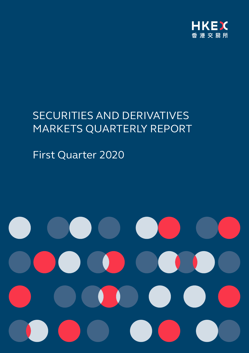

# SECURITIES AND DERIVATIVES MARKETS QUARTERLY REPORT

First Quarter 2020

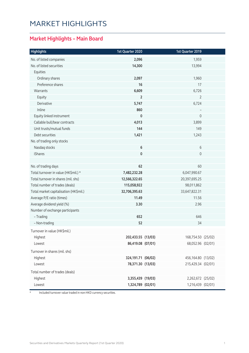## MARKET HIGHLIGHTS

### **Market Highlights – Main Board**

| <b>Highlights</b>                      | 1st Quarter 2020   | 1st Quarter 2019   |  |
|----------------------------------------|--------------------|--------------------|--|
| No. of listed companies                | 2,096              | 1,959              |  |
| No. of listed securities               | 14,300             | 13,994             |  |
| Equities                               |                    |                    |  |
| Ordinary shares                        | 2,097              | 1,960              |  |
| Preference shares                      | 16                 | 17                 |  |
| Warrants                               | 6,609              | 6,726              |  |
| Equity                                 | $\overline{2}$     | 2                  |  |
| Derivative                             | 5,747              | 6,724              |  |
| Inline                                 | 860                |                    |  |
| Equity linked instrument               | $\mathbf 0$        | $\overline{0}$     |  |
| Callable bull/bear contracts           | 4,013              | 3,899              |  |
| Unit trusts/mutual funds               | 144                | 149                |  |
| Debt securities                        | 1,421              | 1,243              |  |
| No. of trading only stocks             |                    |                    |  |
| Nasdaq stocks                          | 6                  | 6                  |  |
| <b>iShares</b>                         | 0                  | 0                  |  |
| No. of trading days                    | 62                 | 60                 |  |
| Total turnover in value (HK\$mil.) *   | 7,482,232.28       | 6,047,990.67       |  |
| Total turnover in shares (mil. shs)    | 12,566,322.65      | 20,397,695.25      |  |
| Total number of trades (deals)         | 115,058,922        | 98,011,862         |  |
| Total market capitalisation (HK\$mil.) | 32,706,395.63      | 33,647,822.31      |  |
| Average P/E ratio (times)              | 11.49              | 11.56              |  |
| Average dividend yield (%)             | 3.30               | 2.96               |  |
| Number of exchange participants        |                    |                    |  |
| - Trading                              | 652                | 646                |  |
| - Non-trading                          | 52                 | 34                 |  |
| Turnover in value (HK\$mil.)           |                    |                    |  |
| Highest                                | 202,433.55 (13/03) | 168,754.50 (25/02) |  |
| Lowest                                 | 86,419.08 (07/01)  | 68,052.96 (02/01)  |  |
| Turnover in shares (mil. shs)          |                    |                    |  |
| Highest                                | 324,191.71 (06/02) | 456,164.80 (13/02) |  |
| Lowest                                 | 78,371.30 (13/03)  | 215,429.34 (02/01) |  |
| Total number of trades (deals)         |                    |                    |  |
| Highest                                | 3,355,439 (19/03)  | 2,262,672 (25/02)  |  |
| Lowest                                 | 1,324,789 (02/01)  | 1,216,439 (02/01)  |  |

\* Included turnover value traded in non-HKD currency securities.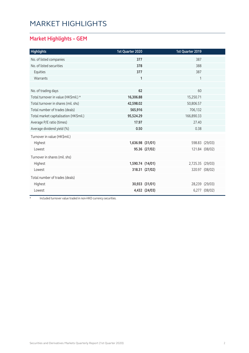## MARKET HIGHLIGHTS

### **Market Highlights – GEM**

| <b>Highlights</b>                      | 1st Quarter 2020 |                | 1st Quarter 2019 |                |
|----------------------------------------|------------------|----------------|------------------|----------------|
| No. of listed companies                | 377              |                | 387              |                |
| No. of listed securities               | 378              |                | 388              |                |
| Equities                               | 377              |                | 387              |                |
| Warrants                               | $\mathbf{1}$     |                | 1                |                |
|                                        |                  |                |                  |                |
| No. of trading days                    | 62               |                | 60               |                |
| Total turnover in value (HK\$mil.) *   | 16,306.88        |                | 15,250.71        |                |
| Total turnover in shares (mil. shs)    | 42,598.02        |                | 50,806.57        |                |
| Total number of trades (deals)         | 565,916          |                | 706,132          |                |
| Total market capitalisation (HK\$mil.) | 95,524.29        |                | 166,890.33       |                |
| Average P/E ratio (times)              | 17.97            |                | 27.40            |                |
| Average dividend yield (%)             | 0.50             |                | 0.38             |                |
| Turnover in value (HK\$mil.)           |                  |                |                  |                |
| Highest                                | 1,636.98 (31/01) |                |                  | 598.83 (29/03) |
| Lowest                                 |                  | 95.36 (27/02)  |                  | 121.84 (08/02) |
| Turnover in shares (mil. shs)          |                  |                |                  |                |
| Highest                                | 1,590.74 (14/01) |                | 2,725.35 (29/03) |                |
| Lowest                                 |                  | 318.31 (27/02) |                  | 320.97 (08/02) |
| Total number of trades (deals)         |                  |                |                  |                |
| Highest                                |                  | 30,933 (31/01) |                  | 28,239 (29/03) |
| Lowest                                 |                  | 4,432 (24/03)  |                  | 6,277 (08/02)  |

\* Included turnover value traded in non-HKD currency securities.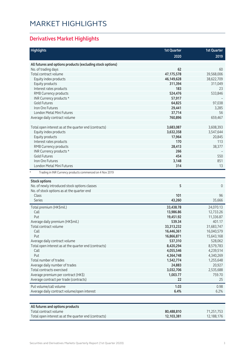## MARKET HIGHLIGHTS

### **Derivatives Market Highlights**

| <b>Highlights</b>                                          | <b>1st Quarter</b> | <b>1st Quarter</b> |
|------------------------------------------------------------|--------------------|--------------------|
|                                                            | 2020               | 2019               |
| All futures and options products (excluding stock options) |                    |                    |
| No. of trading days                                        | 62                 | 60                 |
| Total contract volume                                      | 47,175,578         | 39,568,006         |
| Equity index products                                      | 46,149,628         | 38,622,709         |
| Equity products                                            | 311,394            | 311,049            |
| Interest rates products                                    | 183                | 23                 |
| RMB Currency products                                      | 524,476            | 533,846            |
| INR Currency products *                                    | 57,917             |                    |
| <b>Gold Futures</b>                                        | 64,825             | 97,038             |
| Iron Ore Futures                                           | 29,441             | 3,285              |
| <b>London Metal Mini Futures</b>                           | 37,714             | 56                 |
| Average daily contract volume                              | 760,896            | 659,467            |
|                                                            |                    |                    |
| Total open interest as at the quarter end (contracts)      | 3,683,087          | 3,608,393          |
| Equity index products                                      | 3,632,358          | 3,547,644          |
| Equity products                                            | 17,964             | 20,845             |
| Interest rates products                                    | 170                | 113                |
| RMB Currency products                                      | 28,413             | 38,377             |
| INR Currency products *                                    | 266                |                    |
| <b>Gold Futures</b>                                        | 454                | 550                |
| Iron Ore Futures                                           | 3,148              | 851                |
| London Metal Mini Futures                                  | 314                | 13                 |
| Trading in INR Currency products commenced on 4 Nov 2019   |                    |                    |
| <b>Stock options</b>                                       |                    |                    |
| No. of newly introduced stock options classes              | 5                  | $\mathbf{0}$       |
| No. of stock options as at the quarter end                 |                    |                    |
| Class                                                      | 101                | 96                 |
| Series                                                     | 43,260             | 35,666             |
| Total premium (HK\$mil.)                                   | 33,438.78          | 24,070.13          |
| Call                                                       | 13,986.86          | 12,733.26          |
| Put                                                        | 19,451.92          | 11,336.87          |
| Average daily premium (HK\$mil.)                           | 539.34             | 401.17             |
| Total contract volume                                      | 33,313,232         | 31,683,747         |
| Call                                                       | 16,446,361         | 16,040,579         |
| Put                                                        | 16,866,871         | 15,643,168         |
| Average daily contract volume                              | 537,310            | 528,062            |
| Total open interest as at the quarter end (contracts)      | 8,420,294          | 8,579,783          |
| Call                                                       | 4,055,546          | 4,239,514          |
| Put                                                        | 4,364,748          | 4,340,269          |
| Total number of trades                                     | 1,542,774          | 1,255,648          |
| Average daily number of trades                             | 24,883             | 20,927             |
| Total contracts exercised                                  | 3,032,706          | 2,535,688          |
| Average premium per contract (HK\$)                        | 1,003.77           | 759.70             |
| Average contract per trade (contracts)                     | 22                 | 25                 |
| Put volume/call volume                                     | 1.03               | 0.98               |
| Average daily contract volume/open interest                | 6.4%               | 6.2%               |
|                                                            |                    |                    |
| All futures and options products                           |                    |                    |
| Total contract volume                                      | 80,488,810         | 71,251,753         |

Total open interest as at the quarter end (contracts) **12,103,381** 12,188,176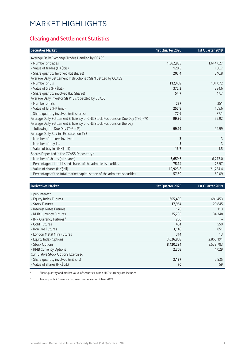### **Clearing and Settlement Statistics**

| <b>Securities Market</b>                                                        | 1st Quarter 2020 | 1st Quarter 2019 |
|---------------------------------------------------------------------------------|------------------|------------------|
| Average Daily Exchange Trades Handled by CCASS                                  |                  |                  |
| - Number of trades                                                              | 1,862,885        | 1,644,627        |
| - Value of trades (HK\$bil.)                                                    | 120.5            | 100.7            |
| - Share quantity Involved (bil shares)                                          | 203.4            | 340.8            |
| Average Daily Settlement Instructions ("SIs") Settled by CCASS                  |                  |                  |
| - Number of SIs                                                                 | 112,469          | 101,072          |
| - Value of SIs (HK\$bil.)                                                       | 372.3            | 234.6            |
| - Share quantity involved (bil. Shares)                                         | 54.7             | 47.7             |
| Average Daily Investor SIs ("ISIs") Settled by CCASS                            |                  |                  |
| - Number of ISIs                                                                | 277              | 251              |
| - Value of ISIs (HK\$mil.)                                                      | 257.8            | 109.6            |
| - Share quantity involved (mil. shares)                                         | 77.6             | 87.1             |
| Average Daily Settlement Efficiency of CNS Stock Positions on Due Day (T+2) (%) | 99.86            | 99.92            |
| Average Daily Settlement Efficiency of CNS Stock Positions on the Day           |                  |                  |
| following the Due Day (T+3) (%)                                                 | 99.99            | 99.99            |
| Average Daily Buy-ins Executed on T+3                                           |                  |                  |
| - Number of brokers involved                                                    | 3                | 3                |
| - Number of buy-ins                                                             | 5                | 3                |
| - Value of buy-ins (HK\$mil)                                                    | 13.7             | 1.5              |
| Shares Deposited in the CCASS Depository *                                      |                  |                  |
| - Number of shares (bil shares)                                                 | 6,659.6          | 6,713.0          |
| - Percentage of total issued shares of the admitted securities                  | 75.14            | 75.97            |
| - Value of shares (HK\$bil)                                                     | 19,923.8         | 21,734.4         |
| - Percentage of the total market capitalisation of the admitted securities      | 57.59            | 60.09            |

| <b>Derivatives Market</b>                 | 1st Quarter 2020 | 1st Quarter 2019 |
|-------------------------------------------|------------------|------------------|
| Open Interest                             |                  |                  |
| - Equity Index Futures                    | 605,490          | 681,453          |
| - Stock Futures                           | 17,964           | 20,845           |
| - Interest Rates Futures                  | 170              | 113              |
| - RMB Currency Futures                    | 25,705           | 34,348           |
| - INR Currency Futures #                  | 266              |                  |
| - Gold Futures                            | 454              | 550              |
| - Iron Ore Futures                        | 3,148            | 851              |
| - London Metal Mini Futures               | 314              | 13               |
| - Equity Index Options                    | 3,026,868        | 2,866,191        |
| - Stock Options                           | 8,420,294        | 8,579,783        |
| - RMB Currency Options                    | 2,708            | 4,029            |
| <b>Cumulative Stock Options Exercised</b> |                  |                  |
| - Share quantity involved (mil. shs)      | 3,137            | 2,535            |
| - Value of shares (HK\$bil.)              | 70               | 59               |

\* Share quantity and market value of securities in non-HKD currency are included

# Trading in INR Currency Futures commenced on 4 Nov 2019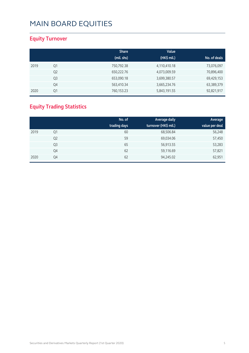### **Equity Turnover**

|      |                | <b>Share</b> | Value        |              |
|------|----------------|--------------|--------------|--------------|
|      |                | (mil. shs)   | (HK\$ mil.)  | No. of deals |
| 2019 | Q1             | 750,792.38   | 4,110,410.18 | 73,076,097   |
|      | Q <sub>2</sub> | 650,222.76   | 4,073,009.59 | 70,896,400   |
|      | Q <sub>3</sub> | 653,090.18   | 3,699,380.57 | 69,429,153   |
|      | Q4             | 563,410.34   | 3,665,234.76 | 63,389,379   |
| 2020 | Q1             | 760,153.23   | 5,843,191.55 | 92,821,917   |

### **Equity Trading Statistics**

|      |                | No. of       | <b>Average daily</b> | Average        |
|------|----------------|--------------|----------------------|----------------|
|      |                | trading days | turnover (HK\$ mil.) | value per deal |
| 2019 | Q1             | 60           | 68,506.84            | 56,248         |
|      | Q <sub>2</sub> | 59           | 69,034.06            | 57,450         |
|      | Q <sub>3</sub> | 65           | 56,913.55            | 53,283         |
|      | Q4             | 62           | 59,116.69            | 57,821         |
| 2020 | Q4             | 62           | 94,245.02            | 62,951         |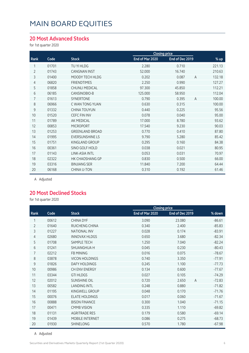#### **20 Most Advanced Stocks**

for 1st quarter 2020

|                |       |                        | <b>Closing price</b> |                 |                          |
|----------------|-------|------------------------|----------------------|-----------------|--------------------------|
| Rank           | Code  | <b>Stock</b>           | End of Mar 2020      | End of Dec 2019 | % up                     |
| 1              | 01701 | TU YI HLDG             | 2.280                | 0.710           | 221.13                   |
| $\overline{2}$ | 01743 | <b>CANGNAN INST</b>    | 52.000               | 16.740          | 210.63                   |
| 3              | 01400 | MOODY TECH HLDG        | 0.202                | 0.087           | 132.18<br>$\overline{A}$ |
| $\overline{4}$ | 06820 | <b>FRIENDTIMES</b>     | 2.250                | 0.990           | 127.27                   |
| 5              | 01858 | <b>CHUNLI MEDICAL</b>  | 97.300               | 45.850          | 112.21                   |
| 6              | 06185 | CANSINOBIO-B           | 125.000              | 58.950          | 112.04                   |
| 7              | 01613 | <b>SYNERTONE</b>       | 0.790                | 0.395           | $\overline{A}$<br>100.00 |
| 8              | 06966 | C WAN TONG YUAN        | 0.630                | 0.315           | 100.00                   |
| 9              | 01332 | <b>CHINA TOUYUN</b>    | 0.440                | 0.225           | 95.56                    |
| 10             | 01520 | <b>CEFC FIN INV</b>    | 0.078                | 0.040           | 95.00                    |
| 11             | 01789 | <b>AK MEDICAL</b>      | 17.000               | 8.780           | 93.62                    |
| 12             | 00853 | <b>MICROPORT</b>       | 17.540               | 9.230           | 90.03                    |
| 13             | 01253 | <b>GREENLAND BROAD</b> | 0.770                | 0.410           | 87.80                    |
| 14             | 01995 | <b>EVERSUNSHINE LS</b> | 9.790                | 5.280           | 85.42                    |
| 15             | 01751 | <b>KINGLAND GROUP</b>  | 0.295                | 0.160           | 84.38                    |
| 16             | 00361 | SINO GOLF HOLD         | 0.038                | 0.021           | 80.95                    |
| 17             | 01143 | <b>LINK-ASIA INTL</b>  | 0.053                | 0.031           | 70.97                    |
| 18             | 02322 | HK CHAOSHANG GP        | 0.830                | 0.500           | 66.00                    |
| 19             | 03316 | <b>BINJIANG SER</b>    | 11.840               | 7.200           | 64.44                    |
| 20             | 06168 | CHINA U-TON            | 0.310                | 0.192           | 61.46                    |
|                |       |                        |                      |                 |                          |

A Adjusted

#### **20 Most Declined Stocks**

for 1st quarter 2020

|                |       |                        |                 | <b>Closing price</b>    |          |
|----------------|-------|------------------------|-----------------|-------------------------|----------|
| Rank           | Code  | <b>Stock</b>           | End of Mar 2020 | End of Dec 2019         | % down   |
| 1              | 00612 | <b>CHINA DYF</b>       | 3.090           | 23.080                  | $-86.61$ |
| $\overline{2}$ | 01640 | RUICHENG CHINA         | 0.340           | 2.400                   | $-85.83$ |
| 3              | 01227 | <b>NATIONAL INV</b>    | 0.028           | 0.174                   | $-83.91$ |
| 4              | 02680 | <b>INNOVAX HLDGS</b>   | 0.650           | 3.680                   | $-82.34$ |
| 5              | 01708 | <b>SAMPLE TECH</b>     | 1.250           | 7.040                   | $-82.24$ |
| 6              | 01241 | <b>SHUANGHUA H</b>     | 0.045           | 0.230                   | $-80.43$ |
| 7              | 02212 | <b>FB MINING</b>       | 0.016           | 0.075                   | $-78.67$ |
| 8              | 03878 | <b>VICON HOLDINGS</b>  | 0.740           | 3.350                   | $-77.91$ |
| 9              | 01826 | <b>DAFY HOLDINGS</b>   | 0.245           | 1.100                   | $-77.73$ |
| 10             | 00986 | <b>CH ENV ENERGY</b>   | 0.134           | 0.600                   | $-77.67$ |
| 11             | 03344 | <b>GTI HLDGS</b>       | 0.027           | 0.105                   | $-74.29$ |
| 12             | 02012 | <b>SUNSHINE OIL</b>    | 0.720           | 2.650<br>$\overline{A}$ | $-72.83$ |
| 13             | 00582 | <b>LANDING INTL</b>    | 0.248           | 0.880                   | $-71.82$ |
| 14             | 01195 | KINGWELL GROUP         | 0.048           | 0.170                   | $-71.76$ |
| 15             | 00076 | <b>ELATE HOLDINGS</b>  | 0.017           | 0.060                   | $-71.67$ |
| 16             | 00888 | <b>BISON FINANCE</b>   | 0.300           | 1.040                   | $-71.15$ |
| 17             | 00471 | <b>CMMB VISION</b>     | 0.335           | 1.110                   | $-69.82$ |
| 18             | 01131 | <b>AGRITRADE RES</b>   | 0.179           | 0.580                   | $-69.14$ |
| 19             | 01439 | <b>MOBILE INTERNET</b> | 0.086           | 0.275                   | $-68.73$ |
| 20             | 01930 | <b>SHINELONG</b>       | 0.570           | 1.780                   | $-67.98$ |

A Adjusted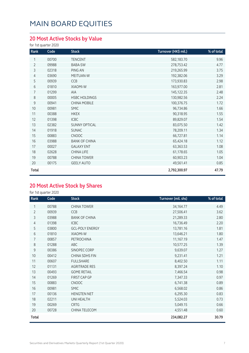### **20 Most Active Stocks by Value**

for 1st quarter 2020

| Rank           | Code  | <b>Stock</b>         | Turnover (HK\$ mil.) | % of total |
|----------------|-------|----------------------|----------------------|------------|
| 1              | 00700 | <b>TENCENT</b>       | 582,183.70           | 9.96       |
| $\overline{2}$ | 09988 | BABA-SW              | 278,753.42           | 4.77       |
| 3              | 02318 | PING AN              | 219,265.99           | 3.75       |
| 4              | 03690 | MEITUAN-W            | 192,382.06           | 3.29       |
| 5              | 00939 | CCB                  | 173,930.83           | 2.98       |
| 6              | 01810 | XIAOMI-W             | 163,977.00           | 2.81       |
| 7              | 01299 | <b>AIA</b>           | 145,122.35           | 2.48       |
| 8              | 00005 | <b>HSBC HOLDINGS</b> | 130,982.56           | 2.24       |
| 9              | 00941 | <b>CHINA MOBILE</b>  | 100,376.75           | 1.72       |
| 10             | 00981 | <b>SMIC</b>          | 96,734.86            | 1.66       |
| 11             | 00388 | <b>HKEX</b>          | 90,318.95            | 1.55       |
| 12             | 01398 | ICBC                 | 89,829.07            | 1.54       |
| 13             | 02382 | <b>SUNNY OPTICAL</b> | 83,075.50            | 1.42       |
| 14             | 01918 | <b>SUNAC</b>         | 78,209.11            | 1.34       |
| 15             | 00883 | <b>CNOOC</b>         | 66,727.81            | 1.14       |
| 16             | 03988 | <b>BANK OF CHINA</b> | 65,424.18            | 1.12       |
| 17             | 00027 | <b>GALAXY ENT</b>    | 63,363.53            | 1.08       |
| 18             | 02628 | CHINA LIFE           | 61,178.65            | 1.05       |
| 19             | 00788 | <b>CHINA TOWER</b>   | 60,903.23            | 1.04       |
| 20             | 00175 | <b>GEELY AUTO</b>    | 49,561.41            | 0.85       |
| Total          |       |                      | 2,792,300.97         | 47.79      |

### **20 Most Active Stock by Shares**

| Rank           | Code  | <b>Stock</b>           | Turnover (mil. shs) | % of total |
|----------------|-------|------------------------|---------------------|------------|
| 1              | 00788 | <b>CHINA TOWER</b>     | 34,164.77           | 4.49       |
| $\overline{2}$ | 00939 | CCB                    | 27,506.41           | 3.62       |
| 3              | 03988 | <b>BANK OF CHINA</b>   | 21,289.33           | 2.80       |
| 4              | 01398 | <b>ICBC</b>            | 16,736.49           | 2.20       |
| 5              | 03800 | <b>GCL-POLY ENERGY</b> | 13,781.16           | 1.81       |
| 6              | 01810 | <b>XIAOMI-W</b>        | 13,646.21           | 1.80       |
| 7              | 00857 | PETROCHINA             | 11,167.19           | 1.47       |
| 8              | 01288 | ABC                    | 10,577.25           | 1.39       |
| 9              | 00386 | SINOPEC CORP           | 9,639.07            | 1.27       |
| 10             | 00412 | <b>CHINA SDHS FIN</b>  | 9,231.41            | 1.21       |
| 11             | 00607 | <b>FULLSHARE</b>       | 8,402.50            | 1.11       |
| 12             | 01131 | <b>AGRITRADE RES</b>   | 8,397.24            | 1.10       |
| 13             | 00493 | <b>GOME RETAIL</b>     | 7,466.54            | 0.98       |
| 14             | 01269 | FIRST CAP GP           | 7,347.33            | 0.97       |
| 15             | 00883 | <b>CNOOC</b>           | 6,741.38            | 0.89       |
| 16             | 00981 | <b>SMIC</b>            | 6,568.02            | 0.86       |
| 17             | 00136 | <b>HENGTEN NET</b>     | 6,295.30            | 0.83       |
| 18             | 02211 | UNI HEALTH             | 5,524.03            | 0.73       |
| 19             | 00269 | <b>CRTG</b>            | 5,049.15            | 0.66       |
| 20             | 00728 | CHINA TELECOM          | 4,551.48            | 0.60       |
| Total          |       |                        | 234,082.27          | 30.79      |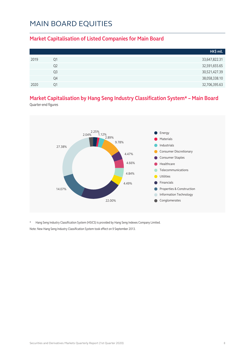#### **Market Capitalisation of Listed Companies for Main Board**

|      |                | HK\$ mil.     |
|------|----------------|---------------|
| 2019 | Q1             | 33,647,822.31 |
|      | Q2             | 32,591,655.65 |
|      | Q <sub>3</sub> | 30,521,427.39 |
|      | Q4             | 38,058,338.10 |
| 2020 | Ο1             | 32,706,395.63 |

### **Market Capitalisation by Hang Seng Industry Classification System\* – Main Board**

Quarter-end figures



\* Hang Seng Industry Classification System (HSICS) is provided by Hang Seng Indexes Company Limited. Note: New Hang Seng Industry Classification System took effect on 9 September 2013.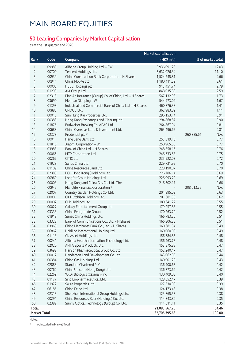#### **50 Leading Companies by Market Capitalisation**

as at the 1st quarter end 2020

|                     |       | <b>Market capitalisation</b>                                                |               |                    |  |  |
|---------------------|-------|-----------------------------------------------------------------------------|---------------|--------------------|--|--|
| Rank                | Code  | Company                                                                     | (HK\$ mil.)   | % of market total  |  |  |
| 1                   | 09988 | Alibaba Group Holding Ltd. - SW                                             | 3,936,091.23  | 12.03              |  |  |
| $\overline{2}$      | 00700 | Tencent Holdings Ltd.                                                       | 3,632,026.34  | 11.10              |  |  |
| 3                   | 00939 | China Construction Bank Corporation - H Shares                              | 1,524,245.81  | 4.66               |  |  |
| $\overline{4}$      | 00941 | China Mobile Ltd.                                                           | 1,180,411.59  | 3.61               |  |  |
| 5                   | 00005 | <b>HSBC Holdings plc</b>                                                    | 913,451.74    | 2.79               |  |  |
| 6                   | 01299 | AIA Group Ltd.                                                              | 848,035.89    | 2.59               |  |  |
| 7                   | 02318 | Ping An Insurance (Group) Co. of China, Ltd. - H Shares                     | 567,132.98    | 1.73               |  |  |
| 8                   | 03690 | Meituan Dianping - W                                                        | 544,973.09    | 1.67               |  |  |
| $\mathsf 9$         | 01398 | Industrial and Commercial Bank of China Ltd. - H Shares                     | 460,876.38    | 1.41               |  |  |
| 10                  | 00883 | CNOOC Ltd.                                                                  | 362,983.82    | 1.11               |  |  |
| 11                  | 00016 | Sun Hung Kai Properties Ltd.                                                | 296,153.14    | 0.91               |  |  |
| 12                  | 00388 | Hong Kong Exchanges and Clearing Ltd.                                       | 294,868.87    | 0.90               |  |  |
| 13                  | 01876 | Budweiser Brewing Co. APAC Ltd.                                             | 264,867.94    | 0.81               |  |  |
| 14                  | 00688 | China Overseas Land & Investment Ltd.                                       | 263,496.65    | 0.81               |  |  |
| 15                  | 02378 | Prudential plc *                                                            |               | 260,885.61<br>N.A. |  |  |
| 16                  | 00011 | Hang Seng Bank Ltd.                                                         | 253,319.16    | 0.77               |  |  |
| 17                  | 01810 | Xiaomi Corporation - W                                                      | 250,965.55    | 0.77               |  |  |
| 18                  | 03988 | Bank of China Ltd. - H Shares                                               | 248,358.16    | 0.76               |  |  |
| 19                  | 00066 | MTR Corporation Ltd.                                                        | 246,633.68    | 0.75               |  |  |
| 20                  | 00267 | CITIC Ltd.                                                                  | 235,922.03    | 0.72               |  |  |
| 21                  | 01928 | Sands China Ltd.                                                            | 229,721.92    | 0.70               |  |  |
| 22                  | 01109 | China Resources Land Ltd.                                                   | 228,190.07    | 0.70               |  |  |
| 23                  | 02388 | BOC Hong Kong (Holdings) Ltd.                                               | 226,786.14    | 0.69               |  |  |
| 24                  | 00960 | Longfor Group Holdings Ltd.                                                 | 226,093.72    | 0.69               |  |  |
| 25                  | 00003 | Hong Kong and China Gas Co. Ltd., The                                       | 216,302.17    | 0.66               |  |  |
| 26                  | 00945 | Manulife Financial Corporation *                                            |               | 208,613.75<br>N.A. |  |  |
| 27                  | 02007 | Country Garden Holdings Co. Ltd.                                            | 204,995.09    | 0.63               |  |  |
| 28                  | 00001 | CK Hutchison Holdings Ltd.                                                  | 201,681.38    | 0.62               |  |  |
| 29                  | 00002 | CLP Holdings Ltd.                                                           | 180,641.22    | 0.55               |  |  |
| 30                  | 00027 | Galaxy Entertainment Group Ltd.                                             | 179,257.83    | 0.55               |  |  |
| 31                  | 03333 | China Evergrande Group                                                      | 170,263.70    | 0.52               |  |  |
| 32                  | 01918 | Sunac China Holdings Ltd.                                                   | 166,783.20    | 0.51               |  |  |
| 33                  | 03328 | Bank of Communications Co., Ltd. - H Shares                                 | 166,306.35    | 0.51               |  |  |
| 34                  | 03968 | China Merchants Bank Co., Ltd. - H Shares                                   | 160,681.54    | 0.49               |  |  |
| 35                  | 06862 | Haidilao International Holding Ltd.                                         | 160,060.00    | 0.49               |  |  |
| 36                  | 01113 | CK Asset Holdings Ltd.                                                      | 156,784.85    | 0.48               |  |  |
| 37                  | 00241 | Alibaba Health Information Technology Ltd.                                  | 156,463.78    | 0.48               |  |  |
| 38                  | 02020 |                                                                             |               | 0.47               |  |  |
| 39                  |       | ANTA Sports Products Ltd.                                                   | 153,875.88    | 0.47               |  |  |
| 40                  | 03692 | Hansoh Pharmaceutical Group Co. Ltd.<br>Henderson Land Development Co. Ltd. | 152,240.47    |                    |  |  |
|                     | 00012 |                                                                             | 143,062.99    | 0.44               |  |  |
| 41                  | 00384 | China Gas Holdings Ltd.                                                     | 140,901.20    | 0.43               |  |  |
| 42                  | 02888 | <b>Standard Chartered PLC</b>                                               | 136,900.63    | 0.42               |  |  |
| 43                  | 00762 | China Unicom (Hong Kong) Ltd.                                               | 136,773.62    | 0.42               |  |  |
| 44                  | 02269 | WuXi Biologics (Cayman) Inc.                                                | 130,409.03    | 0.40               |  |  |
| 45                  | 01177 | Sino Biopharmaceutical Ltd.                                                 | 128,652.47    | 0.39               |  |  |
| 46                  | 01972 | Swire Properties Ltd.                                                       | 127,530.00    | 0.39               |  |  |
| 47                  | 06186 | China Feihe Ltd.                                                            | 124,173.43    | 0.38               |  |  |
| 48                  | 02313 | Shenzhou International Group Holdings Ltd.                                  | 123,865.53    | 0.38               |  |  |
| 49                  | 00291 | China Resources Beer (Holdings) Co. Ltd.                                    | 114,843.86    | 0.35               |  |  |
| 50                  | 02382 | Sunny Optical Technology (Group) Co. Ltd.                                   | 114,511.11    | 0.35               |  |  |
| Total               |       |                                                                             | 21,083,567.20 | 64.46              |  |  |
| <b>Market Total</b> |       |                                                                             | 32,706,395.63 | 100.00             |  |  |

Notes:

\* not included in Market Total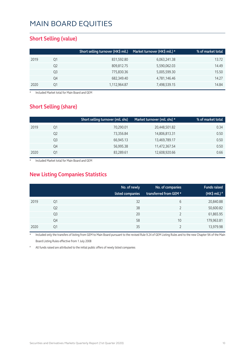#### **Short Selling (value)**

|      |    | Short selling turnover (HK\$ mil.) | Market turnover (HK\$ mil.) * | % of market total |
|------|----|------------------------------------|-------------------------------|-------------------|
| 2019 | Q1 | 831,592.80                         | 6,063,241.38                  | 13.72             |
|      | Q2 | 809,812.75                         | 5,590,062.03                  | 14.49             |
|      | Q3 | 775,830.36                         | 5,005,599.30                  | 15.50             |
|      | Q4 | 682,349.40                         | 4,781,146.46                  | 14.27             |
| 2020 | 01 | 1,112,964.87                       | 7,498,539.15                  | 14.84             |

**Included Market total for Main Board and GEM** 

#### **Short Selling (share)**

|      |    | Short selling turnover (mil. shs) | Market turnover (mil. shs) * | % of market total |
|------|----|-----------------------------------|------------------------------|-------------------|
| 2019 | Q1 | 70,290.01                         | 20,448,501.82                | 0.34              |
|      | Q2 | 73,356.84                         | 14,806,813.31                | 0.50              |
|      | Q3 | 66,945.13                         | 13,469,789.17                | 0.50              |
|      | Q4 | 56,995.38                         | 11,472,367.54                | 0.50              |
| 2020 | Q1 | 83,289.61                         | 12,608,920.66                | 0.66              |

Included Market total for Main Board and GEM

### **New Listing Companies Statistics**

|      |                | No. of newly<br>listed companies | No. of companies<br>transferred from GEM * | <b>Funds raised</b><br>(HK\$ mil.) $*$ |
|------|----------------|----------------------------------|--------------------------------------------|----------------------------------------|
| 2019 | Q1             | 32                               | 6                                          | 20,840.88                              |
|      | Q <sub>2</sub> | 38                               |                                            | 50,600.82                              |
|      | Q <sub>3</sub> | 20                               |                                            | 61,865.95                              |
|      | Q4             | 58                               | 10                                         | 179,963.81                             |
| 2020 | Q1             | 35                               |                                            | 13,979.98                              |

Included only the transfers of listing from GEM to Main Board pursuant to the revised Rule 9.24 of GEM Listing Rules and to the new Chapter 9A of the Main Board Listing Rules effective from 1 July 2008

All funds raised are attributed to the initial public offers of newly listed companies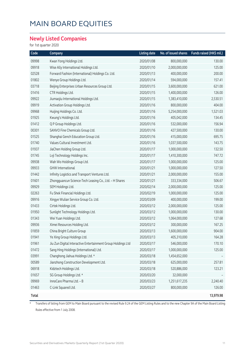#### **Newly Listed Companies**

for 1st quarter 2020

| Code  | Company                                                      | <b>Listing date</b> | No. of issued shares | Funds raised (HK\$ mil.) |
|-------|--------------------------------------------------------------|---------------------|----------------------|--------------------------|
| 09998 | Kwan Yong Holdings Ltd.                                      | 2020/01/08          | 800,000,000          | 130.00                   |
| 09918 | Wise Ally International Holdings Ltd.                        | 2020/01/10          | 2,000,000,000        | 125.00                   |
| 02528 | Forward Fashion (International) Holdings Co. Ltd.            | 2020/01/13          | 400,000,000          | 200.00                   |
| 01802 | Wenye Group Holdings Ltd.                                    | 2020/01/14          | 594,000,000          | 157.41                   |
| 03718 | Beijing Enterprises Urban Resources Group Ltd.               | 2020/01/15          | 3,600,000,000        | 621.00                   |
| 01416 | CTR Holdings Ltd.                                            | 2020/01/15          | 1,400,000,000        | 126.00                   |
| 09922 | Jiumaojiu International Holdings Ltd.                        | 2020/01/15          | 1,383,410,000        | 2,530.51                 |
| 09919 | Activation Group Holdings Ltd.                               | 2020/01/16          | 800,000,000          | 404.00                   |
| 09968 | Huijing Holdings Co. Ltd.                                    | 2020/01/16          | 5,254,000,000        | 1,521.03                 |
| 01925 | Kwung's Holdings Ltd.                                        | 2020/01/16          | 405,042,000          | 134.45                   |
| 01412 | Q P Group Holdings Ltd.                                      | 2020/01/16          | 532,000,000          | 156.94                   |
| 00301 | SANVO Fine Chemicals Group Ltd.                              | 2020/01/16          | 427,500,000          | 130.00                   |
| 01525 | Shanghai Gench Education Group Ltd.                          | 2020/01/16          | 415,000,000          | 695.75                   |
| 01740 | Values Cultural Investment Ltd.                              | 2020/01/16          | 1,037,500,000        | 143.75                   |
| 01937 | JiaChen Holding Group Ltd.                                   | 2020/01/17          | 1,000,000,000        | 132.50                   |
| 01745 | Lvji Technology Holdings Inc.                                | 2020/01/17          | 1,410,300,000        | 747.72                   |
| 09938 | Wah Wo Holdings Group Ltd.                                   | 2020/01/17          | 1,000,000,000        | 125.00                   |
| 09933 | <b>GHW</b> International                                     | 2020/01/21          | 1,000,000,000        | 127.50                   |
| 01442 | Infinity Logistics and Transport Ventures Ltd.               | 2020/01/21          | 2,000,000,000        | 155.00                   |
| 01601 | Zhongguancun Science-Tech Leasing Co., Ltd. - H Shares       | 2020/01/21          | 333,334,000          | 506.67                   |
| 09929 | SEM Holdings Ltd.                                            | 2020/02/14          | 2,000,000,000        | 125.00                   |
| 02263 | Fu Shek Financial Holdings Ltd.                              | 2020/02/19          | 1,000,000,000        | 125.00                   |
| 09916 | Xingye Wulian Service Group Co. Ltd.                         | 2020/03/09          | 400,000,000          | 199.00                   |
| 01433 | Cirtek Holdings Ltd.                                         | 2020/03/12          | 2,000,000,000        | 125.00                   |
| 01950 | Sunlight Technology Holdings Ltd.                            | 2020/03/12          | 1,000,000,000        | 130.00                   |
| 01343 | Wei Yuan Holdings Ltd.                                       | 2020/03/12          | 1,064,000,000        | 127.68                   |
| 09936 | Ximei Resources Holding Ltd.                                 | 2020/03/12          | 300,000,000          | 167.25                   |
| 01859 | China Bright Culture Group                                   | 2020/03/13          | 1,600,000,000        | 904.00                   |
| 01941 | Ye Xing Group Holdings Ltd.                                  | 2020/03/13          | 405,310,000          | 164.28                   |
| 01961 | Jiu Zun Digital Interactive Entertainment Group Holdings Ltd | 2020/03/17          | 546,000,000          | 170.10                   |
| 01472 | Sang Hing Holdings (International) Ltd.                      | 2020/03/17          | 1,000,000,000        | 125.00                   |
| 03991 | Changhong Jiahua Holdings Ltd. *                             | 2020/03/18          | 1,454,652,000        |                          |
| 00589 | Jianzhong Construction Development Ltd.                      | 2020/03/18          | 625,000,000          | 257.81                   |
| 06918 | Kidztech Holdings Ltd.                                       | 2020/03/18          | 520,886,000          | 123.21                   |
| 01657 | SG Group Holdings Ltd. *                                     | 2020/03/20          | 32,000,000           |                          |
| 09969 | InnoCare Pharma Ltd. - B                                     | 2020/03/23          | 1,251,617,235        | 2,240.40                 |
| 01463 | C-Link Squared Ltd.                                          | 2020/03/27          | 800,000,000          | 126.00                   |
| Total |                                                              |                     |                      | 13,979.98                |

\* Transfers of listing from GEM to Main Board pursuant to the revised Rule 9.24 of the GEM Listing Rules and to the new Chapter 9A of the Main Board Listing Rules effective from 1 July 2008.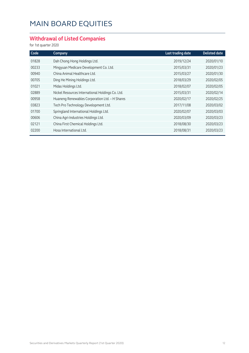### **Withdrawal of Listed Companies**

| Code  | Company                                          | Last trading date | <b>Delisted date</b> |
|-------|--------------------------------------------------|-------------------|----------------------|
| 01828 | Dah Chong Hong Holdings Ltd.                     | 2019/12/24        | 2020/01/10           |
| 00233 | Mingyuan Medicare Development Co. Ltd.           | 2015/03/31        | 2020/01/23           |
| 00940 | China Animal Healthcare Ltd.                     | 2015/03/27        | 2020/01/30           |
| 00705 | Ding He Mining Holdings Ltd.                     | 2018/03/29        | 2020/02/05           |
| 01021 | Midas Holdings Ltd.                              | 2018/02/07        | 2020/02/05           |
| 02889 | Nickel Resources International Holdings Co. Ltd. | 2015/03/31        | 2020/02/14           |
| 00958 | Huaneng Renewables Corporation Ltd. - H Shares   | 2020/02/17        | 2020/02/25           |
| 03823 | Tech Pro Technology Development Ltd.             | 2017/11/08        | 2020/03/02           |
| 01700 | Springland International Holdings Ltd.           | 2020/02/07        | 2020/03/03           |
| 00606 | China Agri-Industries Holdings Ltd.              | 2020/03/09        | 2020/03/23           |
| 02121 | China First Chemical Holdings Ltd.               | 2018/08/30        | 2020/03/23           |
| 02200 | Hosa International Ltd.                          | 2018/08/31        | 2020/03/23           |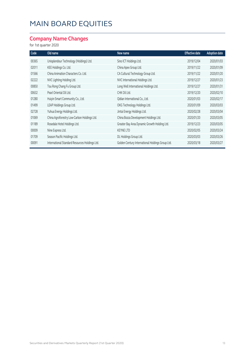### **Company Name Changes**

| Code  | Old name                                       | New name                                         | <b>Effective date</b> | <b>Adoption date</b> |
|-------|------------------------------------------------|--------------------------------------------------|-----------------------|----------------------|
| 00365 | Unisplendour Technology (Holdings) Ltd.        | Sino ICT Holdings Ltd.                           | 2019/12/04            | 2020/01/03           |
| 02011 | KEE Holdings Co. Ltd.                          | China Apex Group Ltd.                            | 2019/11/22            | 2020/01/09           |
| 01566 | China Animation Characters Co. Ltd.            | CA Cultural Technology Group Ltd.                | 2019/11/22            | 2020/01/20           |
| 02222 | NVC Lighting Holding Ltd.                      | NVC International Holdings Ltd.                  | 2019/12/27            | 2020/01/23           |
| 00850 | Tou Rong Chang Fu Group Ltd.                   | Long Well International Holdings Ltd.            | 2019/12/27            | 2020/01/31           |
| 00632 | Pearl Oriental Oil Ltd.                        | CHK Oil Ltd.                                     | 2019/12/20            | 2020/02/10           |
| 01280 | Huiyin Smart Community Co., Ltd.               | Qidian International Co., Ltd.                   | 2020/01/03            | 2020/02/17           |
| 01499 | LEAP Holdings Group Ltd.                       | OKG Technology Holdings Ltd.                     | 2020/01/09            | 2020/03/03           |
| 02728 | Yuhua Energy Holdings Ltd.                     | Jintai Energy Holdings Ltd.                      | 2020/02/28            | 2020/03/04           |
| 01069 | China Agroforestry Low-Carbon Holdings Ltd.    | China Bozza Development Holdings Ltd.            | 2020/01/20            | 2020/03/05           |
| 01189 | Rosedale Hotel Holdings Ltd.                   | Greater Bay Area Dynamic Growth Holding Ltd.     | 2019/12/23            | 2020/03/05           |
| 00009 | Nine Express Ltd.                              | <b>KEYNE LTD</b>                                 | 2020/02/05            | 2020/03/24           |
| 01709 | Season Pacific Holdings Ltd.                   | DL Holdings Group Ltd.                           | 2020/03/03            | 2020/03/26           |
| 00091 | International Standard Resources Holdings Ltd. | Golden Century International Holdings Group Ltd. | 2020/03/18            | 2020/03/27           |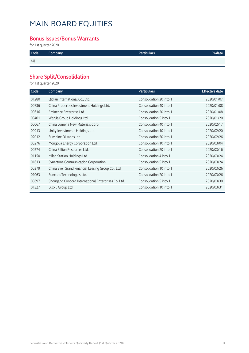#### **Bonus Issues/Bonus Warrants**

for 1st quarter 2020

| Code | Company | Particulars' | Ex-date' |
|------|---------|--------------|----------|
| Nil  |         |              |          |

### **Share Split/Consolidation**

| Code  | Company                                             | <b>Particulars</b>      | <b>Effective date</b> |
|-------|-----------------------------------------------------|-------------------------|-----------------------|
| 01280 | Qidian International Co., Ltd.                      | Consolidation 20 into 1 | 2020/01/07            |
| 00736 | China Properties Investment Holdings Ltd.           | Consolidation 40 into 1 | 2020/01/08            |
| 00616 | Eminence Enterprise Ltd.                            | Consolidation 20 into 1 | 2020/01/08            |
| 00401 | Wanjia Group Holdings Ltd.                          | Consolidation 5 into 1  | 2020/01/20            |
| 00067 | China Lumena New Materials Corp.                    | Consolidation 40 into 1 | 2020/02/17            |
| 00913 | Unity Investments Holdings Ltd.                     | Consolidation 10 into 1 | 2020/02/20            |
| 02012 | Sunshine Oilsands Ltd.                              | Consolidation 50 into 1 | 2020/02/26            |
| 00276 | Mongolia Energy Corporation Ltd.                    | Consolidation 10 into 1 | 2020/03/04            |
| 00274 | China Billion Resources Ltd.                        | Consolidation 20 into 1 | 2020/03/16            |
| 01150 | Milan Station Holdings Ltd.                         | Consolidation 4 into 1  | 2020/03/24            |
| 01613 | Synertone Communication Corporation                 | Consolidation 5 into 1  | 2020/03/24            |
| 00379 | China Ever Grand Financial Leasing Group Co., Ltd.  | Consolidation 10 into 1 | 2020/03/26            |
| 01063 | Suncorp Technologies Ltd.                           | Consolidation 20 into 1 | 2020/03/26            |
| 00697 | Shougang Concord International Enterprises Co. Ltd. | Consolidation 5 into 1  | 2020/03/30            |
| 01327 | Luxxu Group Ltd.                                    | Consolidation 10 into 1 | 2020/03/31            |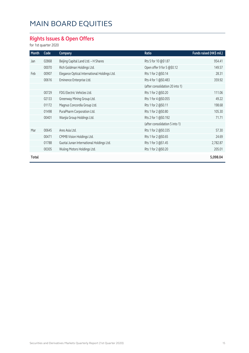### **Rights Issues & Open Offers**

| Month | Code  | Company                                      | Ratio                           | Funds raised (HK\$ mil.) |
|-------|-------|----------------------------------------------|---------------------------------|--------------------------|
| Jan   | 02868 | Beijing Capital Land Ltd. - H Shares         | Rts 5 for 10 @\$1.87            | 954.41                   |
|       | 00070 | Rich Goldman Holdings Ltd.                   | Open offer 9 for 5 @\$0.12      | 149.57                   |
| Feb   | 00907 | Elegance Optical International Holdings Ltd. | Rts 1 for 2 @\$0.14             | 28.31                    |
|       | 00616 | Eminence Enterprise Ltd.                     | Rts 4 for 1 @\$0.483            | 359.92                   |
|       |       |                                              | (after consolidation 20 into 1) |                          |
|       | 00729 | FDG Electric Vehicles Ltd.                   | Rts 1 for 2 @\$0.20             | 111.06                   |
|       | 02133 | Greenway Mining Group Ltd.                   | Rts 1 for 4 @\$0.055            | 49.22                    |
|       | 01172 | Magnus Concordia Group Ltd.                  | Rts 1 for 2 @\$0.11             | 198.68                   |
|       | 01498 | PuraPharm Corporation Ltd.                   | Rts 1 for 2 @\$0.80             | 105.30                   |
|       | 00401 | Wanjia Group Holdings Ltd.                   | Rts 2 for 1 @\$0.192            | 71.71                    |
|       |       |                                              | (after consolidation 5 into 1)  |                          |
| Mar   | 00645 | Ares Asia Ltd.                               | Rts 1 for 2 @\$0.335            | 57.30                    |
|       | 00471 | CMMB Vision Holdings Ltd.                    | Rts 1 for 2 @\$0.65             | 24.69                    |
|       | 01788 | Guotai Junan International Holdings Ltd.     | Rts 1 for 3 @\$1.45             | 2,782.87                 |
|       | 00305 | Wuling Motors Holdings Ltd.                  | Rts 1 for 2 @\$0.20             | 205.01                   |
| Total |       |                                              |                                 | 5,098.04                 |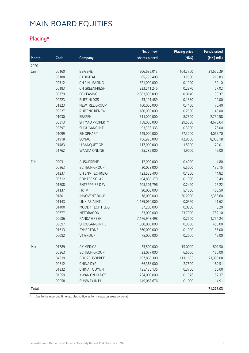### **Placing\***

|       |       |                       | No. of new    | <b>Placing price</b> | <b>Funds raised</b> |
|-------|-------|-----------------------|---------------|----------------------|---------------------|
| Month | Code  | Company               | shares placed | (HK <sup>2</sup> )   | (HK\$ mil.)         |
| 2020  |       |                       |               |                      |                     |
| Jan   | 06160 | <b>BEIGENE</b>        | 206,635,013   | 104.7760             | 21,650.39           |
|       | 06188 | <b>BJ DIGITAL</b>     | 65,793,400    | 3.2500               | 213.83              |
|       | 02312 | CH FIN LEASING        | 321,000,000   | 0.1000               | 32.10               |
|       | 06183 | CH GREENFRESH         | 233,511,246   | 0.2870               | 67.02               |
|       | 00379 | <b>EG LEASING</b>     | 2,383,830,000 | 0.0140               | 33.37               |
|       | 00223 | <b>ELIFE HLDGS</b>    | 53,191,489    | 0.1880               | 10.00               |
|       | 01323 | NEWTREE GROUP         | 160,000,000   | 0.4400               | 70.40               |
|       | 00527 | <b>RUIFENG RENEW</b>  | 180,000,000   | 0.2500               | 45.00               |
|       | 01030 | SEAZEN                | 311,000,000   | 8.7800               | 2,730.58            |
|       | 00813 | SHIMAO PROPERTY       | 158,000,000   | 29.5800              | 4,673.64            |
|       | 00697 | SHOUGANG INT'L        | 93,333,333    | 0.3000               | 28.00               |
|       | 01099 | SINOPHARM             | 149,000,000   | 27.3000              | 4,067.70            |
|       | 01918 | <b>SUNAC</b>          | 186,920,000   | 42.8000              | 8,000.18            |
|       | 01483 | U BANQUET GP          | 117,000,000   | 1.5300               | 179.01              |
|       | 01762 | WANKA ONLINE          | 25,789,000    | 1.9000               | 49.00               |
| Feb   | 02031 | AUSUPREME             | 12,000,000    | 0.4000               | 4.80                |
|       | 00863 | <b>BC TECH GROUP</b>  | 20,023,000    | 6.5000               | 130.15              |
|       | 01237 | CH ENV TECH&BIO       | 123,533,400   | 0.1200               | 14.82               |
|       | 00712 | COMTEC SOLAR          | 104,885,179   | 0.1000               | 10.49               |
|       | 01808 | <b>ENTERPRISE DEV</b> | 105,301,796   | 0.2490               | 26.22               |
|       | 01137 | <b>HKTV</b>           | 90,000,000    | 5.1500               | 463.50              |
|       | 01801 | <b>INNOVENT BIO-B</b> | 78,000,000    | 30.2000              | 2,355.60            |
|       | 01143 | LINK-ASIA INTL        | 1,189,060,000 | 0.0350               | 41.62               |
|       | 01400 | MOODY TECH HLDG       | 37,200,000    | 0.0860               | 3.20                |
|       | 00777 | NETDRAGON             | 33,000,000    | 23.7000              | 782.10              |
|       | 00686 | PANDA GREEN           | 7,176,943,498 | 0.2500               | 1,794.24            |
|       | 00697 | SHOUGANG INT'L        | 1,500,000,000 | 0.3000               | 450.00              |
|       | 01613 | SYNERTONE             | 860,000,000   | 0.1000               | 86.00               |
|       | 00082 | V1 GROUP              | 75,000,000    | 0.2000               | 15.00               |
| Mar   | 01789 | AK MEDICAL            | 53,500,000    | 15.0000              | 802.50              |
|       | 00863 | <b>BC TECH GROUP</b>  | 23,077,000    | 6.5000               | 150.00              |
|       | 04619 | BOC 20USDPREF         | 197,865,300   | 111.1665             | 21,996.00           |
|       | 00612 | <b>CHINA DYF</b>      | 66,368,000    | 2.7500               | 182.51              |
|       | 01332 | <b>CHINA TOUYUN</b>   | 135, 135, 135 | 0.3700               | 50.00               |
|       | 01559 | <b>KWAN ON HLDGS</b>  | 264,000,000   | 0.1976               | 52.17               |
|       | 00058 | SUNWAY INT'L          | 149,063,676   | 0.1000               | 14.91               |
| Total |       |                       |               |                      | 71,276.03           |

\* Due to the reporting time-lag, placing figures for the quarter are provisional.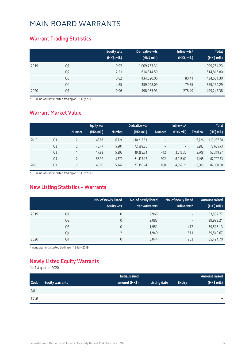#### **Warrant Trading Statistics**

|      |                | <b>Equity wts</b><br>(HK\$ mil.) | Derivative wts<br>(HK\$ mil.) | Inline wts*<br>$(HK\$ mil.) | <b>Total</b><br>(HK\$ mil.) |
|------|----------------|----------------------------------|-------------------------------|-----------------------------|-----------------------------|
| 2019 | Q1             | 0.92                             | 1,009,753.31                  | $\overline{\phantom{m}}$    | 1,009,754.23                |
|      | Q <sub>2</sub> | 2.21                             | 614,814.59                    | $\qquad \qquad -$           | 614,816.80                  |
|      | Q <sub>3</sub> | 0.82                             | 434,520.06                    | 80.41                       | 434,601.30                  |
|      | Q4             | 4.85                             | 359,048.09                    | 79.35                       | 359,132.29                  |
| 2020 | Q1             | 0.96                             | 498,963.93                    | 278.49                      | 499,243.38                  |

\* Inline warrants started trading on 18 July 2019

#### **Warrant Market Value**

|      |                |               | <b>Equity wts</b> |               | Derivative wts |                          | Inline wts*       |           | <b>Total</b> |
|------|----------------|---------------|-------------------|---------------|----------------|--------------------------|-------------------|-----------|--------------|
|      |                | <b>Number</b> | (HK\$ mil.)       | <b>Number</b> | (HK\$ mil.)    | <b>Number</b>            | $(HK$$ mil.)      | Total no. | (HK\$ mil.)  |
| 2019 | Q <sub>1</sub> |               | 43.87             | 6,724         | 110,213.51     | $\qquad \qquad -$        | $\qquad \qquad -$ | 6.726     | 110,257.38   |
|      | Q <sub>2</sub> |               | 46.47             | 5,981         | 72,589.26      | $\overline{\phantom{a}}$ | -                 | 5,983     | 72,635.73    |
|      | Q <sub>3</sub> |               | 17.92             | 5,295         | 49,285.74      | 412                      | 3.016.30          | 5,708     | 52,319.97    |
|      | Q4             |               | 55.92             | 4,571         | 61,435.12      | 922                      | 6,216.69          | 5,495     | 67,707.73    |
| 2020 | Q1             |               | 40.00             | 5.747         | 77,350.74      | 860                      | 4,959.26          | 6,609     | 82,350.00    |

\* Inline warrants started trading on 18 July 2019

#### **New Listing Statistics – Warrants**

|      |                | No. of newly listed<br>equity wts | No. of newly listed<br>derivative wts | No. of newly listed<br>inline wts* | <b>Amount raised</b><br>(HK\$ mil.) |
|------|----------------|-----------------------------------|---------------------------------------|------------------------------------|-------------------------------------|
| 2019 | Q1             | 0                                 | 2,965                                 | $\qquad \qquad -$                  | 53,532.77                           |
|      | Q <sub>2</sub> | 0                                 | 2,083                                 | $\overline{\phantom{a}}$           | 39,993.21                           |
|      | Q <sub>3</sub> | 0                                 | 1,951                                 | 412                                | 39,516.13                           |
|      | Q4             |                                   | 1,940                                 | 511                                | 39,549.67                           |
| 2020 | Q1             | 0                                 | 3,044                                 | 253                                | 65,494.70                           |

\* Inline warrants started trading on 18 July 2019

#### **Newly Listed Equity Warrants**

|            |                        | Initial issued |              |               | Amount raised |
|------------|------------------------|----------------|--------------|---------------|---------------|
| Code       | <b>Equity warrants</b> | amount (HK\$)  | Listing date | <b>Expiry</b> | (HK\$ mil.)   |
| <b>Nil</b> |                        |                |              |               |               |
| Total      |                        |                |              |               | $\sim$        |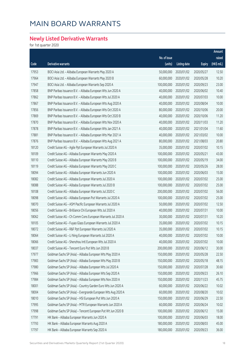### **Newly Listed Derivative Warrants**

|       |                                                              |              |                     |               | Amount                |
|-------|--------------------------------------------------------------|--------------|---------------------|---------------|-----------------------|
|       |                                                              | No. of issue |                     |               | raised                |
| Code  | Derivative warrants                                          | (units)      | <b>Listing date</b> | <b>Expiry</b> | $(HK\frac{1}{2}mil.)$ |
| 17953 | BOCI Asia Ltd. - Alibaba European Warrants May 2020 A        | 50,000,000   | 2020/01/02          | 2020/05/27    | 12.50                 |
| 17964 | BOCI Asia Ltd. - Alibaba European Warrants May 2020 B        | 60,000,000   | 2020/01/02          | 2020/05/28    | 10.20                 |
| 17947 | BOCI Asia Ltd. - Alibaba European Warrants Sep 2020 A        | 100,000,000  | 2020/01/02          | 2020/09/23    | 23.00                 |
| 17858 | BNP Paribas Issuance B.V. - Alibaba European Wts Jun 2020 A  | 40,000,000   | 2020/01/02          | 2020/06/02    | 10.40                 |
| 17862 | BNP Paribas Issuance B.V. - Alibaba European Wts Jul 2020 A  | 40,000,000   | 2020/01/02          | 2020/07/03    | 10.00                 |
| 17867 | BNP Paribas Issuance B.V. - Alibaba European Wts Aug 2020 A  | 40,000,000   | 2020/01/02          | 2020/08/04    | 10.00                 |
| 17856 | BNP Paribas Issuance B.V. - Alibaba European Wts Oct 2020 A  | 80,000,000   | 2020/01/02          | 2020/10/06    | 20.00                 |
| 17869 | BNP Paribas Issuance B.V. - Alibaba European Wts Oct 2020 B  | 40,000,000   | 2020/01/02          | 2020/10/06    | 11.20                 |
| 17870 | BNP Paribas Issuance B.V. - Alibaba European Wts Nov 2020 A  | 40,000,000   | 2020/01/02          | 2020/11/03    | 11.20                 |
| 17878 | BNP Paribas Issuance B.V. - Alibaba European Wts Jan 2021 A  | 40,000,000   | 2020/01/02          | 2021/01/04    | 11.60                 |
| 17881 | BNP Paribas Issuance B.V. - Alibaba European Wts Mar 2021 A  | 40,000,000   | 2020/01/02          | 2021/03/02    | 10.00                 |
| 17876 | BNP Paribas Issuance B.V. - Alibaba European Wts Aug 2021 A  | 80,000,000   | 2020/01/02          | 2021/08/03    | 20.80                 |
| 18120 | Credit Suisse AG - Agile Ppt European Warrants Jul 2020 A    | 35,000,000   | 2020/01/02          | 2020/07/02    | 10.15                 |
| 18109 | Credit Suisse AG - Alibaba European Warrants May 2020 A      | 100,000,000  | 2020/01/02          | 2020/05/21    | 43.00                 |
| 18110 | Credit Suisse AG - Alibaba European Warrants May 2020 B      | 100,000,000  | 2020/01/02          | 2020/05/19    | 34.00                 |
| 18119 | Credit Suisse AG - Alibaba European Warrants May 2020 C      | 100,000,000  | 2020/01/02          | 2020/05/26    | 28.00                 |
| 18094 | Credit Suisse AG - Alibaba European Warrants Jun 2020 A      | 100,000,000  | 2020/01/02          | 2020/06/03    | 15.00                 |
| 18082 | Credit Suisse AG - Alibaba European Warrants Jul 2020 A      | 100,000,000  | 2020/01/02          | 2020/07/02    | 25.00                 |
| 18088 | Credit Suisse AG - Alibaba European Warrants Jul 2020 B      | 100,000,000  | 2020/01/02          | 2020/07/02    | 25.00                 |
| 18108 | Credit Suisse AG - Alibaba European Warrants Jul 2020 C      | 200,000,000  | 2020/01/02          | 2020/07/02    | 56.00                 |
| 18098 | Credit Suisse AG - Alibaba European Put Warrants Jul 2020 A  | 100,000,000  | 2020/01/02          | 2020/07/02    | 25.00                 |
| 18070 | Credit Suisse AG - ASM Pacific European Warrants Jul 2020 A  | 50,000,000   | 2020/01/02          | 2020/07/02    | 12.50                 |
| 18056 | Credit Suisse AG - Brilliance Chi European Wts Jul 2020 A    | 40,000,000   | 2020/01/02          | 2020/07/31    | 10.00                 |
| 18062 | Credit Suisse AG - Ch Comm Cons European Warrants Jul 2020 A | 30,000,000   | 2020/01/02          | 2020/07/31    | 10.20                 |
| 18105 | Credit Suisse AG - Fuyao Glass European Warrants Jul 2020 A  | 35,000,000   | 2020/01/02          | 2020/07/02    | 10.15                 |
| 18072 | Credit Suisse AG - R&F Ppt European Warrants Jul 2020 A      | 35,000,000   | 2020/01/02          | 2020/07/02    | 10.15                 |
| 18064 | Credit Suisse AG - Li Ning European Warrants Jul 2020 A      | 40,000,000   | 2020/01/02          | 2020/07/02    | 10.00                 |
| 18066 | Credit Suisse AG - Shenzhou Intl European Wts Jul 2020 A     | 40,000,000   | 2020/01/02          | 2020/07/02    | 10.00                 |
| 18037 | Credit Suisse AG - Tencent Euro Put Wts Jun 2020 B           | 200,000,000  | 2020/01/02          | 2020/06/12    | 30.00                 |
| 17977 | Goldman Sachs SP (Asia) - Alibaba European Wts May 2020 A    | 150,000,000  | 2020/01/02          | 2020/05/28    | 22.50                 |
| 17983 | Goldman Sachs SP (Asia) - Alibaba European Wts May 2020 B    | 150,000,000  | 2020/01/02          | 2020/05/18    | 48.15                 |
| 17980 | Goldman Sachs SP (Asia) - Alibaba European Wts Jul 2020 A    | 150,000,000  | 2020/01/02          | 2020/07/28    | 30.60                 |
| 17966 | Goldman Sachs SP (Asia) - Alibaba European Wts Sep 2020 A    | 150,000,000  | 2020/01/02          | 2020/09/23    | 26.10                 |
| 17984 | Goldman Sachs SP (Asia) - Alibaba European Wts Nov 2020 A    | 150,000,000  | 2020/01/02          | 2020/11/23    | 45.75                 |
| 18001 | Goldman Sachs SP (Asia) - Country Garden Euro Wts Jun 2020 A | 60,000,000   | 2020/01/02          | 2020/06/22    | 10.02                 |
| 18004 | Goldman Sachs SP (Asia) - Evergrande European Wts Aug 2020 A | 60,000,000   | 2020/01/02          | 2020/08/20    | 10.02                 |
| 18010 | Goldman Sachs SP (Asia) - HSI European Put Wts Jun 2020 A    | 150,000,000  | 2020/01/02          | 2020/06/29    | 22.50                 |
| 17995 | Goldman Sachs SP (Asia) - MTR European Warrants Jun 2020 A   | 60,000,000   | 2020/01/02          | 2020/06/24    | 10.02                 |
| 17998 | Goldman Sachs SP (Asia) - Tencent European Put Wt Jun 2020 B | 100,000,000  | 2020/01/02          | 2020/06/12    | 15.00                 |
| 17791 | HK Bank - Alibaba European Warrants Jun 2020 A               | 100,000,000  | 2020/01/02          | 2020/06/03    | 18.00                 |
| 17793 | HK Bank - Alibaba European Warrants Aug 2020 A               | 180,000,000  | 2020/01/02          | 2020/08/03    | 45.00                 |
| 17797 | HK Bank - Alibaba European Warrants Sep 2020 A               | 180,000,000  | 2020/01/02          | 2020/09/23    | 36.00                 |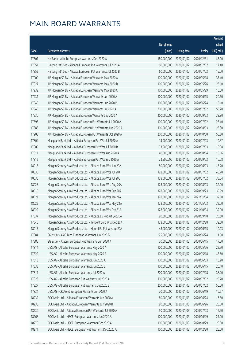|       |                                                              |                        |                     |               | Amount      |
|-------|--------------------------------------------------------------|------------------------|---------------------|---------------|-------------|
|       |                                                              | No. of issue           |                     |               | raised      |
| Code  | <b>Derivative warrants</b>                                   | (units)                | <b>Listing date</b> | <b>Expiry</b> | (HK\$ mil.) |
| 17801 | HK Bank - Alibaba European Warrants Dec 2020 A               | 180,000,000            | 2020/01/02          | 2020/12/31    | 45.00       |
| 17851 | Haitong Int'l Sec - Alibaba European Put Warrants Jul 2020 A | 60,000,000             | 2020/01/02          | 2020/07/02    | 17.40       |
| 17852 | Haitong Int'l Sec - Alibaba European Put Warrants Jul 2020 B | 60,000,000             | 2020/01/02          | 2020/07/02    | 15.00       |
| 17909 | J P Morgan SP BV - Alibaba European Warrants May 2020 A      | 100,000,000            | 2020/01/02          | 2020/05/18    | 33.40       |
| 17927 | J P Morgan SP BV - Alibaba European Warrants May 2020 B      | 100,000,000            | 2020/01/02          | 2020/05/26    | 25.10       |
| 17932 | J P Morgan SP BV - Alibaba European Warrants May 2020 C      | 100,000,000            | 2020/01/02          | 2020/05/29    | 15.50       |
| 17931 | J P Morgan SP BV - Alibaba European Warrants Jun 2020 A      | 100,000,000            | 2020/01/02          | 2020/06/15    | 20.60       |
| 17940 | J P Morgan SP BV - Alibaba European Warrants Jun 2020 B      | 100,000,000            | 2020/01/02          | 2020/06/24    | 15.10       |
| 17945 | J P Morgan SP BV - Alibaba European Warrants Jul 2020 A      | 200,000,000            | 2020/01/02          | 2020/07/02    | 50.20       |
| 17930 | J P Morgan SP BV - Alibaba European Warrants Sep 2020 A      | 200,000,000            | 2020/01/02          | 2020/09/23    | 33.80       |
| 17895 | J P Morgan SP BV - Alibaba European Put Warrants Jul 2020 A  | 100,000,000            | 2020/01/02          | 2020/07/02    | 25.40       |
| 17888 | J P Morgan SP BV - Alibaba European Put Warrants Aug 2020 A  | 100,000,000            | 2020/01/02          | 2020/08/03    | 25.30       |
| 17906 | J P Morgan SP BV - Alibaba European Put Warrants Oct 2020 A  | 200,000,000            | 2020/01/02          | 2020/10/30    | 50.80       |
| 17804 | Macquarie Bank Ltd. - Alibaba European Put Wts Jul 2020 A    | 13,000,000             | 2020/01/02          | 2020/07/03    | 10.37       |
| 17805 | Macquarie Bank Ltd. - Alibaba European Put Wts Jul 2020 B    | 33,500,000             | 2020/01/02          | 2020/07/03    | 10.08       |
| 17811 | Macquarie Bank Ltd. - Alibaba European Put Wts Aug 2020 A    | 40,000,000             | 2020/01/02          | 2020/08/04    | 10.16       |
| 17812 | Macquarie Bank Ltd. - Alibaba European Put Wts Sep 2020 A    | 23,500,000             | 2020/01/02          | 2020/09/02    | 10.08       |
| 18015 | Morgan Stanley Asia Products Ltd. - Alibaba Euro Wts Jun 20A | 80,000,000             | 2020/01/02          | 2020/06/03    | 15.20       |
| 18030 | Morgan Stanley Asia Products Ltd. - Alibaba Euro Wts Jul 20A | 128,000,000            | 2020/01/02          | 2020/07/02    | 40.70       |
| 18036 | Morgan Stanley Asia Products Ltd. - Alibaba Euro Wts Jul 20B | 128,000,000            | 2020/01/02          | 2020/07/02    | 33.54       |
| 18023 | Morgan Stanley Asia Products Ltd. - Alibaba Euro Wts Aug 20A | 128,000,000            | 2020/01/02          | 2020/08/03    | 32.00       |
| 18016 | Morgan Stanley Asia Products Ltd. - Alibaba Euro Wts Sep 20A | 128,000,000            | 2020/01/02          | 2020/09/23    | 30.59       |
| 18021 | Morgan Stanley Asia Products Ltd. - Alibaba Euro Wts Jan 21A | 128,000,000            | 2020/01/02          | 2021/01/04    | 32.00       |
| 18022 | Morgan Stanley Asia Products Ltd. - Alibaba Euro Wts May 21A | 128,000,000            | 2020/01/02          | 2021/05/03    | 32.00       |
| 18029 | Morgan Stanley Asia Products Ltd. - Alibaba Euro Wts Oct 21A | 128,000,000            | 2020/01/02          | 2021/10/04    | 32.00       |
| 17837 | Morgan Stanley Asia Products Ltd. - Alibaba Eu Put Wt Sep20A | 80,000,000             | 2020/01/02          | 2020/09/18    | 20.00       |
| 17845 | Morgan Stanley Asia Products Ltd. - Tencent Euro Wts Dec 20A | 128,000,000 2020/01/02 |                     | 2020/12/28    | 32.00       |
| 18013 | Morgan Stanley Asia Products Ltd. - Xiaomi Eu Put Wts Jun20A | 48,000,000             | 2020/01/02          | 2020/06/15    | 10.03       |
| 17884 | SG Issuer - AAC Tech European Warrants Jun 2020 B            | 25,000,000             | 2020/01/02          | 2020/06/24    | 11.50       |
| 17885 | SG Issuer - Xiaomi European Put Warrants Jun 2020 A          | 70,000,000             | 2020/01/02          | 2020/06/15    | 17.50       |
| 17814 | UBS AG - Alibaba European Warrants May 2020 A                | 100,000,000            | 2020/01/02          | 2020/05/26    | 22.90       |
| 17822 | UBS AG - Alibaba European Warrants May 2020 B                | 100,000,000            | 2020/01/02          | 2020/05/18    | 43.50       |
| 17813 | UBS AG - Alibaba European Warrants Jun 2020 A                | 100,000,000            | 2020/01/02          | 2020/06/03    | 15.20       |
| 17833 | UBS AG - Alibaba European Warrants Jun 2020 B                | 100,000,000            | 2020/01/02          | 2020/06/15    | 20.10       |
| 17817 | UBS AG - Alibaba European Warrants Jul 2020 A                | 200,000,000            | 2020/01/02          | 2020/07/28    | 38.20       |
| 17823 | UBS AG - Alibaba European Put Warrants Jul 2020 A            | 100,000,000            | 2020/01/02          | 2020/07/02    | 25.70       |
| 17827 | UBS AG - Alibaba European Put Warrants Jul 2020 B            | 200,000,000            | 2020/01/02          | 2020/07/02    | 50.00       |
| 17834 | UBS AG - CK Asset European Warrants Jun 2020 A               | 70,000,000             | 2020/01/02          | 2020/06/19    | 10.57       |
| 18232 | BOCI Asia Ltd. - Alibaba European Warrants Jun 2020 A        | 80,000,000             | 2020/01/03          | 2020/06/24    | 16.80       |
| 18235 | BOCI Asia Ltd. - Alibaba European Warrants Jun 2020 B        | 80,000,000             | 2020/01/03          | 2020/06/26    | 20.00       |
| 18236 | BOCI Asia Ltd. - Alibaba European Put Warrants Jul 2020 A    | 50,000,000             | 2020/01/03          | 2020/07/03    | 12.50       |
| 18268 | BOCI Asia Ltd. - HSCEI European Warrants Jun 2020 A          | 100,000,000            | 2020/01/03          | 2020/06/29    | 27.00       |
| 18270 | BOCI Asia Ltd. - HSCEI European Warrants Oct 2020 A          | 100,000,000            | 2020/01/03          | 2020/10/29    | 20.00       |
| 18271 | BOCI Asia Ltd. - HSCEI European Put Warrants Dec 2020 A      | 100,000,000            | 2020/01/03          | 2020/12/30    | 25.00       |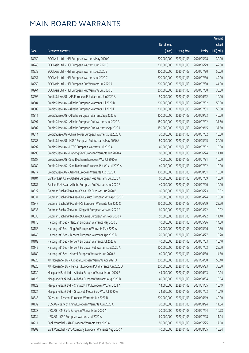|       |                                                              |              |                       |               | Amount      |
|-------|--------------------------------------------------------------|--------------|-----------------------|---------------|-------------|
|       |                                                              | No. of issue |                       |               | raised      |
| Code  | Derivative warrants                                          | (units)      | <b>Listing date</b>   | <b>Expiry</b> | (HK\$ mil.) |
| 18250 | BOCI Asia Ltd. - HSI European Warrants May 2020 C            | 200,000,000  | 2020/01/03            | 2020/05/28    | 30.00       |
| 18248 | BOCI Asia Ltd. - HSI European Warrants Jun 2020 C            | 200,000,000  | 2020/01/03            | 2020/06/29    | 42.00       |
| 18239 | BOCI Asia Ltd. - HSI European Warrants Jul 2020 B            | 200,000,000  | 2020/01/03            | 2020/07/30    | 50.00       |
| 18251 | BOCI Asia Ltd. - HSI European Warrants Jul 2020 C            | 200,000,000  | 2020/01/03            | 2020/07/30    | 42.00       |
| 18259 | BOCI Asia Ltd. - HSI European Put Warrants Jul 2020 A        | 200,000,000  | 2020/01/03            | 2020/07/30    | 44.00       |
| 18264 | BOCI Asia Ltd. - HSI European Put Warrants Jul 2020 B        | 200,000,000  | 2020/01/03            | 2020/07/30    | 30.00       |
| 18296 | Credit Suisse AG - AIA European Put Warrants Jun 2020 A      | 50,000,000   | 2020/01/03            | 2020/06/12    | 10.00       |
| 18304 | Credit Suisse AG - Alibaba European Warrants Jul 2020 D      | 200,000,000  | 2020/01/03            | 2020/07/02    | 50.00       |
| 18309 | Credit Suisse AG - Alibaba European Warrants Jul 2020 E      | 200,000,000  | 2020/01/03            | 2020/07/31    | 50.00       |
| 18311 | Credit Suisse AG - Alibaba European Warrants Sep 2020 A      | 200,000,000  | 2020/01/03            | 2020/09/23    | 40.00       |
| 18297 | Credit Suisse AG - Alibaba European Put Warrants Jul 2020 B  | 150,000,000  | 2020/01/03            | 2020/07/02    | 37.50       |
| 18302 | Credit Suisse AG - Alibaba European Put Warrants Sep 2020 A  | 150,000,000  | 2020/01/03            | 2020/09/15    | 37.50       |
| 18314 | Credit Suisse AG - China Tower European Warrants Jul 2020 A  | 70,000,000   | 2020/01/03            | 2020/07/02    | 10.50       |
| 18283 | Credit Suisse AG - HSBC European Put Warrants May 2020 A     | 80,000,000   | 2020/01/03            | 2020/05/25    | 20.00       |
| 18292 | Credit Suisse AG - HTSC European Warrants Jul 2020 A         | 40,000,000   | 2020/01/03            | 2020/07/02    | 10.00       |
| 18290 | Credit Suisse AG - Haitong Sec European Warrants Jun 2020 A  | 60,000,000   | 2020/01/03            | 2020/06/24    | 11.40       |
| 18287 | Credit Suisse AG - Sino Biopharm European Wts Jul 2020 A     | 40,000,000   | 2020/01/03            | 2020/07/31    | 10.00       |
| 18289 | Credit Suisse AG - Sino Biopharm European Put Wts Jul 2020 A | 40,000,000   | 2020/01/03            | 2020/07/02    | 10.00       |
| 18277 | Credit Suisse AG - Xiaomi European Warrants Aug 2020 A       | 100,000,000  | 2020/01/03            | 2020/08/31    | 15.00       |
| 18184 | Bank of East Asia - Alibaba European Put Warrants Jul 2020 A | 60,000,000   | 2020/01/03            | 2020/07/09    | 15.00       |
| 18187 | Bank of East Asia - Alibaba European Put Warrants Jul 2020 B | 40,000,000   | 2020/01/03            | 2020/07/20    | 10.00       |
| 18322 | Goldman Sachs SP (Asia) - China Life Euro Wts Jun 2020 B     | 60,000,000   | 2020/01/03            | 2020/06/23    | 10.02       |
| 18331 | Goldman Sachs SP (Asia) - Geely Auto European Wts Apr 2020 B | 70,000,000   | 2020/01/03            | 2020/04/24    | 10.50       |
| 18347 | Goldman Sachs SP (Asia) - HSI European Warrants Jun 2020 C   | 150,000,000  | 2020/01/03            | 2020/06/29    | 22.50       |
| 18333 | Goldman Sachs SP (Asia) - Kingsoft European Wts Apr 2020 A   | 60,000,000   | 2020/01/03            | 2020/04/22    | 10.02       |
| 18335 | Goldman Sachs SP (Asia) - ZA Onine European Wts Apr 2020 A   | 50,000,000   | 2020/01/03            | 2020/04/22    | 11.40       |
| 18175 | Haitong Int'l Sec - Meituan European Warrants May 2020 B     |              | 40,000,000 2020/01/03 | 2020/05/26    | 14.00       |
| 18156 | Haitong Int'l Sec - Ping An European Warrants May 2020 A     | 70,000,000   | 2020/01/03            | 2020/05/26    | 10.50       |
| 18140 | Haitong Int'l Sec - Tencent European Warrants Apr 2020 B     | 20,000,000   | 2020/01/03            | 2020/04/27    | 10.20       |
| 18182 | Haitong Int'l Sec - Tencent European Warrants Jul 2020 A     | 40,000,000   | 2020/01/03            | 2020/07/03    | 10.40       |
| 18142 | Haitong Int'l Sec - Tencent European Put Warrants Jul 2020 A | 100,000,000  | 2020/01/03            | 2020/07/02    | 25.00       |
| 18180 | Haitong Int'l Sec - Xiaomi European Warrants Jun 2020 A      | 40,000,000   | 2020/01/03            | 2020/06/30    | 14.80       |
| 18225 | J P Morgan SP BV - Alibaba European Warrants Apr 2021 A      | 200,000,000  | 2020/01/03            | 2021/04/30    | 50.40       |
| 18226 | J P Morgan SP BV - Tencent European Put Warrants Jun 2020 D  | 200,000,000  | 2020/01/03            | 2020/06/23    | 38.80       |
| 18130 | Macquarie Bank Ltd. - Alibaba European Warrants Jun 2020 F   | 49,000,000   | 2020/01/03            | 2020/06/03    | 10.14       |
| 18126 | Macquarie Bank Ltd. - Alibaba European Warrants Aug 2020 D   | 40,000,000   | 2020/01/03            | 2020/08/04    | 10.04       |
| 18122 | Macquarie Bank Ltd. - Chinasoft Int'l European Wt Jan 2021 A | 14,000,000   | 2020/01/03            | 2021/01/05    | 10.19       |
| 18124 | Macquarie Bank Ltd. - Greatwall Motor Euro Wts Jul 2020 A    | 24,500,000   | 2020/01/03            | 2020/07/03    | 10.19       |
| 18348 | SG Issuer - Tencent European Warrants Jun 2020 B             | 200,000,000  | 2020/01/03            | 2020/06/19    | 49.00       |
| 18132 | UBS AG - Bank of China European Warrants Aug 2020 A          | 70,000,000   | 2020/01/03            | 2020/08/24    | 11.34       |
| 18138 | UBS AG - CM Bank European Warrants Jul 2020 A                | 70,000,000   | 2020/01/03            | 2020/07/24    | 10.78       |
| 18134 | UBS AG - ICBC European Warrants Jul 2020 A                   | 60,000,000   | 2020/01/03            | 2020/07/28    | 11.04       |
| 18211 | Bank Vontobel - AIA European Warrants May 2020 A             | 80,000,000   | 2020/01/03            | 2020/05/25    | 17.68       |
| 18202 | Bank Vontobel - BYD Company European Warrants Aug 2020 A     | 40,000,000   | 2020/01/03            | 2020/08/05    | 15.24       |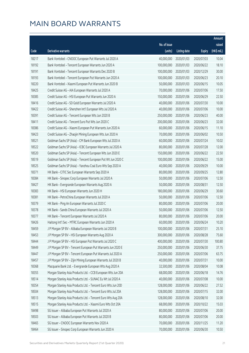|       |                                                              |              |                       |               | Amount      |
|-------|--------------------------------------------------------------|--------------|-----------------------|---------------|-------------|
|       |                                                              | No. of issue |                       |               | raised      |
| Code  | <b>Derivative warrants</b>                                   | (units)      | <b>Listing date</b>   | <b>Expiry</b> | (HK\$ mil.) |
| 18217 | Bank Vontobel - CNOOC European Put Warrants Jul 2020 A       | 40,000,000   | 2020/01/03            | 2020/07/03    | 10.04       |
| 18192 | Bank Vontobel - Tencent European Warrants Jun 2020 A         | 100,000,000  | 2020/01/03            | 2020/06/22    | 18.10       |
| 18191 | Bank Vontobel - Tencent European Warrants Dec 2020 B         | 100,000,000  | 2020/01/03            | 2020/12/29    | 30.00       |
| 18193 | Bank Vontobel - Tencent European Put Warrants Jun 2020 A     | 100,000,000  | 2020/01/03            | 2020/06/23    | 20.10       |
| 18220 | Bank Vontobel - Xiaomi European Put Warrants Jun 2020 B      | 50,000,000   | 2020/01/03            | 2020/06/15    | 10.05       |
| 18425 | Credit Suisse AG - AIA European Warrants Jul 2020 A          | 70,000,000   | 2020/01/06            | 2020/07/06    | 17.50       |
| 18385 | Credit Suisse AG - HSI European Put Warrants Jun 2020 A      | 150,000,000  | 2020/01/06            | 2020/06/29    | 22.50       |
| 18416 | Credit Suisse AG - SD Gold European Warrants Jul 2020 A      | 40,000,000   | 2020/01/06            | 2020/07/30    | 10.00       |
| 18422 | Credit Suisse AG - Shenzhen Int'l European Wts Jul 2020 A    | 40,000,000   | 2020/01/06            | 2020/07/06    | 10.00       |
| 18391 | Credit Suisse AG - Tencent European Wts Jun 2020 B           | 250,000,000  | 2020/01/06            | 2020/06/23    | 40.00       |
| 18411 | Credit Suisse AG - Tencent Euro Put Wts Jun 2020 C           | 200,000,000  | 2020/01/06            | 2020/06/23    | 32.00       |
| 18386 | Credit Suisse AG - Xiaomi European Put Warrants Jun 2020 A   | 60,000,000   | 2020/01/06            | 2020/06/15    | 11.10       |
| 18423 | Credit Suisse AG - Zhaojin Mining European Wts Jun 2020 A    | 70,000,000   | 2020/01/06            | 2020/06/02    | 10.50       |
| 18521 | Goldman Sachs SP (Asia) - CM Bank European Wts Jul 2020 A    | 60,000,000   | 2020/01/06            | 2020/07/24    | 10.02       |
| 18522 | Goldman Sachs SP (Asia) - ICBC European Warrants Jul 2020 A  | 80,000,000   | 2020/01/06            | 2020/07/28    | 12.00       |
| 18520 | Goldman Sachs SP (Asia) - Tencent European Wts Jun 2020 E    | 150,000,000  | 2020/01/06            | 2020/06/22    | 22.50       |
| 18519 | Goldman Sachs SP (Asia) - Tencent European Put Wt Jun 2020 C | 100,000,000  | 2020/01/06            | 2020/06/22    | 15.00       |
| 18525 | Goldman Sachs SP (Asia) - Yanzhou Coal Euro Wts Sep 2020 A   | 40,000,000   | 2020/01/06            | 2020/09/29    | 10.00       |
| 18371 | HK Bank - CITIC Sec European Warrants Sep 2020 A             | 80,000,000   | 2020/01/06            | 2020/09/25    | 12.80       |
| 18384 | HK Bank - Sinopec Corp European Warrants Jul 2020 A          | 50,000,000   | 2020/01/06            | 2020/07/06    | 12.50       |
| 18427 | HK Bank - Evergrande European Warrants Aug 2020 A            | 50,000,000   | 2020/01/06            | 2020/08/31    | 12.50       |
| 18383 | HK Bank - HSI European Warrants Jun 2020 H                   | 180,000,000  | 2020/01/06            | 2020/06/29    | 30.60       |
| 18381 | HK Bank - PetroChina European Warrants Jul 2020 A            | 50,000,000   | 2020/01/06            | 2020/07/06    | 12.50       |
| 18379 | HK Bank - Ping An European Warrants Jul 2020 C               | 80,000,000   | 2020/01/06            | 2020/07/06    | 20.00       |
| 18378 | HK Bank - Sands China European Warrants Jul 2020 A           | 50,000,000   | 2020/01/06            | 2020/07/06    | 12.50       |
| 18377 | HK Bank - Tencent European Warrants Jul 2020 A               | 80,000,000   | 2020/01/06            | 2020/07/06    | 20.00       |
| 18426 | Haitong Int'l Sec - MTRC European Warrants Jun 2020 A        |              | 60,000,000 2020/01/06 | 2020/06/24    | 10.20       |
| 18459 | J P Morgan SP BV - Alibaba European Warrants Jul 2020 B      | 100,000,000  | 2020/01/06            | 2020/07/31    | 25.10       |
| 18453 | J P Morgan SP BV - HSI European Warrants Aug 2020 A          | 300,000,000  | 2020/01/06            | 2020/08/28    | 75.60       |
| 18444 | J P Morgan SP BV - HSI European Put Warrants Jul 2020 C      | 400,000,000  | 2020/01/06            | 2020/07/30    | 100.80      |
| 18449 | J P Morgan SP BV - Tencent European Put Warrants Jun 2020 E  | 250,000,000  | 2020/01/06            | 2020/06/30    | 37.75       |
| 18447 | J P Morgan SP BV - Tencent European Put Warrants Jul 2020 A  | 250,000,000  | 2020/01/06            | 2020/07/06    | 63.75       |
| 18457 | J P Morgan SP BV - Zijin Mining European Warrants Jul 2020 B | 40,000,000   | 2020/01/06            | 2020/07/31    | 10.00       |
| 18368 | Macquarie Bank Ltd. - Evergrande European Wts Aug 2020 A     | 32,500,000   | 2020/01/06            | 2020/08/04    | 10.08       |
| 18355 | Morgan Stanley Asia Products Ltd. - CCB European Wts Jun 20A | 68,000,000   | 2020/01/06            | 2020/06/18    | 14.76       |
| 18514 | Morgan Stanley Asia Products Ltd. - SUNAC Eu Wt Jul 2020 A   | 40,000,000   | 2020/01/06            | 2020/07/08    | 10.00       |
| 18354 | Morgan Stanley Asia Products Ltd. - Tencent Euro Wts Jun 20D | 128,000,000  | 2020/01/06            | 2020/06/22    | 27.52       |
| 18504 | Morgan Stanley Asia Products Ltd. - Tencent Euro Wts Jul 20A | 128,000,000  | 2020/01/06            | 2020/07/15    | 32.00       |
| 18513 | Morgan Stanley Asia Products Ltd. - Tencent Euro Wts Aug 20A | 128,000,000  | 2020/01/06            | 2020/08/10    | 32.00       |
| 18515 | Morgan Stanley Asia Products Ltd. - Xiaomi Euro Wts Oct 20A  | 68,000,000   | 2020/01/06            | 2020/10/22    | 15.03       |
| 18498 | SG Issuer - Alibaba European Put Warrants Jul 2020 A         | 80,000,000   | 2020/01/06            | 2020/07/06    | 20.00       |
| 18503 | SG Issuer - Alibaba European Put Warrants Jul 2020 B         | 80,000,000   | 2020/01/06            | 2020/07/06    | 20.00       |
| 18465 | SG Issuer - CNOOC European Warrants Nov 2020 A               | 70,000,000   | 2020/01/06            | 2020/11/25    | 11.20       |
| 18464 | SG Issuer - Sinopec Corp European Warrants Jun 2020 A        | 70,000,000   | 2020/01/06            | 2020/06/30    | 10.50       |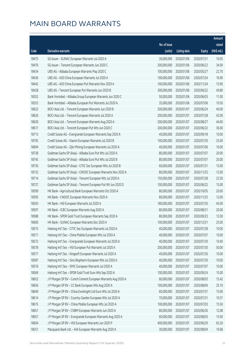|       |                                                              |                        |                     |               | Amount      |
|-------|--------------------------------------------------------------|------------------------|---------------------|---------------|-------------|
|       |                                                              | No. of issue           |                     |               | raised      |
| Code  | Derivative warrants                                          | (units)                | <b>Listing date</b> | <b>Expiry</b> | (HK\$ mil.) |
| 18475 | SG Issuer - SUNAC European Warrants Jul 2020 A               | 30,000,000             | 2020/01/06          | 2020/07/31    | 10.05       |
| 18476 | SG Issuer - Tencent European Warrants Jun 2020 C             | 200,000,000            | 2020/01/06          | 2020/06/22    | 34.00       |
| 18434 | UBS AG - Alibaba European Warrants May 2020 C                | 100,000,000            | 2020/01/06          | 2020/05/27    | 22.70       |
| 18436 | UBS AG - A50 China European Warrants Jul 2020 A              | 100,000,000            | 2020/01/06          | 2020/07/24    | 16.90       |
| 18442 | UBS AG - A50 China European Put Warrants Nov 2020 A          | 100,000,000            | 2020/01/06          | 2020/11/24    | 15.90       |
| 18428 | UBS AG - Tencent European Put Warrants Jun 2020 B            | 300,000,000            | 2020/01/06          | 2020/06/22    | 49.80       |
| 18352 | Bank Vontobel - Alibaba Group European Warrants Jun 2020 C   | 50,000,000             | 2020/01/06          | 2020/06/03    | 11.00       |
| 18353 | Bank Vontobel - Alibaba European Put Warrants Jul 2020 A     | 35,000,000             | 2020/01/06          | 2020/07/06    | 10.50       |
| 18622 | BOCI Asia Ltd. - Tencent European Warrants Jun 2020 B        | 200,000,000            | 2020/01/07          | 2020/06/24    | 40.00       |
| 18626 | BOCI Asia Ltd. - Tencent European Warrants Jul 2020 A        | 200,000,000            | 2020/01/07          | 2020/07/28    | 42.00       |
| 18630 | BOCI Asia Ltd. - Tencent European Warrants Aug 2020 A        | 200,000,000            | 2020/01/07          | 2020/08/27    | 44.00       |
| 18617 | BOCI Asia Ltd. - Tencent European Put Wts Jun 2020 C         | 200,000,000            | 2020/01/07          | 2020/06/22    | 36.00       |
| 18713 | Credit Suisse AG - Evergrande European Warrants Sep 2020 A   | 40,000,000             | 2020/01/07          | 2020/09/18    | 10.00       |
| 18705 | Credit Suisse AG - Xiaomi European Warrants Jul 2020 B       | 100,000,000            | 2020/01/07          | 2020/07/30    | 25.00       |
| 18694 | Credit Suisse AG - Zijin Mining European Warrants Jul 2020 A | 40,000,000             | 2020/01/07          | 2020/07/06    | 10.00       |
| 18738 | Goldman Sachs SP (Asia) - Alibaba Euro Put Wts Jul 2020 A    | 80,000,000             | 2020/01/07          | 2020/07/07    | 20.00       |
| 18745 | Goldman Sachs SP (Asia) - Alibaba Euro Put Wts Jul 2020 B    | 80,000,000             | 2020/01/07          | 2020/07/07    | 20.00       |
| 18730 | Goldman Sachs SP (Asia) - CITIC Sec European Wts Jul 2020 B  | 60,000,000             | 2020/01/07          | 2020/07/31    | 15.00       |
| 18732 | Goldman Sachs SP (Asia) - CNOOC European Warrants Nov 2020 A | 80,000,000             | 2020/01/07          | 2020/11/25    | 12.00       |
| 18714 | Goldman Sachs SP (Asia) - Tencent European Wts Jul 2020 A    | 150,000,000            | 2020/01/07          | 2020/07/28    | 22.50       |
| 18727 | Goldman Sachs SP (Asia) - Tencent European Put Wt Jun 2020 D | 100,000,000            | 2020/01/07          | 2020/06/22    | 15.00       |
| 18599 | HK Bank - Agricultural Bank European Warrants Oct 2020 A     | 80,000,000             | 2020/01/07          | 2020/10/05    | 20.00       |
| 18595 | HK Bank - CNOOC European Warrants Nov 2020 A                 | 80,000,000             | 2020/01/07          | 2020/11/25    | 12.00       |
| 18593 | HK Bank - HSI European Warrants Jul 2020 A                   | 180,000,000            | 2020/01/07          | 2020/07/30    | 45.00       |
| 18597 | HK Bank - ICBC European Warrants Aug 2020 A                  | 80,000,000             | 2020/01/07          | 2020/08/31    | 20.00       |
| 18588 | HK Bank - SPDR Gold Trust European Warrants Sep 2020 A       | 80,000,000             | 2020/01/07          | 2020/09/23    | 12.00       |
| 18600 | HK Bank - SUNAC European Warrants Dec 2020 A                 | 100,000,000 2020/01/07 |                     | 2020/12/31    | 25.00       |
| 18575 | Haitong Int'l Sec - CITIC Sec European Warrants Jul 2020 A   | 40,000,000             | 2020/01/07          | 2020/07/28    | 10.00       |
| 18571 | Haitong Int'l Sec - China Mobile European Wts Jul 2020 A     | 40,000,000             | 2020/01/07          | 2020/07/07    | 10.00       |
| 18572 | Haitong Int'l Sec - Evergrande European Warrants Jul 2020 A  | 40,000,000             | 2020/01/07          | 2020/07/30    | 10.40       |
| 18578 | Haitong Int'l Sec - HSI European Put Warrants Jul 2020 A     | 200,000,000            | 2020/01/07          | 2020/07/30    | 50.00       |
| 18577 | Haitong Int'l Sec - Kingsoft European Warrants Jul 2020 A    | 40,000,000             | 2020/01/07          | 2020/07/30    | 10.00       |
| 18587 | Haitong Int'l Sec - Sino Biopharm European Wts Jul 2020 A    | 40,000,000             | 2020/01/07          | 2020/07/30    | 10.00       |
| 18576 | Haitong Int'l Sec - SMIC European Warrants Jul 2020 A        | 40,000,000             | 2020/01/07          | 2020/07/07    | 10.00       |
| 18569 | Haitong Int'l Sec - SPDR Gold Trust Euro Wts Sep 2020 A      | 100,000,000            | 2020/01/07          | 2020/09/24    | 15.00       |
| 18652 | J P Morgan SP BV - Conch Cement European Warrants Aug 2020 A | 60,000,000             | 2020/01/07          | 2020/08/03    | 15.42       |
| 18656 | J P Morgan SP BV - CC Bank European Wts Aug 2020 A           | 100,000,000            | 2020/01/07          | 2020/08/04    | 25.10       |
| 18649 | J P Morgan SP BV - China Everbright Ltd Euro Wts Jul 2020 A  | 60,000,000             | 2020/01/07          | 2020/07/31    | 15.06       |
| 18614 | J P Morgan SP BV - Country Garden European Wts Jul 2020 A    | 70,000,000             | 2020/01/07          | 2020/07/31    | 10.57       |
| 18615 | J P Morgan SP BV - China Mobile European Wts Jul 2020 A      | 100,000,000            | 2020/01/07          | 2020/07/03    | 15.50       |
| 18651 | J P Morgan SP BV - CNBM European Warrants Jun 2020 A         | 80,000,000             | 2020/01/07          | 2020/06/26    | 12.08       |
| 18657 | J P Morgan SP BV - Evergrande European Warrants Aug 2020 A   | 60,000,000             | 2020/01/07          | 2020/08/03    | 15.00       |
| 18604 | J P Morgan SP BV - HSI European Warrants Jun 2020 P          | 400,000,000            | 2020/01/07          | 2020/06/29    | 63.20       |
| 18551 | Macquarie Bank Ltd. - AIA European Warrants Aug 2020 A       | 30,000,000             | 2020/01/07          | 2020/08/04    | 10.68       |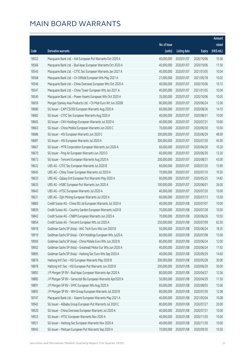|                |                                                                                                                           |                          |                          |                          | Amount         |
|----------------|---------------------------------------------------------------------------------------------------------------------------|--------------------------|--------------------------|--------------------------|----------------|
|                |                                                                                                                           | No. of issue             |                          |                          | raised         |
| Code           | Derivative warrants                                                                                                       | (units)                  | <b>Listing date</b>      | <b>Expiry</b>            | (HK\$ mil.)    |
| 18552          | Macquarie Bank Ltd. - AIA European Put Warrants Oct 2020 A                                                                | 40,000,000               | 2020/01/07               | 2020/10/06               | 10.36          |
| 18566          | Macquarie Bank Ltd. - Bud Apac European Warrants Oct 2020 A                                                               | 40,000,000               | 2020/01/07               | 2020/10/06               | 11.56          |
| 18545          | Macquarie Bank Ltd. - CITIC Sec European Warrants Jan 2021 A                                                              | 40,000,000               | 2020/01/07               | 2021/01/05               | 10.04          |
| 18568          | Macquarie Bank Ltd. - Ch Oilfield European Wts May 2021 A                                                                 | 27,000,000               | 2020/01/07               | 2021/05/18               | 10.02          |
| 18546          | Macquarie Bank Ltd. - China Overseas European Wts Oct 2020 A                                                              | 40,000,000               | 2020/01/07               | 2020/10/06               | 10.12          |
| 18547          | Macquarie Bank Ltd. - China Tower European Wts Jan 2021 A                                                                 | 40,000,000               | 2020/01/07               | 2021/01/05               | 10.04          |
| 18540          | Macquarie Bank Ltd. - Power Assets European Wts Oct 2020 A                                                                | 35,000,000               | 2020/01/07               | 2020/10/06               | 10.05          |
| 18659          | Morgan Stanley Asia Products Ltd. - Ch Mob Euro Wt Jun 2020B                                                              | 80,000,000               | 2020/01/07               | 2020/06/24               | 12.00          |
| 18680          | SG Issuer - CAM CSI300 European Warrants Aug 2020 A                                                                       | 60,000,000               | 2020/01/07               | 2020/08/26               | 14.10          |
| 18682          | SG Issuer - CITIC Sec European Warrants Aug 2020 A                                                                        | 40,000,000               | 2020/01/07               | 2020/08/31               | 10.00          |
| 18665          | SG Issuer - CKH Holdings European Warrants Jul 2020 A                                                                     | 40,000,000               | 2020/01/07               | 2020/07/31               | 10.60          |
| 18663          | SG Issuer - China Mobile European Warrants Jun 2020 C                                                                     | 70,000,000               | 2020/01/07               | 2020/06/30               | 10.50          |
| 18686          | SG Issuer - HSI European Warrants Jun 2020 C                                                                              | 300,000,000              | 2020/01/07               | 2020/06/29               | 48.00          |
| 18687          | SG Issuer - HSI European Warrants Jul 2020 A                                                                              | 300,000,000              | 2020/01/07               | 2020/07/30               | 45.00          |
| 18667          | SG Issuer - MTR Corporation European Warrants Jun 2020 A                                                                  | 60,000,000               | 2020/01/07               | 2020/06/30               | 10.20          |
| 18670          | SG Issuer - Ping An European Warrants Jun 2020 D                                                                          | 60,000,000               | 2020/01/07               | 2020/06/30               | 13.20          |
| 18673          | SG Issuer - Tencent European Warrants Aug 2020 A                                                                          | 200,000,000              | 2020/01/07               | 2020/08/31               | 43.00          |
| 18632          | UBS AG - CITIC Sec European Warrants Jul 2020 B                                                                           | 60,000,000               | 2020/01/07               | 2020/07/20               | 15.90          |
| 18645          | UBS AG - China Tower European Warrants Jul 2020 A                                                                         | 70,000,000               | 2020/01/07               | 2020/07/10               | 10.50          |
| 18633          | UBS AG - Galaxy Ent European Put Warrants May 2020 A                                                                      | 60,000,000               | 2020/01/07               | 2020/05/25               | 14.82          |
| 18635          | UBS AG - HSBC European Put Warrants Jun 2020 A                                                                            | 100,000,000              | 2020/01/07               | 2020/06/01               | 26.00          |
| 18643          | UBS AG - HTSC European Warrants Jul 2020 A                                                                                | 40,000,000               | 2020/01/07               | 2020/07/20               | 10.00          |
| 18631          | UBS AG - Zijin Mining European Warrants Jul 2020 A                                                                        | 60,000,000               | 2020/01/07               | 2020/07/13               | 15.00          |
| 18883          | Credit Suisse AG - China EB Ltd European Warrants Jul 2020 A                                                              | 40,000,000               | 2020/01/08               | 2020/07/07               | 10.00          |
| 18839          | Credit Suisse AG - Country Garden European Warrants Jul20 B                                                               | 70,000,000               | 2020/01/08               | 2020/07/28               | 10.50          |
| 18842          | Credit Suisse AG - CNBM European Warrants Jun 2020 A                                                                      | 70,000,000               | 2020/01/08               | 2020/06/26               | 10.50          |
| 18854          | Credit Suisse AG - Tencent European Wts Jul 2020 A                                                                        | 250,000,000 2020/01/08   |                          | 2020/07/09               | 62.50          |
| 18918          | Goldman Sachs SP (Asia) - AAC Tech Euro Wts Jun 2020 B                                                                    | 50,000,000               | 2020/01/08               | 2020/06/24               | 18.35          |
| 18919          | Goldman Sachs SP (Asia) - CKH Holdings European Wts Jul20 A                                                               | 60,000,000<br>80,000,000 | 2020/01/08               | 2020/07/08               | 15.00          |
| 18900          | Goldman Sachs SP (Asia) - China Mobile Euro Wts Jun 2020 B                                                                |                          | 2020/01/08               | 2020/06/24               | 12.00          |
| 18902<br>18895 | Goldman Sachs SP (Asia) - Greatwall Motor Eur Wts Jun 2020 A<br>Goldman Sachs SP (Asia) - Haitong Sec Euro Wts Sep 2020 A | 40,000,000<br>40,000,000 | 2020/01/08               | 2020/06/24               | 11.92          |
| 18876          | Haitong Int'l Sec - HSI European Warrants May 2020 B                                                                      | 200,000,000              | 2020/01/08<br>2020/01/08 | 2020/09/29<br>2020/05/28 | 14.60<br>30.00 |
| 18878          | Haitong Int'l Sec - HSI European Put Warrants Jun 2020 B                                                                  | 200,000,000              | 2020/01/08               | 2020/06/29               | 30.00          |
| 18892          | J P Morgan SP BV - Bud Apac European Warrants Apr 2020 A                                                                  | 80,000,000               | 2020/01/08               | 2020/04/27               | 12.56          |
| 18885          | J P Morgan SP BV - Genscript Bio European Warrants Apr2020 A                                                              | 50,000,000               | 2020/01/08               | 2020/04/29               | 11.50          |
| 18891          | J P Morgan SP BV - SMIC European Wts Aug 2020 A                                                                           | 60,000,000               | 2020/01/08               | 2020/08/03               | 15.06          |
| 18893          | J P Morgan SP BV - WH Group European Warrants Jul 2020 B                                                                  | 80,000,000               | 2020/01/08               | 2020/07/30               | 12.08          |
| 18747          | Macquarie Bank Ltd. - Xiaomi European Warrants May 2021 A                                                                 | 40,000,000               | 2020/01/08               | 2021/05/04               | 10.08          |
| 18942          | SG Issuer - Alibaba Group European Put Warrants Jul 2020 C                                                                | 80,000,000               | 2020/01/08               | 2020/07/27               | 20.00          |
| 18920          | SG Issuer - China Overseas European Warrants Jul 2020 A                                                                   | 40,000,000               | 2020/01/08               | 2020/07/31               | 10.00          |
| 18923          | SG Issuer - HTSC European Warrants Nov 2020 A                                                                             | 40,000,000               | 2020/01/08               | 2020/11/30               | 10.00          |
| 18921          | SG Issuer - Haitong Sec European Warrants Nov 2020 A                                                                      | 40,000,000               | 2020/01/08               | 2020/11/30               | 10.00          |
| 18943          | SG Issuer - Meituan European Put Warrants Sep 2020 A                                                                      | 70,000,000               | 2020/01/08               | 2020/09/30               | 10.50          |
|                |                                                                                                                           |                          |                          |                          |                |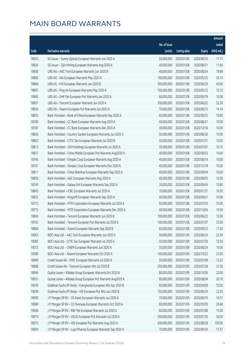|       |                                                              |                        |                     |               | Amount      |
|-------|--------------------------------------------------------------|------------------------|---------------------|---------------|-------------|
|       |                                                              | No. of issue           |                     |               | raised      |
| Code  | Derivative warrants                                          | (units)                | <b>Listing date</b> | <b>Expiry</b> | (HK\$ mil.) |
| 18925 | SG Issuer - Sunny Optical European Warrants Jun 2020 A       | 50,000,000             | 2020/01/08          | 2020/06/30    | 11.75       |
| 18926 | SG Issuer - Zijin Mining European Warrants Aug 2020 A        | 40,000,000             | 2020/01/08          | 2020/08/31    | 11.60       |
| 18858 | UBS AG - AAC Tech European Warrants Jun 2020 B               | 40,000,000             | 2020/01/08          | 2020/06/24    | 18.88       |
| 18866 | UBS AG - AIA European Warrants May 2020 A                    | 100,000,000            | 2020/01/08          | 2020/05/25    | 26.10       |
| 18868 | UBS AG - HSI European Warrants Jun 2020 B                    | 300,000,000            | 2020/01/08          | 2020/06/29    | 45.00       |
| 18867 | UBS AG - Ping An European Warrants May 2020 A                | 100,000,000            | 2020/01/08          | 2020/05/12    | 15.10       |
| 18865 | UBS AG - SHK Ppt European Put Warrants Jun 2020 A            | 60,000,000             | 2020/01/08          | 2020/06/19    | 10.08       |
| 18857 | UBS AG - Tencent European Warrants Jun 2020 A                | 300,000,000            | 2020/01/08          | 2020/06/22    | 52.50       |
| 18856 | UBS AG - Xiaomi European Put Warrants Jun 2020 A             | 70,000,000             | 2020/01/08          | 2020/06/15    | 14.14       |
| 18833 | Bank Vontobel - Bank of China European Warrants Sep 2020 A   | 60,000,000             | 2020/01/08          | 2020/09/25    | 10.80       |
| 18780 | Bank Vontobel - CC Bank European Warrants Aug 2020 A         | 40,000,000             | 2020/01/08          | 2020/08/21    | 10.00       |
| 18787 | Bank Vontobel - CC Bank European Warrants Dec 2020 A         | 40,000,000             | 2020/01/08          | 2020/12/18    | 10.00       |
| 18826 | Bank Vontobel - Country Garden European Warrants Jun 2020 A  | 50,000,000             | 2020/01/08          | 2020/06/30    | 10.00       |
| 18802 | Bank Vontobel - CITIC Sec European Warrants Jul 2020 B       | 50,000,000             | 2020/01/08          | 2020/07/31    | 10.00       |
| 18813 | Bank Vontobel - CKH Holdings European Warrants Jul 2020 A    | 35,000,000             | 2020/01/08          | 2020/07/07    | 10.15       |
| 18831 | Bank Vontobel - China Mobile European Put Warrants Aug2020 A | 40,000,000             | 2020/01/08          | 2020/08/03    | 10.40       |
| 18766 | Bank Vontobel - Sinopec Corp European Warrants Aug 2020 A    | 40,000,000             | 2020/01/08          | 2020/08/14    | 10.00       |
| 18767 | Bank Vontobel - Sinopec Corp European Warrants Dec 2020 A    | 40,000,000             | 2020/01/08          | 2020/12/18    | 10.00       |
| 18811 | Bank Vontobel - China Shenhua European Warrants Sep 2020 A   | 40,000,000             | 2020/01/08          | 2020/09/04    | 10.00       |
| 18830 | Bank Vontobel - GAC European Warrants Aug 2020 A             | 40,000,000             | 2020/01/08          | 2020/08/05    | 10.00       |
| 18749 | Bank Vontobel - Galaxy Ent European Warrants Sep 2020 A      | 30,000,000             | 2020/01/08          | 2020/09/04    | 10.80       |
| 18805 | Bank Vontobel - ICBC European Warrants Jul 2020 A            | 70,000,000             | 2020/01/08          | 2020/07/31    | 10.50       |
| 18832 | Bank Vontobel - Kingsoft European Warrants Sep 2020 A        | 40,000,000             | 2020/01/08          | 2020/09/01    | 10.00       |
| 18772 | Bank Vontobel - MTR Corporation European Warrants Jul 2020 A | 50,000,000             | 2020/01/08          | 2020/07/03    | 10.00       |
| 18775 | Bank Vontobel - MTR Corporation European Warrants Dec 2020 A | 40,000,000             | 2020/01/08          | 2020/12/04    | 10.00       |
| 18804 | Bank Vontobel - Tencent European Warrants Jun 2020 B         | 100,000,000            | 2020/01/08          | 2020/06/22    | 15.00       |
| 18792 | Bank Vontobel - Tencent European Put Warrants Jul 2020 B     | 100,000,000 2020/01/08 |                     | 2020/07/07    | 25.00       |
| 18806 | Bank Vontobel - Xiaomi European Warrants Sep 2020 B          | 60,000,000             | 2020/01/08          | 2020/09/23    | 11.40       |
| 19063 | BOCI Asia Ltd. - AAC Tech European Warrants Jun 2020 A       | 40,000,000             | 2020/01/09          | 2020/06/24    | 22.40       |
| 19082 | BOCI Asia Ltd. - CITIC Sec European Warrants Jul 2020 A      | 50,000,000             | 2020/01/09          | 2020/07/30    | 12.50       |
| 19072 | BOCI Asia Ltd. - CNBM European Warrants Jun 2020 A           | 50,000,000             | 2020/01/09          | 2020/06/24    | 10.00       |
| 19080 | BOCI Asia Ltd. - Xiaomi European Warrants Oct 2020 A         | 100,000,000            | 2020/01/09          | 2020/10/22    | 23.00       |
| 18969 | Credit Suisse AG - SMIC European Warrants Jul 2020 A         | 50,000,000             | 2020/01/09          | 2020/07/08    | 12.50       |
| 18968 | Credit Suisse AG - Tencent European Wts Jul 2020 B           | 250,000,000            | 2020/01/09          | 2020/07/28    | 37.50       |
| 18946 | Guotai Junan - Alibaba Group European Warrants Oct 2020 B    | 80,000,000             | 2020/01/09          | 2020/10/06    | 22.00       |
| 18951 | Guotai Junan - Alibaba Group European Put Warrants Aug2020 A | 80,000,000             | 2020/01/09          | 2020/08/04    | 20.16       |
| 19059 | Goldman Sachs SP (Asia) - Evergrande European Wts Apr 2020 B | 60,000,000             | 2020/01/09          | 2020/04/09    | 10.02       |
| 19058 | Goldman Sachs SP (Asia) - HSI European Put Wts Jun 2020 B    | 150,000,000            | 2020/01/09          | 2020/06/29    | 22.50       |
| 18990 | J P Morgan SP BV - CK Asset European Warrants Jun 2020 A     | 70,000,000             | 2020/01/09          | 2020/06/19    | 10.57       |
| 18989 | J P Morgan SP BV - Ch Overseas European Warrants Oct 2020 A  | 80,000,000             | 2020/01/09          | 2020/10/30    | 20.48       |
| 19006 | J P Morgan SP BV - R&F Ppt European Warrants Jul 2020 A      | 60,000,000             | 2020/01/09          | 2020/07/08    | 15.00       |
| 18979 | J P Morgan SP BV - HSCEI European Put Warrants Jul 2020 A    | 200,000,000            | 2020/01/09          | 2020/07/30    | 50.00       |
| 18975 | J P Morgan SP BV - HSI European Put Warrants Aug 2020 A      | 400,000,000            | 2020/01/09          | 2020/08/28    | 100.00      |
| 18994 | J P Morgan SP BV - Luye Pharma European Warrants Sep 2020 A  | 70,000,000             | 2020/01/09          | 2020/09/30    | 17.57       |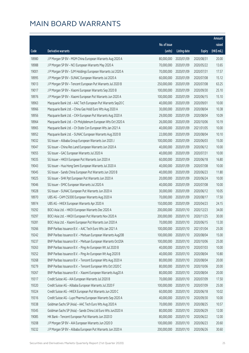|       |                                                              |              |                       |               | Amount      |
|-------|--------------------------------------------------------------|--------------|-----------------------|---------------|-------------|
|       |                                                              | No. of issue |                       |               | raised      |
| Code  | Derivative warrants                                          | (units)      | <b>Listing date</b>   | <b>Expiry</b> | (HK\$ mil.) |
| 18980 | J P Morgan SP BV - MGM China European Warrants Aug 2020 A    | 80,000,000   | 2020/01/09            | 2020/08/31    | 20.00       |
| 18988 | J P Morgan SP BV - NCI European Warrants May 2020 A          | 70,000,000   | 2020/01/09            | 2020/05/22    | 13.65       |
| 19001 | J P Morgan SP BV - SJM Holdings European Warrants Jul 2020 A | 70,000,000   | 2020/01/09            | 2020/07/31    | 17.57       |
| 18995 | J P Morgan SP BV - SUNAC European Warrants Jul 2020 A        | 60,000,000   | 2020/01/09            | 2020/07/08    | 15.12       |
| 19013 | J P Morgan SP BV - Tencent European Put Warrants Jul 2020 B  | 250,000,000  | 2020/01/09            | 2020/07/08    | 63.25       |
| 19017 | J P Morgan SP BV - Xiaomi European Warrants Sep 2020 B       | 100,000,000  | 2020/01/09            | 2020/09/30    | 25.10       |
| 18976 | J P Morgan SP BV - Xiaomi European Put Warrants Jun 2020 A   | 100,000,000  | 2020/01/09            | 2020/06/15    | 15.10       |
| 18963 | Macquarie Bank Ltd. - AAC Tech European Put Warrants Sep20 C | 40,000,000   | 2020/01/09            | 2020/09/01    | 10.00       |
| 18966 | Macquarie Bank Ltd. - China Gas Hold Euro Wts Aug 2020 A     | 30,000,000   | 2020/01/09            | 2020/08/04    | 10.38       |
| 18956 | Macquarie Bank Ltd. - CKH European Put Warrants Aug 2020 A   | 29,000,000   | 2020/01/09            | 2020/08/04    | 10.09       |
| 18964 | Macquarie Bank Ltd. - Ch Molybdenum European Wts Oct 2020 A  | 26,000,000   | 2020/01/09            | 2020/10/06    | 10.19       |
| 18965 | Macquarie Bank Ltd. - Ch State Con European Wts Jan 2021 A   | 40,000,000   | 2020/01/09            | 2021/01/05    | 10.00       |
| 18952 | Macquarie Bank Ltd. - SUNAC European Warrants Aug 2020 B     | 22,000,000   | 2020/01/09            | 2020/08/04    | 10.10       |
| 19032 | SG Issuer - Alibaba Group European Warrants Jun 2020 J       | 100,000,000  | 2020/01/09            | 2020/06/03    | 15.00       |
| 19047 | SG Issuer - China Res Land European Warrants Jun 2020 A      | 40,000,000   | 2020/01/09            | 2020/06/12    | 10.00       |
| 19055 | SG Issuer - GAC European Warrants Jul 2020 A                 | 40,000,000   | 2020/01/09            | 2020/07/31    | 10.00       |
| 19035 | SG Issuer - HKEX European Put Warrants Jun 2020 A            | 60,000,000   | 2020/01/09            | 2020/06/18    | 16.80       |
| 19043 | SG Issuer - Hua Hong Semi European Warrants Jul 2020 A       | 40,000,000   | 2020/01/09            | 2020/07/08    | 10.00       |
| 19045 | SG Issuer - Sands China European Put Warrants Jun 2020 B     | 40,000,000   | 2020/01/09            | 2020/06/23    | 11.80       |
| 19025 | SG Issuer - SHK Ppt European Put Warrants Jun 2020 A         | 20,000,000   | 2020/01/09            | 2020/06/24    | 10.00       |
| 19046 | SG Issuer - SMIC European Warrants Jul 2020 A                | 40,000,000   | 2020/01/09            | 2020/07/08    | 10.00       |
| 19028 | SG Issuer - SUNAC European Put Warrants Jun 2020 A           | 30,000,000   | 2020/01/09            | 2020/06/12    | 10.05       |
| 18970 | UBS AG - CAM CSI300 European Warrants Aug 2020 A             | 70,000,000   | 2020/01/09            | 2020/08/17    | 17.50       |
| 18974 | UBS AG - HKEX European Warrants Apr 2020 A                   | 150,000,000  | 2020/01/09            | 2020/04/23    | 24.15       |
| 19292 | BOCI Asia Ltd. - HKEX European Warrants Dec 2020 A           | 200,000,000  | 2020/01/10            | 2020/12/23    | 34.00       |
| 19297 | BOCI Asia Ltd. - HKEX European Put Warrants Nov 2020 A       | 200,000,000  | 2020/01/10            | 2020/11/25    | 30.00       |
| 19281 | BOCI Asia Ltd. - Xiaomi European Put Warrants Jun 2020 A     |              | 70,000,000 2020/01/10 | 2020/06/15    | 13.30       |
| 19266 | BNP Paribas Issuance B.V. - AAC Tech Euro Wts Jan 2021 A     | 100,000,000  | 2020/01/10            | 2021/01/04    | 25.00       |
| 19242 | BNP Paribas Issuance B.V. - Meituan European Warrants Aug20B | 100,000,000  | 2020/01/10            | 2020/08/04    | 15.00       |
| 19237 | BNP Paribas Issuance B.V. - Meituan European Warrants Oct20A | 100,000,000  | 2020/01/10            | 2020/10/06    | 25.00       |
| 19263 | BNP Paribas Issuance B.V. - Ping An European Wt Jul 2020 B   | 40,000,000   | 2020/01/10            | 2020/07/03    | 10.00       |
| 19252 | BNP Paribas Issuance B.V. - Ping An European Wt Aug 2020 B   | 40,000,000   | 2020/01/10            | 2020/08/04    | 10.80       |
| 19268 | BNP Paribas Issuance B.V. - Tencent European Wts Aug 2020 A  | 80,000,000   | 2020/01/10            | 2020/08/04    | 20.00       |
| 19279 | BNP Paribas Issuance B.V. - Tencent European Wts Oct 2020 C  | 80,000,000   | 2020/01/10            | 2020/10/06    | 20.00       |
| 19267 | BNP Paribas Issuance B.V. - Xiaomi European Warrants Aug20 A | 80,000,000   | 2020/01/10            | 2020/08/04    | 20.00       |
| 19317 | Credit Suisse AG - AIA European Warrants Jul 2020 B          | 70,000,000   | 2020/01/10            | 2020/07/09    | 17.50       |
| 19320 | Credit Suisse AG - Alibaba European Warrants Jul 2020 F      | 100,000,000  | 2020/01/10            | 2020/07/09    | 25.00       |
| 19324 | Credit Suisse AG - HKEX European Put Warrants Jun 2020 C     | 60,000,000   | 2020/01/10            | 2020/06/18    | 10.02       |
| 19316 | Credit Suisse AG - Luye Pharma European Warrants Sep 2020 A  | 40,000,000   | 2020/01/10            | 2020/09/30    | 10.00       |
| 19338 | Goldman Sachs SP (Asia) - AAC Tech Euro Wts Aug 2020 A       | 70,000,000   | 2020/01/10            | 2020/08/25    | 10.57       |
| 19345 | Goldman Sachs SP (Asia) - Sands China Ltd Euro Wts Jun2020 A | 80,000,000   | 2020/01/10            | 2020/06/29    | 12.00       |
| 19085 | HK Bank - Tencent European Put Warrants Jun 2020 D           | 80,000,000   | 2020/01/10            | 2020/06/22    | 12.00       |
| 19208 | J P Morgan SP BV - AIA European Warrants Jun 2020 D          | 100,000,000  | 2020/01/10            | 2020/06/23    | 20.60       |
| 19232 | J P Morgan SP BV - Alibaba European Put Warrants Jun 2020 A  | 200,000,000  | 2020/01/10            | 2020/06/26    | 30.60       |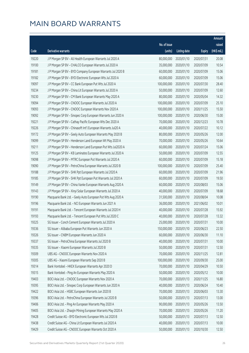|       |                                                              |              |                       |               | Amount      |
|-------|--------------------------------------------------------------|--------------|-----------------------|---------------|-------------|
|       |                                                              | No. of issue |                       |               | raised      |
| Code  | Derivative warrants                                          | (units)      | <b>Listing date</b>   | <b>Expiry</b> | (HK\$ mil.) |
| 19220 | J P Morgan SP BV - Ali Health European Warrants Jul 2020 A   | 80,000,000   | 2020/01/10            | 2020/07/31    | 20.08       |
| 19100 | J P Morgan SP BV - CHALCO European Warrants Jul 2020 A       | 35,000,000   | 2020/01/10            | 2020/07/09    | 10.54       |
| 19181 | J P Morgan SP BV - BYD Company European Warrants Jul 2020 B  | 60,000,000   | 2020/01/10            | 2020/07/09    | 15.06       |
| 19182 | J P Morgan SP BV - BYD Electronic European Wts Jul 2020 A    | 60,000,000   | 2020/01/10            | 2020/07/09    | 15.06       |
| 19097 | J P Morgan SP BV - CC Bank European Put Wts Jul 2020 A       | 100,000,000  | 2020/01/10            | 2020/07/30    | 28.40       |
| 19234 | J P Morgan SP BV - China Lit European Warrants Jul 2020 A    | 50,000,000   | 2020/01/10            | 2020/07/09    | 12.60       |
| 19230 | J P Morgan SP BV - CM Bank European Warrants May 2020 A      | 80,000,000   | 2020/01/10            | 2020/05/04    | 14.32       |
| 19094 | J P Morgan SP BV - CNOOC European Warrants Jul 2020 A        | 100,000,000  | 2020/01/10            | 2020/07/09    | 25.10       |
| 19093 | J P Morgan SP BV - CNOOC European Warrants Nov 2020 A        | 100,000,000  | 2020/01/10            | 2020/11/25    | 15.50       |
| 19092 | J P Morgan SP BV - Sinopec Corp European Warrants Jun 2020 A | 100,000,000  | 2020/01/10            | 2020/06/30    | 15.00       |
| 19221 | J P Morgan SP BV - Cathay Pacific European Wts Dec 2020 A    | 70,000,000   | 2020/01/10            | 2020/12/23    | 10.78       |
| 19226 | J P Morgan SP BV - Chinasoft Int'l European Warrants Jul20 A | 40,000,000   | 2020/01/10            | 2020/07/22    | 10.12       |
| 19172 | J P Morgan SP BV - Geely Auto European Warrants May 2020 B   | 80,000,000   | 2020/01/10            | 2020/05/26    | 12.00       |
| 19099 | J P Morgan SP BV - Henderson Land European Wt May 2020 A     | 70,000,000   | 2020/01/10            | 2020/05/26    | 10.64       |
| 19211 | J P Morgan SP BV - Henderson Land European Put Wts Jul2020 A | 60,000,000   | 2020/01/10            | 2020/07/24    | 15.06       |
| 19125 | J P Morgan SP BV - KB Laminates European Warrants Jul 2020 A | 50,000,000   | 2020/01/10            | 2020/07/09    | 12.55       |
| 19098 | J P Morgan SP BV - MTRC European Put Warrants Jul 2020 A     | 60,000,000   | 2020/01/10            | 2020/07/09    | 15.18       |
| 19090 | J P Morgan SP BV - PetroChina European Warrants Jul 2020 B   | 100,000,000  | 2020/01/10            | 2020/07/09    | 25.40       |
| 19188 | J P Morgan SP BV - SHK Ppt European Warrants Jul 2020 A      | 60,000,000   | 2020/01/10            | 2020/07/09    | 21.96       |
| 19185 | J P Morgan SP BV - SHK Ppt European Put Warrants Jul 2020 A  | 60,000,000   | 2020/01/10            | 2020/07/09    | 19.50       |
| 19149 | J P Morgan SP BV - China Vanke European Warrants Aug 2020 A  | 60,000,000   | 2020/01/10            | 2020/08/03    | 15.06       |
| 19143 | J P Morgan SP BV - Xinyi Solar European Warrants Jul 2020 A  | 40,000,000   | 2020/01/10            | 2020/07/09    | 18.68       |
| 19190 | Macquarie Bank Ltd. - Geely Auto European Put Wts Aug 2020 A | 31,500,000   | 2020/01/10            | 2020/08/04    | 10.08       |
| 19196 | Macquarie Bank Ltd. - NCI European Warrants Jun 2021 A       | 36,000,000   | 2020/01/10            | 2021/06/02    | 10.01       |
| 19191 | Macquarie Bank Ltd. - Tencent European Warrants Jul 2020 H   | 40,000,000   | 2020/01/10            | 2020/07/28    | 15.92       |
| 19193 | Macquarie Bank Ltd. - Tencent European Put Wts Jul 2020 C    | 40,000,000   | 2020/01/10            | 2020/07/28    | 13.32       |
| 19325 | SG Issuer - Conch Cement European Warrants Jul 2020 A        |              | 25,000,000 2020/01/10 | 2020/07/31    | 10.00       |
| 19336 | SG Issuer - Alibaba European Put Warrants Jun 2020 A         | 150,000,000  | 2020/01/10            | 2020/06/23    | 22.50       |
| 19326 | SG Issuer - CNBM European Warrants Jun 2020 A                | 60,000,000   | 2020/01/10            | 2020/06/30    | 11.10       |
| 19337 | SG Issuer - PetroChina European Warrants Jul 2020 B          | 40,000,000   | 2020/01/10            | 2020/07/31    | 10.00       |
| 19335 | SG Issuer - Xiaomi European Warrants Jul 2020 B              | 50,000,000   | 2020/01/10            | 2020/07/31    | 12.50       |
| 19309 | UBS AG - CNOOC European Warrants Nov 2020 A                  | 70,000,000   | 2020/01/10            | 2020/11/25    | 12.81       |
| 19305 | UBS AG - Xiaomi European Warrants Sep 2020 B                 | 100,000,000  | 2020/01/10            | 2020/09/30    | 25.00       |
| 19314 | Bank Vontobel - HKEX European Warrants Apr 2020 D            | 70,000,000   | 2020/01/10            | 2020/04/29    | 10.50       |
| 19315 | Bank Vontobel - Ping An European Warrants May 2020 A         | 50,000,000   | 2020/01/10            | 2020/05/12    | 10.00       |
| 19403 | BOCI Asia Ltd. - CNOOC European Warrants Nov 2020 A          | 70,000,000   | 2020/01/13            | 2020/11/25    | 16.80       |
| 19395 | BOCI Asia Ltd. - Sinopec Corp European Warrants Jun 2020 A   | 40,000,000   | 2020/01/13            | 2020/06/24    | 10.40       |
| 19422 | BOCI Asia Ltd. - HSBC European Warrants Jun 2020 B           | 70,000,000   | 2020/01/13            | 2020/06/03    | 13.30       |
| 19396 | BOCI Asia Ltd. - PetroChina European Warrants Jul 2020 B     | 50,000,000   | 2020/01/13            | 2020/07/13    | 13.00       |
| 19406 | BOCI Asia Ltd. - Ping An European Warrants May 2020 A        | 90,000,000   | 2020/01/13            | 2020/05/26    | 13.50       |
| 19405 | BOCI Asia Ltd. - Zhaojin Mining European Warrants May 2020 A | 70,000,000   | 2020/01/13            | 2020/05/26    | 11.20       |
| 19428 | Credit Suisse AG - BYD Electronic European Wts Jul 2020 B    | 50,000,000   | 2020/01/13            | 2020/07/13    | 12.50       |
| 19438 | Credit Suisse AG - China Lit European Warrants Jul 2020 A    | 40,000,000   | 2020/01/13            | 2020/07/13    | 10.00       |
| 19429 | Credit Suisse AG - CNOOC European Warrants Oct 2020 A        | 50,000,000   | 2020/01/13            | 2020/10/30    | 12.50       |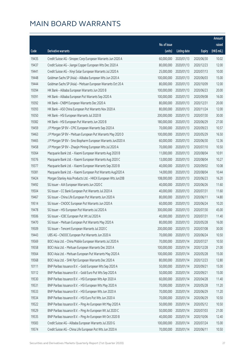|       |                                                              |              |                       |               | Amount      |
|-------|--------------------------------------------------------------|--------------|-----------------------|---------------|-------------|
|       |                                                              | No. of issue |                       |               | raised      |
| Code  | <b>Derivative warrants</b>                                   | (units)      | <b>Listing date</b>   | <b>Expiry</b> | (HK\$ mil.) |
| 19435 | Credit Suisse AG - Sinopec Corp European Warrants Jun 2020 A | 60,000,000   | 2020/01/13            | 2020/06/30    | 10.02       |
| 19437 | Credit Suisse AG - Jiangxi Copper European Wts Dec 2020 A    | 80,000,000   | 2020/01/13            | 2020/12/23    | 12.00       |
| 19441 | Credit Suisse AG - Xinyi Solar European Warrants Jul 2020 A  | 25,000,000   | 2020/01/13            | 2020/07/13    | 10.00       |
| 19448 | Goldman Sachs SP (Asia) - Alibaba European Wts Jun 2020 A    | 100,000,000  | 2020/01/13            | 2020/06/03    | 15.00       |
| 19444 | Goldman Sachs SP (Asia) - Meituan European Warrants Oct 20 A | 80,000,000   | 2020/01/13            | 2020/10/09    | 12.00       |
| 19394 | HK Bank - Alibaba European Warrants Jun 2020 B               | 100,000,000  | 2020/01/13            | 2020/06/23    | 20.00       |
| 19391 | HK Bank - Alibaba European Put Warrants Sep 2020 A           | 100,000,000  | 2020/01/13            | 2020/09/08    | 16.00       |
| 19392 | HK Bank - CNBM European Warrants Dec 2020 A                  | 80,000,000   | 2020/01/13            | 2020/12/31    | 20.00       |
| 19393 | HK Bank - A50 China European Put Warrants Nov 2020 A         | 80,000,000   | 2020/01/13            | 2020/11/24    | 12.00       |
| 19350 | HK Bank - HSI European Warrants Jul 2020 B                   | 200,000,000  | 2020/01/13            | 2020/07/30    | 30.00       |
| 19382 | HK Bank - HSI European Put Warrants Jun 2020 B               | 180,000,000  | 2020/01/13            | 2020/06/29    | 27.00       |
| 19459 | J P Morgan SP BV - CPIC European Warrants Sep 2020 A         | 70,000,000   | 2020/01/13            | 2020/09/23    | 10.57       |
| 19463 | J P Morgan SP BV - Meituan European Put Warrants May 2020 D  | 100,000,000  | 2020/01/13            | 2020/05/29    | 16.50       |
| 19465 | J P Morgan SP BV - Sino Biopharm European Warrants Jun2020 A | 60,000,000   | 2020/01/13            | 2020/06/30    | 12.36       |
| 19458 | J P Morgan SP BV - Zhaojin Mining European Wts Jul 2020 A    | 70,000,000   | 2020/01/13            | 2020/07/10    | 10.50       |
| 19364 | Macquarie Bank Ltd. - Xiaomi European Warrants Aug 2020 B    | 11,000,000   | 2020/01/13            | 2020/08/04    | 10.91       |
| 19376 | Macquarie Bank Ltd. - Xiaomi European Warrants Aug 2020 C    | 13,000,000   | 2020/01/13            | 2020/08/04    | 10.27       |
| 19377 | Macquarie Bank Ltd. - Xiaomi European Warrants Sep 2020 B    | 40,000,000   | 2020/01/13            | 2020/09/02    | 10.08       |
| 19381 | Macquarie Bank Ltd. - Xiaomi European Put Warrants Aug2020 A | 14,000,000   | 2020/01/13            | 2020/08/04    | 10.44       |
| 19424 | Morgan Stanley Asia Products Ltd. - HKEX European Wts Jun20B | 108,000,000  | 2020/01/13            | 2020/06/23    | 16.20       |
| 19492 | SG Issuer - AIA European Warrants Jun 2020 C                 | 40,000,000   | 2020/01/13            | 2020/06/26    | 11.60       |
| 19504 | SG Issuer - CC Bank European Put Warrants Jul 2020 A         | 40,000,000   | 2020/01/13            | 2020/07/31    | 11.60       |
| 19467 | SG Issuer - China Life European Put Warrants Jun 2020 A      | 80,000,000   | 2020/01/13            | 2020/06/11    | 14.80       |
| 19514 | SG Issuer - CNOOC European Put Warrants Jun 2020 A           | 60,000,000   | 2020/01/13            | 2020/06/24    | 10.20       |
| 19478 | SG Issuer - HSI European Put Warrants Jul 2020 A             | 300,000,000  | 2020/01/13            | 2020/07/30    | 45.00       |
| 19506 | SG Issuer - ICBC European Put Wt Jul 2020 A                  | 40,000,000   | 2020/01/13            | 2020/07/31    | 11.40       |
| 19470 | SG Issuer - Meituan European Put Warrants May 2020 A         |              | 80,000,000 2020/01/13 | 2020/05/28    | 16.00       |
| 19509 | SG Issuer - Tencent European Warrants Jul 2020 C             | 200,000,000  | 2020/01/13            | 2020/07/08    | 30.00       |
| 19443 | UBS AG - CNOOC European Put Warrants Jun 2020 A              | 70,000,000   | 2020/01/13            | 2020/06/24    | 10.50       |
| 19569 | BOCI Asia Ltd. - China Mobile European Warrants Jul 2020 A   | 70,000,000   | 2020/01/14            | 2020/07/27    | 10.50       |
| 19558 | BOCI Asia Ltd. - Meituan European Warrants Dec 2020 A        | 100,000,000  | 2020/01/14            | 2020/12/28    | 21.00       |
| 19564 | BOCI Asia Ltd. - Meituan European Put Warrants May 2020 A    | 100,000,000  | 2020/01/14            | 2020/05/28    | 15.00       |
| 19568 | BOCI Asia Ltd. - SHK Ppt European Warrants Dec 2020 A        | 80,000,000   | 2020/01/14            | 2020/12/23    | 12.80       |
| 10111 | BNP Paribas Issuance B.V. - Gold European Wts Sep 2020 A     | 50,000,000   | 2020/01/14            | 2020/09/21    | 15.00       |
| 10112 | BNP Paribas Issuance B.V. - Gold Euro Put Wts Sep 2020 A     | 50,000,000   | 2020/01/14            | 2020/09/21    | 15.00       |
| 19530 | BNP Paribas Issuance B.V. - HSI European Wts Apr 2020 A      | 60,000,000   | 2020/01/14            | 2020/04/28    | 11.40       |
| 19531 | BNP Paribas Issuance B.V. - HSI European Wts May 2020 A      | 70,000,000   | 2020/01/14            | 2020/05/28    | 11.20       |
| 19533 | BNP Paribas Issuance B.V. - HSI European Wts Jun 2020 A      | 70,000,000   | 2020/01/14            | 2020/06/29    | 11.20       |
| 19534 | BNP Paribas Issuance B.V. - HSI Euro Put Wts Jun 2020 A      | 70,000,000   | 2020/01/14            | 2020/06/29    | 10.50       |
| 19522 | BNP Paribas Issuance B.V. - Ping An European Wt May 2020 A   | 50,000,000   | 2020/01/14            | 2020/05/12    | 10.50       |
| 19529 | BNP Paribas Issuance B.V. - Ping An European Wt Jul 2020 C   | 50,000,000   | 2020/01/14            | 2020/07/03    | 21.00       |
| 19535 | BNP Paribas Issuance B.V. - Ping An European Wt Oct 2020 B   | 40,000,000   | 2020/01/14            | 2020/10/06    | 12.40       |
| 19583 | Credit Suisse AG - Alibaba European Warrants Jul 2020 G      | 100,000,000  | 2020/01/14            | 2020/07/24    | 15.00       |
| 19574 | Credit Suisse AG - China Life European Put Wts Jun 2020 A    | 70,000,000   | 2020/01/14            | 2020/06/11    | 10.50       |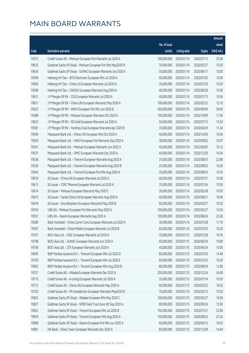| No. of issue<br>raised<br>(HK\$ mil.)<br>(units)<br>Code<br>Derivative warrants<br><b>Listing date</b><br><b>Expiry</b><br>100,000,000<br>19572<br>Credit Suisse AG - Meituan European Put Warrants Jul 2020 A<br>2020/01/14<br>2020/07/13<br>25.00<br>70,000,000<br>19633<br>Goldman Sachs SP (Asia) - Meituan European Put Wts May2020 B<br>2020/01/14<br>2020/05/27<br>10.50<br>19634<br>50,000,000<br>10.00<br>Goldman Sachs SP (Asia) - SUNAC European Warrants Jun 2020 A<br>2020/01/14<br>2020/06/17<br>40,000,000<br>19599<br>Haitong Int'l Sec - BYD Electronic European Wts Jul 2020 A<br>2020/01/14<br>2020/07/30<br>10.00<br>19605<br>30,000,000<br>10.20<br>Haitong Int'l Sec - China Lit European Warrants Jul 2020 A<br>2020/01/14<br>2020/07/20<br>19598<br>Haitong Int'l Sec - CNOOC European Warrants Aug 2020 A<br>40,000,000<br>2020/01/14<br>2020/08/28<br>10.00<br>19631<br>40,000,000<br>10.04<br>J P Morgan SP BV - CGS European Warrants Jul 2020 A<br>2020/01/14<br>2020/07/13<br>100,000,000<br>19621<br>J P Morgan SP BV - China Life European Warrants May 2020 A<br>2020/01/14<br>2020/05/22<br>15.10<br>19632<br>200,000,000<br>30.60<br>J P Morgan SP BV - HKEX European Put Wts Jun 2020 B<br>2020/01/14<br>2020/06/09<br>19588<br>J P Morgan SP BV - Meituan European Warrants Oct 2020 A<br>100,000,000<br>2020/01/14<br>2020/10/09<br>17.40<br>19622<br>50,000,000<br>12.50<br>J P Morgan SP BV - SD Gold European Warrants Jul 2020 A<br>2020/01/14<br>2020/07/13<br>70,000,000<br>11.34<br>19587<br>J P Morgan SP BV - Yanzhou Coal European Warrants Apr 2020 B<br>2020/01/14<br>2020/04/29<br>19546<br>40,000,000<br>10.04<br>Macquarie Bank Ltd. - China Life European Wts Oct 2020 A<br>2020/01/14<br>2020/10/06<br>38,000,000<br>10.07<br>19550<br>Macquarie Bank Ltd. - HKEX European Put Warrants Sep 2020 A<br>2020/01/14<br>2020/09/02<br>19547<br>40,000,000<br>10.12<br>Macquarie Bank Ltd. - Meituan European Warrants Jun 2022 A<br>2020/01/14<br>2022/06/02<br>40,000,000<br>10.04<br>19537<br>Macquarie Bank Ltd. - SMIC European Warrants Dec 2020 A<br>2020/01/14<br>2020/12/30<br>19538<br>25,000,000<br>22.80<br>Macquarie Bank Ltd. - Tencent European Warrants Aug 2020 A<br>2020/01/14<br>2020/08/03<br>25,000,000<br>14.05<br>19539<br>Macquarie Bank Ltd. - Tencent European Warrants Aug 2020 B<br>2020/01/14<br>2020/08/03<br>19540<br>25,000,000<br>10.35<br>Macquarie Bank Ltd. - Tencent European Put Wts Aug 2020 A<br>2020/01/14<br>2020/08/03<br>40,000,000<br>10.00<br>19610<br>SG Issuer - China Life European Warrants Jul 2020 A<br>2020/01/14<br>2020/07/31<br>19613<br>70,000,000<br>10.50<br>SG Issuer - CSPC Pharma European Warrants Jul 2020 A<br>2020/01/14<br>2020/07/24<br>19614<br>30,000,000<br>10.05<br>SG Issuer - Meituan European Warrants May 2020 C<br>2020/01/14<br>2020/05/28<br>19615<br>40,000,000<br>10.00<br>SG Issuer - Sands China Ltd European Warrants Aug 2020 A<br>2020/01/14<br>2020/08/31<br>60,000,000<br>19618<br>SG Issuer - Sino Biopharm European Warrants May 2020 B<br>2020/01/14<br>2020/05/27<br>10.20<br>19554<br>100,000,000<br>15.00<br>UBS AG - Meituan European Put Warrants May 2020 A<br>2020/01/14<br>2020/05/27<br>100,000,000<br>25.00<br>19557<br>UBS AG - Xiaomi European Warrants Aug 2020 A<br>2020/01/14<br>2020/08/24<br>19589<br>30,000,000 2020/01/14<br>2020/07/28<br>11.10<br>Bank Vontobel - China Comm Cons European Warrants Jul 2020 A<br>19597<br>Bank Vontobel - China Mobile European Warrants Jul 2020 B<br>60,000,000<br>2020/01/14<br>2020/07/02<br>10.20<br>19707<br>BOCI Asia Ltd. - ICBC European Warrants Jul 2020 A<br>70,000,000<br>2020/01/15<br>10.50<br>2020/07/28<br>BOCI Asia Ltd. - SUNAC European Warrants Jun 2020 A<br>60,000,000<br>2020/01/15<br>2020/06/30<br>10.80<br>19708<br>19706<br>BOCI Asia Ltd. - ZTE European Warrants Jun 2020 A<br>40,000,000<br>10.00<br>2020/01/15<br>2020/06/24<br>80,000,000<br>14.40<br>19695<br>BNP Paribas Issuance B.V. - Tencent European Wts Jul 2020 D<br>2020/01/15<br>2020/07/03<br>19705<br>BNP Paribas Issuance B.V. - Tencent European Wts Jul 2020 E<br>60,000,000<br>2020/01/15<br>10.20<br>2020/07/03<br>BNP Paribas Issuance B.V. - Tencent European Wts Aug 2020 B<br>80,000,000<br>2020/01/15<br>2020/08/04<br>12.80<br>19692<br>19721<br>Credit Suisse AG - Alibaba European Warrants Dec 2020 A<br>200,000,000<br>34.00<br>2020/01/15<br>2020/12/24<br>35,000,000<br>10.50<br>19715<br>Credit Suisse AG - A-Living European Warrants Jul 2020 A<br>2020/01/15<br>2020/07/14<br>19712<br>Credit Suisse AG - China Life European Warrants May 2020 A<br>60,000,000<br>10.02<br>2020/01/15<br>2020/05/22<br>Credit Suisse AG - PA Gooddoctor European Warrants May2020 B<br>70,000,000<br>2020/01/15<br>2020/05/12<br>10.50<br>19720<br>19825<br>Goldman Sachs SP (Asia) - Alibaba European Wts May 2020 C<br>100,000,000<br>16.90<br>2020/01/15<br>2020/05/27<br>80,000,000<br>12.00<br>19827<br>Goldman Sachs SP (Asia) - SPDR Gold Trust Euro Wt Sep 2020 A<br>2020/01/15<br>2020/09/24<br>19822<br>Goldman Sachs SP (Asia) - Tencent European Wts Jul 2020 B<br>150,000,000<br>2020/01/15<br>22.80<br>2020/07/21<br>19819<br>Goldman Sachs SP (Asia) - Tencent European Wts Aug 2020 A<br>150,000,000<br>2020/01/15<br>2020/08/03<br>22.50<br>19808<br>Goldman Sachs SP (Asia) - Xiaomi European Put Wts Jun 2020 A<br>60,000,000<br>2020/01/15<br>10.02<br>2020/06/15<br>HK Bank - China Tower European Warrants Dec 2020 A<br>80,000,000<br>19681<br>2020/01/15<br>2020/12/28<br>14.40 |  |  | Amount |
|----------------------------------------------------------------------------------------------------------------------------------------------------------------------------------------------------------------------------------------------------------------------------------------------------------------------------------------------------------------------------------------------------------------------------------------------------------------------------------------------------------------------------------------------------------------------------------------------------------------------------------------------------------------------------------------------------------------------------------------------------------------------------------------------------------------------------------------------------------------------------------------------------------------------------------------------------------------------------------------------------------------------------------------------------------------------------------------------------------------------------------------------------------------------------------------------------------------------------------------------------------------------------------------------------------------------------------------------------------------------------------------------------------------------------------------------------------------------------------------------------------------------------------------------------------------------------------------------------------------------------------------------------------------------------------------------------------------------------------------------------------------------------------------------------------------------------------------------------------------------------------------------------------------------------------------------------------------------------------------------------------------------------------------------------------------------------------------------------------------------------------------------------------------------------------------------------------------------------------------------------------------------------------------------------------------------------------------------------------------------------------------------------------------------------------------------------------------------------------------------------------------------------------------------------------------------------------------------------------------------------------------------------------------------------------------------------------------------------------------------------------------------------------------------------------------------------------------------------------------------------------------------------------------------------------------------------------------------------------------------------------------------------------------------------------------------------------------------------------------------------------------------------------------------------------------------------------------------------------------------------------------------------------------------------------------------------------------------------------------------------------------------------------------------------------------------------------------------------------------------------------------------------------------------------------------------------------------------------------------------------------------------------------------------------------------------------------------------------------------------------------------------------------------------------------------------------------------------------------------------------------------------------------------------------------------------------------------------------------------------------------------------------------------------------------------------------------------------------------------------------------------------------------------------------------------------------------------------------------------------------------------------------------------------------------------------------------------------------------------------------------------------------------------------------------------------------------------------------------------------------------------------------------------------------------------------------------------------------------------------------------------------------------------------------------------------------------------------------------------------------------------------------------------------------------------------------------------------------------------------------------------------------------------------------------------------------------------------------------------------------------------------------------------------------------------------------------------------------------------------------------------------------------------------------------------------------------------------------------------------------------------------------------------------------------------------------------------------------------------------------------------------------------------------------------------------------------------------------------------------------------------------------------------------------------------------------------------------------------------|--|--|--------|
|                                                                                                                                                                                                                                                                                                                                                                                                                                                                                                                                                                                                                                                                                                                                                                                                                                                                                                                                                                                                                                                                                                                                                                                                                                                                                                                                                                                                                                                                                                                                                                                                                                                                                                                                                                                                                                                                                                                                                                                                                                                                                                                                                                                                                                                                                                                                                                                                                                                                                                                                                                                                                                                                                                                                                                                                                                                                                                                                                                                                                                                                                                                                                                                                                                                                                                                                                                                                                                                                                                                                                                                                                                                                                                                                                                                                                                                                                                                                                                                                                                                                                                                                                                                                                                                                                                                                                                                                                                                                                                                                                                                                                                                                                                                                                                                                                                                                                                                                                                                                                                                                                                                                                                                                                                                                                                                                                                                                                                                                                                                                                                                                                |  |  |        |
|                                                                                                                                                                                                                                                                                                                                                                                                                                                                                                                                                                                                                                                                                                                                                                                                                                                                                                                                                                                                                                                                                                                                                                                                                                                                                                                                                                                                                                                                                                                                                                                                                                                                                                                                                                                                                                                                                                                                                                                                                                                                                                                                                                                                                                                                                                                                                                                                                                                                                                                                                                                                                                                                                                                                                                                                                                                                                                                                                                                                                                                                                                                                                                                                                                                                                                                                                                                                                                                                                                                                                                                                                                                                                                                                                                                                                                                                                                                                                                                                                                                                                                                                                                                                                                                                                                                                                                                                                                                                                                                                                                                                                                                                                                                                                                                                                                                                                                                                                                                                                                                                                                                                                                                                                                                                                                                                                                                                                                                                                                                                                                                                                |  |  |        |
|                                                                                                                                                                                                                                                                                                                                                                                                                                                                                                                                                                                                                                                                                                                                                                                                                                                                                                                                                                                                                                                                                                                                                                                                                                                                                                                                                                                                                                                                                                                                                                                                                                                                                                                                                                                                                                                                                                                                                                                                                                                                                                                                                                                                                                                                                                                                                                                                                                                                                                                                                                                                                                                                                                                                                                                                                                                                                                                                                                                                                                                                                                                                                                                                                                                                                                                                                                                                                                                                                                                                                                                                                                                                                                                                                                                                                                                                                                                                                                                                                                                                                                                                                                                                                                                                                                                                                                                                                                                                                                                                                                                                                                                                                                                                                                                                                                                                                                                                                                                                                                                                                                                                                                                                                                                                                                                                                                                                                                                                                                                                                                                                                |  |  |        |
|                                                                                                                                                                                                                                                                                                                                                                                                                                                                                                                                                                                                                                                                                                                                                                                                                                                                                                                                                                                                                                                                                                                                                                                                                                                                                                                                                                                                                                                                                                                                                                                                                                                                                                                                                                                                                                                                                                                                                                                                                                                                                                                                                                                                                                                                                                                                                                                                                                                                                                                                                                                                                                                                                                                                                                                                                                                                                                                                                                                                                                                                                                                                                                                                                                                                                                                                                                                                                                                                                                                                                                                                                                                                                                                                                                                                                                                                                                                                                                                                                                                                                                                                                                                                                                                                                                                                                                                                                                                                                                                                                                                                                                                                                                                                                                                                                                                                                                                                                                                                                                                                                                                                                                                                                                                                                                                                                                                                                                                                                                                                                                                                                |  |  |        |
|                                                                                                                                                                                                                                                                                                                                                                                                                                                                                                                                                                                                                                                                                                                                                                                                                                                                                                                                                                                                                                                                                                                                                                                                                                                                                                                                                                                                                                                                                                                                                                                                                                                                                                                                                                                                                                                                                                                                                                                                                                                                                                                                                                                                                                                                                                                                                                                                                                                                                                                                                                                                                                                                                                                                                                                                                                                                                                                                                                                                                                                                                                                                                                                                                                                                                                                                                                                                                                                                                                                                                                                                                                                                                                                                                                                                                                                                                                                                                                                                                                                                                                                                                                                                                                                                                                                                                                                                                                                                                                                                                                                                                                                                                                                                                                                                                                                                                                                                                                                                                                                                                                                                                                                                                                                                                                                                                                                                                                                                                                                                                                                                                |  |  |        |
|                                                                                                                                                                                                                                                                                                                                                                                                                                                                                                                                                                                                                                                                                                                                                                                                                                                                                                                                                                                                                                                                                                                                                                                                                                                                                                                                                                                                                                                                                                                                                                                                                                                                                                                                                                                                                                                                                                                                                                                                                                                                                                                                                                                                                                                                                                                                                                                                                                                                                                                                                                                                                                                                                                                                                                                                                                                                                                                                                                                                                                                                                                                                                                                                                                                                                                                                                                                                                                                                                                                                                                                                                                                                                                                                                                                                                                                                                                                                                                                                                                                                                                                                                                                                                                                                                                                                                                                                                                                                                                                                                                                                                                                                                                                                                                                                                                                                                                                                                                                                                                                                                                                                                                                                                                                                                                                                                                                                                                                                                                                                                                                                                |  |  |        |
|                                                                                                                                                                                                                                                                                                                                                                                                                                                                                                                                                                                                                                                                                                                                                                                                                                                                                                                                                                                                                                                                                                                                                                                                                                                                                                                                                                                                                                                                                                                                                                                                                                                                                                                                                                                                                                                                                                                                                                                                                                                                                                                                                                                                                                                                                                                                                                                                                                                                                                                                                                                                                                                                                                                                                                                                                                                                                                                                                                                                                                                                                                                                                                                                                                                                                                                                                                                                                                                                                                                                                                                                                                                                                                                                                                                                                                                                                                                                                                                                                                                                                                                                                                                                                                                                                                                                                                                                                                                                                                                                                                                                                                                                                                                                                                                                                                                                                                                                                                                                                                                                                                                                                                                                                                                                                                                                                                                                                                                                                                                                                                                                                |  |  |        |
|                                                                                                                                                                                                                                                                                                                                                                                                                                                                                                                                                                                                                                                                                                                                                                                                                                                                                                                                                                                                                                                                                                                                                                                                                                                                                                                                                                                                                                                                                                                                                                                                                                                                                                                                                                                                                                                                                                                                                                                                                                                                                                                                                                                                                                                                                                                                                                                                                                                                                                                                                                                                                                                                                                                                                                                                                                                                                                                                                                                                                                                                                                                                                                                                                                                                                                                                                                                                                                                                                                                                                                                                                                                                                                                                                                                                                                                                                                                                                                                                                                                                                                                                                                                                                                                                                                                                                                                                                                                                                                                                                                                                                                                                                                                                                                                                                                                                                                                                                                                                                                                                                                                                                                                                                                                                                                                                                                                                                                                                                                                                                                                                                |  |  |        |
|                                                                                                                                                                                                                                                                                                                                                                                                                                                                                                                                                                                                                                                                                                                                                                                                                                                                                                                                                                                                                                                                                                                                                                                                                                                                                                                                                                                                                                                                                                                                                                                                                                                                                                                                                                                                                                                                                                                                                                                                                                                                                                                                                                                                                                                                                                                                                                                                                                                                                                                                                                                                                                                                                                                                                                                                                                                                                                                                                                                                                                                                                                                                                                                                                                                                                                                                                                                                                                                                                                                                                                                                                                                                                                                                                                                                                                                                                                                                                                                                                                                                                                                                                                                                                                                                                                                                                                                                                                                                                                                                                                                                                                                                                                                                                                                                                                                                                                                                                                                                                                                                                                                                                                                                                                                                                                                                                                                                                                                                                                                                                                                                                |  |  |        |
|                                                                                                                                                                                                                                                                                                                                                                                                                                                                                                                                                                                                                                                                                                                                                                                                                                                                                                                                                                                                                                                                                                                                                                                                                                                                                                                                                                                                                                                                                                                                                                                                                                                                                                                                                                                                                                                                                                                                                                                                                                                                                                                                                                                                                                                                                                                                                                                                                                                                                                                                                                                                                                                                                                                                                                                                                                                                                                                                                                                                                                                                                                                                                                                                                                                                                                                                                                                                                                                                                                                                                                                                                                                                                                                                                                                                                                                                                                                                                                                                                                                                                                                                                                                                                                                                                                                                                                                                                                                                                                                                                                                                                                                                                                                                                                                                                                                                                                                                                                                                                                                                                                                                                                                                                                                                                                                                                                                                                                                                                                                                                                                                                |  |  |        |
|                                                                                                                                                                                                                                                                                                                                                                                                                                                                                                                                                                                                                                                                                                                                                                                                                                                                                                                                                                                                                                                                                                                                                                                                                                                                                                                                                                                                                                                                                                                                                                                                                                                                                                                                                                                                                                                                                                                                                                                                                                                                                                                                                                                                                                                                                                                                                                                                                                                                                                                                                                                                                                                                                                                                                                                                                                                                                                                                                                                                                                                                                                                                                                                                                                                                                                                                                                                                                                                                                                                                                                                                                                                                                                                                                                                                                                                                                                                                                                                                                                                                                                                                                                                                                                                                                                                                                                                                                                                                                                                                                                                                                                                                                                                                                                                                                                                                                                                                                                                                                                                                                                                                                                                                                                                                                                                                                                                                                                                                                                                                                                                                                |  |  |        |
|                                                                                                                                                                                                                                                                                                                                                                                                                                                                                                                                                                                                                                                                                                                                                                                                                                                                                                                                                                                                                                                                                                                                                                                                                                                                                                                                                                                                                                                                                                                                                                                                                                                                                                                                                                                                                                                                                                                                                                                                                                                                                                                                                                                                                                                                                                                                                                                                                                                                                                                                                                                                                                                                                                                                                                                                                                                                                                                                                                                                                                                                                                                                                                                                                                                                                                                                                                                                                                                                                                                                                                                                                                                                                                                                                                                                                                                                                                                                                                                                                                                                                                                                                                                                                                                                                                                                                                                                                                                                                                                                                                                                                                                                                                                                                                                                                                                                                                                                                                                                                                                                                                                                                                                                                                                                                                                                                                                                                                                                                                                                                                                                                |  |  |        |
|                                                                                                                                                                                                                                                                                                                                                                                                                                                                                                                                                                                                                                                                                                                                                                                                                                                                                                                                                                                                                                                                                                                                                                                                                                                                                                                                                                                                                                                                                                                                                                                                                                                                                                                                                                                                                                                                                                                                                                                                                                                                                                                                                                                                                                                                                                                                                                                                                                                                                                                                                                                                                                                                                                                                                                                                                                                                                                                                                                                                                                                                                                                                                                                                                                                                                                                                                                                                                                                                                                                                                                                                                                                                                                                                                                                                                                                                                                                                                                                                                                                                                                                                                                                                                                                                                                                                                                                                                                                                                                                                                                                                                                                                                                                                                                                                                                                                                                                                                                                                                                                                                                                                                                                                                                                                                                                                                                                                                                                                                                                                                                                                                |  |  |        |
|                                                                                                                                                                                                                                                                                                                                                                                                                                                                                                                                                                                                                                                                                                                                                                                                                                                                                                                                                                                                                                                                                                                                                                                                                                                                                                                                                                                                                                                                                                                                                                                                                                                                                                                                                                                                                                                                                                                                                                                                                                                                                                                                                                                                                                                                                                                                                                                                                                                                                                                                                                                                                                                                                                                                                                                                                                                                                                                                                                                                                                                                                                                                                                                                                                                                                                                                                                                                                                                                                                                                                                                                                                                                                                                                                                                                                                                                                                                                                                                                                                                                                                                                                                                                                                                                                                                                                                                                                                                                                                                                                                                                                                                                                                                                                                                                                                                                                                                                                                                                                                                                                                                                                                                                                                                                                                                                                                                                                                                                                                                                                                                                                |  |  |        |
|                                                                                                                                                                                                                                                                                                                                                                                                                                                                                                                                                                                                                                                                                                                                                                                                                                                                                                                                                                                                                                                                                                                                                                                                                                                                                                                                                                                                                                                                                                                                                                                                                                                                                                                                                                                                                                                                                                                                                                                                                                                                                                                                                                                                                                                                                                                                                                                                                                                                                                                                                                                                                                                                                                                                                                                                                                                                                                                                                                                                                                                                                                                                                                                                                                                                                                                                                                                                                                                                                                                                                                                                                                                                                                                                                                                                                                                                                                                                                                                                                                                                                                                                                                                                                                                                                                                                                                                                                                                                                                                                                                                                                                                                                                                                                                                                                                                                                                                                                                                                                                                                                                                                                                                                                                                                                                                                                                                                                                                                                                                                                                                                                |  |  |        |
|                                                                                                                                                                                                                                                                                                                                                                                                                                                                                                                                                                                                                                                                                                                                                                                                                                                                                                                                                                                                                                                                                                                                                                                                                                                                                                                                                                                                                                                                                                                                                                                                                                                                                                                                                                                                                                                                                                                                                                                                                                                                                                                                                                                                                                                                                                                                                                                                                                                                                                                                                                                                                                                                                                                                                                                                                                                                                                                                                                                                                                                                                                                                                                                                                                                                                                                                                                                                                                                                                                                                                                                                                                                                                                                                                                                                                                                                                                                                                                                                                                                                                                                                                                                                                                                                                                                                                                                                                                                                                                                                                                                                                                                                                                                                                                                                                                                                                                                                                                                                                                                                                                                                                                                                                                                                                                                                                                                                                                                                                                                                                                                                                |  |  |        |
|                                                                                                                                                                                                                                                                                                                                                                                                                                                                                                                                                                                                                                                                                                                                                                                                                                                                                                                                                                                                                                                                                                                                                                                                                                                                                                                                                                                                                                                                                                                                                                                                                                                                                                                                                                                                                                                                                                                                                                                                                                                                                                                                                                                                                                                                                                                                                                                                                                                                                                                                                                                                                                                                                                                                                                                                                                                                                                                                                                                                                                                                                                                                                                                                                                                                                                                                                                                                                                                                                                                                                                                                                                                                                                                                                                                                                                                                                                                                                                                                                                                                                                                                                                                                                                                                                                                                                                                                                                                                                                                                                                                                                                                                                                                                                                                                                                                                                                                                                                                                                                                                                                                                                                                                                                                                                                                                                                                                                                                                                                                                                                                                                |  |  |        |
|                                                                                                                                                                                                                                                                                                                                                                                                                                                                                                                                                                                                                                                                                                                                                                                                                                                                                                                                                                                                                                                                                                                                                                                                                                                                                                                                                                                                                                                                                                                                                                                                                                                                                                                                                                                                                                                                                                                                                                                                                                                                                                                                                                                                                                                                                                                                                                                                                                                                                                                                                                                                                                                                                                                                                                                                                                                                                                                                                                                                                                                                                                                                                                                                                                                                                                                                                                                                                                                                                                                                                                                                                                                                                                                                                                                                                                                                                                                                                                                                                                                                                                                                                                                                                                                                                                                                                                                                                                                                                                                                                                                                                                                                                                                                                                                                                                                                                                                                                                                                                                                                                                                                                                                                                                                                                                                                                                                                                                                                                                                                                                                                                |  |  |        |
|                                                                                                                                                                                                                                                                                                                                                                                                                                                                                                                                                                                                                                                                                                                                                                                                                                                                                                                                                                                                                                                                                                                                                                                                                                                                                                                                                                                                                                                                                                                                                                                                                                                                                                                                                                                                                                                                                                                                                                                                                                                                                                                                                                                                                                                                                                                                                                                                                                                                                                                                                                                                                                                                                                                                                                                                                                                                                                                                                                                                                                                                                                                                                                                                                                                                                                                                                                                                                                                                                                                                                                                                                                                                                                                                                                                                                                                                                                                                                                                                                                                                                                                                                                                                                                                                                                                                                                                                                                                                                                                                                                                                                                                                                                                                                                                                                                                                                                                                                                                                                                                                                                                                                                                                                                                                                                                                                                                                                                                                                                                                                                                                                |  |  |        |
|                                                                                                                                                                                                                                                                                                                                                                                                                                                                                                                                                                                                                                                                                                                                                                                                                                                                                                                                                                                                                                                                                                                                                                                                                                                                                                                                                                                                                                                                                                                                                                                                                                                                                                                                                                                                                                                                                                                                                                                                                                                                                                                                                                                                                                                                                                                                                                                                                                                                                                                                                                                                                                                                                                                                                                                                                                                                                                                                                                                                                                                                                                                                                                                                                                                                                                                                                                                                                                                                                                                                                                                                                                                                                                                                                                                                                                                                                                                                                                                                                                                                                                                                                                                                                                                                                                                                                                                                                                                                                                                                                                                                                                                                                                                                                                                                                                                                                                                                                                                                                                                                                                                                                                                                                                                                                                                                                                                                                                                                                                                                                                                                                |  |  |        |
|                                                                                                                                                                                                                                                                                                                                                                                                                                                                                                                                                                                                                                                                                                                                                                                                                                                                                                                                                                                                                                                                                                                                                                                                                                                                                                                                                                                                                                                                                                                                                                                                                                                                                                                                                                                                                                                                                                                                                                                                                                                                                                                                                                                                                                                                                                                                                                                                                                                                                                                                                                                                                                                                                                                                                                                                                                                                                                                                                                                                                                                                                                                                                                                                                                                                                                                                                                                                                                                                                                                                                                                                                                                                                                                                                                                                                                                                                                                                                                                                                                                                                                                                                                                                                                                                                                                                                                                                                                                                                                                                                                                                                                                                                                                                                                                                                                                                                                                                                                                                                                                                                                                                                                                                                                                                                                                                                                                                                                                                                                                                                                                                                |  |  |        |
|                                                                                                                                                                                                                                                                                                                                                                                                                                                                                                                                                                                                                                                                                                                                                                                                                                                                                                                                                                                                                                                                                                                                                                                                                                                                                                                                                                                                                                                                                                                                                                                                                                                                                                                                                                                                                                                                                                                                                                                                                                                                                                                                                                                                                                                                                                                                                                                                                                                                                                                                                                                                                                                                                                                                                                                                                                                                                                                                                                                                                                                                                                                                                                                                                                                                                                                                                                                                                                                                                                                                                                                                                                                                                                                                                                                                                                                                                                                                                                                                                                                                                                                                                                                                                                                                                                                                                                                                                                                                                                                                                                                                                                                                                                                                                                                                                                                                                                                                                                                                                                                                                                                                                                                                                                                                                                                                                                                                                                                                                                                                                                                                                |  |  |        |
|                                                                                                                                                                                                                                                                                                                                                                                                                                                                                                                                                                                                                                                                                                                                                                                                                                                                                                                                                                                                                                                                                                                                                                                                                                                                                                                                                                                                                                                                                                                                                                                                                                                                                                                                                                                                                                                                                                                                                                                                                                                                                                                                                                                                                                                                                                                                                                                                                                                                                                                                                                                                                                                                                                                                                                                                                                                                                                                                                                                                                                                                                                                                                                                                                                                                                                                                                                                                                                                                                                                                                                                                                                                                                                                                                                                                                                                                                                                                                                                                                                                                                                                                                                                                                                                                                                                                                                                                                                                                                                                                                                                                                                                                                                                                                                                                                                                                                                                                                                                                                                                                                                                                                                                                                                                                                                                                                                                                                                                                                                                                                                                                                |  |  |        |
|                                                                                                                                                                                                                                                                                                                                                                                                                                                                                                                                                                                                                                                                                                                                                                                                                                                                                                                                                                                                                                                                                                                                                                                                                                                                                                                                                                                                                                                                                                                                                                                                                                                                                                                                                                                                                                                                                                                                                                                                                                                                                                                                                                                                                                                                                                                                                                                                                                                                                                                                                                                                                                                                                                                                                                                                                                                                                                                                                                                                                                                                                                                                                                                                                                                                                                                                                                                                                                                                                                                                                                                                                                                                                                                                                                                                                                                                                                                                                                                                                                                                                                                                                                                                                                                                                                                                                                                                                                                                                                                                                                                                                                                                                                                                                                                                                                                                                                                                                                                                                                                                                                                                                                                                                                                                                                                                                                                                                                                                                                                                                                                                                |  |  |        |
|                                                                                                                                                                                                                                                                                                                                                                                                                                                                                                                                                                                                                                                                                                                                                                                                                                                                                                                                                                                                                                                                                                                                                                                                                                                                                                                                                                                                                                                                                                                                                                                                                                                                                                                                                                                                                                                                                                                                                                                                                                                                                                                                                                                                                                                                                                                                                                                                                                                                                                                                                                                                                                                                                                                                                                                                                                                                                                                                                                                                                                                                                                                                                                                                                                                                                                                                                                                                                                                                                                                                                                                                                                                                                                                                                                                                                                                                                                                                                                                                                                                                                                                                                                                                                                                                                                                                                                                                                                                                                                                                                                                                                                                                                                                                                                                                                                                                                                                                                                                                                                                                                                                                                                                                                                                                                                                                                                                                                                                                                                                                                                                                                |  |  |        |
|                                                                                                                                                                                                                                                                                                                                                                                                                                                                                                                                                                                                                                                                                                                                                                                                                                                                                                                                                                                                                                                                                                                                                                                                                                                                                                                                                                                                                                                                                                                                                                                                                                                                                                                                                                                                                                                                                                                                                                                                                                                                                                                                                                                                                                                                                                                                                                                                                                                                                                                                                                                                                                                                                                                                                                                                                                                                                                                                                                                                                                                                                                                                                                                                                                                                                                                                                                                                                                                                                                                                                                                                                                                                                                                                                                                                                                                                                                                                                                                                                                                                                                                                                                                                                                                                                                                                                                                                                                                                                                                                                                                                                                                                                                                                                                                                                                                                                                                                                                                                                                                                                                                                                                                                                                                                                                                                                                                                                                                                                                                                                                                                                |  |  |        |
|                                                                                                                                                                                                                                                                                                                                                                                                                                                                                                                                                                                                                                                                                                                                                                                                                                                                                                                                                                                                                                                                                                                                                                                                                                                                                                                                                                                                                                                                                                                                                                                                                                                                                                                                                                                                                                                                                                                                                                                                                                                                                                                                                                                                                                                                                                                                                                                                                                                                                                                                                                                                                                                                                                                                                                                                                                                                                                                                                                                                                                                                                                                                                                                                                                                                                                                                                                                                                                                                                                                                                                                                                                                                                                                                                                                                                                                                                                                                                                                                                                                                                                                                                                                                                                                                                                                                                                                                                                                                                                                                                                                                                                                                                                                                                                                                                                                                                                                                                                                                                                                                                                                                                                                                                                                                                                                                                                                                                                                                                                                                                                                                                |  |  |        |
|                                                                                                                                                                                                                                                                                                                                                                                                                                                                                                                                                                                                                                                                                                                                                                                                                                                                                                                                                                                                                                                                                                                                                                                                                                                                                                                                                                                                                                                                                                                                                                                                                                                                                                                                                                                                                                                                                                                                                                                                                                                                                                                                                                                                                                                                                                                                                                                                                                                                                                                                                                                                                                                                                                                                                                                                                                                                                                                                                                                                                                                                                                                                                                                                                                                                                                                                                                                                                                                                                                                                                                                                                                                                                                                                                                                                                                                                                                                                                                                                                                                                                                                                                                                                                                                                                                                                                                                                                                                                                                                                                                                                                                                                                                                                                                                                                                                                                                                                                                                                                                                                                                                                                                                                                                                                                                                                                                                                                                                                                                                                                                                                                |  |  |        |
|                                                                                                                                                                                                                                                                                                                                                                                                                                                                                                                                                                                                                                                                                                                                                                                                                                                                                                                                                                                                                                                                                                                                                                                                                                                                                                                                                                                                                                                                                                                                                                                                                                                                                                                                                                                                                                                                                                                                                                                                                                                                                                                                                                                                                                                                                                                                                                                                                                                                                                                                                                                                                                                                                                                                                                                                                                                                                                                                                                                                                                                                                                                                                                                                                                                                                                                                                                                                                                                                                                                                                                                                                                                                                                                                                                                                                                                                                                                                                                                                                                                                                                                                                                                                                                                                                                                                                                                                                                                                                                                                                                                                                                                                                                                                                                                                                                                                                                                                                                                                                                                                                                                                                                                                                                                                                                                                                                                                                                                                                                                                                                                                                |  |  |        |
|                                                                                                                                                                                                                                                                                                                                                                                                                                                                                                                                                                                                                                                                                                                                                                                                                                                                                                                                                                                                                                                                                                                                                                                                                                                                                                                                                                                                                                                                                                                                                                                                                                                                                                                                                                                                                                                                                                                                                                                                                                                                                                                                                                                                                                                                                                                                                                                                                                                                                                                                                                                                                                                                                                                                                                                                                                                                                                                                                                                                                                                                                                                                                                                                                                                                                                                                                                                                                                                                                                                                                                                                                                                                                                                                                                                                                                                                                                                                                                                                                                                                                                                                                                                                                                                                                                                                                                                                                                                                                                                                                                                                                                                                                                                                                                                                                                                                                                                                                                                                                                                                                                                                                                                                                                                                                                                                                                                                                                                                                                                                                                                                                |  |  |        |
|                                                                                                                                                                                                                                                                                                                                                                                                                                                                                                                                                                                                                                                                                                                                                                                                                                                                                                                                                                                                                                                                                                                                                                                                                                                                                                                                                                                                                                                                                                                                                                                                                                                                                                                                                                                                                                                                                                                                                                                                                                                                                                                                                                                                                                                                                                                                                                                                                                                                                                                                                                                                                                                                                                                                                                                                                                                                                                                                                                                                                                                                                                                                                                                                                                                                                                                                                                                                                                                                                                                                                                                                                                                                                                                                                                                                                                                                                                                                                                                                                                                                                                                                                                                                                                                                                                                                                                                                                                                                                                                                                                                                                                                                                                                                                                                                                                                                                                                                                                                                                                                                                                                                                                                                                                                                                                                                                                                                                                                                                                                                                                                                                |  |  |        |
|                                                                                                                                                                                                                                                                                                                                                                                                                                                                                                                                                                                                                                                                                                                                                                                                                                                                                                                                                                                                                                                                                                                                                                                                                                                                                                                                                                                                                                                                                                                                                                                                                                                                                                                                                                                                                                                                                                                                                                                                                                                                                                                                                                                                                                                                                                                                                                                                                                                                                                                                                                                                                                                                                                                                                                                                                                                                                                                                                                                                                                                                                                                                                                                                                                                                                                                                                                                                                                                                                                                                                                                                                                                                                                                                                                                                                                                                                                                                                                                                                                                                                                                                                                                                                                                                                                                                                                                                                                                                                                                                                                                                                                                                                                                                                                                                                                                                                                                                                                                                                                                                                                                                                                                                                                                                                                                                                                                                                                                                                                                                                                                                                |  |  |        |
|                                                                                                                                                                                                                                                                                                                                                                                                                                                                                                                                                                                                                                                                                                                                                                                                                                                                                                                                                                                                                                                                                                                                                                                                                                                                                                                                                                                                                                                                                                                                                                                                                                                                                                                                                                                                                                                                                                                                                                                                                                                                                                                                                                                                                                                                                                                                                                                                                                                                                                                                                                                                                                                                                                                                                                                                                                                                                                                                                                                                                                                                                                                                                                                                                                                                                                                                                                                                                                                                                                                                                                                                                                                                                                                                                                                                                                                                                                                                                                                                                                                                                                                                                                                                                                                                                                                                                                                                                                                                                                                                                                                                                                                                                                                                                                                                                                                                                                                                                                                                                                                                                                                                                                                                                                                                                                                                                                                                                                                                                                                                                                                                                |  |  |        |
|                                                                                                                                                                                                                                                                                                                                                                                                                                                                                                                                                                                                                                                                                                                                                                                                                                                                                                                                                                                                                                                                                                                                                                                                                                                                                                                                                                                                                                                                                                                                                                                                                                                                                                                                                                                                                                                                                                                                                                                                                                                                                                                                                                                                                                                                                                                                                                                                                                                                                                                                                                                                                                                                                                                                                                                                                                                                                                                                                                                                                                                                                                                                                                                                                                                                                                                                                                                                                                                                                                                                                                                                                                                                                                                                                                                                                                                                                                                                                                                                                                                                                                                                                                                                                                                                                                                                                                                                                                                                                                                                                                                                                                                                                                                                                                                                                                                                                                                                                                                                                                                                                                                                                                                                                                                                                                                                                                                                                                                                                                                                                                                                                |  |  |        |
|                                                                                                                                                                                                                                                                                                                                                                                                                                                                                                                                                                                                                                                                                                                                                                                                                                                                                                                                                                                                                                                                                                                                                                                                                                                                                                                                                                                                                                                                                                                                                                                                                                                                                                                                                                                                                                                                                                                                                                                                                                                                                                                                                                                                                                                                                                                                                                                                                                                                                                                                                                                                                                                                                                                                                                                                                                                                                                                                                                                                                                                                                                                                                                                                                                                                                                                                                                                                                                                                                                                                                                                                                                                                                                                                                                                                                                                                                                                                                                                                                                                                                                                                                                                                                                                                                                                                                                                                                                                                                                                                                                                                                                                                                                                                                                                                                                                                                                                                                                                                                                                                                                                                                                                                                                                                                                                                                                                                                                                                                                                                                                                                                |  |  |        |
|                                                                                                                                                                                                                                                                                                                                                                                                                                                                                                                                                                                                                                                                                                                                                                                                                                                                                                                                                                                                                                                                                                                                                                                                                                                                                                                                                                                                                                                                                                                                                                                                                                                                                                                                                                                                                                                                                                                                                                                                                                                                                                                                                                                                                                                                                                                                                                                                                                                                                                                                                                                                                                                                                                                                                                                                                                                                                                                                                                                                                                                                                                                                                                                                                                                                                                                                                                                                                                                                                                                                                                                                                                                                                                                                                                                                                                                                                                                                                                                                                                                                                                                                                                                                                                                                                                                                                                                                                                                                                                                                                                                                                                                                                                                                                                                                                                                                                                                                                                                                                                                                                                                                                                                                                                                                                                                                                                                                                                                                                                                                                                                                                |  |  |        |
|                                                                                                                                                                                                                                                                                                                                                                                                                                                                                                                                                                                                                                                                                                                                                                                                                                                                                                                                                                                                                                                                                                                                                                                                                                                                                                                                                                                                                                                                                                                                                                                                                                                                                                                                                                                                                                                                                                                                                                                                                                                                                                                                                                                                                                                                                                                                                                                                                                                                                                                                                                                                                                                                                                                                                                                                                                                                                                                                                                                                                                                                                                                                                                                                                                                                                                                                                                                                                                                                                                                                                                                                                                                                                                                                                                                                                                                                                                                                                                                                                                                                                                                                                                                                                                                                                                                                                                                                                                                                                                                                                                                                                                                                                                                                                                                                                                                                                                                                                                                                                                                                                                                                                                                                                                                                                                                                                                                                                                                                                                                                                                                                                |  |  |        |
|                                                                                                                                                                                                                                                                                                                                                                                                                                                                                                                                                                                                                                                                                                                                                                                                                                                                                                                                                                                                                                                                                                                                                                                                                                                                                                                                                                                                                                                                                                                                                                                                                                                                                                                                                                                                                                                                                                                                                                                                                                                                                                                                                                                                                                                                                                                                                                                                                                                                                                                                                                                                                                                                                                                                                                                                                                                                                                                                                                                                                                                                                                                                                                                                                                                                                                                                                                                                                                                                                                                                                                                                                                                                                                                                                                                                                                                                                                                                                                                                                                                                                                                                                                                                                                                                                                                                                                                                                                                                                                                                                                                                                                                                                                                                                                                                                                                                                                                                                                                                                                                                                                                                                                                                                                                                                                                                                                                                                                                                                                                                                                                                                |  |  |        |
|                                                                                                                                                                                                                                                                                                                                                                                                                                                                                                                                                                                                                                                                                                                                                                                                                                                                                                                                                                                                                                                                                                                                                                                                                                                                                                                                                                                                                                                                                                                                                                                                                                                                                                                                                                                                                                                                                                                                                                                                                                                                                                                                                                                                                                                                                                                                                                                                                                                                                                                                                                                                                                                                                                                                                                                                                                                                                                                                                                                                                                                                                                                                                                                                                                                                                                                                                                                                                                                                                                                                                                                                                                                                                                                                                                                                                                                                                                                                                                                                                                                                                                                                                                                                                                                                                                                                                                                                                                                                                                                                                                                                                                                                                                                                                                                                                                                                                                                                                                                                                                                                                                                                                                                                                                                                                                                                                                                                                                                                                                                                                                                                                |  |  |        |
|                                                                                                                                                                                                                                                                                                                                                                                                                                                                                                                                                                                                                                                                                                                                                                                                                                                                                                                                                                                                                                                                                                                                                                                                                                                                                                                                                                                                                                                                                                                                                                                                                                                                                                                                                                                                                                                                                                                                                                                                                                                                                                                                                                                                                                                                                                                                                                                                                                                                                                                                                                                                                                                                                                                                                                                                                                                                                                                                                                                                                                                                                                                                                                                                                                                                                                                                                                                                                                                                                                                                                                                                                                                                                                                                                                                                                                                                                                                                                                                                                                                                                                                                                                                                                                                                                                                                                                                                                                                                                                                                                                                                                                                                                                                                                                                                                                                                                                                                                                                                                                                                                                                                                                                                                                                                                                                                                                                                                                                                                                                                                                                                                |  |  |        |
|                                                                                                                                                                                                                                                                                                                                                                                                                                                                                                                                                                                                                                                                                                                                                                                                                                                                                                                                                                                                                                                                                                                                                                                                                                                                                                                                                                                                                                                                                                                                                                                                                                                                                                                                                                                                                                                                                                                                                                                                                                                                                                                                                                                                                                                                                                                                                                                                                                                                                                                                                                                                                                                                                                                                                                                                                                                                                                                                                                                                                                                                                                                                                                                                                                                                                                                                                                                                                                                                                                                                                                                                                                                                                                                                                                                                                                                                                                                                                                                                                                                                                                                                                                                                                                                                                                                                                                                                                                                                                                                                                                                                                                                                                                                                                                                                                                                                                                                                                                                                                                                                                                                                                                                                                                                                                                                                                                                                                                                                                                                                                                                                                |  |  |        |
|                                                                                                                                                                                                                                                                                                                                                                                                                                                                                                                                                                                                                                                                                                                                                                                                                                                                                                                                                                                                                                                                                                                                                                                                                                                                                                                                                                                                                                                                                                                                                                                                                                                                                                                                                                                                                                                                                                                                                                                                                                                                                                                                                                                                                                                                                                                                                                                                                                                                                                                                                                                                                                                                                                                                                                                                                                                                                                                                                                                                                                                                                                                                                                                                                                                                                                                                                                                                                                                                                                                                                                                                                                                                                                                                                                                                                                                                                                                                                                                                                                                                                                                                                                                                                                                                                                                                                                                                                                                                                                                                                                                                                                                                                                                                                                                                                                                                                                                                                                                                                                                                                                                                                                                                                                                                                                                                                                                                                                                                                                                                                                                                                |  |  |        |
|                                                                                                                                                                                                                                                                                                                                                                                                                                                                                                                                                                                                                                                                                                                                                                                                                                                                                                                                                                                                                                                                                                                                                                                                                                                                                                                                                                                                                                                                                                                                                                                                                                                                                                                                                                                                                                                                                                                                                                                                                                                                                                                                                                                                                                                                                                                                                                                                                                                                                                                                                                                                                                                                                                                                                                                                                                                                                                                                                                                                                                                                                                                                                                                                                                                                                                                                                                                                                                                                                                                                                                                                                                                                                                                                                                                                                                                                                                                                                                                                                                                                                                                                                                                                                                                                                                                                                                                                                                                                                                                                                                                                                                                                                                                                                                                                                                                                                                                                                                                                                                                                                                                                                                                                                                                                                                                                                                                                                                                                                                                                                                                                                |  |  |        |
|                                                                                                                                                                                                                                                                                                                                                                                                                                                                                                                                                                                                                                                                                                                                                                                                                                                                                                                                                                                                                                                                                                                                                                                                                                                                                                                                                                                                                                                                                                                                                                                                                                                                                                                                                                                                                                                                                                                                                                                                                                                                                                                                                                                                                                                                                                                                                                                                                                                                                                                                                                                                                                                                                                                                                                                                                                                                                                                                                                                                                                                                                                                                                                                                                                                                                                                                                                                                                                                                                                                                                                                                                                                                                                                                                                                                                                                                                                                                                                                                                                                                                                                                                                                                                                                                                                                                                                                                                                                                                                                                                                                                                                                                                                                                                                                                                                                                                                                                                                                                                                                                                                                                                                                                                                                                                                                                                                                                                                                                                                                                                                                                                |  |  |        |
|                                                                                                                                                                                                                                                                                                                                                                                                                                                                                                                                                                                                                                                                                                                                                                                                                                                                                                                                                                                                                                                                                                                                                                                                                                                                                                                                                                                                                                                                                                                                                                                                                                                                                                                                                                                                                                                                                                                                                                                                                                                                                                                                                                                                                                                                                                                                                                                                                                                                                                                                                                                                                                                                                                                                                                                                                                                                                                                                                                                                                                                                                                                                                                                                                                                                                                                                                                                                                                                                                                                                                                                                                                                                                                                                                                                                                                                                                                                                                                                                                                                                                                                                                                                                                                                                                                                                                                                                                                                                                                                                                                                                                                                                                                                                                                                                                                                                                                                                                                                                                                                                                                                                                                                                                                                                                                                                                                                                                                                                                                                                                                                                                |  |  |        |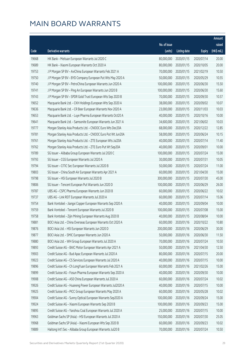|                |                                                                                                                             |                          |                          |                          | Amount         |
|----------------|-----------------------------------------------------------------------------------------------------------------------------|--------------------------|--------------------------|--------------------------|----------------|
|                |                                                                                                                             | No. of issue             |                          |                          | raised         |
| Code           | <b>Derivative warrants</b>                                                                                                  | (units)                  | <b>Listing date</b>      | <b>Expiry</b>            | (HK\$ mil.)    |
| 19668          | HK Bank - Meituan European Warrants Jul 2020 C                                                                              | 80,000,000               | 2020/01/15               | 2020/07/14               | 20.00          |
| 19689          | HK Bank - Xiaomi European Warrants Oct 2020 A                                                                               | 80,000,000               | 2020/01/15               | 2020/10/05               | 20.00          |
| 19753          | J P Morgan SP BV - AviChina European Warrants Feb 2021 A                                                                    | 70,000,000               | 2020/01/15               | 2021/02/19               | 10.50          |
| 19750          | J P Morgan SP BV - BYD Company European Put Wts May 2020 A                                                                  | 50,000,000               | 2020/01/15               | 2020/05/29               | 10.55          |
| 19740          | J P Morgan SP BV - PetroChina European Warrants Jun 2020 A                                                                  | 100,000,000              | 2020/01/15               | 2020/06/30               | 15.50          |
| 19741          | J P Morgan SP BV - Ping An European Warrants Jun 2020 B                                                                     | 100,000,000              | 2020/01/15               | 2020/06/30               | 15.60          |
| 19743          | J P Morgan SP BV - SPDR Gold Trust European Wts Sep 2020 B                                                                  | 70,000,000               | 2020/01/15               | 2020/09/30               | 10.57          |
| 19652          | Macquarie Bank Ltd. - CKH Holdings European Wts Sep 2020 A                                                                  | 38,000,000               | 2020/01/15               | 2020/09/02               | 10.07          |
| 19636          | Macquarie Bank Ltd. - CR Beer European Warrants Nov 2020 A                                                                  | 23,000,000               | 2020/01/15               | 2020/11/03               | 10.03          |
| 19653          | Macquarie Bank Ltd. - Luye Pharma European Warrants Oct20 A                                                                 | 40,000,000               | 2020/01/15               | 2020/10/16               | 10.00          |
| 19641          | Macquarie Bank Ltd. - Samsonite European Warrants Jun 2021 A                                                                | 34,600,000               | 2020/01/15               | 2021/06/02               | 10.03          |
| 19777          | Morgan Stanley Asia Products Ltd. - CNOOC Euro Wts Dec20A                                                                   | 68,000,000               | 2020/01/15               | 2020/12/22               | 12.85          |
| 19781          | Morgan Stanley Asia Products Ltd. - CNOOC Euro Put Wt Jun20A                                                                | 58,000,000               | 2020/01/15               | 2020/06/24               | 10.15          |
| 19761          | Morgan Stanley Asia Products Ltd. - ZTE European Wts Jul20A                                                                 | 40,000,000               | 2020/01/15               | 2020/07/14               | 11.40          |
| 19762          | Morgan Stanley Asia Products Ltd. - ZTE Euro Put Wt Sep20A                                                                  | 40,000,000               | 2020/01/15               | 2020/09/01               | 10.00          |
| 19789          | SG Issuer - Alibaba Group European Warrants Jul 2020 C                                                                      | 100,000,000              | 2020/01/15               | 2020/07/24               | 15.00          |
| 19793          | SG Issuer - CGS European Warrants Jul 2020 A                                                                                | 30,000,000               | 2020/01/15               | 2020/07/31               | 10.05          |
| 19794          | SG Issuer - CITIC Sec European Warrants Jul 2020 B                                                                          | 50,000,000               | 2020/01/15               | 2020/07/24               | 11.00          |
| 19803          | SG Issuer - China South Air European Warrants Apr 2021 A                                                                    | 60,000,000               | 2020/01/15               | 2021/04/30               | 15.00          |
| 19798          | SG Issuer - HSI European Warrants Jul 2020 B                                                                                | 300,000,000              | 2020/01/15               | 2020/07/30               | 45.00          |
| 19806          | SG Issuer - Tencent European Put Warrants Jun 2020 D                                                                        | 100,000,000              | 2020/01/15               | 2020/06/29               | 26.00          |
| 19787          | UBS AG - CSPC Pharma European Warrants Jun 2020 B                                                                           | 60,000,000               | 2020/01/15               | 2020/06/22               | 10.02          |
| 19737          | UBS AG - Link REIT European Warrants Jul 2020 A                                                                             | 60,000,000               | 2020/01/15               | 2020/07/14               | 15.06          |
| 19754          | Bank Vontobel - Jiangxi Copper European Warrants Sep 2020 A                                                                 | 40,000,000               | 2020/01/15               | 2020/09/04               | 10.00          |
| 19759          | Bank Vontobel - Tencent European Warrants Jul 2020 B                                                                        | 100,000,000              | 2020/01/15               | 2020/07/08               | 15.00          |
| 19758          | Bank Vontobel - Zijin Mining European Warrants Aug 2020 B                                                                   | 40,000,000               | 2020/01/15               | 2020/08/04               | 10.00          |
| 19881          | BOCI Asia Ltd. - China Overseas European Warrants Oct 2020 A                                                                |                          | 60,000,000 2020/01/16    | 2020/10/22               | 10.80          |
| 19876          | BOCI Asia Ltd. - HSI European Warrants Jun 2020 D                                                                           | 200,000,000              | 2020/01/16               | 2020/06/29               | 30.00          |
| 19877          | BOCI Asia Ltd. - SMIC European Warrants Jun 2020 A                                                                          | 50,000,000               | 2020/01/16               | 2020/06/30               | 11.50          |
| 19880          | BOCI Asia Ltd. - WH Group European Warrants Jul 2020 A                                                                      | 70,000,000               | 2020/01/16               | 2020/07/24               | 10.50          |
| 19893          | Credit Suisse AG - BAIC Motor European Warrants Apr 2021 A                                                                  | 50,000,000               | 2020/01/16               | 2021/04/30               | 12.50          |
| 19903          | Credit Suisse AG - Bud Apac European Warrants Jul 2020 A                                                                    | 80,000,000               | 2020/01/16               | 2020/07/15               | 20.00          |
| 19923          | Credit Suisse AG - CS Services European Warrants Jul 2020 A                                                                 | 40,000,000               | 2020/01/16               | 2020/07/15               | 10.00          |
| 19896          | Credit Suisse AG - Ch LongYuan European Warrants Feb 2021 A<br>Credit Suisse AG - Fosun Pharma European Warrants Sep 2020 A | 60,000,000<br>40,000,000 | 2020/01/16               | 2021/02/26               | 15.00          |
| 19899          |                                                                                                                             | 60,000,000               | 2020/01/16               | 2020/09/30               | 10.00<br>10.02 |
| 19908<br>19926 | Credit Suisse AG - A50 China European Warrants Jul 2020 A<br>Credit Suisse AG - Huaneng Power European Warrants Jul2020 A   | 40,000,000               | 2020/01/16               | 2020/07/24               | 10.00          |
| 19925          | Credit Suisse AG - PICC Group European Warrants May 2020 A                                                                  | 60,000,000               | 2020/01/16<br>2020/01/16 | 2020/07/15<br>2020/05/28 | 10.02          |
| 19904          |                                                                                                                             | 100,000,000              |                          |                          |                |
| 19924          | Credit Suisse AG - Sunny Optical European Warrants Sep2020 A<br>Credit Suisse AG - Xiaomi European Warrants Sep 2020 B      | 100,000,000              | 2020/01/16<br>2020/01/16 | 2020/09/24<br>2020/09/23 | 15.00<br>15.00 |
| 19895          | Credit Suisse AG - Yanzhou Coal European Warrants Jul 2020 A                                                                | 25,000,000               | 2020/01/16               | 2020/07/15               | 10.00          |
| 19963          | Goldman Sachs SP (Asia) - HSI European Warrants Jul 2020 A                                                                  | 150,000,000              | 2020/01/16               | 2020/07/30               | 25.05          |
| 19968          | Goldman Sachs SP (Asia) - Xiaomi European Wts Sep 2020 B                                                                    | 60,000,000               | 2020/01/16               | 2020/09/23               | 10.02          |
| 19889          | Haitong Int'l Sec - Alibaba Group European Warrants Jul20 B                                                                 | 70,000,000               | 2020/01/16               | 2020/07/24               | 10.50          |
|                |                                                                                                                             |                          |                          |                          |                |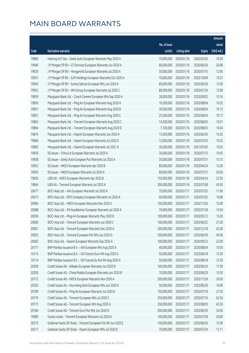|       |                                                              |                        |                     |               | Amount      |
|-------|--------------------------------------------------------------|------------------------|---------------------|---------------|-------------|
|       |                                                              | No. of issue           |                     |               | raised      |
| Code  | <b>Derivative warrants</b>                                   | (units)                | <b>Listing date</b> | <b>Expiry</b> | (HK\$ mil.) |
| 19885 | Haitong Int'l Sec - Geely Auto European Warrants May 2020 A  | 70,000,000             | 2020/01/16          | 2020/05/26    | 10.50       |
| 19946 | J P Morgan SP BV - CS Services European Warrants Jun 2020 A  | 80,000,000             | 2020/01/16          | 2020/06/26    | 20.08       |
| 19929 | J P Morgan SP BV - Henganintl European Warrants Jul 2020 A   | 50,000,000             | 2020/01/16          | 2020/07/15    | 12.85       |
| 19931 | J P Morgan SP BV - SJM Holdings European Warrants Oct 2020 A | 70,000,000             | 2020/01/16          | 2020/10/09    | 10.57       |
| 19940 | J P Morgan SP BV - Sunny Optical European Wts Jun 2020 A     | 80,000,000             | 2020/01/16          | 2020/06/26    | 12.00       |
| 19952 | J P Morgan SP BV - WH Group European Warrants Jul 2020 C     | 80,000,000             | 2020/01/16          | 2020/07/24    | 12.08       |
| 19859 | Macquarie Bank Ltd. - Conch Cement European Wts Sep 2020 A   | 28,000,000             | 2020/01/16          | 2020/09/02    | 10.16       |
| 19850 | Macquarie Bank Ltd. - Ping An European Warrants Aug 2020 A   | 16,500,000             | 2020/01/16          | 2020/08/04    | 10.02       |
| 19851 | Macquarie Bank Ltd. - Ping An European Warrants Aug 2020 B   | 30,500,000             | 2020/01/16          | 2020/08/04    | 10.13       |
| 19857 | Macquarie Bank Ltd. - Ping An European Warrants Aug 2020 C   | 25,500,000             | 2020/01/16          | 2020/08/04    | 10.17       |
| 19863 | Macquarie Bank Ltd. - Tencent European Warrants Aug 2020 C   | 14,200,000             | 2020/01/16          | 2020/08/03    | 10.01       |
| 19864 | Macquarie Bank Ltd. - Tencent European Warrants Aug 2020 D   | 7,100,000              | 2020/01/16          | 2020/08/03    | 10.04       |
| 19874 | Macquarie Bank Ltd. - Xiaomi European Warrants Jun 2020 A    | 15,500,000             | 2020/01/16          | 2020/06/30    | 10.20       |
| 19866 | Macquarie Bank Ltd. - Xiaomi European Warrants Jul 2020 A    | 13,000,000             | 2020/01/16          | 2020/07/03    | 10.02       |
| 19865 | Macquarie Bank Ltd. - Xiaomi European Warrants Jul 2021 A    | 30,500,000             | 2020/01/16          | 2021/07/05    | 10.03       |
| 19956 | SG Issuer - China Lit European Warrants Jul 2020 A           | 30,000,000             | 2020/01/16          | 2020/07/15    | 10.05       |
| 19958 | SG Issuer - Geely Auto European Put Warrants Jul 2020 A      | 35,000,000             | 2020/01/16          | 2020/07/31    | 10.15       |
| 19953 | SG Issuer - HKEX European Warrants Apr 2020 B                | 80,000,000             | 2020/01/16          | 2020/04/24    | 12.00       |
| 19955 | SG Issuer - HKEX European Warrants Jul 2020 A                | 80,000,000             | 2020/01/16          | 2020/07/31    | 20.00       |
| 19830 | UBS AG - HKEX European Warrants Apr 2020 B                   | 150,000,000            | 2020/01/16          | 2020/04/24    | 22.50       |
| 19844 | UBS AG - Tencent European Warrants Jul 2020 A                | 300,000,000            | 2020/01/16          | 2020/07/08    | 45.00       |
| 20077 | BOCI Asia Ltd. - AIA European Warrants Jul 2020 A            | 70,000,000             | 2020/01/17          | 2020/07/02    | 11.90       |
| 20073 | BOCI Asia Ltd. - BYD Company European Warrants Jul 2020 A    | 60,000,000             | 2020/01/17          | 2020/07/02    | 10.80       |
| 20069 | BOCI Asia Ltd. - HKEX European Warrants Nov 2020 A           | 100,000,000            | 2020/01/17          | 2020/11/26    | 15.00       |
| 20088 | BOCI Asia Ltd. - PA Gooddoctor European Warrants Jul 2020 A  | 70,000,000             | 2020/01/17          | 2020/07/28    | 10.50       |
| 20050 | BOCI Asia Ltd. - Ping An European Warrants May 2020 B        | 100,000,000            | 2020/01/17          | 2020/05/12    | 15.00       |
| 20060 | BOCI Asia Ltd. - Tencent European Warrants Jun 2020 C        | 100,000,000 2020/01/17 |                     | 2020/06/22    | 21.00       |
| 20061 | BOCI Asia Ltd. - Tencent European Warrants Dec 2020 A        | 200,000,000            | 2020/01/17          | 2020/12/18    | 42.00       |
| 20055 | BOCI Asia Ltd. - Tencent European Put Wts Jun 2020 D         | 200,000,000            | 2020/01/17          | 2020/06/30    | 40.00       |
| 20062 | BOCI Asia Ltd. - Xiaomi European Warrants Sep 2020 A         | 100,000,000            | 2020/01/17          | 2020/09/23    | 22.00       |
| 20171 | BNP Paribas Issuance B.V. - AIA European Wts Aug 2020 A      | 40,000,000             | 2020/01/17          | 2020/08/04    | 10.00       |
| 10113 | BNP Paribas Issuance B.V. - Oil Futures Euro Wt Aug 2020 A   | 50,000,000             | 2020/01/17          | 2020/08/18    | 12.50       |
| 10114 | BNP Paribas Issuance B.V. - Oil Futures Eu Put Wt Aug 2020 A | 50,000,000             | 2020/01/17          | 2020/08/18    | 12.50       |
| 20209 | Credit Suisse AG - Alibaba European Warrants Jun 2020 B      | 100,000,000            | 2020/01/17          | 2020/06/24    | 17.00       |
| 20200 | Credit Suisse AG - China Mobile European Warrants Jun 2020 B | 70,000,000             | 2020/01/17          | 2020/06/29    | 10.50       |
| 20172 | Credit Suisse AG - HKEX European Warrants Nov 2020 A         | 200,000,000            | 2020/01/17          | 2020/11/26    | 30.00       |
| 20205 | Credit Suisse AG - Hua Hong Semi European Wts Jun 2020 A     | 50,000,000             | 2020/01/17          | 2020/06/30    | 10.00       |
| 20189 | Credit Suisse AG - Ping An European Warrants Jul 2020 B      | 150,000,000            | 2020/01/17          | 2020/07/16    | 37.50       |
| 20176 | Credit Suisse AG - Tencent European Wts Jul 2020 C           | 250,000,000            | 2020/01/17          | 2020/07/16    | 62.50       |
| 20173 | Credit Suisse AG - Tencent European Wts Aug 2020 A           | 250,000,000            | 2020/01/17          | 2020/08/03    | 42.50       |
| 20184 | Credit Suisse AG - Tencent Euro Put Wts Jun 2020 D           | 200,000,000            | 2020/01/17          | 2020/06/30    | 34.00       |
| 19985 | Guotai Junan - Tencent European Warrants Jul 2020 A          | 100,000,000            | 2020/01/17          | 2020/07/28    | 20.80       |
| 20215 | Goldman Sachs SP (Asia) - Tencent European Put Wt Jun 2020 E | 100,000,000            | 2020/01/17          | 2020/06/30    | 15.00       |
| 20217 | Goldman Sachs SP (Asia) - Xiaomi European Wts Jul 2020 B     | 70,000,000             | 2020/01/17          | 2020/07/24    | 12.11       |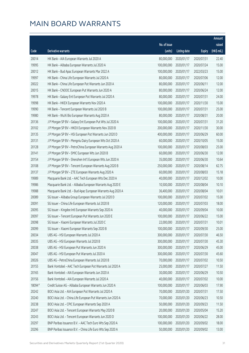|        |                                                              |              |                       |               | Amount      |
|--------|--------------------------------------------------------------|--------------|-----------------------|---------------|-------------|
|        |                                                              | No. of issue |                       |               | raised      |
| Code   | Derivative warrants                                          | (units)      | <b>Listing date</b>   | <b>Expiry</b> | (HK\$ mil.) |
| 20014  | HK Bank - AIA European Warrants Jul 2020 A                   | 80,000,000   | 2020/01/17            | 2020/07/31    | 22.40       |
| 19995  | HK Bank - Alibaba European Warrants Jul 2020 A               | 100,000,000  | 2020/01/17            | 2020/07/24    | 15.00       |
| 20012  | HK Bank - Bud Apac European Warrants Mar 2022 A              | 100,000,000  | 2020/01/17            | 2022/03/23    | 15.00       |
| 19997  | HK Bank - China Life European Warrants Jul 2020 A            | 80,000,000   | 2020/01/17            | 2020/07/06    | 12.00       |
| 20022  | HK Bank - China Life European Put Warrants Jun 2020 A        | 80,000,000   | 2020/01/17            | 2020/06/11    | 12.00       |
| 20015  | HK Bank - CNOOC European Put Warrants Jun 2020 A             | 80,000,000   | 2020/01/17            | 2020/06/24    | 12.00       |
| 19978  | HK Bank - Galaxy Ent European Put Warrants Jul 2020 A        | 80,000,000   | 2020/01/17            | 2020/07/31    | 24.00       |
| 19998  | HK Bank - HKEX European Warrants Nov 2020 A                  | 100,000,000  | 2020/01/17            | 2020/11/30    | 15.00       |
| 19990  | HK Bank - Tencent European Warrants Jul 2020 B               | 100,000,000  | 2020/01/17            | 2020/07/31    | 25.00       |
| 19980  | HK Bank - WuXi Bio European Warrants Aug 2020 A              | 80,000,000   | 2020/01/17            | 2020/08/31    | 20.00       |
| 20136  | J P Morgan SP BV - Galaxy Ent European Put Wts Jul 2020 A    | 100,000,000  | 2020/01/17            | 2020/07/31    | 31.20       |
| 20102  | J P Morgan SP BV - HKEX European Warrants Nov 2020 B         | 200,000,000  | 2020/01/17            | 2020/11/30    | 30.00       |
| 20135  | J P Morgan SP BV - HSI European Put Warrants Jun 2020 D      | 400,000,000  | 2020/01/17            | 2020/06/29    | 60.00       |
| 20131  | J P Morgan SP BV - Mengniu Dairy European Wts Oct 2020 A     | 60,000,000   | 2020/01/17            | 2020/10/05    | 15.00       |
| 20128  | J P Morgan SP BV - PetroChina European Warrants Aug 2020 A   | 100,000,000  | 2020/01/17            | 2020/08/03    | 25.00       |
| 20141  | J P Morgan SP BV - SMIC European Wts Jun 2020 B              | 60,000,000   | 2020/01/17            | 2020/06/30    | 12.00       |
| 20154  | J P Morgan SP BV - Shenzhen Int'l European Wts Jun 2020 A    | 35,000,000   | 2020/01/17            | 2020/06/30    | 10.64       |
| 20108  | J P Morgan SP BV - Tencent European Warrants Aug 2020 B      | 250,000,000  | 2020/01/17            | 2020/08/14    | 62.75       |
| 20137  | J P Morgan SP BV - ZTE European Warrants Aug 2020 A          | 60,000,000   | 2020/01/17            | 2020/08/03    | 15.18       |
| 19989  | Macquarie Bank Ltd. - AAC Tech European Wts Dec 2020 A       | 40,000,000   | 2020/01/17            | 2020/12/02    | 10.00       |
| 19986  | Macquarie Bank Ltd. - Alibaba European Warrants Aug 2020 E   | 10,500,000   | 2020/01/17            | 2020/08/04    | 10.10       |
| 19988  | Macquarie Bank Ltd. - Bud Apac European Warrants Aug 2020 A  | 36,400,000   | 2020/01/17            | 2020/08/04    | 10.01       |
| 20089  | SG Issuer - Alibaba Group European Warrants Jul 2020 D       | 100,000,000  | 2020/01/17            | 2020/07/02    | 15.00       |
| 20091  | SG Issuer - China Life European Warrants Jul 2020 B          | 120,000,000  | 2020/01/17            | 2020/07/03    | 18.00       |
| 20095  | SG Issuer - Kingdee Intl European Warrants Sep 2020 A        | 40,000,000   | 2020/01/17            | 2020/09/04    | 10.00       |
| 20097  | SG Issuer - Tencent European Put Warrants Jun 2020 E         | 100,000,000  | 2020/01/17            | 2020/06/22    | 15.00       |
| 20098  | SG Issuer - Xiaomi European Warrants Jul 2020 C              |              | 22,000,000 2020/01/17 | 2020/07/31    | 10.01       |
| 20099  | SG Issuer - Xiaomi European Warrants Sep 2020 B              | 100,000,000  | 2020/01/17            | 2020/09/30    | 25.00       |
| 20034  | UBS AG - HSI European Warrants Jul 2020 A                    | 300,000,000  | 2020/01/17            | 2020/07/30    | 46.50       |
| 20035  | UBS AG - HSI European Warrants Jul 2020 B                    | 300,000,000  | 2020/01/17            | 2020/07/30    | 45.30       |
| 20038  | UBS AG - HSI European Put Warrants Jun 2020 A                | 300,000,000  | 2020/01/17            | 2020/06/29    | 45.00       |
| 20047  | UBS AG - HSI European Put Warrants Jul 2020 A                | 300,000,000  | 2020/01/17            | 2020/07/30    | 45.60       |
| 20026  | UBS AG - PetroChina European Warrants Jul 2020 B             | 70,000,000   | 2020/01/17            | 2020/07/02    | 10.50       |
| 20155  | Bank Vontobel - AAC Tech European Put Warrants Jul 2020 A    | 25,000,000   | 2020/01/17            | 2020/07/27    | 11.50       |
| 20165  | Bank Vontobel - AIA European Warrants Jun 2020 A             | 30,000,000   | 2020/01/17            | 2020/06/29    | 10.50       |
| 20156  | Bank Vontobel - AIA European Warrants Jul 2020 A             | 40,000,000   | 2020/01/17            | 2020/07/02    | 10.00       |
| 18094# | Credit Suisse AG - Alibaba European Warrants Jun 2020 A      | 100,000,000  | 2020/01/17            | 2020/06/03    | 17.90       |
| 20242  | BOCI Asia Ltd. - AIA European Put Warrants Jul 2020 A        | 70,000,000   | 2020/01/20            | 2020/07/31    | 17.50       |
| 20240  | BOCI Asia Ltd. - China Life European Put Warrants Jun 2020 A | 70,000,000   | 2020/01/20            | 2020/06/23    | 10.50       |
| 20238  | BOCI Asia Ltd. - CPIC European Warrants Sep 2020 A           | 50,000,000   | 2020/01/20            | 2020/09/23    | 11.50       |
| 20247  | BOCI Asia Ltd. - Tencent European Warrants May 2020 B        | 20,000,000   | 2020/01/20            | 2020/05/04    | 15.20       |
| 20243  | BOCI Asia Ltd. - Tencent European Warrants Jun 2020 D        | 100,000,000  | 2020/01/20            | 2020/06/22    | 28.00       |
| 20297  | BNP Paribas Issuance B.V. - AAC Tech Euro Wts Sep 2020 A     | 100,000,000  | 2020/01/20            | 2020/09/02    | 18.00       |
| 20296  | BNP Paribas Issuance B.V. - China Life Euro Wts Sep 2020 A   | 50,000,000   | 2020/01/20            | 2020/09/02    | 13.00       |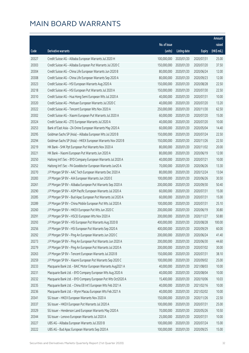|       |                                                              |                        |                     |               | Amount      |
|-------|--------------------------------------------------------------|------------------------|---------------------|---------------|-------------|
|       |                                                              | No. of issue           |                     |               | raised      |
| Code  | Derivative warrants                                          | (units)                | <b>Listing date</b> | <b>Expiry</b> | (HK\$ mil.) |
| 20327 | Credit Suisse AG - Alibaba European Warrants Jul 2020 H      | 100,000,000            | 2020/01/20          | 2020/07/31    | 25.00       |
| 20303 | Credit Suisse AG - Alibaba European Put Warrants Jul 2020 C  | 150,000,000            | 2020/01/20          | 2020/07/20    | 37.50       |
| 20304 | Credit Suisse AG - China Life European Warrants Jun 2020 B   | 80,000,000             | 2020/01/20          | 2020/06/24    | 12.00       |
| 20308 | Credit Suisse AG - China Life European Warrants Sep 2020 A   | 80,000,000             | 2020/01/20          | 2020/09/23    | 12.00       |
| 20323 | Credit Suisse AG - HSI European Warrants Aug 2020 A          | 150,000,000            | 2020/01/20          | 2020/08/28    | 22.50       |
| 20218 | Credit Suisse AG - HSI European Put Warrants Jul 2020 A      | 150,000,000            | 2020/01/20          | 2020/07/30    | 22.50       |
| 20310 | Credit Suisse AG - Hua Hong Semi European Wts Jul 2020 A     | 40,000,000             | 2020/01/20          | 2020/07/31    | 10.00       |
| 20320 | Credit Suisse AG - Meituan European Warrants Jul 2020 C      | 40,000,000             | 2020/01/20          | 2020/07/20    | 13.20       |
| 20322 | Credit Suisse AG - Tencent European Wts Nov 2020 A           | 250,000,000            | 2020/01/20          | 2020/11/30    | 62.50       |
| 20302 | Credit Suisse AG - Xiaomi European Put Warrants Jul 2020 A   | 60,000,000             | 2020/01/20          | 2020/07/20    | 15.00       |
| 20324 | Credit Suisse AG - ZTE European Warrants Jul 2020 A          | 40,000,000             | 2020/01/20          | 2020/07/20    | 10.00       |
| 20253 | Bank of East Asia - ZA Onine European Warrants May 2020 A    | 60,000,000             | 2020/01/20          | 2020/05/04    | 14.40       |
| 20295 | Goldman Sachs SP (Asia) - Alibaba European Wts Jul 2020 B    | 150,000,000            | 2020/01/20          | 2020/07/24    | 22.50       |
| 20294 | Goldman Sachs SP (Asia) - HKEX European Warrants Nov 2020 B  | 150,000,000            | 2020/01/20          | 2020/11/26    | 22.50       |
| 20219 | HK Bank - SHK Ppt European Put Warrants Nov 2020 A           | 80,000,000             | 2020/01/20          | 2020/11/02    | 20.00       |
| 20221 | HK Bank - Xiaomi European Put Warrants Jun 2020 A            | 80,000,000             | 2020/01/20          | 2020/06/19    | 12.00       |
| 20250 | Haitong Int'l Sec - BYD Company European Warrants Jul 2020 A | 40,000,000             | 2020/01/20          | 2020/07/21    | 10.00       |
| 20252 | Haitong Int'l Sec - PA Gooddoctor European Warrants Jun20 A  | 70,000,000             | 2020/01/20          | 2020/06/26    | 13.30       |
| 20270 | J P Morgan SP BV - AAC Tech European Warrants Dec 2020 A     | 80,000,000             | 2020/01/20          | 2020/12/24    | 13.04       |
| 20283 | J P Morgan SP BV - AIA European Warrants Jun 2020 E          | 100,000,000            | 2020/01/20          | 2020/06/26    | 30.50       |
| 20261 | J P Morgan SP BV - Alibaba European Put Warrants Sep 2020 A  | 200,000,000            | 2020/01/20          | 2020/09/30    | 50.40       |
| 20290 | J P Morgan SP BV - ASM Pacific European Warrants Jul 2020 A  | 60,000,000             | 2020/01/20          | 2020/07/31    | 15.00       |
| 20285 | J P Morgan SP BV - Bud Apac European Put Warrants Jul 2020 A | 60,000,000             | 2020/01/20          | 2020/07/31    | 15.00       |
| 20289 | J P Morgan SP BV - China Mobile European Put Wts Jul 2020 A  | 100,000,000            | 2020/01/20          | 2020/07/31    | 25.10       |
| 20260 | J P Morgan SP BV - HKEX European Put Wts Jun 2020 C          | 200,000,000            | 2020/01/20          | 2020/06/19    | 30.80       |
| 20291 | J P Morgan SP BV - HSCEI European Wts Nov 2020 A             | 200,000,000            | 2020/01/20          | 2020/11/27    | 50.80       |
| 20293 | J P Morgan SP BV - HSI European Put Warrants Aug 2020 B      | 400,000,000 2020/01/20 |                     | 2020/08/28    | 100.00      |
| 20256 | J P Morgan SP BV - HSI European Put Warrants Sep 2020 A      | 400,000,000            | 2020/01/20          | 2020/09/29    | 60.00       |
| 20292 | J P Morgan SP BV - Ping An European Warrants Jun 2020 C      | 200,000,000            | 2020/01/20          | 2020/06/24    | 41.40       |
| 20273 | J P Morgan SP BV - Ping An European Put Warrants Jun 2020 A  | 200,000,000            | 2020/01/20          | 2020/06/30    | 44.60       |
| 20279 | J P Morgan SP BV - Ping An European Put Warrants Jul 2020 A  | 200,000,000            | 2020/01/20          | 2020/07/02    | 30.00       |
| 20263 | J P Morgan SP BV - Tencent European Warrants Jul 2020 B      | 150,000,000            | 2020/01/20          | 2020/07/31    | 38.10       |
| 20259 | J P Morgan SP BV - Xiaomi European Put Warrants Sep 2020 C   | 100,000,000            | 2020/01/20          | 2020/09/02    | 25.00       |
| 20233 | Macquarie Bank Ltd. - BAIC Motor European Warrants Aug2021 A | 40,000,000             | 2020/01/20          | 2021/08/03    | 10.00       |
| 20231 | Macquarie Bank Ltd. - BYD Company European Wts Aug 2020 A    | 40,000,000             | 2020/01/20          | 2020/08/04    | 10.00       |
| 20232 | Macquarie Bank Ltd. - BYD Company European Put Wts Oct2020 A | 15,400,000             | 2020/01/20          | 2020/10/06    | 10.03       |
| 20235 | Macquarie Bank Ltd. - China EB Int'l European Wts Feb 2021 A | 40,000,000             | 2020/01/20          | 2021/02/16    | 10.00       |
| 20236 | Macquarie Bank Ltd. - Wynn Macau European Wts Feb 2021 A     | 40,000,000             | 2020/01/20          | 2021/02/02    | 10.00       |
| 20341 | SG Issuer - HKEX European Warrants Nov 2020 A                | 150,000,000            | 2020/01/20          | 2020/11/26    | 22.50       |
| 20337 | SG Issuer - HKEX European Put Warrants Jul 2020 A            | 100,000,000            | 2020/01/20          | 2020/07/31    | 25.00       |
| 20329 | SG Issuer - Henderson Land European Warrants May 2020 A      | 70,000,000             | 2020/01/20          | 2020/05/26    | 10.50       |
| 20344 | SG Issuer - Lenovo European Warrants Jul 2020 A              | 25,000,000             | 2020/01/20          | 2020/07/31    | 10.00       |
| 20227 | UBS AG - Alibaba European Warrants Jul 2020 B                | 100,000,000            | 2020/01/20          | 2020/07/24    | 15.00       |
| 20222 | UBS AG - Bud Apac European Warrants Sep 2020 A               | 100,000,000            | 2020/01/20          | 2020/09/25    | 15.00       |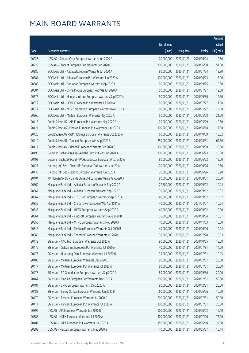|       |                                                              |              |                       |               | Amount      |
|-------|--------------------------------------------------------------|--------------|-----------------------|---------------|-------------|
|       |                                                              | No. of issue |                       |               | raised      |
| Code  | Derivative warrants                                          | (units)      | <b>Listing date</b>   | <b>Expiry</b> | (HK\$ mil.) |
| 20226 | UBS AG - Sinopec Corp European Warrants Jun 2020 A           | 70,000,000   | 2020/01/20            | 2020/06/24    | 10.50       |
| 20229 | UBS AG - Tencent European Put Warrants Jun 2020 C            | 300,000,000  | 2020/01/20            | 2020/06/30    | 51.00       |
| 20386 | BOCI Asia Ltd. - Alibaba European Warrants Jul 2020 A        | 80,000,000   | 2020/01/21            | 2020/07/24    | 12.80       |
| 20387 | BOCI Asia Ltd. - Alibaba European Put Warrants Jun 2020 A    | 100,000,000  | 2020/01/21            | 2020/06/23    | 15.00       |
| 20385 | BOCI Asia Ltd. - Bud Apac European Warrants Sep 2020 A       | 70,000,000   | 2020/01/21            | 2020/09/25    | 10.50       |
| 20384 | BOCI Asia Ltd. - China Mobile European Put Wts Jul 2020 A    | 50,000,000   | 2020/01/21            | 2020/07/27    | 12.00       |
| 20375 | BOCI Asia Ltd. - Henderson Land European Warrants Sep 2020 A | 50,000,000   | 2020/01/21            | 2020/09/30    | 12.50       |
| 20372 | BOCI Asia Ltd. - HSBC European Put Warrants Jul 2020 A       | 70,000,000   | 2020/01/21            | 2020/07/27    | 17.50       |
| 20377 | BOCI Asia Ltd. - MTR Corporation European Warrants Nov2020 A | 60,000,000   | 2020/01/21            | 2020/11/27    | 12.00       |
| 20366 | BOCI Asia Ltd. - Meituan European Warrants May 2020 A        | 50,000,000   | 2020/01/21            | 2020/05/28    | 21.00       |
| 20418 | Credit Suisse AG - AIA European Put Warrants May 2020 A      | 70,000,000   | 2020/01/21            | 2020/05/29    | 10.50       |
| 20421 | Credit Suisse AG - Ping An European Put Warrants Jun 2020 A  | 100,000,000  | 2020/01/21            | 2020/06/18    | 17.00       |
| 20420 | Credit Suisse AG - SJM Holdings European Warrants Oct 2020 A | 60,000,000   | 2020/01/21            | 2020/10/09    | 10.02       |
| 20410 | Credit Suisse AG - Tencent European Wts Aug 2020 B           | 250,000,000  | 2020/01/21            | 2020/08/31    | 62.50       |
| 20411 | Credit Suisse AG - Xiaomi European Warrants Sep 2020 C       | 100,000,000  | 2020/01/21            | 2020/09/30    | 25.00       |
| 20490 | Goldman Sachs SP (Asia) - Alibaba Euro Put Wts Jun 2020 A    | 100,000,000  | 2020/01/21            | 2020/06/23    | 15.00       |
| 20493 | Goldman Sachs SP (Asia) - PA Gooddoctor European Wts Jun20 A | 80,000,000   | 2020/01/21            | 2020/06/22    | 12.00       |
| 20427 | Haitong Int'l Sec - China Life European Put Warrants Jun20 A | 70,000,000   | 2020/01/21            | 2020/06/26    | 10.50       |
| 20430 | Haitong Int'l Sec - Lenovo European Warrants Jun 2020 A      | 70,000,000   | 2020/01/21            | 2020/06/26    | 18.20       |
| 20404 | J P Morgan SP BV - Sands China Ltd European Warrants Aug20 A | 80,000,000   | 2020/01/21            | 2020/08/31    | 20.08       |
| 20360 | Macquarie Bank Ltd. - Alibaba European Warrants Sep 2020 A   | 27,500,000   | 2020/01/21            | 2020/09/02    | 10.04       |
| 20361 | Macquarie Bank Ltd. - Alibaba European Warrants Sep 2020 B   | 39,000,000   | 2020/01/21            | 2020/09/02    | 10.02       |
| 20362 | Macquarie Bank Ltd. - CITIC Sec European Warrants Sep 2020 A | 40,000,000   | 2020/01/21            | 2020/09/02    | 10.12       |
| 20355 | Macquarie Bank Ltd. - China Tower European Wts Apr 2021 A    | 40,000,000   | 2020/01/21            | 2021/04/07    | 10.04       |
| 20345 | Macquarie Bank Ltd. - HKEX European Warrants Sep 2020 B      | 40,000,000   | 2020/01/21            | 2020/09/02    | 10.00       |
| 20364 | Macquarie Bank Ltd. - Kingsoft European Warrants Aug 2020 B  | 35,000,000   | 2020/01/21            | 2020/08/04    | 10.01       |
| 20353 | Macquarie Bank Ltd. - MTRC European Warrants Nov 2020 A      |              | 40,000,000 2020/01/21 | 2020/11/03    | 10.00       |
| 20346 | Macquarie Bank Ltd. - Meituan European Warrants Oct 2020 B   | 40,000,000   | 2020/01/21            | 2020/10/06    | 10.04       |
| 20365 | Macquarie Bank Ltd. - Tencent European Warrants Jul 2020 I   | 38,000,000   | 2020/01/21            | 2020/07/28    | 10.03       |
| 20472 | SG Issuer - AAC Tech European Warrants Oct 2020 A            | 80,000,000   | 2020/01/21            | 2020/10/05    | 13.60       |
| 20475 | SG Issuer - Galaxy Ent European Put Warrants Jul 2020 A      | 40,000,000   | 2020/01/21            | 2020/07/31    | 14.00       |
| 20476 | SG Issuer - Hua Hong Semi European Warrants Jul 2020 B       | 35,000,000   | 2020/01/21            | 2020/07/31    | 10.15       |
| 20486 | SG Issuer - Meituan European Warrants Dec 2020 B             | 80,000,000   | 2020/01/21            | 2020/12/31    | 20.00       |
| 20477 | SG Issuer - Meituan European Put Warrants Jul 2020 A         | 80,000,000   | 2020/01/21            | 2020/07/31    | 20.00       |
| 20478 | SG Issuer - PA Gooddoctor European Warrants Sep 2020 A       | 80,000,000   | 2020/01/21            | 2020/09/30    | 20.00       |
| 20467 | SG Issuer - Ping An European Put Warrants Dec 2020 A         | 200,000,000  | 2020/01/21            | 2020/12/31    | 50.00       |
| 20481 | SG Issuer - SMIC European Warrants Dec 2020 A                | 80,000,000   | 2020/01/21            | 2020/12/31    | 20.00       |
| 20483 | SG Issuer - Sunny Optical European Warrants Jun 2020 B       | 60,000,000   | 2020/01/21            | 2020/06/26    | 10.20       |
| 20470 | SG Issuer - Tencent European Warrants Jul 2020 D             | 200,000,000  | 2020/01/21            | 2020/07/31    | 50.00       |
| 20471 | SG Issuer - Tencent European Put Warrants Jul 2020 A         | 100,000,000  | 2020/01/21            | 2020/07/31    | 25.00       |
| 20399 | UBS AG - AIA European Warrants Jun 2020 B                    | 100,000,000  | 2020/01/21            | 2020/06/22    | 19.10       |
| 20388 | UBS AG - HKEX European Warrants Jul 2020 A                   | 300,000,000  | 2020/01/21            | 2020/07/20    | 75.00       |
| 20401 | UBS AG - HKEX European Put Warrants Jun 2020 A               | 150,000,000  | 2020/01/21            | 2020/06/18    | 22.50       |
| 20393 | UBS AG - Meituan European Warrants May 2020 B                | 40,000,000   | 2020/01/21            | 2020/05/27    | 10.44       |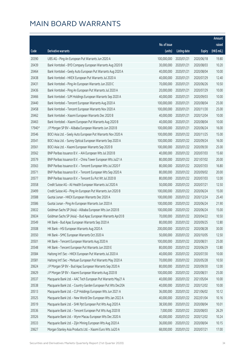|        |                                                              |              |                       |               | Amount      |
|--------|--------------------------------------------------------------|--------------|-----------------------|---------------|-------------|
|        |                                                              | No. of issue |                       |               | raised      |
| Code   | <b>Derivative warrants</b>                                   | (units)      | <b>Listing date</b>   | <b>Expiry</b> | (HK\$ mil.) |
| 20390  | UBS AG - Ping An European Put Warrants Jun 2020 A            | 100,000,000  | 2020/01/21            | 2020/06/18    | 19.80       |
| 20439  | Bank Vontobel - BYD Company European Warrants Aug 2020 B     | 30,000,000   | 2020/01/21            | 2020/08/03    | 10.20       |
| 20464  | Bank Vontobel - Geely Auto European Put Warrants Aug 2020 A  | 40,000,000   | 2020/01/21            | 2020/08/04    | 10.00       |
| 20438  | Bank Vontobel - HKEX European Put Warrants Jul 2020 A        | 40,000,000   | 2020/01/21            | 2020/07/29    | 12.40       |
| 20431  | Bank Vontobel - Ping An European Warrants Jun 2020 C         | 70,000,000   | 2020/01/21            | 2020/06/26    | 10.50       |
| 20436  | Bank Vontobel - Ping An European Put Warrants Jul 2020 A     | 20,000,000   | 2020/01/21            | 2020/07/29    | 10.00       |
| 20466  | Bank Vontobel - SJM Holdings European Warrants Sep 2020 A    | 40,000,000   | 2020/01/21            | 2020/09/03    | 10.00       |
| 20440  | Bank Vontobel - Tencent European Warrants Aug 2020 A         | 100,000,000  | 2020/01/21            | 2020/08/04    | 25.00       |
| 20458  | Bank Vontobel - Tencent European Warrants Nov 2020 A         | 100,000,000  | 2020/01/21            | 2020/11/30    | 25.00       |
| 20462  | Bank Vontobel - Xiaomi European Warrants Dec 2020 B          | 40,000,000   | 2020/01/21            | 2020/12/04    | 10.00       |
| 20463  | Bank Vontobel - Xiaomi European Put Warrants Aug 2020 B      | 40,000,000   | 2020/01/21            | 2020/08/04    | 10.00       |
| 17940# | J P Morgan SP BV - Alibaba European Warrants Jun 2020 B      | 100,000,000  | 2020/01/21            | 2020/06/24    | 16.00       |
| 20546  | BOCI Asia Ltd. - Geely Auto European Put Warrants Nov 2020 A | 100,000,000  | 2020/01/22            | 2020/11/25    | 15.00       |
| 20541  | BOCI Asia Ltd. - Sunny Optical European Warrants Sep 2020 A  | 100,000,000  | 2020/01/22            | 2020/09/24    | 16.00       |
| 20561  | BOCI Asia Ltd. - Xiaomi European Warrants Sep 2020 B         | 100,000,000  | 2020/01/22            | 2020/09/30    | 25.00       |
| 20562  | BNP Paribas Issuance B.V. - AIA European Wts Jul 2020 B      | 40,000,000   | 2020/01/22            | 2020/07/03    | 15.60       |
| 20579  | BNP Paribas Issuance B.V. - China Tower European Wts Jul21 A | 80,000,000   | 2020/01/22            | 2021/07/02    | 20.00       |
| 20563  | BNP Paribas Issuance B.V. - Tencent European Wts Jul 2020 F  | 80,000,000   | 2020/01/22            | 2020/07/03    | 16.80       |
| 20571  | BNP Paribas Issuance B.V. - Tencent European Wts Sep 2020 A  | 80,000,000   | 2020/01/22            | 2020/09/02    | 20.00       |
| 20577  | BNP Paribas Issuance B.V. - Tencent Eu Put Wt Jul 2020 B     | 80,000,000   | 2020/01/22            | 2020/07/03    | 12.00       |
| 20558  | Credit Suisse AG - Ali Health European Warrants Jul 2020 A   | 50,000,000   | 2020/01/22            | 2020/07/21    | 12.50       |
| 20499  | Credit Suisse AG - Ping An European Put Warrants Jun 2020 B  | 100,000,000  | 2020/01/22            | 2020/06/24    | 15.00       |
| 20588  | Guotai Junan - HKEX European Warrants Dec 2020 A             | 100,000,000  | 2020/01/22            | 2020/12/24    | 25.40       |
| 20586  | Guotai Junan - Ping An European Warrants Jun 2020 A          | 100,000,000  | 2020/01/22            | 2020/06/24    | 21.90       |
| 20632  | Goldman Sachs SP (Asia) - Alibaba European Wts Jun 2020 B    | 100,000,000  | 2020/01/22            | 2020/06/24    | 15.00       |
| 20634  | Goldman Sachs SP (Asia) - Bud Apac European Warrants Apr20 B | 70,000,000   | 2020/01/22            | 2020/04/22    | 10.50       |
| 20549  | HK Bank - Bud Apac European Warrants Sep 2020 A              |              | 80,000,000 2020/01/22 | 2020/09/25    | 12.80       |
| 20508  | HK Bank - HSI European Warrants Aug 2020 A                   | 200,000,000  | 2020/01/22            | 2020/08/28    | 30.00       |
| 20550  | HK Bank - SMIC European Warrants Oct 2020 A                  | 50,000,000   | 2020/01/22            | 2020/10/05    | 12.50       |
| 20501  | HK Bank - Tencent European Warrants Aug 2020 A               | 100,000,000  | 2020/01/22            | 2020/08/31    | 25.00       |
| 20548  | HK Bank - Tencent European Put Warrants Jun 2020 E           | 80,000,000   | 2020/01/22            | 2020/06/29    | 12.80       |
| 20584  | Haitong Int'l Sec - HKEX European Put Warrants Jul 2020 A    | 40,000,000   | 2020/01/22            | 2020/07/30    | 10.00       |
| 20581  | Haitong Int'l Sec - Meituan European Put Warrants May 2020 A | 70,000,000   | 2020/01/22            | 2020/05/28    | 10.50       |
| 20624  | J P Morgan SP BV - Bud Apac European Warrants Sep 2020 A     | 80,000,000   | 2020/01/22            | 2020/09/30    | 12.00       |
| 20629  | J P Morgan SP BV - Xiaomi European Warrants Aug 2020 B       | 100,000,000  | 2020/01/22            | 2020/08/31    | 25.00       |
| 20537  | Macquarie Bank Ltd. - AAC Tech European Put Warrants May21 A | 40,000,000   | 2020/01/22            | 2021/05/04    | 10.00       |
| 20538  | Macquarie Bank Ltd. - Country Garden European Put Wts Dec20A | 40,000,000   | 2020/01/22            | 2020/12/02    | 10.00       |
| 20513  | Macquarie Bank Ltd. - CLP Holdings European Wts Jun 2021 A   | 36,000,000   | 2020/01/22            | 2021/06/02    | 10.12       |
| 20525  | Macquarie Bank Ltd. - New World Dev European Wts Jan 2022 A  | 40,000,000   | 2020/01/22            | 2022/01/04    | 10.16       |
| 20519  | Macquarie Bank Ltd. - SHK Ppt European Put Wts Aug 2020 A    | 38,500,000   | 2020/01/22            | 2020/08/04    | 10.01       |
| 20536  | Macquarie Bank Ltd. - Tencent European Put Wts Aug 2020 B    | 7,000,000    | 2020/01/22            | 2020/08/03    | 26.29       |
| 20526  | Macquarie Bank Ltd. - Wynn Macau European Wts Dec 2020 A     | 40,000,000   | 2020/01/22            | 2020/12/02    | 10.24       |
| 20533  | Macquarie Bank Ltd. - Zijin Mining European Wts Aug 2020 A   | 36,000,000   | 2020/01/22            | 2020/08/04    | 10.15       |
| 20627  | Morgan Stanley Asia Products Ltd. - Xiaomi Euro Wts Jul20 A  | 68,000,000   | 2020/01/22            | 2020/07/21    | 17.00       |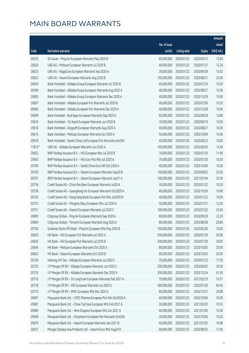|        |                                                              |              |                       |               | Amount      |
|--------|--------------------------------------------------------------|--------------|-----------------------|---------------|-------------|
|        |                                                              | No. of issue |                       |               | raised      |
| Code   | Derivative warrants                                          | (units)      | <b>Listing date</b>   | <b>Expiry</b> | (HK\$ mil.) |
| 20535  | SG Issuer - Ping An European Warrants May 2020 B             | 60,000,000   | 2020/01/22            | 2020/05/12    | 12.60       |
| 20620  | UBS AG - Meituan European Warrants Jul 2020 B                | 40,000,000   | 2020/01/22            | 2020/07/21    | 12.24       |
| 20623  | UBS AG - NagaCorp European Warrants Sep 2020 A               | 30,000,000   | 2020/01/22            | 2020/09/28    | 10.02       |
| 20622  | UBS AG - Xiaomi European Warrants Aug 2020 B                 | 100,000,000  | 2020/01/22            | 2020/08/31    | 25.00       |
| 20604  | Bank Vontobel - Alibaba Group European Warrants Jul 2020 B   | 60,000,000   | 2020/01/22            | 2020/07/24    | 10.20       |
| 20599  | Bank Vontobel - Alibaba Group European Warrants Aug 2020 A   | 40,000,000   | 2020/01/22            | 2020/08/27    | 10.00       |
| 20605  | Bank Vontobel - Alibaba Group European Warrants Dec 2020 A   | 40,000,000   | 2020/01/22            | 2020/12/29    | 10.00       |
| 20607  | Bank Vontobel - Alibaba European Put Warrants Jul 2020 B     | 60,000,000   | 2020/01/22            | 2020/07/06    | 10.20       |
| 20606  | Bank Vontobel - Alibaba European Put Warrants Dec 2020 A     | 40,000,000   | 2020/01/22            | 2020/12/28    | 10.00       |
| 20609  | Bank Vontobel - Bud Apac European Warrants Sep 2020 A        | 60,000,000   | 2020/01/22            | 2020/09/28    | 10.80       |
| 20616  | Bank Vontobel - CK Asset European Warrants Jun 2020 B        | 70,000,000   | 2020/01/22            | 2020/06/19    | 10.50       |
| 20610  | Bank Vontobel - Kingsoft European Warrants Aug 2020 A        | 40,000,000   | 2020/01/22            | 2020/08/27    | 10.00       |
| 20615  | Bank Vontobel - Meituan European Warrants Oct 2020 A         | 50,000,000   | 2020/01/22            | 2020/10/09    | 10.00       |
| 20618  | Bank Vontobel - Sands China Ltd European Put Warrants Jun20A | 40,000,000   | 2020/01/22            | 2020/06/23    | 10.00       |
| 17813# | UBS AG - Alibaba European Warrants Jun 2020 A                | 100,000,000  | 2020/01/22            | 2020/06/03    | 14.40       |
| 20653  | BNP Paribas Issuance B.V. - HSI European Wts Jul 2020 B      | 70,000,000   | 2020/01/23            | 2020/07/30    | 11.90       |
| 20663  | BNP Paribas Issuance B.V. - HSI Euro Put Wts Jul 2020 A      | 70,000,000   | 2020/01/23            | 2020/07/30    | 10.50       |
| 20709  | BNP Paribas Issuance B.V. - Sands China Euro Wt Oct 2020 A   | 40,000,000   | 2020/01/23            | 2020/10/06    | 10.00       |
| 20705  | BNP Paribas Issuance B.V. - Xiaomi European Warrants Sep20 B | 100,000,000  | 2020/01/23            | 2020/09/02    | 25.00       |
| 20707  | BNP Paribas Issuance B.V. - Xiaomi European Warrants Jan21 A | 100,000,000  | 2020/01/23            | 2021/01/04    | 25.00       |
| 20734  | Credit Suisse AG - China Res Beer European Warrants Jul20 A  | 30,000,000   | 2020/01/23            | 2020/07/22    | 10.20       |
| 20738  | Credit Suisse AG - Guangdong Inv European Warrants Oct2020 A | 40,000,000   | 2020/01/23            | 2020/10/30    | 10.00       |
| 20730  | Credit Suisse AG - Hang Seng Bank European Put Wts Jul2020 B | 40,000,000   | 2020/01/23            | 2020/07/22    | 10.00       |
| 20733  | Credit Suisse AG - Mengniu Dairy European Wts Jul 2020 A     | 50,000,000   | 2020/01/23            | 2020/07/31    | 12.50       |
| 20731  | Credit Suisse AG - Xiaomi European Warrants Jul 2020 C       | 100,000,000  | 2020/01/23            | 2020/07/22    | 25.00       |
| 20695  | Citigroup Global - Ping An European Warrants Sep 2020 A      | 80,000,000   | 2020/01/23            | 2020/09/29    | 23.20       |
| 20694  | Citigroup Global - Tencent European Warrants Aug 2020 A      |              | 80,000,000 2020/01/23 | 2020/08/28    | 20.80       |
| 20758  | Goldman Sachs SP (Asia) - Ping An European Wts May 2020 B    | 100,000,000  | 2020/01/23            | 2020/05/26    | 15.00       |
| 20635  | HK Bank - HSI European Put Warrants Jul 2020 A               | 200,000,000  | 2020/01/23            | 2020/07/30    | 30.00       |
| 20636  | HK Bank - HSI European Put Warrants Jul 2020 B               | 200,000,000  | 2020/01/23            | 2020/07/30    | 30.00       |
| 20646  | HK Bank - Meituan European Warrants Oct 2020 A               | 80,000,000   | 2020/01/23            | 2020/10/05    | 20.00       |
| 20642  | HK Bank - Xiaomi European Warrants Oct 2020 B                | 80,000,000   | 2020/01/23            | 2020/10/05    | 20.00       |
| 20728  | Haitong Int'l Sec - Alibaba European Warrants Jul 2020 C     | 70,000,000   | 2020/01/23            | 2020/07/23    | 17.50       |
| 20725  | J P Morgan SP BV - Alibaba European Warrants Jun 2020 C      | 200,000,000  | 2020/01/23            | 2020/06/03    | 30.20       |
| 20724  | J P Morgan SP BV - Alibaba European Warrants Dec 2020 A      | 300,000,000  | 2020/01/23            | 2020/12/24    | 61.50       |
| 20716  | J P Morgan SP BV - Ch LongYuan European Warrants Feb 2021 A  | 70,000,000   | 2020/01/23            | 2021/02/19    | 10.57       |
| 20718  | J P Morgan SP BV - HSI European Warrants Jul 2020 G          | 400,000,000  | 2020/01/23            | 2020/07/30    | 60.40       |
| 20710  | J P Morgan SP BV - SMIC European Wts Dec 2020 A              | 80,000,000   | 2020/01/23            | 2020/12/31    | 20.08       |
| 20697  | Macquarie Bank Ltd. - CSPC Pharma European Put Wts Oct2020 A | 40,000,000   | 2020/01/23            | 2020/10/06    | 10.00       |
| 20687  | Macquarie Bank Ltd. - Chow Tai Fook European Wts Feb 2021 A  | 26,000,000   | 2020/01/23            | 2021/02/02    | 10.53       |
| 20689  | Macquarie Bank Ltd. - Nine Dragons European Wts Jan 2021 A   | 40,000,000   | 2020/01/23            | 2021/01/05    | 10.36       |
| 20698  | Macquarie Bank Ltd. - Sinopharm European Put Warrants Oct20A | 30,000,000   | 2020/01/23            | 2020/10/06    | 10.02       |
| 20679  | Macquarie Bank Ltd. - Xiaomi European Warrants Jan 2021 B    | 40,000,000   | 2020/01/23            | 2021/01/05    | 10.08       |
| 20637  | Morgan Stanley Asia Products Ltd. - Xiaomi Euro Wts Aug20 B  | 68,000,000   | 2020/01/23            | 2020/08/25    | 17.00       |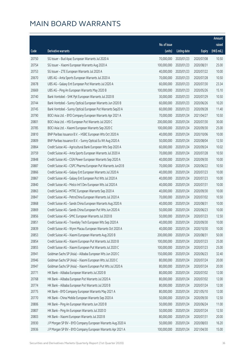|       |                                                              |              |                       |               | Amount      |
|-------|--------------------------------------------------------------|--------------|-----------------------|---------------|-------------|
|       |                                                              | No. of issue |                       |               | raised      |
| Code  | Derivative warrants                                          | (units)      | <b>Listing date</b>   | <b>Expiry</b> | (HK\$ mil.) |
| 20750 | SG Issuer - Bud Apac European Warrants Jul 2020 A            | 70,000,000   | 2020/01/23            | 2020/07/08    | 10.50       |
| 20754 | SG Issuer - Xiaomi European Warrants Aug 2020 A              | 100,000,000  | 2020/01/23            | 2020/08/31    | 25.00       |
| 20753 | SG Issuer - ZTE European Warrants Jul 2020 A                 | 40,000,000   | 2020/01/23            | 2020/07/22    | 10.00       |
| 20670 | UBS AG - Anta Sports European Warrants Jul 2020 A            | 70,000,000   | 2020/01/23            | 2020/07/28    | 10.50       |
| 20678 | UBS AG - Galaxy Ent European Put Warrants Jul 2020 A         | 60,000,000   | 2020/01/23            | 2020/07/30    | 23.34       |
| 20669 | UBS AG - Ping An European Warrants May 2020 B                | 100,000,000  | 2020/01/23            | 2020/05/26    | 15.10       |
| 20740 | Bank Vontobel - SHK Ppt European Warrants Jul 2020 B         | 30,000,000   | 2020/01/23            | 2020/07/29    | 10.50       |
| 20744 | Bank Vontobel - Sunny Optical European Warrants Jun 2020 B   | 60,000,000   | 2020/01/23            | 2020/06/26    | 10.20       |
| 20745 | Bank Vontobel - Sunny Optical European Put Warrants Sep20 A  | 60,000,000   | 2020/01/23            | 2020/09/28    | 11.40       |
| 20790 | BOCI Asia Ltd. - BYD Company European Warrants Apr 2021 A    | 70,000,000   | 2020/01/24            | 2021/04/27    | 10.50       |
| 20801 | BOCI Asia Ltd. - HSI European Put Warrants Jul 2020 C        | 200,000,000  | 2020/01/24            | 2020/07/30    | 30.00       |
| 20785 | BOCI Asia Ltd. - Xiaomi European Warrants Sep 2020 C         | 100,000,000  | 2020/01/24            | 2020/09/30    | 25.00       |
| 20810 | BNP Paribas Issuance B.V. - HSBC European Wts Oct 2020 A     | 40,000,000   | 2020/01/24            | 2020/10/06    | 10.00       |
| 20809 | BNP Paribas Issuance B.V. - Sunny Optical Eu Wt Aug 2020 A   | 50,000,000   | 2020/01/24            | 2020/08/04    | 12.50       |
| 20864 | Credit Suisse AG - Agricultural Bank European Wts Sep 2020 A | 60,000,000   | 2020/01/24            | 2020/09/24    | 10.02       |
| 20759 | Credit Suisse AG - Anta Sports European Warrants Jul 2020 A  | 70,000,000   | 2020/01/24            | 2020/07/28    | 10.50       |
| 20848 | Credit Suisse AG - CGN Power European Warrants Sep 2020 A    | 40,000,000   | 2020/01/24            | 2020/09/30    | 10.00       |
| 20887 | Credit Suisse AG - CSPC Pharma European Put Warrants Jun20 B | 70,000,000   | 2020/01/24            | 2020/06/22    | 10.50       |
| 20866 | Credit Suisse AG - Galaxy Ent European Warrants Jul 2020 A   | 40,000,000   | 2020/01/24            | 2020/07/23    | 10.00       |
| 20867 | Credit Suisse AG - Galaxy Ent European Put Wts Jul 2020 A    | 40,000,000   | 2020/01/24            | 2020/07/23    | 10.00       |
| 20840 | Credit Suisse AG - Melco Int'l Dev European Wts Jul 2020 A   | 40,000,000   | 2020/01/24            | 2020/07/31    | 10.00       |
| 20863 | Credit Suisse AG - MTRC European Warrants Sep 2020 A         | 40,000,000   | 2020/01/24            | 2020/09/30    | 10.00       |
| 20847 | Credit Suisse AG - PetroChina European Warrants Jul 2020 A   | 70,000,000   | 2020/01/24            | 2020/07/02    | 10.50       |
| 20868 | Credit Suisse AG - Sands China European Warrants Aug 2020 A  | 40,000,000   | 2020/01/24            | 2020/08/31    | 10.00       |
| 20869 | Credit Suisse AG - Sands China European Put Wts Jun 2020 A   | 50,000,000   | 2020/01/24            | 2020/06/23    | 10.00       |
| 20856 | Credit Suisse AG - SMIC European Warrants Jul 2020 B         | 50,000,000   | 2020/01/24            | 2020/07/23    | 12.50       |
| 20851 | Credit Suisse AG - Travelsky Tech European Wts Sep 2020 A    |              | 40,000,000 2020/01/24 | 2020/09/30    | 10.00       |
| 20839 | Credit Suisse AG - Wynn Macau European Warrants Oct 2020 A   | 40,000,000   | 2020/01/24            | 2020/10/30    | 10.00       |
| 20853 | Credit Suisse AG - Xiaomi European Warrants Aug 2020 B       | 200,000,000  | 2020/01/24            | 2020/08/31    | 50.00       |
| 20854 | Credit Suisse AG - Xiaomi European Put Warrants Jul 2020 B   | 100,000,000  | 2020/01/24            | 2020/07/23    | 25.00       |
| 20855 | Credit Suisse AG - Xiaomi European Put Warrants Jul 2020 C   | 100,000,000  | 2020/01/24            | 2020/07/23    | 25.00       |
| 20941 | Goldman Sachs SP (Asia) - Alibaba European Wts Jun 2020 C    | 150,000,000  | 2020/01/24            | 2020/06/23    | 32.40       |
| 20946 | Goldman Sachs SP (Asia) - Xiaomi European Wts Jul 2020 C     | 80,000,000   | 2020/01/24            | 2020/07/24    | 20.00       |
| 20947 | Goldman Sachs SP (Asia) - Xiaomi European Put Wts Jul 2020 A | 80,000,000   | 2020/01/24            | 2020/07/24    | 20.00       |
| 20771 | HK Bank - Alibaba European Warrants Jul 2020 B               | 80,000,000   | 2020/01/24            | 2020/07/02    | 12.00       |
| 20768 | HK Bank - Alibaba European Put Warrants Jul 2020 A           | 80,000,000   | 2020/01/24            | 2020/07/02    | 12.00       |
| 20774 | HK Bank - Alibaba European Put Warrants Jul 2020 B           | 80,000,000   | 2020/01/24            | 2020/07/24    | 12.00       |
| 20775 | HK Bank - BYD Company European Warrants May 2021 A           | 80,000,000   | 2020/01/24            | 2021/05/10    | 12.00       |
| 20770 | HK Bank - China Mobile European Warrants Sep 2020 A          | 50,000,000   | 2020/01/24            | 2020/09/30    | 12.50       |
| 20806 | HK Bank - Ping An European Warrants Jun 2020 B               | 50,000,000   | 2020/01/24            | 2020/06/24    | 11.00       |
| 20807 | HK Bank - Ping An European Warrants Jul 2020 D               | 50,000,000   | 2020/01/24            | 2020/07/24    | 12.50       |
| 20803 | HK Bank - Xiaomi European Warrants Jul 2020 B                | 80,000,000   | 2020/01/24            | 2020/07/31    | 20.00       |
| 20930 | J P Morgan SP BV - BYD Company European Warrants Aug 2020 A  | 50,000,000   | 2020/01/24            | 2020/08/03    | 16.20       |
| 20936 | J P Morgan SP BV - BYD Company European Warrants Apr 2021 A  | 100,000,000  | 2020/01/24            | 2021/04/30    | 15.00       |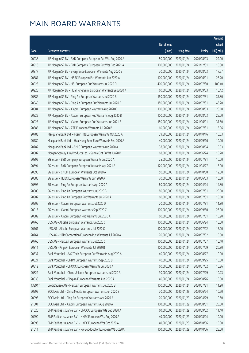|        |                                                              |                        |                     |               | Amount      |
|--------|--------------------------------------------------------------|------------------------|---------------------|---------------|-------------|
|        |                                                              | No. of issue           |                     |               | raised      |
| Code   | Derivative warrants                                          | (units)                | <b>Listing date</b> | <b>Expiry</b> | (HK\$ mil.) |
| 20938  | J P Morgan SP BV - BYD Company European Put Wts Aug 2020 A   | 50,000,000             | 2020/01/24          | 2020/08/03    | 22.00       |
| 20916  | J P Morgan SP BV - BYD Company European Put Wts Dec 2021 A   | 100,000,000            | 2020/01/24          | 2021/12/31    | 15.30       |
| 20877  | J P Morgan SP BV - Evergrande European Warrants Aug 2020 B   | 70,000,000             | 2020/01/24          | 2020/08/03    | 17.57       |
| 20881  | J P Morgan SP BV - HSBC European Put Warrants Jun 2020 A     | 100,000,000            | 2020/01/24          | 2020/06/01    | 25.20       |
| 20925  | J P Morgan SP BV - HSI European Put Warrants Jul 2020 D      | 400,000,000            | 2020/01/24          | 2020/07/30    | 100.40      |
| 20928  | J P Morgan SP BV - Hua Hong Semi European Warrants Sep2020 A | 60,000,000             | 2020/01/24          | 2020/09/03    | 15.42       |
| 20886  | J P Morgan SP BV - Ping An European Warrants Jul 2020 B      | 150,000,000            | 2020/01/24          | 2020/07/31    | 37.80       |
| 20940  | J P Morgan SP BV - Ping An European Put Warrants Jul 2020 B  | 150,000,000            | 2020/01/24          | 2020/07/31    | 46.20       |
| 20884  | J P Morgan SP BV - Xiaomi European Warrants Aug 2020 C       | 100,000,000            | 2020/01/24          | 2020/08/03    | 25.10       |
| 20922  | J P Morgan SP BV - Xiaomi European Put Warrants Aug 2020 B   | 100,000,000            | 2020/01/24          | 2020/08/03    | 25.00       |
| 20923  | J P Morgan SP BV - Xiaomi European Put Warrants Jun 2021 B   | 150,000,000            | 2020/01/24          | 2021/06/01    | 37.50       |
| 20885  | J P Morgan SP BV - ZTE European Warrants Jul 2020 B          | 60,000,000             | 2020/01/24          | 2020/07/31    | 15.06       |
| 20783  | Macquarie Bank Ltd. - Fosun Intl European Warrants Oct2020 A | 39,500,000             | 2020/01/24          | 2020/10/16    | 10.03       |
| 20780  | Macquarie Bank Ltd. - Hua Hong Semi Euro Warrants Sep 2020 A | 40,000,000             | 2020/01/24          | 2020/09/16    | 10.00       |
| 20782  | Macquarie Bank Ltd. - SMIC European Warrants Aug 2020 A      | 38,000,000             | 2020/01/24          | 2020/08/04    | 10.03       |
| 20802  | Morgan Stanley Asia Products Ltd. - Sunny Opt Eu Wt Jun20 B  | 68,000,000             | 2020/01/24          | 2020/06/24    | 10.20       |
| 20892  | SG Issuer - BYD Company European Warrants Jul 2020 A         | 25,000,000             | 2020/01/24          | 2020/07/31    | 10.00       |
| 20894  | SG Issuer - BYD Company European Warrants Apr 2021 A         | 120,000,000            | 2020/01/24          | 2021/04/27    | 18.00       |
| 20895  | SG Issuer - CNBM European Warrants Oct 2020 A                | 50,000,000             | 2020/01/24          | 2020/10/30    | 12.50       |
| 20888  | SG Issuer - HSBC European Warrants Jun 2020 A                | 70,000,000             | 2020/01/24          | 2020/06/03    | 10.50       |
| 20896  | SG Issuer - Ping An European Warrants Apr 2020 A             | 80,000,000             | 2020/01/24          | 2020/04/24    | 14.80       |
| 20900  | SG Issuer - Ping An European Warrants Jul 2020 B             | 80,000,000             | 2020/01/24          | 2020/07/31    | 20.00       |
| 20902  | SG Issuer - Ping An European Put Warrants Jul 2020 A         | 60,000,000             | 2020/01/24          | 2020/07/31    | 18.60       |
| 20905  | SG Issuer - Xiaomi European Warrants Jul 2020 D              | 20,000,000             | 2020/01/24          | 2020/07/31    | 11.80       |
| 20913  | SG Issuer - Xiaomi European Warrants Sep 2020 C              | 100,000,000            | 2020/01/24          | 2020/09/30    | 25.00       |
| 20889  | SG Issuer - Xiaomi European Put Warrants Jul 2020 A          | 60,000,000             | 2020/01/24          | 2020/07/31    | 15.90       |
| 20765  | UBS AG - Alibaba European Warrants Jun 2020 C                | 100,000,000 2020/01/24 |                     | 2020/06/24    | 15.00       |
| 20761  | UBS AG - Alibaba European Warrants Jul 2020 C                | 100,000,000            | 2020/01/24          | 2020/07/02    | 15.00       |
| 20764  | UBS AG - MTR Corporation European Put Warrants Jul 2020 A    | 70,000,000             | 2020/01/24          | 2020/07/02    | 10.50       |
| 20766  | UBS AG - Meituan European Warrants Jul 2020 C                | 100,000,000            | 2020/01/24          | 2020/07/07    | 16.10       |
| 20811  | UBS AG - Ping An European Warrants Jul 2020 B                | 100,000,000            | 2020/01/24          | 2020/07/09    | 26.30       |
| 20837  | Bank Vontobel - AAC Tech European Put Warrants Aug 2020 A    | 40,000,000             | 2020/01/24          | 2020/08/27    | 10.00       |
| 20821  | Bank Vontobel - CNBM European Warrants Sep 2020 B            | 40,000,000             | 2020/01/24          | 2020/09/25    | 10.00       |
| 20812  | Bank Vontobel - CNOOC European Warrants Jul 2020 A           | 60,000,000             | 2020/01/24          | 2020/07/02    | 10.26       |
| 20822  | Bank Vontobel - China Unicom European Warrants Jul 2020 A    | 30,000,000             | 2020/01/24          | 2020/07/29    | 10.23       |
| 20838  | Bank Vontobel - Ping An European Warrants Aug 2020 A         | 40,000,000             | 2020/01/24          | 2020/08/26    | 10.00       |
| 13894# | Credit Suisse AG - Meituan European Warrants Jul 2020 B      | 100,000,000            | 2020/01/24          | 2020/07/31    | 11.90       |
| 20999  | BOCI Asia Ltd. - China Mobile European Warrants Jun 2020 B   | 70,000,000             | 2020/01/29          | 2020/06/24    | 10.50       |
| 20998  | BOCI Asia Ltd. - Ping An European Warrants Apr 2020 A        | 70,000,000             | 2020/01/29          | 2020/04/29    | 10.50       |
| 21001  | BOCI Asia Ltd. - Xiaomi European Warrants Aug 2020 A         | 100,000,000            | 2020/01/29          | 2020/08/31    | 25.00       |
| 21026  | BNP Paribas Issuance B.V. - CNOOC European Wts Sep 2020 A    | 60,000,000             | 2020/01/29          | 2020/09/02    | 11.40       |
| 20990  | BNP Paribas Issuance B.V. - HKEX European Wts Aug 2020 A     | 40,000,000             | 2020/01/29          | 2020/08/04    | 10.00       |
| 20996  | BNP Paribas Issuance B.V. - HKEX European Wts Oct 2020 A     | 40,000,000             | 2020/01/29          | 2020/10/06    | 10.00       |
| 21011  | BNP Paribas Issuance B.V. - PA Gooddoctor European Wt Oct20A | 100,000,000            | 2020/01/29          | 2020/10/06    | 25.00       |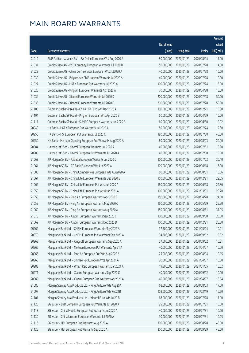|       |                                                              |                        |                     |               | Amount                |
|-------|--------------------------------------------------------------|------------------------|---------------------|---------------|-----------------------|
|       |                                                              | No. of issue           |                     |               | raised                |
| Code  | Derivative warrants                                          | (units)                | <b>Listing date</b> | <b>Expiry</b> | $(HK\frac{1}{2}mil.)$ |
| 21010 | BNP Paribas Issuance B.V. - ZA Onine European Wts Aug 2020 A | 50,000,000             | 2020/01/29          | 2020/08/04    | 17.00                 |
| 21031 | Credit Suisse AG - BYD Company European Warrants Jul 2020 B  | 50,000,000             | 2020/01/29          | 2020/07/28    | 14.00                 |
| 21029 | Credit Suisse AG - China Com Services European Wts Jul2020 A | 40,000,000             | 2020/01/29          | 2020/07/28    | 10.00                 |
| 21030 | Credit Suisse AG - Baiyunshan Ph European Warrants Jul2020 A | 40,000,000             | 2020/01/29          | 2020/07/28    | 10.00                 |
| 21027 | Credit Suisse AG - HKEX European Put Warrants Jul 2020 A     | 100,000,000            | 2020/01/29          | 2020/07/24    | 15.00                 |
| 21028 | Credit Suisse AG - Ping An European Warrants Apr 2020 A      | 70,000,000             | 2020/01/29          | 2020/04/28    | 10.50                 |
| 21034 | Credit Suisse AG - Xiaomi European Warrants Jul 2020 D       | 200,000,000            | 2020/01/29          | 2020/07/28    | 50.00                 |
| 21038 | Credit Suisse AG - Xiaomi European Warrants Jul 2020 E       | 200,000,000            | 2020/01/29          | 2020/07/28    | 50.00                 |
| 21105 | Goldman Sachs SP (Asia) - China Life Euro Wts Dec 2020 A     | 100,000,000            | 2020/01/29          | 2020/12/21    | 15.00                 |
| 21104 | Goldman Sachs SP (Asia) - Ping An European Wts Apr 2020 B    | 50,000,000             | 2020/01/29          | 2020/04/29    | 10.00                 |
| 21111 | Goldman Sachs SP (Asia) - SUNAC European Warrants Jun 2020 B | 60,000,000             | 2020/01/29          | 2020/06/30    | 10.02                 |
| 20949 | HK Bank - HKEX European Put Warrants Jul 2020 A              | 80,000,000             | 2020/01/29          | 2020/07/24    | 12.80                 |
| 20956 | HK Bank - HSI European Put Warrants Jul 2020 C               | 180,000,000            | 2020/01/29          | 2020/07/30    | 45.00                 |
| 20950 | HK Bank - Meituan Dianping European Put Warrants Aug 2020 A  | 80,000,000             | 2020/01/29          | 2020/08/03    | 20.00                 |
| 20984 | Haitong Int'l Sec - Xiaomi European Warrants Jul 2020 A      | 40,000,000             | 2020/01/29          | 2020/07/31    | 10.00                 |
| 20985 | Haitong Int'l Sec - Xiaomi European Put Warrants Jul 2020 A  | 40,000,000             | 2020/01/29          | 2020/07/30    | 10.00                 |
| 21063 | J P Morgan SP BV - Alibaba European Warrants Jul 2020 C      | 200,000,000            | 2020/01/29          | 2020/07/02    | 30.40                 |
| 21064 | J P Morgan SP BV - CC Bank European Wts Jun 2020 A           | 100,000,000            | 2020/01/29          | 2020/06/18    | 15.00                 |
| 21085 | J P Morgan SP BV - China Com Services European Wts Aug2020 A | 60,000,000             | 2020/01/29          | 2020/08/31    | 15.06                 |
| 21061 | J P Morgan SP BV - China Life European Warrants Dec 2020 B   | 150,000,000            | 2020/01/29          | 2020/12/21    | 22.65                 |
| 21062 | J P Morgan SP BV - China Life European Put Wts Jun 2020 A    | 150,000,000            | 2020/01/29          | 2020/06/18    | 22.80                 |
| 21050 | J P Morgan SP BV - China Life European Put Wts Mar 2021 A    | 100,000,000            | 2020/01/29          | 2021/03/31    | 25.20                 |
| 21058 | J P Morgan SP BV - Ping An European Warrants Apr 2020 B      | 150,000,000            | 2020/01/29          | 2020/04/28    | 24.60                 |
| 21059 | J P Morgan SP BV - Ping An European Warrants May 2020 C      | 150,000,000            | 2020/01/29          | 2020/05/29    | 25.50                 |
| 21060 | J P Morgan SP BV - Ping An European Warrants Aug 2020 A      | 150,000,000            | 2020/01/29          | 2020/08/31    | 37.95                 |
| 21075 | J P Morgan SP BV - Xiaomi European Warrants Sep 2020 C       | 100,000,000            | 2020/01/29          | 2020/09/30    | 25.00                 |
| 21069 | J P Morgan SP BV - Xiaomi European Warrants Dec 2020 D       | 100,000,000 2020/01/29 |                     | 2020/12/31    | 25.00                 |
| 20969 | Macquarie Bank Ltd. - CNBM European Warrants May 2021 A      | 37,500,000             | 2020/01/29          | 2021/05/04    | 10.01                 |
| 20970 | Macquarie Bank Ltd. - CNBM European Put Warrants Sep 2020 A  | 34,300,000             | 2020/01/29          | 2020/09/02    | 10.02                 |
| 20963 | Macquarie Bank Ltd. - Kingsoft European Warrants Sep 2020 A  | 27,000,000             | 2020/01/29          | 2020/09/02    | 10.31                 |
| 20966 | Macquarie Bank Ltd. - Meituan European Put Warrants Apr21 A  | 40,000,000             | 2020/01/29          | 2021/04/07    | 10.00                 |
| 20968 | Macquarie Bank Ltd. - Ping An European Put Wts Aug 2020 A    | 25,000,000             | 2020/01/29          | 2020/08/04    | 10.15                 |
| 20965 | Macquarie Bank Ltd. - Shimao Ppt European Wts Apr 2021 A     | 20,000,000             | 2020/01/29          | 2021/04/07    | 10.00                 |
| 20983 | Macquarie Bank Ltd. - Wharf Reic European Warrants Jan2021 A | 19,500,000             | 2020/01/29          | 2021/01/05    | 10.02                 |
| 20971 | Macquarie Bank Ltd. - Xiaomi European Warrants Sep 2020 C    | 40,000,000             | 2020/01/29          | 2020/09/02    | 10.00                 |
| 20980 | Macquarie Bank Ltd. - Xiaomi European Put Warrants Apr2021 A | 40,000,000             | 2020/01/29          | 2021/04/07    | 10.04                 |
| 21086 | Morgan Stanley Asia Products Ltd. - Ping An Euro Wts Aug20A  | 68,000,000             | 2020/01/29          | 2020/08/03    | 17.00                 |
| 21097 | Morgan Stanley Asia Products Ltd. - Ping An Euro Wts Feb21B  | 108,000,000            | 2020/01/29          | 2021/02/19    | 16.20                 |
| 21101 | Morgan Stanley Asia Products Ltd. - Xiaomi Euro Wts Jul20 B  | 68,000,000             | 2020/01/29          | 2020/07/28    | 17.00                 |
| 21126 | SG Issuer - BYD Company European Put Warrants Jul 2020 A     | 25,000,000             | 2020/01/29          | 2020/07/31    | 10.00                 |
| 21113 | SG Issuer - China Mobile European Put Warrants Jul 2020 A    | 40,000,000             | 2020/01/29          | 2020/07/31    | 10.00                 |
| 21130 | SG Issuer - China Unicom European Warrants Jul 2020 A        | 30,000,000             | 2020/01/29          | 2020/07/31    | 10.05                 |
| 21116 | SG Issuer - HSI European Put Warrants Aug 2020 A             | 300,000,000            | 2020/01/29          | 2020/08/28    | 45.00                 |
| 21125 | SG Issuer - HSI European Put Warrants Sep 2020 A             | 300,000,000            | 2020/01/29          | 2020/09/29    | 45.00                 |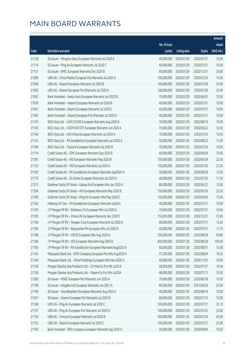|       |                                                              |              |                       |               | Amount      |
|-------|--------------------------------------------------------------|--------------|-----------------------|---------------|-------------|
|       |                                                              | No. of issue |                       |               | raised      |
| Code  | Derivative warrants                                          | (units)      | <b>Listing date</b>   | <b>Expiry</b> | (HK\$ mil.) |
| 21128 | SG Issuer - Mengniu Dairy European Warrants Jul 2020 A       | 40,000,000   | 2020/01/29            | 2020/07/31    | 10.00       |
| 21114 | SG Issuer - Ping An European Warrants Jul 2020 C             | 60,000,000   | 2020/01/29            | 2020/07/31    | 15.00       |
| 21131 | SG Issuer - SMIC European Warrants Dec 2020 B                | 80,000,000   | 2020/01/29            | 2020/12/31    | 20.00       |
| 21009 | UBS AG - China Mobile European Put Warrants Jul 2020 A       | 100,000,000  | 2020/01/29            | 2020/07/24    | 15.00       |
| 21008 | UBS AG - Xiaomi European Warrants Jul 2020 B                 | 100,000,000  | 2020/01/29            | 2020/07/28    | 25.00       |
| 21003 | UBS AG - Xiaomi European Put Warrants Jul 2020 A             | 100,000,000  | 2020/01/29            | 2020/07/28    | 25.00       |
| 21047 | Bank Vontobel - Geely Auto European Warrants Jun 2020 B      | 70,000,000   | 2020/01/29            | 2020/06/02    | 10.50       |
| 21039 | Bank Vontobel - Xiaomi European Warrants Jul 2020 B          | 40,000,000   | 2020/01/29            | 2020/07/31    | 10.00       |
| 21041 | Bank Vontobel - Xiaomi European Warrants Jul 2020 C          | 40,000,000   | 2020/01/29            | 2020/07/31    | 10.00       |
| 21042 | Bank Vontobel - Xiaomi European Put Warrants Jul 2020 A      | 40,000,000   | 2020/01/29            | 2020/07/31    | 10.00       |
| 21147 | BOCI Asia Ltd. - CAM CSI300 European Warrants Aug 2020 A     | 70,000,000   | 2020/01/30            | 2020/08/10    | 10.50       |
| 21145 | BOCI Asia Ltd. - CSOP A50 ETF European Warrants Jun 2020 A   | 70,000,000   | 2020/01/30            | 2020/06/22    | 10.50       |
| 21146 | BOCI Asia Ltd. - A50 China European Warrants Jul 2020 A      | 70,000,000   | 2020/01/30            | 2020/07/24    | 10.50       |
| 21143 | BOCI Asia Ltd. - PA Gooddoctor European Warrants Jun 2020 A  | 50,000,000   | 2020/01/30            | 2020/06/22    | 11.00       |
| 21144 | BOCI Asia Ltd. - Tencent European Warrants Jul 2020 B        | 70,000,000   | 2020/01/30            | 2020/07/24    | 10.50       |
| 21174 | Credit Suisse AG - CPIC European Warrants Sep 2020 B         | 40,000,000   | 2020/01/30            | 2020/09/28    | 10.00       |
| 21181 | Credit Suisse AG - HSI European Warrants May 2020 B          | 150,000,000  | 2020/01/30            | 2020/05/28    | 22.50       |
| 21132 | Credit Suisse AG - HSI European Warrants Jul 2020 A          | 150,000,000  | 2020/01/30            | 2020/07/30    | 22.50       |
| 21182 | Credit Suisse AG - PA Gooddoctor European Warrants Sep2020 A | 50,000,000   | 2020/01/30            | 2020/09/28    | 12.50       |
| 21175 | Credit Suisse AG - ZA Onine European Warrants Jul 2020 A     | 40,000,000   | 2020/01/30            | 2020/07/29    | 11.20       |
| 21213 | Goldman Sachs SP (Asia) - Galaxy Ent European Wts Jun 2020 A | 80,000,000   | 2020/01/30            | 2020/06/22    | 12.00       |
| 21204 | Goldman Sachs SP (Asia) - HSI European Warrants May 2020 B   | 150,000,000  | 2020/01/30            | 2020/05/28    | 22.50       |
| 21209 | Goldman Sachs SP (Asia) - Ping An European Wts May 2020 C    | 100,000,000  | 2020/01/30            | 2020/05/04    | 15.00       |
| 21162 | Haitong Int'l Sec - PA Gooddoctor European Warrants Jul20 A  | 40,000,000   | 2020/01/30            | 2020/07/31    | 10.00       |
| 21195 | J P Morgan SP BV - Brilliance Chi European Wts Jul 2020 A    | 70,000,000   | 2020/01/30            | 2020/07/31    | 10.64       |
| 21185 | J P Morgan SP BV - China Life European Warrants Dec 2020 C   | 150,000,000  | 2020/01/30            | 2020/12/31    | 37.65       |
| 21196 | J P Morgan SP BV - Sinopec Corp European Warrants Jul 2020 A |              | 80,000,000 2020/01/30 | 2020/07/31    | 12.24       |
| 21194 | J P Morgan SP BV - Baiyunshan Ph European Wts Jul 2020 A     | 45,000,000   | 2020/01/30            | 2020/07/31    | 11.70       |
| 21188 | J P Morgan SP BV - HSCEI European Wts Aug 2020 A             | 200,000,000  | 2020/01/30            | 2020/08/28    | 50.80       |
| 21186 | J P Morgan SP BV - HSI European Warrants Aug 2020 B          | 400,000,000  | 2020/01/30            | 2020/08/28    | 100.40      |
| 21193 | J P Morgan SP BV - PA Gooddoctor European Warrants Aug2020 A | 60,000,000   | 2020/01/30            | 2020/08/31    | 15.00       |
| 21142 | Macquarie Bank Ltd. - BYD Company European Put Wts Aug2020 A | 37,300,000   | 2020/01/30            | 2020/08/04    | 10.03       |
| 21140 | Macquarie Bank Ltd. - Wharf Holdings European Wts Nov 2020 A | 40,000,000   | 2020/01/30            | 2020/11/03    | 10.00       |
| 21138 | Morgan Stanley Asia Products Ltd. - Ch Mob Eu Put Wt Jul20 A | 58,000,000   | 2020/01/30            | 2020/07/27    | 10.44       |
| 21136 | Morgan Stanley Asia Products Ltd. - Xiaomi Eu Put Wts Jul20A | 68,000,000   | 2020/01/30            | 2020/07/13    | 10.20       |
| 21200 | SG Issuer - HSBC European Put Warrants Jun 2020 A            | 70,000,000   | 2020/01/30            | 2020/06/18    | 10.50       |
| 21198 | SG Issuer - Kingdee Intl European Warrants Jun 2021 A        | 80,000,000   | 2020/01/30            | 2021/06/30    | 20.00       |
| 21199 | SG Issuer - Sino Biopharm European Warrants Aug 2020 A       | 40,000,000   | 2020/01/30            | 2020/08/14    | 10.00       |
| 21201 | SG Issuer - Xiaomi European Put Warrants Jul 2020 B          | 80,000,000   | 2020/01/30            | 2020/07/13    | 12.00       |
| 21148 | UBS AG - Ping An European Warrants Jul 2020 C                | 100,000,000  | 2020/01/30            | 2020/07/31    | 25.10       |
| 21157 | UBS AG - Ping An European Put Warrants Jul 2020 A            | 100,000,000  | 2020/01/30            | 2020/07/22    | 33.00       |
| 21156 | UBS AG - Tencent European Warrants Jul 2020 B                | 300,000,000  | 2020/01/30            | 2020/07/24    | 45.00       |
| 21155 | UBS AG - Xiaomi European Warrants Jul 2020 C                 | 100,000,000  | 2020/01/30            | 2020/07/31    | 25.00       |
| 21169 | Bank Vontobel - BYD Company European Warrants Sep 2020 A     | 30,000,000   | 2020/01/30            | 2020/09/04    | 10.20       |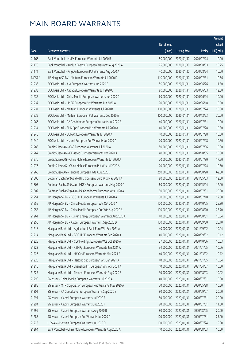|        |                                                              |                        |                     |               | Amount      |
|--------|--------------------------------------------------------------|------------------------|---------------------|---------------|-------------|
|        |                                                              | No. of issue           |                     |               | raised      |
| Code   | <b>Derivative warrants</b>                                   | (units)                | <b>Listing date</b> | <b>Expiry</b> | (HK\$ mil.) |
| 21166  | Bank Vontobel - HKEX European Warrants Jul 2020 B            | 50,000,000             | 2020/01/30          | 2020/07/24    | 10.00       |
| 21170  | Bank Vontobel - Kunlun Energy European Warrants Aug 2020 A   | 25,000,000             | 2020/01/30          | 2020/08/03    | 10.75       |
| 21171  | Bank Vontobel - Ping An European Put Warrants Aug 2020 A     | 40,000,000             | 2020/01/30          | 2020/08/24    | 10.00       |
| 14057# | J P Morgan SP BV - Meituan European Warrants Jul 2020 D      | 110,000,000            | 2020/01/30          | 2020/07/31    | 10.56       |
| 21236  | BOCI Asia Ltd. - AIA European Warrants Jun 2020 B            | 50,000,000             | 2020/01/31          | 2020/06/26    | 11.50       |
| 21233  | BOCI Asia Ltd. - Alibaba European Warrants Jun 2020 C        | 80,000,000             | 2020/01/31          | 2020/06/03    | 12.00       |
| 21235  | BOCI Asia Ltd. - China Mobile European Warrants Jun 2020 C   | 60,000,000             | 2020/01/31          | 2020/06/24    | 10.20       |
| 21237  | BOCI Asia Ltd. - HKEX European Put Warrants Jun 2020 A       | 70,000,000             | 2020/01/31          | 2020/06/18    | 10.50       |
| 21231  | BOCI Asia Ltd. - Meituan European Warrants Jul 2020 B        | 100,000,000            | 2020/01/31          | 2020/07/24    | 15.00       |
| 21232  | BOCI Asia Ltd. - Meituan European Put Warrants Dec 2020 A    | 200,000,000            | 2020/01/31          | 2020/12/23    | 30.00       |
| 21266  | BOCI Asia Ltd. - PA Gooddoctor European Warrants Jul 2020 B  | 40,000,000             | 2020/01/31          | 2020/07/31    | 10.00       |
| 21234  | BOCI Asia Ltd. - SHK Ppt European Put Warrants Jul 2020 A    | 40,000,000             | 2020/01/31          | 2020/07/28    | 10.80       |
| 21245  | BOCI Asia Ltd. - SUNAC European Warrants Jul 2020 A          | 40,000,000             | 2020/01/31          | 2020/07/28    | 10.80       |
| 21240  | BOCI Asia Ltd. - Xiaomi European Put Warrants Jul 2020 A     | 70,000,000             | 2020/01/31          | 2020/07/28    | 10.50       |
| 21283  | Credit Suisse AG - CGS European Warrants Jul 2020 A          | 50,000,000             | 2020/01/31          | 2020/07/06    | 10.00       |
| 21267  | Credit Suisse AG - CK Asset European Warrants Oct 2020 A     | 40,000,000             | 2020/01/31          | 2020/10/05    | 10.00       |
| 21270  | Credit Suisse AG - China Mobile European Warrants Jul 2020 A | 70,000,000             | 2020/01/31          | 2020/07/30    | 17.50       |
| 21276  | Credit Suisse AG - China Mobile European Put Wts Jul 2020 A  | 70,000,000             | 2020/01/31          | 2020/07/24    | 10.50       |
| 21268  | Credit Suisse AG - Tencent European Wts Aug 2020 C           | 250,000,000            | 2020/01/31          | 2020/08/28    | 62.50       |
| 21306  | Goldman Sachs SP (Asia) - BYD Company Euro Wts May 2021 A    | 80,000,000             | 2020/01/31          | 2021/05/03    | 12.00       |
| 21303  | Goldman Sachs SP (Asia) - HKEX European Warrants May 2020 C  | 80,000,000             | 2020/01/31          | 2020/05/04    | 12.00       |
| 21302  | Goldman Sachs SP (Asia) - PA Gooddoctor European Wts Jul20 A | 80,000,000             | 2020/01/31          | 2020/07/31    | 20.00       |
| 21254  | J P Morgan SP BV - BOC HK European Warrants Jul 2020 A       | 80,000,000             | 2020/01/31          | 2020/07/10    | 12.00       |
| 21255  | J P Morgan SP BV - China Mobile European Wts Oct 2020 A      | 100,000,000            | 2020/01/31          | 2020/10/05    | 25.30       |
| 21258  | J P Morgan SP BV - China Mobile European Put Wts Aug 2020 A  | 100,000,000            | 2020/01/31          | 2020/08/20    | 25.70       |
| 21261  | J P Morgan SP BV - Kunlun Energy European Warrants Aug2020 A | 40,000,000             | 2020/01/31          | 2020/08/31    | 10.04       |
| 21250  | J P Morgan SP BV - Xiaomi European Warrants Sep 2020 D       | 100,000,000 2020/01/31 |                     | 2020/09/30    | 25.10       |
| 21218  | Macquarie Bank Ltd. - Agricultural Bank Euro Wts Sep 2021 A  | 40,000,000             | 2020/01/31          | 2021/09/02    | 10.04       |
| 21214  | Macquarie Bank Ltd. - BOC HK European Warrants Sep 2020 A    | 40,000,000             | 2020/01/31          | 2020/09/02    | 10.12       |
| 21225  | Macquarie Bank Ltd. - CLP Holdings European Wts Oct 2020 A   | 37,000,000             | 2020/01/31          | 2020/10/06    | 10.03       |
| 21223  | Macquarie Bank Ltd. - R&F Ppt European Warrants Jan 2021 A   | 34,000,000             | 2020/01/31          | 2021/01/05    | 10.06       |
| 21226  | Macquarie Bank Ltd. - HK Gas European Warrants Mar 2021 A    | 40,000,000             | 2020/01/31          | 2021/03/02    | 10.12       |
| 21220  | Macquarie Bank Ltd. - Haitong Sec European Wts Jan 2021 A    | 40,000,000             | 2020/01/31          | 2021/01/05    | 10.04       |
| 21216  | Macquarie Bank Ltd. - Shenzhou Intl European Wts Apr 2021 A  | 40,000,000             | 2020/01/31          | 2021/04/07    | 10.00       |
| 21227  | Macquarie Bank Ltd. - Tencent European Warrants Aug 2020 E   | 30,000,000             | 2020/01/31          | 2020/08/03    | 10.02       |
| 21290  | SG Issuer - China Mobile European Warrants Jul 2020 A        | 40,000,000             | 2020/01/31          | 2020/07/31    | 10.00       |
| 21285  | SG Issuer - MTR Corporation European Put Warrants May 2020 A | 70,000,000             | 2020/01/31          | 2020/05/28    | 10.50       |
| 21301  | SG Issuer - PA Gooddoctor European Warrants Sep 2020 B       | 80,000,000             | 2020/01/31          | 2020/09/07    | 20.00       |
| 21291  | SG Issuer - Xiaomi European Warrants Jul 2020 E              | 80,000,000             | 2020/01/31          | 2020/07/31    | 20.00       |
| 21294  | SG Issuer - Xiaomi European Warrants Jul 2020 F              | 20,000,000             | 2020/01/31          | 2020/07/31    | 11.00       |
| 21299  | SG Issuer - Xiaomi European Warrants Aug 2020 B              | 80,000,000             | 2020/01/31          | 2020/08/05    | 20.00       |
| 21288  | SG Issuer - Xiaomi European Put Warrants Jul 2020 C          | 100,000,000            | 2020/01/31          | 2020/07/31    | 25.00       |
| 21228  | UBS AG - Meituan European Warrants Jul 2020 D                | 100,000,000            | 2020/01/31          | 2020/07/24    | 15.00       |
| 21264  | Bank Vontobel - China Mobile European Warrants Aug 2020 A    | 40,000,000             | 2020/01/31          | 2020/08/03    | 10.00       |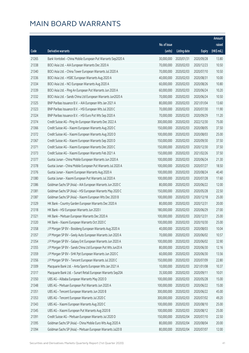|       |                                                              |                        |                     |               | Amount      |
|-------|--------------------------------------------------------------|------------------------|---------------------|---------------|-------------|
|       |                                                              | No. of issue           |                     |               | raised      |
| Code  | Derivative warrants                                          | (units)                | <b>Listing date</b> | <b>Expiry</b> | (HK\$ mil.) |
| 21265 | Bank Vontobel - China Mobile European Put Warrants Sep2020 A | 30,000,000             | 2020/01/31          | 2020/09/28    | 13.80       |
| 21338 | BOCI Asia Ltd. - AIA European Warrants Dec 2020 A            | 70,000,000             | 2020/02/03          | 2020/12/23    | 10.50       |
| 21340 | BOCI Asia Ltd. - China Tower European Warrants Jul 2020 A    | 70,000,000             | 2020/02/03          | 2020/07/10    | 10.50       |
| 21336 | BOCI Asia Ltd. - HSBC European Warrants Aug 2020 A           | 40,000,000             | 2020/02/03          | 2020/08/31    | 10.00       |
| 21334 | BOCI Asia Ltd. - NCI European Warrants Aug 2020 A            | 60,000,000             | 2020/02/03          | 2020/08/26    | 10.80       |
| 21339 | BOCI Asia Ltd. - Ping An European Put Warrants Jun 2020 A    | 60,000,000             | 2020/02/03          | 2020/06/24    | 10.20       |
| 21332 | BOCI Asia Ltd. - Sands China Ltd European Warrants Jun2020 A | 70,000,000             | 2020/02/03          | 2020/06/24    | 10.50       |
| 21325 | BNP Paribas Issuance B.V. - AIA European Wts Jan 2021 A      | 80,000,000             | 2020/02/03          | 2021/01/04    | 13.60       |
| 21323 | BNP Paribas Issuance B.V. - HSI European Wts Jul 2020 C      | 70,000,000             | 2020/02/03          | 2020/07/30    | 11.90       |
| 21324 | BNP Paribas Issuance B.V. - HSI Euro Put Wts Sep 2020 A      | 70,000,000             | 2020/02/03          | 2020/09/29    | 11.20       |
| 21374 | Credit Suisse AG - Ping An European Warrants Dec 2022 A      | 300,000,000            | 2020/02/03          | 2022/12/30    | 75.00       |
| 21366 | Credit Suisse AG - Xiaomi European Warrants Aug 2020 C       | 150,000,000            | 2020/02/03          | 2020/08/05    | 37.50       |
| 21372 | Credit Suisse AG - Xiaomi European Warrants Aug 2020 D       | 100,000,000            | 2020/02/03          | 2020/08/03    | 25.00       |
| 21367 | Credit Suisse AG - Xiaomi European Warrants Sep 2020 D       | 150,000,000            | 2020/02/03          | 2020/09/30    | 37.50       |
| 21371 | Credit Suisse AG - Xiaomi European Warrants Dec 2020 C       | 150,000,000            | 2020/02/03          | 2020/12/30    | 37.50       |
| 21373 | Credit Suisse AG - Xiaomi European Warrants Feb 2021 A       | 150,000,000            | 2020/02/03          | 2021/02/26    | 37.50       |
| 21377 | Guotai Junan - China Mobile European Warrants Jun 2020 A     | 100,000,000            | 2020/02/03          | 2020/06/24    | 21.30       |
| 21378 | Guotai Junan - China Mobile European Put Warrants Jul 2020 A | 100,000,000            | 2020/02/03          | 2020/07/27    | 18.50       |
| 21376 | Guotai Junan - Xiaomi European Warrants Aug 2020 A           | 100,000,000            | 2020/02/03          | 2020/08/24    | 40.40       |
| 21380 | Guotai Junan - Xiaomi European Put Warrants Jul 2020 A       | 100,000,000            | 2020/02/03          | 2020/07/28    | 17.60       |
| 21386 | Goldman Sachs SP (Asia) - AIA European Warrants Jun 2020 C   | 80,000,000             | 2020/02/03          | 2020/06/22    | 12.00       |
| 21381 | Goldman Sachs SP (Asia) - HSI European Warrants May 2020 C   | 150,000,000            | 2020/02/03          | 2020/05/28    | 22.50       |
| 21387 | Goldman Sachs SP (Asia) - Xiaomi European Wts Dec 2020 B     | 100,000,000            | 2020/02/03          | 2020/12/18    | 25.00       |
| 21329 | HK Bank - Country Garden European Warrants Dec 2020 A        | 80,000,000             | 2020/02/03          | 2020/12/31    | 20.00       |
| 21318 | HK Bank - HSI European Warrants Jun 2020 I                   | 180,000,000            | 2020/02/03          | 2020/06/29    | 27.00       |
| 21321 | HK Bank - Meituan European Warrants Dec 2020 A               | 100,000,000            | 2020/02/03          | 2020/12/31    | 25.00       |
| 21320 | HK Bank - Xiaomi European Warrants Oct 2020 C                | 100,000,000 2020/02/03 |                     | 2020/10/30    | 25.00       |
| 21358 | J P Morgan SP BV - Bosideng European Warrants Aug 2020 A     | 40,000,000             | 2020/02/03          | 2020/08/03    | 10.04       |
| 21357 | J P Morgan SP BV - Geely Auto European Warrants Jun 2020 A   | 70,000,000             | 2020/02/03          | 2020/06/02    | 10.57       |
| 21354 | J P Morgan SP BV - Galaxy Ent European Warrants Jun 2020 A   | 100,000,000            | 2020/02/03          | 2020/06/02    | 32.90       |
| 21355 | J P Morgan SP BV - Sands China Ltd European Put Wts Jun20 A  | 80,000,000             | 2020/02/03          | 2020/06/30    | 12.16       |
| 21359 | J P Morgan SP BV - SHK Ppt European Warrants Jun 2020 C      | 60,000,000             | 2020/02/03          | 2020/06/30    | 13.56       |
| 21356 | J P Morgan SP BV - Tencent European Warrants Jul 2020 C      | 150,000,000            | 2020/02/03          | 2020/07/09    | 22.80       |
| 21309 | Macquarie Bank Ltd. - Anta Sports European Wts Jan 2021 A    | 10,000,000             | 2020/02/03          | 2021/01/08    | 10.37       |
| 21317 | Macquarie Bank Ltd. - Sunart Retail European Warrants Sep20A | 35,500,000             | 2020/02/03          | 2020/09/11    | 10.01       |
| 21350 | UBS AG - Alibaba European Warrants May 2020 D                | 100,000,000            | 2020/02/03          | 2020/05/28    | 15.00       |
| 21348 | UBS AG - Meituan European Put Warrants Jun 2020 A            | 100,000,000            | 2020/02/03          | 2020/06/22    | 15.00       |
| 21351 | UBS AG - Tencent European Warrants Jun 2020 B                | 300,000,000            | 2020/02/03          | 2020/06/22    | 45.00       |
| 21353 | UBS AG - Tencent European Warrants Jul 2020 C                | 300,000,000            | 2020/02/03          | 2020/07/02    | 49.20       |
| 21343 | UBS AG - Xiaomi European Warrants Aug 2020 C                 | 100,000,000            | 2020/02/03          | 2020/08/10    | 25.00       |
| 21345 | UBS AG - Xiaomi European Put Warrants Aug 2020 B             | 100,000,000            | 2020/02/03          | 2020/08/12    | 25.00       |
| 21391 | Credit Suisse AG - Meituan European Warrants Jul 2020 D      | 150,000,000            | 2020/02/04          | 2020/07/10    | 22.50       |
| 21395 | Goldman Sachs SP (Asia) - China Mobile Euro Wts Aug 2020 A   | 80,000,000             | 2020/02/04          | 2020/08/04    | 20.00       |
| 21394 | Goldman Sachs SP (Asia) - Meituan European Warrants Jul20 B  | 80,000,000             | 2020/02/04          | 2020/07/07    | 12.00       |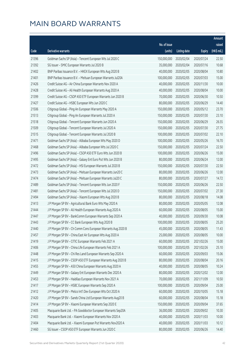|       |                                                              |                        |                     |               | Amount      |
|-------|--------------------------------------------------------------|------------------------|---------------------|---------------|-------------|
|       |                                                              | No. of issue           |                     |               | raised      |
| Code  | Derivative warrants                                          | (units)                | <b>Listing date</b> | <b>Expiry</b> | (HK\$ mil.) |
| 21396 | Goldman Sachs SP (Asia) - Tencent European Wts Jul 2020 C    | 150,000,000            | 2020/02/04          | 2020/07/24    | 22.50       |
| 21392 | SG Issuer - SMIC European Warrants Jul 2020 B                | 35,000,000             | 2020/02/04          | 2020/07/16    | 10.68       |
| 21402 | BNP Paribas Issuance B.V. - HKEX European Wts Aug 2020 B     | 40,000,000             | 2020/02/05          | 2020/08/04    | 10.80       |
| 21401 | BNP Paribas Issuance B.V. - Meituan European Warrants Jul20A | 100,000,000            | 2020/02/05          | 2020/07/03    | 15.00       |
| 21426 | Credit Suisse AG - Air China European Warrants Nov 2020 A    | 40,000,000             | 2020/02/05          | 2020/11/30    | 10.00       |
| 21428 | Credit Suisse AG - Ali Health European Warrants Aug 2020 A   | 40,000,000             | 2020/02/05          | 2020/08/04    | 10.00       |
| 21399 | Credit Suisse AG - CSOP A50 ETF European Warrants Jun 2020 B | 70,000,000             | 2020/02/05          | 2020/06/30    | 10.50       |
| 21427 | Credit Suisse AG - HSBC European Wts Jun 2020 C              | 80,000,000             | 2020/02/05          | 2020/06/29    | 14.40       |
| 21506 | Citigroup Global - Ping An European Warrants May 2020 A      | 150,000,000            | 2020/02/05          | 2020/05/12    | 23.70       |
| 21513 | Citigroup Global - Ping An European Warrants Jul 2020 A      | 150,000,000            | 2020/02/05          | 2020/07/30    | 23.10       |
| 21518 | Citigroup Global - Tencent European Warrants Jun 2020 A      | 150,000,000            | 2020/02/05          | 2020/06/29    | 26.55       |
| 21509 | Citigroup Global - Tencent European Warrants Jul 2020 A      | 150,000,000            | 2020/02/05          | 2020/07/30    | 27.75       |
| 21515 | Citigroup Global - Tencent European Warrants Jul 2020 B      | 100,000,000            | 2020/02/05          | 2020/07/02    | 22.10       |
| 21471 | Goldman Sachs SP (Asia) - Alibaba European Wts May 2020 D    | 100,000,000            | 2020/02/05          | 2020/05/26    | 16.70       |
| 21468 | Goldman Sachs SP (Asia) - Alibaba European Wts Jul 2020 C    | 150,000,000            | 2020/02/05          | 2020/07/24    | 22.50       |
| 21496 | Goldman Sachs SP (Asia) - CSOP A50 ETF Euro Wts Jun 2020 B   | 100,000,000            | 2020/02/05          | 2020/06/26    | 15.00       |
| 21495 | Goldman Sachs SP (Asia) - Galaxy Ent Euro Put Wts Jun 2020 B | 80,000,000             | 2020/02/05          | 2020/06/24    | 12.00       |
| 21472 | Goldman Sachs SP (Asia) - HSI European Warrants Jul 2020 B   | 150,000,000            | 2020/02/05          | 2020/07/30    | 22.50       |
| 21473 | Goldman Sachs SP (Asia) - Meituan European Warrants Jun20 C  | 80,000,000             | 2020/02/05          | 2020/06/26    | 12.00       |
| 21474 | Goldman Sachs SP (Asia) - Meituan European Warrants Jul20 C  | 80,000,000             | 2020/02/05          | 2020/07/27    | 14.72       |
| 21489 | Goldman Sachs SP (Asia) - Tencent European Wts Jun 2020 F    | 150,000,000            | 2020/02/05          | 2020/06/26    | 22.50       |
| 21481 | Goldman Sachs SP (Asia) - Tencent European Wts Jul 2020 D    | 150,000,000            | 2020/02/05          | 2020/07/02    | 27.30       |
| 21494 | Goldman Sachs SP (Asia) - Xiaomi European Wts Aug 2020 B     | 80,000,000             | 2020/02/05          | 2020/08/18    | 14.08       |
| 21413 | J P Morgan SP BV - Agricultural Bank Euro Wts May 2020 A     | 80,000,000             | 2020/02/05          | 2020/05/05    | 12.08       |
| 21444 | J P Morgan SP BV - Ali Health European Warrants Aug 2020 A   | 60,000,000             | 2020/02/05          | 2020/08/05    | 15.00       |
| 21447 | J P Morgan SP BV - BankComm European Warrants Sep 2020 A     | 40,000,000             | 2020/02/05          | 2020/09/30    | 10.08       |
| 21443 | J P Morgan SP BV - CC Bank European Wts Aug 2020 B           | 100,000,000 2020/02/05 |                     | 2020/08/05    | 25.20       |
| 21440 | J P Morgan SP BV - Ch Comm Cons European Warrants Aug 2020 B | 45,000,000             | 2020/02/05          | 2020/08/05    | 11.43       |
| 21457 | J P Morgan SP BV - China East Air European Wts Aug 2020 A    | 25,000,000             | 2020/02/05          | 2020/08/05    | 10.00       |
| 21419 | J P Morgan SP BV - CITIC European Warrants Feb 2021 A        | 60,000,000             | 2020/02/05          | 2021/02/26    | 15.00       |
| 21406 | J P Morgan SP BV - China Life European Warrants Feb 2021 A   | 100,000,000            | 2020/02/05          | 2021/02/26    | 25.10       |
| 21448 | J P Morgan SP BV - Chi Res Land European Warrants Sep 2020 A | 60,000,000             | 2020/02/05          | 2020/09/03    | 15.06       |
| 21415 | J P Morgan SP BV - CSOP A50 ETF European Warrants Aug 2020 B | 80,000,000             | 2020/02/05          | 2020/08/04    | 20.16       |
| 21455 | J P Morgan SP BV - A50 China European Warrants Aug 2020 A    | 40,000,000             | 2020/02/05          | 2020/08/05    | 10.24       |
| 21449 | J P Morgan SP BV - Galaxy Ent European Warrants Dec 2020 A   | 80,000,000             | 2020/02/05          | 2020/12/02    | 12.00       |
| 21453 | J P Morgan SP BV - Haidilao European Warrants Nov 2021 A     | 70,000,000             | 2020/02/05          | 2021/11/09    | 10.50       |
| 21417 | J P Morgan SP BV - HSBC European Warrants Sep 2020 A         | 100,000,000            | 2020/02/05          | 2020/09/04    | 25.00       |
| 21412 | J P Morgan SP BV - Melco Int'l Dev European Wts Oct 2020 A   | 60,000,000             | 2020/02/05          | 2020/10/05    | 15.18       |
| 21420 | J P Morgan SP BV - Sands China Ltd European Warrants Aug20 B | 60,000,000             | 2020/02/05          | 2020/08/04    | 15.18       |
| 21414 | J P Morgan SP BV - Xiaomi European Warrants Sep 2020 E       | 150,000,000            | 2020/02/05          | 2020/09/04    | 37.65       |
| 21405 | Macquarie Bank Ltd. - PA Gooddoctor European Warrants Sep20A | 36,000,000             | 2020/02/05          | 2020/09/02    | 10.30       |
| 21403 | Macquarie Bank Ltd. - Xiaomi European Warrants Nov 2020 A    | 40,000,000             | 2020/02/05          | 2020/11/03    | 10.00       |
| 21404 | Macquarie Bank Ltd. - Xiaomi European Put Warrants Nov2020 A | 40,000,000             | 2020/02/05          | 2020/11/03    | 10.12       |
| 21460 | SG Issuer - CSOP A50 ETF European Warrants Jun 2020 C        | 80,000,000             | 2020/02/05          | 2020/06/26    | 14.40       |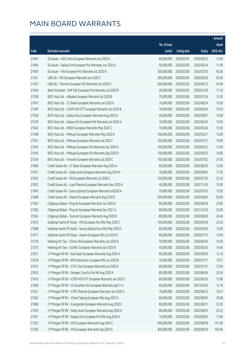|       |                                                              |              |                        |               | Amount      |
|-------|--------------------------------------------------------------|--------------|------------------------|---------------|-------------|
|       |                                                              | No. of issue |                        |               | raised      |
| Code  | Derivative warrants                                          | (units)      | <b>Listing date</b>    | <b>Expiry</b> | (HK\$ mil.) |
| 21461 | SG Issuer - A50 China European Warrants Jun 2020 A           | 80,000,000   | 2020/02/05             | 2020/06/22    | 12.00       |
| 21464 | SG Issuer - Galaxy Ent European Put Warrants Jun 2020 A      | 50,000,000   | 2020/02/05             | 2020/06/24    | 11.00       |
| 21459 | SG Issuer - HSI European Put Warrants Jul 2020 B             | 300,000,000  | 2020/02/05             | 2020/07/30    | 45.00       |
| 21421 | UBS AG - HSI European Warrants Jun 2020 C                    | 300,000,000  | 2020/02/05             | 2020/06/29    | 45.00       |
| 21423 | UBS AG - Tencent European Put Warrants Jun 2020 D            | 300,000,000  | 2020/02/05             | 2020/06/12    | 45.00       |
| 21424 | Bank Vontobel - SHK Ppt European Put Warrants Jul 2020 B     | 30,000,000   | 2020/02/05             | 2020/07/28    | 11.10       |
| 21538 | BOCI Asia Ltd. - Alibaba European Warrants Jul 2020 B        | 70,000,000   | 2020/02/06             | 2020/07/24    | 10.50       |
| 21541 | BOCI Asia Ltd. - CC Bank European Warrants Jun 2020 A        | 70,000,000   | 2020/02/06             | 2020/06/24    | 10.50       |
| 21540 | BOCI Asia Ltd. - CSOP A50 ETF European Warrants Jun 2020 B   | 70,000,000   | 2020/02/06             | 2020/06/26    | 10.50       |
| 21528 | BOCI Asia Ltd. - Geely Auto European Warrants Aug 2020 A     | 40,000,000   | 2020/02/06             | 2020/08/07    | 10.00       |
| 21539 | BOCI Asia Ltd. - Galaxy Ent European Put Warrants Jun 2020 A | 70,000,000   | 2020/02/06             | 2020/06/24    | 10.50       |
| 21542 | BOCI Asia Ltd. - HKEX European Warrants May 2020 C           | 70,000,000   | 2020/02/06             | 2020/05/26    | 10.50       |
| 21548 | BOCI Asia Ltd. - Meituan European Warrants May 2020 B        | 100,000,000  | 2020/02/06             | 2020/05/27    | 15.00       |
| 21551 | BOCI Asia Ltd. - Meituan European Warrants Jul 2020 C        | 100,000,000  | 2020/02/06             | 2020/07/27    | 19.00       |
| 21543 | BOCI Asia Ltd. - Meituan European Put Warrants Jun 2020 A    | 100,000,000  | 2020/02/06             | 2020/06/22    | 15.00       |
| 21545 | BOCI Asia Ltd. - Meituan European Put Warrants Sep 2020 A    | 100,000,000  | 2020/02/06             | 2020/09/25    | 16.00       |
| 21534 | BOCI Asia Ltd. - Tencent European Warrants Jul 2020 C        | 150,000,000  | 2020/02/06             | 2020/07/02    | 27.00       |
| 21646 | Credit Suisse AG - CC Bank European Warrants Aug 2020 A      | 60,000,000   | 2020/02/06             | 2020/08/20    | 15.00       |
| 21651 | Credit Suisse AG - Geely Auto European Warrants Aug 2020 A   | 70,000,000   | 2020/02/06             | 2020/08/05    | 17.50       |
| 21642 | Credit Suisse AG - HSI European Warrants Jul 2020 C          | 150,000,000  | 2020/02/06             | 2020/07/30    | 22.50       |
| 21652 | Credit Suisse AG - Luye Pharma European Warrants Nov 2020 A  | 40,000,000   | 2020/02/06             | 2020/11/30    | 10.00       |
| 21645 | Credit Suisse AG - Sunny Optical European Warrants Jul2020 A | 70,000,000   | 2020/02/06             | 2020/07/03    | 10.50       |
| 21648 | Credit Suisse AG - Xiaomi European Warrants Aug 2020 E       | 200,000,000  | 2020/02/06             | 2020/08/05    | 50.00       |
| 21563 | Citigroup Global - Ping An European Warrants Jun 2020 A      | 80,000,000   | 2020/02/06             | 2020/06/29    | 22.80       |
| 21565 | Citigroup Global - Ping An European Warrants Dec 2021 A      | 80,000,000   | 2020/02/06             | 2021/12/30    | 20.00       |
| 21562 | Citigroup Global - Tencent European Warrants Aug 2020 B      | 80,000,000   | 2020/02/06             | 2020/08/28    | 26.40       |
| 21672 | Goldman Sachs SP (Asia) - HSI European Put Wts May 2020 C    |              | 150,000,000 2020/02/06 | 2020/05/28    | 22.50       |
| 21668 | Goldman Sachs SP (Asia) - Sunny Optical Euro Wts May 2020 C  | 80,000,000   | 2020/02/06             | 2020/05/06    | 12.00       |
| 21671 | Goldman Sachs SP (Asia) - Xiaomi European Wts Jul 2020 D     | 80,000,000   | 2020/02/06             | 2020/07/15    | 12.00       |
| 21578 | Haitong Int'l Sec - China Life European Warrants Jun 2020 A  | 70,000,000   | 2020/02/06             | 2020/06/30    | 10.50       |
| 21575 | Haitong Int'l Sec - SUNAC European Warrants Jun 2020 B       | 40,000,000   | 2020/02/06             | 2020/06/30    | 14.40       |
| 21631 | J P Morgan SP BV - Bud Apac European Warrants Aug 2020 A     | 80,000,000   | 2020/02/06             | 2020/08/03    | 12.16       |
| 21618 | J P Morgan SP BV - BYD Electronic European Wts Jul 2020 B    | 70,000,000   | 2020/02/06             | 2020/07/17    | 10.57       |
| 21612 | J P Morgan SP BV - CITIC Sec European Warrants Jul 2020 A    | 80,000,000   | 2020/02/06             | 2020/07/31    | 12.64       |
| 21632 | J P Morgan SP BV - Sinopec Corp Eu Put Wt Aug 2020 A         | 80,000,000   | 2020/02/06             | 2020/08/06    | 20.24       |
| 21616 | J P Morgan SP BV - CSOP A50 ETF European Warrants Jun 2020 C | 80,000,000   | 2020/02/06             | 2020/06/30    | 12.08       |
| 21609 | J P Morgan SP BV - Ch Southern Air European Warrants Apr21 A | 80,000,000   | 2020/02/06             | 2021/04/23    | 12.16       |
| 21621 | J P Morgan SP BV - CSPC Pharma European Warrants Jun 2020 A  | 70,000,000   | 2020/02/06             | 2020/06/23    | 10.57       |
| 21602 | J P Morgan SP BV - China Taiping European Wts Aug 2020 A     | 80,000,000   | 2020/02/06             | 2020/08/05    | 20.08       |
| 21606 | J P Morgan SP BV - Evergrande European Warrants Aug 2020 C   | 80,000,000   | 2020/02/06             | 2020/08/31    | 22.00       |
| 21553 | J P Morgan SP BV - Geely Auto European Warrants Aug 2020 A   | 80,000,000   | 2020/02/06             | 2020/08/05    | 20.32       |
| 21627 | J P Morgan SP BV - Galaxy Ent European Put Wts Aug 2020 A    | 70,000,000   | 2020/02/06             | 2020/08/05    | 17.64       |
| 21552 | J P Morgan SP BV - HSI European Warrants Aug 2020 C          | 400,000,000  | 2020/02/06             | 2020/08/28    | 101.60      |
| 21556 | J P Morgan SP BV - HSI European Warrants Sep 2020 A          | 400,000,000  | 2020/02/06             | 2020/09/29    | 100.40      |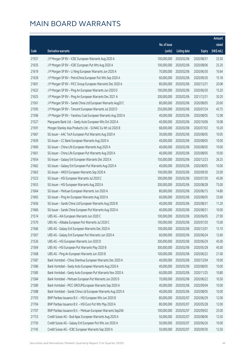|       |                                                              |              |                        |               | Amount      |
|-------|--------------------------------------------------------------|--------------|------------------------|---------------|-------------|
|       |                                                              | No. of issue |                        |               | raised      |
| Code  | <b>Derivative warrants</b>                                   | (units)      | <b>Listing date</b>    | <b>Expiry</b> | (HK\$ mil.) |
| 21557 | J P Morgan SP BV - ICBC European Warrants Aug 2020 A         | 100,000,000  | 2020/02/06             | 2020/08/31    | 25.50       |
| 21635 | J P Morgan SP BV - ICBC European Put Wts Aug 2020 A          | 100,000,000  | 2020/02/06             | 2020/08/06    | 25.20       |
| 21619 | J P Morgan SP BV - Li Ning European Warrants Jun 2020 A      | 70,000,000   | 2020/02/06             | 2020/06/30    | 10.64       |
| 21639 | J P Morgan SP BV - PetroChina European Put Wts Sep 2020 A    | 60,000,000   | 2020/02/06             | 2020/09/30    | 15.18       |
| 21601 | J P Morgan SP BV - PICC Group European Warrants Dec 2020 A   | 80,000,000   | 2020/02/06             | 2020/12/31    | 20.08       |
| 21622 | J P Morgan SP BV - Ping An European Warrants Jun 2020 D      | 100,000,000  | 2020/02/06             | 2020/06/30    | 15.20       |
| 21625 | J P Morgan SP BV - Ping An European Warrants Dec 2021 A      | 200,000,000  | 2020/02/06             | 2021/12/31    | 30.20       |
| 21561 | J P Morgan SP BV - Sands China Ltd European Warrants Aug20 C | 80,000,000   | 2020/02/06             | 2020/08/05    | 20.00       |
| 21595 | J P Morgan SP BV - Tencent European Warrants Jul 2020 D      | 250,000,000  | 2020/02/06             | 2020/07/24    | 43.75       |
| 21596 | J P Morgan SP BV - Yanzhou Coal European Warrants Aug 2020 A | 40,000,000   | 2020/02/06             | 2020/08/05    | 12.08       |
| 21527 | Macquarie Bank Ltd. - Geely Auto European Wts Oct 2020 A     | 40,000,000   | 2020/02/06             | 2020/10/06    | 10.08       |
| 21591 | Morgan Stanley Asia Products Ltd. - SUNAC Eu Wt Jul 2020 B   | 68,000,000   | 2020/02/06             | 2020/07/02    | 10.20       |
| 21667 | SG Issuer - AAC Tech European Put Warrants Aug 2020 A        | 30,000,000   | 2020/02/06             | 2020/08/05    | 10.05       |
| 21659 | SG Issuer - CC Bank European Warrants Aug 2020 A             | 40,000,000   | 2020/02/06             | 2020/08/05    | 10.00       |
| 21660 | SG Issuer - China Life European Warrants Aug 2020 A          | 40,000,000   | 2020/02/06             | 2020/08/05    | 10.00       |
| 21661 | SG Issuer - China Life European Put Warrants Aug 2020 A      | 40,000,000   | 2020/02/06             | 2020/08/05    | 10.00       |
| 21654 | SG Issuer - Galaxy Ent European Warrants Dec 2020 A          | 150,000,000  | 2020/02/06             | 2020/12/23    | 26.25       |
| 21662 | SG Issuer - Galaxy Ent European Put Warrants Aug 2020 A      | 40,000,000   | 2020/02/06             | 2020/08/05    | 10.00       |
| 21663 | SG Issuer - HKEX European Warrants Sep 2020 A                | 100,000,000  | 2020/02/06             | 2020/09/30    | 25.00       |
| 21523 | SG Issuer - HSI European Warrants Jul 2020 C                 | 300,000,000  | 2020/02/06             | 2020/07/30    | 45.00       |
| 21653 | SG Issuer - HSI European Warrants Aug 2020 A                 | 300,000,000  | 2020/02/06             | 2020/08/28    | 75.00       |
| 21664 | SG Issuer - Meituan European Warrants Jun 2020 A             | 80,000,000   | 2020/02/06             | 2020/06/15    | 14.80       |
| 21665 | SG Issuer - Ping An European Warrants Aug 2020 A             | 60,000,000   | 2020/02/06             | 2020/08/05    | 33.60       |
| 21656 | SG Issuer - Sands China Ltd European Warrants Aug 2020 B     | 40,000,000   | 2020/02/06             | 2020/08/31    | 11.20       |
| 21666 | SG Issuer - Sands China European Put Warrants Aug 2020 A     | 40,000,000   | 2020/02/06             | 2020/08/31    | 10.00       |
| 21574 | UBS AG - AIA European Warrants Jun 2020 C                    | 100,000,000  | 2020/02/06             | 2020/06/05    | 27.90       |
| 21570 | UBS AG - Alibaba European Put Warrants Jul 2020 C            |              | 100,000,000 2020/02/06 | 2020/07/20    | 15.00       |
| 21566 | UBS AG - Galaxy Ent European Warrants Dec 2020 A             | 100,000,000  | 2020/02/06             | 2020/12/01    | 15.10       |
| 21567 | UBS AG - Galaxy Ent European Put Warrants Jun 2020 A         | 60,000,000   | 2020/02/06             | 2020/06/24    | 12.60       |
| 21526 | UBS AG - HSI European Warrants Jun 2020 D                    | 300,000,000  | 2020/02/06             | 2020/06/29    | 45.00       |
| 21569 | UBS AG - HSI European Put Warrants May 2020 B                | 300,000,000  | 2020/02/06             | 2020/05/28    | 45.00       |
| 21568 | UBS AG - Ping An European Warrants Jun 2020 B                | 100,000,000  | 2020/02/06             | 2020/06/22    | 21.00       |
| 21587 | Bank Vontobel - China Shenhua European Warrants Dec 2020 A   | 40,000,000   | 2020/02/06             | 2020/12/04    | 10.00       |
| 21586 | Bank Vontobel - Geely Auto European Warrants Aug 2020 A      | 40,000,000   | 2020/02/06             | 2020/08/05    | 10.00       |
| 21585 | Bank Vontobel - Geely Auto European Put Warrants Nov 2020 A  | 60,000,000   | 2020/02/06             | 2020/11/25    | 10.80       |
| 21584 | Bank Vontobel - Meituan European Put Warrants Jun 2020 D     | 70,000,000   | 2020/02/06             | 2020/06/22    | 10.50       |
| 21589 | Bank Vontobel - PICC GROUPEuropean Warrants Sep 2020 A       | 40,000,000   | 2020/02/06             | 2020/09/04    | 10.00       |
| 21588 | Bank Vontobel - Sands China Ltd European Warrants Aug 2020 A | 40,000,000   | 2020/02/06             | 2020/08/05    | 10.00       |
| 21703 | BNP Paribas Issuance B.V. - HSI European Wts Jun 2020 B      | 80,000,000   | 2020/02/07             | 2020/06/29    | 12.00       |
| 21704 | BNP Paribas Issuance B.V. - HSI Euro Put Wts May 2020 A      | 80,000,000   | 2020/02/07             | 2020/05/28    | 12.00       |
| 21707 | BNP Paribas Issuance B.V. - Meituan European Warrants Sep20A | 100,000,000  | 2020/02/07             | 2020/09/02    | 25.00       |
| 21753 | Credit Suisse AG - Bud Apac European Warrants Aug 2020 A     | 50,000,000   | 2020/02/07             | 2020/08/06    | 12.50       |
| 21750 | Credit Suisse AG - Galaxy Ent European Put Wts Jun 2020 A    | 50,000,000   | 2020/02/07             | 2020/06/26    | 10.00       |
| 21745 | Credit Suisse AG - ICBC European Warrants Sep 2020 A         | 50,000,000   | 2020/02/07             | 2020/09/30    | 12.50       |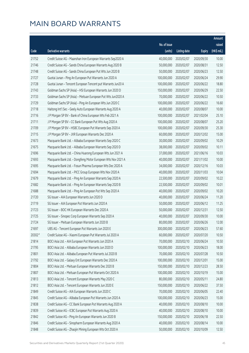|        |                                                              |              |                       |               | Amount      |
|--------|--------------------------------------------------------------|--------------|-----------------------|---------------|-------------|
|        |                                                              | No. of issue |                       |               | raised      |
| Code   | Derivative warrants                                          | (units)      | <b>Listing date</b>   | <b>Expiry</b> | (HK\$ mil.) |
| 21752  | Credit Suisse AG - Maanshan Iron European Warrants Sep2020 A | 40,000,000   | 2020/02/07            | 2020/09/30    | 10.00       |
| 21746  | Credit Suisse AG - Sands China European Warrants Aug 2020 B  | 50,000,000   | 2020/02/07            | 2020/08/31    | 12.50       |
| 21748  | Credit Suisse AG - Sands China European Put Wts Jun 2020 B   | 50,000,000   | 2020/02/07            | 2020/06/23    | 12.50       |
| 21727  | Guotai Junan - Ping An European Put Warrants Jun 2020 A      | 100,000,000  | 2020/02/07            | 2020/06/24    | 29.90       |
| 21728  | Guotai Junan - Tencent European Tencent put Warrants Jun20 A | 100,000,000  | 2020/02/07            | 2020/06/22    | 18.80       |
| 21743  | Goldman Sachs SP (Asia) - HSI European Warrants Jun 2020 D   | 150,000,000  | 2020/02/07            | 2020/06/29    | 22.50       |
| 21733  | Goldman Sachs SP (Asia) - Meituan European Put Wts Jun2020 A | 70,000,000   | 2020/02/07            | 2020/06/22    | 10.50       |
| 21729  | Goldman Sachs SP (Asia) - Ping An European Wts Jun 2020 C    | 100,000,000  | 2020/02/07            | 2020/06/22    | 16.60       |
| 21718  | Haitong Int'l Sec - Geely Auto European Warrants Aug 2020 A  | 40,000,000   | 2020/02/07            | 2020/08/07    | 10.00       |
| 21716  | J P Morgan SP BV - Bank of China European Wts Feb 2021 A     | 100,000,000  | 2020/02/07            | 2021/02/04    | 25.10       |
| 21711  | J P Morgan SP BV - CC Bank European Put Wts Aug 2020 A       | 100,000,000  | 2020/02/07            | 2020/08/07    | 25.20       |
| 21709  | J P Morgan SP BV - HSBC European Put Warrants Sep 2020 A     | 100,000,000  | 2020/02/07            | 2020/09/30    | 25.30       |
| 21715  | J P Morgan SP BV - JXR European Warrants Dec 2020 A          | 60,000,000   | 2020/02/07            | 2020/12/02    | 15.00       |
| 21673  | Macquarie Bank Ltd. - Alibaba European Warrants Sep 2020 C   | 30,000,000   | 2020/02/07            | 2020/09/02    | 10.29       |
| 21675  | Macquarie Bank Ltd. - Alibaba European Warrants Sep 2020 D   | 38,000,000   | 2020/02/07            | 2020/09/02    | 10.11       |
| 21696  | Macquarie Bank Ltd. - China Huarong European Wts Jun 2021 A  | 37,000,000   | 2020/02/07            | 2021/06/16    | 10.03       |
| 21693  | Macquarie Bank Ltd. - Dongfeng Motor European Wts Nov 2021 A | 40,000,000   | 2020/02/07            | 2021/11/02    | 10.00       |
| 21695  | Macquarie Bank Ltd. - Fosun Pharma European Wts Dec 2020 A   | 34,000,000   | 2020/02/07            | 2020/12/16    | 10.03       |
| 21694  | Macquarie Bank Ltd. - PICC Group European Wts Nov 2020 A     | 40,000,000   | 2020/02/07            | 2020/11/03    | 10.04       |
| 21679  | Macquarie Bank Ltd. - Ping An European Warrants Sep 2020 A   | 22,500,000   | 2020/02/07            | 2020/09/02    | 10.22       |
| 21682  | Macquarie Bank Ltd. - Ping An European Warrants Sep 2020 B   | 22,500,000   | 2020/02/07            | 2020/09/02    | 10.01       |
| 21688  | Macquarie Bank Ltd. - Ping An European Put Wts Sep 2020 A    | 40,000,000   | 2020/02/07            | 2020/09/02    | 10.20       |
| 21720  | SG Issuer - AIA European Warrants Jun 2020 D                 | 40,000,000   | 2020/02/07            | 2020/06/24    | 11.20       |
| 21719  | SG Issuer - AIA European Put Warrants Jun 2020 A             | 50,000,000   | 2020/02/07            | 2020/06/12    | 11.25       |
| 21723  | SG Issuer - BOC HK European Warrants Dec 2020 A              | 50,000,000   | 2020/02/07            | 2020/12/31    | 12.50       |
| 21725  | SG Issuer - Sinopec Corp European Warrants Sep 2020 A        | 40,000,000   | 2020/02/07            | 2020/09/30    | 10.00       |
| 21724  | SG Issuer - Meituan European Warrants Jun 2020 B             |              | 80,000,000 2020/02/07 | 2020/06/26    | 12.00       |
| 21697  | UBS AG - Tencent European Put Warrants Jun 2020 E            | 300,000,000  | 2020/02/07            | 2020/06/23    | 57.60       |
| 20302# | Credit Suisse AG - Xiaomi European Put Warrants Jul 2020 A   | 60,000,000   | 2020/02/07            | 2020/07/20    | 10.50       |
| 21814  | BOCI Asia Ltd. - AIA European Put Warrants Jun 2020 A        | 70,000,000   | 2020/02/10            | 2020/06/24    | 10.50       |
| 21795  | BOCI Asia Ltd. - Alibaba European Warrants Jun 2020 D        | 100,000,000  | 2020/02/10            | 2020/06/23    | 18.00       |
| 21801  | BOCI Asia Ltd. - Alibaba European Put Warrants Jul 2020 B    | 70,000,000   | 2020/02/10            | 2020/07/28    | 10.50       |
| 21792  | BOCI Asia Ltd. - Galaxy Ent European Warrants Dec 2020 A     | 100,000,000  | 2020/02/10            | 2020/12/01    | 15.00       |
| 21804  | BOCI Asia Ltd. - Meituan European Warrants Dec 2020 B        | 150,000,000  | 2020/02/10            | 2020/12/23    | 28.50       |
| 21807  | BOCI Asia Ltd. - Meituan European Put Warrants Oct 2020 A    | 100,000,000  | 2020/02/10            | 2020/10/19    | 15.00       |
| 21813  | BOCI Asia Ltd. - Tencent European Warrants May 2020 C        | 80,000,000   | 2020/02/10            | 2020/05/11    | 24.80       |
| 21812  | BOCI Asia Ltd. - Tencent European Warrants Jun 2020 E        | 150,000,000  | 2020/02/10            | 2020/06/22    | 37.50       |
| 21849  | Credit Suisse AG - AIA European Warrants Jun 2020 C          | 70,000,000   | 2020/02/10            | 2020/06/05    | 22.40       |
| 21845  | Credit Suisse AG - Alibaba European Put Warrants Jun 2020 A  | 100,000,000  | 2020/02/10            | 2020/06/23    | 15.00       |
| 21838  | Credit Suisse AG - CC Bank European Put Warrants Aug 2020 A  | 40,000,000   | 2020/02/10            | 2020/08/10    | 10.00       |
| 21839  | Credit Suisse AG - ICBC European Put Warrants Aug 2020 A     | 40,000,000   | 2020/02/10            | 2020/08/10    | 10.00       |
| 21842  | Credit Suisse AG - Ping An European Warrants Jun 2020 B      | 150,000,000  | 2020/02/10            | 2020/06/18    | 22.50       |
| 21846  | Credit Suisse AG - Sinopharm European Warrants Aug 2020 A    | 40,000,000   | 2020/02/10            | 2020/08/14    | 10.00       |
| 21848  | Credit Suisse AG - Zhaojin Mining European Wts Oct 2020 A    | 50,000,000   | 2020/02/10            | 2020/10/09    | 12.50       |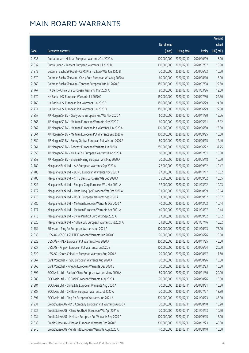|       |                                                              |              |                       |               | Amount      |
|-------|--------------------------------------------------------------|--------------|-----------------------|---------------|-------------|
|       |                                                              | No. of issue |                       |               | raised      |
| Code  | Derivative warrants                                          | (units)      | <b>Listing date</b>   | <b>Expiry</b> | (HK\$ mil.) |
| 21835 | Guotai Junan - Meituan European Warrants Oct 2020 A          | 100,000,000  | 2020/02/10            | 2020/10/09    | 16.10       |
| 21832 | Guotai Junan - Tencent European Warrants Jul 2020 B          | 100,000,000  | 2020/02/10            | 2020/07/07    | 18.80       |
| 21872 | Goldman Sachs SP (Asia) - CSPC Pharma Euro Wts Jun 2020 B    | 70,000,000   | 2020/02/10            | 2020/06/22    | 10.50       |
| 21870 | Goldman Sachs SP (Asia) - Geely Auto European Wts Aug 2020 A | 60,000,000   | 2020/02/10            | 2020/08/10    | 15.00       |
| 21869 | Goldman Sachs SP (Asia) - Tencent European Wts Jul 2020 E    | 150,000,000  | 2020/02/10            | 2020/07/08    | 22.50       |
| 21767 | HK Bank - China Life European Warrants Mar 2021 A            | 80,000,000   | 2020/02/10            | 2021/03/26    | 12.00       |
| 21770 | HK Bank - HSI European Warrants Jul 2020 C                   | 150,000,000  | 2020/02/10            | 2020/07/30    | 22.50       |
| 21765 | HK Bank - HSI European Put Warrants Jun 2020 C               | 150,000,000  | 2020/02/10            | 2020/06/29    | 24.00       |
| 21771 | HK Bank - HSI European Put Warrants Jun 2020 D               | 150,000,000  | 2020/02/10            | 2020/06/29    | 22.50       |
| 21857 | J P Morgan SP BV - Geely Auto European Put Wts Nov 2020 A    | 60,000,000   | 2020/02/10            | 2020/11/30    | 15.06       |
| 21865 | J P Morgan SP BV - Meituan European Warrants May 2020 C      | 60,000,000   | 2020/02/10            | 2020/05/11    | 15.12       |
| 21862 | J P Morgan SP BV - Meituan European Put Warrants Jun 2020 A  | 100,000,000  | 2020/02/10            | 2020/06/30    | 15.00       |
| 21864 | J P Morgan SP BV - Meituan European Put Warrants Sep 2020 A  | 100,000,000  | 2020/02/10            | 2020/09/25    | 15.00       |
| 21850 | J P Morgan SP BV - Sunny Optical European Put Wts Jun 2020 A | 80,000,000   | 2020/02/10            | 2020/06/15    | 12.40       |
| 21861 | J P Morgan SP BV - Tencent European Warrants Jun 2020 C      | 250,000,000  | 2020/02/10            | 2020/06/22    | 37.75       |
| 21856 | J P Morgan SP BV - YuHua Edu European Warrants Dec 2020 A    | 60,000,000   | 2020/02/10            | 2020/12/31    | 15.00       |
| 21858 | J P Morgan SP BV - Zhaojin Mining European Wts May 2020 A    | 70,000,000   | 2020/02/10            | 2020/05/18    | 10.50       |
| 21789 | Macquarie Bank Ltd. - AIA European Warrants Sep 2020 A       | 22,000,000   | 2020/02/10            | 2020/09/02    | 10.47       |
| 21788 | Macquarie Bank Ltd. - BBMG European Warrants Nov 2020 A      | 27,600,000   | 2020/02/10            | 2020/11/17    | 10.02       |
| 21785 | Macquarie Bank Ltd. - CITIC Bank European Wts Sep 2020 A     | 35,000,000   | 2020/02/10            | 2020/09/02    | 10.05       |
| 21822 | Macquarie Bank Ltd. - Sinopec Corp European Wts Mar 2021 A   | 37,000,000   | 2020/02/10            | 2021/03/02    | 10.03       |
| 21772 | Macquarie Bank Ltd. - Hang Lung Ppt European Wts Oct 2020 A  | 31,500,000   | 2020/02/10            | 2020/10/09    | 10.14       |
| 21776 | Macquarie Bank Ltd. - HSBC European Warrants Sep 2020 A      | 33,000,000   | 2020/02/10            | 2020/09/02    | 10.07       |
| 21780 | Macquarie Bank Ltd. - Meituan European Warrants Dec 2020 A   | 40,000,000   | 2020/02/10            | 2020/12/02    | 10.44       |
| 21777 | Macquarie Bank Ltd. - Meituan European Warrants Apr 2021 A   | 40,000,000   | 2020/02/10            | 2021/04/07    | 10.44       |
| 21773 | Macquarie Bank Ltd. - Swire Pacific A Euro Wts Sep 2020 A    | 27,500,000   | 2020/02/10            | 2020/09/02    | 10.12       |
| 21825 | Macquarie Bank Ltd. - YuHua Edu European Warrants Jul 2021 A |              | 31,300,000 2020/02/10 | 2021/07/16    | 10.02       |
| 21754 | SG Issuer - Ping An European Warrants Jun 2021 A             | 500,000,000  | 2020/02/10            | 2021/06/23    | 75.00       |
| 21830 | UBS AG - CSOP A50 ETF European Warrants Jun 2020 C           | 70,000,000   | 2020/02/10            | 2020/06/26    | 10.50       |
| 21828 | UBS AG - HKEX European Put Warrants Nov 2020 A               | 300,000,000  | 2020/02/10            | 2020/11/25    | 45.00       |
| 21827 | UBS AG - Ping An European Put Warrants Jun 2020 B            | 100,000,000  | 2020/02/10            | 2020/06/24    | 26.00       |
| 21829 | UBS AG - Sands China Ltd European Warrants Aug 2020 A        | 70,000,000   | 2020/02/10            | 2020/08/17    | 17.50       |
| 21867 | Bank Vontobel - HSBC European Warrants Aug 2020 A            | 70,000,000   | 2020/02/10            | 2020/08/26    | 10.50       |
| 21868 | Bank Vontobel - Ping An European Warrants Dec 2020 B         | 70,000,000   | 2020/02/10            | 2020/12/23    | 10.50       |
| 21892 | BOCI Asia Ltd. - Bank of China European Warrants Nov 2020 A  | 80,000,000   | 2020/02/11            | 2020/11/30    | 20.00       |
| 21889 | BOCI Asia Ltd. - CC Bank European Warrants Aug 2020 A        | 70,000,000   | 2020/02/11            | 2020/08/26    | 10.50       |
| 21884 | BOCI Asia Ltd. - China Life European Warrants Aug 2020 A     | 70,000,000   | 2020/02/11            | 2020/08/31    | 10.50       |
| 21887 | BOCI Asia Ltd. - CM Bank European Warrants Jul 2020 A        | 70,000,000   | 2020/02/11            | 2020/07/27    | 13.30       |
| 21891 | BOCI Asia Ltd. - Ping An European Warrants Jun 2021 A        | 300,000,000  | 2020/02/11            | 2021/06/23    | 45.00       |
| 21931 | Credit Suisse AG - BYD Company European Put Warrants Aug20 A | 30,000,000   | 2020/02/11            | 2020/08/10    | 10.20       |
| 21932 | Credit Suisse AG - China South Air European Wts Apr 2021 A   | 70,000,000   | 2020/02/11            | 2021/04/23    | 10.50       |
| 21934 | Credit Suisse AG - Meituan European Put Warrants Sep 2020 A  | 100,000,000  | 2020/02/11            | 2020/09/25    | 15.00       |
| 21938 | Credit Suisse AG - Ping An European Warrants Dec 2020 B      | 300,000,000  | 2020/02/11            | 2020/12/23    | 45.00       |
| 21940 | Credit Suisse AG - Vinda Intl European Warrants Aug 2020 A   | 40,000,000   | 2020/02/11            | 2020/08/10    | 10.00       |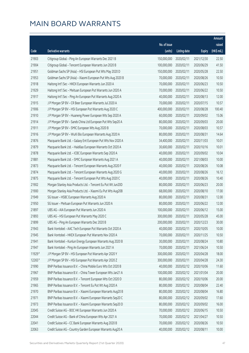|        |                                                              |                        |                     |               | Amount      |
|--------|--------------------------------------------------------------|------------------------|---------------------|---------------|-------------|
|        |                                                              | No. of issue           |                     |               | raised      |
| Code   | Derivative warrants                                          | (units)                | <b>Listing date</b> | <b>Expiry</b> | (HK\$ mil.) |
| 21903  | Citigroup Global - Ping An European Warrants Dec 2021 B      | 150,000,000            | 2020/02/11          | 2021/12/30    | 22.50       |
| 21904  | Citigroup Global - Tencent European Warrants Jun 2020 B      | 100,000,000            | 2020/02/11          | 2020/06/29    | 41.50       |
| 21951  | Goldman Sachs SP (Asia) - HSI European Put Wts May 2020 D    | 150,000,000            | 2020/02/11          | 2020/05/28    | 22.50       |
| 21953  | Goldman Sachs SP (Asia) - Xiaomi European Put Wts Aug 2020 B | 70,000,000             | 2020/02/11          | 2020/08/26    | 10.50       |
| 21918  | Haitong Int'l Sec - HKEX European Warrants Jun 2020 A        | 70,000,000             | 2020/02/11          | 2020/06/23    | 10.50       |
| 21929  | Haitong Int'l Sec - Meituan European Put Warrants Jun 2020 A | 70,000,000             | 2020/02/11          | 2020/06/22    | 10.50       |
| 21917  | Haitong Int'l Sec - Ping An European Put Warrants Aug 2020 A | 40,000,000             | 2020/02/11          | 2020/08/13    | 12.00       |
| 21915  | J P Morgan SP BV - CR Beer European Warrants Jul 2020 A      | 70,000,000             | 2020/02/11          | 2020/07/15    | 10.57       |
| 21906  | J P Morgan SP BV - HSI European Put Warrants Aug 2020 C      | 400,000,000            | 2020/02/11          | 2020/08/28    | 100.40      |
| 21910  | J P Morgan SP BV - Huaneng Power European Wts Sep 2020 A     | 60,000,000             | 2020/02/11          | 2020/09/02    | 15.06       |
| 21914  | J P Morgan SP BV - Sands China Ltd European Put Wts Sep20 A  | 80,000,000             | 2020/02/11          | 2020/09/03    | 20.00       |
| 21911  | J P Morgan SP BV - SMIC European Wts Aug 2020 B              | 70,000,000             | 2020/02/11          | 2020/08/03    | 10.57       |
| 21916  | J P Morgan SP BV - WuXi Bio European Warrants Aug 2020 A     | 80,000,000             | 2020/02/11          | 2020/08/31    | 14.64       |
| 21876  | Macquarie Bank Ltd. - Galaxy Ent European Put Wts Nov 2020 A | 34,400,000             | 2020/02/11          | 2020/11/03    | 10.01       |
| 21879  | Macquarie Bank Ltd. - Haidilao European Warrants Oct 2020 A  | 30,600,000             | 2020/02/11          | 2020/10/16    | 10.01       |
| 21878  | Macquarie Bank Ltd. - ICBC European Warrants Sep 2020 A      | 40,000,000             | 2020/02/11          | 2020/09/02    | 10.04       |
| 21881  | Macquarie Bank Ltd. - SMIC European Warrants Aug 2021 A      | 40,000,000             | 2020/02/11          | 2021/08/03    | 10.00       |
| 21873  | Macquarie Bank Ltd. - Tencent European Warrants Aug 2020 F   | 40,000,000             | 2020/02/11          | 2020/08/26    | 10.08       |
| 21874  | Macquarie Bank Ltd. - Tencent European Warrants Aug 2020 G   | 40,000,000             | 2020/02/11          | 2020/08/26    | 16.12       |
| 21875  | Macquarie Bank Ltd. - Tencent European Put Wts Aug 2020 C    | 40,000,000             | 2020/02/11          | 2020/08/26    | 10.40       |
| 21902  | Morgan Stanley Asia Products Ltd. - Tencent Eu Put Wt Jun20D | 80,000,000             | 2020/02/11          | 2020/06/23    | 20.00       |
| 21900  | Morgan Stanley Asia Products Ltd. - Xiaomi Eu Put Wts Aug20B | 68,000,000             | 2020/02/11          | 2020/08/10    | 17.00       |
| 21949  | SG Issuer - HSBC European Warrants Aug 2020 A                | 80,000,000             | 2020/02/11          | 2020/08/31    | 12.00       |
| 21950  | SG Issuer - Meituan European Put Warrants Jun 2020 A         | 80,000,000             | 2020/02/11          | 2020/06/22    | 12.00       |
| 21897  | UBS AG - AIA European Put Warrants Jun 2020 A                | 100,000,000            | 2020/02/11          | 2020/06/12    | 15.00       |
| 21893  | UBS AG - HSI European Put Warrants May 2020 C                | 300,000,000            | 2020/02/11          | 2020/05/28    | 45.00       |
| 21899  | UBS AG - Ping An European Warrants Dec 2020 B                | 200,000,000 2020/02/11 |                     | 2020/12/23    | 30.00       |
| 21943  | Bank Vontobel - AAC Tech European Put Warrants Oct 2020 A    | 40,000,000             | 2020/02/11          | 2020/10/05    | 10.00       |
| 21945  | Bank Vontobel - HKEX European Put Warrants Nov 2020 A        | 70,000,000             | 2020/02/11          | 2020/11/25    | 10.50       |
| 21941  | Bank Vontobel - Kunlun Energy European Warrants Aug 2020 B   | 30,000,000             | 2020/02/11          | 2020/08/24    | 10.80       |
| 21947  | Bank Vontobel - Ping An European Warrants Jun 2021 A         | 70,000,000             | 2020/02/11          | 2021/06/24    | 10.50       |
| 11929# | J P Morgan SP BV - HSI European Put Warrants Apr 2020 Y      | 300,000,000            | 2020/02/11          | 2020/04/28    | 18.00       |
| 12265# | J P Morgan SP BV - HSI European Put Warrants Apr 2020 Z      | 300,000,000            | 2020/02/11          | 2020/04/28    | 24.30       |
| 21990  | BNP Paribas Issuance B.V. - China Mobile Euro Wts Oct 2020 B | 40,000,000             | 2020/02/12          | 2020/10/06    | 11.60       |
| 21967  | BNP Paribas Issuance B.V. - China Tower European Wts Jan21 A | 100,000,000            | 2020/02/12          | 2021/01/04    | 20.00       |
| 21959  | BNP Paribas Issuance B.V. - Tencent European Wts Oct 2020 D  | 80,000,000             | 2020/02/12          | 2020/10/06    | 20.00       |
| 21965  | BNP Paribas Issuance B.V. - Tencent Eu Put Wt Aug 2020 A     | 80,000,000             | 2020/02/12          | 2020/08/04    | 22.40       |
| 21970  | BNP Paribas Issuance B.V. - Xiaomi European Warrants Aug20 B | 80,000,000             | 2020/02/12          | 2020/08/04    | 16.80       |
| 21971  | BNP Paribas Issuance B.V. - Xiaomi European Warrants Sep20 C | 80,000,000             | 2020/02/12          | 2020/09/02    | 17.60       |
| 21973  | BNP Paribas Issuance B.V. - Xiaomi European Warrants Sep20 D | 80,000,000             | 2020/02/12          | 2020/09/02    | 16.00       |
| 22045  | Credit Suisse AG - BOC HK European Warrants Jun 2020 A       | 70,000,000             | 2020/02/12          | 2020/06/15    | 10.50       |
| 22044  | Credit Suisse AG - Bank of China European Wts Apr 2021 A     | 70,000,000             | 2020/02/12          | 2021/04/27    | 10.50       |
| 22041  | Credit Suisse AG - CC Bank European Warrants Aug 2020 B      | 70,000,000             | 2020/02/12          | 2020/08/26    | 10.50       |
| 22063  | Credit Suisse AG - Country Garden European Warrants Aug20 A  | 40,000,000             | 2020/02/12          | 2020/08/11    | 10.00       |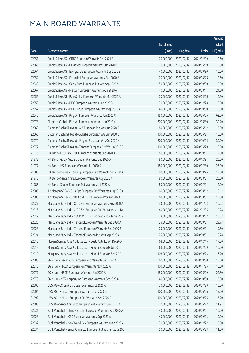|       |                                                              |              |                       |               | Amount      |
|-------|--------------------------------------------------------------|--------------|-----------------------|---------------|-------------|
|       |                                                              | No. of issue |                       |               | raised      |
| Code  | Derivative warrants                                          | (units)      | <b>Listing date</b>   | <b>Expiry</b> | (HK\$ mil.) |
| 22051 | Credit Suisse AG - CITIC European Warrants Feb 2021 A        | 70,000,000   | 2020/02/12            | 2021/02/19    | 10.50       |
| 22066 | Credit Suisse AG - CK Asset European Warrants Jun 2020 B     | 70,000,000   | 2020/02/12            | 2020/06/19    | 10.50       |
| 22064 | Credit Suisse AG - Evergrande European Warrants Sep 2020 B   | 40,000,000   | 2020/02/12            | 2020/09/30    | 10.00       |
| 22052 | Credit Suisse AG - Fosun Intl European Warrants Aug 2020 A   | 70,000,000   | 2020/02/12            | 2020/08/26    | 10.50       |
| 22048 | Credit Suisse AG - Geely Auto European Put Wts Sep 2020 A    | 50,000,000   | 2020/02/12            | 2020/09/30    | 12.50       |
| 22067 | Credit Suisse AG - Meituan European Warrants Aug 2020 A      | 40,000,000   | 2020/02/12            | 2020/08/11    | 24.80       |
| 22055 | Credit Suisse AG - PetroChina European Warrants May 2020 A   | 70,000,000   | 2020/02/12            | 2020/05/26    | 10.50       |
| 22058 | Credit Suisse AG - PICC European Warrants Dec 2020 B         | 70,000,000   | 2020/02/12            | 2020/12/28    | 10.50       |
| 22057 | Credit Suisse AG - PICC Group European Warrants Sep 2020 A   | 40,000,000   | 2020/02/12            | 2020/09/30    | 10.00       |
| 22046 | Credit Suisse AG - Ping An European Warrants Jun 2020 C      | 150,000,000  | 2020/02/12            | 2020/06/26    | 63.00       |
| 22073 | Citigroup Global - Ping An European Warrants Jun 2021 A      | 200,000,000  | 2020/02/12            | 2021/06/30    | 30.20       |
| 22069 | Goldman Sachs SP (Asia) - AIA European Put Wts Jun 2020 A    | 80,000,000   | 2020/02/12            | 2020/06/12    | 12.00       |
| 22068 | Goldman Sachs SP (Asia) - Alibaba European Wts Jun 2020 D    | 100,000,000  | 2020/02/12            | 2020/06/24    | 15.00       |
| 22070 | Goldman Sachs SP (Asia) - Ping An European Wts Oct 2020 A    | 200,000,000  | 2020/02/12            | 2020/10/05    | 30.00       |
| 22072 | Goldman Sachs SP (Asia) - Tencent European Put Wt Jun 2020 F | 100,000,000  | 2020/02/12            | 2020/06/29    | 18.50       |
| 21976 | HK Bank - CSOP A50 ETF European Warrants Sep 2020 A          | 80,000,000   | 2020/02/12            | 2020/09/01    | 12.00       |
| 21979 | HK Bank - Geely Auto European Warrants Dec 2020 A            | 80,000,000   | 2020/02/12            | 2020/12/31    | 20.00       |
| 21977 | HK Bank - HSI European Warrants Jul 2020 D                   | 180,000,000  | 2020/02/12            | 2020/07/30    | 27.00       |
| 21988 | HK Bank - Meituan Dianping European Put Warrants Sep 2020 A  | 80,000,000   | 2020/02/12            | 2020/09/25    | 12.00       |
| 21978 | HK Bank - Sands China European Warrants Aug 2020 A           | 80,000,000   | 2020/02/12            | 2020/08/31    | 20.00       |
| 21986 | HK Bank - Xiaomi European Put Warrants Jul 2020 A            | 80,000,000   | 2020/02/12            | 2020/07/24    | 12.00       |
| 22006 | J P Morgan SP BV - SHK Ppt European Put Warrants Aug 2020 A  | 60,000,000   | 2020/02/12            | 2020/08/12    | 15.12       |
| 22009 | J P Morgan SP BV - SPDR Gold Trust European Wts Aug 2020 B   | 60,000,000   | 2020/02/12            | 2020/08/31    | 15.30       |
| 22027 | Macquarie Bank Ltd. - CITIC Sec European Warrants Nov 2020 A | 33,000,000   | 2020/02/12            | 2020/11/03    | 10.23       |
| 22018 | Macquarie Bank Ltd. - CITIC Sec European Put Warrants Jan21A | 40,000,000   | 2020/02/12            | 2021/01/05    | 10.28       |
| 22019 | Macquarie Bank Ltd. - CSOP A50 ETF European Put Wts Sep20 A  | 38,000,000   | 2020/02/12            | 2020/09/02    | 10.03       |
| 22020 | Macquarie Bank Ltd. - Tencent European Warrants Sep 2020 A   |              | 25,000,000 2020/02/12 | 2020/09/01    | 29.73       |
| 22023 | Macquarie Bank Ltd. - Tencent European Warrants Sep 2020 B   | 25,000,000   | 2020/02/12            | 2020/09/01    | 19.50       |
| 22024 | Macquarie Bank Ltd. - Tencent European Put Wts Sep 2020 A    | 25,000,000   | 2020/02/12            | 2020/09/01    | 18.28       |
| 22013 | Morgan Stanley Asia Products Ltd. - Geely Auto Eu Wt Dec20 A | 68,000,000   | 2020/02/12            | 2020/12/15    | 17.00       |
| 22015 | Morgan Stanley Asia Products Ltd. - Xiaomi Euro Wts Jul 20 C | 68,000,000   | 2020/02/12            | 2020/07/29    | 10.20       |
| 22010 | Morgan Stanley Asia Products Ltd. - Xiaomi Euro Wts Sep 20 A | 108,000,000  | 2020/02/12            | 2020/09/23    | 16.20       |
| 22085 | SG Issuer - Geely Auto European Put Warrants Sep 2020 A      | 60,000,000   | 2020/02/12            | 2020/09/30    | 15.00       |
| 22076 | SG Issuer - HKEX European Put Warrants Nov 2020 A            | 100,000,000  | 2020/02/12            | 2020/11/25    | 15.00       |
| 22077 | SG Issuer - HSCEI European Warrants Jun 2020 A               | 150,000,000  | 2020/02/12            | 2020/06/29    | 22.50       |
| 22078 | SG Issuer - MTR Corporation European Warrants Oct 2020 A     | 40,000,000   | 2020/02/12            | 2020/10/30    | 10.00       |
| 22003 | UBS AG - CC Bank European Warrants Jul 2020 A                | 70,000,000   | 2020/02/12            | 2020/07/29    | 10.50       |
| 22004 | UBS AG - Meituan European Warrants Jun 2020 D                | 100,000,000  | 2020/02/12            | 2020/06/26    | 15.00       |
| 21992 | UBS AG - Meituan European Put Warrants Sep 2020 A            | 100,000,000  | 2020/02/12            | 2020/09/25    | 15.20       |
| 22000 | UBS AG - Sands China Ltd European Put Warrants Jun 2020 A    | 70,000,000   | 2020/02/12            | 2020/06/22    | 11.97       |
| 22031 | Bank Vontobel - China Res Land European Warrants Sep 2020 A  | 40,000,000   | 2020/02/12            | 2020/09/04    | 10.00       |
| 22028 | Bank Vontobel - ICBC European Warrants Sep 2020 A            | 40,000,000   | 2020/02/12            | 2020/09/03    | 10.00       |
| 22032 | Bank Vontobel - New World Dev European Warrants Dec 2020 A   | 70,000,000   | 2020/02/12            | 2020/12/22    | 10.50       |
| 22034 | Bank Vontobel - Sands China Ltd European Put Warrants Jun20B | 50,000,000   | 2020/02/12            | 2020/06/23    | 11.50       |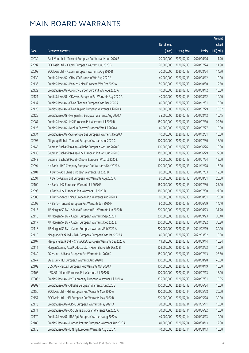|        |                                                              |                        |                     |               | Amount      |
|--------|--------------------------------------------------------------|------------------------|---------------------|---------------|-------------|
|        |                                                              | No. of issue           |                     |               | raised      |
| Code   | Derivative warrants                                          | (units)                | <b>Listing date</b> | <b>Expiry</b> | (HK\$ mil.) |
| 22039  | Bank Vontobel - Tencent European Put Warrants Jun 2020 B     | 70,000,000             | 2020/02/12          | 2020/06/26    | 11.20       |
| 22097  | BOCI Asia Ltd. - Xiaomi European Warrants Jul 2020 B         | 70,000,000             | 2020/02/13          | 2020/07/24    | 11.90       |
| 22098  | BOCI Asia Ltd. - Xiaomi European Warrants Aug 2020 B         | 70,000,000             | 2020/02/13          | 2020/08/24    | 14.70       |
| 22130  | Credit Suisse AG - CHALCO European Wts Aug 2020 A            | 40,000,000             | 2020/02/13          | 2020/08/12    | 10.00       |
| 22136  | Credit Suisse AG - Bank of China European Wts Oct 2020 A     | 50,000,000             | 2020/02/13          | 2020/10/30    | 12.50       |
| 22122  | Credit Suisse AG - Country Garden Euro Put Wts Aug 2020 A    | 40,000,000             | 2020/02/13          | 2020/08/12    | 10.00       |
| 22121  | Credit Suisse AG - CK Asset European Put Warrants Aug 2020 A | 40,000,000             | 2020/02/13          | 2020/08/12    | 10.00       |
| 22137  | Credit Suisse AG - China Shenhua European Wts Dec 2020 A     | 40,000,000             | 2020/02/13          | 2020/12/31    | 10.00       |
| 22120  | Credit Suisse AG - China Taiping European Warrants Jul2020 A | 60,000,000             | 2020/02/13          | 2020/07/29    | 10.02       |
| 22125  | Credit Suisse AG - Hengan Intl European Warrants Aug 2020 A  | 35,000,000             | 2020/02/13          | 2020/08/12    | 10.15       |
| 22087  | Credit Suisse AG - HSI European Put Warrants Jul 2020 B      | 150,000,000            | 2020/02/13          | 2020/07/30    | 22.50       |
| 22126  | Credit Suisse AG - Kunlun Energy European Wts Jul 2020 A     | 40,000,000             | 2020/02/13          | 2020/07/27    | 10.00       |
| 22134  | Credit Suisse AG - SwireProperties European Warrants Dec20 A | 40,000,000             | 2020/02/13          | 2020/12/31    | 10.00       |
| 22095  | Citigroup Global - Tencent European Warrants Jul 2020 C      | 100,000,000            | 2020/02/13          | 2020/07/30    | 15.90       |
| 22146  | Goldman Sachs SP (Asia) - Alibaba European Wts Jun 2020 E    | 100,000,000            | 2020/02/13          | 2020/06/26    | 18.30       |
| 22138  | Goldman Sachs SP (Asia) - HSI European Put Wts Jun 2020 C    | 150,000,000            | 2020/02/13          | 2020/06/29    | 22.50       |
| 22143  | Goldman Sachs SP (Asia) - Xiaomi European Wts Jul 2020 E     | 80,000,000             | 2020/02/13          | 2020/07/24    | 12.00       |
| 22094  | HK Bank - BYD Company European Put Warrants Dec 2021 A       | 100,000,000            | 2020/02/13          | 2021/12/28    | 15.00       |
| 22101  | HK Bank - A50 China European Warrants Jul 2020 B             | 80,000,000             | 2020/02/13          | 2020/07/03    | 12.00       |
| 22091  | HK Bank - Galaxy Ent European Put Warrants Aug 2020 A        | 80,000,000             | 2020/02/13          | 2020/08/31    | 20.00       |
| 22100  | HK Bank - HSI European Warrants Jul 2020 E                   | 180,000,000            | 2020/02/13          | 2020/07/30    | 27.00       |
| 22093  | HK Bank - HSI European Put Warrants Jul 2020 D               | 180,000,000            | 2020/02/13          | 2020/07/30    | 27.00       |
| 22088  | HK Bank - Sands China European Put Warrants Aug 2020 A       | 80,000,000             | 2020/02/13          | 2020/08/31    | 20.00       |
| 22099  | HK Bank - Tencent European Put Warrants Jun 2020 F           | 80,000,000             | 2020/02/13          | 2020/06/29    | 14.40       |
| 22115  | J P Morgan SP BV - Alibaba European Put Warrants Jun 2020 B  | 200,000,000            | 2020/02/13          | 2020/06/23    | 31.20       |
| 22116  | J P Morgan SP BV - Xiaomi European Warrants Sep 2020 F       | 200,000,000            | 2020/02/13          | 2020/09/23    | 30.40       |
| 22117  | J P Morgan SP BV - Xiaomi European Warrants Dec 2020 E       | 200,000,000 2020/02/13 |                     | 2020/12/22    | 30.20       |
| 22118  | J P Morgan SP BV - Xiaomi European Warrants Feb 2021 A       | 200,000,000            | 2020/02/13          | 2021/02/19    | 30.00       |
| 22110  | Macquarie Bank Ltd. - BYD Company European Wts Mar 2022 A    | 40,000,000             | 2020/02/13          | 2022/03/02    | 10.00       |
| 22107  | Macquarie Bank Ltd. - China CRSC European Warrants Sep2020 A | 19,500,000             | 2020/02/13          | 2020/09/14    | 10.24       |
| 22111  | Morgan Stanley Asia Products Ltd. - Xiaomi Euro Wts Dec20 B  | 108,000,000            | 2020/02/13          | 2020/12/22    | 16.20       |
| 22149  | SG Issuer - Alibaba European Put Warrants Jul 2020 D         | 150,000,000            | 2020/02/13          | 2020/07/13    | 25.50       |
| 22147  | SG Issuer - HSI European Warrants Aug 2020 B                 | 300,000,000            | 2020/02/13          | 2020/08/28    | 45.00       |
| 22102  | UBS AG - Meituan European Put Warrants Oct 2020 A            | 100,000,000            | 2020/02/13          | 2020/10/19    | 15.00       |
| 22106  | UBS AG - Xiaomi European Put Warrants Jul 2020 B             | 100,000,000            | 2020/02/13          | 2020/07/13    | 15.00       |
| 17903# | Credit Suisse AG - BYD Company European Warrants Jul 2020 A  | 335,000,000            | 2020/02/13          | 2020/07/31    | 10.05       |
| 20209# | Credit Suisse AG - Alibaba European Warrants Jun 2020 B      | 100,000,000            | 2020/02/13          | 2020/06/24    | 10.60       |
| 22156  | BOCI Asia Ltd. - HSI European Put Warrants May 2020 A        | 200,000,000            | 2020/02/14          | 2020/05/28    | 30.00       |
| 22157  | BOCI Asia Ltd. - HSI European Put Warrants May 2020 B        | 200,000,000            | 2020/02/14          | 2020/05/28    | 30.00       |
| 22173  | Credit Suisse AG - CRRC European Warrants May 2021 A         | 70,000,000             | 2020/02/14          | 2021/05/11    | 10.50       |
| 22171  | Credit Suisse AG - A50 China European Warrants Jun 2020 A    | 70,000,000             | 2020/02/14          | 2020/06/22    | 10.50       |
| 22170  | Credit Suisse AG - R&F Ppt European Warrants Aug 2020 A      | 40,000,000             | 2020/02/14          | 2020/08/13    | 10.00       |
| 22185  | Credit Suisse AG - Hansoh Pharma European Warrants Aug2020 A | 40,000,000             | 2020/02/14          | 2020/08/13    | 12.80       |
| 22175  | Credit Suisse AG - Li Ning European Warrants Aug 2020 A      | 40,000,000             | 2020/02/14          | 2020/08/13    | 10.00       |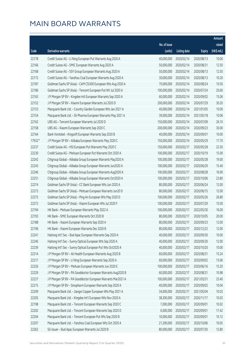|        |                                                              |              |                       |               | Amount      |
|--------|--------------------------------------------------------------|--------------|-----------------------|---------------|-------------|
|        |                                                              | No. of issue |                       |               | raised      |
| Code   | Derivative warrants                                          | (units)      | <b>Listing date</b>   | <b>Expiry</b> | (HK\$ mil.) |
| 22178  | Credit Suisse AG - Li Ning European Put Warrants Aug 2020 A  | 40,000,000   | 2020/02/14            | 2020/08/13    | 10.00       |
| 22166  | Credit Suisse AG - SMIC European Warrants Aug 2020 A         | 50,000,000   | 2020/02/14            | 2020/08/31    | 12.50       |
| 22168  | Credit Suisse AG - SSY Group European Warrants Aug 2020 A    | 50,000,000   | 2020/02/14            | 2020/08/13    | 12.50       |
| 22172  | Credit Suisse AG - Yanzhou Coal European Warrants Aug 2020 A | 30,000,000   | 2020/02/14            | 2020/08/13    | 10.20       |
| 22187  | Goldman Sachs SP (Asia) - CAM CSI300 European Wts Aug 2020 A | 70,000,000   | 2020/02/14            | 2020/08/24    | 10.50       |
| 22186  | Goldman Sachs SP (Asia) - Tencent European Put Wt Jul 2020 A | 100,000,000  | 2020/02/14            | 2020/07/24    | 20.60       |
| 22163  | J P Morgan SP BV - Kingdee Intl European Warrants Sep 2020 A | 60,000,000   | 2020/02/14            | 2020/09/02    | 15.06       |
| 22152  | J P Morgan SP BV - Xiaomi European Warrants Jul 2020 D       | 200,000,000  | 2020/02/14            | 2020/07/29    | 30.20       |
| 22153  | Macquarie Bank Ltd. - Country Garden European Wts Jan 2021 A | 40,000,000   | 2020/02/14            | 2021/01/05    | 10.00       |
| 22154  | Macquarie Bank Ltd. - Sh Pharma European Warrants May 2021 A | 39,000,000   | 2020/02/14            | 2021/05/18    | 10.06       |
| 22162  | UBS AG - Tencent European Warrants Jul 2020 D                | 150,000,000  | 2020/02/14            | 2020/07/09    | 26.10       |
| 22158  | UBS AG - Xiaomi European Warrants Sep 2020 C                 | 200,000,000  | 2020/02/14            | 2020/09/23    | 30.00       |
| 22164  | Bank Vontobel - Kingsoft European Warrants Sep 2020 B        | 40,000,000   | 2020/02/14            | 2020/09/01    | 10.00       |
| 17932# | J P Morgan SP BV - Alibaba European Warrants May 2020 C      | 150,000,000  | 2020/02/14            | 2020/05/29    | 17.70       |
| 22237  | Credit Suisse AG - HSI European Put Warrants May 2020 C      | 150,000,000  | 2020/02/17            | 2020/05/28    | 22.50       |
| 22230  | Credit Suisse AG - Meituan European Put Warrants Oct 2020 A  | 100,000,000  | 2020/02/17            | 2020/10/19    | 15.00       |
| 22242  | Citigroup Global - Alibaba Group European Warrants May2020 A | 100,000,000  | 2020/02/17            | 2020/05/28    | 19.00       |
| 22243  | Citigroup Global - Alibaba Group European Warrants Jun2020 A | 100,000,000  | 2020/02/17            | 2020/06/29    | 15.40       |
| 22246  | Citigroup Global - Alibaba Group European Warrants Aug2020 A | 100,000,000  | 2020/02/17            | 2020/08/28    | 16.90       |
| 22251  | Citigroup Global - Alibaba Group European Warrants Oct2020 A | 100,000,000  | 2020/02/17            | 2020/10/06    | 23.80       |
| 22274  | Goldman Sachs SP (Asia) - CC Bank European Wts Jun 2020 A    | 80,000,000   | 2020/02/17            | 2020/06/24    | 12.00       |
| 22273  | Goldman Sachs SP (Asia) - Meituan European Warrants Jun20 D  | 80,000,000   | 2020/02/17            | 2020/06/15    | 12.00       |
| 22275  | Goldman Sachs SP (Asia) - Ping An European Wts May 2020 D    | 100,000,000  | 2020/02/17            | 2020/05/26    | 26.80       |
| 22272  | Goldman Sachs SP (Asia) - Xiaomi European Wts Jul 2020 F     | 100,000,000  | 2020/02/17            | 2020/07/29    | 15.00       |
| 22194  | HK Bank - Meituan European Warrants May 2022 A               | 100,000,000  | 2020/02/17            | 2022/05/30    | 16.00       |
| 22193  | HK Bank - SMIC European Warrants Oct 2020 B                  | 80,000,000   | 2020/02/17            | 2020/10/05    | 20.00       |
| 22188  | HK Bank - Xiaomi European Warrants Sep 2020 A                |              | 80,000,000 2020/02/17 | 2020/09/23    | 12.00       |
| 22196  | HK Bank - Xiaomi European Warrants Dec 2020 B                | 80,000,000   | 2020/02/17            | 2020/12/22    | 12.00       |
| 22241  | Haitong Int'l Sec - Bud Apac European Warrants Sep 2020 A    | 40,000,000   | 2020/02/17            | 2020/09/30    | 10.00       |
| 22240  | Haitong Int'l Sec - Sunny Optical European Wts Sep 2020 A    | 40,000,000   | 2020/02/17            | 2020/09/30    | 12.00       |
| 22239  | Haitong Int'l Sec - Sunny Optical European Put Wts Oct2020 A | 40,000,000   | 2020/02/17            | 2020/10/20    | 10.00       |
| 22214  | J P Morgan SP BV - Ali Health European Warrants Aug 2020 B   | 60,000,000   | 2020/02/17            | 2020/08/31    | 15.24       |
| 22217  | J P Morgan SP BV - Li Ning European Warrants Sep 2020 A      | 60,000,000   | 2020/02/17            | 2020/09/02    | 15.06       |
| 22226  | J P Morgan SP BV - Meituan European Warrants Jun 2020 E      | 100,000,000  | 2020/02/17            | 2020/06/16    | 15.20       |
| 22229  | J P Morgan SP BV - PA Gooddoctor European Warrants Aug2020 B | 60,000,000   | 2020/02/17            | 2020/08/31    | 10.98       |
| 22227  | J P Morgan SP BV - PA Gooddoctor European Warrants Mar2021 A | 100,000,000  | 2020/02/17            | 2021/03/31    | 25.40       |
| 22215  | J P Morgan SP BV - Sinopharm European Warrants Sep 2020 A    | 40,000,000   | 2020/02/17            | 2020/09/02    | 10.04       |
| 22209  | Macquarie Bank Ltd. - Jiangxi Copper European Wts May 2021 A | 34,000,000   | 2020/02/17            | 2021/05/04    | 10.03       |
| 22205  | Macquarie Bank Ltd. - Kingdee Int'l European Wts Nov 2020 A  | 38,300,000   | 2020/02/17            | 2020/11/17    | 10.03       |
| 22198  | Macquarie Bank Ltd. - Tencent European Warrants Sep 2020 C   | 7,000,000    | 2020/02/17            | 2020/09/01    | 10.02       |
| 22202  | Macquarie Bank Ltd. - Tencent European Warrants Sep 2020 D   | 6,000,000    | 2020/02/17            | 2020/09/01    | 17.42       |
| 22204  | Macquarie Bank Ltd. - Tencent European Put Wts Sep 2020 B    | 10,000,000   | 2020/02/17            | 2020/09/01    | 10.12       |
| 22207  | Macquarie Bank Ltd. - Yanzhou Coal European Wts Oct 2020 A   | 21,200,000   | 2020/02/17            | 2020/10/06    | 10.05       |
| 22262  | SG Issuer - Bud Apac European Warrants Jul 2020 B            | 80,000,000   | 2020/02/17            | 2020/07/30    | 12.80       |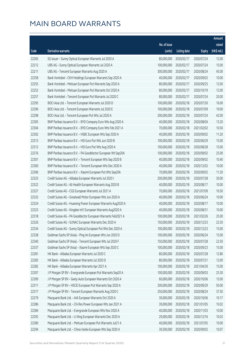|       |                                                              |                        |                     |               | Amount      |
|-------|--------------------------------------------------------------|------------------------|---------------------|---------------|-------------|
|       |                                                              | No. of issue           |                     |               | raised      |
| Code  | Derivative warrants                                          | (units)                | <b>Listing date</b> | <b>Expiry</b> | (HK\$ mil.) |
| 22265 | SG Issuer - Sunny Optical European Warrants Jul 2020 A       | 80,000,000             | 2020/02/17          | 2020/07/24    | 12.00       |
| 22212 | UBS AG - Sunny Optical European Warrants Jul 2020 A          | 100,000,000            | 2020/02/17          | 2020/07/24    | 15.00       |
| 22211 | UBS AG - Tencent European Warrants Aug 2020 A                | 300,000,000            | 2020/02/17          | 2020/08/24    | 45.00       |
| 22258 | Bank Vontobel - CKH Holdings European Warrants Sep 2020 A    | 40,000,000             | 2020/02/17          | 2020/09/02    | 10.00       |
| 22255 | Bank Vontobel - Meituan European Put Warrants Sep 2020 A     | 80,000,000             | 2020/02/17          | 2020/09/25    | 12.00       |
| 22252 | Bank Vontobel - Meituan European Put Warrants Oct 2020 A     | 80,000,000             | 2020/02/17          | 2020/10/19    | 12.00       |
| 22257 | Bank Vontobel - Tencent European Put Warrants Jul 2020 C     | 80,000,000             | 2020/02/17          | 2020/07/24    | 20.00       |
| 22295 | BOCI Asia Ltd. - Tencent European Warrants Jul 2020 D        | 100,000,000            | 2020/02/18          | 2020/07/30    | 16.00       |
| 22296 | BOCI Asia Ltd. - Tencent European Warrants Jul 2020 E        | 100,000,000            | 2020/02/18          | 2020/07/09    | 19.00       |
| 22298 | BOCI Asia Ltd. - Tencent European Put Wts Jul 2020 A         | 200,000,000            | 2020/02/18          | 2020/07/24    | 42.00       |
| 22305 | BNP Paribas Issuance B.V. - BYD Company Euro Wts Aug 2020 A  | 40,000,000             | 2020/02/18          | 2020/08/04    | 13.20       |
| 22304 | BNP Paribas Issuance B.V. - BYD Company Euro Wts Feb 2021 A  | 70,000,000             | 2020/02/18          | 2021/02/02    | 10.50       |
| 22302 | BNP Paribas Issuance B.V. - HSBC European Wts Sep 2020 A     | 40,000,000             | 2020/02/18          | 2020/09/02    | 11.20       |
| 22313 | BNP Paribas Issuance B.V. - HSI Euro Put Wts Jun 2020 B      | 100,000,000            | 2020/02/18          | 2020/06/29    | 15.00       |
| 22312 | BNP Paribas Issuance B.V. - HSI Euro Put Wts Aug 2020 A      | 100,000,000            | 2020/02/18          | 2020/08/28    | 15.00       |
| 22276 | BNP Paribas Issuance B.V. - PA Gooddoctor European Wt Sep20A | 100,000,000            | 2020/02/18          | 2020/09/02    | 25.00       |
| 22301 | BNP Paribas Issuance B.V. - Tencent European Wts Sep 2020 B  | 40,000,000             | 2020/02/18          | 2020/09/02    | 10.40       |
| 22300 | BNP Paribas Issuance B.V. - Tencent European Wts Dec 2020 A  | 40,000,000             | 2020/02/18          | 2020/12/02    | 10.00       |
| 22306 | BNP Paribas Issuance B.V. - Xiaomi European Put Wts Sep20A   | 70,000,000             | 2020/02/18          | 2020/09/02    | 11.20       |
| 22325 | Credit Suisse AG - Alibaba European Warrants Jul 2020 I      | 200,000,000            | 2020/02/18          | 2020/07/28    | 30.00       |
| 22322 | Credit Suisse AG - Ali Health European Warrants Aug 2020 B   | 40,000,000             | 2020/02/18          | 2020/08/17    | 10.00       |
| 22327 | Credit Suisse AG - CGS European Warrants Jul 2021 A          | 70,000,000             | 2020/02/18          | 2021/07/09    | 10.50       |
| 22332 | Credit Suisse AG - Greatwall Motor European Wts Jun 2020 A   | 40,000,000             | 2020/02/18          | 2020/06/24    | 10.00       |
| 22324 | Credit Suisse AG - Huaneng Power European Warrants Aug2020 A | 40,000,000             | 2020/02/18          | 2020/08/17    | 10.00       |
| 22323 | Credit Suisse AG - Kingdee Int'l European Warrants Aug2020 A | 40,000,000             | 2020/02/18          | 2020/08/31    | 10.00       |
| 22318 | Credit Suisse AG - PA Gooddoctor European Warrants Feb2021 A | 100,000,000            | 2020/02/18          | 2021/02/26    | 25.00       |
| 22326 | Credit Suisse AG - SUNAC European Warrants Dec 2020 A        | 150,000,000 2020/02/18 |                     | 2020/12/23    | 22.50       |
| 22334 | Credit Suisse AG - Sunny Optical European Put Wts Dec 2020 A | 100,000,000            | 2020/02/18          | 2020/12/23    | 15.00       |
| 22338 | Goldman Sachs SP (Asia) - Ping An European Wts Jun 2020 D    | 100,000,000            | 2020/02/18          | 2020/06/24    | 15.00       |
| 22340 | Goldman Sachs SP (Asia) - Tencent European Wts Jul 2020 F    | 150,000,000            | 2020/02/18          | 2020/07/28    | 22.50       |
| 22337 | Goldman Sachs SP (Asia) - Xiaomi European Wts Sep 2020 C     | 100,000,000            | 2020/02/18          | 2020/09/23    | 15.00       |
| 22281 | HK Bank - Alibaba European Warrants Jul 2020 C               | 80,000,000             | 2020/02/18          | 2020/07/28    | 12.80       |
| 22283 | HK Bank - Alibaba European Warrants Jul 2020 D               | 80,000,000             | 2020/02/18          | 2020/07/21    | 12.00       |
| 22282 | HK Bank - Alibaba European Warrants Apr 2021 A               | 100,000,000            | 2020/02/18          | 2021/04/30    | 15.00       |
| 22307 | J P Morgan SP BV - Evergrande European Put Warrants Sep20 A  | 100,000,000            | 2020/02/18          | 2020/09/03    | 25.30       |
| 22309 | J P Morgan SP BV - Geely Auto European Warrants Oct 2020 A   | 60,000,000             | 2020/02/18          | 2020/10/06    | 15.00       |
| 22311 | J P Morgan SP BV - HSCEI European Put Warrants Sep 2020 A    | 200,000,000            | 2020/02/18          | 2020/09/29    | 50.00       |
| 22317 | J P Morgan SP BV - Tencent European Warrants Aug 2020 C      | 250,000,000            | 2020/02/18          | 2020/08/24    | 37.50       |
| 22279 | Macquarie Bank Ltd. - AIA European Warrants Oct 2020 A       | 30,000,000             | 2020/02/18          | 2020/10/06    | 10.17       |
| 22286 | Macquarie Bank Ltd. - Chi Res Power European Wts Jan 2021 A  | 39,000,000             | 2020/02/18          | 2021/01/05    | 10.02       |
| 22284 | Macquarie Bank Ltd. - Evergrande European Wts Nov 2020 A     | 40,000,000             | 2020/02/18          | 2020/11/03    | 10.00       |
| 22292 | Macquarie Bank Ltd. - Li Ning European Warrants Dec 2020 A   | 29,000,000             | 2020/02/18          | 2020/12/16    | 10.03       |
| 22280 | Macquarie Bank Ltd. - Meituan European Put Warrants Jul21 A  | 40,000,000             | 2020/02/18          | 2021/07/05    | 10.00       |
| 22294 | Macquarie Bank Ltd. - China Vanke European Wts Sep 2020 A    | 30,500,000             | 2020/02/18          | 2020/09/02    | 10.07       |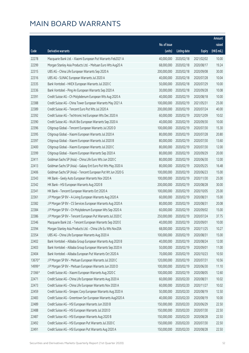|        |                                                              |              |                       |               | Amount      |
|--------|--------------------------------------------------------------|--------------|-----------------------|---------------|-------------|
|        |                                                              | No. of issue |                       |               | raised      |
| Code   | Derivative warrants                                          | (units)      | <b>Listing date</b>   | <b>Expiry</b> | (HK\$ mil.) |
| 22278  | Macquarie Bank Ltd. - Xiaomi European Put Warrants Feb2021 A | 40,000,000   | 2020/02/18            | 2021/02/02    | 10.00       |
| 22299  | Morgan Stanley Asia Products Ltd. - Meituan Euro Wts Aug20 A | 68,000,000   | 2020/02/18            | 2020/08/17    | 19.24       |
| 22315  | UBS AG - China Life European Warrants Sep 2020 A             | 200,000,000  | 2020/02/18            | 2020/09/08    | 30.00       |
| 22316  | UBS AG - SUNAC European Warrants Jul 2020 A                  | 40,000,000   | 2020/02/18            | 2020/07/28    | 10.04       |
| 22335  | Bank Vontobel - HKEX European Warrants Jul 2020 C            | 50,000,000   | 2020/02/18            | 2020/07/29    | 10.00       |
| 22336  | Bank Vontobel - Ping An European Warrants Sep 2020 A         | 30,000,000   | 2020/02/18            | 2020/09/28    | 10.08       |
| 22391  | Credit Suisse AG - Ch Molybdenum European Wts Aug 2020 A     | 40,000,000   | 2020/02/19            | 2020/08/18    | 10.00       |
| 22388  | Credit Suisse AG - China Tower European Warrants May 2021 A  | 100,000,000  | 2020/02/19            | 2021/05/31    | 25.00       |
| 22389  | Credit Suisse AG - Tencent Euro Put Wts Jul 2020 A           | 200,000,000  | 2020/02/19            | 2020/07/24    | 40.00       |
| 22392  | Credit Suisse AG - Techtronic Ind European Wts Dec 2020 A    | 60,000,000   | 2020/02/19            | 2020/12/09    | 10.02       |
| 22390  | Credit Suisse AG - WuXi Bio European Warrants Sep 2020 A     | 40,000,000   | 2020/02/19            | 2020/09/30    | 10.00       |
| 22396  | Citigroup Global - Tencent European Warrants Jul 2020 D      | 100,000,000  | 2020/02/19            | 2020/07/30    | 15.30       |
| 22395  | Citigroup Global - Xiaomi European Warrants Jul 2020 A       | 80,000,000   | 2020/02/19            | 2020/07/28    | 20.80       |
| 22397  | Citigroup Global - Xiaomi European Warrants Jul 2020 B       | 80,000,000   | 2020/02/19            | 2020/07/30    | 13.60       |
| 22400  | Citigroup Global - Xiaomi European Warrants Jul 2020 C       | 80,000,000   | 2020/02/19            | 2020/07/30    | 12.00       |
| 22399  | Citigroup Global - Xiaomi European Warrants Sep 2020 A       | 80,000,000   | 2020/02/19            | 2020/09/29    | 20.00       |
| 22411  | Goldman Sachs SP (Asia) - China Life Euro Wts Jun 2020 C     | 80,000,000   | 2020/02/19            | 2020/06/30    | 12.00       |
| 22413  | Goldman Sachs SP (Asia) - Galaxy Ent Euro Put Wts May 2020 A | 80,000,000   | 2020/02/19            | 2020/05/25    | 16.48       |
| 22406  | Goldman Sachs SP (Asia) - Tencent European Put Wt Jun 2020 G | 100,000,000  | 2020/02/19            | 2020/06/23    | 15.00       |
| 22343  | HK Bank - Geely Auto European Warrants Nov 2020 A            | 100,000,000  | 2020/02/19            | 2020/11/30    | 25.00       |
| 22342  | HK Bank - HSI European Warrants Aug 2020 B                   | 200,000,000  | 2020/02/19            | 2020/08/28    | 30.00       |
| 22341  | HK Bank - Tencent European Warrants Oct 2020 A               | 100,000,000  | 2020/02/19            | 2020/10/05    | 25.00       |
| 22361  | J P Morgan SP BV - A-Living European Warrants Aug 2020 A     | 60,000,000   | 2020/02/19            | 2020/08/31    | 15.00       |
| 22382  | J P Morgan SP BV - CS Services European Warrants Aug 2020 A  | 80,000,000   | 2020/02/19            | 2020/08/31    | 20.08       |
| 22384  | J P Morgan SP BV - Ch Molybdenum European Wts Sep 2020 A     | 60,000,000   | 2020/02/19            | 2020/09/02    | 15.00       |
| 22386  | J P Morgan SP BV - Tencent European Put Warrants Jul 2020 C  | 250,000,000  | 2020/02/19            | 2020/07/24    | 37.75       |
| 22346  | Macquarie Bank Ltd. - Tencent European Warrants Sep 2020 E   |              | 40,000,000 2020/02/19 | 2020/09/01    | 10.00       |
| 22394  | Morgan Stanley Asia Products Ltd. - China Life Eu Wts Nov20A | 68,000,000   | 2020/02/19            | 2020/11/25    | 10.27       |
| 22354  | UBS AG - China Life European Warrants Aug 2020 A             | 100,000,000  | 2020/02/19            | 2020/08/31    | 15.00       |
| 22402  | Bank Vontobel - Alibaba Group European Warrants Aug 2020 B   | 40,000,000   | 2020/02/19            | 2020/08/24    | 12.00       |
| 22403  | Bank Vontobel - Alibaba Group European Warrants Sep 2020 A   | 50,000,000   | 2020/02/19            | 2020/09/01    | 11.00       |
| 22404  | Bank Vontobel - Alibaba European Put Warrants Oct 2020 A     | 70,000,000   | 2020/02/19            | 2020/10/23    | 10.50       |
| 13670# | J P Morgan SP BV - Meituan European Warrants Jul 2020 C      | 120,000,000  | 2020/02/19            | 2020/07/31    | 10.56       |
| 14999# | J P Morgan SP BV - Meituan European Warrants Jun 2020 D      | 100,000,000  | 2020/02/19            | 2020/06/30    | 11.10       |
| 21366# | Credit Suisse AG - Xiaomi European Warrants Aug 2020 C       | 100,000,000  | 2020/02/19            | 2020/08/05    | 12.60       |
| 22471  | Credit Suisse AG - China Life European Warrants Aug 2020 A   | 60,000,000   | 2020/02/20            | 2020/08/31    | 10.02       |
| 22473  | Credit Suisse AG - China Life European Warrants Nov 2020 A   | 60,000,000   | 2020/02/20            | 2020/11/27    | 10.02       |
| 22459  | Credit Suisse AG - Sinopec Corp European Warrants Aug 2020 A | 50,000,000   | 2020/02/20            | 2020/08/19    | 12.50       |
| 22483  | Credit Suisse AG - Greentown Ser European Warrants Aug2020 A | 40,000,000   | 2020/02/20            | 2020/08/19    | 10.00       |
| 22489  | Credit Suisse AG - HSI European Warrants Jun 2020 B          | 150,000,000  | 2020/02/20            | 2020/06/29    | 22.50       |
| 22488  | Credit Suisse AG - HSI European Warrants Jul 2020 D          | 150,000,000  | 2020/02/20            | 2020/07/30    | 22.50       |
| 22487  | Credit Suisse AG - HSI European Warrants Aug 2020 B          | 150,000,000  | 2020/02/20            | 2020/08/28    | 22.50       |
| 22492  | Credit Suisse AG - HSI European Put Warrants Jul 2020 C      | 150,000,000  | 2020/02/20            | 2020/07/30    | 22.50       |
| 22491  | Credit Suisse AG - HSI European Put Warrants Aug 2020 A      | 150,000,000  | 2020/02/20            | 2020/08/28    | 22.50       |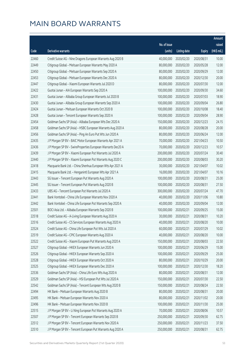|       |                                                              |              |                       |               | Amount      |
|-------|--------------------------------------------------------------|--------------|-----------------------|---------------|-------------|
|       |                                                              | No. of issue |                       |               | raised      |
| Code  | <b>Derivative warrants</b>                                   | (units)      | <b>Listing date</b>   | <b>Expiry</b> | (HK\$ mil.) |
| 22460 | Credit Suisse AG - Nine Dragons European Warrants Aug 2020 B | 40,000,000   | 2020/02/20            | 2020/08/31    | 10.00       |
| 22449 | Citigroup Global - Meituan European Warrants May 2020 A      | 80,000,000   | 2020/02/20            | 2020/05/28    | 12.00       |
| 22450 | Citigroup Global - Meituan European Warrants Sep 2020 A      | 80,000,000   | 2020/02/20            | 2020/09/29    | 12.00       |
| 22453 | Citigroup Global - Meituan European Warrants Dec 2020 A      | 80,000,000   | 2020/02/20            | 2020/12/30    | 20.00       |
| 22447 | Citigroup Global - Xiaomi European Warrants Jul 2020 D       | 80,000,000   | 2020/02/20            | 2020/07/30    | 12.00       |
| 22422 | Guotai Junan - AIA European Warrants Sep 2020 A              | 100,000,000  | 2020/02/20            | 2020/09/30    | 34.60       |
| 22431 | Guotai Junan - Alibaba Group European Warrants Jul 2020 B    | 100,000,000  | 2020/02/20            | 2020/07/03    | 18.90       |
| 22430 | Guotai Junan - Alibaba Group European Warrants Sep 2020 A    | 100,000,000  | 2020/02/20            | 2020/09/04    | 26.80       |
| 22424 | Guotai Junan - Meituan European Warrants Oct 2020 B          | 100,000,000  | 2020/02/20            | 2020/10/08    | 18.40       |
| 22428 | Guotai Junan - Tencent European Warrants Sep 2020 A          | 100,000,000  | 2020/02/20            | 2020/09/04    | 28.90       |
| 22454 | Goldman Sachs SP (Asia) - Alibaba European Wts Dec 2020 A    | 150,000,000  | 2020/02/20            | 2020/12/23    | 24.15       |
| 22458 | Goldman Sachs SP (Asia) - HSBC European Warrants Aug 2020 A  | 80,000,000   | 2020/02/20            | 2020/08/28    | 20.00       |
| 22456 | Goldman Sachs SP (Asia) - Ping An Euro Put Wts Jun 2020 A    | 80,000,000   | 2020/02/20            | 2020/06/24    | 12.00       |
| 22435 | J P Morgan SP BV - BAIC Motor European Warrants Apr 2021 A   | 70,000,000   | 2020/02/20            | 2021/04/23    | 10.50       |
| 22436 | J P Morgan SP BV - SwireProperties European Warrants Dec20 A | 70,000,000   | 2020/02/20            | 2020/12/23    | 10.57       |
| 22439 | J P Morgan SP BV - Xiaomi European Put Warrants Jul 2020 A   | 200,000,000  | 2020/02/20            | 2020/07/24    | 30.40       |
| 22440 | J P Morgan SP BV - Xiaomi European Put Warrants Aug 2020 C   | 200,000,000  | 2020/02/20            | 2020/08/03    | 30.20       |
| 22418 | Macquarie Bank Ltd. - China Shenhua European Wts Apr 2021 A  | 30,000,000   | 2020/02/20            | 2021/04/07    | 10.02       |
| 22415 | Macquarie Bank Ltd. - Henganintl European Wts Apr 2021 A     | 16,000,000   | 2020/02/20            | 2021/04/07    | 10.16       |
| 22443 | SG Issuer - Tencent European Put Warrants Aug 2020 A         | 100,000,000  | 2020/02/20            | 2020/08/31    | 25.00       |
| 22445 | SG Issuer - Tencent European Put Warrants Aug 2020 B         | 100,000,000  | 2020/02/20            | 2020/08/31    | 27.50       |
| 22433 | UBS AG - Tencent European Put Warrants Jul 2020 A            | 300,000,000  | 2020/02/20            | 2020/07/24    | 47.70       |
| 22441 | Bank Vontobel - China Life European Warrants Nov 2020 A      | 40,000,000   | 2020/02/20            | 2020/11/06    | 10.80       |
| 22442 | Bank Vontobel - China Life European Put Warrants Sep 2020 A  | 40,000,000   | 2020/02/20            | 2020/09/04    | 12.00       |
| 22501 | BOCI Asia Ltd. - Alibaba European Warrants Sep 2020 B        | 100,000,000  | 2020/02/21            | 2020/09/25    | 15.00       |
| 22518 | Credit Suisse AG - A-Living European Warrants Aug 2020 A     | 30,000,000   | 2020/02/21            | 2020/08/31    | 10.20       |
| 22516 | Credit Suisse AG - CS Services European Warrants Aug 2020 A  |              | 40,000,000 2020/02/21 | 2020/08/20    | 10.00       |
| 22524 | Credit Suisse AG - China Life European Put Wts Jul 2020 A    | 60,000,000   | 2020/02/21            | 2020/07/29    | 10.02       |
| 22519 | Credit Suisse AG - CPIC European Warrants Aug 2020 A         | 40,000,000   | 2020/02/21            | 2020/08/20    | 10.00       |
| 22522 | Credit Suisse AG - Xiaomi European Put Warrants Aug 2020 A   | 150,000,000  | 2020/02/21            | 2020/08/03    | 22.50       |
| 22527 | Citigroup Global - HKEX European Warrants Jun 2020 A         | 100,000,000  | 2020/02/21            | 2020/06/29    | 15.00       |
| 22526 | Citigroup Global - HKEX European Warrants Sep 2020 A         | 100,000,000  | 2020/02/21            | 2020/09/29    | 25.00       |
| 22528 | Citigroup Global - HKEX European Warrants Oct 2020 A         | 80,000,000   | 2020/02/21            | 2020/10/29    | 20.00       |
| 22525 | Citigroup Global - HKEX European Warrants Dec 2020 A         | 100,000,000  | 2020/02/21            | 2020/12/30    | 18.20       |
| 22536 | Goldman Sachs SP (Asia) - China Life Euro Wts Aug 2020 A     | 80,000,000   | 2020/02/21            | 2020/08/31    | 12.00       |
| 22529 | Goldman Sachs SP (Asia) - HSI European Put Wts Jul 2020 A    | 150,000,000  | 2020/02/21            | 2020/07/30    | 22.50       |
| 22542 | Goldman Sachs SP (Asia) - Tencent European Wts Aug 2020 B    | 150,000,000  | 2020/02/21            | 2020/08/24    | 22.50       |
| 22494 | HK Bank - Meituan European Warrants Aug 2020 B               | 80,000,000   | 2020/02/21            | 2020/08/31    | 20.00       |
| 22495 | HK Bank - Meituan European Warrants Nov 2020 A               | 80,000,000   | 2020/02/21            | 2020/11/02    | 20.00       |
| 22496 | HK Bank - Meituan European Warrants Nov 2020 B               | 100,000,000  | 2020/02/21            | 2020/11/30    | 25.00       |
| 22515 | J P Morgan SP BV - Li Ning European Put Warrants Aug 2020 A  | 70,000,000   | 2020/02/21            | 2020/08/06    | 10.57       |
| 22507 | J P Morgan SP BV - Tencent European Warrants Sep 2020 B      | 250,000,000  | 2020/02/21            | 2020/09/30    | 62.75       |
| 22512 | J P Morgan SP BV - Tencent European Warrants Nov 2020 A      | 250,000,000  | 2020/02/21            | 2020/11/23    | 37.50       |
| 22510 | J P Morgan SP BV - Tencent European Put Warrants Aug 2020 A  | 250,000,000  | 2020/02/21            | 2020/08/31    | 62.75       |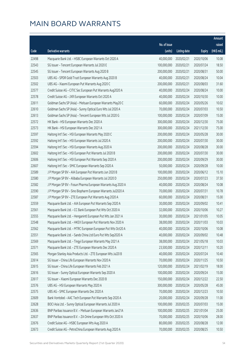|       |                                                              |              |                       |               | Amount      |
|-------|--------------------------------------------------------------|--------------|-----------------------|---------------|-------------|
|       |                                                              | No. of issue |                       |               | raised      |
| Code  | Derivative warrants                                          | (units)      | <b>Listing date</b>   | <b>Expiry</b> | (HK\$ mil.) |
| 22498 | Macquarie Bank Ltd. - HSBC European Warrants Oct 2020 A      | 40,000,000   | 2020/02/21            | 2020/10/06    | 10.08       |
| 22543 | SG Issuer - Tencent European Warrants Jul 2020 E             | 100,000,000  | 2020/02/21            | 2020/07/24    | 18.50       |
| 22545 | SG Issuer - Tencent European Warrants Aug 2020 B             | 200,000,000  | 2020/02/21            | 2020/08/31    | 50.00       |
| 22503 | UBS AG - SPDR Gold Trust European Warrants Aug 2020 B        | 40,000,000   | 2020/02/21            | 2020/08/24    | 10.04       |
| 22502 | UBS AG - Xiaomi European Put Warrants Aug 2020 C             | 200,000,000  | 2020/02/21            | 2020/08/03    | 31.60       |
| 22577 | Credit Suisse AG - CITIC Sec European Put Warrants Aug2020 A | 40,000,000   | 2020/02/24            | 2020/08/24    | 10.00       |
| 22578 | Credit Suisse AG - JXR European Warrants Oct 2020 A          | 40,000,000   | 2020/02/24            | 2020/10/30    | 10.00       |
| 22611 | Goldman Sachs SP (Asia) - Meituan European Warrants May20 C  | 60,000,000   | 2020/02/24            | 2020/05/26    | 10.02       |
| 22610 | Goldman Sachs SP (Asia) - Sunny Optical Euro Wts Jul 2020 A  | 70,000,000   | 2020/02/24            | 2020/07/03    | 10.50       |
| 22613 | Goldman Sachs SP (Asia) - Tencent European Wts Jul 2020 G    | 100,000,000  | 2020/02/24            | 2020/07/09    | 15.00       |
| 22572 | HK Bank - HSI European Warrants Dec 2020 A                   | 300,000,000  | 2020/02/24            | 2020/12/30    | 75.00       |
| 22573 | HK Bank - HSI European Warrants Dec 2021 A                   | 300,000,000  | 2020/02/24            | 2021/12/30    | 75.00       |
| 22597 | Haitong Int'l Sec - HSI European Warrants May 2020 C         | 200,000,000  | 2020/02/24            | 2020/05/28    | 30.00       |
| 22592 | Haitong Int'l Sec - HSI European Warrants Jul 2020 A         | 200,000,000  | 2020/02/24            | 2020/07/30    | 30.00       |
| 22594 | Haitong Int'l Sec - HSI European Warrants Aug 2020 A         | 200,000,000  | 2020/02/24            | 2020/08/28    | 30.00       |
| 22602 | Haitong Int'l Sec - HSI European Put Warrants Jul 2020 B     | 200,000,000  | 2020/02/24            | 2020/07/30    | 30.00       |
| 22606 | Haitong Int'l Sec - HSI European Put Warrants Sep 2020 A     | 200,000,000  | 2020/02/24            | 2020/09/29    | 30.00       |
| 22607 | Haitong Int'l Sec - SMIC European Warrants Sep 2020 A        | 50,000,000   | 2020/02/24            | 2020/09/28    | 10.00       |
| 22589 | J P Morgan SP BV - AIA European Put Warrants Jun 2020 B      | 100,000,000  | 2020/02/24            | 2020/06/12    | 15.10       |
| 22580 | J P Morgan SP BV - Alibaba European Warrants Jul 2020 D      | 250,000,000  | 2020/02/24            | 2020/07/23    | 37.50       |
| 22582 | J P Morgan SP BV - Fosun Pharma European Warrants Aug 2020 A | 40,000,000   | 2020/02/24            | 2020/08/24    | 10.08       |
| 22590 | J P Morgan SP BV - Sino Biopharm European Warrants Jul2020 A | 70,000,000   | 2020/02/24            | 2020/07/31    | 10.78       |
| 22587 | J P Morgan SP BV - ZTE European Put Warrants Aug 2020 A      | 60,000,000   | 2020/02/24            | 2020/08/31    | 15.00       |
| 22559 | Macquarie Bank Ltd. - AIA European Put Warrants Sep 2020 A   | 30,000,000   | 2020/02/24            | 2020/09/02    | 10.41       |
| 22561 | Macquarie Bank Ltd. - CC Bank European Put Wts Oct 2020 A    | 32,000,000   | 2020/02/24            | 2020/10/06    | 10.27       |
| 22555 | Macquarie Bank Ltd. - Henganintl European Put Wts Jan 2021 A | 30,000,000   | 2020/02/24            | 2021/01/05    | 10.05       |
| 22548 | Macquarie Bank Ltd. - HKEX European Put Warrants Nov 2020 A  |              | 38,000,000 2020/02/24 | 2020/11/03    | 10.03       |
| 22562 | Macquarie Bank Ltd. - MTRC European European Put Wts Oct20 A | 40,000,000   | 2020/02/24            | 2020/10/06    | 10.08       |
| 22551 | Macquarie Bank Ltd. - Sands China Ltd Euro Put Wts Sep2020 A | 40,000,000   | 2020/02/24            | 2020/09/02    | 10.48       |
| 22569 | Macquarie Bank Ltd. - Tingyi European Warrants May 2021 A    | 38,000,000   | 2020/02/24            | 2021/05/18    | 10.03       |
| 22571 | Macquarie Bank Ltd. - ZTE European Warrants Dec 2020 A       | 23,500,000   | 2020/02/24            | 2020/12/11    | 10.20       |
| 22565 | Morgan Stanley Asia Products Ltd. - ZTE European Wts Jul20 B | 40,000,000   | 2020/02/24            | 2020/07/24    | 10.40       |
| 22614 | SG Issuer - China Life European Warrants Nov 2020 A          | 70,000,000   | 2020/02/24            | 2020/11/25    | 10.50       |
| 22615 | SG Issuer - China Life European Warrants Feb 2021 A          | 120,000,000  | 2020/02/24            | 2021/02/19    | 18.00       |
| 22616 | SG Issuer - Sunny Optical European Warrants Sep 2020 A       | 100,000,000  | 2020/02/24            | 2020/09/24    | 15.00       |
| 22617 | SG Issuer - Xiaomi European Warrants Dec 2020 B              | 150,000,000  | 2020/02/24            | 2020/12/22    | 22.50       |
| 22576 | UBS AG - HSI European Warrants May 2020 A                    | 300,000,000  | 2020/02/24            | 2020/05/28    | 45.00       |
| 22575 | UBS AG - SMIC European Warrants Dec 2020 A                   | 70,000,000   | 2020/02/24            | 2020/12/23    | 10.50       |
| 22609 | Bank Vontobel - AAC Tech European Put Warrants Sep 2020 A    | 20,000,000   | 2020/02/24            | 2020/09/28    | 11.00       |
| 22628 | BOCI Asia Ltd. - Sunny Optical European Warrants Jul 2020 A  | 100,000,000  | 2020/02/25            | 2020/07/03    | 15.00       |
| 22636 | BNP Paribas Issuance B.V. - Meituan European Warrants Jan21A | 100,000,000  | 2020/02/25            | 2021/01/04    | 25.00       |
| 22637 | BNP Paribas Issuance B.V. - ZA Onine European Wts Oct 2020 A | 70,000,000   | 2020/02/25            | 2020/10/06    | 28.00       |
| 22676 | Credit Suisse AG - HSBC European Wts Aug 2020 A              | 80,000,000   | 2020/02/25            | 2020/08/28    | 12.00       |
| 22673 | Credit Suisse AG - PetroChina European Warrants Aug 2020 A   | 70,000,000   | 2020/02/25            | 2020/08/25    | 10.50       |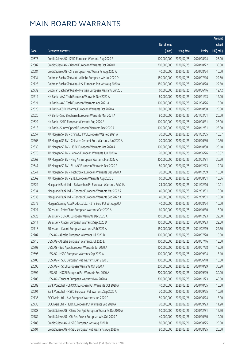|       |                                                              |                        |                     |               | Amount      |
|-------|--------------------------------------------------------------|------------------------|---------------------|---------------|-------------|
|       |                                                              | No. of issue           |                     |               | raised      |
| Code  | Derivative warrants                                          | (units)                | <b>Listing date</b> | <b>Expiry</b> | (HK\$ mil.) |
| 22675 | Credit Suisse AG - SMIC European Warrants Aug 2020 B         | 100,000,000            | 2020/02/25          | 2020/08/24    | 25.00       |
| 22682 | Credit Suisse AG - Xiaomi European Warrants Oct 2020 B       | 200,000,000            | 2020/02/25          | 2020/10/22    | 30.00       |
| 22684 | Credit Suisse AG - ZTE European Put Warrants Aug 2020 A      | 40,000,000             | 2020/02/25          | 2020/08/24    | 10.00       |
| 22734 | Goldman Sachs SP (Asia) - Alibaba European Wts Jul 2020 D    | 150,000,000            | 2020/02/25          | 2020/07/16    | 22.50       |
| 22726 | Goldman Sachs SP (Asia) - HSI European Put Wts Aug 2020 A    | 150,000,000            | 2020/02/25          | 2020/08/28    | 22.50       |
| 22732 | Goldman Sachs SP (Asia) - Meituan European Warrants Jun20 E  | 60,000,000             | 2020/02/25          | 2020/06/16    | 12.42       |
| 22619 | HK Bank - AAC Tech European Warrants Nov 2020 A              | 80,000,000             | 2020/02/25          | 2020/11/23    | 12.00       |
| 22621 | HK Bank - AAC Tech European Warrants Apr 2021 A              | 100,000,000            | 2020/02/25          | 2021/04/26    | 15.00       |
| 22625 | HK Bank - CSPC Pharma European Warrants Oct 2020 A           | 80,000,000             | 2020/02/25          | 2020/10/30    | 20.00       |
| 22620 | HK Bank - Sino Biopharm European Warrants Mar 2021 A         | 80,000,000             | 2020/02/25          | 2021/03/01    | 20.00       |
| 22622 | HK Bank - SMIC European Warrants Aug 2020 A                  | 100,000,000            | 2020/02/25          | 2020/08/31    | 25.00       |
| 22618 | HK Bank - Sunny Optical European Warrants Dec 2020 A         | 100,000,000            | 2020/02/25          | 2020/12/31    | 25.00       |
| 22657 | J P Morgan SP BV - China EB Int'l European Wts Feb 2021 A    | 70,000,000             | 2020/02/25          | 2021/02/05    | 10.57       |
| 22668 | J P Morgan SP BV - Chinares Cement Euro Warrants Jun 2020 A  | 70,000,000             | 2020/02/25          | 2020/06/30    | 10.50       |
| 22639 | J P Morgan SP BV - HSBC European Warrants Oct 2020 A         | 100,000,000            | 2020/02/25          | 2020/10/30    | 25.10       |
| 22670 | J P Morgan SP BV - Lenovo European Warrants Jun 2020 A       | 70,000,000             | 2020/02/25          | 2020/06/26    | 10.57       |
| 22663 | J P Morgan SP BV - Ping An European Warrants Mar 2022 A      | 200,000,000            | 2020/02/25          | 2022/03/31    | 30.20       |
| 22647 | J P Morgan SP BV - SUNAC European Warrants Dec 2020 A        | 80,000,000             | 2020/02/25          | 2020/12/23    | 12.08       |
| 22641 | J P Morgan SP BV - Techtronic European Warrants Dec 2020 A   | 70,000,000             | 2020/02/25          | 2020/12/09    | 10.50       |
| 22669 | J P Morgan SP BV - ZTE European Warrants Aug 2020 B          | 60,000,000             | 2020/02/25          | 2020/08/31    | 15.06       |
| 22629 | Macquarie Bank Ltd. - Baiyunshan Ph European Warrants Feb21A | 23,000,000             | 2020/02/25          | 2021/02/16    | 10.01       |
| 22634 | Macquarie Bank Ltd. - Tencent European Warrants Mar 2022 A   | 40,000,000             | 2020/02/25          | 2022/03/01    | 10.00       |
| 22633 | Macquarie Bank Ltd. - Tencent European Warrants Sep 2022 A   | 40,000,000             | 2020/02/25          | 2022/09/01    | 10.00       |
| 22672 | Morgan Stanley Asia Products Ltd. - ZTE Euro Put Wt Aug20 A  | 40,000,000             | 2020/02/25          | 2020/08/24    | 10.00       |
| 22721 | SG Issuer - PetroChina European Warrants Oct 2020 A          | 60,000,000             | 2020/02/25          | 2020/10/30    | 15.00       |
| 22723 | SG Issuer - SUNAC European Warrants Dec 2020 A               | 150,000,000            | 2020/02/25          | 2020/12/23    | 22.50       |
| 22711 | SG Issuer - Xiaomi European Warrants Sep 2020 D              | 150,000,000 2020/02/25 |                     | 2020/09/23    | 22.50       |
| 22718 | SG Issuer - Xiaomi European Warrants Feb 2021 A              | 150,000,000            | 2020/02/25          | 2021/02/19    | 22.50       |
| 22707 | UBS AG - Alibaba European Warrants Jul 2020 D                | 100,000,000            | 2020/02/25          | 2020/07/28    | 15.00       |
| 22710 | UBS AG - Alibaba European Warrants Jul 2020 E                | 100,000,000            | 2020/02/25          | 2020/07/16    | 15.00       |
| 22703 | UBS AG - Bud Apac European Warrants Jul 2020 A               | 100,000,000            | 2020/02/25          | 2020/07/28    | 15.00       |
| 22696 | UBS AG - HSBC European Warrants Sep 2020 A                   | 100,000,000            | 2020/02/25          | 2020/09/04    | 15.10       |
| 22700 | UBS AG - HSBC European Put Warrants Jun 2020 B               | 100,000,000            | 2020/02/25          | 2020/06/18    | 15.00       |
| 22695 | UBS AG - HSCEI European Warrants Oct 2020 A                  | 200,000,000            | 2020/02/25          | 2020/10/29    | 30.20       |
| 22692 | UBS AG - HSCEI European Put Warrants Sep 2020 A              | 200,000,000            | 2020/02/25          | 2020/09/29    | 30.00       |
| 22706 | UBS AG - Tencent European Warrants Nov 2020 A                | 300,000,000            | 2020/02/25          | 2020/11/23    | 45.00       |
| 22689 | Bank Vontobel - CNOOC European Put Warrants Oct 2020 A       | 40,000,000             | 2020/02/25          | 2020/10/05    | 10.00       |
| 22691 | Bank Vontobel - HSBC European Put Warrants Sep 2020 A        | 70,000,000             | 2020/02/25          | 2020/09/25    | 10.50       |
| 22736 | BOCI Asia Ltd. - AIA European Warrants Jun 2020 C            | 50,000,000             | 2020/02/26          | 2020/06/24    | 13.00       |
| 22735 | BOCI Asia Ltd. - HSBC European Put Warrants Sep 2020 A       | 70,000,000             | 2020/02/26          | 2020/09/23    | 11.20       |
| 22788 | Credit Suisse AG - China Ovs Ppt European Warrants Dec2020 A | 50,000,000             | 2020/02/26          | 2020/12/31    | 12.50       |
| 22789 | Credit Suisse AG - Chi Res Power European Wts Oct 2020 A     | 40,000,000             | 2020/02/26          | 2020/10/30    | 10.00       |
| 22783 | Credit Suisse AG - HSBC European Wts Aug 2020 B              | 80,000,000             | 2020/02/26          | 2020/08/25    | 20.00       |
| 22791 | Credit Suisse AG - HSBC European Put Warrants Aug 2020 A     | 80,000,000             | 2020/02/26          | 2020/08/25    | 20.00       |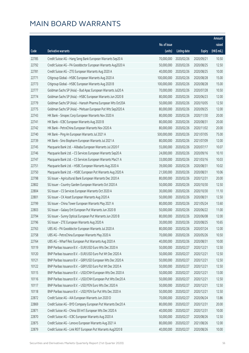|       |                                                              |              |                       |               | Amount      |
|-------|--------------------------------------------------------------|--------------|-----------------------|---------------|-------------|
|       |                                                              | No. of issue |                       |               | raised      |
| Code  | Derivative warrants                                          | (units)      | <b>Listing date</b>   | <b>Expiry</b> | (HK\$ mil.) |
| 22785 | Credit Suisse AG - Hang Seng Bank European Warrants Sep20 A  | 70,000,000   | 2020/02/26            | 2020/09/21    | 10.50       |
| 22792 | Credit Suisse AG - PA Gooddoctor European Warrants Aug2020 A | 50,000,000   | 2020/02/26            | 2020/08/25    | 12.50       |
| 22781 | Credit Suisse AG - ZTE European Warrants Aug 2020 A          | 40,000,000   | 2020/02/26            | 2020/08/25    | 10.00       |
| 22771 | Citigroup Global - HSBC European Warrants Aug 2020 A         | 100,000,000  | 2020/02/26            | 2020/08/28    | 15.00       |
| 22773 | Citigroup Global - HSBC European Warrants Aug 2020 B         | 100,000,000  | 2020/02/26            | 2020/08/28    | 15.00       |
| 22777 | Goldman Sachs SP (Asia) - Bud Apac European Warrants Jul20 A | 70,000,000   | 2020/02/26            | 2020/07/28    | 10.50       |
| 22774 | Goldman Sachs SP (Asia) - HSBC European Warrants Jun 2020 B  | 80,000,000   | 2020/02/26            | 2020/06/23    | 12.00       |
| 22779 | Goldman Sachs SP (Asia) - Hansoh Pharma European Wts Oct20A  | 50,000,000   | 2020/02/26            | 2020/10/05    | 12.50       |
| 22775 | Goldman Sachs SP (Asia) - Meituan European Put Wts Sep2020 A | 80,000,000   | 2020/02/26            | 2020/09/25    | 12.00       |
| 22743 | HK Bank - Sinopec Corp European Warrants Nov 2020 A          | 80,000,000   | 2020/02/26            | 2020/11/30    | 20.00       |
| 22741 | HK Bank - ICBC European Warrants Aug 2020 B                  | 80,000,000   | 2020/02/26            | 2020/08/31    | 20.00       |
| 22742 | HK Bank - PetroChina European Warrants Nov 2020 A            | 80,000,000   | 2020/02/26            | 2020/11/02    | 20.00       |
| 22740 | HK Bank - Ping An European Warrants Jul 2021 A               | 500,000,000  | 2020/02/26            | 2021/07/05    | 75.00       |
| 22739 | HK Bank - Sino Biopharm European Warrants Jul 2021 A         | 80,000,000   | 2020/02/26            | 2021/07/09    | 12.00       |
| 22745 | Macquarie Bank Ltd. - Alibaba European Warrants Jul 2020 F   | 55,000,000   | 2020/02/26            | 2020/07/17    | 10.07       |
| 22746 | Macquarie Bank Ltd. - CS Services European Warrants Sep20 A  | 24,000,000   | 2020/02/26            | 2020/09/16    | 10.10       |
| 22747 | Macquarie Bank Ltd. - CS Services European Warrants Mar21 A  | 33,000,000   | 2020/02/26            | 2021/03/16    | 10.03       |
| 22751 | Macquarie Bank Ltd. - HSBC European Warrants Aug 2020 A      | 39,000,000   | 2020/02/26            | 2020/08/31    | 10.02       |
| 22750 | Macquarie Bank Ltd. - HSBC European Put Warrants Aug 2020 A  | 21,500,000   | 2020/02/26            | 2020/08/31    | 10.06       |
| 22798 | SG Issuer - Agricultural Bank European Warrants Dec 2020 A   | 80,000,000   | 2020/02/26            | 2020/12/31    | 20.00       |
| 22802 | SG Issuer - Country Garden European Warrants Oct 2020 A      | 50,000,000   | 2020/02/26            | 2020/10/30    | 12.50       |
| 22804 | SG Issuer - CS Services European Warrants Oct 2020 A         | 30,000,000   | 2020/02/26            | 2020/10/30    | 11.10       |
| 22801 | SG Issuer - CK Asset European Warrants Aug 2020 A            | 50,000,000   | 2020/02/26            | 2020/08/31    | 12.50       |
| 22799 | SG Issuer - China Tower European Warrants May 2021 A         | 80,000,000   | 2020/02/26            | 2021/05/24    | 13.60       |
| 22803 | SG Issuer - Galaxy Ent European Put Warrants Jun 2020 B      | 50,000,000   | 2020/02/26            | 2020/06/22    | 11.00       |
| 22794 | SG Issuer - Sunny Optical European Put Warrants Jun 2020 B   | 80,000,000   | 2020/02/26            | 2020/06/08    | 12.00       |
| 22796 | SG Issuer - ZTE European Warrants Aug 2020 A                 |              | 30,000,000 2020/02/26 | 2020/08/25    | 10.65       |
| 22763 | UBS AG - PA Gooddoctor European Warrants Jul 2020 A          | 80,000,000   | 2020/02/26            | 2020/07/24    | 12.00       |
| 22758 | UBS AG - PetroChina European Warrants May 2020 A             | 70,000,000   | 2020/02/26            | 2020/05/26    | 10.50       |
| 22764 | UBS AG - Wharf Reic European Put Warrants Aug 2020 A         | 40,000,000   | 2020/02/26            | 2020/08/31    | 10.00       |
| 10119 | BNP Paribas Issuance B.V. - EUR/USD Euro Wts Dec 2020 A      | 50,000,000   | 2020/02/27            | 2020/12/21    | 12.50       |
| 10120 | BNP Paribas Issuance B.V. - EUR/USD Euro Put Wt Dec 2020 A   | 50,000,000   | 2020/02/27            | 2020/12/21    | 12.50       |
| 10121 | BNP Paribas Issuance B.V. - GBP/USD European Wts Dec 2020 A  | 50,000,000   | 2020/02/27            | 2020/12/21    | 12.50       |
| 10122 | BNP Paribas Issuance B.V. - GBP/USD Euro Put Wt Dec 2020 A   | 50,000,000   | 2020/02/27            | 2020/12/21    | 12.50       |
| 10115 | BNP Paribas Issuance B.V. - USD/CNH European Wts Dec 2020 A  | 50,000,000   | 2020/02/27            | 2020/12/21    | 13.00       |
| 10116 | BNP Paribas Issuance B.V. - USD/CNH European Put Wts Dec20 A | 50,000,000   | 2020/02/27            | 2020/12/21    | 12.50       |
| 10117 | BNP Paribas Issuance B.V. - USD/YEN Euro Wts Dec 2020 A      | 50,000,000   | 2020/02/27            | 2020/12/21    | 12.50       |
| 10118 | BNP Paribas Issuance B.V. - USD/YEN Eur Put Wts Dec 2020 A   | 50,000,000   | 2020/02/27            | 2020/12/21    | 12.50       |
| 22872 | Credit Suisse AG - AIA European Warrants Jun 2020 D          | 70,000,000   | 2020/02/27            | 2020/06/24    | 13.86       |
| 22869 | Credit Suisse AG - BYD Company European Put Warrants Dec20 A | 80,000,000   | 2020/02/27            | 2020/12/31    | 20.00       |
| 22871 | Credit Suisse AG - China EB Int'l European Wts Dec 2020 A    | 40,000,000   | 2020/02/27            | 2020/12/31    | 10.00       |
| 22870 | Credit Suisse AG - ICBC European Warrants Aug 2020 A         | 50,000,000   | 2020/02/27            | 2020/08/26    | 12.50       |
| 22875 | Credit Suisse AG - Lenovo European Warrants Aug 2021 A       | 80,000,000   | 2020/02/27            | 2021/08/26    | 12.00       |
| 22879 | Credit Suisse AG - Link REIT European Put Warrants Aug2020 B | 40,000,000   | 2020/02/27            | 2020/08/26    | 10.00       |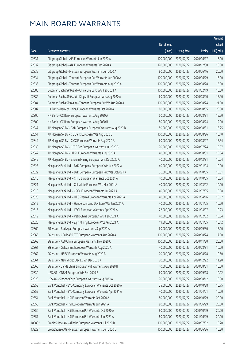|        |                                                              |              |                       |               | Amount      |
|--------|--------------------------------------------------------------|--------------|-----------------------|---------------|-------------|
|        |                                                              | No. of issue |                       |               | raised      |
| Code   | <b>Derivative warrants</b>                                   | (units)      | <b>Listing date</b>   | <b>Expiry</b> | (HK\$ mil.) |
| 22831  | Citigroup Global - AIA European Warrants Jun 2020 A          | 100,000,000  | 2020/02/27            | 2020/06/17    | 15.00       |
| 22832  | Citigroup Global - AIA European Warrants Dec 2020 A          | 120,000,000  | 2020/02/27            | 2020/12/30    | 18.00       |
| 22835  | Citigroup Global - Meituan European Warrants Jun 2020 A      | 80,000,000   | 2020/02/27            | 2020/06/16    | 20.00       |
| 22834  | Citigroup Global - Tencent European Put Warrants Jun 2020 A  | 100,000,000  | 2020/02/27            | 2020/06/29    | 15.00       |
| 22833  | Citigroup Global - Tencent European Put Warrants Aug 2020 A  | 100,000,000  | 2020/02/27            | 2020/08/28    | 15.00       |
| 22880  | Goldman Sachs SP (Asia) - China Life Euro Wts Feb 2021 A     | 100,000,000  | 2020/02/27            | 2021/02/19    | 15.00       |
| 22882  | Goldman Sachs SP (Asia) - Kingsoft European Wts Aug 2020 A   | 60,000,000   | 2020/02/27            | 2020/08/20    | 15.90       |
| 22884  | Goldman Sachs SP (Asia) - Tencent European Put Wt Aug 2020 A | 100,000,000  | 2020/02/27            | 2020/08/24    | 21.00       |
| 22807  | HK Bank - Bank of China European Warrants Oct 2020 A         | 80,000,000   | 2020/02/27            | 2020/10/05    | 20.00       |
| 22806  | HK Bank - CC Bank European Warrants Aug 2020 A               | 50,000,000   | 2020/02/27            | 2020/08/31    | 15.50       |
| 22809  | HK Bank - CC Bank European Warrants Aug 2020 B               | 80,000,000   | 2020/02/27            | 2020/08/24    | 12.00       |
| 22847  | J P Morgan SP BV - BYD Company European Warrants Aug 2020 B  | 50,000,000   | 2020/02/27            | 2020/08/31    | 13.25       |
| 22851  | J P Morgan SP BV - CC Bank European Wts Aug 2020 C           | 100,000,000  | 2020/02/27            | 2020/08/26    | 15.10       |
| 22849  | J P Morgan SP BV - CICC European Warrants Aug 2020 A         | 60,000,000   | 2020/02/27            | 2020/08/27    | 15.54       |
| 22838  | J P Morgan SP BV - CITIC Sec European Warrants Jul 2020 B    | 70,000,000   | 2020/02/27            | 2020/07/24    | 10.57       |
| 22842  | J P Morgan SP BV - HTSC European Warrants Aug 2020 A         | 40,000,000   | 2020/02/27            | 2020/08/31    | 10.04       |
| 22845  | J P Morgan SP BV - Zhaojin Mining European Wts Dec 2020 A    | 40,000,000   | 2020/02/27            | 2020/12/31    | 10.04       |
| 22823  | Macquarie Bank Ltd. - BYD Company European Wts Jan 2022 A    | 40,000,000   | 2020/02/27            | 2022/01/04    | 10.00       |
| 22822  | Macquarie Bank Ltd. - BYD Company European Put Wts Oct2021 A | 36,000,000   | 2020/02/27            | 2021/10/05    | 10.01       |
| 22810  | Macquarie Bank Ltd. - CITIC European Warrants Oct 2021 A     | 40,000,000   | 2020/02/27            | 2021/10/05    | 10.04       |
| 22821  | Macquarie Bank Ltd. - China Life European Wts Mar 2021 A     | 40,000,000   | 2020/02/27            | 2021/03/02    | 10.00       |
| 22818  | Macquarie Bank Ltd. - CRCC European Warrants Jul 2021 A      | 40,000,000   | 2020/02/27            | 2021/07/05    | 10.08       |
| 22828  | Macquarie Bank Ltd. - HEC Pharm European Warrants Apr 2021 A | 40,000,000   | 2020/02/27            | 2021/04/16    | 10.12       |
| 22812  | Macquarie Bank Ltd. - Henderson Land Dev Euro Wts Jan 2021 A | 40,000,000   | 2020/02/27            | 2021/01/05    | 10.20       |
| 22815  | Macquarie Bank Ltd. - KECL European Warrants Apr 2021 A      | 22,000,000   | 2020/02/27            | 2021/04/07    | 10.23       |
| 22819  | Macquarie Bank Ltd. - PetroChina European Wts Feb 2021 A     | 40,000,000   | 2020/02/27            | 2021/02/02    | 10.04       |
| 22825  | Macquarie Bank Ltd. - Zijin Mining European Wts Jan 2021 A   |              | 19,500,000 2020/02/27 | 2021/01/05    | 10.12       |
| 22860  | SG Issuer - Bud Apac European Warrants Sep 2020 A            | 60,000,000   | 2020/02/27            | 2020/09/30    | 15.00       |
| 22866  | SG Issuer - CSOP A50 ETF European Warrants Aug 2020 A        | 100,000,000  | 2020/02/27            | 2020/08/24    | 17.00       |
| 22868  | SG Issuer - A50 China European Warrants Nov 2020 C           | 100,000,000  | 2020/02/27            | 2020/11/30    | 25.00       |
| 22861  | SG Issuer - Galaxy Ent European Warrants Aug 2020 A          | 40,000,000   | 2020/02/27            | 2020/08/31    | 16.00       |
| 22862  | SG Issuer - HSBC European Warrants Aug 2020 B                | 70,000,000   | 2020/02/27            | 2020/08/28    | 10.50       |
| 22864  | SG Issuer - New World Dev Eu Wt Dec 2020 A                   | 70,000,000   | 2020/02/27            | 2020/12/22    | 11.20       |
| 22865  | SG Issuer - Sands China European Put Warrants Aug 2020 B     | 40,000,000   | 2020/02/27            | 2020/08/31    | 10.00       |
| 22830  | UBS AG - CNBM European Wts Sep 2020 B                        | 60,000,000   | 2020/02/27            | 2020/09/18    | 10.02       |
| 22829  | UBS AG - Sinopec Corp European Warrants Aug 2020 A           | 70,000,000   | 2020/02/27            | 2020/08/12    | 10.50       |
| 22858  | Bank Vontobel - BYD Company European Warrants Oct 2020 A     | 25,000,000   | 2020/02/27            | 2020/10/28    | 10.75       |
| 22859  | Bank Vontobel - BYD Company European Warrants Apr 2021 A     | 40,000,000   | 2020/02/27            | 2021/04/01    | 10.00       |
| 22854  | Bank Vontobel - HSI European Warrants Oct 2020 A             | 80,000,000   | 2020/02/27            | 2020/10/29    | 20.00       |
| 22855  | Bank Vontobel - HSI European Warrants Jun 2021 A             | 80,000,000   | 2020/02/27            | 2021/06/29    | 20.00       |
| 22856  | Bank Vontobel - HSI European Put Warrants Oct 2020 A         | 80,000,000   | 2020/02/27            | 2020/10/29    | 20.00       |
| 22857  | Bank Vontobel - HSI European Put Warrants Jun 2021 A         | 80,000,000   | 2020/02/27            | 2021/06/29    | 20.00       |
| 18088# | Credit Suisse AG - Alibaba European Warrants Jul 2020 B      | 100,000,000  | 2020/02/27            | 2020/07/02    | 10.20       |
| 13229# | Credit Suisse AG - Meituan European Warrants Jun 2020 D      | 100,000,000  | 2020/02/27            | 2020/06/26    | 10.20       |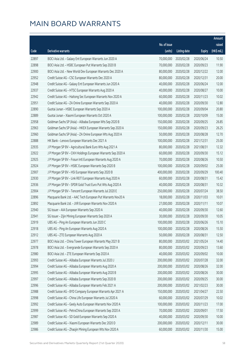|       |                                                              |                        |                     |               | Amount      |
|-------|--------------------------------------------------------------|------------------------|---------------------|---------------|-------------|
|       |                                                              | No. of issue           |                     |               | raised      |
| Code  | <b>Derivative warrants</b>                                   | (units)                | <b>Listing date</b> | <b>Expiry</b> | (HK\$ mil.) |
| 22897 | BOCI Asia Ltd. - Galaxy Ent European Warrants Jun 2020 A     | 70,000,000             | 2020/02/28          | 2020/06/24    | 10.50       |
| 22898 | BOCI Asia Ltd. - HSBC European Put Warrants Sep 2020 B       | 70,000,000             | 2020/02/28          | 2020/09/23    | 11.90       |
| 22900 | BOCI Asia Ltd. - New World Dev European Warrants Dec 2020 A  | 80,000,000             | 2020/02/28          | 2020/12/22    | 12.00       |
| 22952 | Credit Suisse AG - CSC European Warrants Dec 2020 A          | 80,000,000             | 2020/02/28          | 2020/12/31    | 20.00       |
| 22948 | Credit Suisse AG - Galaxy Ent European Warrants Jun 2020 A   | 40,000,000             | 2020/02/28          | 2020/06/24    | 12.00       |
| 22937 | Credit Suisse AG - HTSC European Warrants Aug 2020 A         | 40,000,000             | 2020/02/28          | 2020/08/27    | 10.00       |
| 22942 | Credit Suisse AG - Haitong Sec European Warrants Nov 2020 A  | 60,000,000             | 2020/02/28          | 2020/11/23    | 10.02       |
| 22951 | Credit Suisse AG - ZA Onine European Warrants Sep 2020 A     | 40,000,000             | 2020/02/28          | 2020/09/30    | 12.80       |
| 22890 | Guotai Junan - HSBC European Warrants Sep 2020 A             | 100,000,000            | 2020/02/28          | 2020/09/04    | 20.80       |
| 22889 | Guotai Junan - Xiaomi European Warrants Oct 2020 A           | 100,000,000            | 2020/02/28          | 2020/10/09    | 15.00       |
| 22958 | Goldman Sachs SP (Asia) - Alibaba European Wts Sep 2020 B    | 150,000,000            | 2020/02/28          | 2020/09/25    | 26.85       |
| 22963 | Goldman Sachs SP (Asia) - HKEX European Warrants Sep 2020 A  | 150,000,000            | 2020/02/28          | 2020/09/23    | 26.25       |
| 22960 | Goldman Sachs SP (Asia) - ZA Onine European Wts Aug 2020 A   | 50,000,000             | 2020/02/28          | 2020/08/28    | 12.70       |
| 22888 | HK Bank - Lenovo European Warrants Dec 2021 A                | 100,000,000            | 2020/02/28          | 2021/12/31    | 25.00       |
| 22935 | J P Morgan SP BV - Agricultural Bank Euro Wts Aug 2021 A     | 80,000,000             | 2020/02/28          | 2021/08/31    | 12.32       |
| 22922 | J P Morgan SP BV - CKH Holdings European Warrants Sep 2020 A | 60,000,000             | 2020/02/28          | 2020/09/30    | 15.12       |
| 22925 | J P Morgan SP BV - Fosun Intl European Warrants Aug 2020 A   | 70,000,000             | 2020/02/28          | 2020/08/26    | 10.50       |
| 22924 | J P Morgan SP BV - HSBC European Warrants Sep 2020 B         | 100,000,000            | 2020/02/28          | 2020/09/02    | 25.00       |
| 22907 | J P Morgan SP BV - HSI European Warrants Sep 2020 B          | 400,000,000            | 2020/02/28          | 2020/09/29    | 100.40      |
| 22930 | J P Morgan SP BV - Link REIT European Warrants Aug 2020 A    | 60,000,000             | 2020/02/28          | 2020/08/31    | 15.42       |
| 22936 | J P Morgan SP BV - SPDR Gold Trust Euro Put Wts Aug 2020 A   | 40,000,000             | 2020/02/28          | 2020/08/31    | 10.32       |
| 22904 | J P Morgan SP BV - Tencent European Warrants Jul 2020 E      | 250,000,000            | 2020/02/28          | 2020/07/24    | 38.50       |
| 22896 | Macquarie Bank Ltd. - AAC Tech European Put Warrants Nov20 A | 18,000,000             | 2020/02/28          | 2020/11/03    | 10.01       |
| 22892 | Macquarie Bank Ltd. - JXR European Warrants Nov 2020 A       | 27,000,000             | 2020/02/28          | 2020/11/11    | 10.07       |
| 22940 | SG Issuer - AIA European Warrants Sep 2020 A                 | 40,000,000             | 2020/02/28          | 2020/09/30    | 12.60       |
| 22941 | SG Issuer - Zijin Mining European Warrants Sep 2020 A        | 30,000,000             | 2020/02/28          | 2020/09/30    | 10.05       |
| 22919 | UBS AG – Ping An European Warrants Jun 2020 C                | 100,000,000 2020/02/28 |                     | 2020/06/26    | 15.10       |
| 22918 | UBS AG - Ping An European Warrants Aug 2020 A                | 100,000,000            | 2020/02/28          | 2020/08/26    | 15.50       |
| 22912 | UBS AG - ZTE European Warrants Aug 2020 A                    | 50,000,000             | 2020/02/28          | 2020/08/31    | 12.50       |
| 22977 | BOCI Asia Ltd. - China Tower European Warrants May 2021 B    | 80,000,000             | 2020/03/02          | 2021/05/24    | 14.40       |
| 22978 | BOCI Asia Ltd. - Evergrande European Warrants Sep 2020 A     | 80,000,000             | 2020/03/02          | 2020/09/23    | 13.60       |
| 22980 | BOCI Asia Ltd. - ZTE European Warrants Sep 2020 A            | 40,000,000             | 2020/03/02          | 2020/09/02    | 10.00       |
| 22993 | Credit Suisse AG - Alibaba European Warrants Jul 2020 J      | 200,000,000            | 2020/03/02          | 2020/07/28    | 32.00       |
| 22994 | Credit Suisse AG - Alibaba European Warrants Aug 2020 A      | 200,000,000            | 2020/03/02          | 2020/08/26    | 32.00       |
| 22995 | Credit Suisse AG - Alibaba European Warrants Aug 2020 B      | 200,000,000            | 2020/03/02          | 2020/08/26    | 30.00       |
| 22997 | Credit Suisse AG - Alibaba European Warrants Sep 2020 B      | 200,000,000            | 2020/03/02          | 2020/09/25    | 30.00       |
| 22996 | Credit Suisse AG - Alibaba European Warrants Feb 2021 A      | 200,000,000            | 2020/03/02          | 2021/02/23    | 30.00       |
| 22988 | Credit Suisse AG - BYD Company European Warrants Apr 2021 A  | 150,000,000            | 2020/03/02          | 2021/04/27    | 22.50       |
| 22998 | Credit Suisse AG - China Life European Warrants Jul 2020 A   | 60,000,000             | 2020/03/02          | 2020/07/29    | 10.02       |
| 22992 | Credit Suisse AG - Geely Auto European Warrants Nov 2020 A   | 100,000,000            | 2020/03/02          | 2020/11/23    | 17.00       |
| 22999 | Credit Suisse AG - PetroChina European Warrants Sep 2020 A   | 70,000,000             | 2020/03/02          | 2020/09/01    | 17.50       |
| 22987 | Credit Suisse AG - SD Gold European Warrants Sep 2020 A      | 40,000,000             | 2020/03/02          | 2020/09/30    | 10.00       |
| 22989 | Credit Suisse AG - Xiaomi European Warrants Dec 2020 D       | 200,000,000            | 2020/03/02          | 2020/12/11    | 30.00       |
| 22986 | Credit Suisse AG - Zhaojin Mining European Wts Nov 2020 A    | 60,000,000             | 2020/03/02          | 2020/11/30    | 15.00       |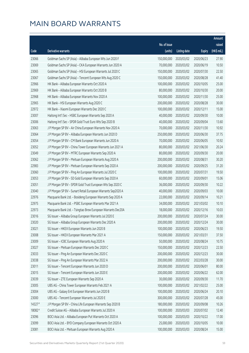|        |                                                              |                        |                     |               | Amount      |
|--------|--------------------------------------------------------------|------------------------|---------------------|---------------|-------------|
|        |                                                              | No. of issue           |                     |               | raised      |
| Code   | <b>Derivative warrants</b>                                   | (units)                | <b>Listing date</b> | <b>Expiry</b> | (HK\$ mil.) |
| 23066  | Goldman Sachs SP (Asia) - Alibaba European Wts Jun 2020 F    | 150,000,000            | 2020/03/02          | 2020/06/23    | 27.90       |
| 23069  | Goldman Sachs SP (Asia) - CKA European Warrants Jun 2020 A   | 70,000,000             | 2020/03/02          | 2020/06/19    | 10.50       |
| 23065  | Goldman Sachs SP (Asia) - HSI European Warrants Jul 2020 C   | 150,000,000            | 2020/03/02          | 2020/07/30    | 22.50       |
| 23067  | Goldman Sachs SP (Asia) - Tencent European Wts Aug 2020 C    | 150,000,000            | 2020/03/02          | 2020/08/28    | 41.40       |
| 22966  | HK Bank - Alibaba European Warrants Oct 2020 A               | 100,000,000            | 2020/03/02          | 2020/10/05    | 25.00       |
| 22969  | HK Bank - Alibaba European Warrants Oct 2020 B               | 80,000,000             | 2020/03/02          | 2020/10/30    | 20.00       |
| 22968  | HK Bank - Alibaba European Warrants Nov 2020 A               | 100,000,000            | 2020/03/02          | 2020/11/30    | 25.00       |
| 22965  | HK Bank - HSI European Warrants Aug 2020 C                   | 200,000,000            | 2020/03/02          | 2020/08/28    | 30.00       |
| 22972  | HK Bank - Xiaomi European Warrants Dec 2020 C                | 100,000,000            | 2020/03/02          | 2020/12/11    | 15.00       |
| 23007  | Haitong Int'l Sec - HSBC European Warrants Sep 2020 A        | 40,000,000             | 2020/03/02          | 2020/09/30    | 10.00       |
| 23006  | Haitong Int'l Sec - SPDR Gold Trust Euro Wts Sep 2020 B      | 40,000,000             | 2020/03/02          | 2020/09/04    | 13.60       |
| 23063  | J P Morgan SP BV - Air China European Warrants Nov 2020 A    | 70,000,000             | 2020/03/02          | 2020/11/30    | 10.92       |
| 23064  | J P Morgan SP BV - Alibaba European Warrants Jun 2020 D      | 250,000,000            | 2020/03/02          | 2020/06/30    | 37.75       |
| 23054  | J P Morgan SP BV - CM Bank European Warrants Jun 2020 A      | 70,000,000             | 2020/03/02          | 2020/06/05    | 10.92       |
| 23052  | J P Morgan SP BV - China Tower European Warrants Jun 2021 A  | 80,000,000             | 2020/03/02          | 2021/06/30    | 20.24       |
| 23049  | J P Morgan SP BV - MTRC European Warrants Sep 2020 A         | 80,000,000             | 2020/03/02          | 2020/09/30    | 20.00       |
| 23062  | J P Morgan SP BV - Meituan European Warrants Aug 2020 A      | 200,000,000            | 2020/03/02          | 2020/08/31    | 30.20       |
| 22983  | J P Morgan SP BV - Meituan European Warrants Sep 2020 A      | 200,000,000            | 2020/03/02          | 2020/09/25    | 31.20       |
| 23060  | J P Morgan SP BV - Ping An European Warrants Jul 2020 C      | 100,000,000            | 2020/03/02          | 2020/07/31    | 19.50       |
| 23053  | J P Morgan SP BV - SD Gold European Warrants Sep 2020 A      | 60,000,000             | 2020/03/02          | 2020/09/01    | 15.06       |
| 23051  | J P Morgan SP BV - SPDR Gold Trust European Wts Sep 2020 C   | 36,000,000             | 2020/03/02          | 2020/09/30    | 10.22       |
| 23040  | J P Morgan SP BV - Sunart Retail European Warrants Sep2020 A | 40,000,000             | 2020/03/02          | 2020/09/03    | 10.00       |
| 22976  | Macquarie Bank Ltd. - Bosideng European Warrants Sep 2020 A  | 22,000,000             | 2020/03/02          | 2020/09/14    | 10.21       |
| 22975  | Macquarie Bank Ltd. - PSBC European Warrants Mar 2021 A      | 34,000,000             | 2020/03/02          | 2021/03/02    | 10.10       |
| 22973  | Macquarie Bank Ltd. - Tsingtao Brew European Warrants Dec20A | 18,000,000             | 2020/03/02          | 2020/12/16    | 10.03       |
| 23016  | SG Issuer - Alibaba Group European Warrants Jul 2020 E       | 200,000,000            | 2020/03/02          | 2020/07/24    | 30.00       |
| 23020  | SG Issuer - Alibaba Group European Warrants Dec 2020 A       | 200,000,000 2020/03/02 |                     | 2020/12/24    | 30.00       |
| 23021  | SG Issuer - HKEX European Warrants Jun 2020 B                | 100,000,000            | 2020/03/02          | 2020/06/23    | 19.50       |
| 23008  | SG Issuer - HKEX European Warrants Mar 2021 A                | 150,000,000            | 2020/03/02          | 2021/03/31    | 37.50       |
| 23009  | SG Issuer - ICBC European Warrants Aug 2020 A                | 50,000,000             | 2020/03/02          | 2020/08/24    | 10.75       |
| 23027  | SG Issuer - Meituan European Warrants Dec 2020 C             | 150,000,000            | 2020/03/02          | 2020/12/23    | 22.50       |
| 23033  | SG Issuer - Ping An European Warrants Dec 2020 C             | 200,000,000            | 2020/03/02          | 2020/12/23    | 30.00       |
| 23038  | SG Issuer - Ping An European Warrants Mar 2022 A             | 200,000,000            | 2020/03/02          | 2022/03/28    | 30.00       |
| 23011  | SG Issuer - Tencent European Warrants Jun 2020 D             | 200,000,000            | 2020/03/02          | 2020/06/01    | 80.00       |
| 23015  | SG Issuer - Tencent European Warrants Jun 2020 E             | 200,000,000            | 2020/03/02          | 2020/06/22    | 62.00       |
| 23039  | SG Issuer - ZTE European Warrants Sep 2020 A                 | 30,000,000             | 2020/03/02          | 2020/09/30    | 11.70       |
| 23005  | UBS AG - China Tower European Warrants Feb 2021 A            | 100,000,000            | 2020/03/02          | 2021/02/22    | 25.00       |
| 23004  | UBS AG - Galaxy Ent European Warrants Jun 2020 B             | 100,000,000            | 2020/03/02          | 2020/06/24    | 20.10       |
| 23000  | UBS AG - Tencent European Warrants Jul 2020 E                | 300,000,000            | 2020/03/02          | 2020/07/28    | 45.00       |
| 14327# | J P Morgan SP BV - China Life European Warrants Sep 2020 B   | 180,000,000            | 2020/03/02          | 2020/09/08    | 10.26       |
| 18082# | Credit Suisse AG - Alibaba European Warrants Jul 2020 A      | 100,000,000            | 2020/03/03          | 2020/07/02    | 12.40       |
| 23096  | BOCI Asia Ltd. - Alibaba European Put Warrants Oct 2020 A    | 100,000,000            | 2020/03/03          | 2020/10/22    | 17.00       |
| 23099  | BOCI Asia Ltd. - BYD Company European Warrants Oct 2020 A    | 25,000,000             | 2020/03/03          | 2020/10/05    | 10.00       |
| 23081  | BOCI Asia Ltd. - Meituan European Warrants Aug 2020 A        | 100,000,000            | 2020/03/03          | 2020/08/24    | 15.00       |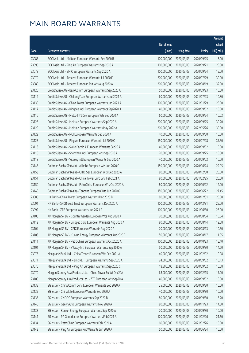|       |                                                              |              |                       |               | Amount      |
|-------|--------------------------------------------------------------|--------------|-----------------------|---------------|-------------|
|       |                                                              | No. of issue |                       |               | raised      |
| Code  | Derivative warrants                                          | (units)      | <b>Listing date</b>   | <b>Expiry</b> | (HK\$ mil.) |
| 23083 | BOCI Asia Ltd. - Meituan European Warrants Sep 2020 B        | 100,000,000  | 2020/03/03            | 2020/09/25    | 15.00       |
| 23095 | BOCI Asia Ltd. - Ping An European Warrants Sep 2020 A        | 100,000,000  | 2020/03/03            | 2020/09/21    | 20.00       |
| 23078 | BOCI Asia Ltd. - SMIC European Warrants Sep 2020 A           | 100,000,000  | 2020/03/03            | 2020/09/24    | 15.00       |
| 23079 | BOCI Asia Ltd. - Tencent European Warrants Jul 2020 F        | 200,000,000  | 2020/03/03            | 2020/07/29    | 30.00       |
| 23080 | BOCI Asia Ltd. - Tencent European Put Wts Aug 2020 A         | 200,000,000  | 2020/03/03            | 2020/08/19    | 32.00       |
| 23120 | Credit Suisse AG - BankComm European Warrants Sep 2020 A     | 50,000,000   | 2020/03/03            | 2020/09/23    | 10.00       |
| 23119 | Credit Suisse AG - Ch LongYuan European Warrants Jul 2021 A  | 60,000,000   | 2020/03/03            | 2021/07/23    | 10.80       |
| 23130 | Credit Suisse AG - China Tower European Warrants Jan 2021 A  | 100,000,000  | 2020/03/03            | 2021/01/29    | 25.00       |
| 23117 | Credit Suisse AG - Kingdee Int'l European Warrants Sep2020 A | 40,000,000   | 2020/03/03            | 2020/09/02    | 10.00       |
| 23116 | Credit Suisse AG - Melco Int'l Dev European Wts Sep 2020 A   | 60,000,000   | 2020/03/03            | 2020/09/24    | 10.02       |
| 23128 | Credit Suisse AG - Meituan European Warrants Sep 2020 A      | 200,000,000  | 2020/03/03            | 2020/09/25    | 30.20       |
| 23129 | Credit Suisse AG - Meituan European Warrants May 2022 A      | 200,000,000  | 2020/03/03            | 2022/05/26    | 30.00       |
| 23122 | Credit Suisse AG - NCI European Warrants Sep 2020 A          | 40,000,000   | 2020/03/03            | 2020/09/30    | 10.00       |
| 23123 | Credit Suisse AG - Ping An European Warrants Jul 2020 C      | 150,000,000  | 2020/03/03            | 2020/07/28    | 37.50       |
| 23113 | Credit Suisse AG - Swire Pacific A European Warrants Sep20 A | 40,000,000   | 2020/03/03            | 2020/09/02    | 10.00       |
| 23115 | Credit Suisse AG - Shenzhen Int'l European Wts Sep 2020 A    | 70,000,000   | 2020/03/03            | 2020/09/25    | 10.50       |
| 23118 | Credit Suisse AG - Vitasoy Intl European Warrants Sep 2020 A | 40,000,000   | 2020/03/03            | 2020/09/02    | 10.00       |
| 23145 | Goldman Sachs SP (Asia) - Alibaba European Wts Jun 2020 G    | 150,000,000  | 2020/03/03            | 2020/06/24    | 22.95       |
| 23153 | Goldman Sachs SP (Asia) - CITIC Sec European Wts Dec 2020 A  | 80,000,000   | 2020/03/03            | 2020/12/30    | 20.00       |
| 23151 | Goldman Sachs SP (Asia) - China Tower Euro Wts Feb 2021 A    | 80,000,000   | 2020/03/03            | 2021/02/25    | 20.00       |
| 23150 | Goldman Sachs SP (Asia) - PetroChina European Wts Oct 2020 A | 80,000,000   | 2020/03/03            | 2020/10/22    | 12.00       |
| 23149 | Goldman Sachs SP (Asia) - Tencent European Wts Jun 2020 G    | 150,000,000  | 2020/03/03            | 2020/06/22    | 27.45       |
| 23085 | HK Bank - China Tower European Warrants Dec 2020 B           | 80,000,000   | 2020/03/03            | 2020/12/31    | 20.00       |
| 23091 | HK Bank - SPDR Gold Trust European Warrants Dec 2020 A       | 100,000,000  | 2020/03/03            | 2020/12/31    | 25.00       |
| 23092 | HK Bank - ZTE European Warrants Jun 2021 A                   | 100,000,000  | 2020/03/03            | 2021/06/30    | 25.00       |
| 23106 | J P Morgan SP BV - Country Garden European Wts Aug 2020 A    | 70,000,000   | 2020/03/03            | 2020/08/04    | 10.64       |
| 23112 | J P Morgan SP BV - Sinopec Corp European Warrants Aug 2020 A |              | 80,000,000 2020/03/03 | 2020/08/14    | 12.08       |
| 23104 | J P Morgan SP BV - CPIC European Warrants Aug 2020 A         | 70,000,000   | 2020/03/03            | 2020/08/13    | 10.50       |
| 23103 | J P Morgan SP BV - Kunlun Energy European Warrants Aug2020 B | 50,000,000   | 2020/03/03            | 2020/08/17    | 11.05       |
| 23111 | J P Morgan SP BV - PetroChina European Warrants Oct 2020 A   | 100,000,000  | 2020/03/03            | 2020/10/23    | 15.10       |
| 23101 | J P Morgan SP BV - Vitasoy Intl European Warrants Sep 2020 A | 50,000,000   | 2020/03/03            | 2020/09/30    | 14.60       |
| 23075 | Macquarie Bank Ltd. - China Tower European Wts Feb 2021 A    | 40,000,000   | 2020/03/03            | 2021/02/02    | 10.08       |
| 23071 | Macquarie Bank Ltd. - Link REIT European Warrants Sep 2020 A | 24,000,000   | 2020/03/03            | 2020/09/02    | 10.13       |
| 23076 | Macquarie Bank Ltd. - Ping An European Warrants Sep 2020 C   | 18,500,000   | 2020/03/03            | 2020/09/02    | 10.08       |
| 23070 | Morgan Stanley Asia Products Ltd. - China Tower Eu Wt Dec20A | 68,000,000   | 2020/03/03            | 2020/12/15    | 17.00       |
| 23100 | Morgan Stanley Asia Products Ltd. - ZTE European Wts Sep20 A | 40,000,000   | 2020/03/03            | 2020/09/02    | 10.00       |
| 23138 | SG Issuer - China Comm Cons European Warrants Sep 2020 A     | 25,000,000   | 2020/03/03            | 2020/09/30    | 10.00       |
| 23139 | SG Issuer - China Life European Warrants Sep 2020 A          | 40,000,000   | 2020/03/03            | 2020/09/30    | 10.00       |
| 23135 | SG Issuer - CNOOC European Warrants Sep 2020 B               | 80,000,000   | 2020/03/03            | 2020/09/30    | 15.20       |
| 23140 | SG Issuer - Geely Auto European Warrants Nov 2020 A          | 80,000,000   | 2020/03/03            | 2020/11/23    | 14.80       |
| 23133 | SG Issuer - Kunlun Energy European Warrants Sep 2020 A       | 20,000,000   | 2020/03/03            | 2020/09/30    | 10.00       |
| 23141 | SG Issuer - PA Gooddoctor European Warrants Feb 2021 A       | 120,000,000  | 2020/03/03            | 2021/02/26    | 21.60       |
| 23134 | SG Issuer - PetroChina European Warrants Feb 2021 A          | 60,000,000   | 2020/03/03            | 2021/02/26    | 15.00       |
| 23142 | SG Issuer - Ping An European Put Warrants Jun 2020 A         | 50,000,000   | 2020/03/03            | 2020/06/24    | 10.00       |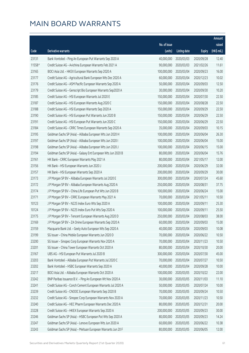|        |                                                              |              |                       |               | Amount      |
|--------|--------------------------------------------------------------|--------------|-----------------------|---------------|-------------|
|        |                                                              | No. of issue |                       |               | raised      |
| Code   | Derivative warrants                                          | (units)      | <b>Listing date</b>   | <b>Expiry</b> | (HK\$ mil.) |
| 23131  | Bank Vontobel - Ping An European Put Warrants Sep 2020 A     | 40,000,000   | 2020/03/03            | 2020/09/28    | 12.40       |
| 11558# | Credit Suisse AG - Avichina European Warrants Feb 2021 A     | 90,000,000   | 2020/03/03            | 2021/02/26    | 11.61       |
| 23165  | BOCI Asia Ltd. - HKEX European Warrants Sep 2020 A           | 100,000,000  | 2020/03/04            | 2020/09/23    | 16.00       |
| 23177  | Credit Suisse AG - Agricultural Bank European Wts Dec 2020 A | 60,000,000   | 2020/03/04            | 2020/12/23    | 10.02       |
| 23176  | Credit Suisse AG - ASM Pacific European Warrants Sep 2020 A  | 50,000,000   | 2020/03/04            | 2020/09/03    | 12.50       |
| 23179  | Credit Suisse AG - Genscript Bio European Warrants Sep2020 A | 30,000,000   | 2020/03/04            | 2020/09/30    | 10.20       |
| 23185  | Credit Suisse AG - HSI European Warrants Jul 2020 E          | 150,000,000  | 2020/03/04            | 2020/07/30    | 22.50       |
| 23187  | Credit Suisse AG - HSI European Warrants Aug 2020 C          | 150,000,000  | 2020/03/04            | 2020/08/28    | 22.50       |
| 23188  | Credit Suisse AG - HSI European Warrants Sep 2020 A          | 150,000,000  | 2020/03/04            | 2020/09/29    | 22.50       |
| 23190  | Credit Suisse AG - HSI European Put Warrants Jun 2020 B      | 150,000,000  | 2020/03/04            | 2020/06/29    | 22.50       |
| 23191  | Credit Suisse AG - HSI European Put Warrants Jun 2020 C      | 150,000,000  | 2020/03/04            | 2020/06/29    | 22.50       |
| 23184  | Credit Suisse AG - CRRC Times European Warrants Sep 2020 A   | 35,000,000   | 2020/03/04            | 2020/09/03    | 10.15       |
| 23195  | Goldman Sachs SP (Asia) - Alibaba European Wts Jun 2020 H    | 100,000,000  | 2020/03/04            | 2020/06/04    | 26.30       |
| 23197  | Goldman Sachs SP (Asia) - Alibaba European Wts Jun 2020 I    | 100,000,000  | 2020/03/04            | 2020/06/04    | 15.00       |
| 23198  | Goldman Sachs SP (Asia) - Alibaba European Wts Jun 2020 J    | 100,000,000  | 2020/03/04            | 2020/06/15    | 15.00       |
| 23194  | Goldman Sachs SP (Asia) - Galaxy Ent European Wts Jun 2020 B | 80,000,000   | 2020/03/04            | 2020/06/04    | 15.76       |
| 23161  | HK Bank - CRRC European Warrants May 2021 A                  | 80,000,000   | 2020/03/04            | 2021/05/17    | 12.00       |
| 23156  | HK Bank - HSI European Warrants Jun 2020 J                   | 200,000,000  | 2020/03/04            | 2020/06/29    | 32.00       |
| 23157  | HK Bank - HSI European Warrants Sep 2020 A                   | 200,000,000  | 2020/03/04            | 2020/09/29    | 30.00       |
| 23173  | J P Morgan SP BV - Alibaba European Warrants Jul 2020 E      | 300,000,000  | 2020/03/04            | 2020/07/24    | 45.60       |
| 23172  | J P Morgan SP BV - Alibaba European Warrants Aug 2020 A      | 250,000,000  | 2020/03/04            | 2020/08/31    | 37.75       |
| 23174  | J P Morgan SP BV - China Life European Put Wts Jun 2020 B    | 100,000,000  | 2020/03/04            | 2020/06/24    | 15.00       |
| 23171  | J P Morgan SP BV - CRRC European Warrants May 2021 A         | 70,000,000   | 2020/03/04            | 2021/05/11    | 10.50       |
| 10123  | J P Morgan SP BV - N225 Index Euro Wts Sep 2020 A            | 100,000,000  | 2020/03/04            | 2020/09/11    | 25.30       |
| 10124  | J P Morgan SP BV - N225 Index Euro Put Wts Sep 2020 A        | 100,000,000  | 2020/03/04            | 2020/09/11    | 25.50       |
| 23175  | J P Morgan SP BV - Tencent European Warrants Aug 2020 D      | 250,000,000  | 2020/03/04            | 2020/08/03    | 38.00       |
| 23169  | J P Morgan SP BV - ZA Onine European Warrants Sep 2020 A     |              | 60,000,000 2020/03/04 | 2020/09/03    | 15.00       |
| 23159  | Macquarie Bank Ltd. - Geely Auto European Wts Sep 2020 A     | 40,000,000   | 2020/03/04            | 2020/09/03    | 10.08       |
| 23199  | SG Issuer - China Mobile European Warrants Jun 2020 D        | 70,000,000   | 2020/03/04            | 2020/06/22    | 10.50       |
| 23200  | SG Issuer - Sinopec Corp European Warrants Nov 2020 A        | 70,000,000   | 2020/03/04            | 2020/11/23    | 10.50       |
| 23201  | SG Issuer - China Tower European Warrants Oct 2020 A         | 80,000,000   | 2020/03/04            | 2020/10/30    | 20.00       |
| 23167  | UBS AG - HSI European Put Warrants Jul 2020 B                | 300,000,000  | 2020/03/04            | 2020/07/30    | 45.00       |
| 23203  | Bank Vontobel - Alibaba European Put Warrants Jul 2020 C     | 70,000,000   | 2020/03/04            | 2020/07/27    | 10.50       |
| 23202  | Bank Vontobel - HSBC European Warrants Sep 2020 A            | 40,000,000   | 2020/03/04            | 2020/09/28    | 10.00       |
| 23217  | BOCI Asia Ltd. - Alibaba European Warrants Oct 2020 A        | 100,000,000  | 2020/03/05            | 2020/10/22    | 22.00       |
| 23242  | BNP Paribas Issuance B.V. - Ping An European Wt Nov 2020 A   | 30,000,000   | 2020/03/05            | 2020/11/03    | 11.10       |
| 23241  | Credit Suisse AG - Conch Cement European Warrants Jul 2020 A | 50,000,000   | 2020/03/05            | 2020/07/24    | 10.00       |
| 23239  | Credit Suisse AG - CNOOC European Warrants Sep 2020 B        | 70,000,000   | 2020/03/05            | 2020/09/24    | 10.50       |
| 23232  | Credit Suisse AG - Sinopec Corp European Warrants Nov 2020 A | 70,000,000   | 2020/03/05            | 2020/11/23    | 10.50       |
| 23240  | Credit Suisse AG - HEC Pharm European Warrants Dec 2020 A    | 80,000,000   | 2020/03/05            | 2020/12/31    | 20.00       |
| 23228  | Credit Suisse AG - HKEX European Warrants Sep 2020 A         | 200,000,000  | 2020/03/05            | 2020/09/23    | 30.00       |
| 23246  | Goldman Sachs SP (Asia) - HSBC European Put Wts Sep 2020 A   | 80,000,000   | 2020/03/05            | 2020/09/23    | 14.24       |
| 23247  | Goldman Sachs SP (Asia) - Lenovo European Wts Jun 2020 A     | 60,000,000   | 2020/03/05            | 2020/06/22    | 10.38       |
| 23243  | Goldman Sachs SP (Asia) - Meituan European Warrants Jun 20 F | 80,000,000   | 2020/03/05            | 2020/06/05    | 12.00       |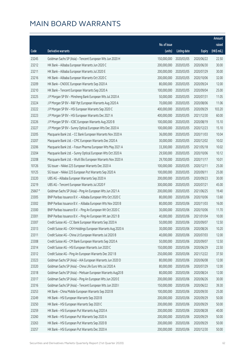|         |                                                              |              |                       |               | Amount      |
|---------|--------------------------------------------------------------|--------------|-----------------------|---------------|-------------|
|         |                                                              | No. of issue |                       |               | raised      |
| Code    | Derivative warrants                                          | (units)      | <b>Listing date</b>   | <b>Expiry</b> | (HK\$ mil.) |
| 23245   | Goldman Sachs SP (Asia) - Tencent European Wts Jun 2020 H    | 150,000,000  | 2020/03/05            | 2020/06/22    | 22.50       |
| 23212   | HK Bank - Alibaba European Warrants Jun 2020 C               | 200,000,000  | 2020/03/05            | 2020/06/30    | 30.00       |
| 23211   | HK Bank - Alibaba European Warrants Jul 2020 E               | 200,000,000  | 2020/03/05            | 2020/07/29    | 30.00       |
| 23216   | HK Bank - Alibaba European Warrants Oct 2020 C               | 200,000,000  | 2020/03/05            | 2020/10/06    | 32.00       |
| 23209   | HK Bank - CNOOC European Warrants Sep 2020 A                 | 80,000,000   | 2020/03/05            | 2020/09/24    | 12.00       |
| 23210   | HK Bank - Tencent European Warrants Sep 2020 A               | 100,000,000  | 2020/03/05            | 2020/09/04    | 25.00       |
| 23225   | J P Morgan SP BV - Minsheng Bank European Wts Jul 2020 A     | 50,000,000   | 2020/03/05            | 2020/07/31    | 11.05       |
| 23224   | J P Morgan SP BV - R&F Ppt European Warrants Aug 2020 A      | 70,000,000   | 2020/03/05            | 2020/08/06    | 11.06       |
| 23222   | J P Morgan SP BV - HSI European Warrants Sep 2020 C          | 400,000,000  | 2020/03/05            | 2020/09/29    | 103.20      |
| 23223   | J P Morgan SP BV - HSI European Warrants Dec 2021 A          | 400,000,000  | 2020/03/05            | 2021/12/30    | 60.00       |
| 23226   | J P Morgan SP BV - ICBC European Warrants Aug 2020 B         | 100,000,000  | 2020/03/05            | 2020/08/19    | 15.10       |
| 23227   | J P Morgan SP BV - Sunny Optical European Wts Dec 2020 A     | 100,000,000  | 2020/03/05            | 2020/12/23    | 15.10       |
| 23205   | Macquarie Bank Ltd. - CC Bank European Warrants Nov 2020 A   | 36,000,000   | 2020/03/05            | 2020/11/03    | 10.04       |
| 23207   | Macquarie Bank Ltd. - CPIC European Warrants Dec 2020 A      | 30,000,000   | 2020/03/05            | 2020/12/02    | 10.02       |
| 23206   | Macquarie Bank Ltd. - Fosun Pharma European Wts May 2021 A   | 33,300,000   | 2020/03/05            | 2021/05/18    | 10.02       |
| 23204   | Macquarie Bank Ltd. - Sunny Optical European Wts Oct 2020 A  | 29,500,000   | 2020/03/05            | 2020/10/06    | 10.12       |
| 23208   | Macquarie Bank Ltd. - WuXi Bio European Warrants Nov 2020 A  | 29,700,000   | 2020/03/05            | 2020/11/17    | 10.01       |
| 10126   | SG Issuer - Nikkei 225 European Warrants Dec 2020 A          | 100,000,000  | 2020/03/05            | 2020/12/11    | 25.00       |
| 10125   | SG Issuer - Nikkei 225 European Put Warrants Sep 2020 A      | 100,000,000  | 2020/03/05            | 2020/09/11    | 25.00       |
| 23220   | UBS AG - Alibaba European Warrants Sep 2020 A                | 200,000,000  | 2020/03/05            | 2020/09/23    | 30.00       |
| 23219   | UBS AG - Tencent European Warrants Jul 2020 F                | 300,000,000  | 2020/03/05            | 2020/07/21    | 45.00       |
| 25667 # | Goldman Sachs SP (Asia) - Ping An European Wts Jun 2021 A    | 200,000,000  | 2020/03/05            | 2021/06/25    | 19.40       |
| 23305   | BNP Paribas Issuance B.V. - Alibaba European Wts Oct 2020 C  | 80,000,000   | 2020/03/06            | 2020/10/06    | 13.60       |
| 23302   | BNP Paribas Issuance B.V. - Alibaba European Wts Nov 2020 B  | 80,000,000   | 2020/03/06            | 2020/11/03    | 16.00       |
| 23300   | BNP Paribas Issuance B.V. - Ping An European Wt Oct 2020 C   | 30,000,000   | 2020/03/06            | 2020/10/06    | 11.70       |
| 23301   | BNP Paribas Issuance B.V. - Ping An European Wt Jan 2021 B   | 40,000,000   | 2020/03/06            | 2021/01/04    | 10.00       |
| 23307   | Credit Suisse AG - CC Bank European Warrants Sep 2020 A      |              | 50,000,000 2020/03/06 | 2020/09/07    | 12.50       |
| 23313   | Credit Suisse AG - CKH Holdings European Warrants Aug 2020 A | 30,000,000   | 2020/03/06            | 2020/08/26    | 10.20       |
| 23311   | Credit Suisse AG - China Lit European Warrants Jul 2020 B    | 40,000,000   | 2020/03/06            | 2020/07/03    | 12.00       |
| 23308   | Credit Suisse AG - CM Bank European Warrants Sep 2020 A      | 50,000,000   | 2020/03/06            | 2020/09/07    | 12.50       |
| 23314   | Credit Suisse AG - HSI European Warrants Jun 2020 C          | 150,000,000  | 2020/03/06            | 2020/06/29    | 22.50       |
| 23312   | Credit Suisse AG - Ping An European Warrants Dec 2021 B      | 250,000,000  | 2020/03/06            | 2021/12/22    | 37.50       |
| 23323   | Goldman Sachs SP (Asia) - AIA European Warrants Jun 2020 D   | 80,000,000   | 2020/03/06            | 2020/06/08    | 12.00       |
| 23320   | Goldman Sachs SP (Asia) - China Life Euro Wts Jul 2020 A     | 80,000,000   | 2020/03/06            | 2020/07/29    | 12.00       |
| 23318   | Goldman Sachs SP (Asia) - Meituan European Warrants Aug20 B  | 80,000,000   | 2020/03/06            | 2020/08/24    | 12.00       |
| 23317   | Goldman Sachs SP (Asia) - Ping An European Wts Jun 2020 E    | 200,000,000  | 2020/03/06            | 2020/06/26    | 30.00       |
| 23316   | Goldman Sachs SP (Asia) - Tencent European Wts Jun 2020 I    | 150,000,000  | 2020/03/06            | 2020/06/22    | 39.30       |
| 23253   | HK Bank - China Mobile European Warrants Sep 2020 B          | 100,000,000  | 2020/03/06            | 2020/09/30    | 25.00       |
| 23249   | HK Bank - HSI European Warrants Sep 2020 B                   | 200,000,000  | 2020/03/06            | 2020/09/29    | 50.00       |
| 23250   | HK Bank - HSI European Warrants Sep 2020 C                   | 200,000,000  | 2020/03/06            | 2020/09/29    | 50.00       |
| 23259   | HK Bank - HSI European Put Warrants Aug 2020 A               | 200,000,000  | 2020/03/06            | 2020/08/28    | 40.00       |
| 23260   | HK Bank - HSI European Put Warrants Sep 2020 A               | 200,000,000  | 2020/03/06            | 2020/09/29    | 50.00       |
| 23263   | HK Bank - HSI European Put Warrants Sep 2020 B               | 200,000,000  | 2020/03/06            | 2020/09/29    | 50.00       |
| 23257   | HK Bank - HSI European Put Warrants Dec 2020 A               | 200,000,000  | 2020/03/06            | 2020/12/30    | 50.00       |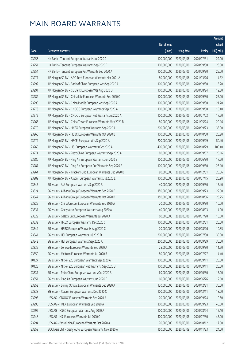|       |                                                              |                        |                     |               | Amount      |
|-------|--------------------------------------------------------------|------------------------|---------------------|---------------|-------------|
|       |                                                              | No. of issue           |                     |               | raised      |
| Code  | Derivative warrants                                          | (units)                | <b>Listing date</b> | <b>Expiry</b> | (HK\$ mil.) |
| 23256 | HK Bank - Tencent European Warrants Jul 2020 C               | 100,000,000            | 2020/03/06          | 2020/07/31    | 22.00       |
| 23251 | HK Bank - Tencent European Warrants Sep 2020 B               | 100,000,000            | 2020/03/06          | 2020/09/30    | 26.00       |
| 23254 | HK Bank - Tencent European Put Warrants Sep 2020 A           | 100,000,000            | 2020/03/06          | 2020/09/30    | 25.00       |
| 23271 | J P Morgan SP BV - AAC Tech European Warrants Mar 2021 A     | 80,000,000             | 2020/03/06          | 2021/03/26    | 14.32       |
| 23292 | J P Morgan SP BV - Bank of China European Wts Sep 2020 A     | 100,000,000            | 2020/03/06          | 2020/09/30    | 15.20       |
| 23291 | J P Morgan SP BV - CC Bank European Wts Aug 2020 D           | 100,000,000            | 2020/03/06          | 2020/08/24    | 19.80       |
| 23282 | J P Morgan SP BV - China Life European Warrants Sep 2020 C   | 100,000,000            | 2020/03/06          | 2020/09/30    | 25.00       |
| 23290 | J P Morgan SP BV - China Mobile European Wts Sep 2020 A      | 100,000,000            | 2020/03/06          | 2020/09/30    | 21.70       |
| 23273 | J P Morgan SP BV - CNOOC European Warrants Sep 2020 A        | 100,000,000            | 2020/03/06          | 2020/09/30    | 15.40       |
| 23272 | J P Morgan SP BV - CNOOC European Put Warrants Jul 2020 A    | 100,000,000            | 2020/03/06          | 2020/07/02    | 17.20       |
| 23265 | J P Morgan SP BV - China Tower European Warrants May 2021 B  | 80,000,000             | 2020/03/06          | 2021/05/24    | 20.16       |
| 23270 | J P Morgan SP BV - HKEX European Warrants Sep 2020 A         | 200,000,000            | 2020/03/06          | 2020/09/23    | 35.00       |
| 23266 | J P Morgan SP BV - HSBC European Warrants Oct 2020 B         | 100,000,000            | 2020/03/06          | 2020/10/30    | 25.20       |
| 23279 | J P Morgan SP BV - HSCEI European Wts Sep 2020 A             | 200,000,000            | 2020/03/06          | 2020/09/29    | 50.40       |
| 23269 | J P Morgan SP BV - HSI European Warrants Oct 2020 A          | 400,000,000            | 2020/03/06          | 2020/10/29    | 100.40      |
| 23274 | J P Morgan SP BV - PetroChina European Warrants Sep 2020 A   | 80,000,000             | 2020/03/06          | 2020/09/07    | 20.16       |
| 23286 | J P Morgan SP BV - Ping An European Warrants Jun 2020 E      | 100,000,000            | 2020/03/06          | 2020/06/30    | 17.20       |
| 23287 | J P Morgan SP BV - Ping An European Put Warrants Sep 2020 A  | 100,000,000            | 2020/03/06          | 2020/09/30    | 25.10       |
| 23264 | J P Morgan SP BV - Tracker Fund European Warrants Dec 2020 B | 80,000,000             | 2020/03/06          | 2020/12/31    | 20.56       |
| 23289 | J P Morgan SP BV - Xiaomi European Warrants Jul 2020 E       | 100,000,000            | 2020/03/06          | 2020/07/15    | 20.90       |
| 23345 | SG Issuer - AIA European Warrants Sep 2020 B                 | 40,000,000             | 2020/03/06          | 2020/09/30    | 15.40       |
| 23324 | SG Issuer - Alibaba Group European Warrants Sep 2020 B       | 150,000,000            | 2020/03/06          | 2020/09/23    | 22.50       |
| 23347 | SG Issuer - Alibaba Group European Warrants Oct 2020 B       | 150,000,000            | 2020/03/06          | 2020/10/06    | 26.25       |
| 23325 | SG Issuer - China Unicom European Warrants Sep 2020 A        | 20,000,000             | 2020/03/06          | 2020/09/30    | 10.00       |
| 23331 | SG Issuer - Geely Auto European Warrants Aug 2020 A          | 40,000,000             | 2020/03/06          | 2020/08/03    | 14.00       |
| 23329 | SG Issuer - Galaxy Ent European Warrants Jul 2020 A          | 60,000,000             | 2020/03/06          | 2020/07/28    | 15.60       |
| 23332 | SG Issuer - HKEX European Warrants Dec 2020 C                | 100,000,000 2020/03/06 |                     | 2020/12/31    | 25.00       |
| 23349 | SG Issuer - HSBC European Warrants Aug 2020 C                | 70,000,000             | 2020/03/06          | 2020/08/26    | 10.85       |
| 23341 | SG Issuer - HSI European Warrants Jul 2020 D                 | 200,000,000            | 2020/03/06          | 2020/07/30    | 30.00       |
| 23342 | SG Issuer - HSI European Warrants Sep 2020 A                 | 200,000,000            | 2020/03/06          | 2020/09/29    | 30.00       |
| 23335 | SG Issuer - Lenovo European Warrants Sep 2020 A              | 25,000,000             | 2020/03/06          | 2020/09/30    | 11.50       |
| 23350 | SG Issuer - Meituan European Warrants Jul 2020 B             | 80,000,000             | 2020/03/06          | 2020/07/27    | 14.40       |
| 10127 | SG Issuer - Nikkei 225 European Warrants Sep 2020 A          | 100,000,000            | 2020/03/06          | 2020/09/11    | 25.00       |
| 10128 | SG Issuer - Nikkei 225 European Put Warrants Sep 2020 B      | 100,000,000            | 2020/03/06          | 2020/09/11    | 25.00       |
| 23337 | SG Issuer - PetroChina European Warrants Oct 2020 B          | 60,000,000             | 2020/03/06          | 2020/10/30    | 15.00       |
| 23351 | SG Issuer - Ping An European Warrants Jun 2020 E             | 60,000,000             | 2020/03/06          | 2020/06/26    | 12.60       |
| 23352 | SG Issuer - Sunny Optical European Warrants Dec 2020 A       | 120,000,000            | 2020/03/06          | 2020/12/31    | 30.00       |
| 23338 | SG Issuer - Xiaomi European Warrants Dec 2020 C              | 100,000,000            | 2020/03/06          | 2020/12/11    | 18.00       |
| 23298 | UBS AG - CNOOC European Warrants Sep 2020 A                  | 70,000,000             | 2020/03/06          | 2020/09/24    | 10.50       |
| 23295 | UBS AG - HKEX European Warrants Sep 2020 A                   | 300,000,000            | 2020/03/06          | 2020/09/23    | 45.00       |
| 23299 | UBS AG - HSBC European Warrants Aug 2020 A                   | 100,000,000            | 2020/03/06          | 2020/08/24    | 15.10       |
| 23248 | UBS AG - HSI European Warrants Jul 2020 C                    | 300,000,000            | 2020/03/06          | 2020/07/30    | 45.00       |
| 23294 | UBS AG - PetroChina European Warrants Oct 2020 A             | 70,000,000             | 2020/03/06          | 2020/10/12    | 17.50       |
| 23359 | BOCI Asia Ltd. - Geely Auto European Warrants Nov 2020 A     | 150,000,000            | 2020/03/09          | 2020/11/23    | 24.00       |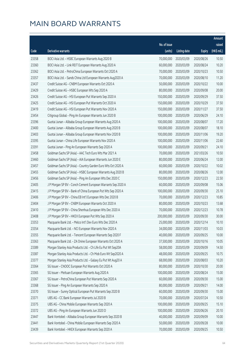|       |                                                              |              |                       |               | Amount      |
|-------|--------------------------------------------------------------|--------------|-----------------------|---------------|-------------|
|       |                                                              | No. of issue |                       |               | raised      |
| Code  | Derivative warrants                                          | (units)      | <b>Listing date</b>   | <b>Expiry</b> | (HK\$ mil.) |
| 23358 | BOCI Asia Ltd. - HSBC European Warrants Aug 2020 B           | 70,000,000   | 2020/03/09            | 2020/08/26    | 10.50       |
| 23360 | BOCI Asia Ltd. - Link REIT European Warrants Aug 2020 A      | 60,000,000   | 2020/03/09            | 2020/08/24    | 10.20       |
| 23362 | BOCI Asia Ltd. - PetroChina European Warrants Oct 2020 A     | 70,000,000   | 2020/03/09            | 2020/10/23    | 10.50       |
| 23357 | BOCI Asia Ltd. - Sands China Ltd European Warrants Aug2020 A | 70,000,000   | 2020/03/09            | 2020/08/10    | 11.20       |
| 23437 | Credit Suisse AG - CNBM European Warrants Oct 2020 A         | 50,000,000   | 2020/03/09            | 2020/10/22    | 10.00       |
| 23429 | Credit Suisse AG - HSBC European Wts Sep 2020 A              | 80,000,000   | 2020/03/09            | 2020/09/08    | 20.00       |
| 23426 | Credit Suisse AG - HSI European Put Warrants Sep 2020 A      | 150,000,000  | 2020/03/09            | 2020/09/29    | 37.50       |
| 23425 | Credit Suisse AG - HSI European Put Warrants Oct 2020 A      | 150,000,000  | 2020/03/09            | 2020/10/29    | 37.50       |
| 23419 | Credit Suisse AG - HSI European Put Warrants Nov 2020 A      | 150,000,000  | 2020/03/09            | 2020/11/27    | 37.50       |
| 23454 | Citigroup Global - Ping An European Warrants Jun 2020 B      | 100,000,000  | 2020/03/09            | 2020/06/29    | 24.10       |
| 23396 | Guotai Junan - Alibaba Group European Warrants Aug 2020 A    | 100,000,000  | 2020/03/09            | 2020/08/07    | 17.20       |
| 23400 | Guotai Junan - Alibaba Group European Warrants Aug 2020 B    | 100,000,000  | 2020/03/09            | 2020/08/07    | 18.10       |
| 23403 | Guotai Junan - Alibaba Group European Warrants Nov 2020 B    | 100,000,000  | 2020/03/09            | 2020/11/06    | 19.20       |
| 23395 | Guotai Junan - China Life European Warrants Nov 2020 A       | 100,000,000  | 2020/03/09            | 2020/11/06    | 22.60       |
| 23391 | Guotai Junan - Ping An European Warrants Sep 2020 A          | 100,000,000  | 2020/03/09            | 2020/09/21    | 24.10       |
| 23458 | Goldman Sachs SP (Asia) - AAC Tech Euro Wts Mar 2021 A       | 70,000,000   | 2020/03/09            | 2021/03/26    | 10.50       |
| 23460 | Goldman Sachs SP (Asia) - AIA European Warrants Jun 2020 E   | 80,000,000   | 2020/03/09            | 2020/06/24    | 12.00       |
| 23457 | Goldman Sachs SP (Asia) - Country Garden Euro Wts Oct 2020 A | 60,000,000   | 2020/03/09            | 2020/10/22    | 10.02       |
| 23455 | Goldman Sachs SP (Asia) - HSBC European Warrants Aug 2020 B  | 80,000,000   | 2020/03/09            | 2020/08/26    | 12.00       |
| 23456 | Goldman Sachs SP (Asia) - Ping An European Wts Dec 2020 C    | 150,000,000  | 2020/03/09            | 2020/12/23    | 22.50       |
| 23405 | J P Morgan SP BV - Conch Cement European Warrants Sep 2020 A | 60,000,000   | 2020/03/09            | 2020/09/08    | 15.06       |
| 23415 | J P Morgan SP BV - Bank of China European Put Wts Sep 2020 A | 100,000,000  | 2020/03/09            | 2020/09/30    | 25.10       |
| 23406 | J P Morgan SP BV - China EB Int'l European Wts Dec 2020 B    | 70,000,000   | 2020/03/09            | 2020/12/23    | 10.85       |
| 23404 | J P Morgan SP BV - CNBM European Warrants Oct 2020 A         | 80,000,000   | 2020/03/09            | 2020/10/23    | 13.68       |
| 23410 | J P Morgan SP BV - China Shenhua European Wts Dec 2020 A     | 70,000,000   | 2020/03/09            | 2020/12/23    | 10.78       |
| 23408 | J P Morgan SP BV - HKEX European Put Wts Sep 2020 A          | 200,000,000  | 2020/03/09            | 2020/09/30    | 30.00       |
| 23353 | Macquarie Bank Ltd. - Melco Int'l Dev Euro Wts Dec 2020 A    |              | 25,000,000 2020/03/09 | 2020/12/14    | 10.10       |
| 23354 | Macquarie Bank Ltd. - NCI European Warrants Nov 2020 A       | 34,000,000   | 2020/03/09            | 2020/11/03    | 10.03       |
| 23355 | Macquarie Bank Ltd. - Tencent European Warrants Sep 2020 F   | 40,000,000   | 2020/03/09            | 2020/09/25    | 10.00       |
| 23363 | Macquarie Bank Ltd. - ZA Onine European Warrants Oct 2020 A  | 37,500,000   | 2020/03/09            | 2020/10/16    | 10.05       |
| 23389 | Morgan Stanley Asia Products Ltd. - Ch Life Eu Put Wt Sep20A | 58,000,000   | 2020/03/09            | 2020/09/09    | 14.50       |
| 23387 | Morgan Stanley Asia Products Ltd. - Ch Mob Euro Wt Sep2020 A | 48,000,000   | 2020/03/09            | 2020/09/25    | 10.75       |
| 23377 | Morgan Stanley Asia Products Ltd. - Galaxy Eu Put Wt Aug20 A | 68,000,000   | 2020/03/09            | 2020/08/03    | 10.20       |
| 23364 | SG Issuer - CNOOC European Put Warrants Oct 2020 A           | 80,000,000   | 2020/03/09            | 2020/10/30    | 20.00       |
| 23365 | SG Issuer - Meituan European Warrants Aug 2020 A             | 100,000,000  | 2020/03/09            | 2020/08/24    | 15.00       |
| 23367 | SG Issuer - PetroChina European Put Warrants Sep 2020 A      | 60,000,000   | 2020/03/09            | 2020/09/30    | 15.00       |
| 23368 | SG Issuer - Ping An European Warrants Sep 2020 A             | 80,000,000   | 2020/03/09            | 2020/09/21    | 14.00       |
| 23370 | SG Issuer - Sunny Optical European Put Warrants Sep 2020 B   | 60,000,000   | 2020/03/09            | 2020/09/30    | 15.00       |
| 23371 | UBS AG - CC Bank European Warrants Jul 2020 B                | 70,000,000   | 2020/03/09            | 2020/07/24    | 10.50       |
| 23375 | UBS AG - China Mobile European Warrants Sep 2020 A           | 100,000,000  | 2020/03/09            | 2020/09/25    | 15.10       |
| 23372 | UBS AG - Ping An European Warrants Jun 2020 D                | 100,000,000  | 2020/03/09            | 2020/06/26    | 20.10       |
| 23447 | Bank Vontobel - Alibaba Group European Warrants Sep 2020 B   | 40,000,000   | 2020/03/09            | 2020/09/09    | 10.00       |
| 23441 | Bank Vontobel - China Mobile European Warrants Sep 2020 A    | 50,000,000   | 2020/03/09            | 2020/09/28    | 10.00       |
| 23439 | Bank Vontobel - HKEX European Warrants Sep 2020 A            | 70,000,000   | 2020/03/09            | 2020/09/25    | 10.50       |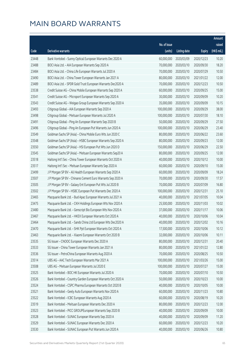|       |                                                              |              |                       |               | Amount      |
|-------|--------------------------------------------------------------|--------------|-----------------------|---------------|-------------|
|       |                                                              | No. of issue |                       |               | raised      |
| Code  | Derivative warrants                                          | (units)      | <b>Listing date</b>   | <b>Expiry</b> | (HK\$ mil.) |
| 23448 | Bank Vontobel - Sunny Optical European Warrants Dec 2020 A   | 60,000,000   | 2020/03/09            | 2020/12/23    | 10.20       |
| 23488 | BOCI Asia Ltd. - AIA European Warrants Sep 2020 A            | 70,000,000   | 2020/03/10            | 2020/09/30    | 18.20       |
| 23484 | BOCI Asia Ltd. - China Life European Warrants Jul 2020 A     | 70,000,000   | 2020/03/10            | 2020/07/29    | 10.50       |
| 23490 | BOCI Asia Ltd. - China Tower European Warrants Jan 2021 A    | 80,000,000   | 2020/03/10            | 2021/01/22    | 12.00       |
| 23489 | BOCI Asia Ltd. - SPDR Gold Trust European Warrants Dec2020 A | 70,000,000   | 2020/03/10            | 2020/12/23    | 10.50       |
| 23538 | Credit Suisse AG - China Mobile European Warrants Sep 2020 A | 60,000,000   | 2020/03/10            | 2020/09/25    | 15.00       |
| 23541 | Credit Suisse AG - Microport European Warrants Sep 2020 A    | 30,000,000   | 2020/03/10            | 2020/09/09    | 10.20       |
| 23543 | Credit Suisse AG - Weigao Group European Warrants Sep 2020 A | 35,000,000   | 2020/03/10            | 2020/09/09    | 10.15       |
| 23493 | Citigroup Global - AIA European Warrants Sep 2020 A          | 100,000,000  | 2020/03/10            | 2020/09/29    | 38.00       |
| 23498 | Citigroup Global - Meituan European Warrants Jul 2020 A      | 100,000,000  | 2020/03/10            | 2020/07/30    | 18.10       |
| 23491 | Citigroup Global - Ping An European Warrants Sep 2020 B      | 50,000,000   | 2020/03/10            | 2020/09/29    | 27.50       |
| 23496 | Citigroup Global - Ping An European Put Warrants Jun 2020 A  | 100,000,000  | 2020/03/10            | 2020/06/29    | 23.40       |
| 23549 | Goldman Sachs SP (Asia) - China Mobile Euro Wts Jun 2020 C   | 80,000,000   | 2020/03/10            | 2020/06/22    | 23.60       |
| 23548 | Goldman Sachs SP (Asia) - HSBC European Warrants Sep 2020 A  | 80,000,000   | 2020/03/10            | 2020/09/23    | 12.00       |
| 23550 | Goldman Sachs SP (Asia) - HSI European Put Wts Jun 2020 D    | 150,000,000  | 2020/03/10            | 2020/06/29    | 22.50       |
| 23545 | Goldman Sachs SP (Asia) - Meituan European Warrants Sep20 A  | 80,000,000   | 2020/03/10            | 2020/09/25    | 12.00       |
| 23518 | Haitong Int'l Sec - China Tower European Warrants Oct 2020 A | 40,000,000   | 2020/03/10            | 2020/10/12    | 10.00       |
| 23517 | Haitong Int'l Sec - Meituan European Warrants Sep 2020 A     | 60,000,000   | 2020/03/10            | 2020/09/10    | 15.00       |
| 23499 | J P Morgan SP BV - Ali Health European Warrants Sep 2020 A   | 60,000,000   | 2020/03/10            | 2020/09/09    | 18.24       |
| 23507 | J P Morgan SP BV - Chinares Cement Euro Warrants Sep 2020 A  | 70,000,000   | 2020/03/10            | 2020/09/30    | 17.57       |
| 23505 | J P Morgan SP BV - Galaxy Ent European Put Wts Jul 2020 B    | 70,000,000   | 2020/03/10            | 2020/07/09    | 16.80       |
| 23502 | J P Morgan SP BV - HSBC European Put Warrants Dec 2020 A     | 100,000,000  | 2020/03/10            | 2020/12/31    | 25.10       |
| 23465 | Macquarie Bank Ltd. - Bud Apac European Warrants Jul 2021 A  | 40,000,000   | 2020/03/10            | 2021/07/05    | 10.04       |
| 23475 | Macquarie Bank Ltd. - CKH Holdings European Wts Nov 2020 A   | 25,500,000   | 2020/03/10            | 2020/11/03    | 10.02       |
| 23480 | Macquarie Bank Ltd. - Genscript Bio European Wts Nov 2020 A  | 37,000,000   | 2020/03/10            | 2020/11/17    | 10.06       |
| 23467 | Macquarie Bank Ltd. - HKEX European Warrants Oct 2020 A      | 40,000,000   | 2020/03/10            | 2020/10/06    | 10.04       |
| 23464 | Macquarie Bank Ltd. - Sands China Ltd European Wts Dec2020 A |              | 40,000,000 2020/03/10 | 2020/12/02    | 10.16       |
| 23470 | Macquarie Bank Ltd. - SHK Ppt European Warrants Oct 2020 A   | 17,500,000   | 2020/03/10            | 2020/10/06    | 10.12       |
| 23463 | Macquarie Bank Ltd. - Xiaomi European Warrants Oct 2020 B    | 32,000,000   | 2020/03/10            | 2020/10/06    | 10.11       |
| 23535 | SG Issuer - CNOOC European Warrants Dec 2020 A               | 80,000,000   | 2020/03/10            | 2020/12/31    | 20.40       |
| 23533 | SG Issuer - China Tower European Warrants Jan 2021 A         | 80,000,000   | 2020/03/10            | 2021/01/22    | 12.80       |
| 23536 | SG Issuer - PetroChina European Warrants Aug 2020 A          | 70,000,000   | 2020/03/10            | 2020/08/25    | 10.50       |
| 23514 | UBS AG - AAC Tech European Warrants Mar 2021 A               | 100,000,000  | 2020/03/10            | 2021/03/26    | 15.00       |
| 23508 | UBS AG - Meituan European Warrants Jul 2020 E                | 100,000,000  | 2020/03/10            | 2020/07/27    | 15.00       |
| 23525 | Bank Vontobel - BOC HK European Warrants Jul 2020 A          | 70,000,000   | 2020/03/10            | 2020/07/10    | 10.50       |
| 23526 | Bank Vontobel - Country Garden European Warrants Oct 2020 A  | 50,000,000   | 2020/03/10            | 2020/10/23    | 10.00       |
| 23524 | Bank Vontobel - CSPC Pharma European Warrants Oct 2020 B     | 40,000,000   | 2020/03/10            | 2020/10/05    | 10.00       |
| 23521 | Bank Vontobel - Geely Auto European Warrants Nov 2020 A      | 60,000,000   | 2020/03/10            | 2020/11/23    | 10.80       |
| 23522 | Bank Vontobel - ICBC European Warrants Aug 2020 A            | 60,000,000   | 2020/03/10            | 2020/08/19    | 10.20       |
| 23519 | Bank Vontobel - Meituan European Warrants Dec 2020 A         | 80,000,000   | 2020/03/10            | 2020/12/23    | 12.00       |
| 23523 | Bank Vontobel - PICC GROUPEuropean Warrants Sep 2020 B       | 40,000,000   | 2020/03/10            | 2020/09/09    | 10.00       |
| 23528 | Bank Vontobel - SUNAC European Warrants Sep 2020 A           | 40,000,000   | 2020/03/10            | 2020/09/09    | 11.20       |
| 23529 | Bank Vontobel - SUNAC European Warrants Dec 2020 A           | 60,000,000   | 2020/03/10            | 2020/12/23    | 10.20       |
| 23530 | Bank Vontobel - SUNAC European Put Warrants Jun 2020 A       | 40,000,000   | 2020/03/10            | 2020/06/26    | 10.80       |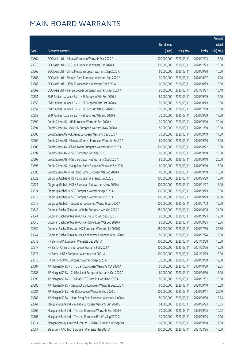|       |                                                              |              |                       |               | Amount      |
|-------|--------------------------------------------------------------|--------------|-----------------------|---------------|-------------|
|       |                                                              | No. of issue |                       |               | raised      |
| Code  | Derivative warrants                                          | (units)      | <b>Listing date</b>   | <b>Expiry</b> | (HK\$ mil.) |
| 23564 | BOCI Asia Ltd. - Alibaba European Warrants Dec 2020 A        | 100,000,000  | 2020/03/11            | 2020/12/23    | 15.00       |
| 23570 | BOCI Asia Ltd. - BOC HK European Warrants Dec 2020 A         | 100,000,000  | 2020/03/11            | 2020/12/23    | 20.00       |
| 23565 | BOCI Asia Ltd. - China Mobile European Warrants Sep 2020 A   | 60,000,000   | 2020/03/11            | 2020/09/30    | 10.20       |
| 23568 | BOCI Asia Ltd. - Sinopec Corp European Warrants Aug 2020 A   | 70,000,000   | 2020/03/11            | 2020/08/17    | 11.20       |
| 23566 | BOCI Asia Ltd. - HSBC European Put Warrants Oct 2020 A       | 60,000,000   | 2020/03/11            | 2020/10/29    | 15.00       |
| 23569 | BOCI Asia Ltd. - Jiangxi Copper European Warrants Apr 2021 A | 80,000,000   | 2020/03/11            | 2021/04/27    | 18.40       |
| 23551 | BNP Paribas Issuance B.V. - HSI European Wts Sep 2020 A      | 80,000,000   | 2020/03/11            | 2020/09/29    | 12.00       |
| 23555 | BNP Paribas Issuance B.V. - HSI European Wts Oct 2020 A      | 70,000,000   | 2020/03/11            | 2020/10/29    | 10.50       |
| 23557 | BNP Paribas Issuance B.V. - HSI Euro Put Wts Jul 2020 B      | 70,000,000   | 2020/03/11            | 2020/07/30    | 10.50       |
| 23559 | BNP Paribas Issuance B.V. - HSI Euro Put Wts Sep 2020 B      | 70,000,000   | 2020/03/11            | 2020/09/29    | 17.50       |
| 23599 | Credit Suisse AG - AIA European Warrants Sep 2020 A          | 70,000,000   | 2020/03/11            | 2020/09/10    | 29.40       |
| 23594 | Credit Suisse AG - BOC HK European Warrants Nov 2020 A       | 80,000,000   | 2020/03/11            | 2020/11/30    | 20.00       |
| 23606 | Credit Suisse AG - CK Asset European Warrants Sep 2020 A     | 70,000,000   | 2020/03/11            | 2020/09/10    | 17.50       |
| 23604 | Credit Suisse AG - Chinares Cement European Warrants Sep20 A | 60,000,000   | 2020/03/11            | 2020/09/10    | 15.00       |
| 23600 | Credit Suisse AG - China Tower European Warrants Oct 2020 A  | 100,000,000  | 2020/03/11            | 2020/10/22    | 15.00       |
| 23597 | Credit Suisse AG - HSBC European Wts Sep 2020 B              | 80,000,000   | 2020/03/11            | 2020/09/10    | 20.00       |
| 23598 | Credit Suisse AG - HSBC European Put Warrants Sep 2020 A     | 80,000,000   | 2020/03/11            | 2020/09/10    | 20.00       |
| 23593 | Credit Suisse AG - Hang Seng Bank European Warrants Sep20 B  | 60,000,000   | 2020/03/11            | 2020/09/10    | 15.00       |
| 23596 | Credit Suisse AG - Hua Hong Semi European Wts Sep 2020 A     | 40,000,000   | 2020/03/11            | 2020/09/10    | 10.00       |
| 23622 | Citigroup Global - HKEX European Warrants Jun 2020 B         | 100,000,000  | 2020/03/11            | 2020/06/29    | 16.70       |
| 23621 | Citigroup Global - HKEX European Put Warrants Nov 2020 A     | 100,000,000  | 2020/03/11            | 2020/11/27    | 15.00       |
| 23624 | Citigroup Global - HSBC European Warrants Sep 2020 A         | 100,000,000  | 2020/03/11            | 2020/09/29    | 15.00       |
| 23619 | Citigroup Global - HSBC European Warrants Oct 2020 A         | 100,000,000  | 2020/03/11            | 2020/10/29    | 32.50       |
| 23615 | Citigroup Global - Tencent European Put Warrants Jul 2020 A  | 100,000,000  | 2020/03/11            | 2020/07/08    | 15.00       |
| 23643 | Goldman Sachs SP (Asia) - Alibaba European Wts Oct 2020 A    | 150,000,000  | 2020/03/11            | 2020/10/06    | 24.00       |
| 23644 | Goldman Sachs SP (Asia) - China Life Euro Wts Sep 2020 B     | 80,000,000   | 2020/03/11            | 2020/09/23    | 12.00       |
| 23646 | Goldman Sachs SP (Asia) - China Mobile Euro Wts Sep 2020 A   |              | 80,000,000 2020/03/11 | 2020/09/25    | 13.36       |
| 23650 | Goldman Sachs SP (Asia) - HSI European Warrants Jul 2020 D   | 150,000,000  | 2020/03/11            | 2020/07/30    | 22.50       |
| 23647 | Goldman Sachs SP (Asia) - PA Gooddoctor European Wts Jul20 B | 80,000,000   | 2020/03/11            | 2020/07/24    | 12.00       |
| 23572 | HK Bank - AIA European Warrants Dec 2021 A                   | 100,000,000  | 2020/03/11            | 2021/12/28    | 15.00       |
| 23577 | HK Bank - China Life European Warrants Feb 2021 A            | 100,000,000  | 2020/03/11            | 2021/02/26    | 15.00       |
| 23571 | HK Bank - HKEX European Warrants Mar 2021 A                  | 100,000,000  | 2020/03/11            | 2021/03/29    | 15.00       |
| 23573 | HK Bank - SUNAC European Warrants Sep 2020 A                 | 30,000,000   | 2020/03/11            | 2020/09/30    | 12.00       |
| 23587 | J P Morgan SP BV - CITIC Bank European Warrants Oct 2020 A   | 50,000,000   | 2020/03/11            | 2020/10/30    | 12.55       |
| 23583 | J P Morgan SP BV - Chi Res Land European Warrants Oct 2020 A | 60,000,000   | 2020/03/11            | 2020/10/30    | 15.00       |
| 23590 | J P Morgan SP BV - CSOP A50 ETF Euro Put Wts Dec 2020 A      | 80,000,000   | 2020/03/11            | 2020/12/31    | 20.00       |
| 23585 | J P Morgan SP BV - Genscript Bio European Warrants Sep2020 A | 60,000,000   | 2020/03/11            | 2020/09/10    | 16.08       |
| 23581 | J P Morgan SP BV - HSBC European Warrants Sep 2020 C         | 100,000,000  | 2020/03/11            | 2020/09/11    | 25.10       |
| 23582 | J P Morgan SP BV - Hang Seng Bank European Warrants Jun20 A  | 80,000,000   | 2020/03/11            | 2020/06/30    | 12.24       |
| 23561 | Macquarie Bank Ltd. - Alibaba European Warrants Jun 2020 G   | 64,000,000   | 2020/03/11            | 2020/06/23    | 10.05       |
| 23562 | Macquarie Bank Ltd. - Tencent European Warrants Sep 2020 G   | 30,000,000   | 2020/03/11            | 2020/09/25    | 10.02       |
| 23563 | Macquarie Bank Ltd. - Tencent European Put Wts Sep 2020 C    | 30,000,000   | 2020/03/11            | 2020/09/25    | 12.00       |
| 23614 | Morgan Stanley Asia Products Ltd. - SUNAC Euro Put Wt Sep20A | 68,000,000   | 2020/03/11            | 2020/09/10    | 17.00       |
| 23651 | SG Issuer - AAC Tech European Warrants Mar 2021 A            | 100,000,000  | 2020/03/11            | 2021/03/26    | 17.00       |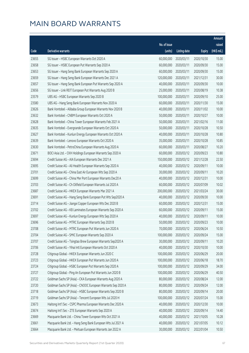|       |                                                              |              |                       |               | Amount      |
|-------|--------------------------------------------------------------|--------------|-----------------------|---------------|-------------|
|       |                                                              | No. of issue |                       |               | raised      |
| Code  | Derivative warrants                                          | (units)      | <b>Listing date</b>   | <b>Expiry</b> | (HK\$ mil.) |
| 23655 | SG Issuer - HSBC European Warrants Oct 2020 A                | 60,000,000   | 2020/03/11            | 2020/10/30    | 15.00       |
| 23658 | SG Issuer - HSBC European Put Warrants Sep 2020 A            | 60,000,000   | 2020/03/11            | 2020/09/30    | 15.00       |
| 23653 | SG Issuer - Hang Seng Bank European Warrants Sep 2020 A      | 60,000,000   | 2020/03/11            | 2020/09/30    | 15.00       |
| 23659 | SG Issuer - Hang Seng Bank European Warrants Dec 2021 A      | 120,000,000  | 2020/03/11            | 2021/12/31    | 30.00       |
| 23657 | SG Issuer - Hang Seng Bank European Put Warrants Sep 2020 A  | 40,000,000   | 2020/03/11            | 2020/09/30    | 10.00       |
| 23656 | SG Issuer - Link REIT European Put Warrants Aug 2020 B       | 25,000,000   | 2020/03/11            | 2020/08/19    | 10.38       |
| 23579 | UBS AG - HSBC European Warrants Sep 2020 B                   | 100,000,000  | 2020/03/11            | 2020/09/10    | 25.00       |
| 23580 | UBS AG - Hang Seng Bank European Warrants Nov 2020 A         | 60,000,000   | 2020/03/11            | 2020/11/30    | 15.00       |
| 23626 | Bank Vontobel - Alibaba Group European Warrants Nov 2020 B   | 40,000,000   | 2020/03/11            | 2020/11/02    | 10.00       |
| 23632 | Bank Vontobel - CNBM European Warrants Oct 2020 A            | 50,000,000   | 2020/03/11            | 2020/10/27    | 10.00       |
| 23628 | Bank Vontobel - China Tower European Warrants Feb 2021 A     | 50,000,000   | 2020/03/11            | 2021/02/16    | 11.00       |
| 23635 | Bank Vontobel - Evergrande European Warrants Oct 2020 A      | 50,000,000   | 2020/03/11            | 2020/10/28    | 10.50       |
| 23627 | Bank Vontobel - Kunlun Energy European Warrants Oct 2020 A   | 40,000,000   | 2020/03/11            | 2020/10/28    | 10.80       |
| 23639 | Bank Vontobel - Lenovo European Warrants Oct 2020 A          | 35,000,000   | 2020/03/11            | 2020/10/28    | 10.85       |
| 23630 | Bank Vontobel - PetroChina European Warrants Aug 2020 A      | 60,000,000   | 2020/03/11            | 2020/08/27    | 10.20       |
| 23671 | BOCI Asia Ltd. - CKH Holdings European Warrants Sep 2020 A   | 60,000,000   | 2020/03/12            | 2020/09/23    | 10.80       |
| 23694 | Credit Suisse AG - AIA European Warrants Dec 2021 A          | 150,000,000  | 2020/03/12            | 2021/12/28    | 22.50       |
| 23695 | Credit Suisse AG - Ali Health European Warrants Sep 2020 A   | 40,000,000   | 2020/03/12            | 2020/09/11    | 10.00       |
| 23701 | Credit Suisse AG - China East Air European Wts Sep 2020 A    | 30,000,000   | 2020/03/12            | 2020/09/11    | 10.20       |
| 23699 | Credit Suisse AG - China Mer Port European Warrants Dec20 A  | 40,000,000   | 2020/03/12            | 2020/12/31    | 10.00       |
| 23703 | Credit Suisse AG - Ch Oilfield European Warrants Jul 2020 A  | 60,000,000   | 2020/03/12            | 2020/07/09    | 10.02       |
| 23687 | Credit Suisse AG - HKEX European Warrants Mar 2021 A         | 200,000,000  | 2020/03/12            | 2021/03/24    | 30.00       |
| 23691 | Credit Suisse AG - Hang Seng Bank European Put Wts Sep2020 A | 40,000,000   | 2020/03/12            | 2020/09/30    | 10.00       |
| 23714 | Credit Suisse AG - Jiangxi Copper European Wts Dec 2020 B    | 60,000,000   | 2020/03/12            | 2020/12/31    | 15.00       |
| 23702 | Credit Suisse AG - KB Laminates European Warrants Sep 2020 A | 60,000,000   | 2020/03/12            | 2020/09/11    | 15.00       |
| 23697 | Credit Suisse AG - Kunlun Energy European Wts Sep 2020 A     | 40,000,000   | 2020/03/12            | 2020/09/11    | 10.00       |
| 23696 | Credit Suisse AG - MTRC European Warrants Sep 2020 B         |              | 50,000,000 2020/03/12 | 2020/09/23    | 10.00       |
| 23708 | Credit Suisse AG - MTRC European Put Warrants Jun 2020 A     | 70,000,000   | 2020/03/12            | 2020/06/24    | 10.50       |
| 23704 | Credit Suisse AG - SMIC European Warrants Sep 2020 A         | 100,000,000  | 2020/03/12            | 2020/09/24    | 15.00       |
| 23707 | Credit Suisse AG - Tsingtao Brew European Warrants Sep2020 A | 30,000,000   | 2020/03/12            | 2020/09/11    | 10.20       |
| 23706 | Credit Suisse AG - Yihai Intl European Warrants Oct 2020 A   | 40,000,000   | 2020/03/12            | 2020/10/30    | 10.00       |
| 23728 | Citigroup Global - HKEX European Warrants Jun 2020 C         | 100,000,000  | 2020/03/12            | 2020/06/29    | 20.00       |
| 23723 | Citigroup Global - HKEX European Put Warrants Jun 2020 A     | 100,000,000  | 2020/03/12            | 2020/06/18    | 18.70       |
| 23724 | Citigroup Global - HSBC European Put Warrants Sep 2020 A     | 100,000,000  | 2020/03/12            | 2020/09/29    | 34.00       |
| 23727 | Citigroup Global - Ping An European Put Warrants Jun 2020 B  | 100,000,000  | 2020/03/12            | 2020/06/29    | 40.50       |
| 23722 | Goldman Sachs SP (Asia) - CKA European Warrants Aug 2020 A   | 80,000,000   | 2020/03/12            | 2020/08/24    | 12.00       |
| 23720 | Goldman Sachs SP (Asia) - CNOOC European Warrants Sep 2020 A | 80,000,000   | 2020/03/12            | 2020/09/24    | 12.00       |
| 23718 | Goldman Sachs SP (Asia) - HSBC European Warrants Sep 2020 B  | 80,000,000   | 2020/03/12            | 2020/09/14    | 20.00       |
| 23719 | Goldman Sachs SP (Asia) - Tencent European Wts Jul 2020 H    | 100,000,000  | 2020/03/12            | 2020/07/24    | 15.00       |
| 23673 | Haitong Int'l Sec - CSPC Pharma European Warrants Dec 2020 A | 40,000,000   | 2020/03/12            | 2020/12/30    | 10.00       |
| 23674 | Haitong Int'l Sec - ZTE European Warrants Sep 2020 A         | 40,000,000   | 2020/03/12            | 2020/09/14    | 14.40       |
| 23669 | Macquarie Bank Ltd. - China Tower European Wts Oct 2021 A    | 40,000,000   | 2020/03/12            | 2021/10/05    | 10.28       |
| 23661 | Macquarie Bank Ltd. - Hang Seng Bank European Wts Jul 2021 A | 40,000,000   | 2020/03/12            | 2021/07/05    | 10.12       |
| 23664 | Macquarie Bank Ltd. - Meituan European Warrants Jan 2022 A   | 30,000,000   | 2020/03/12            | 2022/01/04    | 10.50       |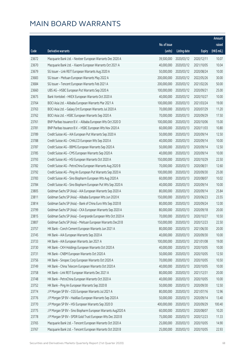|       |                                                              |                        |                     |               | Amount      |
|-------|--------------------------------------------------------------|------------------------|---------------------|---------------|-------------|
|       |                                                              | No. of issue           |                     |               | raised      |
| Code  | Derivative warrants                                          | (units)                | <b>Listing date</b> | <b>Expiry</b> | (HK\$ mil.) |
| 23672 | Macquarie Bank Ltd. - Nexteer European Warrants Dec 2020 A   | 39,500,000             | 2020/03/12          | 2020/12/11    | 10.07       |
| 23670 | Macquarie Bank Ltd. - Xiaomi European Warrants Oct 2021 A    | 40,000,000             | 2020/03/12          | 2021/10/05    | 10.04       |
| 23679 | SG Issuer - Link REIT European Warrants Aug 2020 A           | 50,000,000             | 2020/03/12          | 2020/08/24    | 10.00       |
| 23683 | SG Issuer - Meituan European Warrants May 2022 A             | 200,000,000            | 2020/03/12          | 2022/05/26    | 30.00       |
| 23684 | SG Issuer - Tencent European Warrants Feb 2021 A             | 200,000,000            | 2020/03/12          | 2021/02/26    | 50.00       |
| 23660 | UBS AG - HSBC European Put Warrants Sep 2020 A               | 100,000,000            | 2020/03/12          | 2020/09/21    | 25.00       |
| 23675 | Bank Vontobel - HKEX European Warrants Oct 2020 A            | 40,000,000             | 2020/03/12          | 2020/10/27    | 10.00       |
| 23764 | BOCI Asia Ltd. - Alibaba European Warrants Mar 2021 A        | 100,000,000            | 2020/03/13          | 2021/03/24    | 19.00       |
| 23763 | BOCI Asia Ltd. - Galaxy Ent European Warrants Jul 2020 A     | 70,000,000             | 2020/03/13          | 2020/07/29    | 11.20       |
| 23762 | BOCI Asia Ltd. - HSBC European Warrants Sep 2020 A           | 70,000,000             | 2020/03/13          | 2020/09/29    | 17.50       |
| 23761 | BNP Paribas Issuance B.V. - Alibaba European Wts Oct 2020 D  | 100,000,000            | 2020/03/13          | 2020/10/06    | 15.00       |
| 23781 | BNP Paribas Issuance B.V. - HSBC European Wts Nov 2020 A     | 60,000,000             | 2020/03/13          | 2020/11/03    | 10.80       |
| 23789 | Credit Suisse AG - AIA European Put Warrants Sep 2020 A      | 50,000,000             | 2020/03/13          | 2020/09/14    | 12.50       |
| 23788 | Credit Suisse AG - CHALCO European Wts Sep 2020 A            | 40,000,000             | 2020/03/13          | 2020/09/14    | 10.00       |
| 23787 | Credit Suisse AG - BBMG European Warrants Sep 2020 A         | 50,000,000             | 2020/03/13          | 2020/09/14    | 12.50       |
| 23785 | Credit Suisse AG - CMS European Warrants Sep 2020 A          | 40,000,000             | 2020/03/13          | 2020/09/14    | 10.00       |
| 23793 | Credit Suisse AG - HSI European Warrants Oct 2020 A          | 150,000,000            | 2020/03/13          | 2020/10/29    | 22.50       |
| 23782 | Credit Suisse AG - PetroChina European Warrants Aug 2020 B   | 70,000,000             | 2020/03/13          | 2020/08/31    | 12.60       |
| 23792 | Credit Suisse AG - Ping An European Put Warrants Sep 2020 A  | 100,000,000            | 2020/03/13          | 2020/09/30    | 25.00       |
| 23783 | Credit Suisse AG - Sino Biopharm European Wts Aug 2020 A     | 60,000,000             | 2020/03/13          | 2020/08/07    | 10.02       |
| 23784 | Credit Suisse AG - Sino Biopharm European Put Wts Sep 2020 A | 40,000,000             | 2020/03/13          | 2020/09/14    | 10.00       |
| 23805 | Goldman Sachs SP (Asia) - AIA European Warrants Sep 2020 A   | 80,000,000             | 2020/03/13          | 2020/09/14    | 25.84       |
| 23811 | Goldman Sachs SP (Asia) - Alibaba European Wts Jun 2020 K    | 150,000,000            | 2020/03/13          | 2020/06/23    | 23.55       |
| 23814 | Goldman Sachs SP (Asia) - Bank of China Euro Wts Sep 2020 B  | 80,000,000             | 2020/03/13          | 2020/09/24    | 12.00       |
| 23799 | Goldman Sachs SP (Asia) - CKA European Warrants Sep 2020 A   | 80,000,000             | 2020/03/13          | 2020/09/18    | 20.00       |
| 23815 | Goldman Sachs SP (Asia) - Evergrande European Wts Oct 2020 A | 70,000,000             | 2020/03/13          | 2020/10/27    | 10.50       |
| 23807 | Goldman Sachs SP (Asia) - Meituan European Warrants Dec20 B  | 150,000,000 2020/03/13 |                     | 2020/12/23    | 22.50       |
| 23757 | HK Bank - Conch Cement European Warrants Jun 2021 A          | 80,000,000             | 2020/03/13          | 2021/06/30    | 20.00       |
| 23745 | HK Bank - AIA European Warrants Sep 2020 A                   | 40,000,000             | 2020/03/13          | 2020/09/30    | 10.00       |
| 23733 | HK Bank - AIA European Warrants Jan 2021 A                   | 100,000,000            | 2020/03/13          | 2021/01/08    | 19.00       |
| 23730 | HK Bank - CKH Holdings European Warrants Oct 2020 A          | 40,000,000             | 2020/03/13          | 2020/10/05    | 10.00       |
| 23731 | HK Bank - CNBM European Warrants Oct 2020 A                  | 50,000,000             | 2020/03/13          | 2020/10/05    | 12.50       |
| 23756 | HK Bank - Sinopec Corp European Warrants Oct 2020 A          | 70,000,000             | 2020/03/13          | 2020/10/05    | 10.50       |
| 23749 | HK Bank - China Telecom European Warrants Oct 2020 A         | 40,000,000             | 2020/03/13          | 2020/10/05    | 10.00       |
| 23758 | HK Bank - Link REIT European Warrants Dec 2021 A             | 80,000,000             | 2020/03/13          | 2021/12/31    | 20.00       |
| 23748 | HK Bank - PetroChina European Warrants Oct 2020 A            | 40,000,000             | 2020/03/13          | 2020/10/05    | 10.00       |
| 23752 | HK Bank - Ping An European Warrants Sep 2020 B               | 50,000,000             | 2020/03/13          | 2020/09/30    | 12.50       |
| 23774 | J P Morgan SP BV - CGS European Warrants Jul 2021 A          | 80,000,000             | 2020/03/13          | 2021/07/16    | 12.96       |
| 23776 | J P Morgan SP BV - Haidilao European Warrants Sep 2020 A     | 50,000,000             | 2020/03/13          | 2020/09/14    | 13.40       |
| 23770 | J P Morgan SP BV - HSI European Warrants Sep 2020 D          | 400,000,000            | 2020/03/13          | 2020/09/29    | 100.40      |
| 23775 | J P Morgan SP BV - Sino Biopharm European Warrants Aug2020 A | 60,000,000             | 2020/03/13          | 2020/08/07    | 10.20       |
| 23778 | J P Morgan SP BV - SPDR Gold Trust European Wts Dec 2020 B   | 75,000,000             | 2020/03/13          | 2020/12/23    | 11.33       |
| 23765 | Macquarie Bank Ltd. - Tencent European Warrants Oct 2020 A   | 25,000,000             | 2020/03/13          | 2020/10/05    | 14.90       |
| 23767 | Macquarie Bank Ltd. - Tencent European Warrants Oct 2020 B   | 25,000,000             | 2020/03/13          | 2020/10/05    | 22.93       |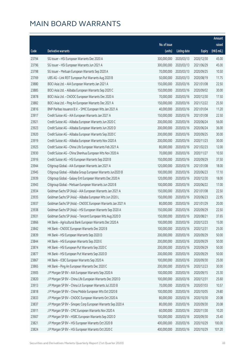|       |                                                              |              |                        |               | Amount      |
|-------|--------------------------------------------------------------|--------------|------------------------|---------------|-------------|
|       |                                                              | No. of issue |                        |               | raised      |
| Code  | <b>Derivative warrants</b>                                   | (units)      | <b>Listing date</b>    | <b>Expiry</b> | (HK\$ mil.) |
| 23794 | SG Issuer - HSI European Warrants Dec 2020 A                 | 300,000,000  | 2020/03/13             | 2020/12/30    | 45.00       |
| 23796 | SG Issuer - HSI European Warrants Jun 2021 A                 | 300,000,000  | 2020/03/13             | 2021/06/29    | 45.00       |
| 23798 | SG Issuer - Meituan European Warrants Sep 2020 A             | 70,000,000   | 2020/03/13             | 2020/09/25    | 10.50       |
| 23769 | UBS AG - Link REIT European Put Warrants Aug 2020 B          | 50,000,000   | 2020/03/13             | 2020/08/19    | 11.75       |
| 23880 | BOCI Asia Ltd. - AIA European Warrants Jan 2021 A            | 150,000,000  | 2020/03/16             | 2021/01/08    | 22.50       |
| 23885 | BOCI Asia Ltd. - Alibaba European Warrants Sep 2020 C        | 150,000,000  | 2020/03/16             | 2020/09/02    | 30.00       |
| 23878 | BOCI Asia Ltd. - CNOOC European Warrants Dec 2020 A          | 70,000,000   | 2020/03/16             | 2020/12/30    | 17.50       |
| 23882 | BOCI Asia Ltd. - Ping An European Warrants Dec 2021 A        | 150,000,000  | 2020/03/16             | 2021/12/22    | 25.50       |
| 23816 | BNP Paribas Issuance B.V. - SMIC European Wts Jan 2021 A     | 40,000,000   | 2020/03/16             | 2021/01/04    | 11.20       |
| 23917 | Credit Suisse AG - AIA European Warrants Jan 2021 A          | 150,000,000  | 2020/03/16             | 2021/01/08    | 22.50       |
| 23921 | Credit Suisse AG - Alibaba European Warrants Jun 2020 C      | 200,000,000  | 2020/03/16             | 2020/06/24    | 56.00       |
| 23923 | Credit Suisse AG - Alibaba European Warrants Jun 2020 D      | 200,000,000  | 2020/03/16             | 2020/06/24    | 36.00       |
| 23920 | Credit Suisse AG - Alibaba European Warrants Sep 2020 C      | 200,000,000  | 2020/03/16             | 2020/09/25    | 30.00       |
| 23919 | Credit Suisse AG - Alibaba European Warrants Nov 2020 A      | 200,000,000  | 2020/03/16             | 2020/11/23    | 30.00       |
| 23925 | Credit Suisse AG - China Life European Warrants Feb 2021 A   | 80,000,000   | 2020/03/16             | 2021/02/23    | 12.00       |
| 23930 | Credit Suisse AG - China Shenhua European Wts Nov 2020 A     | 70,000,000   | 2020/03/16             | 2020/11/27    | 10.50       |
| 23916 | Credit Suisse AG - HSI European Warrants Sep 2020 B          | 150,000,000  | 2020/03/16             | 2020/09/29    | 37.50       |
| 23944 | Citigroup Global - AIA European Warrants Jan 2021 A          | 120,000,000  | 2020/03/16             | 2021/01/08    | 18.00       |
| 23945 | Citigroup Global - Alibaba Group European Warrants Jun2020 B | 100,000,000  | 2020/03/16             | 2020/06/23    | 17.10       |
| 23939 | Citigroup Global - Galaxy Ent European Warrants Dec 2020 A   | 120,000,000  | 2020/03/16             | 2020/12/30    | 18.00       |
| 23943 | Citigroup Global - Meituan European Warrants Jun 2020 B      | 100,000,000  | 2020/03/16             | 2020/06/22    | 17.00       |
| 23934 | Goldman Sachs SP (Asia) - AIA European Warrants Jan 2021 A   | 150,000,000  | 2020/03/16             | 2021/01/08    | 22.50       |
| 23935 | Goldman Sachs SP (Asia) - Alibaba European Wts Jun 2020 L    | 150,000,000  | 2020/03/16             | 2020/06/23    | 22.95       |
| 23937 | Goldman Sachs SP (Asia) - CNOOC European Warrants Jan 2021 A | 80,000,000   | 2020/03/16             | 2021/01/29    | 20.00       |
| 23938 | Goldman Sachs SP (Asia) - HSI European Warrants Sep 2020 A   | 150,000,000  | 2020/03/16             | 2020/09/29    | 22.50       |
| 23931 | Goldman Sachs SP (Asia) - Tencent European Wts Aug 2020 D    | 150,000,000  | 2020/03/16             | 2020/08/21    | 37.65       |
| 23866 | HK Bank - Agricultural Bank European Warrants Dec 2020 A     |              | 100,000,000 2020/03/16 | 2020/12/23    | 15.00       |
| 23842 | HK Bank - CNOOC European Warrants Dec 2020 B                 | 100,000,000  | 2020/03/16             | 2020/12/31    | 25.00       |
| 23839 | HK Bank - HSI European Warrants Sep 2020 D                   | 200,000,000  | 2020/03/16             | 2020/09/29    | 50.00       |
| 23844 | HK Bank - HSI European Warrants Sep 2020 E                   | 200,000,000  | 2020/03/16             | 2020/09/29    | 50.00       |
| 23874 | HK Bank - HSI European Put Warrants Sep 2020 C               | 200,000,000  | 2020/03/16             | 2020/09/29    | 50.00       |
| 23877 | HK Bank - HSI European Put Warrants Sep 2020 D               | 200,000,000  | 2020/03/16             | 2020/09/29    | 50.00       |
| 23867 | HK Bank - ICBC European Warrants Sep 2020 A                  | 100,000,000  | 2020/03/16             | 2020/09/30    | 25.00       |
| 23865 | HK Bank - Ping An European Warrants Dec 2020 C               | 200,000,000  | 2020/03/16             | 2020/12/23    | 30.00       |
| 23905 | J P Morgan SP BV - AIA European Warrants Sep 2020 A          | 100,000,000  | 2020/03/16             | 2020/09/15    | 25.30       |
| 23820 | J P Morgan SP BV - China Life European Warrants Dec 2020 D   | 100,000,000  | 2020/03/16             | 2020/12/31    | 25.60       |
| 23913 | J P Morgan SP BV - China Lit European Warrants Jul 2020 B    | 70,000,000   | 2020/03/16             | 2020/07/03    | 10.57       |
| 23818 | J P Morgan SP BV - China Mobile European Wts Oct 2020 B      | 100,000,000  | 2020/03/16             | 2020/10/05    | 29.80       |
| 23833 | J P Morgan SP BV - CNOOC European Warrants Oct 2020 A        | 80,000,000   | 2020/03/16             | 2020/10/30    | 20.08       |
| 23837 | J P Morgan SP BV - Sinopec Corp European Warrants Sep 2020 A | 80,000,000   | 2020/03/16             | 2020/09/30    | 20.08       |
| 23911 | J P Morgan SP BV - CPIC European Warrants Nov 2020 A         | 60,000,000   | 2020/03/16             | 2020/11/30    | 10.20       |
| 23907 | J P Morgan SP BV - HSBC European Warrants Sep 2020 D         | 100,000,000  | 2020/03/16             | 2020/09/30    | 25.40       |
| 23821 | J P Morgan SP BV - HSI European Warrants Oct 2020 B          | 400,000,000  | 2020/03/16             | 2020/10/29    | 100.00      |
| 23824 | J P Morgan SP BV - HSI European Warrants Oct 2020 C          | 400,000,000  | 2020/03/16             | 2020/10/29    | 101.20      |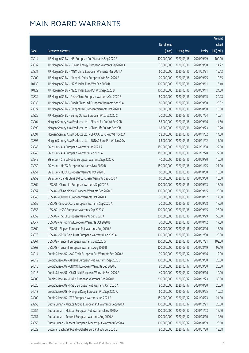|       |                                                              |              |                       |               | Amount      |
|-------|--------------------------------------------------------------|--------------|-----------------------|---------------|-------------|
|       |                                                              | No. of issue |                       |               | raised      |
| Code  | <b>Derivative warrants</b>                                   | (units)      | <b>Listing date</b>   | <b>Expiry</b> | (HK\$ mil.) |
| 23914 | J P Morgan SP BV - HSI European Put Warrants Sep 2020 B      | 400,000,000  | 2020/03/16            | 2020/09/29    | 100.00      |
| 23832 | J P Morgan SP BV - Kunlun Energy European Warrants Sep2020 A | 36,000,000   | 2020/03/16            | 2020/09/30    | 14.22       |
| 23831 | J P Morgan SP BV - MGM China European Warrants Mar 2021 A    | 60,000,000   | 2020/03/16            | 2021/03/31    | 15.12       |
| 23909 | J P Morgan SP BV - Mengniu Dairy European Wts Sep 2020 A     | 70,000,000   | 2020/03/16            | 2020/09/25    | 10.85       |
| 10130 | J P Morgan SP BV - N225 Index Euro Wts Sep 2020 B            | 100,000,000  | 2020/03/16            | 2020/09/11    | 15.40       |
| 10129 | J P Morgan SP BV - N225 Index Euro Put Wts Sep 2020 B        | 100,000,000  | 2020/03/16            | 2020/09/11    | 24.00       |
| 23834 | J P Morgan SP BV - PetroChina European Warrants Oct 2020 B   | 80,000,000   | 2020/03/16            | 2020/10/05    | 20.08       |
| 23830 | J P Morgan SP BV - Sands China Ltd European Warrants Sep20 A | 80,000,000   | 2020/03/16            | 2020/09/30    | 20.32       |
| 23827 | J P Morgan SP BV - Sinopharm European Warrants Oct 2020 A    | 60,000,000   | 2020/03/16            | 2020/10/30    | 15.00       |
| 23825 | J P Morgan SP BV - Sunny Optical European Wts Jul 2020 C     | 70,000,000   | 2020/03/16            | 2020/07/24    | 10.71       |
| 23904 | Morgan Stanley Asia Products Ltd. - Alibaba Eu Put Wt Sep20B | 58,000,000   | 2020/03/16            | 2020/09/16    | 14.50       |
| 23899 | Morgan Stanley Asia Products Ltd. - China Life Eu Wts Sep20B | 68,000,000   | 2020/03/16            | 2020/09/23    | 10.20       |
| 23891 | Morgan Stanley Asia Products Ltd. - CNOOC Euro Put Wt Nov20A | 58,000,000   | 2020/03/16            | 2020/11/02    | 14.50       |
| 23895 | Morgan Stanley Asia Products Ltd. - SUNAC Euro Put Wt Nov20A | 68,000,000   | 2020/03/16            | 2020/11/02    | 17.00       |
| 23946 | SG Issuer - AIA European Warrants Jan 2021 A                 | 150,000,000  | 2020/03/16            | 2021/01/08    | 22.50       |
| 23948 | SG Issuer - AIA European Warrants Dec 2021 A                 | 150,000,000  | 2020/03/16            | 2021/12/28    | 22.50       |
| 23949 | SG Issuer - China Mobile European Warrants Sep 2020 A        | 40,000,000   | 2020/03/16            | 2020/09/30    | 10.00       |
| 23950 | SG Issuer - HKEX European Warrants Nov 2020 B                | 150,000,000  | 2020/03/16            | 2020/11/25    | 27.00       |
| 23951 | SG Issuer - HSBC European Warrants Oct 2020 B                | 60,000,000   | 2020/03/16            | 2020/10/30    | 15.00       |
| 23952 | SG Issuer - Sands China Ltd European Warrants Sep 2020 A     | 60,000,000   | 2020/03/16            | 2020/09/30    | 15.00       |
| 23864 | UBS AG - China Life European Warrants Sep 2020 B             | 100,000,000  | 2020/03/16            | 2020/09/23    | 15.00       |
| 23857 | UBS AG - China Mobile European Warrants Sep 2020 B           | 100,000,000  | 2020/03/16            | 2020/09/15    | 25.00       |
| 23848 | UBS AG - CNOOC European Warrants Oct 2020 A                  | 70,000,000   | 2020/03/16            | 2020/10/12    | 17.50       |
| 23855 | UBS AG - Sinopec Corp European Warrants Sep 2020 A           | 70,000,000   | 2020/03/16            | 2020/09/28    | 17.50       |
| 23858 | UBS AG - HSBC European Warrants Sep 2020 C                   | 100,000,000  | 2020/03/16            | 2020/09/15    | 25.00       |
| 23859 | UBS AG - HSCEI European Warrants Sep 2020 A                  | 200,000,000  | 2020/03/16            | 2020/09/29    | 50.00       |
| 23847 | UBS AG - PetroChina European Warrants Oct 2020 B             |              | 70,000,000 2020/03/16 | 2020/10/12    | 17.50       |
| 23860 | UBS AG - Ping An European Put Warrants Aug 2020 A            | 100,000,000  | 2020/03/16            | 2020/08/26    | 15.10       |
| 23873 | UBS AG - SPDR Gold Trust European Warrants Dec 2020 A        | 100,000,000  | 2020/03/16            | 2020/12/30    | 25.00       |
| 23861 | UBS AG - Tencent European Warrants Jul 2020 G                | 300,000,000  | 2020/03/16            | 2020/07/21    | 102.00      |
| 23863 | UBS AG - Tencent European Warrants Aug 2020 B                | 300,000,000  | 2020/03/16            | 2020/08/19    | 95.10       |
| 24014 | Credit Suisse AG - AAC Tech European Put Warrants Sep 2020 A | 30,000,000   | 2020/03/17            | 2020/09/16    | 12.00       |
| 24019 | Credit Suisse AG - Alibaba European Put Warrants Sep 2020 B  | 100,000,000  | 2020/03/17            | 2020/09/30    | 25.00       |
| 24015 | Credit Suisse AG - CNOOC European Warrants Sep 2020 C        | 80,000,000   | 2020/03/17            | 2020/09/30    | 20.00       |
| 24016 | Credit Suisse AG - Ch Oilfield European Warrants Sep 2020 A  | 40,000,000   | 2020/03/17            | 2020/09/16    | 10.00       |
| 24008 | Credit Suisse AG - HKEX European Warrants Dec 2020 B         | 200,000,000  | 2020/03/17            | 2020/12/23    | 30.00       |
| 24020 | Credit Suisse AG - HSBC European Put Warrants Oct 2020 A     | 80,000,000   | 2020/03/17            | 2020/10/30    | 20.00       |
| 24013 | Credit Suisse AG - Mengniu Dairy European Wts Sep 2020 A     | 60,000,000   | 2020/03/17            | 2020/09/25    | 10.02       |
| 24009 | Credit Suisse AG - ZTE European Warrants Jun 2021 A          | 150,000,000  | 2020/03/17            | 2021/06/23    | 24.00       |
| 23953 | Guotai Junan - Alibaba Group European Put Warrants Dec2020 A | 100,000,000  | 2020/03/17            | 2020/12/21    | 25.00       |
| 23954 | Guotai Junan - Meituan European Put Warrants Nov 2020 A      | 100,000,000  | 2020/03/17            | 2020/11/03    | 15.40       |
| 23957 | Guotai Junan - Tencent European Warrants Aug 2020 A          | 100,000,000  | 2020/03/17            | 2020/08/10    | 19.30       |
| 23956 | Guotai Junan - Tencent European Tencent put Warrants Oct20 A | 100,000,000  | 2020/03/17            | 2020/10/09    | 26.60       |
| 24029 | Goldman Sachs SP (Asia) - Alibaba Euro Put Wts Jul 2020 C    | 80,000,000   | 2020/03/17            | 2020/07/20    | 13.68       |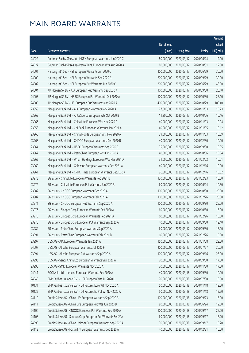|       |                                                              |              |                       |               | Amount      |
|-------|--------------------------------------------------------------|--------------|-----------------------|---------------|-------------|
|       |                                                              | No. of issue |                       |               | raised      |
| Code  | Derivative warrants                                          | (units)      | <b>Listing date</b>   | <b>Expiry</b> | (HK\$ mil.) |
| 24022 | Goldman Sachs SP (Asia) - HKEX European Warrants Jun 2020 C  | 80,000,000   | 2020/03/17            | 2020/06/24    | 12.00       |
| 24027 | Goldman Sachs SP (Asia) - PetroChina European Wts Aug 2020 A | 80,000,000   | 2020/03/17            | 2020/08/31    | 12.00       |
| 24001 | Haitong Int'l Sec - HSI European Warrants Jun 2020 C         | 200,000,000  | 2020/03/17            | 2020/06/29    | 30.00       |
| 24000 | Haitong Int'l Sec - HSI European Warrants Sep 2020 A         | 200,000,000  | 2020/03/17            | 2020/09/29    | 30.00       |
| 24002 | Haitong Int'l Sec - HSI European Put Warrants Jun 2020 C     | 200,000,000  | 2020/03/17            | 2020/06/29    | 48.00       |
| 24004 | J P Morgan SP BV - AIA European Put Warrants Sep 2020 A      | 100,000,000  | 2020/03/17            | 2020/09/30    | 25.10       |
| 24003 | J P Morgan SP BV - HSBC European Put Warrants Oct 2020 A     | 100,000,000  | 2020/03/17            | 2020/10/30    | 25.10       |
| 24005 | J P Morgan SP BV - HSI European Put Warrants Oct 2020 A      | 400,000,000  | 2020/03/17            | 2020/10/29    | 100.40      |
| 23959 | Macquarie Bank Ltd. - AIA European Warrants Nov 2020 A       | 27,000,000   | 2020/03/17            | 2020/11/03    | 10.23       |
| 23969 | Macquarie Bank Ltd. - Anta Sports European Wts Oct 2020 B    | 11,800,000   | 2020/03/17            | 2020/10/06    | 10.16       |
| 23966 | Macquarie Bank Ltd. - China Life European Wts Nov 2020 A     | 40,000,000   | 2020/03/17            | 2020/11/03    | 10.04       |
| 23958 | Macquarie Bank Ltd. - CM Bank European Warrants Jan 2021 A   | 40,000,000   | 2020/03/17            | 2021/01/05    | 10.12       |
| 23965 | Macquarie Bank Ltd. - China Mobile European Wts Nov 2020 A   | 29,000,000   | 2020/03/17            | 2020/11/03    | 10.09       |
| 23968 | Macquarie Bank Ltd. - CNOOC European Warrants Dec 2020 B     | 40,000,000   | 2020/03/17            | 2020/12/30    | 10.00       |
| 23964 | Macquarie Bank Ltd. - HSBC European Warrants Sep 2020 B      | 35,000,000   | 2020/03/17            | 2020/09/30    | 10.05       |
| 23967 | Macquarie Bank Ltd. - PetroChina European Wts Oct 2020 A     | 40,000,000   | 2020/03/17            | 2020/10/06    | 10.04       |
| 23962 | Macquarie Bank Ltd. - Wharf Holdings European Wts Mar 2021 A | 31,000,000   | 2020/03/17            | 2021/03/02    | 10.01       |
| 23960 | Macquarie Bank Ltd. - Goldwind European Warrants Dec 2021 A  | 40,000,000   | 2020/03/17            | 2021/12/16    | 10.00       |
| 23961 | Macquarie Bank Ltd. - CRRC Times European Warrants Dec2020 A | 26,500,000   | 2020/03/17            | 2020/12/16    | 10.02       |
| 23973 | SG Issuer - China Life European Warrants Feb 2021 B          | 120,000,000  | 2020/03/17            | 2021/02/23    | 18.00       |
| 23972 | SG Issuer - China Life European Put Warrants Jun 2020 B      | 60,000,000   | 2020/03/17            | 2020/06/24    | 10.50       |
| 23982 | SG Issuer - CNOOC European Warrants Oct 2020 A               | 100,000,000  | 2020/03/17            | 2020/10/30    | 25.00       |
| 23987 | SG Issuer - CNOOC European Warrants Feb 2021 A               | 100,000,000  | 2020/03/17            | 2021/02/26    | 25.00       |
| 23971 | SG Issuer - CNOOC European Put Warrants Sep 2020 A           | 100,000,000  | 2020/03/17            | 2020/09/30    | 25.00       |
| 23976 | SG Issuer - Sinopec Corp European Warrants Oct 2020 A        | 60,000,000   | 2020/03/17            | 2020/10/30    | 15.00       |
| 23978 | SG Issuer - Sinopec Corp European Warrants Feb 2021 A        | 60,000,000   | 2020/03/17            | 2021/02/26    | 15.00       |
| 23970 | SG Issuer - Sinopec Corp European Put Warrants Sep 2020 A    |              | 40,000,000 2020/03/17 | 2020/09/30    | 12.40       |
| 23989 | SG Issuer - PetroChina European Warrants Sep 2020 A          | 60,000,000   | 2020/03/17            | 2020/09/30    | 15.00       |
| 23991 | SG Issuer - PetroChina European Warrants Feb 2021 B          | 60,000,000   | 2020/03/17            | 2021/02/26    | 15.00       |
| 23997 | UBS AG - AIA European Warrants Jan 2021 A                    | 150,000,000  | 2020/03/17            | 2021/01/08    | 22.50       |
| 24007 | UBS AG - Alibaba European Warrants Jul 2020 F                | 200,000,000  | 2020/03/17            | 2020/07/27    | 30.00       |
| 23994 | UBS AG - Alibaba European Put Warrants Sep 2020 A            | 100,000,000  | 2020/03/17            | 2020/09/16    | 25.00       |
| 23993 | UBS AG - Sands China Ltd European Warrants Sep 2020 A        | 70,000,000   | 2020/03/17            | 2020/09/30    | 17.50       |
| 23995 | UBS AG - SMIC European Warrants Nov 2020 A                   | 70,000,000   | 2020/03/17            | 2020/11/30    | 17.50       |
| 24041 | BOCI Asia Ltd. - Lenovo European Warrants Sep 2020 A         | 40,000,000   | 2020/03/18            | 2020/09/30    | 10.00       |
| 24040 | BNP Paribas Issuance B.V. - HSI European Wts Jul 2020 D      | 70,000,000   | 2020/03/18            | 2020/07/30    | 10.50       |
| 10131 | BNP Paribas Issuance B.V. - Oil Futures Euro Wt Nov 2020 A   | 50,000,000   | 2020/03/18            | 2020/11/18    | 12.50       |
| 10132 | BNP Paribas Issuance B.V. - Oil Futures Eu Put Wt Nov 2020 A | 50,000,000   | 2020/03/18            | 2020/11/18    | 12.50       |
| 24110 | Credit Suisse AG - China Life European Warrants Sep 2020 B   | 100,000,000  | 2020/03/18            | 2020/09/23    | 15.00       |
| 24111 | Credit Suisse AG - China Life European Put Wts Jun 2020 B    | 80,000,000   | 2020/03/18            | 2020/06/24    | 12.00       |
| 24106 | Credit Suisse AG - CNOOC European Put Warrants Sep 2020 A    | 100,000,000  | 2020/03/18            | 2020/09/17    | 25.00       |
| 24108 | Credit Suisse AG - Sinopec Corp European Put Warrants Sep20A | 60,000,000   | 2020/03/18            | 2020/09/17    | 16.20       |
| 24099 | Credit Suisse AG - China Unicom European Warrants Sep 2020 A | 30,000,000   | 2020/03/18            | 2020/09/17    | 10.20       |
| 24112 | Credit Suisse AG - Fosun Intl European Warrants Dec 2020 A   | 40,000,000   | 2020/03/18            | 2020/12/31    | 10.00       |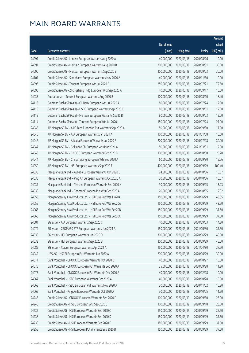|       |                                                              |              |                       |               | Amount      |
|-------|--------------------------------------------------------------|--------------|-----------------------|---------------|-------------|
|       |                                                              | No. of issue |                       |               | raised      |
| Code  | Derivative warrants                                          | (units)      | <b>Listing date</b>   | <b>Expiry</b> | (HK\$ mil.) |
| 24097 | Credit Suisse AG - Lenovo European Warrants Aug 2020 A       | 40,000,000   | 2020/03/18            | 2020/08/26    | 10.00       |
| 24091 | Credit Suisse AG - Meituan European Warrants Aug 2020 B      | 200,000,000  | 2020/03/18            | 2020/08/31    | 30.00       |
| 24090 | Credit Suisse AG - Meituan European Warrants Sep 2020 B      | 200,000,000  | 2020/03/18            | 2020/09/03    | 30.00       |
| 24101 | Credit Suisse AG - Sinopharm European Warrants Nov 2020 A    | 40,000,000   | 2020/03/18            | 2020/11/30    | 10.00       |
| 24096 | Credit Suisse AG - Tencent European Wts Jul 2020 D           | 250,000,000  | 2020/03/18            | 2020/07/21    | 72.50       |
| 24098 | Credit Suisse AG - Zhongsheng Hldg European Wts Sep 2020 A   | 40,000,000   | 2020/03/18            | 2020/09/17    | 10.00       |
| 24033 | Guotai Junan - Tencent European Warrants Aug 2020 B          | 100,000,000  | 2020/03/18            | 2020/08/10    | 18.40       |
| 24113 | Goldman Sachs SP (Asia) - CC Bank European Wts Jul 2020 A    | 80,000,000   | 2020/03/18            | 2020/07/24    | 12.00       |
| 24118 | Goldman Sachs SP (Asia) - HSBC European Warrants Sep 2020 C  | 80,000,000   | 2020/03/18            | 2020/09/01    | 12.00       |
| 24119 | Goldman Sachs SP (Asia) - Meituan European Warrants Sep20 B  | 80,000,000   | 2020/03/18            | 2020/09/03    | 12.00       |
| 24114 | Goldman Sachs SP (Asia) - Tencent European Wts Jul 2020 I    | 150,000,000  | 2020/03/18            | 2020/07/24    | 27.00       |
| 24045 | J P Morgan SP BV - AAC Tech European Put Warrants Sep 2020 A | 50,000,000   | 2020/03/18            | 2020/09/30    | 17.00       |
| 24048 | J P Morgan SP BV - AIA European Warrants Jan 2021 A          | 100,000,000  | 2020/03/18            | 2021/01/08    | 15.00       |
| 24046 | J P Morgan SP BV - Alibaba European Warrants Jul 2020 F      | 200,000,000  | 2020/03/18            | 2020/07/28    | 30.00       |
| 24047 | J P Morgan SP BV - Brilliance Chi European Wts Mar 2021 A    | 50,000,000   | 2020/03/18            | 2021/03/31    | 12.50       |
| 24043 | J P Morgan SP BV - CNOOC European Warrants Oct 2020 B        | 100,000,000  | 2020/03/18            | 2020/10/30    | 25.20       |
| 24044 | J P Morgan SP BV - China Taiping European Wts Sep 2020 A     | 60,000,000   | 2020/03/18            | 2020/09/30    | 15.06       |
| 24050 | J P Morgan SP BV - HSI European Warrants Sep 2020 E          | 400,000,000  | 2020/03/18            | 2020/09/29    | 100.40      |
| 24036 | Macquarie Bank Ltd. - Alibaba European Warrants Oct 2020 B   | 24,500,000   | 2020/03/18            | 2020/10/06    | 10.07       |
| 24035 | Macquarie Bank Ltd. - Ping An European Warrants Oct 2020 A   | 20,500,000   | 2020/03/18            | 2020/10/06    | 10.07       |
| 24037 | Macquarie Bank Ltd. - Tencent European Warrants Sep 2020 H   | 30,000,000   | 2020/03/18            | 2020/09/25    | 13.23       |
| 24038 | Macquarie Bank Ltd. - Tencent European Put Wts Oct 2020 A    | 20,000,000   | 2020/03/18            | 2020/10/05    | 12.92       |
| 24053 | Morgan Stanley Asia Products Ltd. - HSI Euro Put Wts Jun20A  | 150,000,000  | 2020/03/18            | 2020/06/29    | 43.35       |
| 24055 | Morgan Stanley Asia Products Ltd. - HSI Euro Put Wts Sep20A  | 150,000,000  | 2020/03/18            | 2020/09/29    | 43.50       |
| 24065 | Morgan Stanley Asia Products Ltd. - HSI Euro Put Wts Sep20B  | 150,000,000  | 2020/03/18            | 2020/09/29    | 37.50       |
| 24066 | Morgan Stanley Asia Products Ltd. - HSI Euro Put Wts Sep20C  | 150,000,000  | 2020/03/18            | 2020/09/29    | 37.50       |
| 24081 | SG Issuer - AIA European Warrants Sep 2020 C                 |              | 40,000,000 2020/03/18 | 2020/09/03    | 14.80       |
| 24079 | SG Issuer - CSOP A50 ETF European Warrants Jun 2021 A        | 150,000,000  | 2020/03/18            | 2021/06/30    | 37.50       |
| 24030 | SG Issuer - HSI European Warrants Jun 2020 D                 | 300,000,000  | 2020/03/18            | 2020/06/29    | 45.00       |
| 24032 | SG Issuer - HSI European Warrants Sep 2020 B                 | 300,000,000  | 2020/03/18            | 2020/09/29    | 45.00       |
| 24089 | SG Issuer - Xiaomi European Warrants Apr 2021 A              | 150,000,000  | 2020/03/18            | 2021/04/30    | 37.50       |
| 24042 | UBS AG - HSCEI European Put Warrants Jun 2020 A              | 200,000,000  | 2020/03/18            | 2020/06/29    | 30.00       |
| 24071 | Bank Vontobel - CNOOC European Warrants Oct 2020 B           | 40,000,000   | 2020/03/18            | 2020/10/27    | 10.00       |
| 24075 | Bank Vontobel - CNOOC European Put Warrants Sep 2020 A       | 35,000,000   | 2020/03/18            | 2020/09/28    | 11.20       |
| 24073 | Bank Vontobel - CNOOC European Put Warrants Dec 2020 A       | 40,000,000   | 2020/03/18            | 2020/12/28    | 10.00       |
| 24067 | Bank Vontobel - HSBC European Warrants Oct 2020 A            | 40,000,000   | 2020/03/18            | 2020/10/28    | 10.00       |
| 24068 | Bank Vontobel - HSBC European Put Warrants Nov 2020 A        | 30,000,000   | 2020/03/18            | 2020/11/02    | 10.80       |
| 24069 | Bank Vontobel - Ping An European Warrants Oct 2020 A         | 30,000,000   | 2020/03/18            | 2020/10/05    | 11.70       |
| 24243 | Credit Suisse AG - CNOOC European Warrants Sep 2020 D        | 100,000,000  | 2020/03/19            | 2020/09/30    | 25.00       |
| 24240 | Credit Suisse AG - HSBC European Wts Sep 2020 C              | 100,000,000  | 2020/03/19            | 2020/09/18    | 25.00       |
| 24237 | Credit Suisse AG - HSI European Warrants Sep 2020 C          | 150,000,000  | 2020/03/19            | 2020/09/29    | 37.50       |
| 24238 | Credit Suisse AG - HSI European Warrants Sep 2020 D          | 150,000,000  | 2020/03/19            | 2020/09/29    | 37.50       |
| 24239 | Credit Suisse AG - HSI European Warrants Sep 2020 E          | 150,000,000  | 2020/03/19            | 2020/09/29    | 37.50       |
| 24255 | Credit Suisse AG - HSI European Put Warrants Sep 2020 B      | 150,000,000  | 2020/03/19            | 2020/09/29    | 37.50       |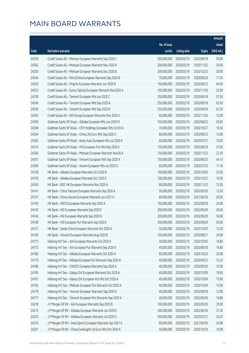|       |                                                              |                        |                     |               | Amount      |
|-------|--------------------------------------------------------------|------------------------|---------------------|---------------|-------------|
|       |                                                              | No. of issue           |                     |               | raised      |
| Code  | Derivative warrants                                          | (units)                | <b>Listing date</b> | <b>Expiry</b> | (HK\$ mil.) |
| 24259 | Credit Suisse AG - Meituan European Warrants Sep 2020 C      | 200,000,000            | 2020/03/19          | 2020/09/18    | 50.00       |
| 24262 | Credit Suisse AG - Meituan European Warrants Nov 2020 A      | 200,000,000            | 2020/03/19          | 2020/11/25    | 30.00       |
| 24250 | Credit Suisse AG - Meituan European Warrants Dec 2020 B      | 200,000,000            | 2020/03/19          | 2020/12/23    | 30.00       |
| 24244 | Credit Suisse AG - PetroChina European Warrants Sep 2020 B   | 70,000,000             | 2020/03/19          | 2020/09/30    | 17.50       |
| 24256 | Credit Suisse AG - Ping An European Warrants Jun 2020 D      | 150,000,000            | 2020/03/19          | 2020/06/22    | 45.00       |
| 24253 | Credit Suisse AG - Sunny Optical European Warrants Nov2020 A | 100,000,000            | 2020/03/19          | 2020/11/30    | 25.00       |
| 24258 | Credit Suisse AG - Tencent European Wts Jun 2020 C           | 250,000,000            | 2020/03/19          | 2020/06/18    | 57.50       |
| 24246 | Credit Suisse AG - Tencent European Wts Sep 2020 A           | 250,000,000            | 2020/03/19          | 2020/09/18    | 62.50       |
| 24249 | Credit Suisse AG - Tencent European Wts Sep 2020 B           | 250,000,000            | 2020/03/19          | 2020/09/18    | 62.50       |
| 24263 | Credit Suisse AG - WH Group European Warrants Nov 2020 A     | 60,000,000             | 2020/03/19          | 2020/11/30    | 15.00       |
| 24309 | Goldman Sachs SP (Asia) - Alibaba European Wts Jun 2020 M    | 150,000,000            | 2020/03/19          | 2020/06/23    | 29.85       |
| 24298 | Goldman Sachs SP (Asia) - CKH Holdings European Wts Oct20 A  | 70,000,000             | 2020/03/19          | 2020/10/27    | 10.50       |
| 24304 | Goldman Sachs SP (Asia) - China Life Euro Wts Sep 2020 C     | 80,000,000             | 2020/03/19          | 2020/09/23    | 12.00       |
| 24305 | Goldman Sachs SP (Asia) - Geely Auto European Wts Jul 2020 A | 60,000,000             | 2020/03/19          | 2020/07/31    | 10.50       |
| 24310 | Goldman Sachs SP (Asia) - HSI European Put Wts Sep 2020 A    | 150,000,000            | 2020/03/19          | 2020/09/29    | 37.50       |
| 24306 | Goldman Sachs SP (Asia) - Meituan European Warrants Nov20 A  | 150,000,000            | 2020/03/19          | 2020/11/23    | 22.50       |
| 24301 | Goldman Sachs SP (Asia) - Tencent European Wts Sep 2020 A    | 150,000,000            | 2020/03/19          | 2020/09/25    | 44.10       |
| 24308 | Goldman Sachs SP (Asia) - Xiaomi European Wts Jul 2020 G     | 60,000,000             | 2020/03/19          | 2020/07/23    | 11.16       |
| 24138 | HK Bank - Alibaba European Warrants Oct 2020 D               | 100,000,000            | 2020/03/19          | 2020/10/05    | 25.00       |
| 24159 | HK Bank - Alibaba European Warrants Oct 2020 E               | 100,000,000            | 2020/03/19          | 2020/10/22    | 16.00       |
| 24160 | HK Bank - BOC HK European Warrants Nov 2020 A                | 80,000,000             | 2020/03/19          | 2020/11/23    | 12.00       |
| 24141 | HK Bank - China Telecom European Warrants Sep 2020 A         | 50,000,000             | 2020/03/19          | 2020/09/30    | 12.50       |
| 24157 | HK Bank - China Unicom European Warrants Jun 2021 A          | 80,000,000             | 2020/03/19          | 2021/06/30    | 20.00       |
| 24145 | HK Bank - HSCEI European Warrants Sep 2020 A                 | 150,000,000            | 2020/03/19          | 2020/09/29    | 24.00       |
| 24143 | HK Bank - HSI European Warrants Sep 2020 F                   | 200,000,000            | 2020/03/19          | 2020/09/29    | 50.00       |
| 24146 | HK Bank - HSI European Warrants Sep 2020 G                   | 200,000,000            | 2020/03/19          | 2020/09/29    | 50.00       |
| 24158 | HK Bank - HSI European Put Warrants Sep 2020 E               | 200,000,000 2020/03/19 |                     | 2020/09/29    | 50.00       |
| 24137 | HK Bank - Sands China European Warrants Oct 2020 A           | 50,000,000             | 2020/03/19          | 2020/10/05    | 12.50       |
| 24156 | HK Bank - Tencent European Warrants Aug 2020 B               | 100,000,000            | 2020/03/19          | 2020/08/27    | 24.00       |
| 24173 | Haitong Int'l Sec - AIA European Warrants Oct 2020 A         | 40,000,000             | 2020/03/19          | 2020/10/05    | 14.80       |
| 24172 | Haitong Int'l Sec - AIA European Put Warrants Sep 2020 A     | 40,000,000             | 2020/03/19          | 2020/09/30    | 16.80       |
| 24180 | Haitong Int'l Sec - Alibaba European Warrants Oct 2020 A     | 80,000,000             | 2020/03/19          | 2020/10/23    | 20.00       |
| 24179 | Haitong Int'l Sec - Alibaba European Put Warrants Sep 2020 A | 40,000,000             | 2020/03/19          | 2020/09/25    | 15.20       |
| 24188 | Haitong Int'l Sec - CNOOC European Warrants Sep 2020 A       | 40,000,000             | 2020/03/19          | 2020/09/30    | 10.00       |
| 24185 | Haitong Int'l Sec - Galaxy Ent European Warrants Oct 2020 A  | 40,000,000             | 2020/03/19          | 2020/10/09    | 18.00       |
| 24181 | Haitong Int'l Sec - Galaxy Ent European Put Wts Oct 2020 A   | 40,000,000             | 2020/03/19          | 2020/10/09    | 15.60       |
| 24192 | Haitong Int'l Sec - Meituan European Put Warrants Oct 2020 A | 60,000,000             | 2020/03/19          | 2020/10/30    | 15.00       |
| 24178 | Haitong Int'l Sec - Tencent European Warrants Sep 2020 A     | 40,000,000             | 2020/03/19          | 2020/09/29    | 12.80       |
| 24177 | Haitong Int'l Sec - Tencent European Put Warrants Sep 2020 A | 40,000,000             | 2020/03/19          | 2020/09/30    | 10.80       |
| 24218 | J P Morgan SP BV - AIA European Warrants Sep 2020 B          | 100,000,000            | 2020/03/19          | 2020/09/30    | 29.00       |
| 24213 | J P Morgan SP BV - Alibaba European Warrants Jun 2020 E      | 200,000,000            | 2020/03/19          | 2020/06/30    | 31.20       |
| 24235 | J P Morgan SP BV - Alibaba European Warrants Jul 2020 G      | 200,000,000            | 2020/03/19          | 2020/07/31    | 30.20       |
| 24210 | J P Morgan SP BV - Anta Sports European Warrants Apr 2021 A  | 80,000,000             | 2020/03/19          | 2021/04/30    | 20.08       |
| 24207 | J P Morgan SP BV - China Everbright Ltd Euro Wts Oct 2020 A  | 40,000,000             | 2020/03/19          | 2020/10/30    | 10.08       |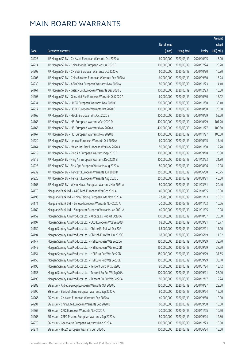|       |                                                              |              |                       |               | Amount      |
|-------|--------------------------------------------------------------|--------------|-----------------------|---------------|-------------|
|       |                                                              | No. of issue |                       |               | raised      |
| Code  | Derivative warrants                                          | (units)      | <b>Listing date</b>   | <b>Expiry</b> | (HK\$ mil.) |
| 24223 | J P Morgan SP BV - CK Asset European Warrants Oct 2020 A     | 60,000,000   | 2020/03/19            | 2020/10/05    | 15.00       |
| 24214 | J P Morgan SP BV - China Mobile European Wts Jul 2020 B      | 100,000,000  | 2020/03/19            | 2020/07/24    | 28.20       |
| 24208 | J P Morgan SP BV - CR Beer European Warrants Oct 2020 A      | 60,000,000   | 2020/03/19            | 2020/10/30    | 16.80       |
| 24205 | J P Morgan SP BV - China Unicom European Warrants Sep 2020 A | 60,000,000   | 2020/03/19            | 2020/09/30    | 15.24       |
| 24230 | J P Morgan SP BV - A50 China European Warrants Nov 2020 A    | 80,000,000   | 2020/03/19            | 2020/11/23    | 14.40       |
| 24161 | J P Morgan SP BV - Galaxy Ent European Warrants Dec 2020 B   | 100,000,000  | 2020/03/19            | 2020/12/23    | 15.30       |
| 24203 | J P Morgan SP BV - Genscript Bio European Warrants Oct2020 A | 60,000,000   | 2020/03/19            | 2020/10/30    | 15.12       |
| 24234 | J P Morgan SP BV - HKEX European Warrants Nov 2020 C         | 200,000,000  | 2020/03/19            | 2020/11/30    | 30.40       |
| 24217 | J P Morgan SP BV - HSBC European Warrants Oct 2020 C         | 100,000,000  | 2020/03/19            | 2020/10/30    | 25.10       |
| 24165 | J P Morgan SP BV - HSCEI European Wts Oct 2020 B             | 200,000,000  | 2020/03/19            | 2020/10/29    | 52.20       |
| 24168 | J P Morgan SP BV - HSI European Warrants Oct 2020 D          | 400,000,000  | 2020/03/19            | 2020/10/29    | 101.20      |
| 24166 | J P Morgan SP BV - HSI European Warrants Nov 2020 A          | 400,000,000  | 2020/03/19            | 2020/11/27    | 100.80      |
| 24167 | J P Morgan SP BV - HSI European Warrants Nov 2020 B          | 400,000,000  | 2020/03/19            | 2020/11/27    | 100.00      |
| 24220 | J P Morgan SP BV - Lenovo European Warrants Oct 2020 A       | 60,000,000   | 2020/03/19            | 2020/10/05    | 17.46       |
| 24164 | J P Morgan SP BV - Melco Int'l Dev European Wts Nov 2020 A   | 50,000,000   | 2020/03/19            | 2020/11/30    | 12.70       |
| 24219 | J P Morgan SP BV - Ping An European Warrants Sep 2020 B      | 100,000,000  | 2020/03/19            | 2020/09/18    | 25.30       |
| 24212 | J P Morgan SP BV - Ping An European Warrants Dec 2021 B      | 200,000,000  | 2020/03/19            | 2021/12/23    | 31.80       |
| 24228 | J P Morgan SP BV - SHK Ppt European Warrants Aug 2020 A      | 80,000,000   | 2020/03/19            | 2020/08/06    | 12.08       |
| 24232 | J P Morgan SP BV - Tencent European Warrants Jun 2020 D      | 250,000,000  | 2020/03/19            | 2020/06/30    | 45.75       |
| 24225 | J P Morgan SP BV - Tencent European Warrants Aug 2020 E      | 250,000,000  | 2020/03/19            | 2020/08/21    | 46.50       |
| 24163 | J P Morgan SP BV - Wynn Macau European Warrants Mar 2021 A   | 80,000,000   | 2020/03/19            | 2021/03/31    | 20.40       |
| 24170 | Macquarie Bank Ltd. - AAC Tech European Wts Oct 2021 A       | 40,000,000   | 2020/03/19            | 2021/10/05    | 10.00       |
| 24193 | Macquarie Bank Ltd. - China Taiping European Wts Nov 2020 A  | 27,200,000   | 2020/03/19            | 2020/11/13    | 10.01       |
| 24171 | Macquarie Bank Ltd. - Lenovo European Warrants Nov 2020 A    | 20,000,000   | 2020/03/19            | 2020/11/03    | 10.06       |
| 24169 | Macquarie Bank Ltd. - Sinopharm European Warrants Jan 2021 A | 40,000,000   | 2020/03/19            | 2021/01/05    | 10.08       |
| 24152 | Morgan Stanley Asia Products Ltd. - Alibaba Eu Put Wt Oct20A | 100,000,000  | 2020/03/19            | 2020/10/07    | 25.00       |
| 24197 | Morgan Stanley Asia Products Ltd. - CCB European Wts Sep20B  |              | 68,000,000 2020/03/19 | 2020/09/21    | 18.77       |
| 24150 | Morgan Stanley Asia Products Ltd. - Ch Life Eu Put Wt Dec20A | 68,000,000   | 2020/03/19            | 2020/12/01    | 17.00       |
| 24194 | Morgan Stanley Asia Products Ltd. - Ch Mob Euro Wt Jun 2020C | 68,000,000   | 2020/03/19            | 2020/06/19    | 11.02       |
| 24147 | Morgan Stanley Asia Products Ltd. - HSI European Wts Sep20A  | 150,000,000  | 2020/03/19            | 2020/09/29    | 38.70       |
| 24149 | Morgan Stanley Asia Products Ltd. - HSI European Wts Sep20B  | 150,000,000  | 2020/03/19            | 2020/09/29    | 37.50       |
| 24154 | Morgan Stanley Asia Products Ltd. - HSI Euro Put Wts Sep20D  | 150,000,000  | 2020/03/19            | 2020/09/29    | 37.65       |
| 24155 | Morgan Stanley Asia Products Ltd. - HSI Euro Put Wts Sep20E  | 150,000,000  | 2020/03/19            | 2020/09/29    | 38.10       |
| 24196 | Morgan Stanley Asia Products Ltd. - Tencent Euro Wts Jul20B  | 80,000,000   | 2020/03/19            | 2020/07/24    | 13.12       |
| 24153 | Morgan Stanley Asia Products Ltd. - Tencent Eu Put Wt Sep20A | 100,000,000  | 2020/03/19            | 2020/09/21    | 25.00       |
| 24195 | Morgan Stanley Asia Products Ltd. - Tencent Eu Put Wt Dec20A | 80,000,000   | 2020/03/19            | 2020/12/17    | 12.24       |
| 24288 | SG Issuer - Alibaba Group European Warrants Oct 2020 C       | 150,000,000  | 2020/03/19            | 2020/10/27    | 28.50       |
| 24290 | SG Issuer - Bank of China European Warrants Sep 2020 A       | 80,000,000   | 2020/03/19            | 2020/09/24    | 12.00       |
| 24266 | SG Issuer - CK Asset European Warrants Sep 2020 A            | 40,000,000   | 2020/03/19            | 2020/09/30    | 10.00       |
| 24291 | SG Issuer - China Life European Warrants Sep 2020 B          | 60,000,000   | 2020/03/19            | 2020/09/30    | 15.00       |
| 24265 | SG Issuer - CPIC European Warrants Nov 2020 A                | 70,000,000   | 2020/03/19            | 2020/11/25    | 10.50       |
| 24268 | SG Issuer - CSPC Pharma European Warrants Sep 2020 A         | 80,000,000   | 2020/03/19            | 2020/09/24    | 12.80       |
| 24270 | SG Issuer - Geely Auto European Warrants Dec 2020 A          | 100,000,000  | 2020/03/19            | 2020/12/23    | 18.50       |
| 24271 | SG Issuer - HKEX European Warrants Jun 2020 C                | 100,000,000  | 2020/03/19            | 2020/06/24    | 15.00       |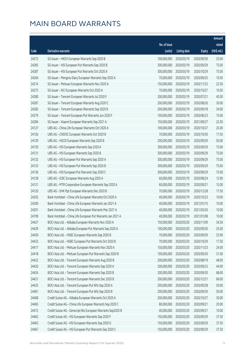|       |                                                              |                        |                     |               | Amount      |
|-------|--------------------------------------------------------------|------------------------|---------------------|---------------|-------------|
|       |                                                              | No. of issue           |                     |               | raised      |
| Code  | Derivative warrants                                          | (units)                | <b>Listing date</b> | <b>Expiry</b> | (HK\$ mil.) |
| 24272 | SG Issuer - HKEX European Warrants Sep 2020 B                | 100,000,000            | 2020/03/19          | 2020/09/30    | 25.00       |
| 24285 | SG Issuer - HSI European Put Warrants Sep 2020 B             | 300,000,000            | 2020/03/19          | 2020/09/29    | 75.00       |
| 24287 | SG Issuer - HSI European Put Warrants Oct 2020 A             | 300,000,000            | 2020/03/19          | 2020/10/29    | 75.00       |
| 24264 | SG Issuer - Mengniu Dairy European Warrants Sep 2020 A       | 70,000,000             | 2020/03/19          | 2020/09/25    | 10.50       |
| 24274 | SG Issuer - Meituan European Warrants Nov 2020 A             | 150,000,000            | 2020/03/19          | 2020/11/23    | 22.50       |
| 24275 | SG Issuer - NCI European Warrants Oct 2020 A                 | 70,000,000             | 2020/03/19          | 2020/10/27    | 10.50       |
| 24280 | SG Issuer - Tencent European Warrants Jul 2020 F             | 200,000,000            | 2020/03/19          | 2020/07/21    | 45.00       |
| 24281 | SG Issuer - Tencent European Warrants Aug 2020 C             | 200,000,000            | 2020/03/19          | 2020/08/26    | 30.00       |
| 24282 | SG Issuer - Tencent European Warrants Sep 2020 B             | 200,000,000            | 2020/03/19          | 2020/09/18    | 34.00       |
| 24279 | SG Issuer - Tencent European Put Warrants Jun 2020 F         | 100,000,000            | 2020/03/19          | 2020/06/23    | 15.00       |
| 24284 | SG Issuer - Xiaomi European Warrants Sep 2021 A              | 150,000,000            | 2020/03/19          | 2021/09/27    | 22.50       |
| 24127 | UBS AG - China Life European Warrants Oct 2020 A             | 100,000,000            | 2020/03/19          | 2020/10/27    | 25.00       |
| 24126 | UBS AG - CNOOC European Warrants Oct 2020 B                  | 70,000,000             | 2020/03/19          | 2020/10/30    | 17.50       |
| 24129 | UBS AG - HSCEI European Warrants Sep 2020 B                  | 200,000,000            | 2020/03/19          | 2020/09/29    | 50.00       |
| 24130 | UBS AG - HSI European Warrants Sep 2020 A                    | 300,000,000            | 2020/03/19          | 2020/09/29    | 75.00       |
| 24131 | UBS AG - HSI European Warrants Sep 2020 B                    | 300,000,000            | 2020/03/19          | 2020/09/29    | 75.00       |
| 24132 | UBS AG - HSI European Put Warrants Sep 2020 A                | 300,000,000            | 2020/03/19          | 2020/09/29    | 75.00       |
| 24133 | UBS AG - HSI European Put Warrants Sep 2020 B                | 300,000,000            | 2020/03/19          | 2020/09/29    | 75.00       |
| 24136 | UBS AG - HSI European Put Warrants Sep 2020 C                | 300,000,000            | 2020/03/19          | 2020/09/29    | 75.00       |
| 24128 | UBS AG - ICBC European Warrants Aug 2020 A                   | 60,000,000             | 2020/03/19          | 2020/08/24    | 12.90       |
| 24121 | UBS AG - MTR Corporation European Warrants Sep 2020 A        | 60,000,000             | 2020/03/19          | 2020/09/21    | 15.00       |
| 24120 | UBS AG - SHK Ppt European Warrants Dec 2020 B                | 70,000,000             | 2020/03/19          | 2020/12/28    | 17.50       |
| 24202 | Bank Vontobel - China Life European Warrants Oct 2020 A      | 40,000,000             | 2020/03/19          | 2020/10/23    | 10.00       |
| 24200 | Bank Vontobel - China Life European Warrants Jan 2021 A      | 40,000,000             | 2020/03/19          | 2021/01/15    | 10.00       |
| 24201 | Bank Vontobel - China Life European Warrants Mar 2021 A      | 40,000,000             | 2020/03/19          | 2021/03/26    | 10.00       |
| 24199 | Bank Vontobel - China Life European Put Warrants Jan 2021 A  | 40,000,000             | 2020/03/19          | 2021/01/08    | 10.00       |
| 24427 | BOCI Asia Ltd. - Alibaba European Warrants Nov 2020 A        | 150,000,000 2020/03/20 |                     | 2020/11/09    | 34.50       |
| 24429 | BOCI Asia Ltd. - Alibaba European Put Warrants Sep 2020 A    | 100,000,000            | 2020/03/20          | 2020/09/30    | 25.00       |
| 24430 | BOCI Asia Ltd. - HSBC European Warrants Sep 2020 B           | 70,000,000             | 2020/03/20          | 2020/09/29    | 25.90       |
| 24433 | BOCI Asia Ltd. - HSBC European Put Warrants Oct 2020 B       | 70,000,000             | 2020/03/20          | 2020/10/29    | 17.50       |
| 24417 | BOCI Asia Ltd. - Meituan European Warrants Nov 2020 A        | 150,000,000            | 2020/03/20          | 2020/11/23    | 24.00       |
| 24418 | BOCI Asia Ltd. - Meituan European Put Warrants Sep 2020 B    | 100,000,000            | 2020/03/20          | 2020/09/30    | 31.00       |
| 24422 | BOCI Asia Ltd. - Tencent European Warrants Aug 2020 B        | 200,000,000            | 2020/03/20          | 2020/08/19    | 48.00       |
| 24420 | BOCI Asia Ltd. - Tencent European Warrants Sep 2020 A        | 200,000,000            | 2020/03/20          | 2020/09/23    | 44.00       |
| 24424 | BOCI Asia Ltd. - Tencent European Warrants Sep 2020 B        | 200,000,000            | 2020/03/20          | 2020/09/30    | 68.00       |
| 24421 | BOCI Asia Ltd. - Tencent European Warrants Dec 2020 B        | 200,000,000            | 2020/03/20          | 2020/12/21    | 66.00       |
| 24425 | BOCI Asia Ltd. - Tencent European Put Wts Sep 2020 A         | 200,000,000            | 2020/03/20          | 2020/09/28    | 50.00       |
| 24461 | BOCI Asia Ltd. - Tencent European Put Wts Sep 2020 B         | 200,000,000            | 2020/03/20          | 2020/09/30    | 50.00       |
| 24468 | Credit Suisse AG - Alibaba European Warrants Oct 2020 A      | 200,000,000            | 2020/03/20          | 2020/10/27    | 30.00       |
| 24465 | Credit Suisse AG - China Life European Warrants Sep 2020 C   | 80,000,000             | 2020/03/20          | 2020/09/21    | 20.00       |
| 24472 | Credit Suisse AG - Genscript Bio European Warrants Sep2020 B | 40,000,000             | 2020/03/20          | 2020/09/21    | 10.00       |
| 24462 | Credit Suisse AG - HSI European Warrants Sep 2020 F          | 150,000,000            | 2020/03/20          | 2020/09/29    | 37.50       |
| 24463 | Credit Suisse AG - HSI European Warrants Sep 2020 G          | 150,000,000            | 2020/03/20          | 2020/09/29    | 37.50       |
| 24467 | Credit Suisse AG - HSI European Put Warrants Sep 2020 C      | 150,000,000            | 2020/03/20          | 2020/09/29    | 37.50       |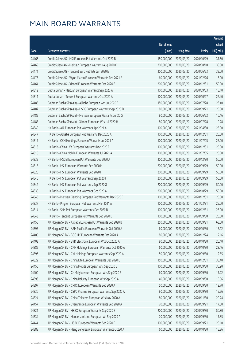|       |                                                              |                        |                     |               | Amount      |
|-------|--------------------------------------------------------------|------------------------|---------------------|---------------|-------------|
|       |                                                              | No. of issue           |                     |               | raised      |
| Code  | Derivative warrants                                          | (units)                | <b>Listing date</b> | <b>Expiry</b> | (HK\$ mil.) |
| 24466 | Credit Suisse AG - HSI European Put Warrants Oct 2020 B      | 150,000,000            | 2020/03/20          | 2020/10/29    | 37.50       |
| 24469 | Credit Suisse AG - Meituan European Warrants Aug 2020 C      | 200,000,000            | 2020/03/20          | 2020/08/10    | 38.00       |
| 24471 | Credit Suisse AG - Tencent Euro Put Wts Jun 2020 E           | 200,000,000            | 2020/03/20          | 2020/06/23    | 32.00       |
| 24475 | Credit Suisse AG - Wynn Macau European Warrants Feb 2021 A   | 60,000,000             | 2020/03/20          | 2021/02/26    | 15.00       |
| 24464 | Credit Suisse AG - Xiaomi European Warrants Dec 2020 E       | 200,000,000            | 2020/03/20          | 2020/12/31    | 50.00       |
| 24312 | Guotai Junan - Meituan European Warrants Sep 2020 A          | 100,000,000            | 2020/03/20          | 2020/09/03    | 18.10       |
| 24311 | Guotai Junan - Tencent European Warrants Oct 2020 A          | 100,000,000            | 2020/03/20          | 2020/10/27    | 26.40       |
| 24486 | Goldman Sachs SP (Asia) - Alibaba European Wts Jul 2020 E    | 150,000,000            | 2020/03/20          | 2020/07/28    | 23.40       |
| 24487 | Goldman Sachs SP (Asia) - HSBC European Warrants Sep 2020 D  | 80,000,000             | 2020/03/20          | 2020/09/21    | 20.00       |
| 24482 | Goldman Sachs SP (Asia) - Meituan European Warrants Jun20 G  | 80,000,000             | 2020/03/20          | 2020/06/22    | 16.16       |
| 24483 | Goldman Sachs SP (Asia) - Xiaomi European Wts Jul 2020 H     | 80,000,000             | 2020/03/20          | 2020/07/28    | 19.28       |
| 24349 | HK Bank - AIA European Put Warrants Apr 2021 A               | 100,000,000            | 2020/03/20          | 2021/04/30    | 25.00       |
| 24347 | HK Bank - Alibaba European Put Warrants Dec 2020 A           | 100,000,000            | 2020/03/20          | 2020/12/31    | 25.00       |
| 24317 | HK Bank - CKH Holdings European Warrants Jul 2021 A          | 100,000,000            | 2020/03/20          | 2021/07/05    | 25.00       |
| 24313 | HK Bank - China Life European Warrants Dec 2020 B            | 100,000,000            | 2020/03/20          | 2020/12/31    | 25.00       |
| 24315 | HK Bank - China Mobile European Warrants Jul 2021 A          | 100,000,000            | 2020/03/20          | 2021/07/05    | 25.00       |
| 24339 | HK Bank - HSCEI European Put Warrants Dec 2020 A             | 200,000,000            | 2020/03/20          | 2020/12/30    | 50.00       |
| 24318 | HK Bank - HSI European Warrants Sep 2020 H                   | 200,000,000            | 2020/03/20          | 2020/09/29    | 50.00       |
| 24320 | HK Bank - HSI European Warrants Sep 2020 I                   | 200,000,000            | 2020/03/20          | 2020/09/29    | 50.00       |
| 24340 | HK Bank - HSI European Put Warrants Sep 2020 F               | 200,000,000            | 2020/03/20          | 2020/09/29    | 50.00       |
| 24342 | HK Bank - HSI European Put Warrants Sep 2020 G               | 200,000,000            | 2020/03/20          | 2020/09/29    | 50.00       |
| 24338 | HK Bank - HSI European Put Warrants Oct 2020 A               | 200,000,000            | 2020/03/20          | 2020/10/29    | 50.00       |
| 24346 | HK Bank - Meituan Dianping European Put Warrants Dec 2020 B  | 100,000,000            | 2020/03/20          | 2020/12/31    | 25.00       |
| 24337 | HK Bank - Ping An European Put Warrants Mar 2021 A           | 100,000,000            | 2020/03/20          | 2021/03/31    | 25.00       |
| 24314 | HK Bank - SHK Ppt European Warrants Dec 2020 B               | 100,000,000            | 2020/03/20          | 2020/12/31    | 25.00       |
| 24343 | HK Bank - Tencent European Put Warrants Sep 2020 B           | 100,000,000            | 2020/03/20          | 2020/09/30    | 25.00       |
| 24455 | J P Morgan SP BV - Alibaba European Put Warrants Sep 2020 B  | 250,000,000 2020/03/20 |                     | 2020/09/21    | 63.00       |
| 24395 | J P Morgan SP BV - ASM Pacific European Warrants Oct 2020 A  | 60,000,000             | 2020/03/20          | 2020/10/30    | 15.12       |
| 24405 | J P Morgan SP BV - BOC HK European Warrants Dec 2020 A       | 80,000,000             | 2020/03/20          | 2020/12/24    | 12.16       |
| 24403 | J P Morgan SP BV - BYD Electronic European Wts Oct 2020 A    | 80,000,000             | 2020/03/20          | 2020/10/30    | 20.40       |
| 24382 | J P Morgan SP BV - CKH Holdings European Warrants Oct 2020 A | 60,000,000             | 2020/03/20          | 2020/10/30    | 23.46       |
| 24396 | J P Morgan SP BV - CKI Holdings European Warrants Sep 2020 A | 50,000,000             | 2020/03/20          | 2020/09/30    | 12.85       |
| 24322 | J P Morgan SP BV - China Life European Warrants Dec 2020 E   | 150,000,000            | 2020/03/20          | 2020/12/31    | 38.40       |
| 24450 | J P Morgan SP BV - China Mobile European Wts Sep 2020 B      | 100,000,000            | 2020/03/20          | 2020/09/30    | 35.90       |
| 24400 | J P Morgan SP BV - Ch Molybdenum European Wts Sep 2020 B     | 60,000,000             | 2020/03/20          | 2020/09/30    | 17.22       |
| 24393 | J P Morgan SP BV - China Railway European Wts Sep 2020 A     | 40,000,000             | 2020/03/20          | 2020/09/30    | 10.56       |
| 24397 | J P Morgan SP BV - CRRC European Warrants Sep 2020 A         | 50,000,000             | 2020/03/20          | 2020/09/30    | 12.70       |
| 24336 | J P Morgan SP BV - CSPC Pharma European Warrants Sep 2020 A  | 80,000,000             | 2020/03/20          | 2020/09/30    | 15.76       |
| 24324 | J P Morgan SP BV - China Telecom European Wts Nov 2020 A     | 80,000,000             | 2020/03/20          | 2020/11/30    | 20.24       |
| 24457 | J P Morgan SP BV - Evergrande European Warrants Sep 2020 A   | 70,000,000             | 2020/03/20          | 2020/09/21    | 17.50       |
| 24321 | J P Morgan SP BV - HKEX European Warrants Sep 2020 B         | 200,000,000            | 2020/03/20          | 2020/09/30    | 50.80       |
| 24334 | J P Morgan SP BV - Henderson Land European Wt Sep 2020 A     | 70,000,000             | 2020/03/20          | 2020/09/30    | 17.85       |
| 24444 | J P Morgan SP BV - HSBC European Warrants Sep 2020 E         | 100,000,000            | 2020/03/20          | 2020/09/21    | 25.10       |
| 24388 | J P Morgan SP BV - Hang Seng Bank European Warrants Oct20 A  | 60,000,000             | 2020/03/20          | 2020/10/30    | 15.36       |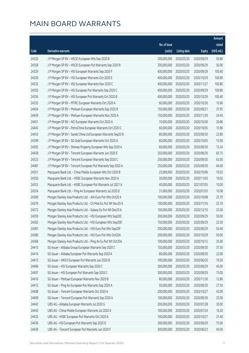|       |                                                              |                        |                     |               | Amount      |
|-------|--------------------------------------------------------------|------------------------|---------------------|---------------|-------------|
|       |                                                              | No. of issue           |                     |               | raised      |
| Code  | Derivative warrants                                          | (units)                | <b>Listing date</b> | <b>Expiry</b> | (HK\$ mil.) |
| 24325 | J P Morgan SP BV - HSCEI European Wts Sep 2020 B             | 200,000,000            | 2020/03/20          | 2020/09/29    | 50.80       |
| 24358 | J P Morgan SP BV - HSCEI European Put Warrants Sep 2020 B    | 200,000,000            | 2020/03/20          | 2020/09/29    | 50.00       |
| 24329 | J P Morgan SP BV - HSI European Warrants Sep 2020 F          | 400,000,000            | 2020/03/20          | 2020/09/29    | 100.40      |
| 24326 | J P Morgan SP BV - HSI European Warrants Oct 2020 E          | 400,000,000            | 2020/03/20          | 2020/10/29    | 100.80      |
| 24332 | J P Morgan SP BV - HSI European Warrants Nov 2020 C          | 400,000,000            | 2020/03/20          | 2020/11/27    | 100.80      |
| 24355 | J P Morgan SP BV - HSI European Put Warrants Sep 2020 C      | 400,000,000            | 2020/03/20          | 2020/09/29    | 100.80      |
| 24356 | J P Morgan SP BV - HSI European Put Warrants Oct 2020 B      | 400,000,000            | 2020/03/20          | 2020/10/29    | 100.40      |
| 24335 | J P Morgan SP BV - MTRC European Warrants Oct 2020 A         | 60,000,000             | 2020/03/20          | 2020/10/30    | 15.66       |
| 24454 | J P Morgan SP BV - Meituan European Warrants Sep 2020 B      | 150,000,000            | 2020/03/20          | 2020/09/21    | 37.95       |
| 24459 | J P Morgan SP BV - Meituan European Warrants Nov 2020 A      | 150,000,000            | 2020/03/20          | 2020/11/30    | 24.45       |
| 24451 | J P Morgan SP BV - NCI European Warrants Oct 2020 A          | 70,000,000             | 2020/03/20          | 2020/10/30    | 20.86       |
| 24445 | J P Morgan SP BV - PetroChina European Warrants Oct 2020 C   | 60,000,000             | 2020/03/20          | 2020/10/05    | 15.96       |
| 24453 | J P Morgan SP BV - Sands China Ltd European Warrants Sep20 B | 80,000,000             | 2020/03/20          | 2020/09/30    | 22.80       |
| 24399 | J P Morgan SP BV - SD Gold European Warrants Oct 2020 A      | 60,000,000             | 2020/03/20          | 2020/10/05    | 15.00       |
| 24392 | J P Morgan SP BV - Shimao Property European Wts Sep 2020 A   | 60,000,000             | 2020/03/20          | 2020/09/30    | 15.24       |
| 24458 | J P Morgan SP BV - Tencent European Warrants Jun 2020 E      | 250,000,000            | 2020/03/20          | 2020/06/30    | 65.75       |
| 24323 | J P Morgan SP BV - Tencent European Warrants Sep 2020 C      | 250,000,000            | 2020/03/20          | 2020/09/30    | 63.00       |
| 24481 | J P Morgan SP BV - Tencent European Put Warrants Sep 2020 A  | 250,000,000            | 2020/03/20          | 2020/09/30    | 64.00       |
| 24351 | Macquarie Bank Ltd. - China Mobile European Wts Oct 2020 B   | 25,000,000             | 2020/03/20          | 2020/10/06    | 10.03       |
| 24350 | Macquarie Bank Ltd. - HSBC European Warrants Nov 2020 A      | 30,000,000             | 2020/03/20          | 2020/11/03    | 10.02       |
| 24353 | Macquarie Bank Ltd. - HSBC European Put Warrants Jul 2021 A  | 40,000,000             | 2020/03/20          | 2021/07/05    | 10.00       |
| 24354 | Macquarie Bank Ltd. - Ping An European Warrants Jul 2020 D   | 31,000,000             | 2020/03/20          | 2020/07/03    | 10.08       |
| 24369 | Morgan Stanley Asia Products Ltd. - AIA Euro Put Wts Oct20 A | 100,000,000            | 2020/03/20          | 2020/10/08    | 25.70       |
| 24379 | Morgan Stanley Asia Products Ltd. - Ch Mob Eu Put Wt Nov20 A | 100,000,000            | 2020/03/20          | 2020/11/16    | 25.10       |
| 24372 | Morgan Stanley Asia Products Ltd. - Galaxy Eu Put Wt Dec20 A | 100,000,000            | 2020/03/20          | 2020/12/10    | 25.00       |
| 24359 | Morgan Stanley Asia Products Ltd. - HSI European Wts Sep20C  | 200,000,000            | 2020/03/20          | 2020/09/29    | 50.00       |
| 24362 | Morgan Stanley Asia Products Ltd. - HSI European Wts Sep20D  | 150,000,000 2020/03/20 |                     | 2020/09/29    | 22.50       |
| 24381 | Morgan Stanley Asia Products Ltd. - HSI Euro Put Wts Sep20F  | 200,000,000            | 2020/03/20          | 2020/09/29    | 50.40       |
| 24380 | Morgan Stanley Asia Products Ltd. - HSI Euro Put Wts Oct20A  | 200,000,000            | 2020/03/20          | 2020/10/29    | 50.00       |
| 24368 | Morgan Stanley Asia Products Ltd. - Ping An Eu Put Wt Oct20A | 100,000,000            | 2020/03/20          | 2020/10/12    | 25.00       |
| 24415 | SG Issuer - Alibaba Group European Warrants Sep 2020 C       | 150,000,000            | 2020/03/20          | 2020/09/30    | 37.50       |
| 24414 | SG Issuer - Alibaba European Put Warrants Sep 2020 A         | 80,000,000             | 2020/03/20          | 2020/09/30    | 22.00       |
| 24413 | SG Issuer - HKEX European Put Warrants Jun 2020 B            | 100,000,000            | 2020/03/20          | 2020/06/26    | 19.50       |
| 24406 | SG Issuer - HSI European Warrants Sep 2020 C                 | 300,000,000            | 2020/03/20          | 2020/09/29    | 45.00       |
| 24407 | SG Issuer - HSI European Put Warrants Sep 2020 C             | 300,000,000            | 2020/03/20          | 2020/09/29    | 75.00       |
| 24416 | SG Issuer - Meituan European Warrants Nov 2020 B             | 80,000,000             | 2020/03/20          | 2020/11/30    | 12.80       |
| 24412 | SG Issuer - Ping An European Put Warrants Sep 2020 A         | 50,000,000             | 2020/03/20          | 2020/09/30    | 27.50       |
| 24408 | SG Issuer - Tencent European Warrants Oct 2020 A             | 200,000,000            | 2020/03/20          | 2020/10/27    | 42.00       |
| 24409 | SG Issuer - Tencent European Put Warrants Sep 2020 A         | 100,000,000            | 2020/03/20          | 2020/09/30    | 25.00       |
| 24442 | UBS AG - Alibaba European Warrants Jul 2020 G                | 200,000,000            | 2020/03/20          | 2020/07/28    | 30.00       |
| 24443 | UBS AG - China Mobile European Warrants Jul 2020 A           | 100,000,000            | 2020/03/20          | 2020/07/24    | 16.30       |
| 24435 | UBS AG - HSBC European Put Warrants Oct 2020 A               | 100,000,000            | 2020/03/20          | 2020/10/27    | 31.40       |
| 24436 | UBS AG - HSI European Put Warrants Sep 2020 D                | 300,000,000            | 2020/03/20          | 2020/09/29    | 75.00       |
| 24439 | UBS AG - Tencent European Put Warrants Jun 2020 F            | 300,000,000            | 2020/03/20          | 2020/06/23    | 45.00       |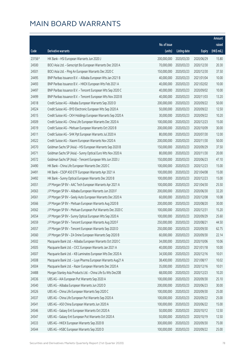|        |                                                              |                        |                     |               | Amount      |
|--------|--------------------------------------------------------------|------------------------|---------------------|---------------|-------------|
|        |                                                              | No. of issue           |                     |               | raised      |
| Code   | <b>Derivative warrants</b>                                   | (units)                | <b>Listing date</b> | <b>Expiry</b> | (HK\$ mil.) |
| 23156# | HK Bank - HSI European Warrants Jun 2020 J                   | 200,000,000            | 2020/03/20          | 2020/06/29    | 15.80       |
| 24500  | BOCI Asia Ltd. - Genscript Bio European Warrants Dec 2020 A  | 70,000,000             | 2020/03/23          | 2020/12/30    | 20.30       |
| 24501  | BOCI Asia Ltd. - Ping An European Warrants Dec 2020 C        | 150,000,000            | 2020/03/23          | 2020/12/30    | 37.50       |
| 24495  | BNP Paribas Issuance B.V. - Alibaba European Wts Jan 2021 B  | 40,000,000             | 2020/03/23          | 2021/01/04    | 10.00       |
| 24493  | BNP Paribas Issuance B.V. - HKEX European Wts Feb 2021 A     | 40,000,000             | 2020/03/23          | 2021/02/02    | 10.00       |
| 24497  | BNP Paribas Issuance B.V. - Tencent European Wts Sep 2020 C  | 40,000,000             | 2020/03/23          | 2020/09/02    | 10.00       |
| 24499  | BNP Paribas Issuance B.V. - Tencent European Wts Nov 2020 B  | 40,000,000             | 2020/03/23          | 2020/11/03    | 13.20       |
| 24518  | Credit Suisse AG - Alibaba European Warrants Sep 2020 D      | 200,000,000            | 2020/03/23          | 2020/09/22    | 50.00       |
| 24524  | Credit Suisse AG - BYD Electronic European Wts Sep 2020 A    | 50,000,000             | 2020/03/23          | 2020/09/22    | 12.50       |
| 24515  | Credit Suisse AG - CKH Holdings European Warrants Sep 2020 A | 30,000,000             | 2020/03/23          | 2020/09/22    | 10.20       |
| 24509  | Credit Suisse AG - China Life European Warrants Dec 2020 A   | 100,000,000            | 2020/03/23          | 2020/12/23    | 15.00       |
| 24519  | Credit Suisse AG - Meituan European Warrants Oct 2020 B      | 200,000,000            | 2020/03/23          | 2020/10/09    | 30.00       |
| 24511  | Credit Suisse AG - SHK Ppt European Warrants Jul 2020 A      | 80,000,000             | 2020/03/23          | 2020/07/30    | 12.00       |
| 24522  | Credit Suisse AG - Xiaomi European Warrants Nov 2020 A       | 200,000,000            | 2020/03/23          | 2020/11/30    | 50.00       |
| 24570  | Goldman Sachs SP (Asia) - HSI European Warrants Sep 2020 B   | 150,000,000            | 2020/03/23          | 2020/09/29    | 37.50       |
| 24571  | Goldman Sachs SP (Asia) - Sunny Optical Euro Wts Nov 2020 A  | 80,000,000             | 2020/03/23          | 2020/11/30    | 20.00       |
| 24572  | Goldman Sachs SP (Asia) - Tencent European Wts Jun 2020 J    | 150,000,000            | 2020/03/23          | 2020/06/23    | 47.10       |
| 24490  | HK Bank - China Life European Warrants Dec 2020 C            | 100,000,000            | 2020/03/23          | 2020/12/23    | 15.00       |
| 24491  | HK Bank - CSOP A50 ETF European Warrants Apr 2021 A          | 100,000,000            | 2020/03/23          | 2021/04/08    | 15.00       |
| 24492  | HK Bank - Sunny Optical European Warrants Dec 2020 B         | 100,000,000            | 2020/03/23          | 2020/12/23    | 15.00       |
| 24551  | J P Morgan SP BV - AAC Tech European Warrants Apr 2021 A     | 100,000,000            | 2020/03/23          | 2021/04/30    | 25.50       |
| 24563  | J P Morgan SP BV - Alibaba European Warrants Jun 2020 F      | 200,000,000            | 2020/03/23          | 2020/06/30    | 32.20       |
| 24561  | J P Morgan SP BV - Geely Auto European Warrants Dec 2020 A   | 60,000,000             | 2020/03/23          | 2020/12/08    | 10.08       |
| 24566  | J P Morgan SP BV - Meituan European Warrants Aug 2020 B      | 200,000,000            | 2020/03/23          | 2020/08/20    | 30.00       |
| 24562  | J P Morgan SP BV - Meituan European Put Warrants Dec 2020 C  | 100,000,000            | 2020/03/23          | 2020/12/31    | 15.20       |
| 24554  | J P Morgan SP BV - Sunny Optical European Wts Sep 2020 A     | 100,000,000            | 2020/03/23          | 2020/09/29    | 25.60       |
| 24559  | JP Morgan SP BV - Tencent European Warrants Aug 2020 F       | 250,000,000 2020/03/23 |                     | 2020/08/21    | 44.50       |
| 24557  | J P Morgan SP BV - Tencent European Warrants Sep 2020 D      | 250,000,000            | 2020/03/23          | 2020/09/30    | 62.75       |
| 24560  | J P Morgan SP BV - ZA Onine European Warrants Sep 2020 B     | 60,000,000             | 2020/03/23          | 2020/09/30    | 22.14       |
| 24502  | Macquarie Bank Ltd. - Alibaba European Warrants Oct 2020 C   | 34,000,000             | 2020/03/23          | 2020/10/06    | 10.06       |
| 24505  | Macquarie Bank Ltd. - CICC European Warrants Jan 2021 A      | 40,000,000             | 2020/03/23          | 2021/01/18    | 10.00       |
| 24507  | Macquarie Bank Ltd. - KB Laminates European Wts Dec 2020 A   | 34,500,000             | 2020/03/23          | 2020/12/16    | 10.01       |
| 24508  | Macquarie Bank Ltd. - Luye Pharma European Warrants Aug21 A  | 38,400,000             | 2020/03/23          | 2021/08/17    | 10.02       |
| 24504  | Macquarie Bank Ltd. - Razer European Warrants Dec 2020 A     | 35,000,000             | 2020/03/23          | 2020/12/16    | 10.01       |
| 24488  | Morgan Stanley Asia Products Ltd. - China Life Eu Wts Dec20B | 68,000,000             | 2020/03/23          | 2020/12/23    | 10.20       |
| 24536  | UBS AG - AIA European Put Warrants Sep 2020 A                | 100,000,000            | 2020/03/23          | 2020/09/30    | 25.10       |
| 24540  | UBS AG - Alibaba European Warrants Jun 2020 D                | 200,000,000            | 2020/03/23          | 2020/06/23    | 30.00       |
| 24526  | UBS AG - China Life European Warrants Sep 2020 C             | 100,000,000            | 2020/03/23          | 2020/09/30    | 25.00       |
| 24537  | UBS AG - China Life European Put Warrants Sep 2020 A         | 100,000,000            | 2020/03/23          | 2020/09/22    | 25.00       |
| 24541  | UBS AG - A50 China European Warrants Jun 2020 A              | 100,000,000            | 2020/03/23          | 2020/06/22    | 15.00       |
| 24546  | UBS AG - Galaxy Ent European Warrants Oct 2020 A             | 50,000,000             | 2020/03/23          | 2020/10/12    | 12.50       |
| 24547  | UBS AG - Galaxy Ent European Put Warrants Oct 2020 A         | 50,000,000             | 2020/03/23          | 2020/10/19    | 12.50       |
| 24533  | UBS AG - HKEX European Warrants Sep 2020 B                   | 300,000,000            | 2020/03/23          | 2020/09/30    | 75.00       |
| 24544  | UBS AG - HSBC European Warrants Sep 2020 D                   | 100,000,000            | 2020/03/23          | 2020/09/22    | 25.00       |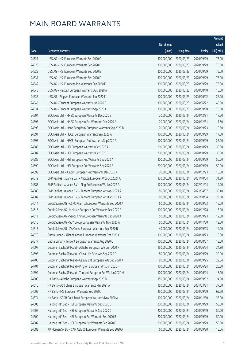|       |                                                              |              |                       |               | Amount      |
|-------|--------------------------------------------------------------|--------------|-----------------------|---------------|-------------|
|       |                                                              | No. of issue |                       |               | raised      |
| Code  | Derivative warrants                                          | (units)      | <b>Listing date</b>   | <b>Expiry</b> | (HK\$ mil.) |
| 24527 | UBS AG - HSI European Warrants Sep 2020 C                    | 300,000,000  | 2020/03/23            | 2020/09/29    | 75.00       |
| 24528 | UBS AG - HSI European Warrants Sep 2020 D                    | 300,000,000  | 2020/03/23            | 2020/09/29    | 75.00       |
| 24529 | UBS AG - HSI European Warrants Sep 2020 E                    | 300,000,000  | 2020/03/23            | 2020/09/29    | 75.00       |
| 24531 | UBS AG - HSI European Warrants Sep 2020 F                    | 300,000,000  | 2020/03/23            | 2020/09/29    | 75.00       |
| 24542 | UBS AG - HSI European Put Warrants Sep 2020 E                | 300,000,000  | 2020/03/23            | 2020/09/29    | 75.00       |
| 24548 | UBS AG - Meituan European Warrants Aug 2020 A                | 100,000,000  | 2020/03/23            | 2020/08/10    | 15.00       |
| 24535 | UBS AG - Ping An European Warrants Jun 2020 E                | 100,000,000  | 2020/03/23            | 2020/06/22    | 25.00       |
| 24545 | UBS AG - Tencent European Warrants Jun 2020 C                | 300,000,000  | 2020/03/23            | 2020/06/22    | 45.00       |
| 24534 | UBS AG - Tencent European Warrants Sep 2020 A                | 300,000,000  | 2020/03/23            | 2020/09/30    | 75.00       |
| 24594 | BOCI Asia Ltd. - HKEX European Warrants Dec 2020 B           | 70,000,000   | 2020/03/24            | 2020/12/31    | 17.50       |
| 24595 | BOCI Asia Ltd. - HKEX European Put Warrants Dec 2020 A       | 70,000,000   | 2020/03/24            | 2020/12/31    | 17.50       |
| 24598 | BOCI Asia Ltd. - Hang Seng Bank European Warrants Sep 2020 B | 70,000,000   | 2020/03/24            | 2020/09/23    | 10.50       |
| 24591 | BOCI Asia Ltd. - HSCEI European Warrants Sep 2020 A          | 100,000,000  | 2020/03/24            | 2020/09/29    | 17.00       |
| 24593 | BOCI Asia Ltd. - HSCEI European Put Warrants Sep 2020 A      | 100,000,000  | 2020/03/24            | 2020/09/29    | 25.00       |
| 24586 | BOCI Asia Ltd. - HSI European Warrants Oct 2020 A            | 200,000,000  | 2020/03/24            | 2020/10/29    | 30.00       |
| 24587 | BOCI Asia Ltd. - HSI European Warrants Oct 2020 B            | 200,000,000  | 2020/03/24            | 2020/10/29    | 30.00       |
| 24589 | BOCI Asia Ltd. - HSI European Put Warrants Sep 2020 A        | 200,000,000  | 2020/03/24            | 2020/09/29    | 50.00       |
| 24590 | BOCI Asia Ltd. - HSI European Put Warrants Sep 2020 B        | 200,000,000  | 2020/03/24            | 2020/09/29    | 50.00       |
| 24599 | BOCI Asia Ltd. - Xiaomi European Put Warrants Dec 2020 A     | 70,000,000   | 2020/03/24            | 2020/12/23    | 10.50       |
| 24579 | BNP Paribas Issuance B.V. - Alibaba European Wts Oct 2021 A  | 120,000,000  | 2020/03/24            | 2021/10/04    | 31.20       |
| 24583 | BNP Paribas Issuance B.V. - Ping An European Wt Jan 2022 A   | 120,000,000  | 2020/03/24            | 2022/01/04    | 19.20       |
| 24580 | BNP Paribas Issuance B.V. - Tencent European Wts Apr 2021 A  | 80,000,000   | 2020/03/24            | 2021/04/07    | 30.40       |
| 24582 | BNP Paribas Issuance B.V. - Tencent European Wts Oct 2021 A  | 80,000,000   | 2020/03/24            | 2021/10/04    | 29.60       |
| 24614 | Credit Suisse AG - CSPC Pharma European Warrants Sep 2020 A  | 60,000,000   | 2020/03/24            | 2020/09/23    | 15.00       |
| 24615 | Credit Suisse AG - Meituan European Put Warrants Dec 2020 B  | 100,000,000  | 2020/03/24            | 2020/12/28    | 15.00       |
| 24611 | Credit Suisse AG - Sands China European Warrants Sep 2020 A  | 50,000,000   | 2020/03/24            | 2020/09/23    | 12.50       |
| 24618 | Credit Suisse AG - SSY Group European Warrants Nov 2020 A    |              | 50,000,000 2020/03/24 | 2020/11/30    | 12.50       |
| 24613 | Credit Suisse AG - ZA Onine European Warrants Sep 2020 B     | 40,000,000   | 2020/03/24            | 2020/09/23    | 14.00       |
| 24578 | Guotai Junan - Alibaba Group European Warrants Oct 2020 C    | 100,000,000  | 2020/03/24            | 2020/10/23    | 15.30       |
| 24577 | Guotai Junan - Tencent European Warrants Aug 2020 C          | 100,000,000  | 2020/03/24            | 2020/08/07    | 18.60       |
| 24697 | Goldman Sachs SP (Asia) - Alibaba European Wts Jun 2020 N    | 150,000,000  | 2020/03/24            | 2020/06/24    | 34.80       |
| 24698 | Goldman Sachs SP (Asia) - China Life Euro Wts Sep 2020 D     | 80,000,000   | 2020/03/24            | 2020/09/29    | 20.00       |
| 24700 | Goldman Sachs SP (Asia) - Galaxy Ent European Wts Sep 2020 A | 80,000,000   | 2020/03/24            | 2020/09/25    | 29.04       |
| 24701 | Goldman Sachs SP (Asia) - Ping An European Wts Jun 2020 F    | 100,000,000  | 2020/03/24            | 2020/06/24    | 26.80       |
| 24699 | Goldman Sachs SP (Asia) - Tencent European Put Wt Jun 2020 H | 100,000,000  | 2020/03/24            | 2020/06/24    | 18.10       |
| 24608 | HK Bank - Alibaba European Warrants Sep 2020 B               | 150,000,000  | 2020/03/24            | 2020/09/02    | 24.00       |
| 24610 | HK Bank - A50 China European Warrants Mar 2021 A             | 150,000,000  | 2020/03/24            | 2021/03/31    | 37.50       |
| 24609 | HK Bank - HSI European Warrants Sep 2020 J                   | 250,000,000  | 2020/03/24            | 2020/09/29    | 62.50       |
| 24574 | HK Bank - SPDR Gold Trust European Warrants Nov 2020 A       | 100,000,000  | 2020/03/24            | 2020/11/30    | 25.00       |
| 24603 | Haitong Int'l Sec - HSI European Warrants Sep 2020 B         | 200,000,000  | 2020/03/24            | 2020/09/29    | 50.00       |
| 24607 | Haitong Int'l Sec - HSI European Warrants Sep 2020 C         | 200,000,000  | 2020/03/24            | 2020/09/29    | 50.00       |
| 24600 | Haitong Int'l Sec - HSI European Put Warrants Sep 2020 B     | 200,000,000  | 2020/03/24            | 2020/09/29    | 50.00       |
| 24602 | Haitong Int'l Sec - HSI European Put Warrants Sep 2020 C     | 200,000,000  | 2020/03/24            | 2020/09/29    | 50.00       |
| 24683 | J P Morgan SP BV - CAM CSI300 European Warrants Sep 2020 A   | 60,000,000   | 2020/03/24            | 2020/09/30    | 15.06       |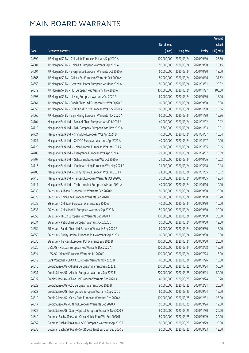|       |                                                              |              |                       |               | Amount      |
|-------|--------------------------------------------------------------|--------------|-----------------------|---------------|-------------|
|       |                                                              | No. of issue |                       |               | raised      |
| Code  | Derivative warrants                                          | (units)      | <b>Listing date</b>   | <b>Expiry</b> | (HK\$ mil.) |
| 24692 | J P Morgan SP BV - China Life European Put Wts Sep 2020 A    | 100,000,000  | 2020/03/24            | 2020/09/30    | 25.50       |
| 24681 | J P Morgan SP BV - China Lit European Warrants Sep 2020 A    | 50,000,000   | 2020/03/24            | 2020/09/30    | 13.45       |
| 24694 | J P Morgan SP BV - Evergrande European Warrants Oct 2020 A   | 60,000,000   | 2020/03/24            | 2020/10/30    | 18.00       |
| 24666 | J P Morgan SP BV - Galaxy Ent European Warrants Oct 2020 A   | 80,000,000   | 2020/03/24            | 2020/10/16    | 37.52       |
| 24658 | J P Morgan SP BV - Greatwall Motor European Wts Mar 2021 A   | 80,000,000   | 2020/03/24            | 2021/03/31    | 20.32       |
| 24679 | J P Morgan SP BV - HSI European Put Warrants Nov 2020 A      | 400,000,000  | 2020/03/24            | 2020/11/27    | 100.00      |
| 24693 | J P Morgan SP BV - Li Ning European Warrants Oct 2020 A      | 60,000,000   | 2020/03/24            | 2020/10/30    | 15.06       |
| 24661 | J P Morgan SP BV - Sands China Ltd European Put Wts Sep20 B  | 60,000,000   | 2020/03/24            | 2020/09/30    | 16.98       |
| 24659 | J P Morgan SP BV - SPDR Gold Trust European Wts Nov 2020 A   | 60,000,000   | 2020/03/24            | 2020/11/30    | 15.06       |
| 24660 | J P Morgan SP BV - Zijin Mining European Warrants Nov 2020 A | 60,000,000   | 2020/03/24            | 2020/11/30    | 15.36       |
| 24704 | Macquarie Bank Ltd. - Bank of China European Wts Feb 2021 A  | 40,000,000   | 2020/03/24            | 2021/02/02    | 10.12       |
| 24710 | Macquarie Bank Ltd. - BYD Company European Wts Nov 2020 A    | 17,600,000   | 2020/03/24            | 2020/11/03    | 10.01       |
| 24724 | Macquarie Bank Ltd. - China Life European Wts Apr 2021 B     | 40,000,000   | 2020/03/24            | 2021/04/07    | 10.04       |
| 24727 | Macquarie Bank Ltd. - CNOOC European Warrants Apr 2021 A     | 40,000,000   | 2020/03/24            | 2021/04/07    | 10.00       |
| 24725 | Macquarie Bank Ltd. - China Unicom European Wts Jan 2021 A   | 19,000,000   | 2020/03/24            | 2021/01/05    | 10.15       |
| 24709 | Macquarie Bank Ltd. - Evergrande European Wts Apr 2021 A     | 29,000,000   | 2020/03/24            | 2021/04/07    | 10.09       |
| 24707 | Macquarie Bank Ltd. - Galaxy Ent European Wts Oct 2020 A     | 21,000,000   | 2020/03/24            | 2020/10/06    | 10.02       |
| 24716 | Macquarie Bank Ltd. - Kingboard Hldg European Wts May 2021 A | 31,200,000   | 2020/03/24            | 2021/05/18    | 10.14       |
| 24708 | Macquarie Bank Ltd. - Sunny Optical European Wts Jan 2021 A  | 23,000,000   | 2020/03/24            | 2021/01/05    | 10.12       |
| 24718 | Macquarie Bank Ltd. - Tencent European Warrants Oct 2020 C   | 20,000,000   | 2020/03/24            | 2020/10/05    | 19.34       |
| 24717 | Macquarie Bank Ltd. - Techtronic Ind European Wts Jun 2021 A | 40,000,000   | 2020/03/24            | 2021/06/16    | 10.00       |
| 24638 | SG Issuer - Alibaba European Put Warrants Sep 2020 B         | 80,000,000   | 2020/03/24            | 2020/09/30    | 20.00       |
| 24629 | SG Issuer - China Life European Warrants Sep 2020 C          | 60,000,000   | 2020/03/24            | 2020/09/30    | 16.20       |
| 24639 | SG Issuer - CM Bank European Warrants Sep 2020 A             | 40,000,000   | 2020/03/24            | 2020/09/30    | 10.00       |
| 24633 | SG Issuer - China Mobile European Warrants Sep 2020 B        | 50,000,000   | 2020/03/24            | 2020/09/30    | 20.00       |
| 24653 | SG Issuer - HKEX European Put Warrants Sep 2020 A            | 100,000,000  | 2020/03/24            | 2020/09/30    | 25.00       |
| 24634 | SG Issuer - PetroChina European Warrants Oct 2020 C          |              | 50,000,000 2020/03/24 | 2020/10/30    | 12.50       |
| 24654 | SG Issuer - Sands China Ltd European Warrants Sep 2020 B     | 60,000,000   | 2020/03/24            | 2020/09/30    | 16.20       |
| 24655 | SG Issuer - Sunny Optical European Put Warrants Sep 2020 C   | 60,000,000   | 2020/03/24            | 2020/09/30    | 15.00       |
| 24636 | SG Issuer - Tencent European Put Warrants Sep 2020 B         | 100,000,000  | 2020/03/24            | 2020/09/30    | 25.00       |
| 24626 | UBS AG - Meituan European Put Warrants Dec 2020 A            | 100,000,000  | 2020/03/24            | 2020/12/28    | 15.00       |
| 24624 | UBS AG - Xiaomi European Warrants Jul 2020 D                 | 100,000,000  | 2020/03/24            | 2020/07/24    | 15.00       |
| 24619 | Bank Vontobel - CNOOC European Warrants Nov 2020 B           | 40,000,000   | 2020/03/24            | 2020/11/26    | 10.00       |
| 24815 | Credit Suisse AG - Alibaba European Warrants Sep 2020 E      | 200,000,000  | 2020/03/25            | 2020/09/24    | 50.00       |
| 24831 | Credit Suisse AG - Alibaba European Warrants Sep 2020 F      | 200,000,000  | 2020/03/25            | 2020/09/24    | 50.00       |
| 24822 | Credit Suisse AG - China Lit European Warrants Sep 2020 A    | 40,000,000   | 2020/03/25            | 2020/09/24    | 15.20       |
| 24829 | Credit Suisse AG - CSC European Warrants Dec 2020 B          | 80,000,000   | 2020/03/25            | 2020/12/31    | 20.00       |
| 24823 | Credit Suisse AG - Evergrande European Warrants Sep 2020 C   | 60,000,000   | 2020/03/25            | 2020/09/24    | 15.00       |
| 24819 | Credit Suisse AG - Geely Auto European Warrants Dec 2020 A   | 100,000,000  | 2020/03/25            | 2020/12/31    | 25.00       |
| 24817 | Credit Suisse AG - Li Ning European Warrants Sep 2020 A      | 50,000,000   | 2020/03/25            | 2020/09/24    | 12.50       |
| 24825 | Credit Suisse AG - Sunny Optical European Warrants Nov2020 B | 80,000,000   | 2020/03/25            | 2020/11/30    | 20.00       |
| 24840 | Goldman Sachs SP (Asia) - China Mobile Euro Wts Sep 2020 B   | 80,000,000   | 2020/03/25            | 2020/09/29    | 20.00       |
| 24852 | Goldman Sachs SP (Asia) - HSBC European Warrants Sep 2020 E  | 80,000,000   | 2020/03/25            | 2020/09/29    | 20.00       |
| 24835 | Goldman Sachs SP (Asia) - SPDR Gold Trust Euro Wt Sep 2020 B | 80,000,000   | 2020/03/25            | 2020/09/23    | 12.00       |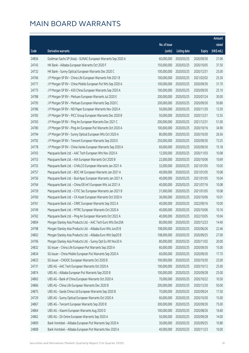|       |                                                              |              |                       |               | Amount      |
|-------|--------------------------------------------------------------|--------------|-----------------------|---------------|-------------|
|       |                                                              | No. of issue |                       |               | raised      |
| Code  | Derivative warrants                                          | (units)      | <b>Listing date</b>   | <b>Expiry</b> | (HK\$ mil.) |
| 24856 | Goldman Sachs SP (Asia) - SUNAC European Warrants Sep 2020 A | 60,000,000   | 2020/03/25            | 2020/09/30    | 21.06       |
| 24743 | HK Bank - Alibaba European Warrants Oct 2020 F               | 150,000,000  | 2020/03/25            | 2020/10/05    | 37.50       |
| 24732 | HK Bank - Sunny Optical European Warrants Dec 2020 C         | 100,000,000  | 2020/03/25            | 2020/12/31    | 25.00       |
| 24766 | J P Morgan SP BV - China Life European Warrants Feb 2021 B   | 100,000,000  | 2020/03/25            | 2021/02/02    | 25.30       |
| 24777 | J P Morgan SP BV - China Mobile European Put Wts Sep 2020 A  | 100,000,000  | 2020/03/25            | 2020/09/30    | 31.70       |
| 24775 | J P Morgan SP BV - A50 China European Warrants Sep 2020 A    | 100,000,000  | 2020/03/25            | 2020/09/30    | 25.10       |
| 24788 | J P Morgan SP BV - Meituan European Warrants Jul 2020 E      | 200,000,000  | 2020/03/25            | 2020/07/24    | 30.00       |
| 24795 | J P Morgan SP BV - Meituan European Warrants Sep 2020 C      | 200,000,000  | 2020/03/25            | 2020/09/30    | 50.80       |
| 24786 | J P Morgan SP BV - ND Paper European Warrants Nov 2020 A     | 50,000,000   | 2020/03/25            | 2020/11/30    | 12.50       |
| 24783 | J P Morgan SP BV - PICC Group European Warrants Dec 2020 B   | 50,000,000   | 2020/03/25            | 2020/12/31    | 12.55       |
| 24765 | J P Morgan SP BV - Ping An European Warrants Dec 2021 C      | 200,000,000  | 2020/03/25            | 2021/12/31    | 51.00       |
| 24780 | J P Morgan SP BV - Ping An European Put Warrants Oct 2020 A  | 100,000,000  | 2020/03/25            | 2020/10/16    | 34.90       |
| 24794 | J P Morgan SP BV - Sunny Optical European Wts Oct 2020 A     | 80,000,000   | 2020/03/25            | 2020/10/30    | 26.56       |
| 24792 | J P Morgan SP BV - Tencent European Warrants Sep 2020 E      | 250,000,000  | 2020/03/25            | 2020/09/30    | 73.25       |
| 24778 | J P Morgan SP BV - China Vanke European Warrants Sep 2020 A  | 60,000,000   | 2020/03/25            | 2020/09/30    | 15.18       |
| 24763 | Macquarie Bank Ltd. - AAC Tech European Wts Nov 2020 A       | 12,500,000   | 2020/03/25            | 2020/11/03    | 10.08       |
| 24753 | Macquarie Bank Ltd. - AIA European Warrants Oct 2020 B       | 22,000,000   | 2020/03/25            | 2020/10/06    | 10.69       |
| 24755 | Macquarie Bank Ltd. - CHALCO European Warrants Jan 2021 A    | 32,000,000   | 2020/03/25            | 2021/01/05    | 10.05       |
| 24757 | Macquarie Bank Ltd. - BOC HK European Warrants Jan 2021 A    | 40,000,000   | 2020/03/25            | 2021/01/05    | 10.08       |
| 24756 | Macquarie Bank Ltd. - Bud Apac European Warrants Jan 2021 A  | 40,000,000   | 2020/03/25            | 2021/01/05    | 10.04       |
| 24764 | Macquarie Bank Ltd. - China EB Int'l European Wts Jul 2021 A | 40,000,000   | 2020/03/25            | 2021/07/16    | 10.08       |
| 24759 | Macquarie Bank Ltd. - CITIC Sec European Warrants Jan 2021 B | 31,000,000   | 2020/03/25            | 2021/01/05    | 10.08       |
| 24760 | Macquarie Bank Ltd. - CK Asset European Warrants Oct 2020 A  | 36,000,000   | 2020/03/25            | 2020/10/06    | 10.01       |
| 24761 | Macquarie Bank Ltd. - CRRC European Warrants Sep 2022 A      | 40,000,000   | 2020/03/25            | 2022/09/16    | 10.00       |
| 24749 | Macquarie Bank Ltd. - MTRC European Warrants Oct 2020 A      | 40,000,000   | 2020/03/25            | 2020/10/06    | 10.16       |
| 24762 | Macquarie Bank Ltd. - Ping An European Warrants Oct 2022 A   | 40,000,000   | 2020/03/25            | 2022/10/05    | 10.04       |
| 24804 | Morgan Stanley Asia Products Ltd. - AAC Tech Euro Wts Dec20A |              | 80,000,000 2020/03/25 | 2020/12/23    | 14.40       |
| 24798 | Morgan Stanley Asia Products Ltd. - Alibaba Euro Wts Jun20 B | 108,000,000  | 2020/03/25            | 2020/06/26    | 22.46       |
| 24802 | Morgan Stanley Asia Products Ltd. - Alibaba Euro Wts Sep20 B | 108,000,000  | 2020/03/25            | 2020/09/25    | 27.00       |
| 24796 | Morgan Stanley Asia Products Ltd. - Sunny Opt Eu Wt Nov20 A  | 80,000,000   | 2020/03/25            | 2020/11/02    | 20.00       |
| 24832 | SG Issuer - China Life European Put Warrants Sep 2020 A      | 60,000,000   | 2020/03/25            | 2020/09/30    | 15.00       |
| 24834 | SG Issuer - China Mobile European Put Warrants Sep 2020 A    | 60,000,000   | 2020/03/25            | 2020/09/30    | 17.70       |
| 24833 | SG Issuer - CNOOC European Warrants Oct 2020 B               | 100,000,000  | 2020/03/25            | 2020/10/30    | 25.00       |
| 24731 | UBS AG - AAC Tech European Warrants Oct 2020 A               | 100,000,000  | 2020/03/25            | 2020/10/12    | 25.00       |
| 24874 | UBS AG - Alibaba European Put Warrants Sep 2020 B            | 100,000,000  | 2020/03/25            | 2020/09/28    | 25.00       |
| 24865 | UBS AG - Bank of China European Warrants Oct 2020 A          | 70,000,000   | 2020/03/25            | 2020/10/22    | 10.50       |
| 24866 | UBS AG - China Life European Warrants Dec 2020 B             | 200,000,000  | 2020/03/25            | 2020/12/30    | 50.00       |
| 24875 | UBS AG - Sands China Ltd European Warrants Sep 2020 B        | 70,000,000   | 2020/03/25            | 2020/09/24    | 17.50       |
| 24729 | UBS AG - Sunny Optical European Warrants Oct 2020 A          | 60,000,000   | 2020/03/25            | 2020/10/30    | 15.00       |
| 24867 | UBS AG - Tencent European Warrants Sep 2020 B                | 300,000,000  | 2020/03/25            | 2020/09/30    | 75.00       |
| 24864 | UBS AG - Xiaomi European Warrants Aug 2020 D                 | 100,000,000  | 2020/03/25            | 2020/08/26    | 16.60       |
| 24862 | UBS AG - ZA Onine European Warrants Sep 2020 A               | 50,000,000   | 2020/03/25            | 2020/09/28    | 14.00       |
| 24809 | Bank Vontobel - Alibaba European Put Warrants Sep 2020 A     | 30,000,000   | 2020/03/25            | 2020/09/25    | 10.80       |
| 24808 | Bank Vontobel - Alibaba European Put Warrants Nov 2020 A     | 40,000,000   | 2020/03/25            | 2020/11/23    | 10.00       |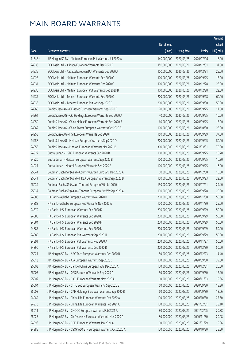|        |                                                              |              |                        |               | Amount      |
|--------|--------------------------------------------------------------|--------------|------------------------|---------------|-------------|
|        |                                                              | No. of issue |                        |               | raised      |
| Code   | Derivative warrants                                          | (units)      | <b>Listing date</b>    | <b>Expiry</b> | (HK\$ mil.) |
| 11548# | J P Morgan SP BV - Meituan European Put Warrants Jul 2020 A  | 140,000,000  | 2020/03/25             | 2020/07/06    | 18.90       |
| 24933  | BOCI Asia Ltd. - Alibaba European Warrants Dec 2020 B        | 150,000,000  | 2020/03/26             | 2020/12/31    | 37.50       |
| 24935  | BOCI Asia Ltd. - Alibaba European Put Warrants Dec 2020 A    | 100,000,000  | 2020/03/26             | 2020/12/31    | 25.00       |
| 24928  | BOCI Asia Ltd. - Meituan European Warrants Sep 2020 C        | 100,000,000  | 2020/03/26             | 2020/09/25    | 15.00       |
| 24931  | BOCI Asia Ltd. - Meituan European Warrants Dec 2020 C        | 100,000,000  | 2020/03/26             | 2020/12/28    | 25.00       |
| 24930  | BOCI Asia Ltd. - Meituan European Put Warrants Dec 2020 B    | 100,000,000  | 2020/03/26             | 2020/12/28    | 22.00       |
| 24937  | BOCI Asia Ltd. - Tencent European Warrants Sep 2020 C        | 200,000,000  | 2020/03/26             | 2020/09/18    | 60.00       |
| 24936  | BOCI Asia Ltd. - Tencent European Put Wts Sep 2020 C         | 200,000,000  | 2020/03/26             | 2020/09/30    | 50.00       |
| 24960  | Credit Suisse AG - CK Asset European Warrants Sep 2020 B     | 70,000,000   | 2020/03/26             | 2020/09/25    | 17.50       |
| 24961  | Credit Suisse AG - CKI Holdings European Warrants Sep 2020 A | 40,000,000   | 2020/03/26             | 2020/09/25    | 10.00       |
| 24959  | Credit Suisse AG - China Mobile European Warrants Sep 2020 B | 60,000,000   | 2020/03/26             | 2020/09/25    | 15.00       |
| 24962  | Credit Suisse AG - China Tower European Warrants Oct 2020 B  | 100,000,000  | 2020/03/26             | 2020/10/30    | 25.00       |
| 24953  | Credit Suisse AG - HSI European Warrants Sep 2020 H          | 150,000,000  | 2020/03/26             | 2020/09/29    | 37.50       |
| 24958  | Credit Suisse AG - Meituan European Warrants Sep 2020 D      | 200,000,000  | 2020/03/26             | 2020/09/25    | 50.00       |
| 24956  | Credit Suisse AG - Ping An European Warrants Mar 2021 B      | 300,000,000  | 2020/03/26             | 2021/03/31    | 75.00       |
| 24922  | Guotai Junan - HSBC European Warrants Sep 2020 B             | 100,000,000  | 2020/03/26             | 2020/09/25    | 18.70       |
| 24920  | Guotai Junan - Meituan European Warrants Sep 2020 B          | 100,000,000  | 2020/03/26             | 2020/09/25    | 16.30       |
| 24921  | Guotai Junan - Xiaomi European Warrants Sep 2020 A           | 100,000,000  | 2020/03/26             | 2020/09/25    | 16.90       |
| 25044  | Goldman Sachs SP (Asia) - Country Garden Euro Wts Dec 2020 A | 60,000,000   | 2020/03/26             | 2020/12/30    | 15.00       |
| 25041  | Goldman Sachs SP (Asia) - HKEX European Warrants Sep 2020 B  | 150,000,000  | 2020/03/26             | 2020/09/23    | 22.50       |
| 25039  | Goldman Sachs SP (Asia) - Tencent European Wts Jul 2020 J    | 150,000,000  | 2020/03/26             | 2020/07/21    | 29.40       |
| 25037  | Goldman Sachs SP (Asia) - Tencent European Put Wt Sep 2020 A | 100,000,000  | 2020/03/26             | 2020/09/28    | 25.00       |
| 24886  | HK Bank - Alibaba European Warrants Nov 2020 B               | 200,000,000  | 2020/03/26             | 2020/11/30    | 50.00       |
| 24888  | HK Bank - Alibaba European Put Warrants Nov 2020 A           | 100,000,000  | 2020/03/26             | 2020/11/30    | 25.00       |
| 24879  | HK Bank - HSI European Warrants Sep 2020 K                   | 200,000,000  | 2020/03/26             | 2020/09/29    | 50.00       |
| 24880  | HK Bank - HSI European Warrants Sep 2020 L                   | 200,000,000  | 2020/03/26             | 2020/09/29    | 50.00       |
| 24884  | HK Bank - HSI European Warrants Sep 2020 M                   |              | 200,000,000 2020/03/26 | 2020/09/29    | 50.00       |
| 24885  | HK Bank - HSI European Warrants Sep 2020 N                   | 200,000,000  | 2020/03/26             | 2020/09/29    | 50.00       |
| 24889  | HK Bank - HSI European Put Warrants Sep 2020 H               | 200,000,000  | 2020/03/26             | 2020/09/29    | 50.00       |
| 24891  | HK Bank - HSI European Put Warrants Nov 2020 A               | 200,000,000  | 2020/03/26             | 2020/11/27    | 50.00       |
| 24890  | HK Bank - HSI European Put Warrants Dec 2020 B               | 200,000,000  | 2020/03/26             | 2020/12/30    | 50.00       |
| 25021  | J P Morgan SP BV - AAC Tech European Warrants Dec 2020 B     | 80,000,000   | 2020/03/26             | 2020/12/23    | 14.40       |
| 25013  | J P Morgan SP BV - AIA European Warrants Sep 2020 C          | 100,000,000  | 2020/03/26             | 2020/09/30    | 39.30       |
| 25003  | J P Morgan SP BV - Bank of China European Wts Dec 2020 A     | 100,000,000  | 2020/03/26             | 2020/12/31    | 26.00       |
| 25005  | J P Morgan SP BV - CGS European Warrants Sep 2020 A          | 50,000,000   | 2020/03/26             | 2020/09/30    | 17.90       |
| 25002  | J P Morgan SP BV - CICC European Warrants Nov 2020 A         | 60,000,000   | 2020/03/26             | 2020/11/03    | 15.66       |
| 25004  | J P Morgan SP BV - CITIC Sec European Warrants Sep 2020 B    | 60,000,000   | 2020/03/26             | 2020/09/30    | 15.30       |
| 25008  | J P Morgan SP BV - CKH Holdings European Warrants Sep 2020 B | 60,000,000   | 2020/03/26             | 2020/09/30    | 18.66       |
| 24969  | J P Morgan SP BV - China Life European Warrants Oct 2020 A   | 100,000,000  | 2020/03/26             | 2020/10/30    | 25.50       |
| 24970  | J P Morgan SP BV - China Life European Warrants Feb 2021 C   | 100,000,000  | 2020/03/26             | 2021/02/01    | 25.10       |
| 25011  | J P Morgan SP BV - CNOOC European Warrants Feb 2021 A        | 80,000,000   | 2020/03/26             | 2021/02/05    | 20.88       |
| 25028  | J P Morgan SP BV - Ch Overseas European Warrants Nov 2020 A  | 80,000,000   | 2020/03/26             | 2020/11/30    | 20.08       |
| 24996  | J P Morgan SP BV - CPIC European Warrants Jan 2021 A         | 60,000,000   | 2020/03/26             | 2021/01/29    | 15.06       |
| 24985  | J P Morgan SP BV - CSOP A50 ETF European Warrants Oct 2020 A | 100,000,000  | 2020/03/26             | 2020/10/30    | 25.50       |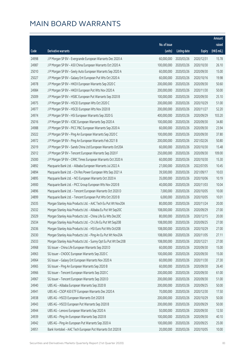|       |                                                                |              |                        |               | Amount      |
|-------|----------------------------------------------------------------|--------------|------------------------|---------------|-------------|
|       |                                                                | No. of issue |                        |               | raised      |
| Code  | Derivative warrants                                            | (units)      | <b>Listing date</b>    | <b>Expiry</b> | (HK\$ mil.) |
| 24998 | J P Morgan SP BV - Evergrande European Warrants Dec 2020 A     | 60,000,000   | 2020/03/26             | 2020/12/31    | 15.78       |
| 24987 | J P Morgan SP BV - A50 China European Warrants Oct 2020 A      | 100,000,000  | 2020/03/26             | 2020/10/30    | 26.10       |
| 25010 | J P Morgan SP BV - Geely Auto European Warrants Sep 2020 A     | 60,000,000   | 2020/03/26             | 2020/09/30    | 15.00       |
| 25027 | J P Morgan SP BV - Galaxy Ent European Put Wts Oct 2020 A      | 60,000,000   | 2020/03/26             | 2020/10/16    | 19.98       |
| 24978 | J P Morgan SP BV - HKEX European Warrants Sep 2020 C           | 200,000,000  | 2020/03/26             | 2020/09/30    | 50.60       |
| 24984 | J P Morgan SP BV - HKEX European Put Wts Nov 2020 A            | 200,000,000  | 2020/03/26             | 2020/11/30    | 50.00       |
| 25009 | J P Morgan SP BV - HSBC European Put Warrants Sep 2020 B       | 100,000,000  | 2020/03/26             | 2020/09/30    | 25.10       |
| 24975 | J P Morgan SP BV - HSCEI European Wts Oct 2020 C               | 200,000,000  | 2020/03/26             | 2020/10/29    | 51.00       |
| 24977 | J P Morgan SP BV - HSCEI European Wts Nov 2020 B               | 200,000,000  | 2020/03/26             | 2020/11/27    | 52.20       |
| 24974 | J P Morgan SP BV - HSI European Warrants Sep 2020 G            | 400,000,000  | 2020/03/26             | 2020/09/29    | 103.20      |
| 25016 | J P Morgan SP BV - ICBC European Warrants Sep 2020 A           | 100,000,000  | 2020/03/26             | 2020/09/30    | 34.80       |
| 24988 | J P Morgan SP BV - PICC P&C European Warrants Sep 2020 A       | 60,000,000   | 2020/03/26             | 2020/09/30    | 23.94       |
| 25022 | J P Morgan SP BV - Ping An European Warrants Sep 2020 C        | 100,000,000  | 2020/03/26             | 2020/09/30    | 37.80       |
| 24972 | J P Morgan SP BV - Ping An European Warrants Feb 2021 B        | 200,000,000  | 2020/03/26             | 2021/02/26    | 50.80       |
| 25019 | J P Morgan SP BV - Sands China Ltd European Warrants Oct20A    | 60,000,000   | 2020/03/26             | 2020/10/30    | 15.48       |
| 25012 | J P Morgan SP BV - Tencent European Warrants Sep 2020 F        | 250,000,000  | 2020/03/26             | 2020/09/30    | 109.00      |
| 25000 | J P Morgan SP BV - CRRC Times European Warrants Oct 2020 A     | 60,000,000   | 2020/03/26             | 2020/10/30    | 15.30       |
| 24892 | Macquarie Bank Ltd. - Alibaba European Warrants Jul 2022 A     | 27,000,000   | 2020/03/26             | 2022/07/05    | 10.45       |
| 24894 | Macquarie Bank Ltd. - Chi Res Power European Wts Sep 2021 A    | 39,500,000   | 2020/03/26             | 2021/09/17    | 10.03       |
| 24895 | Macquarie Bank Ltd. - NCI European Warrants Oct 2020 A         | 35,000,000   | 2020/03/26             | 2020/10/06    | 10.19       |
| 24900 | Macquarie Bank Ltd. - PICC Group European Wts Nov 2020 B       | 40,000,000   | 2020/03/26             | 2020/11/03    | 10.04       |
| 24896 | Macquarie Bank Ltd. - Tencent European Warrants Oct 2020 D     | 7,000,000    | 2020/03/26             | 2020/10/05    | 10.00       |
| 24899 | Macquarie Bank Ltd. - Tencent European Put Wts Oct 2020 B      | 6,000,000    | 2020/03/26             | 2020/10/05    | 10.01       |
| 25035 | Morgan Stanley Asia Products Ltd. - AAC Tech Eu Put Wt Nov20A  | 80,000,000   | 2020/03/26             | 2020/11/24    | 20.00       |
| 25032 | Morgan Stanley Asia Products Ltd. - Alibaba Eu Put Wt Sep20C   | 108,000,000  | 2020/03/26             | 2020/09/29    | 27.00       |
| 25029 | Morgan Stanley Asia Products Ltd. - China Life Eu Wts Dec20C   | 80,000,000   | 2020/03/26             | 2020/12/15    | 20.00       |
| 25034 | Morgan Stanley Asia Products Ltd. - Ch Life Eu Put Wt Sep20B   |              | 108,000,000 2020/03/26 | 2020/09/25    | 27.00       |
| 25036 | Morgan Stanley Asia Products Ltd. - HSI Euro Put Wts Oct20B    | 108,000,000  | 2020/03/26             | 2020/10/29    | 27.00       |
| 25030 | Morgan Stanley Asia Products Ltd. - Ping An Eu Put Wt Nov20A   | 108,000,000  | 2020/03/26             | 2020/11/05    | 27.11       |
| 25033 | Morgan Stanley Asia Products Ltd. - Sunny Opt Eu Put Wt Dec20B | 108,000,000  | 2020/03/26             | 2020/12/21    | 27.00       |
| 24968 | SG Issuer - China Life European Warrants Sep 2020 D            | 60,000,000   | 2020/03/26             | 2020/09/30    | 15.00       |
| 24963 | SG Issuer - CNOOC European Warrants Sep 2020 C                 | 100,000,000  | 2020/03/26             | 2020/09/30    | 15.00       |
| 24964 | SG Issuer - Galaxy Ent European Warrants Nov 2020 A            | 60,000,000   | 2020/03/26             | 2020/11/30    | 27.30       |
| 24965 | SG Issuer - Ping An European Warrants Sep 2020 B               | 60,000,000   | 2020/03/26             | 2020/09/30    | 26.40       |
| 24966 | SG Issuer - Tencent European Warrants Sep 2020 C               | 200,000,000  | 2020/03/26             | 2020/09/30    | 61.00       |
| 24967 | SG Issuer - Tencent European Warrants Sep 2020 D               | 200,000,000  | 2020/03/26             | 2020/09/30    | 51.00       |
| 24940 | UBS AG - Alibaba European Warrants Sep 2020 B                  | 200,000,000  | 2020/03/26             | 2020/09/25    | 50.00       |
| 24941 | UBS AG - CSOP A50 ETF European Warrants Dec 2020 A             | 70,000,000   | 2020/03/26             | 2020/12/30    | 17.50       |
| 24938 | UBS AG - HSCEI European Warrants Oct 2020 B                    | 200,000,000  | 2020/03/26             | 2020/10/29    | 50.00       |
| 24943 | UBS AG - HSCEI European Put Warrants Sep 2020 B                | 200,000,000  | 2020/03/26             | 2020/09/29    | 50.00       |
| 24944 | UBS AG - Lenovo European Warrants Sep 2020 A                   | 50,000,000   | 2020/03/26             | 2020/09/30    | 12.50       |
| 24939 | UBS AG - Ping An European Warrants Sep 2020 B                  | 100,000,000  | 2020/03/26             | 2020/09/30    | 40.10       |
| 24942 | UBS AG - Ping An European Put Warrants Sep 2020 A              | 100,000,000  | 2020/03/26             | 2020/09/25    | 25.00       |
| 24951 | Bank Vontobel - AAC Tech European Put Warrants Oct 2020 B      | 20,000,000   | 2020/03/26             | 2020/10/05    | 10.00       |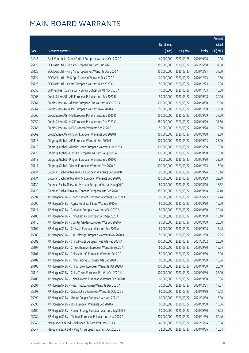|       |                                                              |              |                       |               | Amount      |
|-------|--------------------------------------------------------------|--------------|-----------------------|---------------|-------------|
|       |                                                              | No. of issue |                       |               | raised      |
| Code  | Derivative warrants                                          | (units)      | <b>Listing date</b>   | <b>Expiry</b> | (HK\$ mil.) |
| 24945 | Bank Vontobel - Sunny Optical European Warrants Oct 2020 A   | 40,000,000   | 2020/03/26            | 2020/10/28    | 10.00       |
| 25126 | BOCI Asia Ltd. - Ping An European Warrants Jun 2021 B        | 150,000,000  | 2020/03/27            | 2021/06/30    | 37.50       |
| 25125 | BOCI Asia Ltd. - Ping An European Put Warrants Dec 2020 A    | 150,000,000  | 2020/03/27            | 2020/12/31    | 37.50       |
| 25124 | BOCI Asia Ltd. - SHK Ppt European Warrants Dec 2020 B        | 70,000,000   | 2020/03/27            | 2020/12/23    | 10.50       |
| 25123 | BOCI Asia Ltd. - Xiaomi European Warrants Dec 2020 A         | 80,000,000   | 2020/03/27            | 2020/12/23    | 12.00       |
| 25050 | BNP Paribas Issuance B.V. - Sunny Optical Eu Wt Nov 2020 A   | 40,000,000   | 2020/03/27            | 2020/11/03    | 10.80       |
| 25068 | Credit Suisse AG - AIA European Put Warrants Sep 2020 B      | 50,000,000   | 2020/03/27            | 2020/09/28    | 30.00       |
| 25061 | Credit Suisse AG - Alibaba European Put Warrants Oct 2020 A  | 100,000,000  | 2020/03/27            | 2020/10/30    | 25.00       |
| 25067 | Credit Suisse AG - CPIC European Warrants Nov 2020 A         | 50,000,000   | 2020/03/27            | 2020/11/30    | 12.50       |
| 25060 | Credit Suisse AG - HSI European Put Warrants Sep 2020 D      | 150,000,000  | 2020/03/27            | 2020/09/29    | 37.50       |
| 25059 | Credit Suisse AG - HSI European Put Warrants Oct 2020 C      | 150,000,000  | 2020/03/27            | 2020/10/29    | 37.50       |
| 25066 | Credit Suisse AG - NCI European Warrants Sep 2020 B          | 50,000,000   | 2020/03/27            | 2020/09/28    | 12.50       |
| 25062 | Credit Suisse AG - Ping An European Warrants Sep 2020 B      | 150,000,000  | 2020/03/27            | 2020/09/28    | 79.50       |
| 25118 | Citigroup Global - AIA European Warrants Sep 2020 B          | 100,000,000  | 2020/03/27            | 2020/09/03    | 23.90       |
| 25116 | Citigroup Global - Alibaba Group European Warrants Jun2020 C | 100,000,000  | 2020/03/27            | 2020/06/30    | 19.90       |
| 25120 | Citigroup Global - Meituan European Warrants Aug 2020 A      | 100,000,000  | 2020/03/27            | 2020/08/10    | 18.50       |
| 25113 | Citigroup Global - Ping An European Warrants Sep 2020 C      | 80,000,000   | 2020/03/27            | 2020/09/30    | 33.60       |
| 25117 | Citigroup Global - Xiaomi European Warrants Dec 2020 A       | 100,000,000  | 2020/03/27            | 2020/12/23    | 16.00       |
| 25131 | Goldman Sachs SP (Asia) - CKA European Warrants Sep 2020 B   | 80,000,000   | 2020/03/27            | 2020/09/24    | 13.44       |
| 25134 | Goldman Sachs SP (Asia) - HSI European Warrants Sep 2020 C   | 150,000,000  | 2020/03/27            | 2020/09/29    | 22.50       |
| 25130 | Goldman Sachs SP (Asia) - Meituan European Warrants Aug20 C  | 80,000,000   | 2020/03/27            | 2020/08/10    | 15.52       |
| 25129 | Goldman Sachs SP (Asia) - Tencent European Wts Sep 2020 B    | 150,000,000  | 2020/03/27            | 2020/09/18    | 32.40       |
| 25097 | J P Morgan SP BV - Conch Cement European Warrants Jun 2021 A | 80,000,000   | 2020/03/27            | 2021/06/23    | 12.24       |
| 25096 | J P Morgan SP BV - Agricultural Bank Euro Wts Sep 2020 A     | 60,000,000   | 2020/03/27            | 2020/09/30    | 15.00       |
| 25111 | J P Morgan SP BV - Bud Apac European Warrants Oct 2020 A     | 80,000,000   | 2020/03/27            | 2020/10/30    | 20.48       |
| 25106 | J P Morgan SP BV - China East Air European Wts Sep 2020 A    | 40,000,000   | 2020/03/27            | 2020/09/30    | 10.40       |
| 25110 | J P Morgan SP BV - Country Garden European Wts Sep 2020 A    |              | 80,000,000 2020/03/27 | 2020/09/30    | 20.08       |
| 25109 | J P Morgan SP BV - CK Asset European Warrants Sep 2020 A     | 60,000,000   | 2020/03/27            | 2020/09/28    | 15.48       |
| 25088 | J P Morgan SP BV - CKI Holdings European Warrants Nov 2020 A | 50,000,000   | 2020/03/27            | 2020/11/30    | 12.55       |
| 25082 | J P Morgan SP BV - China Mobile European Put Wts Feb 2021 A  | 100,000,000  | 2020/03/27            | 2021/02/02    | 25.50       |
| 25107 | J P Morgan SP BV - Ch Southern Air European Warrants Sep20 A | 60,000,000   | 2020/03/27            | 2020/09/30    | 15.24       |
| 25101 | J P Morgan SP BV - Chinasoft Int'l European Warrants Sep20 A | 50,000,000   | 2020/03/27            | 2020/09/30    | 18.00       |
| 25102 | J P Morgan SP BV - China Taiping European Wts Sep 2020 B     | 60,000,000   | 2020/03/27            | 2020/09/30    | 15.06       |
| 25108 | J P Morgan SP BV - China Tower European Warrants Oct 2020 A  | 100,000,000  | 2020/03/27            | 2020/10/30    | 25.40       |
| 25112 | J P Morgan SP BV - China Tower European Put Wts Oct 2020 A   | 100,000,000  | 2020/03/27            | 2020/10/30    | 25.00       |
| 25105 | J P Morgan SP BV - China Unicom European Warrants Sep 2020 B | 60,000,000   | 2020/03/27            | 2020/09/30    | 15.36       |
| 25091 | J P Morgan SP BV - Fosun Intl European Warrants Dec 2020 A   | 70,000,000   | 2020/03/27            | 2020/12/31    | 17.57       |
| 25093 | J P Morgan SP BV - Genscript Bio European Warrants Oct2020 B | 60,000,000   | 2020/03/27            | 2020/10/30    | 15.12       |
| 25090 | J P Morgan SP BV - Jiangxi Copper European Wts Apr 2021 A    | 60,000,000   | 2020/03/27            | 2021/04/30    | 15.00       |
| 25095 | J P Morgan SP BV - JXR European Warrants Sep 2020 A          | 60,000,000   | 2020/03/27            | 2020/09/30    | 15.06       |
| 25100 | J P Morgan SP BV - Kunlun Energy European Warrants Sep2020 B | 50,000,000   | 2020/03/27            | 2020/09/30    | 13.05       |
| 25084 | J P Morgan SP BV - Meituan European Put Warrants Nov 2020 A  | 200,000,000  | 2020/03/27            | 2020/11/30    | 50.40       |
| 25049 | Macquarie Bank Ltd. - Brilliance Chi Euro Wts May 2021 A     | 40,000,000   | 2020/03/27            | 2021/05/14    | 10.04       |
| 25047 | Macquarie Bank Ltd. - Ping An European Warrants Oct 2020 B   | 22,500,000   | 2020/03/27            | 2020/10/06    | 10.04       |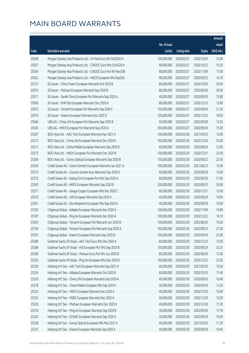|       |                                                              |                        |                     |               | Amount      |
|-------|--------------------------------------------------------------|------------------------|---------------------|---------------|-------------|
|       |                                                              | No. of issue           |                     |               | raised      |
| Code  | Derivative warrants                                          | (units)                | <b>Listing date</b> | <b>Expiry</b> | (HK\$ mil.) |
| 25058 | Morgan Stanley Asia Products Ltd. - Ch Mob Euro Wt Oct2020 A | 100,000,000            | 2020/03/27          | 2020/10/05    | 25.00       |
| 25057 | Morgan Stanley Asia Products Ltd. - CNOOC Euro Wts Oct2020 A | 68,000,000             | 2020/03/27          | 2020/10/22    | 10.20       |
| 25054 | Morgan Stanley Asia Products Ltd. - CNOOC Euro Put Wt Nov20B | 68,000,000             | 2020/03/27          | 2020/11/09    | 17.00       |
| 25052 | Morgan Stanley Asia Products Ltd. - HKEX European Wts Sep20A | 98,000,000             | 2020/03/27          | 2020/09/23    | 14.70       |
| 25121 | SG Issuer - China Tower European Warrants Oct 2020 B         | 80,000,000             | 2020/03/27          | 2020/10/30    | 20.00       |
| 25074 | SG Issuer - Meituan European Warrants Sep 2020 B             | 80,000,000             | 2020/03/27          | 2020/09/30    | 20.00       |
| 25071 | SG Issuer - Sands China European Put Warrants Sep 2020 A     | 40,000,000             | 2020/03/27          | 2020/09/30    | 12.80       |
| 25069 | SG Issuer - SHK Ppt European Warrants Dec 2020 A             | 80,000,000             | 2020/03/27          | 2020/12/23    | 12.80       |
| 25072 | SG Issuer - Tencent European Put Warrants Sep 2020 C         | 100,000,000            | 2020/03/27          | 2020/09/30    | 31.50       |
| 25070 | SG Issuer - Xiaomi European Warrants Dec 2020 D              | 120,000,000            | 2020/03/27          | 2020/12/23    | 18.00       |
| 25046 | UBS AG - China Life European Put Warrants Sep 2020 B         | 50,000,000             | 2020/03/27          | 2020/09/28    | 12.50       |
| 25045 | UBS AG - HKEX European Put Warrants Sep 2020 A               | 300,000,000            | 2020/03/27          | 2020/09/30    | 75.00       |
| 25207 | BOCI Asia Ltd. - AAC Tech European Warrants Apr 2021 A       | 100,000,000            | 2020/03/30          | 2021/04/23    | 15.00       |
| 25212 | BOCI Asia Ltd. - China Life European Warrants Dec 2020 A     | 100,000,000            | 2020/03/30          | 2020/12/30    | 25.00       |
| 25211 | BOCI Asia Ltd. - China Mobile European Warrants Sep 2020 B   | 60,000,000             | 2020/03/30          | 2020/09/24    | 12.00       |
| 25213 | BOCI Asia Ltd. - HKEX European Put Warrants Dec 2020 B       | 100,000,000            | 2020/03/30          | 2020/12/31    | 25.00       |
| 25206 | BOCI Asia Ltd. - Sunny Optical European Warrants Sep 2020 B  | 150,000,000            | 2020/03/30          | 2020/09/22    | 22.50       |
| 25264 | Credit Suisse AG - Conch Cement European Warrants Jun 2021 A | 100,000,000            | 2020/03/30          | 2021/06/23    | 15.00       |
| 25273 | Credit Suisse AG - Country Garden Euro Warrants Sep 2020 A   | 60,000,000             | 2020/03/30          | 2020/09/29    | 15.00       |
| 25272 | Credit Suisse AG - Galaxy Ent European Put Wts Sep 2020 A    | 60,000,000             | 2020/03/30          | 2020/09/29    | 21.60       |
| 25262 | Credit Suisse AG - HKEX European Warrants Sep 2020 B         | 200,000,000            | 2020/03/30          | 2020/09/23    | 30.00       |
| 25271 | Credit Suisse AG - Jiangxi Copper European Wts Dec 2020 C    | 60,000,000             | 2020/03/30          | 2020/12/31    | 15.00       |
| 25270 | Credit Suisse AG - JXR European Warrants Sep 2020 A          | 40,000,000             | 2020/03/30          | 2020/09/29    | 10.00       |
| 25261 | Credit Suisse AG - Sino Biopharm European Wts Sep 2020 A     | 40,000,000             | 2020/03/30          | 2020/09/29    | 10.00       |
| 25192 | Citigroup Global - Alibaba European Warrants Nov 2020 A      | 100,000,000            | 2020/03/30          | 2020/11/09    | 16.80       |
| 25187 | Citigroup Global - Ping An European Warrants Dec 2020 A      | 100,000,000            | 2020/03/30          | 2020/12/22    | 19.10       |
| 25203 | Citigroup Global - Tencent European Put Warrants Jun 2020 B  | 100,000,000 2020/03/30 |                     | 2020/06/30    | 16.50       |
| 25194 | Citigroup Global - Tencent European Put Warrants Sep 2020 A  | 100,000,000            | 2020/03/30          | 2020/09/23    | 27.00       |
| 25191 | Citigroup Global - Xiaomi European Warrants Sep 2020 B       | 100,000,000            | 2020/03/30          | 2020/09/30    | 25.00       |
| 25289 | Goldman Sachs SP (Asia) - AAC Tech Euro Wts Dec 2020 A       | 80,000,000             | 2020/03/30          | 2020/12/23    | 12.00       |
| 25286 | Goldman Sachs SP (Asia) - HSI European Put Wts Sep 2020 B    | 150,000,000            | 2020/03/30          | 2020/09/29    | 32.25       |
| 25290 | Goldman Sachs SP (Asia) - Meituan Euro Put Wts Jun 2020 B    | 80,000,000             | 2020/03/30          | 2020/06/30    | 12.00       |
| 25292 | Goldman Sachs SP (Asia) - Ping An European Wts Dec 2020 D    | 150,000,000            | 2020/03/30          | 2020/12/22    | 22.95       |
| 25229 | Haitong Int'l Sec - AAC Tech European Warrants Sep 2021 A    | 40,000,000             | 2020/03/30          | 2021/09/30    | 10.00       |
| 25224 | Haitong Int'l Sec - Alibaba European Warrants Oct 2020 B     | 60,000,000             | 2020/03/30          | 2020/10/30    | 17.40       |
| 25230 | Haitong Int'l Sec - China Life European Warrants Sep 2020 A  | 40,000,000             | 2020/03/30          | 2020/09/30    | 10.40       |
| 25218 | Haitong Int'l Sec - China Mobile European Wts Sep 2020 A     | 30,000,000             | 2020/03/30          | 2020/09/30    | 13.20       |
| 25223 | Haitong Int'l Sec - HKEX European Warrants Dec 2020 A        | 40,000,000             | 2020/03/30          | 2020/12/30    | 10.40       |
| 25232 | Haitong Int'l Sec - HSBC European Warrants Dec 2020 A        | 40,000,000             | 2020/03/30          | 2020/12/30    | 12.00       |
| 25220 | Haitong Int'l Sec - Meituan European Warrants Dec 2020 A     | 40,000,000             | 2020/03/30          | 2020/12/30    | 11.20       |
| 25216 | Haitong Int'l Sec - Ping An European Warrants Sep 2020 B     | 30,000,000             | 2020/03/30          | 2020/09/30    | 17.70       |
| 25225 | Haitong Int'l Sec - SUNAC European Warrants Sep 2020 A       | 30,000,000             | 2020/03/30          | 2020/09/30    | 16.50       |
| 25228 | Haitong Int'l Sec - Sunny Optical European Wts Mar 2021 A    | 40,000,000             | 2020/03/30          | 2021/03/30    | 11.20       |
| 25231 | Haitong Int'l Sec - Xiaomi European Warrants Sep 2020 A      | 40,000,000             | 2020/03/30          | 2020/09/30    | 10.40       |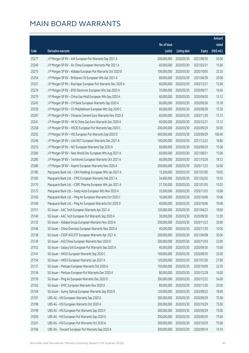|       |                                                              |                        |                     |               | Amount      |
|-------|--------------------------------------------------------------|------------------------|---------------------|---------------|-------------|
|       |                                                              | No. of issue           |                     |               | raised      |
| Code  | Derivative warrants                                          | (units)                | <b>Listing date</b> | <b>Expiry</b> | (HK\$ mil.) |
| 25277 | J P Morgan SP BV - AIA European Put Warrants Sep 2021 A      | 200,000,000            | 2020/03/30          | 2021/09/30    | 50.00       |
| 25240 | J P Morgan SP BV - Air China European Warrants Mar 2021 A    | 60,000,000             | 2020/03/30          | 2021/03/31    | 15.06       |
| 25275 | J P Morgan SP BV - Alibaba European Put Warrants Oct 2020 B  | 100,000,000            | 2020/03/30          | 2020/10/05    | 25.30       |
| 25254 | J P Morgan SP BV - Brilliance Chi European Wts Apr 2021 A    | 80,000,000             | 2020/03/30          | 2021/04/30    | 20.08       |
| 25251 | J P Morgan SP BV - Bud Apac European Put Warrants Dec 2020 A | 60,000,000             | 2020/03/30          | 2020/12/31    | 15.06       |
| 25274 | J P Morgan SP BV - BYD Electronic European Wts Sep 2020 A    | 70,000,000             | 2020/03/30          | 2020/09/17    | 10.64       |
| 25279 | J P Morgan SP BV - China Gas Hold European Wts Sep 2020 A    | 60,000,000             | 2020/03/30          | 2020/09/30    | 15.12       |
| 25243 | J P Morgan SP BV - CM Bank European Warrants Sep 2020 A      | 60,000,000             | 2020/03/30          | 2020/09/30    | 15.18       |
| 25259 | J P Morgan SP BV - Ch Molybdenum European Wts Sep 2020 C     | 60,000,000             | 2020/03/30          | 2020/09/30    | 15.30       |
| 25281 | J P Morgan SP BV - Chinares Cement Euro Warrants Nov 2020 A  | 60,000,000             | 2020/03/30          | 2020/11/30    | 15.72       |
| 25241 | J P Morgan SP BV - HK & China Gas Euro Warrants Dec 2020 A   | 60,000,000             | 2020/03/30          | 2020/12/31    | 15.12       |
| 25258 | J P Morgan SP BV - HSCEI European Put Warrants Sep 2020 C    | 200,000,000            | 2020/03/30          | 2020/09/29    | 50.00       |
| 25255 | J P Morgan SP BV - HSI European Put Warrants Sep 2020 D      | 400,000,000            | 2020/03/30          | 2020/09/29    | 100.40      |
| 25246 | J P Morgan SP BV - Link REIT European Warrants Dec 2021 A    | 100,000,000            | 2020/03/30          | 2021/12/23    | 16.80       |
| 25253 | J P Morgan SP BV - NCI European Warrants Sep 2020 A          | 60,000,000             | 2020/03/30          | 2020/09/29    | 15.06       |
| 25260 | J P Morgan SP BV - New World Dev European Wts Aug 2021 A     | 60,000,000             | 2020/03/30          | 2021/08/31    | 15.06       |
| 25285 | J P Morgan SP BV - Techtronic European Warrants Oct 2021 A   | 60,000,000             | 2020/03/30          | 2021/10/29    | 18.12       |
| 25280 | J P Morgan SP BV - Xiaomi European Warrants Nov 2020 A       | 200,000,000            | 2020/03/30          | 2020/11/23    | 34.00       |
| 25185 | Macquarie Bank Ltd. - CKH Holdings European Wts Jan 2021 A   | 15,200,000             | 2020/03/30          | 2021/01/05    | 10.05       |
| 25183 | Macquarie Bank Ltd. - CPIC European Warrants Feb 2021 A      | 34,600,000             | 2020/03/30          | 2021/02/02    | 10.03       |
| 25170 | Macquarie Bank Ltd. - CSPC Pharma European Wts Jan 2021 A    | 37,700,000             | 2020/03/30          | 2021/01/05    | 10.03       |
| 25172 | Macquarie Bank Ltd. - Geely Auto European Wts Nov 2020 A     | 35,000,000             | 2020/03/30          | 2020/11/03    | 10.08       |
| 25165 | Macquarie Bank Ltd. - Ping An European Warrants Oct 2020 C   | 16,000,000             | 2020/03/30          | 2020/10/06    | 10.06       |
| 25166 | Macquarie Bank Ltd. - Ping An European Warrants Oct 2020 D   | 40,000,000             | 2020/03/30          | 2020/10/06    | 10.08       |
| 25151 | SG Issuer - AAC Tech European Warrants Apr 2021 A            | 120,000,000            | 2020/03/30          | 2021/04/23    | 18.00       |
| 25140 | SG Issuer - AAC Tech European Put Warrants Sep 2020 A        | 30,000,000             | 2020/03/30          | 2020/09/30    | 12.90       |
| 25135 | SG Issuer - Alibaba Group European Warrants Nov 2020 A       | 200,000,000 2020/03/30 |                     | 2020/11/23    | 30.00       |
| 25146 | SG Issuer - China Overseas European Warrants Nov 2020 A      | 40,000,000             | 2020/03/30          | 2020/11/30    | 10.00       |
| 25138 | SG Issuer - CSOP A50 ETF European Warrants Apr 2021 A        | 200,000,000            | 2020/03/30          | 2021/04/08    | 30.00       |
| 25139 | SG Issuer - A50 China European Warrants Nov 2020 D           | 200,000,000            | 2020/03/30          | 2020/11/03    | 33.00       |
| 25152 | SG Issuer - Galaxy Ent European Put Warrants Sep 2020 A      | 40,000,000             | 2020/03/30          | 2020/09/30    | 15.00       |
| 25141 | SG Issuer - HKEX European Warrants Sep 2020 C                | 100,000,000            | 2020/03/30          | 2020/09/30    | 25.00       |
| 25154 | SG Issuer - HKEX European Warrants Jan 2021 A                | 120,000,000            | 2020/03/30          | 2021/01/26    | 21.00       |
| 25137 | SG Issuer - Meituan European Warrants Oct 2020 A             | 150,000,000            | 2020/03/30          | 2020/10/09    | 22.50       |
| 25156 | SG Issuer - Meituan European Put Warrants Dec 2020 A         | 80,000,000             | 2020/03/30          | 2020/12/28    | 16.00       |
| 25159 | SG Issuer - Ping An European Warrants Dec 2020 D             | 300,000,000            | 2020/03/30          | 2020/12/22    | 54.00       |
| 25163 | SG Issuer - SMIC European Warrants Nov 2020 A                | 80,000,000             | 2020/03/30          | 2020/11/30    | 20.00       |
| 25164 | SG Issuer - Sunny Optical European Warrants Sep 2020 B       | 120,000,000            | 2020/03/30          | 2020/09/22    | 18.00       |
| 25197 | UBS AG - HSI European Warrants Sep 2020 G                    | 300,000,000            | 2020/03/30          | 2020/09/29    | 75.00       |
| 25198 | UBS AG - HSI European Warrants Oct 2020 A                    | 300,000,000            | 2020/03/30          | 2020/10/29    | 75.00       |
| 25199 | UBS AG - HSI European Put Warrants Sep 2020 F                | 300,000,000            | 2020/03/30          | 2020/09/29    | 75.00       |
| 25200 | UBS AG - HSI European Put Warrants Sep 2020 G                | 300,000,000            | 2020/03/30          | 2020/09/29    | 75.00       |
| 25201 | UBS AG - HSI European Put Warrants Oct 2020 A                | 300,000,000            | 2020/03/30          | 2020/10/29    | 75.00       |
| 25196 | UBS AG - Tencent European Put Warrants Sep 2020 A            | 300,000,000            | 2020/03/30          | 2020/09/14    | 74.10       |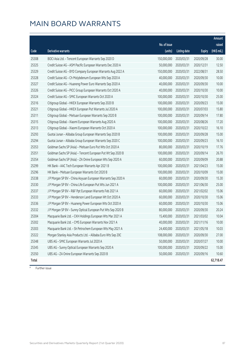|       |                                                              |              |                       |               | Amount      |
|-------|--------------------------------------------------------------|--------------|-----------------------|---------------|-------------|
|       |                                                              | No. of issue |                       |               | raised      |
| Code  | Derivative warrants                                          | (units)      | <b>Listing date</b>   | <b>Expiry</b> | (HK\$ mil.) |
| 25308 | BOCI Asia Ltd. - Tencent European Warrants Sep 2020 D        | 150,000,000  | 2020/03/31            | 2020/09/28    | 30.00       |
| 25325 | Credit Suisse AG - ASM Pacific European Warrants Dec 2020 A  | 50,000,000   | 2020/03/31            | 2020/12/31    | 12.50       |
| 25329 | Credit Suisse AG - BYD Company European Warrants Aug 2022 A  | 150,000,000  | 2020/03/31            | 2022/08/31    | 28.50       |
| 25328 | Credit Suisse AG - Ch Molybdenum European Wts Sep 2020 A     | 40,000,000   | 2020/03/31            | 2020/09/30    | 10.00       |
| 25327 | Credit Suisse AG - Huaneng Power Euro Warrants Sep 2020 A    | 40,000,000   | 2020/03/31            | 2020/09/30    | 10.00       |
| 25326 | Credit Suisse AG - PICC Group European Warrants Oct 2020 A   | 40,000,000   | 2020/03/31            | 2020/10/30    | 10.00       |
| 25324 | Credit Suisse AG - SMIC European Warrants Oct 2020 A         | 100,000,000  | 2020/03/31            | 2020/10/30    | 25.00       |
| 25316 | Citigroup Global - HKEX European Warrants Sep 2020 B         | 100,000,000  | 2020/03/31            | 2020/09/23    | 15.00       |
| 25321 | Citigroup Global - HKEX European Put Warrants Jul 2020 A     | 100,000,000  | 2020/03/31            | 2020/07/03    | 15.80       |
| 25311 | Citigroup Global - Meituan European Warrants Sep 2020 B      | 100,000,000  | 2020/03/31            | 2020/09/14    | 17.80       |
| 25315 | Citigroup Global - Xiaomi European Warrants Aug 2020 A       | 100,000,000  | 2020/03/31            | 2020/08/26    | 17.20       |
| 25313 | Citigroup Global - Xiaomi European Warrants Oct 2020 A       | 100,000,000  | 2020/03/31            | 2020/10/22    | 16.10       |
| 25293 | Guotai Junan - Alibaba Group European Warrants Sep 2020 B    | 100,000,000  | 2020/03/31            | 2020/09/28    | 15.00       |
| 25294 | Guotai Junan - Alibaba Group European Warrants Sep 2020 C    | 100,000,000  | 2020/03/31            | 2020/09/23    | 16.10       |
| 25353 | Goldman Sachs SP (Asia) - Meituan Euro Put Wts Oct 2020 A    | 80,000,000   | 2020/03/31            | 2020/10/19    | 17.76       |
| 25351 | Goldman Sachs SP (Asia) - Tencent European Put Wt Sep 2020 B | 100,000,000  | 2020/03/31            | 2020/09/14    | 26.70       |
| 25354 | Goldman Sachs SP (Asia) - ZA Onine European Wts Sep 2020 A   | 60,000,000   | 2020/03/31            | 2020/09/09    | 20.88       |
| 25299 | HK Bank - AAC Tech European Warrants Apr 2021 B              | 100,000,000  | 2020/03/31            | 2021/04/23    | 15.00       |
| 25296 | HK Bank - Meituan European Warrants Oct 2020 B               | 100,000,000  | 2020/03/31            | 2020/10/09    | 15.00       |
| 25338 | J P Morgan SP BV - China Aoyuan European Warrants Sep 2020 A | 60,000,000   | 2020/03/31            | 2020/09/30    | 15.30       |
| 25330 | J P Morgan SP BV - China Life European Put Wts Jun 2021 A    | 100,000,000  | 2020/03/31            | 2021/06/30    | 25.00       |
| 25337 | J P Morgan SP BV - R&F Ppt European Warrants Feb 2021 A      | 60,000,000   | 2020/03/31            | 2021/02/02    | 15.06       |
| 25333 | J P Morgan SP BV - Henderson Land European Wt Oct 2020 A     | 60,000,000   | 2020/03/31            | 2020/10/30    | 15.06       |
| 25336 | J P Morgan SP BV - Huaneng Power European Wts Oct 2020 A     | 60,000,000   | 2020/03/31            | 2020/10/30    | 15.06       |
| 25332 | J P Morgan SP BV - Sunny Optical European Put Wts Sep 2020 B | 80,000,000   | 2020/03/31            | 2020/09/30    | 20.24       |
| 25304 | Macquarie Bank Ltd. - CKH Holdings European Wts Mar 2021 A   | 15,400,000   | 2020/03/31            | 2021/03/02    | 10.04       |
| 25302 | Macquarie Bank Ltd. - CMS European Warrants Nov 2021 A       |              | 40,000,000 2020/03/31 | 2021/11/16    | 10.00       |
| 25303 | Macquarie Bank Ltd. - Sh Petrochem European Wts May 2021 A   | 24,400,000   | 2020/03/31            | 2021/05/18    | 10.03       |
| 25322 | Morgan Stanley Asia Products Ltd. - Alibaba Euro Wts Sep 20C | 108,000,000  | 2020/03/31            | 2020/09/30    | 27.00       |
| 25348 | UBS AG - SMIC European Warrants Jul 2020 A                   | 50,000,000   | 2020/03/31            | 2020/07/27    | 10.00       |
| 25345 | UBS AG - Sunny Optical European Warrants Sep 2020 A          | 100,000,000  | 2020/03/31            | 2020/09/22    | 15.00       |
| 25350 | UBS AG - ZA Onine European Warrants Sep 2020 B               | 50,000,000   | 2020/03/31            | 2020/09/16    | 10.60       |
| Total |                                                              |              |                       |               | 62,718.47   |

# Further issue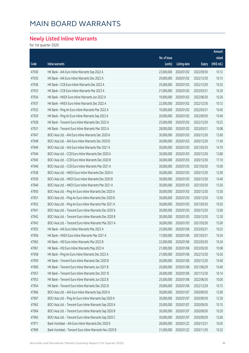### **Newly Listed Inline Warrants**

for 1st quarter 2020

|       |                                                          |              |                     |               | Amount                |
|-------|----------------------------------------------------------|--------------|---------------------|---------------|-----------------------|
|       |                                                          | No. of issue |                     |               | raised                |
| Code  | <b>Inline warrants</b>                                   | (units)      | <b>Listing date</b> | <b>Expiry</b> | $(HK\frac{1}{2}mil.)$ |
| 47930 | HK Bank - AIA Euro Inline Warrants Sep 2022 A            | 23,000,000   | 2020/01/02          | 2022/09/30    | 10.12                 |
| 47935 | HK Bank - AIA Euro Inline Warrants Dec 2022 A            | 29,000,000   | 2020/01/02          | 2022/12/30    | 10.15                 |
| 47936 | HK Bank - CCB Euro Inline Warrants Dec 2022 A            | 25,000,000   | 2020/01/02          | 2022/12/30    | 10.25                 |
| 47933 | HK Bank - CCB Euro Inline Warrants Mar 2023 A            | 21,000,000   | 2020/01/02          | 2023/03/31    | 10.29                 |
| 47934 | HK Bank - HKEX Euro Inline Warrants Jun 2022 A           | 19,000,000   | 2020/01/02          | 2022/06/30    | 10.26                 |
| 47937 | HK Bank - HKEX Euro Inline Warrants Dec 2022 A           | 22,000,000   | 2020/01/02          | 2022/12/30    | 10.12                 |
| 47932 | HK Bank - Ping An Euro Inline Warrants Mar 2022 A        | 19,000,000   | 2020/01/02          | 2022/03/31    | 10.45                 |
| 47929 | HK Bank - Ping An Euro Inline Warrants Sep 2022 A        | 20,000,000   | 2020/01/02          | 2022/09/30    | 10.40                 |
| 47928 | HK Bank - Tencent Euro Inline Warrants Dec 2022 A        | 25,000,000   | 2020/01/02          | 2022/12/30    | 10.25                 |
| 47931 | HK Bank - Tencent Euro Inline Warrants Mar 2023 A        | 28,000,000   | 2020/01/02          | 2023/03/31    | 10.08                 |
| 47947 | BOCI Asia Ltd. - AIA Euro Inline Warrants Dec 2020 A     | 30,000,000   | 2020/01/03          | 2020/12/30    | 12.60                 |
| 47948 | BOCI Asia Ltd. - AIA Euro Inline Warrants Dec 2020 B     | 30,000,000   | 2020/01/03          | 2020/12/30    | 11.40                 |
| 47949 | BOCI Asia Ltd. - AIA Euro Inline Warrants Mar 2021 A     | 30,000,000   | 2020/01/03          | 2021/03/30    | 14.70                 |
| 47944 | BOCI Asia Ltd. - CCB Euro Inline Warrants Dec 2020 A     | 30,000,000   | 2020/01/03          | 2020/12/30    | 13.80                 |
| 47945 | BOCI Asia Ltd. - CCB Euro Inline Warrants Dec 2020 B     | 30,000,000   | 2020/01/03          | 2020/12/30    | 17.10                 |
| 47946 | BOCI Asia Ltd. - CCB Euro Inline Warrants Mar 2021 A     | 30,000,000   | 2020/01/03          | 2021/03/30    | 15.00                 |
| 47938 | BOCI Asia Ltd. - HKEX Euro Inline Warrants Dec 2020 A    | 30,000,000   | 2020/01/03          | 2020/12/30    | 12.00                 |
| 47939 | BOCI Asia Ltd. - HKEX Euro Inline Warrants Dec 2020 B    | 30,000,000   | 2020/01/03          | 2020/12/30    | 14.40                 |
| 47940 | BOCI Asia Ltd. - HKEX Euro Inline Warrants Mar 2021 A    | 30,000,000   | 2020/01/03          | 2021/03/30    | 13.50                 |
| 47950 | BOCI Asia Ltd. - Ping An Euro Inline Warrants Dec 2020 A | 30,000,000   | 2020/01/03          | 2020/12/30    | 13.50                 |
| 47951 | BOCI Asia Ltd. - Ping An Euro Inline Warrants Dec 2020 B | 30,000,000   | 2020/01/03          | 2020/12/30    | 13.50                 |
| 47952 | BOCI Asia Ltd. - Ping An Euro Inline Warrants Mar 2021 A | 30,000,000   | 2020/01/03          | 2021/03/30    | 10.50                 |
| 47941 | BOCI Asia Ltd. - Tencent Euro Inline Warrants Dec 2020 A | 30,000,000   | 2020/01/03          | 2020/12/30    | 12.60                 |
| 47942 | BOCI Asia Ltd. - Tencent Euro Inline Warrants Dec 2020 B | 30,000,000   | 2020/01/03          | 2020/12/30    | 12.30                 |
| 47943 | BOCI Asia Ltd. - Tencent Euro Inline Warrants Mar 2021 A | 30,000,000   | 2020/01/03          | 2021/03/30    | 15.00                 |
| 47955 | HK Bank - AIA Euro Inline Warrants Mar 2023 A            | 25,000,000   | 2020/01/06          | 2023/03/31    | 10.25                 |
| 47956 | HK Bank - HKEX Euro Inline Warrants Mar 2021 A           | 17,000,000   | 2020/01/06          | 2021/03/31    | 10.54                 |
| 47962 | HK Bank - HSI Euro Inline Warrants Mar 2023 B            | 22,000,000   | 2020/01/06          | 2023/03/30    | 10.34                 |
| 47961 | HK Bank - HSI Euro Inline Warrants May 2023 A            | 21,000,000   | 2020/01/06          | 2023/05/30    | 10.08                 |
| 47958 | HK Bank - Ping An Euro Inline Warrants Dec 2022 A        | 27,000,000   | 2020/01/06          | 2022/12/30    | 10.26                 |
| 47959 | HK Bank - Tencent Euro Inline Warrants Dec 2020 B        | 20,000,000   | 2020/01/06          | 2020/12/30    | 10.40                 |
| 47960 | HK Bank - Tencent Euro Inline Warrants Jun 2021 B        | 20,000,000   | 2020/01/06          | 2021/06/29    | 10.40                 |
| 47957 | HK Bank - Tencent Euro Inline Warrants Dec 2021 B        | 26,000,000   | 2020/01/06          | 2021/12/30    | 10.14                 |
| 47953 | HK Bank - Tencent Euro Inline Warrants Jun 2022 B        | 25,000,000   | 2020/01/06          | 2022/06/30    | 10.00                 |
| 47954 | HK Bank - Tencent Euro Inline Warrants Dec 2022 B        | 29,000,000   | 2020/01/06          | 2022/12/29    | 10.15                 |
| 47966 | BOCI Asia Ltd. - AIA Euro Inline Warrants Sep 2020 A     | 30,000,000   | 2020/01/07          | 2020/09/30    | 12.00                 |
| 47967 | BOCI Asia Ltd. - Ping An Euro Inline Warrants Sep 2020 A | 30,000,000   | 2020/01/07          | 2020/09/30    | 12.30                 |
| 47963 | BOCI Asia Ltd. - Tencent Euro Inline Warrants Sep 2020 A | 35,000,000   | 2020/01/07          | 2020/09/30    | 10.15                 |
| 47964 | BOCI Asia Ltd. - Tencent Euro Inline Warrants Sep 2020 B | 30,000,000   | 2020/01/07          | 2020/09/30    | 10.20                 |
| 47965 | BOCI Asia Ltd. - Tencent Euro Inline Warrants Sep 2020 C | 30,000,000   | 2020/01/07          | 2020/09/30    | 12.60                 |
| 47971 | Bank Vontobel - AIA Euro Inline Warrants Dec 2020 E      | 28,000,000   | 2020/01/22          | 2020/12/31    | 10.05                 |
| 47969 | Bank Vontobel - Tencent Euro Inline Warrants Nov 2020 B  | 31,000,000   | 2020/01/22          | 2020/11/30    | 10.32                 |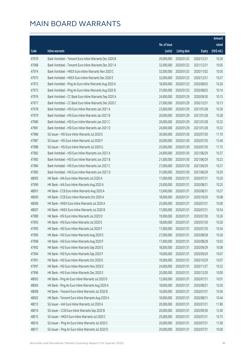|       |                                                         |              |                       |               | Amount      |
|-------|---------------------------------------------------------|--------------|-----------------------|---------------|-------------|
|       |                                                         | No. of issue |                       |               | raised      |
| Code  | <b>Inline warrants</b>                                  | (units)      | <b>Listing date</b>   | <b>Expiry</b> | (HK\$ mil.) |
| 47970 | Bank Vontobel - Tencent Euro Inline Warrants Dec 2020 B | 29,000,000   | 2020/01/22            | 2020/12/31    | 10.30       |
| 47968 | Bank Vontobel - Tencent Euro Inline Warrants Dec 2021 A | 32,000,000   | 2020/01/22            | 2021/12/31    | 10.05       |
| 47974 | Bank Vontobel - HKEX Euro Inline Warrants Nov 2020 C    | 32,000,000   | 2020/01/23            | 2020/11/02    | 10.05       |
| 47975 | Bank Vontobel - HKEX Euro Inline Warrants Dec 2020 E    | 32,000,000   | 2020/01/23            | 2020/12/31    | 10.27       |
| 47972 | Bank Vontobel - Ping An Euro Inline Warrants Aug 2020 A | 18,000,000   | 2020/01/23            | 2020/08/03    | 10.26       |
| 47973 | Bank Vontobel - Ping An Euro Inline Warrants Aug 2020 B | 37,000,000   | 2020/01/23            | 2020/08/03    | 10.14       |
| 47976 | Bank Vontobel - CC Bank Euro Inline Warrants Sep 2020 A | 24,000,000   | 2020/01/29            | 2020/09/30    | 10.15       |
| 47977 | Bank Vontobel - CC Bank Euro Inline Warrants Dec 2020 C | 27,000,000   | 2020/01/29            | 2020/12/31    | 10.13       |
| 47978 | Bank Vontobel - HSI Euro Inline Warrants Jan 2021 A     | 23,000,000   | 2020/01/29            | 2021/01/28    | 10.30       |
| 47979 | Bank Vontobel - HSI Euro Inline Warrants Jan 2021 B     | 20,000,000   | 2020/01/29            | 2021/01/28    | 10.28       |
| 47980 | Bank Vontobel - HSI Euro Inline Warrants Jan 2021 C     | 20,000,000   | 2020/01/29            | 2021/01/28    | 10.32       |
| 47981 | Bank Vontobel - HSI Euro Inline Warrants Jan 2021 D     | 24,000,000   | 2020/01/29            | 2021/01/28    | 10.32       |
| 47986 | SG Issuer - HSI Euro Inline Warrants Jul 2020 E         | 30,000,000   | 2020/01/30            | 2020/07/30    | 11.70       |
| 47987 | SG Issuer - HSI Euro Inline Warrants Jul 2020 F         | 20,000,000   | 2020/01/30            | 2020/07/30    | 15.40       |
| 47988 | SG Issuer - HSI Euro Inline Warrants Jul 2020 G         | 25,000,000   | 2020/01/30            | 2020/07/30    | 11.75       |
| 47982 | Bank Vontobel - HSI Euro Inline Warrants Jun 2021 A     | 24,000,000   | 2020/01/30            | 2021/06/29    | 10.37       |
| 47983 | Bank Vontobel - HSI Euro Inline Warrants Jun 2021 B     | 21,000,000   | 2020/01/30            | 2021/06/29    | 10.23       |
| 47984 | Bank Vontobel - HSI Euro Inline Warrants Jun 2021 C     | 27,000,000   | 2020/01/30            | 2021/06/29    | 10.21       |
| 47985 | Bank Vontobel - HSI Euro Inline Warrants Jun 2021 D     | 31,000,000   | 2020/01/30            | 2021/06/29    | 10.29       |
| 48005 | HK Bank - AIA Euro Inline Warrants Jul 2020 A           | 17,000,000   | 2020/01/31            | 2020/07/31    | 10.20       |
| 47999 | HK Bank - AIA Euro Inline Warrants Aug 2020 A           | 25,000,000   | 2020/01/31            | 2020/08/31    | 10.25       |
| 48001 | HK Bank - CCB Euro Inline Warrants Aug 2020 A           | 13,000,000   | 2020/01/31            | 2020/08/31    | 10.27       |
| 48000 | HK Bank - CCB Euro Inline Warrants Oct 2020 A           | 18,000,000   | 2020/01/31            | 2020/10/30    | 10.08       |
| 48006 | HK Bank - HKEX Euro Inline Warrants Jul 2020 A          | 25,000,000   | 2020/01/31            | 2020/07/31    | 10.00       |
| 48007 | HK Bank - HKEX Euro Inline Warrants Jul 2020 B          | 17,000,000   | 2020/01/31            | 2020/07/31    | 10.54       |
| 47989 | HK Bank - HSI Euro Inline Warrants Jul 2020 D           | 19,000,000   | 2020/01/31            | 2020/07/30    | 10.26       |
| 47993 | HK Bank - HSI Euro Inline Warrants Jul 2020 E           |              | 18,000,000 2020/01/31 | 2020/07/30    | 10.26       |
| 47995 | HK Bank - HSI Euro Inline Warrants Jul 2020 F           | 17,000,000   | 2020/01/31            | 2020/07/30    | 10.54       |
| 47990 | HK Bank - HSI Euro Inline Warrants Aug 2020 E           | 27,000,000   | 2020/01/31            | 2020/08/28    | 10.26       |
| 47998 | HK Bank - HSI Euro Inline Warrants Aug 2020 F           | 17,000,000   | 2020/01/31            | 2020/08/28    | 10.03       |
| 47992 | HK Bank - HSI Euro Inline Warrants Sep 2020 E           | 18,000,000   | 2020/01/31            | 2020/09/29    | 10.08       |
| 47994 | HK Bank - HSI Euro Inline Warrants Sep 2020 F           | 19,000,000   | 2020/01/31            | 2020/09/29    | 10.07       |
| 47991 | HK Bank - HSI Euro Inline Warrants Oct 2020 E           | 19,000,000   | 2020/01/31            | 2020/10/29    | 10.07       |
| 47997 | HK Bank - HSI Euro Inline Warrants Nov 2020 E           | 24,000,000   | 2020/01/31            | 2020/11/27    | 10.32       |
| 47996 | HK Bank - HSI Euro Inline Warrants Dec 2020 E           | 20,000,000   | 2020/01/31            | 2020/12/30    | 10.00       |
| 48003 | HK Bank - Ping An Euro Inline Warrants Jul 2020 D       | 13,000,000   | 2020/01/31            | 2020/07/31    | 10.01       |
| 48004 | HK Bank - Ping An Euro Inline Warrants Aug 2020 A       | 18,000,000   | 2020/01/31            | 2020/08/31    | 10.26       |
| 48008 | HK Bank - Tencent Euro Inline Warrants Jul 2020 B       | 16,000,000   | 2020/01/31            | 2020/07/31    | 10.56       |
| 48002 | HK Bank - Tencent Euro Inline Warrants Aug 2020 A       | 18,000,000   | 2020/01/31            | 2020/08/31    | 10.44       |
| 48013 | SG Issuer - AIA Euro Inline Warrants Jul 2020 A         | 20,000,000   | 2020/01/31            | 2020/07/31    | 11.80       |
| 48014 | SG Issuer - CCB Euro Inline Warrants Sep 2020 B         | 20,000,000   | 2020/01/31            | 2020/09/30    | 12.40       |
| 48015 | SG Issuer - HKEX Euro Inline Warrants Jul 2020 C        | 25,000,000   | 2020/01/31            | 2020/07/31    | 10.75       |
| 48016 | SG Issuer - Ping An Euro Inline Warrants Jul 2020 C     | 20,000,000   | 2020/01/31            | 2020/07/31    | 11.00       |
| 48017 | SG Issuer - Ping An Euro Inline Warrants Jul 2020 D     | 20,000,000   | 2020/01/31            | 2020/07/31    | 10.00       |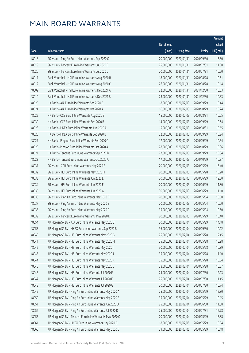|       |                                                            |              |                       |               | Amount      |
|-------|------------------------------------------------------------|--------------|-----------------------|---------------|-------------|
|       |                                                            | No. of issue |                       |               | raised      |
| Code  | Inline warrants                                            | (units)      | <b>Listing date</b>   | <b>Expiry</b> | (HK\$ mil.) |
| 48018 | SG Issuer - Ping An Euro Inline Warrants Sep 2020 C        | 20,000,000   | 2020/01/31            | 2020/09/30    | 13.80       |
| 48019 | SG Issuer - Tencent Euro Inline Warrants Jul 2020 B        | 25,000,000   | 2020/01/31            | 2020/07/31    | 11.00       |
| 48020 | SG Issuer - Tencent Euro Inline Warrants Jul 2020 C        | 20,000,000   | 2020/01/31            | 2020/07/31    | 10.20       |
| 48011 | Bank Vontobel - HSI Euro Inline Warrants Aug 2020 B        | 18,000,000   | 2020/01/31            | 2020/08/28    | 10.51       |
| 48012 | Bank Vontobel - HSI Euro Inline Warrants Aug 2020 C        | 26,000,000   | 2020/01/31            | 2020/08/28    | 10.14       |
| 48009 | Bank Vontobel - HSI Euro Inline Warrants Dec 2021 A        | 22,000,000   | 2020/01/31            | 2021/12/30    | 10.03       |
| 48010 | Bank Vontobel - HSI Euro Inline Warrants Dec 2021 B        | 28,000,000   | 2020/01/31            | 2021/12/30    | 10.33       |
| 48025 | HK Bank - AIA Euro Inline Warrants Sep 2020 B              | 18,000,000   | 2020/02/03            | 2020/09/29    | 10.44       |
| 48024 | HK Bank - AIA Euro Inline Warrants Oct 2020 A              | 16,000,000   | 2020/02/03            | 2020/10/29    | 10.24       |
| 48022 | HK Bank - CCB Euro Inline Warrants Aug 2020 B              | 15,000,000   | 2020/02/03            | 2020/08/31    | 10.05       |
| 48030 | HK Bank - CCB Euro Inline Warrants Sep 2020 B              | 14,000,000   | 2020/02/03            | 2020/09/29    | 10.64       |
| 48028 | HK Bank - HKEX Euro Inline Warrants Aug 2020 A             | 15,000,000   | 2020/02/03            | 2020/08/31    | 10.65       |
| 48026 | HK Bank - HKEX Euro Inline Warrants Sep 2020 B             | 32,000,000   | 2020/02/03            | 2020/09/29    | 10.24       |
| 48027 | HK Bank - Ping An Euro Inline Warrants Sep 2020 C          | 17,000,000   | 2020/02/03            | 2020/09/29    | 10.54       |
| 48029 | HK Bank - Ping An Euro Inline Warrants Oct 2020 A          | 28,000,000   | 2020/02/03            | 2020/10/29    | 10.36       |
| 48021 | HK Bank - Tencent Euro Inline Warrants Sep 2020 B          | 22,000,000   | 2020/02/03            | 2020/09/29    | 10.34       |
| 48023 | HK Bank - Tencent Euro Inline Warrants Oct 2020 A          | 17,000,000   | 2020/02/03            | 2020/10/29    | 10.37       |
| 48031 | SG Issuer - CCB Euro Inline Warrants May 2020 B            | 20,000,000   | 2020/02/03            | 2020/05/29    | 15.40       |
| 48032 | SG Issuer - HSI Euro Inline Warrants May 2020 H            | 20,000,000   | 2020/02/03            | 2020/05/28    | 10.20       |
| 48033 | SG Issuer - HSI Euro Inline Warrants Jun 2020 E            | 20,000,000   | 2020/02/03            | 2020/06/29    | 12.80       |
| 48034 | SG Issuer - HSI Euro Inline Warrants Jun 2020 F            | 20,000,000   | 2020/02/03            | 2020/06/29    | 11.80       |
| 48035 | SG Issuer - HSI Euro Inline Warrants Jun 2020 G            | 30,000,000   | 2020/02/03            | 2020/06/29    | 11.10       |
| 48036 | SG Issuer - Ping An Euro Inline Warrants May 2020 D        | 20,000,000   | 2020/02/03            | 2020/05/04    | 15.60       |
| 48037 | SG Issuer - Ping An Euro Inline Warrants May 2020 E        | 20,000,000   | 2020/02/03            | 2020/05/04    | 10.00       |
| 48038 | SG Issuer - Ping An Euro Inline Warrants May 2020 F        | 35,000,000   | 2020/02/03            | 2020/05/04    | 10.50       |
| 48039 | SG Issuer - Tencent Euro Inline Warrants May 2020 D        | 20,000,000   | 2020/02/03            | 2020/05/29    | 13.40       |
| 48054 | J P Morgan SP BV - AIA Euro Inline Warrants May 2020 B     |              | 20,000,000 2020/02/04 | 2020/05/29    | 14.18       |
| 48053 | J P Morgan SP BV - HKEX Euro Inline Warrants Sep 2020 B    | 36,000,000   | 2020/02/04            | 2020/09/30    | 10.12       |
| 48040 | J P Morgan SP BV - HSI Euro Inline Warrants May 2020 G     | 25,000,000   | 2020/02/04            | 2020/05/28    | 12.45       |
| 48041 | J P Morgan SP BV - HSI Euro Inline Warrants May 2020 H     | 25,000,000   | 2020/02/04            | 2020/05/28    | 15.98       |
| 48042 | J P Morgan SP BV - HSI Euro Inline Warrants May 2020 I     | 30,000,000   | 2020/02/04            | 2020/05/28    | 10.89       |
| 48043 | J P Morgan SP BV - HSI Euro Inline Warrants May 2020 J     | 35,000,000   | 2020/02/04            | 2020/05/28    | 11.10       |
| 48044 | J P Morgan SP BV - HSI Euro Inline Warrants May 2020 K     | 35,000,000   | 2020/02/04            | 2020/05/28    | 10.64       |
| 48045 | J P Morgan SP BV - HSI Euro Inline Warrants May 2020 L     | 38,000,000   | 2020/02/04            | 2020/05/28    | 10.37       |
| 48046 | J P Morgan SP BV - HSI Euro Inline Warrants Jul 2020 E     | 25,000,000   | 2020/02/04            | 2020/07/30    | 12.13       |
| 48047 | J P Morgan SP BV - HSI Euro Inline Warrants Jul 2020 F     | 25,000,000   | 2020/02/04            | 2020/07/30    | 11.45       |
| 48048 | J P Morgan SP BV - HSI Euro Inline Warrants Jul 2020 G     | 30,000,000   | 2020/02/04            | 2020/07/30    | 10.74       |
| 48049 | J P Morgan SP BV - Ping An Euro Inline Warrants May 2020 A | 25,000,000   | 2020/02/04            | 2020/05/29    | 12.80       |
| 48050 | J P Morgan SP BV - Ping An Euro Inline Warrants May 2020 B | 35,000,000   | 2020/02/04            | 2020/05/29    | 10.15       |
| 48051 | J P Morgan SP BV - Ping An Euro Inline Warrants Jun 2020 D | 25,000,000   | 2020/02/04            | 2020/06/30    | 11.58       |
| 48052 | J P Morgan SP BV - Ping An Euro Inline Warrants Jul 2020 D | 25,000,000   | 2020/02/04            | 2020/07/31    | 12.78       |
| 48055 | J P Morgan SP BV - Tencent Euro Inline Warrants May 2020 C | 20,000,000   | 2020/02/04            | 2020/05/29    | 15.88       |
| 48061 | J P Morgan SP BV - HKEX Euro Inline Warrants May 2020 D    | 18,000,000   | 2020/02/05            | 2020/05/29    | 10.04       |
| 48060 | J P Morgan SP BV - Ping An Euro Inline Warrants May 2020 C | 29,000,000   | 2020/02/05            | 2020/05/29    | 10.18       |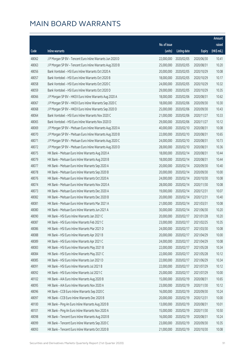|       |                                                            |              |                       |               | Amount      |
|-------|------------------------------------------------------------|--------------|-----------------------|---------------|-------------|
|       |                                                            | No. of issue |                       |               | raised      |
| Code  | <b>Inline warrants</b>                                     | (units)      | <b>Listing date</b>   | <b>Expiry</b> | (HK\$ mil.) |
| 48062 | J P Morgan SP BV - Tencent Euro Inline Warrants Jun 2020 D | 22,000,000   | 2020/02/05            | 2020/06/30    | 10.41       |
| 48063 | J P Morgan SP BV - Tencent Euro Inline Warrants Aug 2020 B | 25,000,000   | 2020/02/05            | 2020/08/31    | 10.20       |
| 48056 | Bank Vontobel - HSI Euro Inline Warrants Oct 2020 A        | 20,000,000   | 2020/02/05            | 2020/10/29    | 10.08       |
| 48057 | Bank Vontobel - HSI Euro Inline Warrants Oct 2020 B        | 18,000,000   | 2020/02/05            | 2020/10/29    | 10.17       |
| 48058 | Bank Vontobel - HSI Euro Inline Warrants Oct 2020 C        | 24,000,000   | 2020/02/05            | 2020/10/29    | 10.32       |
| 48059 | Bank Vontobel - HSI Euro Inline Warrants Oct 2020 D        | 29,000,000   | 2020/02/05            | 2020/10/29    | 10.35       |
| 48066 | J P Morgan SP BV - HKEX Euro Inline Warrants Aug 2020 A    | 18,000,000   | 2020/02/06            | 2020/08/31    | 10.62       |
| 48067 | J P Morgan SP BV - HKEX Euro Inline Warrants Sep 2020 C    | 18,000,000   | 2020/02/06            | 2020/09/30    | 10.30       |
| 48068 | J P Morgan SP BV - HKEX Euro Inline Warrants Sep 2020 D    | 25,000,000   | 2020/02/06            | 2020/09/30    | 10.43       |
| 48064 | Bank Vontobel - HSI Euro Inline Warrants Nov 2020 C        | 21,000,000   | 2020/02/06            | 2020/11/27    | 10.33       |
| 48065 | Bank Vontobel - HSI Euro Inline Warrants Nov 2020 D        | 29,000,000   | 2020/02/06            | 2020/11/27    | 10.12       |
| 48069 | J P Morgan SP BV - Meituan Euro Inline Warrants Aug 2020 A | 40,000,000   | 2020/02/10            | 2020/08/31    | 10.08       |
| 48070 | J P Morgan SP BV - Meituan Euro Inline Warrants Aug 2020 B | 22,000,000   | 2020/02/10            | 2020/08/31    | 10.65       |
| 48071 | J P Morgan SP BV - Meituan Euro Inline Warrants Aug 2020 C | 24,000,000   | 2020/02/10            | 2020/08/31    | 10.73       |
| 48072 | J P Morgan SP BV - Meituan Euro Inline Warrants Aug 2020 D | 28,000,000   | 2020/02/10            | 2020/08/31    | 10.36       |
| 48075 | HK Bank - Meituan Euro Inline Warrants Aug 2020 A          | 18,000,000   | 2020/02/14            | 2020/08/31    | 10.44       |
| 48079 | HK Bank - Meituan Euro Inline Warrants Aug 2020 B          | 18,000,000   | 2020/02/14            | 2020/08/31    | 10.44       |
| 48077 | HK Bank - Meituan Euro Inline Warrants Sep 2020 A          | 20,000,000   | 2020/02/14            | 2020/09/30    | 10.40       |
| 48078 | HK Bank - Meituan Euro Inline Warrants Sep 2020 B          | 20,000,000   | 2020/02/14            | 2020/09/30    | 10.00       |
| 48076 | HK Bank - Meituan Euro Inline Warrants Oct 2020 A          | 24,000,000   | 2020/02/14            | 2020/10/30    | 10.08       |
| 48074 | HK Bank - Meituan Euro Inline Warrants Nov 2020 A          | 28,000,000   | 2020/02/14            | 2020/11/30    | 10.08       |
| 48073 | HK Bank - Meituan Euro Inline Warrants Dec 2020 A          | 19,000,000   | 2020/02/14            | 2020/12/31    | 10.07       |
| 48082 | HK Bank - Meituan Euro Inline Warrants Dec 2020 B          | 20,000,000   | 2020/02/14            | 2020/12/31    | 10.40       |
| 48081 | HK Bank - Meituan Euro Inline Warrants Mar 2021 A          | 21,000,000   | 2020/02/14            | 2021/03/31    | 10.08       |
| 48080 | HK Bank - Meituan Euro Inline Warrants Jun 2021 A          | 30,000,000   | 2020/02/14            | 2021/06/30    | 10.20       |
| 48090 | HK Bank - HSI Euro Inline Warrants Jan 2021 C              | 20,000,000   | 2020/02/17            | 2021/01/28    | 10.20       |
| 48087 | HK Bank - HSI Euro Inline Warrants Feb 2021 C              |              | 23,000,000 2020/02/17 | 2021/02/25    | 10.35       |
| 48086 | HK Bank - HSI Euro Inline Warrants Mar 2021 D              | 24,000,000   | 2020/02/17            | 2021/03/30    | 10.08       |
| 48088 | HK Bank - HSI Euro Inline Warrants Apr 2021 B              | 20,000,000   | 2020/02/17            | 2021/04/29    | 10.00       |
| 48089 | HK Bank - HSI Euro Inline Warrants Apr 2021 C              | 24,000,000   | 2020/02/17            | 2021/04/29    | 10.08       |
| 48083 | HK Bank - HSI Euro Inline Warrants May 2021 B              | 22,000,000   | 2020/02/17            | 2021/05/28    | 10.34       |
| 48084 | HK Bank - HSI Euro Inline Warrants May 2021 C              | 22,000,000   | 2020/02/17            | 2021/05/28    | 10.12       |
| 48085 | HK Bank - HSI Euro Inline Warrants Jun 2021 D              | 22,000,000   | 2020/02/17            | 2021/06/29    | 10.34       |
| 48091 | HK Bank - HSI Euro Inline Warrants Jul 2021 B              | 22,000,000   | 2020/02/17            | 2021/07/29    | 10.12       |
| 48092 | HK Bank - HSI Euro Inline Warrants Jul 2021 C              | 25,000,000   | 2020/02/17            | 2021/07/29    | 10.00       |
| 48102 | HK Bank - AIA Euro Inline Warrants Aug 2020 B              | 15,000,000   | 2020/02/19            | 2020/08/31    | 10.65       |
| 48095 | HK Bank - AIA Euro Inline Warrants Nov 2020 A              | 23,000,000   | 2020/02/19            | 2020/11/30    | 10.12       |
| 48096 | HK Bank - CCB Euro Inline Warrants Sep 2020 C              | 16,000,000   | 2020/02/19            | 2020/09/30    | 10.24       |
| 48097 | HK Bank - CCB Euro Inline Warrants Dec 2020 B              | 20,000,000   | 2020/02/19            | 2020/12/31    | 10.00       |
| 48100 | HK Bank - Ping An Euro Inline Warrants Aug 2020 B          | 13,000,000   | 2020/02/19            | 2020/08/31    | 10.01       |
| 48101 | HK Bank - Ping An Euro Inline Warrants Nov 2020 A          | 15,000,000   | 2020/02/19            | 2020/11/30    | 10.50       |
| 48098 | HK Bank - Tencent Euro Inline Warrants Aug 2020 B          | 16,000,000   | 2020/02/19            | 2020/08/31    | 10.24       |
| 48099 | HK Bank - Tencent Euro Inline Warrants Sep 2020 C          | 23,000,000   | 2020/02/19            | 2020/09/30    | 10.35       |
| 48093 | HK Bank - Tencent Euro Inline Warrants Oct 2020 B          | 21,000,000   | 2020/02/19            | 2020/10/30    | 10.08       |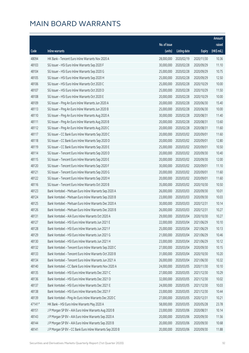|        |                                                            |              |                       |               | Amount      |
|--------|------------------------------------------------------------|--------------|-----------------------|---------------|-------------|
|        |                                                            | No. of issue |                       |               | raised      |
| Code   | Inline warrants                                            | (units)      | <b>Listing date</b>   | <b>Expiry</b> | (HK\$ mil.) |
| 48094  | HK Bank - Tencent Euro Inline Warrants Nov 2020 A          | 28,000,000   | 2020/02/19            | 2020/11/30    | 10.36       |
| 48103  | SG Issuer - HSI Euro Inline Warrants Sep 2020 F            | 30,000,000   | 2020/02/28            | 2020/09/29    | 11.10       |
| 48104  | SG Issuer - HSI Euro Inline Warrants Sep 2020 G            | 25,000,000   | 2020/02/28            | 2020/09/29    | 10.75       |
| 48105  | SG Issuer - HSI Euro Inline Warrants Sep 2020 H            | 25,000,000   | 2020/02/28            | 2020/09/29    | 12.50       |
| 48106  | SG Issuer - HSI Euro Inline Warrants Oct 2020 C            | 25,000,000   | 2020/02/28            | 2020/10/29    | 10.00       |
| 48107  | SG Issuer - HSI Euro Inline Warrants Oct 2020 D            | 25,000,000   | 2020/02/28            | 2020/10/29    | 11.50       |
| 48108  | SG Issuer - HSI Euro Inline Warrants Oct 2020 E            | 20,000,000   | 2020/02/28            | 2020/10/29    | 10.00       |
| 48109  | SG Issuer - Ping An Euro Inline Warrants Jun 2020 A        | 20,000,000   | 2020/02/28            | 2020/06/30    | 15.40       |
| 48113  | SG Issuer - Ping An Euro Inline Warrants Jun 2020 B        | 25,000,000   | 2020/02/28            | 2020/06/30    | 10.00       |
| 48110  | SG Issuer - Ping An Euro Inline Warrants Aug 2020 A        | 30,000,000   | 2020/02/28            | 2020/08/31    | 11.40       |
| 48111  | SG Issuer - Ping An Euro Inline Warrants Aug 2020 B        | 20,000,000   | 2020/02/28            | 2020/08/31    | 13.60       |
| 48112  | SG Issuer - Ping An Euro Inline Warrants Aug 2020 C        | 20,000,000   | 2020/02/28            | 2020/08/31    | 11.60       |
| 48117  | SG Issuer - CC Bank Euro Inline Warrants Sep 2020 C        | 20,000,000   | 2020/03/02            | 2020/09/01    | 11.60       |
| 48118  | SG Issuer - CC Bank Euro Inline Warrants Sep 2020 D        | 20,000,000   | 2020/03/02            | 2020/09/01    | 12.80       |
| 48119  | SG Issuer - CC Bank Euro Inline Warrants Sep 2020 E        | 25,000,000   | 2020/03/02            | 2020/09/01    | 10.50       |
| 48114  | SG Issuer - Tencent Euro Inline Warrants Sep 2020 D        | 20,000,000   | 2020/03/02            | 2020/09/30    | 10.40       |
| 48115  | SG Issuer - Tencent Euro Inline Warrants Sep 2020 E        | 20,000,000   | 2020/03/02            | 2020/09/30    | 12.00       |
| 48120  | SG Issuer - Tencent Euro Inline Warrants Sep 2020 F        | 30,000,000   | 2020/03/02            | 2020/09/01    | 11.10       |
| 48121  | SG Issuer - Tencent Euro Inline Warrants Sep 2020 G        | 20,000,000   | 2020/03/02            | 2020/09/01    | 11.60       |
| 48122  | SG Issuer - Tencent Euro Inline Warrants Sep 2020 H        | 20,000,000   | 2020/03/02            | 2020/09/01    | 11.60       |
| 48116  | SG Issuer - Tencent Euro Inline Warrants Oct 2020 B        | 35,000,000   | 2020/03/02            | 2020/10/30    | 10.50       |
| 48123  | Bank Vontobel - Meituan Euro Inline Warrants Sep 2020 A    | 26,000,000   | 2020/03/03            | 2020/09/30    | 10.01       |
| 48124  | Bank Vontobel - Meituan Euro Inline Warrants Sep 2020 B    | 23,000,000   | 2020/03/03            | 2020/09/30    | 10.03       |
| 48125  | Bank Vontobel - Meituan Euro Inline Warrants Dec 2020 A    | 30,000,000   | 2020/03/03            | 2020/12/31    | 10.14       |
| 48126  | Bank Vontobel - Meituan Euro Inline Warrants Dec 2020 B    | 26,000,000   | 2020/03/03            | 2020/12/31    | 10.27       |
| 48131  | Bank Vontobel - AIA Euro Inline Warrants Oct 2020 A        | 29,000,000   | 2020/03/04            | 2020/10/30    | 10.27       |
| 48127  | Bank Vontobel - HSI Euro Inline Warrants Jun 2021 E        |              | 22,000,000 2020/03/04 | 2021/06/29    | 10.10       |
| 48128  | Bank Vontobel - HSI Euro Inline Warrants Jun 2021 F        | 25,000,000   | 2020/03/04            | 2021/06/29    | 10.13       |
| 48129  | Bank Vontobel - HSI Euro Inline Warrants Jun 2021 G        | 21,000,000   | 2020/03/04            | 2021/06/29    | 10.46       |
| 48130  | Bank Vontobel - HSI Euro Inline Warrants Jun 2021 H        | 23,000,000   | 2020/03/04            | 2021/06/29    | 10.12       |
| 48132  | Bank Vontobel - Tencent Euro Inline Warrants Sep 2020 C    | 27,000,000   | 2020/03/04            | 2020/09/30    | 10.15       |
| 48133  | Bank Vontobel - Tencent Euro Inline Warrants Oct 2020 B    | 31,000,000   | 2020/03/04            | 2020/10/30    | 10.20       |
| 48134  | Bank Vontobel - Tencent Euro Inline Warrants Jun 2021 A    | 26,000,000   | 2020/03/04            | 2021/06/30    | 10.32       |
| 48140  | Bank Vontobel - CC Bank Euro Inline Warrants Nov 2020 A    | 24,000,000   | 2020/03/05            | 2020/11/30    | 10.10       |
| 48135  | Bank Vontobel - HSI Euro Inline Warrants Dec 2021 C        | 27,000,000   | 2020/03/05            | 2021/12/30    | 10.29       |
| 48136  | Bank Vontobel - HSI Euro Inline Warrants Dec 2021 D        | 32,000,000   | 2020/03/05            | 2021/12/30    | 10.02       |
| 48137  | Bank Vontobel - HSI Euro Inline Warrants Dec 2021 E        | 24,000,000   | 2020/03/05            | 2021/12/30    | 10.03       |
| 48138  | Bank Vontobel - HSI Euro Inline Warrants Dec 2021 F        | 23,000,000   | 2020/03/05            | 2021/12/30    | 10.44       |
| 48139  | Bank Vontobel - Ping An Euro Inline Warrants Dec 2020 C    | 27,000,000   | 2020/03/05            | 2020/12/31    | 10.21       |
| 47141# | HK Bank - HSI Euro Inline Warrants May 2020 A              | 58,000,000   | 2020/03/05            | 2020/05/28    | 23.78       |
| 48151  | J P Morgan SP BV - AIA Euro Inline Warrants Aug 2020 B     | 23,000,000   | 2020/03/06            | 2020/08/31    | 10.14       |
| 48143  | J P Morgan SP BV - AIA Euro Inline Warrants Sep 2020 A     | 20,000,000   | 2020/03/06            | 2020/09/30    | 11.56       |
| 48144  | J P Morgan SP BV - AIA Euro Inline Warrants Sep 2020 B     | 20,000,000   | 2020/03/06            | 2020/09/30    | 10.68       |
| 48141  | J P Morgan SP BV - CC Bank Euro Inline Warrants Sep 2020 B | 20,000,000   | 2020/03/06            | 2020/09/30    | 11.88       |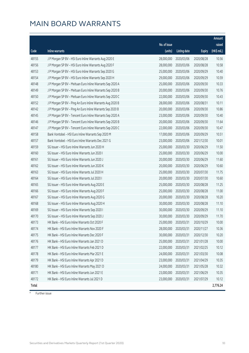|       |                                                            |              |                       |               | <b>Amount</b> |
|-------|------------------------------------------------------------|--------------|-----------------------|---------------|---------------|
|       |                                                            | No. of issue |                       |               | raised        |
| Code  | Inline warrants                                            | (units)      | <b>Listing date</b>   | <b>Expiry</b> | $(HK\$ mil.)  |
| 48155 | J P Morgan SP BV - HSI Euro Inline Warrants Aug 2020 E     | 28,000,000   | 2020/03/06            | 2020/08/28    | 10.56         |
| 48156 | J P Morgan SP BV - HSI Euro Inline Warrants Aug 2020 F     | 28,000,000   | 2020/03/06            | 2020/08/28    | 10.58         |
| 48153 | J P Morgan SP BV - HSI Euro Inline Warrants Sep 2020 G     | 25,000,000   | 2020/03/06            | 2020/09/29    | 10.40         |
| 48154 | J P Morgan SP BV - HSI Euro Inline Warrants Sep 2020 H     | 29,000,000   | 2020/03/06            | 2020/09/29    | 10.59         |
| 48148 | J P Morgan SP BV - Meituan Euro Inline Warrants Sep 2020 A | 25,000,000   | 2020/03/06            | 2020/09/30    | 10.33         |
| 48149 | J P Morgan SP BV - Meituan Euro Inline Warrants Sep 2020 B | 20,000,000   | 2020/03/06            | 2020/09/30    | 10.76         |
| 48150 | J P Morgan SP BV - Meituan Euro Inline Warrants Sep 2020 C | 22,000,000   | 2020/03/06            | 2020/09/30    | 10.43         |
| 48152 | J P Morgan SP BV - Ping An Euro Inline Warrants Aug 2020 B | 28,000,000   | 2020/03/06            | 2020/08/31    | 10.11         |
| 48142 | J P Morgan SP BV - Ping An Euro Inline Warrants Sep 2020 B | 20,000,000   | 2020/03/06            | 2020/09/30    | 10.86         |
| 48145 | J P Morgan SP BV - Tencent Euro Inline Warrants Sep 2020 A | 23,000,000   | 2020/03/06            | 2020/09/30    | 10.40         |
| 48146 | J P Morgan SP BV - Tencent Euro Inline Warrants Sep 2020 B | 20,000,000   | 2020/03/06            | 2020/09/30    | 11.64         |
| 48147 | J P Morgan SP BV - Tencent Euro Inline Warrants Sep 2020 C | 22,000,000   | 2020/03/06            | 2020/09/30    | 10.47         |
| 48158 | Bank Vontobel - HSI Euro Inline Warrants Sep 2020 M        | 17,000,000   | 2020/03/06            | 2020/09/29    | 10.51         |
| 48157 | Bank Vontobel - HSI Euro Inline Warrants Dec 2021 G        | 23,000,000   | 2020/03/06            | 2021/12/30    | 10.01         |
| 48159 | SG Issuer - HSI Euro Inline Warrants Jun 2020 H            | 25,000,000   | 2020/03/30            | 2020/06/29    | 11.50         |
| 48160 | SG Issuer - HSI Euro Inline Warrants Jun 2020 I            | 25,000,000   | 2020/03/30            | 2020/06/29    | 10.00         |
| 48161 | SG Issuer - HSI Euro Inline Warrants Jun 2020 J            | 20,000,000   | 2020/03/30            | 2020/06/29    | 11.60         |
| 48162 | SG Issuer - HSI Euro Inline Warrants Jun 2020 K            | 20,000,000   | 2020/03/30            | 2020/06/29    | 10.60         |
| 48163 | SG Issuer - HSI Euro Inline Warrants Jul 2020 H            | 25,000,000   | 2020/03/30            | 2020/07/30    | 11.75         |
| 48164 | SG Issuer - HSI Euro Inline Warrants Jul 2020 I            | 20,000,000   | 2020/03/30            | 2020/07/30    | 10.60         |
| 48165 | SG Issuer - HSI Euro Inline Warrants Aug 2020 E            | 25,000,000   | 2020/03/30            | 2020/08/28    | 11.25         |
| 48166 | SG Issuer - HSI Euro Inline Warrants Aug 2020 F            | 25,000,000   | 2020/03/30            | 2020/08/28    | 11.00         |
| 48167 | SG Issuer - HSI Euro Inline Warrants Aug 2020 G            | 20,000,000   | 2020/03/30            | 2020/08/28    | 10.20         |
| 48168 | SG Issuer - HSI Euro Inline Warrants Aug 2020 H            | 30,000,000   | 2020/03/30            | 2020/08/28    | 11.10         |
| 48169 | SG Issuer - HSI Euro Inline Warrants Sep 2020 I            | 30,000,000   | 2020/03/30            | 2020/09/29    | 11.10         |
| 48170 | SG Issuer - HSI Euro Inline Warrants Sep 2020 J            | 30,000,000   | 2020/03/30            | 2020/09/29    | 11.70         |
| 48173 | HK Bank - HSI Euro Inline Warrants Oct 2020 F              |              | 25,000,000 2020/03/31 | 2020/10/29    | 10.00         |
| 48174 | HK Bank - HSI Euro Inline Warrants Nov 2020 F              | 28,000,000   | 2020/03/31            | 2020/11/27    | 10.36         |
| 48175 | HK Bank - HSI Euro Inline Warrants Dec 2020 F              | 30,000,000   | 2020/03/31            | 2020/12/30    | 10.20         |
| 48176 | HK Bank - HSI Euro Inline Warrants Jan 2021 D              | 25,000,000   | 2020/03/31            | 2021/01/28    | 10.00         |
| 48177 | HK Bank - HSI Euro Inline Warrants Feb 2021 D              | 22,000,000   | 2020/03/31            | 2021/02/25    | 10.12         |
| 48178 | HK Bank - HSI Euro Inline Warrants Mar 2021 E              | 24,000,000   | 2020/03/31            | 2021/03/30    | 10.08         |
| 48179 | HK Bank - HSI Euro Inline Warrants Apr 2021 D              | 23,000,000   | 2020/03/31            | 2021/04/29    | 10.35         |
| 48180 | HK Bank - HSI Euro Inline Warrants May 2021 D              | 24,000,000   | 2020/03/31            | 2021/05/28    | 10.32         |
| 48171 | HK Bank - HSI Euro Inline Warrants Jun 2021 E              | 23,000,000   | 2020/03/31            | 2021/06/29    | 10.35         |
| 48172 | HK Bank - HSI Euro Inline Warrants Jul 2021 D              | 23,000,000   | 2020/03/31            | 2021/07/29    | 10.12         |
| Total |                                                            |              |                       |               | 2,776.24      |

# Further issue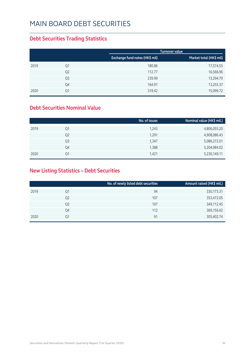### **Debt Securities Trading Statistics**

|      |                |                                | Turnover value          |
|------|----------------|--------------------------------|-------------------------|
|      |                | Exchange fund notes (HK\$ mil) | Market total (HK\$ mil) |
| 2019 | Q1             | 180.86                         | 17,574.55               |
|      | Q <sub>2</sub> | 112.77                         | 16,566.96               |
|      | Q <sub>3</sub> | 239.99                         | 13,294.79               |
|      | Q4             | 164.91                         | 13,255.37               |
| 2020 | Q1             | 319.42                         | 15,099.72               |

#### **Debt Securities Nominal Value**

|      |                | No. of issues | Nominal value (HK\$ mil.) |
|------|----------------|---------------|---------------------------|
| 2019 | Q1             | 1,243         | 4,806,055.20              |
|      | Q <sub>2</sub> | 1,291         | 4,908,086.43              |
|      | Q3             | 1,347         | 5,086,272.01              |
|      | Q4             | 1,388         | 5,204,984.02              |
| 2020 | Ο1             | 1.421         | 5,230,149.11              |

### **New Listing Statistics – Debt Securities**

|      |                | No. of newly listed debt securities | Amount raised (HK\$ mil.) |
|------|----------------|-------------------------------------|---------------------------|
| 2019 | Q1             | 94                                  | 330, 173. 31              |
|      | Q <sub>2</sub> | 107                                 | 353,472.05                |
|      | Q3             | 107                                 | 349,112.45                |
|      | Q4             | 112                                 | 369,156.62                |
| 2020 | Q1             | 91                                  | 305,402.74                |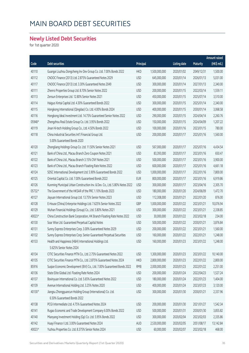### **Newly Listed Debt Securities**

for 1st quarter 2020

|        |                                                                             |            |               |                     |            | Amount raised |
|--------|-----------------------------------------------------------------------------|------------|---------------|---------------------|------------|---------------|
| Code   | <b>Debt securities</b>                                                      | Principal  |               | <b>Listing date</b> | Maturity   | (HK\$ mil.)   |
| 40110  | Guangxi Liuzhou Dongcheng Inv Dev Group Co. Ltd. 7.00% Bonds 2022           | <b>HKD</b> | 1,500,000,000 | 2020/01/02          | 2049/12/31 | 1,500.00      |
| 40112  | CNOOC Finance (2013) Ltd. 2.875% Guaranteed Notes 2029                      | <b>USD</b> | 645,000,000   | 2020/01/14          | 2026/01/13 | 5,031.00      |
| 40117  | CNOOC Finance (2013) Ltd. 3.30% Guaranteed Notes 2049                       | <b>USD</b> | 300,000,000   | 2020/01/14          | 2027/01/13 | 2,340.00      |
| 40111  | Zhenro Properties Group Ltd. 8.70% Senior Notes 2022                        | <b>USD</b> | 200,000,000   | 2020/01/15          | 2022/03/14 | 1,559.11      |
| 40113  | Zensun Enterprises Ltd. 12.80% Senior Notes 2021                            | <b>USD</b> | 450,000,000   | 2020/01/15          | 2025/07/14 | 3,510.00      |
| 40114  | Haiguo Xintai Capital Ltd. 4.30% Guaranteed Bonds 2022                      | <b>USD</b> | 300,000,000   | 2020/01/15          | 2025/01/14 | 2,340.00      |
| 40115  | Hongkong International (Qingdao) Co. Ltd. 4.00% Bonds 2024                  | <b>USD</b> | 400,000,000   | 2020/01/15          | 2030/01/14 | 3,068.58      |
| 40116  | Hongkong Ideal Investment Ltd. 14.75% Guaranteed Senior Notes 2022          | <b>USD</b> | 290,000,000   | 2020/01/15          | 2024/04/14 | 2,260.76      |
| 05948# | Zhengzhou Real Estate Group Co. Ltd. 3.95% Bonds 2022                       | <b>USD</b> | 150,000,000   | 2020/01/15          | 2024/04/09 | 1,207.22      |
| 40119  | Jinan Hi-tech Holding Group Co., Ltd. 4.50% Bonds 2022                      | <b>USD</b> | 100,000,000   | 2020/01/16          | 2023/01/15 | 780.00        |
| 40118  | China Industrial Securities Int'l Financial Group Ltd.                      | <b>USD</b> | 200,000,000   | 2020/01/17          | 2025/01/16 | 1,560.00      |
|        | 5.00% Guaranteed Bonds 2020                                                 |            |               |                     |            |               |
| 40120  | Zhongliang Holdings Group Co. Ltd. 11.50% Senior Notes 2021                 | <b>USD</b> | 567,000,000   | 2020/01/17          | 2025/07/16 | 4,434.54      |
| 40121  | Bank of China Ltd., Macau Branch Zero Coupon Notes 2021                     | <b>USD</b> | 83,393,000    | 2020/01/17          | 2023/01/16 | 650.47        |
| 40122  | Bank of China Ltd., Macau Branch 3.15% CNY Notes 2021                       | <b>USD</b> | 500,000,000   | 2020/01/17          | 2023/01/16 | 3,900.00      |
| 40123  | Bank of China Ltd., Macau Branch Floating Rate Notes 2022                   | <b>USD</b> | 600,000,000   | 2020/01/17          | 2025/01/16 | 4,661.18      |
| 40124  | SDSC International Development Ltd. 5.90% Guaranteed Bonds 2022             | <b>USD</b> | 1,000,000,000 | 2020/01/17          | 2022/01/16 | 7,800.00      |
| 40125  | Oriental Capital Co. Ltd. 7.00% Guaranteed Bonds 2022                       | <b>EUR</b> | 800,000,000   | 2020/01/17          | 2023/01/16 | 6,919.86      |
| 40126  | Kunming Municipal Urban Construction Inv. & Dev. Co., Ltd. 5.80% Notes 2022 | <b>USD</b> | 300,000,000   | 2020/01/17          | 2023/04/16 | 2,305.70      |
| 05732# | The Government of the HKSAR of the PRC 1.10% Bonds 2023                     | <b>USD</b> | 180,000,000   | 2020/01/20          | 2024/06/09 | 1,472.70      |
| 40127  | Jiayuan International Group Ltd. 13.75% Senior Notes 2023                   | <b>USD</b> | 112,308,000   | 2020/01/21          | 2022/01/20 | 876.00        |
| 40128  | E-House (China) Enterprise Holdings Ltd. 7.625% Senior Notes 2022           | GBP        | 1,000,000,000 | 2020/01/22          | 2023/01/21 | 10,076.94     |
| 40129  | Wuhan Financial Holdings (Group) Co., Ltd. 5.80% Notes 2021                 | <b>USD</b> | 300,000,000   | 2020/01/22          | 2023/01/21 | 2,338.85      |
| 40023# | China Construction Bank Corporation, HK Branch Floating Rate Notes 2022     | <b>USD</b> | 30,000,000    | 2020/01/22          | 2023/02/18 | 234.00        |
| 40130  | Soar Wise Ltd. Guaranteed Perpetual Capital Notes                           | <b>USD</b> | 500,000,000   | 2020/01/22          | 2030/01/21 | 3,876.84      |
| 40131  | Sunny Express Enterprises Corp. 3.00% Guaranteed Notes 2029                 | <b>USD</b> | 200,000,000   | 2020/01/22          | 2023/01/21 | 1,560.00      |
| 40132  | Sunny Express Enterprises Corp. Senior Guaranteed Perpetual Securities      | <b>USD</b> | 160,000,000   | 2020/01/22          | 2022/01/21 | 1,248.00      |
| 40133  | Health and Happiness (H&H) International Holdings Ltd.                      | <b>USD</b> | 160,000,000   | 2020/01/23          | 2023/01/22 | 1,248.00      |
|        | 5.625% Senior Notes 2024                                                    |            |               |                     |            |               |
| 40134  | CITIC Securities Finance MTN Co., Ltd. 2.75% Guaranteed Notes 2022          | <b>USD</b> | 1,300,000,000 | 2020/01/23          | 2023/01/22 | 10,140.00     |
| 40135  | CITIC Securities Finance MTN Co., Ltd. 2.875% Guaranteed Notes 2024         | <b>HKD</b> | 2,800,000,000 | 2020/01/23          | 2022/01/22 | 2,800.00      |
| 85916  | Suqian Economic Development (BVI) Co., Ltd. 7.00% Guaranteed Bonds 2022     | <b>RMB</b> | 2,000,000,000 | 2020/01/23          | 2022/01/22 | 2,251.00      |
| 40136  | State Elite Global Ltd. Floating Rate Notes 2024                            | <b>USD</b> | 200,000,000   | 2020/01/24          | 2022/04/23 | 1,527.24      |
| 40137  | Boxinyuan International Co. Ltd. 5.65% Guaranteed Notes 2022                | <b>USD</b> | 180,000,000   | 2020/01/24          | 2022/01/23 | 1,404.00      |
| 40139  | Avenue International Holding Ltd. 3.25% Notes 2020                          | <b>USD</b> | 400,000,000   | 2020/01/24          | 2023/07/23 | 3,120.00      |
| 40130# | Jiangsu Zhongguancun Holding Group (International) Co. Ltd.                 | <b>USD</b> | 300,000,000   | 2020/01/30          | 2030/01/21 | 2,337.96      |
|        | 6.50% Guaranteed Bonds 2022                                                 |            |               |                     |            |               |
| 40138  | PCGI Intermediate Ltd. 4.75% Guaranteed Notes 2024                          | <b>USD</b> | 200,000,000   | 2020/01/30          | 2021/01/27 | 1,542.34      |
| 40141  | Rugao Economic and Trade Development Company 6.00% Bonds 2022               | <b>USD</b> | 500,000,000   | 2020/01/31          | 2030/01/30 | 3,855.82      |
| 40140  | Mianyang Investment Holding (Gp) Co. Ltd. 5.95% Bonds 2022                  | <b>USD</b> | 300,000,000   | 2020/02/04          | 2023/02/03 | 2,335.86      |
| 40142  | Huayi Finance I Ltd. 3.00% Guaranteed Notes 2024                            | AUD        | 2,530,000,000 | 2020/02/05          | 2051/08/17 | 13,142.84     |
| 40023# | Yuzhou Properties Co. Ltd. 8.375% Senior Notes 2024                         | <b>USD</b> | 60,000,000    | 2020/02/07          | 2023/02/18 | 468.00        |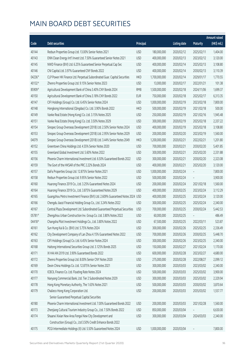|        |                                                                                |            |               |                     |                 | <b>Amount raised</b> |
|--------|--------------------------------------------------------------------------------|------------|---------------|---------------------|-----------------|----------------------|
| Code   | Debt securities                                                                | Principal  |               | <b>Listing date</b> | <b>Maturity</b> | (HK\$ mil.)          |
| 40144  | Redsun Properties Group Ltd. 13.00% Senior Notes 2021                          | <b>USD</b> | 180,000,000   | 2020/02/12          | 2025/02/11      | 1,404.00             |
| 40143  | ENN Clean Energy Int'l Invest Ltd. 7.50% Guaranteed Senior Notes 2021          | <b>USD</b> | 400,000,000   | 2020/02/13          | 2023/02/12      | 3,120.00             |
| 40145  | NWD Finance (BVI) Ltd. 6.25% Guaranteed Senior Perpetual Cap Sec               | <b>USD</b> | 400,000,000   | 2020/02/14          | 2025/02/13      | 3,108.80             |
| 40146  | CNI Capital Ltd. 3.97% Guaranteed CNY Bonds 2022                               | <b>USD</b> | 400,000,000   | 2020/02/14          | 2030/02/13      | 3,110.39             |
| 04236# | CLP Power HK Finance Ltd. Perpetual Subordinated Guar. Capital Securities      | <b>HKD</b> | 1,700,000,000 | 2020/02/14          | 2029/01/17      | 1,770.55             |
| 40132# | Zhenro Properties Group Ltd. 9.15% Senior Notes 2023                           | <b>USD</b> | 13,000,000    | 2020/02/17          | 2022/01/21      | 101.38               |
| 85909# | Agricultural Development Bank of China 3.40% CNY Bonds 2024                    | <b>RMB</b> | 1,500,000,000 | 2020/02/18          | 2024/11/06      | 1,699.37             |
| 40150  | Agricultural Development Bank of China 3.18% CNY Bonds 2022                    | <b>EUR</b> | 750,000,000   | 2020/02/18          | 2025/02/17      | 6,313.35             |
| 40147  | CIFI Holdings (Group) Co. Ltd. 6.45% Senior Notes 2024                         | <b>USD</b> | 1,000,000,000 | 2020/02/19          | 2023/02/18      | 7,800.00             |
| 40148  | Hongkong International (Qingdao) Co. Ltd. 3.90% Bonds 2022                     | <b>HKD</b> | 500,000,000   | 2020/02/19          | 2021/02/18      | 500.00               |
| 40149  | Vanke Real Estate (Hong Kong) Co. Ltd. 3.15% Notes 2025                        | <b>USD</b> | 250,000,000   | 2020/02/19          | 2021/02/16      | 1,945.48             |
| 40151  | Vanke Real Estate (Hong Kong) Co. Ltd. 3.50% Notes 2029                        | <b>USD</b> | 300,000,000   | 2020/02/19          | 2025/02/18      | 2,337.22             |
| 40154  | Sinopec Group Overseas Development (2018) Ltd. 2.50% Senior Notes 2024         | <b>USD</b> | 400,000,000   | 2020/02/19          | 2025/02/18      | 3,108.80             |
| 40153  | Sinopec Group Overseas Development (2018) Ltd. 2.95% Senior Notes 2029         | <b>USD</b> | 200,000,000   | 2020/02/20          | 2023/02/19      | 1,560.00             |
| 04079  | Sinopec Group Overseas Development (2018) Ltd. 3.44% Senior Notes 2049         | <b>HKD</b> | 1,200,000,000 | 2020/02/21          | 2022/02/21      | 1,201.80             |
| 40152  | Greentown China Holdings Ltd. 4.55% Senior Notes 2020                          | <b>USD</b> | 700,000,000   | 2020/02/21          | 2030/02/20      | 5,401.85             |
| 40155  | Greenland Global Investment Ltd. 5.60% Notes 2022                              | <b>USD</b> | 300,000,000   | 2020/02/21          | 2025/02/20      | 2,331.88             |
| 40156  | Phoenix Charm International Investment Ltd. 6.50% Guaranteed Bonds 2022        | <b>USD</b> | 300,000,000   | 2020/02/21          | 2030/02/20      | 2,323.08             |
| 40159  | The Govt of the HKSAR of the PRC 2.22% Bonds 2024                              | <b>USD</b> | 400,000,000   | 2020/02/21          | 2025/02/20      | 3,120.00             |
| 40157  | DaFa Properties Group Ltd. 12.875% Senior Notes 2021                           | <b>USD</b> | 1,000,000,000 | 2020/02/24          |                 | 7,800.00             |
| 40158  | Redsun Properties Group Ltd. 9.95% Senior Notes 2022                           | <b>USD</b> | 500,000,000   | 2020/02/24          |                 | 3,900.00             |
| 40160  | Huarong Finance 2019 Co., Ltd. 3.25% Guaranteed Notes 2024                     | <b>USD</b> | 200,000,000   | 2020/02/24          | 2021/02/18      | 1,560.00             |
| 40164  | Huarong Finance 2019 Co., Ltd. 3.875% Guaranteed Notes 2029                    | <b>USD</b> | 400,000,000   | 2020/02/25          | 2023/02/24      | 3,112.29             |
| 40165  | Guangzhou Metro Investment Finance (BVI) Ltd. 2.609% Guaranteed Notes 2024 USD |            | 400,000,000   | 2020/02/25          | 2023/02/24      | 3,120.00             |
| 40166  | Chengdu Jiaozi Financial Holding Group Co., Ltd. 3.24% Notes 2022              | <b>USD</b> | 300,000,000   | 2020/02/25          | 2025/02/24      | 2,340.00             |
| 40167  | Central Plaza Development Ltd. Subordinated Guaranteed Perpetual Securities    | <b>USD</b> | 700,000,000   | 2020/02/25          | 2030/02/24      | 5,442.53             |
| 05781# | Zhengzhou Urban Construction Inv. Group Co. Ltd. 3.80% Notes 2022              | <b>USD</b> | 60,000,000    | 2020/02/25          |                 | 486.49               |
| 04418# | Changsha Pilot Investment Holdings Co., Ltd. 3.80% Notes 2022                  | <b>USD</b> | 67,500,000    | 2020/02/25          | 2022/03/11      | 523.87               |
| 40161  | Sun Hung Kai & Co. (BVI) Ltd. 5.75% Notes 2024                                 | <b>USD</b> | 300,000,000   | 2020/02/26          | 2025/02/25      | 2,336.49             |
| 40162  | City Development Company of Lan Zhou 4.15% Guaranteed Notes 2022               | <b>USD</b> | 700,000,000   | 2020/02/26          | 2030/02/25      | 5,448.70             |
| 40163  | CIFI Holdings (Group) Co. Ltd. 6.45% Senior Notes 2024                         | <b>USD</b> | 300,000,000   | 2020/02/26          | 2023/02/25      | 2,340.00             |
| 40168  | Haitong International Securities Group Ltd. 3.125% Bonds 2025                  | <b>USD</b> | 150,000,000   | 2020/02/27          | 2021/02/24      | 1,170.00             |
| 40171  | XI HAI AN 2019 Ltd. 3.90% Guaranteed Bonds 2022                                | <b>USD</b> | 600,000,000   | 2020/02/28          | 2023/02/27      | 4,680.00             |
| 40172  | Zhenro Properties Group Ltd. 8.00% Senior CNY Notes 2020                       | <b>USD</b> | 275,000,000   | 2020/02/28          | 2022/08/27      | 2,099.12             |
| 40169  | Dexin China Holdings Co. Ltd. 12.875% Senior Notes 2021                        | <b>USD</b> | 300,000,000   | 2020/03/03          | 2023/03/02      | 2,340.00             |
| 40170  | ICBCIL Finance Co. Ltd. Floating Rate Notes 2024                               | <b>USD</b> | 500,000,000   | 2020/03/03          | 2025/03/02      | 3,900.00             |
| 40177  | Nanyang Commercial Bank, Ltd. Tier 2 Subordinated Notes 2029                   | <b>USD</b> | 300,000,000   | 2020/03/03          | 2025/03/02      | 2,329.94             |
| 40178  | Hong Kong Monetary Authority, The 1.63% Notes 2021                             | <b>USD</b> | 500,000,000   | 2020/03/03          | 2030/03/02      | 3,870.64             |
| 40179  | Chalieco Hong Kong Corporation Ltd.                                            | <b>USD</b> | 200,000,000   | 2020/03/03          | 2035/03/02      | 1,557.77             |
|        | Senior Guaranteed Perpetual Capital Securities                                 |            |               |                     |                 |                      |
| 40180  | Phoenix Charm International Investment Ltd. 7.00% Guaranteed Bonds 2022        | <b>USD</b> | 200,000,000   | 2020/03/03          | 2021/02/28      | 1,560.00             |
| 40173  | Zhenjiang Cultural Tourism Industry Group Co., Ltd. 7.50% Bonds 2022           | <b>USD</b> | 850,000,000   | 2020/03/04          |                 | 6,630.00             |
| 40174  | Shaanxi Xixian New Area Fengxi New City Development and                        | <b>USD</b> | 300,000,000   | 2020/03/04          | 2024/03/03      | 2,340.00             |
|        | Construction (Group) Co., Ltd 3.50% Credit Enhance Bonds 2022                  |            |               |                     |                 |                      |
| 40175  | PCGI Intermediate Holdings (II) Ltd. 5.50% Guaranteed Notes 2024               | <b>USD</b> | 1,000,000,000 | 2020/03/04          |                 | 7,800.00             |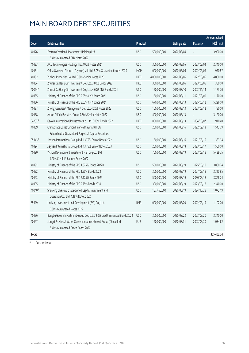|          |                                                                           |            |               |                     |            | <b>Amount raised</b> |
|----------|---------------------------------------------------------------------------|------------|---------------|---------------------|------------|----------------------|
| Code     | <b>Debt securities</b>                                                    | Principal  |               | <b>Listing date</b> | Maturity   | (HK\$ mil.)          |
| 40176    | Eastern Creation II Investment Holdings Ltd.                              | <b>USD</b> | 500,000,000   | 2020/03/04          |            | 3,900.00             |
|          | 3.40% Guaranteed CNY Notes 2022                                           |            |               |                     |            |                      |
| 40183    | AAC Technologies Holdings Inc. 3.00% Notes 2024                           | <b>USD</b> | 300,000,000   | 2020/03/05          | 2023/03/04 | 2,340.00             |
| 40181    | China Overseas Finance (Cayman) VIII Ltd. 3.05% Guaranteed Notes 2029     | <b>MOP</b> | 1,000,000,000 | 2020/03/06          | 2022/03/05 | 970.87               |
| 40182    | Yuzhou Properties Co. Ltd. 8.30% Senior Notes 2025                        | <b>HKD</b> | 4,000,000,000 | 2020/03/06          | 2022/03/05 | 4,000.00             |
| 40184    | Zhuhai Da Heng Qin Investment Co., Ltd. 3.80% Bonds 2022                  | <b>HKD</b> | 350,000,000   | 2020/03/06          | 2023/03/05 | 350.00               |
| 40064#   | Zhuhai Da Heng Qin Investment Co., Ltd. 4.60% CNY Bonds 2021              | <b>USD</b> | 150,000,000   | 2020/03/10          | 2022/11/14 | 1,173.70             |
| 40185    | Ministry of Finance of the PRC 2.95% CNY Bonds 2021                       | <b>USD</b> | 150,000,000   | 2020/03/11          | 2021/03/09 | 1,170.00             |
| 40186    | Ministry of Finance of the PRC 3.03% CNY Bonds 2024                       | <b>USD</b> | 670,000,000   | 2020/03/13          | 2025/03/12 | 5,226.00             |
| 40187    | Zhongyuan Asset Management Co., Ltd. 4.20% Notes 2022                     | <b>USD</b> | 100,000,000   | 2020/03/13          | 2023/03/12 | 780.00               |
| 40188    | Anton Oilfield Services Group 7.50% Senior Notes 2022                     | <b>USD</b> | 400,000,000   | 2020/03/13          |            | 3,120.00             |
| 04237#   | Gaoxin International Investment Co., Ltd. 6.00% Bonds 2022                | <b>HKD</b> | 800,000,000   | 2020/03/13          | 2034/03/07 | 910.40               |
| 40189    | China State Construction Finance (Cayman) III Ltd.                        | <b>USD</b> | 200,000,000   | 2020/03/16          | 2022/09/13 | 1,543.79             |
|          | Subordinated Guaranteed Perpetual Capital Securities                      |            |               |                     |            |                      |
| $05143*$ | Jiayuan International Group Ltd. 13.75% Senior Notes 2022                 | <b>USD</b> | 50,000,000    | 2020/03/16          | 2021/08/15 | 383.94               |
| 40194    | Jiayuan International Group Ltd. 13.75% Senior Notes 2023                 | <b>USD</b> | 200,000,000   | 2020/03/18          | 2023/03/17 | 1,560.00             |
| 40190    | Yichun Development Investment HaiTong Co., Ltd.                           | <b>USD</b> | 700,000,000   | 2020/03/19          | 2023/03/18 | 5,429.75             |
|          | 4.20% Credit Enhanced Bonds 2022                                          |            |               |                     |            |                      |
| 40191    | Ministry of Finance of the PRC 1.875% Bonds 2022B                         | <b>USD</b> | 500,000,000   | 2020/03/19          | 2025/03/18 | 3,880.74             |
| 40192    | Ministry of Finance of the PRC 1.95% Bonds 2024                           | <b>USD</b> | 300,000,000   | 2020/03/19          | 2027/03/18 | 2,315.95             |
| 40193    | Ministry of Finance of the PRC 2.125% Bonds 2029                          | <b>USD</b> | 500,000,000   | 2020/03/19          | 2030/03/18 | 3,828.24             |
| 40195    | Ministry of Finance of the PRC 2.75% Bonds 2039                           | <b>USD</b> | 300,000,000   | 2020/03/19          | 2023/03/18 | 2,340.00             |
| 40040#   | Shaoxing Shangyu State-owned Capital Investment and                       | <b>USD</b> | 137,460,000   | 2020/03/19          | 2024/10/28 | 1,072.19             |
|          | Operation Co., Ltd. 4.18% Notes 2022                                      |            |               |                     |            |                      |
| 85919    | LinJiang Investment and Development (BVI) Co., Ltd.                       | <b>RMB</b> | 1,000,000,000 | 2020/03/20          | 2022/03/19 | 1,102.00             |
|          | 5.30% Guaranteed Notes 2022                                               |            |               |                     |            |                      |
| 40196    | Bengbu Gaoxin Investment Group Co., Ltd. 3.60% Credit Enhanced Bonds 2022 | <b>USD</b> | 300,000,000   | 2020/03/23          | 2023/03/20 | 2,340.00             |
| 40197    | Jiangxi Provincial Water Conservancy Investment Group (China) Ltd.        | <b>EUR</b> | 120,000,000   | 2020/03/31          | 2023/03/30 | 1,034.62             |
|          | 3.40% Guaranteed Green Bonds 2022                                         |            |               |                     |            |                      |
| Total    |                                                                           |            |               |                     |            | 305,402.74           |

# Further issue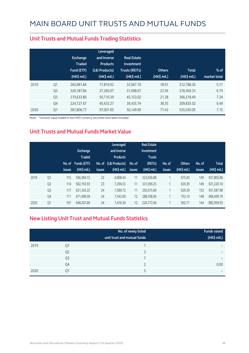|      |                | <b>Exchange</b><br><b>Traded</b><br>Fund (ETF)<br>$(HK\$ mil.) | Leveraged<br>and Inverse<br><b>Products</b><br>(L&I Products)<br>(HK\$ mil.) | <b>Real Estate</b><br>Investment<br><b>Trusts (REITs)</b><br>(HK\$ mil.) | <b>Others</b><br>(HK\$ mil.) | <b>Total</b><br>(HK\$ mil.) | $%$ of<br>market total |
|------|----------------|----------------------------------------------------------------|------------------------------------------------------------------------------|--------------------------------------------------------------------------|------------------------------|-----------------------------|------------------------|
| 2019 | Q1             | 260.981.84                                                     | 17,819.92                                                                    | 33,967.70                                                                | 18.91                        | 312,788.36                  | 5.17                   |
|      | Q <sub>2</sub> | 320,187.84                                                     | 27,260.07                                                                    | 31,098.07                                                                | 23.36                        | 378,569.33                  | 6.79                   |
|      | Q <sub>3</sub> | 270,633.80                                                     | 50,710.39                                                                    | 45,153.02                                                                | 21.28                        | 366,518.49                  | 7.34                   |
|      | Q4             | 224,727.67                                                     | 45,633.27                                                                    | 39,435.74                                                                | 38.35                        | 309,835.02                  | 6.49                   |
| 2020 | Q1             | 387.806.77                                                     | 97.001.95                                                                    | 50,149.90                                                                | 71.43                        | 535,030.05                  | 7.15                   |

#### **Unit Trusts and Mutual Funds Trading Statistics**

Note: Turnover value traded in non-HKD currency securities have been included

#### **Unit Trusts and Mutual Funds Market Value**

|      |                | No. of<br><i>issues</i> | <b>Exchange</b><br><b>Traded</b><br>Funds (ETF)<br>$(HK$$ mil.) | <b>issues</b> | Leveraged<br>and Inverse<br><b>Products</b><br>No. of (L&I Products)<br>$(HK$$ mil.) | No. of<br><b>issues</b> | <b>Real Estate</b><br>Investment<br><b>Trusts</b><br>(REITs)<br>(HK\$ mil.) | No. of<br><b>issues</b>  | <b>Others</b><br>(HK\$ mil.) | No. of<br>issues | <b>Total</b><br>(HK\$ mil.) |
|------|----------------|-------------------------|-----------------------------------------------------------------|---------------|--------------------------------------------------------------------------------------|-------------------------|-----------------------------------------------------------------------------|--------------------------|------------------------------|------------------|-----------------------------|
| 2019 | Q1             | 115                     | 596.384.72                                                      | 22            | 6.808.44                                                                             | 11                      | 323,936.88                                                                  | 1                        | 675.83                       | 149              | 927,805.86                  |
|      | Q <sub>2</sub> | 114                     | 582,193.93                                                      | 23            | 7,296.53                                                                             | 11                      | 331,090.25                                                                  | $\overline{1}$           | 639.39                       | 149              | 921,220.10                  |
|      | Q <sub>3</sub> | 117                     | 631, 343. 22                                                    | 24            | 7,589.72                                                                             | 11                      | 292,015.66                                                                  | 1                        | 639.39                       | 153              | 931.587.98                  |
|      | Q4             | 111                     | 671,496.58                                                      | 24            | 7.543.00                                                                             | 12                      | 288,708.06                                                                  | 1                        | 752.14                       | 148              | 968,499.79                  |
| 2020 | Q1             | 107                     | 648,207.86                                                      | 24            | 7,476.30                                                                             | 12                      | 226,773.06                                                                  | $\overline{\phantom{a}}$ | 502.71                       | 144              | 882,959.93                  |

#### **New Listing Unit Trust and Mutual Funds Statistics**

|      |                | No. of newly listed<br>unit trust and mutual funds | <b>Funds raised</b><br>(HK\$ mil.) |
|------|----------------|----------------------------------------------------|------------------------------------|
| 2019 | Q <sub>1</sub> |                                                    | -                                  |
|      | Q <sub>2</sub> |                                                    | -                                  |
|      | Q <sub>3</sub> |                                                    | $\overline{\phantom{0}}$           |
|      | Q4             |                                                    | 0.00                               |
| 2020 | Q1             |                                                    | -                                  |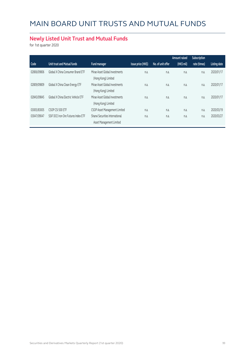### **Newly Listed Unit Trust and Mutual Funds**

for 1st quarter 2020

|             |                                     |                                                             |                    |                   | Amount raised | Subscription |                     |
|-------------|-------------------------------------|-------------------------------------------------------------|--------------------|-------------------|---------------|--------------|---------------------|
| Code        | Unit trust and Mutual funds         | Fund manager                                                | Issue price (HK\$) | No. of unit offer | (HK\$ mil)    | rate (times) | <b>Listing date</b> |
| 02806/09806 | Global X China Consumer Brand ETF   | Mirae Asset Global Investments<br>(Hong Kong) Limited       | n.a.               | n.a.              | n.a.          | n.a.         | 2020/01/17          |
| 02809/09809 | Global X China Clean Energy ETF     | Mirae Asset Global Investments<br>(Hong Kong) Limited       | n.a.               | n.a.              | n.a.          | n.a.         | 2020/01/17          |
| 02845/09845 | Global X China Electric Vehicle ETF | Mirae Asset Global Investments<br>(Hong Kong) Limited       | n.a.               | n.a.              | n.a.          | n.a.         | 2020/01/17          |
| 03005/83005 | CSOP CSI 500 ETF                    | CSOP Asset Management Limited                               | n.a.               | n.a.              | n.a.          | n.a.         | 2020/03/19          |
| 03047/09047 | SSIF DCE Iron Ore Futures Index ETF | Shanxi Securities International<br>Asset Management Limited | n.a.               | n.a.              | n.a.          | n.a.         | 2020/03/27          |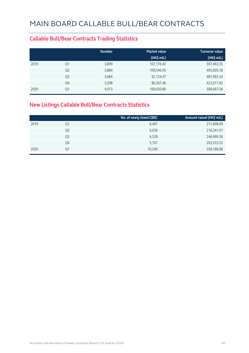#### **Callable Bull/Bear Contracts Trading Statistics**

|      |                | <b>Number</b> | <b>Market value</b> | <b>Turnover value</b> |
|------|----------------|---------------|---------------------|-----------------------|
|      |                |               | $(HK\$ mil.)        | (HK\$ mil.)           |
| 2019 | Q1             | 3,899         | 107,176.42          | 597,463.35            |
|      | Q <sub>2</sub> | 3,884         | 109,546.95          | 493,005.18            |
|      | Q <sub>3</sub> | 3,684         | 92,124.47           | 481,965.34            |
|      | Q4             | 3,298         | 86,307.46           | 423,011.82            |
| 2020 | Q1             | 4,013         | 169,920.86          | 589,667.58            |

### **New Listings Callable Bull/Bear Contracts Statistics**

|      |                | No. of newly listed CBBC | Amount raised (HK\$ mil.) |
|------|----------------|--------------------------|---------------------------|
| 2019 | Q1             | 6,467                    | 211,608.09                |
|      | Q <sub>2</sub> | 6,036                    | 216,341.07                |
|      | Q3             | 6,528                    | 246,999.38                |
|      | Q4             | 5,701                    | 203,533.52                |
| 2020 | Q1             | 10,246                   | 358,188.08                |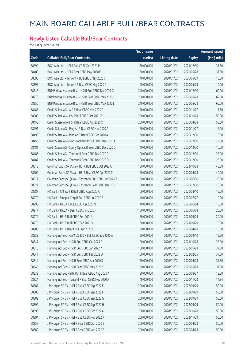### **Newly Listed Callable Bull/Bear Contracts**

for 1st quarter 2020

|       |                                                          | No. of issue |                     |               | <b>Amount raised</b> |
|-------|----------------------------------------------------------|--------------|---------------------|---------------|----------------------|
| Code  | <b>Callable Bull/Bear Contracts</b>                      | (units)      | <b>Listing date</b> | <b>Expiry</b> | (HK\$ mil.)          |
| 68399 | BOCI Asia Ltd. - HSI R Bull CBBC Dec 2021 M              | 150,000,000  | 2020/01/02          | 2021/12/30    | 37.50                |
| 68400 | BOCI Asia Ltd. - HSI R Bear CBBC May 2020 E              | 150,000,000  | 2020/01/02          | 2020/05/28    | 37.50                |
| 68395 | BOCI Asia Ltd. - Tencent R Bull CBBC May 2020 C          | 40,000,000   | 2020/01/02          | 2020/05/29    | 10.00                |
| 68397 | BOCI Asia Ltd. - Tencent R Bear CBBC May 2020 C          | 40,000,000   | 2020/01/02          | 2020/05/29    | 10.00                |
| 68348 | BNP Paribas Issuance B.V. - HSI R Bull CBBC Dec 2021 G   | 240,000,000  | 2020/01/02          | 2021/12/30    | 60.00                |
| 68270 | BNP Paribas Issuance B.V. - HSI R Bear CBBC May 2020 J   | 250,000,000  | 2020/01/02          | 2020/05/28    | 62.50                |
| 68350 | BNP Paribas Issuance B.V. - HSI R Bear CBBC May 2020 L   | 240,000,000  | 2020/01/02          | 2020/05/28    | 60.00                |
| 68488 | Credit Suisse AG - AIA R Bear CBBC Nov 2020 A            | 70,000,000   | 2020/01/02          | 2020/11/27    | 17.50                |
| 68500 | Credit Suisse AG - HSI R Bull CBBC Oct 2021 Z            | 200,000,000  | 2020/01/02          | 2021/10/28    | 50.00                |
| 68453 | Credit Suisse AG - HSI R Bear CBBC Apr 2020 X            | 200,000,000  | 2020/01/02          | 2020/04/28    | 50.00                |
| 68491 | Credit Suisse AG - Ping An R Bear CBBC Nov 2020 A        | 60,000,000   | 2020/01/02          | 2020/11/27    | 15.00                |
| 68499 | Credit Suisse AG - Ping An R Bear CBBC Dec 2020 A        | 60,000,000   | 2020/01/02          | 2020/12/30    | 15.00                |
| 68458 | Credit Suisse AG - Sino Biopharm R Bull CBBC Dec 2020 A  | 50,000,000   | 2020/01/02          | 2020/12/30    | 12.50                |
| 68481 | Credit Suisse AG - Sunny Optical R Bear CBBC Dec 2020 D  | 40,000,000   | 2020/01/02          | 2020/12/30    | 10.00                |
| 68486 | Credit Suisse AG - Tencent R Bear CBBC Dec 2020 C        | 100,000,000  | 2020/01/02          | 2020/12/30    | 25.00                |
| 68487 | Credit Suisse AG - Tencent R Bear CBBC Dec 2020 D        | 100,000,000  | 2020/01/02          | 2020/12/30    | 25.00                |
| 68513 | Goldman Sachs SP (Asia) - HSI R Bull CBBC Oct 2022 C     | 160,000,000  | 2020/01/02          | 2022/10/28    | 40.00                |
| 68502 | Goldman Sachs SP (Asia) - HSI R Bear CBBC Apr 2020 M     | 160,000,000  | 2020/01/02          | 2020/04/28    | 40.00                |
| 68517 | Goldman Sachs SP (Asia) - Tencent R Bull CBBC Jun 2020 T | 80,000,000   | 2020/01/02          | 2020/06/30    | 20.00                |
| 68521 | Goldman Sachs SP (Asia) - Tencent R Bear CBBC Dec 2020 B | 60,000,000   | 2020/01/02          | 2020/12/30    | 15.00                |
| 68287 | HK Bank - CM Bank R Bull CBBC Aug 2020 A                 | 60,000,000   | 2020/01/02          | 2020/08/10    | 15.00                |
| 68279 | HK Bank - Sinopec Corp R Bull CBBC Jul 2020 A            | 40,000,000   | 2020/01/02          | 2020/07/27    | 10.00                |
| 68295 | HK Bank - HKEX R Bull CBBC Jun 2020 N                    | 40,000,000   | 2020/01/02          | 2020/06/04    | 10.00                |
| 68277 | HK Bank - HKEX R Bear CBBC Jun 2020 F                    | 100,000,000  | 2020/01/02          | 2020/06/08    | 25.00                |
| 68274 | HK Bank - HSI R Bull CBBC Sep 2021 U                     | 80,000,000   | 2020/01/02          | 2021/09/29    | 20.00                |
| 68275 | HK Bank - HSI R Bull CBBC Sep 2021 V                     | 60,000,000   | 2020/01/02          | 2021/09/29    | 15.00                |
| 68280 | HK Bank - HSI R Bear CBBC Apr 2020 E                     | 60,000,000   | 2020/01/02          | 2020/04/28    | 15.00                |
| 68323 | Haitong Int'l Sec - CAM CSI300 R Bull CBBC Sep 2020 A    | 50,000,000   | 2020/01/02          | 2020/09/10    | 12.50                |
| 68347 | Haitong Int'l Sec - HSI R Bull CBBC Oct 2021 S           | 100,000,000  | 2020/01/02          | 2021/10/28    | 25.00                |
| 68315 | Haitong Int'l Sec - HSI R Bull CBBC Jan 2022 Y           | 150,000,000  | 2020/01/02          | 2022/01/28    | 37.50                |
| 68341 | Haitong Int'l Sec - HSI R Bull CBBC Feb 2022 Q           | 150,000,000  | 2020/01/02          | 2022/02/25    | 37.50                |
| 68344 | Haitong Int'l Sec - HSI R Bear CBBC Apr 2020 S           | 150,000,000  | 2020/01/02          | 2020/04/28    | 37.50                |
| 68345 | Haitong Int'l Sec - HSI R Bear CBBC May 2020 Y           | 150,000,000  | 2020/01/02          | 2020/05/28    | 37.50                |
| 68332 | Haitong Int'l Sec - SHK Ppt R Bear CBBC Aug 2020 A       | 50,000,000   | 2020/01/02          | 2020/08/27    | 12.50                |
| 68324 | Haitong Int'l Sec - Tencent R Bear CBBC Nov 2020 A       | 40,000,000   | 2020/01/02          | 2020/11/23    | 14.84                |
| 68361 | J P Morgan SP BV - HSI R Bull CBBC Sep 2022 E            | 200,000,000  | 2020/01/02          | 2022/09/29    | 50.00                |
| 68388 | J P Morgan SP BV - HSI R Bull CBBC Sep 2022 F            | 200,000,000  | 2020/01/02          | 2022/09/29    | 50.00                |
| 68389 | J P Morgan SP BV - HSI R Bull CBBC Sep 2022 G            | 200,000,000  | 2020/01/02          | 2022/09/29    | 50.00                |
| 68392 | J P Morgan SP BV - HSI R Bull CBBC Sep 2022 H            | 200,000,000  | 2020/01/02          | 2022/09/29    | 50.00                |
| 68393 | J P Morgan SP BV - HSI R Bull CBBC Oct 2022 A            | 200,000,000  | 2020/01/02          | 2022/10/28    | 50.00                |
| 68394 | J P Morgan SP BV - HSI R Bull CBBC Nov 2022 A            | 200,000,000  | 2020/01/02          | 2022/11/29    | 50.00                |
| 68357 | J P Morgan SP BV - HSI R Bear CBBC Apr 2020 B            | 200,000,000  | 2020/01/02          | 2020/04/28    | 50.00                |
| 68360 | J P Morgan SP BV - HSI R Bear CBBC Apr 2020 E            | 200,000,000  | 2020/01/02          | 2020/04/28    | 50.00                |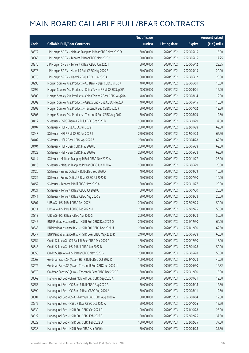|       |                                                               | No. of issue |                     |               | Amount raised         |
|-------|---------------------------------------------------------------|--------------|---------------------|---------------|-----------------------|
| Code  | <b>Callable Bull/Bear Contracts</b>                           | (units)      | <b>Listing date</b> | <b>Expiry</b> | $(HK\frac{1}{2}mil.)$ |
| 68372 | J P Morgan SP BV - Meituan Dianping R Bear CBBC May 2020 D    | 60,000,000   | 2020/01/02          | 2020/05/15    | 15.00                 |
| 68366 | J P Morgan SP BV - Tencent R Bear CBBC May 2020 K             | 50,000,000   | 2020/01/02          | 2020/05/15    | 17.25                 |
| 68370 | J P Morgan SP BV - Tencent R Bear CBBC Jun 2020 I             | 50,000,000   | 2020/01/02          | 2020/06/12    | 23.25                 |
| 68378 | J P Morgan SP BV - Xiaomi R Bull CBBC May 2020 B              | 80,000,000   | 2020/01/02          | 2020/05/15    | 20.00                 |
| 68375 | J P Morgan SP BV - Xiaomi R Bull CBBC Jun 2020 A              | 80,000,000   | 2020/01/02          | 2020/06/12    | 20.00                 |
| 68296 | Morgan Stanley Asia Products - CC Bank R Bear CBBC Jun 20 A   | 40,000,000   | 2020/01/02          | 2020/06/01    | 10.00                 |
| 68299 | Morgan Stanley Asia Products - China Tower R Bull CBBC Sep20A | 48,000,000   | 2020/01/02          | 2020/09/01    | 12.00                 |
| 68300 | Morgan Stanley Asia Products - China Tower R Bear CBBC Aug20A | 48,000,000   | 2020/01/02          | 2020/08/14    | 12.00                 |
| 68302 | Morgan Stanley Asia Products - Galaxy Ent R Bull CBBC May20A  | 40,000,000   | 2020/01/02          | 2020/05/15    | 10.00                 |
| 68303 | Morgan Stanley Asia Products - Tencent R Bull CBBC Jul 20 F   | 50,000,000   | 2020/01/02          | 2020/07/02    | 12.50                 |
| 68305 | Morgan Stanley Asia Products - Tencent R Bull CBBC Aug 20 D   | 50,000,000   | 2020/01/02          | 2020/08/03    | 12.50                 |
| 68412 | SG Issuer - CSPC Pharma R Bull CBBC Oct 2020 B                | 150,000,000  | 2020/01/02          | 2020/10/29    | 37.50                 |
| 68407 | SG Issuer - HSI R Bull CBBC Jan 2022 I                        | 250,000,000  | 2020/01/02          | 2022/01/28    | 62.50                 |
| 68448 | SG Issuer - HSI R Bull CBBC Jan 2022 J                        | 250,000,000  | 2020/01/02          | 2022/01/28    | 62.50                 |
| 68402 | SG Issuer - HSI R Bear CBBC Apr 2020 Z                        | 250,000,000  | 2020/01/02          | 2020/04/28    | 62.50                 |
| 68404 | SG Issuer - HSI R Bear CBBC May 2020 E                        | 250,000,000  | 2020/01/02          | 2020/05/28    | 62.50                 |
| 68422 | SG Issuer - HSI R Bear CBBC May 2020 G                        | 250,000,000  | 2020/01/02          | 2020/05/28    | 62.50                 |
| 68414 | SG Issuer - Meituan Dianping R Bull CBBC Nov 2020 A           | 100,000,000  | 2020/01/02          | 2020/11/27    | 25.00                 |
| 68413 | SG Issuer - Meituan Dianping R Bear CBBC Jun 2020 A           | 100,000,000  | 2020/01/02          | 2020/06/29    | 25.00                 |
| 68426 | SG Issuer - Sunny Optical R Bull CBBC Sep 2020 A              | 40,000,000   | 2020/01/02          | 2020/09/29    | 10.00                 |
| 68424 | SG Issuer - Sunny Optical R Bear CBBC Jul 2020 B              | 40,000,000   | 2020/01/02          | 2020/07/30    | 10.00                 |
| 68452 | SG Issuer - Tencent R Bull CBBC Nov 2020 A                    | 80,000,000   | 2020/01/02          | 2020/11/27    | 20.00                 |
| 68421 | SG Issuer - Tencent R Bear CBBC Jul 2020 C                    | 80,000,000   | 2020/01/02          | 2020/07/30    | 20.00                 |
| 68441 | SG Issuer - Tencent R Bear CBBC Aug 2020 B                    | 80,000,000   | 2020/01/02          | 2020/08/28    | 20.00                 |
| 68307 | UBS AG - HSI R Bull CBBC Feb 2022 L                           | 200,000,000  | 2020/01/02          | 2022/02/25    | 50.00                 |
| 68314 | UBS AG - HSI R Bull CBBC Feb 2022 M                           | 200,000,000  | 2020/01/02          | 2022/02/25    | 50.00                 |
| 68313 | UBS AG - HSI R Bear CBBC Apr 2020 S                           | 200,000,000  | 2020/01/02          | 2020/04/28    | 50.00                 |
| 68645 | BNP Paribas Issuance B.V. - HSI R Bull CBBC Dec 2021 O        | 240,000,000  | 2020/01/03          | 2021/12/30    | 60.00                 |
| 68643 | BNP Paribas Issuance B.V. - HSI R Bull CBBC Dec 2021 U        | 250,000,000  | 2020/01/03          | 2021/12/30    | 62.50                 |
| 68647 | BNP Paribas Issuance B.V. - HSI R Bear CBBC May 2020 R        | 240,000,000  | 2020/01/03          | 2020/05/28    | 60.00                 |
| 68654 | Credit Suisse AG - CM Bank R Bear CBBC Dec 2020 A             | 60,000,000   | 2020/01/03          | 2020/12/30    | 15.00                 |
| 68648 | Credit Suisse AG - HSI R Bull CBBC Jan 2022 D                 | 200,000,000  | 2020/01/03          | 2022/01/28    | 50.00                 |
| 68658 | Credit Suisse AG - HSI R Bear CBBC May 2020 G                 | 200,000,000  | 2020/01/03          | 2020/05/28    | 50.00                 |
| 68668 | Goldman Sachs SP (Asia) - HSI R Bull CBBC Oct 2022 D          | 160,000,000  | 2020/01/03          | 2022/10/28    | 40.00                 |
| 68672 | Goldman Sachs SP (Asia) - Tencent R Bull CBBC Jun 2020 U      | 60,000,000   | 2020/01/03          | 2020/06/30    | 16.32                 |
| 68679 | Goldman Sachs SP (Asia) - Tencent R Bear CBBC Dec 2020 C      | 60,000,000   | 2020/01/03          | 2020/12/30    | 15.00                 |
| 68569 | Haitong Int'l Sec - China Mobile R Bull CBBC Sep 2020 A       | 50,000,000   | 2020/01/03          | 2020/09/21    | 12.50                 |
| 68555 | Haitong Int'l Sec - CC Bank R Bull CBBC Aug 2020 A            | 50,000,000   | 2020/01/03          | 2020/08/18    | 12.50                 |
| 68599 | Haitong Int'l Sec - CC Bank R Bear CBBC Aug 2020 A            | 50,000,000   | 2020/01/03          | 2020/08/11    | 12.50                 |
| 68601 | Haitong Int'l Sec - CSPC Pharma R Bull CBBC Aug 2020 A        | 50,000,000   | 2020/01/03          | 2020/08/04    | 12.50                 |
| 68572 | Haitong Int'l Sec - HSBC R Bear CBBC Oct 2020 A               | 50,000,000   | 2020/01/03          | 2020/10/05    | 12.50                 |
| 68530 | Haitong Int'l Sec - HSI R Bull CBBC Oct 2021 D                | 100,000,000  | 2020/01/03          | 2021/10/28    | 25.00                 |
| 68522 | Haitong Int'l Sec - HSI R Bull CBBC Feb 2022 R                | 150,000,000  | 2020/01/03          | 2022/02/25    | 37.50                 |
| 68529 | Haitong Int'l Sec - HSI R Bull CBBC Feb 2022 U                | 150,000,000  | 2020/01/03          | 2022/02/25    | 37.50                 |
| 68638 | Haitong Int'l Sec - HSI R Bear CBBC Apr 2020 N                | 150,000,000  | 2020/01/03          | 2020/04/28    | 37.50                 |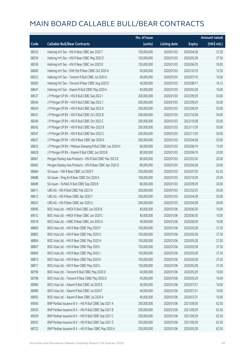|       |                                                            | No. of issue |                     |               | <b>Amount raised</b> |
|-------|------------------------------------------------------------|--------------|---------------------|---------------|----------------------|
| Code  | <b>Callable Bull/Bear Contracts</b>                        | (units)      | <b>Listing date</b> | <b>Expiry</b> | (HK\$ mil.)          |
| 68533 | Haitong Int'l Sec - HSI R Bear CBBC Apr 2020 T             | 150,000,000  | 2020/01/03          | 2020/04/28    | 37.50                |
| 68534 | Haitong Int'l Sec - HSI R Bear CBBC May 2020 Z             | 150,000,000  | 2020/01/03          | 2020/05/28    | 37.50                |
| 68536 | Haitong Int'l Sec - HSI R Bear CBBC Jun 2020 D             | 150,000,000  | 2020/01/03          | 2020/06/29    | 39.90                |
| 68600 | Haitong Int'l Sec - SHK Ppt R Bear CBBC Oct 2020 A         | 50,000,000   | 2020/01/03          | 2020/10/19    | 12.50                |
| 68552 | Haitong Int'l Sec - Tencent R Bull CBBC Jul 2020 G         | 40,000,000   | 2020/01/03          | 2020/07/10    | 10.00                |
| 68583 | Haitong Int'l Sec - Tencent R Bear CBBC Aug 2020 E         | 40,000,000   | 2020/01/03          | 2020/08/11    | 16.12                |
| 68641 | Haitong Int'l Sec - Xiaomi R Bull CBBC May 2020 A          | 40,000,000   | 2020/01/03          | 2020/05/28    | 10.00                |
| 68537 | J P Morgan SP BV - HSI R Bull CBBC Sep 2022 I              | 200,000,000  | 2020/01/03          | 2022/09/29    | 50.00                |
| 68540 | J P Morgan SP BV - HSI R Bull CBBC Sep 2022 J              | 200,000,000  | 2020/01/03          | 2022/09/29    | 50.00                |
| 68543 | J P Morgan SP BV - HSI R Bull CBBC Sep 2022 K              | 200,000,000  | 2020/01/03          | 2022/09/29    | 50.00                |
| 68541 | J P Morgan SP BV - HSI R Bull CBBC Oct 2022 B              | 200,000,000  | 2020/01/03          | 2022/10/28    | 50.00                |
| 68546 | J P Morgan SP BV - HSI R Bull CBBC Oct 2022 C              | 200,000,000  | 2020/01/03          | 2022/10/28    | 50.00                |
| 68542 | J P Morgan SP BV - HSI R Bull CBBC Nov 2022 B              | 200,000,000  | 2020/01/03          | 2022/11/29    | 50.00                |
| 68547 | J P Morgan SP BV - HSI R Bull CBBC Nov 2022 C              | 200,000,000  | 2020/01/03          | 2022/11/29    | 50.00                |
| 68637 | J P Morgan SP BV - HSI R Bear CBBC Apr 2020 K              | 200,000,000  | 2020/01/03          | 2020/04/28    | 50.00                |
| 68625 | J P Morgan SP BV - Meituan Dianping R Bull CBBC Jun 2020 H | 60,000,000   | 2020/01/03          | 2020/06/19    | 15.00                |
| 68628 | J P Morgan SP BV - Xiaomi R Bull CBBC Jun 2020 B           | 80,000,000   | 2020/01/03          | 2020/06/19    | 20.00                |
| 68661 | Morgan Stanley Asia Products - HSI R Bull CBBC Mar 2022 B  | 80,000,000   | 2020/01/03          | 2022/03/30    | 20.00                |
| 68665 | Morgan Stanley Asia Products - HSI R Bear CBBC Apr 2020 D  | 80,000,000   | 2020/01/03          | 2020/04/28    | 20.00                |
| 68684 | SG Issuer - HSI R Bear CBBC Jul 2020 F                     | 250,000,000  | 2020/01/03          | 2020/07/30    | 62.50                |
| 68688 | SG Issuer - Ping An R Bear CBBC Oct 2020 A                 | 100,000,000  | 2020/01/03          | 2020/10/29    | 25.00                |
| 68689 | SG Issuer - SUNAC R Bull CBBC Sep 2020 B                   | 80,000,000   | 2020/01/03          | 2020/09/29    | 20.00                |
| 68611 | UBS AG - HSI R Bull CBBC Feb 2022 N                        | 200,000,000  | 2020/01/03          | 2022/02/25    | 50.00                |
| 68612 | UBS AG - HSI R Bear CBBC Apr 2020 T                        | 200,000,000  | 2020/01/03          | 2020/04/28    | 50.00                |
| 68622 | UBS AG - HSI R Bear CBBC Apr 2020 U                        | 200,000,000  | 2020/01/03          | 2020/04/28    | 50.00                |
| 68996 | BOCI Asia Ltd. - HKEX R Bull CBBC Jun 2020 B               | 40,000,000   | 2020/01/06          | 2020/06/30    | 10.00                |
| 69012 | BOCI Asia Ltd. - HKEX R Bear CBBC Jun 2020 C               | 40,000,000   | 2020/01/06          | 2020/06/30    | 10.00                |
| 69018 | BOCI Asia Ltd. - HSBC R Bear CBBC Jun 2020 A               | 40,000,000   | 2020/01/06          | 2020/06/30    | 10.00                |
| 68800 | BOCI Asia Ltd. - HSI R Bear CBBC May 2020 F                | 150,000,000  | 2020/01/06          | 2020/05/28    | 37.50                |
| 68802 | BOCI Asia Ltd. - HSI R Bear CBBC May 2020 G                | 150,000,000  | 2020/01/06          | 2020/05/28    | 37.50                |
| 68804 | BOCI Asia Ltd. - HSI R Bear CBBC May 2020 H                | 150,000,000  | 2020/01/06          | 2020/05/28    | 37.50                |
| 68807 | BOCI Asia Ltd. - HSI R Bear CBBC May 2020 I                | 150,000,000  | 2020/01/06          | 2020/05/28    | 37.50                |
| 68809 | BOCI Asia Ltd. - HSI R Bear CBBC May 2020 J                | 150,000,000  | 2020/01/06          | 2020/05/28    | 37.50                |
| 68810 | BOCI Asia Ltd. - HSI R Bear CBBC May 2020 K                | 150,000,000  | 2020/01/06          | 2020/05/28    | 37.50                |
| 68811 | BOCI Asia Ltd. - HSI R Bear CBBC May 2020 L                | 150,000,000  | 2020/01/06          | 2020/05/28    | 37.50                |
| 68796 | BOCI Asia Ltd. - Tencent R Bull CBBC May 2020 D            | 40,000,000   | 2020/01/06          | 2020/05/29    | 10.00                |
| 68798 | BOCI Asia Ltd. - Tencent R Bear CBBC May 2020 D            | 40,000,000   | 2020/01/06          | 2020/05/29    | 16.00                |
| 68984 | BOCI Asia Ltd. - Xiaomi R Bull CBBC Jul 2020 E             | 40,000,000   | 2020/01/06          | 2020/07/31    | 10.00                |
| 68989 | BOCI Asia Ltd. - Xiaomi R Bull CBBC Jul 2020 F             | 40,000,000   | 2020/01/06          | 2020/07/31    | 10.00                |
| 68993 | BOCI Asia Ltd. - Xiaomi R Bear CBBC Jul 2020 A             | 40,000,000   | 2020/01/06          | 2020/07/31    | 10.00                |
| 69040 | BNP Paribas Issuance B.V. - HSI R Bull CBBC Sep 2021 A     | 250,000,000  | 2020/01/06          | 2021/09/29    | 62.50                |
| 69020 | BNP Paribas Issuance B.V. - HSI R Bull CBBC Sep 2021 B     | 250,000,000  | 2020/01/06          | 2021/09/29    | 62.50                |
| 69029 | BNP Paribas Issuance B.V. - HSI R Bull CBBC Sep 2021 C     | 250,000,000  | 2020/01/06          | 2021/09/29    | 62.50                |
| 69033 | BNP Paribas Issuance B.V. - HSI R Bull CBBC Sep 2021 Z     | 250,000,000  | 2020/01/06          | 2021/09/29    | 62.50                |
| 68722 | BNP Paribas Issuance B.V. - HSI R Bear CBBC May 2020 A     | 250,000,000  | 2020/01/06          | 2020/05/28    | 62.50                |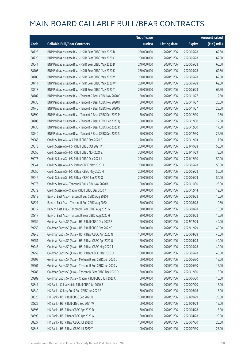|       |                                                            | No. of issue |                     |               | <b>Amount raised</b> |
|-------|------------------------------------------------------------|--------------|---------------------|---------------|----------------------|
| Code  | <b>Callable Bull/Bear Contracts</b>                        | (units)      | <b>Listing date</b> | <b>Expiry</b> | (HK\$ mil.)          |
| 68725 | BNP Paribas Issuance B.V. - HSI R Bear CBBC May 2020 B     | 250,000,000  | 2020/01/06          | 2020/05/28    | 62.50                |
| 68728 | BNP Paribas Issuance B.V. - HSI R Bear CBBC May 2020 C     | 250,000,000  | 2020/01/06          | 2020/05/28    | 62.50                |
| 69041 | BNP Paribas Issuance B.V. - HSI R Bear CBBC May 2020 D     | 240,000,000  | 2020/01/06          | 2020/05/28    | 60.00                |
| 68706 | BNP Paribas Issuance B.V. - HSI R Bear CBBC May 2020 K     | 250,000,000  | 2020/01/06          | 2020/05/28    | 62.50                |
| 68705 | BNP Paribas Issuance B.V. - HSI R Bear CBBC May 2020 V     | 250,000,000  | 2020/01/06          | 2020/05/28    | 62.50                |
| 68711 | BNP Paribas Issuance B.V. - HSI R Bear CBBC May 2020 W     | 250,000,000  | 2020/01/06          | 2020/05/28    | 62.50                |
| 68718 | BNP Paribas Issuance B.V. - HSI R Bear CBBC May 2020 Y     | 250,000,000  | 2020/01/06          | 2020/05/28    | 62.50                |
| 68702 | BNP Paribas Issuance B.V. - Tencent R Bear CBBC Nov 2020 Q | 50,000,000   | 2020/01/06          | 2020/11/27    | 12.50                |
| 68736 | BNP Paribas Issuance B.V. - Tencent R Bear CBBC Nov 2020 R | 50,000,000   | 2020/01/06          | 2020/11/27    | 20.00                |
| 68746 | BNP Paribas Issuance B.V. - Tencent R Bear CBBC Nov 2020 S | 50,000,000   | 2020/01/06          | 2020/11/27    | 25.00                |
| 68699 | BNP Paribas Issuance B.V. - Tencent R Bear CBBC Dec 2020 P | 50,000,000   | 2020/01/06          | 2020/12/30    | 12.50                |
| 68703 | BNP Paribas Issuance B.V. - Tencent R Bear CBBC Dec 2020 Q | 50,000,000   | 2020/01/06          | 2020/12/30    | 12.50                |
| 68730 | BNP Paribas Issuance B.V. - Tencent R Bear CBBC Dec 2020 R | 50,000,000   | 2020/01/06          | 2020/12/30    | 17.50                |
| 68740 | BNP Paribas Issuance B.V. - Tencent R Bear CBBC Dec 2020 S | 50,000,000   | 2020/01/06          | 2020/12/30    | 22.50                |
| 69065 | Credit Suisse AG - AIA R Bull CBBC Dec 2020 B              | 70,000,000   | 2020/01/06          | 2020/12/03    | 17.50                |
| 69073 | Credit Suisse AG - HSI R Bull CBBC Oct 2021 K              | 200,000,000  | 2020/01/06          | 2021/10/28    | 50.00                |
| 69056 | Credit Suisse AG - HSI R Bull CBBC Nov 2021 Z              | 300,000,000  | 2020/01/06          | 2021/11/29    | 75.00                |
| 69075 | Credit Suisse AG - HSI R Bull CBBC Dec 2021 J              | 200,000,000  | 2020/01/06          | 2021/12/30    | 50.00                |
| 69044 | Credit Suisse AG - HSI R Bear CBBC May 2020 D              | 200,000,000  | 2020/01/06          | 2020/05/28    | 50.00                |
| 69050 | Credit Suisse AG - HSI R Bear CBBC May 2020 H              | 200,000,000  | 2020/01/06          | 2020/05/28    | 50.00                |
| 69046 | Credit Suisse AG - HSI R Bear CBBC Jun 2020 Q              | 200,000,000  | 2020/01/06          | 2020/06/29    | 50.00                |
| 69076 | Credit Suisse AG - Tencent R Bull CBBC Nov 2020 B          | 100,000,000  | 2020/01/06          | 2020/11/30    | 25.00                |
| 69072 | Credit Suisse AG - Xiaomi R Bull CBBC Dec 2020 A           | 50,000,000   | 2020/01/06          | 2020/12/14    | 12.50                |
| 68818 | Bank of East Asia - Tencent R Bull CBBC Aug 2020 I         | 30,000,000   | 2020/01/06          | 2020/08/28    | 10.50                |
| 68821 | Bank of East Asia - Tencent R Bull CBBC Aug 2020 J         | 30,000,000   | 2020/01/06          | 2020/08/28    | 10.50                |
| 68812 | Bank of East Asia - Tencent R Bear CBBC Aug 2020 G         | 30,000,000   | 2020/01/06          | 2020/08/28    | 10.50                |
| 68817 | Bank of East Asia - Tencent R Bear CBBC Aug 2020 H         | 30,000,000   | 2020/01/06          | 2020/08/28    | 10.50                |
| 69254 | Goldman Sachs SP (Asia) - HSI R Bull CBBC Dec 2022 F       | 160,000,000  | 2020/01/06          | 2022/12/29    | 40.00                |
| 69258 | Goldman Sachs SP (Asia) - HSI R Bull CBBC Dec 2022 G       | 160,000,000  | 2020/01/06          | 2022/12/29    | 40.00                |
| 69248 | Goldman Sachs SP (Asia) - HSI R Bear CBBC Apr 2020 N       | 160,000,000  | 2020/01/06          | 2020/04/28    | 40.00                |
| 69251 | Goldman Sachs SP (Asia) - HSI R Bear CBBC Apr 2020 U       | 160,000,000  | 2020/01/06          | 2020/04/28    | 40.00                |
| 69245 | Goldman Sachs SP (Asia) - HSI R Bear CBBC May 2020 T       | 160,000,000  | 2020/01/06          | 2020/05/28    | 40.00                |
| 69259 | Goldman Sachs SP (Asia) - HSI R Bear CBBC May 2020 U       | 160,000,000  | 2020/01/06          | 2020/05/28    | 40.00                |
| 69292 | Goldman Sachs SP (Asia) - Meituan R Bull CBBC Jun 2020 C   | 60,000,000   | 2020/01/06          | 2020/06/30    | 15.00                |
| 69261 | Goldman Sachs SP (Asia) - Tencent R Bull CBBC Jun 2020 V   | 60,000,000   | 2020/01/06          | 2020/06/30    | 15.00                |
| 69283 | Goldman Sachs SP (Asia) - Tencent R Bear CBBC Dec 2020 D   | 60,000,000   | 2020/01/06          | 2020/12/30    | 15.00                |
| 69289 | Goldman Sachs SP (Asia) - Xiaomi R Bull CBBC Jun 2020 C    | 60,000,000   | 2020/01/06          | 2020/06/30    | 15.00                |
| 68847 | HK Bank - China Mobile R Bull CBBC Jul 2020 B              | 60,000,000   | 2020/01/06          | 2020/07/20    | 15.00                |
| 68840 | HK Bank - Galaxy Ent R Bull CBBC Jun 2020 E                | 60,000,000   | 2020/01/06          | 2020/06/08    | 15.00                |
| 68826 | HK Bank - HSI R Bull CBBC Sep 2021 K                       | 100,000,000  | 2020/01/06          | 2021/09/29    | 25.00                |
| 68822 | HK Bank - HSI R Bull CBBC Sep 2021 W                       | 60,000,000   | 2020/01/06          | 2021/09/29    | 15.00                |
| 68696 | HK Bank - HSI R Bear CBBC Apr 2020 D                       | 60,000,000   | 2020/01/06          | 2020/04/28    | 15.00                |
| 68695 | HK Bank - HSI R Bear CBBC Apr 2020 G                       | 80,000,000   | 2020/01/06          | 2020/04/28    | 20.00                |
| 68827 | HK Bank - HSI R Bear CBBC Jul 2020 X                       | 100,000,000  | 2020/01/06          | 2020/07/30    | 25.00                |
| 68848 | HK Bank - HSI R Bear CBBC Jul 2020 Y                       | 100,000,000  | 2020/01/06          | 2020/07/30    | 25.00                |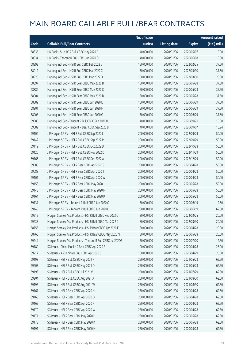|       |                                                              | No. of issue |                     |               | <b>Amount raised</b> |
|-------|--------------------------------------------------------------|--------------|---------------------|---------------|----------------------|
| Code  | <b>Callable Bull/Bear Contracts</b>                          | (units)      | <b>Listing date</b> | <b>Expiry</b> | (HK\$ mil.)          |
| 68835 | HK Bank - SUNAC R Bull CBBC May 2020 D                       | 40,000,000   | 2020/01/06          | 2020/05/07    | 10.00                |
| 68834 | HK Bank - Tencent R Bull CBBC Jun 2020 O                     | 40,000,000   | 2020/01/06          | 2020/06/08    | 10.00                |
| 68892 | Haitong Int'l Sec - HSI R Bull CBBC Feb 2022 V               | 150,000,000  | 2020/01/06          | 2022/02/25    | 37.50                |
| 68912 | Haitong Int'l Sec - HSI R Bull CBBC Mar 2022 C               | 150,000,000  | 2020/01/06          | 2022/03/30    | 37.50                |
| 68925 | Haitong Int'l Sec - HSI R Bull CBBC Mar 2022 D               | 100,000,000  | 2020/01/06          | 2022/03/30    | 25.00                |
| 68897 | Haitong Int'l Sec - HSI R Bear CBBC May 2020 B               | 150,000,000  | 2020/01/06          | 2020/05/28    | 37.50                |
| 68886 | Haitong Int'l Sec - HSI R Bear CBBC May 2020 C               | 150,000,000  | 2020/01/06          | 2020/05/28    | 37.50                |
| 68904 | Haitong Int'l Sec - HSI R Bear CBBC May 2020 D               | 150,000,000  | 2020/01/06          | 2020/05/28    | 37.50                |
| 68889 | Haitong Int'l Sec - HSI R Bear CBBC Jun 2020 E               | 150,000,000  | 2020/01/06          | 2020/06/29    | 37.50                |
| 68901 | Haitong Int'l Sec - HSI R Bear CBBC Jun 2020 F               | 150,000,000  | 2020/01/06          | 2020/06/29    | 37.50                |
| 68908 | Haitong Int'l Sec - HSI R Bear CBBC Jun 2020 G               | 150,000,000  | 2020/01/06          | 2020/06/29    | 37.50                |
| 69080 | Haitong Int'l Sec - Tencent R Bull CBBC Sep 2020 D           | 40,000,000   | 2020/01/06          | 2020/09/21    | 10.00                |
| 69082 | Haitong Int'l Sec - Tencent R Bear CBBC Sep 2020 B           | 40,000,000   | 2020/01/06          | 2020/09/07    | 15.24                |
| 69104 | J P Morgan SP BV - HSI R Bull CBBC Sep 2022 L                | 200,000,000  | 2020/01/06          | 2022/09/29    | 50.00                |
| 69142 | J P Morgan SP BV - HSI R Bull CBBC Sep 2022 M                | 200,000,000  | 2020/01/06          | 2022/09/29    | 50.00                |
| 69119 | J P Morgan SP BV - HSI R Bull CBBC Oct 2022 D                | 200,000,000  | 2020/01/06          | 2022/10/28    | 50.00                |
| 69126 | J P Morgan SP BV - HSI R Bull CBBC Nov 2022 D                | 200,000,000  | 2020/01/06          | 2022/11/29    | 50.00                |
| 69166 | J P Morgan SP BV - HSI R Bull CBBC Dec 2022 A                | 200,000,000  | 2020/01/06          | 2022/12/29    | 50.00                |
| 69085 | J P Morgan SP BV - HSI R Bear CBBC Apr 2020 S                | 200,000,000  | 2020/01/06          | 2020/04/28    | 50.00                |
| 69088 | J P Morgan SP BV - HSI R Bear CBBC Apr 2020 T                | 200,000,000  | 2020/01/06          | 2020/04/28    | 50.00                |
| 69101 | J P Morgan SP BV - HSI R Bear CBBC Apr 2020 W                | 200,000,000  | 2020/01/06          | 2020/04/28    | 50.00                |
| 69158 | J P Morgan SP BV - HSI R Bear CBBC May 2020 J                | 200,000,000  | 2020/01/06          | 2020/05/28    | 50.00                |
| 69148 | J P Morgan SP BV - HSI R Bear CBBC May 2020 M                | 200,000,000  | 2020/01/06          | 2020/05/28    | 50.00                |
| 69164 | J P Morgan SP BV - HSI R Bear CBBC May 2020 P                | 200,000,000  | 2020/01/06          | 2020/05/28    | 50.00                |
| 69137 | J P Morgan SP BV - Tencent R Bull CBBC Jun 2020 G            | 50,000,000   | 2020/01/06          | 2020/06/19    | 12.50                |
| 69140 | J P Morgan SP BV - Tencent R Bull CBBC Jun 2020 H            | 250,000,000  | 2020/01/06          | 2020/06/19    | 62.50                |
| 69219 | Morgan Stanley Asia Products - HSI R Bull CBBC Feb 2022 O    | 80,000,000   | 2020/01/06          | 2022/02/25    | 20.00                |
| 69233 | Morgan Stanley Asia Products - HSI R Bull CBBC Mar 2022 C    | 80,000,000   | 2020/01/06          | 2022/03/30    | 20.00                |
| 68756 | Morgan Stanley Asia Products - HSI R Bear CBBC Apr 2020 F    | 80,000,000   | 2020/01/06          | 2020/04/28    | 20.00                |
| 68765 | Morgan Stanley Asia Products - HSI R Bear CBBC May 2020 N    | 80,000,000   | 2020/01/06          | 2020/05/28    | 20.00                |
| 69244 | Morgan Stanley Asia Products - Tencent R Bull CBBC Jul 2020G | 50,000,000   | 2020/01/06          | 2020/07/20    | 12.50                |
| 69180 | SG Issuer - China Mobile R Bear CBBC Apr 2020 B              | 100,000,000  | 2020/01/06          | 2020/04/28    | 25.00                |
| 69217 | SG Issuer - A50 China R Bull CBBC Apr 2020 C                 | 100,000,000  | 2020/01/06          | 2020/04/29    | 25.00                |
| 69198 | SG Issuer - HSI R Bull CBBC May 2021 P                       | 250,000,000  | 2020/01/06          | 2021/05/28    | 62.50                |
| 69203 | SG Issuer - HSI R Bull CBBC May 2021 Q                       | 250,000,000  | 2020/01/06          | 2021/05/28    | 62.50                |
| 69193 | SG Issuer - HSI R Bull CBBC Jul 2021 V                       | 250,000,000  | 2020/01/06          | 2021/07/29    | 62.50                |
| 69204 | SG Issuer - HSI R Bull CBBC Aug 2021 A                       | 250,000,000  | 2020/01/06          | 2021/08/30    | 62.50                |
| 69196 | SG Issuer - HSI R Bull CBBC Aug 2021 W                       | 250,000,000  | 2020/01/06          | 2021/08/30    | 62.50                |
| 69167 | SG Issuer - HSI R Bear CBBC Apr 2020 H                       | 250,000,000  | 2020/01/06          | 2020/04/28    | 62.50                |
| 69168 | SG Issuer - HSI R Bear CBBC Apr 2020 O                       | 250,000,000  | 2020/01/06          | 2020/04/28    | 62.50                |
| 69169 | SG Issuer - HSI R Bear CBBC Apr 2020 P                       | 250,000,000  | 2020/01/06          | 2020/04/28    | 62.50                |
| 69170 | SG Issuer - HSI R Bear CBBC Apr 2020 W                       | 250,000,000  | 2020/01/06          | 2020/04/28    | 62.50                |
| 69171 | SG Issuer - HSI R Bear CBBC May 2020 H                       | 250,000,000  | 2020/01/06          | 2020/05/28    | 62.50                |
| 69178 | SG Issuer - HSI R Bear CBBC May 2020 K                       | 250,000,000  | 2020/01/06          | 2020/05/28    | 62.50                |
| 69191 | SG Issuer - HSI R Bear CBBC May 2020 M                       | 250,000,000  | 2020/01/06          | 2020/05/28    | 62.50                |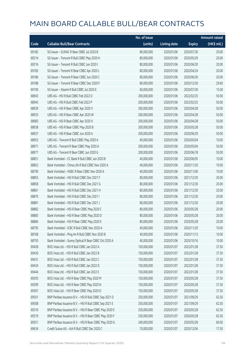|       |                                                        | No. of issue |                     |               | <b>Amount raised</b> |
|-------|--------------------------------------------------------|--------------|---------------------|---------------|----------------------|
| Code  | <b>Callable Bull/Bear Contracts</b>                    | (units)      | <b>Listing date</b> | <b>Expiry</b> | (HK\$ mil.)          |
| 69182 | SG Issuer - SUNAC R Bear CBBC Jul 2020 B               | 80,000,000   | 2020/01/06          | 2020/07/30    | 20.00                |
| 69214 | SG Issuer - Tencent R Bull CBBC May 2020 H             | 80,000,000   | 2020/01/06          | 2020/05/29    | 20.00                |
| 69216 | SG Issuer - Tencent R Bull CBBC Jun 2020 I             | 80,000,000   | 2020/01/06          | 2020/06/30    | 20.00                |
| 69183 | SG Issuer - Tencent R Bear CBBC Apr 2020 L             | 80,000,000   | 2020/01/06          | 2020/04/24    | 20.00                |
| 69186 | SG Issuer - Tencent R Bear CBBC Jun 2020 C             | 80,000,000   | 2020/01/06          | 2020/06/30    | 20.00                |
| 69188 | SG Issuer - Tencent R Bear CBBC Dec 2020 F             | 80,000,000   | 2020/01/06          | 2020/12/30    | 29.60                |
| 69190 | SG Issuer - Xiaomi R Bull CBBC Jul 2020 E              | 60,000,000   | 2020/01/06          | 2020/07/30    | 15.00                |
| 68943 | UBS AG - HSI R Bull CBBC Feb 2022 O                    | 200,000,000  | 2020/01/06          | 2022/02/25    | 50.00                |
| 68945 | UBS AG - HSI R Bull CBBC Feb 2022 P                    | 200,000,000  | 2020/01/06          | 2022/02/25    | 50.00                |
| 68929 | UBS AG - HSI R Bear CBBC Apr 2020 V                    | 200,000,000  | 2020/01/06          | 2020/04/28    | 50.00                |
| 68933 | UBS AG - HSI R Bear CBBC Apr 2020 W                    | 200,000,000  | 2020/01/06          | 2020/04/28    | 50.00                |
| 68983 | UBS AG - HSI R Bear CBBC Apr 2020 X                    | 200,000,000  | 2020/01/06          | 2020/04/28    | 50.00                |
| 68938 | UBS AG - HSI R Bear CBBC May 2020 B                    | 200,000,000  | 2020/01/06          | 2020/05/28    | 50.00                |
| 68937 | UBS AG - HSI R Bear CBBC Jun 2020 A                    | 200,000,000  | 2020/01/06          | 2020/06/29    | 50.00                |
| 68953 | UBS AG - Tencent R Bull CBBC May 2020 A                | 40,000,000   | 2020/01/06          | 2020/05/04    | 10.00                |
| 68971 | UBS AG - Tencent R Bear CBBC May 2020 A                | 200,000,000  | 2020/01/06          | 2020/05/04    | 50.00                |
| 68977 | UBS AG - Tencent R Bear CBBC Jun 2020 G                | 200,000,000  | 2020/01/06          | 2020/06/18    | 50.00                |
| 68851 | Bank Vontobel - CC Bank R Bull CBBC Jun 2020 B         | 40,000,000   | 2020/01/06          | 2020/06/05    | 10.00                |
| 68852 | Bank Vontobel - China Life R Bull CBBC Nov 2020 A      | 40,000,000   | 2020/01/06          | 2020/11/20    | 10.00                |
| 68790 | Bank Vontobel - HSBC R Bear CBBC Nov 2020 A            | 40,000,000   | 2020/01/06          | 2020/11/06    | 10.00                |
| 68855 | Bank Vontobel - HSI R Bull CBBC Dec 2021 F             | 80,000,000   | 2020/01/06          | 2021/12/30    | 20.00                |
| 68858 | Bank Vontobel - HSI R Bull CBBC Dec 2021 G             | 80,000,000   | 2020/01/06          | 2021/12/30    | 20.00                |
| 68861 | Bank Vontobel - HSI R Bull CBBC Dec 2021 H             | 80,000,000   | 2020/01/06          | 2021/12/30    | 20.00                |
| 68870 | Bank Vontobel - HSI R Bull CBBC Dec 2021 I             | 80,000,000   | 2020/01/06          | 2021/12/30    | 20.00                |
| 68881 | Bank Vontobel - HSI R Bull CBBC Dec 2021 J             | 80,000,000   | 2020/01/06          | 2021/12/30    | 20.00                |
| 68882 | Bank Vontobel - HSI R Bear CBBC May 2020 C             | 80,000,000   | 2020/01/06          | 2020/05/28    | 20.00                |
| 68883 | Bank Vontobel - HSI R Bear CBBC May 2020 D             | 80,000,000   | 2020/01/06          | 2020/05/28    | 20.00                |
| 68884 | Bank Vontobel - HSI R Bear CBBC May 2020 E             | 80,000,000   | 2020/01/06          | 2020/05/28    | 20.00                |
| 68795 | Bank Vontobel - ICBC R Bull CBBC Nov 2020 A            | 40,000,000   | 2020/01/06          | 2020/11/20    | 10.00                |
| 68768 | Bank Vontobel - Ping An R Bull CBBC Nov 2020 B         | 40,000,000   | 2020/01/06          | 2020/11/13    | 10.00                |
| 68793 | Bank Vontobel - Sunny Optical R Bear CBBC Oct 2020 A   | 40,000,000   | 2020/01/06          | 2020/10/16    | 10.00                |
| 69428 | BOCI Asia Ltd. - HSI R Bull CBBC Jan 2022 A            | 150,000,000  | 2020/01/07          | 2022/01/28    | 37.50                |
| 69430 | BOCI Asia Ltd. - HSI R Bull CBBC Jan 2022 B            | 150,000,000  | 2020/01/07          | 2022/01/28    | 37.50                |
| 69431 | BOCI Asia Ltd. - HSI R Bull CBBC Jan 2022 C            | 150,000,000  | 2020/01/07          | 2022/01/28    | 37.50                |
| 69434 | BOCI Asia Ltd. - HSI R Bull CBBC Jan 2022 D            | 150,000,000  | 2020/01/07          | 2022/01/28    | 37.50                |
| 69444 | BOCI Asia Ltd. - HSI R Bull CBBC Jan 2022 E            | 150,000,000  | 2020/01/07          | 2022/01/28    | 37.50                |
| 69293 | BOCI Asia Ltd. - HSI R Bear CBBC May 2020 M            | 150,000,000  | 2020/01/07          | 2020/05/28    | 37.50                |
| 69299 | BOCI Asia Ltd. - HSI R Bear CBBC May 2020 N            | 150,000,000  | 2020/01/07          | 2020/05/28    | 37.50                |
| 69307 | BOCI Asia Ltd. - HSI R Bear CBBC May 2020 O            | 150,000,000  | 2020/01/07          | 2020/05/28    | 37.50                |
| 69501 | BNP Paribas Issuance B.V. - HSI R Bull CBBC Sep 2021 D | 250,000,000  | 2020/01/07          | 2021/09/29    | 62.50                |
| 69508 | BNP Paribas Issuance B.V. - HSI R Bull CBBC Sep 2021 E | 250,000,000  | 2020/01/07          | 2021/09/29    | 62.50                |
| 69316 | BNP Paribas Issuance B.V. - HSI R Bear CBBC May 2020 E | 250,000,000  | 2020/01/07          | 2020/05/28    | 62.50                |
| 69319 | BNP Paribas Issuance B.V. - HSI R Bear CBBC May 2020 F | 250,000,000  | 2020/01/07          | 2020/05/28    | 62.50                |
| 69551 | BNP Paribas Issuance B.V. - HSI R Bear CBBC May 2020 G | 240,000,000  | 2020/01/07          | 2020/05/28    | 60.00                |
| 69634 | Credit Suisse AG - AIA R Bull CBBC Dec 2020 C          | 70,000,000   | 2020/01/07          | 2020/12/04    | 17.50                |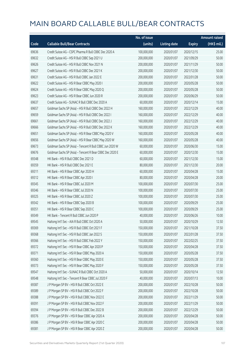|       |                                                          | No. of issue |                     |               | <b>Amount raised</b> |
|-------|----------------------------------------------------------|--------------|---------------------|---------------|----------------------|
| Code  | <b>Callable Bull/Bear Contracts</b>                      | (units)      | <b>Listing date</b> | <b>Expiry</b> | (HK\$ mil.)          |
| 69636 | Credit Suisse AG - CSPC Pharma R Bull CBBC Dec 2020 A    | 100,000,000  | 2020/01/07          | 2020/12/15    | 25.00                |
| 69632 | Credit Suisse AG - HSI R Bull CBBC Sep 2021 U            | 200,000,000  | 2020/01/07          | 2021/09/29    | 50.00                |
| 69626 | Credit Suisse AG - HSI R Bull CBBC Nov 2021 N            | 200,000,000  | 2020/01/07          | 2021/11/29    | 50.00                |
| 69627 | Credit Suisse AG - HSI R Bull CBBC Dec 2021 K            | 200,000,000  | 2020/01/07          | 2021/12/30    | 50.00                |
| 69631 | Credit Suisse AG - HSI R Bull CBBC Jan 2022 E            | 200,000,000  | 2020/01/07          | 2022/01/28    | 50.00                |
| 69622 | Credit Suisse AG - HSI R Bear CBBC May 2020 I            | 200,000,000  | 2020/01/07          | 2020/05/28    | 50.00                |
| 69624 | Credit Suisse AG - HSI R Bear CBBC May 2020 Q            | 200,000,000  | 2020/01/07          | 2020/05/28    | 50.00                |
| 69623 | Credit Suisse AG - HSI R Bear CBBC Jun 2020 R            | 200,000,000  | 2020/01/07          | 2020/06/29    | 50.00                |
| 69637 | Credit Suisse AG - SUNAC R Bull CBBC Dec 2020 A          | 60,000,000   | 2020/01/07          | 2020/12/14    | 15.00                |
| 69657 | Goldman Sachs SP (Asia) - HSI R Bull CBBC Dec 2022 H     | 160,000,000  | 2020/01/07          | 2022/12/29    | 40.00                |
| 69659 | Goldman Sachs SP (Asia) - HSI R Bull CBBC Dec 2022 I     | 160,000,000  | 2020/01/07          | 2022/12/29    | 40.00                |
| 69661 | Goldman Sachs SP (Asia) - HSI R Bull CBBC Dec 2022 J     | 160,000,000  | 2020/01/07          | 2022/12/29    | 40.00                |
| 69666 | Goldman Sachs SP (Asia) - HSI R Bull CBBC Dec 2022 K     | 160,000,000  | 2020/01/07          | 2022/12/29    | 40.00                |
| 69651 | Goldman Sachs SP (Asia) - HSI R Bear CBBC May 2020 V     | 160,000,000  | 2020/01/07          | 2020/05/28    | 40.00                |
| 69656 | Goldman Sachs SP (Asia) - HSI R Bear CBBC May 2020 W     | 160,000,000  | 2020/01/07          | 2020/05/28    | 40.00                |
| 69673 | Goldman Sachs SP (Asia) - Tencent R Bull CBBC Jun 2020 W | 60,000,000   | 2020/01/07          | 2020/06/30    | 15.00                |
| 69676 | Goldman Sachs SP (Asia) - Tencent R Bear CBBC Dec 2020 E | 60,000,000   | 2020/01/07          | 2020/12/30    | 15.00                |
| 69348 | HK Bank - HSI R Bull CBBC Dec 2021 D                     | 60,000,000   | 2020/01/07          | 2021/12/30    | 15.00                |
| 69359 | HK Bank - HSI R Bull CBBC Dec 2021 E                     | 80,000,000   | 2020/01/07          | 2021/12/30    | 20.00                |
| 69311 | HK Bank - HSI R Bear CBBC Apr 2020 H                     | 60,000,000   | 2020/01/07          | 2020/04/28    | 15.00                |
| 69312 | HK Bank - HSI R Bear CBBC Apr 2020 I                     | 80,000,000   | 2020/01/07          | 2020/04/28    | 20.00                |
| 69345 | HK Bank - HSI R Bear CBBC Jul 2020 M                     | 100,000,000  | 2020/01/07          | 2020/07/30    | 25.00                |
| 69346 | HK Bank - HSI R Bear CBBC Jul 2020 N                     | 100,000,000  | 2020/01/07          | 2020/07/30    | 25.00                |
| 69325 | HK Bank - HSI R Bear CBBC Jul 2020 Z                     | 100,000,000  | 2020/01/07          | 2020/07/30    | 25.00                |
| 69342 | HK Bank - HSI R Bear CBBC Sep 2020 B                     | 100,000,000  | 2020/01/07          | 2020/09/29    | 25.00                |
| 69351 | HK Bank - HSI R Bear CBBC Sep 2020 C                     | 100,000,000  | 2020/01/07          | 2020/09/29    | 25.00                |
| 69349 | HK Bank - Tencent R Bull CBBC Jun 2020 P                 | 40,000,000   | 2020/01/07          | 2020/06/26    | 10.00                |
| 69545 | Haitong Int'l Sec - AIA R Bull CBBC Oct 2020 A           | 50,000,000   | 2020/01/07          | 2020/10/29    | 12.50                |
| 69369 | Haitong Int'l Sec - HSI R Bull CBBC Oct 2021 F           | 150,000,000  | 2020/01/07          | 2021/10/28    | 37.50                |
| 69368 | Haitong Int'l Sec - HSI R Bull CBBC Jan 2022 S           | 150,000,000  | 2020/01/07          | 2022/01/28    | 37.50                |
| 69366 | Haitong Int'l Sec - HSI R Bull CBBC Feb 2022 Y           | 150,000,000  | 2020/01/07          | 2022/02/25    | 37.50                |
| 69372 | Haitong Int'l Sec - HSI R Bear CBBC Apr 2020 P           | 150,000,000  | 2020/01/07          | 2020/04/28    | 37.50                |
| 69371 | Haitong Int'l Sec - HSI R Bear CBBC May 2020 A           | 150,000,000  | 2020/01/07          | 2020/05/28    | 37.50                |
| 69360 | Haitong Int'l Sec - HSI R Bear CBBC May 2020 E           | 150,000,000  | 2020/01/07          | 2020/05/28    | 37.50                |
| 69373 | Haitong Int'l Sec - HSI R Bear CBBC May 2020 F           | 150,000,000  | 2020/01/07          | 2020/05/28    | 37.50                |
| 69547 | Haitong Int'l Sec - SUNAC R Bull CBBC Oct 2020 A         | 50,000,000   | 2020/01/07          | 2020/10/14    | 12.50                |
| 69548 | Haitong Int'l Sec - Tencent R Bear CBBC Jul 2020 F       | 40,000,000   | 2020/01/07          | 2020/07/13    | 10.00                |
| 69387 | J P Morgan SP BV - HSI R Bull CBBC Oct 2022 E            | 200,000,000  | 2020/01/07          | 2022/10/28    | 50.00                |
| 69389 | J P Morgan SP BV - HSI R Bull CBBC Oct 2022 F            | 200,000,000  | 2020/01/07          | 2022/10/28    | 50.00                |
| 69388 | J P Morgan SP BV - HSI R Bull CBBC Nov 2022 E            | 200,000,000  | 2020/01/07          | 2022/11/29    | 50.00                |
| 69391 | J P Morgan SP BV - HSI R Bull CBBC Nov 2022 F            | 200,000,000  | 2020/01/07          | 2022/11/29    | 50.00                |
| 69394 | J P Morgan SP BV - HSI R Bull CBBC Dec 2022 B            | 200,000,000  | 2020/01/07          | 2022/12/29    | 50.00                |
| 69376 | J P Morgan SP BV - HSI R Bear CBBC Apr 2020 A            | 200,000,000  | 2020/01/07          | 2020/04/28    | 50.00                |
| 69386 | J P Morgan SP BV - HSI R Bear CBBC Apr 2020 C            | 200,000,000  | 2020/01/07          | 2020/04/28    | 50.00                |
| 69381 | J P Morgan SP BV - HSI R Bear CBBC Apr 2020 Z            | 200,000,000  | 2020/01/07          | 2020/04/28    | 50.00                |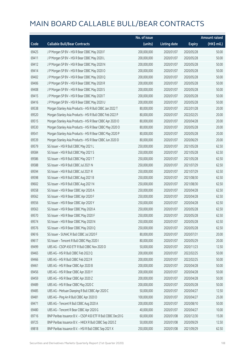|       |                                                              | No. of issue |                     |               | <b>Amount raised</b> |
|-------|--------------------------------------------------------------|--------------|---------------------|---------------|----------------------|
| Code  | <b>Callable Bull/Bear Contracts</b>                          | (units)      | <b>Listing date</b> | <b>Expiry</b> | (HK\$ mil.)          |
| 69425 | J P Morgan SP BV - HSI R Bear CBBC May 2020 F                | 200,000,000  | 2020/01/07          | 2020/05/28    | 50.00                |
| 69411 | J P Morgan SP BV - HSI R Bear CBBC May 2020 L                | 200,000,000  | 2020/01/07          | 2020/05/28    | 50.00                |
| 69412 | J P Morgan SP BV - HSI R Bear CBBC May 2020 N                | 200,000,000  | 2020/01/07          | 2020/05/28    | 50.00                |
| 69414 | J P Morgan SP BV - HSI R Bear CBBC May 2020 O                | 200,000,000  | 2020/01/07          | 2020/05/28    | 50.00                |
| 69402 | J P Morgan SP BV - HSI R Bear CBBC May 2020 Q                | 200,000,000  | 2020/01/07          | 2020/05/28    | 50.00                |
| 69406 | J P Morgan SP BV - HSI R Bear CBBC May 2020 R                | 200,000,000  | 2020/01/07          | 2020/05/28    | 50.00                |
| 69408 | J P Morgan SP BV - HSI R Bear CBBC May 2020 S                | 200,000,000  | 2020/01/07          | 2020/05/28    | 50.00                |
| 69415 | J P Morgan SP BV - HSI R Bear CBBC May 2020 T                | 200,000,000  | 2020/01/07          | 2020/05/28    | 50.00                |
| 69416 | J P Morgan SP BV - HSI R Bear CBBC May 2020 U                | 200,000,000  | 2020/01/07          | 2020/05/28    | 50.00                |
| 69538 | Morgan Stanley Asia Products - HSI R Bull CBBC Jan 2022 T    | 80,000,000   | 2020/01/07          | 2022/01/28    | 20.00                |
| 69520 | Morgan Stanley Asia Products - HSI R Bull CBBC Feb 2022 P    | 80,000,000   | 2020/01/07          | 2022/02/25    | 20.00                |
| 69515 | Morgan Stanley Asia Products - HSI R Bear CBBC Apr 2020 O    | 80,000,000   | 2020/01/07          | 2020/04/28    | 20.00                |
| 69530 | Morgan Stanley Asia Products - HSI R Bear CBBC May 2020 O    | 80,000,000   | 2020/01/07          | 2020/05/28    | 20.00                |
| 69541 | Morgan Stanley Asia Products - HSI R Bear CBBC May 2020 P    | 80,000,000   | 2020/01/07          | 2020/05/28    | 20.00                |
| 69539 | Morgan Stanley Asia Products - HSI R Bear CBBC Jun 2020 D    | 80,000,000   | 2020/01/07          | 2020/06/29    | 20.00                |
| 69579 | SG Issuer - HSI R Bull CBBC May 2021 L                       | 250,000,000  | 2020/01/07          | 2021/05/28    | 62.50                |
| 69584 | SG Issuer - HSI R Bull CBBC May 2021 S                       | 250,000,000  | 2020/01/07          | 2021/05/28    | 62.50                |
| 69586 | SG Issuer - HSI R Bull CBBC May 2021 T                       | 250,000,000  | 2020/01/07          | 2021/05/28    | 62.50                |
| 69588 | SG Issuer - HSI R Bull CBBC Jul 2021 N                       | 250,000,000  | 2020/01/07          | 2021/07/29    | 62.50                |
| 69594 | SG Issuer - HSI R Bull CBBC Jul 2021 R                       | 250,000,000  | 2020/01/07          | 2021/07/29    | 62.50                |
| 69598 | SG Issuer - HSI R Bull CBBC Aug 2021 B                       | 250,000,000  | 2020/01/07          | 2021/08/30    | 62.50                |
| 69602 | SG Issuer - HSI R Bull CBBC Aug 2021 N                       | 250,000,000  | 2020/01/07          | 2021/08/30    | 62.50                |
| 69558 | SG Issuer - HSI R Bear CBBC Apr 2020 A                       | 250,000,000  | 2020/01/07          | 2020/04/28    | 62.50                |
| 69562 | SG Issuer - HSI R Bear CBBC Apr 2020 F                       | 250,000,000  | 2020/01/07          | 2020/04/28    | 62.50                |
| 69556 | SG Issuer - HSI R Bear CBBC Apr 2020 Y                       | 250,000,000  | 2020/01/07          | 2020/04/28    | 62.50                |
| 69563 | SG Issuer - HSI R Bear CBBC May 2020 A                       | 250,000,000  | 2020/01/07          | 2020/05/28    | 62.50                |
| 69570 | SG Issuer - HSI R Bear CBBC May 2020 F                       | 250,000,000  | 2020/01/07          | 2020/05/28    | 62.50                |
| 69574 | SG Issuer - HSI R Bear CBBC May 2020 N                       | 250,000,000  | 2020/01/07          | 2020/05/28    | 62.50                |
| 69576 | SG Issuer - HSI R Bear CBBC May 2020 Q                       | 250,000,000  | 2020/01/07          | 2020/05/28    | 62.50                |
| 69616 | SG Issuer - SUNAC R Bull CBBC Jul 2020 F                     | 80,000,000   | 2020/01/07          | 2020/07/31    | 20.00                |
| 69617 | SG Issuer - Tencent R Bull CBBC May 2020 I                   | 80,000,000   | 2020/01/07          | 2020/05/29    | 20.00                |
| 69499 | UBS AG - CSOP A50 ETF R Bull CBBC Nov 2020 D                 | 50,000,000   | 2020/01/07          | 2020/11/23    | 12.50                |
| 69465 | UBS AG - HSI R Bull CBBC Feb 2022 Q                          | 200,000,000  | 2020/01/07          | 2022/02/25    | 50.00                |
| 69466 | UBS AG - HSI R Bull CBBC Feb 2022 R                          | 200,000,000  | 2020/01/07          | 2022/02/25    | 50.00                |
| 69461 | UBS AG - HSI R Bear CBBC Apr 2020 B                          | 200,000,000  | 2020/01/07          | 2020/04/28    | 50.00                |
| 69456 | UBS AG - HSI R Bear CBBC Apr 2020 Y                          | 200,000,000  | 2020/01/07          | 2020/04/28    | 50.00                |
| 69459 | UBS AG - HSI R Bear CBBC Apr 2020 Z                          | 200,000,000  | 2020/01/07          | 2020/04/28    | 50.00                |
| 69489 | UBS AG - HSI R Bear CBBC May 2020 C                          | 200,000,000  | 2020/01/07          | 2020/05/28    | 50.00                |
| 69485 | UBS AG - Meituan Dianping R Bull CBBC Apr 2020 C             | 50,000,000   | 2020/01/07          | 2020/04/27    | 12.50                |
| 69481 | UBS AG - Ping An R Bull CBBC Apr 2020 D                      | 100,000,000  | 2020/01/07          | 2020/04/27    | 25.00                |
| 69471 | UBS AG - Tencent R Bull CBBC Aug 2020 A                      | 200,000,000  | 2020/01/07          | 2020/08/10    | 50.00                |
| 69480 | UBS AG - Tencent R Bear CBBC Apr 2020 G                      | 40,000,000   | 2020/01/07          | 2020/04/27    | 10.00                |
| 69716 | BNP Paribas Issuance B.V. - CSOP A50 ETF R Bull CBBC Dec20 G | 60,000,000   | 2020/01/08          | 2020/12/30    | 15.00                |
| 69725 | BNP Paribas Issuance B.V. - HKEX R Bull CBBC Sep 2020 Z      | 50,000,000   | 2020/01/08          | 2020/09/29    | 12.50                |
| 69818 | BNP Paribas Issuance B.V. - HSI R Bull CBBC Sep 2021 X       | 250,000,000  | 2020/01/08          | 2021/09/29    | 62.50                |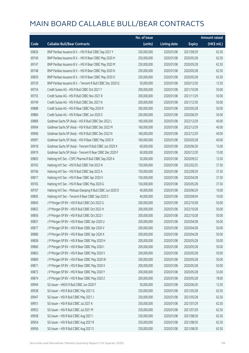|       |                                                             | No. of issue |                     |               | <b>Amount raised</b>  |
|-------|-------------------------------------------------------------|--------------|---------------------|---------------|-----------------------|
| Code  | <b>Callable Bull/Bear Contracts</b>                         | (units)      | <b>Listing date</b> | <b>Expiry</b> | $(HK\frac{1}{2}mil.)$ |
| 69826 | BNP Paribas Issuance B.V. - HSI R Bull CBBC Sep 2021 Y      | 250,000,000  | 2020/01/08          | 2021/09/29    | 62.50                 |
| 69740 | BNP Paribas Issuance B.V. - HSI R Bear CBBC May 2020 H      | 250,000,000  | 2020/01/08          | 2020/05/28    | 62.50                 |
| 69747 | BNP Paribas Issuance B.V. - HSI R Bear CBBC May 2020 M      | 250,000,000  | 2020/01/08          | 2020/05/28    | 62.50                 |
| 69748 | BNP Paribas Issuance B.V. - HSI R Bear CBBC May 2020 N      | 250,000,000  | 2020/01/08          | 2020/05/28    | 62.50                 |
| 69829 | BNP Paribas Issuance B.V. - HSI R Bear CBBC May 2020 O      | 250,000,000  | 2020/01/08          | 2020/05/28    | 62.50                 |
| 69729 | BNP Paribas Issuance B.V. - Tencent R Bull CBBC Dec 2020 Q  | 50,000,000   | 2020/01/08          | 2020/12/30    | 12.50                 |
| 69754 | Credit Suisse AG - HSI R Bull CBBC Oct 2021 Y               | 200,000,000  | 2020/01/08          | 2021/10/28    | 50.00                 |
| 69755 | Credit Suisse AG - HSI R Bull CBBC Nov 2021 R               | 200,000,000  | 2020/01/08          | 2021/11/29    | 50.00                 |
| 69749 | Credit Suisse AG - HSI R Bull CBBC Dec 2021 N               | 200,000,000  | 2020/01/08          | 2021/12/30    | 50.00                 |
| 69888 | Credit Suisse AG - HSI R Bear CBBC May 2020 R               | 200,000,000  | 2020/01/08          | 2020/05/28    | 50.00                 |
| 69884 | Credit Suisse AG - HSI R Bear CBBC Jun 2020 S               | 200,000,000  | 2020/01/08          | 2020/06/29    | 50.00                 |
| 69889 | Goldman Sachs SP (Asia) - HSI R Bull CBBC Dec 2022 L        | 160,000,000  | 2020/01/08          | 2022/12/29    | 40.00                 |
| 69904 | Goldman Sachs SP (Asia) - HSI R Bull CBBC Dec 2022 M        | 160,000,000  | 2020/01/08          | 2022/12/29    | 40.00                 |
| 69906 | Goldman Sachs SP (Asia) - HSI R Bull CBBC Dec 2022 N        | 160,000,000  | 2020/01/08          | 2022/12/29    | 40.00                 |
| 69907 | Goldman Sachs SP (Asia) - HSI R Bear CBBC May 2020 X        | 160,000,000  | 2020/01/08          | 2020/05/28    | 40.00                 |
| 69918 | Goldman Sachs SP (Asia) - Tencent R Bull CBBC Jun 2020 X    | 60,000,000   | 2020/01/08          | 2020/06/30    | 15.00                 |
| 69919 | Goldman Sachs SP (Asia) - Tencent R Bear CBBC Dec 2020 F    | 60,000,000   | 2020/01/08          | 2020/12/30    | 15.00                 |
| 69803 | Haitong Int'l Sec - CSPC Pharma R Bull CBBC Sep 2020 A      | 50,000,000   | 2020/01/08          | 2020/09/22    | 12.50                 |
| 69762 | Haitong Int'l Sec - HSI R Bull CBBC Feb 2022 N              | 150,000,000  | 2020/01/08          | 2022/02/25    | 37.50                 |
| 69766 | Haitong Int'l Sec - HSI R Bull CBBC Sep 2022 A              | 150,000,000  | 2020/01/08          | 2022/09/29    | 37.50                 |
| 69817 | Haitong Int'l Sec - HSI R Bear CBBC Apr 2020 V              | 150,000,000  | 2020/01/08          | 2020/04/28    | 37.50                 |
| 69765 | Haitong Int'l Sec - HSI R Bear CBBC May 2020 G              | 150,000,000  | 2020/01/08          | 2020/05/28    | 37.50                 |
| 69767 | Haitong Int'l Sec - Meituan Dianping R Bull CBBC Jun 2020 D | 40,000,000   | 2020/01/08          | 2020/06/29    | 10.00                 |
| 69805 | Haitong Int'l Sec - Tencent R Bear CBBC Sep 2020 C          | 40,000,000   | 2020/01/08          | 2020/09/04    | 10.00                 |
| 69845 | J P Morgan SP BV - HSI R Bull CBBC Oct 2022 G               | 200,000,000  | 2020/01/08          | 2022/10/28    | 50.00                 |
| 69852 | J P Morgan SP BV - HSI R Bull CBBC Oct 2022 H               | 200,000,000  | 2020/01/08          | 2022/10/28    | 50.00                 |
| 69856 | J P Morgan SP BV - HSI R Bull CBBC Oct 2022 I               | 200,000,000  | 2020/01/08          | 2022/10/28    | 50.00                 |
| 69857 | J P Morgan SP BV - HSI R Bear CBBC Apr 2020 U               | 200,000,000  | 2020/01/08          | 2020/04/28    | 50.00                 |
| 69877 | J P Morgan SP BV - HSI R Bear CBBC Apr 2020 V               | 200,000,000  | 2020/01/08          | 2020/04/28    | 50.00                 |
| 69880 | J P Morgan SP BV - HSI R Bear CBBC Apr 2020 X               | 200,000,000  | 2020/01/08          | 2020/04/28    | 50.00                 |
| 69858 | J P Morgan SP BV - HSI R Bear CBBC May 2020 H               | 200,000,000  | 2020/01/08          | 2020/05/28    | 50.00                 |
| 69860 | J P Morgan SP BV - HSI R Bear CBBC May 2020 I               | 200,000,000  | 2020/01/08          | 2020/05/28    | 50.00                 |
| 69863 | J P Morgan SP BV - HSI R Bear CBBC May 2020 V               | 200,000,000  | 2020/01/08          | 2020/05/28    | 50.00                 |
| 69869 | J P Morgan SP BV - HSI R Bear CBBC May 2020 W               | 200,000,000  | 2020/01/08          | 2020/05/28    | 50.00                 |
| 69871 | J P Morgan SP BV - HSI R Bear CBBC May 2020 X               | 200,000,000  | 2020/01/08          | 2020/05/28    | 50.00                 |
| 69873 | J P Morgan SP BV - HSI R Bear CBBC May 2020 Y               | 200,000,000  | 2020/01/08          | 2020/05/28    | 53.00                 |
| 69874 | J P Morgan SP BV - HSI R Bear CBBC May 2020 Z               | 200,000,000  | 2020/01/08          | 2020/05/28    | 78.00                 |
| 69994 | SG Issuer - HKEX R Bull CBBC Jun 2020 F                     | 50,000,000   | 2020/01/08          | 2020/06/30    | 12.50                 |
| 69938 | SG Issuer - HSI R Bull CBBC May 2021 G                      | 250,000,000  | 2020/01/08          | 2021/05/28    | 62.50                 |
| 69947 | SG Issuer - HSI R Bull CBBC May 2021 J                      | 250,000,000  | 2020/01/08          | 2021/05/28    | 62.50                 |
| 69951 | SG Issuer - HSI R Bull CBBC Jul 2021 K                      | 250,000,000  | 2020/01/08          | 2021/07/29    | 62.50                 |
| 69953 | SG Issuer - HSI R Bull CBBC Jul 2021 M                      | 250,000,000  | 2020/01/08          | 2021/07/29    | 62.50                 |
| 69958 | SG Issuer - HSI R Bull CBBC Aug 2021 I                      | 250,000,000  | 2020/01/08          | 2021/08/30    | 62.50                 |
| 69954 | SG Issuer - HSI R Bull CBBC Aug 2021 R                      | 250,000,000  | 2020/01/08          | 2021/08/30    | 62.50                 |
| 69956 | SG Issuer - HSI R Bull CBBC Aug 2021 S                      | 250,000,000  | 2020/01/08          | 2021/08/30    | 62.50                 |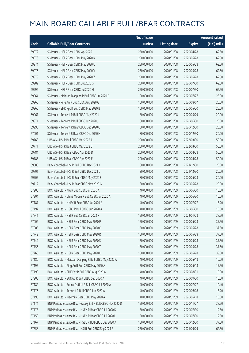|       |                                                              | No. of issue |                     |               | <b>Amount raised</b> |
|-------|--------------------------------------------------------------|--------------|---------------------|---------------|----------------------|
| Code  | <b>Callable Bull/Bear Contracts</b>                          | (units)      | <b>Listing date</b> | <b>Expiry</b> | $(HK\$ mil.)         |
| 69972 | SG Issuer - HSI R Bear CBBC Apr 2020 I                       | 250,000,000  | 2020/01/08          | 2020/04/28    | 62.50                |
| 69973 | SG Issuer - HSI R Bear CBBC May 2020 R                       | 250,000,000  | 2020/01/08          | 2020/05/28    | 62.50                |
| 69974 | SG Issuer - HSI R Bear CBBC May 2020 U                       | 250,000,000  | 2020/01/08          | 2020/05/28    | 62.50                |
| 69976 | SG Issuer - HSI R Bear CBBC May 2020 V                       | 250,000,000  | 2020/01/08          | 2020/05/28    | 62.50                |
| 69979 | SG Issuer - HSI R Bear CBBC May 2020 Z                       | 250,000,000  | 2020/01/08          | 2020/05/28    | 62.50                |
| 69982 | SG Issuer - HSI R Bear CBBC Jul 2020 G                       | 250,000,000  | 2020/01/08          | 2020/07/30    | 62.50                |
| 69992 | SG Issuer - HSI R Bear CBBC Jul 2020 H                       | 250,000,000  | 2020/01/08          | 2020/07/30    | 62.50                |
| 69964 | SG Issuer - Meituan Dianping R Bull CBBC Jul 2020 D          | 100,000,000  | 2020/01/08          | 2020/07/27    | 25.00                |
| 69965 | SG Issuer - Ping An R Bull CBBC Aug 2020 G                   | 100,000,000  | 2020/01/08          | 2020/08/07    | 25.00                |
| 69960 | SG Issuer - SHK Ppt R Bull CBBC May 2020 B                   | 100,000,000  | 2020/01/08          | 2020/05/20    | 25.00                |
| 69961 | SG Issuer - Tencent R Bull CBBC May 2020 J                   | 80,000,000   | 2020/01/08          | 2020/05/29    | 20.00                |
| 69971 | SG Issuer - Tencent R Bull CBBC Jun 2020 J                   | 80,000,000   | 2020/01/08          | 2020/06/30    | 20.00                |
| 69995 | SG Issuer - Tencent R Bear CBBC Dec 2020 G                   | 80,000,000   | 2020/01/08          | 2020/12/30    | 20.00                |
| 57001 | SG Issuer - Tencent R Bear CBBC Dec 2020 H                   | 80,000,000   | 2020/01/08          | 2020/12/30    | 20.00                |
| 69768 | UBS AG - HSI R Bull CBBC Mar 2022 A                          | 200,000,000  | 2020/01/08          | 2022/03/30    | 50.00                |
| 69771 | UBS AG - HSI R Bull CBBC Mar 2022 B                          | 200,000,000  | 2020/01/08          | 2022/03/30    | 50.00                |
| 69784 | UBS AG - HSI R Bear CBBC Apr 2020 D                          | 200,000,000  | 2020/01/08          | 2020/04/28    | 50.00                |
| 69785 | UBS AG - HSI R Bear CBBC Apr 2020 E                          | 200,000,000  | 2020/01/08          | 2020/04/28    | 50.00                |
| 69688 | Bank Vontobel - HSI R Bull CBBC Dec 2021 K                   | 80,000,000   | 2020/01/08          | 2021/12/30    | 20.00                |
| 69701 | Bank Vontobel - HSI R Bull CBBC Dec 2021 L                   | 80,000,000   | 2020/01/08          | 2021/12/30    | 20.00                |
| 69705 | Bank Vontobel - HSI R Bear CBBC May 2020 F                   | 80,000,000   | 2020/01/08          | 2020/05/28    | 20.00                |
| 69712 | Bank Vontobel - HSI R Bear CBBC May 2020 G                   | 80,000,000   | 2020/01/08          | 2020/05/28    | 20.00                |
| 57206 | BOCI Asia Ltd. - AIA R Bull CBBC Jun 2020 A                  | 40,000,000   | 2020/01/09          | 2020/06/30    | 10.00                |
| 57204 | BOCI Asia Ltd. - China Mobile R Bull CBBC Jun 2020 A         | 40,000,000   | 2020/01/09          | 2020/06/30    | 10.00                |
| 57187 | BOCI Asia Ltd. - HKEX R Bear CBBC Jul 2020 A                 | 40,000,000   | 2020/01/09          | 2020/07/27    | 13.20                |
| 57197 | BOCI Asia Ltd. - HSBC R Bull CBBC Jun 2020 A                 | 40,000,000   | 2020/01/09          | 2020/06/30    | 10.00                |
| 57741 | BOCI Asia Ltd. - HSI R Bull CBBC Jan 2022 F                  | 150,000,000  | 2020/01/09          | 2022/01/28    | 37.50                |
| 57002 | BOCI Asia Ltd. - HSI R Bear CBBC May 2020 P                  | 150,000,000  | 2020/01/09          | 2020/05/28    | 37.50                |
| 57005 | BOCI Asia Ltd. - HSI R Bear CBBC May 2020 Q                  | 150,000,000  | 2020/01/09          | 2020/05/28    | 37.50                |
| 57742 | BOCI Asia Ltd. - HSI R Bear CBBC May 2020 R                  | 150,000,000  | 2020/01/09          | 2020/05/28    | 37.50                |
| 57749 | BOCI Asia Ltd. - HSI R Bear CBBC May 2020 S                  | 150,000,000  | 2020/01/09          | 2020/05/28    | 37.50                |
| 57756 | BOCI Asia Ltd. - HSI R Bear CBBC May 2020 T                  | 150,000,000  | 2020/01/09          | 2020/05/28    | 37.50                |
| 57766 | BOCI Asia Ltd. - HSI R Bear CBBC May 2020 U                  | 150,000,000  | 2020/01/09          | 2020/05/28    | 39.00                |
| 57186 | BOCI Asia Ltd. - Meituan Dianping R Bull CBBC May 2020 A     | 40,000,000   | 2020/01/09          | 2020/05/18    | 10.00                |
| 57195 | BOCI Asia Ltd. - Ping An R Bull CBBC May 2020 A              | 70,000,000   | 2020/01/09          | 2020/05/18    | 17.50                |
| 57199 | BOCI Asia Ltd. - SHK Ppt R Bull CBBC Aug 2020 A              | 40,000,000   | 2020/01/09          | 2020/08/31    | 10.00                |
| 57208 | BOCI Asia Ltd. - SUNAC R Bull CBBC Sep 2020 A                | 40,000,000   | 2020/01/09          | 2020/09/30    | 10.00                |
| 57182 | BOCI Asia Ltd. - Sunny Optical R Bull CBBC Jul 2020 A        | 40,000,000   | 2020/01/09          | 2020/07/27    | 10.40                |
| 57176 | BOCI Asia Ltd. - Tencent R Bull CBBC Jun 2020 A              | 40,000,000   | 2020/01/09          | 2020/06/08    | 13.20                |
| 57190 | BOCI Asia Ltd. - Xiaomi R Bear CBBC May 2020 A               | 40,000,000   | 2020/01/09          | 2020/05/18    | 10.00                |
| 57174 | BNP Paribas Issuance B.V. - Galaxy Ent R Bull CBBC Nov2020 D | 150,000,000  | 2020/01/09          | 2020/11/27    | 37.50                |
| 57175 | BNP Paribas Issuance B.V. - HKEX R Bear CBBC Jul 2020 K      | 50,000,000   | 2020/01/09          | 2020/07/30    | 12.50                |
| 57159 | BNP Paribas Issuance B.V. - HKEX R Bear CBBC Jul 2020 L      | 50,000,000   | 2020/01/09          | 2020/07/30    | 12.50                |
| 57167 | BNP Paribas Issuance B.V. - HSBC R Bull CBBC Dec 2020 A      | 150,000,000  | 2020/01/09          | 2020/12/30    | 37.50                |
| 57558 | BNP Paribas Issuance B.V. - HSI R Bull CBBC Sep 2021 F       | 250,000,000  | 2020/01/09          | 2021/09/29    | 62.50                |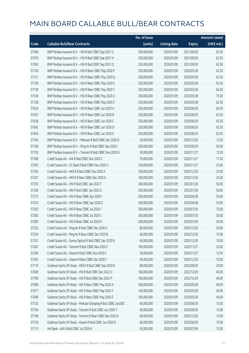|       |                                                               | No. of issue |                     |               | <b>Amount raised</b>  |
|-------|---------------------------------------------------------------|--------------|---------------------|---------------|-----------------------|
| Code  | <b>Callable Bull/Bear Contracts</b>                           | (units)      | <b>Listing date</b> | <b>Expiry</b> | $(HK\frac{1}{2}mil.)$ |
| 57569 | BNP Paribas Issuance B.V. - HSI R Bull CBBC Sep 2021 G        | 250,000,000  | 2020/01/09          | 2021/09/29    | 62.50                 |
| 57579 | BNP Paribas Issuance B.V. - HSI R Bull CBBC Sep 2021 H        | 250,000,000  | 2020/01/09          | 2021/09/29    | 62.50                 |
| 57583 | BNP Paribas Issuance B.V. - HSI R Bull CBBC Sep 2021 Q        | 250,000,000  | 2020/01/09          | 2021/09/29    | 62.50                 |
| 57130 | BNP Paribas Issuance B.V. - HSI R Bear CBBC May 2020 P        | 250,000,000  | 2020/01/09          | 2020/05/28    | 62.50                 |
| 57131 | BNP Paribas Issuance B.V. - HSI R Bear CBBC May 2020 Q        | 250,000,000  | 2020/01/09          | 2020/05/28    | 62.50                 |
| 57138 | BNP Paribas Issuance B.V. - HSI R Bear CBBC May 2020 S        | 250,000,000  | 2020/01/09          | 2020/05/28    | 62.50                 |
| 57139 | BNP Paribas Issuance B.V. - HSI R Bear CBBC May 2020 T        | 250,000,000  | 2020/01/09          | 2020/05/28    | 62.50                 |
| 57149 | BNP Paribas Issuance B.V. - HSI R Bear CBBC May 2020 U        | 250,000,000  | 2020/01/09          | 2020/05/28    | 75.00                 |
| 57128 | BNP Paribas Issuance B.V. - HSI R Bear CBBC May 2020 Z        | 250,000,000  | 2020/01/09          | 2020/05/28    | 62.50                 |
| 57624 | BNP Paribas Issuance B.V. - HSI R Bear CBBC Jun 2020 A        | 250,000,000  | 2020/01/09          | 2020/06/29    | 62.50                 |
| 57637 | BNP Paribas Issuance B.V. - HSI R Bear CBBC Jun 2020 B        | 250,000,000  | 2020/01/09          | 2020/06/29    | 62.50                 |
| 57638 | BNP Paribas Issuance B.V. - HSI R Bear CBBC Jun 2020 C        | 250,000,000  | 2020/01/09          | 2020/06/29    | 62.50                 |
| 57642 | BNP Paribas Issuance B.V. - HSI R Bear CBBC Jun 2020 D        | 250,000,000  | 2020/01/09          | 2020/06/29    | 62.50                 |
| 57643 | BNP Paribas Issuance B.V. - HSI R Bear CBBC Jun 2020 E        | 250,000,000  | 2020/01/09          | 2020/06/29    | 62.50                 |
| 57165 | BNP Paribas Issuance B.V. - Meituan R Bull CBBC Dec 2020 Q    | 50,000,000   | 2020/01/09          | 2020/12/30    | 12.50                 |
| 57166 | BNP Paribas Issuance B.V. - Ping An R Bull CBBC Sep 2020 I    | 200,000,000  | 2020/01/09          | 2020/09/29    | 50.00                 |
| 57150 | BNP Paribas Issuance B.V. - Tencent R Bull CBBC Nov 2020 N    | 50,000,000   | 2020/01/09          | 2020/11/27    | 12.50                 |
| 57308 | Credit Suisse AG - AIA R Bull CBBC Nov 2020 C                 | 70,000,000   | 2020/01/09          | 2020/11/27    | 17.50                 |
| 57293 | Credit Suisse AG - CC Bank R Bull CBBC Nov 2020 A             | 100,000,000  | 2020/01/09          | 2020/11/27    | 25.00                 |
| 57326 | Credit Suisse AG - HKEX R Bull CBBC Dec 2020 A                | 100,000,000  | 2020/01/09          | 2020/12/30    | 25.00                 |
| 57327 | Credit Suisse AG - HKEX R Bear CBBC Dec 2020 A                | 100,000,000  | 2020/01/09          | 2020/12/30    | 25.00                 |
| 57335 | Credit Suisse AG - HSI R Bull CBBC Jan 2022 F                 | 200,000,000  | 2020/01/09          | 2022/01/28    | 50.00                 |
| 57336 | Credit Suisse AG - HSI R Bull CBBC Jan 2022 G                 | 200,000,000  | 2020/01/09          | 2022/01/28    | 50.00                 |
| 57272 | Credit Suisse AG - HSI R Bear CBBC Apr 2020 I                 | 200,000,000  | 2020/01/09          | 2020/04/28    | 50.00                 |
| 57253 | Credit Suisse AG - HSI R Bear CBBC Apr 2020 Z                 | 200,000,000  | 2020/01/09          | 2020/04/28    | 50.00                 |
| 57263 | Credit Suisse AG - HSI R Bear CBBC Jul 2020 I                 | 300,000,000  | 2020/01/09          | 2020/07/30    | 75.00                 |
| 57282 | Credit Suisse AG - HSI R Bear CBBC Jul 2020 J                 | 200,000,000  | 2020/01/09          | 2020/07/30    | 50.00                 |
| 57283 | Credit Suisse AG - HSI R Bear CBBC Jul 2020 K                 | 200,000,000  | 2020/01/09          | 2020/07/30    | 50.00                 |
| 57322 | Credit Suisse AG - Ping An R Bull CBBC Dec 2020 A             | 80,000,000   | 2020/01/09          | 2020/12/30    | 20.00                 |
| 57324 | Credit Suisse AG - Ping An R Bear CBBC Dec 2020 B             | 60,000,000   | 2020/01/09          | 2020/12/30    | 15.00                 |
| 57331 | Credit Suisse AG - Sunny Optical R Bull CBBC Dec 2020 B       | 40,000,000   | 2020/01/09          | 2020/12/30    | 10.00                 |
| 57287 | Credit Suisse AG - Tencent R Bull CBBC Nov 2020 C             | 100,000,000  | 2020/01/09          | 2020/11/27    | 25.00                 |
| 57294 | Credit Suisse AG - Xiaomi R Bull CBBC Nov 2020 C              | 50,000,000   | 2020/01/09          | 2020/11/27    | 12.50                 |
| 57303 | Credit Suisse AG - Xiaomi R Bear CBBC Dec 2020 C              | 40,000,000   | 2020/01/09          | 2020/12/30    | 10.00                 |
| 57719 | Goldman Sachs SP (Asia) - HKEX R Bull CBBC Sep 2020 B         | 80,000,000   | 2020/01/09          | 2020/09/30    | 20.00                 |
| 57698 | Goldman Sachs SP (Asia) - HSI R Bull CBBC Dec 2022 O          | 160,000,000  | 2020/01/09          | 2022/12/29    | 40.00                 |
| 57700 | Goldman Sachs SP (Asia) - HSI R Bull CBBC Dec 2022 P          | 160,000,000  | 2020/01/09          | 2022/12/29    | 40.00                 |
| 57696 | Goldman Sachs SP (Asia) - HSI R Bear CBBC May 2020 A          | 160,000,000  | 2020/01/09          | 2020/05/28    | 40.00                 |
| 57677 | Goldman Sachs SP (Asia) - HSI R Bear CBBC May 2020 Y          | 160,000,000  | 2020/01/09          | 2020/05/28    | 40.00                 |
| 57690 | Goldman Sachs SP (Asia) - HSI R Bear CBBC May 2020 Z          | 160,000,000  | 2020/01/09          | 2020/05/28    | 40.00                 |
| 57725 | Goldman Sachs SP (Asia) - Meituan Dianping R Bull CBBC Jun20D | 60,000,000   | 2020/01/09          | 2020/06/30    | 15.00                 |
| 57704 | Goldman Sachs SP (Asia) - Tencent R Bull CBBC Jun 2020 Y      | 60,000,000   | 2020/01/09          | 2020/06/30    | 15.00                 |
| 57708 | Goldman Sachs SP (Asia) - Tencent R Bear CBBC Dec 2020 G      | 60,000,000   | 2020/01/09          | 2020/12/30    | 15.00                 |
| 57729 | Goldman Sachs SP (Asia) - Xiaomi R Bull CBBC Jun 2020 D       | 60,000,000   | 2020/01/09          | 2020/06/30    | 15.00                 |
| 57113 | HK Bank - AIA R Bull CBBC Jul 2020 A                          | 60,000,000   | 2020/01/09          | 2020/07/06    | 15.00                 |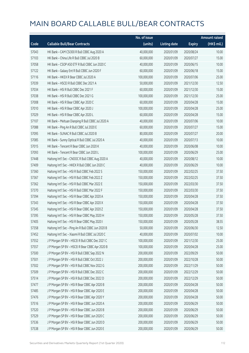|       |                                                    | No. of issue |                     |               | <b>Amount raised</b> |
|-------|----------------------------------------------------|--------------|---------------------|---------------|----------------------|
| Code  | <b>Callable Bull/Bear Contracts</b>                | (units)      | <b>Listing date</b> | <b>Expiry</b> | $(HK\$ mil.)         |
| 57043 | HK Bank - CAM CSI300 R Bull CBBC Aug 2020 A        | 40,000,000   | 2020/01/09          | 2020/08/24    | 10.00                |
| 57103 | HK Bank - China Life R Bull CBBC Jul 2020 B        | 60,000,000   | 2020/01/09          | 2020/07/27    | 15.00                |
| 57058 | HK Bank - CSOP A50 ETF R Bull CBBC Jun 2020 C      | 40,000,000   | 2020/01/09          | 2020/06/15    | 10.00                |
| 57122 | HK Bank - Galaxy Ent R Bull CBBC Jun 2020 F        | 60,000,000   | 2020/01/09          | 2020/06/18    | 15.00                |
| 57116 | HK Bank - HKEX R Bear CBBC Jul 2020 A              | 100,000,000  | 2020/01/09          | 2020/07/06    | 25.00                |
| 57039 | HK Bank - HSCEI R Bull CBBC Dec 2021 A             | 50,000,000   | 2020/01/09          | 2021/12/30    | 12.50                |
| 57034 | HK Bank - HSI R Bull CBBC Dec 2021 F               | 60,000,000   | 2020/01/09          | 2021/12/30    | 15.00                |
| 57038 | HK Bank - HSI R Bull CBBC Dec 2021 G               | 100,000,000  | 2020/01/09          | 2021/12/30    | 25.00                |
| 57008 | HK Bank - HSI R Bear CBBC Apr 2020 C               | 60,000,000   | 2020/01/09          | 2020/04/28    | 15.00                |
| 57010 | HK Bank - HSI R Bear CBBC Apr 2020 J               | 100,000,000  | 2020/01/09          | 2020/04/28    | 25.00                |
| 57029 | HK Bank - HSI R Bear CBBC Apr 2020 L               | 60,000,000   | 2020/01/09          | 2020/04/28    | 15.00                |
| 57107 | HK Bank - Meituan Dianping R Bull CBBC Jul 2020 A  | 40,000,000   | 2020/01/09          | 2020/07/06    | 10.00                |
| 57088 | HK Bank - Ping An R Bull CBBC Jul 2020 E           | 60,000,000   | 2020/01/09          | 2020/07/27    | 15.00                |
| 57095 | HK Bank - SUNAC R Bull CBBC Jul 2020 B             | 80,000,000   | 2020/01/09          | 2020/07/27    | 20.00                |
| 57085 | HK Bank - Sunny Optical R Bull CBBC Jul 2020 A     | 40,000,000   | 2020/01/09          | 2020/07/13    | 10.00                |
| 57015 | HK Bank - Tencent R Bear CBBC Jun 2020 K           | 40,000,000   | 2020/01/09          | 2020/06/08    | 10.00                |
| 57093 | HK Bank - Tencent R Bear CBBC Jun 2020 L           | 100,000,000  | 2020/01/09          | 2020/06/29    | 25.00                |
| 57448 | Haitong Int'l Sec - CNOOC R Bull CBBC Aug 2020 A   | 40,000,000   | 2020/01/09          | 2020/08/12    | 10.00                |
| 57409 | Haitong Int'l Sec - HKEX R Bull CBBC Jun 2020 C    | 40,000,000   | 2020/01/09          | 2020/06/29    | 10.00                |
| 57360 | Haitong Int'l Sec - HSI R Bull CBBC Feb 2022 S     | 150,000,000  | 2020/01/09          | 2022/02/25    | 37.50                |
| 57367 | Haitong Int'l Sec - HSI R Bull CBBC Feb 2022 Z     | 150,000,000  | 2020/01/09          | 2022/02/25    | 37.50                |
| 57362 | Haitong Int'l Sec - HSI R Bull CBBC Mar 2022 E     | 150,000,000  | 2020/01/09          | 2022/03/30    | 37.50                |
| 57370 | Haitong Int'l Sec - HSI R Bull CBBC Mar 2022 F     | 150,000,000  | 2020/01/09          | 2022/03/30    | 37.50                |
| 57394 | Haitong Int'l Sec - HSI R Bear CBBC Apr 2020 A     | 150,000,000  | 2020/01/09          | 2020/04/28    | 37.50                |
| 57343 | Haitong Int'l Sec - HSI R Bear CBBC Apr 2020 X     | 150,000,000  | 2020/01/09          | 2020/04/28    | 37.50                |
| 57345 | Haitong Int'l Sec - HSI R Bear CBBC Apr 2020 Z     | 150,000,000  | 2020/01/09          | 2020/04/28    | 37.50                |
| 57395 | Haitong Int'l Sec - HSI R Bear CBBC May 2020 H     | 150,000,000  | 2020/01/09          | 2020/05/28    | 37.50                |
| 57405 | Haitong Int'l Sec - HSI R Bear CBBC May 2020 I     | 150,000,000  | 2020/01/09          | 2020/05/28    | 38.55                |
| 57358 | Haitong Int'l Sec - Ping An R Bull CBBC Jun 2020 B | 50,000,000   | 2020/01/09          | 2020/06/30    | 12.50                |
| 57452 | Haitong Int'l Sec - Xiaomi R Bull CBBC Jul 2020 C  | 40,000,000   | 2020/01/09          | 2020/07/02    | 10.00                |
| 57552 | J P Morgan SP BV - HSCEI R Bull CBBC Dec 2021 C    | 100,000,000  | 2020/01/09          | 2021/12/30    | 25.00                |
| 57557 | J P Morgan SP BV - HSCEI R Bear CBBC Apr 2020 B    | 100,000,000  | 2020/01/09          | 2020/04/28    | 25.00                |
| 57500 | J P Morgan SP BV - HSI R Bull CBBC Sep 2022 N      | 200,000,000  | 2020/01/09          | 2022/09/29    | 50.00                |
| 57501 | J P Morgan SP BV - HSI R Bull CBBC Oct 2022 J      | 200,000,000  | 2020/01/09          | 2022/10/28    | 50.00                |
| 57502 | J P Morgan SP BV - HSI R Bull CBBC Nov 2022 G      | 200,000,000  | 2020/01/09          | 2022/11/29    | 50.00                |
| 57509 | J P Morgan SP BV - HSI R Bull CBBC Dec 2022 C      | 200,000,000  | 2020/01/09          | 2022/12/29    | 50.00                |
| 57514 | J P Morgan SP BV - HSI R Bull CBBC Dec 2022 D      | 200,000,000  | 2020/01/09          | 2022/12/29    | 50.00                |
| 57477 | J P Morgan SP BV - HSI R Bear CBBC Apr 2020 B      | 200,000,000  | 2020/01/09          | 2020/04/28    | 50.00                |
| 57485 | J P Morgan SP BV - HSI R Bear CBBC Apr 2020 E      | 200,000,000  | 2020/01/09          | 2020/04/28    | 50.00                |
| 57476 | J P Morgan SP BV - HSI R Bear CBBC Apr 2020 Y      | 200,000,000  | 2020/01/09          | 2020/04/28    | 50.00                |
| 57516 | J P Morgan SP BV - HSI R Bear CBBC Jun 2020 A      | 200,000,000  | 2020/01/09          | 2020/06/29    | 50.00                |
| 57520 | J P Morgan SP BV - HSI R Bear CBBC Jun 2020 B      | 200,000,000  | 2020/01/09          | 2020/06/29    | 50.00                |
| 57529 | J P Morgan SP BV - HSI R Bear CBBC Jun 2020 C      | 200,000,000  | 2020/01/09          | 2020/06/29    | 50.00                |
| 57536 | J P Morgan SP BV - HSI R Bear CBBC Jun 2020 D      | 200,000,000  | 2020/01/09          | 2020/06/29    | 50.00                |
| 57538 | J P Morgan SP BV - HSI R Bear CBBC Jun 2020 E      | 200,000,000  | 2020/01/09          | 2020/06/29    | 50.00                |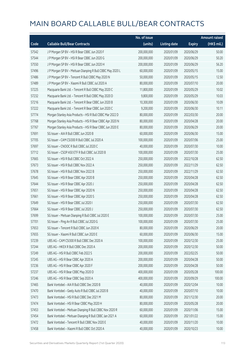|       |                                                            | No. of issue |                     |               | <b>Amount raised</b> |
|-------|------------------------------------------------------------|--------------|---------------------|---------------|----------------------|
| Code  | <b>Callable Bull/Bear Contracts</b>                        | (units)      | <b>Listing date</b> | <b>Expiry</b> | (HK\$ mil.)          |
| 57542 | J P Morgan SP BV - HSI R Bear CBBC Jun 2020 F              | 200,000,000  | 2020/01/09          | 2020/06/29    | 50.00                |
| 57544 | J P Morgan SP BV - HSI R Bear CBBC Jun 2020 G              | 200,000,000  | 2020/01/09          | 2020/06/29    | 50.20                |
| 57550 | J P Morgan SP BV - HSI R Bear CBBC Jun 2020 H              | 200,000,000  | 2020/01/09          | 2020/06/29    | 56.20                |
| 57496 | J P Morgan SP BV - Meituan Dianping R Bull CBBC May 2020 L | 60,000,000   | 2020/01/09          | 2020/05/15    | 15.00                |
| 57486 | J P Morgan SP BV - Tencent R Bull CBBC May 2020 N          | 50,000,000   | 2020/01/09          | 2020/05/15    | 12.50                |
| 57489 | J P Morgan SP BV - Xiaomi R Bull CBBC Jul 2020 A           | 80,000,000   | 2020/01/09          | 2020/07/10    | 20.00                |
| 57225 | Macquarie Bank Ltd. - Tencent R Bull CBBC May 2020 C       | 11,800,000   | 2020/01/09          | 2020/05/29    | 10.02                |
| 57232 | Macquarie Bank Ltd. - Tencent R Bull CBBC May 2020 D       | 9,800,000    | 2020/01/09          | 2020/05/29    | 10.03                |
| 57216 | Macquarie Bank Ltd. - Tencent R Bear CBBC Jun 2020 B       | 10,300,000   | 2020/01/09          | 2020/06/30    | 10.09                |
| 57222 | Macquarie Bank Ltd. - Tencent R Bear CBBC Jun 2020 C       | 9,200,000    | 2020/01/09          | 2020/06/30    | 10.11                |
| 57774 | Morgan Stanley Asia Products - HSI R Bull CBBC Mar 2022 D  | 80,000,000   | 2020/01/09          | 2022/03/30    | 20.00                |
| 57768 | Morgan Stanley Asia Products - HSI R Bear CBBC Apr 2020 N  | 80,000,000   | 2020/01/09          | 2020/04/28    | 20.00                |
| 57767 | Morgan Stanley Asia Products - HSI R Bear CBBC Jun 2020 E  | 80,000,000   | 2020/01/09          | 2020/06/29    | 20.00                |
| 57691 | SG Issuer - AIA R Bull CBBC Jun 2020 B                     | 60,000,000   | 2020/01/09          | 2020/06/30    | 15.00                |
| 57705 | SG Issuer - CAM CSI300 R Bull CBBC Jul 2020 A              | 100,000,000  | 2020/01/09          | 2020/07/06    | 25.00                |
| 57697 | SG Issuer - CNOOC R Bull CBBC Jul 2020 C                   | 40,000,000   | 2020/01/09          | 2020/07/30    | 10.00                |
| 57712 | SG Issuer - CSOP A50 ETF R Bull CBBC Jul 2020 B            | 100,000,000  | 2020/01/09          | 2020/07/30    | 25.00                |
| 57665 | SG Issuer - HSI R Bull CBBC Oct 2022 A                     | 250,000,000  | 2020/01/09          | 2022/10/28    | 62.50                |
| 57673 | SG Issuer - HSI R Bull CBBC Nov 2022 A                     | 250,000,000  | 2020/01/09          | 2022/11/29    | 62.50                |
| 57678 | SG Issuer - HSI R Bull CBBC Nov 2022 B                     | 250,000,000  | 2020/01/09          | 2022/11/29    | 62.50                |
| 57645 | SG Issuer - HSI R Bear CBBC Apr 2020 B                     | 250,000,000  | 2020/01/09          | 2020/04/28    | 62.50                |
| 57644 | SG Issuer - HSI R Bear CBBC Apr 2020 J                     | 250,000,000  | 2020/01/09          | 2020/04/28    | 62.50                |
| 57651 | SG Issuer - HSI R Bear CBBC Apr 2020 N                     | 250,000,000  | 2020/01/09          | 2020/04/28    | 62.50                |
| 57661 | SG Issuer - HSI R Bear CBBC Apr 2020 S                     | 250,000,000  | 2020/01/09          | 2020/04/28    | 62.50                |
| 57649 | SG Issuer - HSI R Bear CBBC Jul 2020 I                     | 250,000,000  | 2020/01/09          | 2020/07/30    | 62.50                |
| 57664 | SG Issuer - HSI R Bear CBBC Jul 2020 J                     | 250,000,000  | 2020/01/09          | 2020/07/30    | 62.50                |
| 57699 | SG Issuer - Meituan Dianping R Bull CBBC Jul 2020 E        | 100,000,000  | 2020/01/09          | 2020/07/30    | 25.00                |
| 57701 | SG Issuer - Ping An R Bull CBBC Jul 2020 G                 | 100,000,000  | 2020/01/09          | 2020/07/30    | 25.00                |
| 57653 | SG Issuer - Tencent R Bull CBBC Jun 2020 K                 | 80,000,000   | 2020/01/09          | 2020/06/29    | 20.00                |
| 57655 | SG Issuer - Xiaomi R Bull CBBC Jun 2020 E                  | 60,000,000   | 2020/01/09          | 2020/06/30    | 15.00                |
| 57239 | UBS AG - CAM CSI300 R Bull CBBC Dec 2020 A                 | 100,000,000  | 2020/01/09          | 2020/12/30    | 25.00                |
| 57244 | UBS AG - HKEX R Bull CBBC Dec 2020 A                       | 200,000,000  | 2020/01/09          | 2020/12/30    | 50.00                |
| 57249 | UBS AG - HSI R Bull CBBC Feb 2022 S                        | 200,000,000  | 2020/01/09          | 2022/02/25    | 50.00                |
| 57245 | UBS AG - HSI R Bear CBBC Apr 2020 A                        | 200,000,000  | 2020/01/09          | 2020/04/28    | 50.00                |
| 57236 | UBS AG - HSI R Bear CBBC Apr 2020 F                        | 200,000,000  | 2020/01/09          | 2020/04/28    | 50.00                |
| 57237 | UBS AG - HSI R Bear CBBC May 2020 D                        | 400,000,000  | 2020/01/09          | 2020/05/28    | 100.00               |
| 57246 | UBS AG - HSI R Bear CBBC Sep 2020 A                        | 400,000,000  | 2020/01/09          | 2020/09/29    | 100.00               |
| 57465 | Bank Vontobel - AIA R Bull CBBC Dec 2020 B                 | 40,000,000   | 2020/01/09          | 2020/12/04    | 10.00                |
| 57470 | Bank Vontobel - Geely Auto R Bull CBBC Jul 2020 B          | 40,000,000   | 2020/01/09          | 2020/07/10    | 10.00                |
| 57473 | Bank Vontobel - HSI R Bull CBBC Dec 2021 M                 | 80,000,000   | 2020/01/09          | 2021/12/30    | 20.00                |
| 57474 | Bank Vontobel - HSI R Bear CBBC May 2020 H                 | 80,000,000   | 2020/01/09          | 2020/05/28    | 20.00                |
| 57453 | Bank Vontobel - Meituan Dianping R Bull CBBC Nov 2020 R    | 60,000,000   | 2020/01/09          | 2020/11/06    | 15.00                |
| 57454 | Bank Vontobel - Meituan Dianping R Bull CBBC Jan 2021 A    | 60,000,000   | 2020/01/09          | 2021/01/22    | 15.00                |
| 57472 | Bank Vontobel - Tencent R Bull CBBC Nov 2020 E             | 40,000,000   | 2020/01/09          | 2020/11/20    | 10.00                |
| 57458 | Bank Vontobel - Xiaomi R Bull CBBC Oct 2020 A              | 40,000,000   | 2020/01/09          | 2020/10/23    | 10.00                |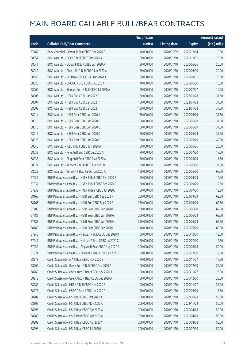|       |                                                            | No. of issue |                     |               | <b>Amount raised</b> |
|-------|------------------------------------------------------------|--------------|---------------------|---------------|----------------------|
| Code  | <b>Callable Bull/Bear Contracts</b>                        | (units)      | <b>Listing date</b> | <b>Expiry</b> | (HK\$ mil.)          |
| 57462 | Bank Vontobel - Xiaomi R Bear CBBC Dec 2020 C              | 40,000,000   | 2020/01/09          | 2020/12/04    | 10.00                |
| 58057 | BOCI Asia Ltd. - BOCL R Bull CBBC Dec 2020 A               | 80,000,000   | 2020/01/10          | 2020/12/31    | 20.00                |
| 58041 | BOCI Asia Ltd. - CC Bank R Bull CBBC Jun 2020 A            | 80,000,000   | 2020/01/10          | 2020/06/26    | 20.00                |
| 58049 | BOCI Asia Ltd. - China Life R Bull CBBC Jun 2020 A         | 80,000,000   | 2020/01/10          | 2020/06/30    | 20.00                |
| 58050 | BOCI Asia Ltd. - CM Bank R Bull CBBC Aug 2020 A            | 80,000,000   | 2020/01/10          | 2020/08/31    | 20.00                |
| 58036 | BOCI Asia Ltd. - CNOOC R Bull CBBC Jun 2020 A              | 40,000,000   | 2020/01/10          | 2020/06/30    | 10.00                |
| 58062 | BOCI Asia Ltd. - Sinopec Corp R Bull CBBC Jul 2020 A       | 40,000,000   | 2020/01/10          | 2020/07/27    | 10.00                |
| 58006 | BOCI Asia Ltd. - HSI R Bull CBBC Jan 2022 G                | 150,000,000  | 2020/01/10          | 2022/01/28    | 37.50                |
| 58007 | BOCI Asia Ltd. - HSI R Bull CBBC Jan 2022 H                | 150,000,000  | 2020/01/10          | 2022/01/28    | 37.50                |
| 58008 | BOCI Asia Ltd. - HSI R Bull CBBC Jan 2022 I                | 150,000,000  | 2020/01/10          | 2022/01/28    | 37.50                |
| 58014 | BOCI Asia Ltd. - HSI R Bear CBBC Jun 2020 A                | 150,000,000  | 2020/01/10          | 2020/06/29    | 37.50                |
| 58015 | BOCI Asia Ltd. - HSI R Bear CBBC Jun 2020 B                | 150,000,000  | 2020/01/10          | 2020/06/29    | 37.50                |
| 58016 | BOCI Asia Ltd. - HSI R Bear CBBC Jun 2020 C                | 150,000,000  | 2020/01/10          | 2020/06/29    | 37.50                |
| 58019 | BOCI Asia Ltd. - HSI R Bear CBBC Jun 2020 D                | 150,000,000  | 2020/01/10          | 2020/06/29    | 37.50                |
| 58026 | BOCI Asia Ltd. - HSI R Bear CBBC Jun 2020 E                | 150,000,000  | 2020/01/10          | 2020/06/29    | 42.00                |
| 58045 | BOCI Asia Ltd. - ICBC R Bull CBBC Jun 2020 A               | 80,000,000   | 2020/01/10          | 2020/06/26    | 20.00                |
| 58032 | BOCI Asia Ltd. - Ping An R Bull CBBC Jul 2020 A            | 70,000,000   | 2020/01/10          | 2020/07/30    | 17.50                |
| 58033 | BOCI Asia Ltd. - Ping An R Bear CBBC May 2020 A            | 70,000,000   | 2020/01/10          | 2020/05/29    | 17.50                |
| 58027 | BOCI Asia Ltd. - Tencent R Bull CBBC Jun 2020 B            | 150,000,000  | 2020/01/10          | 2020/06/30    | 37.50                |
| 58028 | BOCI Asia Ltd. - Tencent R Bear CBBC Jun 2020 A            | 150,000,000  | 2020/01/10          | 2020/06/30    | 67.50                |
| 57927 | BNP Paribas Issuance B.V. - HKEX R Bull CBBC Sep 2020 B    | 50,000,000   | 2020/01/10          | 2020/09/29    | 12.50                |
| 57932 | BNP Paribas Issuance B.V. - HKEX R Bull CBBC Sep 2020 C    | 50,000,000   | 2020/01/10          | 2020/09/29    | 12.50                |
| 57939 | BNP Paribas Issuance B.V. - HKEX R Bear CBBC Jul 2020 J    | 50,000,000   | 2020/01/10          | 2020/07/30    | 12.50                |
| 58165 | BNP Paribas Issuance B.V. - HSI R Bull CBBC Sep 2021 R     | 250,000,000  | 2020/01/10          | 2021/09/29    | 62.50                |
| 58166 | BNP Paribas Issuance B.V. - HSI R Bull CBBC Sep 2021 S     | 250,000,000  | 2020/01/10          | 2021/09/29    | 62.50                |
| 57780 | BNP Paribas Issuance B.V. - HSI R Bear CBBC Jun 2020 F     | 250,000,000  | 2020/01/10          | 2020/06/29    | 62.50                |
| 57782 | BNP Paribas Issuance B.V. - HSI R Bear CBBC Jun 2020 G     | 250,000,000  | 2020/01/10          | 2020/06/29    | 62.50                |
| 57783 | RNP Paribas Issuance B.V. - HSI R Bear CBBC Jun 2020 H     | 250,000,000  | 2020/01/10          | 2020/06/29    | 62.50                |
| 58169 | BNP Paribas Issuance B.V. - HSI R Bear CBBC Jun 2020 I     | 240,000,000  | 2020/01/10          | 2020/06/29    | 60.00                |
| 57940 | BNP Paribas Issuance B.V. - Meituan R Bull CBBC Dec 2020 R | 50,000,000   | 2020/01/10          | 2020/12/30    | 12.50                |
| 57947 | BNP Paribas Issuance B.V. - Meituan R Bear CBBC Jul 2020 C | 50,000,000   | 2020/01/10          | 2020/07/30    | 12.50                |
| 57952 | BNP Paribas Issuance B.V. - Ping An R Bear CBBC Aug 2020 A | 200,000,000  | 2020/01/10          | 2020/08/28    | 50.00                |
| 57924 | BNP Paribas Issuance B.V. - Tencent R Bear CBBC Dec 2020 T | 50,000,000   | 2020/01/10          | 2020/12/30    | 12.50                |
| 58278 | Credit Suisse AG - AIA R Bear CBBC Nov 2020 B              | 70,000,000   | 2020/01/10          | 2020/11/27    | 17.50                |
| 58262 | Credit Suisse AG - Geely Auto R Bull CBBC Dec 2020 A       | 100,000,000  | 2020/01/10          | 2020/12/30    | 25.00                |
| 58269 | Credit Suisse AG - Geely Auto R Bear CBBC Nov 2020 A       | 100,000,000  | 2020/01/10          | 2020/11/27    | 25.00                |
| 58272 | Credit Suisse AG - Geely Auto R Bear CBBC Dec 2020 A       | 100,000,000  | 2020/01/10          | 2020/12/30    | 25.00                |
| 58286 | Credit Suisse AG - HKEX R Bull CBBC Nov 2020 B             | 100,000,000  | 2020/01/10          | 2020/11/27    | 25.00                |
| 58277 | Credit Suisse AG - HSBC R Bear CBBC Jun 2020 A             | 70,000,000   | 2020/01/10          | 2020/06/29    | 17.50                |
| 58287 | Credit Suisse AG - HSI R Bull CBBC Oct 2022 A              | 200,000,000  | 2020/01/10          | 2022/10/28    | 50.00                |
| 58302 | Credit Suisse AG - HSI R Bull CBBC Nov 2022 A              | 200,000,000  | 2020/01/10          | 2022/11/29    | 50.00                |
| 58295 | Credit Suisse AG - HSI R Bear CBBC Apr 2020 A              | 200,000,000  | 2020/01/10          | 2020/04/28    | 50.00                |
| 58289 | Credit Suisse AG - HSI R Bear CBBC Apr 2020 Q              | 200,000,000  | 2020/01/10          | 2020/04/28    | 50.00                |
| 58292 | Credit Suisse AG - HSI R Bear CBBC Apr 2020 Y              | 200,000,000  | 2020/01/10          | 2020/04/28    | 50.00                |
| 58296 | Credit Suisse AG - HSI R Bear CBBC Jul 2020 L              | 200,000,000  | 2020/01/10          | 2020/07/30    | 50.00                |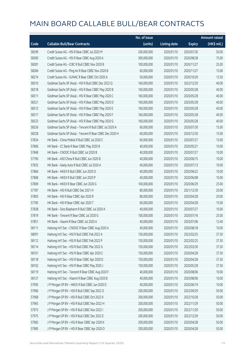|       |                                                          | No. of issue |                     |               | <b>Amount raised</b> |
|-------|----------------------------------------------------------|--------------|---------------------|---------------|----------------------|
| Code  | <b>Callable Bull/Bear Contracts</b>                      | (units)      | <b>Listing date</b> | <b>Expiry</b> | (HK\$ mil.)          |
| 58299 | Credit Suisse AG - HSI R Bear CBBC Jul 2020 M            | 200,000,000  | 2020/01/10          | 2020/07/30    | 50.00                |
| 58300 | Credit Suisse AG - HSI R Bear CBBC Aug 2020 A            | 300,000,000  | 2020/01/10          | 2020/08/28    | 75.00                |
| 58281 | Credit Suisse AG - ICBC R Bull CBBC Nov 2020 B           | 100,000,000  | 2020/01/10          | 2020/11/27    | 25.00                |
| 58284 | Credit Suisse AG - Ping An R Bear CBBC Nov 2020 B        | 60,000,000   | 2020/01/10          | 2020/11/27    | 15.00                |
| 58274 | Credit Suisse AG - SUNAC R Bear CBBC Oct 2020 A          | 50,000,000   | 2020/01/10          | 2020/10/29    | 12.50                |
| 58310 | Goldman Sachs SP (Asia) - HSI R Bull CBBC Dec 2022 Q     | 160,000,000  | 2020/01/10          | 2022/12/29    | 40.00                |
| 58318 | Goldman Sachs SP (Asia) - HSI R Bear CBBC May 2020 B     | 160,000,000  | 2020/01/10          | 2020/05/28    | 40.00                |
| 58311 | Goldman Sachs SP (Asia) - HSI R Bear CBBC May 2020 C     | 160,000,000  | 2020/01/10          | 2020/05/28    | 40.00                |
| 58321 | Goldman Sachs SP (Asia) - HSI R Bear CBBC May 2020 D     | 160,000,000  | 2020/01/10          | 2020/05/28    | 40.00                |
| 58312 | Goldman Sachs SP (Asia) - HSI R Bear CBBC May 2020 E     | 160,000,000  | 2020/01/10          | 2020/05/28    | 40.00                |
| 58317 | Goldman Sachs SP (Asia) - HSI R Bear CBBC May 2020 F     | 160,000,000  | 2020/01/10          | 2020/05/28    | 40.00                |
| 58323 | Goldman Sachs SP (Asia) - HSI R Bear CBBC May 2020 G     | 160,000,000  | 2020/01/10          | 2020/05/28    | 40.00                |
| 58326 | Goldman Sachs SP (Asia) - Tencent R Bull CBBC Jul 2020 A | 60,000,000   | 2020/01/10          | 2020/07/30    | 15.00                |
| 58328 | Goldman Sachs SP (Asia) - Tencent R Bear CBBC Dec 2020 H | 60,000,000   | 2020/01/10          | 2020/12/30    | 15.00                |
| 57834 | HK Bank - China Mobile R Bull CBBC Jul 2020 C            | 60,000,000   | 2020/01/10          | 2020/07/27    | 15.00                |
| 57806 | HK Bank - CC Bank R Bear CBBC May 2020 B                 | 40,000,000   | 2020/01/10          | 2020/05/21    | 10.00                |
| 57848 | HK Bank - CNOOC R Bull CBBC Jul 2020 B                   | 40,000,000   | 2020/01/10          | 2020/07/27    | 10.00                |
| 57790 | HK Bank - A50 China R Bull CBBC Jun 2020 B               | 40,000,000   | 2020/01/10          | 2020/06/15    | 10.00                |
| 57835 | HK Bank - Geely Auto R Bull CBBC Jul 2020 A              | 40,000,000   | 2020/01/10          | 2020/07/13    | 10.00                |
| 57866 | HK Bank - HKEX R Bull CBBC Jun 2020 O                    | 40,000,000   | 2020/01/10          | 2020/06/22    | 10.00                |
| 57868 | HK Bank - HKEX R Bull CBBC Jun 2020 P                    | 40,000,000   | 2020/01/10          | 2020/06/08    | 10.00                |
| 57809 | HK Bank - HKEX R Bear CBBC Jun 2020 G                    | 100,000,000  | 2020/01/10          | 2020/06/29    | 25.00                |
| 57787 | HK Bank - HSI R Bull CBBC Dec 2021 H                     | 80,000,000   | 2020/01/10          | 2021/12/30    | 20.00                |
| 57805 | HK Bank - HSI R Bear CBBC Apr 2020 R                     | 80,000,000   | 2020/01/10          | 2020/04/28    | 20.00                |
| 57785 | HK Bank - HSI R Bear CBBC Apr 2020 T                     | 60,000,000   | 2020/01/10          | 2020/04/28    | 15.00                |
| 57838 | HK Bank - Sino Biopharm R Bull CBBC Jul 2020 A           | 40,000,000   | 2020/01/10          | 2020/07/27    | 10.00                |
| 57819 | HK Bank - Tencent R Bear CBBC Jul 2020 G                 | 100,000,000  | 2020/01/10          | 2020/07/16    | 25.00                |
| 57851 | HK Bank - Xiaomi R Bear CBBC Jul 2020 A                  | 40,000,000   | 2020/01/10          | 2020/07/06    | 12.40                |
| 58111 | Haitong Int'l Sec - CNOOC R Bear CBBC Aug 2020 A         | 40,000,000   | 2020/01/10          | 2020/08/18    | 10.00                |
| 58091 | Haitong Int'l Sec - HSI R Bull CBBC Feb 2022 A           | 150,000,000  | 2020/01/10          | 2022/02/25    | 37.50                |
| 58112 | Haitong Int'l Sec - HSI R Bull CBBC Feb 2022 P           | 150,000,000  | 2020/01/10          | 2022/02/25    | 37.50                |
| 58114 | Haitong Int'l Sec - HSI R Bull CBBC Mar 2022 G           | 150,000,000  | 2020/01/10          | 2022/03/30    | 37.50                |
| 58101 | Haitong Int'l Sec - HSI R Bear CBBC Apr 2020 C           | 150,000,000  | 2020/01/10          | 2020/04/28    | 37.50                |
| 58118 | Haitong Int'l Sec - HSI R Bear CBBC Apr 2020 D           | 150,000,000  | 2020/01/10          | 2020/04/28    | 37.50                |
| 58102 | Haitong Int'l Sec - HSI R Bear CBBC May 2020 J           | 150,000,000  | 2020/01/10          | 2020/05/28    | 37.50                |
| 58119 | Haitong Int'l Sec - Tencent R Bear CBBC Aug 2020 F       | 40,000,000   | 2020/01/10          | 2020/08/06    | 10.00                |
| 58127 | Haitong Int'l Sec - Xiaomi R Bear CBBC Aug 2020 B        | 40,000,000   | 2020/01/10          | 2020/08/06    | 10.00                |
| 57995 | J P Morgan SP BV - HKEX R Bull CBBC Jun 2020 D           | 40,000,000   | 2020/01/10          | 2020/06/19    | 10.00                |
| 57966 | J P Morgan SP BV - HSI R Bull CBBC Sep 2022 O            | 200,000,000  | 2020/01/10          | 2022/09/29    | 50.00                |
| 57968 | J P Morgan SP BV - HSI R Bull CBBC Oct 2022 K            | 200,000,000  | 2020/01/10          | 2022/10/28    | 50.00                |
| 57965 | J P Morgan SP BV - HSI R Bull CBBC Nov 2022 H            | 200,000,000  | 2020/01/10          | 2022/11/29    | 50.00                |
| 57973 | J P Morgan SP BV - HSI R Bull CBBC Nov 2022 I            | 200,000,000  | 2020/01/10          | 2022/11/29    | 50.00                |
| 57975 | J P Morgan SP BV - HSI R Bull CBBC Dec 2022 E            | 200,000,000  | 2020/01/10          | 2022/12/29    | 50.00                |
| 57983 | J P Morgan SP BV - HSI R Bear CBBC Apr 2020 K            | 200,000,000  | 2020/01/10          | 2020/04/28    | 50.00                |
| 57985 | J P Morgan SP BV - HSI R Bear CBBC Apr 2020 O            | 200,000,000  | 2020/01/10          | 2020/04/28    | 50.00                |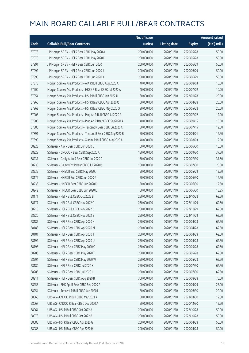|       |                                                              | No. of issue |                     |               | <b>Amount raised</b> |
|-------|--------------------------------------------------------------|--------------|---------------------|---------------|----------------------|
| Code  | <b>Callable Bull/Bear Contracts</b>                          | (units)      | <b>Listing date</b> | <b>Expiry</b> | (HK\$ mil.)          |
| 57978 | J P Morgan SP BV - HSI R Bear CBBC May 2020 A                | 200,000,000  | 2020/01/10          | 2020/05/28    | 50.00                |
| 57979 | J P Morgan SP BV - HSI R Bear CBBC May 2020 D                | 200,000,000  | 2020/01/10          | 2020/05/28    | 50.00                |
| 57991 | J P Morgan SP BV - HSI R Bear CBBC Jun 2020 I                | 200,000,000  | 2020/01/10          | 2020/06/29    | 50.00                |
| 57992 | J P Morgan SP BV - HSI R Bear CBBC Jun 2020 J                | 200,000,000  | 2020/01/10          | 2020/06/29    | 50.00                |
| 57998 | J P Morgan SP BV - HSI R Bear CBBC Jun 2020 K                | 200,000,000  | 2020/01/10          | 2020/06/29    | 50.00                |
| 57875 | Morgan Stanley Asia Products - AIA R Bull CBBC Aug 2020 A    | 40,000,000   | 2020/01/10          | 2020/08/03    | 10.00                |
| 57900 | Morgan Stanley Asia Products - HKEX R Bear CBBC Jul 2020 A   | 40,000,000   | 2020/01/10          | 2020/07/02    | 10.00                |
| 57954 | Morgan Stanley Asia Products - HSI R Bull CBBC Jan 2022 U    | 80,000,000   | 2020/01/10          | 2022/01/28    | 20.00                |
| 57960 | Morgan Stanley Asia Products - HSI R Bear CBBC Apr 2020 Q    | 80,000,000   | 2020/01/10          | 2020/04/28    | 20.00                |
| 57962 | Morgan Stanley Asia Products - HSI R Bear CBBC May 2020 Q    | 80,000,000   | 2020/01/10          | 2020/05/28    | 20.00                |
| 57908 | Morgan Stanley Asia Products - Ping An R Bull CBBC Jul2020 A | 48,000,000   | 2020/01/10          | 2020/07/02    | 12.00                |
| 57906 | Morgan Stanley Asia Products - Ping An R Bear CBBC Sep2020 A | 40,000,000   | 2020/01/10          | 2020/09/15    | 10.00                |
| 57880 | Morgan Stanley Asia Products - Tencent R Bear CBBC Jul2020 C | 50,000,000   | 2020/01/10          | 2020/07/15    | 12.50                |
| 57891 | Morgan Stanley Asia Products - Tencent R Bear CBBC Sep2020 B | 50,000,000   | 2020/01/10          | 2020/09/01    | 12.50                |
| 57899 | Morgan Stanley Asia Products - Xiaomi R Bull CBBC Aug 2020 A | 48,000,000   | 2020/01/10          | 2020/08/03    | 12.00                |
| 58223 | SG Issuer - AIA R Bear CBBC Jun 2020 D                       | 60,000,000   | 2020/01/10          | 2020/06/30    | 15.00                |
| 58228 | SG Issuer - CNOOC R Bear CBBC Sep 2020 A                     | 150,000,000  | 2020/01/10          | 2020/09/30    | 37.50                |
| 58231 | SG Issuer - Geely Auto R Bear CBBC Jul 2020 C                | 150,000,000  | 2020/01/10          | 2020/07/30    | 37.50                |
| 58230 | SG Issuer - Galaxy Ent R Bear CBBC Jul 2020 B                | 100,000,000  | 2020/01/10          | 2020/07/30    | 25.00                |
| 58235 | SG Issuer - HKEX R Bull CBBC May 2020 J                      | 50,000,000   | 2020/01/10          | 2020/05/29    | 12.50                |
| 58179 | SG Issuer - HKEX R Bull CBBC Jun 2020 G                      | 50,000,000   | 2020/01/10          | 2020/06/30    | 12.50                |
| 58238 | SG Issuer - HKEX R Bear CBBC Jun 2020 D                      | 50,000,000   | 2020/01/10          | 2020/06/30    | 12.50                |
| 58242 | SG Issuer - HKEX R Bear CBBC Jun 2020 E                      | 50,000,000   | 2020/01/10          | 2020/06/30    | 13.25                |
| 58171 | SG Issuer - HSI R Bull CBBC Oct 2022 B                       | 250,000,000  | 2020/01/10          | 2022/10/28    | 62.50                |
| 58177 | SG Issuer - HSI R Bull CBBC Nov 2022 C                       | 250,000,000  | 2020/01/10          | 2022/11/29    | 62.50                |
| 58215 | SG Issuer - HSI R Bull CBBC Nov 2022 D                       | 250,000,000  | 2020/01/10          | 2022/11/29    | 62.50                |
| 58220 | SG Issuer - HSI R Bull CBBC Nov 2022 E                       | 250,000,000  | 2020/01/10          | 2022/11/29    | 62.50                |
| 58187 | SG Issuer - HSI R Bear CBBC Apr 2020 K                       | 250,000,000  | 2020/01/10          | 2020/04/28    | 62.50                |
| 58188 | SG Issuer - HSI R Bear CBBC Apr 2020 M                       | 250,000,000  | 2020/01/10          | 2020/04/28    | 62.50                |
| 58181 | SG Issuer - HSI R Bear CBBC Apr 2020 T                       | 250,000,000  | 2020/01/10          | 2020/04/28    | 62.50                |
| 58192 | SG Issuer - HSI R Bear CBBC Apr 2020 U                       | 250,000,000  | 2020/01/10          | 2020/04/28    | 62.50                |
| 58198 | SG Issuer - HSI R Bear CBBC May 2020 O                       | 250,000,000  | 2020/01/10          | 2020/05/28    | 62.50                |
| 58203 | SG Issuer - HSI R Bear CBBC May 2020 T                       | 250,000,000  | 2020/01/10          | 2020/05/28    | 62.50                |
| 58204 | SG Issuer - HSI R Bear CBBC May 2020 W                       | 250,000,000  | 2020/01/10          | 2020/05/28    | 62.50                |
| 58180 | SG Issuer - HSI R Bear CBBC Jul 2020 K                       | 250,000,000  | 2020/01/10          | 2020/07/30    | 62.50                |
| 58206 | SG Issuer - HSI R Bear CBBC Jul 2020 L                       | 250,000,000  | 2020/01/10          | 2020/07/30    | 62.50                |
| 58211 | SG Issuer - HSI R Bear CBBC Aug 2020 B                       | 300,000,000  | 2020/01/10          | 2020/08/28    | 75.00                |
| 58253 | SG Issuer - SHK Ppt R Bear CBBC Sep 2020 A                   | 100,000,000  | 2020/01/10          | 2020/09/29    | 25.00                |
| 58254 | SG Issuer - Tencent R Bull CBBC Jun 2020 L                   | 80,000,000   | 2020/01/10          | 2020/06/30    | 20.00                |
| 58065 | UBS AG - CNOOC R Bull CBBC Mar 2021 A                        | 50,000,000   | 2020/01/10          | 2021/03/30    | 12.50                |
| 58067 | UBS AG - CNOOC R Bear CBBC Dec 2020 A                        | 50,000,000   | 2020/01/10          | 2020/12/30    | 12.50                |
| 58064 | UBS AG - HSI R Bull CBBC Oct 2022 A                          | 200,000,000  | 2020/01/10          | 2022/10/28    | 50.00                |
| 58078 | UBS AG - HSI R Bull CBBC Oct 2022 B                          | 200,000,000  | 2020/01/10          | 2022/10/28    | 50.00                |
| 58085 | UBS AG - HSI R Bear CBBC Apr 2020 G                          | 200,000,000  | 2020/01/10          | 2020/04/28    | 50.00                |
| 58088 | UBS AG - HSI R Bear CBBC Apr 2020 H                          | 200,000,000  | 2020/01/10          | 2020/04/28    | 50.00                |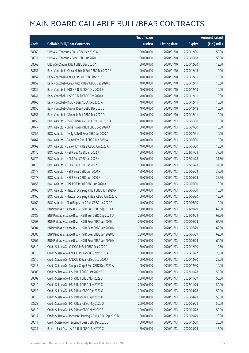|       |                                                            | No. of issue |                     |               | <b>Amount raised</b> |
|-------|------------------------------------------------------------|--------------|---------------------|---------------|----------------------|
| Code  | <b>Callable Bull/Bear Contracts</b>                        | (units)      | <b>Listing date</b> | <b>Expiry</b> | (HK\$ mil.)          |
| 58069 | UBS AG - Tencent R Bull CBBC Dec 2020 A                    | 200,000,000  | 2020/01/10          | 2020/12/30    | 50.00                |
| 58071 | UBS AG - Tencent R Bear CBBC Jun 2020 H                    | 200,000,000  | 2020/01/10          | 2020/06/08    | 50.00                |
| 58068 | UBS AG - Xiaomi R Bull CBBC Dec 2020 A                     | 50,000,000   | 2020/01/10          | 2020/12/30    | 12.50                |
| 58151 | Bank Vontobel - China Mobile R Bull CBBC Dec 2020 B        | 40,000,000   | 2020/01/10          | 2020/12/18    | 10.00                |
| 58152 | Bank Vontobel - CNOOC R Bull CBBC Dec 2020 C               | 40,000,000   | 2020/01/10          | 2020/12/11    | 10.00                |
| 58159 | Bank Vontobel - Geely Auto R Bear CBBC Dec 2020 B          | 40,000,000   | 2020/01/10          | 2020/12/11    | 10.00                |
| 58139 | Bank Vontobel - HKEX R Bull CBBC Dec 2020 B                | 40,000,000   | 2020/01/10          | 2020/12/18    | 10.00                |
| 58141 | Bank Vontobel - HSBC R Bull CBBC Dec 2020 A                | 40,000,000   | 2020/01/10          | 2020/12/11    | 10.00                |
| 58163 | Bank Vontobel - ICBC R Bear CBBC Dec 2020 A                | 40,000,000   | 2020/01/10          | 2020/12/11    | 10.00                |
| 58155 | Bank Vontobel - Xiaomi R Bull CBBC Dec 2020 C              | 40,000,000   | 2020/01/10          | 2020/12/18    | 10.00                |
| 58157 | Bank Vontobel - Xiaomi R Bull CBBC Dec 2020 D              | 40,000,000   | 2020/01/10          | 2020/12/11    | 10.00                |
| 58459 | BOCI Asia Ltd. - CSPC Pharma R Bull CBBC Jun 2020 A        | 40,000,000   | 2020/01/13          | 2020/06/30    | 10.00                |
| 58447 | BOCI Asia Ltd. - China Tower R Bull CBBC Sep 2020 A        | 60,000,000   | 2020/01/13          | 2020/09/30    | 15.00                |
| 58452 | BOCI Asia Ltd. - Geely Auto R Bear CBBC Jul 2020 A         | 40,000,000   | 2020/01/13          | 2020/07/31    | 10.00                |
| 58467 | BOCI Asia Ltd. - Galaxy Ent R Bull CBBC Jun 2020 A         | 40,000,000   | 2020/01/13          | 2020/06/30    | 10.00                |
| 58469 | BOCI Asia Ltd. - Galaxy Ent R Bear CBBC Jun 2020 A         | 40,000,000   | 2020/01/13          | 2020/06/30    | 10.00                |
| 58470 | BOCI Asia Ltd. - HSI R Bull CBBC Jan 2022 J                | 150,000,000  | 2020/01/13          | 2022/01/28    | 37.50                |
| 58472 | BOCI Asia Ltd. - HSI R Bull CBBC Jan 2022 K                | 150,000,000  | 2020/01/13          | 2022/01/28    | 37.50                |
| 58475 | BOCI Asia Ltd. - HSI R Bull CBBC Jan 2022 L                | 150,000,000  | 2020/01/13          | 2022/01/28    | 37.50                |
| 58477 | BOCI Asia Ltd. - HSI R Bear CBBC Jun 2020 F                | 150,000,000  | 2020/01/13          | 2020/06/29    | 37.50                |
| 58478 | BOCI Asia Ltd. - HSI R Bear CBBC Jun 2020 G                | 150,000,000  | 2020/01/13          | 2020/06/29    | 37.50                |
| 58453 | BOCI Asia Ltd. - Link REIT R Bull CBBC Jun 2020 A          | 40,000,000   | 2020/01/13          | 2020/06/30    | 10.00                |
| 58463 | BOCI Asia Ltd. - Meituan Dianping R Bull CBBC Jun 2020 A   | 60,000,000   | 2020/01/13          | 2020/06/30    | 15.00                |
| 58466 | BOCI Asia Ltd. - Meituan Dianping R Bear CBBC Jun 2020 A   | 60,000,000   | 2020/01/13          | 2020/06/30    | 15.00                |
| 58460 | BOCI Asia Ltd. - Sino Biopharm R Bull CBBC Jun 2020 A      | 40,000,000   | 2020/01/13          | 2020/06/30    | 10.00                |
| 58355 | BNP Paribas Issuance B.V. - HSI R Bull CBBC Sep 2021 T     | 250,000,000  | 2020/01/13          | 2021/09/29    | 62.50                |
| 58489 | BNP Paribas Issuance B.V. - HSI R Bull CBBC Sep 2021 U     | 250,000,000  | 2020/01/13          | 2021/09/29    | 62.50                |
| 58503 | BNP Paribas Issuance B.V. - HSLR Bear CBBC Jun 2020 J      | 250,000,000  | 2020/01/13          | 2020/06/29    | 62.50                |
| 58504 | BNP Paribas Issuance B.V. - HSI R Bear CBBC Jun 2020 K     | 250,000,000  | 2020/01/13          | 2020/06/29    | 62.50                |
| 58506 | BNP Paribas Issuance B.V. - HSI R Bear CBBC Jun 2020 L     | 250,000,000  | 2020/01/13          | 2020/06/29    | 62.50                |
| 58507 | BNP Paribas Issuance B.V. - HSI R Bear CBBC Jun 2020 M     | 240,000,000  | 2020/01/13          | 2020/06/29    | 60.00                |
| 58512 | Credit Suisse AG - CNOOC R Bull CBBC Dec 2020 A            | 50,000,000   | 2020/01/13          | 2020/12/30    | 12.50                |
| 58515 | Credit Suisse AG - CNOOC R Bear CBBC Nov 2020 A            | 100,000,000  | 2020/01/13          | 2020/11/27    | 25.00                |
| 58516 | Credit Suisse AG - CNOOC R Bear CBBC Dec 2020 A            | 100,000,000  | 2020/01/13          | 2020/12/30    | 25.00                |
| 58513 | Credit Suisse AG - Sinopec Corp R Bull CBBC Dec 2020 A     | 40,000,000   | 2020/01/13          | 2020/12/30    | 10.00                |
| 58508 | Credit Suisse AG - HSI R Bull CBBC Oct 2022 B              | 200,000,000  | 2020/01/13          | 2022/10/28    | 50.00                |
| 58509 | Credit Suisse AG - HSI R Bull CBBC Nov 2022 B              | 200,000,000  | 2020/01/13          | 2022/11/29    | 50.00                |
| 58510 | Credit Suisse AG - HSI R Bull CBBC Nov 2022 C              | 200,000,000  | 2020/01/13          | 2022/11/29    | 50.00                |
| 58522 | Credit Suisse AG - HSI R Bear CBBC Apr 2020 G              | 200,000,000  | 2020/01/13          | 2020/04/28    | 50.00                |
| 58518 | Credit Suisse AG - HSI R Bear CBBC Apr 2020 U              | 200,000,000  | 2020/01/13          | 2020/04/28    | 50.00                |
| 58523 | Credit Suisse AG - HSI R Bear CBBC May 2020 O              | 200,000,000  | 2020/01/13          | 2020/05/28    | 50.00                |
| 58519 | Credit Suisse AG - HSI R Bear CBBC May 2020 S              | 200,000,000  | 2020/01/13          | 2020/05/28    | 50.00                |
| 58517 | Credit Suisse AG - Meituan Dianping R Bull CBBC Sep 2020 B | 80,000,000   | 2020/01/13          | 2020/09/29    | 20.00                |
| 58511 | Credit Suisse AG - Tencent R Bear CBBC Dec 2020 E          | 100,000,000  | 2020/01/13          | 2020/12/30    | 25.00                |
| 58437 | Bank of East Asia - AIA R Bull CBBC May 2020 C             | 60,000,000   | 2020/01/13          | 2020/05/04    | 15.00                |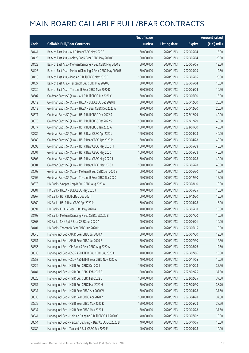|       |                                                             | No. of issue |                     |               | <b>Amount raised</b> |
|-------|-------------------------------------------------------------|--------------|---------------------|---------------|----------------------|
| Code  | <b>Callable Bull/Bear Contracts</b>                         | (units)      | <b>Listing date</b> | <b>Expiry</b> | (HK\$ mil.)          |
| 58441 | Bank of East Asia - AIA R Bear CBBC May 2020 B              | 60,000,000   | 2020/01/13          | 2020/05/04    | 15.00                |
| 58426 | Bank of East Asia - Galaxy Ent R Bear CBBC May 2020 C       | 80,000,000   | 2020/01/13          | 2020/05/04    | 20.00                |
| 58422 | Bank of East Asia - Meituan Dianping R Bull CBBC May 2020 B | 50,000,000   | 2020/01/13          | 2020/05/05    | 12.50                |
| 58425 | Bank of East Asia - Meituan Dianping R Bear CBBC May 2020 B | 50,000,000   | 2020/01/13          | 2020/05/05    | 12.50                |
| 58418 | Bank of East Asia - Ping An R Bull CBBC May 2020 F          | 100,000,000  | 2020/01/13          | 2020/05/05    | 25.00                |
| 58427 | Bank of East Asia - Tencent R Bull CBBC May 2020 G          | 30,000,000   | 2020/01/13          | 2020/05/04    | 10.50                |
| 58430 | Bank of East Asia - Tencent R Bear CBBC May 2020 D          | 30,000,000   | 2020/01/13          | 2020/05/04    | 10.50                |
| 58607 | Goldman Sachs SP (Asia) - AIA R Bull CBBC Jun 2020 C        | 60,000,000   | 2020/01/13          | 2020/06/30    | 15.00                |
| 58612 | Goldman Sachs SP (Asia) - HKEX R Bull CBBC Dec 2020 B       | 80,000,000   | 2020/01/13          | 2020/12/30    | 20.00                |
| 58613 | Goldman Sachs SP (Asia) - HKEX R Bear CBBC Dec 2020 A       | 80,000,000   | 2020/01/13          | 2020/12/30    | 20.00                |
| 58571 | Goldman Sachs SP (Asia) - HSI R Bull CBBC Dec 2022 R        | 160,000,000  | 2020/01/13          | 2022/12/29    | 40.00                |
| 58576 | Goldman Sachs SP (Asia) - HSI R Bull CBBC Dec 2022 S        | 160,000,000  | 2020/01/13          | 2022/12/29    | 40.00                |
| 58577 | Goldman Sachs SP (Asia) - HSI R Bull CBBC Jan 2023 A        | 160,000,000  | 2020/01/13          | 2023/01/30    | 40.00                |
| 58584 | Goldman Sachs SP (Asia) - HSI R Bear CBBC Apr 2020 J        | 160,000,000  | 2020/01/13          | 2020/04/28    | 40.00                |
| 58589 | Goldman Sachs SP (Asia) - HSI R Bear CBBC Apr 2020 M        | 160,000,000  | 2020/01/13          | 2020/04/28    | 40.00                |
| 58593 | Goldman Sachs SP (Asia) - HSI R Bear CBBC May 2020 H        | 160,000,000  | 2020/01/13          | 2020/05/28    | 40.00                |
| 58601 | Goldman Sachs SP (Asia) - HSI R Bear CBBC May 2020 I        | 160,000,000  | 2020/01/13          | 2020/05/28    | 40.00                |
| 58603 | Goldman Sachs SP (Asia) - HSI R Bear CBBC May 2020 J        | 160,000,000  | 2020/01/13          | 2020/05/28    | 40.00                |
| 58604 | Goldman Sachs SP (Asia) - HSI R Bear CBBC May 2020 K        | 160,000,000  | 2020/01/13          | 2020/05/28    | 40.00                |
| 58608 | Goldman Sachs SP (Asia) - Meituan R Bull CBBC Jun 2020 E    | 60,000,000   | 2020/01/13          | 2020/06/30    | 15.00                |
| 58605 | Goldman Sachs SP (Asia) - Tencent R Bear CBBC Dec 2020 I    | 60,000,000   | 2020/01/13          | 2020/12/30    | 15.00                |
| 58378 | HK Bank - Sinopec Corp R Bull CBBC Aug 2020 A               | 40,000,000   | 2020/01/13          | 2020/08/10    | 10.00                |
| 58381 | HK Bank - HKEX R Bull CBBC May 2020 J                       | 40,000,000   | 2020/01/13          | 2020/05/25    | 10.00                |
| 58367 | HK Bank - HSI R Bull CBBC Dec 2021 I                        | 60,000,000   | 2020/01/13          | 2021/12/30    | 15.00                |
| 58360 | HK Bank - HSI R Bear CBBC Apr 2020 M                        | 60,000,000   | 2020/01/13          | 2020/04/28    | 15.00                |
| 58391 | HK Bank - ICBC R Bear CBBC May 2020 A                       | 40,000,000   | 2020/01/13          | 2020/05/18    | 10.00                |
| 58408 | HK Bank - Meituan Dianping R Bull CBBC Jul 2020 B           | 40,000,000   | 2020/01/13          | 2020/07/20    | 10.00                |
| 58363 | HK Bank - SHK Ppt R Bear CBBC Jun 2020 A                    | 40,000,000   | 2020/01/13          | 2020/06/01    | 10.00                |
| 58401 | HK Bank - Tencent R Bear CBBC Jun 2020 M                    | 40,000,000   | 2020/01/13          | 2020/06/15    | 10.00                |
| 58546 | Haitong Int'l Sec - AIA R Bear CBBC Jul 2020 A              | 50,000,000   | 2020/01/13          | 2020/07/30    | 12.50                |
| 58551 | Haitong Int'l Sec - AIA R Bear CBBC Jul 2020 B              | 50,000,000   | 2020/01/13          | 2020/07/30    | 12.50                |
| 58556 | Haitong Int'l Sec - CM Bank R Bear CBBC Aug 2020 A          | 50,000,000   | 2020/01/13          | 2020/08/26    | 12.50                |
| 58538 | Haitong Int'l Sec - CSOP A50 ETF R Bull CBBC Jul 2020 A     | 40,000,000   | 2020/01/13          | 2020/07/06    | 10.00                |
| 58553 | Haitong Int'l Sec - CSOP A50 ETF R Bear CBBC Nov 2020 A     | 40,000,000   | 2020/01/13          | 2020/11/05    | 10.00                |
| 58524 | Haitong Int'l Sec - HSI R Bull CBBC Oct 2021 I              | 150,000,000  | 2020/01/13          | 2021/10/28    | 37.50                |
| 58481 | Haitong Int'l Sec - HSI R Bull CBBC Feb 2022 B              | 150,000,000  | 2020/01/13          | 2022/02/25    | 37.50                |
| 58525 | Haitong Int'l Sec - HSI R Bull CBBC Feb 2022 C              | 150,000,000  | 2020/01/13          | 2022/02/25    | 37.50                |
| 58557 | Haitong Int'l Sec - HSI R Bull CBBC Mar 2022 H              | 150,000,000  | 2020/01/13          | 2022/03/30    | 38.70                |
| 58531 | Haitong Int'l Sec - HSI R Bear CBBC Apr 2020 W              | 150,000,000  | 2020/01/13          | 2020/04/28    | 37.50                |
| 58536 | Haitong Int'l Sec - HSI R Bear CBBC Apr 2020 Y              | 150,000,000  | 2020/01/13          | 2020/04/28    | 37.50                |
| 58535 | Haitong Int'l Sec - HSI R Bear CBBC May 2020 K              | 150,000,000  | 2020/01/13          | 2020/05/28    | 37.50                |
| 58537 | Haitong Int'l Sec - HSI R Bear CBBC May 2020 L              | 150,000,000  | 2020/01/13          | 2020/05/28    | 37.50                |
| 58541 | Haitong Int'l Sec - Meituan Dianping R Bull CBBC Jul 2020 C | 40,000,000   | 2020/01/13          | 2020/07/02    | 10.00                |
| 58554 | Haitong Int'l Sec - Meituan Dianping R Bear CBBC Oct 2020 B | 40,000,000   | 2020/01/13          | 2020/10/05    | 10.00                |
| 58482 | Haitong Int'l Sec - Tencent R Bull CBBC Sep 2020 E          | 40,000,000   | 2020/01/13          | 2020/09/28    | 10.00                |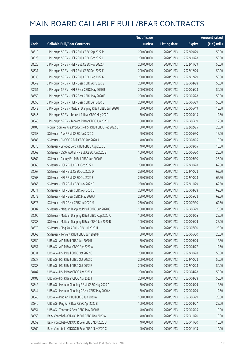|       |                                                            | No. of issue |                     |               | <b>Amount raised</b> |
|-------|------------------------------------------------------------|--------------|---------------------|---------------|----------------------|
| Code  | <b>Callable Bull/Bear Contracts</b>                        | (units)      | <b>Listing date</b> | <b>Expiry</b> | (HK\$ mil.)          |
| 58619 | J P Morgan SP BV - HSI R Bull CBBC Sep 2022 P              | 200,000,000  | 2020/01/13          | 2022/09/29    | 50.00                |
| 58623 | J P Morgan SP BV - HSI R Bull CBBC Oct 2022 L              | 200,000,000  | 2020/01/13          | 2022/10/28    | 50.00                |
| 58625 | J P Morgan SP BV - HSI R Bull CBBC Nov 2022 J              | 200,000,000  | 2020/01/13          | 2022/11/29    | 50.00                |
| 58631 | J P Morgan SP BV - HSI R Bull CBBC Dec 2022 F              | 200,000,000  | 2020/01/13          | 2022/12/29    | 50.00                |
| 58636 | JP Morgan SP BV - HSIR Bull CBBC Dec 2022 G                | 200,000,000  | 2020/01/13          | 2022/12/29    | 50.00                |
| 58649 | J P Morgan SP BV - HSI R Bear CBBC Apr 2020 S              | 200,000,000  | 2020/01/13          | 2020/04/28    | 50.00                |
| 58651 | J P Morgan SP BV - HSI R Bear CBBC May 2020 B              | 200,000,000  | 2020/01/13          | 2020/05/28    | 50.00                |
| 58650 | J P Morgan SP BV - HSI R Bear CBBC May 2020 E              | 200,000,000  | 2020/01/13          | 2020/05/28    | 50.00                |
| 58656 | J P Morgan SP BV - HSI R Bear CBBC Jun 2020 L              | 200,000,000  | 2020/01/13          | 2020/06/29    | 50.00                |
| 58642 | J P Morgan SP BV - Meituan Dianping R Bull CBBC Jun 2020 I | 60,000,000   | 2020/01/13          | 2020/06/19    | 15.00                |
| 58646 | J P Morgan SP BV - Tencent R Bear CBBC May 2020 L          | 50,000,000   | 2020/01/13          | 2020/05/15    | 12.50                |
| 58648 | J P Morgan SP BV - Tencent R Bear CBBC Jun 2020 J          | 50,000,000   | 2020/01/13          | 2020/06/19    | 12.50                |
| 58480 | Morgan Stanley Asia Products - HSI R Bull CBBC Feb 2022 Q  | 80,000,000   | 2020/01/13          | 2022/02/25    | 20.00                |
| 58658 | SG Issuer - AIA R Bull CBBC Jun 2020 C                     | 60,000,000   | 2020/01/13          | 2020/06/30    | 15.00                |
| 58685 | SG Issuer - CNOOC R Bull CBBC Aug 2020 A                   | 40,000,000   | 2020/01/13          | 2020/08/05    | 10.00                |
| 58676 | SG Issuer - Sinopec Corp R Bull CBBC Aug 2020 B            | 40,000,000   | 2020/01/13          | 2020/08/05    | 10.00                |
| 58669 | SG Issuer - CSOP A50 ETF R Bull CBBC Jun 2020 B            | 100,000,000  | 2020/01/13          | 2020/06/30    | 25.00                |
| 58662 | SG Issuer - Galaxy Ent R Bull CBBC Jun 2020 E              | 100,000,000  | 2020/01/13          | 2020/06/30    | 25.00                |
| 58665 | SG Issuer - HSI R Bull CBBC Oct 2022 C                     | 250,000,000  | 2020/01/13          | 2022/10/28    | 62.50                |
| 58667 | SG Issuer - HSI R Bull CBBC Oct 2022 D                     | 250,000,000  | 2020/01/13          | 2022/10/28    | 62.50                |
| 58668 | SG Issuer - HSI R Bull CBBC Oct 2022 E                     | 250,000,000  | 2020/01/13          | 2022/10/28    | 62.50                |
| 58666 | SG Issuer - HSI R Bull CBBC Nov 2022 F                     | 250,000,000  | 2020/01/13          | 2022/11/29    | 62.50                |
| 58671 | SG Issuer - HSI R Bear CBBC Apr 2020 G                     | 250,000,000  | 2020/01/13          | 2020/04/28    | 62.50                |
| 58672 | SG Issuer - HSI R Bear CBBC May 2020 X                     | 250,000,000  | 2020/01/13          | 2020/05/28    | 62.50                |
| 58673 | SG Issuer - HSI R Bear CBBC Jul 2020 M                     | 250,000,000  | 2020/01/13          | 2020/07/30    | 62.50                |
| 58687 | SG Issuer - Meituan Dianping R Bull CBBC Jun 2020 G        | 100,000,000  | 2020/01/13          | 2020/06/29    | 25.00                |
| 58690 | SG Issuer - Meituan Dianping R Bull CBBC Aug 2020 A        | 100,000,000  | 2020/01/13          | 2020/08/05    | 25.00                |
| 58688 | SG Issuer - Meituan Dianping R Bear CBBC Jun 2020 B        | 100,000,000  | 2020/01/13          | 2020/06/29    | 25.00                |
| 58670 | SG Issuer - Ping An R Bull CBBC Jul 2020 H                 | 100,000,000  | 2020/01/13          | 2020/07/30    | 25.00                |
| 58663 | SG Issuer - Tencent R Bull CBBC Jun 2020 M                 | 80,000,000   | 2020/01/13          | 2020/06/30    | 20.00                |
| 58350 | UBS AG - AIA R Bull CBBC Jun 2020 B                        | 50,000,000   | 2020/01/13          | 2020/06/29    | 12.50                |
| 58351 | UBS AG - AIA R Bear CBBC Apr 2020 A                        | 50,000,000   | 2020/01/13          | 2020/04/27    | 12.50                |
| 58334 | UBS AG - HSI R Bull CBBC Oct 2022 C                        | 200,000,000  | 2020/01/13          | 2022/10/28    | 50.00                |
| 58337 | UBS AG - HSI R Bull CBBC Oct 2022 D                        | 200,000,000  | 2020/01/13          | 2022/10/28    | 50.00                |
| 58488 | UBS AG - HSI R Bull CBBC Oct 2022 E                        | 200,000,000  | 2020/01/13          | 2022/10/28    | 50.00                |
| 58487 | UBS AG - HSI R Bear CBBC Apr 2020 C                        | 200,000,000  | 2020/01/13          | 2020/04/28    | 50.00                |
| 58483 | UBS AG - HSI R Bear CBBC Apr 2020 I                        | 200,000,000  | 2020/01/13          | 2020/04/28    | 50.00                |
| 58342 | UBS AG - Meituan Dianping R Bull CBBC May 2020 A           | 50,000,000   | 2020/01/13          | 2020/05/29    | 12.50                |
| 58344 | UBS AG - Meituan Dianping R Bear CBBC May 2020 A           | 50,000,000   | 2020/01/13          | 2020/05/29    | 12.50                |
| 58345 | UBS AG - Ping An R Bull CBBC Jun 2020 A                    | 100,000,000  | 2020/01/13          | 2020/06/29    | 25.00                |
| 58346 | UBS AG - Ping An R Bear CBBC Apr 2020 B                    | 100,000,000  | 2020/01/13          | 2020/04/27    | 25.00                |
| 58354 | UBS AG - Tencent R Bear CBBC May 2020 B                    | 40,000,000   | 2020/01/13          | 2020/05/05    | 10.00                |
| 58558 | Bank Vontobel - CNOOC R Bull CBBC Nov 2020 A               | 40,000,000   | 2020/01/13          | 2020/11/20    | 10.00                |
| 58559 | Bank Vontobel - CNOOC R Bear CBBC Nov 2020 B               | 40,000,000   | 2020/01/13          | 2020/11/20    | 10.00                |
| 58560 | Bank Vontobel - CNOOC R Bear CBBC Nov 2020 C               | 40,000,000   | 2020/01/13          | 2020/11/13    | 10.00                |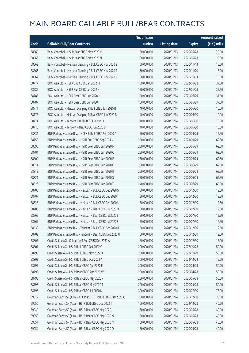|       |                                                              | No. of issue |                     |               | <b>Amount raised</b>  |
|-------|--------------------------------------------------------------|--------------|---------------------|---------------|-----------------------|
| Code  | <b>Callable Bull/Bear Contracts</b>                          | (units)      | <b>Listing date</b> | <b>Expiry</b> | $(HK\frac{1}{2}mil.)$ |
| 58569 | Bank Vontobel - HSI R Bear CBBC May 2020 M                   | 80,000,000   | 2020/01/13          | 2020/05/28    | 20.00                 |
| 58568 | Bank Vontobel - HSI R Bear CBBC May 2020 N                   | 80,000,000   | 2020/01/13          | 2020/05/28    | 20.00                 |
| 58562 | Bank Vontobel - Meituan Dianping R Bull CBBC Nov 2020 S      | 60,000,000   | 2020/01/13          | 2020/11/13    | 15.00                 |
| 58566 | Bank Vontobel - Meituan Dianping R Bull CBBC Nov 2020 T      | 60,000,000   | 2020/01/13          | 2020/11/20    | 15.00                 |
| 58567 | Bank Vontobel - Meituan Dianping R Bull CBBC Nov 2020 U      | 60,000,000   | 2020/01/13          | 2020/11/13    | 15.00                 |
| 58777 | BOCI Asia Ltd. - HSI R Bull CBBC Jan 2022 M                  | 150,000,000  | 2020/01/14          | 2022/01/28    | 37.50                 |
| 58786 | BOCI Asia Ltd. - HSI R Bull CBBC Jan 2022 N                  | 150,000,000  | 2020/01/14          | 2022/01/28    | 37.50                 |
| 58785 | BOCI Asia Ltd. - HSI R Bear CBBC Jun 2020 H                  | 150,000,000  | 2020/01/14          | 2020/06/29    | 37.50                 |
| 58787 | BOCI Asia Ltd. - HSI R Bear CBBC Jun 2020 I                  | 150,000,000  | 2020/01/14          | 2020/06/29    | 37.50                 |
| 58771 | BOCI Asia Ltd. - Meituan Dianping R Bull CBBC Jun 2020 B     | 40,000,000   | 2020/01/14          | 2020/06/30    | 10.00                 |
| 58773 | BOCI Asia Ltd. - Meituan Dianping R Bear CBBC Jun 2020 B     | 40,000,000   | 2020/01/14          | 2020/06/30    | 10.00                 |
| 58774 | BOCI Asia Ltd. - Tencent R Bull CBBC Jun 2020 C              | 40,000,000   | 2020/01/14          | 2020/06/30    | 10.00                 |
| 58776 | BOCI Asia Ltd. - Tencent R Bear CBBC Jun 2020 B              | 40,000,000   | 2020/01/14          | 2020/06/30    | 10.00                 |
| 58831 | BNP Paribas Issuance B.V. - HKEX R Bull CBBC Sep 2020 A      | 50,000,000   | 2020/01/14          | 2020/09/29    | 12.50                 |
| 58758 | BNP Paribas Issuance B.V. - HSI R Bull CBBC Sep 2021 V       | 250,000,000  | 2020/01/14          | 2021/09/29    | 62.50                 |
| 58695 | BNP Paribas Issuance B.V. - HSI R Bear CBBC Jun 2020 N       | 250,000,000  | 2020/01/14          | 2020/06/29    | 62.50                 |
| 58701 | BNP Paribas Issuance B.V. - HSI R Bear CBBC Jun 2020 O       | 250,000,000  | 2020/01/14          | 2020/06/29    | 62.50                 |
| 58809 | BNP Paribas Issuance B.V. - HSI R Bear CBBC Jun 2020 P       | 250,000,000  | 2020/01/14          | 2020/06/29    | 62.50                 |
| 58814 | BNP Paribas Issuance B.V. - HSI R Bear CBBC Jun 2020 Q       | 250,000,000  | 2020/01/14          | 2020/06/29    | 62.50                 |
| 58818 | BNP Paribas Issuance B.V. - HSI R Bear CBBC Jun 2020 R       | 250,000,000  | 2020/01/14          | 2020/06/29    | 62.50                 |
| 58821 | BNP Paribas Issuance B.V. - HSI R Bear CBBC Jun 2020 S       | 250,000,000  | 2020/01/14          | 2020/06/29    | 62.50                 |
| 58823 | BNP Paribas Issuance B.V. - HSI R Bear CBBC Jun 2020 T       | 240,000,000  | 2020/01/14          | 2020/06/29    | 60.00                 |
| 58705 | BNP Paribas Issuance B.V. - Meituan R Bull CBBC Dec 2020 S   | 50,000,000   | 2020/01/14          | 2020/12/30    | 12.50                 |
| 58707 | BNP Paribas Issuance B.V. - Meituan R Bull CBBC Dec 2020 T   | 50,000,000   | 2020/01/14          | 2020/12/30    | 12.50                 |
| 58825 | BNP Paribas Issuance B.V. - Meituan R Bull CBBC Dec 2020 U   | 50,000,000   | 2020/01/14          | 2020/12/30    | 12.50                 |
| 58703 | BNP Paribas Issuance B.V. - Meituan R Bear CBBC Jul 2020 D   | 50,000,000   | 2020/01/14          | 2020/07/30    | 12.50                 |
| 58762 | BNP Paribas Issuance B.V. - Meituan R Bear CBBC Jul 2020 E   | 50,000,000   | 2020/01/14          | 2020/07/30    | 12.50                 |
| 58767 | BNP Paribas Issuance B.V. - Meituan R Bear CBBC Jul 2020 F   | 50,000,000   | 2020/01/14          | 2020/07/30    | 12.50                 |
| 58830 | BNP Paribas Issuance B.V. - Tencent R Bull CBBC Dec 2020 R   | 50,000,000   | 2020/01/14          | 2020/12/30    | 12.50                 |
| 58702 | BNP Paribas Issuance B.V. - Tencent R Bear CBBC Dec 2020 U   | 50,000,000   | 2020/01/14          | 2020/12/30    | 12.50                 |
| 58805 | Credit Suisse AG - China Life R Bull CBBC Dec 2020 A         | 60,000,000   | 2020/01/14          | 2020/12/30    | 15.00                 |
| 58807 | Credit Suisse AG - HSI R Bull CBBC Oct 2022 C                | 200,000,000  | 2020/01/14          | 2022/10/28    | 50.00                 |
| 58799 | Credit Suisse AG - HSI R Bull CBBC Nov 2022 D                | 200,000,000  | 2020/01/14          | 2022/11/29    | 50.00                 |
| 58803 | Credit Suisse AG - HSI R Bull CBBC Dec 2022 A                | 300,000,000  | 2020/01/14          | 2022/12/29    | 75.00                 |
| 58797 | Credit Suisse AG - HSI R Bear CBBC Apr 2020 F                | 200,000,000  | 2020/01/14          | 2020/04/28    | 50.00                 |
| 58795 | Credit Suisse AG - HSI R Bear CBBC Apr 2020 W                | 200,000,000  | 2020/01/14          | 2020/04/28    | 50.00                 |
| 58793 | Credit Suisse AG - HSI R Bear CBBC May 2020 P                | 200,000,000  | 2020/01/14          | 2020/05/28    | 50.00                 |
| 58798 | Credit Suisse AG - HSI R Bear CBBC May 2020 T                | 200,000,000  | 2020/01/14          | 2020/05/28    | 50.00                 |
| 58796 | Credit Suisse AG - HSI R Bear CBBC Jul 2020 N                | 300,000,000  | 2020/01/14          | 2020/07/30    | 75.00                 |
| 59072 | Goldman Sachs SP (Asia) - CSOP A50 ETF R Bull CBBC Dec2020 A | 80,000,000   | 2020/01/14          | 2020/12/30    | 20.00                 |
| 59056 | Goldman Sachs SP (Asia) - HSI R Bull CBBC Dec 2022 T         | 160,000,000  | 2020/01/14          | 2022/12/29    | 40.00                 |
| 59049 | Goldman Sachs SP (Asia) - HSI R Bear CBBC May 2020 L         | 160,000,000  | 2020/01/14          | 2020/05/28    | 40.00                 |
| 59050 | Goldman Sachs SP (Asia) - HSI R Bear CBBC May 2020 M         | 160,000,000  | 2020/01/14          | 2020/05/28    | 40.00                 |
| 59051 | Goldman Sachs SP (Asia) - HSI R Bear CBBC May 2020 N         | 160,000,000  | 2020/01/14          | 2020/05/28    | 40.00                 |
| 59054 | Goldman Sachs SP (Asia) - HSI R Bear CBBC May 2020 O         | 160,000,000  | 2020/01/14          | 2020/05/28    | 40.00                 |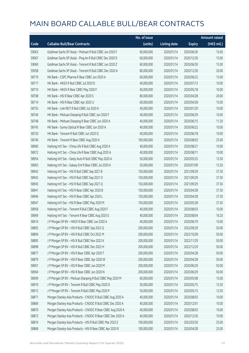|       |                                                             | No. of issue |                     |               | <b>Amount raised</b>  |
|-------|-------------------------------------------------------------|--------------|---------------------|---------------|-----------------------|
| Code  | <b>Callable Bull/Bear Contracts</b>                         | (units)      | <b>Listing date</b> | <b>Expiry</b> | $(HK\frac{1}{2}mil.)$ |
| 59063 | Goldman Sachs SP (Asia) - Meituan R Bull CBBC Jun 2020 F    | 60,000,000   | 2020/01/14          | 2020/06/30    | 15.00                 |
| 59067 | Goldman Sachs SP (Asia) - Ping An R Bull CBBC Dec 2020 D    | 60,000,000   | 2020/01/14          | 2020/12/30    | 15.00                 |
| 59060 | Goldman Sachs SP (Asia) - Tencent R Bull CBBC Jun 2020 Z    | 60,000,000   | 2020/01/14          | 2020/06/30    | 15.00                 |
| 59058 | Goldman Sachs SP (Asia) - Tencent R Bull CBBC Dec 2020 A    | 80,000,000   | 2020/01/14          | 2020/12/30    | 20.00                 |
| 58719 | HK Bank - CSPC Pharma R Bear CBBC Jun 2020 A                | 60,000,000   | 2020/01/14          | 2020/06/22    | 15.00                 |
| 58717 | HK Bank - HKEX R Bull CBBC Jul 2020 D                       | 40,000,000   | 2020/01/14          | 2020/07/13    | 10.00                 |
| 58710 | HK Bank - HKEX R Bear CBBC May 2020 F                       | 40,000,000   | 2020/01/14          | 2020/05/18    | 10.00                 |
| 58708 | HK Bank - HSI R Bear CBBC Apr 2020 S                        | 80,000,000   | 2020/01/14          | 2020/04/28    | 20.00                 |
| 58714 | HK Bank - HSI R Bear CBBC Apr 2020 U                        | 60,000,000   | 2020/01/14          | 2020/04/28    | 15.00                 |
| 58755 | HK Bank - Link REIT R Bull CBBC Jul 2020 A                  | 40,000,000   | 2020/01/14          | 2020/07/20    | 10.00                 |
| 58746 | HK Bank - Meituan Dianping R Bull CBBC Jun 2020 F           | 40,000,000   | 2020/01/14          | 2020/06/29    | 10.00                 |
| 58748 | HK Bank - Meituan Dianping R Bear CBBC Jun 2020 A           | 40,000,000   | 2020/01/14          | 2020/06/15    | 11.20                 |
| 58745 | HK Bank - Sunny Optical R Bear CBBC Jun 2020 A              | 40,000,000   | 2020/01/14          | 2020/06/22    | 10.00                 |
| 58720 | HK Bank - Tencent R Bull CBBC Jun 2020 Q                    | 40,000,000   | 2020/01/14          | 2020/06/18    | 10.00                 |
| 58740 | HK Bank - Tencent R Bear CBBC Aug 2020 A                    | 100,000,000  | 2020/01/14          | 2020/08/03    | 25.00                 |
| 58960 | Haitong Int'l Sec - China Life R Bull CBBC Aug 2020 A       | 40,000,000   | 2020/01/14          | 2020/08/21    | 10.00                 |
| 58972 | Haitong Int'l Sec - China Life R Bear CBBC Aug 2020 A       | 40,000,000   | 2020/01/14          | 2020/08/11    | 10.00                 |
| 58954 | Haitong Int'l Sec - Geely Auto R Bull CBBC May 2020 A       | 50,000,000   | 2020/01/14          | 2020/05/25    | 12.50                 |
| 58963 | Haitong Int'l Sec - Galaxy Ent R Bear CBBC Jul 2020 A       | 50,000,000   | 2020/01/14          | 2020/07/09    | 12.50                 |
| 58943 | Haitong Int'l Sec - HSI R Bull CBBC Sep 2021 B              | 150,000,000  | 2020/01/14          | 2021/09/29    | 37.50                 |
| 58942 | Haitong Int'l Sec - HSI R Bull CBBC Sep 2021 O              | 150,000,000  | 2020/01/14          | 2021/09/29    | 37.50                 |
| 58945 | Haitong Int'l Sec - HSI R Bull CBBC Sep 2021 Q              | 150,000,000  | 2020/01/14          | 2021/09/29    | 37.50                 |
| 58941 | Haitong Int'l Sec - HSI R Bear CBBC Apr 2020 B              | 150,000,000  | 2020/01/14          | 2020/04/28    | 37.50                 |
| 58946 | Haitong Int'l Sec - HSI R Bear CBBC Apr 2020 L              | 150,000,000  | 2020/01/14          | 2020/04/28    | 37.50                 |
| 58947 | Haitong Int'l Sec - HSI R Bear CBBC May 2020 M              | 150,000,000  | 2020/01/14          | 2020/05/28    | 37.50                 |
| 58958 | Haitong Int'l Sec - Tencent R Bull CBBC Aug 2020 F          | 40,000,000   | 2020/01/14          | 2020/08/03    | 10.00                 |
| 58969 | Haitong Int'l Sec - Tencent R Bear CBBC Aug 2020 G          | 40,000,000   | 2020/01/14          | 2020/08/04    | 16.20                 |
| 58914 | J P Morgan SP BV - HKEX R Bear CBBC Jun 2020 A              | 40,000,000   | 2020/01/14          | 2020/06/19    | 10.00                 |
| 58892 | J P Morgan SP BV - HSI R Bull CBBC Sep 2022 Q               | 200,000,000  | 2020/01/14          | 2022/09/29    | 50.00                 |
| 58894 | J P Morgan SP BV - HSI R Bull CBBC Oct 2022 M               | 200,000,000  | 2020/01/14          | 2022/10/28    | 50.00                 |
| 58895 | J P Morgan SP BV - HSI R Bull CBBC Nov 2022 K               | 200,000,000  | 2020/01/14          | 2022/11/29    | 50.00                 |
| 58898 | J P Morgan SP BV - HSI R Bull CBBC Dec 2022 H               | 200,000,000  | 2020/01/14          | 2022/12/29    | 50.00                 |
| 58877 | J P Morgan SP BV - HSI R Bear CBBC Apr 2020 T               | 200,000,000  | 2020/01/14          | 2020/04/28    | 50.00                 |
| 58879 | J P Morgan SP BV - HSI R Bear CBBC Apr 2020 W               | 200,000,000  | 2020/01/14          | 2020/04/28    | 50.00                 |
| 58901 | J P Morgan SP BV - HSI R Bear CBBC Jun 2020 M               | 200,000,000  | 2020/01/14          | 2020/06/29    | 50.00                 |
| 58904 | J P Morgan SP BV - HSI R Bear CBBC Jun 2020 N               | 200,000,000  | 2020/01/14          | 2020/06/29    | 50.00                 |
| 58909 | J P Morgan SP BV - Meituan Dianping R Bull CBBC May 2020 M  | 60,000,000   | 2020/01/14          | 2020/05/08    | 15.00                 |
| 58910 | J P Morgan SP BV - Tencent R Bull CBBC May 2020 O           | 50,000,000   | 2020/01/14          | 2020/05/15    | 12.50                 |
| 58912 | J P Morgan SP BV - Tencent R Bull CBBC May 2020 P           | 50,000,000   | 2020/01/14          | 2020/05/15    | 12.50                 |
| 58871 | Morgan Stanley Asia Products - CNOOC R Bull CBBC Aug 2020 A | 40,000,000   | 2020/01/14          | 2020/08/03    | 10.00                 |
| 58869 | Morgan Stanley Asia Products - CNOOC R Bull CBBC Dec 2020 A | 40,000,000   | 2020/01/14          | 2020/12/01    | 10.00                 |
| 58870 | Morgan Stanley Asia Products - CNOOC R Bear CBBC Aug 2020 A | 40,000,000   | 2020/01/14          | 2020/08/03    | 10.00                 |
| 58873 | Morgan Stanley Asia Products - CNOOC R Bear CBBC Dec 2020 A | 40,000,000   | 2020/01/14          | 2020/12/30    | 10.00                 |
| 58874 | Morgan Stanley Asia Products - HSI R Bull CBBC Mar 2022 E   | 100,000,000  | 2020/01/14          | 2022/03/30    | 25.00                 |
| 58868 | Morgan Stanley Asia Products - HSI R Bear CBBC Apr 2020 R   | 100,000,000  | 2020/01/14          | 2020/04/28    | 25.00                 |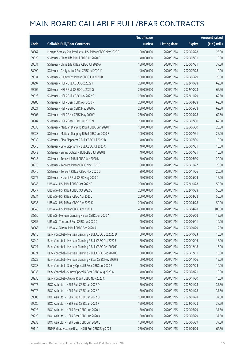|       |                                                           | No. of issue |                     |               | <b>Amount raised</b> |
|-------|-----------------------------------------------------------|--------------|---------------------|---------------|----------------------|
| Code  | <b>Callable Bull/Bear Contracts</b>                       | (units)      | <b>Listing date</b> | <b>Expiry</b> | (HK\$ mil.)          |
| 58867 | Morgan Stanley Asia Products - HSI R Bear CBBC May 2020 R | 100,000,000  | 2020/01/14          | 2020/05/28    | 25.00                |
| 59028 | SG Issuer - China Life R Bull CBBC Jul 2020 E             | 40,000,000   | 2020/01/14          | 2020/07/31    | 10.00                |
| 59031 | SG Issuer - China Life R Bear CBBC Jul 2020 A             | 150,000,000  | 2020/01/14          | 2020/07/31    | 37.50                |
| 58990 | SG Issuer - Geely Auto R Bull CBBC Jul 2020 M             | 40,000,000   | 2020/01/14          | 2020/07/28    | 10.00                |
| 59034 | SG Issuer - Galaxy Ent R Bear CBBC Jun 2020 B             | 100,000,000  | 2020/01/14          | 2020/06/29    | 25.00                |
| 58997 | SG Issuer - HSI R Bull CBBC Oct 2022 F                    | 250,000,000  | 2020/01/14          | 2022/10/28    | 62.50                |
| 59002 | SG Issuer - HSI R Bull CBBC Oct 2022 G                    | 250,000,000  | 2020/01/14          | 2022/10/28    | 62.50                |
| 59023 | SG Issuer - HSI R Bull CBBC Nov 2022 G                    | 250,000,000  | 2020/01/14          | 2022/11/29    | 62.50                |
| 58986 | SG Issuer - HSI R Bear CBBC Apr 2020 X                    | 250,000,000  | 2020/01/14          | 2020/04/28    | 62.50                |
| 59021 | SG Issuer - HSI R Bear CBBC May 2020 C                    | 250,000,000  | 2020/01/14          | 2020/05/28    | 62.50                |
| 59003 | SG Issuer - HSI R Bear CBBC May 2020 Y                    | 250,000,000  | 2020/01/14          | 2020/05/28    | 62.50                |
| 58987 | SG Issuer - HSI R Bear CBBC Jul 2020 N                    | 250,000,000  | 2020/01/14          | 2020/07/30    | 62.50                |
| 59035 | SG Issuer - Meituan Dianping R Bull CBBC Jun 2020 H       | 100,000,000  | 2020/01/14          | 2020/06/30    | 25.00                |
| 59038 | SG Issuer - Meituan Dianping R Bull CBBC Jul 2020 F       | 100,000,000  | 2020/01/14          | 2020/07/31    | 25.00                |
| 59039 | SG Issuer - Sino Biopharm R Bull CBBC Jul 2020 B          | 40,000,000   | 2020/01/14          | 2020/07/30    | 10.00                |
| 59040 | SG Issuer - Sino Biopharm R Bull CBBC Jul 2020 C          | 40,000,000   | 2020/01/14          | 2020/07/31    | 10.00                |
| 59042 | SG Issuer - Sunny Optical R Bull CBBC Jul 2020 B          | 40,000,000   | 2020/01/14          | 2020/07/31    | 10.00                |
| 59043 | SG Issuer - Tencent R Bull CBBC Jun 2020 N                | 80,000,000   | 2020/01/14          | 2020/06/30    | 20.00                |
| 58976 | SG Issuer - Tencent R Bear CBBC Nov 2020 F                | 80,000,000   | 2020/01/14          | 2020/11/27    | 20.00                |
| 59046 | SG Issuer - Tencent R Bear CBBC Nov 2020 G                | 80,000,000   | 2020/01/14          | 2020/11/26    | 20.00                |
| 58977 | SG Issuer - Xiaomi R Bull CBBC May 2020 C                 | 60,000,000   | 2020/01/14          | 2020/05/29    | 15.00                |
| 58846 | UBS AG - HSI R Bull CBBC Oct 2022 F                       | 200,000,000  | 2020/01/14          | 2022/10/28    | 50.00                |
| 58847 | UBS AG - HSI R Bull CBBC Oct 2022 G                       | 200,000,000  | 2020/01/14          | 2022/10/28    | 50.00                |
| 58834 | UBS AG - HSI R Bear CBBC Apr 2020 J                       | 200,000,000  | 2020/01/14          | 2020/04/28    | 50.00                |
| 58835 | UBS AG - HSI R Bear CBBC Apr 2020 K                       | 200,000,000  | 2020/01/14          | 2020/04/28    | 50.00                |
| 58848 | UBS AG - HSI R Bear CBBC Apr 2020 L                       | 400,000,000  | 2020/01/14          | 2020/04/28    | 100.00               |
| 58850 | UBS AG - Meituan Dianping R Bear CBBC Jun 2020 A          | 50,000,000   | 2020/01/14          | 2020/06/08    | 12.50                |
| 58855 | UBS AG - Tencent R Bull CBBC Jun 2020 G                   | 40,000,000   | 2020/01/14          | 2020/06/11    | 10.00                |
| 58863 | UBS AG - Xiaomi R Bull CBBC Sep 2020 A                    | 50,000,000   | 2020/01/14          | 2020/09/29    | 12.50                |
| 58916 | Bank Vontobel - Meituan Dianping R Bull CBBC Oct 2020 D   | 60,000,000   | 2020/01/14          | 2020/10/23    | 15.00                |
| 58940 | Bank Vontobel - Meituan Dianping R Bull CBBC Oct 2020 E   | 60,000,000   | 2020/01/14          | 2020/10/16    | 15.00                |
| 58921 | Bank Vontobel - Meituan Dianping R Bull CBBC Dec 2020 F   | 60,000,000   | 2020/01/14          | 2020/12/18    | 15.00                |
| 58924 | Bank Vontobel - Meituan Dianping R Bull CBBC Dec 2020 G   | 60,000,000   | 2020/01/14          | 2020/12/11    | 15.00                |
| 58929 | Bank Vontobel - Meituan Dianping R Bear CBBC Nov 2020 B   | 60,000,000   | 2020/01/14          | 2020/11/06    | 15.00                |
| 58938 | Bank Vontobel - Sunny Optical R Bear CBBC Jul 2020 E      | 40,000,000   | 2020/01/14          | 2020/07/24    | 10.00                |
| 58936 | Bank Vontobel - Sunny Optical R Bear CBBC Aug 2020 A      | 40,000,000   | 2020/01/14          | 2020/08/21    | 10.00                |
| 58930 | Bank Vontobel - Xiaomi R Bull CBBC Nov 2020 C             | 40,000,000   | 2020/01/14          | 2020/11/20    | 10.00                |
| 59075 | BOCI Asia Ltd. - HSI R Bull CBBC Jan 2022 O               | 150,000,000  | 2020/01/15          | 2022/01/28    | 37.50                |
| 59078 | BOCI Asia Ltd. - HSI R Bull CBBC Jan 2022 P               | 150,000,000  | 2020/01/15          | 2022/01/28    | 37.50                |
| 59083 | BOCI Asia Ltd. - HSI R Bull CBBC Jan 2022 Q               | 150,000,000  | 2020/01/15          | 2022/01/28    | 37.50                |
| 59086 | BOCI Asia Ltd. - HSI R Bull CBBC Jan 2022 R               | 150,000,000  | 2020/01/15          | 2022/01/28    | 37.50                |
| 59228 | BOCI Asia Ltd. - HSI R Bear CBBC Jun 2020 J               | 150,000,000  | 2020/01/15          | 2020/06/29    | 37.50                |
| 59229 | BOCI Asia Ltd. - HSI R Bear CBBC Jun 2020 K               | 150,000,000  | 2020/01/15          | 2020/06/29    | 37.50                |
| 59233 | BOCI Asia Ltd. - HSI R Bear CBBC Jun 2020 L               | 150,000,000  | 2020/01/15          | 2020/06/29    | 37.50                |
| 59110 | BNP Paribas Issuance B.V. - HSI R Bull CBBC Sep 2021 I    | 250,000,000  | 2020/01/15          | 2021/09/29    | 62.50                |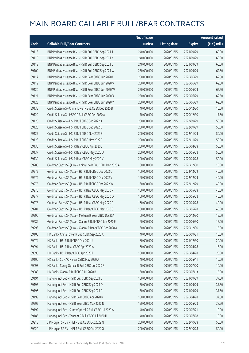|       |                                                             | No. of issue |                     |               | <b>Amount raised</b>  |
|-------|-------------------------------------------------------------|--------------|---------------------|---------------|-----------------------|
| Code  | <b>Callable Bull/Bear Contracts</b>                         | (units)      | <b>Listing date</b> | <b>Expiry</b> | $(HK\frac{1}{2}mil.)$ |
| 59113 | BNP Paribas Issuance B.V. - HSI R Bull CBBC Sep 2021 J      | 240,000,000  | 2020/01/15          | 2021/09/29    | 60.00                 |
| 59115 | BNP Paribas Issuance B.V. - HSI R Bull CBBC Sep 2021 K      | 240,000,000  | 2020/01/15          | 2021/09/29    | 60.00                 |
| 59118 | BNP Paribas Issuance B.V. - HSI R Bull CBBC Sep 2021 L      | 240,000,000  | 2020/01/15          | 2021/09/29    | 60.00                 |
| 59109 | BNP Paribas Issuance B.V. - HSI R Bull CBBC Sep 2021 W      | 250,000,000  | 2020/01/15          | 2021/09/29    | 62.50                 |
| 59117 | BNP Paribas Issuance B.V. - HSI R Bear CBBC Jun 2020 U      | 250,000,000  | 2020/01/15          | 2020/06/29    | 62.50                 |
| 59119 | BNP Paribas Issuance B.V. - HSI R Bear CBBC Jun 2020 V      | 250,000,000  | 2020/01/15          | 2020/06/29    | 62.50                 |
| 59120 | BNP Paribas Issuance B.V. - HSI R Bear CBBC Jun 2020 W      | 250,000,000  | 2020/01/15          | 2020/06/29    | 62.50                 |
| 59121 | BNP Paribas Issuance B.V. - HSI R Bear CBBC Jun 2020 X      | 250,000,000  | 2020/01/15          | 2020/06/29    | 62.50                 |
| 59123 | BNP Paribas Issuance B.V. - HSI R Bear CBBC Jun 2020 Y      | 250,000,000  | 2020/01/15          | 2020/06/29    | 62.50                 |
| 59135 | Credit Suisse AG - China Tower R Bull CBBC Dec 2020 B       | 40,000,000   | 2020/01/15          | 2020/12/30    | 10.00                 |
| 59129 | Credit Suisse AG - HSBC R Bull CBBC Dec 2020 A              | 70,000,000   | 2020/01/15          | 2020/12/30    | 17.50                 |
| 59125 | Credit Suisse AG - HSI R Bull CBBC Sep 2022 A               | 200,000,000  | 2020/01/15          | 2022/09/29    | 50.00                 |
| 59126 | Credit Suisse AG - HSI R Bull CBBC Sep 2022 B               | 200,000,000  | 2020/01/15          | 2022/09/29    | 50.00                 |
| 59127 | Credit Suisse AG - HSI R Bull CBBC Nov 2022 E               | 200,000,000  | 2020/01/15          | 2022/11/29    | 50.00                 |
| 59128 | Credit Suisse AG - HSI R Bull CBBC Nov 2022 F               | 200,000,000  | 2020/01/15          | 2022/11/29    | 50.00                 |
| 59136 | Credit Suisse AG - HSI R Bear CBBC Apr 2020 J               | 200,000,000  | 2020/01/15          | 2020/04/28    | 50.00                 |
| 59137 | Credit Suisse AG - HSI R Bear CBBC May 2020 U               | 200,000,000  | 2020/01/15          | 2020/05/28    | 50.00                 |
| 59139 | Credit Suisse AG - HSI R Bear CBBC May 2020 V               | 200,000,000  | 2020/01/15          | 2020/05/28    | 50.00                 |
| 59285 | Goldman Sachs SP (Asia) - China Life R Bull CBBC Dec 2020 A | 60,000,000   | 2020/01/15          | 2020/12/30    | 15.00                 |
| 59272 | Goldman Sachs SP (Asia) - HSI R Bull CBBC Dec 2022 U        | 160,000,000  | 2020/01/15          | 2022/12/29    | 40.00                 |
| 59274 | Goldman Sachs SP (Asia) - HSI R Bull CBBC Dec 2022 V        | 160,000,000  | 2020/01/15          | 2022/12/29    | 40.00                 |
| 59275 | Goldman Sachs SP (Asia) - HSI R Bull CBBC Dec 2022 W        | 160,000,000  | 2020/01/15          | 2022/12/29    | 40.00                 |
| 59276 | Goldman Sachs SP (Asia) - HSI R Bear CBBC May 2020 P        | 160,000,000  | 2020/01/15          | 2020/05/28    | 40.00                 |
| 59277 | Goldman Sachs SP (Asia) - HSI R Bear CBBC May 2020 Q        | 160,000,000  | 2020/01/15          | 2020/05/28    | 40.00                 |
| 59278 | Goldman Sachs SP (Asia) - HSI R Bear CBBC May 2020 R        | 160,000,000  | 2020/01/15          | 2020/05/28    | 40.00                 |
| 59281 | Goldman Sachs SP (Asia) - HSI R Bear CBBC May 2020 S        | 160,000,000  | 2020/01/15          | 2020/05/28    | 40.00                 |
| 59290 | Goldman Sachs SP (Asia) - Meituan R Bear CBBC Dec20A        | 60,000,000   | 2020/01/15          | 2020/12/30    | 15.00                 |
| 59289 | Goldman Sachs SP (Asia) - Xiaomi R Bull CBBC Jun 2020 E     | 60,000,000   | 2020/01/15          | 2020/06/30    | 15.00                 |
| 59293 | Goldman Sachs SP (Asia) - Xiaomi R Bear CBBC Dec 2020 A     | 60,000,000   | 2020/01/15          | 2020/12/30    | 15.00                 |
| 59105 | HK Bank - China Tower R Bull CBBC Sep 2020 A                | 40,000,000   | 2020/01/15          | 2020/09/21    | 10.00                 |
| 59074 | HK Bank - HSI R Bull CBBC Dec 2021 J                        | 80,000,000   | 2020/01/15          | 2021/12/30    | 20.00                 |
| 59094 | HK Bank - HSI R Bear CBBC Apr 2020 A                        | 60,000,000   | 2020/01/15          | 2020/04/28    | 15.00                 |
| 59095 | HK Bank - HSI R Bear CBBC Apr 2020 F                        | 100,000,000  | 2020/01/15          | 2020/04/28    | 25.00                 |
| 59106 | HK Bank - SUNAC R Bear CBBC May 2020 A                      | 40,000,000   | 2020/01/15          | 2020/05/11    | 10.00                 |
| 59093 | HK Bank - Sunny Optical R Bull CBBC Jul 2020 B              | 40,000,000   | 2020/01/15          | 2020/07/20    | 10.00                 |
| 59088 | HK Bank - Xiaomi R Bull CBBC Jul 2020 B                     | 60,000,000   | 2020/01/15          | 2020/07/13    | 15.00                 |
| 59194 | Haitong Int'l Sec - HSI R Bull CBBC Sep 2021 C              | 150,000,000  | 2020/01/15          | 2021/09/29    | 37.50                 |
| 59195 | Haitong Int'l Sec - HSI R Bull CBBC Sep 2021 D              | 150,000,000  | 2020/01/15          | 2021/09/29    | 37.50                 |
| 59196 | Haitong Int'l Sec - HSI R Bull CBBC Sep 2021 P              | 150,000,000  | 2020/01/15          | 2021/09/29    | 37.50                 |
| 59199 | Haitong Int'l Sec - HSI R Bear CBBC Apr 2020 R              | 150,000,000  | 2020/01/15          | 2020/04/28    | 37.50                 |
| 59202 | Haitong Int'l Sec - HSI R Bear CBBC May 2020 N              | 150,000,000  | 2020/01/15          | 2020/05/28    | 37.50                 |
| 59192 | Haitong Int'l Sec - Sunny Optical R Bull CBBC Jul 2020 A    | 40,000,000   | 2020/01/15          | 2020/07/21    | 10.00                 |
| 59186 | Haitong Int'l Sec - Tencent R Bull CBBC Jul 2020 H          | 40,000,000   | 2020/01/15          | 2020/07/08    | 10.00                 |
| 59218 | J P Morgan SP BV - HSI R Bull CBBC Oct 2022 N               | 200,000,000  | 2020/01/15          | 2022/10/28    | 50.00                 |
| 59220 | J P Morgan SP BV - HSI R Bull CBBC Oct 2022 O               | 200,000,000  | 2020/01/15          | 2022/10/28    | 50.00                 |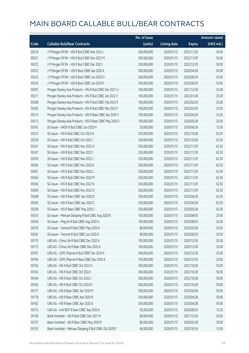|       |                                                           | No. of issue |                     |               | <b>Amount raised</b> |
|-------|-----------------------------------------------------------|--------------|---------------------|---------------|----------------------|
| Code  | <b>Callable Bull/Bear Contracts</b>                       | (units)      | <b>Listing date</b> | <b>Expiry</b> | (HK\$ mil.)          |
| 59219 | J P Morgan SP BV - HSI R Bull CBBC Nov 2022 L             | 200,000,000  | 2020/01/15          | 2022/11/29    | 50.00                |
| 59221 | J P Morgan SP BV - HSI R Bull CBBC Nov 2022 M             | 200,000,000  | 2020/01/15          | 2022/11/29    | 50.00                |
| 59222 | J P Morgan SP BV - HSI R Bull CBBC Dec 2022 I             | 200,000,000  | 2020/01/15          | 2022/12/29    | 50.00                |
| 59225 | J P Morgan SP BV - HSI R Bear CBBC Apr 2020 A             | 200,000,000  | 2020/01/15          | 2020/04/28    | 50.00                |
| 59223 | J P Morgan SP BV - HSI R Bear CBBC Jun 2020 O             | 200,000,000  | 2020/01/15          | 2020/06/29    | 50.00                |
| 59224 | J P Morgan SP BV - HSI R Bear CBBC Jun 2020 P             | 200,000,000  | 2020/01/15          | 2020/06/29    | 50.00                |
| 59207 | Morgan Stanley Asia Products - HSI R Bull CBBC Dec 2021 U | 100,000,000  | 2020/01/15          | 2021/12/30    | 25.00                |
| 59211 | Morgan Stanley Asia Products - HSI R Bull CBBC Jan 2022 V | 100,000,000  | 2020/01/15          | 2022/01/28    | 25.00                |
| 59208 | Morgan Stanley Asia Products - HSI R Bull CBBC Feb 2022 R | 100,000,000  | 2020/01/15          | 2022/02/25    | 25.00                |
| 59206 | Morgan Stanley Asia Products - HSI R Bull CBBC Mar 2022 F | 100,000,000  | 2020/01/15          | 2022/03/30    | 25.00                |
| 59214 | Morgan Stanley Asia Products - HSI R Bear CBBC Apr 2020 V | 100,000,000  | 2020/01/15          | 2020/04/28    | 25.00                |
| 59213 | Morgan Stanley Asia Products - HSI R Bear CBBC May 2020 S | 100,000,000  | 2020/01/15          | 2020/05/28    | 25.00                |
| 59242 | SG Issuer - HKEX R Bull CBBC Jun 2020 H                   | 50,000,000   | 2020/01/15          | 2020/06/30    | 12.50                |
| 59237 | SG Issuer - HSI R Bull CBBC Oct 2022 H                    | 250,000,000  | 2020/01/15          | 2022/10/28    | 62.50                |
| 59239 | SG Issuer - HSI R Bull CBBC Oct 2022 I                    | 250,000,000  | 2020/01/15          | 2022/10/28    | 62.50                |
| 59241 | SG Issuer - HSI R Bull CBBC Nov 2022 H                    | 250,000,000  | 2020/01/15          | 2022/11/29    | 62.50                |
| 59247 | SG Issuer - HSI R Bull CBBC Nov 2022 I                    | 250,000,000  | 2020/01/15          | 2022/11/29    | 62.50                |
| 59259 | SG Issuer - HSI R Bull CBBC Nov 2022 J                    | 250,000,000  | 2020/01/15          | 2022/11/29    | 62.50                |
| 59260 | SG Issuer - HSI R Bull CBBC Nov 2022 K                    | 250,000,000  | 2020/01/15          | 2022/11/29    | 62.50                |
| 59261 | SG Issuer - HSI R Bull CBBC Nov 2022 L                    | 250,000,000  | 2020/01/15          | 2022/11/29    | 62.50                |
| 59264 | SG Issuer - HSI R Bull CBBC Nov 2022 M                    | 250,000,000  | 2020/01/15          | 2022/11/29    | 62.50                |
| 59266 | SG Issuer - HSI R Bull CBBC Nov 2022 N                    | 250,000,000  | 2020/01/15          | 2022/11/29    | 62.50                |
| 59269 | SG Issuer - HSI R Bull CBBC Nov 2022 O                    | 250,000,000  | 2020/01/15          | 2022/11/29    | 62.50                |
| 59248 | SG Issuer - HSI R Bear CBBC Apr 2020 D                    | 250,000,000  | 2020/01/15          | 2020/04/28    | 62.50                |
| 59250 | SG Issuer - HSI R Bear CBBC Apr 2020 Z                    | 250,000,000  | 2020/01/15          | 2020/04/28    | 62.50                |
| 59258 | SG Issuer - HSI R Bear CBBC May 2020 J                    | 250,000,000  | 2020/01/15          | 2020/05/28    | 62.50                |
| 59243 | SG Issuer - Meituan Dianping R Bull CBBC Aug 2020 B       | 100,000,000  | 2020/01/15          | 2020/08/05    | 25.00                |
| 59244 | SG Issuer - Ping An R Bull CBBC Aug 2020 H                | 100,000,000  | 2020/01/15          | 2020/08/05    | 25.00                |
| 59270 | SG Issuer - Tencent R Bull CBBC May 2020 K                | 80,000,000   | 2020/01/15          | 2020/05/28    | 20.00                |
| 59245 | SG Issuer - Tencent R Bull CBBC Jun 2020 O                | 80,000,000   | 2020/01/15          | 2020/06/30    | 20.00                |
| 59170 | UBS AG - China Life R Bull CBBC Dec 2020 A                | 100,000,000  | 2020/01/15          | 2020/12/30    | 25.00                |
| 59173 | UBS AG - China Life R Bear CBBC Dec 2020 A                | 100,000,000  | 2020/01/15          | 2020/12/30    | 25.00                |
| 59167 | UBS AG - CSPC Pharma R Bull CBBC Dec 2020 A               | 100,000,000  | 2020/01/15          | 2020/12/30    | 25.00                |
| 59169 | UBS AG - CSPC Pharma R Bear CBBC Dec 2020 A               | 100,000,000  | 2020/01/15          | 2020/12/30    | 25.00                |
| 59162 | UBS AG - HSI R Bull CBBC Oct 2022 H                       | 200,000,000  | 2020/01/15          | 2022/10/28    | 50.00                |
| 59163 | UBS AG - HSI R Bull CBBC Oct 2022 I                       | 200,000,000  | 2020/01/15          | 2022/10/28    | 50.00                |
| 59164 | UBS AG - HSI R Bull CBBC Oct 2022 J                       | 200,000,000  | 2020/01/15          | 2022/10/28    | 50.00                |
| 59183 | UBS AG - HSI R Bull CBBC Oct 2022 K                       | 200,000,000  | 2020/01/15          | 2022/10/28    | 50.00                |
| 59177 | UBS AG - HSI R Bear CBBC Apr 2020 M                       | 200,000,000  | 2020/01/15          | 2020/04/28    | 50.00                |
| 59178 | UBS AG - HSI R Bear CBBC Apr 2020 N                       | 200,000,000  | 2020/01/15          | 2020/04/28    | 50.00                |
| 59182 | UBS AG - HSI R Bear CBBC Apr 2020 O                       | 200,000,000  | 2020/01/15          | 2020/04/28    | 50.00                |
| 59175 | UBS AG - Link REIT R Bear CBBC Sep 2020 A                 | 50,000,000   | 2020/01/15          | 2020/09/30    | 12.50                |
| 59158 | Bank Vontobel - HSI R Bull CBBC Dec 2021 N                | 80,000,000   | 2020/01/15          | 2021/12/30    | 20.00                |
| 59157 | Bank Vontobel - HSI R Bear CBBC May 2020 R                | 80,000,000   | 2020/01/15          | 2020/05/28    | 20.00                |
| 59153 | Bank Vontobel - Meituan Dianping R Bull CBBC Oct 2020 F   | 60,000,000   | 2020/01/15          | 2020/10/16    | 15.00                |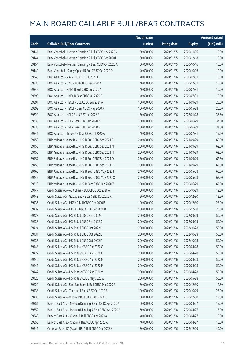|       |                                                             | No. of issue |                     |               | <b>Amount raised</b> |
|-------|-------------------------------------------------------------|--------------|---------------------|---------------|----------------------|
| Code  | <b>Callable Bull/Bear Contracts</b>                         | (units)      | <b>Listing date</b> | <b>Expiry</b> | (HK\$ mil.)          |
| 59141 | Bank Vontobel - Meituan Dianping R Bull CBBC Nov 2020 V     | 60,000,000   | 2020/01/15          | 2020/11/06    | 15.00                |
| 59144 | Bank Vontobel - Meituan Dianping R Bull CBBC Dec 2020 H     | 60,000,000   | 2020/01/15          | 2020/12/18    | 15.00                |
| 59154 | Bank Vontobel - Meituan Dianping R Bear CBBC Oct 2020 A     | 60,000,000   | 2020/01/15          | 2020/10/16    | 15.00                |
| 59140 | Bank Vontobel - Sunny Optical R Bull CBBC Oct 2020 D        | 40,000,000   | 2020/01/15          | 2020/10/16    | 10.00                |
| 59343 | BOCI Asia Ltd. - AIA R Bull CBBC Jul 2020 A                 | 40,000,000   | 2020/01/16          | 2020/07/31    | 10.00                |
| 59336 | BOCI Asia Ltd. - CPIC R Bull CBBC Dec 2020 A                | 40,000,000   | 2020/01/16          | 2020/12/31    | 10.00                |
| 59345 | BOCI Asia Ltd. - HKEX R Bull CBBC Jul 2020 A                | 40,000,000   | 2020/01/16          | 2020/07/31    | 10.00                |
| 59390 | BOCI Asia Ltd. - HKEX R Bear CBBC Jul 2020 B                | 40,000,000   | 2020/01/16          | 2020/07/31    | 10.00                |
| 59391 | BOCI Asia Ltd. - HSCEI R Bull CBBC Sep 2021 A               | 100,000,000  | 2020/01/16          | 2021/09/29    | 25.00                |
| 59392 | BOCI Asia Ltd. - HSCEI R Bear CBBC May 2020 A               | 100,000,000  | 2020/01/16          | 2020/05/28    | 25.00                |
| 59329 | BOCI Asia Ltd. - HSI R Bull CBBC Jan 2022 S                 | 150,000,000  | 2020/01/16          | 2022/01/28    | 37.50                |
| 59333 | BOCI Asia Ltd. - HSI R Bear CBBC Jun 2020 M                 | 150,000,000  | 2020/01/16          | 2020/06/29    | 37.50                |
| 59335 | BOCI Asia Ltd. - HSI R Bear CBBC Jun 2020 N                 | 150,000,000  | 2020/01/16          | 2020/06/29    | 37.50                |
| 59341 | BOCI Asia Ltd. - Tencent R Bear CBBC Jul 2020 A             | 40,000,000   | 2020/01/16          | 2020/07/31    | 19.60                |
| 59459 | BNP Paribas Issuance B.V. - HSI R Bull CBBC Sep 2021 B      | 240,000,000  | 2020/01/16          | 2021/09/29    | 60.00                |
| 59450 | BNP Paribas Issuance B.V. - HSI R Bull CBBC Sep 2021 M      | 250,000,000  | 2020/01/16          | 2021/09/29    | 62.50                |
| 59453 | BNP Paribas Issuance B.V. - HSI R Bull CBBC Sep 2021 N      | 250,000,000  | 2020/01/16          | 2021/09/29    | 62.50                |
| 59457 | BNP Paribas Issuance B.V. - HSI R Bull CBBC Sep 2021 O      | 250,000,000  | 2020/01/16          | 2021/09/29    | 62.50                |
| 59458 | BNP Paribas Issuance B.V. - HSI R Bull CBBC Sep 2021 P      | 250,000,000  | 2020/01/16          | 2021/09/29    | 62.50                |
| 59462 | BNP Paribas Issuance B.V. - HSI R Bear CBBC May 2020 I      | 240,000,000  | 2020/01/16          | 2020/05/28    | 60.00                |
| 59449 | BNP Paribas Issuance B.V. - HSI R Bear CBBC May 2020 X      | 250,000,000  | 2020/01/16          | 2020/05/28    | 62.50                |
| 59313 | BNP Paribas Issuance B.V. - HSI R Bear CBBC Jun 2020 Z      | 250,000,000  | 2020/01/16          | 2020/06/29    | 62.50                |
| 59447 | Credit Suisse AG - A50 China R Bull CBBC Oct 2020 A         | 50,000,000   | 2020/01/16          | 2020/10/29    | 12.50                |
| 59448 | Credit Suisse AG - Galaxy Ent R Bear CBBC Dec 2020 A        | 50,000,000   | 2020/01/16          | 2020/12/30    | 12.50                |
| 59436 | Credit Suisse AG - HKEX R Bull CBBC Dec 2020 B              | 100,000,000  | 2020/01/16          | 2020/12/30    | 25.00                |
| 59437 | Credit Suisse AG - HKEX R Bear CBBC Dec 2020 B              | 100,000,000  | 2020/01/16          | 2020/12/18    | 25.00                |
| 59428 | Credit Suisse AG - HSI R Bull CBBC Sep 2022 C               | 200,000,000  | 2020/01/16          | 2022/09/29    | 50.00                |
| 59433 | Credit Suisse AG - HSI R Bull CBBC Sep 2022 D               | 200,000,000  | 2020/01/16          | 2022/09/29    | 50.00                |
| 59424 | Credit Suisse AG - HSI R Bull CBBC Oct 2022 D               | 200,000,000  | 2020/01/16          | 2022/10/28    | 50.00                |
| 59431 | Credit Suisse AG - HSI R Bull CBBC Oct 2022 E               | 200,000,000  | 2020/01/16          | 2022/10/28    | 50.00                |
| 59435 | Credit Suisse AG - HSI R Bull CBBC Oct 2022 F               | 200,000,000  | 2020/01/16          | 2022/10/28    | 50.00                |
| 59443 | Credit Suisse AG - HSI R Bear CBBC Apr 2020 C               | 200,000,000  | 2020/01/16          | 2020/04/28    | 50.00                |
| 59422 | Credit Suisse AG - HSI R Bear CBBC Apr 2020 E               | 200,000,000  | 2020/01/16          | 2020/04/28    | 50.00                |
| 59440 | Credit Suisse AG - HSI R Bear CBBC Apr 2020 M               | 200,000,000  | 2020/01/16          | 2020/04/28    | 50.00                |
| 59441 | Credit Suisse AG - HSI R Bear CBBC Apr 2020 P               | 200,000,000  | 2020/01/16          | 2020/04/28    | 50.00                |
| 59442 | Credit Suisse AG - HSI R Bear CBBC Apr 2020 V               | 200,000,000  | 2020/01/16          | 2020/04/28    | 50.00                |
| 59423 | Credit Suisse AG - HSI R Bear CBBC May 2020 W               | 200,000,000  | 2020/01/16          | 2020/05/28    | 50.00                |
| 59420 | Credit Suisse AG - Sino Biopharm R Bull CBBC Dec 2020 B     | 50,000,000   | 2020/01/16          | 2020/12/30    | 12.50                |
| 59438 | Credit Suisse AG - Tencent R Bull CBBC Oct 2020 B           | 100,000,000  | 2020/01/16          | 2020/10/29    | 25.00                |
| 59439 | Credit Suisse AG - Xiaomi R Bull CBBC Dec 2020 B            | 50,000,000   | 2020/01/16          | 2020/12/30    | 12.50                |
| 59351 | Bank of East Asia - Meituan Dianping R Bull CBBC Apr 2020 A | 60,000,000   | 2020/01/16          | 2020/04/27    | 15.00                |
| 59352 | Bank of East Asia - Meituan Dianping R Bear CBBC Apr 2020 A | 60,000,000   | 2020/01/16          | 2020/04/27    | 15.00                |
| 59348 | Bank of East Asia - Xiaomi R Bull CBBC Apr 2020 A           | 40,000,000   | 2020/01/16          | 2020/04/27    | 10.00                |
| 59350 | Bank of East Asia - Xiaomi R Bear CBBC Apr 2020 A           | 40,000,000   | 2020/01/16          | 2020/04/27    | 10.00                |
| 59541 | Goldman Sachs SP (Asia) - HSI R Bull CBBC Dec 2022 A        | 160,000,000  | 2020/01/16          | 2022/12/29    | 40.00                |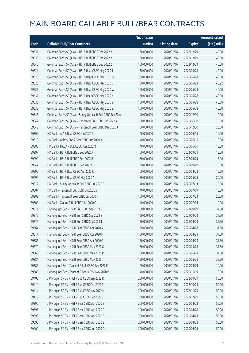|       |                                                             | No. of issue |                     |               | <b>Amount raised</b> |
|-------|-------------------------------------------------------------|--------------|---------------------|---------------|----------------------|
| Code  | <b>Callable Bull/Bear Contracts</b>                         | (units)      | <b>Listing date</b> | <b>Expiry</b> | (HK\$ mil.)          |
| 59536 | Goldman Sachs SP (Asia) - HSI R Bull CBBC Dec 2022 X        | 160,000,000  | 2020/01/16          | 2022/12/29    | 40.00                |
| 59539 | Goldman Sachs SP (Asia) - HSI R Bull CBBC Dec 2022 Y        | 160,000,000  | 2020/01/16          | 2022/12/29    | 40.00                |
| 59540 | Goldman Sachs SP (Asia) - HSI R Bull CBBC Dec 2022 Z        | 160,000,000  | 2020/01/16          | 2022/12/29    | 40.00                |
| 59524 | Goldman Sachs SP (Asia) - HSI R Bear CBBC May 2020 T        | 160,000,000  | 2020/01/16          | 2020/05/28    | 40.00                |
| 59525 | Goldman Sachs SP (Asia) - HSI R Bear CBBC May 2020 U        | 160,000,000  | 2020/01/16          | 2020/05/28    | 40.00                |
| 59526 | Goldman Sachs SP (Asia) - HSI R Bear CBBC May 2020 V        | 160,000,000  | 2020/01/16          | 2020/05/28    | 45.92                |
| 59527 | Goldman Sachs SP (Asia) - HSI R Bear CBBC May 2020 W        | 160,000,000  | 2020/01/16          | 2020/05/28    | 40.00                |
| 59532 | Goldman Sachs SP (Asia) - HSI R Bear CBBC May 2020 X        | 160,000,000  | 2020/01/16          | 2020/05/28    | 40.00                |
| 59533 | Goldman Sachs SP (Asia) - HSI R Bear CBBC May 2020 Y        | 160,000,000  | 2020/01/16          | 2020/05/28    | 40.00                |
| 59535 | Goldman Sachs SP (Asia) - HSI R Bear CBBC May 2020 Z        | 160,000,000  | 2020/01/16          | 2020/05/28    | 40.00                |
| 59546 | Goldman Sachs SP (Asia) - Sunny Optical R Bull CBBC Dec20 A | 40,000,000   | 2020/01/16          | 2020/12/30    | 10.00                |
| 59542 | Goldman Sachs SP (Asia) - Tencent R Bull CBBC Jun 2020 A    | 60,000,000   | 2020/01/16          | 2020/06/30    | 15.00                |
| 59545 | Goldman Sachs SP (Asia) - Tencent R Bear CBBC Dec 2020 J    | 80,000,000   | 2020/01/16          | 2020/12/30    | 20.00                |
| 59309 | HK Bank - AIA R Bear CBBC Jun 2020 A                        | 40,000,000   | 2020/01/16          | 2020/06/15    | 10.00                |
| 59310 | HK Bank - Galaxy Ent R Bear CBBC Jun 2020 A                 | 40,000,000   | 2020/01/16          | 2020/06/15    | 10.00                |
| 59300 | HK Bank - HKEX R Bull CBBC Jun 2020 Q                       | 40,000,000   | 2020/01/16          | 2020/06/01    | 10.00                |
| 59297 | HK Bank - HSI R Bull CBBC Sep 2022 A                        | 60,000,000   | 2020/01/16          | 2022/09/29    | 15.00                |
| 59299 | HK Bank - HSI R Bull CBBC Sep 2022 B                        | 60,000,000   | 2020/01/16          | 2022/09/29    | 15.00                |
| 59347 | HK Bank - HSI R Bull CBBC Sep 2022 C                        | 60,000,000   | 2020/01/16          | 2022/09/29    | 15.00                |
| 59295 | HK Bank - HSI R Bear CBBC Apr 2020 K                        | 60,000,000   | 2020/01/16          | 2020/04/28    | 15.00                |
| 59296 | HK Bank - HSI R Bear CBBC May 2020 A                        | 80,000,000   | 2020/01/16          | 2020/05/28    | 20.00                |
| 59312 | HK Bank - Sunny Optical R Bull CBBC Jul 2020 C              | 40,000,000   | 2020/01/16          | 2020/07/13    | 10.00                |
| 59307 | HK Bank - Tencent R Bull CBBC Jul 2020 G                    | 40,000,000   | 2020/01/16          | 2020/07/09    | 10.00                |
| 59303 | HK Bank - Tencent R Bear CBBC Jul 2020 H                    | 100,000,000  | 2020/01/16          | 2020/07/23    | 25.00                |
| 59302 | HK Bank - Xiaomi R Bull CBBC Jul 2020 C                     | 40,000,000   | 2020/01/16          | 2020/07/06    | 10.00                |
| 59371 | Haitong Int'l Sec - HSI R Bull CBBC Sep 2021 R              | 150,000,000  | 2020/01/16          | 2021/09/29    | 37.50                |
| 59375 | Haitong Int'l Sec - HSI R Bull CBBC Sep 2021 S              | 150,000,000  | 2020/01/16          | 2021/09/29    | 37.50                |
| 59376 | Haitong Int'l Sec - HSI R Bull CBBC Sep 2021 T              | 150,000,000  | 2020/01/16          | 2021/09/29    | 37.50                |
| 59364 | Haitong Int'l Sec - HSI R Bear CBBC Apr 2020 K              | 150,000,000  | 2020/01/16          | 2020/04/28    | 37.50                |
| 59377 | Haitong Int'l Sec - HSI R Bear CBBC Apr 2020 M              | 150,000,000  | 2020/01/16          | 2020/04/28    | 37.50                |
| 59386 | Haitong Int'l Sec - HSI R Bear CBBC Apr 2020 O              | 150,000,000  | 2020/01/16          | 2020/04/28    | 37.50                |
| 59370 | Haitong Int'l Sec - HSI R Bear CBBC May 2020 O              | 150,000,000  | 2020/01/16          | 2020/05/28    | 37.50                |
| 59368 | Haitong Int'l Sec - HSI R Bear CBBC May 2020 R              | 150,000,000  | 2020/01/16          | 2020/05/28    | 37.50                |
| 59384 | Haitong Int'l Sec - HSI R Bear CBBC May 2020 T              | 150,000,000  | 2020/01/16          | 2020/05/28    | 37.50                |
| 59387 | Haitong Int'l Sec - Tencent R Bull CBBC Sep 2020 F          | 40,000,000   | 2020/01/16          | 2020/09/09    | 10.00                |
| 59388 | Haitong Int'l Sec - Tencent R Bear CBBC Nov 2020 B          | 40,000,000   | 2020/01/16          | 2020/11/19    | 16.00                |
| 59408 | J P Morgan SP BV - HSI R Bull CBBC Sep 2022 R               | 200,000,000  | 2020/01/16          | 2022/09/29    | 50.00                |
| 59410 | J P Morgan SP BV - HSI R Bull CBBC Oct 2022 P               | 200,000,000  | 2020/01/16          | 2022/10/28    | 50.00                |
| 59414 | J P Morgan SP BV - HSI R Bull CBBC Nov 2022 N               | 200,000,000  | 2020/01/16          | 2022/11/29    | 50.00                |
| 59419 | J P Morgan SP BV - HSI R Bull CBBC Dec 2022 J               | 200,000,000  | 2020/01/16          | 2022/12/29    | 50.00                |
| 59396 | J P Morgan SP BV - HSI R Bear CBBC Apr 2020 B               | 200,000,000  | 2020/01/16          | 2020/04/28    | 50.00                |
| 59393 | J P Morgan SP BV - HSI R Bear CBBC Apr 2020 C               | 200,000,000  | 2020/01/16          | 2020/04/28    | 50.00                |
| 59398 | J P Morgan SP BV - HSI R Bear CBBC Apr 2020 E               | 200,000,000  | 2020/01/16          | 2020/04/28    | 50.00                |
| 59395 | J P Morgan SP BV - HSI R Bear CBBC Apr 2020 Z               | 200,000,000  | 2020/01/16          | 2020/04/28    | 50.00                |
| 59400 | J P Morgan SP BV - HSI R Bear CBBC Jun 2020 Q               | 200,000,000  | 2020/01/16          | 2020/06/29    | 50.00                |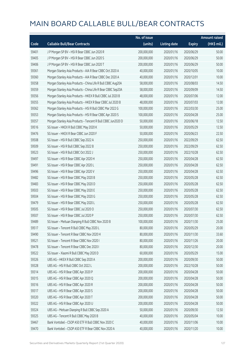|       |                                                              | No. of issue |                     |               | Amount raised |
|-------|--------------------------------------------------------------|--------------|---------------------|---------------|---------------|
| Code  | <b>Callable Bull/Bear Contracts</b>                          | (units)      | <b>Listing date</b> | <b>Expiry</b> | (HK\$ mil.)   |
| 59401 | J P Morgan SP BV - HSI R Bear CBBC Jun 2020 R                | 200,000,000  | 2020/01/16          | 2020/06/29    | 50.00         |
| 59405 | J P Morgan SP BV - HSI R Bear CBBC Jun 2020 S                | 200,000,000  | 2020/01/16          | 2020/06/29    | 50.00         |
| 59406 | J P Morgan SP BV - HSI R Bear CBBC Jun 2020 T                | 200,000,000  | 2020/01/16          | 2020/06/29    | 50.00         |
| 59361 | Morgan Stanley Asia Products - AIA R Bear CBBC Oct 2020 A    | 40,000,000   | 2020/01/16          | 2020/10/05    | 10.00         |
| 59360 | Morgan Stanley Asia Products - AIA R Bear CBBC Dec 2020 A    | 40,000,000   | 2020/01/16          | 2020/12/01    | 10.00         |
| 59358 | Morgan Stanley Asia Products - China Life R Bull CBBC Aug20A | 58,000,000   | 2020/01/16          | 2020/08/03    | 14.50         |
| 59359 | Morgan Stanley Asia Products - China Life R Bear CBBC Sep20A | 58,000,000   | 2020/01/16          | 2020/09/09    | 14.50         |
| 59356 | Morgan Stanley Asia Products - HKEX R Bull CBBC Jul 2020 B   | 48,000,000   | 2020/01/16          | 2020/07/06    | 12.00         |
| 59355 | Morgan Stanley Asia Products - HKEX R Bear CBBC Jul 2020 B   | 48,000,000   | 2020/01/16          | 2020/07/03    | 12.00         |
| 59362 | Morgan Stanley Asia Products - HSI R Bull CBBC Mar 2022 G    | 100,000,000  | 2020/01/16          | 2022/03/30    | 25.00         |
| 59353 | Morgan Stanley Asia Products - HSI R Bear CBBC Apr 2020 S    | 100,000,000  | 2020/01/16          | 2020/04/28    | 25.00         |
| 59357 | Morgan Stanley Asia Products - Tencent R Bull CBBC Jun2020 D | 50,000,000   | 2020/01/16          | 2020/06/18    | 12.50         |
| 59516 | SG Issuer - HKEX R Bull CBBC May 2020 K                      | 50,000,000   | 2020/01/16          | 2020/05/29    | 12.50         |
| 59476 | SG Issuer - HKEX R Bear CBBC Jun 2020 F                      | 50,000,000   | 2020/01/16          | 2020/06/23    | 22.50         |
| 59508 | SG Issuer - HSI R Bull CBBC Sep 2022 A                       | 250,000,000  | 2020/01/16          | 2022/09/29    | 62.50         |
| 59509 | SG Issuer - HSI R Bull CBBC Sep 2022 B                       | 250,000,000  | 2020/01/16          | 2022/09/29    | 62.50         |
| 59523 | SG Issuer - HSI R Bull CBBC Oct 2022 J                       | 250,000,000  | 2020/01/16          | 2022/10/28    | 62.50         |
| 59497 | SG Issuer - HSI R Bear CBBC Apr 2020 H                       | 250,000,000  | 2020/01/16          | 2020/04/28    | 62.50         |
| 59491 | SG Issuer - HSI R Bear CBBC Apr 2020 L                       | 250,000,000  | 2020/01/16          | 2020/04/28    | 62.50         |
| 59496 | SG Issuer - HSI R Bear CBBC Apr 2020 V                       | 250,000,000  | 2020/01/16          | 2020/04/28    | 62.50         |
| 59482 | SG Issuer - HSI R Bear CBBC May 2020 B                       | 250,000,000  | 2020/01/16          | 2020/05/28    | 62.50         |
| 59483 | SG Issuer - HSI R Bear CBBC May 2020 D                       | 250,000,000  | 2020/01/16          | 2020/05/28    | 62.50         |
| 59503 | SG Issuer - HSI R Bear CBBC May 2020 E                       | 250,000,000  | 2020/01/16          | 2020/05/28    | 62.50         |
| 59504 | SG Issuer - HSI R Bear CBBC May 2020 G                       | 250,000,000  | 2020/01/16          | 2020/05/28    | 62.50         |
| 59479 | SG Issuer - HSI R Bear CBBC May 2020 L                       | 250,000,000  | 2020/01/16          | 2020/05/28    | 62.50         |
| 59505 | SG Issuer - HSI R Bear CBBC Jul 2020 O                       | 250,000,000  | 2020/01/16          | 2020/07/30    | 62.50         |
| 59507 | SG Issuer - HSI R Bear CBBC Jul 2020 P                       | 250,000,000  | 2020/01/16          | 2020/07/30    | 62.50         |
| 59489 | SG Issuer - Meituan Dianping R Bull CBBC Nov 2020 B          | 100,000,000  | 2020/01/16          | 2020/11/30    | 25.00         |
| 59517 | SG Issuer - Tencent R Bull CBBC May 2020 L                   | 80,000,000   | 2020/01/16          | 2020/05/29    | 20.00         |
| 59490 | SG Issuer - Tencent R Bear CBBC Nov 2020 H                   | 80,000,000   | 2020/01/16          | 2020/11/30    | 33.60         |
| 59521 | SG Issuer - Tencent R Bear CBBC Nov 2020 I                   | 80,000,000   | 2020/01/16          | 2020/11/26    | 20.00         |
| 59478 | SG Issuer - Tencent R Bear CBBC Dec 2020 I                   | 80,000,000   | 2020/01/16          | 2020/12/30    | 20.00         |
| 59522 | SG Issuer - Xiaomi R Bull CBBC May 2020 D                    | 60,000,000   | 2020/01/16          | 2020/05/29    | 15.00         |
| 59326 | UBS AG - HKEX R Bull CBBC Sep 2020 A                         | 200,000,000  | 2020/01/16          | 2020/09/30    | 50.00         |
| 59328 | UBS AG - HSI R Bull CBBC Oct 2022 L                          | 200,000,000  | 2020/01/16          | 2022/10/28    | 50.00         |
| 59314 | UBS AG - HSI R Bear CBBC Apr 2020 P                          | 200,000,000  | 2020/01/16          | 2020/04/28    | 50.00         |
| 59315 | UBS AG - HSI R Bear CBBC Apr 2020 Q                          | 200,000,000  | 2020/01/16          | 2020/04/28    | 50.00         |
| 59316 | UBS AG - HSI R Bear CBBC Apr 2020 R                          | 200,000,000  | 2020/01/16          | 2020/04/28    | 50.00         |
| 59317 | UBS AG - HSI R Bear CBBC Apr 2020 S                          | 200,000,000  | 2020/01/16          | 2020/04/28    | 50.00         |
| 59320 | UBS AG - HSI R Bear CBBC Apr 2020 T                          | 200,000,000  | 2020/01/16          | 2020/04/28    | 50.00         |
| 59322 | UBS AG - HSI R Bear CBBC Apr 2020 U                          | 200,000,000  | 2020/01/16          | 2020/04/28    | 50.00         |
| 59324 | UBS AG - Meituan Dianping R Bull CBBC Sep 2020 A             | 50,000,000   | 2020/01/16          | 2020/09/30    | 12.50         |
| 59325 | UBS AG - Tencent R Bull CBBC May 2020 B                      | 40,000,000   | 2020/01/16          | 2020/05/04    | 10.00         |
| 59467 | Bank Vontobel - CSOP A50 ETF R Bull CBBC Nov 2020 C          | 40,000,000   | 2020/01/16          | 2020/11/06    | 10.00         |
| 59470 | Bank Vontobel - CSOP A50 ETF R Bear CBBC Nov 2020 A          | 40,000,000   | 2020/01/16          | 2020/11/20    | 10.00         |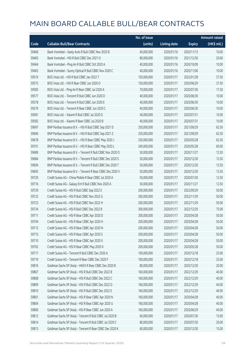|       |                                                            | No. of issue |                     |               | <b>Amount raised</b> |
|-------|------------------------------------------------------------|--------------|---------------------|---------------|----------------------|
| Code  | <b>Callable Bull/Bear Contracts</b>                        | (units)      | <b>Listing date</b> | <b>Expiry</b> | (HK\$ mil.)          |
| 59466 | Bank Vontobel - Geely Auto R Bull CBBC Nov 2020 B          | 40,000,000   | 2020/01/16          | 2020/11/13    | 10.00                |
| 59465 | Bank Vontobel - HSI R Bull CBBC Dec 2021 O                 | 80,000,000   | 2020/01/16          | 2021/12/30    | 20.00                |
| 59464 | Bank Vontobel - Ping An R Bull CBBC Oct 2020 A             | 40,000,000   | 2020/01/16          | 2020/10/09    | 10.00                |
| 59463 | Bank Vontobel - Sunny Optical R Bull CBBC Nov 2020 C       | 40,000,000   | 2020/01/16          | 2020/11/06    | 10.00                |
| 59574 | BOCI Asia Ltd. - HSI R Bull CBBC Jan 2022 T                | 150,000,000  | 2020/01/17          | 2022/01/28    | 37.50                |
| 59575 | BOCI Asia Ltd. - HSI R Bear CBBC Jun 2020 O                | 150,000,000  | 2020/01/17          | 2020/06/29    | 37.50                |
| 59583 | BOCI Asia Ltd. - Ping An R Bear CBBC Jul 2020 A            | 70,000,000   | 2020/01/17          | 2020/07/30    | 17.50                |
| 59577 | BOCI Asia Ltd. - Tencent R Bull CBBC Jun 2020 D            | 40,000,000   | 2020/01/17          | 2020/06/30    | 10.00                |
| 59578 | BOCI Asia Ltd. - Tencent R Bull CBBC Jun 2020 E            | 40,000,000   | 2020/01/17          | 2020/06/30    | 10.00                |
| 59579 | BOCI Asia Ltd. - Tencent R Bear CBBC Jun 2020 C            | 40,000,000   | 2020/01/17          | 2020/06/30    | 10.00                |
| 59581 | BOCI Asia Ltd. - Xiaomi R Bull CBBC Jul 2020 G             | 40,000,000   | 2020/01/17          | 2020/07/31    | 10.00                |
| 59582 | BOCI Asia Ltd. - Xiaomi R Bear CBBC Jul 2020 B             | 40,000,000   | 2020/01/17          | 2020/07/31    | 10.00                |
| 59697 | BNP Paribas Issuance B.V. - HSI R Bull CBBC Sep 2021 D     | 250,000,000  | 2020/01/17          | 2021/09/29    | 62.50                |
| 59696 | BNP Paribas Issuance B.V. - HSI R Bull CBBC Sep 2021 Z     | 250,000,000  | 2020/01/17          | 2021/09/29    | 62.50                |
| 59678 | BNP Paribas Issuance B.V. - HSI R Bear CBBC May 2020 J     | 250,000,000  | 2020/01/17          | 2020/05/28    | 62.50                |
| 59701 | BNP Paribas Issuance B.V. - HSI R Bear CBBC May 2020 L     | 240,000,000  | 2020/01/17          | 2020/05/28    | 60.00                |
| 59689 | BNP Paribas Issuance B.V. - Tencent R Bull CBBC Nov 2020 O | 50,000,000   | 2020/01/17          | 2020/11/27    | 12.50                |
| 59684 | BNP Paribas Issuance B.V. - Tencent R Bull CBBC Dec 2020 S | 50,000,000   | 2020/01/17          | 2020/12/30    | 12.50                |
| 59694 | BNP Paribas Issuance B.V. - Tencent R Bull CBBC Dec 2020 T | 50,000,000   | 2020/01/17          | 2020/12/30    | 12.50                |
| 59695 | BNP Paribas Issuance B.V. - Tencent R Bear CBBC Dec 2020 V | 50,000,000   | 2020/01/17          | 2020/12/30    | 12.50                |
| 59720 | Credit Suisse AG - China Mobile R Bear CBBC Jul 2020 A     | 50,000,000   | 2020/01/17          | 2020/07/30    | 12.50                |
| 59716 | Credit Suisse AG - Galaxy Ent R Bull CBBC Nov 2020 A       | 50,000,000   | 2020/01/17          | 2020/11/27    | 12.50                |
| 59729 | Credit Suisse AG - HSI R Bull CBBC Sep 2022 E              | 200,000,000  | 2020/01/17          | 2022/09/29    | 50.00                |
| 59722 | Credit Suisse AG - HSI R Bull CBBC Nov 2022 G              | 200,000,000  | 2020/01/17          | 2022/11/29    | 50.00                |
| 59723 | Credit Suisse AG - HSI R Bull CBBC Nov 2022 H              | 200,000,000  | 2020/01/17          | 2022/11/29    | 50.00                |
| 59734 | Credit Suisse AG - HSI R Bull CBBC Dec 2022 B              | 300,000,000  | 2020/01/17          | 2022/12/29    | 75.00                |
| 59711 | Credit Suisse AG - HSI R Bear CBBC Apr 2020 D              | 200,000,000  | 2020/01/17          | 2020/04/28    | 50.00                |
| 59704 | Credit Suisse AG - HSI R Bear CBBC Apr 2020 H              | 200,000,000  | 2020/01/17          | 2020/04/28    | 50.00                |
| 59713 | Credit Suisse AG - HSI R Bear CBBC Apr 2020 N              | 200,000,000  | 2020/01/17          | 2020/04/28    | 50.00                |
| 59715 | Credit Suisse AG - HSI R Bear CBBC Apr 2020 S              | 200,000,000  | 2020/01/17          | 2020/04/28    | 50.00                |
| 59710 | Credit Suisse AG - HSI R Bear CBBC Apr 2020 X              | 200,000,000  | 2020/01/17          | 2020/04/28    | 50.00                |
| 59702 | Credit Suisse AG - HSI R Bear CBBC May 2020 X              | 200,000,000  | 2020/01/17          | 2020/05/28    | 50.00                |
| 59717 | Credit Suisse AG - Tencent R Bull CBBC Dec 2020 A          | 100,000,000  | 2020/01/17          | 2020/12/18    | 25.00                |
| 59719 | Credit Suisse AG - Tencent R Bear CBBC Dec 2020 F          | 100,000,000  | 2020/01/17          | 2020/12/18    | 25.00                |
| 59816 | Goldman Sachs SP (Asia) - HKEX R Bear CBBC Dec 2020 B      | 80,000,000   | 2020/01/17          | 2020/12/30    | 20.00                |
| 59807 | Goldman Sachs SP (Asia) - HSI R Bull CBBC Dec 2022 B       | 160,000,000  | 2020/01/17          | 2022/12/29    | 40.00                |
| 59808 | Goldman Sachs SP (Asia) - HSI R Bull CBBC Dec 2022 C       | 160,000,000  | 2020/01/17          | 2022/12/29    | 40.00                |
| 59809 | Goldman Sachs SP (Asia) - HSI R Bull CBBC Dec 2022 D       | 160,000,000  | 2020/01/17          | 2022/12/29    | 40.00                |
| 59810 | Goldman Sachs SP (Asia) - HSI R Bull CBBC Dec 2022 E       | 160,000,000  | 2020/01/17          | 2022/12/29    | 40.00                |
| 59801 | Goldman Sachs SP (Asia) - HSI R Bear CBBC Apr 2020 N       | 160,000,000  | 2020/01/17          | 2020/04/28    | 40.00                |
| 59804 | Goldman Sachs SP (Asia) - HSI R Bear CBBC Apr 2020 U       | 160,000,000  | 2020/01/17          | 2020/04/28    | 40.00                |
| 59806 | Goldman Sachs SP (Asia) - HSI R Bear CBBC Jun 2020 A       | 160,000,000  | 2020/01/17          | 2020/06/29    | 40.00                |
| 59812 | Goldman Sachs SP (Asia) - Tencent R Bull CBBC Jul 2020 B   | 60,000,000   | 2020/01/17          | 2020/07/30    | 15.00                |
| 59814 | Goldman Sachs SP (Asia) - Tencent R Bull CBBC Jul 2020 C   | 80,000,000   | 2020/01/17          | 2020/07/30    | 20.00                |
| 59813 | Goldman Sachs SP (Asia) - Tencent R Bear CBBC Dec 2020 K   | 60,000,000   | 2020/01/17          | 2020/12/30    | 15.00                |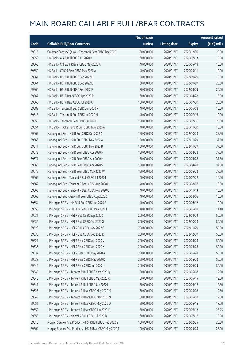|       |                                                           | No. of issue |                     |               | <b>Amount raised</b> |
|-------|-----------------------------------------------------------|--------------|---------------------|---------------|----------------------|
| Code  | <b>Callable Bull/Bear Contracts</b>                       | (units)      | <b>Listing date</b> | <b>Expiry</b> | (HK\$ mil.)          |
| 59815 | Goldman Sachs SP (Asia) - Tencent R Bear CBBC Dec 2020 L  | 80,000,000   | 2020/01/17          | 2020/12/30    | 20.00                |
| 59558 | HK Bank - AIA R Bull CBBC Jul 2020 B                      | 60,000,000   | 2020/01/17          | 2020/07/13    | 15.00                |
| 59560 | HK Bank - CM Bank R Bear CBBC May 2020 A                  | 40,000,000   | 2020/01/17          | 2020/05/18    | 10.00                |
| 59550 | HK Bank - CPIC R Bear CBBC May 2020 A                     | 40,000,000   | 2020/01/17          | 2020/05/11    | 10.00                |
| 59561 | HK Bank - HSI R Bull CBBC Sep 2022 D                      | 60,000,000   | 2020/01/17          | 2022/09/29    | 15.00                |
| 59564 | HK Bank - HSI R Bull CBBC Sep 2022 E                      | 80,000,000   | 2020/01/17          | 2022/09/29    | 20.00                |
| 59566 | HK Bank - HSI R Bull CBBC Sep 2022 F                      | 80,000,000   | 2020/01/17          | 2022/09/29    | 20.00                |
| 59567 | HK Bank - HSI R Bear CBBC Apr 2020 P                      | 60,000,000   | 2020/01/17          | 2020/04/28    | 15.00                |
| 59568 | HK Bank - HSI R Bear CBBC Jul 2020 O                      | 100,000,000  | 2020/01/17          | 2020/07/30    | 25.00                |
| 59589 | HK Bank - Tencent R Bull CBBC Jun 2020 R                  | 40,000,000   | 2020/01/17          | 2020/06/08    | 10.00                |
| 59548 | HK Bank - Tencent R Bull CBBC Jul 2020 H                  | 40,000,000   | 2020/01/17          | 2020/07/16    | 10.00                |
| 59555 | HK Bank - Tencent R Bear CBBC Jul 2020 I                  | 100,000,000  | 2020/01/17          | 2020/07/16    | 25.00                |
| 59554 | HK Bank - Tracker Fund R Bull CBBC Nov 2020 A             | 40,000,000   | 2020/01/17          | 2020/11/30    | 10.00                |
| 59667 | Haitong Int'l Sec - HSI R Bull CBBC Oct 2022 A            | 150,000,000  | 2020/01/17          | 2022/10/28    | 37.50                |
| 59666 | Haitong Int'l Sec - HSI R Bull CBBC Nov 2022 A            | 150,000,000  | 2020/01/17          | 2022/11/29    | 37.50                |
| 59671 | Haitong Int'l Sec - HSI R Bull CBBC Nov 2022 B            | 150,000,000  | 2020/01/17          | 2022/11/29    | 37.50                |
| 59672 | Haitong Int'l Sec - HSI R Bear CBBC Apr 2020 F            | 150,000,000  | 2020/01/17          | 2020/04/28    | 37.50                |
| 59677 | Haitong Int'l Sec - HSI R Bear CBBC Apr 2020 H            | 150,000,000  | 2020/01/17          | 2020/04/28    | 37.50                |
| 59660 | Haitong Int'l Sec - HSI R Bear CBBC Apr 2020 S            | 150,000,000  | 2020/01/17          | 2020/04/28    | 37.50                |
| 59675 | Haitong Int'l Sec - HSI R Bear CBBC May 2020 W            | 150,000,000  | 2020/01/17          | 2020/05/28    | 37.50                |
| 59664 | Haitong Int'l Sec - Tencent R Bull CBBC Jul 2020 I        | 40,000,000   | 2020/01/17          | 2020/07/22    | 10.00                |
| 59662 | Haitong Int'l Sec - Tencent R Bear CBBC Aug 2020 H        | 40,000,000   | 2020/01/17          | 2020/08/07    | 10.00                |
| 59663 | Haitong Int'l Sec - Tencent R Bear CBBC Nov 2020 C        | 40,000,000   | 2020/01/17          | 2020/11/13    | 18.00                |
| 59665 | Haitong Int'l Sec - Xiaomi R Bear CBBC Aug 2020 C         | 40,000,000   | 2020/01/17          | 2020/08/06    | 10.00                |
| 59654 | J P Morgan SP BV - HKEX R Bull CBBC Jun 2020 E            | 40,000,000   | 2020/01/17          | 2020/06/12    | 10.00                |
| 59655 | J P Morgan SP BV - HKEX R Bear CBBC May 2020 C            | 40,000,000   | 2020/01/17          | 2020/05/08    | 11.40                |
| 59631 | J P Morgan SP BV - HSI R Bull CBBC Sep 2022 S             | 200,000,000  | 2020/01/17          | 2022/09/29    | 50.00                |
| 59632 | J P Morgan SP BV - HSI R Bull CBBC Oct 2022 Q             | 200,000,000  | 2020/01/17          | 2022/10/28    | 50.00                |
| 59628 | J P Morgan SP BV - HSI R Bull CBBC Nov 2022 O             | 200,000,000  | 2020/01/17          | 2022/11/29    | 50.00                |
| 59635 | J P Morgan SP BV - HSI R Bull CBBC Dec 2022 K             | 200,000,000  | 2020/01/17          | 2022/12/29    | 50.00                |
| 59627 | J P Morgan SP BV - HSI R Bear CBBC Apr 2020 V             | 200,000,000  | 2020/01/17          | 2020/04/28    | 50.00                |
| 59636 | J P Morgan SP BV - HSI R Bear CBBC Apr 2020 X             | 200,000,000  | 2020/01/17          | 2020/04/28    | 50.00                |
| 59637 | J P Morgan SP BV - HSI R Bear CBBC May 2020 A             | 200,000,000  | 2020/01/17          | 2020/05/28    | 50.00                |
| 59638 | J P Morgan SP BV - HSI R Bear CBBC May 2020 D             | 200,000,000  | 2020/01/17          | 2020/05/28    | 50.00                |
| 59644 | J P Morgan SP BV - HSI R Bear CBBC Jun 2020 U             | 200,000,000  | 2020/01/17          | 2020/06/29    | 50.00                |
| 59645 | J P Morgan SP BV - Tencent R Bull CBBC May 2020 Q         | 50,000,000   | 2020/01/17          | 2020/05/08    | 12.50                |
| 59646 | J P Morgan SP BV - Tencent R Bull CBBC May 2020 R         | 50,000,000   | 2020/01/17          | 2020/05/15    | 12.50                |
| 59647 | J P Morgan SP BV - Tencent R Bull CBBC Jun 2020 I         | 50,000,000   | 2020/01/17          | 2020/06/12    | 12.50                |
| 59625 | J P Morgan SP BV - Tencent R Bear CBBC May 2020 M         | 50,000,000   | 2020/01/17          | 2020/05/08    | 12.50                |
| 59649 | J P Morgan SP BV - Tencent R Bear CBBC May 2020 N         | 50,000,000   | 2020/01/17          | 2020/05/08    | 12.50                |
| 59651 | J P Morgan SP BV - Tencent R Bear CBBC May 2020 O         | 50,000,000   | 2020/01/17          | 2020/05/15    | 18.00                |
| 59652 | J P Morgan SP BV - Tencent R Bear CBBC Jun 2020 K         | 50,000,000   | 2020/01/17          | 2020/06/12    | 23.25                |
| 59656 | J P Morgan SP BV - Xiaomi R Bull CBBC Jul 2020 B          | 60,000,000   | 2020/01/17          | 2020/07/17    | 15.00                |
| 59616 | Morgan Stanley Asia Products - HSI R Bull CBBC Feb 2022 S | 100,000,000  | 2020/01/17          | 2022/02/25    | 25.00                |
| 59609 | Morgan Stanley Asia Products - HSI R Bear CBBC May 2020 T | 100,000,000  | 2020/01/17          | 2020/05/28    | 25.00                |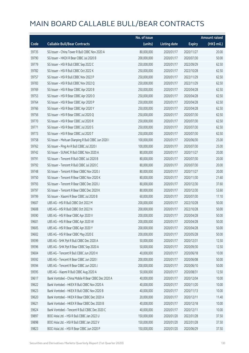|       |                                                     | No. of issue |                     |               | <b>Amount raised</b> |
|-------|-----------------------------------------------------|--------------|---------------------|---------------|----------------------|
| Code  | <b>Callable Bull/Bear Contracts</b>                 | (units)      | <b>Listing date</b> | <b>Expiry</b> | (HK\$ mil.)          |
| 59735 | SG Issuer - China Tower R Bull CBBC Nov 2020 A      | 80,000,000   | 2020/01/17          | 2020/11/27    | 20.00                |
| 59790 | SG Issuer - HKEX R Bear CBBC Jul 2020 B             | 200,000,000  | 2020/01/17          | 2020/07/30    | 50.00                |
| 59779 | SG Issuer - HSI R Bull CBBC Sep 2022 C              | 250,000,000  | 2020/01/17          | 2022/09/29    | 62.50                |
| 59782 | SG Issuer - HSI R Bull CBBC Oct 2022 K              | 250,000,000  | 2020/01/17          | 2022/10/28    | 62.50                |
| 59757 | SG Issuer - HSI R Bull CBBC Nov 2022 P              | 250,000,000  | 2020/01/17          | 2022/11/29    | 62.50                |
| 59783 | SG Issuer - HSI R Bull CBBC Nov 2022 Q              | 250,000,000  | 2020/01/17          | 2022/11/29    | 62.50                |
| 59769 | SG Issuer - HSI R Bear CBBC Apr 2020 B              | 250,000,000  | 2020/01/17          | 2020/04/28    | 62.50                |
| 59753 | SG Issuer - HSI R Bear CBBC Apr 2020 O              | 250,000,000  | 2020/01/17          | 2020/04/28    | 62.50                |
| 59764 | SG Issuer - HSI R Bear CBBC Apr 2020 P              | 250,000,000  | 2020/01/17          | 2020/04/28    | 62.50                |
| 59766 | SG Issuer - HSI R Bear CBBC Apr 2020 Y              | 250,000,000  | 2020/01/17          | 2020/04/28    | 62.50                |
| 59756 | SG Issuer - HSI R Bear CBBC Jul 2020 Q              | 250,000,000  | 2020/01/17          | 2020/07/30    | 62.50                |
| 59770 | SG Issuer - HSI R Bear CBBC Jul 2020 R              | 250,000,000  | 2020/01/17          | 2020/07/30    | 62.50                |
| 59771 | SG Issuer - HSI R Bear CBBC Jul 2020 S              | 250,000,000  | 2020/01/17          | 2020/07/30    | 62.50                |
| 59773 | SG Issuer - HSI R Bear CBBC Jul 2020 T              | 250,000,000  | 2020/01/17          | 2020/07/30    | 62.50                |
| 59758 | SG Issuer - Meituan Dianping R Bull CBBC Jun 2020 I | 100,000,000  | 2020/01/17          | 2020/06/30    | 25.00                |
| 59762 | SG Issuer - Ping An R Bull CBBC Jul 2020 I          | 100,000,000  | 2020/01/17          | 2020/07/30    | 25.00                |
| 59742 | SG Issuer - SUNAC R Bull CBBC Nov 2020 A            | 80,000,000   | 2020/01/17          | 2020/11/27    | 20.00                |
| 59791 | SG Issuer - Tencent R Bull CBBC Jul 2020 B          | 80,000,000   | 2020/01/17          | 2020/07/30    | 20.00                |
| 59792 | SG Issuer - Tencent R Bull CBBC Jul 2020 C          | 80,000,000   | 2020/01/17          | 2020/07/30    | 20.00                |
| 59748 | SG Issuer - Tencent R Bear CBBC Nov 2020 J          | 80,000,000   | 2020/01/17          | 2020/11/27    | 20.00                |
| 59750 | SG Issuer - Tencent R Bear CBBC Nov 2020 K          | 80,000,000   | 2020/01/17          | 2020/11/30    | 21.60                |
| 59793 | SG Issuer - Tencent R Bear CBBC Dec 2020 J          | 80,000,000   | 2020/01/17          | 2020/12/30    | 37.60                |
| 59797 | SG Issuer - Tencent R Bear CBBC Dec 2020 K          | 80,000,000   | 2020/01/17          | 2020/12/30    | 53.60                |
| 59799 | SG Issuer - Xiaomi R Bear CBBC Jul 2020 B           | 60,000,000   | 2020/01/17          | 2020/07/30    | 17.10                |
| 59607 | UBS AG - HSI R Bull CBBC Oct 2022 M                 | 200,000,000  | 2020/01/17          | 2022/10/28    | 50.00                |
| 59608 | UBS AG - HSI R Bull CBBC Oct 2022 N                 | 200,000,000  | 2020/01/17          | 2022/10/28    | 50.00                |
| 59590 | UBS AG - HSI R Bear CBBC Apr 2020 V                 | 200,000,000  | 2020/01/17          | 2020/04/28    | 50.00                |
| 59601 | UBS AG - HSI R Bear CBBC Apr 2020 W                 | 200,000,000  | 2020/01/17          | 2020/04/28    | 50.00                |
| 59605 | UBS AG - HSI R Bear CBBC Apr 2020 Y                 | 200,000,000  | 2020/01/17          | 2020/04/28    | 50.00                |
| 59602 | UBS AG - HSI R Bear CBBC May 2020 E                 | 200,000,000  | 2020/01/17          | 2020/05/28    | 50.00                |
| 59599 | UBS AG - SHK Ppt R Bull CBBC Dec 2020 A             | 50,000,000   | 2020/01/17          | 2020/12/31    | 12.50                |
| 59596 | UBS AG - SHK Ppt R Bear CBBC Sep 2020 A             | 50,000,000   | 2020/01/17          | 2020/09/30    | 12.50                |
| 59604 | UBS AG - Tencent R Bull CBBC Jun 2020 H             | 40,000,000   | 2020/01/17          | 2020/06/18    | 10.00                |
| 59592 | UBS AG - Tencent R Bear CBBC Jun 2020 I             | 200,000,000  | 2020/01/17          | 2020/06/08    | 50.00                |
| 59594 | UBS AG - Tencent R Bear CBBC Jun 2020 J             | 200,000,000  | 2020/01/17          | 2020/06/10    | 50.00                |
| 59595 | UBS AG - Xiaomi R Bull CBBC Aug 2020 A              | 50,000,000   | 2020/01/17          | 2020/08/31    | 12.50                |
| 59617 | Bank Vontobel - China Mobile R Bear CBBC Dec 2020 A | 40,000,000   | 2020/01/17          | 2020/12/04    | 10.00                |
| 59622 | Bank Vontobel - HKEX R Bull CBBC Nov 2020 A         | 40,000,000   | 2020/01/17          | 2020/11/20    | 10.00                |
| 59623 | Bank Vontobel - HKEX R Bull CBBC Nov 2020 B         | 40,000,000   | 2020/01/17          | 2020/11/13    | 10.00                |
| 59620 | Bank Vontobel - HKEX R Bear CBBC Dec 2020 A         | 20,000,000   | 2020/01/17          | 2020/12/11    | 11.40                |
| 59621 | Bank Vontobel - HKEX R Bear CBBC Dec 2020 B         | 40,000,000   | 2020/01/17          | 2020/12/18    | 10.00                |
| 59624 | Bank Vontobel - Tencent R Bull CBBC Dec 2020 C      | 40,000,000   | 2020/01/17          | 2020/12/11    | 10.00                |
| 59897 | BOCI Asia Ltd. - HSI R Bull CBBC Jan 2022 U         | 150,000,000  | 2020/01/20          | 2022/01/28    | 37.50                |
| 59898 | BOCI Asia Ltd. - HSI R Bull CBBC Jan 2022 V         | 150,000,000  | 2020/01/20          | 2022/01/28    | 37.50                |
| 59823 | BOCI Asia Ltd. - HSI R Bear CBBC Jun 2020 P         | 150,000,000  | 2020/01/20          | 2020/06/29    | 37.50                |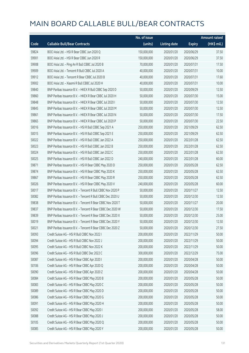|       |                                                            | No. of issue |                     |               | <b>Amount raised</b> |
|-------|------------------------------------------------------------|--------------|---------------------|---------------|----------------------|
| Code  | <b>Callable Bull/Bear Contracts</b>                        | (units)      | <b>Listing date</b> | <b>Expiry</b> | (HK\$ mil.)          |
| 59824 | BOCI Asia Ltd. - HSI R Bear CBBC Jun 2020 Q                | 150,000,000  | 2020/01/20          | 2020/06/29    | 37.50                |
| 59901 | BOCI Asia Ltd. - HSI R Bear CBBC Jun 2020 R                | 150,000,000  | 2020/01/20          | 2020/06/29    | 37.50                |
| 59908 | BOCI Asia Ltd. - Ping An R Bull CBBC Jul 2020 B            | 70,000,000   | 2020/01/20          | 2020/07/31    | 17.50                |
| 59909 | BOCI Asia Ltd. - Tencent R Bull CBBC Jul 2020 A            | 40,000,000   | 2020/01/20          | 2020/07/31    | 10.00                |
| 59912 | BOCI Asia Ltd. - Tencent R Bear CBBC Jul 2020 B            | 40,000,000   | 2020/01/20          | 2020/07/31    | 17.60                |
| 59902 | BOCI Asia Ltd. - Xiaomi R Bull CBBC Jul 2020 H             | 40,000,000   | 2020/01/20          | 2020/07/31    | 10.00                |
| 59840 | BNP Paribas Issuance B.V. - HKEX R Bull CBBC Sep 2020 D    | 50,000,000   | 2020/01/20          | 2020/09/29    | 12.50                |
| 59860 | BNP Paribas Issuance B.V. - HKEX R Bear CBBC Jul 2020 H    | 50,000,000   | 2020/01/20          | 2020/07/30    | 15.00                |
| 59848 | BNP Paribas Issuance B.V. - HKEX R Bear CBBC Jul 2020 I    | 50,000,000   | 2020/01/20          | 2020/07/30    | 12.50                |
| 59845 | BNP Paribas Issuance B.V. - HKEX R Bear CBBC Jul 2020 M    | 50,000,000   | 2020/01/20          | 2020/07/30    | 12.50                |
| 59861 | BNP Paribas Issuance B.V. - HKEX R Bear CBBC Jul 2020 N    | 50,000,000   | 2020/01/20          | 2020/07/30    | 17.50                |
| 59865 | BNP Paribas Issuance B.V. - HKEX R Bear CBBC Jul 2020 P    | 50,000,000   | 2020/01/20          | 2020/07/30    | 22.50                |
| 50016 | BNP Paribas Issuance B.V. - HSI R Bull CBBC Sep 2021 A     | 250,000,000  | 2020/01/20          | 2021/09/29    | 62.50                |
| 50015 | BNP Paribas Issuance B.V. - HSI R Bull CBBC Sep 2021 E     | 250,000,000  | 2020/01/20          | 2021/09/29    | 62.50                |
| 50022 | BNP Paribas Issuance B.V. - HSI R Bull CBBC Jan 2022 A     | 250,000,000  | 2020/01/20          | 2022/01/28    | 62.50                |
| 50023 | BNP Paribas Issuance B.V. - HSI R Bull CBBC Jan 2022 B     | 250,000,000  | 2020/01/20          | 2022/01/28    | 62.50                |
| 50024 | BNP Paribas Issuance B.V. - HSI R Bull CBBC Jan 2022 C     | 250,000,000  | 2020/01/20          | 2022/01/28    | 62.50                |
| 50025 | BNP Paribas Issuance B.V. - HSI R Bull CBBC Jan 2022 D     | 240,000,000  | 2020/01/20          | 2022/01/28    | 60.00                |
| 59871 | BNP Paribas Issuance B.V. - HSI R Bear CBBC May 2020 D     | 250,000,000  | 2020/01/20          | 2020/05/28    | 62.50                |
| 59874 | BNP Paribas Issuance B.V. - HSI R Bear CBBC May 2020 K     | 250,000,000  | 2020/01/20          | 2020/05/28    | 62.50                |
| 59867 | BNP Paribas Issuance B.V. - HSI R Bear CBBC May 2020 R     | 250,000,000  | 2020/01/20          | 2020/05/28    | 62.50                |
| 50026 | BNP Paribas Issuance B.V. - HSI R Bear CBBC May 2020 V     | 240,000,000  | 2020/01/20          | 2020/05/28    | 60.00                |
| 50017 | BNP Paribas Issuance B.V. - Tencent R Bull CBBC Nov 2020 P | 50,000,000   | 2020/01/20          | 2020/11/27    | 12.50                |
| 50082 | BNP Paribas Issuance B.V. - Tencent R Bull CBBC Dec 2020 U | 50,000,000   | 2020/01/20          | 2020/12/30    | 12.50                |
| 59838 | BNP Paribas Issuance B.V. - Tencent R Bear CBBC Nov 2020 T | 50,000,000   | 2020/01/20          | 2020/11/27    | 20.00                |
| 59837 | BNP Paribas Issuance B.V. - Tencent R Bear CBBC Dec 2020 W | 50,000,000   | 2020/01/20          | 2020/12/30    | 17.50                |
| 59839 | BNP Paribas Issuance B.V. - Tencent R Bear CBBC Dec 2020 X | 50,000,000   | 2020/01/20          | 2020/12/30    | 25.00                |
| 50019 | BNP Paribas Issuance B.V. - Tencent R Bear CBBC Dec 2020 Y | 50,000,000   | 2020/01/20          | 2020/12/30    | 12.50                |
| 50021 | BNP Paribas Issuance B.V. - Tencent R Bear CBBC Dec 2020 Z | 50,000,000   | 2020/01/20          | 2020/12/30    | 27.50                |
| 50093 | Credit Suisse AG - HSI R Bull CBBC Nov 2022 I              | 200,000,000  | 2020/01/20          | 2022/11/29    | 50.00                |
| 50094 | Credit Suisse AG - HSI R Bull CBBC Nov 2022 J              | 200,000,000  | 2020/01/20          | 2022/11/29    | 50.00                |
| 50095 | Credit Suisse AG - HSI R Bull CBBC Nov 2022 K              | 200,000,000  | 2020/01/20          | 2022/11/29    | 50.00                |
| 50096 | Credit Suisse AG - HSI R Bull CBBC Dec 2022 C              | 300,000,000  | 2020/01/20          | 2022/12/29    | 75.00                |
| 50087 | Credit Suisse AG - HSI R Bear CBBC Apr 2020 I              | 200,000,000  | 2020/01/20          | 2020/04/28    | 50.00                |
| 50106 | Credit Suisse AG - HSI R Bear CBBC Apr 2020 Q              | 200,000,000  | 2020/01/20          | 2020/04/28    | 50.00                |
| 50090 | Credit Suisse AG - HSI R Bear CBBC Apr 2020 Z              | 200,000,000  | 2020/01/20          | 2020/04/28    | 50.00                |
| 50084 | Credit Suisse AG - HSI R Bear CBBC May 2020 B              | 200,000,000  | 2020/01/20          | 2020/05/28    | 50.00                |
| 50083 | Credit Suisse AG - HSI R Bear CBBC May 2020 C              | 200,000,000  | 2020/01/20          | 2020/05/28    | 50.00                |
| 50089 | Credit Suisse AG - HSI R Bear CBBC May 2020 D              | 200,000,000  | 2020/01/20          | 2020/05/28    | 50.00                |
| 50086 | Credit Suisse AG - HSI R Bear CBBC May 2020 G              | 200,000,000  | 2020/01/20          | 2020/05/28    | 50.00                |
| 50091 | Credit Suisse AG - HSI R Bear CBBC May 2020 H              | 200,000,000  | 2020/01/20          | 2020/05/28    | 50.00                |
| 50092 | Credit Suisse AG - HSI R Bear CBBC May 2020 I              | 200,000,000  | 2020/01/20          | 2020/05/28    | 58.00                |
| 50088 | Credit Suisse AG - HSI R Bear CBBC May 2020 J              | 200,000,000  | 2020/01/20          | 2020/05/28    | 50.00                |
| 50105 | Credit Suisse AG - HSI R Bear CBBC May 2020 Q              | 200,000,000  | 2020/01/20          | 2020/05/28    | 50.00                |
| 50085 | Credit Suisse AG - HSI R Bear CBBC May 2020 Y              | 200,000,000  | 2020/01/20          | 2020/05/28    | 50.00                |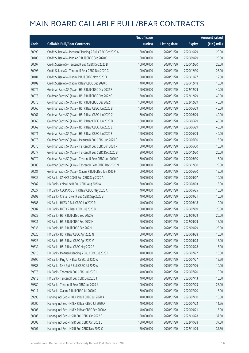|       |                                                            | No. of issue |                     |               | <b>Amount raised</b> |
|-------|------------------------------------------------------------|--------------|---------------------|---------------|----------------------|
| Code  | <b>Callable Bull/Bear Contracts</b>                        | (units)      | <b>Listing date</b> | <b>Expiry</b> | (HK\$ mil.)          |
| 50099 | Credit Suisse AG - Meituan Dianping R Bull CBBC Oct 2020 A | 80,000,000   | 2020/01/20          | 2020/10/29    | 20.00                |
| 50100 | Credit Suisse AG - Ping An R Bull CBBC Sep 2020 C          | 80,000,000   | 2020/01/20          | 2020/09/29    | 20.00                |
| 50097 | Credit Suisse AG - Tencent R Bull CBBC Dec 2020 B          | 100,000,000  | 2020/01/20          | 2020/12/30    | 25.00                |
| 50098 | Credit Suisse AG - Tencent R Bear CBBC Dec 2020 G          | 100,000,000  | 2020/01/20          | 2020/12/30    | 25.00                |
| 50101 | Credit Suisse AG - Xiaomi R Bull CBBC Nov 2020 D           | 50,000,000   | 2020/01/20          | 2020/11/27    | 12.50                |
| 50102 | Credit Suisse AG - Xiaomi R Bear CBBC Dec 2020 D           | 40,000,000   | 2020/01/20          | 2020/12/18    | 10.00                |
| 50072 | Goldman Sachs SP (Asia) - HSI R Bull CBBC Dec 2022 F       | 160,000,000  | 2020/01/20          | 2022/12/29    | 40.00                |
| 50073 | Goldman Sachs SP (Asia) - HSI R Bull CBBC Dec 2022 G       | 160,000,000  | 2020/01/20          | 2022/12/29    | 40.00                |
| 50075 | Goldman Sachs SP (Asia) - HSI R Bull CBBC Dec 2022 H       | 160,000,000  | 2020/01/20          | 2022/12/29    | 40.00                |
| 50066 | Goldman Sachs SP (Asia) - HSI R Bear CBBC Jun 2020 B       | 160,000,000  | 2020/01/20          | 2020/06/29    | 40.00                |
| 50067 | Goldman Sachs SP (Asia) - HSI R Bear CBBC Jun 2020 C       | 160,000,000  | 2020/01/20          | 2020/06/29    | 40.00                |
| 50068 | Goldman Sachs SP (Asia) - HSI R Bear CBBC Jun 2020 D       | 160,000,000  | 2020/01/20          | 2020/06/29    | 40.00                |
| 50069 | Goldman Sachs SP (Asia) - HSI R Bear CBBC Jun 2020 E       | 160,000,000  | 2020/01/20          | 2020/06/29    | 40.00                |
| 50071 | Goldman Sachs SP (Asia) - HSI R Bear CBBC Jun 2020 F       | 160,000,000  | 2020/01/20          | 2020/06/29    | 40.00                |
| 50078 | Goldman Sachs SP (Asia) - Meituan R Bull CBBC Jun 2020 G   | 60,000,000   | 2020/01/20          | 2020/06/30    | 15.00                |
| 50076 | Goldman Sachs SP (Asia) - Tencent R Bull CBBC Jun 2020 P   | 60,000,000   | 2020/01/20          | 2020/06/30    | 15.00                |
| 50077 | Goldman Sachs SP (Asia) - Tencent R Bull CBBC Dec 2020 B   | 80,000,000   | 2020/01/20          | 2020/12/30    | 20.00                |
| 50079 | Goldman Sachs SP (Asia) - Tencent R Bear CBBC Jun 2020 F   | 60,000,000   | 2020/01/20          | 2020/06/30    | 15.00                |
| 50080 | Goldman Sachs SP (Asia) - Tencent R Bear CBBC Dec 2020 M   | 80,000,000   | 2020/01/20          | 2020/12/30    | 20.00                |
| 50081 | Goldman Sachs SP (Asia) - Xiaomi R Bull CBBC Jun 2020 F    | 60,000,000   | 2020/01/20          | 2020/06/30    | 15.00                |
| 59835 | HK Bank - CAM CSI300 R Bull CBBC Sep 2020 A                | 40,000,000   | 2020/01/20          | 2020/09/07    | 10.00                |
| 59882 | HK Bank - China Life R Bull CBBC Aug 2020 A                | 60,000,000   | 2020/01/20          | 2020/08/03    | 15.00                |
| 59827 | HK Bank - CSOP A50 ETF R Bear CBBC May 2020 A              | 40,000,000   | 2020/01/20          | 2020/05/25    | 10.00                |
| 59893 | HK Bank - China Tower R Bull CBBC Sep 2020 B               | 40,000,000   | 2020/01/20          | 2020/09/21    | 10.00                |
| 59885 | HK Bank - HKEX R Bull CBBC Jun 2020 R                      | 40,000,000   | 2020/01/20          | 2020/06/18    | 10.00                |
| 59887 | HK Bank - HKEX R Bear CBBC Jul 2020 B                      | 100,000,000  | 2020/01/20          | 2020/07/09    | 25.00                |
| 59829 | HK Bank - HSI R Bull CBBC Sep 2022 G                       | 80,000,000   | 2020/01/20          | 2022/09/29    | 20.00                |
| 59831 | HK Bank - HSI R Bull CBBC Sep 2022 H                       | 60,000,000   | 2020/01/20          | 2022/09/29    | 15.00                |
| 59836 | HK Bank - HSI R Bull CBBC Sep 2022 I                       | 100,000,000  | 2020/01/20          | 2022/09/29    | 25.00                |
| 59825 | HK Bank - HSI R Bear CBBC Apr 2020 N                       | 60,000,000   | 2020/01/20          | 2020/04/28    | 15.00                |
| 59826 | HK Bank - HSI R Bear CBBC Apr 2020 V                       | 60,000,000   | 2020/01/20          | 2020/04/28    | 15.00                |
| 59832 | HK Bank - HSI R Bear CBBC May 2020 B                       | 60,000,000   | 2020/01/20          | 2020/05/28    | 15.00                |
| 59915 | HK Bank - Meituan Dianping R Bull CBBC Jul 2020 C          | 40,000,000   | 2020/01/20          | 2020/07/27    | 10.00                |
| 59896 | HK Bank - Ping An R Bear CBBC Jul 2020 A                   | 50,000,000   | 2020/01/20          | 2020/07/27    | 12.50                |
| 59883 | HK Bank - SHK Ppt R Bull CBBC Jul 2020 A                   | 40,000,000   | 2020/01/20          | 2020/07/06    | 10.00                |
| 59876 | HK Bank - Tencent R Bull CBBC Jul 2020 I                   | 40,000,000   | 2020/01/20          | 2020/07/20    | 10.00                |
| 59913 | HK Bank - Tencent R Bull CBBC Jul 2020 J                   | 40,000,000   | 2020/01/20          | 2020/07/13    | 10.00                |
| 59880 | HK Bank - Tencent R Bear CBBC Jul 2020 J                   | 100,000,000  | 2020/01/20          | 2020/07/23    | 25.00                |
| 59917 | HK Bank - Xiaomi R Bull CBBC Jul 2020 D                    | 60,000,000   | 2020/01/20          | 2020/07/20    | 15.00                |
| 59995 | Haitong Int'l Sec - HKEX R Bull CBBC Jul 2020 A            | 40,000,000   | 2020/01/20          | 2020/07/10    | 10.00                |
| 50000 | Haitong Int'l Sec - HKEX R Bear CBBC Jul 2020 A            | 40,000,000   | 2020/01/20          | 2020/07/22    | 11.56                |
| 50003 | Haitong Int'l Sec - HKEX R Bear CBBC Sep 2020 A            | 40,000,000   | 2020/01/20          | 2020/09/21    | 15.00                |
| 50006 | Haitong Int'l Sec - HSI R Bull CBBC Oct 2022 B             | 150,000,000  | 2020/01/20          | 2022/10/28    | 37.50                |
| 50008 | Haitong Int'l Sec - HSI R Bull CBBC Oct 2022 C             | 150,000,000  | 2020/01/20          | 2022/10/28    | 37.50                |
| 50007 | Haitong Int'l Sec - HSI R Bull CBBC Nov 2022 C             | 150,000,000  | 2020/01/20          | 2022/11/29    | 37.50                |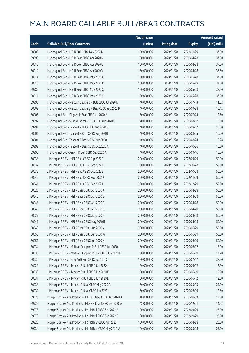|       |                                                             | No. of issue |                     |               | <b>Amount raised</b> |
|-------|-------------------------------------------------------------|--------------|---------------------|---------------|----------------------|
| Code  | <b>Callable Bull/Bear Contracts</b>                         | (units)      | <b>Listing date</b> | <b>Expiry</b> | (HK\$ mil.)          |
| 50009 | Haitong Int'l Sec - HSI R Bull CBBC Nov 2022 D              | 150,000,000  | 2020/01/20          | 2022/11/29    | 37.50                |
| 59990 | Haitong Int'l Sec - HSI R Bear CBBC Apr 2020 N              | 150,000,000  | 2020/01/20          | 2020/04/28    | 37.50                |
| 50010 | Haitong Int'l Sec - HSI R Bear CBBC Apr 2020 U              | 150,000,000  | 2020/01/20          | 2020/04/28    | 37.50                |
| 50012 | Haitong Int'l Sec - HSI R Bear CBBC Apr 2020 V              | 150,000,000  | 2020/01/20          | 2020/04/28    | 37.50                |
| 50014 | Haitong Int'l Sec - HSI R Bear CBBC May 2020 C              | 150,000,000  | 2020/01/20          | 2020/05/28    | 37.50                |
| 50013 | Haitong Int'l Sec - HSI R Bear CBBC May 2020 P              | 150,000,000  | 2020/01/20          | 2020/05/28    | 37.50                |
| 59989 | Haitong Int'l Sec - HSI R Bear CBBC May 2020 X              | 150,000,000  | 2020/01/20          | 2020/05/28    | 37.50                |
| 50011 | Haitong Int'l Sec - HSI R Bear CBBC May 2020 Y              | 150,000,000  | 2020/01/20          | 2020/05/28    | 37.50                |
| 59998 | Haitong Int'l Sec - Meituan Dianping R Bull CBBC Jul 2020 D | 40,000,000   | 2020/01/20          | 2020/07/13    | 11.52                |
| 50002 | Haitong Int'l Sec - Meituan Dianping R Bear CBBC Sep 2020 D | 40,000,000   | 2020/01/20          | 2020/09/28    | 10.12                |
| 50005 | Haitong Int'l Sec - Ping An R Bear CBBC Jul 2020 A          | 50,000,000   | 2020/01/20          | 2020/07/24    | 12.50                |
| 59997 | Haitong Int'l Sec - Sunny Optical R Bull CBBC Aug 2020 C    | 40,000,000   | 2020/01/20          | 2020/08/17    | 10.00                |
| 59991 | Haitong Int'l Sec - Tencent R Bull CBBC Aug 2020 G          | 40,000,000   | 2020/01/20          | 2020/08/17    | 10.00                |
| 50001 | Haitong Int'l Sec - Tencent R Bear CBBC Aug 2020 I          | 40,000,000   | 2020/01/20          | 2020/08/25    | 10.00                |
| 50004 | Haitong Int'l Sec - Tencent R Bear CBBC Aug 2020 J          | 40,000,000   | 2020/01/20          | 2020/08/24    | 18.28                |
| 59992 | Haitong Int'l Sec - Tencent R Bear CBBC Oct 2020 A          | 40,000,000   | 2020/01/20          | 2020/10/06    | 15.80                |
| 59996 | Haitong Int'l Sec - Xiaomi R Bull CBBC Sep 2020 A           | 40,000,000   | 2020/01/20          | 2020/09/16    | 10.00                |
| 50038 | J P Morgan SP BV - HSI R Bull CBBC Sep 2022 T               | 200,000,000  | 2020/01/20          | 2022/09/29    | 50.00                |
| 50037 | J P Morgan SP BV - HSI R Bull CBBC Oct 2022 R               | 200,000,000  | 2020/01/20          | 2022/10/28    | 50.00                |
| 50039 | JP Morgan SP BV - HSIR Bull CBBC Oct 2022 S                 | 200,000,000  | 2020/01/20          | 2022/10/28    | 50.00                |
| 50040 | J P Morgan SP BV - HSI R Bull CBBC Nov 2022 P               | 200,000,000  | 2020/01/20          | 2022/11/29    | 50.00                |
| 50041 | J P Morgan SP BV - HSI R Bull CBBC Dec 2022 L               | 200,000,000  | 2020/01/20          | 2022/12/29    | 50.00                |
| 50028 | J P Morgan SP BV - HSI R Bear CBBC Apr 2020 K               | 200,000,000  | 2020/01/20          | 2020/04/28    | 50.00                |
| 50042 | J P Morgan SP BV - HSI R Bear CBBC Apr 2020 O               | 200,000,000  | 2020/01/20          | 2020/04/28    | 50.00                |
| 50043 | J P Morgan SP BV - HSI R Bear CBBC Apr 2020 S               | 200,000,000  | 2020/01/20          | 2020/04/28    | 50.00                |
| 50046 | J P Morgan SP BV - HSI R Bear CBBC Apr 2020 U               | 200,000,000  | 2020/01/20          | 2020/04/28    | 50.00                |
| 50027 | J P Morgan SP BV - HSI R Bear CBBC Apr 2020 Y               | 200,000,000  | 2020/01/20          | 2020/04/28    | 50.00                |
| 50047 | J P Morgan SP BV - HSI R Bear CBBC May 2020 B               | 200,000,000  | 2020/01/20          | 2020/05/28    | 50.00                |
| 50048 | J P Morgan SP BV - HSI R Bear CBBC Jun 2020 V               | 200,000,000  | 2020/01/20          | 2020/06/29    | 50.00                |
| 50050 | J P Morgan SP BV - HSI R Bear CBBC Jun 2020 W               | 200,000,000  | 2020/01/20          | 2020/06/29    | 50.00                |
| 50051 | J P Morgan SP BV - HSI R Bear CBBC Jun 2020 X               | 200,000,000  | 2020/01/20          | 2020/06/29    | 50.00                |
| 50034 | J P Morgan SP BV - Meituan Dianping R Bull CBBC Jun 2020 J  | 60,000,000   | 2020/01/20          | 2020/06/12    | 15.00                |
| 50035 | J P Morgan SP BV - Meituan Dianping R Bear CBBC Jun 2020 H  | 60,000,000   | 2020/01/20          | 2020/06/19    | 17.70                |
| 50036 | J P Morgan SP BV - Ping An R Bull CBBC Jul 2020 C           | 150,000,000  | 2020/01/20          | 2020/07/17    | 37.50                |
| 50029 | J P Morgan SP BV - Tencent R Bull CBBC Jun 2020 J           | 50,000,000   | 2020/01/20          | 2020/06/12    | 12.50                |
| 50030 | J P Morgan SP BV - Tencent R Bull CBBC Jun 2020 K           | 50,000,000   | 2020/01/20          | 2020/06/19    | 12.50                |
| 50031 | J P Morgan SP BV - Tencent R Bull CBBC Jun 2020 L           | 50,000,000   | 2020/01/20          | 2020/06/12    | 12.50                |
| 50033 | J P Morgan SP BV - Tencent R Bear CBBC May 2020 P           | 50,000,000   | 2020/01/20          | 2020/05/15    | 24.00                |
| 50032 | J P Morgan SP BV - Tencent R Bear CBBC Jun 2020 L           | 50,000,000   | 2020/01/20          | 2020/06/19    | 12.50                |
| 59928 | Morgan Stanley Asia Products - HKEX R Bear CBBC Aug 2020 A  | 48,000,000   | 2020/01/20          | 2020/08/03    | 12.00                |
| 59925 | Morgan Stanley Asia Products - HKEX R Bear CBBC Dec 2020 A  | 48,000,000   | 2020/01/20          | 2020/12/01    | 14.93                |
| 59978 | Morgan Stanley Asia Products - HSI R Bull CBBC Sep 2022 A   | 100,000,000  | 2020/01/20          | 2022/09/29    | 25.00                |
| 59979 | Morgan Stanley Asia Products - HSI R Bull CBBC Sep 2022 B   | 100,000,000  | 2020/01/20          | 2022/09/29    | 25.00                |
| 59923 | Morgan Stanley Asia Products - HSI R Bear CBBC Apr 2020 T   | 100,000,000  | 2020/01/20          | 2020/04/28    | 25.00                |
| 59934 | Morgan Stanley Asia Products - HSI R Bear CBBC May 2020 U   | 100,000,000  | 2020/01/20          | 2020/05/28    | 25.00                |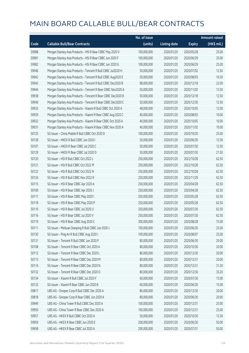|       |                                                              | No. of issue |                     |               | <b>Amount raised</b> |
|-------|--------------------------------------------------------------|--------------|---------------------|---------------|----------------------|
| Code  | <b>Callable Bull/Bear Contracts</b>                          | (units)      | <b>Listing date</b> | <b>Expiry</b> | (HK\$ mil.)          |
| 59988 | Morgan Stanley Asia Products - HSI R Bear CBBC May 2020 V    | 100,000,000  | 2020/01/20          | 2020/05/28    | 25.00                |
| 59981 | Morgan Stanley Asia Products - HSI R Bear CBBC Jun 2020 F    | 100,000,000  | 2020/01/20          | 2020/06/29    | 25.00                |
| 59982 | Morgan Stanley Asia Products - HSI R Bear CBBC Jun 2020 G    | 100,000,000  | 2020/01/20          | 2020/06/29    | 25.00                |
| 59946 | Morgan Stanley Asia Products - Tencent R Bull CBBC Jul2020 H | 50,000,000   | 2020/01/20          | 2020/07/02    | 12.50                |
| 59942 | Morgan Stanley Asia Products - Tencent R Bull CBBC Aug2020 E | 50,000,000   | 2020/01/20          | 2020/08/03    | 16.50                |
| 59945 | Morgan Stanley Asia Products - Tencent R Bull CBBC Dec2020 B | 88,000,000   | 2020/01/20          | 2020/12/18    | 22.00                |
| 59944 | Morgan Stanley Asia Products - Tencent R Bear CBBC Nov2020 A | 50,000,000   | 2020/01/20          | 2020/11/02    | 12.50                |
| 59938 | Morgan Stanley Asia Products - Tencent R Bear CBBC Dec2020 B | 50,000,000   | 2020/01/20          | 2020/12/18    | 12.50                |
| 59940 | Morgan Stanley Asia Products - Tencent R Bear CBBC Dec2020 C | 50,000,000   | 2020/01/20          | 2020/12/30    | 12.50                |
| 59933 | Morgan Stanley Asia Products - Xiaomi R Bull CBBC Oct 2020 A | 48,000,000   | 2020/01/20          | 2020/10/05    | 12.00                |
| 59929 | Morgan Stanley Asia Products - Xiaomi R Bear CBBC Aug 2020 C | 40,000,000   | 2020/01/20          | 2020/08/03    | 10.00                |
| 59932 | Morgan Stanley Asia Products - Xiaomi R Bear CBBC Oct 2020 A | 40,000,000   | 2020/01/20          | 2020/10/05    | 10.00                |
| 59931 | Morgan Stanley Asia Products - Xiaomi R Bear CBBC Nov 2020 A | 40,000,000   | 2020/01/20          | 2020/11/02    | 10.00                |
| 50125 | SG Issuer - China Mobile R Bull CBBC Oct 2020 D              | 100,000,000  | 2020/01/20          | 2020/10/30    | 25.00                |
| 50128 | SG Issuer - HKEX R Bull CBBC Jun 2020 I                      | 50,000,000   | 2020/01/20          | 2020/06/30    | 12.50                |
| 50107 | SG Issuer - HKEX R Bear CBBC Jul 2020 C                      | 50,000,000   | 2020/01/20          | 2020/07/30    | 12.50                |
| 50129 | SG Issuer - HKEX R Bear CBBC Jul 2020 D                      | 50,000,000   | 2020/01/20          | 2020/07/30    | 21.50                |
| 50120 | SG Issuer - HSI R Bull CBBC Oct 2022 L                       | 250,000,000  | 2020/01/20          | 2022/10/28    | 62.50                |
| 50121 | SG Issuer - HSI R Bull CBBC Oct 2022 M                       | 250,000,000  | 2020/01/20          | 2022/10/28    | 62.50                |
| 50122 | SG Issuer - HSI R Bull CBBC Oct 2022 N                       | 250,000,000  | 2020/01/20          | 2022/10/28    | 62.50                |
| 50124 | SG Issuer - HSI R Bull CBBC Nov 2022 R                       | 250,000,000  | 2020/01/20          | 2022/11/29    | 62.50                |
| 50115 | SG Issuer - HSI R Bear CBBC Apr 2020 A                       | 250,000,000  | 2020/01/20          | 2020/04/28    | 62.50                |
| 50109 | SG Issuer - HSI R Bear CBBC Apr 2020 J                       | 250,000,000  | 2020/01/20          | 2020/04/28    | 62.50                |
| 50117 | SG Issuer - HSI R Bear CBBC May 2020 I                       | 250,000,000  | 2020/01/20          | 2020/05/28    | 62.50                |
| 50118 | SG Issuer - HSI R Bear CBBC May 2020 P                       | 250,000,000  | 2020/01/20          | 2020/05/28    | 62.50                |
| 50110 | SG Issuer - HSI R Bear CBBC Jul 2020 U                       | 250,000,000  | 2020/01/20          | 2020/07/30    | 62.50                |
| 50116 | SG Issuer - HSI R Bear CBBC Jul 2020 V                       | 250,000,000  | 2020/01/20          | 2020/07/30    | 62.50                |
| 50119 | SG Issuer - HSI R Bear CBBC Aug 2020 C                       | 300,000,000  | 2020/01/20          | 2020/08/28    | 75.00                |
| 50111 | SG Issuer - Meituan Dianping R Bull CBBC Jun 2020 J          | 100,000,000  | 2020/01/20          | 2020/06/30    | 25.00                |
| 50130 | SG Issuer - Ping An R Bull CBBC Aug 2020 I                   | 100,000,000  | 2020/01/20          | 2020/08/07    | 25.00                |
| 50131 | SG Issuer - Tencent R Bull CBBC Jun 2020 P                   | 80,000,000   | 2020/01/20          | 2020/06/30    | 20.00                |
| 50108 | SG Issuer - Tencent R Bear CBBC Oct 2020 A                   | 80,000,000   | 2020/01/20          | 2020/10/30    | 20.00                |
| 50112 | SG Issuer - Tencent R Bear CBBC Dec 2020 L                   | 80,000,000   | 2020/01/20          | 2020/12/30    | 20.00                |
| 50113 | SG Issuer - Tencent R Bear CBBC Dec 2020 M                   | 80,000,000   | 2020/01/20          | 2020/12/31    | 20.00                |
| 50114 | SG Issuer - Tencent R Bear CBBC Dec 2020 N                   | 80,000,000   | 2020/01/20          | 2020/12/31    | 31.20                |
| 50132 | SG Issuer - Tencent R Bear CBBC Dec 2020 O                   | 80,000,000   | 2020/01/20          | 2020/12/30    | 35.20                |
| 50134 | SG Issuer - Xiaomi R Bull CBBC Jul 2020 F                    | 60,000,000   | 2020/01/20          | 2020/07/30    | 15.00                |
| 50133 | SG Issuer - Xiaomi R Bear CBBC Jun 2020 B                    | 60,000,000   | 2020/01/20          | 2020/06/30    | 15.00                |
| 59817 | UBS AG - Sinopec Corp R Bull CBBC Dec 2020 A                 | 80,000,000   | 2020/01/20          | 2020/12/30    | 20.00                |
| 59818 | UBS AG - Sinopec Corp R Bear CBBC Jun 2020 A                 | 80,000,000   | 2020/01/20          | 2020/06/30    | 20.00                |
| 59949 | UBS AG - China Tower R Bull CBBC Dec 2020 A                  | 100,000,000  | 2020/01/20          | 2020/12/31    | 25.00                |
| 59950 | UBS AG - China Tower R Bear CBBC Dec 2020 A                  | 100,000,000  | 2020/01/20          | 2020/12/31    | 25.00                |
| 59957 | UBS AG - HKEX R Bull CBBC Oct 2020 A                         | 50,000,000   | 2020/01/20          | 2020/10/30    | 12.50                |
| 59959 | UBS AG - HKEX R Bear CBBC Jun 2020 E                         | 200,000,000  | 2020/01/20          | 2020/06/30    | 50.00                |
| 59958 | UBS AG - HKEX R Bear CBBC Jul 2020 A                         | 200,000,000  | 2020/01/20          | 2020/07/31    | 50.00                |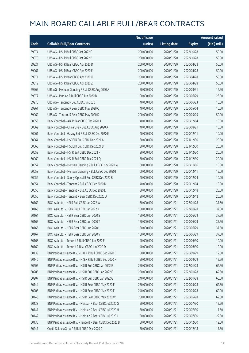|       |                                                            | No. of issue |                     |               | <b>Amount raised</b> |
|-------|------------------------------------------------------------|--------------|---------------------|---------------|----------------------|
| Code  | <b>Callable Bull/Bear Contracts</b>                        | (units)      | <b>Listing date</b> | <b>Expiry</b> | (HK\$ mil.)          |
| 59974 | UBS AG - HSI R Bull CBBC Oct 2022 O                        | 200,000,000  | 2020/01/20          | 2022/10/28    | 50.00                |
| 59975 | UBS AG - HSI R Bull CBBC Oct 2022 P                        | 200,000,000  | 2020/01/20          | 2022/10/28    | 50.00                |
| 59821 | UBS AG - HSI R Bear CBBC Apr 2020 D                        | 200,000,000  | 2020/01/20          | 2020/04/28    | 50.00                |
| 59967 | UBS AG - HSI R Bear CBBC Apr 2020 E                        | 200,000,000  | 2020/01/20          | 2020/04/28    | 50.00                |
| 59971 | UBS AG - HSI R Bear CBBC Apr 2020 X                        | 200,000,000  | 2020/01/20          | 2020/04/28    | 50.00                |
| 59819 | UBS AG - HSI R Bear CBBC Apr 2020 Z                        | 200,000,000  | 2020/01/20          | 2020/04/28    | 50.00                |
| 59965 | UBS AG - Meituan Dianping R Bull CBBC Aug 2020 A           | 50,000,000   | 2020/01/20          | 2020/08/31    | 12.50                |
| 59977 | UBS AG - Ping An R Bull CBBC Jun 2020 B                    | 100,000,000  | 2020/01/20          | 2020/06/29    | 25.00                |
| 59976 | UBS AG - Tencent R Bull CBBC Jun 2020 I                    | 40,000,000   | 2020/01/20          | 2020/06/23    | 10.00                |
| 59961 | UBS AG - Tencent R Bear CBBC May 2020 C                    | 40,000,000   | 2020/01/20          | 2020/05/04    | 10.00                |
| 59962 | UBS AG - Tencent R Bear CBBC May 2020 D                    | 200,000,000  | 2020/01/20          | 2020/05/05    | 50.00                |
| 50053 | Bank Vontobel - AIA R Bear CBBC Dec 2020 A                 | 40,000,000   | 2020/01/20          | 2020/12/04    | 10.00                |
| 50062 | Bank Vontobel - China Life R Bull CBBC Aug 2020 A          | 40,000,000   | 2020/01/20          | 2020/08/21    | 10.00                |
| 50061 | Bank Vontobel - Galaxy Ent R Bull CBBC Dec 2020 E          | 40,000,000   | 2020/01/20          | 2020/12/11    | 10.00                |
| 50064 | Bank Vontobel - HSCEI R Bull CBBC Dec 2021 A               | 80,000,000   | 2020/01/20          | 2021/12/30    | 20.00                |
| 50065 | Bank Vontobel - HSCEI R Bull CBBC Dec 2021 B               | 80,000,000   | 2020/01/20          | 2021/12/30    | 20.00                |
| 50059 | Bank Vontobel - HSI R Bull CBBC Dec 2021 P                 | 80,000,000   | 2020/01/20          | 2021/12/30    | 20.00                |
| 50060 | Bank Vontobel - HSI R Bull CBBC Dec 2021 Q                 | 80,000,000   | 2020/01/20          | 2021/12/30    | 20.00                |
| 50057 | Bank Vontobel - Meituan Dianping R Bull CBBC Nov 2020 W    | 60,000,000   | 2020/01/20          | 2020/11/06    | 15.00                |
| 50058 | Bank Vontobel - Meituan Dianping R Bull CBBC Dec 2020 I    | 60,000,000   | 2020/01/20          | 2020/12/11    | 15.00                |
| 50052 | Bank Vontobel - Sunny Optical R Bull CBBC Dec 2020 B       | 40,000,000   | 2020/01/20          | 2020/12/04    | 10.00                |
| 50054 | Bank Vontobel - Tencent R Bull CBBC Dec 2020 D             | 40,000,000   | 2020/01/20          | 2020/12/04    | 10.00                |
| 50055 | Bank Vontobel - Tencent R Bull CBBC Dec 2020 E             | 80,000,000   | 2020/01/20          | 2020/12/18    | 20.00                |
| 50056 | Bank Vontobel - Tencent R Bear CBBC Dec 2020 D             | 80,000,000   | 2020/01/20          | 2020/12/18    | 20.00                |
| 50162 | BOCI Asia Ltd. - HSI R Bull CBBC Jan 2022 W                | 150,000,000  | 2020/01/21          | 2022/01/28    | 37.50                |
| 50163 | BOCI Asia Ltd. - HSI R Bull CBBC Jan 2022 X                | 150,000,000  | 2020/01/21          | 2022/01/28    | 37.50                |
| 50164 | BOCI Asia Ltd. - HSI R Bear CBBC Jun 2020 S                | 150,000,000  | 2020/01/21          | 2020/06/29    | 37.50                |
| 50165 | BOCLASia Ltd. - HSLR Bear CBBC. Jun 2020 T                 | 150,000,000  | 2020/01/21          | 2020/06/29    | 37.50                |
| 50166 | BOCI Asia Ltd. - HSI R Bear CBBC Jun 2020 U                | 150,000,000  | 2020/01/21          | 2020/06/29    | 37.50                |
| 50167 | BOCI Asia Ltd. - HSI R Bear CBBC Jun 2020 V                | 150,000,000  | 2020/01/21          | 2020/06/29    | 37.50                |
| 50168 | BOCI Asia Ltd. - Tencent R Bull CBBC Jun 2020 F            | 40,000,000   | 2020/01/21          | 2020/06/30    | 10.00                |
| 50169 | BOCI Asia Ltd. - Tencent R Bear CBBC Jun 2020 D            | 40,000,000   | 2020/01/21          | 2020/06/30    | 10.00                |
| 50139 | BNP Paribas Issuance B.V. - HKEX R Bull CBBC Sep 2020 E    | 50,000,000   | 2020/01/21          | 2020/09/29    | 12.50                |
| 50140 | BNP Paribas Issuance B.V. - HKEX R Bull CBBC Sep 2020 H    | 50,000,000   | 2020/01/21          | 2020/09/29    | 12.50                |
| 50205 | BNP Paribas Issuance B.V. - HSI R Bull CBBC Jan 2022 E     | 250,000,000  | 2020/01/21          | 2022/01/28    | 62.50                |
| 50206 | BNP Paribas Issuance B.V. - HSI R Bull CBBC Jan 2022 F     | 250,000,000  | 2020/01/21          | 2022/01/28    | 62.50                |
| 50207 | BNP Paribas Issuance B.V. - HSI R Bull CBBC Jan 2022 G     | 240,000,000  | 2020/01/21          | 2022/01/28    | 60.00                |
| 50144 | BNP Paribas Issuance B.V. - HSI R Bear CBBC May 2020 E     | 250,000,000  | 2020/01/21          | 2020/05/28    | 62.50                |
| 50208 | BNP Paribas Issuance B.V. - HSI R Bear CBBC May 2020 F     | 240,000,000  | 2020/01/21          | 2020/05/28    | 60.00                |
| 50143 | BNP Paribas Issuance B.V. - HSI R Bear CBBC May 2020 W     | 250,000,000  | 2020/01/21          | 2020/05/28    | 62.50                |
| 50138 | BNP Paribas Issuance B.V. - Meituan R Bear CBBC Jul 2020 G | 50,000,000   | 2020/01/21          | 2020/07/30    | 12.50                |
| 50141 | BNP Paribas Issuance B.V. - Meituan R Bear CBBC Jul 2020 H | 50,000,000   | 2020/01/21          | 2020/07/30    | 17.50                |
| 50142 | BNP Paribas Issuance B.V. - Meituan R Bear CBBC Jul 2020 I | 50,000,000   | 2020/01/21          | 2020/07/30    | 22.50                |
| 50135 | BNP Paribas Issuance B.V. - Tencent R Bear CBBC Dec 2020 B | 50,000,000   | 2020/01/21          | 2020/12/30    | 12.50                |
| 50247 | Credit Suisse AG - AIA R Bull CBBC Dec 2020 D              | 70,000,000   | 2020/01/21          | 2020/12/18    | 17.50                |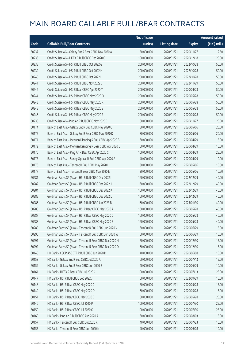|       |                                                             | No. of issue |                     |               | <b>Amount raised</b> |
|-------|-------------------------------------------------------------|--------------|---------------------|---------------|----------------------|
| Code  | <b>Callable Bull/Bear Contracts</b>                         | (units)      | <b>Listing date</b> | <b>Expiry</b> | (HK\$ mil.)          |
| 50237 | Credit Suisse AG - Galaxy Ent R Bear CBBC Nov 2020 A        | 50,000,000   | 2020/01/21          | 2020/11/27    | 12.50                |
| 50236 | Credit Suisse AG - HKEX R Bull CBBC Dec 2020 C              | 100,000,000  | 2020/01/21          | 2020/12/18    | 25.00                |
| 50235 | Credit Suisse AG - HSI R Bull CBBC Oct 2022 G               | 200,000,000  | 2020/01/21          | 2022/10/28    | 50.00                |
| 50239 | Credit Suisse AG - HSI R Bull CBBC Oct 2022 H               | 200,000,000  | 2020/01/21          | 2022/10/28    | 50.00                |
| 50240 | Credit Suisse AG - HSI R Bull CBBC Oct 2022 I               | 200,000,000  | 2020/01/21          | 2022/10/28    | 50.00                |
| 50241 | Credit Suisse AG - HSI R Bull CBBC Nov 2022 L               | 200,000,000  | 2020/01/21          | 2022/11/29    | 50.00                |
| 50242 | Credit Suisse AG - HSI R Bear CBBC Apr 2020 Y               | 200,000,000  | 2020/01/21          | 2020/04/28    | 50.00                |
| 50244 | Credit Suisse AG - HSI R Bear CBBC May 2020 O               | 200,000,000  | 2020/01/21          | 2020/05/28    | 50.00                |
| 50243 | Credit Suisse AG - HSI R Bear CBBC May 2020 R               | 200,000,000  | 2020/01/21          | 2020/05/28    | 50.00                |
| 50245 | Credit Suisse AG - HSI R Bear CBBC May 2020 S               | 200,000,000  | 2020/01/21          | 2020/05/28    | 50.00                |
| 50246 | Credit Suisse AG - HSI R Bear CBBC May 2020 Z               | 200,000,000  | 2020/01/21          | 2020/05/28    | 50.00                |
| 50238 | Credit Suisse AG - Ping An R Bull CBBC Nov 2020 C           | 80,000,000   | 2020/01/21          | 2020/11/27    | 20.00                |
| 50174 | Bank of East Asia - Galaxy Ent R Bull CBBC May 2020 C       | 80,000,000   | 2020/01/21          | 2020/05/06    | 20.00                |
| 50175 | Bank of East Asia - Galaxy Ent R Bear CBBC May 2020 D       | 80,000,000   | 2020/01/21          | 2020/05/06    | 20.00                |
| 50171 | Bank of East Asia - Meituan Dianping R Bull CBBC Apr 2020 B | 60,000,000   | 2020/01/21          | 2020/04/29    | 15.00                |
| 50172 | Bank of East Asia - Meituan Dianping R Bear CBBC Apr 2020 B | 60,000,000   | 2020/01/21          | 2020/04/29    | 15.00                |
| 50170 | Bank of East Asia - Ping An R Bear CBBC Apr 2020 C          | 100,000,000  | 2020/01/21          | 2020/04/29    | 25.00                |
| 50173 | Bank of East Asia - Sunny Optical R Bull CBBC Apr 2020 A    | 40,000,000   | 2020/01/21          | 2020/04/29    | 10.00                |
| 50176 | Bank of East Asia - Tencent R Bull CBBC May 2020 H          | 30,000,000   | 2020/01/21          | 2020/05/06    | 10.50                |
| 50177 | Bank of East Asia - Tencent R Bear CBBC May 2020 E          | 30,000,000   | 2020/01/21          | 2020/05/06    | 10.50                |
| 50281 | Goldman Sachs SP (Asia) - HSI R Bull CBBC Dec 2022 I        | 160,000,000  | 2020/01/21          | 2022/12/29    | 40.00                |
| 50282 | Goldman Sachs SP (Asia) - HSI R Bull CBBC Dec 2022 J        | 160,000,000  | 2020/01/21          | 2022/12/29    | 40.00                |
| 50284 | Goldman Sachs SP (Asia) - HSI R Bull CBBC Dec 2022 K        | 160,000,000  | 2020/01/21          | 2022/12/29    | 40.00                |
| 50285 | Goldman Sachs SP (Asia) - HSI R Bull CBBC Dec 2022 L        | 160,000,000  | 2020/01/21          | 2022/12/29    | 40.00                |
| 50286 | Goldman Sachs SP (Asia) - HSI R Bull CBBC Jan 2023 B        | 160,000,000  | 2020/01/21          | 2023/01/30    | 40.00                |
| 50280 | Goldman Sachs SP (Asia) - HSI R Bear CBBC May 2020 A        | 160,000,000  | 2020/01/21          | 2020/05/28    | 40.00                |
| 50287 | Goldman Sachs SP (Asia) - HSI R Bear CBBC May 2020 C        | 160,000,000  | 2020/01/21          | 2020/05/28    | 40.00                |
| 50288 | Goldman Sachs SP (Asia) - HSI R Bear CBBC May 2020 E        | 160,000,000  | 2020/01/21          | 2020/05/28    | 40.00                |
| 50289 | Goldman Sachs SP (Asia) - Tencent R Bull CBBC Jun 2020 V    | 60,000,000   | 2020/01/21          | 2020/06/29    | 15.00                |
| 50290 | Goldman Sachs SP (Asia) - Tencent R Bull CBBC Jun 2020 W    | 60,000,000   | 2020/01/21          | 2020/06/29    | 15.00                |
| 50291 | Goldman Sachs SP (Asia) - Tencent R Bear CBBC Dec 2020 N    | 60,000,000   | 2020/01/21          | 2020/12/30    | 15.00                |
| 50292 | Goldman Sachs SP (Asia) - Tencent R Bear CBBC Dec 2020 O    | 60,000,000   | 2020/01/21          | 2020/12/30    | 15.00                |
| 50145 | HK Bank - CSOP A50 ETF R Bull CBBC Jun 2020 D               | 40,000,000   | 2020/01/21          | 2020/06/08    | 10.00                |
| 50158 | HK Bank - Galaxy Ent R Bull CBBC Jul 2020 A                 | 60,000,000   | 2020/01/21          | 2020/07/13    | 15.00                |
| 50159 | HK Bank - Galaxy Ent R Bear CBBC Jun 2020 B                 | 40,000,000   | 2020/01/21          | 2020/06/29    | 10.00                |
| 50161 | HK Bank - HKEX R Bear CBBC Jul 2020 C                       | 100,000,000  | 2020/01/21          | 2020/07/13    | 25.00                |
| 50147 | HK Bank - HSI R Bull CBBC Sep 2022 J                        | 60,000,000   | 2020/01/21          | 2022/09/29    | 15.00                |
| 50148 | HK Bank - HSI R Bear CBBC May 2020 C                        | 60,000,000   | 2020/01/21          | 2020/05/28    | 15.00                |
| 50149 | HK Bank - HSI R Bear CBBC May 2020 D                        | 60,000,000   | 2020/01/21          | 2020/05/28    | 15.00                |
| 50151 | HK Bank - HSI R Bear CBBC May 2020 E                        | 80,000,000   | 2020/01/21          | 2020/05/28    | 20.00                |
| 50146 | HK Bank - HSI R Bear CBBC Jul 2020 P                        | 100,000,000  | 2020/01/21          | 2020/07/30    | 25.00                |
| 50150 | HK Bank - HSI R Bear CBBC Jul 2020 Q                        | 100,000,000  | 2020/01/21          | 2020/07/30    | 25.00                |
| 50160 | HK Bank - Ping An R Bull CBBC Aug 2020 A                    | 60,000,000   | 2020/01/21          | 2020/08/03    | 15.00                |
| 50157 | HK Bank - Tencent R Bull CBBC Jul 2020 K                    | 40,000,000   | 2020/01/21          | 2020/07/23    | 10.00                |
| 50153 | HK Bank - Tencent R Bear CBBC Jun 2020 N                    | 40,000,000   | 2020/01/21          | 2020/06/08    | 10.00                |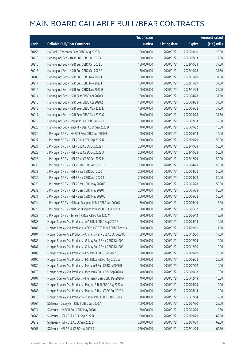|       |                                                                | No. of issue |                     |               | <b>Amount raised</b> |
|-------|----------------------------------------------------------------|--------------|---------------------|---------------|----------------------|
| Code  | <b>Callable Bull/Bear Contracts</b>                            | (units)      | <b>Listing date</b> | <b>Expiry</b> | (HK\$ mil.)          |
| 50155 | HK Bank - Tencent R Bear CBBC Aug 2020 B                       | 100,000,000  | 2020/01/21          | 2020/08/10    | 25.00                |
| 50218 | Haitong Int'l Sec - AIA R Bull CBBC Jul 2020 A                 | 50,000,000   | 2020/01/21          | 2020/07/13    | 12.50                |
| 50210 | Haitong Int'l Sec - HSI R Bull CBBC Oct 2022 D                 | 150,000,000  | 2020/01/21          | 2022/10/28    | 37.50                |
| 50213 | Haitong Int'l Sec - HSI R Bull CBBC Oct 2022 E                 | 150,000,000  | 2020/01/21          | 2022/10/28    | 37.50                |
| 50209 | Haitong Int'l Sec - HSI R Bull CBBC Nov 2022 E                 | 150,000,000  | 2020/01/21          | 2022/11/29    | 37.50                |
| 50211 | Haitong Int'l Sec - HSI R Bull CBBC Nov 2022 F                 | 150,000,000  | 2020/01/21          | 2022/11/29    | 37.50                |
| 50212 | Haitong Int'l Sec - HSI R Bull CBBC Nov 2022 G                 | 100,000,000  | 2020/01/21          | 2022/11/29    | 25.00                |
| 50214 | Haitong Int'l Sec - HSI R Bear CBBC Apr 2020 X                 | 150,000,000  | 2020/01/21          | 2020/04/28    | 37.50                |
| 50216 | Haitong Int'l Sec - HSI R Bear CBBC Apr 2020 Z                 | 150,000,000  | 2020/01/21          | 2020/04/28    | 37.50                |
| 50215 | Haitong Int'l Sec - HSI R Bear CBBC May 2020 E                 | 150,000,000  | 2020/01/21          | 2020/05/28    | 37.50                |
| 50217 | Haitong Int'l Sec - HSI R Bear CBBC May 2020 G                 | 150,000,000  | 2020/01/21          | 2020/05/28    | 37.50                |
| 50219 | Haitong Int'l Sec - Ping An R Bull CBBC Jul 2020 C             | 50,000,000   | 2020/01/21          | 2020/07/13    | 12.50                |
| 50220 | Haitong Int'l Sec - Tencent R Bear CBBC Sep 2020 D             | 40,000,000   | 2020/01/21          | 2020/09/22    | 10.00                |
| 50226 | J P Morgan SP BV - HKEX R Bear CBBC Jun 2020 B                 | 40,000,000   | 2020/01/21          | 2020/06/19    | 14.40                |
| 50227 | J P Morgan SP BV - HSI R Bull CBBC Sep 2022 U                  | 200,000,000  | 2020/01/21          | 2022/09/29    | 50.00                |
| 50221 | J P Morgan SP BV - HSI R Bull CBBC Oct 2022 T                  | 200,000,000  | 2020/01/21          | 2022/10/28    | 50.00                |
| 50222 | J P Morgan SP BV - HSI R Bull CBBC Oct 2022 U                  | 200,000,000  | 2020/01/21          | 2022/10/28    | 50.00                |
| 50228 | J P Morgan SP BV - HSI R Bull CBBC Dec 2022 M                  | 200,000,000  | 2020/01/21          | 2022/12/29    | 50.00                |
| 50230 | J P Morgan SP BV - HSI R Bear CBBC Apr 2020 H                  | 200,000,000  | 2020/01/21          | 2020/04/28    | 50.00                |
| 50233 | J P Morgan SP BV - HSI R Bear CBBC Apr 2020 I                  | 200,000,000  | 2020/01/21          | 2020/04/28    | 50.00                |
| 50234 | J P Morgan SP BV - HSI R Bear CBBC Apr 2020 T                  | 200,000,000  | 2020/01/21          | 2020/04/28    | 50.00                |
| 50229 | J P Morgan SP BV - HSI R Bear CBBC May 2020 E                  | 200,000,000  | 2020/01/21          | 2020/05/28    | 50.00                |
| 50232 | J P Morgan SP BV - HSI R Bear CBBC May 2020 H                  | 200,000,000  | 2020/01/21          | 2020/05/28    | 50.00                |
| 50231 | J P Morgan SP BV - HSI R Bear CBBC May 2020 Q                  | 200,000,000  | 2020/01/21          | 2020/05/28    | 50.00                |
| 50224 | J P Morgan SP BV - Meituan Dianping R Bull CBBC Jun 2020 K     | 60,000,000   | 2020/01/21          | 2020/06/19    | 15.00                |
| 50225 | J P Morgan SP BV - Meituan Dianping R Bear CBBC Jun 2020 I     | 60,000,000   | 2020/01/21          | 2020/06/12    | 15.00                |
| 50223 | J P Morgan SP BV - Tencent R Bear CBBC Jun 2020 M              | 50,000,000   | 2020/01/21          | 2020/06/12    | 12.50                |
| 50188 | Morgan Stanley Asia Products - AIA R Bull CBBC Aug 2020 B      | 40,000,000   | 2020/01/21          | 2020/08/14    | 10.00                |
| 50185 | Morgan Stanley Asia Products - CSOP A50 ETF R Bull CBBC Feb21A | 58,000,000   | 2020/01/21          | 2021/02/01    | 14.50                |
| 50184 | Morgan Stanley Asia Products - China Tower R Bull CBBC Dec20A  | 68,000,000   | 2020/01/21          | 2020/12/30    | 17.00                |
| 50186 | Morgan Stanley Asia Products - Galaxy Ent R Bear CBBC Dec20A   | 40,000,000   | 2020/01/21          | 2020/12/04    | 10.00                |
| 50187 | Morgan Stanley Asia Products - Galaxy Ent R Bear CBBC Dec20B   | 40,000,000   | 2020/01/21          | 2020/12/30    | 10.00                |
| 50189 | Morgan Stanley Asia Products - HSI R Bull CBBC Sep 2022 C      | 100,000,000  | 2020/01/21          | 2022/09/29    | 25.00                |
| 50190 | Morgan Stanley Asia Products - HSI R Bear CBBC May 2020 W      | 100,000,000  | 2020/01/21          | 2020/05/28    | 25.00                |
| 50180 | Morgan Stanley Asia Products - Meituan R Bull CBBC Jul2020 B   | 40,000,000   | 2020/01/21          | 2020/07/02    | 10.00                |
| 50179 | Morgan Stanley Asia Products - Meituan R Bull CBBC Sep2020 A   | 40,000,000   | 2020/01/21          | 2020/09/18    | 10.00                |
| 50181 | Morgan Stanley Asia Products - Meituan R Bear CBBC Dec2020 A   | 40,000,000   | 2020/01/21          | 2020/12/18    | 10.00                |
| 50182 | Morgan Stanley Asia Products - Ping An R Bull CBBC Aug2020 A   | 48,000,000   | 2020/01/21          | 2020/08/03    | 12.00                |
| 50183 | Morgan Stanley Asia Products - Ping An R Bear CBBC Aug2020 A   | 40,000,000   | 2020/01/21          | 2020/08/14    | 10.00                |
| 50178 | Morgan Stanley Asia Products - Xiaomi R Bull CBBC Dec 2020 A   | 48,000,000   | 2020/01/21          | 2020/12/04    | 12.00                |
| 50264 | SG Issuer - Galaxy Ent R Bull CBBC Jul 2020 A                  | 100,000,000  | 2020/01/21          | 2020/07/30    | 25.00                |
| 50274 | SG Issuer - HKEX R Bull CBBC May 2020 L                        | 50,000,000   | 2020/01/21          | 2020/05/29    | 12.50                |
| 50266 | SG Issuer - HSI R Bull CBBC Sep 2022 D                         | 250,000,000  | 2020/01/21          | 2022/09/29    | 62.50                |
| 50272 | SG Issuer - HSI R Bull CBBC Sep 2022 E                         | 250,000,000  | 2020/01/21          | 2022/09/29    | 62.50                |
| 50263 | SG Issuer - HSI R Bull CBBC Nov 2022 S                         | 250,000,000  | 2020/01/21          | 2022/11/29    | 62.50                |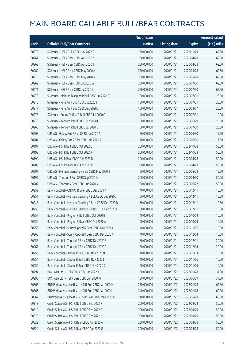|       |                                                         | No. of issue |                     |               | <b>Amount raised</b> |
|-------|---------------------------------------------------------|--------------|---------------------|---------------|----------------------|
| Code  | <b>Callable Bull/Bear Contracts</b>                     | (units)      | <b>Listing date</b> | <b>Expiry</b> | (HK\$ mil.)          |
| 50273 | SG Issuer - HSI R Bull CBBC Nov 2022 T                  | 250,000,000  | 2020/01/21          | 2022/11/29    | 62.50                |
| 50267 | SG Issuer - HSI R Bear CBBC Apr 2020 N                  | 250,000,000  | 2020/01/21          | 2020/04/28    | 62.50                |
| 50268 | SG Issuer - HSI R Bear CBBC Apr 2020 T                  | 250,000,000  | 2020/01/21          | 2020/04/28    | 62.50                |
| 50269 | SG Issuer - HSI R Bear CBBC May 2020 A                  | 250,000,000  | 2020/01/21          | 2020/05/28    | 62.50                |
| 50270 | SG Issuer - HSI R Bear CBBC May 2020 R                  | 250,000,000  | 2020/01/21          | 2020/05/28    | 62.50                |
| 50262 | SG Issuer - HSI R Bear CBBC Jul 2020 W                  | 250,000,000  | 2020/01/21          | 2020/07/30    | 62.50                |
| 50271 | SG Issuer - HSI R Bear CBBC Jul 2020 X                  | 250,000,000  | 2020/01/21          | 2020/07/30    | 62.50                |
| 50275 | SG Issuer - Meituan Dianping R Bull CBBC Jul 2020 G     | 100,000,000  | 2020/01/21          | 2020/07/31    | 25.00                |
| 50276 | SG Issuer - Ping An R Bull CBBC Jul 2020 J              | 100,000,000  | 2020/01/21          | 2020/07/31    | 25.00                |
| 50277 | SG Issuer - Ping An R Bull CBBC Aug 2020 J              | 100,000,000  | 2020/01/21          | 2020/08/07    | 25.00                |
| 50278 | SG Issuer - Sunny Optical R Bull CBBC Jul 2020 C        | 40,000,000   | 2020/01/21          | 2020/07/31    | 10.00                |
| 50279 | SG Issuer - Tencent R Bull CBBC Jun 2020 Q              | 80,000,000   | 2020/01/21          | 2020/06/29    | 20.00                |
| 50265 | SG Issuer - Tencent R Bull CBBC Jul 2020 D              | 80,000,000   | 2020/01/21          | 2020/07/30    | 20.00                |
| 50203 | UBS AG - Galaxy Ent R Bull CBBC Jun 2020 A              | 70,000,000   | 2020/01/21          | 2020/06/30    | 17.50                |
| 50204 | UBS AG - Galaxy Ent R Bear CBBC Jun 2020 A              | 70,000,000   | 2020/01/21          | 2020/06/30    | 17.50                |
| 50191 | UBS AG - HSI R Bull CBBC Oct 2022 Q                     | 200,000,000  | 2020/01/21          | 2022/10/28    | 50.00                |
| 50198 | UBS AG - HSI R Bull CBBC Oct 2022 R                     | 200,000,000  | 2020/01/21          | 2022/10/28    | 50.00                |
| 50199 | UBS AG - HSI R Bear CBBC Apr 2020 B                     | 200,000,000  | 2020/01/21          | 2020/04/28    | 50.00                |
| 50200 | UBS AG - HSI R Bear CBBC Apr 2020 H                     | 200,000,000  | 2020/01/21          | 2020/04/28    | 50.00                |
| 50201 | UBS AG - Meituan Dianping R Bear CBBC May 2020 B        | 50,000,000   | 2020/01/21          | 2020/05/29    | 12.50                |
| 50197 | UBS AG - Tencent R Bull CBBC Sep 2020 A                 | 200,000,000  | 2020/01/21          | 2020/09/30    | 50.00                |
| 50202 | UBS AG - Tencent R Bear CBBC Jun 2020 K                 | 200,000,000  | 2020/01/21          | 2020/06/22    | 50.00                |
| 50259 | Bank Vontobel - CNOOC R Bear CBBC Dec 2020 A            | 40,000,000   | 2020/01/21          | 2020/12/11    | 10.00                |
| 50251 | Bank Vontobel - Meituan Dianping R Bull CBBC Dec 2020 J | 60,000,000   | 2020/01/21          | 2020/12/11    | 15.00                |
| 50248 | Bank Vontobel - Meituan Dianping R Bear CBBC Dec 2020 D | 60,000,000   | 2020/01/21          | 2020/12/11    | 19.80                |
| 50250 | Bank Vontobel - Meituan Dianping R Bear CBBC Dec 2020 E | 60,000,000   | 2020/01/21          | 2020/12/11    | 15.00                |
| 50257 | Bank Vontobel - Ping An R Bull CBBC Oct 2020 B          | 40,000,000   | 2020/01/21          | 2020/10/09    | 10.00                |
| 50256 | Bank Vontobel - Ping An R Bear CBBC Oct 2020 A          | 40,000,000   | 2020/01/21          | 2020/10/09    | 10.00                |
| 50258 | Bank Vontobel - Sunny Optical R Bear CBBC Nov 2020 C    | 40,000,000   | 2020/01/21          | 2020/11/06    | 10.00                |
| 50260 | Bank Vontobel - Sunny Optical R Bear CBBC Dec 2020 A    | 40,000,000   | 2020/01/21          | 2020/12/04    | 10.00                |
| 50255 | Bank Vontobel - Tencent R Bear CBBC Dec 2020 E          | 80,000,000   | 2020/01/21          | 2020/12/11    | 20.00                |
| 50261 | Bank Vontobel - Tencent R Bear CBBC Dec 2020 F          | 80,000,000   | 2020/01/21          | 2020/12/04    | 20.00                |
| 50253 | Bank Vontobel - Xiaomi R Bull CBBC Nov 2020 D           | 40,000,000   | 2020/01/21          | 2020/11/13    | 10.00                |
| 50254 | Bank Vontobel - Xiaomi R Bull CBBC Nov 2020 E           | 40,000,000   | 2020/01/21          | 2020/11/06    | 10.00                |
| 50252 | Bank Vontobel - Xiaomi R Bear CBBC Nov 2020 C           | 40,000,000   | 2020/01/21          | 2020/11/06    | 10.00                |
| 50294 | BOCI Asia Ltd. - HSI R Bull CBBC Jan 2022 Y             | 150,000,000  | 2020/01/22          | 2022/01/28    | 37.50                |
| 50295 | BOCI Asia Ltd. - HSI R Bear CBBC Jun 2020 W             | 150,000,000  | 2020/01/22          | 2020/06/29    | 37.50                |
| 50365 | BNP Paribas Issuance B.V. - HSI R Bull CBBC Jan 2022 H  | 250,000,000  | 2020/01/22          | 2022/01/28    | 62.50                |
| 50366 | BNP Paribas Issuance B.V. - HSI R Bull CBBC Jan 2022 I  | 240,000,000  | 2020/01/22          | 2022/01/28    | 60.00                |
| 50367 | BNP Paribas Issuance B.V. - HSI R Bear CBBC May 2020 G  | 240,000,000  | 2020/01/22          | 2020/05/28    | 60.00                |
| 50318 | Credit Suisse AG - HSI R Bull CBBC Sep 2022 F           | 200,000,000  | 2020/01/22          | 2022/09/29    | 50.00                |
| 50319 | Credit Suisse AG - HSI R Bull CBBC Sep 2022 G           | 200,000,000  | 2020/01/22          | 2022/09/29    | 50.00                |
| 50320 | Credit Suisse AG - HSI R Bull CBBC Sep 2022 H           | 200,000,000  | 2020/01/22          | 2022/09/29    | 50.00                |
| 50322 | Credit Suisse AG - HSI R Bear CBBC Apr 2020 A           | 200,000,000  | 2020/01/22          | 2020/04/28    | 50.00                |
| 50324 | Credit Suisse AG - HSI R Bear CBBC Apr 2020 G           | 200,000,000  | 2020/01/22          | 2020/04/28    | 50.00                |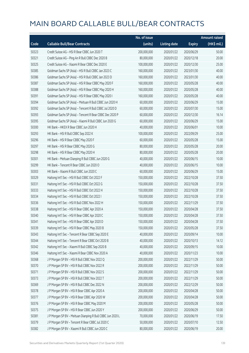|       |                                                            | No. of issue |                     |               | <b>Amount raised</b> |
|-------|------------------------------------------------------------|--------------|---------------------|---------------|----------------------|
| Code  | <b>Callable Bull/Bear Contracts</b>                        | (units)      | <b>Listing date</b> | <b>Expiry</b> | $(HK\$ mil.)         |
| 50323 | Credit Suisse AG - HSI R Bear CBBC Jun 2020 T              | 200,000,000  | 2020/01/22          | 2020/06/29    | 50.00                |
| 50321 | Credit Suisse AG - Ping An R Bull CBBC Dec 2020 B          | 80,000,000   | 2020/01/22          | 2020/12/18    | 20.00                |
| 50325 | Credit Suisse AG - Xiaomi R Bear CBBC Dec 2020 E           | 100,000,000  | 2020/01/22          | 2020/12/30    | 25.00                |
| 50385 | Goldman Sachs SP (Asia) - HSI R Bull CBBC Jan 2023 C       | 160,000,000  | 2020/01/22          | 2023/01/30    | 40.00                |
| 50386 | Goldman Sachs SP (Asia) - HSI R Bull CBBC Jan 2023 D       | 160,000,000  | 2020/01/22          | 2023/01/30    | 40.00                |
| 50387 | Goldman Sachs SP (Asia) - HSI R Bear CBBC May 2020 F       | 160,000,000  | 2020/01/22          | 2020/05/28    | 40.00                |
| 50388 | Goldman Sachs SP (Asia) - HSI R Bear CBBC May 2020 H       | 160,000,000  | 2020/01/22          | 2020/05/28    | 40.00                |
| 50391 | Goldman Sachs SP (Asia) - HSI R Bear CBBC May 2020 I       | 160,000,000  | 2020/01/22          | 2020/05/28    | 40.00                |
| 50394 | Goldman Sachs SP (Asia) - Meituan R Bull CBBC Jun 2020 H   | 60,000,000   | 2020/01/22          | 2020/06/29    | 15.00                |
| 50392 | Goldman Sachs SP (Asia) - Tencent R Bull CBBC Jul 2020 D   | 60,000,000   | 2020/01/22          | 2020/07/30    | 15.00                |
| 50393 | Goldman Sachs SP (Asia) - Tencent R Bear CBBC Dec 2020 P   | 60,000,000   | 2020/01/22          | 2020/12/30    | 16.14                |
| 50395 | Goldman Sachs SP (Asia) - Xiaomi R Bull CBBC Jun 2020 G    | 60,000,000   | 2020/01/22          | 2020/06/29    | 15.00                |
| 50300 | HK Bank - HKEX R Bear CBBC Jun 2020 H                      | 40,000,000   | 2020/01/22          | 2020/06/01    | 10.00                |
| 50293 | HK Bank - HSI R Bull CBBC Sep 2022 K                       | 100,000,000  | 2020/01/22          | 2022/09/29    | 25.00                |
| 50296 | HK Bank - HSI R Bear CBBC May 2020 F                       | 60,000,000   | 2020/01/22          | 2020/05/28    | 15.00                |
| 50297 | HK Bank - HSI R Bear CBBC May 2020 G                       | 80,000,000   | 2020/01/22          | 2020/05/28    | 20.00                |
| 50298 | HK Bank - HSI R Bear CBBC May 2020 H                       | 80,000,000   | 2020/01/22          | 2020/05/28    | 20.00                |
| 50301 | HK Bank - Meituan Dianping R Bull CBBC Jun 2020 G          | 40,000,000   | 2020/01/22          | 2020/06/15    | 10.00                |
| 50299 | HK Bank - Tencent R Bear CBBC Jun 2020 O                   | 40,000,000   | 2020/01/22          | 2020/06/15    | 10.00                |
| 50303 | HK Bank - Xiaomi R Bull CBBC Jun 2020 C                    | 60,000,000   | 2020/01/22          | 2020/06/29    | 15.00                |
| 50329 | Haitong Int'l Sec - HSI R Bull CBBC Oct 2022 F             | 150,000,000  | 2020/01/22          | 2022/10/28    | 37.50                |
| 50331 | Haitong Int'l Sec - HSI R Bull CBBC Oct 2022 G             | 150,000,000  | 2020/01/22          | 2022/10/28    | 37.50                |
| 50333 | Haitong Int'l Sec - HSI R Bull CBBC Oct 2022 H             | 150,000,000  | 2020/01/22          | 2022/10/28    | 37.50                |
| 50334 | Haitong Int'l Sec - HSI R Bull CBBC Oct 2022 I             | 150,000,000  | 2020/01/22          | 2022/10/28    | 37.50                |
| 50336 | Haitong Int'l Sec - HSI R Bull CBBC Nov 2022 H             | 150,000,000  | 2020/01/22          | 2022/11/29    | 37.50                |
| 50338 | Haitong Int'l Sec - HSI R Bear CBBC Apr 2020 A             | 150,000,000  | 2020/01/22          | 2020/04/28    | 37.50                |
| 50340 | Haitong Int'l Sec - HSI R Bear CBBC Apr 2020 C             | 150,000,000  | 2020/01/22          | 2020/04/28    | 37.50                |
| 50341 | Haitong Int'l Sec - HSI R Bear CBBC Apr 2020 D             | 150,000,000  | 2020/01/22          | 2020/04/28    | 37.50                |
| 50339 | Haitong Int'l Sec - HSI R Bear CBBC May 2020 B             | 150,000,000  | 2020/01/22          | 2020/05/28    | 37.50                |
| 50343 | Haitong Int'l Sec - Tencent R Bear CBBC Sep 2020 E         | 40,000,000   | 2020/01/22          | 2020/09/14    | 10.00                |
| 50344 | Haitong Int'l Sec - Tencent R Bear CBBC Oct 2020 B         | 40,000,000   | 2020/01/22          | 2020/10/13    | 14.12                |
| 50342 | Haitong Int'l Sec - Xiaomi R Bull CBBC Sep 2020 B          | 40,000,000   | 2020/01/22          | 2020/09/15    | 10.00                |
| 50346 | Haitong Int'l Sec - Xiaomi R Bear CBBC Nov 2020 A          | 40,000,000   | 2020/01/22          | 2020/11/23    | 10.00                |
| 50368 | J P Morgan SP BV - HSI R Bull CBBC Nov 2022 Q              | 200,000,000  | 2020/01/22          | 2022/11/29    | 50.00                |
| 50370 | J P Morgan SP BV - HSI R Bull CBBC Nov 2022 R              | 200,000,000  | 2020/01/22          | 2022/11/29    | 50.00                |
| 50371 | J P Morgan SP BV - HSI R Bull CBBC Nov 2022 S              | 200,000,000  | 2020/01/22          | 2022/11/29    | 50.00                |
| 50373 | J P Morgan SP BV - HSI R Bull CBBC Nov 2022 T              | 200,000,000  | 2020/01/22          | 2022/11/29    | 50.00                |
| 50369 | J P Morgan SP BV - HSI R Bull CBBC Dec 2022 N              | 200,000,000  | 2020/01/22          | 2022/12/29    | 50.00                |
| 50378 | J P Morgan SP BV - HSI R Bear CBBC Apr 2020 A              | 200,000,000  | 2020/01/22          | 2020/04/28    | 50.00                |
| 50377 | J P Morgan SP BV - HSI R Bear CBBC Apr 2020 W              | 200,000,000  | 2020/01/22          | 2020/04/28    | 50.00                |
| 50376 | J P Morgan SP BV - HSI R Bear CBBC May 2020 M              | 200,000,000  | 2020/01/22          | 2020/05/28    | 50.00                |
| 50375 | J P Morgan SP BV - HSI R Bear CBBC Jun 2020 Y              | 200,000,000  | 2020/01/22          | 2020/06/29    | 50.00                |
| 50381 | J P Morgan SP BV - Meituan Dianping R Bull CBBC Jun 2020 L | 70,000,000   | 2020/01/22          | 2020/06/19    | 17.50                |
| 50379 | J P Morgan SP BV - Tencent R Bear CBBC Jul 2020 C          | 50,000,000   | 2020/01/22          | 2020/07/10    | 12.50                |
| 50382 | J P Morgan SP BV - Xiaomi R Bull CBBC Jun 2020 C           | 80,000,000   | 2020/01/22          | 2020/06/19    | 20.00                |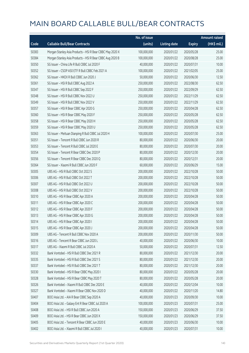|       |                                                           | No. of issue |                     |               | <b>Amount raised</b> |
|-------|-----------------------------------------------------------|--------------|---------------------|---------------|----------------------|
| Code  | <b>Callable Bull/Bear Contracts</b>                       | (units)      | <b>Listing date</b> | <b>Expiry</b> | (HK\$ mil.)          |
| 50383 | Morgan Stanley Asia Products - HSI R Bear CBBC May 2020 X | 100,000,000  | 2020/01/22          | 2020/05/28    | 25.00                |
| 50384 | Morgan Stanley Asia Products - HSI R Bear CBBC Aug 2020 B | 100,000,000  | 2020/01/22          | 2020/08/28    | 25.00                |
| 50350 | SG Issuer - China Life R Bull CBBC Jul 2020 F             | 40,000,000   | 2020/01/22          | 2020/07/31    | 10.00                |
| 50352 | SG Issuer - CSOP A50 ETF R Bull CBBC Feb 2021 A           | 100,000,000  | 2020/01/22          | 2021/02/05    | 25.00                |
| 50362 | SG Issuer - HKEX R Bull CBBC Jun 2020 J                   | 50,000,000   | 2020/01/22          | 2020/06/30    | 12.50                |
| 50361 | SG Issuer - HSI R Bull CBBC Aug 2022 A                    | 250,000,000  | 2020/01/22          | 2022/08/30    | 62.50                |
| 50347 | SG Issuer - HSI R Bull CBBC Sep 2022 F                    | 250,000,000  | 2020/01/22          | 2022/09/29    | 62.50                |
| 50348 | SG Issuer - HSI R Bull CBBC Nov 2022 U                    | 250,000,000  | 2020/01/22          | 2022/11/29    | 62.50                |
| 50349 | SG Issuer - HSI R Bull CBBC Nov 2022 V                    | 250,000,000  | 2020/01/22          | 2022/11/29    | 62.50                |
| 50357 | SG Issuer - HSI R Bear CBBC Apr 2020 G                    | 250,000,000  | 2020/01/22          | 2020/04/28    | 62.50                |
| 50360 | SG Issuer - HSI R Bear CBBC May 2020 F                    | 250,000,000  | 2020/01/22          | 2020/05/28    | 62.50                |
| 50358 | SG Issuer - HSI R Bear CBBC May 2020 H                    | 250,000,000  | 2020/01/22          | 2020/05/28    | 62.50                |
| 50359 | SG Issuer - HSI R Bear CBBC May 2020 U                    | 250,000,000  | 2020/01/22          | 2020/05/28    | 62.50                |
| 50363 | SG Issuer - Meituan Dianping R Bull CBBC Jul 2020 H       | 100,000,000  | 2020/01/22          | 2020/07/30    | 25.00                |
| 50351 | SG Issuer - Tencent R Bull CBBC Jun 2020 R                | 80,000,000   | 2020/01/22          | 2020/06/30    | 20.00                |
| 50353 | SG Issuer - Tencent R Bull CBBC Jul 2020 E                | 80,000,000   | 2020/01/22          | 2020/07/30    | 20.00                |
| 50354 | SG Issuer - Tencent R Bear CBBC Dec 2020 P                | 80,000,000   | 2020/01/22          | 2020/12/30    | 20.00                |
| 50356 | SG Issuer - Tencent R Bear CBBC Dec 2020 Q                | 80,000,000   | 2020/01/22          | 2020/12/31    | 20.00                |
| 50364 | SG Issuer - Xiaomi R Bull CBBC Jun 2020 F                 | 60,000,000   | 2020/01/22          | 2020/06/29    | 15.00                |
| 50305 | UBS AG - HSI R Bull CBBC Oct 2022 S                       | 200,000,000  | 2020/01/22          | 2022/10/28    | 50.00                |
| 50306 | UBS AG - HSI R Bull CBBC Oct 2022 T                       | 200,000,000  | 2020/01/22          | 2022/10/28    | 50.00                |
| 50307 | UBS AG - HSI R Bull CBBC Oct 2022 U                       | 200,000,000  | 2020/01/22          | 2022/10/28    | 50.00                |
| 50308 | UBS AG - HSI R Bull CBBC Oct 2022 V                       | 200,000,000  | 2020/01/22          | 2022/10/28    | 50.00                |
| 50310 | UBS AG - HSI R Bear CBBC Apr 2020 A                       | 200,000,000  | 2020/01/22          | 2020/04/28    | 50.00                |
| 50311 | UBS AG - HSI R Bear CBBC Apr 2020 C                       | 200,000,000  | 2020/01/22          | 2020/04/28    | 50.00                |
| 50312 | UBS AG - HSI R Bear CBBC Apr 2020 F                       | 200,000,000  | 2020/01/22          | 2020/04/28    | 50.00                |
| 50313 | UBS AG - HSI R Bear CBBC Apr 2020 G                       | 200,000,000  | 2020/01/22          | 2020/04/28    | 50.00                |
| 50314 | UBS AG - HSI R Bear CBBC Apr 2020 I                       | 200,000,000  | 2020/01/22          | 2020/04/28    | 50.00                |
| 50315 | UBS AG - HSI R Bear CBBC Apr 2020 J                       | 200,000,000  | 2020/01/22          | 2020/04/28    | 50.00                |
| 50309 | UBS AG - Tencent R Bull CBBC Nov 2020 A                   | 200,000,000  | 2020/01/22          | 2020/11/30    | 50.00                |
| 50316 | UBS AG - Tencent R Bear CBBC Jun 2020 L                   | 40,000,000   | 2020/01/22          | 2020/06/30    | 10.00                |
| 50317 | UBS AG - Xiaomi R Bull CBBC Jul 2020 A                    | 50,000,000   | 2020/01/22          | 2020/07/31    | 12.50                |
| 50332 | Bank Vontobel - HSI R Bull CBBC Dec 2021 R                | 80,000,000   | 2020/01/22          | 2021/12/30    | 20.00                |
| 50335 | Bank Vontobel - HSI R Bull CBBC Dec 2021 S                | 80,000,000   | 2020/01/22          | 2021/12/30    | 20.00                |
| 50337 | Bank Vontobel - HSI R Bull CBBC Dec 2021 T                | 80,000,000   | 2020/01/22          | 2021/12/30    | 20.00                |
| 50330 | Bank Vontobel - HSI R Bear CBBC May 2020 I                | 80,000,000   | 2020/01/22          | 2020/05/28    | 20.00                |
| 50328 | Bank Vontobel - HSI R Bear CBBC May 2020 T                | 80,000,000   | 2020/01/22          | 2020/05/28    | 20.00                |
| 50326 | Bank Vontobel - Xiaomi R Bull CBBC Dec 2020 E             | 40,000,000   | 2020/01/22          | 2020/12/04    | 10.00                |
| 50327 | Bank Vontobel - Xiaomi R Bear CBBC Nov 2020 D             | 40,000,000   | 2020/01/22          | 2020/11/20    | 14.80                |
| 50407 | BOCI Asia Ltd. - AIA R Bear CBBC Sep 2020 A               | 40,000,000   | 2020/01/23          | 2020/09/30    | 10.00                |
| 50404 | BOCI Asia Ltd. - Galaxy Ent R Bear CBBC Jul 2020 A        | 100,000,000  | 2020/01/23          | 2020/07/31    | 25.00                |
| 50408 | BOCI Asia Ltd. - HSI R Bull CBBC Jun 2020 A               | 150,000,000  | 2020/01/23          | 2020/06/29    | 37.50                |
| 50409 | BOCI Asia Ltd. - HSI R Bear CBBC Jun 2020 X               | 150,000,000  | 2020/01/23          | 2020/06/29    | 37.50                |
| 50405 | BOCI Asia Ltd. - Tencent R Bear CBBC Jun 2020 E           | 40,000,000   | 2020/01/23          | 2020/06/30    | 10.00                |
| 50402 | BOCI Asia Ltd. - Xiaomi R Bull CBBC Jul 2020 I            | 40,000,000   | 2020/01/23          | 2020/07/31    | 10.00                |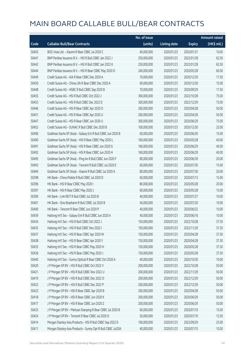|       |                                                             | No. of issue |                     |               | <b>Amount raised</b> |
|-------|-------------------------------------------------------------|--------------|---------------------|---------------|----------------------|
| Code  | <b>Callable Bull/Bear Contracts</b>                         | (units)      | <b>Listing date</b> | <b>Expiry</b> | (HK\$ mil.)          |
| 50403 | BOCI Asia Ltd. - Xiaomi R Bear CBBC Jul 2020 C              | 40,000,000   | 2020/01/23          | 2020/07/31    | 10.00                |
| 50441 | BNP Paribas Issuance B.V. - HSI R Bull CBBC Jan 2022 J      | 250,000,000  | 2020/01/23          | 2022/01/28    | 62.50                |
| 50442 | BNP Paribas Issuance B.V. - HSI R Bull CBBC Jan 2022 K      | 250,000,000  | 2020/01/23          | 2022/01/28    | 62.50                |
| 50444 | BNP Paribas Issuance B.V. - HSI R Bear CBBC May 2020 O      | 240,000,000  | 2020/01/23          | 2020/05/28    | 60.00                |
| 50449 | Credit Suisse AG - AIA R Bear CBBC Dec 2020 A               | 70,000,000   | 2020/01/23          | 2020/12/30    | 17.50                |
| 50450 | Credit Suisse AG - China Life R Bear CBBC Dec 2020 A        | 60,000,000   | 2020/01/23          | 2020/12/30    | 15.00                |
| 50448 | Credit Suisse AG - HSBC R Bull CBBC Sep 2020 B              | 70,000,000   | 2020/01/23          | 2020/09/29    | 17.50                |
| 50455 | Credit Suisse AG - HSI R Bull CBBC Oct 2022 J               | 300,000,000  | 2020/01/23          | 2022/10/28    | 75.00                |
| 50453 | Credit Suisse AG - HSI R Bull CBBC Dec 2022 D               | 300,000,000  | 2020/01/23          | 2022/12/29    | 75.00                |
| 50446 | Credit Suisse AG - HSI R Bear CBBC Apr 2020 O               | 200,000,000  | 2020/01/23          | 2020/04/28    | 50.00                |
| 50451 | Credit Suisse AG - HSI R Bear CBBC Apr 2020 U               | 200,000,000  | 2020/01/23          | 2020/04/28    | 50.00                |
| 50447 | Credit Suisse AG - HSI R Bear CBBC Jun 2020 U               | 300,000,000  | 2020/01/23          | 2020/06/29    | 75.00                |
| 50452 | Credit Suisse AG - SUNAC R Bull CBBC Dec 2020 B             | 100,000,000  | 2020/01/23          | 2020/12/30    | 25.00                |
| 50496 | Goldman Sachs SP (Asia) - Galaxy Ent R Bull CBBC Jun 2020 B | 60,000,000   | 2020/01/23          | 2020/06/30    | 15.00                |
| 50490 | Goldman Sachs SP (Asia) - HSI R Bear CBBC May 2020 L        | 160,000,000  | 2020/01/23          | 2020/05/28    | 40.00                |
| 50491 | Goldman Sachs SP (Asia) - HSI R Bear CBBC Jun 2020 G        | 160,000,000  | 2020/01/23          | 2020/06/29    | 40.00                |
| 50492 | Goldman Sachs SP (Asia) - HSI R Bear CBBC Jun 2020 H        | 160,000,000  | 2020/01/23          | 2020/06/29    | 40.00                |
| 50495 | Goldman Sachs SP (Asia) - Ping An R Bull CBBC Jun 2020 F    | 80,000,000   | 2020/01/23          | 2020/06/30    | 20.00                |
| 50493 | Goldman Sachs SP (Asia) - Tencent R Bull CBBC Jul 2020 E    | 60,000,000   | 2020/01/23          | 2020/07/30    | 15.00                |
| 50494 | Goldman Sachs SP (Asia) - Xiaomi R Bull CBBC Jul 2020 A     | 80,000,000   | 2020/01/23          | 2020/07/30    | 20.00                |
| 50398 | HK Bank - China Mobile R Bull CBBC Jul 2020 D               | 60,000,000   | 2020/01/23          | 2020/07/13    | 15.00                |
| 50396 | HK Bank - HSI R Bear CBBC May 2020 I                        | 80,000,000   | 2020/01/23          | 2020/05/28    | 20.00                |
| 50397 | HK Bank - HSI R Bear CBBC May 2020 J                        | 60,000,000   | 2020/01/23          | 2020/05/28    | 15.00                |
| 50399 | HK Bank - Link REIT R Bull CBBC Jul 2020 B                  | 40,000,000   | 2020/01/23          | 2020/07/27    | 10.00                |
| 50401 | HK Bank - Sino Biopharm R Bull CBBC Jul 2020 B              | 40,000,000   | 2020/01/23          | 2020/07/20    | 10.00                |
| 50400 | HK Bank - Tencent R Bear CBBC Jun 2020 P                    | 40,000,000   | 2020/01/23          | 2020/06/22    | 10.00                |
| 50439 | Haitong Int'l Sec - Galaxy Ent R Bull CBBC Jun 2020 A       | 40,000,000   | 2020/01/23          | 2020/06/16    | 10.00                |
| 50434 | Haitong Int'l Sec - HSI R Bull CBBC Oct 2022 J              | 150,000,000  | 2020/01/23          | 2022/10/28    | 37.50                |
| 50435 | Haitong Int'l Sec - HSI R Bull CBBC Nov 2022 I              | 150,000,000  | 2020/01/23          | 2022/11/29    | 37.50                |
| 50437 | Haitong Int'l Sec - HSI R Bear CBBC Apr 2020 W              | 150,000,000  | 2020/01/23          | 2020/04/28    | 37.50                |
| 50438 | Haitong Int'l Sec - HSI R Bear CBBC Apr 2020 Y              | 150,000,000  | 2020/01/23          | 2020/04/28    | 37.50                |
| 50433 | Haitong Int'l Sec - HSI R Bear CBBC May 2020 H              | 150,000,000  | 2020/01/23          | 2020/05/28    | 37.50                |
| 50436 | Haitong Int'l Sec - HSI R Bear CBBC May 2020 J              | 150,000,000  | 2020/01/23          | 2020/05/28    | 37.50                |
| 50440 | Haitong Int'l Sec - Sunny Optical R Bear CBBC Oct 2020 A    | 40,000,000   | 2020/01/23          | 2020/10/30    | 10.00                |
| 50420 | J P Morgan SP BV - HSI R Bull CBBC Oct 2022 V               | 200,000,000  | 2020/01/23          | 2022/10/28    | 50.00                |
| 50421 | J P Morgan SP BV - HSI R Bull CBBC Nov 2022 U               | 200,000,000  | 2020/01/23          | 2022/11/29    | 50.00                |
| 50419 | J P Morgan SP BV - HSI R Bull CBBC Dec 2022 O               | 200,000,000  | 2020/01/23          | 2022/12/29    | 50.00                |
| 50422 | J P Morgan SP BV - HSI R Bull CBBC Dec 2022 P               | 200,000,000  | 2020/01/23          | 2022/12/29    | 50.00                |
| 50423 | J P Morgan SP BV - HSI R Bear CBBC Apr 2020 B               | 200,000,000  | 2020/01/23          | 2020/04/28    | 50.00                |
| 50418 | J P Morgan SP BV - HSI R Bear CBBC Jun 2020 K               | 200,000,000  | 2020/01/23          | 2020/06/29    | 50.00                |
| 50417 | J P Morgan SP BV - HSI R Bear CBBC Jun 2020 Z               | 200,000,000  | 2020/01/23          | 2020/06/29    | 50.00                |
| 50425 | J P Morgan SP BV - Meituan Dianping R Bear CBBC Jul 2020 B  | 60,000,000   | 2020/01/23          | 2020/07/10    | 15.00                |
| 50424 | J P Morgan SP BV - Tencent R Bear CBBC Jul 2020 D           | 50,000,000   | 2020/01/23          | 2020/07/10    | 12.50                |
| 50414 | Morgan Stanley Asia Products - HSI R Bull CBBC Sep 2022 D   | 100,000,000  | 2020/01/23          | 2022/09/29    | 25.00                |
| 50411 | Morgan Stanley Asia Products - Sunny Opt R Bull CBBC Jul20A | 40,000,000   | 2020/01/23          | 2020/07/15    | 10.00                |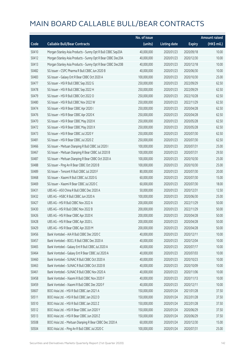|       |                                                             | No. of issue |                     |               | <b>Amount raised</b> |
|-------|-------------------------------------------------------------|--------------|---------------------|---------------|----------------------|
| Code  | <b>Callable Bull/Bear Contracts</b>                         | (units)      | <b>Listing date</b> | <b>Expiry</b> | (HK\$ mil.)          |
| 50410 | Morgan Stanley Asia Products - Sunny Opt R Bull CBBC Sep20A | 40,000,000   | 2020/01/23          | 2020/09/18    | 10.00                |
| 50412 | Morgan Stanley Asia Products - Sunny Opt R Bear CBBC Dec20A | 40,000,000   | 2020/01/23          | 2020/12/30    | 10.00                |
| 50413 | Morgan Stanley Asia Products - Sunny Opt R Bear CBBC Dec20B | 40,000,000   | 2020/01/23          | 2020/12/18    | 10.00                |
| 50482 | SG Issuer - CSPC Pharma R Bull CBBC Jun 2020 B              | 40,000,000   | 2020/01/23          | 2020/06/30    | 10.00                |
| 50483 | SG Issuer - Galaxy Ent R Bear CBBC Oct 2020 A               | 100,000,000  | 2020/01/23          | 2020/10/30    | 25.00                |
| 50477 | SG Issuer - HSI R Bull CBBC Sep 2022 G                      | 250,000,000  | 2020/01/23          | 2022/09/29    | 62.50                |
| 50478 | SG Issuer - HSI R Bull CBBC Sep 2022 H                      | 250,000,000  | 2020/01/23          | 2022/09/29    | 62.50                |
| 50479 | SG Issuer - HSI R Bull CBBC Oct 2022 O                      | 250,000,000  | 2020/01/23          | 2022/10/28    | 62.50                |
| 50480 | SG Issuer - HSI R Bull CBBC Nov 2022 W                      | 250,000,000  | 2020/01/23          | 2022/11/29    | 62.50                |
| 50474 | SG Issuer - HSI R Bear CBBC Apr 2020 I                      | 250,000,000  | 2020/01/23          | 2020/04/28    | 62.50                |
| 50476 | SG Issuer - HSI R Bear CBBC Apr 2020 K                      | 250,000,000  | 2020/01/23          | 2020/04/28    | 62.50                |
| 50470 | SG Issuer - HSI R Bear CBBC May 2020 K                      | 250,000,000  | 2020/01/23          | 2020/05/28    | 62.50                |
| 50472 | SG Issuer - HSI R Bear CBBC May 2020 X                      | 250,000,000  | 2020/01/23          | 2020/05/28    | 62.50                |
| 50473 | SG Issuer - HSI R Bear CBBC Jul 2020 Y                      | 250,000,000  | 2020/01/23          | 2020/07/30    | 62.50                |
| 50481 | SG Issuer - HSI R Bear CBBC Jul 2020 Z                      | 250,000,000  | 2020/01/23          | 2020/07/30    | 62.50                |
| 50466 | SG Issuer - Meituan Dianping R Bull CBBC Jul 2020 I         | 100,000,000  | 2020/01/23          | 2020/07/31    | 25.00                |
| 50467 | SG Issuer - Meituan Dianping R Bear CBBC Jul 2020 B         | 100,000,000  | 2020/01/23          | 2020/07/31    | 29.50                |
| 50487 | SG Issuer - Meituan Dianping R Bear CBBC Oct 2020 A         | 100,000,000  | 2020/01/23          | 2020/10/30    | 25.00                |
| 50488 | SG Issuer - Ping An R Bear CBBC Oct 2020 B                  | 100,000,000  | 2020/01/23          | 2020/10/30    | 25.00                |
| 50489 | SG Issuer - Tencent R Bull CBBC Jul 2020 F                  | 80,000,000   | 2020/01/23          | 2020/07/30    | 20.00                |
| 50468 | SG Issuer - Xiaomi R Bull CBBC Jul 2020 G                   | 60,000,000   | 2020/01/23          | 2020/07/30    | 15.00                |
| 50469 | SG Issuer - Xiaomi R Bear CBBC Jul 2020 C                   | 60,000,000   | 2020/01/23          | 2020/07/30    | 18.00                |
| 50431 | UBS AG - A50 China R Bull CBBC Dec 2020 A                   | 50,000,000   | 2020/01/23          | 2020/12/31    | 12.50                |
| 50432 | UBS AG - HSBC R Bull CBBC Jun 2020 A                        | 100,000,000  | 2020/01/23          | 2020/06/30    | 25.00                |
| 50427 | UBS AG - HSI R Bull CBBC Nov 2022 A                         | 200,000,000  | 2020/01/23          | 2022/11/29    | 50.00                |
| 50430 | UBS AG - HSI R Bull CBBC Nov 2022 B                         | 200,000,000  | 2020/01/23          | 2022/11/29    | 50.00                |
| 50426 | UBS AG - HSI R Bear CBBC Apr 2020 K                         | 200,000,000  | 2020/01/23          | 2020/04/28    | 50.00                |
| 50428 | UBS AG - HSI R Bear CBBC Apr 2020 L                         | 200,000,000  | 2020/01/23          | 2020/04/28    | 50.00                |
| 50429 | UBS AG - HSI R Bear CBBC Apr 2020 M                         | 200,000,000  | 2020/01/23          | 2020/04/28    | 50.00                |
| 50456 | Bank Vontobel - AIA R Bull CBBC Dec 2020 C                  | 40,000,000   | 2020/01/23          | 2020/12/11    | 10.00                |
| 50457 | Bank Vontobel - BOCL R Bull CBBC Dec 2020 A                 | 40,000,000   | 2020/01/23          | 2020/12/04    | 10.00                |
| 50465 | Bank Vontobel - Galaxy Ent R Bull CBBC Jul 2020 A           | 40,000,000   | 2020/01/23          | 2020/07/17    | 10.00                |
| 50464 | Bank Vontobel - Galaxy Ent R Bear CBBC Jul 2020 A           | 40,000,000   | 2020/01/23          | 2020/07/03    | 10.00                |
| 50460 | Bank Vontobel - SUNAC R Bull CBBC Oct 2020 A                | 40,000,000   | 2020/01/23          | 2020/10/23    | 10.00                |
| 50463 | Bank Vontobel - SUNAC R Bull CBBC Oct 2020 B                | 40,000,000   | 2020/01/23          | 2020/10/09    | 10.00                |
| 50461 | Bank Vontobel - SUNAC R Bull CBBC Nov 2020 A                | 40,000,000   | 2020/01/23          | 2020/11/06    | 10.00                |
| 50458 | Bank Vontobel - Xiaomi R Bull CBBC Nov 2020 F               | 40,000,000   | 2020/01/23          | 2020/11/13    | 10.00                |
| 50459 | Bank Vontobel - Xiaomi R Bull CBBC Dec 2020 F               | 40,000,000   | 2020/01/23          | 2020/12/11    | 10.00                |
| 50607 | BOCI Asia Ltd. - HSI R Bull CBBC Jan 2021 A                 | 150,000,000  | 2020/01/24          | 2021/01/28    | 37.50                |
| 50511 | BOCI Asia Ltd. - HSI R Bull CBBC Jan 2022 D                 | 150,000,000  | 2020/01/24          | 2022/01/28    | 37.50                |
| 50510 | BOCI Asia Ltd. - HSI R Bull CBBC Jan 2022 Z                 | 150,000,000  | 2020/01/24          | 2022/01/28    | 37.50                |
| 50512 | BOCI Asia Ltd. - HSI R Bear CBBC Jun 2020 Y                 | 150,000,000  | 2020/01/24          | 2020/06/29    | 37.50                |
| 50513 | BOCI Asia Ltd. - HSI R Bear CBBC Jun 2020 Z                 | 150,000,000  | 2020/01/24          | 2020/06/29    | 37.50                |
| 50508 | BOCI Asia Ltd. - Meituan Dianping R Bear CBBC Dec 2020 A    | 60,000,000   | 2020/01/24          | 2020/12/30    | 15.00                |
| 50504 | BOCI Asia Ltd. - Ping An R Bull CBBC Jul 2020 C             | 100,000,000  | 2020/01/24          | 2020/07/31    | 25.00                |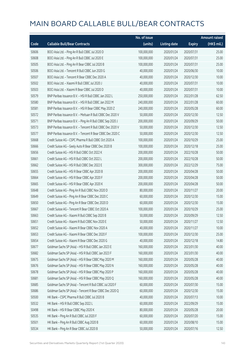|       |                                                            | No. of issue |                     |               | <b>Amount raised</b> |
|-------|------------------------------------------------------------|--------------|---------------------|---------------|----------------------|
| Code  | <b>Callable Bull/Bear Contracts</b>                        | (units)      | <b>Listing date</b> | <b>Expiry</b> | (HK\$ mil.)          |
| 50606 | BOCI Asia Ltd. - Ping An R Bull CBBC Jul 2020 D            | 100,000,000  | 2020/01/24          | 2020/07/31    | 25.00                |
| 50608 | BOCI Asia Ltd. - Ping An R Bull CBBC Jul 2020 E            | 100,000,000  | 2020/01/24          | 2020/07/31    | 25.00                |
| 50505 | BOCI Asia Ltd. - Ping An R Bear CBBC Jul 2020 B            | 100,000,000  | 2020/01/24          | 2020/07/31    | 25.00                |
| 50506 | BOCI Asia Ltd. - Tencent R Bull CBBC Jun 2020 G            | 40,000,000   | 2020/01/24          | 2020/06/30    | 10.00                |
| 50507 | BOCI Asia Ltd. - Tencent R Bear CBBC Dec 2020 A            | 40,000,000   | 2020/01/24          | 2020/12/30    | 10.00                |
| 50502 | BOCI Asia Ltd. - Xiaomi R Bull CBBC Jul 2020 J             | 40,000,000   | 2020/01/24          | 2020/07/31    | 10.00                |
| 50503 | BOCI Asia Ltd. - Xiaomi R Bear CBBC Jul 2020 D             | 40,000,000   | 2020/01/24          | 2020/07/31    | 10.00                |
| 50579 | BNP Paribas Issuance B.V. - HSI R Bull CBBC Jan 2022 L     | 250,000,000  | 2020/01/24          | 2022/01/28    | 62.50                |
| 50580 | BNP Paribas Issuance B.V. - HSI R Bull CBBC Jan 2022 M     | 240,000,000  | 2020/01/24          | 2022/01/28    | 60.00                |
| 50581 | BNP Paribas Issuance B.V. - HSI R Bear CBBC May 2020 Z     | 240,000,000  | 2020/01/24          | 2020/05/28    | 60.00                |
| 50572 | BNP Paribas Issuance B.V. - Meituan R Bull CBBC Dec 2020 V | 50,000,000   | 2020/01/24          | 2020/12/30    | 12.50                |
| 50571 | BNP Paribas Issuance B.V. - Ping An R Bull CBBC Sep 2020 J | 200,000,000  | 2020/01/24          | 2020/09/29    | 50.00                |
| 50573 | BNP Paribas Issuance B.V. - Tencent R Bull CBBC Dec 2020 V | 50,000,000   | 2020/01/24          | 2020/12/30    | 12.50                |
| 50577 | BNP Paribas Issuance B.V. - Tencent R Bear CBBC Dec 2020 C | 50,000,000   | 2020/01/24          | 2020/12/30    | 12.50                |
| 50668 | Credit Suisse AG - CSPC Pharma R Bull CBBC Oct 2020 A      | 100,000,000  | 2020/01/24          | 2020/10/29    | 25.00                |
| 50666 | Credit Suisse AG - Geely Auto R Bear CBBC Dec 2020 B       | 100,000,000  | 2020/01/24          | 2020/12/18    | 25.00                |
| 50656 | Credit Suisse AG - HSI R Bull CBBC Oct 2022 K              | 200,000,000  | 2020/01/24          | 2022/10/28    | 50.00                |
| 50661 | Credit Suisse AG - HSI R Bull CBBC Oct 2022 L              | 200,000,000  | 2020/01/24          | 2022/10/28    | 50.00                |
| 50662 | Credit Suisse AG - HSI R Bull CBBC Dec 2022 E              | 300,000,000  | 2020/01/24          | 2022/12/29    | 75.00                |
| 50655 | Credit Suisse AG - HSI R Bear CBBC Apr 2020 B              | 200,000,000  | 2020/01/24          | 2020/04/28    | 50.00                |
| 50664 | Credit Suisse AG - HSI R Bear CBBC Apr 2020 F              | 200,000,000  | 2020/01/24          | 2020/04/28    | 50.00                |
| 50665 | Credit Suisse AG - HSI R Bear CBBC Apr 2020 K              | 200,000,000  | 2020/01/24          | 2020/04/28    | 50.00                |
| 50648 | Credit Suisse AG - Ping An R Bull CBBC Nov 2020 D          | 80,000,000   | 2020/01/24          | 2020/11/27    | 20.00                |
| 50649 | Credit Suisse AG - Ping An R Bear CBBC Dec 2020 C          | 60,000,000   | 2020/01/24          | 2020/12/30    | 15.00                |
| 50650 | Credit Suisse AG - Ping An R Bear CBBC Dec 2020 D          | 60,000,000   | 2020/01/24          | 2020/12/30    | 15.00                |
| 50667 | Credit Suisse AG - Tencent R Bear CBBC Oct 2020 A          | 100,000,000  | 2020/01/24          | 2020/10/29    | 25.00                |
| 50663 | Credit Suisse AG - Xiaomi R Bull CBBC Sep 2020 B           | 50,000,000   | 2020/01/24          | 2020/09/29    | 12.50                |
| 50651 | Credit Suisse AG - Xiaomi R Bull CBBC Nov 2020 E           | 50,000,000   | 2020/01/24          | 2020/11/27    | 12.50                |
| 50652 | Credit Suisse AG - Xiaomi R Bear CBBC Nov 2020 A           | 40,000,000   | 2020/01/24          | 2020/11/27    | 10.00                |
| 50653 | Credit Suisse AG - Xiaomi R Bear CBBC Dec 2020 F           | 100,000,000  | 2020/01/24          | 2020/12/30    | 25.00                |
| 50654 | Credit Suisse AG - Xiaomi R Bear CBBC Dec 2020 G           | 40,000,000   | 2020/01/24          | 2020/12/18    | 14.80                |
| 50677 | Goldman Sachs SP (Asia) - HSI R Bull CBBC Jan 2023 E       | 160,000,000  | 2020/01/24          | 2023/01/30    | 40.00                |
| 50682 | Goldman Sachs SP (Asia) - HSI R Bull CBBC Jan 2023 F       | 160,000,000  | 2020/01/24          | 2023/01/30    | 40.00                |
| 50675 | Goldman Sachs SP (Asia) - HSI R Bear CBBC May 2020 M       | 160,000,000  | 2020/01/24          | 2020/05/28    | 40.00                |
| 50676 | Goldman Sachs SP (Asia) - HSI R Bear CBBC May 2020 N       | 160,000,000  | 2020/01/24          | 2020/05/28    | 40.00                |
| 50678 | Goldman Sachs SP (Asia) - HSI R Bear CBBC May 2020 P       | 160,000,000  | 2020/01/24          | 2020/05/28    | 40.00                |
| 50681 | Goldman Sachs SP (Asia) - HSI R Bear CBBC May 2020 Q       | 160,000,000  | 2020/01/24          | 2020/05/28    | 40.00                |
| 50685 | Goldman Sachs SP (Asia) - Tencent R Bull CBBC Jul 2020 F   | 60,000,000   | 2020/01/24          | 2020/07/30    | 15.00                |
| 50686 | Goldman Sachs SP (Asia) - Tencent R Bear CBBC Dec 2020 Q   | 60,000,000   | 2020/01/24          | 2020/12/30    | 15.00                |
| 50500 | HK Bank - CSPC Pharma R Bull CBBC Jul 2020 B               | 40,000,000   | 2020/01/24          | 2020/07/13    | 10.00                |
| 50532 | HK Bank - HSI R Bull CBBC Sep 2022 L                       | 60,000,000   | 2020/01/24          | 2022/09/29    | 15.00                |
| 50498 | HK Bank - HSI R Bear CBBC May 2020 K                       | 80,000,000   | 2020/01/24          | 2020/05/28    | 20.00                |
| 50535 | HK Bank - Ping An R Bull CBBC Jul 2020 F                   | 60,000,000   | 2020/01/24          | 2020/07/20    | 15.00                |
| 50501 | HK Bank - Ping An R Bull CBBC Aug 2020 B                   | 60,000,000   | 2020/01/24          | 2020/08/10    | 15.00                |
| 50534 | HK Bank - Ping An R Bear CBBC Jul 2020 B                   | 50,000,000   | 2020/01/24          | 2020/07/16    | 12.50                |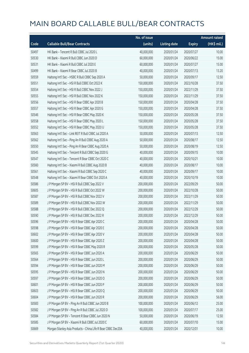|       |                                                              | No. of issue |                     |               | <b>Amount raised</b> |
|-------|--------------------------------------------------------------|--------------|---------------------|---------------|----------------------|
| Code  | <b>Callable Bull/Bear Contracts</b>                          | (units)      | <b>Listing date</b> | <b>Expiry</b> | (HK\$ mil.)          |
| 50497 | HK Bank - Tencent R Bull CBBC Jul 2020 L                     | 40,000,000   | 2020/01/24          | 2020/07/27    | 10.00                |
| 50530 | HK Bank - Xiaomi R Bull CBBC Jun 2020 D                      | 60,000,000   | 2020/01/24          | 2020/06/22    | 15.00                |
| 50531 | HK Bank - Xiaomi R Bull CBBC Jul 2020 E                      | 60,000,000   | 2020/01/24          | 2020/07/27    | 15.00                |
| 50499 | HK Bank - Xiaomi R Bear CBBC Jul 2020 B                      | 40,000,000   | 2020/01/24          | 2020/07/13    | 13.20                |
| 50559 | Haitong Int'l Sec - HSBC R Bull CBBC Sep 2020 A              | 50,000,000   | 2020/01/24          | 2020/09/17    | 12.50                |
| 50551 | Haitong Int'l Sec - HSI R Bull CBBC Oct 2022 K               | 150,000,000  | 2020/01/24          | 2022/10/28    | 37.50                |
| 50554 | Haitong Int'l Sec - HSI R Bull CBBC Nov 2022 J               | 150,000,000  | 2020/01/24          | 2022/11/29    | 37.50                |
| 50555 | Haitong Int'l Sec - HSI R Bull CBBC Nov 2022 K               | 150,000,000  | 2020/01/24          | 2022/11/29    | 37.50                |
| 50556 | Haitong Int'l Sec - HSI R Bear CBBC Apr 2020 B               | 150,000,000  | 2020/01/24          | 2020/04/28    | 37.50                |
| 50557 | Haitong Int'l Sec - HSI R Bear CBBC Apr 2020 G               | 150,000,000  | 2020/01/24          | 2020/04/28    | 37.50                |
| 50546 | Haitong Int'l Sec - HSI R Bear CBBC May 2020 K               | 150,000,000  | 2020/01/24          | 2020/05/28    | 37.50                |
| 50558 | Haitong Int'l Sec - HSI R Bear CBBC May 2020 L               | 150,000,000  | 2020/01/24          | 2020/05/28    | 37.50                |
| 50552 | Haitong Int'l Sec - HSI R Bear CBBC May 2020 U               | 150,000,000  | 2020/01/24          | 2020/05/28    | 37.50                |
| 50563 | Haitong Int'l Sec - Link REIT R Bull CBBC Jul 2020 A         | 50,000,000   | 2020/01/24          | 2020/07/13    | 12.50                |
| 50562 | Haitong Int'l Sec - Ping An R Bull CBBC Aug 2020 A           | 50,000,000   | 2020/01/24          | 2020/08/17    | 12.50                |
| 50550 | Haitong Int'l Sec - Ping An R Bear CBBC Aug 2020 A           | 50,000,000   | 2020/01/24          | 2020/08/19    | 12.50                |
| 50545 | Haitong Int'l Sec - Tencent R Bull CBBC Sep 2020 G           | 40,000,000   | 2020/01/24          | 2020/09/15    | 10.00                |
| 50547 | Haitong Int'l Sec - Tencent R Bear CBBC Oct 2020 C           | 40,000,000   | 2020/01/24          | 2020/10/21    | 10.00                |
| 50560 | Haitong Int'l Sec - Xiaomi R Bull CBBC Aug 2020 B            | 40,000,000   | 2020/01/24          | 2020/08/17    | 10.00                |
| 50561 | Haitong Int'l Sec - Xiaomi R Bull CBBC Sep 2020 C            | 40,000,000   | 2020/01/24          | 2020/09/17    | 10.00                |
| 50548 | Haitong Int'l Sec - Xiaomi R Bear CBBC Oct 2020 A            | 40,000,000   | 2020/01/24          | 2020/10/19    | 10.00                |
| 50586 | J P Morgan SP BV - HSI R Bull CBBC Sep 2022 V                | 200,000,000  | 2020/01/24          | 2022/09/29    | 50.00                |
| 50605 | J P Morgan SP BV - HSI R Bull CBBC Oct 2022 W                | 200,000,000  | 2020/01/24          | 2022/10/28    | 50.00                |
| 50587 | J P Morgan SP BV - HSI R Bull CBBC Nov 2022 V                | 200,000,000  | 2020/01/24          | 2022/11/29    | 50.00                |
| 50589 | J P Morgan SP BV - HSI R Bull CBBC Nov 2022 W                | 200,000,000  | 2020/01/24          | 2022/11/29    | 50.00                |
| 50588 | J P Morgan SP BV - HSI R Bull CBBC Dec 2022 Q                | 200,000,000  | 2020/01/24          | 2022/12/29    | 50.00                |
| 50590 | J P Morgan SP BV - HSI R Bull CBBC Dec 2022 R                | 200,000,000  | 2020/01/24          | 2022/12/29    | 50.00                |
| 50596 | J P Morgan SP BV - HSI R Bear CBBC Apr 2020 C                | 200,000,000  | 2020/01/24          | 2020/04/28    | 50.00                |
| 50598 | J P Morgan SP BV - HSI R Bear CBBC Apr 2020 E                | 200,000,000  | 2020/01/24          | 2020/04/28    | 50.00                |
| 50602 | J P Morgan SP BV - HSI R Bear CBBC Apr 2020 V                | 200,000,000  | 2020/01/24          | 2020/04/28    | 50.00                |
| 50600 | J P Morgan SP BV - HSI R Bear CBBC Apr 2020 Z                | 200,000,000  | 2020/01/24          | 2020/04/28    | 50.00                |
| 50599 | J P Morgan SP BV - HSI R Bear CBBC May 2020 R                | 200,000,000  | 2020/01/24          | 2020/05/28    | 50.00                |
| 50565 | J P Morgan SP BV - HSI R Bear CBBC Jun 2020 A                | 200,000,000  | 2020/01/24          | 2020/06/29    | 50.00                |
| 50564 | J P Morgan SP BV - HSI R Bear CBBC Jun 2020 L                | 200,000,000  | 2020/01/24          | 2020/06/29    | 50.00                |
| 50594 | J P Morgan SP BV - HSI R Bear CBBC Jun 2020 M                | 200,000,000  | 2020/01/24          | 2020/06/29    | 50.00                |
| 50595 | J P Morgan SP BV - HSI R Bear CBBC Jun 2020 N                | 200,000,000  | 2020/01/24          | 2020/06/29    | 50.00                |
| 50597 | J P Morgan SP BV - HSI R Bear CBBC Jun 2020 O                | 200,000,000  | 2020/01/24          | 2020/06/29    | 50.00                |
| 50601 | J P Morgan SP BV - HSI R Bear CBBC Jun 2020 P                | 200,000,000  | 2020/01/24          | 2020/06/29    | 50.00                |
| 50603 | J P Morgan SP BV - HSI R Bear CBBC Jun 2020 Q                | 200,000,000  | 2020/01/24          | 2020/06/29    | 50.00                |
| 50604 | J P Morgan SP BV - HSI R Bear CBBC Jun 2020 R                | 200,000,000  | 2020/01/24          | 2020/06/29    | 56.00                |
| 50583 | J P Morgan SP BV - Ping An R Bull CBBC Jun 2020 B            | 100,000,000  | 2020/01/24          | 2020/06/12    | 25.00                |
| 50582 | J P Morgan SP BV - Ping An R Bull CBBC Jul 2020 D            | 100,000,000  | 2020/01/24          | 2020/07/17    | 25.00                |
| 50584 | J P Morgan SP BV - Tencent R Bear CBBC Jun 2020 N            | 50,000,000   | 2020/01/24          | 2020/06/19    | 12.50                |
| 50585 | J P Morgan SP BV - Xiaomi R Bull CBBC Jul 2020 C             | 60,000,000   | 2020/01/24          | 2020/07/10    | 15.00                |
| 50669 | Morgan Stanley Asia Products - China Life R Bear CBBC Dec20A | 40,000,000   | 2020/01/24          | 2020/12/01    | 10.00                |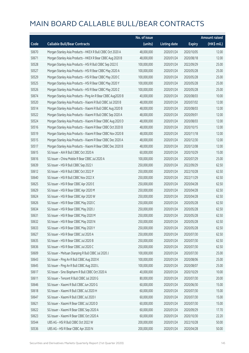|       |                                                              | No. of issue |                     |               | <b>Amount raised</b> |
|-------|--------------------------------------------------------------|--------------|---------------------|---------------|----------------------|
| Code  | <b>Callable Bull/Bear Contracts</b>                          | (units)      | <b>Listing date</b> | <b>Expiry</b> | (HK\$ mil.)          |
| 50670 | Morgan Stanley Asia Products - HKEX R Bull CBBC Oct 2020 A   | 48,000,000   | 2020/01/24          | 2020/10/05    | 12.00                |
| 50671 | Morgan Stanley Asia Products - HKEX R Bear CBBC Aug 2020 B   | 48,000,000   | 2020/01/24          | 2020/08/18    | 12.00                |
| 50528 | Morgan Stanley Asia Products - HSI R Bull CBBC Sep 2022 E    | 100,000,000  | 2020/01/24          | 2022/09/29    | 25.00                |
| 50527 | Morgan Stanley Asia Products - HSI R Bear CBBC May 2020 A    | 100,000,000  | 2020/01/24          | 2020/05/28    | 25.00                |
| 50529 | Morgan Stanley Asia Products - HSI R Bear CBBC May 2020 C    | 100,000,000  | 2020/01/24          | 2020/05/28    | 25.00                |
| 50525 | Morgan Stanley Asia Products - HSI R Bear CBBC May 2020 Y    | 100,000,000  | 2020/01/24          | 2020/05/28    | 25.00                |
| 50526 | Morgan Stanley Asia Products - HSI R Bear CBBC May 2020 Z    | 100,000,000  | 2020/01/24          | 2020/05/28    | 25.00                |
| 50674 | Morgan Stanley Asia Products - Ping An R Bear CBBC Aug2020 B | 40,000,000   | 2020/01/24          | 2020/08/03    | 10.00                |
| 50520 | Morgan Stanley Asia Products - Xiaomi R Bull CBBC Jul 2020 B | 48,000,000   | 2020/01/24          | 2020/07/02    | 12.00                |
| 50514 | Morgan Stanley Asia Products - Xiaomi R Bull CBBC Aug 2020 B | 48,000,000   | 2020/01/24          | 2020/08/03    | 12.00                |
| 50522 | Morgan Stanley Asia Products - Xiaomi R Bull CBBC Sep 2020 A | 48,000,000   | 2020/01/24          | 2020/09/01    | 12.00                |
| 50524 | Morgan Stanley Asia Products - Xiaomi R Bear CBBC Aug 2020 D | 48,000,000   | 2020/01/24          | 2020/08/03    | 12.00                |
| 50516 | Morgan Stanley Asia Products - Xiaomi R Bear CBBC Oct 2020 B | 48,000,000   | 2020/01/24          | 2020/10/15    | 12.00                |
| 50519 | Morgan Stanley Asia Products - Xiaomi R Bear CBBC Nov 2020 B | 48,000,000   | 2020/01/24          | 2020/11/18    | 12.00                |
| 50515 | Morgan Stanley Asia Products - Xiaomi R Bear CBBC Dec 2020 A | 48,000,000   | 2020/01/24          | 2020/12/30    | 12.00                |
| 50517 | Morgan Stanley Asia Products - Xiaomi R Bear CBBC Dec 2020 B | 48,000,000   | 2020/01/24          | 2020/12/08    | 12.00                |
| 50615 | SG Issuer - AIA R Bull CBBC Oct 2020 A                       | 60,000,000   | 2020/01/24          | 2020/10/29    | 15.00                |
| 50616 | SG Issuer - China Mobile R Bear CBBC Jul 2020 A              | 100,000,000  | 2020/01/24          | 2020/07/29    | 25.00                |
| 50639 | SG Issuer - HSI R Bull CBBC Sep 2022 I                       | 250,000,000  | 2020/01/24          | 2022/09/29    | 62.50                |
| 50612 | SG Issuer - HSI R Bull CBBC Oct 2022 P                       | 250,000,000  | 2020/01/24          | 2022/10/28    | 62.50                |
| 50640 | SG Issuer - HSI R Bull CBBC Nov 2022 X                       | 250,000,000  | 2020/01/24          | 2022/11/29    | 62.50                |
| 50625 | SG Issuer - HSI R Bear CBBC Apr 2020 E                       | 250,000,000  | 2020/01/24          | 2020/04/28    | 62.50                |
| 50629 | SG Issuer - HSI R Bear CBBC Apr 2020 M                       | 250,000,000  | 2020/01/24          | 2020/04/28    | 62.50                |
| 50624 | SG Issuer - HSI R Bear CBBC Apr 2020 W                       | 250,000,000  | 2020/01/24          | 2020/04/28    | 62.50                |
| 50626 | SG Issuer - HSI R Bear CBBC May 2020 C                       | 250,000,000  | 2020/01/24          | 2020/05/28    | 62.50                |
| 50634 | SG Issuer - HSI R Bear CBBC May 2020 J                       | 250,000,000  | 2020/01/24          | 2020/05/28    | 62.50                |
| 50631 | SG Issuer - HSI R Bear CBBC May 2020 M                       | 250,000,000  | 2020/01/24          | 2020/05/28    | 62.50                |
| 50632 | SG Issuer - HSI R Bear CBBC May 2020 N                       | 250,000,000  | 2020/01/24          | 2020/05/28    | 62.50                |
| 50633 | SG Issuer - HSI R Bear CBBC May 2020 Y                       | 250,000,000  | 2020/01/24          | 2020/05/28    | 62.50                |
| 50627 | SG Issuer - HSI R Bear CBBC Jul 2020 A                       | 250,000,000  | 2020/01/24          | 2020/07/30    | 62.50                |
| 50635 | SG Issuer - HSI R Bear CBBC Jul 2020 B                       | 250,000,000  | 2020/01/24          | 2020/07/30    | 62.50                |
| 50636 | SG Issuer - HSI R Bear CBBC Jul 2020 C                       | 250,000,000  | 2020/01/24          | 2020/07/30    | 62.50                |
| 50609 | SG Issuer - Meituan Dianping R Bull CBBC Jul 2020 J          | 100,000,000  | 2020/01/24          | 2020/07/30    | 25.00                |
| 50643 | SG Issuer - Ping An R Bull CBBC Aug 2020 K                   | 100,000,000  | 2020/01/24          | 2020/08/06    | 25.00                |
| 50645 | SG Issuer - Ping An R Bull CBBC Aug 2020 L                   | 100,000,000  | 2020/01/24          | 2020/08/07    | 25.00                |
| 50617 | SG Issuer - Sino Biopharm R Bull CBBC Oct 2020 A             | 40,000,000   | 2020/01/24          | 2020/10/29    | 10.00                |
| 50611 | SG Issuer - Tencent R Bull CBBC Jul 2020 G                   | 80,000,000   | 2020/01/24          | 2020/07/30    | 20.00                |
| 50646 | SG Issuer - Xiaomi R Bull CBBC Jun 2020 G                    | 60,000,000   | 2020/01/24          | 2020/06/30    | 15.00                |
| 50618 | SG Issuer - Xiaomi R Bull CBBC Jul 2020 H                    | 60,000,000   | 2020/01/24          | 2020/07/30    | 15.00                |
| 50647 | SG Issuer - Xiaomi R Bull CBBC Jul 2020 I                    | 60,000,000   | 2020/01/24          | 2020/07/30    | 15.00                |
| 50621 | SG Issuer - Xiaomi R Bear CBBC Jul 2020 D                    | 60,000,000   | 2020/01/24          | 2020/07/30    | 15.00                |
| 50622 | SG Issuer - Xiaomi R Bear CBBC Sep 2020 A                    | 60,000,000   | 2020/01/24          | 2020/09/29    | 17.70                |
| 50623 | SG Issuer - Xiaomi R Bear CBBC Oct 2020 A                    | 60,000,000   | 2020/01/24          | 2020/10/30    | 22.20                |
| 50544 | UBS AG - HSI R Bull CBBC Oct 2022 W                          | 200,000,000  | 2020/01/24          | 2022/10/28    | 50.00                |
| 50536 | UBS AG - HSI R Bear CBBC Apr 2020 N                          | 200,000,000  | 2020/01/24          | 2020/04/28    | 50.00                |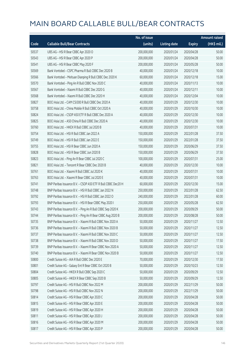|       |                                                              | No. of issue |                     |               | <b>Amount raised</b> |
|-------|--------------------------------------------------------------|--------------|---------------------|---------------|----------------------|
| Code  | <b>Callable Bull/Bear Contracts</b>                          | (units)      | <b>Listing date</b> | <b>Expiry</b> | (HK\$ mil.)          |
| 50537 | UBS AG - HSI R Bear CBBC Apr 2020 O                          | 200,000,000  | 2020/01/24          | 2020/04/28    | 50.00                |
| 50543 | UBS AG - HSI R Bear CBBC Apr 2020 P                          | 200,000,000  | 2020/01/24          | 2020/04/28    | 50.00                |
| 50541 | UBS AG - HSI R Bear CBBC May 2020 F                          | 200,000,000  | 2020/01/24          | 2020/05/28    | 50.00                |
| 50569 | Bank Vontobel - CSPC Pharma R Bull CBBC Dec 2020 B           | 40,000,000   | 2020/01/24          | 2020/12/18    | 10.00                |
| 50566 | Bank Vontobel - Meituan Dianping R Bull CBBC Dec 2020 K      | 60,000,000   | 2020/01/24          | 2020/12/18    | 15.00                |
| 50570 | Bank Vontobel - Ping An R Bull CBBC Nov 2020 C               | 40,000,000   | 2020/01/24          | 2020/11/13    | 10.00                |
| 50567 | Bank Vontobel - Xiaomi R Bull CBBC Dec 2020 G                | 40,000,000   | 2020/01/24          | 2020/12/11    | 10.00                |
| 50568 | Bank Vontobel - Xiaomi R Bull CBBC Dec 2020 H                | 40,000,000   | 2020/01/24          | 2020/12/04    | 10.00                |
| 50827 | BOCI Asia Ltd. - CAM CSI300 R Bull CBBC Dec 2020 A           | 40,000,000   | 2020/01/29          | 2020/12/30    | 10.00                |
| 50758 | BOCI Asia Ltd. - China Mobile R Bull CBBC Oct 2020 A         | 40,000,000   | 2020/01/29          | 2020/10/30    | 10.00                |
| 50824 | BOCI Asia Ltd. - CSOP A50 ETF R Bull CBBC Dec 2020 A         | 40,000,000   | 2020/01/29          | 2020/12/30    | 10.00                |
| 50825 | BOCI Asia Ltd. - A50 China R Bull CBBC Dec 2020 A            | 40,000,000   | 2020/01/29          | 2020/12/30    | 10.00                |
| 50760 | BOCI Asia Ltd. - HKEX R Bull CBBC Jul 2020 B                 | 40,000,000   | 2020/01/29          | 2020/07/31    | 10.00                |
| 50754 | BOCI Asia Ltd. - HSI R Bull CBBC Jan 2022 A                  | 150,000,000  | 2020/01/29          | 2022/01/28    | 37.50                |
| 50749 | BOCI Asia Ltd. - HSI R Bull CBBC Jan 2022 E                  | 150,000,000  | 2020/01/29          | 2022/01/28    | 37.50                |
| 50755 | BOCI Asia Ltd. - HSI R Bear CBBC Jun 2020 A                  | 150,000,000  | 2020/01/29          | 2020/06/29    | 37.50                |
| 50828 | BOCI Asia Ltd. - HSI R Bear CBBC Jun 2020 B                  | 150,000,000  | 2020/01/29          | 2020/06/29    | 37.50                |
| 50823 | BOCI Asia Ltd. - Ping An R Bear CBBC Jul 2020 C              | 100,000,000  | 2020/01/29          | 2020/07/31    | 25.00                |
| 50821 | BOCI Asia Ltd. - Tencent R Bear CBBC Dec 2020 B              | 40,000,000   | 2020/01/29          | 2020/12/30    | 10.00                |
| 50761 | BOCI Asia Ltd. - Xiaomi R Bull CBBC Jul 2020 K               | 40,000,000   | 2020/01/29          | 2020/07/31    | 10.00                |
| 50763 | BOCI Asia Ltd. - Xiaomi R Bear CBBC Jul 2020 E               | 40,000,000   | 2020/01/29          | 2020/07/31    | 10.00                |
| 50741 | BNP Paribas Issuance B.V. - CSOP A50 ETF R Bull CBBC Dec20 H | 60,000,000   | 2020/01/29          | 2020/12/30    | 15.00                |
| 50748 | BNP Paribas Issuance B.V. - HSI R Bull CBBC Jan 2022 N       | 250,000,000  | 2020/01/29          | 2022/01/28    | 62.50                |
| 50792 | BNP Paribas Issuance B.V. - HSI R Bull CBBC Jan 2022 O       | 240,000,000  | 2020/01/29          | 2022/01/28    | 60.00                |
| 50793 | BNP Paribas Issuance B.V. - HSI R Bear CBBC May 2020 I       | 250,000,000  | 2020/01/29          | 2020/05/28    | 62.50                |
| 50743 | BNP Paribas Issuance B.V. - Ping An R Bull CBBC Sep 2020 K   | 200,000,000  | 2020/01/29          | 2020/09/29    | 50.00                |
| 50744 | BNP Paribas Issuance B.V. - Ping An R Bear CBBC Aug 2020 B   | 200,000,000  | 2020/01/29          | 2020/08/28    | 50.00                |
| 50735 | BNP Paribas Issuance B.V. - Xiaomi R Bull CBBC Nov 2020 A    | 50,000,000   | 2020/01/29          | 2020/11/27    | 12.50                |
| 50736 | BNP Paribas Issuance B.V. - Xiaomi R Bull CBBC Nov 2020 B    | 50,000,000   | 2020/01/29          | 2020/11/27    | 12.50                |
| 50737 | BNP Paribas Issuance B.V. - Xiaomi R Bull CBBC Nov 2020 C    | 50,000,000   | 2020/01/29          | 2020/11/27    | 12.50                |
| 50738 | BNP Paribas Issuance B.V. - Xiaomi R Bull CBBC Nov 2020 D    | 50,000,000   | 2020/01/29          | 2020/11/27    | 17.50                |
| 50739 | BNP Paribas Issuance B.V. - Xiaomi R Bear CBBC Nov 2020 A    | 50,000,000   | 2020/01/29          | 2020/11/27    | 12.50                |
| 50740 | BNP Paribas Issuance B.V. - Xiaomi R Bear CBBC Nov 2020 B    | 50,000,000   | 2020/01/29          | 2020/11/27    | 12.50                |
| 50800 | Credit Suisse AG - AIA R Bull CBBC Dec 2020 E                | 70,000,000   | 2020/01/29          | 2020/12/30    | 17.50                |
| 50801 | Credit Suisse AG - Galaxy Ent R Bear CBBC Oct 2020 B         | 50,000,000   | 2020/01/29          | 2020/10/23    | 12.50                |
| 50804 | Credit Suisse AG - HKEX R Bull CBBC Sep 2020 C               | 50,000,000   | 2020/01/29          | 2020/09/29    | 12.50                |
| 50805 | Credit Suisse AG - HKEX R Bear CBBC Sep 2020 B               | 50,000,000   | 2020/01/29          | 2020/09/29    | 12.50                |
| 50797 | Credit Suisse AG - HSI R Bull CBBC Nov 2022 M                | 200,000,000  | 2020/01/29          | 2022/11/29    | 50.00                |
| 50798 | Credit Suisse AG - HSI R Bull CBBC Nov 2022 N                | 200,000,000  | 2020/01/29          | 2022/11/29    | 50.00                |
| 50814 | Credit Suisse AG - HSI R Bear CBBC Apr 2020 C                | 200,000,000  | 2020/01/29          | 2020/04/28    | 50.00                |
| 50815 | Credit Suisse AG - HSI R Bear CBBC Apr 2020 E                | 200,000,000  | 2020/01/29          | 2020/04/28    | 50.00                |
| 50819 | Credit Suisse AG - HSI R Bear CBBC Apr 2020 H                | 200,000,000  | 2020/01/29          | 2020/04/28    | 50.00                |
| 50811 | Credit Suisse AG - HSI R Bear CBBC Apr 2020 J                | 200,000,000  | 2020/01/29          | 2020/04/28    | 50.00                |
| 50816 | Credit Suisse AG - HSI R Bear CBBC Apr 2020 M                | 200,000,000  | 2020/01/29          | 2020/04/28    | 50.00                |
| 50817 | Credit Suisse AG - HSI R Bear CBBC Apr 2020 P                | 200,000,000  | 2020/01/29          | 2020/04/28    | 50.00                |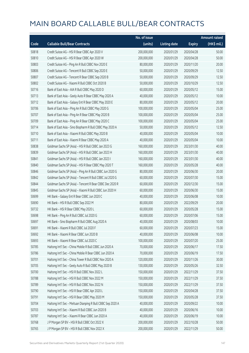|       |                                                             | No. of issue |                     |               | <b>Amount raised</b> |
|-------|-------------------------------------------------------------|--------------|---------------------|---------------|----------------------|
| Code  | <b>Callable Bull/Bear Contracts</b>                         | (units)      | <b>Listing date</b> | <b>Expiry</b> | (HK\$ mil.)          |
| 50818 | Credit Suisse AG - HSI R Bear CBBC Apr 2020 V               | 200,000,000  | 2020/01/29          | 2020/04/28    | 50.00                |
| 50810 | Credit Suisse AG - HSI R Bear CBBC Apr 2020 W               | 200,000,000  | 2020/01/29          | 2020/04/28    | 50.00                |
| 50803 | Credit Suisse AG - Ping An R Bull CBBC Nov 2020 E           | 80,000,000   | 2020/01/29          | 2020/11/20    | 20.00                |
| 50806 | Credit Suisse AG - Tencent R Bull CBBC Sep 2020 E           | 50,000,000   | 2020/01/29          | 2020/09/29    | 12.50                |
| 50807 | Credit Suisse AG - Tencent R Bear CBBC Sep 2020 B           | 50,000,000   | 2020/01/29          | 2020/09/29    | 12.50                |
| 50802 | Credit Suisse AG - Xiaomi R Bull CBBC Oct 2020 B            | 50,000,000   | 2020/01/29          | 2020/10/29    | 12.50                |
| 50716 | Bank of East Asia - AIA R Bull CBBC May 2020 D              | 60,000,000   | 2020/01/29          | 2020/05/12    | 15.00                |
| 50713 | Bank of East Asia - Geely Auto R Bear CBBC May 2020 A       | 40,000,000   | 2020/01/29          | 2020/05/12    | 10.00                |
| 50712 | Bank of East Asia - Galaxy Ent R Bear CBBC May 2020 E       | 80,000,000   | 2020/01/29          | 2020/05/12    | 20.00                |
| 50706 | Bank of East Asia - Ping An R Bull CBBC May 2020 G          | 100,000,000  | 2020/01/29          | 2020/05/04    | 25.00                |
| 50707 | Bank of East Asia - Ping An R Bear CBBC May 2020 B          | 100,000,000  | 2020/01/29          | 2020/05/04    | 25.00                |
| 50709 | Bank of East Asia - Ping An R Bear CBBC May 2020 C          | 100,000,000  | 2020/01/29          | 2020/05/04    | 25.00                |
| 50714 | Bank of East Asia - Sino Biopharm R Bull CBBC May 2020 A    | 50,000,000   | 2020/01/29          | 2020/05/12    | 12.50                |
| 50710 | Bank of East Asia - Xiaomi R Bull CBBC May 2020 B           | 40,000,000   | 2020/01/29          | 2020/05/04    | 10.00                |
| 50711 | Bank of East Asia - Xiaomi R Bear CBBC May 2020 A           | 40,000,000   | 2020/01/29          | 2020/05/04    | 10.00                |
| 50838 | Goldman Sachs SP (Asia) - HSI R Bull CBBC Jan 2023 G        | 160,000,000  | 2020/01/29          | 2023/01/30    | 40.00                |
| 50839 | Goldman Sachs SP (Asia) - HSI R Bull CBBC Jan 2023 H        | 160,000,000  | 2020/01/29          | 2023/01/30    | 40.00                |
| 50841 | Goldman Sachs SP (Asia) - HSI R Bull CBBC Jan 2023 I        | 160,000,000  | 2020/01/29          | 2023/01/30    | 40.00                |
| 50840 | Goldman Sachs SP (Asia) - HSI R Bear CBBC May 2020 T        | 160,000,000  | 2020/01/29          | 2020/05/28    | 40.00                |
| 50846 | Goldman Sachs SP (Asia) - Ping An R Bull CBBC Jun 2020 G    | 80,000,000   | 2020/01/29          | 2020/06/30    | 20.00                |
| 50842 | Goldman Sachs SP (Asia) - Tencent R Bull CBBC Jul 2020 G    | 60,000,000   | 2020/01/29          | 2020/07/30    | 15.00                |
| 50844 | Goldman Sachs SP (Asia) - Tencent R Bear CBBC Dec 2020 R    | 60,000,000   | 2020/01/29          | 2020/12/30    | 15.00                |
| 50845 | Goldman Sachs SP (Asia) - Xiaomi R Bull CBBC Jun 2020 H     | 60,000,000   | 2020/01/29          | 2020/06/30    | 15.00                |
| 50699 | HK Bank - Galaxy Ent R Bear CBBC Jun 2020 C                 | 40,000,000   | 2020/01/29          | 2020/06/08    | 10.00                |
| 50690 | HK Bank - HSI R Bull CBBC Sep 2022 M                        | 80,000,000   | 2020/01/29          | 2022/09/29    | 20.00                |
| 50732 | HK Bank - HSI R Bear CBBC May 2020 L                        | 60,000,000   | 2020/01/29          | 2020/05/28    | 15.00                |
| 50698 | HK Bank - Ping An R Bull CBBC Jul 2020 G                    | 60,000,000   | 2020/01/29          | 2020/07/06    | 15.00                |
| 50697 | HK Bank - Sino Biopharm R Bull CBBC Aug 2020 A              | 40,000,000   | 2020/01/29          | 2020/08/03    | 10.00                |
| 50691 | HK Bank - Xiaomi R Bull CBBC Jul 2020 F                     | 60,000,000   | 2020/01/29          | 2020/07/23    | 15.00                |
| 50692 | HK Bank - Xiaomi R Bear CBBC Jun 2020 B                     | 40,000,000   | 2020/01/29          | 2020/06/08    | 10.00                |
| 50693 | HK Bank - Xiaomi R Bear CBBC Jul 2020 C                     | 100,000,000  | 2020/01/29          | 2020/07/20    | 25.00                |
| 50785 | Haitong Int'l Sec - China Mobile R Bull CBBC Jun 2020 A     | 70,000,000   | 2020/01/29          | 2020/06/17    | 17.50                |
| 50786 | Haitong Int'l Sec - China Mobile R Bear CBBC Jun 2020 A     | 70,000,000   | 2020/01/29          | 2020/06/19    | 17.50                |
| 50701 | Haitong Int'l Sec - China Tower R Bull CBBC Nov 2020 A      | 120,000,000  | 2020/01/29          | 2020/11/26    | 30.00                |
| 50705 | Haitong Int'l Sec - Geely Auto R Bull CBBC May 2020 B       | 130,000,000  | 2020/01/29          | 2020/05/26    | 32.50                |
| 50700 | Haitong Int'l Sec - HSI R Bull CBBC Nov 2022 L              | 150,000,000  | 2020/01/29          | 2022/11/29    | 37.50                |
| 50788 | Haitong Int'l Sec - HSI R Bull CBBC Nov 2022 M              | 150,000,000  | 2020/01/29          | 2022/11/29    | 37.50                |
| 50789 | Haitong Int'l Sec - HSI R Bull CBBC Nov 2022 N              | 150,000,000  | 2020/01/29          | 2022/11/29    | 37.50                |
| 50790 | Haitong Int'l Sec - HSI R Bear CBBC Apr 2020 L              | 150,000,000  | 2020/01/29          | 2020/04/28    | 37.50                |
| 50791 | Haitong Int'l Sec - HSI R Bear CBBC May 2020 M              | 150,000,000  | 2020/01/29          | 2020/05/28    | 37.50                |
| 50704 | Haitong Int'l Sec - Meituan Dianping R Bull CBBC Sep 2020 A | 40,000,000   | 2020/01/29          | 2020/09/22    | 10.00                |
| 50703 | Haitong Int'l Sec - Xiaomi R Bull CBBC Jun 2020 B           | 40,000,000   | 2020/01/29          | 2020/06/16    | 10.00                |
| 50787 | Haitong Int'l Sec - Xiaomi R Bear CBBC Jun 2020 A           | 40,000,000   | 2020/01/29          | 2020/06/19    | 10.00                |
| 50768 | J P Morgan SP BV - HSI R Bull CBBC Oct 2022 X               | 200,000,000  | 2020/01/29          | 2022/10/28    | 50.00                |
| 50765 | J P Morgan SP BV - HSI R Bull CBBC Nov 2022 X               | 200,000,000  | 2020/01/29          | 2022/11/29    | 50.00                |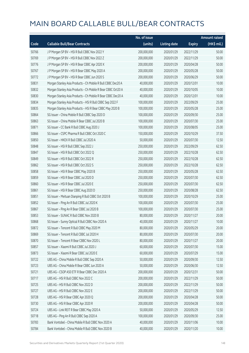|       |                                                              | No. of issue |                     |               | <b>Amount raised</b> |
|-------|--------------------------------------------------------------|--------------|---------------------|---------------|----------------------|
| Code  | <b>Callable Bull/Bear Contracts</b>                          | (units)      | <b>Listing date</b> | <b>Expiry</b> | (HK\$ mil.)          |
| 50766 | J P Morgan SP BV - HSI R Bull CBBC Nov 2022 Y                | 200,000,000  | 2020/01/29          | 2022/11/29    | 50.00                |
| 50769 | J P Morgan SP BV - HSI R Bull CBBC Nov 2022 Z                | 200,000,000  | 2020/01/29          | 2022/11/29    | 50.00                |
| 50776 | J P Morgan SP BV - HSI R Bear CBBC Apr 2020 X                | 200,000,000  | 2020/01/29          | 2020/04/28    | 50.00                |
| 50767 | J P Morgan SP BV - HSI R Bear CBBC May 2020 A                | 200,000,000  | 2020/01/29          | 2020/05/28    | 50.00                |
| 50772 | J P Morgan SP BV - HSI R Bear CBBC Jun 2020 S                | 200,000,000  | 2020/01/29          | 2020/06/29    | 50.00                |
| 50831 | Morgan Stanley Asia Products - Ch Mobile R Bull CBBC Dec20 A | 40,000,000   | 2020/01/29          | 2020/12/01    | 10.00                |
| 50832 | Morgan Stanley Asia Products - Ch Mobile R Bear CBBC Oct20 A | 40,000,000   | 2020/01/29          | 2020/10/05    | 10.00                |
| 50830 | Morgan Stanley Asia Products - Ch Mobile R Bear CBBC Dec20 A | 40,000,000   | 2020/01/29          | 2020/12/01    | 10.00                |
| 50834 | Morgan Stanley Asia Products - HSI R Bull CBBC Sep 2022 F    | 100,000,000  | 2020/01/29          | 2022/09/29    | 25.00                |
| 50835 | Morgan Stanley Asia Products - HSI R Bear CBBC May 2020 B    | 100,000,000  | 2020/01/29          | 2020/05/28    | 25.00                |
| 50864 | SG Issuer - China Mobile R Bull CBBC Sep 2020 D              | 100,000,000  | 2020/01/29          | 2020/09/30    | 25.00                |
| 50863 | SG Issuer - China Mobile R Bear CBBC Jul 2020 B              | 100,000,000  | 2020/01/29          | 2020/07/30    | 25.00                |
| 50871 | SG Issuer - CC Bank R Bull CBBC Aug 2020 J                   | 100,000,000  | 2020/01/29          | 2020/08/05    | 25.00                |
| 50866 | SG Issuer - CSPC Pharma R Bull CBBC Oct 2020 C               | 150,000,000  | 2020/01/29          | 2020/10/29    | 37.50                |
| 50850 | SG Issuer - HKEX R Bull CBBC Jul 2020 A                      | 50,000,000   | 2020/01/29          | 2020/07/30    | 12.50                |
| 50848 | SG Issuer - HSI R Bull CBBC Sep 2022 J                       | 250,000,000  | 2020/01/29          | 2022/09/29    | 62.50                |
| 50847 | SG Issuer - HSI R Bull CBBC Oct 2022 Q                       | 250,000,000  | 2020/01/29          | 2022/10/28    | 62.50                |
| 50849 | SG Issuer - HSI R Bull CBBC Oct 2022 R                       | 250,000,000  | 2020/01/29          | 2022/10/28    | 62.50                |
| 50862 | SG Issuer - HSI R Bull CBBC Oct 2022 S                       | 250,000,000  | 2020/01/29          | 2022/10/28    | 62.50                |
| 50858 | SG Issuer - HSI R Bear CBBC May 2020 B                       | 250,000,000  | 2020/01/29          | 2020/05/28    | 62.50                |
| 50859 | SG Issuer - HSI R Bear CBBC Jul 2020 D                       | 250,000,000  | 2020/01/29          | 2020/07/30    | 62.50                |
| 50860 | SG Issuer - HSI R Bear CBBC Jul 2020 E                       | 250,000,000  | 2020/01/29          | 2020/07/30    | 62.50                |
| 50861 | SG Issuer - HSI R Bear CBBC Aug 2020 D                       | 250,000,000  | 2020/01/29          | 2020/08/28    | 62.50                |
| 50851 | SG Issuer - Meituan Dianping R Bull CBBC Oct 2020 B          | 100,000,000  | 2020/01/29          | 2020/10/29    | 25.00                |
| 50852 | SG Issuer - Ping An R Bull CBBC Jul 2020 K                   | 100,000,000  | 2020/01/29          | 2020/07/30    | 25.00                |
| 50867 | SG Issuer - Ping An R Bear CBBC Jul 2020 B                   | 100,000,000  | 2020/01/29          | 2020/07/30    | 25.00                |
| 50853 | SG Issuer - SUNAC R Bull CBBC Nov 2020 B                     | 80,000,000   | 2020/01/29          | 2020/11/27    | 20.00                |
| 50868 | SG Issuer - Sunny Optical R Bull CBBC Nov 2020 A             | 40,000,000   | 2020/01/29          | 2020/11/27    | 10.00                |
| 50872 | SG Issuer - Tencent R Bull CBBC May 2020 M                   | 80,000,000   | 2020/01/29          | 2020/05/29    | 20.00                |
| 50869 | SG Issuer - Tencent R Bull CBBC Jul 2020 H                   | 80,000,000   | 2020/01/29          | 2020/07/30    | 20.00                |
| 50870 | SG Issuer - Tencent R Bear CBBC Nov 2020 L                   | 80,000,000   | 2020/01/29          | 2020/11/27    | 20.00                |
| 50857 | SG Issuer - Xiaomi R Bull CBBC Jul 2020 J                    | 60,000,000   | 2020/01/29          | 2020/07/30    | 15.00                |
| 50873 | SG Issuer - Xiaomi R Bear CBBC Jul 2020 E                    | 60,000,000   | 2020/01/29          | 2020/07/29    | 15.00                |
| 50722 | UBS AG - China Mobile R Bull CBBC Sep 2020 A                 | 50,000,000   | 2020/01/29          | 2020/09/30    | 12.50                |
| 50723 | UBS AG - China Mobile R Bear CBBC Jun 2020 A                 | 50,000,000   | 2020/01/29          | 2020/06/30    | 12.50                |
| 50721 | UBS AG - CSOP A50 ETF R Bear CBBC Dec 2020 A                 | 200,000,000  | 2020/01/29          | 2020/12/31    | 50.00                |
| 50717 | UBS AG - HSI R Bull CBBC Nov 2022 C                          | 200,000,000  | 2020/01/29          | 2022/11/29    | 50.00                |
| 50725 | UBS AG - HSI R Bull CBBC Nov 2022 D                          | 200,000,000  | 2020/01/29          | 2022/11/29    | 50.00                |
| 50727 | UBS AG - HSI R Bull CBBC Nov 2022 E                          | 200,000,000  | 2020/01/29          | 2022/11/29    | 50.00                |
| 50728 | UBS AG - HSI R Bear CBBC Apr 2020 Q                          | 200,000,000  | 2020/01/29          | 2020/04/28    | 50.00                |
| 50730 | UBS AG - HSI R Bear CBBC Apr 2020 R                          | 200,000,000  | 2020/01/29          | 2020/04/28    | 50.00                |
| 50724 | UBS AG - Link REIT R Bear CBBC May 2020 A                    | 50,000,000   | 2020/01/29          | 2020/05/29    | 12.50                |
| 50718 | UBS AG - Ping An R Bull CBBC Sep 2020 A                      | 100,000,000  | 2020/01/29          | 2020/09/30    | 25.00                |
| 50783 | Bank Vontobel - China Mobile R Bull CBBC Nov 2020 A          | 40,000,000   | 2020/01/29          | 2020/11/06    | 10.00                |
| 50784 | Bank Vontobel - China Mobile R Bull CBBC Nov 2020 B          | 40,000,000   | 2020/01/29          | 2020/11/20    | 10.00                |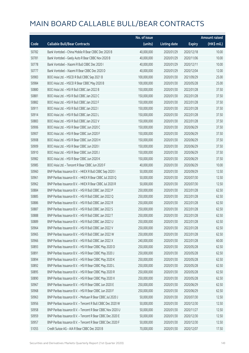|       |                                                            | No. of issue |                     |               | <b>Amount raised</b> |
|-------|------------------------------------------------------------|--------------|---------------------|---------------|----------------------|
| Code  | <b>Callable Bull/Bear Contracts</b>                        | (units)      | <b>Listing date</b> | <b>Expiry</b> | (HK\$ mil.)          |
| 50782 | Bank Vontobel - China Mobile R Bear CBBC Dec 2020 B        | 40,000,000   | 2020/01/29          | 2020/12/18    | 10.00                |
| 50781 | Bank Vontobel - Geely Auto R Bear CBBC Nov 2020 B          | 40,000,000   | 2020/01/29          | 2020/11/06    | 10.00                |
| 50778 | Bank Vontobel - Xiaomi R Bull CBBC Dec 2020 I              | 40,000,000   | 2020/01/29          | 2020/12/11    | 10.00                |
| 50777 | Bank Vontobel - Xiaomi R Bear CBBC Dec 2020 D              | 40,000,000   | 2020/01/29          | 2020/12/04    | 12.00                |
| 50983 | BOCI Asia Ltd. - HSCEI R Bull CBBC Sep 2021 B              | 100,000,000  | 2020/01/30          | 2021/09/29    | 25.00                |
| 50984 | BOCI Asia Ltd. - HSCEI R Bear CBBC May 2020 B              | 100,000,000  | 2020/01/30          | 2020/05/28    | 25.00                |
| 50880 | BOCI Asia Ltd. - HSI R Bull CBBC Jan 2022 B                | 150,000,000  | 2020/01/30          | 2022/01/28    | 37.50                |
| 50881 | BOCI Asia Ltd. - HSI R Bull CBBC Jan 2022 C                | 150,000,000  | 2020/01/30          | 2022/01/28    | 37.50                |
| 50882 | BOCI Asia Ltd. - HSI R Bull CBBC Jan 2022 F                | 150,000,000  | 2020/01/30          | 2022/01/28    | 37.50                |
| 50911 | BOCI Asia Ltd. - HSI R Bull CBBC Jan 2022 I                | 150,000,000  | 2020/01/30          | 2022/01/28    | 37.50                |
| 50914 | BOCI Asia Ltd. - HSI R Bull CBBC Jan 2022 L                | 150,000,000  | 2020/01/30          | 2022/01/28    | 37.50                |
| 50883 | BOCI Asia Ltd. - HSI R Bull CBBC Jan 2022 V                | 150,000,000  | 2020/01/30          | 2022/01/28    | 37.50                |
| 50906 | BOCI Asia Ltd. - HSI R Bear CBBC Jun 2020 C                | 150,000,000  | 2020/01/30          | 2020/06/29    | 37.50                |
| 50907 | BOCI Asia Ltd. - HSI R Bear CBBC Jun 2020 F                | 150,000,000  | 2020/01/30          | 2020/06/29    | 37.50                |
| 50908 | BOCI Asia Ltd. - HSI R Bear CBBC Jun 2020 H                | 150,000,000  | 2020/01/30          | 2020/06/29    | 37.50                |
| 50909 | BOCI Asia Ltd. - HSI R Bear CBBC Jun 2020 I                | 150,000,000  | 2020/01/30          | 2020/06/29    | 37.50                |
| 50910 | BOCI Asia Ltd. - HSI R Bear CBBC Jun 2020 J                | 150,000,000  | 2020/01/30          | 2020/06/29    | 37.50                |
| 50982 | BOCI Asia Ltd. - HSI R Bear CBBC Jun 2020 K                | 150,000,000  | 2020/01/30          | 2020/06/29    | 37.50                |
| 50985 | BOCI Asia Ltd. - Tencent R Bear CBBC Jun 2020 F            | 40,000,000   | 2020/01/30          | 2020/06/29    | 10.00                |
| 50960 | BNP Paribas Issuance B.V. - HKEX R Bull CBBC Sep 2020 I    | 50,000,000   | 2020/01/30          | 2020/09/29    | 12.50                |
| 50961 | BNP Paribas Issuance B.V. - HKEX R Bear CBBC Jul 2020 Q    | 50,000,000   | 2020/01/30          | 2020/07/30    | 12.50                |
| 50962 | BNP Paribas Issuance B.V. - HKEX R Bear CBBC Jul 2020 R    | 50,000,000   | 2020/01/30          | 2020/07/30    | 12.50                |
| 50884 | BNP Paribas Issuance B.V. - HSI R Bull CBBC Jan 2022 P     | 250,000,000  | 2020/01/30          | 2022/01/28    | 62.50                |
| 50885 | BNP Paribas Issuance B.V. - HSI R Bull CBBC Jan 2022 Q     | 250,000,000  | 2020/01/30          | 2022/01/28    | 62.50                |
| 50886 | BNP Paribas Issuance B.V. - HSI R Bull CBBC Jan 2022 R     | 250,000,000  | 2020/01/30          | 2022/01/28    | 62.50                |
| 50887 | BNP Paribas Issuance B.V. - HSI R Bull CBBC Jan 2022 S     | 250,000,000  | 2020/01/30          | 2022/01/28    | 62.50                |
| 50888 | BNP Paribas Issuance B.V. - HSI R Bull CBBC Jan 2022 T     | 250,000,000  | 2020/01/30          | 2022/01/28    | 62.50                |
| 50889 | BNP Paribas Issuance B.V. – HSI R Bull CBBC Jan 2022 U     | 250,000,000  | 2020/01/30          | 2022/01/28    | 62.50                |
| 50964 | BNP Paribas Issuance B.V. - HSI R Bull CBBC Jan 2022 V     | 250,000,000  | 2020/01/30          | 2022/01/28    | 62.50                |
| 50965 | BNP Paribas Issuance B.V. - HSI R Bull CBBC Jan 2022 W     | 250,000,000  | 2020/01/30          | 2022/01/28    | 62.50                |
| 50966 | BNP Paribas Issuance B.V. - HSI R Bull CBBC Jan 2022 X     | 240,000,000  | 2020/01/30          | 2022/01/28    | 60.00                |
| 50893 | BNP Paribas Issuance B.V. - HSI R Bear CBBC May 2020 D     | 250,000,000  | 2020/01/30          | 2020/05/28    | 62.50                |
| 50891 | BNP Paribas Issuance B.V. - HSI R Bear CBBC May 2020 J     | 250,000,000  | 2020/01/30          | 2020/05/28    | 62.50                |
| 50894 | BNP Paribas Issuance B.V. - HSI R Bear CBBC May 2020 K     | 250,000,000  | 2020/01/30          | 2020/05/28    | 62.50                |
| 50892 | BNP Paribas Issuance B.V. - HSI R Bear CBBC May 2020 L     | 250,000,000  | 2020/01/30          | 2020/05/28    | 62.50                |
| 50895 | BNP Paribas Issuance B.V. - HSI R Bear CBBC May 2020 R     | 250,000,000  | 2020/01/30          | 2020/05/28    | 62.50                |
| 50890 | BNP Paribas Issuance B.V. - HSI R Bear CBBC May 2020 X     | 250,000,000  | 2020/01/30          | 2020/05/28    | 62.50                |
| 50967 | BNP Paribas Issuance B.V. - HSI R Bear CBBC Jun 2020 E     | 250,000,000  | 2020/01/30          | 2020/06/29    | 62.50                |
| 50968 | BNP Paribas Issuance B.V. - HSI R Bear CBBC Jun 2020 F     | 250,000,000  | 2020/01/30          | 2020/06/29    | 62.50                |
| 50963 | BNP Paribas Issuance B.V. - Meituan R Bear CBBC Jul 2020 J | 50,000,000   | 2020/01/30          | 2020/07/30    | 12.50                |
| 50956 | BNP Paribas Issuance B.V. - Tencent R Bull CBBC Dec 2020 W | 50,000,000   | 2020/01/30          | 2020/12/30    | 12.50                |
| 50958 | BNP Paribas Issuance B.V. - Tencent R Bear CBBC Nov 2020 U | 50,000,000   | 2020/01/30          | 2020/11/27    | 12.50                |
| 50959 | BNP Paribas Issuance B.V. - Tencent R Bear CBBC Dec 2020 E | 50,000,000   | 2020/01/30          | 2020/12/30    | 12.50                |
| 50957 | BNP Paribas Issuance B.V. - Tencent R Bear CBBC Dec 2020 F | 50,000,000   | 2020/01/30          | 2020/12/30    | 12.50                |
| 51055 | Credit Suisse AG - AIA R Bear CBBC Dec 2020 B              | 70,000,000   | 2020/01/30          | 2020/12/07    | 17.50                |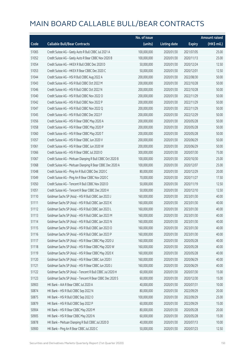|       |                                                            | No. of issue |                     |               | <b>Amount raised</b> |
|-------|------------------------------------------------------------|--------------|---------------------|---------------|----------------------|
| Code  | <b>Callable Bull/Bear Contracts</b>                        | (units)      | <b>Listing date</b> | <b>Expiry</b> | (HK\$ mil.)          |
| 51065 | Credit Suisse AG - Geely Auto R Bull CBBC Jul 2021 A       | 100,000,000  | 2020/01/30          | 2021/07/05    | 25.00                |
| 51052 | Credit Suisse AG - Geely Auto R Bear CBBC Nov 2020 B       | 100,000,000  | 2020/01/30          | 2020/11/13    | 25.00                |
| 51054 | Credit Suisse AG - HKEX R Bull CBBC Dec 2020 D             | 50,000,000   | 2020/01/30          | 2020/12/24    | 12.50                |
| 51053 | Credit Suisse AG - HKEX R Bear CBBC Dec 2020 C             | 50,000,000   | 2020/01/30          | 2020/12/01    | 12.50                |
| 51044 | Credit Suisse AG - HSI R Bull CBBC Aug 2022 A              | 200,000,000  | 2020/01/30          | 2022/08/30    | 50.00                |
| 51043 | Credit Suisse AG - HSI R Bull CBBC Oct 2022 M              | 200,000,000  | 2020/01/30          | 2022/10/28    | 50.00                |
| 51046 | Credit Suisse AG - HSI R Bull CBBC Oct 2022 N              | 200,000,000  | 2020/01/30          | 2022/10/28    | 50.00                |
| 51040 | Credit Suisse AG - HSI R Bull CBBC Nov 2022 O              | 200,000,000  | 2020/01/30          | 2022/11/29    | 50.00                |
| 51042 | Credit Suisse AG - HSI R Bull CBBC Nov 2022 P              | 200,000,000  | 2020/01/30          | 2022/11/29    | 50.00                |
| 51047 | Credit Suisse AG - HSI R Bull CBBC Nov 2022 Q              | 200,000,000  | 2020/01/30          | 2022/11/29    | 50.00                |
| 51045 | Credit Suisse AG - HSI R Bull CBBC Dec 2022 F              | 200,000,000  | 2020/01/30          | 2022/12/29    | 50.00                |
| 51056 | Credit Suisse AG - HSI R Bear CBBC May 2020 A              | 200,000,000  | 2020/01/30          | 2020/05/28    | 50.00                |
| 51058 | Credit Suisse AG - HSI R Bear CBBC May 2020 P              | 200,000,000  | 2020/01/30          | 2020/05/28    | 50.00                |
| 51060 | Credit Suisse AG - HSI R Bear CBBC May 2020 T              | 200,000,000  | 2020/01/30          | 2020/05/28    | 50.00                |
| 51057 | Credit Suisse AG - HSI R Bear CBBC Jun 2020 V              | 200,000,000  | 2020/01/30          | 2020/06/29    | 50.00                |
| 51061 | Credit Suisse AG - HSI R Bear CBBC Jun 2020 W              | 200,000,000  | 2020/01/30          | 2020/06/29    | 50.00                |
| 51066 | Credit Suisse AG - HSI R Bear CBBC Jul 2020 O              | 300,000,000  | 2020/01/30          | 2020/07/30    | 75.00                |
| 51067 | Credit Suisse AG - Meituan Dianping R Bull CBBC Oct 2020 B | 100,000,000  | 2020/01/30          | 2020/10/30    | 25.00                |
| 51068 | Credit Suisse AG - Meituan Dianping R Bear CBBC Dec 2020 A | 100,000,000  | 2020/01/30          | 2020/12/07    | 25.00                |
| 51048 | Credit Suisse AG - Ping An R Bull CBBC Dec 2020 C          | 80,000,000   | 2020/01/30          | 2020/12/29    | 20.00                |
| 51049 | Credit Suisse AG - Ping An R Bear CBBC Nov 2020 C          | 70,000,000   | 2020/01/30          | 2020/11/27    | 17.50                |
| 51050 | Credit Suisse AG - Tencent R Bull CBBC Nov 2020 D          | 50,000,000   | 2020/01/30          | 2020/11/19    | 12.50                |
| 51051 | Credit Suisse AG - Tencent R Bear CBBC Dec 2020 H          | 50,000,000   | 2020/01/30          | 2020/12/10    | 12.50                |
| 51110 | Goldman Sachs SP (Asia) - HSI R Bull CBBC Jan 2023 J       | 160,000,000  | 2020/01/30          | 2023/01/30    | 40.00                |
| 51111 | Goldman Sachs SP (Asia) - HSI R Bull CBBC Jan 2023 K       | 160,000,000  | 2020/01/30          | 2023/01/30    | 40.00                |
| 51112 | Goldman Sachs SP (Asia) - HSI R Bull CBBC Jan 2023 L       | 160,000,000  | 2020/01/30          | 2023/01/30    | 40.00                |
| 51113 | Goldman Sachs SP (Asia) - HSI R Bull CBBC Jan 2023 M       | 160,000,000  | 2020/01/30          | 2023/01/30    | 40.00                |
| 51114 | Goldman Sachs SP (Asia) - HSI R Bull CBBC Jan 2023 N       | 160,000,000  | 2020/01/30          | 2023/01/30    | 40.00                |
| 51115 | Goldman Sachs SP (Asia) - HSI R Bull CBBC Jan 2023 O       | 160,000,000  | 2020/01/30          | 2023/01/30    | 40.00                |
| 51116 | Goldman Sachs SP (Asia) - HSI R Bull CBBC Jan 2023 P       | 160,000,000  | 2020/01/30          | 2023/01/30    | 40.00                |
| 51117 | Goldman Sachs SP (Asia) - HSI R Bear CBBC May 2020 U       | 160,000,000  | 2020/01/30          | 2020/05/28    | 40.00                |
| 51118 | Goldman Sachs SP (Asia) - HSI R Bear CBBC May 2020 W       | 160,000,000  | 2020/01/30          | 2020/05/28    | 40.00                |
| 51119 | Goldman Sachs SP (Asia) - HSI R Bear CBBC May 2020 X       | 160,000,000  | 2020/01/30          | 2020/05/28    | 40.00                |
| 51120 | Goldman Sachs SP (Asia) - HSI R Bear CBBC Jun 2020 I       | 160,000,000  | 2020/01/30          | 2020/06/29    | 40.00                |
| 51121 | Goldman Sachs SP (Asia) - HSI R Bear CBBC Jun 2020 J       | 160,000,000  | 2020/01/30          | 2020/06/29    | 40.00                |
| 51122 | Goldman Sachs SP (Asia) - Tencent R Bull CBBC Jul 2020 H   | 60,000,000   | 2020/01/30          | 2020/07/30    | 15.00                |
| 51123 | Goldman Sachs SP (Asia) - Tencent R Bear CBBC Dec 2020 S   | 60,000,000   | 2020/01/30          | 2020/12/30    | 15.00                |
| 50903 | HK Bank - AIA R Bear CBBC Jul 2020 A                       | 40,000,000   | 2020/01/30          | 2020/07/31    | 10.00                |
| 50874 | HK Bank - HSI R Bull CBBC Sep 2022 N                       | 80,000,000   | 2020/01/30          | 2022/09/29    | 20.00                |
| 50875 | HK Bank - HSI R Bull CBBC Sep 2022 O                       | 100,000,000  | 2020/01/30          | 2022/09/29    | 25.00                |
| 50879 | HK Bank - HSI R Bull CBBC Sep 2022 P                       | 60,000,000   | 2020/01/30          | 2022/09/29    | 15.00                |
| 50904 | HK Bank - HSI R Bear CBBC May 2020 M                       | 80,000,000   | 2020/01/30          | 2020/05/28    | 20.00                |
| 50905 | HK Bank - HSI R Bear CBBC May 2020 N                       | 60,000,000   | 2020/01/30          | 2020/05/28    | 15.00                |
| 50878 | HK Bank - Meituan Dianping R Bull CBBC Jul 2020 D          | 40,000,000   | 2020/01/30          | 2020/07/13    | 10.00                |
| 50900 | HK Bank - Ping An R Bear CBBC Jul 2020 C                   | 50,000,000   | 2020/01/30          | 2020/07/23    | 12.50                |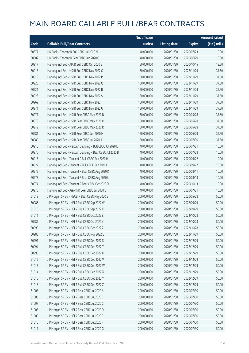|       |                                                             | No. of issue |                     |               | <b>Amount raised</b> |
|-------|-------------------------------------------------------------|--------------|---------------------|---------------|----------------------|
| Code  | <b>Callable Bull/Bear Contracts</b>                         | (units)      | <b>Listing date</b> | <b>Expiry</b> | (HK\$ mil.)          |
| 50877 | HK Bank - Tencent R Bull CBBC Jul 2020 M                    | 40,000,000   | 2020/01/30          | 2020/07/23    | 10.00                |
| 50902 | HK Bank - Tencent R Bear CBBC Jun 2020 Q                    | 40,000,000   | 2020/01/30          | 2020/06/29    | 10.00                |
| 50917 | Haitong Int'l Sec - AIA R Bull CBBC Oct 2020 B              | 50,000,000   | 2020/01/30          | 2020/10/15    | 12.50                |
| 50918 | Haitong Int'l Sec - HSI R Bull CBBC Nov 2022 O              | 150,000,000  | 2020/01/30          | 2022/11/29    | 37.50                |
| 50919 | Haitong Int'l Sec - HSI R Bull CBBC Nov 2022 P              | 150,000,000  | 2020/01/30          | 2022/11/29    | 37.50                |
| 50920 | Haitong Int'l Sec - HSI R Bull CBBC Nov 2022 Q              | 150,000,000  | 2020/01/30          | 2022/11/29    | 37.50                |
| 50921 | Haitong Int'l Sec - HSI R Bull CBBC Nov 2022 R              | 150,000,000  | 2020/01/30          | 2022/11/29    | 37.50                |
| 50923 | Haitong Int'l Sec - HSI R Bull CBBC Nov 2022 S              | 150,000,000  | 2020/01/30          | 2022/11/29    | 37.50                |
| 50969 | Haitong Int'l Sec - HSI R Bull CBBC Nov 2022 T              | 150,000,000  | 2020/01/30          | 2022/11/29    | 37.50                |
| 50971 | Haitong Int'l Sec - HSI R Bull CBBC Nov 2022 U              | 150,000,000  | 2020/01/30          | 2022/11/29    | 37.50                |
| 50977 | Haitong Int'l Sec - HSI R Bear CBBC May 2020 N              | 150,000,000  | 2020/01/30          | 2020/05/28    | 37.50                |
| 50978 | Haitong Int'l Sec - HSI R Bear CBBC May 2020 O              | 150,000,000  | 2020/01/30          | 2020/05/28    | 37.50                |
| 50979 | Haitong Int'l Sec - HSI R Bear CBBC May 2020 R              | 150,000,000  | 2020/01/30          | 2020/05/28    | 37.50                |
| 50981 | Haitong Int'l Sec - HSI R Bear CBBC Jun 2020 H              | 150,000,000  | 2020/01/30          | 2020/06/29    | 37.50                |
| 50980 | Haitong Int'l Sec - HSI R Bear CBBC Jul 2020 A              | 150,000,000  | 2020/01/30          | 2020/07/30    | 37.50                |
| 50916 | Haitong Int'l Sec - Meituan Dianping R Bull CBBC Jul 2020 E | 40,000,000   | 2020/01/30          | 2020/07/21    | 10.00                |
| 50976 | Haitong Int'l Sec - Meituan Dianping R Bear CBBC Jul 2020 B | 40,000,000   | 2020/01/30          | 2020/07/28    | 10.00                |
| 50915 | Haitong Int'l Sec - Tencent R Bull CBBC Sep 2020 H          | 40,000,000   | 2020/01/30          | 2020/09/22    | 10.00                |
| 50922 | Haitong Int'l Sec - Tencent R Bull CBBC Sep 2020 I          | 40,000,000   | 2020/01/30          | 2020/09/22    | 10.00                |
| 50972 | Haitong Int'l Sec - Tencent R Bear CBBC Aug 2020 K          | 40,000,000   | 2020/01/30          | 2020/08/11    | 10.00                |
| 50973 | Haitong Int'l Sec - Tencent R Bear CBBC Aug 2020 L          | 40,000,000   | 2020/01/30          | 2020/08/18    | 10.00                |
| 50974 | Haitong Int'l Sec - Tencent R Bear CBBC Oct 2020 D          | 40,000,000   | 2020/01/30          | 2020/10/13    | 10.00                |
| 50975 | Haitong Int'l Sec - Xiaomi R Bear CBBC Jul 2020 B           | 40,000,000   | 2020/01/30          | 2020/07/21    | 10.00                |
| 51019 | J P Morgan SP BV - HSCEI R Bear CBBC May 2020 B             | 200,000,000  | 2020/01/30          | 2020/05/28    | 50.00                |
| 50986 | J P Morgan SP BV - HSI R Bull CBBC Sep 2022 W               | 200,000,000  | 2020/01/30          | 2022/09/29    | 50.00                |
| 51010 | J P Morgan SP BV - HSI R Bull CBBC Sep 2022 X               | 200,000,000  | 2020/01/30          | 2022/09/29    | 50.00                |
| 51011 | J P Morgan SP BV - HSI R Bull CBBC Oct 2022 E               | 200,000,000  | 2020/01/30          | 2022/10/28    | 50.00                |
| 50987 | J P Morgan SP BV - HSI R Bull CBBC Oct 2022 Y               | 200,000,000  | 2020/01/30          | 2022/10/28    | 50.00                |
| 50999 | J P Morgan SP BV - HSI R Bull CBBC Oct 2022 Z               | 200,000,000  | 2020/01/30          | 2022/10/28    | 50.00                |
| 50988 | J P Morgan SP BV - HSI R Bull CBBC Nov 2022 E               | 200,000,000  | 2020/01/30          | 2022/11/29    | 50.00                |
| 50991 | J P Morgan SP BV - HSI R Bull CBBC Dec 2022 S               | 200,000,000  | 2020/01/30          | 2022/12/29    | 50.00                |
| 50994 | J P Morgan SP BV - HSI R Bull CBBC Dec 2022 T               | 200,000,000  | 2020/01/30          | 2022/12/29    | 50.00                |
| 50998 | J P Morgan SP BV - HSI R Bull CBBC Dec 2022 U               | 200,000,000  | 2020/01/30          | 2022/12/29    | 50.00                |
| 51012 | J P Morgan SP BV - HSI R Bull CBBC Dec 2022 V               | 200,000,000  | 2020/01/30          | 2022/12/29    | 50.00                |
| 51013 | J P Morgan SP BV - HSI R Bull CBBC Dec 2022 W               | 200,000,000  | 2020/01/30          | 2022/12/29    | 50.00                |
| 51014 | J P Morgan SP BV - HSI R Bull CBBC Dec 2022 X               | 200,000,000  | 2020/01/30          | 2022/12/29    | 50.00                |
| 51015 | J P Morgan SP BV - HSI R Bull CBBC Dec 2022 Y               | 200,000,000  | 2020/01/30          | 2022/12/29    | 50.00                |
| 51018 | J P Morgan SP BV - HSI R Bull CBBC Dec 2022 Z               | 200,000,000  | 2020/01/30          | 2022/12/29    | 50.00                |
| 51003 | J P Morgan SP BV - HSI R Bear CBBC Jul 2020 A               | 200,000,000  | 2020/01/30          | 2020/07/30    | 50.00                |
| 51006 | J P Morgan SP BV - HSI R Bear CBBC Jul 2020 B               | 200,000,000  | 2020/01/30          | 2020/07/30    | 50.00                |
| 51007 | J P Morgan SP BV - HSI R Bear CBBC Jul 2020 C               | 200,000,000  | 2020/01/30          | 2020/07/30    | 50.00                |
| 51008 | J P Morgan SP BV - HSI R Bear CBBC Jul 2020 D               | 200,000,000  | 2020/01/30          | 2020/07/30    | 50.00                |
| 51009 | J P Morgan SP BV - HSI R Bear CBBC Jul 2020 E               | 200,000,000  | 2020/01/30          | 2020/07/30    | 50.00                |
| 51016 | J P Morgan SP BV - HSI R Bear CBBC Jul 2020 F               | 200,000,000  | 2020/01/30          | 2020/07/30    | 50.00                |
| 51017 | J P Morgan SP BV - HSI R Bear CBBC Jul 2020 G               | 200,000,000  | 2020/01/30          | 2020/07/30    | 50.00                |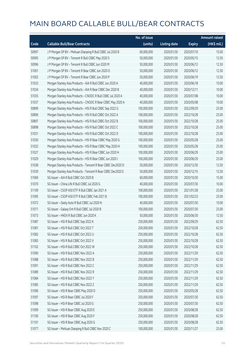|       |                                                              | No. of issue |                     |               | <b>Amount raised</b> |
|-------|--------------------------------------------------------------|--------------|---------------------|---------------|----------------------|
| Code  | <b>Callable Bull/Bear Contracts</b>                          | (units)      | <b>Listing date</b> | <b>Expiry</b> | (HK\$ mil.)          |
| 50997 | J P Morgan SP BV - Meituan Dianping R Bull CBBC Jul 2020 B   | 60,000,000   | 2020/01/30          | 2020/07/10    | 15.00                |
| 50995 | JP Morgan SP BV - Tencent R Bull CBBC May 2020 S             | 50,000,000   | 2020/01/30          | 2020/05/15    | 12.50                |
| 50996 | J P Morgan SP BV - Tencent R Bull CBBC Jun 2020 M            | 50,000,000   | 2020/01/30          | 2020/06/12    | 12.50                |
| 51001 | J P Morgan SP BV - Tencent R Bear CBBC Jun 2020 O            | 50,000,000   | 2020/01/30          | 2020/06/12    | 12.50                |
| 51002 | J P Morgan SP BV - Tencent R Bear CBBC Jun 2020 P            | 50,000,000   | 2020/01/30          | 2020/06/19    | 12.50                |
| 51033 | Morgan Stanley Asia Products - AIA R Bull CBBC Jun 2020 A    | 40,000,000   | 2020/01/30          | 2020/06/18    | 10.00                |
| 51034 | Morgan Stanley Asia Products - AIA R Bear CBBC Dec 2020 B    | 40,000,000   | 2020/01/30          | 2020/12/11    | 10.00                |
| 51035 | Morgan Stanley Asia Products - CNOOC R Bull CBBC Jul 2020 A  | 40,000,000   | 2020/01/30          | 2020/07/08    | 10.00                |
| 51037 | Morgan Stanley Asia Products - CNOOC R Bear CBBC May 2020 A  | 40,000,000   | 2020/01/30          | 2020/05/08    | 10.00                |
| 50899 | Morgan Stanley Asia Products - HSI R Bull CBBC Sep 2022 G    | 100,000,000  | 2020/01/30          | 2022/09/29    | 25.00                |
| 50896 | Morgan Stanley Asia Products - HSI R Bull CBBC Oct 2022 A    | 100,000,000  | 2020/01/30          | 2022/10/28    | 25.00                |
| 50897 | Morgan Stanley Asia Products - HSI R Bull CBBC Oct 2022 B    | 100,000,000  | 2020/01/30          | 2022/10/28    | 25.00                |
| 50898 | Morgan Stanley Asia Products - HSI R Bull CBBC Oct 2022 C    | 100,000,000  | 2020/01/30          | 2022/10/28    | 25.00                |
| 51031 | Morgan Stanley Asia Products - HSI R Bull CBBC Oct 2022 D    | 100,000,000  | 2020/01/30          | 2022/10/28    | 25.00                |
| 51030 | Morgan Stanley Asia Products - HSI R Bear CBBC May 2020 G    | 100,000,000  | 2020/01/30          | 2020/05/28    | 25.00                |
| 51032 | Morgan Stanley Asia Products - HSI R Bear CBBC May 2020 H    | 100,000,000  | 2020/01/30          | 2020/05/28    | 25.00                |
| 51027 | Morgan Stanley Asia Products - HSI R Bear CBBC Jun 2020 H    | 100,000,000  | 2020/01/30          | 2020/06/29    | 25.00                |
| 51029 | Morgan Stanley Asia Products - HSI R Bear CBBC Jun 2020 I    | 100,000,000  | 2020/01/30          | 2020/06/29    | 25.00                |
| 51038 | Morgan Stanley Asia Products - Tencent R Bear CBBC Dec2020 D | 50,000,000   | 2020/01/30          | 2020/12/30    | 12.50                |
| 51039 | Morgan Stanley Asia Products - Tencent R Bear CBBC Dec2020 E | 50,000,000   | 2020/01/30          | 2020/12/15    | 12.50                |
| 51069 | SG Issuer - AIA R Bull CBBC Oct 2020 B                       | 60,000,000   | 2020/01/30          | 2020/10/30    | 15.00                |
| 51070 | SG Issuer - China Life R Bull CBBC Jul 2020 G                | 40,000,000   | 2020/01/30          | 2020/07/30    | 10.00                |
| 51109 | SG Issuer - CSOP A50 ETF R Bull CBBC Jan 2021 A              | 100,000,000  | 2020/01/30          | 2021/01/28    | 25.00                |
| 51095 | SG Issuer - CSOP A50 ETF R Bull CBBC Feb 2021 B              | 100,000,000  | 2020/01/30          | 2021/02/23    | 25.00                |
| 51072 | SG Issuer - Geely Auto R Bull CBBC Jul 2020 N                | 40,000,000   | 2020/01/30          | 2020/07/30    | 10.00                |
| 51071 | SG Issuer - Galaxy Ent R Bull CBBC Jul 2020 B                | 100,000,000  | 2020/01/30          | 2020/07/30    | 25.00                |
| 51073 | SG Issuer - HKEX R Bull CBBC Jun 2020 K                      | 50,000,000   | 2020/01/30          | 2020/06/30    | 12.50                |
| 51087 | SG Issuer - HSI R Bull CBBC Sep 2022 K                       | 250,000,000  | 2020/01/30          | 2022/09/29    | 62.50                |
| 51081 | SG Issuer - HSI R Bull CBBC Oct 2022 T                       | 250,000,000  | 2020/01/30          | 2022/10/28    | 62.50                |
| 51082 | SG Issuer - HSI R Bull CBBC Oct 2022 U                       | 250,000,000  | 2020/01/30          | 2022/10/28    | 62.50                |
| 51083 | SG Issuer - HSI R Bull CBBC Oct 2022 V                       | 250,000,000  | 2020/01/30          | 2022/10/28    | 62.50                |
| 51102 | SG Issuer - HSI R Bull CBBC Oct 2022 W                       | 250,000,000  | 2020/01/30          | 2022/10/28    | 62.50                |
| 51090 | SG Issuer - HSI R Bull CBBC Nov 2022 A                       | 250,000,000  | 2020/01/30          | 2022/11/29    | 62.50                |
| 51088 | SG Issuer - HSI R Bull CBBC Nov 2022 B                       | 250,000,000  | 2020/01/30          | 2022/11/29    | 62.50                |
| 51091 | SG Issuer - HSI R Bull CBBC Nov 2022 C                       | 250,000,000  | 2020/01/30          | 2022/11/29    | 62.50                |
| 51089 | SG Issuer - HSI R Bull CBBC Nov 2022 R                       | 250,000,000  | 2020/01/30          | 2022/11/29    | 62.50                |
| 51084 | SG Issuer - HSI R Bull CBBC Nov 2022 Y                       | 250,000,000  | 2020/01/30          | 2022/11/29    | 62.50                |
| 51085 | SG Issuer - HSI R Bull CBBC Nov 2022 Z                       | 250,000,000  | 2020/01/30          | 2022/11/29    | 62.50                |
| 51096 | SG Issuer - HSI R Bear CBBC May 2020 D                       | 250,000,000  | 2020/01/30          | 2020/05/28    | 62.50                |
| 51097 | SG Issuer - HSI R Bear CBBC Jul 2020 F                       | 250,000,000  | 2020/01/30          | 2020/07/30    | 62.50                |
| 51098 | SG Issuer - HSI R Bear CBBC Jul 2020 G                       | 250,000,000  | 2020/01/30          | 2020/07/30    | 62.50                |
| 51099 | SG Issuer - HSI R Bear CBBC Aug 2020 E                       | 250,000,000  | 2020/01/30          | 2020/08/28    | 62.50                |
| 51100 | SG Issuer - HSI R Bear CBBC Aug 2020 F                       | 250,000,000  | 2020/01/30          | 2020/08/28    | 62.50                |
| 51101 | SG Issuer - HSI R Bear CBBC Aug 2020 G                       | 250,000,000  | 2020/01/30          | 2020/08/28    | 62.50                |
| 51077 | SG Issuer - Meituan Dianping R Bull CBBC Nov 2020 C          | 100,000,000  | 2020/01/30          | 2020/11/27    | 25.00                |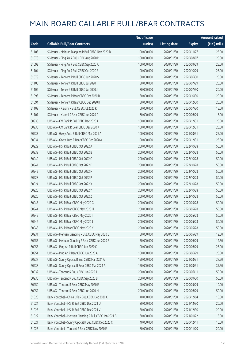|       |                                                         | No. of issue |                     |               | <b>Amount raised</b> |
|-------|---------------------------------------------------------|--------------|---------------------|---------------|----------------------|
| Code  | <b>Callable Bull/Bear Contracts</b>                     | (units)      | <b>Listing date</b> | <b>Expiry</b> | (HK\$ mil.)          |
| 51103 | SG Issuer - Meituan Dianping R Bull CBBC Nov 2020 D     | 100,000,000  | 2020/01/30          | 2020/11/27    | 25.00                |
| 51078 | SG Issuer - Ping An R Bull CBBC Aug 2020 M              | 100,000,000  | 2020/01/30          | 2020/08/07    | 25.00                |
| 51092 | SG Issuer - Ping An R Bull CBBC Sep 2020 A              | 100,000,000  | 2020/01/30          | 2020/09/29    | 25.00                |
| 51104 | SG Issuer - Ping An R Bull CBBC Oct 2020 B              | 100,000,000  | 2020/01/30          | 2020/10/29    | 25.00                |
| 51079 | SG Issuer - Tencent R Bull CBBC Jun 2020 S              | 80,000,000   | 2020/01/30          | 2020/06/30    | 20.00                |
| 51105 | SG Issuer - Tencent R Bull CBBC Jul 2020 I              | 80,000,000   | 2020/01/30          | 2020/07/29    | 20.00                |
| 51106 | SG Issuer - Tencent R Bull CBBC Jul 2020 J              | 80,000,000   | 2020/01/30          | 2020/07/30    | 20.00                |
| 51093 | SG Issuer - Tencent R Bear CBBC Oct 2020 B              | 80,000,000   | 2020/01/30          | 2020/10/30    | 20.00                |
| 51094 | SG Issuer - Tencent R Bear CBBC Dec 2020 R              | 80,000,000   | 2020/01/30          | 2020/12/30    | 20.00                |
| 51108 | SG Issuer - Xiaomi R Bull CBBC Jul 2020 K               | 60,000,000   | 2020/01/30          | 2020/07/30    | 15.00                |
| 51107 | SG Issuer - Xiaomi R Bear CBBC Jun 2020 C               | 60,000,000   | 2020/01/30          | 2020/06/29    | 15.00                |
| 50935 | UBS AG - CM Bank R Bull CBBC Dec 2020 A                 | 100,000,000  | 2020/01/30          | 2020/12/31    | 25.00                |
| 50936 | UBS AG - CM Bank R Bear CBBC Dec 2020 A                 | 100,000,000  | 2020/01/30          | 2020/12/31    | 25.00                |
| 50933 | UBS AG - Geely Auto R Bull CBBC Mar 2021 A              | 100,000,000  | 2020/01/30          | 2021/03/31    | 25.00                |
| 50934 | UBS AG - Geely Auto R Bear CBBC Dec 2020 A              | 100,000,000  | 2020/01/30          | 2020/12/31    | 25.00                |
| 50929 | UBS AG - HSI R Bull CBBC Oct 2022 A                     | 200,000,000  | 2020/01/30          | 2022/10/28    | 50.00                |
| 50939 | UBS AG - HSI R Bull CBBC Oct 2022 B                     | 200,000,000  | 2020/01/30          | 2022/10/28    | 50.00                |
| 50940 | UBS AG - HSI R Bull CBBC Oct 2022 C                     | 200,000,000  | 2020/01/30          | 2022/10/28    | 50.00                |
| 50941 | UBS AG - HSI R Bull CBBC Oct 2022 D                     | 200,000,000  | 2020/01/30          | 2022/10/28    | 50.00                |
| 50942 | UBS AG - HSI R Bull CBBC Oct 2022 F                     | 200,000,000  | 2020/01/30          | 2022/10/28    | 50.00                |
| 50928 | UBS AG - HSI R Bull CBBC Oct 2022 P                     | 200,000,000  | 2020/01/30          | 2022/10/28    | 50.00                |
| 50924 | UBS AG - HSI R Bull CBBC Oct 2022 X                     | 200,000,000  | 2020/01/30          | 2022/10/28    | 50.00                |
| 50925 | UBS AG - HSI R Bull CBBC Oct 2022 Y                     | 200,000,000  | 2020/01/30          | 2022/10/28    | 50.00                |
| 50926 | UBS AG - HSI R Bull CBBC Oct 2022 Z                     | 200,000,000  | 2020/01/30          | 2022/10/28    | 50.00                |
| 50943 | UBS AG - HSI R Bear CBBC May 2020 G                     | 200,000,000  | 2020/01/30          | 2020/05/28    | 50.00                |
| 50944 | UBS AG - HSI R Bear CBBC May 2020 H                     | 200,000,000  | 2020/01/30          | 2020/05/28    | 50.00                |
| 50945 | UBS AG - HSI R Bear CBBC May 2020 I                     | 200,000,000  | 2020/01/30          | 2020/05/28    | 50.00                |
| 50946 | UBS AG - HSI R Bear CBBC May 2020 J                     | 200,000,000  | 2020/01/30          | 2020/05/28    | 50.00                |
| 50948 | UBS AG - HSI R Bear CBBC May 2020 K                     | 200,000,000  | 2020/01/30          | 2020/05/28    | 50.00                |
| 50931 | UBS AG - Meituan Dianping R Bull CBBC May 2020 B        | 50,000,000   | 2020/01/30          | 2020/05/29    | 12.50                |
| 50955 | UBS AG - Meituan Dianping R Bear CBBC Jun 2020 B        | 50,000,000   | 2020/01/30          | 2020/06/29    | 12.50                |
| 50953 | UBS AG - Ping An R Bull CBBC Jun 2020 C                 | 100,000,000  | 2020/01/30          | 2020/06/29    | 25.00                |
| 50954 | UBS AG - Ping An R Bear CBBC Jun 2020 A                 | 100,000,000  | 2020/01/30          | 2020/06/29    | 25.00                |
| 50937 | UBS AG - Sunny Optical R Bull CBBC Mar 2021 A           | 150,000,000  | 2020/01/30          | 2021/03/31    | 37.50                |
| 50938 | UBS AG - Sunny Optical R Bear CBBC Mar 2021 A           | 150,000,000  | 2020/01/30          | 2021/03/31    | 37.50                |
| 50932 | UBS AG - Tencent R Bull CBBC Jun 2020 J                 | 200,000,000  | 2020/01/30          | 2020/06/11    | 50.00                |
| 50930 | UBS AG - Tencent R Bull CBBC Sep 2020 B                 | 200,000,000  | 2020/01/30          | 2020/09/30    | 50.00                |
| 50950 | UBS AG - Tencent R Bear CBBC May 2020 E                 | 40,000,000   | 2020/01/30          | 2020/05/29    | 10.00                |
| 50952 | UBS AG - Tencent R Bear CBBC Jun 2020 M                 | 200,000,000  | 2020/01/30          | 2020/06/29    | 50.00                |
| 51020 | Bank Vontobel - China Life R Bull CBBC Dec 2020 C       | 40,000,000   | 2020/01/30          | 2020/12/04    | 10.00                |
| 51024 | Bank Vontobel - HSI R Bull CBBC Dec 2021 U              | 80,000,000   | 2020/01/30          | 2021/12/30    | 20.00                |
| 51025 | Bank Vontobel - HSI R Bull CBBC Dec 2021 V              | 80,000,000   | 2020/01/30          | 2021/12/30    | 20.00                |
| 51022 | Bank Vontobel - Meituan Dianping R Bull CBBC Jan 2021 B | 60,000,000   | 2020/01/30          | 2021/01/22    | 15.00                |
| 51021 | Bank Vontobel - Sunny Optical R Bull CBBC Dec 2020 C    | 40,000,000   | 2020/01/30          | 2020/12/11    | 10.00                |
| 51026 | Bank Vontobel - Tencent R Bear CBBC Nov 2020 E          | 80,000,000   | 2020/01/30          | 2020/11/20    | 20.00                |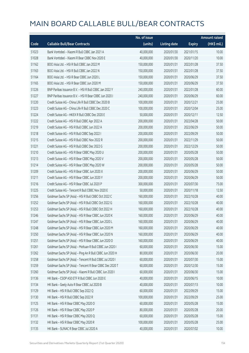|       |                                                          | No. of issue |                     |               | <b>Amount raised</b> |
|-------|----------------------------------------------------------|--------------|---------------------|---------------|----------------------|
| Code  | <b>Callable Bull/Bear Contracts</b>                      | (units)      | <b>Listing date</b> | <b>Expiry</b> | (HK\$ mil.)          |
| 51023 | Bank Vontobel - Xiaomi R Bull CBBC Jan 2021 A            | 40,000,000   | 2020/01/30          | 2021/01/15    | 10.00                |
| 51028 | Bank Vontobel - Xiaomi R Bear CBBC Nov 2020 E            | 40,000,000   | 2020/01/30          | 2020/11/20    | 10.00                |
| 51162 | BOCI Asia Ltd. - HSI R Bull CBBC Jan 2022 M              | 150,000,000  | 2020/01/31          | 2022/01/28    | 37.50                |
| 51163 | BOCI Asia Ltd. - HSI R Bull CBBC Jan 2022 N              | 150,000,000  | 2020/01/31          | 2022/01/28    | 37.50                |
| 51164 | BOCI Asia Ltd. - HSI R Bear CBBC Jun 2020 L              | 150,000,000  | 2020/01/31          | 2020/06/29    | 37.50                |
| 51165 | BOCI Asia Ltd. - HSI R Bear CBBC Jun 2020 M              | 150,000,000  | 2020/01/31          | 2020/06/29    | 37.50                |
| 51226 | BNP Paribas Issuance B.V. - HSI R Bull CBBC Jan 2022 Y   | 240,000,000  | 2020/01/31          | 2022/01/28    | 60.00                |
| 51227 | BNP Paribas Issuance B.V. - HSI R Bear CBBC Jun 2020 I   | 240,000,000  | 2020/01/31          | 2020/06/29    | 60.00                |
| 51220 | Credit Suisse AG - China Life R Bull CBBC Dec 2020 B     | 100,000,000  | 2020/01/31          | 2020/12/21    | 25.00                |
| 51223 | Credit Suisse AG - China Life R Bull CBBC Dec 2020 C     | 100,000,000  | 2020/01/31          | 2020/12/04    | 25.00                |
| 51224 | Credit Suisse AG - HKEX R Bull CBBC Dec 2020 E           | 50,000,000   | 2020/01/31          | 2020/12/11    | 12.50                |
| 51222 | Credit Suisse AG - HSI R Bull CBBC Apr 2022 A            | 200,000,000  | 2020/01/31          | 2022/04/28    | 50.00                |
| 51219 | Credit Suisse AG - HSI R Bull CBBC Jun 2022 A            | 200,000,000  | 2020/01/31          | 2022/06/29    | 50.00                |
| 51218 | Credit Suisse AG - HSI R Bull CBBC Sep 2022 I            | 200,000,000  | 2020/01/31          | 2022/09/29    | 50.00                |
| 51215 | Credit Suisse AG - HSI R Bull CBBC Nov 2022 R            | 200,000,000  | 2020/01/31          | 2022/11/29    | 50.00                |
| 51221 | Credit Suisse AG - HSI R Bull CBBC Dec 2022 G            | 200,000,000  | 2020/01/31          | 2022/12/29    | 50.00                |
| 51210 | Credit Suisse AG - HSI R Bear CBBC May 2020 U            | 200,000,000  | 2020/01/31          | 2020/05/28    | 50.00                |
| 51213 | Credit Suisse AG - HSI R Bear CBBC May 2020 V            | 200,000,000  | 2020/01/31          | 2020/05/28    | 50.00                |
| 51214 | Credit Suisse AG - HSI R Bear CBBC May 2020 W            | 200,000,000  | 2020/01/31          | 2020/05/28    | 50.00                |
| 51209 | Credit Suisse AG - HSI R Bear CBBC Jun 2020 X            | 200,000,000  | 2020/01/31          | 2020/06/29    | 50.00                |
| 51211 | Credit Suisse AG - HSI R Bear CBBC Jun 2020 Y            | 200,000,000  | 2020/01/31          | 2020/06/29    | 50.00                |
| 51216 | Credit Suisse AG - HSI R Bear CBBC Jul 2020 P            | 300,000,000  | 2020/01/31          | 2020/07/30    | 75.00                |
| 51225 | Credit Suisse AG - Tencent R Bull CBBC Nov 2020 E        | 50,000,000   | 2020/01/31          | 2020/11/18    | 12.50                |
| 51256 | Goldman Sachs SP (Asia) - HSI R Bull CBBC Oct 2022 C     | 160,000,000  | 2020/01/31          | 2022/10/28    | 40.00                |
| 51252 | Goldman Sachs SP (Asia) - HSI R Bull CBBC Oct 2022 G     | 160,000,000  | 2020/01/31          | 2022/10/28    | 40.00                |
| 51253 | Goldman Sachs SP (Asia) - HSI R Bull CBBC Oct 2022 H     | 160,000,000  | 2020/01/31          | 2022/10/28    | 40.00                |
| 51246 | Goldman Sachs SP (Asia) - HSI R Bear CBBC Jun 2020 K     | 160,000,000  | 2020/01/31          | 2020/06/29    | 40.00                |
| 51247 | Goldman Sachs SP (Asia) - HSI R Bear CBBC Jun 2020 L     | 160,000,000  | 2020/01/31          | 2020/06/29    | 40.00                |
| 51248 | Goldman Sachs SP (Asia) - HSI R Bear CBBC Jun 2020 M     | 160,000,000  | 2020/01/31          | 2020/06/29    | 40.00                |
| 51250 | Goldman Sachs SP (Asia) - HSI R Bear CBBC Jun 2020 N     | 160,000,000  | 2020/01/31          | 2020/06/29    | 40.00                |
| 51251 | Goldman Sachs SP (Asia) - HSI R Bear CBBC Jun 2020 O     | 160,000,000  | 2020/01/31          | 2020/06/29    | 40.00                |
| 51261 | Goldman Sachs SP (Asia) - Meituan R Bull CBBC Jun 2020 I | 60,000,000   | 2020/01/31          | 2020/06/30    | 15.00                |
| 51262 | Goldman Sachs SP (Asia) - Ping An R Bull CBBC Jun 2020 H | 80,000,000   | 2020/01/31          | 2020/06/30    | 20.00                |
| 51258 | Goldman Sachs SP (Asia) - Tencent R Bull CBBC Jul 2020 I | 60,000,000   | 2020/01/31          | 2020/07/30    | 15.00                |
| 51259 | Goldman Sachs SP (Asia) - Tencent R Bear CBBC Dec 2020 T | 60,000,000   | 2020/01/31          | 2020/12/30    | 15.00                |
| 51260 | Goldman Sachs SP (Asia) - Xiaomi R Bull CBBC Jun 2020 I  | 60,000,000   | 2020/01/31          | 2020/06/30    | 15.00                |
| 51136 | HK Bank - CSOP A50 ETF R Bull CBBC Jun 2020 E            | 40,000,000   | 2020/01/31          | 2020/06/15    | 10.00                |
| 51134 | HK Bank - Geely Auto R Bear CBBC Jul 2020 B              | 40,000,000   | 2020/01/31          | 2020/07/13    | 10.00                |
| 51129 | HK Bank - HSI R Bull CBBC Sep 2022 Q                     | 60,000,000   | 2020/01/31          | 2022/09/29    | 15.00                |
| 51130 | HK Bank - HSI R Bull CBBC Sep 2022 R                     | 100,000,000  | 2020/01/31          | 2022/09/29    | 25.00                |
| 51125 | HK Bank - HSI R Bear CBBC May 2020 O                     | 60,000,000   | 2020/01/31          | 2020/05/28    | 15.00                |
| 51126 | HK Bank - HSI R Bear CBBC May 2020 P                     | 80,000,000   | 2020/01/31          | 2020/05/28    | 20.00                |
| 51131 | HK Bank - HSI R Bear CBBC May 2020 Q                     | 60,000,000   | 2020/01/31          | 2020/05/28    | 15.00                |
| 51132 | HK Bank - HSI R Bear CBBC May 2020 R                     | 100,000,000  | 2020/01/31          | 2020/05/28    | 25.00                |
| 51135 | HK Bank - SUNAC R Bear CBBC Jul 2020 A                   | 40,000,000   | 2020/01/31          | 2020/07/02    | 10.00                |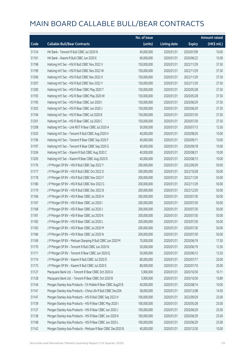|       |                                                              | No. of issue |                     |               | <b>Amount raised</b> |
|-------|--------------------------------------------------------------|--------------|---------------------|---------------|----------------------|
| Code  | <b>Callable Bull/Bear Contracts</b>                          | (units)      | <b>Listing date</b> | <b>Expiry</b> | (HK\$ mil.)          |
| 51124 | HK Bank - Tencent R Bull CBBC Jul 2020 N                     | 40,000,000   | 2020/01/31          | 2020/07/09    | 10.00                |
| 51161 | HK Bank - Xiaomi R Bull CBBC Jun 2020 E                      | 60,000,000   | 2020/01/31          | 2020/06/22    | 15.00                |
| 51198 | Haitong Int'l Sec - HSI R Bull CBBC Nov 2022 V               | 150,000,000  | 2020/01/31          | 2022/11/29    | 37.50                |
| 51199 | Haitong Int'l Sec - HSI R Bull CBBC Nov 2022 W               | 150,000,000  | 2020/01/31          | 2022/11/29    | 37.50                |
| 51206 | Haitong Int'l Sec - HSI R Bull CBBC Nov 2022 X               | 150,000,000  | 2020/01/31          | 2022/11/29    | 37.50                |
| 51207 | Haitong Int'l Sec - HSI R Bull CBBC Nov 2022 Y               | 150,000,000  | 2020/01/31          | 2022/11/29    | 37.50                |
| 51200 | Haitong Int'l Sec - HSI R Bear CBBC May 2020 T               | 150,000,000  | 2020/01/31          | 2020/05/28    | 37.50                |
| 51193 | Haitong Int'l Sec - HSI R Bear CBBC May 2020 W               | 150,000,000  | 2020/01/31          | 2020/05/28    | 37.50                |
| 51195 | Haitong Int'l Sec - HSI R Bear CBBC Jun 2020 I               | 150,000,000  | 2020/01/31          | 2020/06/29    | 37.50                |
| 51202 | Haitong Int'l Sec - HSI R Bear CBBC Jun 2020 J               | 150,000,000  | 2020/01/31          | 2020/06/29    | 37.50                |
| 51194 | Haitong Int'l Sec - HSI R Bear CBBC Jul 2020 B               | 150,000,000  | 2020/01/31          | 2020/07/30    | 37.50                |
| 51201 | Haitong Int'l Sec - HSI R Bear CBBC Jul 2020 C               | 150,000,000  | 2020/01/31          | 2020/07/30    | 37.50                |
| 51208 | Haitong Int'l Sec - Link REIT R Bear CBBC Jul 2020 A         | 50,000,000   | 2020/01/31          | 2020/07/13    | 12.50                |
| 51203 | Haitong Int'l Sec - Tencent R Bull CBBC Aug 2020 H           | 40,000,000   | 2020/01/31          | 2020/08/20    | 10.00                |
| 51196 | Haitong Int'l Sec - Tencent R Bear CBBC Sep 2020 F           | 40,000,000   | 2020/01/31          | 2020/09/11    | 10.00                |
| 51197 | Haitong Int'l Sec - Tencent R Bear CBBC Sep 2020 G           | 40,000,000   | 2020/01/31          | 2020/09/18    | 10.00                |
| 51204 | Haitong Int'l Sec - Xiaomi R Bull CBBC Aug 2020 C            | 40,000,000   | 2020/01/31          | 2020/08/21    | 10.00                |
| 51205 | Haitong Int'l Sec - Xiaomi R Bear CBBC Aug 2020 D            | 40,000,000   | 2020/01/31          | 2020/08/13    | 10.00                |
| 51176 | J P Morgan SP BV - HSI R Bull CBBC Sep 2022 Y                | 200,000,000  | 2020/01/31          | 2022/09/29    | 50.00                |
| 51177 | J P Morgan SP BV - HSI R Bull CBBC Oct 2022 D                | 200,000,000  | 2020/01/31          | 2022/10/28    | 50.00                |
| 51178 | J P Morgan SP BV - HSI R Bull CBBC Nov 2022 F                | 200,000,000  | 2020/01/31          | 2022/11/29    | 50.00                |
| 51180 | J P Morgan SP BV - HSI R Bull CBBC Nov 2022 G                | 200,000,000  | 2020/01/31          | 2022/11/29    | 50.00                |
| 51179 | J P Morgan SP BV - HSI R Bull CBBC Dec 2022 B                | 200,000,000  | 2020/01/31          | 2022/12/29    | 50.00                |
| 51166 | J P Morgan SP BV - HSI R Bear CBBC Jul 2020 H                | 200,000,000  | 2020/01/31          | 2020/07/30    | 50.00                |
| 51167 | J P Morgan SP BV - HSI R Bear CBBC Jul 2020 I                | 200,000,000  | 2020/01/31          | 2020/07/30    | 50.00                |
| 51168 | J P Morgan SP BV - HSI R Bear CBBC Jul 2020 J                | 200,000,000  | 2020/01/31          | 2020/07/30    | 50.00                |
| 51181 | J P Morgan SP BV - HSI R Bear CBBC Jul 2020 K                | 200,000,000  | 2020/01/31          | 2020/07/30    | 50.00                |
| 51182 | J P Morgan SP BV - HSI R Bear CBBC Jul 2020 L                | 200,000,000  | 2020/01/31          | 2020/07/30    | 50.00                |
| 51183 | J P Morgan SP BV - HSI R Bear CBBC Jul 2020 M                | 200,000,000  | 2020/01/31          | 2020/07/30    | 50.00                |
| 51184 | J P Morgan SP BV - HSI R Bear CBBC Jul 2020 N                | 200,000,000  | 2020/01/31          | 2020/07/30    | 50.00                |
| 51169 | J P Morgan SP BV - Meituan Dianping R Bull CBBC Jun 2020 M   | 70,000,000   | 2020/01/31          | 2020/06/19    | 17.50                |
| 51170 | J P Morgan SP BV - Tencent R Bull CBBC Jun 2020 N            | 50,000,000   | 2020/01/31          | 2020/06/19    | 12.50                |
| 51171 | J P Morgan SP BV - Tencent R Bear CBBC Jun 2020 Q            | 50,000,000   | 2020/01/31          | 2020/06/12    | 12.50                |
| 51174 | J P Morgan SP BV - Xiaomi R Bull CBBC Jul 2020 D             | 80,000,000   | 2020/01/31          | 2020/07/17    | 20.00                |
| 51175 | J P Morgan SP BV - Xiaomi R Bull CBBC Jul 2020 E             | 80,000,000   | 2020/01/31          | 2020/07/10    | 20.00                |
| 51127 | Macquarie Bank Ltd. - Tencent R Bear CBBC Oct 2020 A         | 5,900,000    | 2020/01/31          | 2020/10/30    | 10.11                |
| 51128 | Macquarie Bank Ltd. - Tencent R Bear CBBC Oct 2020 B         | 5,900,000    | 2020/01/31          | 2020/10/30    | 10.89                |
| 51144 | Morgan Stanley Asia Products - Ch Mobile R Bear CBBC Aug20 B | 40,000,000   | 2020/01/31          | 2020/08/14    | 10.00                |
| 51141 | Morgan Stanley Asia Products - China Life R Bull CBBC Dec20A | 58,000,000   | 2020/01/31          | 2020/12/08    | 14.50                |
| 51147 | Morgan Stanley Asia Products - HSI R Bull CBBC Sep 2022 H    | 100,000,000  | 2020/01/31          | 2022/09/29    | 25.00                |
| 51139 | Morgan Stanley Asia Products - HSI R Bear CBBC May 2020 I    | 100,000,000  | 2020/01/31          | 2020/05/28    | 25.00                |
| 51137 | Morgan Stanley Asia Products - HSI R Bear CBBC Jun 2020 J    | 100,000,000  | 2020/01/31          | 2020/06/29    | 25.00                |
| 51138 | Morgan Stanley Asia Products - HSI R Bear CBBC Jun 2020 K    | 100,000,000  | 2020/01/31          | 2020/06/29    | 25.00                |
| 51148 | Morgan Stanley Asia Products - HSI R Bear CBBC Jun 2020 L    | 100,000,000  | 2020/01/31          | 2020/06/29    | 25.00                |
| 51142 | Morgan Stanley Asia Products - Meituan R Bear CBBC Dec2020 B | 40,000,000   | 2020/01/31          | 2020/12/30    | 10.00                |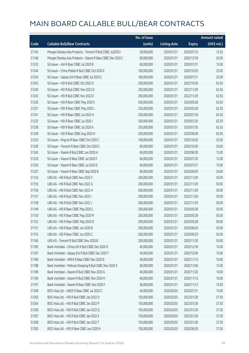|       |                                                              | No. of issue |                     |               | <b>Amount raised</b> |
|-------|--------------------------------------------------------------|--------------|---------------------|---------------|----------------------|
| Code  | <b>Callable Bull/Bear Contracts</b>                          | (units)      | <b>Listing date</b> | <b>Expiry</b> | $(HK\$ mil.)         |
| 51143 | Morgan Stanley Asia Products - Tencent R Bull CBBC Jul2020 I | 50,000,000   | 2020/01/31          | 2020/07/10    | 12.50                |
| 51140 | Morgan Stanley Asia Products - Xiaomi R Bear CBBC Dec 2020 C | 80,000,000   | 2020/01/31          | 2020/12/18    | 20.00                |
| 51233 | SG Issuer - AIA R Bear CBBC Jul 2020 B                       | 60,000,000   | 2020/01/31          | 2020/07/31    | 15.00                |
| 51244 | SG Issuer - China Mobile R Bull CBBC Oct 2020 E              | 100,000,000  | 2020/01/31          | 2020/10/29    | 25.00                |
| 51234 | SG Issuer - Galaxy Ent R Bear CBBC Jul 2020 C                | 100,000,000  | 2020/01/31          | 2020/07/31    | 25.00                |
| 51242 | SG Issuer - HSI R Bull CBBC Oct 2022 X                       | 250,000,000  | 2020/01/31          | 2022/10/28    | 62.50                |
| 51240 | SG Issuer - HSI R Bull CBBC Nov 2022 D                       | 250,000,000  | 2020/01/31          | 2022/11/29    | 62.50                |
| 51243 | SG Issuer - HSI R Bull CBBC Nov 2022 E                       | 250,000,000  | 2020/01/31          | 2022/11/29    | 62.50                |
| 51230 | SG Issuer - HSI R Bear CBBC May 2020 E                       | 250,000,000  | 2020/01/31          | 2020/05/28    | 62.50                |
| 51231 | SG Issuer - HSI R Bear CBBC May 2020 L                       | 250,000,000  | 2020/01/31          | 2020/05/28    | 62.50                |
| 51241 | SG Issuer - HSI R Bear CBBC Jul 2020 H                       | 250,000,000  | 2020/01/31          | 2020/07/30    | 62.50                |
| 51232 | SG Issuer - HSI R Bear CBBC Jul 2020 I                       | 250,000,000  | 2020/01/31          | 2020/07/30    | 62.50                |
| 51238 | SG Issuer - HSI R Bear CBBC Jul 2020 K                       | 250,000,000  | 2020/01/31          | 2020/07/30    | 62.50                |
| 51239 | SG Issuer - HSI R Bear CBBC Aug 2020 H                       | 250,000,000  | 2020/01/31          | 2020/08/28    | 62.50                |
| 51235 | SG Issuer - Ping An R Bear CBBC Oct 2020 C                   | 100,000,000  | 2020/01/31          | 2020/10/30    | 25.00                |
| 51228 | SG Issuer - Tencent R Bear CBBC Oct 2020 C                   | 80,000,000   | 2020/01/31          | 2020/10/30    | 20.00                |
| 51245 | SG Issuer - Xiaomi R Bull CBBC Jun 2020 H                    | 60,000,000   | 2020/01/31          | 2020/06/30    | 15.00                |
| 51229 | SG Issuer - Xiaomi R Bear CBBC Jul 2020 F                    | 60,000,000   | 2020/01/31          | 2020/07/30    | 15.00                |
| 51236 | SG Issuer - Xiaomi R Bear CBBC Jul 2020 G                    | 60,000,000   | 2020/01/31          | 2020/07/31    | 15.90                |
| 51237 | SG Issuer - Xiaomi R Bear CBBC Sep 2020 B                    | 60,000,000   | 2020/01/31          | 2020/09/29    | 24.60                |
| 51154 | UBS AG - HSI R Bull CBBC Nov 2022 F                          | 200,000,000  | 2020/01/31          | 2022/11/29    | 50.00                |
| 51155 | UBS AG - HSI R Bull CBBC Nov 2022 G                          | 200,000,000  | 2020/01/31          | 2022/11/29    | 50.00                |
| 51156 | UBS AG - HSI R Bull CBBC Nov 2022 H                          | 200,000,000  | 2020/01/31          | 2022/11/29    | 50.00                |
| 51157 | UBS AG - HSI R Bull CBBC Nov 2022 I                          | 200,000,000  | 2020/01/31          | 2022/11/29    | 50.00                |
| 51158 | UBS AG - HSI R Bull CBBC Nov 2022 J                          | 200,000,000  | 2020/01/31          | 2022/11/29    | 50.00                |
| 51149 | UBS AG - HSI R Bear CBBC May 2020 L                          | 200,000,000  | 2020/01/31          | 2020/05/28    | 50.00                |
| 51150 | UBS AG - HSI R Bear CBBC May 2020 M                          | 200,000,000  | 2020/01/31          | 2020/05/28    | 50.00                |
| 51152 | UBS AG - HSI R Bear CBBC May 2020 N                          | 200,000,000  | 2020/01/31          | 2020/05/28    | 50.00                |
| 51151 | UBS AG - HSI R Bear CBBC Jun 2020 B                          | 200,000,000  | 2020/01/31          | 2020/06/29    | 50.00                |
| 51153 | UBS AG - HSI R Bear CBBC Jun 2020 C                          | 200,000,000  | 2020/01/31          | 2020/06/29    | 50.00                |
| 51160 | UBS AG - Tencent R Bull CBBC Nov 2020 B                      | 200,000,000  | 2020/01/31          | 2020/11/30    | 50.00                |
| 51185 | Bank Vontobel - China Life R Bull CBBC Dec 2020 D            | 40,000,000   | 2020/01/31          | 2020/12/18    | 10.00                |
| 51187 | Bank Vontobel - Galaxy Ent R Bull CBBC Dec 2020 F            | 40,000,000   | 2020/01/31          | 2020/12/04    | 10.00                |
| 51186 | Bank Vontobel - HKEX R Bear CBBC Nov 2020 B                  | 40,000,000   | 2020/01/31          | 2020/11/13    | 10.00                |
| 51188 | Bank Vontobel - Meituan Dianping R Bull CBBC Nov 2020 X      | 60,000,000   | 2020/01/31          | 2020/11/06    | 15.00                |
| 51189 | Bank Vontobel - Xiaomi R Bull CBBC Nov 2020 G                | 40,000,000   | 2020/01/31          | 2020/11/20    | 10.00                |
| 51190 | Bank Vontobel - Xiaomi R Bull CBBC Nov 2020 H                | 40,000,000   | 2020/01/31          | 2020/11/13    | 10.00                |
| 51191 | Bank Vontobel - Xiaomi R Bear CBBC Nov 2020 F                | 40,000,000   | 2020/01/31          | 2020/11/13    | 15.60                |
| 51308 | BOCI Asia Ltd. - HKEX R Bear CBBC Jul 2020 C                 | 40,000,000   | 2020/02/03          | 2020/07/31    | 10.00                |
| 51263 | BOCI Asia Ltd. - HSI R Bull CBBC Jan 2022 O                  | 150,000,000  | 2020/02/03          | 2022/01/28    | 37.50                |
| 51264 | BOCI Asia Ltd. - HSI R Bull CBBC Jan 2022 P                  | 150,000,000  | 2020/02/03          | 2022/01/28    | 37.50                |
| 51296 | BOCI Asia Ltd. - HSI R Bull CBBC Jan 2022 Q                  | 150,000,000  | 2020/02/03          | 2022/01/28    | 37.50                |
| 51297 | BOCI Asia Ltd. - HSI R Bull CBBC Jan 2022 S                  | 150,000,000  | 2020/02/03          | 2022/01/28    | 37.50                |
| 51298 | BOCI Asia Ltd. - HSI R Bull CBBC Jan 2022 T                  | 150,000,000  | 2020/02/03          | 2022/01/28    | 37.50                |
| 51300 | BOCI Asia Ltd. - HSI R Bear CBBC Jun 2020 N                  | 150,000,000  | 2020/02/03          | 2020/06/29    | 37.50                |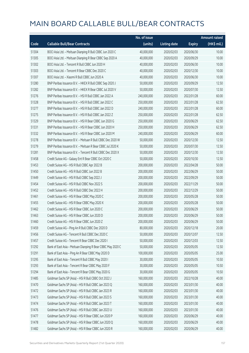|       |                                                             | No. of issue |                     |               | <b>Amount raised</b> |
|-------|-------------------------------------------------------------|--------------|---------------------|---------------|----------------------|
| Code  | <b>Callable Bull/Bear Contracts</b>                         | (units)      | <b>Listing date</b> | <b>Expiry</b> | (HK\$ mil.)          |
| 51304 | BOCI Asia Ltd. - Meituan Dianping R Bull CBBC Jun 2020 C    | 40,000,000   | 2020/02/03          | 2020/06/30    | 10.00                |
| 51305 | BOCI Asia Ltd. - Meituan Dianping R Bear CBBC Sep 2020 A    | 40,000,000   | 2020/02/03          | 2020/09/29    | 10.00                |
| 51302 | BOCI Asia Ltd. - Tencent R Bull CBBC Jun 2020 H             | 40,000,000   | 2020/02/03          | 2020/06/30    | 10.00                |
| 51303 | BOCI Asia Ltd. - Tencent R Bear CBBC Dec 2020 C             | 40,000,000   | 2020/02/03          | 2020/12/30    | 10.00                |
| 51307 | BOCI Asia Ltd. - Xiaomi R Bull CBBC Jun 2020 A              | 40,000,000   | 2020/02/03          | 2020/06/30    | 10.00                |
| 51280 | BNP Paribas Issuance B.V. - HKEX R Bull CBBC Sep 2020 J     | 50,000,000   | 2020/02/03          | 2020/09/29    | 12.50                |
| 51282 | BNP Paribas Issuance B.V. - HKEX R Bear CBBC Jul 2020 V     | 50,000,000   | 2020/02/03          | 2020/07/30    | 12.50                |
| 51276 | BNP Paribas Issuance B.V. - HSI R Bull CBBC Jan 2022 A      | 240,000,000  | 2020/02/03          | 2022/01/28    | 60.00                |
| 51328 | BNP Paribas Issuance B.V. - HSI R Bull CBBC Jan 2022 C      | 250,000,000  | 2020/02/03          | 2022/01/28    | 62.50                |
| 51277 | BNP Paribas Issuance B.V. - HSI R Bull CBBC Jan 2022 D      | 240,000,000  | 2020/02/03          | 2022/01/28    | 60.00                |
| 51275 | BNP Paribas Issuance B.V. - HSI R Bull CBBC Jan 2022 Z      | 250,000,000  | 2020/02/03          | 2022/01/28    | 62.50                |
| 51329 | BNP Paribas Issuance B.V. - HSI R Bear CBBC Jun 2020 G      | 250,000,000  | 2020/02/03          | 2020/06/29    | 62.50                |
| 51331 | BNP Paribas Issuance B.V. - HSI R Bear CBBC Jun 2020 H      | 250,000,000  | 2020/02/03          | 2020/06/29    | 62.50                |
| 51332 | BNP Paribas Issuance B.V. - HSI R Bear CBBC Jun 2020 M      | 240,000,000  | 2020/02/03          | 2020/06/29    | 60.00                |
| 51278 | BNP Paribas Issuance B.V. - Meituan R Bull CBBC Dec 2020 W  | 50,000,000   | 2020/02/03          | 2020/12/30    | 12.50                |
| 51279 | BNP Paribas Issuance B.V. - Meituan R Bear CBBC Jul 2020 K  | 50,000,000   | 2020/02/03          | 2020/07/30    | 12.50                |
| 51281 | BNP Paribas Issuance B.V. - Tencent R Bull CBBC Dec 2020 X  | 50,000,000   | 2020/02/03          | 2020/12/30    | 12.50                |
| 51458 | Credit Suisse AG - Galaxy Ent R Bear CBBC Oct 2020 C        | 50,000,000   | 2020/02/03          | 2020/10/30    | 12.50                |
| 51453 | Credit Suisse AG - HSI R Bull CBBC Apr 2022 B               | 200,000,000  | 2020/02/03          | 2022/04/28    | 50.00                |
| 51450 | Credit Suisse AG - HSI R Bull CBBC Jun 2022 B               | 200,000,000  | 2020/02/03          | 2022/06/29    | 50.00                |
| 51449 | Credit Suisse AG - HSI R Bull CBBC Sep 2022 J               | 200,000,000  | 2020/02/03          | 2022/09/29    | 50.00                |
| 51454 | Credit Suisse AG - HSI R Bull CBBC Nov 2022 S               | 200,000,000  | 2020/02/03          | 2022/11/29    | 50.00                |
| 51452 | Credit Suisse AG - HSI R Bull CBBC Dec 2022 H               | 200,000,000  | 2020/02/03          | 2022/12/29    | 50.00                |
| 51461 | Credit Suisse AG - HSI R Bear CBBC May 2020 C               | 200,000,000  | 2020/02/03          | 2020/05/28    | 50.00                |
| 51455 | Credit Suisse AG - HSI R Bear CBBC May 2020 X               | 200,000,000  | 2020/02/03          | 2020/05/28    | 50.00                |
| 51462 | Credit Suisse AG - HSI R Bear CBBC Jun 2020 C               | 200,000,000  | 2020/02/03          | 2020/06/29    | 50.00                |
| 51463 | Credit Suisse AG - HSI R Bear CBBC Jun 2020 D               | 200,000,000  | 2020/02/03          | 2020/06/29    | 50.00                |
| 51460 | Credit Suisse AG - HSI R Bear CBBC Jun 2020 Z               | 200,000,000  | 2020/02/03          | 2020/06/29    | 50.00                |
| 51459 | Credit Suisse AG - Ping An R Bull CBBC Dec 2020 D           | 80,000,000   | 2020/02/03          | 2020/12/18    | 20.00                |
| 51456 | Credit Suisse AG - Tencent R Bull CBBC Dec 2020 C           | 50,000,000   | 2020/02/03          | 2020/12/07    | 12.50                |
| 51457 | Credit Suisse AG - Tencent R Bear CBBC Dec 2020 I           | 50,000,000   | 2020/02/03          | 2020/12/03    | 12.50                |
| 51292 | Bank of East Asia - Meituan Dianping R Bear CBBC May 2020 C | 50,000,000   | 2020/02/03          | 2020/05/05    | 12.50                |
| 51291 | Bank of East Asia - Ping An R Bear CBBC May 2020 D          | 100,000,000  | 2020/02/03          | 2020/05/05    | 25.00                |
| 51295 | Bank of East Asia - Tencent R Bull CBBC May 2020 I          | 30,000,000   | 2020/02/03          | 2020/05/05    | 10.50                |
| 51293 | Bank of East Asia - Tencent R Bear CBBC May 2020 F          | 30,000,000   | 2020/02/03          | 2020/05/05    | 10.50                |
| 51294 | Bank of East Asia - Tencent R Bear CBBC May 2020 G          | 30,000,000   | 2020/02/03          | 2020/05/05    | 10.50                |
| 51485 | Goldman Sachs SP (Asia) - HSI R Bull CBBC Oct 2022 J        | 160,000,000  | 2020/02/03          | 2022/10/28    | 40.00                |
| 51470 | Goldman Sachs SP (Asia) - HSI R Bull CBBC Jan 2023 Q        | 160,000,000  | 2020/02/03          | 2023/01/30    | 40.00                |
| 51472 | Goldman Sachs SP (Asia) - HSI R Bull CBBC Jan 2023 R        | 160,000,000  | 2020/02/03          | 2023/01/30    | 40.00                |
| 51473 | Goldman Sachs SP (Asia) - HSI R Bull CBBC Jan 2023 S        | 160,000,000  | 2020/02/03          | 2023/01/30    | 40.00                |
| 51474 | Goldman Sachs SP (Asia) - HSI R Bull CBBC Jan 2023 T        | 160,000,000  | 2020/02/03          | 2023/01/30    | 40.00                |
| 51476 | Goldman Sachs SP (Asia) - HSI R Bull CBBC Jan 2023 U        | 160,000,000  | 2020/02/03          | 2023/01/30    | 40.00                |
| 51477 | Goldman Sachs SP (Asia) - HSI R Bear CBBC Jun 2020 P        | 160,000,000  | 2020/02/03          | 2020/06/29    | 40.00                |
| 51478 | Goldman Sachs SP (Asia) - HSI R Bear CBBC Jun 2020 Q        | 160,000,000  | 2020/02/03          | 2020/06/29    | 40.00                |
| 51482 | Goldman Sachs SP (Asia) - HSI R Bear CBBC Jun 2020 R        | 160,000,000  | 2020/02/03          | 2020/06/29    | 40.00                |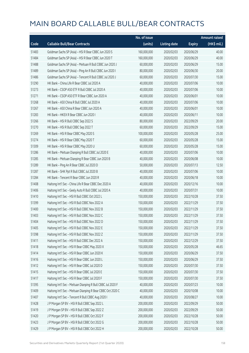|       |                                                             | No. of issue |                     |               | <b>Amount raised</b> |
|-------|-------------------------------------------------------------|--------------|---------------------|---------------|----------------------|
| Code  | <b>Callable Bull/Bear Contracts</b>                         | (units)      | <b>Listing date</b> | <b>Expiry</b> | (HK\$ mil.)          |
| 51483 | Goldman Sachs SP (Asia) - HSI R Bear CBBC Jun 2020 S        | 160,000,000  | 2020/02/03          | 2020/06/29    | 40.00                |
| 51484 | Goldman Sachs SP (Asia) - HSI R Bear CBBC Jun 2020 T        | 160,000,000  | 2020/02/03          | 2020/06/29    | 40.00                |
| 51488 | Goldman Sachs SP (Asia) - Meituan R Bull CBBC Jun 2020 J    | 60,000,000   | 2020/02/03          | 2020/06/29    | 15.00                |
| 51489 | Goldman Sachs SP (Asia) - Ping An R Bull CBBC Jun 2020 I    | 80,000,000   | 2020/02/03          | 2020/06/30    | 20.00                |
| 51486 | Goldman Sachs SP (Asia) - Tencent R Bull CBBC Jul 2020 J    | 60,000,000   | 2020/02/03          | 2020/07/30    | 15.00                |
| 51290 | HK Bank - China Life R Bear CBBC Jul 2020 A                 | 40,000,000   | 2020/02/03          | 2020/07/06    | 10.00                |
| 51273 | HK Bank - CSOP A50 ETF R Bull CBBC Jul 2020 A               | 40,000,000   | 2020/02/03          | 2020/07/06    | 10.00                |
| 51271 | HK Bank - CSOP A50 ETF R Bear CBBC Jun 2020 A               | 40,000,000   | 2020/02/03          | 2020/06/01    | 10.00                |
| 51268 | HK Bank - A50 China R Bull CBBC Jul 2020 A                  | 40,000,000   | 2020/02/03          | 2020/07/06    | 10.00                |
| 51267 | HK Bank - A50 China R Bear CBBC Jun 2020 A                  | 40,000,000   | 2020/02/03          | 2020/06/01    | 10.00                |
| 51283 | HK Bank - HKEX R Bear CBBC Jun 2020 I                       | 40,000,000   | 2020/02/03          | 2020/06/11    | 10.00                |
| 51266 | HK Bank - HSI R Bull CBBC Sep 2022 S                        | 80,000,000   | 2020/02/03          | 2022/09/29    | 20.00                |
| 51270 | HK Bank - HSI R Bull CBBC Sep 2022 T                        | 60,000,000   | 2020/02/03          | 2022/09/29    | 15.00                |
| 51269 | HK Bank - HSI R Bear CBBC May 2020 S                        | 100,000,000  | 2020/02/03          | 2020/05/28    | 25.00                |
| 51274 | HK Bank - HSI R Bear CBBC May 2020 T                        | 60,000,000   | 2020/02/03          | 2020/05/28    | 15.00                |
| 51309 | HK Bank - HSI R Bear CBBC May 2020 U                        | 60,000,000   | 2020/02/03          | 2020/05/28    | 15.00                |
| 51286 | HK Bank - Meituan Dianping R Bull CBBC Jul 2020 E           | 40,000,000   | 2020/02/03          | 2020/07/06    | 10.00                |
| 51285 | HK Bank - Meituan Dianping R Bear CBBC Jun 2020 B           | 40,000,000   | 2020/02/03          | 2020/06/08    | 10.00                |
| 51289 | HK Bank - Ping An R Bear CBBC Jul 2020 D                    | 50,000,000   | 2020/02/03          | 2020/07/13    | 12.50                |
| 51287 | HK Bank - SHK Ppt R Bull CBBC Jul 2020 B                    | 40,000,000   | 2020/02/03          | 2020/07/06    | 10.00                |
| 51284 | HK Bank - Tencent R Bear CBBC Jun 2020 R                    | 40,000,000   | 2020/02/03          | 2020/06/18    | 10.00                |
| 51408 | Haitong Int'l Sec - China Life R Bear CBBC Dec 2020 A       | 40,000,000   | 2020/02/03          | 2020/12/16    | 10.00                |
| 51406 | Haitong Int'l Sec - Geely Auto R Bull CBBC Jul 2020 A       | 40,000,000   | 2020/02/03          | 2020/07/31    | 10.00                |
| 51410 | Haitong Int'l Sec - HSI R Bull CBBC Oct 2022 L              | 150,000,000  | 2020/02/03          | 2022/10/28    | 37.50                |
| 51399 | Haitong Int'l Sec - HSI R Bull CBBC Nov 2022 A              | 150,000,000  | 2020/02/03          | 2022/11/29    | 37.50                |
| 51400 | Haitong Int'l Sec - HSI R Bull CBBC Nov 2022 B              | 150,000,000  | 2020/02/03          | 2022/11/29    | 37.50                |
| 51403 | Haitong Int'l Sec - HSI R Bull CBBC Nov 2022 C              | 150,000,000  | 2020/02/03          | 2022/11/29    | 37.50                |
| 51404 | Haitong Int'l Sec - HSI R Bull CBBC Nov 2022 D              | 150,000,000  | 2020/02/03          | 2022/11/29    | 37.50                |
| 51405 | Haitong Int'l Sec - HSI R Bull CBBC Nov 2022 E              | 150,000,000  | 2020/02/03          | 2022/11/29    | 37.50                |
| 51398 | Haitong Int'l Sec - HSI R Bull CBBC Nov 2022 Z              | 150,000,000  | 2020/02/03          | 2022/11/29    | 37.50                |
| 51411 | Haitong Int'l Sec - HSI R Bull CBBC Dec 2022 A              | 150,000,000  | 2020/02/03          | 2022/12/29    | 37.50                |
| 51418 | Haitong Int'l Sec - HSI R Bear CBBC May 2020 X              | 150,000,000  | 2020/02/03          | 2020/05/28    | 46.65                |
| 51414 | Haitong Int'l Sec - HSI R Bear CBBC Jun 2020 K              | 150,000,000  | 2020/02/03          | 2020/06/29    | 37.50                |
| 51416 | Haitong Int'l Sec - HSI R Bear CBBC Jun 2020 L              | 150,000,000  | 2020/02/03          | 2020/06/29    | 37.50                |
| 51412 | Haitong Int'l Sec - HSI R Bear CBBC Jul 2020 D              | 150,000,000  | 2020/02/03          | 2020/07/30    | 37.50                |
| 51415 | Haitong Int'l Sec - HSI R Bear CBBC Jul 2020 E              | 150,000,000  | 2020/02/03          | 2020/07/30    | 37.50                |
| 51417 | Haitong Int'l Sec - HSI R Bear CBBC Jul 2020 F              | 150,000,000  | 2020/02/03          | 2020/07/30    | 37.50                |
| 51395 | Haitong Int'l Sec - Meituan Dianping R Bull CBBC Jul 2020 F | 40,000,000   | 2020/02/03          | 2020/07/23    | 10.00                |
| 51409 | Haitong Int'l Sec - Meituan Dianping R Bear CBBC Oct 2020 C | 40,000,000   | 2020/02/03          | 2020/10/08    | 10.00                |
| 51407 | Haitong Int'l Sec - Tencent R Bull CBBC Aug 2020 I          | 40,000,000   | 2020/02/03          | 2020/08/27    | 10.00                |
| 51428 | J P Morgan SP BV - HSI R Bull CBBC Sep 2022 L               | 200,000,000  | 2020/02/03          | 2022/09/29    | 50.00                |
| 51419 | J P Morgan SP BV - HSI R Bull CBBC Sep 2022 Z               | 200,000,000  | 2020/02/03          | 2022/09/29    | 50.00                |
| 51420 | J P Morgan SP BV - HSI R Bull CBBC Oct 2022 F               | 200,000,000  | 2020/02/03          | 2022/10/28    | 50.00                |
| 51423 | J P Morgan SP BV - HSI R Bull CBBC Oct 2022 G               | 200,000,000  | 2020/02/03          | 2022/10/28    | 50.00                |
| 51429 | J P Morgan SP BV - HSI R Bull CBBC Oct 2022 H               | 200,000,000  | 2020/02/03          | 2022/10/28    | 50.00                |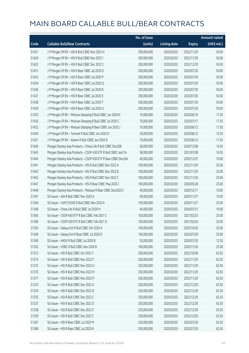|       |                                                                | No. of issue |                     |               | <b>Amount raised</b> |
|-------|----------------------------------------------------------------|--------------|---------------------|---------------|----------------------|
| Code  | <b>Callable Bull/Bear Contracts</b>                            | (units)      | <b>Listing date</b> | <b>Expiry</b> | (HK\$ mil.)          |
| 51421 | J P Morgan SP BV - HSI R Bull CBBC Nov 2022 H                  | 200,000,000  | 2020/02/03          | 2022/11/29    | 50.00                |
| 51424 | J P Morgan SP BV - HSI R Bull CBBC Nov 2022 I                  | 200,000,000  | 2020/02/03          | 2022/11/29    | 50.00                |
| 51422 | J P Morgan SP BV - HSI R Bull CBBC Dec 2022 C                  | 200,000,000  | 2020/02/03          | 2022/12/29    | 50.00                |
| 51431 | J P Morgan SP BV - HSI R Bear CBBC Jul 2020 O                  | 200,000,000  | 2020/02/03          | 2020/07/30    | 50.00                |
| 51433 | J P Morgan SP BV - HSI R Bear CBBC Jul 2020 P                  | 200,000,000  | 2020/02/03          | 2020/07/30    | 50.00                |
| 51434 | J P Morgan SP BV - HSI R Bear CBBC Jul 2020 Q                  | 200,000,000  | 2020/02/03          | 2020/07/30    | 50.00                |
| 51436 | J P Morgan SP BV - HSI R Bear CBBC Jul 2020 R                  | 200,000,000  | 2020/02/03          | 2020/07/30    | 50.00                |
| 51437 | J P Morgan SP BV - HSI R Bear CBBC Jul 2020 S                  | 200,000,000  | 2020/02/03          | 2020/07/30    | 50.00                |
| 51438 | J P Morgan SP BV - HSI R Bear CBBC Jul 2020 T                  | 200,000,000  | 2020/02/03          | 2020/07/30    | 50.00                |
| 51439 | J P Morgan SP BV - HSI R Bear CBBC Jul 2020 U                  | 200,000,000  | 2020/02/03          | 2020/07/30    | 50.00                |
| 51425 | J P Morgan SP BV - Meituan Dianping R Bull CBBC Jun 2020 N     | 70,000,000   | 2020/02/03          | 2020/06/19    | 17.50                |
| 51426 | J P Morgan SP BV - Meituan Dianping R Bull CBBC Jul 2020 C     | 70,000,000   | 2020/02/03          | 2020/07/17    | 17.50                |
| 51432 | J P Morgan SP BV - Meituan Dianping R Bear CBBC Jun 2020 J     | 70,000,000   | 2020/02/03          | 2020/06/12    | 17.50                |
| 51430 | J P Morgan SP BV - Tencent R Bull CBBC Jun 2020 O              | 50,000,000   | 2020/02/03          | 2020/06/12    | 12.50                |
| 51427 | J P Morgan SP BV - Xiaomi R Bull CBBC Jun 2020 D               | 70,000,000   | 2020/02/03          | 2020/06/12    | 17.50                |
| 51440 | Morgan Stanley Asia Products - China Life R Bull CBBC Dec20B   | 58,000,000   | 2020/02/03          | 2020/12/08    | 14.50                |
| 51445 | Morgan Stanley Asia Products - CSOP A50 ETF R Bull CBBC Jan21A | 58,000,000   | 2020/02/03          | 2021/01/08    | 14.50                |
| 51444 | Morgan Stanley Asia Products - CSOP A50 ETF R Bear CBBC Dec20A | 40,000,000   | 2020/02/03          | 2020/12/01    | 10.00                |
| 51441 | Morgan Stanley Asia Products - HSI R Bull CBBC Nov 2022 A      | 100,000,000  | 2020/02/03          | 2022/11/29    | 25.00                |
| 51442 | Morgan Stanley Asia Products - HSI R Bull CBBC Nov 2022 B      | 100,000,000  | 2020/02/03          | 2022/11/29    | 25.00                |
| 51443 | Morgan Stanley Asia Products - HSI R Bull CBBC Nov 2022 C      | 100,000,000  | 2020/02/03          | 2022/11/29    | 25.00                |
| 51447 | Morgan Stanley Asia Products - HSI R Bear CBBC May 2020 J      | 100,000,000  | 2020/02/03          | 2020/05/28    | 25.00                |
| 51446 | Morgan Stanley Asia Products - Meituan R Bear CBBC Dec2020 C   | 40,000,000   | 2020/02/03          | 2020/12/11    | 10.00                |
| 51347 | SG Issuer - AIA R Bull CBBC Nov 2020 A                         | 60,000,000   | 2020/02/03          | 2020/11/27    | 15.00                |
| 51364 | SG Issuer - CAM CSI300 R Bull CBBC Nov 2020 A                  | 100,000,000  | 2020/02/03          | 2020/11/27    | 25.00                |
| 51348 | SG Issuer - China Life R Bull CBBC Jul 2020 H                  | 40,000,000   | 2020/02/03          | 2020/07/31    | 10.00                |
| 51365 | SG Issuer - CSOP A50 ETF R Bull CBBC Feb 2021 C                | 100,000,000  | 2020/02/03          | 2021/02/23    | 25.00                |
| 51366 | SG Issuer - CSOP A50 ETF R Bull CBBC Feb 2021 D                | 100,000,000  | 2020/02/03          | 2021/02/26    | 25.00                |
| 51350 | SG Issuer - Galaxy Ent R Bull CBBC Oct 2020 A                  | 100,000,000  | 2020/02/03          | 2020/10/30    | 25.00                |
| 51349 | SG Issuer - Galaxy Ent R Bear CBBC Jul 2020 D                  | 100,000,000  | 2020/02/03          | 2020/07/29    | 25.00                |
| 51340 | SG Issuer - HKEX R Bull CBBC Jul 2020 B                        | 50,000,000   | 2020/02/03          | 2020/07/30    | 12.50                |
| 51352 | SG Issuer - HSBC R Bull CBBC Nov 2020 B                        | 100,000,000  | 2020/02/03          | 2020/11/30    | 25.00                |
| 51372 | SG Issuer - HSI R Bull CBBC Oct 2022 Y                         | 250,000,000  | 2020/02/03          | 2022/10/28    | 62.50                |
| 51374 | SG Issuer - HSI R Bull CBBC Nov 2022 F                         | 250,000,000  | 2020/02/03          | 2022/11/29    | 62.50                |
| 51375 | SG Issuer - HSI R Bull CBBC Nov 2022 G                         | 250,000,000  | 2020/02/03          | 2022/11/29    | 62.50                |
| 51376 | SG Issuer - HSI R Bull CBBC Nov 2022 H                         | 250,000,000  | 2020/02/03          | 2022/11/29    | 62.50                |
| 51377 | SG Issuer - HSI R Bull CBBC Nov 2022 P                         | 250,000,000  | 2020/02/03          | 2022/11/29    | 62.50                |
| 51333 | SG Issuer - HSI R Bull CBBC Dec 2022 A                         | 250,000,000  | 2020/02/03          | 2022/12/29    | 62.50                |
| 51334 | SG Issuer - HSI R Bull CBBC Dec 2022 B                         | 250,000,000  | 2020/02/03          | 2022/12/29    | 62.50                |
| 51335 | SG Issuer - HSI R Bull CBBC Dec 2022 C                         | 250,000,000  | 2020/02/03          | 2022/12/29    | 62.50                |
| 51337 | SG Issuer - HSI R Bull CBBC Dec 2022 D                         | 250,000,000  | 2020/02/03          | 2022/12/29    | 62.50                |
| 51338 | SG Issuer - HSI R Bull CBBC Dec 2022 E                         | 250,000,000  | 2020/02/03          | 2022/12/29    | 62.50                |
| 51339 | SG Issuer - HSI R Bull CBBC Dec 2022 F                         | 250,000,000  | 2020/02/03          | 2022/12/29    | 62.50                |
| 51367 | SG Issuer - HSI R Bear CBBC Jul 2020 M                         | 250,000,000  | 2020/02/03          | 2020/07/30    | 62.50                |
| 51368 | SG Issuer - HSI R Bear CBBC Jul 2020 N                         | 250,000,000  | 2020/02/03          | 2020/07/30    | 62.50                |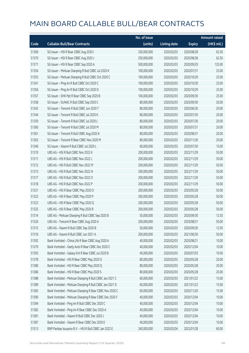|       |                                                         | No. of issue |                     |               | <b>Amount raised</b>  |
|-------|---------------------------------------------------------|--------------|---------------------|---------------|-----------------------|
| Code  | <b>Callable Bull/Bear Contracts</b>                     | (units)      | <b>Listing date</b> | <b>Expiry</b> | $(HK\frac{1}{2}mil.)$ |
| 51369 | SG Issuer - HSI R Bear CBBC Aug 2020 I                  | 250,000,000  | 2020/02/03          | 2020/08/28    | 62.50                 |
| 51370 | SG Issuer - HSI R Bear CBBC Aug 2020 J                  | 250,000,000  | 2020/02/03          | 2020/08/28    | 62.50                 |
| 51371 | SG Issuer - HSI R Bear CBBC Sep 2020 A                  | 500,000,000  | 2020/02/03          | 2020/09/29    | 125.00                |
| 51354 | SG Issuer - Meituan Dianping R Bull CBBC Jul 2020 K     | 100,000,000  | 2020/02/03          | 2020/07/31    | 25.00                 |
| 51355 | SG Issuer - Meituan Dianping R Bull CBBC Oct 2020 C     | 100,000,000  | 2020/02/03          | 2020/10/29    | 25.00                 |
| 51341 | SG Issuer - Ping An R Bull CBBC Oct 2020 C              | 100,000,000  | 2020/02/03          | 2020/10/30    | 25.00                 |
| 51356 | SG Issuer - Ping An R Bull CBBC Oct 2020 D              | 100,000,000  | 2020/02/03          | 2020/10/29    | 25.00                 |
| 51357 | SG Issuer - SHK Ppt R Bear CBBC Sep 2020 B              | 100,000,000  | 2020/02/03          | 2020/09/30    | 25.00                 |
| 51358 | SG Issuer - SUNAC R Bull CBBC Sep 2020 C                | 80,000,000   | 2020/02/03          | 2020/09/30    | 20.00                 |
| 51342 | SG Issuer - Tencent R Bull CBBC Jun 2020 T              | 80,000,000   | 2020/02/03          | 2020/06/30    | 20.00                 |
| 51344 | SG Issuer - Tencent R Bull CBBC Jul 2020 K              | 80,000,000   | 2020/02/03          | 2020/07/30    | 20.00                 |
| 51359 | SG Issuer - Tencent R Bull CBBC Jul 2020 L              | 80,000,000   | 2020/02/03          | 2020/07/30    | 20.00                 |
| 51360 | SG Issuer - Tencent R Bull CBBC Jul 2020 M              | 80,000,000   | 2020/02/03          | 2020/07/31    | 20.00                 |
| 51361 | SG Issuer - Tencent R Bull CBBC Aug 2020 A              | 80,000,000   | 2020/02/03          | 2020/08/31    | 20.00                 |
| 51363 | SG Issuer - Tencent R Bear CBBC Nov 2020 M              | 80,000,000   | 2020/02/03          | 2020/11/30    | 20.00                 |
| 51346 | SG Issuer - Xiaomi R Bull CBBC Jul 2020 L               | 60,000,000   | 2020/02/03          | 2020/07/30    | 15.00                 |
| 51310 | UBS AG - HSI R Bull CBBC Nov 2022 K                     | 200,000,000  | 2020/02/03          | 2022/11/29    | 50.00                 |
| 51311 | UBS AG - HSI R Bull CBBC Nov 2022 L                     | 200,000,000  | 2020/02/03          | 2022/11/29    | 50.00                 |
| 51312 | UBS AG - HSI R Bull CBBC Nov 2022 M                     | 200,000,000  | 2020/02/03          | 2022/11/29    | 50.00                 |
| 51313 | UBS AG - HSI R Bull CBBC Nov 2022 N                     | 200,000,000  | 2020/02/03          | 2022/11/29    | 50.00                 |
| 51317 | UBS AG - HSI R Bull CBBC Nov 2022 O                     | 200,000,000  | 2020/02/03          | 2022/11/29    | 50.00                 |
| 51318 | UBS AG - HSI R Bull CBBC Nov 2022 P                     | 200,000,000  | 2020/02/03          | 2022/11/29    | 50.00                 |
| 51321 | UBS AG - HSI R Bear CBBC May 2020 O                     | 200,000,000  | 2020/02/03          | 2020/05/28    | 50.00                 |
| 51322 | UBS AG - HSI R Bear CBBC May 2020 P                     | 200,000,000  | 2020/02/03          | 2020/05/28    | 50.00                 |
| 51323 | UBS AG - HSI R Bear CBBC May 2020 Q                     | 200,000,000  | 2020/02/03          | 2020/05/28    | 50.00                 |
| 51325 | UBS AG - HSI R Bear CBBC May 2020 R                     | 200,000,000  | 2020/02/03          | 2020/05/28    | 50.00                 |
| 51314 | UBS AG - Meituan Dianping R Bull CBBC Sep 2020 B        | 50,000,000   | 2020/02/03          | 2020/09/30    | 12.50                 |
| 51326 | UBS AG - Tencent R Bear CBBC Aug 2020 A                 | 200,000,000  | 2020/02/03          | 2020/08/31    | 50.00                 |
| 51315 | UBS AG - Xiaomi R Bull CBBC Sep 2020 B                  | 50,000,000   | 2020/02/03          | 2020/09/30    | 12.50                 |
| 51316 | UBS AG - Xiaomi R Bull CBBC Jun 2021 A                  | 200,000,000  | 2020/02/03          | 2021/06/30    | 50.00                 |
| 51392 | Bank Vontobel - China Life R Bear CBBC Aug 2020 A       | 40,000,000   | 2020/02/03          | 2020/08/21    | 10.00                 |
| 51379 | Bank Vontobel - Geely Auto R Bear CBBC Dec 2020 C       | 40,000,000   | 2020/02/03          | 2020/12/04    | 10.00                 |
| 51393 | Bank Vontobel - Galaxy Ent R Bear CBBC Jul 2020 B       | 40,000,000   | 2020/02/03          | 2020/07/03    | 10.00                 |
| 51378 | Bank Vontobel - HSI R Bear CBBC May 2020 O              | 80,000,000   | 2020/02/03          | 2020/05/28    | 20.00                 |
| 51380 | Bank Vontobel - HSI R Bear CBBC May 2020 Q              | 80,000,000   | 2020/02/03          | 2020/05/28    | 20.00                 |
| 51386 | Bank Vontobel - HSI R Bear CBBC May 2020 S              | 80,000,000   | 2020/02/03          | 2020/05/28    | 20.00                 |
| 51388 | Bank Vontobel - Meituan Dianping R Bull CBBC Jan 2021 C | 60,000,000   | 2020/02/03          | 2021/01/22    | 15.00                 |
| 51389 | Bank Vontobel - Meituan Dianping R Bull CBBC Jan 2021 D | 60,000,000   | 2020/02/03          | 2021/01/22    | 15.00                 |
| 51383 | Bank Vontobel - Meituan Dianping R Bear CBBC Nov 2020 C | 60,000,000   | 2020/02/03          | 2020/11/20    | 15.00                 |
| 51390 | Bank Vontobel - Meituan Dianping R Bear CBBC Dec 2020 F | 40,000,000   | 2020/02/03          | 2020/12/04    | 10.00                 |
| 51394 | Bank Vontobel - Ping An R Bull CBBC Dec 2020 C          | 40,000,000   | 2020/02/03          | 2020/12/04    | 10.00                 |
| 51382 | Bank Vontobel - Ping An R Bear CBBC Dec 2020 A          | 40,000,000   | 2020/02/03          | 2020/12/04    | 10.00                 |
| 51381 | Bank Vontobel - Xiaomi R Bull CBBC Dec 2020 J           | 40,000,000   | 2020/02/03          | 2020/12/04    | 10.00                 |
| 51387 | Bank Vontobel - Xiaomi R Bear CBBC Dec 2020 E           | 40,000,000   | 2020/02/03          | 2020/12/04    | 10.00                 |
| 51513 | BNP Paribas Issuance B.V. - HSI R Bull CBBC Jan 2022 E  | 240,000,000  | 2020/02/04          | 2022/01/28    | 60.00                 |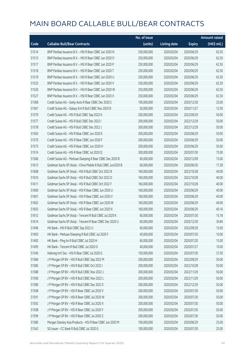|       |                                                              | No. of issue |                     |               | <b>Amount raised</b> |
|-------|--------------------------------------------------------------|--------------|---------------------|---------------|----------------------|
| Code  | <b>Callable Bull/Bear Contracts</b>                          | (units)      | <b>Listing date</b> | <b>Expiry</b> | (HK\$ mil.)          |
| 51514 | BNP Paribas Issuance B.V. - HSI R Bear CBBC Jun 2020 N       | 250,000,000  | 2020/02/04          | 2020/06/29    | 62.50                |
| 51515 | BNP Paribas Issuance B.V. - HSI R Bear CBBC Jun 2020 O       | 250,000,000  | 2020/02/04          | 2020/06/29    | 62.50                |
| 51517 | BNP Paribas Issuance B.V. - HSI R Bear CBBC Jun 2020 P       | 250,000,000  | 2020/02/04          | 2020/06/29    | 62.50                |
| 51518 | BNP Paribas Issuance B.V. - HSI R Bear CBBC Jun 2020 T       | 250,000,000  | 2020/02/04          | 2020/06/29    | 62.50                |
| 51519 | BNP Paribas Issuance B.V. - HSI R Bear CBBC Jun 2020 U       | 250,000,000  | 2020/02/04          | 2020/06/29    | 62.50                |
| 51525 | BNP Paribas Issuance B.V. - HSI R Bear CBBC Jun 2020 V       | 250,000,000  | 2020/02/04          | 2020/06/29    | 62.50                |
| 51526 | BNP Paribas Issuance B.V. - HSI R Bear CBBC Jun 2020 W       | 250,000,000  | 2020/02/04          | 2020/06/29    | 62.50                |
| 51527 | BNP Paribas Issuance B.V. - HSI R Bear CBBC Jun 2020 X       | 250,000,000  | 2020/02/04          | 2020/06/29    | 62.50                |
| 51568 | Credit Suisse AG - Geely Auto R Bear CBBC Dec 2020 C         | 100,000,000  | 2020/02/04          | 2020/12/30    | 25.00                |
| 51567 | Credit Suisse AG - Galaxy Ent R Bull CBBC Nov 2020 B         | 50,000,000   | 2020/02/04          | 2020/11/27    | 12.50                |
| 51579 | Credit Suisse AG - HSI R Bull CBBC Sep 2022 K                | 200,000,000  | 2020/02/04          | 2022/09/29    | 50.00                |
| 51577 | Credit Suisse AG - HSI R Bull CBBC Dec 2022 I                | 200,000,000  | 2020/02/04          | 2022/12/29    | 50.00                |
| 51578 | Credit Suisse AG - HSI R Bull CBBC Dec 2022 J                | 200,000,000  | 2020/02/04          | 2022/12/29    | 50.00                |
| 51565 | Credit Suisse AG - HSI R Bear CBBC Jun 2020 E                | 200,000,000  | 2020/02/04          | 2020/06/29    | 50.00                |
| 51570 | Credit Suisse AG - HSI R Bear CBBC Jun 2020 F                | 200,000,000  | 2020/02/04          | 2020/06/29    | 50.00                |
| 51573 | Credit Suisse AG - HSI R Bear CBBC Jun 2020 H                | 200,000,000  | 2020/02/04          | 2020/06/29    | 50.00                |
| 51574 | Credit Suisse AG - HSI R Bear CBBC Jul 2020 Q                | 300,000,000  | 2020/02/04          | 2020/07/30    | 75.00                |
| 51566 | Credit Suisse AG - Meituan Dianping R Bear CBBC Dec 2020 B   | 60,000,000   | 2020/02/04          | 2020/12/09    | 15.00                |
| 51613 | Goldman Sachs SP (Asia) - China Mobile R Bull CBBC Jun2020 B | 60,000,000   | 2020/02/04          | 2020/06/30    | 17.28                |
| 51608 | Goldman Sachs SP (Asia) - HSI R Bull CBBC Oct 2022 B         | 160,000,000  | 2020/02/04          | 2022/10/28    | 40.00                |
| 51610 | Goldman Sachs SP (Asia) - HSI R Bull CBBC Oct 2022 D         | 160,000,000  | 2020/02/04          | 2022/10/28    | 40.00                |
| 51611 | Goldman Sachs SP (Asia) - HSI R Bull CBBC Oct 2022 F         | 160,000,000  | 2020/02/04          | 2022/10/28    | 40.00                |
| 51600 | Goldman Sachs SP (Asia) - HSI R Bear CBBC Jun 2020 U         | 160,000,000  | 2020/02/04          | 2020/06/29    | 40.00                |
| 51601 | Goldman Sachs SP (Asia) - HSI R Bear CBBC Jun 2020 V         | 160,000,000  | 2020/02/04          | 2020/06/29    | 40.00                |
| 51602 | Goldman Sachs SP (Asia) - HSI R Bear CBBC Jun 2020 W         | 160,000,000  | 2020/02/04          | 2020/06/29    | 40.00                |
| 51603 | Goldman Sachs SP (Asia) - HSI R Bear CBBC Jun 2020 X         | 160,000,000  | 2020/02/04          | 2020/06/29    | 40.16                |
| 51612 | Goldman Sachs SP (Asia) - Tencent R Bull CBBC Jul 2020 K     | 60,000,000   | 2020/02/04          | 2020/07/30    | 15.18                |
| 51614 | Goldman Sachs SP (Asia) - Tencent R Bear CBBC Dec 2020 U     | 60,000,000   | 2020/02/04          | 2020/12/30    | 30.84                |
| 51496 | HK Bank - HSI R Bull CBBC Sep 2022 U                         | 60,000,000   | 2020/02/04          | 2022/09/29    | 15.00                |
| 51493 | HK Bank - Meituan Dianping R Bull CBBC Jul 2020 F            | 40,000,000   | 2020/02/04          | 2020/07/20    | 10.00                |
| 51492 | HK Bank - Ping An R Bull CBBC Jul 2020 H                     | 60,000,000   | 2020/02/04          | 2020/07/20    | 15.00                |
| 51495 | HK Bank - Tencent R Bull CBBC Jul 2020 O                     | 40,000,000   | 2020/02/04          | 2020/07/27    | 10.00                |
| 51540 | Haitong Int'l Sec - HSI R Bear CBBC Jul 2020 G               | 150,000,000  | 2020/02/04          | 2020/07/30    | 37.50                |
| 51584 | J P Morgan SP BV - HSI R Bull CBBC Sep 2022 M                | 200,000,000  | 2020/02/04          | 2022/09/29    | 50.00                |
| 51585 | J P Morgan SP BV - HSI R Bull CBBC Oct 2022 I                | 200,000,000  | 2020/02/04          | 2022/10/28    | 50.00                |
| 51588 | J P Morgan SP BV - HSI R Bull CBBC Nov 2022 J                | 200,000,000  | 2020/02/04          | 2022/11/29    | 50.00                |
| 51590 | J P Morgan SP BV - HSI R Bull CBBC Nov 2022 L                | 200,000,000  | 2020/02/04          | 2022/11/29    | 50.00                |
| 51589 | J P Morgan SP BV - HSI R Bull CBBC Dec 2022 E                | 200,000,000  | 2020/02/04          | 2022/12/29    | 50.00                |
| 51508 | J P Morgan SP BV - HSI R Bear CBBC Jul 2020 V                | 200,000,000  | 2020/02/04          | 2020/07/30    | 50.00                |
| 51591 | J P Morgan SP BV - HSI R Bear CBBC Jul 2020 W                | 200,000,000  | 2020/02/04          | 2020/07/30    | 50.00                |
| 51592 | J P Morgan SP BV - HSI R Bear CBBC Jul 2020 X                | 200,000,000  | 2020/02/04          | 2020/07/30    | 50.00                |
| 51598 | J P Morgan SP BV - HSI R Bear CBBC Jul 2020 Y                | 200,000,000  | 2020/02/04          | 2020/07/30    | 50.00                |
| 51599 | J P Morgan SP BV - HSI R Bear CBBC Jul 2020 Z                | 200,000,000  | 2020/02/04          | 2020/07/30    | 50.00                |
| 51580 | Morgan Stanley Asia Products - HSI R Bear CBBC Jun 2020 M    | 100,000,000  | 2020/02/04          | 2020/06/29    | 25.00                |
| 51542 | SG Issuer - CC Bank R Bull CBBC Jul 2020 G                   | 100,000,000  | 2020/02/04          | 2020/07/30    | 25.00                |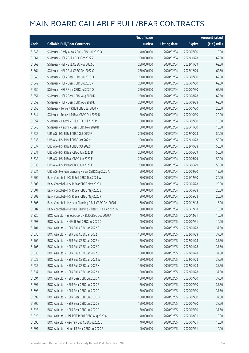|       |                                                         | No. of issue |                     |               | <b>Amount raised</b> |
|-------|---------------------------------------------------------|--------------|---------------------|---------------|----------------------|
| Code  | <b>Callable Bull/Bear Contracts</b>                     | (units)      | <b>Listing date</b> | <b>Expiry</b> | (HK\$ mil.)          |
| 51543 | SG Issuer - Geely Auto R Bull CBBC Jul 2020 O           | 40,000,000   | 2020/02/04          | 2020/07/30    | 10.00                |
| 51561 | SG Issuer - HSI R Bull CBBC Oct 2022 Z                  | 250,000,000  | 2020/02/04          | 2022/10/28    | 62.50                |
| 51563 | SG Issuer - HSI R Bull CBBC Nov 2022 Q                  | 250,000,000  | 2020/02/04          | 2022/11/29    | 62.50                |
| 51564 | SG Issuer - HSI R Bull CBBC Dec 2022 G                  | 250,000,000  | 2020/02/04          | 2022/12/29    | 62.50                |
| 51548 | SG Issuer - HSI R Bear CBBC Jul 2020 O                  | 250,000,000  | 2020/02/04          | 2020/07/30    | 62.50                |
| 51549 | SG Issuer - HSI R Bear CBBC Jul 2020 P                  | 250,000,000  | 2020/02/04          | 2020/07/30    | 62.50                |
| 51550 | SG Issuer - HSI R Bear CBBC Jul 2020 Q                  | 250,000,000  | 2020/02/04          | 2020/07/30    | 62.50                |
| 51551 | SG Issuer - HSI R Bear CBBC Aug 2020 K                  | 250,000,000  | 2020/02/04          | 2020/08/28    | 62.50                |
| 51559 | SG Issuer - HSI R Bear CBBC Aug 2020 L                  | 250,000,000  | 2020/02/04          | 2020/08/28    | 62.50                |
| 51555 | SG Issuer - Tencent R Bull CBBC Jul 2020 N              | 80,000,000   | 2020/02/04          | 2020/07/30    | 20.00                |
| 51544 | SG Issuer - Tencent R Bear CBBC Oct 2020 D              | 80,000,000   | 2020/02/04          | 2020/10/30    | 20.00                |
| 51557 | SG Issuer - Xiaomi R Bull CBBC Jul 2020 M               | 60,000,000   | 2020/02/04          | 2020/07/30    | 15.00                |
| 51545 | SG Issuer - Xiaomi R Bear CBBC Nov 2020 B               | 60,000,000   | 2020/02/04          | 2020/11/30    | 15.00                |
| 51535 | UBS AG - HSI R Bull CBBC Oct 2022 G                     | 200,000,000  | 2020/02/04          | 2022/10/28    | 50.00                |
| 51536 | UBS AG - HSI R Bull CBBC Oct 2022 H                     | 200,000,000  | 2020/02/04          | 2022/10/28    | 50.00                |
| 51537 | UBS AG - HSI R Bull CBBC Oct 2022 I                     | 200,000,000  | 2020/02/04          | 2022/10/28    | 50.00                |
| 51531 | UBS AG - HSI R Bear CBBC Jun 2020 D                     | 200,000,000  | 2020/02/04          | 2020/06/29    | 50.00                |
| 51532 | UBS AG - HSI R Bear CBBC Jun 2020 E                     | 200,000,000  | 2020/02/04          | 2020/06/29    | 50.00                |
| 51533 | UBS AG - HSI R Bear CBBC Jun 2020 F                     | 200,000,000  | 2020/02/04          | 2020/06/29    | 50.00                |
| 51534 | UBS AG - Meituan Dianping R Bear CBBC Sep 2020 A        | 50,000,000   | 2020/02/04          | 2020/09/30    | 12.50                |
| 51504 | Bank Vontobel - HSI R Bull CBBC Dec 2021 W              | 80,000,000   | 2020/02/04          | 2021/12/30    | 20.00                |
| 51503 | Bank Vontobel - HSI R Bear CBBC May 2020 J              | 80,000,000   | 2020/02/04          | 2020/05/28    | 20.00                |
| 51501 | Bank Vontobel - HSI R Bear CBBC May 2020 L              | 80,000,000   | 2020/02/04          | 2020/05/28    | 20.00                |
| 51502 | Bank Vontobel - HSI R Bear CBBC May 2020 P              | 80,000,000   | 2020/02/04          | 2020/05/28    | 20.00                |
| 51506 | Bank Vontobel - Meituan Dianping R Bull CBBC Dec 2020 L | 60,000,000   | 2020/02/04          | 2020/12/18    | 15.00                |
| 51507 | Bank Vontobel - Meituan Dianping R Bear CBBC Dec 2020 G | 60,000,000   | 2020/02/04          | 2020/12/18    | 15.00                |
| 51826 | BOCI Asia Ltd. - Sinopec Corp R Bull CBBC Dec 2020 A    | 40,000,000   | 2020/02/05          | 2020/12/31    | 10.00                |
| 51693 | BOCI Asia Ltd. - HKEX R Bull CBBC Jul 2020 C            | 40,000,000   | 2020/02/05          | 2020/07/31    | 10.00                |
| 51701 | BOCI Asia Ltd. - HSI R Bull CBBC Jan 2022 G             | 150,000,000  | 2020/02/05          | 2022/01/28    | 37.50                |
| 51636 | BOCI Asia Ltd. - HSI R Bull CBBC Jan 2022 H             | 150,000,000  | 2020/02/05          | 2022/01/28    | 37.50                |
| 51702 | BOCI Asia Ltd. - HSI R Bull CBBC Jan 2022 K             | 150,000,000  | 2020/02/05          | 2022/01/28    | 37.50                |
| 51706 | BOCI Asia Ltd. - HSI R Bull CBBC Jan 2022 R             | 150,000,000  | 2020/02/05          | 2022/01/28    | 37.50                |
| 51630 | BOCI Asia Ltd. - HSI R Bull CBBC Jan 2022 U             | 150,000,000  | 2020/02/05          | 2022/01/28    | 37.50                |
| 51632 | BOCI Asia Ltd. - HSI R Bull CBBC Jan 2022 W             | 150,000,000  | 2020/02/05          | 2022/01/28    | 37.50                |
| 51635 | BOCI Asia Ltd. - HSI R Bull CBBC Jan 2022 X             | 150,000,000  | 2020/02/05          | 2022/01/28    | 37.50                |
| 51637 | BOCI Asia Ltd. - HSI R Bull CBBC Jan 2022 Y             | 150,000,000  | 2020/02/05          | 2022/01/28    | 37.50                |
| 51694 | BOCI Asia Ltd. - HSI R Bear CBBC Jul 2020 A             | 150,000,000  | 2020/02/05          | 2020/07/30    | 37.50                |
| 51697 | BOCI Asia Ltd. - HSI R Bear CBBC Jul 2020 B             | 150,000,000  | 2020/02/05          | 2020/07/30    | 37.50                |
| 51698 | BOCI Asia Ltd. - HSI R Bear CBBC Jul 2020 C             | 150,000,000  | 2020/02/05          | 2020/07/30    | 37.50                |
| 51699 | BOCI Asia Ltd. - HSI R Bear CBBC Jul 2020 D             | 150,000,000  | 2020/02/05          | 2020/07/30    | 37.50                |
| 51700 | BOCI Asia Ltd. - HSI R Bear CBBC Jul 2020 E             | 150,000,000  | 2020/02/05          | 2020/07/30    | 37.50                |
| 51828 | BOCI Asia Ltd. - HSI R Bear CBBC Jul 2020 F             | 150,000,000  | 2020/02/05          | 2020/07/30    | 37.50                |
| 51825 | BOCI Asia Ltd. - Link REIT R Bull CBBC Aug 2020 A       | 40,000,000   | 2020/02/05          | 2020/08/31    | 10.00                |
| 51690 | BOCI Asia Ltd. - Xiaomi R Bull CBBC Jul 2020 L          | 40,000,000   | 2020/02/05          | 2020/07/31    | 10.00                |
| 51691 | BOCI Asia Ltd. - Xiaomi R Bear CBBC Jul 2020 F          | 40,000,000   | 2020/02/05          | 2020/07/31    | 10.00                |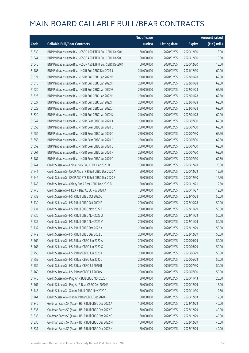|       |                                                              | No. of issue |                     |               | <b>Amount raised</b> |
|-------|--------------------------------------------------------------|--------------|---------------------|---------------|----------------------|
| Code  | <b>Callable Bull/Bear Contracts</b>                          | (units)      | <b>Listing date</b> | <b>Expiry</b> | (HK\$ mil.)          |
| 51639 | BNP Paribas Issuance B.V. - CSOP A50 ETF R Bull CBBC Dec20 I | 60,000,000   | 2020/02/05          | 2020/12/30    | 15.00                |
| 51644 | BNP Paribas Issuance B.V. - CSOP A50 ETF R Bull CBBC Dec20 J | 60,000,000   | 2020/02/05          | 2020/12/30    | 15.00                |
| 51646 | BNP Paribas Issuance B.V. - CSOP A50 ETF R Bull CBBC Dec20 K | 60,000,000   | 2020/02/05          | 2020/12/30    | 15.00                |
| 51786 | BNP Paribas Issuance B.V. - HSI R Bull CBBC Dec 2021 J       | 240,000,000  | 2020/02/05          | 2021/12/30    | 60.00                |
| 51621 | BNP Paribas Issuance B.V. - HSI R Bull CBBC Jan 2022 B       | 250,000,000  | 2020/02/05          | 2022/01/28    | 62.50                |
| 51615 | BNP Paribas Issuance B.V. - HSI R Bull CBBC Jan 2022 F       | 250,000,000  | 2020/02/05          | 2022/01/28    | 62.50                |
| 51620 | BNP Paribas Issuance B.V. - HSI R Bull CBBC Jan 2022 G       | 250,000,000  | 2020/02/05          | 2022/01/28    | 62.50                |
| 51626 | BNP Paribas Issuance B.V. - HSI R Bull CBBC Jan 2022 H       | 250,000,000  | 2020/02/05          | 2022/01/28    | 62.50                |
| 51627 | BNP Paribas Issuance B.V. - HSI R Bull CBBC Jan 2022 I       | 250,000,000  | 2020/02/05          | 2022/01/28    | 62.50                |
| 51628 | BNP Paribas Issuance B.V. - HSI R Bull CBBC Jan 2022 J       | 250,000,000  | 2020/02/05          | 2022/01/28    | 62.50                |
| 51629 | BNP Paribas Issuance B.V. - HSI R Bull CBBC Jan 2022 K       | 240,000,000  | 2020/02/05          | 2022/01/28    | 60.00                |
| 51647 | BNP Paribas Issuance B.V. - HSI R Bear CBBC Jul 2020 A       | 250,000,000  | 2020/02/05          | 2020/07/30    | 62.50                |
| 51653 | BNP Paribas Issuance B.V. - HSI R Bear CBBC Jul 2020 B       | 250,000,000  | 2020/02/05          | 2020/07/30    | 62.50                |
| 51654 | BNP Paribas Issuance B.V. - HSI R Bear CBBC Jul 2020 C       | 250,000,000  | 2020/02/05          | 2020/07/30    | 62.50                |
| 51655 | BNP Paribas Issuance B.V. - HSI R Bear CBBC Jul 2020 D       | 250,000,000  | 2020/02/05          | 2020/07/30    | 62.50                |
| 51659 | BNP Paribas Issuance B.V. - HSI R Bear CBBC Jul 2020 E       | 250,000,000  | 2020/02/05          | 2020/07/30    | 62.50                |
| 51661 | BNP Paribas Issuance B.V. - HSI R Bear CBBC Jul 2020 F       | 250,000,000  | 2020/02/05          | 2020/07/30    | 62.50                |
| 51787 | BNP Paribas Issuance B.V. - HSI R Bear CBBC Jul 2020 G       | 250,000,000  | 2020/02/05          | 2020/07/30    | 62.50                |
| 51744 | Credit Suisse AG - China Life R Bull CBBC Dec 2020 D         | 100,000,000  | 2020/02/05          | 2020/12/28    | 25.00                |
| 51741 | Credit Suisse AG - CSOP A50 ETF R Bull CBBC Dec 2020 A       | 50,000,000   | 2020/02/05          | 2020/12/29    | 12.50                |
| 51742 | Credit Suisse AG - CSOP A50 ETF R Bull CBBC Dec 2020 B       | 50,000,000   | 2020/02/05          | 2020/12/30    | 12.50                |
| 51748 | Credit Suisse AG - Galaxy Ent R Bear CBBC Dec 2020 B         | 50,000,000   | 2020/02/05          | 2020/12/21    | 12.50                |
| 51745 | Credit Suisse AG - HKEX R Bear CBBC Nov 2020 A               | 50,000,000   | 2020/02/05          | 2020/11/27    | 12.50                |
| 51738 | Credit Suisse AG - HSI R Bull CBBC Oct 2022 O                | 200,000,000  | 2020/02/05          | 2022/10/28    | 50.00                |
| 51739 | Credit Suisse AG - HSI R Bull CBBC Oct 2022 P                | 200,000,000  | 2020/02/05          | 2022/10/28    | 50.00                |
| 51731 | Credit Suisse AG - HSI R Bull CBBC Nov 2022 T                | 200,000,000  | 2020/02/05          | 2022/11/29    | 50.00                |
| 51736 | Credit Suisse AG - HSI R Bull CBBC Nov 2022 U                | 200,000,000  | 2020/02/05          | 2022/11/29    | 50.00                |
| 51737 | Credit Suisse AG - HSI R Bull CBBC Nov 2022 V                | 200,000,000  | 2020/02/05          | 2022/11/29    | 50.00                |
| 51732 | Credit Suisse AG - HSI R Bull CBBC Dec 2022 K                | 200,000,000  | 2020/02/05          | 2022/12/29    | 50.00                |
| 51749 | Credit Suisse AG - HSI R Bull CBBC Dec 2022 L                | 200,000,000  | 2020/02/05          | 2022/12/29    | 50.00                |
| 51762 | Credit Suisse AG - HSI R Bear CBBC Jun 2020 A                | 200,000,000  | 2020/02/05          | 2020/06/29    | 50.00                |
| 51763 | Credit Suisse AG - HSI R Bear CBBC Jun 2020 G                | 200,000,000  | 2020/02/05          | 2020/06/29    | 50.00                |
| 51750 | Credit Suisse AG - HSI R Bear CBBC Jun 2020 I                | 200,000,000  | 2020/02/05          | 2020/06/29    | 50.00                |
| 51759 | Credit Suisse AG - HSI R Bear CBBC Jun 2020 J                | 200,000,000  | 2020/02/05          | 2020/06/29    | 50.00                |
| 51754 | Credit Suisse AG - HSI R Bear CBBC Jul 2020 R                | 200,000,000  | 2020/02/05          | 2020/07/30    | 50.00                |
| 51760 | Credit Suisse AG - HSI R Bear CBBC Jul 2020 S                | 200,000,000  | 2020/02/05          | 2020/07/30    | 50.00                |
| 51740 | Credit Suisse AG - Ping An R Bull CBBC Nov 2020 F            | 80,000,000   | 2020/02/05          | 2020/11/13    | 20.00                |
| 51761 | Credit Suisse AG - Ping An R Bear CBBC Dec 2020 E            | 60,000,000   | 2020/02/05          | 2020/12/09    | 15.00                |
| 51743 | Credit Suisse AG - Xiaomi R Bull CBBC Nov 2020 F             | 50,000,000   | 2020/02/05          | 2020/11/30    | 12.50                |
| 51764 | Credit Suisse AG - Xiaomi R Bear CBBC Dec 2020 H             | 50,000,000   | 2020/02/05          | 2020/12/03    | 12.50                |
| 51840 | Goldman Sachs SP (Asia) - HSI R Bull CBBC Dec 2022 A         | 160,000,000  | 2020/02/05          | 2022/12/29    | 40.00                |
| 51836 | Goldman Sachs SP (Asia) - HSI R Bull CBBC Dec 2022 F         | 160,000,000  | 2020/02/05          | 2022/12/29    | 40.00                |
| 51838 | Goldman Sachs SP (Asia) - HSI R Bull CBBC Dec 2022 G         | 160,000,000  | 2020/02/05          | 2022/12/29    | 40.00                |
| 51830 | Goldman Sachs SP (Asia) - HSI R Bull CBBC Dec 2022 M         | 160,000,000  | 2020/02/05          | 2022/12/29    | 40.00                |
| 51831 | Goldman Sachs SP (Asia) - HSI R Bull CBBC Dec 2022 N         | 160,000,000  | 2020/02/05          | 2022/12/29    | 40.00                |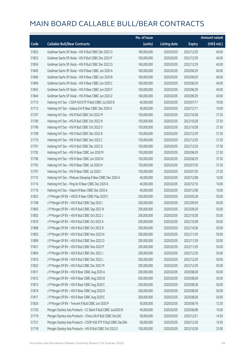|       |                                                                | No. of issue |                     |               | <b>Amount raised</b> |
|-------|----------------------------------------------------------------|--------------|---------------------|---------------|----------------------|
| Code  | <b>Callable Bull/Bear Contracts</b>                            | (units)      | <b>Listing date</b> | <b>Expiry</b> | (HK\$ mil.)          |
| 51832 | Goldman Sachs SP (Asia) - HSI R Bull CBBC Dec 2022 O           | 160,000,000  | 2020/02/05          | 2022/12/29    | 40.00                |
| 51833 | Goldman Sachs SP (Asia) - HSI R Bull CBBC Dec 2022 P           | 160,000,000  | 2020/02/05          | 2022/12/29    | 40.00                |
| 51834 | Goldman Sachs SP (Asia) - HSI R Bull CBBC Dec 2022 Q           | 160,000,000  | 2020/02/05          | 2022/12/29    | 40.00                |
| 51845 | Goldman Sachs SP (Asia) - HSI R Bear CBBC Jun 2020 A           | 160,000,000  | 2020/02/05          | 2020/06/29    | 40.00                |
| 51846 | Goldman Sachs SP (Asia) - HSI R Bear CBBC Jun 2020 B           | 160,000,000  | 2020/02/05          | 2020/06/29    | 40.00                |
| 51849 | Goldman Sachs SP (Asia) - HSI R Bear CBBC Jun 2020 C           | 160,000,000  | 2020/02/05          | 2020/06/29    | 40.00                |
| 51843 | Goldman Sachs SP (Asia) - HSI R Bear CBBC Jun 2020 Y           | 160,000,000  | 2020/02/05          | 2020/06/29    | 40.00                |
| 51844 | Goldman Sachs SP (Asia) - HSI R Bear CBBC Jun 2020 Z           | 160,000,000  | 2020/02/05          | 2020/06/29    | 40.00                |
| 51713 | Haitong Int'l Sec - CSOP A50 ETF R Bull CBBC Jul 2020 B        | 40,000,000   | 2020/02/05          | 2020/07/17    | 10.00                |
| 51712 | Haitong Int'l Sec - Galaxy Ent R Bear CBBC Dec 2020 A          | 40,000,000   | 2020/02/05          | 2020/12/11    | 10.00                |
| 51707 | Haitong Int'l Sec - HSI R Bull CBBC Oct 2022 M                 | 150,000,000  | 2020/02/05          | 2022/10/28    | 37.50                |
| 51709 | Haitong Int'l Sec - HSI R Bull CBBC Oct 2022 N                 | 150,000,000  | 2020/02/05          | 2022/10/28    | 37.50                |
| 51790 | Haitong Int'l Sec - HSI R Bull CBBC Oct 2022 O                 | 150,000,000  | 2020/02/05          | 2022/10/28    | 37.50                |
| 51708 | Haitong Int'l Sec - HSI R Bull CBBC Dec 2022 B                 | 150,000,000  | 2020/02/05          | 2022/12/29    | 37.50                |
| 51710 | Haitong Int'l Sec - HSI R Bull CBBC Dec 2022 C                 | 150,000,000  | 2020/02/05          | 2022/12/29    | 37.50                |
| 51791 | Haitong Int'l Sec - HSI R Bull CBBC Dec 2022 D                 | 150,000,000  | 2020/02/05          | 2022/12/29    | 37.50                |
| 51792 | Haitong Int'l Sec - HSI R Bear CBBC Jun 2020 M                 | 150,000,000  | 2020/02/05          | 2020/06/29    | 37.50                |
| 51796 | Haitong Int'l Sec - HSI R Bear CBBC Jun 2020 N                 | 150,000,000  | 2020/02/05          | 2020/06/29    | 37.50                |
| 51793 | Haitong Int'l Sec - HSI R Bear CBBC Jul 2020 H                 | 150,000,000  | 2020/02/05          | 2020/07/30    | 37.50                |
| 51797 | Haitong Int'l Sec - HSI R Bear CBBC Jul 2020 I                 | 150,000,000  | 2020/02/05          | 2020/07/30    | 37.50                |
| 51715 | Haitong Int'l Sec - Meituan Dianping R Bear CBBC Dec 2020 A    | 40,000,000   | 2020/02/05          | 2020/12/08    | 10.00                |
| 51714 | Haitong Int'l Sec - Ping An R Bear CBBC Dec 2020 A             | 40,000,000   | 2020/02/05          | 2020/12/16    | 10.00                |
| 51716 | Haitong Int'l Sec - Xiaomi R Bear CBBC Dec 2020 A              | 40,000,000   | 2020/02/05          | 2020/12/08    | 10.00                |
| 51823 | J P Morgan SP BV - HSCEI R Bear CBBC May 2020 C                | 200,000,000  | 2020/02/05          | 2020/05/28    | 50.00                |
| 51798 | J P Morgan SP BV - HSI R Bull CBBC Sep 2022 I                  | 200,000,000  | 2020/02/05          | 2022/09/29    | 50.00                |
| 51805 | J P Morgan SP BV - HSI R Bull CBBC Sep 2022 N                  | 200,000,000  | 2020/02/05          | 2022/09/29    | 50.00                |
| 51802 | J P Morgan SP BV - HSI R Bull CBBC Oct 2022 J                  | 200,000,000  | 2020/02/05          | 2022/10/28    | 50.00                |
| 51819 | J P Morgan SP BV - HSI R Bull CBBC Oct 2022 K                  | 200,000,000  | 2020/02/05          | 2022/10/28    | 50.00                |
| 51808 | J P Morgan SP BV - HSI R Bull CBBC Oct 2022 R                  | 200,000,000  | 2020/02/05          | 2022/10/28    | 50.00                |
| 51803 | J P Morgan SP BV - HSI R Bull CBBC Nov 2022 N                  | 200,000,000  | 2020/02/05          | 2022/11/29    | 50.00                |
| 51809 | J P Morgan SP BV - HSI R Bull CBBC Nov 2022 O                  | 200,000,000  | 2020/02/05          | 2022/11/29    | 50.00                |
| 51821 | J P Morgan SP BV - HSI R Bull CBBC Nov 2022 P                  | 200,000,000  | 2020/02/05          | 2022/11/29    | 50.00                |
| 51804 | J P Morgan SP BV - HSI R Bull CBBC Dec 2022 J                  | 200,000,000  | 2020/02/05          | 2022/12/29    | 50.00                |
| 51810 | J P Morgan SP BV - HSI R Bull CBBC Dec 2022 L                  | 200,000,000  | 2020/02/05          | 2022/12/29    | 50.00                |
| 51822 | J P Morgan SP BV - HSI R Bull CBBC Dec 2022 M                  | 200,000,000  | 2020/02/05          | 2022/12/29    | 50.00                |
| 51811 | J P Morgan SP BV - HSI R Bear CBBC Aug 2020 A                  | 200,000,000  | 2020/02/05          | 2020/08/28    | 50.00                |
| 51812 | J P Morgan SP BV - HSI R Bear CBBC Aug 2020 B                  | 200,000,000  | 2020/02/05          | 2020/08/28    | 50.00                |
| 51813 | J P Morgan SP BV - HSI R Bear CBBC Aug 2020 C                  | 200,000,000  | 2020/02/05          | 2020/08/28    | 50.00                |
| 51814 | J P Morgan SP BV - HSI R Bear CBBC Aug 2020 D                  | 200,000,000  | 2020/02/05          | 2020/08/28    | 50.00                |
| 51817 | J P Morgan SP BV - HSI R Bear CBBC Aug 2020 E                  | 200,000,000  | 2020/02/05          | 2020/08/28    | 50.00                |
| 51824 | J P Morgan SP BV - Tencent R Bull CBBC Jun 2020 P              | 50,000,000   | 2020/02/05          | 2020/06/19    | 12.50                |
| 51720 | Morgan Stanley Asia Products - CC Bank R Bull CBBC Jun2020 B   | 40,000,000   | 2020/02/05          | 2020/06/08    | 10.00                |
| 51719 | Morgan Stanley Asia Products - China Life R Bull CBBC Dec20C   | 58,000,000   | 2020/02/05          | 2020/12/21    | 14.50                |
| 51721 | Morgan Stanley Asia Products - CSOP A50 ETF R Bull CBBC Dec20A | 58,000,000   | 2020/02/05          | 2020/12/30    | 14.50                |
| 51718 | Morgan Stanley Asia Products - HSI R Bull CBBC Oct 2022 E      | 100,000,000  | 2020/02/05          | 2022/10/28    | 25.00                |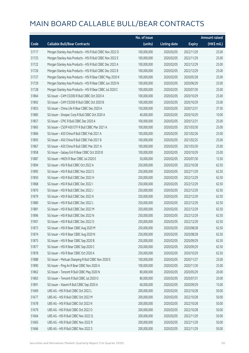|       |                                                           | No. of issue |                     |               | <b>Amount raised</b> |
|-------|-----------------------------------------------------------|--------------|---------------------|---------------|----------------------|
| Code  | <b>Callable Bull/Bear Contracts</b>                       | (units)      | <b>Listing date</b> | <b>Expiry</b> | (HK\$ mil.)          |
| 51717 | Morgan Stanley Asia Products - HSI R Bull CBBC Nov 2022 D | 100,000,000  | 2020/02/05          | 2022/11/29    | 25.00                |
| 51725 | Morgan Stanley Asia Products - HSI R Bull CBBC Nov 2022 E | 100,000,000  | 2020/02/05          | 2022/11/29    | 25.00                |
| 51722 | Morgan Stanley Asia Products - HSI R Bull CBBC Dec 2022 A | 100,000,000  | 2020/02/05          | 2022/12/29    | 25.00                |
| 51726 | Morgan Stanley Asia Products - HSI R Bull CBBC Dec 2022 B | 100,000,000  | 2020/02/05          | 2022/12/29    | 25.00                |
| 51727 | Morgan Stanley Asia Products - HSI R Bear CBBC May 2020 K | 100,000,000  | 2020/02/05          | 2020/05/28    | 25.00                |
| 51729 | Morgan Stanley Asia Products - HSI R Bear CBBC Jun 2020 N | 100,000,000  | 2020/02/05          | 2020/06/29    | 25.00                |
| 51728 | Morgan Stanley Asia Products - HSI R Bear CBBC Jul 2020 C | 100,000,000  | 2020/02/05          | 2020/07/30    | 25.00                |
| 51864 | SG Issuer - CAM CSI300 R Bull CBBC Oct 2020 A             | 100,000,000  | 2020/02/05          | 2020/10/29    | 25.00                |
| 51892 | SG Issuer - CAM CSI300 R Bull CBBC Oct 2020 B             | 100,000,000  | 2020/02/05          | 2020/10/29    | 25.00                |
| 51853 | SG Issuer - China Life R Bear CBBC Dec 2020 A             | 150,000,000  | 2020/02/05          | 2020/12/31    | 37.50                |
| 51885 | SG Issuer - Sinopec Corp R Bull CBBC Oct 2020 A           | 40,000,000   | 2020/02/05          | 2020/10/29    | 10.00                |
| 51857 | SG Issuer - CPIC R Bull CBBC Dec 2020 A                   | 100,000,000  | 2020/02/05          | 2020/12/31    | 25.00                |
| 51865 | SG Issuer - CSOP A50 ETF R Bull CBBC Mar 2021 A           | 100,000,000  | 2020/02/05          | 2021/03/30    | 25.00                |
| 51866 | SG Issuer - A50 China R Bull CBBC Feb 2021 A              | 100,000,000  | 2020/02/05          | 2021/02/26    | 25.00                |
| 51893 | SG Issuer - A50 China R Bull CBBC Feb 2021 B              | 100,000,000  | 2020/02/05          | 2021/02/25    | 25.00                |
| 51867 | SG Issuer - A50 China R Bull CBBC Mar 2021 A              | 100,000,000  | 2020/02/05          | 2021/03/30    | 25.00                |
| 51858 | SG Issuer - Galaxy Ent R Bear CBBC Oct 2020 B             | 100,000,000  | 2020/02/05          | 2020/10/29    | 25.00                |
| 51887 | SG Issuer - HKEX R Bear CBBC Jul 2020 E                   | 50,000,000   | 2020/02/05          | 2020/07/30    | 12.50                |
| 51894 | SG Issuer - HSI R Bull CBBC Oct 2022 A                    | 250,000,000  | 2020/02/05          | 2022/10/28    | 62.50                |
| 51895 | SG Issuer - HSI R Bull CBBC Nov 2022 S                    | 250,000,000  | 2020/02/05          | 2022/11/29    | 62.50                |
| 51850 | SG Issuer - HSI R Bull CBBC Dec 2022 H                    | 250,000,000  | 2020/02/05          | 2022/12/29    | 62.50                |
| 51868 | SG Issuer - HSI R Bull CBBC Dec 2022 I                    | 250,000,000  | 2020/02/05          | 2022/12/29    | 62.50                |
| 51870 | SG Issuer - HSI R Bull CBBC Dec 2022 J                    | 250,000,000  | 2020/02/05          | 2022/12/29    | 62.50                |
| 51879 | SG Issuer - HSI R Bull CBBC Dec 2022 K                    | 250,000,000  | 2020/02/05          | 2022/12/29    | 62.50                |
| 51880 | SG Issuer - HSI R Bull CBBC Dec 2022 L                    | 250,000,000  | 2020/02/05          | 2022/12/29    | 62.50                |
| 51881 | SG Issuer - HSI R Bull CBBC Dec 2022 M                    | 250,000,000  | 2020/02/05          | 2022/12/29    | 62.50                |
| 51896 | SG Issuer - HSI R Bull CBBC Dec 2022 N                    | 250,000,000  | 2020/02/05          | 2022/12/29    | 62.50                |
| 51901 | SG Issuer - HSI R Bull CBBC Dec 2022 O                    | 250,000,000  | 2020/02/05          | 2022/12/29    | 62.50                |
| 51873 | SG Issuer - HSI R Bear CBBC Aug 2020 M                    | 250,000,000  | 2020/02/05          | 2020/08/28    | 62.50                |
| 51874 | SG Issuer - HSI R Bear CBBC Aug 2020 N                    | 250,000,000  | 2020/02/05          | 2020/08/28    | 62.50                |
| 51875 | SG Issuer - HSI R Bear CBBC Sep 2020 B                    | 250,000,000  | 2020/02/05          | 2020/09/29    | 62.50                |
| 51877 | SG Issuer - HSI R Bear CBBC Sep 2020 C                    | 250,000,000  | 2020/02/05          | 2020/09/29    | 62.50                |
| 51878 | SG Issuer - HSI R Bear CBBC Oct 2020 A                    | 250,000,000  | 2020/02/05          | 2020/10/29    | 62.50                |
| 51888 | SG Issuer - Meituan Dianping R Bull CBBC Nov 2020 E       | 100,000,000  | 2020/02/05          | 2020/11/27    | 25.00                |
| 51890 | SG Issuer - Ping An R Bear CBBC Nov 2020 A                | 100,000,000  | 2020/02/05          | 2020/11/30    | 25.00                |
| 51862 | SG Issuer - Tencent R Bull CBBC May 2020 N                | 80,000,000   | 2020/02/05          | 2020/05/29    | 20.00                |
| 51863 | SG Issuer - Tencent R Bull CBBC Jul 2020 O                | 80,000,000   | 2020/02/05          | 2020/07/31    | 20.00                |
| 51891 | SG Issuer - Xiaomi R Bull CBBC Sep 2020 A                 | 60,000,000   | 2020/02/05          | 2020/09/29    | 15.00                |
| 51669 | UBS AG - HSI R Bull CBBC Oct 2022 L                       | 200,000,000  | 2020/02/05          | 2022/10/28    | 50.00                |
| 51677 | UBS AG - HSI R Bull CBBC Oct 2022 M                       | 200,000,000  | 2020/02/05          | 2022/10/28    | 50.00                |
| 51678 | UBS AG - HSI R Bull CBBC Oct 2022 N                       | 200,000,000  | 2020/02/05          | 2022/10/28    | 50.00                |
| 51679 | UBS AG - HSI R Bull CBBC Oct 2022 O                       | 200,000,000  | 2020/02/05          | 2022/10/28    | 50.00                |
| 51664 | UBS AG - HSI R Bull CBBC Nov 2022 Q                       | 200,000,000  | 2020/02/05          | 2022/11/29    | 50.00                |
| 51665 | UBS AG - HSI R Bull CBBC Nov 2022 R                       | 200,000,000  | 2020/02/05          | 2022/11/29    | 50.00                |
| 51666 | UBS AG - HSI R Bull CBBC Nov 2022 S                       | 200,000,000  | 2020/02/05          | 2022/11/29    | 50.00                |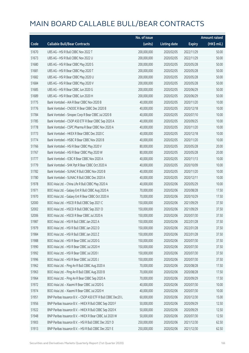|       |                                                              | No. of issue |                     |               | <b>Amount raised</b> |
|-------|--------------------------------------------------------------|--------------|---------------------|---------------|----------------------|
| Code  | <b>Callable Bull/Bear Contracts</b>                          | (units)      | <b>Listing date</b> | <b>Expiry</b> | (HK\$ mil.)          |
| 51670 | UBS AG - HSI R Bull CBBC Nov 2022 T                          | 200,000,000  | 2020/02/05          | 2022/11/29    | 50.00                |
| 51673 | UBS AG - HSI R Bull CBBC Nov 2022 U                          | 200,000,000  | 2020/02/05          | 2022/11/29    | 50.00                |
| 51680 | UBS AG - HSI R Bear CBBC May 2020 S                          | 200,000,000  | 2020/02/05          | 2020/05/28    | 50.00                |
| 51681 | UBS AG - HSI R Bear CBBC May 2020 T                          | 200,000,000  | 2020/02/05          | 2020/05/28    | 50.00                |
| 51682 | UBS AG - HSI R Bear CBBC May 2020 U                          | 200,000,000  | 2020/02/05          | 2020/05/28    | 50.00                |
| 51684 | UBS AG - HSI R Bear CBBC May 2020 V                          | 200,000,000  | 2020/02/05          | 2020/05/28    | 50.00                |
| 51685 | UBS AG - HSI R Bear CBBC Jun 2020 G                          | 200,000,000  | 2020/02/05          | 2020/06/29    | 50.00                |
| 51689 | UBS AG - HSI R Bear CBBC Jun 2020 H                          | 200,000,000  | 2020/02/05          | 2020/06/29    | 50.00                |
| 51775 | Bank Vontobel - AIA R Bear CBBC Nov 2020 B                   | 40,000,000   | 2020/02/05          | 2020/11/20    | 10.00                |
| 51776 | Bank Vontobel - CNOOC R Bear CBBC Dec 2020 B                 | 40,000,000   | 2020/02/05          | 2020/12/18    | 10.00                |
| 51784 | Bank Vontobel - Sinopec Corp R Bear CBBC Jul 2020 B          | 40,000,000   | 2020/02/05          | 2020/07/10    | 10.00                |
| 51785 | Bank Vontobel - CSOP A50 ETF R Bear CBBC Sep 2020 A          | 40,000,000   | 2020/02/05          | 2020/09/25    | 10.00                |
| 51778 | Bank Vontobel - CSPC Pharma R Bear CBBC Nov 2020 A           | 40,000,000   | 2020/02/05          | 2020/11/20    | 10.00                |
| 51773 | Bank Vontobel - HKEX R Bear CBBC Dec 2020 C                  | 40,000,000   | 2020/02/05          | 2020/12/18    | 10.00                |
| 51774 | Bank Vontobel - HSBC R Bear CBBC Nov 2020 B                  | 40,000,000   | 2020/02/05          | 2020/11/20    | 10.00                |
| 51766 | Bank Vontobel - HSI R Bear CBBC May 2020 V                   | 80,000,000   | 2020/02/05          | 2020/05/28    | 20.00                |
| 51767 | Bank Vontobel - HSI R Bear CBBC May 2020 W                   | 80,000,000   | 2020/02/05          | 2020/05/28    | 20.00                |
| 51777 | Bank Vontobel - ICBC R Bear CBBC Nov 2020 A                  | 40,000,000   | 2020/02/05          | 2020/11/13    | 10.00                |
| 51779 | Bank Vontobel - SHK Ppt R Bear CBBC Oct 2020 A               | 40,000,000   | 2020/02/05          | 2020/10/09    | 10.00                |
| 51782 | Bank Vontobel - SUNAC R Bull CBBC Nov 2020 B                 | 40,000,000   | 2020/02/05          | 2020/11/20    | 10.00                |
| 51780 | Bank Vontobel - SUNAC R Bull CBBC Dec 2020 A                 | 40,000,000   | 2020/02/05          | 2020/12/11    | 10.00                |
| 51978 | BOCI Asia Ltd. - China Life R Bull CBBC May 2020 A           | 40,000,000   | 2020/02/06          | 2020/05/29    | 10.00                |
| 51971 | BOCI Asia Ltd. - Galaxy Ent R Bull CBBC Aug 2020 A           | 70,000,000   | 2020/02/06          | 2020/08/28    | 17.50                |
| 51970 | BOCI Asia Ltd. - Galaxy Ent R Bear CBBC Oct 2020 A           | 70,000,000   | 2020/02/06          | 2020/10/29    | 17.50                |
| 52000 | BOCI Asia Ltd. - HSCEI R Bull CBBC Sep 2021 C                | 150,000,000  | 2020/02/06          | 2021/09/29    | 37.50                |
| 52002 | BOCI Asia Ltd. - HSCEI R Bull CBBC Sep 2021 D                | 150,000,000  | 2020/02/06          | 2021/09/29    | 37.50                |
| 52006 | BOCI Asia Ltd. - HSCEI R Bear CBBC Jul 2020 A                | 150,000,000  | 2020/02/06          | 2020/07/30    | 37.50                |
| 51987 | BOCLAsia Ltd. - HSLR Bull CBBC Jan 2022 A                    | 150,000,000  | 2020/02/06          | 2022/01/28    | 37.50                |
| 51979 | BOCI Asia Ltd. - HSI R Bull CBBC Jan 2022 D                  | 150,000,000  | 2020/02/06          | 2022/01/28    | 37.50                |
| 51984 | BOCI Asia Ltd. - HSI R Bull CBBC Jan 2022 Z                  | 150,000,000  | 2020/02/06          | 2022/01/28    | 37.50                |
| 51988 | BOCI Asia Ltd. - HSI R Bear CBBC Jul 2020 G                  | 150,000,000  | 2020/02/06          | 2020/07/30    | 37.50                |
| 51990 | BOCI Asia Ltd. - HSI R Bear CBBC Jul 2020 H                  | 150,000,000  | 2020/02/06          | 2020/07/30    | 37.50                |
| 51992 | BOCI Asia Ltd. - HSI R Bear CBBC Jul 2020 I                  | 150,000,000  | 2020/02/06          | 2020/07/30    | 37.50                |
| 51996 | BOCI Asia Ltd. - HSI R Bear CBBC Jul 2020 J                  | 150,000,000  | 2020/02/06          | 2020/07/30    | 37.50                |
| 51962 | BOCI Asia Ltd. - Ping An R Bull CBBC Aug 2020 A              | 70,000,000   | 2020/02/06          | 2020/08/28    | 17.50                |
| 51963 | BOCI Asia Ltd. - Ping An R Bull CBBC Aug 2020 B              | 70,000,000   | 2020/02/06          | 2020/08/28    | 17.50                |
| 51964 | BOCI Asia Ltd. - Ping An R Bear CBBC Sep 2020 A              | 70,000,000   | 2020/02/06          | 2020/09/29    | 17.50                |
| 51972 | BOCI Asia Ltd. - Xiaomi R Bear CBBC Jul 2020 G               | 40,000,000   | 2020/02/06          | 2020/07/30    | 10.00                |
| 51974 | BOCI Asia Ltd. - Xiaomi R Bear CBBC Jul 2020 H               | 40,000,000   | 2020/02/06          | 2020/07/30    | 10.00                |
| 51951 | BNP Paribas Issuance B.V. - CSOP A50 ETF R Bull CBBC Dec20 L | 60,000,000   | 2020/02/06          | 2020/12/30    | 15.00                |
| 51956 | BNP Paribas Issuance B.V. - HKEX R Bull CBBC Sep 2020 F      | 50,000,000   | 2020/02/06          | 2020/09/29    | 12.50                |
| 51922 | BNP Paribas Issuance B.V. - HKEX R Bull CBBC Sep 2020 K      | 50,000,000   | 2020/02/06          | 2020/09/29    | 12.50                |
| 51948 | BNP Paribas Issuance B.V. - HKEX R Bear CBBC Jul 2020 W      | 50,000,000   | 2020/02/06          | 2020/07/30    | 12.50                |
| 51903 | BNP Paribas Issuance B.V. - HSI R Bull CBBC Dec 2021 D       | 250,000,000  | 2020/02/06          | 2021/12/30    | 62.50                |
| 51913 | BNP Paribas Issuance B.V. - HSI R Bull CBBC Dec 2021 E       | 250,000,000  | 2020/02/06          | 2021/12/30    | 62.50                |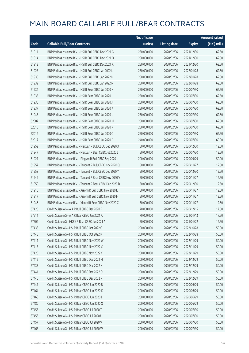|       |                                                            | No. of issue |                     |               | <b>Amount raised</b> |
|-------|------------------------------------------------------------|--------------|---------------------|---------------|----------------------|
| Code  | <b>Callable Bull/Bear Contracts</b>                        | (units)      | <b>Listing date</b> | <b>Expiry</b> | (HK\$ mil.)          |
| 51911 | BNP Paribas Issuance B.V. - HSI R Bull CBBC Dec 2021 G     | 250,000,000  | 2020/02/06          | 2021/12/30    | 62.50                |
| 51914 | BNP Paribas Issuance B.V. - HSI R Bull CBBC Dec 2021 O     | 250,000,000  | 2020/02/06          | 2021/12/30    | 62.50                |
| 51912 | BNP Paribas Issuance B.V. - HSI R Bull CBBC Dec 2021 X     | 250,000,000  | 2020/02/06          | 2021/12/30    | 62.50                |
| 51923 | BNP Paribas Issuance B.V. - HSI R Bull CBBC Jan 2022 L     | 250,000,000  | 2020/02/06          | 2022/01/28    | 62.50                |
| 51930 | BNP Paribas Issuance B.V. - HSI R Bull CBBC Jan 2022 M     | 250,000,000  | 2020/02/06          | 2022/01/28    | 62.50                |
| 51932 | BNP Paribas Issuance B.V. - HSI R Bull CBBC Jan 2022 N     | 250,000,000  | 2020/02/06          | 2022/01/28    | 62.50                |
| 51934 | BNP Paribas Issuance B.V. - HSI R Bear CBBC Jul 2020 H     | 250,000,000  | 2020/02/06          | 2020/07/30    | 62.50                |
| 51935 | BNP Paribas Issuance B.V. - HSI R Bear CBBC Jul 2020 I     | 250,000,000  | 2020/02/06          | 2020/07/30    | 62.50                |
| 51936 | BNP Paribas Issuance B.V. - HSI R Bear CBBC Jul 2020 J     | 250,000,000  | 2020/02/06          | 2020/07/30    | 62.50                |
| 51937 | BNP Paribas Issuance B.V. - HSI R Bear CBBC Jul 2020 K     | 250,000,000  | 2020/02/06          | 2020/07/30    | 62.50                |
| 51945 | BNP Paribas Issuance B.V. - HSI R Bear CBBC Jul 2020 L     | 250,000,000  | 2020/02/06          | 2020/07/30    | 62.50                |
| 52007 | BNP Paribas Issuance B.V. - HSI R Bear CBBC Jul 2020 M     | 250,000,000  | 2020/02/06          | 2020/07/30    | 62.50                |
| 52010 | BNP Paribas Issuance B.V. - HSI R Bear CBBC Jul 2020 N     | 250,000,000  | 2020/02/06          | 2020/07/30    | 62.50                |
| 52012 | BNP Paribas Issuance B.V. - HSI R Bear CBBC Jul 2020 O     | 250,000,000  | 2020/02/06          | 2020/07/30    | 62.50                |
| 52017 | BNP Paribas Issuance B.V. - HSI R Bear CBBC Jul 2020 P     | 240,000,000  | 2020/02/06          | 2020/07/30    | 60.00                |
| 51952 | BNP Paribas Issuance B.V. - Meituan R Bull CBBC Dec 2020 X | 50,000,000   | 2020/02/06          | 2020/12/30    | 12.50                |
| 51947 | BNP Paribas Issuance B.V. - Meituan R Bear CBBC Jul 2020 L | 50,000,000   | 2020/02/06          | 2020/07/30    | 12.50                |
| 51921 | BNP Paribas Issuance B.V. - Ping An R Bull CBBC Sep 2020 L | 200,000,000  | 2020/02/06          | 2020/09/29    | 50.00                |
| 51957 | BNP Paribas Issuance B.V. - Tencent R Bull CBBC Nov 2020 Q | 50,000,000   | 2020/02/06          | 2020/11/27    | 12.50                |
| 51958 | BNP Paribas Issuance B.V. - Tencent R Bull CBBC Dec 2020 Y | 50,000,000   | 2020/02/06          | 2020/12/30    | 12.50                |
| 51949 | BNP Paribas Issuance B.V. - Tencent R Bear CBBC Nov 2020 V | 50,000,000   | 2020/02/06          | 2020/11/27    | 12.50                |
| 51950 | BNP Paribas Issuance B.V. - Tencent R Bear CBBC Dec 2020 D | 50,000,000   | 2020/02/06          | 2020/12/30    | 12.50                |
| 51916 | BNP Paribas Issuance B.V. - Xiaomi R Bull CBBC Nov 2020 E  | 50,000,000   | 2020/02/06          | 2020/11/27    | 12.50                |
| 51917 | BNP Paribas Issuance B.V. - Xiaomi R Bull CBBC Nov 2020 F  | 50,000,000   | 2020/02/06          | 2020/11/27    | 12.50                |
| 51946 | BNP Paribas Issuance B.V. - Xiaomi R Bear CBBC Nov 2020 C  | 50,000,000   | 2020/02/06          | 2020/11/27    | 12.50                |
| 57425 | Credit Suisse AG - AIA R Bull CBBC Dec 2020 F              | 70,000,000   | 2020/02/06          | 2020/12/15    | 17.50                |
| 57511 | Credit Suisse AG - AIA R Bear CBBC Jan 2021 A              | 70,000,000   | 2020/02/06          | 2021/01/13    | 17.50                |
| 57504 | Credit Suisse AG - HKEX R Bear CBBC Jan 2021 A             | 50,000,000   | 2020/02/06          | 2021/01/22    | 12.50                |
| 57438 | Credit Suisse AG - HSI R Bull CBBC Oct 2022 Q              | 200,000,000  | 2020/02/06          | 2022/10/28    | 50.00                |
| 57445 | Credit Suisse AG - HSI R Bull CBBC Oct 2022 R              | 200,000,000  | 2020/02/06          | 2022/10/28    | 50.00                |
| 57411 | Credit Suisse AG - HSI R Bull CBBC Nov 2022 W              | 200,000,000  | 2020/02/06          | 2022/11/29    | 50.00                |
| 57413 | Credit Suisse AG - HSI R Bull CBBC Nov 2022 X              | 200,000,000  | 2020/02/06          | 2022/11/29    | 50.00                |
| 57420 | Credit Suisse AG - HSI R Bull CBBC Nov 2022 Y              | 200,000,000  | 2020/02/06          | 2022/11/29    | 50.00                |
| 57412 | Credit Suisse AG - HSI R Bull CBBC Dec 2022 M              | 200,000,000  | 2020/02/06          | 2022/12/29    | 50.00                |
| 57433 | Credit Suisse AG - HSI R Bull CBBC Dec 2022 N              | 200,000,000  | 2020/02/06          | 2022/12/29    | 50.00                |
| 57441 | Credit Suisse AG - HSI R Bull CBBC Dec 2022 O              | 200,000,000  | 2020/02/06          | 2022/12/29    | 50.00                |
| 57446 | Credit Suisse AG - HSI R Bull CBBC Dec 2022 P              | 200,000,000  | 2020/02/06          | 2022/12/29    | 50.00                |
| 57447 | Credit Suisse AG - HSI R Bear CBBC Jun 2020 B              | 200,000,000  | 2020/02/06          | 2020/06/29    | 50.00                |
| 57464 | Credit Suisse AG - HSI R Bear CBBC Jun 2020 K              | 200,000,000  | 2020/02/06          | 2020/06/29    | 50.00                |
| 57468 | Credit Suisse AG - HSI R Bear CBBC Jun 2020 L              | 200,000,000  | 2020/02/06          | 2020/06/29    | 50.00                |
| 57480 | Credit Suisse AG - HSI R Bear CBBC Jun 2020 Q              | 200,000,000  | 2020/02/06          | 2020/06/29    | 50.00                |
| 57455 | Credit Suisse AG - HSI R Bear CBBC Jul 2020 T              | 200,000,000  | 2020/02/06          | 2020/07/30    | 50.00                |
| 57456 | Credit Suisse AG - HSI R Bear CBBC Jul 2020 U              | 200,000,000  | 2020/02/06          | 2020/07/30    | 50.00                |
| 57457 | Credit Suisse AG - HSI R Bear CBBC Jul 2020 V              | 200,000,000  | 2020/02/06          | 2020/07/30    | 50.00                |
| 57466 | Credit Suisse AG - HSI R Bear CBBC Jul 2020 W              | 200,000,000  | 2020/02/06          | 2020/07/30    | 50.00                |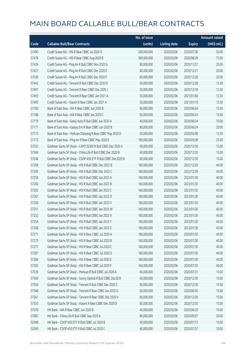|       |                                                              | No. of issue |                     |               | <b>Amount raised</b> |
|-------|--------------------------------------------------------------|--------------|---------------------|---------------|----------------------|
| Code  | <b>Callable Bull/Bear Contracts</b>                          | (units)      | <b>Listing date</b> | <b>Expiry</b> | (HK\$ mil.)          |
| 57490 | Credit Suisse AG - HSI R Bear CBBC Jul 2020 X                | 200,000,000  | 2020/02/06          | 2020/07/30    | 50.00                |
| 57478 | Credit Suisse AG - HSI R Bear CBBC Aug 2020 B                | 300,000,000  | 2020/02/06          | 2020/08/28    | 75.00                |
| 57426 | Credit Suisse AG - Ping An R Bull CBBC Nov 2020 G            | 80,000,000   | 2020/02/06          | 2020/11/27    | 20.00                |
| 57427 | Credit Suisse AG - Ping An R Bull CBBC Dec 2020 E            | 80,000,000   | 2020/02/06          | 2020/12/21    | 20.00                |
| 57430 | Credit Suisse AG - Ping An R Bull CBBC Dec 2020 F            | 80,000,000   | 2020/02/06          | 2020/12/28    | 20.00                |
| 57443 | Credit Suisse AG - Tencent R Bull CBBC Dec 2020 D            | 50,000,000   | 2020/02/06          | 2020/12/28    | 12.50                |
| 57491 | Credit Suisse AG - Tencent R Bear CBBC Dec 2020 J            | 50,000,000   | 2020/02/06          | 2020/12/18    | 12.50                |
| 57493 | Credit Suisse AG - Tencent R Bear CBBC Jan 2021 A            | 50,000,000   | 2020/02/06          | 2021/01/08    | 12.50                |
| 57495 | Credit Suisse AG - Xiaomi R Bear CBBC Jan 2021 A             | 50,000,000   | 2020/02/06          | 2021/01/19    | 12.50                |
| 57183 | Bank of East Asia - AIA R Bear CBBC Jun 2020 B               | 60,000,000   | 2020/02/06          | 2020/06/24    | 15.00                |
| 57188 | Bank of East Asia - AIA R Bear CBBC Jun 2020 C               | 60,000,000   | 2020/02/06          | 2020/06/24    | 15.00                |
| 57179 | Bank of East Asia - Geely Auto R Bull CBBC Jun 2020 A        | 40,000,000   | 2020/02/06          | 2020/06/24    | 10.00                |
| 57177 | Bank of East Asia - Galaxy Ent R Bear CBBC Jun 2020 B        | 80,000,000   | 2020/02/06          | 2020/06/24    | 20.00                |
| 57173 | Bank of East Asia - Meituan Dianping R Bear CBBC May 2020 D  | 50,000,000   | 2020/02/06          | 2020/05/08    | 12.50                |
| 57172 | Bank of East Asia - Ping An R Bear CBBC May 2020 E           | 100,000,000  | 2020/02/06          | 2020/05/08    | 25.00                |
| 57553 | Goldman Sachs SP (Asia) - CAM CSI300 R Bull CBBC Dec 2020 A  | 60,000,000   | 2020/02/06          | 2020/12/30    | 15.00                |
| 57566 | Goldman Sachs SP (Asia) - China Life R Bull CBBC Dec 2020 B  | 60,000,000   | 2020/02/06          | 2020/12/30    | 15.00                |
| 57546 | Goldman Sachs SP (Asia) - CSOP A50 ETF R Bull CBBC Dec2020 B | 60,000,000   | 2020/02/06          | 2020/12/30    | 15.00                |
| 57268 | Goldman Sachs SP (Asia) - HSI R Bull CBBC Dec 2022 B         | 160,000,000  | 2020/02/06          | 2022/12/29    | 40.00                |
| 57295 | Goldman Sachs SP (Asia) - HSI R Bull CBBC Dec 2022 C         | 160,000,000  | 2020/02/06          | 2022/12/29    | 40.00                |
| 57259 | Goldman Sachs SP (Asia) - HSI R Bull CBBC Jan 2023 A         | 160,000,000  | 2020/02/06          | 2023/01/30    | 40.00                |
| 57260 | Goldman Sachs SP (Asia) - HSI R Bull CBBC Jan 2023 B         | 160,000,000  | 2020/02/06          | 2023/01/30    | 40.00                |
| 57262 | Goldman Sachs SP (Asia) - HSI R Bull CBBC Jan 2023 C         | 160,000,000  | 2020/02/06          | 2023/01/30    | 40.00                |
| 57267 | Goldman Sachs SP (Asia) - HSI R Bull CBBC Jan 2023 D         | 160,000,000  | 2020/02/06          | 2023/01/30    | 40.00                |
| 57250 | Goldman Sachs SP (Asia) - HSI R Bull CBBC Jan 2023 V         | 160,000,000  | 2020/02/06          | 2023/01/30    | 40.00                |
| 57251 | Goldman Sachs SP (Asia) - HSI R Bull CBBC Jan 2023 W         | 160,000,000  | 2020/02/06          | 2023/01/30    | 40.00                |
| 57252 | Goldman Sachs SP (Asia) - HSI R Bull CBBC Jan 2023 X         | 160,000,000  | 2020/02/06          | 2023/01/30    | 40.00                |
| 57254 | Goldman Sachs SP (Asia) - HSI R Bull CBBC Jan 2023 Y         | 160,000,000  | 2020/02/06          | 2023/01/30    | 40.00                |
| 57258 | Goldman Sachs SP (Asia) - HSI R Bull CBBC Jan 2023 Z         | 160,000,000  | 2020/02/06          | 2023/01/30    | 40.00                |
| 57271 | Goldman Sachs SP (Asia) - HSI R Bear CBBC Jul 2020 A         | 160,000,000  | 2020/02/06          | 2020/07/30    | 40.00                |
| 57273 | Goldman Sachs SP (Asia) - HSI R Bear CBBC Jul 2020 B         | 160,000,000  | 2020/02/06          | 2020/07/30    | 40.00                |
| 57277 | Goldman Sachs SP (Asia) - HSI R Bear CBBC Jul 2020 C         | 160,000,000  | 2020/02/06          | 2020/07/30    | 40.00                |
| 57281 | Goldman Sachs SP (Asia) - HSI R Bear CBBC Jul 2020 D         | 160,000,000  | 2020/02/06          | 2020/07/30    | 40.00                |
| 57284 | Goldman Sachs SP (Asia) - HSI R Bear CBBC Jul 2020 E         | 160,000,000  | 2020/02/06          | 2020/07/30    | 40.00                |
| 57302 | Goldman Sachs SP (Asia) - HSI R Bear CBBC Jul 2020 F         | 160,000,000  | 2020/02/06          | 2020/07/30    | 40.00                |
| 57539 | Goldman Sachs SP (Asia) - Meituan R Bull CBBC Jul 2020 A     | 60,000,000   | 2020/02/06          | 2020/07/31    | 15.00                |
| 57560 | Goldman Sachs SP (Asia) - Sunny Optical R Bull CBBC Dec20 B  | 60,000,000   | 2020/02/06          | 2020/12/30    | 15.00                |
| 57556 | Goldman Sachs SP (Asia) - Tencent R Bull CBBC Dec 2020 C     | 60,000,000   | 2020/02/06          | 2020/12/30    | 15.00                |
| 57548 | Goldman Sachs SP (Asia) - Tencent R Bear CBBC Jun 2020 G     | 60,000,000   | 2020/02/06          | 2020/06/30    | 15.00                |
| 57561 | Goldman Sachs SP (Asia) - Tencent R Bear CBBC Dec 2020 V     | 60,000,000   | 2020/02/06          | 2020/12/30    | 15.00                |
| 57555 | Goldman Sachs SP (Asia) - Xiaomi R Bear CBBC Dec 2020 B      | 60,000,000   | 2020/02/06          | 2020/12/30    | 15.00                |
| 57078 | HK Bank - AIA R Bear CBBC Jun 2020 B                         | 40,000,000   | 2020/02/06          | 2020/06/29    | 10.00                |
| 57087 | HK Bank - China Life R Bull CBBC Sep 2020 A                  | 80,000,000   | 2020/02/06          | 2020/09/07    | 20.00                |
| 52048 | HK Bank - CSOP A50 ETF R Bull CBBC Jul 2020 B                | 40,000,000   | 2020/02/06          | 2020/07/13    | 10.00                |
| 52049 | HK Bank - CSOP A50 ETF R Bull CBBC Jul 2020 C                | 40,000,000   | 2020/02/06          | 2020/07/27    | 10.00                |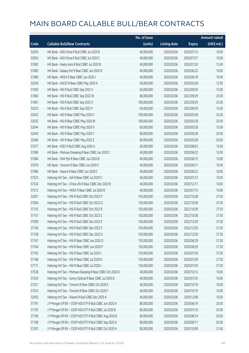|       |                                                             | No. of issue |                     |               | <b>Amount raised</b>  |
|-------|-------------------------------------------------------------|--------------|---------------------|---------------|-----------------------|
| Code  | <b>Callable Bull/Bear Contracts</b>                         | (units)      | <b>Listing date</b> | <b>Expiry</b> | $(HK\frac{1}{2}mil.)$ |
| 52050 | HK Bank - A50 China R Bull CBBC Jul 2020 B                  | 40,000,000   | 2020/02/06          | 2020/07/13    | 10.00                 |
| 52054 | HK Bank - A50 China R Bull CBBC Jul 2020 C                  | 40,000,000   | 2020/02/06          | 2020/07/27    | 10.00                 |
| 57082 | HK Bank - Geely Auto R Bull CBBC Jul 2020 B                 | 40,000,000   | 2020/02/06          | 2020/07/20    | 12.40                 |
| 57083 | HK Bank - Galaxy Ent R Bear CBBC Jun 2020 D                 | 40,000,000   | 2020/02/06          | 2020/06/22    | 10.00                 |
| 57080 | HK Bank - HKEX R Bear CBBC Jun 2020 J                       | 40,000,000   | 2020/02/06          | 2020/06/18    | 10.00                 |
| 52039 | HK Bank - HSCEI R Bear CBBC May 2020 A                      | 50,000,000   | 2020/02/06          | 2020/05/28    | 12.50                 |
| 51959 | HK Bank - HSI R Bull CBBC Sep 2022 V                        | 60,000,000   | 2020/02/06          | 2022/09/29    | 15.00                 |
| 51960 | HK Bank - HSI R Bull CBBC Sep 2022 W                        | 80,000,000   | 2020/02/06          | 2022/09/29    | 20.00                 |
| 51961 | HK Bank - HSI R Bull CBBC Sep 2022 X                        | 100,000,000  | 2020/02/06          | 2022/09/29    | 25.00                 |
| 52033 | HK Bank - HSI R Bull CBBC Sep 2022 Y                        | 60,000,000   | 2020/02/06          | 2022/09/29    | 15.00                 |
| 52032 | HK Bank - HSI R Bear CBBC May 2020 V                        | 100,000,000  | 2020/02/06          | 2020/05/28    | 25.00                 |
| 52035 | HK Bank - HSI R Bear CBBC May 2020 W                        | 100,000,000  | 2020/02/06          | 2020/05/28    | 25.00                 |
| 52044 | HK Bank - HSI R Bear CBBC May 2020 X                        | 60,000,000   | 2020/02/06          | 2020/05/28    | 15.00                 |
| 52045 | HK Bank - HSI R Bear CBBC May 2020 Y                        | 80,000,000   | 2020/02/06          | 2020/05/28    | 20.00                 |
| 52046 | HK Bank - HSI R Bear CBBC May 2020 Z                        | 80,000,000   | 2020/02/06          | 2020/05/28    | 20.00                 |
| 57077 | HK Bank - ICBC R Bull CBBC Aug 2020 A                       | 60,000,000   | 2020/02/06          | 2020/08/03    | 15.00                 |
| 57089 | HK Bank - Meituan Dianping R Bear CBBC Jun 2020 C           | 40,000,000   | 2020/02/06          | 2020/06/22    | 10.00                 |
| 57084 | HK Bank - SHK Ppt R Bear CBBC Jun 2020 B                    | 40,000,000   | 2020/02/06          | 2020/06/15    | 10.00                 |
| 57079 | HK Bank - Tencent R Bear CBBC Jun 2020 S                    | 40,000,000   | 2020/02/06          | 2020/06/11    | 10.00                 |
| 57086 | HK Bank - Xiaomi R Bear CBBC Jun 2020 C                     | 40,000,000   | 2020/02/06          | 2020/06/22    | 10.00                 |
| 57523 | Haitong Int'l Sec - AIA R Bear CBBC Jul 2020 C              | 40,000,000   | 2020/02/06          | 2020/07/13    | 10.00                 |
| 57534 | Haitong Int'l Sec - China Life R Bear CBBC Dec 2020 B       | 40,000,000   | 2020/02/06          | 2020/12/17    | 10.00                 |
| 57512 | Haitong Int'l Sec - HKEX R Bear CBBC Jul 2020 B             | 40,000,000   | 2020/02/06          | 2020/07/13    | 10.00                 |
| 52057 | Haitong Int'l Sec - HSI R Bull CBBC Oct 2022 P              | 150,000,000  | 2020/02/06          | 2022/10/28    | 37.50                 |
| 57004 | Haitong Int'l Sec - HSI R Bull CBBC Oct 2022 Q              | 150,000,000  | 2020/02/06          | 2022/10/28    | 37.50                 |
| 57155 | Haitong Int'l Sec - HSI R Bull CBBC Oct 2022 R              | 150,000,000  | 2020/02/06          | 2022/10/28    | 37.50                 |
| 57157 | Haitong Int'l Sec - HSI R Bull CBBC Oct 2022 S              | 150,000,000  | 2020/02/06          | 2022/10/28    | 37.50                 |
| 57000 | Haitong Int'l Sec - HSI R Bull CBBC Dec 2022 E              | 150,000,000  | 2020/02/06          | 2022/12/29    | 37.50                 |
| 57156 | Haitong Int'l Sec - HSI R Bull CBBC Dec 2022 F              | 150,000,000  | 2020/02/06          | 2022/12/29    | 37.50                 |
| 57158 | Haitong Int'l Sec - HSI R Bull CBBC Dec 2022 G              | 150,000,000  | 2020/02/06          | 2022/12/29    | 37.50                 |
| 57161 | Haitong Int'l Sec - HSI R Bear CBBC Jun 2020 O              | 150,000,000  | 2020/02/06          | 2020/06/29    | 37.50                 |
| 57164 | Haitong Int'l Sec - HSI R Bear CBBC Jun 2020 P              | 150,000,000  | 2020/02/06          | 2020/06/29    | 37.50                 |
| 57163 | Haitong Int'l Sec - HSI R Bear CBBC Jul 2020 J              | 150,000,000  | 2020/02/06          | 2020/07/30    | 37.50                 |
| 57168 | Haitong Int'l Sec - HSI R Bear CBBC Jul 2020 K              | 150,000,000  | 2020/02/06          | 2020/07/30    | 37.50                 |
| 57171 | Haitong Int'l Sec - HSI R Bear CBBC Jul 2020 L              | 150,000,000  | 2020/02/06          | 2020/07/30    | 37.50                 |
| 57528 | Haitong Int'l Sec - Meituan Dianping R Bear CBBC Oct 2020 D | 40,000,000   | 2020/02/06          | 2020/10/12    | 10.00                 |
| 57524 | Haitong Int'l Sec - Sunny Optical R Bear CBBC Jul 2020 B    | 40,000,000   | 2020/02/06          | 2020/07/20    | 10.00                 |
| 57521 | Haitong Int'l Sec - Tencent R Bear CBBC Oct 2020 E          | 40,000,000   | 2020/02/06          | 2020/10/19    | 10.00                 |
| 57533 | Haitong Int'l Sec - Tencent R Bear CBBC Oct 2020 F          | 40,000,000   | 2020/02/06          | 2020/10/19    | 10.00                 |
| 52055 | Haitong Int'l Sec - Xiaomi R Bull CBBC Dec 2020 A           | 40,000,000   | 2020/02/06          | 2020/12/08    | 10.00                 |
| 57191 | J P Morgan SP BV - CSOP A50 ETF R Bull CBBC Jun 2020 A      | 80,000,000   | 2020/02/06          | 2020/06/19    | 20.00                 |
| 57193 | J P Morgan SP BV - CSOP A50 ETF R Bull CBBC Jul 2020 B      | 80,000,000   | 2020/02/06          | 2020/07/10    | 20.00                 |
| 57196 | J P Morgan SP BV - CSOP A50 ETF R Bull CBBC Aug 2020 B      | 80,000,000   | 2020/02/06          | 2020/08/14    | 20.00                 |
| 57198 | J P Morgan SP BV - CSOP A50 ETF R Bull CBBC Sep 2020 A      | 80,000,000   | 2020/02/06          | 2020/09/11    | 20.00                 |
| 57201 | J P Morgan SP BV - CSOP A50 ETF R Bull CBBC Oct 2020 A      | 80,000,000   | 2020/02/06          | 2020/10/09    | 21.60                 |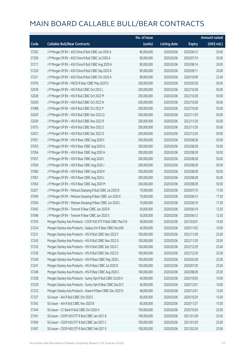|       |                                                                | No. of issue |                     |               | Amount raised |
|-------|----------------------------------------------------------------|--------------|---------------------|---------------|---------------|
| Code  | <b>Callable Bull/Bear Contracts</b>                            | (units)      | <b>Listing date</b> | <b>Expiry</b> | (HK\$ mil.)   |
| 57202 | J P Morgan SP BV - A50 China R Bull CBBC Jun 2020 A            | 80,000,000   | 2020/02/06          | 2020/06/12    | 20.00         |
| 57209 | J P Morgan SP BV - A50 China R Bull CBBC Jul 2020 A            | 80,000,000   | 2020/02/06          | 2020/07/10    | 20.00         |
| 57211 | J P Morgan SP BV - A50 China R Bull CBBC Aug 2020 A            | 80,000,000   | 2020/02/06          | 2020/08/14    | 20.00         |
| 57220 | J P Morgan SP BV - A50 China R Bull CBBC Sep 2020 A            | 80,000,000   | 2020/02/06          | 2020/09/11    | 20.00         |
| 57221 | J P Morgan SP BV - A50 China R Bull CBBC Oct 2020 A            | 80,000,000   | 2020/02/06          | 2020/10/09    | 22.40         |
| 57076 | J P Morgan SP BV - HSCEI R Bear CBBC May 2020 D                | 200,000,000  | 2020/02/06          | 2020/05/28    | 50.00         |
| 52018 | J P Morgan SP BV - HSI R Bull CBBC Oct 2022 L                  | 200,000,000  | 2020/02/06          | 2022/10/28    | 50.00         |
| 52028 | J P Morgan SP BV - HSI R Bull CBBC Oct 2022 M                  | 200,000,000  | 2020/02/06          | 2022/10/28    | 50.00         |
| 52030 | J P Morgan SP BV - HSI R Bull CBBC Oct 2022 N                  | 200,000,000  | 2020/02/06          | 2022/10/28    | 50.00         |
| 57068 | J P Morgan SP BV - HSI R Bull CBBC Oct 2022 P                  | 200,000,000  | 2020/02/06          | 2022/10/28    | 50.00         |
| 52020 | J P Morgan SP BV - HSI R Bull CBBC Nov 2022 Q                  | 200,000,000  | 2020/02/06          | 2022/11/29    | 50.00         |
| 52029 | J P Morgan SP BV - HSI R Bull CBBC Nov 2022 R                  | 200,000,000  | 2020/02/06          | 2022/11/29    | 50.00         |
| 57075 | J P Morgan SP BV - HSI R Bull CBBC Nov 2022 S                  | 200,000,000  | 2020/02/06          | 2022/11/29    | 50.00         |
| 52021 | J P Morgan SP BV - HSI R Bull CBBC Dec 2022 D                  | 200,000,000  | 2020/02/06          | 2022/12/29    | 50.00         |
| 57051 | J P Morgan SP BV - HSI R Bear CBBC Aug 2020 F                  | 200,000,000  | 2020/02/06          | 2020/08/28    | 50.00         |
| 57053 | J P Morgan SP BV - HSI R Bear CBBC Aug 2020 G                  | 200,000,000  | 2020/02/06          | 2020/08/28    | 50.00         |
| 57054 | J P Morgan SP BV - HSI R Bear CBBC Aug 2020 H                  | 200,000,000  | 2020/02/06          | 2020/08/28    | 50.00         |
| 57057 | J P Morgan SP BV - HSI R Bear CBBC Aug 2020 I                  | 200,000,000  | 2020/02/06          | 2020/08/28    | 50.00         |
| 57059 | J P Morgan SP BV - HSI R Bear CBBC Aug 2020 J                  | 200,000,000  | 2020/02/06          | 2020/08/28    | 50.00         |
| 57060 | J P Morgan SP BV - HSI R Bear CBBC Aug 2020 K                  | 200,000,000  | 2020/02/06          | 2020/08/28    | 50.00         |
| 57061 | J P Morgan SP BV - HSI R Bear CBBC Aug 2020 L                  | 200,000,000  | 2020/02/06          | 2020/08/28    | 50.00         |
| 57062 | J P Morgan SP BV - HSI R Bear CBBC Aug 2020 M                  | 200,000,000  | 2020/02/06          | 2020/08/28    | 50.00         |
| 52027 | J P Morgan SP BV - Meituan Dianping R Bull CBBC Jul 2020 D     | 70,000,000   | 2020/02/06          | 2020/07/10    | 17.50         |
| 57049 | J P Morgan SP BV - Meituan Dianping R Bear CBBC Jun 2020 K     | 70,000,000   | 2020/02/06          | 2020/06/12    | 17.50         |
| 57050 | J P Morgan SP BV - Meituan Dianping R Bear CBBC Jun 2020 L     | 70,000,000   | 2020/02/06          | 2020/06/19    | 17.50         |
| 57042 | J P Morgan SP BV - Tencent R Bear CBBC Jun 2020 R              | 50,000,000   | 2020/02/06          | 2020/06/19    | 12.50         |
| 57048 | J P Morgan SP BV - Tencent R Bear CBBC Jun 2020 S              | 50,000,000   | 2020/02/06          | 2020/06/12    | 12.50         |
| 57230 | Morgan Stanley Asia Products - CSOP A50 ETF R Bull CBBC Mar21A | 58,000,000   | 2020/02/06          | 2021/03/01    | 14.50         |
| 57224 | Morgan Stanley Asia Products - Galaxy Ent R Bear CBBC Nov20A   | 40,000,000   | 2020/02/06          | 2020/11/02    | 10.00         |
| 57231 | Morgan Stanley Asia Products - HSI R Bull CBBC Nov 2022 F      | 100,000,000  | 2020/02/06          | 2022/11/29    | 25.00         |
| 57243 | Morgan Stanley Asia Products - HSI R Bull CBBC Nov 2022 G      | 100,000,000  | 2020/02/06          | 2022/11/29    | 25.00         |
| 57235 | Morgan Stanley Asia Products - HSI R Bull CBBC Dec 2022 C      | 100,000,000  | 2020/02/06          | 2022/12/29    | 25.00         |
| 57238 | Morgan Stanley Asia Products - HSI R Bull CBBC Dec 2022 D      | 100,000,000  | 2020/02/06          | 2022/12/29    | 25.00         |
| 57240 | Morgan Stanley Asia Products - HSI R Bear CBBC May 2020 L      | 100,000,000  | 2020/02/06          | 2020/05/28    | 25.00         |
| 57241 | Morgan Stanley Asia Products - HSI R Bear CBBC Jul 2020 D      | 100,000,000  | 2020/02/06          | 2020/07/30    | 25.00         |
| 57248 | Morgan Stanley Asia Products - HSI R Bear CBBC Aug 2020 C      | 100,000,000  | 2020/02/06          | 2020/08/28    | 25.00         |
| 57228 | Morgan Stanley Asia Products - Sunny Opt R Bull CBBC Oct20 A   | 40,000,000   | 2020/02/06          | 2020/10/05    | 10.00         |
| 57229 | Morgan Stanley Asia Products - Sunny Opt R Bear CBBC Dec20 C   | 40,000,000   | 2020/02/06          | 2020/12/01    | 10.00         |
| 57223 | Morgan Stanley Asia Products - Xiaomi R Bear CBBC Dec 2020 D   | 48,000,000   | 2020/02/06          | 2020/12/01    | 12.00         |
| 57337 | SG Issuer - AIA R Bull CBBC Oct 2020 C                         | 60,000,000   | 2020/02/06          | 2020/10/29    | 15.00         |
| 57342 | SG Issuer - AIA R Bull CBBC Nov 2020 B                         | 60,000,000   | 2020/02/06          | 2020/11/27    | 15.00         |
| 57344 | SG Issuer - CC Bank R Bull CBBC Oct 2020 A                     | 100,000,000  | 2020/02/06          | 2020/10/29    | 25.00         |
| 57341 | SG Issuer - CSOP A50 ETF R Bull CBBC Jan 2021 B                | 100,000,000  | 2020/02/06          | 2021/01/28    | 25.00         |
| 57404 | SG Issuer - CSOP A50 ETF R Bull CBBC Jan 2021 C                | 100,000,000  | 2020/02/06          | 2021/01/29    | 25.00         |
| 57407 | SG Issuer - CSOP A50 ETF R Bull CBBC Feb 2021 E                | 100,000,000  | 2020/02/06          | 2021/02/26    | 25.00         |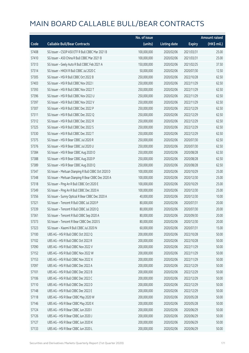|       |                                                     | No. of issue |                     |               | <b>Amount raised</b> |
|-------|-----------------------------------------------------|--------------|---------------------|---------------|----------------------|
| Code  | <b>Callable Bull/Bear Contracts</b>                 | (units)      | <b>Listing date</b> | <b>Expiry</b> | (HK\$ mil.)          |
| 57408 | SG Issuer - CSOP A50 ETF R Bull CBBC Mar 2021 B     | 100,000,000  | 2020/02/06          | 2021/03/31    | 25.00                |
| 57410 | SG Issuer - A50 China R Bull CBBC Mar 2021 B        | 100,000,000  | 2020/02/06          | 2021/03/31    | 25.00                |
| 57313 | SG Issuer - Geely Auto R Bull CBBC Feb 2021 A       | 150,000,000  | 2020/02/06          | 2021/02/25    | 37.50                |
| 57314 | SG Issuer - HKEX R Bull CBBC Jul 2020 C             | 50,000,000   | 2020/02/06          | 2020/07/30    | 12.50                |
| 57305 | SG Issuer - HSI R Bull CBBC Oct 2022 B              | 250,000,000  | 2020/02/06          | 2022/10/28    | 62.50                |
| 57403 | SG Issuer - HSI R Bull CBBC Nov 2022 I              | 250,000,000  | 2020/02/06          | 2022/11/29    | 62.50                |
| 57393 | SG Issuer - HSI R Bull CBBC Nov 2022 T              | 250,000,000  | 2020/02/06          | 2022/11/29    | 62.50                |
| 57396 | SG Issuer - HSI R Bull CBBC Nov 2022 U              | 250,000,000  | 2020/02/06          | 2022/11/29    | 62.50                |
| 57397 | SG Issuer - HSI R Bull CBBC Nov 2022 V              | 250,000,000  | 2020/02/06          | 2022/11/29    | 62.50                |
| 57307 | SG Issuer - HSI R Bull CBBC Dec 2022 P              | 250,000,000  | 2020/02/06          | 2022/12/29    | 62.50                |
| 57311 | SG Issuer - HSI R Bull CBBC Dec 2022 Q              | 250,000,000  | 2020/02/06          | 2022/12/29    | 62.50                |
| 57312 | SG Issuer - HSI R Bull CBBC Dec 2022 R              | 250,000,000  | 2020/02/06          | 2022/12/29    | 62.50                |
| 57325 | SG Issuer - HSI R Bull CBBC Dec 2022 S              | 250,000,000  | 2020/02/06          | 2022/12/29    | 62.50                |
| 57330 | SG Issuer - HSI R Bull CBBC Dec 2022 T              | 250,000,000  | 2020/02/06          | 2022/12/29    | 62.50                |
| 57375 | SG Issuer - HSI R Bear CBBC Jul 2020 R              | 250,000,000  | 2020/02/06          | 2020/07/30    | 62.50                |
| 57376 | SG Issuer - HSI R Bear CBBC Jul 2020 U              | 250,000,000  | 2020/02/06          | 2020/07/30    | 62.50                |
| 57384 | SG Issuer - HSI R Bear CBBC Aug 2020 O              | 250,000,000  | 2020/02/06          | 2020/08/28    | 62.50                |
| 57388 | SG Issuer - HSI R Bear CBBC Aug 2020 P              | 250,000,000  | 2020/02/06          | 2020/08/28    | 62.50                |
| 57389 | SG Issuer - HSI R Bear CBBC Aug 2020 Q              | 250,000,000  | 2020/02/06          | 2020/08/28    | 62.50                |
| 57347 | SG Issuer - Meituan Dianping R Bull CBBC Oct 2020 D | 100,000,000  | 2020/02/06          | 2020/10/29    | 25.00                |
| 57348 | SG Issuer - Meituan Dianping R Bear CBBC Dec 2020 A | 100,000,000  | 2020/02/06          | 2020/12/30    | 25.00                |
| 57318 | SG Issuer - Ping An R Bull CBBC Oct 2020 E          | 100,000,000  | 2020/02/06          | 2020/10/29    | 25.00                |
| 57349 | SG Issuer - Ping An R Bull CBBC Dec 2020 A          | 100,000,000  | 2020/02/06          | 2020/12/30    | 25.00                |
| 57356 | SG Issuer - Sunny Optical R Bear CBBC Dec 2020 A    | 40,000,000   | 2020/02/06          | 2020/12/30    | 10.00                |
| 57321 | SG Issuer - Tencent R Bull CBBC Jul 2020 P          | 80,000,000   | 2020/02/06          | 2020/07/31    | 20.00                |
| 57339 | SG Issuer - Tencent R Bull CBBC Jul 2020 Q          | 80,000,000   | 2020/02/06          | 2020/07/30    | 20.00                |
| 57361 | SG Issuer - Tencent R Bull CBBC Sep 2020 A          | 80,000,000   | 2020/02/06          | 2020/09/30    | 20.00                |
| 57373 | SG Issuer – Tencent R Bear CBBC Dec 2020 S          | 80,000,000   | 2020/02/06          | 2020/12/30    | 20.00                |
| 57323 | SG Issuer - Xiaomi R Bull CBBC Jul 2020 N           | 60,000,000   | 2020/02/06          | 2020/07/31    | 15.00                |
| 57100 | UBS AG - HSI R Bull CBBC Oct 2022 Q                 | 200,000,000  | 2020/02/06          | 2022/10/28    | 50.00                |
| 57102 | UBS AG - HSI R Bull CBBC Oct 2022 R                 | 200,000,000  | 2020/02/06          | 2022/10/28    | 50.00                |
| 57090 | UBS AG - HSI R Bull CBBC Nov 2022 V                 | 200,000,000  | 2020/02/06          | 2022/11/29    | 50.00                |
| 57152 | UBS AG - HSI R Bull CBBC Nov 2022 W                 | 200,000,000  | 2020/02/06          | 2022/11/29    | 50.00                |
| 57153 | UBS AG - HSI R Bull CBBC Nov 2022 X                 | 200,000,000  | 2020/02/06          | 2022/11/29    | 50.00                |
| 57097 | UBS AG - HSI R Bull CBBC Dec 2022 A                 | 200,000,000  | 2020/02/06          | 2022/12/29    | 50.00                |
| 57101 | UBS AG - HSI R Bull CBBC Dec 2022 B                 | 200,000,000  | 2020/02/06          | 2022/12/29    | 50.00                |
| 57106 | UBS AG - HSI R Bull CBBC Dec 2022 C                 | 200,000,000  | 2020/02/06          | 2022/12/29    | 50.00                |
| 57110 | UBS AG - HSI R Bull CBBC Dec 2022 D                 | 200,000,000  | 2020/02/06          | 2022/12/29    | 50.00                |
| 57148 | UBS AG - HSI R Bull CBBC Dec 2022 E                 | 200,000,000  | 2020/02/06          | 2022/12/29    | 50.00                |
| 57118 | UBS AG - HSI R Bear CBBC May 2020 W                 | 200,000,000  | 2020/02/06          | 2020/05/28    | 50.00                |
| 57146 | UBS AG - HSI R Bear CBBC May 2020 X                 | 200,000,000  | 2020/02/06          | 2020/05/28    | 50.00                |
| 57124 | UBS AG - HSI R Bear CBBC Jun 2020 I                 | 200,000,000  | 2020/02/06          | 2020/06/29    | 50.00                |
| 57126 | UBS AG - HSI R Bear CBBC Jun 2020 J                 | 200,000,000  | 2020/02/06          | 2020/06/29    | 50.00                |
| 57127 | UBS AG - HSI R Bear CBBC Jun 2020 K                 | 200,000,000  | 2020/02/06          | 2020/06/29    | 50.00                |
| 57133 | UBS AG - HSI R Bear CBBC Jun 2020 L                 | 200,000,000  | 2020/02/06          | 2020/06/29    | 50.00                |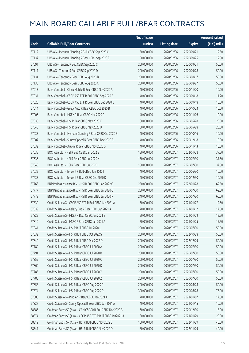|       |                                                              | No. of issue |                     |               | <b>Amount raised</b> |
|-------|--------------------------------------------------------------|--------------|---------------------|---------------|----------------------|
| Code  | <b>Callable Bull/Bear Contracts</b>                          | (units)      | <b>Listing date</b> | <b>Expiry</b> | (HK\$ mil.)          |
| 57112 | UBS AG - Meituan Dianping R Bull CBBC Sep 2020 C             | 50,000,000   | 2020/02/06          | 2020/09/21    | 12.50                |
| 57137 | UBS AG - Meituan Dianping R Bear CBBC Sep 2020 B             | 50,000,000   | 2020/02/06          | 2020/09/25    | 12.50                |
| 57091 | UBS AG - Tencent R Bull CBBC Sep 2020 C                      | 200,000,000  | 2020/02/06          | 2020/09/21    | 50.00                |
| 57111 | UBS AG - Tencent R Bull CBBC Sep 2020 D                      | 200,000,000  | 2020/02/06          | 2020/09/28    | 50.00                |
| 57134 | UBS AG - Tencent R Bear CBBC Aug 2020 B                      | 200,000,000  | 2020/02/06          | 2020/08/17    | 50.00                |
| 57136 | UBS AG - Tencent R Bear CBBC Aug 2020 C                      | 200,000,000  | 2020/02/06          | 2020/08/27    | 50.00                |
| 57013 | Bank Vontobel - China Mobile R Bear CBBC Nov 2020 A          | 40,000,000   | 2020/02/06          | 2020/11/20    | 10.00                |
| 57031 | Bank Vontobel - CSOP A50 ETF R Bull CBBC Sep 2020 B          | 40,000,000   | 2020/02/06          | 2020/09/18    | 11.20                |
| 57026 | Bank Vontobel - CSOP A50 ETF R Bear CBBC Sep 2020 B          | 40,000,000   | 2020/02/06          | 2020/09/18    | 10.00                |
| 57014 | Bank Vontobel - Geely Auto R Bear CBBC Oct 2020 B            | 40,000,000   | 2020/02/06          | 2020/10/23    | 10.00                |
| 57006 | Bank Vontobel - HKEX R Bear CBBC Nov 2020 C                  | 40,000,000   | 2020/02/06          | 2020/11/06    | 10.00                |
| 57035 | Bank Vontobel - HSI R Bear CBBC May 2020 K                   | 80,000,000   | 2020/02/06          | 2020/05/28    | 20.00                |
| 57040 | Bank Vontobel - HSI R Bear CBBC May 2020 U                   | 80,000,000   | 2020/02/06          | 2020/05/28    | 20.00                |
| 57033 | Bank Vontobel - Meituan Dianping R Bear CBBC Oct 2020 B      | 40,000,000   | 2020/02/06          | 2020/10/16    | 10.00                |
| 57007 | Bank Vontobel - Sunny Optical R Bear CBBC Dec 2020 B         | 40,000,000   | 2020/02/06          | 2020/12/18    | 10.00                |
| 57032 | Bank Vontobel - Xiaomi R Bear CBBC Nov 2020 G                | 40,000,000   | 2020/02/06          | 2020/11/13    | 10.00                |
| 57635 | BOCI Asia Ltd. - HSI R Bull CBBC Jan 2022 E                  | 150,000,000  | 2020/02/07          | 2022/01/28    | 37.50                |
| 57636 | BOCI Asia Ltd. - HSI R Bear CBBC Jul 2020 K                  | 150,000,000  | 2020/02/07          | 2020/07/30    | 37.50                |
| 57640 | BOCI Asia Ltd. - HSI R Bear CBBC Jul 2020 L                  | 150,000,000  | 2020/02/07          | 2020/07/30    | 37.50                |
| 57632 | BOCI Asia Ltd. - Tencent R Bull CBBC Jun 2020 I              | 40,000,000   | 2020/02/07          | 2020/06/30    | 10.00                |
| 57633 | BOCI Asia Ltd. - Tencent R Bear CBBC Dec 2020 D              | 40,000,000   | 2020/02/07          | 2020/12/30    | 10.00                |
| 57763 | BNP Paribas Issuance B.V. - HSI R Bull CBBC Jan 2022 O       | 250,000,000  | 2020/02/07          | 2022/01/28    | 62.50                |
| 57777 | BNP Paribas Issuance B.V. - HSI R Bear CBBC Jul 2020 Q       | 250,000,000  | 2020/02/07          | 2020/07/30    | 62.50                |
| 57779 | BNP Paribas Issuance B.V. - HSI R Bear CBBC Jul 2020 R       | 240,000,000  | 2020/02/07          | 2020/07/30    | 60.00                |
| 57830 | Credit Suisse AG - CSOP A50 ETF R Bull CBBC Jan 2021 A       | 50,000,000   | 2020/02/07          | 2021/01/27    | 12.50                |
| 57839 | Credit Suisse AG - Galaxy Ent R Bear CBBC Jan 2021 A         | 70,000,000   | 2020/02/07          | 2021/01/12    | 17.50                |
| 57829 | Credit Suisse AG - HKEX R Bear CBBC Jan 2021 B               | 50,000,000   | 2020/02/07          | 2021/01/29    | 12.50                |
| 57810 | Credit Suisse AG - HSBC R Bear CBBC Jan 2021 A               | 70,000,000   | 2020/02/07          | 2021/01/25    | 17.50                |
| 57841 | Credit Suisse AG - HSI R Bull CBBC Jul 2020 L                | 200,000,000  | 2020/02/07          | 2020/07/30    | 50.00                |
| 57832 | Credit Suisse AG - HSI R Bull CBBC Oct 2022 S                | 200,000,000  | 2020/02/07          | 2022/10/28    | 50.00                |
| 57840 | Credit Suisse AG - HSI R Bull CBBC Dec 2022 Q                | 200,000,000  | 2020/02/07          | 2022/12/29    | 50.00                |
| 57789 | Credit Suisse AG - HSI R Bear CBBC Jul 2020 A                | 200,000,000  | 2020/02/07          | 2020/07/30    | 50.00                |
| 57794 | Credit Suisse AG - HSI R Bear CBBC Jul 2020 B                | 200,000,000  | 2020/02/07          | 2020/07/30    | 50.00                |
| 57855 | Credit Suisse AG - HSI R Bear CBBC Jul 2020 C                | 200,000,000  | 2020/02/07          | 2020/07/30    | 50.00                |
| 57860 | Credit Suisse AG - HSI R Bear CBBC Jul 2020 D                | 200,000,000  | 2020/02/07          | 2020/07/30    | 50.00                |
| 57786 | Credit Suisse AG - HSI R Bear CBBC Jul 2020 Y                | 200,000,000  | 2020/02/07          | 2020/07/30    | 50.00                |
| 57788 | Credit Suisse AG - HSI R Bear CBBC Jul 2020 Z                | 200,000,000  | 2020/02/07          | 2020/07/30    | 50.00                |
| 57856 | Credit Suisse AG - HSI R Bear CBBC Aug 2020 C                | 200,000,000  | 2020/02/07          | 2020/08/28    | 50.00                |
| 57874 | Credit Suisse AG - HSI R Bear CBBC Aug 2020 D                | 300,000,000  | 2020/02/07          | 2020/08/28    | 75.00                |
| 57808 | Credit Suisse AG - Ping An R Bear CBBC Jan 2021 A            | 70,000,000   | 2020/02/07          | 2021/01/07    | 17.50                |
| 57827 | Credit Suisse AG - Sunny Optical R Bear CBBC Jan 2021 A      | 40,000,000   | 2020/02/07          | 2021/01/15    | 10.00                |
| 58386 | Goldman Sachs SP (Asia) - CAM CSI300 R Bull CBBC Dec 2020 B  | 60,000,000   | 2020/02/07          | 2020/12/30    | 15.00                |
| 58374 | Goldman Sachs SP (Asia) - CSOP A50 ETF R Bull CBBC Jan2021 A | 80,000,000   | 2020/02/07          | 2021/01/29    | 20.00                |
| 58319 | Goldman Sachs SP (Asia) - HSI R Bull CBBC Nov 2022 B         | 160,000,000  | 2020/02/07          | 2022/11/29    | 40.00                |
| 58347 | Goldman Sachs SP (Asia) - HSI R Bull CBBC Nov 2022 D         | 160,000,000  | 2020/02/07          | 2022/11/29    | 40.00                |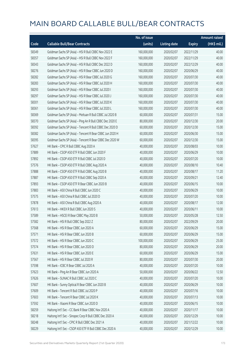|       |                                                          | No. of issue |                     |               | <b>Amount raised</b>  |
|-------|----------------------------------------------------------|--------------|---------------------|---------------|-----------------------|
| Code  | <b>Callable Bull/Bear Contracts</b>                      | (units)      | <b>Listing date</b> | <b>Expiry</b> | $(HK\frac{1}{2}mil.)$ |
| 58349 | Goldman Sachs SP (Asia) - HSI R Bull CBBC Nov 2022 E     | 160,000,000  | 2020/02/07          | 2022/11/29    | 40.00                 |
| 58357 | Goldman Sachs SP (Asia) - HSI R Bull CBBC Nov 2022 F     | 160,000,000  | 2020/02/07          | 2022/11/29    | 40.00                 |
| 58343 | Goldman Sachs SP (Asia) - HSI R Bull CBBC Dec 2022 D     | 160,000,000  | 2020/02/07          | 2022/12/29    | 40.00                 |
| 58276 | Goldman Sachs SP (Asia) - HSI R Bear CBBC Jun 2020 D     | 160,000,000  | 2020/02/07          | 2020/06/29    | 40.00                 |
| 58282 | Goldman Sachs SP (Asia) - HSI R Bear CBBC Jul 2020 G     | 160,000,000  | 2020/02/07          | 2020/07/30    | 40.00                 |
| 58283 | Goldman Sachs SP (Asia) - HSI R Bear CBBC Jul 2020 H     | 160,000,000  | 2020/02/07          | 2020/07/30    | 40.00                 |
| 58293 | Goldman Sachs SP (Asia) - HSI R Bear CBBC Jul 2020 I     | 160,000,000  | 2020/02/07          | 2020/07/30    | 40.00                 |
| 58297 | Goldman Sachs SP (Asia) - HSI R Bear CBBC Jul 2020 J     | 160,000,000  | 2020/02/07          | 2020/07/30    | 40.00                 |
| 58301 | Goldman Sachs SP (Asia) - HSI R Bear CBBC Jul 2020 K     | 160,000,000  | 2020/02/07          | 2020/07/30    | 40.00                 |
| 58361 | Goldman Sachs SP (Asia) - HSI R Bear CBBC Jul 2020 L     | 160,000,000  | 2020/02/07          | 2020/07/30    | 40.00                 |
| 58369 | Goldman Sachs SP (Asia) - Meituan R Bull CBBC Jul 2020 B | 60,000,000   | 2020/02/07          | 2020/07/31    | 15.00                 |
| 58370 | Goldman Sachs SP (Asia) - Ping An R Bull CBBC Dec 2020 E | 80,000,000   | 2020/02/07          | 2020/12/30    | 20.00                 |
| 58392 | Goldman Sachs SP (Asia) - Tencent R Bull CBBC Dec 2020 D | 60,000,000   | 2020/02/07          | 2020/12/30    | 15.00                 |
| 58382 | Goldman Sachs SP (Asia) - Tencent R Bear CBBC Jun 2020 H | 60,000,000   | 2020/02/07          | 2020/06/30    | 15.00                 |
| 58395 | Goldman Sachs SP (Asia) - Tencent R Bear CBBC Dec 2020 W | 60,000,000   | 2020/02/07          | 2020/12/30    | 15.00                 |
| 57627 | HK Bank - CPIC R Bull CBBC Aug 2020 A                    | 40,000,000   | 2020/02/07          | 2020/08/03    | 10.00                 |
| 57889 | HK Bank - CSOP A50 ETF R Bull CBBC Jun 2020 F            | 40,000,000   | 2020/02/07          | 2020/06/29    | 10.00                 |
| 57892 | HK Bank - CSOP A50 ETF R Bull CBBC Jul 2020 D            | 40,000,000   | 2020/02/07          | 2020/07/20    | 10.00                 |
| 57576 | HK Bank - CSOP A50 ETF R Bull CBBC Aug 2020 A            | 40,000,000   | 2020/02/07          | 2020/08/10    | 10.40                 |
| 57888 | HK Bank - CSOP A50 ETF R Bull CBBC Aug 2020 B            | 40,000,000   | 2020/02/07          | 2020/08/17    | 11.20                 |
| 57887 | HK Bank - CSOP A50 ETF R Bull CBBC Sep 2020 A            | 40,000,000   | 2020/02/07          | 2020/09/21    | 12.40                 |
| 57893 | HK Bank - CSOP A50 ETF R Bear CBBC Jun 2020 B            | 40,000,000   | 2020/02/07          | 2020/06/15    | 10.00                 |
| 57883 | HK Bank - A50 China R Bull CBBC Jun 2020 C               | 40,000,000   | 2020/02/07          | 2020/06/29    | 10.00                 |
| 57575 | HK Bank - A50 China R Bull CBBC Jul 2020 D               | 40,000,000   | 2020/02/07          | 2020/07/20    | 10.00                 |
| 57878 | HK Bank - A50 China R Bull CBBC Aug 2020 A               | 40,000,000   | 2020/02/07          | 2020/08/17    | 12.00                 |
| 57613 | HK Bank - HKEX R Bull CBBC Jun 2020 S                    | 40,000,000   | 2020/02/07          | 2020/06/11    | 10.00                 |
| 57589 | HK Bank - HSCEI R Bear CBBC May 2020 B                   | 50,000,000   | 2020/02/07          | 2020/05/28    | 12.50                 |
| 57582 | HK Bank - HSI R Bull CBBC Sep 2022 Z                     | 80,000,000   | 2020/02/07          | 2022/09/29    | 20.00                 |
| 57568 | HK Bank - HSI R Bear CBBC Jun 2020 A                     | 60,000,000   | 2020/02/07          | 2020/06/29    | 15.00                 |
| 57571 | HK Bank - HSI R Bear CBBC Jun 2020 B                     | 60,000,000   | 2020/02/07          | 2020/06/29    | 15.00                 |
| 57572 | HK Bank - HSI R Bear CBBC Jun 2020 C                     | 100,000,000  | 2020/02/07          | 2020/06/29    | 25.00                 |
| 57574 | HK Bank - HSI R Bear CBBC Jun 2020 D                     | 80,000,000   | 2020/02/07          | 2020/06/29    | 20.00                 |
| 57631 | HK Bank - HSI R Bear CBBC Jun 2020 E                     | 60,000,000   | 2020/02/07          | 2020/06/29    | 15.00                 |
| 57567 | HK Bank - HSI R Bear CBBC Jul 2020 R                     | 80,000,000   | 2020/02/07          | 2020/07/30    | 20.00                 |
| 57598 | HK Bank - ICBC R Bear CBBC Jul 2020 A                    | 40,000,000   | 2020/02/07          | 2020/07/20    | 10.00                 |
| 57623 | HK Bank - Ping An R Bear CBBC Jun 2020 A                 | 50,000,000   | 2020/02/07          | 2020/06/22    | 12.50                 |
| 57626 | HK Bank - SUNAC R Bull CBBC Jul 2020 C                   | 40,000,000   | 2020/02/07          | 2020/07/20    | 10.00                 |
| 57607 | HK Bank - Sunny Optical R Bear CBBC Jun 2020 B           | 40,000,000   | 2020/02/07          | 2020/06/29    | 10.00                 |
| 57609 | HK Bank - Tencent R Bull CBBC Jul 2020 P                 | 40,000,000   | 2020/02/07          | 2020/07/16    | 10.00                 |
| 57603 | HK Bank - Tencent R Bear CBBC Jul 2020 K                 | 40,000,000   | 2020/02/07          | 2020/07/13    | 10.00                 |
| 57592 | HK Bank - Xiaomi R Bear CBBC Jun 2020 D                  | 40,000,000   | 2020/02/07          | 2020/06/15    | 10.00                 |
| 58259 | Haitong Int'l Sec - CC Bank R Bear CBBC Nov 2020 A       | 40,000,000   | 2020/02/07          | 2020/11/17    | 10.00                 |
| 58218 | Haitong Int'l Sec - Sinopec Corp R Bull CBBC Dec 2020 A  | 40,000,000   | 2020/02/07          | 2020/12/29    | 10.00                 |
| 58248 | Haitong Int'l Sec - CPIC R Bull CBBC Dec 2021 A          | 40,000,000   | 2020/02/07          | 2021/12/22    | 10.00                 |
| 58229 | Haitong Int'l Sec - CSOP A50 ETF R Bull CBBC Dec 2020 A  | 40,000,000   | 2020/02/07          | 2020/12/29    | 10.00                 |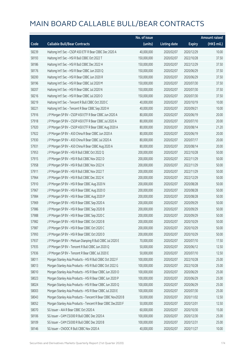|       |                                                              | No. of issue |                     |               | <b>Amount raised</b> |
|-------|--------------------------------------------------------------|--------------|---------------------|---------------|----------------------|
| Code  | <b>Callable Bull/Bear Contracts</b>                          | (units)      | <b>Listing date</b> | <b>Expiry</b> | $(HK$$ mil.)         |
| 58239 | Haitong Int'l Sec - CSOP A50 ETF R Bear CBBC Dec 2020 A      | 40,000,000   | 2020/02/07          | 2020/12/29    | 10.00                |
| 58193 | Haitong Int'l Sec - HSI R Bull CBBC Oct 2022 T               | 150,000,000  | 2020/02/07          | 2022/10/28    | 37.50                |
| 58186 | Haitong Int'l Sec - HSI R Bull CBBC Dec 2022 H               | 150,000,000  | 2020/02/07          | 2022/12/29    | 37.50                |
| 58176 | Haitong Int'l Sec - HSI R Bear CBBC Jun 2020 Q               | 150,000,000  | 2020/02/07          | 2020/06/29    | 37.50                |
| 58200 | Haitong Int'l Sec - HSI R Bear CBBC Jun 2020 R               | 150,000,000  | 2020/02/07          | 2020/06/29    | 37.50                |
| 58196 | Haitong Int'l Sec - HSI R Bear CBBC Jul 2020 M               | 150,000,000  | 2020/02/07          | 2020/07/30    | 37.50                |
| 58207 | Haitong Int'l Sec - HSI R Bear CBBC Jul 2020 N               | 150,000,000  | 2020/02/07          | 2020/07/30    | 37.50                |
| 58216 | Haitong Int'l Sec - HSI R Bear CBBC Jul 2020 O               | 150,000,000  | 2020/02/07          | 2020/07/30    | 37.50                |
| 58219 | Haitong Int'l Sec - Tencent R Bull CBBC Oct 2020 C           | 40,000,000   | 2020/02/07          | 2020/10/19    | 10.00                |
| 58221 | Haitong Int'l Sec - Tencent R Bear CBBC Sep 2020 H           | 40,000,000   | 2020/02/07          | 2020/09/21    | 10.00                |
| 57916 | J P Morgan SP BV - CSOP A50 ETF R Bear CBBC Jun 2020 A       | 80,000,000   | 2020/02/07          | 2020/06/19    | 20.00                |
| 57918 | J P Morgan SP BV - CSOP A50 ETF R Bear CBBC Jul 2020 A       | 80,000,000   | 2020/02/07          | 2020/07/10    | 20.00                |
| 57920 | J P Morgan SP BV - CSOP A50 ETF R Bear CBBC Aug 2020 A       | 80,000,000   | 2020/02/07          | 2020/08/14    | 21.20                |
| 57922 | J P Morgan SP BV - A50 China R Bear CBBC Jun 2020 A          | 80,000,000   | 2020/02/07          | 2020/06/19    | 20.00                |
| 57930 | J P Morgan SP BV - A50 China R Bear CBBC Jul 2020 A          | 80,000,000   | 2020/02/07          | 2020/07/17    | 20.00                |
| 57931 | J P Morgan SP BV - A50 China R Bear CBBC Aug 2020 A          | 80,000,000   | 2020/02/07          | 2020/08/14    | 20.00                |
| 57953 | J P Morgan SP BV - HSI R Bull CBBC Oct 2022 Q                | 200,000,000  | 2020/02/07          | 2022/10/28    | 50.00                |
| 57915 | J P Morgan SP BV - HSI R Bull CBBC Nov 2022 D                | 200,000,000  | 2020/02/07          | 2022/11/29    | 50.00                |
| 57958 | J P Morgan SP BV - HSI R Bull CBBC Nov 2022 K                | 200,000,000  | 2020/02/07          | 2022/11/29    | 50.00                |
| 57911 | J P Morgan SP BV - HSI R Bull CBBC Nov 2022 T                | 200,000,000  | 2020/02/07          | 2022/11/29    | 50.00                |
| 57964 | J P Morgan SP BV - HSI R Bull CBBC Dec 2022 K                | 200,000,000  | 2020/02/07          | 2022/12/29    | 50.00                |
| 57910 | J P Morgan SP BV - HSI R Bear CBBC Aug 2020 N                | 200,000,000  | 2020/02/07          | 2020/08/28    | 50.00                |
| 57967 | J P Morgan SP BV - HSI R Bear CBBC Aug 2020 O                | 200,000,000  | 2020/02/07          | 2020/08/28    | 50.00                |
| 57984 | J P Morgan SP BV - HSI R Bear CBBC Aug 2020 P                | 200,000,000  | 2020/02/07          | 2020/08/28    | 50.00                |
| 57969 | J P Morgan SP BV - HSI R Bear CBBC Sep 2020 A                | 200,000,000  | 2020/02/07          | 2020/09/29    | 50.00                |
| 57986 | J P Morgan SP BV - HSI R Bear CBBC Sep 2020 B                | 200,000,000  | 2020/02/07          | 2020/09/29    | 50.00                |
| 57988 | J P Morgan SP BV - HSI R Bear CBBC Sep 2020 C                | 200,000,000  | 2020/02/07          | 2020/09/29    | 50.00                |
| 57982 | J P Morgan SP BV - HSI R Bear CBBC Oct 2020 B                | 200,000,000  | 2020/02/07          | 2020/10/29    | 50.00                |
| 57987 | J P Morgan SP BV - HSI R Bear CBBC Oct 2020 C                | 200,000,000  | 2020/02/07          | 2020/10/29    | 50.00                |
| 57993 | J P Morgan SP BV - HSI R Bear CBBC Oct 2020 D                | 200,000,000  | 2020/02/07          | 2020/10/29    | 50.00                |
| 57937 | J P Morgan SP BV - Meituan Dianping R Bull CBBC Jul 2020 E   | 70,000,000   | 2020/02/07          | 2020/07/10    | 17.50                |
| 57935 | J P Morgan SP BV - Tencent R Bull CBBC Jun 2020 Q            | 50,000,000   | 2020/02/07          | 2020/06/12    | 12.50                |
| 57936 | J P Morgan SP BV - Tencent R Bear CBBC Jul 2020 E            | 50,000,000   | 2020/02/07          | 2020/07/10    | 12.50                |
| 58011 | Morgan Stanley Asia Products - HSI R Bull CBBC Oct 2022 F    | 100,000,000  | 2020/02/07          | 2022/10/28    | 25.00                |
| 58013 | Morgan Stanley Asia Products - HSI R Bull CBBC Oct 2022 G    | 100,000,000  | 2020/02/07          | 2022/10/28    | 25.00                |
| 58010 | Morgan Stanley Asia Products - HSI R Bear CBBC Jun 2020 O    | 100,000,000  | 2020/02/07          | 2020/06/29    | 25.00                |
| 58023 | Morgan Stanley Asia Products - HSI R Bear CBBC Jun 2020 P    | 100,000,000  | 2020/02/07          | 2020/06/29    | 25.00                |
| 58024 | Morgan Stanley Asia Products - HSI R Bear CBBC Jun 2020 Q    | 100,000,000  | 2020/02/07          | 2020/06/29    | 25.00                |
| 58003 | Morgan Stanley Asia Products - HSI R Bear CBBC Jul 2020 E    | 100,000,000  | 2020/02/07          | 2020/07/30    | 25.00                |
| 58043 | Morgan Stanley Asia Products - Tencent R Bear CBBC Nov2020 B | 50,000,000   | 2020/02/07          | 2020/11/02    | 12.50                |
| 58052 | Morgan Stanley Asia Products - Tencent R Bear CBBC Dec2020 F | 50,000,000   | 2020/02/07          | 2020/12/01    | 12.50                |
| 58070 | SG Issuer - AIA R Bear CBBC Oct 2020 A                       | 60,000,000   | 2020/02/07          | 2020/10/30    | 15.00                |
| 58106 | SG Issuer - CAM CSI300 R Bull CBBC Dec 2020 A                | 100,000,000  | 2020/02/07          | 2020/12/30    | 25.00                |
| 58109 | SG Issuer - CAM CSI300 R Bull CBBC Dec 2020 B                | 100,000,000  | 2020/02/07          | 2020/12/31    | 25.00                |
| 58146 | SG Issuer - CNOOC R Bull CBBC Nov 2020 A                     | 40,000,000   | 2020/02/07          | 2020/11/27    | 10.00                |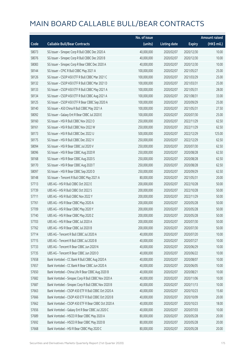|       |                                                     | No. of issue |                     |               | <b>Amount raised</b>  |
|-------|-----------------------------------------------------|--------------|---------------------|---------------|-----------------------|
| Code  | <b>Callable Bull/Bear Contracts</b>                 | (units)      | <b>Listing date</b> | <b>Expiry</b> | $(HK\frac{1}{2}mil.)$ |
| 58073 | SG Issuer - Sinopec Corp R Bull CBBC Dec 2020 A     | 40,000,000   | 2020/02/07          | 2020/12/30    | 10.00                 |
| 58076 | SG Issuer - Sinopec Corp R Bull CBBC Dec 2020 B     | 40,000,000   | 2020/02/07          | 2020/12/30    | 10.00                 |
| 58083 | SG Issuer - Sinopec Corp R Bear CBBC Dec 2020 A     | 40,000,000   | 2020/02/07          | 2020/12/30    | 10.00                 |
| 58144 | SG Issuer - CPIC R Bull CBBC May 2021 A             | 100,000,000  | 2020/02/07          | 2021/05/27    | 25.00                 |
| 58126 | SG Issuer - CSOP A50 ETF R Bull CBBC Mar 2021 C     | 100,000,000  | 2020/02/07          | 2021/03/29    | 25.00                 |
| 58132 | SG Issuer - CSOP A50 ETF R Bull CBBC Mar 2021 D     | 100,000,000  | 2020/02/07          | 2021/03/31    | 25.00                 |
| 58133 | SG Issuer - CSOP A50 ETF R Bull CBBC May 2021 A     | 100,000,000  | 2020/02/07          | 2021/05/31    | 28.00                 |
| 58134 | SG Issuer - CSOP A50 ETF R Bull CBBC Aug 2021 A     | 100,000,000  | 2020/02/07          | 2021/08/31    | 33.00                 |
| 58125 | SG Issuer - CSOP A50 ETF R Bear CBBC Sep 2020 A     | 100,000,000  | 2020/02/07          | 2020/09/29    | 25.00                 |
| 58140 | SG Issuer - A50 China R Bull CBBC May 2021 A        | 100,000,000  | 2020/02/07          | 2021/05/31    | 27.50                 |
| 58092 | SG Issuer - Galaxy Ent R Bear CBBC Jul 2020 E       | 100,000,000  | 2020/02/07          | 2020/07/30    | 25.00                 |
| 58160 | SG Issuer - HSI R Bull CBBC Nov 2022 O              | 250,000,000  | 2020/02/07          | 2022/11/29    | 62.50                 |
| 58161 | SG Issuer - HSI R Bull CBBC Nov 2022 W              | 250,000,000  | 2020/02/07          | 2022/11/29    | 62.50                 |
| 58173 | SG Issuer - HSI R Bull CBBC Dec 2022 U              | 500,000,000  | 2020/02/07          | 2022/12/29    | 125.00                |
| 58175 | SG Issuer - HSI R Bull CBBC Dec 2022 V              | 250,000,000  | 2020/02/07          | 2022/12/29    | 62.50                 |
| 58094 | SG Issuer - HSI R Bear CBBC Jul 2020 V              | 250,000,000  | 2020/02/07          | 2020/07/30    | 62.50                 |
| 58096 | SG Issuer - HSI R Bear CBBC Aug 2020 R              | 250,000,000  | 2020/02/07          | 2020/08/28    | 62.50                 |
| 58168 | SG Issuer - HSI R Bear CBBC Aug 2020 S              | 250,000,000  | 2020/02/07          | 2020/08/28    | 62.50                 |
| 58170 | SG Issuer - HSI R Bear CBBC Aug 2020 T              | 250,000,000  | 2020/02/07          | 2020/08/28    | 62.50                 |
| 58097 | SG Issuer - HSI R Bear CBBC Sep 2020 D              | 250,000,000  | 2020/02/07          | 2020/09/29    | 62.50                 |
| 58148 | SG Issuer - Tencent R Bull CBBC May 2021 A          | 80,000,000   | 2020/02/07          | 2021/05/31    | 20.00                 |
| 57713 | UBS AG - HSI R Bull CBBC Oct 2022 E                 | 200,000,000  | 2020/02/07          | 2022/10/28    | 50.00                 |
| 57739 | UBS AG - HSI R Bull CBBC Oct 2022 S                 | 200,000,000  | 2020/02/07          | 2022/10/28    | 50.00                 |
| 57711 | UBS AG - HSI R Bull CBBC Nov 2022 Y                 | 200,000,000  | 2020/02/07          | 2022/11/29    | 50.00                 |
| 57761 | UBS AG - HSI R Bear CBBC May 2020 A                 | 200,000,000  | 2020/02/07          | 2020/05/28    | 50.00                 |
| 57709 | UBS AG - HSI R Bear CBBC May 2020 Y                 | 200,000,000  | 2020/02/07          | 2020/05/28    | 50.00                 |
| 57740 | UBS AG - HSI R Bear CBBC May 2020 Z                 | 200,000,000  | 2020/02/07          | 2020/05/28    | 50.00                 |
| 57703 | UBS AG - HSI R Bear CBBC Jul 2020 A                 | 200,000,000  | 2020/02/07          | 2020/07/30    | 50.00                 |
| 57762 | UBS AG - HSI R Bear CBBC Jul 2020 B                 | 200,000,000  | 2020/02/07          | 2020/07/30    | 50.00                 |
| 57714 | UBS AG - Tencent R Bull CBBC Jul 2020 A             | 40,000,000   | 2020/02/07          | 2020/07/20    | 10.00                 |
| 57715 | UBS AG - Tencent R Bull CBBC Jul 2020 B             | 40,000,000   | 2020/02/07          | 2020/07/27    | 10.00                 |
| 57733 | UBS AG - Tencent R Bear CBBC Jun 2020 N             | 40,000,000   | 2020/02/07          | 2020/06/29    | 10.00                 |
| 57735 | UBS AG - Tencent R Bear CBBC Jun 2020 O             | 40,000,000   | 2020/02/07          | 2020/06/22    | 10.00                 |
| 57658 | Bank Vontobel - CC Bank R Bull CBBC Aug 2020 A      | 40,000,000   | 2020/02/07          | 2020/08/07    | 10.00                 |
| 57657 | Bank Vontobel - CC Bank R Bear CBBC Jun 2020 A      | 40,000,000   | 2020/02/07          | 2020/06/05    | 10.00                 |
| 57650 | Bank Vontobel - China Life R Bear CBBC Aug 2020 B   | 40,000,000   | 2020/02/07          | 2020/08/21    | 10.00                 |
| 57682 | Bank Vontobel - Sinopec Corp R Bull CBBC Nov 2020 A | 40,000,000   | 2020/02/07          | 2020/11/06    | 10.00                 |
| 57687 | Bank Vontobel - Sinopec Corp R Bull CBBC Nov 2020 B | 40,000,000   | 2020/02/07          | 2020/11/13    | 10.00                 |
| 57663 | Bank Vontobel - CSOP A50 ETF R Bull CBBC Oct 2020 A | 40,000,000   | 2020/02/07          | 2020/10/23    | 15.60                 |
| 57666 | Bank Vontobel - CSOP A50 ETF R Bull CBBC Oct 2020 B | 40,000,000   | 2020/02/07          | 2020/10/09    | 20.00                 |
| 57662 | Bank Vontobel - CSOP A50 ETF R Bear CBBC Oct 2020 A | 40,000,000   | 2020/02/07          | 2020/10/23    | 18.00                 |
| 57656 | Bank Vontobel - Galaxy Ent R Bear CBBC Jul 2020 C   | 40,000,000   | 2020/02/07          | 2020/07/03    | 10.00                 |
| 57689 | Bank Vontobel - HSCEI R Bear CBBC May 2020 A        | 80,000,000   | 2020/02/07          | 2020/05/28    | 20.00                 |
| 57692 | Bank Vontobel - HSCEI R Bear CBBC May 2020 B        | 80,000,000   | 2020/02/07          | 2020/05/28    | 20.00                 |
| 57668 | Bank Vontobel - HSI R Bear CBBC May 2020 C          | 80,000,000   | 2020/02/07          | 2020/05/28    | 20.00                 |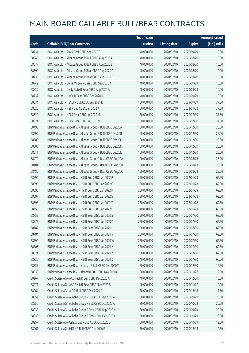|       |                                                              | No. of issue |                     |               | <b>Amount raised</b>  |
|-------|--------------------------------------------------------------|--------------|---------------------|---------------|-----------------------|
| Code  | <b>Callable Bull/Bear Contracts</b>                          | (units)      | <b>Listing date</b> | <b>Expiry</b> | $(HK\frac{1}{2}mil.)$ |
| 58731 | BOCI Asia Ltd. - AIA R Bear CBBC Sep 2020 B                  | 40,000,000   | 2020/02/10          | 2020/09/29    | 10.00                 |
| 58640 | BOCI Asia Ltd. - Alibaba Group R Bull CBBC Aug 2020 A        | 40,000,000   | 2020/02/10          | 2020/08/20    | 10.00                 |
| 58677 | BOCI Asia Ltd. - Alibaba Group R Bull CBBC Aug 2020 B        | 40,000,000   | 2020/02/10          | 2020/08/20    | 10.00                 |
| 58699 | BOCI Asia Ltd. - Alibaba Group R Bear CBBC Aug 2020 A        | 40,000,000   | 2020/02/10          | 2020/08/20    | 10.00                 |
| 58730 | BOCI Asia Ltd. - Alibaba Group R Bear CBBC Aug 2020 B        | 40,000,000   | 2020/02/10          | 2020/08/20    | 10.00                 |
| 58742 | BOCI Asia Ltd. - China Mobile R Bear CBBC Sep 2020 A         | 40,000,000   | 2020/02/10          | 2020/09/29    | 10.00                 |
| 58739 | BOCI Asia Ltd. - Geely Auto R Bear CBBC Aug 2020 A           | 40,000,000   | 2020/02/10          | 2020/08/28    | 10.00                 |
| 58737 | BOCI Asia Ltd. - HKEX R Bear CBBC Sep 2020 A                 | 40,000,000   | 2020/02/10          | 2020/09/29    | 10.00                 |
| 58634 | BOCI Asia Ltd. - HSCEI R Bull CBBC Sep 2021 E                | 150,000,000  | 2020/02/10          | 2021/09/29    | 37.50                 |
| 58620 | BOCI Asia Ltd. - HSI R Bull CBBC Jan 2022 J                  | 150,000,000  | 2020/02/10          | 2022/01/28    | 37.50                 |
| 58622 | BOCI Asia Ltd. - HSI R Bear CBBC Jul 2020 M                  | 150,000,000  | 2020/02/10          | 2020/07/30    | 37.50                 |
| 58624 | BOCI Asia Ltd. - HSI R Bear CBBC Jul 2020 N                  | 150,000,000  | 2020/02/10          | 2020/07/30    | 37.50                 |
| 58493 | BNP Paribas Issuance B.V. - Alibaba Group R Bull CBBC Dec20A | 100,000,000  | 2020/02/10          | 2020/12/30    | 25.00                 |
| 58599 | BNP Paribas Issuance B.V. - Alibaba Group R Bull CBBC Dec20B | 100,000,000  | 2020/02/10          | 2020/12/30    | 25.00                 |
| 58600 | BNP Paribas Issuance B.V. - Alibaba Group R Bull CBBC Dec20C | 100,000,000  | 2020/02/10          | 2020/12/30    | 25.00                 |
| 58606 | BNP Paribas Issuance B.V. - Alibaba Group R Bull CBBC Dec20D | 100,000,000  | 2020/02/10          | 2020/12/30    | 25.00                 |
| 58611 | BNP Paribas Issuance B.V. - Alibaba Group R Bull CBBC Dec20E | 100,000,000  | 2020/02/10          | 2020/12/30    | 25.00                 |
| 58479 | BNP Paribas Issuance B.V. - Alibaba Group R Bear CBBC Aug20A | 100,000,000  | 2020/02/10          | 2020/08/28    | 25.00                 |
| 58484 | BNP Paribas Issuance B.V. - Alibaba Group R Bear CBBC Aug20B | 100,000,000  | 2020/02/10          | 2020/08/28    | 25.00                 |
| 58486 | BNP Paribas Issuance B.V. - Alibaba Group R Bear CBBC Aug20C | 100,000,000  | 2020/02/10          | 2020/08/28    | 25.00                 |
| 58594 | BNP Paribas Issuance B.V. - HSI R Bull CBBC Jan 2022 P       | 250,000,000  | 2020/02/10          | 2022/01/28    | 62.50                 |
| 58595 | BNP Paribas Issuance B.V. - HSI R Bull CBBC Jan 2022 Q       | 250,000,000  | 2020/02/10          | 2022/01/28    | 62.50                 |
| 58596 | BNP Paribas Issuance B.V. - HSI R Bull CBBC Jan 2022 R       | 250,000,000  | 2020/02/10          | 2022/01/28    | 62.50                 |
| 58597 | BNP Paribas Issuance B.V. - HSI R Bull CBBC Jan 2022 S       | 250,000,000  | 2020/02/10          | 2022/01/28    | 62.50                 |
| 58598 | BNP Paribas Issuance B.V. - HSI R Bull CBBC Jan 2022 T       | 250,000,000  | 2020/02/10          | 2022/01/28    | 62.50                 |
| 58750 | BNP Paribas Issuance B.V. - HSI R Bull CBBC Jan 2022 U       | 240,000,000  | 2020/02/10          | 2022/01/28    | 60.00                 |
| 58752 | BNP Paribas Issuance B.V. - HSI R Bear CBBC Jul 2020 S       | 250,000,000  | 2020/02/10          | 2020/07/30    | 62.50                 |
| 58775 | BNP Paribas Issuance B.V. - HSI R Bear CBBC Jul 2020 T       | 250,000,000  | 2020/02/10          | 2020/07/30    | 62.50                 |
| 58782 | BNP Paribas Issuance B.V. - HSI R Bear CBBC Jul 2020 U       | 250,000,000  | 2020/02/10          | 2020/07/30    | 62.50                 |
| 58784 | BNP Paribas Issuance B.V. - HSI R Bear CBBC Jul 2020 V       | 250,000,000  | 2020/02/10          | 2020/07/30    | 62.50                 |
| 58792 | BNP Paribas Issuance B.V. - HSI R Bear CBBC Jul 2020 W       | 250,000,000  | 2020/02/10          | 2020/07/30    | 62.50                 |
| 58806 | BNP Paribas Issuance B.V. - HSI R Bear CBBC Jul 2020 X       | 250,000,000  | 2020/02/10          | 2020/07/30    | 62.50                 |
| 58824 | BNP Paribas Issuance B.V. - HSI R Bear CBBC Jul 2020 Y       | 250,000,000  | 2020/02/10          | 2020/07/30    | 62.50                 |
| 58826 | BNP Paribas Issuance B.V. - HSI R Bear CBBC Jul 2020 Z       | 240,000,000  | 2020/02/10          | 2020/07/30    | 60.00                 |
| 58555 | BNP Paribas Issuance B.V. - Meituan R Bull CBBC Dec 2020 Y   | 50,000,000   | 2020/02/10          | 2020/12/30    | 12.50                 |
| 58539 | BNP Paribas Issuance B.V. - Xiaomi R Bull CBBC Nov 2020 G    | 50,000,000   | 2020/02/10          | 2020/11/27    | 12.50                 |
| 58967 | Credit Suisse AG - AAC Tech R Bull CBBC Dec 2020 A           | 40,000,000   | 2020/02/10          | 2020/12/30    | 10.00                 |
| 58971 | Credit Suisse AG - AAC Tech R Bear CBBC Nov 2020 B           | 40,000,000   | 2020/02/10          | 2020/11/27    | 10.00                 |
| 58964 | Credit Suisse AG - AIA R Bull CBBC Dec 2020 G                | 70,000,000   | 2020/02/10          | 2020/12/18    | 17.50                 |
| 58951 | Credit Suisse AG - Alibaba Group R Bull CBBC Sep 2020 A      | 80,000,000   | 2020/02/10          | 2020/09/29    | 20.00                 |
| 58956 | Credit Suisse AG - Alibaba Group R Bull CBBC Oct 2020 A      | 80,000,000   | 2020/02/10          | 2020/10/29    | 20.00                 |
| 58932 | Credit Suisse AG - Alibaba Group R Bear CBBC Sep 2020 A      | 80,000,000   | 2020/02/10          | 2020/09/29    | 20.00                 |
| 58933 | Credit Suisse AG - Alibaba Group R Bear CBBC Oct 2020 A      | 80,000,000   | 2020/02/10          | 2020/10/29    | 20.00                 |
| 58957 | Credit Suisse AG - Galaxy Ent R Bull CBBC Oct 2020 B         | 50,000,000   | 2020/02/10          | 2020/10/29    | 12.50                 |
| 58961 | Credit Suisse AG - HKEX R Bull CBBC Dec 2020 F               | 50,000,000   | 2020/02/10          | 2020/12/18    | 12.50                 |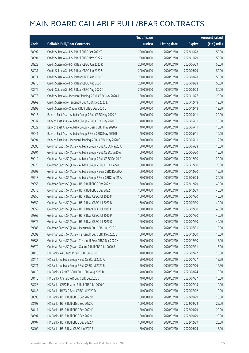|       |                                                             | No. of issue |                     |               | <b>Amount raised</b> |
|-------|-------------------------------------------------------------|--------------|---------------------|---------------|----------------------|
| Code  | <b>Callable Bull/Bear Contracts</b>                         | (units)      | <b>Listing date</b> | <b>Expiry</b> | (HK\$ mil.)          |
| 58992 | Credit Suisse AG - HSI R Bull CBBC Oct 2022 T               | 200,000,000  | 2020/02/10          | 2022/10/28    | 50.00                |
| 58991 | Credit Suisse AG - HSI R Bull CBBC Nov 2022 Z               | 200,000,000  | 2020/02/10          | 2022/11/29    | 50.00                |
| 58923 | Credit Suisse AG - HSI R Bear CBBC Jun 2020 R               | 200,000,000  | 2020/02/10          | 2020/06/29    | 50.00                |
| 58931 | Credit Suisse AG - HSI R Bear CBBC Jun 2020 S               | 200,000,000  | 2020/02/10          | 2020/06/29    | 50.00                |
| 58974 | Credit Suisse AG - HSI R Bear CBBC Aug 2020 E               | 200,000,000  | 2020/02/10          | 2020/08/28    | 50.00                |
| 58978 | Credit Suisse AG - HSI R Bear CBBC Aug 2020 F               | 200,000,000  | 2020/02/10          | 2020/08/28    | 50.00                |
| 58979 | Credit Suisse AG - HSI R Bear CBBC Aug 2020 G               | 200,000,000  | 2020/02/10          | 2020/08/28    | 50.00                |
| 58973 | Credit Suisse AG - Meituan Dianping R Bull CBBC Nov 2020 A  | 80,000,000   | 2020/02/10          | 2020/11/27    | 20.00                |
| 58962 | Credit Suisse AG - Tencent R Bull CBBC Dec 2020 E           | 50,000,000   | 2020/02/10          | 2020/12/18    | 12.50                |
| 58993 | Credit Suisse AG - Xiaomi R Bull CBBC Dec 2020 C            | 50,000,000   | 2020/02/10          | 2020/12/18    | 12.50                |
| 59015 | Bank of East Asia - Alibaba Group R Bull CBBC May 2020 A    | 80,000,000   | 2020/02/10          | 2020/05/11    | 20.00                |
| 59037 | Bank of East Asia - Alibaba Group R Bull CBBC May 2020 B    | 40,000,000   | 2020/02/10          | 2020/05/11    | 10.00                |
| 59022 | Bank of East Asia - Alibaba Group R Bear CBBC May 2020 A    | 40,000,000   | 2020/02/10          | 2020/05/11    | 10.00                |
| 59041 | Bank of East Asia - Alibaba Group R Bear CBBC May 2020 B    | 40,000,000   | 2020/02/10          | 2020/05/11    | 10.00                |
| 58994 | Bank of East Asia - Meituan Dianping R Bull CBBC May 2020 C | 50,000,000   | 2020/02/10          | 2020/05/11    | 12.50                |
| 59895 | Goldman Sachs SP (Asia) - Alibaba Group R Bull CBBC May20 A | 60,000,000   | 2020/02/10          | 2020/05/28    | 15.00                |
| 59904 | Goldman Sachs SP (Asia) - Alibaba Group R Bull CBBC Jun20 A | 60,000,000   | 2020/02/10          | 2020/06/30    | 15.00                |
| 59919 | Goldman Sachs SP (Asia) - Alibaba Group R Bull CBBC Dec20 A | 80,000,000   | 2020/02/10          | 2020/12/30    | 20.00                |
| 59920 | Goldman Sachs SP (Asia) - Alibaba Group R Bull CBBC Dec20 B | 80,000,000   | 2020/02/10          | 2020/12/30    | 20.00                |
| 59903 | Goldman Sachs SP (Asia) - Alibaba Group R Bear CBBC Dec20 A | 60,000,000   | 2020/02/10          | 2020/12/30    | 15.00                |
| 59918 | Goldman Sachs SP (Asia) - Alibaba Group R Bear CBBC Jun21 A | 80,000,000   | 2020/02/10          | 2021/06/29    | 20.00                |
| 59856 | Goldman Sachs SP (Asia) - HSI R Bull CBBC Dec 2022 H        | 160,000,000  | 2020/02/10          | 2022/12/29    | 40.00                |
| 59873 | Goldman Sachs SP (Asia) - HSI R Bull CBBC Dec 2022 I        | 160,000,000  | 2020/02/10          | 2022/12/29    | 40.00                |
| 59850 | Goldman Sachs SP (Asia) - HSI R Bear CBBC Jul 2020 M        | 160,000,000  | 2020/02/10          | 2020/07/30    | 40.00                |
| 59852 | Goldman Sachs SP (Asia) - HSI R Bear CBBC Jul 2020 N        | 160,000,000  | 2020/02/10          | 2020/07/30    | 40.00                |
| 59859 | Goldman Sachs SP (Asia) - HSI R Bear CBBC Jul 2020 O        | 160,000,000  | 2020/02/10          | 2020/07/30    | 40.00                |
| 59862 | Goldman Sachs SP (Asia) - HSI R Bear CBBC Jul 2020 P        | 160,000,000  | 2020/02/10          | 2020/07/30    | 40.00                |
| 59875 | Goldman Sachs SP (Asia) - HSI R Bear CBBC Jul 2020 Q        | 160,000,000  | 2020/02/10          | 2020/07/30    | 40.00                |
| 59886 | Goldman Sachs SP (Asia) - Meituan R Bull CBBC Jul 2020 C    | 60,000,000   | 2020/02/10          | 2020/07/31    | 15.00                |
| 59892 | Goldman Sachs SP (Asia) - Tencent R Bull CBBC Dec 2020 E    | 60,000,000   | 2020/02/10          | 2020/12/30    | 15.00                |
| 59888 | Goldman Sachs SP (Asia) - Tencent R Bear CBBC Dec 2020 X    | 60,000,000   | 2020/02/10          | 2020/12/30    | 15.00                |
| 59879 | Goldman Sachs SP (Asia) - Xiaomi R Bull CBBC Jul 2020 B     | 60,000,000   | 2020/02/10          | 2020/07/31    | 15.00                |
| 58415 | HK Bank - AAC Tech R Bull CBBC Jul 2020 B                   | 40,000,000   | 2020/02/10          | 2020/07/27    | 10.00                |
| 58414 | HK Bank - Alibaba Group R Bull CBBC Jul 2020 A              | 50,000,000   | 2020/02/10          | 2020/07/27    | 12.50                |
| 58471 | HK Bank - Alibaba Group R Bull CBBC Jul 2020 B              | 50,000,000   | 2020/02/10          | 2020/07/06    | 12.50                |
| 58410 | HK Bank - CAM CSI300 R Bull CBBC Aug 2020 B                 | 40,000,000   | 2020/02/10          | 2020/08/24    | 10.00                |
| 58476 | HK Bank - China Life R Bull CBBC Jul 2020 C                 | 40,000,000   | 2020/02/10          | 2020/07/27    | 10.00                |
| 58428 | HK Bank - CSPC Pharma R Bull CBBC Jul 2020 C                | 40,000,000   | 2020/02/10          | 2020/07/13    | 10.00                |
| 58448 | HK Bank - HKEX R Bear CBBC Jul 2020 D                       | 40,000,000   | 2020/02/10          | 2020/07/02    | 10.00                |
| 58398 | HK Bank - HSI R Bull CBBC Sep 2022 B                        | 60,000,000   | 2020/02/10          | 2022/09/29    | 15.00                |
| 58403 | HK Bank - HSI R Bull CBBC Sep 2022 C                        | 100,000,000  | 2020/02/10          | 2022/09/29    | 25.00                |
| 58411 | HK Bank - HSI R Bull CBBC Sep 2022 D                        | 80,000,000   | 2020/02/10          | 2022/09/29    | 20.00                |
| 58397 | HK Bank - HSI R Bull CBBC Sep 2022 H                        | 80,000,000   | 2020/02/10          | 2022/09/29    | 20.00                |
| 58407 | HK Bank - HSI R Bull CBBC Dec 2022 A                        | 100,000,000  | 2020/02/10          | 2022/12/29    | 25.00                |
| 58402 | HK Bank - HSI R Bear CBBC Jun 2020 F                        | 60,000,000   | 2020/02/10          | 2020/06/29    | 15.00                |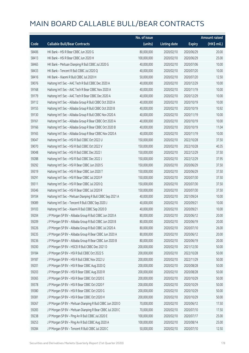|       |                                                             | No. of issue |                     |               | <b>Amount raised</b> |
|-------|-------------------------------------------------------------|--------------|---------------------|---------------|----------------------|
| Code  | <b>Callable Bull/Bear Contracts</b>                         | (units)      | <b>Listing date</b> | <b>Expiry</b> | (HK\$ mil.)          |
| 58406 | HK Bank - HSI R Bear CBBC Jun 2020 G                        | 80,000,000   | 2020/02/10          | 2020/06/29    | 20.00                |
| 58413 | HK Bank - HSI R Bear CBBC Jun 2020 H                        | 100,000,000  | 2020/02/10          | 2020/06/29    | 25.00                |
| 58465 | HK Bank - Meituan Dianping R Bull CBBC Jul 2020 G           | 40,000,000   | 2020/02/10          | 2020/07/06    | 10.00                |
| 58433 | HK Bank - Tencent R Bull CBBC Jul 2020 Q                    | 40,000,000   | 2020/02/10          | 2020/07/20    | 10.00                |
| 58416 | HK Bank - Xiaomi R Bull CBBC Jul 2020 H                     | 50,000,000   | 2020/02/10          | 2020/07/20    | 12.50                |
| 59076 | Haitong Int'l Sec - AAC Tech R Bull CBBC Dec 2020 A         | 40,000,000   | 2020/02/10          | 2020/12/29    | 10.00                |
| 59168 | Haitong Int'l Sec - AAC Tech R Bear CBBC Nov 2020 A         | 40,000,000   | 2020/02/10          | 2020/11/19    | 10.00                |
| 59179 | Haitong Int'l Sec - AAC Tech R Bear CBBC Dec 2020 A         | 40,000,000   | 2020/02/10          | 2020/12/29    | 10.00                |
| 59112 | Haitong Int'l Sec - Alibaba Group R Bull CBBC Oct 2020 A    | 40,000,000   | 2020/02/10          | 2020/10/19    | 10.00                |
| 59155 | Haitong Int'l Sec - Alibaba Group R Bull CBBC Oct 2020 B    | 40,000,000   | 2020/02/10          | 2020/10/19    | 10.92                |
| 59130 | Haitong Int'l Sec - Alibaba Group R Bull CBBC Nov 2020 A    | 40,000,000   | 2020/02/10          | 2020/11/19    | 10.00                |
| 59161 | Haitong Int'l Sec - Alibaba Group R Bear CBBC Oct 2020 A    | 40,000,000   | 2020/02/10          | 2020/10/19    | 10.00                |
| 59166 | Haitong Int'l Sec - Alibaba Group R Bear CBBC Oct 2020 B    | 40,000,000   | 2020/02/10          | 2020/10/19    | 11.04                |
| 59165 | Haitong Int'l Sec - Alibaba Group R Bear CBBC Nov 2020 A    | 40,000,000   | 2020/02/10          | 2020/11/19    | 10.00                |
| 59047 | Haitong Int'l Sec - HSI R Bull CBBC Oct 2022 U              | 150,000,000  | 2020/02/10          | 2022/10/28    | 37.50                |
| 59070 | Haitong Int'l Sec - HSI R Bull CBBC Oct 2022 V              | 150,000,000  | 2020/02/10          | 2022/10/28    | 40.35                |
| 59048 | Haitong Int'l Sec - HSI R Bull CBBC Dec 2022 I              | 150,000,000  | 2020/02/10          | 2022/12/29    | 37.50                |
| 59288 | Haitong Int'l Sec - HSI R Bull CBBC Dec 2022 J              | 150,000,000  | 2020/02/10          | 2022/12/29    | 37.95                |
| 59292 | Haitong Int'l Sec - HSI R Bear CBBC Jun 2020 S              | 150,000,000  | 2020/02/10          | 2020/06/29    | 37.50                |
| 59319 | Haitong Int'l Sec - HSI R Bear CBBC Jun 2020 T              | 150,000,000  | 2020/02/10          | 2020/06/29    | 37.50                |
| 59291 | Haitong Int'l Sec - HSI R Bear CBBC Jul 2020 P              | 150,000,000  | 2020/02/10          | 2020/07/30    | 37.50                |
| 59311 | Haitong Int'l Sec - HSI R Bear CBBC Jul 2020 Q              | 150,000,000  | 2020/02/10          | 2020/07/30    | 37.50                |
| 59346 | Haitong Int'l Sec - HSI R Bear CBBC Jul 2020 R              | 150,000,000  | 2020/02/10          | 2020/07/30    | 37.50                |
| 59104 | Haitong Int'l Sec - Meituan Dianping R Bull CBBC Sep 2021 A | 40,000,000   | 2020/02/10          | 2021/09/24    | 10.00                |
| 59089 | Haitong Int'l Sec - Tencent R Bull CBBC Sep 2020 J          | 40,000,000   | 2020/02/10          | 2020/09/21    | 10.00                |
| 59103 | Haitong Int'l Sec - Xiaomi R Bull CBBC Sep 2020 D           | 40,000,000   | 2020/02/10          | 2020/09/21    | 10.00                |
| 59204 | J P Morgan SP BV - Alibaba Group R Bull CBBC Jun 2020 A     | 80,000,000   | 2020/02/10          | 2020/06/12    | 20.00                |
| 59209 | J P Morgan SP BV - Alibaba Group R Bull CBBC Jun 2020 B     | 80,000,000   | 2020/02/10          | 2020/06/19    | 20.00                |
| 59226 | J P Morgan SP BV - Alibaba Group R Bull CBBC Jul 2020 A     | 80,000,000   | 2020/02/10          | 2020/07/10    | 26.00                |
| 59235 | J P Morgan SP BV - Alibaba Group R Bear CBBC Jun 2020 A     | 80,000,000   | 2020/02/10          | 2020/06/12    | 20.00                |
| 59236 | J P Morgan SP BV - Alibaba Group R Bear CBBC Jun 2020 B     | 80,000,000   | 2020/02/10          | 2020/06/19    | 20.00                |
| 59200 | J P Morgan SP BV - HSCEI R Bull CBBC Dec 2021 D             | 200,000,000  | 2020/02/10          | 2021/12/30    | 50.00                |
| 59184 | J P Morgan SP BV - HSI R Bull CBBC Oct 2022 S               | 200,000,000  | 2020/02/10          | 2022/10/28    | 50.00                |
| 59187 | J P Morgan SP BV - HSI R Bull CBBC Nov 2022 U               | 200,000,000  | 2020/02/10          | 2022/11/29    | 50.00                |
| 59201 | J P Morgan SP BV - HSI R Bear CBBC Aug 2020 Q               | 200,000,000  | 2020/02/10          | 2020/08/28    | 50.00                |
| 59203 | J P Morgan SP BV - HSI R Bear CBBC Aug 2020 R               | 200,000,000  | 2020/02/10          | 2020/08/28    | 50.00                |
| 59365 | J P Morgan SP BV - HSI R Bear CBBC Oct 2020 E               | 200,000,000  | 2020/02/10          | 2020/10/29    | 50.00                |
| 59378 | J P Morgan SP BV - HSI R Bear CBBC Oct 2020 F               | 200,000,000  | 2020/02/10          | 2020/10/29    | 50.00                |
| 59380 | J P Morgan SP BV - HSI R Bear CBBC Oct 2020 G               | 200,000,000  | 2020/02/10          | 2020/10/29    | 50.00                |
| 59381 | J P Morgan SP BV - HSI R Bear CBBC Oct 2020 H               | 200,000,000  | 2020/02/10          | 2020/10/29    | 50.00                |
| 59267 | J P Morgan SP BV - Meituan Dianping R Bull CBBC Jun 2020 O  | 70,000,000   | 2020/02/10          | 2020/06/12    | 17.50                |
| 59283 | J P Morgan SP BV - Meituan Dianping R Bear CBBC Jul 2020 C  | 70,000,000   | 2020/02/10          | 2020/07/10    | 17.50                |
| 59238 | J P Morgan SP BV - Ping An R Bull CBBC Jul 2020 E           | 100,000,000  | 2020/02/10          | 2020/07/17    | 25.00                |
| 59253 | J P Morgan SP BV - Ping An R Bull CBBC Aug 2020 A           | 100,000,000  | 2020/02/10          | 2020/08/14    | 25.00                |
| 59284 | J P Morgan SP BV - Tencent R Bull CBBC Jul 2020 C           | 50,000,000   | 2020/02/10          | 2020/07/10    | 12.50                |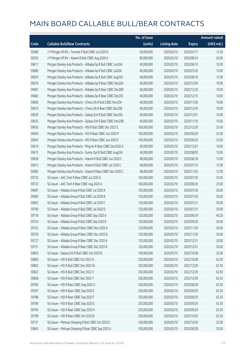|       |                                                              | No. of issue |                     |               | <b>Amount raised</b> |
|-------|--------------------------------------------------------------|--------------|---------------------|---------------|----------------------|
| Code  | <b>Callable Bull/Bear Contracts</b>                          | (units)      | <b>Listing date</b> | <b>Expiry</b> | (HK\$ mil.)          |
| 59286 | J P Morgan SP BV - Tencent R Bull CBBC Jul 2020 D            | 50,000,000   | 2020/02/10          | 2020/07/17    | 12.50                |
| 59263 | J P Morgan SP BV - Xiaomi R Bull CBBC Aug 2020 A             | 80,000,000   | 2020/02/10          | 2020/08/14    | 20.00                |
| 59611 | Morgan Stanley Asia Products - Alibaba Gp R Bull CBBC Jun20A | 40,000,000   | 2020/02/10          | 2020/06/10    | 10.00                |
| 59680 | Morgan Stanley Asia Products - Alibaba Gp R Bull CBBC Jul20A | 40,000,000   | 2020/02/10          | 2020/07/03    | 10.00                |
| 59659 | Morgan Stanley Asia Products - Alibaba Gp R Bull CBBC Aug20A | 48,000,000   | 2020/02/10          | 2020/08/18    | 12.00                |
| 59676 | Morgan Stanley Asia Products - Alibaba Gp R Bear CBBC Dec20A | 40,000,000   | 2020/02/10          | 2020/12/04    | 10.00                |
| 59681 | Morgan Stanley Asia Products - Alibaba Gp R Bear CBBC Dec20B | 40,000,000   | 2020/02/10          | 2020/12/30    | 10.00                |
| 59682 | Morgan Stanley Asia Products - Alibaba Gp R Bear CBBC Dec20C | 40,000,000   | 2020/02/10          | 2020/12/15    | 10.00                |
| 59606 | Morgan Stanley Asia Products - China Life R Bull CBBC Nov20A | 40,000,000   | 2020/02/10          | 2020/11/05    | 10.00                |
| 59610 | Morgan Stanley Asia Products - China Life R Bear CBBC Dec20B | 40,000,000   | 2020/02/10          | 2020/12/30    | 10.00                |
| 59639 | Morgan Stanley Asia Products - Galaxy Ent R Bull CBBC Dec20A | 40,000,000   | 2020/02/10          | 2020/12/01    | 10.00                |
| 59633 | Morgan Stanley Asia Products - Galaxy Ent R Bear CBBC Nov20B | 40,000,000   | 2020/02/10          | 2020/11/16    | 10.00                |
| 59650 | Morgan Stanley Asia Products - HSI R Bull CBBC Dec 2022 E    | 100,000,000  | 2020/02/10          | 2022/12/29    | 25.00                |
| 59640 | Morgan Stanley Asia Products - HSI R Bear CBBC Jun 2020 R    | 100,000,000  | 2020/02/10          | 2020/06/29    | 25.00                |
| 59643 | Morgan Stanley Asia Products - HSI R Bear CBBC Jun 2020 S    | 100,000,000  | 2020/02/10          | 2020/06/29    | 25.00                |
| 59619 | Morgan Stanley Asia Products - Ping An R Bear CBBC Dec2020 A | 40,000,000   | 2020/02/10          | 2020/12/01    | 10.00                |
| 59615 | Morgan Stanley Asia Products - Sunny Opt R Bull CBBC Aug20A  | 40,000,000   | 2020/02/10          | 2020/08/03    | 10.00                |
| 59658 | Morgan Stanley Asia Products - Xiaomi R Bull CBBC Jun 2020 C | 48,000,000   | 2020/02/10          | 2020/06/18    | 12.00                |
| 59613 | Morgan Stanley Asia Products - Xiaomi R Bull CBBC Jul 2020 C | 48,000,000   | 2020/02/10          | 2020/07/15    | 12.00                |
| 59685 | Morgan Stanley Asia Products - Xiaomi R Bear CBBC Nov 2020 C | 48,000,000   | 2020/02/10          | 2020/11/02    | 12.00                |
| 59732 | SG Issuer - AAC Tech R Bear CBBC Jul 2020 A                  | 100,000,000  | 2020/02/10          | 2020/07/30    | 25.00                |
| 59733 | SG Issuer - AAC Tech R Bear CBBC Aug 2020 A                  | 100,000,000  | 2020/02/10          | 2020/08/20    | 25.00                |
| 59687 | SG Issuer - Alibaba Group R Bull CBBC Jul 2020 A             | 120,000,000  | 2020/02/10          | 2020/07/30    | 30.00                |
| 59690 | SG Issuer - Alibaba Group R Bull CBBC Jul 2020 B             | 120,000,000  | 2020/02/10          | 2020/07/30    | 30.00                |
| 59692 | SG Issuer - Alibaba Group R Bull CBBC Jul 2020 C             | 120,000,000  | 2020/02/10          | 2020/07/31    | 30.00                |
| 59709 | SG Issuer - Alibaba Group R Bull CBBC Jul 2020 D             | 120,000,000  | 2020/02/10          | 2020/07/31    | 30.00                |
| 59718 | SG Issuer - Alibaba Group R Bull CBBC Sep 2020 A             | 120,000,000  | 2020/02/10          | 2020/09/29    | 40.20                |
| 59724 | SG Issuer - Alibaba Group R Bull CBBC Sep 2020 B             | 120,000,000  | 2020/02/10          | 2020/09/30    | 30.00                |
| 59725 | SG Issuer - Alibaba Group R Bear CBBC Nov 2020 A             | 120,000,000  | 2020/02/10          | 2020/11/30    | 30.00                |
| 59726 | SG Issuer - Alibaba Group R Bear CBBC Nov 2020 B             | 120,000,000  | 2020/02/10          | 2020/11/30    | 30.00                |
| 59727 | SG Issuer - Alibaba Group R Bear CBBC Dec 2020 A             | 120,000,000  | 2020/02/10          | 2020/12/31    | 30.00                |
| 59731 | SG Issuer - Alibaba Group R Bear CBBC Dec 2020 B             | 120,000,000  | 2020/02/10          | 2020/12/31    | 30.00                |
| 59830 | SG Issuer - Galaxy Ent R Bull CBBC Oct 2020 B                | 100,000,000  | 2020/02/10          | 2020/10/28    | 25.00                |
| 59800 | SG Issuer - HSI R Bull CBBC Oct 2022 N                       | 250,000,000  | 2020/02/10          | 2022/10/28    | 62.50                |
| 59802 | SG Issuer - HSI R Bull CBBC Dec 2022 W                       | 250,000,000  | 2020/02/10          | 2022/12/29    | 62.50                |
| 59822 | SG Issuer - HSI R Bull CBBC Dec 2022 X                       | 250,000,000  | 2020/02/10          | 2022/12/29    | 62.50                |
| 59828 | SG Issuer - HSI R Bull CBBC Dec 2022 Y                       | 250,000,000  | 2020/02/10          | 2022/12/29    | 62.50                |
| 59786 | SG Issuer - HSI R Bear CBBC Aug 2020 U                       | 250,000,000  | 2020/02/10          | 2020/08/28    | 62.50                |
| 59787 | SG Issuer - HSI R Bear CBBC Sep 2020 E                       | 250,000,000  | 2020/02/10          | 2020/09/29    | 62.50                |
| 59788 | SG Issuer - HSI R Bear CBBC Sep 2020 F                       | 250,000,000  | 2020/02/10          | 2020/09/29    | 62.50                |
| 59789 | SG Issuer - HSI R Bear CBBC Sep 2020 G                       | 250,000,000  | 2020/02/10          | 2020/09/29    | 62.50                |
| 59794 | SG Issuer - HSI R Bear CBBC Sep 2020 H                       | 250,000,000  | 2020/02/10          | 2020/09/29    | 62.50                |
| 59798 | SG Issuer - HSI R Bear CBBC Oct 2020 B                       | 250,000,000  | 2020/02/10          | 2020/10/29    | 62.50                |
| 59737 | SG Issuer - Meituan Dianping R Bull CBBC Oct 2020 E          | 100,000,000  | 2020/02/10          | 2020/10/30    | 25.00                |
| 59843 | SG Issuer - Meituan Dianping R Bear CBBC Sep 2020 A          | 100,000,000  | 2020/02/10          | 2020/09/28    | 25.00                |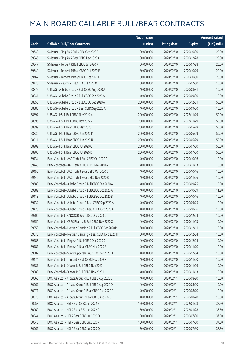|       |                                                         | No. of issue |                     |               | <b>Amount raised</b> |
|-------|---------------------------------------------------------|--------------|---------------------|---------------|----------------------|
| Code  | <b>Callable Bull/Bear Contracts</b>                     | (units)      | <b>Listing date</b> | <b>Expiry</b> | (HK\$ mil.)          |
| 59740 | SG Issuer - Ping An R Bull CBBC Oct 2020 F              | 100,000,000  | 2020/02/10          | 2020/10/30    | 25.00                |
| 59846 | SG Issuer - Ping An R Bear CBBC Dec 2020 A              | 100,000,000  | 2020/02/10          | 2020/12/28    | 25.00                |
| 59847 | SG Issuer - Tencent R Bull CBBC Jul 2020 R              | 80,000,000   | 2020/02/10          | 2020/07/28    | 20.00                |
| 59749 | SG Issuer - Tencent R Bear CBBC Oct 2020 E              | 80,000,000   | 2020/02/10          | 2020/10/29    | 20.00                |
| 59767 | SG Issuer - Tencent R Bear CBBC Oct 2020 F              | 80,000,000   | 2020/02/10          | 2020/10/30    | 20.00                |
| 59778 | SG Issuer - Xiaomi R Bull CBBC Jul 2020 O               | 60,000,000   | 2020/02/10          | 2020/07/30    | 15.00                |
| 58875 | UBS AG - Alibaba Group R Bull CBBC Aug 2020 A           | 40,000,000   | 2020/02/10          | 2020/08/31    | 10.00                |
| 58841 | UBS AG - Alibaba Group R Bull CBBC Sep 2020 A           | 40,000,000   | 2020/02/10          | 2020/09/30    | 10.00                |
| 58853 | UBS AG - Alibaba Group R Bull CBBC Dec 2020 A           | 200,000,000  | 2020/02/10          | 2020/12/31    | 50.00                |
| 58883 | UBS AG - Alibaba Group R Bear CBBC Sep 2020 A           | 40,000,000   | 2020/02/10          | 2020/09/30    | 10.00                |
| 58897 | UBS AG - HSI R Bull CBBC Nov 2022 A                     | 200,000,000  | 2020/02/10          | 2022/11/29    | 50.00                |
| 58896 | UBS AG - HSI R Bull CBBC Nov 2022 Z                     | 200,000,000  | 2020/02/10          | 2022/11/29    | 50.00                |
| 58899 | UBS AG - HSI R Bear CBBC May 2020 B                     | 200,000,000  | 2020/02/10          | 2020/05/28    | 50.00                |
| 58836 | UBS AG - HSI R Bear CBBC Jun 2020 M                     | 200,000,000  | 2020/02/10          | 2020/06/29    | 50.00                |
| 58911 | UBS AG - HSI R Bear CBBC Jun 2020 N                     | 200,000,000  | 2020/02/10          | 2020/06/29    | 50.00                |
| 58902 | UBS AG - HSI R Bear CBBC Jul 2020 C                     | 200,000,000  | 2020/02/10          | 2020/07/30    | 50.00                |
| 58908 | UBS AG - HSI R Bear CBBC Jul 2020 D                     | 200,000,000  | 2020/02/10          | 2020/07/30    | 50.00                |
| 59434 | Bank Vontobel - AAC Tech R Bull CBBC Oct 2020 C         | 40,000,000   | 2020/02/10          | 2020/10/16    | 10.00                |
| 59445 | Bank Vontobel - AAC Tech R Bull CBBC Nov 2020 A         | 40,000,000   | 2020/02/10          | 2020/11/13    | 10.00                |
| 59456 | Bank Vontobel - AAC Tech R Bear CBBC Oct 2020 D         | 40,000,000   | 2020/02/10          | 2020/10/16    | 10.00                |
| 59446 | Bank Vontobel - AAC Tech R Bear CBBC Nov 2020 B         | 40,000,000   | 2020/02/10          | 2020/11/06    | 10.00                |
| 59389 | Bank Vontobel - Alibaba Group R Bull CBBC Sep 2020 A    | 40,000,000   | 2020/02/10          | 2020/09/25    | 10.00                |
| 59382 | Bank Vontobel - Alibaba Group R Bull CBBC Oct 2020 A    | 40,000,000   | 2020/02/10          | 2020/10/09    | 11.20                |
| 59413 | Bank Vontobel - Alibaba Group R Bull CBBC Oct 2020 B    | 40,000,000   | 2020/02/10          | 2020/10/16    | 10.00                |
| 59432 | Bank Vontobel - Alibaba Group R Bear CBBC Sep 2020 A    | 40,000,000   | 2020/02/10          | 2020/09/25    | 10.00                |
| 59425 | Bank Vontobel - Alibaba Group R Bear CBBC Oct 2020 A    | 40,000,000   | 2020/02/10          | 2020/10/16    | 10.00                |
| 59506 | Bank Vontobel - CNOOC R Bear CBBC Dec 2020 C            | 40,000,000   | 2020/02/10          | 2020/12/04    | 10.00                |
| 59556 | Bank Vontobel - CSPC Pharma R Bull CBBC Nov 2020 C      | 40,000,000   | 2020/02/10          | 2020/11/13    | 10.00                |
| 59559 | Bank Vontobel - Meituan Dianping R Bull CBBC Dec 2020 M | 60,000,000   | 2020/02/10          | 2020/12/11    | 15.00                |
| 59570 | Bank Vontobel - Meituan Dianping R Bear CBBC Dec 2020 H | 60,000,000   | 2020/02/10          | 2020/12/04    | 15.00                |
| 59486 | Bank Vontobel - Ping An R Bull CBBC Dec 2020 D          | 40,000,000   | 2020/02/10          | 2020/12/04    | 10.00                |
| 59481 | Bank Vontobel - Ping An R Bear CBBC Nov 2020 B          | 40,000,000   | 2020/02/10          | 2020/11/20    | 10.00                |
| 59502 | Bank Vontobel - Sunny Optical R Bull CBBC Dec 2020 D    | 40,000,000   | 2020/02/10          | 2020/12/04    | 10.00                |
| 59474 | Bank Vontobel - Tencent R Bull CBBC Nov 2020 F          | 40,000,000   | 2020/02/10          | 2020/11/20    | 10.00                |
| 59587 | Bank Vontobel - Xiaomi R Bull CBBC Nov 2020 I           | 40,000,000   | 2020/02/10          | 2020/11/06    | 10.00                |
| 59588 | Bank Vontobel - Xiaomi R Bull CBBC Nov 2020 J           | 40,000,000   | 2020/02/10          | 2020/11/13    | 10.00                |
| 60065 | BOCI Asia Ltd. - Alibaba Group R Bull CBBC Aug 2020 C   | 40,000,000   | 2020/02/11          | 2020/08/20    | 10.00                |
| 60067 | BOCI Asia Ltd. - Alibaba Group R Bull CBBC Aug 2020 D   | 40,000,000   | 2020/02/11          | 2020/08/20    | 10.00                |
| 60071 | BOCI Asia Ltd. - Alibaba Group R Bear CBBC Aug 2020 C   | 40,000,000   | 2020/02/11          | 2020/08/20    | 10.00                |
| 60076 | BOCI Asia Ltd. - Alibaba Group R Bear CBBC Aug 2020 D   | 40,000,000   | 2020/02/11          | 2020/08/20    | 10.00                |
| 60058 | BOCI Asia Ltd. - HSI R Bull CBBC Jan 2022 B             | 150,000,000  | 2020/02/11          | 2022/01/28    | 37.50                |
| 60060 | BOCI Asia Ltd. - HSI R Bull CBBC Jan 2022 C             | 150,000,000  | 2020/02/11          | 2022/01/28    | 37.50                |
| 60044 | BOCI Asia Ltd. - HSI R Bear CBBC Jul 2020 O             | 150,000,000  | 2020/02/11          | 2020/07/30    | 37.50                |
| 60048 | BOCI Asia Ltd. - HSI R Bear CBBC Jul 2020 P             | 150,000,000  | 2020/02/11          | 2020/07/30    | 37.50                |
| 60061 | BOCI Asia Ltd. - HSI R Bear CBBC Jul 2020 Q             | 150,000,000  | 2020/02/11          | 2020/07/30    | 37.50                |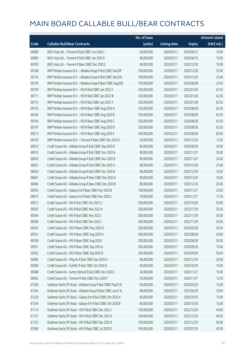|       |                                                              | No. of issue |                     |               | <b>Amount raised</b> |
|-------|--------------------------------------------------------------|--------------|---------------------|---------------|----------------------|
| Code  | <b>Callable Bull/Bear Contracts</b>                          | (units)      | <b>Listing date</b> | <b>Expiry</b> | (HK\$ mil.)          |
| 60080 | BOCI Asia Ltd. - Tencent R Bull CBBC Jun 2020 J              | 40,000,000   | 2020/02/11          | 2020/06/15    | 10.00                |
| 60083 | BOCI Asia Ltd. - Tencent R Bull CBBC Jun 2020 K              | 40,000,000   | 2020/02/11          | 2020/06/15    | 10.00                |
| 60105 | BOCI Asia Ltd. - Tencent R Bear CBBC Dec 2020 E              | 40,000,000   | 2020/02/11          | 2020/12/30    | 10.00                |
| 60108 | BNP Paribas Issuance B.V. - Alibaba Group R Bull CBBC Dec20F | 100,000,000  | 2020/02/11          | 2020/12/30    | 25.00                |
| 60134 | BNP Paribas Issuance B.V. - Alibaba Group R Bull CBBC Dec20G | 100,000,000  | 2020/02/11          | 2020/12/30    | 25.00                |
| 60139 | BNP Paribas Issuance B.V. - Alibaba Group R Bear CBBC Aug20D | 100,000,000  | 2020/02/11          | 2020/08/28    | 25.00                |
| 60149 | BNP Paribas Issuance B.V. - HSI R Bull CBBC Jan 2022 V       | 250,000,000  | 2020/02/11          | 2022/01/28    | 62.50                |
| 60171 | BNP Paribas Issuance B.V. - HSI R Bull CBBC Jan 2022 W       | 250,000,000  | 2020/02/11          | 2022/01/28    | 62.50                |
| 60173 | BNP Paribas Issuance B.V. - HSI R Bull CBBC Jan 2022 X       | 250,000,000  | 2020/02/11          | 2022/01/28    | 62.50                |
| 60176 | BNP Paribas Issuance B.V. - HSI R Bear CBBC Aug 2020 A       | 250,000,000  | 2020/02/11          | 2020/08/28    | 62.50                |
| 60184 | BNP Paribas Issuance B.V. - HSI R Bear CBBC Aug 2020 B       | 250,000,000  | 2020/02/11          | 2020/08/28    | 62.50                |
| 60190 | BNP Paribas Issuance B.V. - HSI R Bear CBBC Aug 2020 C       | 250,000,000  | 2020/02/11          | 2020/08/28    | 62.50                |
| 60197 | BNP Paribas Issuance B.V. - HSI R Bear CBBC Aug 2020 D       | 250,000,000  | 2020/02/11          | 2020/08/28    | 62.50                |
| 60213 | BNP Paribas Issuance B.V. - HSI R Bear CBBC Aug 2020 E       | 240,000,000  | 2020/02/11          | 2020/08/28    | 60.00                |
| 60143 | BNP Paribas Issuance B.V. - Tencent R Bear CBBC Dec 2020 G   | 50,000,000   | 2020/02/11          | 2020/12/30    | 12.50                |
| 60610 | Credit Suisse AG - Alibaba Group R Bull CBBC Sep 2020 B      | 80,000,000   | 2020/02/11          | 2020/09/29    | 20.00                |
| 60614 | Credit Suisse AG - Alibaba Group R Bull CBBC Nov 2020 A      | 80,000,000   | 2020/02/11          | 2020/11/27    | 20.00                |
| 60643 | Credit Suisse AG - Alibaba Group R Bull CBBC Nov 2020 B      | 80,000,000   | 2020/02/11          | 2020/11/27    | 20.00                |
| 60651 | Credit Suisse AG - Alibaba Group R Bull CBBC Dec 2020 A      | 80,000,000   | 2020/02/11          | 2020/12/30    | 25.60                |
| 60653 | Credit Suisse AG - Alibaba Group R Bull CBBC Dec 2020 B      | 80,000,000   | 2020/02/11          | 2020/12/30    | 33.60                |
| 60661 | Credit Suisse AG - Alibaba Group R Bear CBBC Dec 2020 A      | 80,000,000   | 2020/02/11          | 2020/12/30    | 20.00                |
| 60666 | Credit Suisse AG - Alibaba Group R Bear CBBC Dec 2020 B      | 80,000,000   | 2020/02/11          | 2020/12/30    | 20.00                |
| 60593 | Credit Suisse AG - Galaxy Ent R Bear CBBC Nov 2020 B         | 100,000,000  | 2020/02/11          | 2020/11/27    | 25.00                |
| 60673 | Credit Suisse AG - Galaxy Ent R Bear CBBC Nov 2020 C         | 70,000,000   | 2020/02/11          | 2020/11/27    | 17.50                |
| 60572 | Credit Suisse AG - HSI R Bull CBBC Oct 2022 U                | 200,000,000  | 2020/02/11          | 2022/10/28    | 50.00                |
| 60563 | Credit Suisse AG - HSI R Bull CBBC Nov 2022 A                | 200,000,000  | 2020/02/11          | 2022/11/29    | 50.00                |
| 60564 | Credit Suisse AG - HSI R Bull CBBC Nov 2022 I                | 200,000,000  | 2020/02/11          | 2022/11/29    | 50.00                |
| 60568 | Credit Suisse AG - HSI R Bull CBBC Nov 2022 J                | 200,000,000  | 2020/02/11          | 2022/11/29    | 50.00                |
| 60545 | Credit Suisse AG - HSI R Bear CBBC May 2020 Q                | 200,000,000  | 2020/02/11          | 2020/05/28    | 50.00                |
| 60553 | Credit Suisse AG - HSI R Bear CBBC Aug 2020 H                | 200,000,000  | 2020/02/11          | 2020/08/28    | 50.00                |
| 60558 | Credit Suisse AG - HSI R Bear CBBC Aug 2020 I                | 200,000,000  | 2020/02/11          | 2020/08/28    | 50.00                |
| 60551 | Credit Suisse AG - HSI R Bear CBBC Sep 2020 A                | 300,000,000  | 2020/02/11          | 2020/09/29    | 75.00                |
| 60552 | Credit Suisse AG - HSI R Bear CBBC Sep 2020 B                | 200,000,000  | 2020/02/11          | 2020/09/29    | 50.00                |
| 60585 | Credit Suisse AG - Ping An R Bull CBBC Dec 2020 G            | 80,000,000   | 2020/02/11          | 2020/12/30    | 20.00                |
| 60580 | Credit Suisse AG - SUNAC R Bull CBBC Oct 2020 B              | 60,000,000   | 2020/02/11          | 2020/10/29    | 15.00                |
| 60588 | Credit Suisse AG - Sunny Optical R Bull CBBC Nov 2020 C      | 40,000,000   | 2020/02/11          | 2020/11/27    | 10.00                |
| 60602 | Credit Suisse AG - Tencent R Bull CBBC Nov 2020 F            | 50,000,000   | 2020/02/11          | 2020/11/27    | 12.50                |
| 61256 | Goldman Sachs SP (Asia) - Alibaba Group R Bull CBBC May20 B  | 60,000,000   | 2020/02/11          | 2020/05/29    | 15.00                |
| 61244 | Goldman Sachs SP (Asia) - Alibaba Group R Bear CBBC Jun21 B  | 80,000,000   | 2020/02/11          | 2021/06/29    | 20.00                |
| 61220 | Goldman Sachs SP (Asia) - Galaxy Ent R Bull CBBC Oct 2020 A  | 60,000,000   | 2020/02/11          | 2020/10/30    | 15.00                |
| 61234 | Goldman Sachs SP (Asia) - Galaxy Ent R Bull CBBC Oct 2020 B  | 60,000,000   | 2020/02/11          | 2020/10/30    | 15.00                |
| 61114 | Goldman Sachs SP (Asia) - HSI R Bull CBBC Dec 2022 J         | 160,000,000  | 2020/02/11          | 2022/12/29    | 40.00                |
| 61121 | Goldman Sachs SP (Asia) - HSI R Bull CBBC Dec 2022 K         | 160,000,000  | 2020/02/11          | 2022/12/29    | 40.00                |
| 61122 | Goldman Sachs SP (Asia) - HSI R Bull CBBC Dec 2022 R         | 160,000,000  | 2020/02/11          | 2022/12/29    | 40.00                |
| 61069 | Goldman Sachs SP (Asia) - HSI R Bear CBBC Jul 2020 R         | 160,000,000  | 2020/02/11          | 2020/07/30    | 40.00                |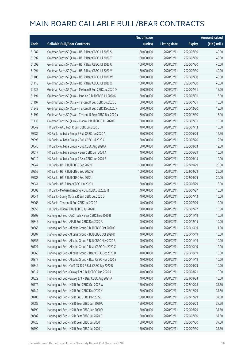|       |                                                          | No. of issue |                     |               | <b>Amount raised</b> |
|-------|----------------------------------------------------------|--------------|---------------------|---------------|----------------------|
| Code  | <b>Callable Bull/Bear Contracts</b>                      | (units)      | <b>Listing date</b> | <b>Expiry</b> | (HK\$ mil.)          |
| 61082 | Goldman Sachs SP (Asia) - HSI R Bear CBBC Jul 2020 S     | 160,000,000  | 2020/02/11          | 2020/07/30    | 40.00                |
| 61092 | Goldman Sachs SP (Asia) - HSI R Bear CBBC Jul 2020 T     | 160,000,000  | 2020/02/11          | 2020/07/30    | 40.00                |
| 61093 | Goldman Sachs SP (Asia) - HSI R Bear CBBC Jul 2020 U     | 160,000,000  | 2020/02/11          | 2020/07/30    | 40.00                |
| 61094 | Goldman Sachs SP (Asia) - HSI R Bear CBBC Jul 2020 V     | 160,000,000  | 2020/02/11          | 2020/07/30    | 40.00                |
| 61106 | Goldman Sachs SP (Asia) - HSI R Bear CBBC Jul 2020 W     | 160,000,000  | 2020/02/11          | 2020/07/30    | 40.00                |
| 61115 | Goldman Sachs SP (Asia) - HSI R Bear CBBC Jul 2020 X     | 160,000,000  | 2020/02/11          | 2020/07/30    | 40.00                |
| 61237 | Goldman Sachs SP (Asia) - Meituan R Bull CBBC Jul 2020 D | 60,000,000   | 2020/02/11          | 2020/07/31    | 15.00                |
| 61191 | Goldman Sachs SP (Asia) - Ping An R Bull CBBC Jul 2020 D | 60,000,000   | 2020/02/11          | 2020/07/31    | 15.00                |
| 61197 | Goldman Sachs SP (Asia) - Tencent R Bull CBBC Jul 2020 L | 60,000,000   | 2020/02/11          | 2020/07/31    | 15.00                |
| 61242 | Goldman Sachs SP (Asia) - Tencent R Bull CBBC Dec 2020 F | 60,000,000   | 2020/02/11          | 2020/12/30    | 15.00                |
| 61192 | Goldman Sachs SP (Asia) - Tencent R Bear CBBC Dec 2020 Y | 60,000,000   | 2020/02/11          | 2020/12/30    | 15.00                |
| 61133 | Goldman Sachs SP (Asia) - Xiaomi R Bull CBBC Jul 2020 C  | 60,000,000   | 2020/02/11          | 2020/07/31    | 15.00                |
| 60042 | HK Bank - AAC Tech R Bull CBBC Jul 2020 C                | 40,000,000   | 2020/02/11          | 2020/07/13    | 10.00                |
| 59986 | HK Bank - Alibaba Group R Bull CBBC Jun 2020 A           | 50,000,000   | 2020/02/11          | 2020/06/29    | 12.50                |
| 59993 | HK Bank - Alibaba Group R Bull CBBC Jul 2020 C           | 50,000,000   | 2020/02/11          | 2020/07/20    | 12.50                |
| 60040 | HK Bank - Alibaba Group R Bull CBBC Aug 2020 A           | 50,000,000   | 2020/02/11          | 2020/08/03    | 12.50                |
| 60017 | HK Bank - Alibaba Group R Bear CBBC Jun 2020 A           | 40,000,000   | 2020/02/11          | 2020/06/29    | 10.00                |
| 60019 | HK Bank - Alibaba Group R Bear CBBC Jun 2020 B           | 40,000,000   | 2020/02/11          | 2020/06/15    | 10.00                |
| 59947 | HK Bank - HSI R Bull CBBC Sep 2022 F                     | 100,000,000  | 2020/02/11          | 2022/09/29    | 25.00                |
| 59952 | HK Bank - HSI R Bull CBBC Sep 2022 G                     | 100,000,000  | 2020/02/11          | 2022/09/29    | 25.00                |
| 59983 | HK Bank - HSI R Bull CBBC Sep 2022 J                     | 80,000,000   | 2020/02/11          | 2022/09/29    | 20.00                |
| 59941 | HK Bank - HSI R Bear CBBC Jun 2020 I                     | 60,000,000   | 2020/02/11          | 2020/06/29    | 15.00                |
| 60003 | HK Bank - Meituan Dianping R Bull CBBC Jul 2020 H        | 40,000,000   | 2020/02/11          | 2020/07/27    | 10.00                |
| 60041 | HK Bank - Sunny Optical R Bull CBBC Jul 2020 D           | 40,000,000   | 2020/02/11          | 2020/07/13    | 10.00                |
| 59968 | HK Bank - Tencent R Bull CBBC Jul 2020 R                 | 40,000,000   | 2020/02/11          | 2020/07/09    | 10.00                |
| 59953 | HK Bank - Xiaomi R Bull CBBC Jul 2020 I                  | 60,000,000   | 2020/02/11          | 2020/07/27    | 15.00                |
| 60808 | Haitong Int'l Sec - AAC Tech R Bear CBBC Nov 2020 B      | 40,000,000   | 2020/02/11          | 2020/11/19    | 10.00                |
| 60845 | Haitong Int'l Sec - AIA R Bull CBBC Dec 2020 A           | 40,000,000   | 2020/02/11          | 2020/12/15    | 10.00                |
| 60866 | Haitong Int'l Sec - Alibaba Group R Bull CBBC Oct 2020 C | 40,000,000   | 2020/02/11          | 2020/10/19    | 11.00                |
| 60887 | Haitong Int'l Sec - Alibaba Group R Bull CBBC Oct 2020 D | 40,000,000   | 2020/02/11          | 2020/10/19    | 10.00                |
| 60855 | Haitong Int'l Sec - Alibaba Group R Bull CBBC Nov 2020 B | 40,000,000   | 2020/02/11          | 2020/11/19    | 10.00                |
| 60727 | Haitong Int'l Sec - Alibaba Group R Bear CBBC Oct 2020 C | 40,000,000   | 2020/02/11          | 2020/10/19    | 10.00                |
| 60868 | Haitong Int'l Sec - Alibaba Group R Bear CBBC Oct 2020 D | 40,000,000   | 2020/02/11          | 2020/10/19    | 10.00                |
| 60877 | Haitong Int'l Sec - Alibaba Group R Bear CBBC Nov 2020 B | 40,000,000   | 2020/02/11          | 2020/11/19    | 10.00                |
| 60849 | Haitong Int'l Sec - CAM CSI300 R Bull CBBC Sep 2020 B    | 40,000,000   | 2020/02/11          | 2020/09/29    | 10.00                |
| 60817 | Haitong Int'l Sec - Galaxy Ent R Bull CBBC Aug 2020 A    | 40,000,000   | 2020/02/11          | 2020/08/21    | 10.00                |
| 60829 | Haitong Int'l Sec - Galaxy Ent R Bear CBBC Aug 2021 A    | 40,000,000   | 2020/02/11          | 2021/08/24    | 10.00                |
| 60772 | Haitong Int'l Sec - HSI R Bull CBBC Oct 2022 W           | 150,000,000  | 2020/02/11          | 2022/10/28    | 37.50                |
| 60742 | Haitong Int'l Sec - HSI R Bull CBBC Dec 2022 K           | 150,000,000  | 2020/02/11          | 2022/12/29    | 37.50                |
| 60786 | Haitong Int'l Sec - HSI R Bull CBBC Dec 2022 L           | 150,000,000  | 2020/02/11          | 2022/12/29    | 37.50                |
| 60685 | Haitong Int'l Sec - HSI R Bear CBBC Jun 2020 U           | 150,000,000  | 2020/02/11          | 2020/06/29    | 37.50                |
| 60799 | Haitong Int'l Sec - HSI R Bear CBBC Jun 2020 V           | 150,000,000  | 2020/02/11          | 2020/06/29    | 37.50                |
| 60682 | Haitong Int'l Sec - HSI R Bear CBBC Jul 2020 S           | 150,000,000  | 2020/02/11          | 2020/07/30    | 37.50                |
| 60725 | Haitong Int'l Sec - HSI R Bear CBBC Jul 2020 T           | 150,000,000  | 2020/02/11          | 2020/07/30    | 37.50                |
| 60790 | Haitong Int'l Sec - HSI R Bear CBBC Jul 2020 U           | 150,000,000  | 2020/02/11          | 2020/07/30    | 37.50                |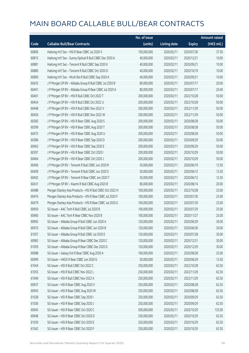|       |                                                           | No. of issue |                     |               | <b>Amount raised</b> |
|-------|-----------------------------------------------------------|--------------|---------------------|---------------|----------------------|
| Code  | <b>Callable Bull/Bear Contracts</b>                       | (units)      | <b>Listing date</b> | <b>Expiry</b> | (HK\$ mil.)          |
| 60806 | Haitong Int'l Sec - HSI R Bear CBBC Jul 2020 V            | 150,000,000  | 2020/02/11          | 2020/07/30    | 37.50                |
| 60815 | Haitong Int'l Sec - Sunny Optical R Bull CBBC Dec 2020 A  | 40,000,000   | 2020/02/11          | 2020/12/21    | 10.00                |
| 60881 | Haitong Int'l Sec - Tencent R Bull CBBC Sep 2020 K        | 40,000,000   | 2020/02/11          | 2020/09/21    | 10.00                |
| 60880 | Haitong Int'l Sec - Tencent R Bull CBBC Oct 2020 D        | 40,000,000   | 2020/02/11          | 2020/10/19    | 10.00                |
| 60890 | Haitong Int'l Sec - WuXi Bio R Bull CBBC Sep 2020 A       | 40,000,000   | 2020/02/11          | 2020/09/21    | 10.00                |
| 60435 | J P Morgan SP BV - Alibaba Group R Bull CBBC Jul 2020 B   | 80,000,000   | 2020/02/11          | 2020/07/17    | 20.00                |
| 60441 | J P Morgan SP BV - Alibaba Group R Bear CBBC Jul 2020 A   | 80,000,000   | 2020/02/11          | 2020/07/17    | 20.40                |
| 60401 | J P Morgan SP BV - HSI R Bull CBBC Oct 2022 T             | 200,000,000  | 2020/02/11          | 2022/10/28    | 50.00                |
| 60454 | J P Morgan SP BV - HSI R Bull CBBC Oct 2022 U             | 200,000,000  | 2020/02/11          | 2022/10/28    | 50.00                |
| 60448 | J P Morgan SP BV - HSI R Bull CBBC Nov 2022 V             | 200,000,000  | 2020/02/11          | 2022/11/29    | 50.00                |
| 60456 | J P Morgan SP BV - HSI R Bull CBBC Nov 2022 W             | 200,000,000  | 2020/02/11          | 2022/11/29    | 50.00                |
| 60383 | J P Morgan SP BV - HSI R Bear CBBC Aug 2020 S             | 200,000,000  | 2020/02/11          | 2020/08/28    | 50.00                |
| 60399 | J P Morgan SP BV - HSI R Bear CBBC Aug 2020 T             | 200,000,000  | 2020/02/11          | 2020/08/28    | 50.00                |
| 60475 | J P Morgan SP BV - HSI R Bear CBBC Aug 2020 U             | 200,000,000  | 2020/02/11          | 2020/08/28    | 50.00                |
| 60386 | J P Morgan SP BV - HSI R Bear CBBC Sep 2020 D             | 200,000,000  | 2020/02/11          | 2020/09/29    | 50.00                |
| 60463 | J P Morgan SP BV - HSI R Bear CBBC Sep 2020 E             | 200,000,000  | 2020/02/11          | 2020/09/29    | 50.00                |
| 60397 | J P Morgan SP BV - HSI R Bear CBBC Oct 2020 I             | 200,000,000  | 2020/02/11          | 2020/10/29    | 50.00                |
| 60464 | J P Morgan SP BV - HSI R Bear CBBC Oct 2020 J             | 200,000,000  | 2020/02/11          | 2020/10/29    | 50.00                |
| 60406 | J P Morgan SP BV - Tencent R Bull CBBC Jun 2020 R         | 50,000,000   | 2020/02/11          | 2020/06/19    | 12.50                |
| 60409 | J P Morgan SP BV - Tencent R Bull CBBC Jun 2020 S         | 50,000,000   | 2020/02/11          | 2020/06/12    | 12.50                |
| 60402 | J P Morgan SP BV - Tencent R Bear CBBC Jun 2020 T         | 50,000,000   | 2020/02/11          | 2020/06/12    | 12.50                |
| 60431 | J P Morgan SP BV - Xiaomi R Bull CBBC Aug 2020 B          | 80,000,000   | 2020/02/11          | 2020/08/14    | 20.00                |
| 60488 | Morgan Stanley Asia Products - HSI R Bull CBBC Oct 2022 H | 100,000,000  | 2020/02/11          | 2022/10/28    | 25.00                |
| 60476 | Morgan Stanley Asia Products - HSI R Bear CBBC Jul 2020 F | 100,000,000  | 2020/02/11          | 2020/07/30    | 25.00                |
| 60479 | Morgan Stanley Asia Products - HSI R Bear CBBC Jul 2020 G | 100,000,000  | 2020/02/11          | 2020/07/30    | 25.00                |
| 60959 | SG Issuer - AAC Tech R Bull CBBC Jul 2020 B               | 100,000,000  | 2020/02/11          | 2020/07/29    | 25.00                |
| 60960 | SG Issuer - AAC Tech R Bear CBBC Nov 2020 B               | 100,000,000  | 2020/02/11          | 2020/11/27    | 25.00                |
| 60965 | SG Issuer - Alibaba Group R Bull CBBC Jun 2020 A          | 120,000,000  | 2020/02/11          | 2020/06/29    | 30.00                |
| 60970 | SG Issuer - Alibaba Group R Bull CBBC Jun 2020 B          | 120,000,000  | 2020/02/11          | 2020/06/30    | 30.00                |
| 61057 | SG Issuer - Alibaba Group R Bull CBBC Jul 2020 E          | 120,000,000  | 2020/02/11          | 2020/07/28    | 30.00                |
| 60983 | SG Issuer - Alibaba Group R Bear CBBC Dec 2020 C          | 120,000,000  | 2020/02/11          | 2020/12/31    | 30.00                |
| 61059 | SG Issuer - Alibaba Group R Bear CBBC Dec 2020 D          | 120,000,000  | 2020/02/11          | 2020/12/29    | 30.00                |
| 60988 | SG Issuer - Galaxy Ent R Bear CBBC Aug 2020 A             | 100,000,000  | 2020/02/11          | 2020/08/28    | 25.00                |
| 60999 | SG Issuer - HKEX R Bear CBBC Jun 2020 G                   | 50,000,000   | 2020/02/11          | 2020/06/29    | 12.50                |
| 61044 | SG Issuer - HSI R Bull CBBC Oct 2022 C                    | 250,000,000  | 2020/02/11          | 2022/10/28    | 62.50                |
| 61055 | SG Issuer - HSI R Bull CBBC Nov 2022 L                    | 250,000,000  | 2020/02/11          | 2022/11/29    | 62.50                |
| 61049 | SG Issuer - HSI R Bull CBBC Nov 2022 X                    | 250,000,000  | 2020/02/11          | 2022/11/29    | 62.50                |
| 60937 | SG Issuer - HSI R Bear CBBC Aug 2020 V                    | 250,000,000  | 2020/02/11          | 2020/08/28    | 62.50                |
| 60943 | SG Issuer - HSI R Bear CBBC Aug 2020 W                    | 250,000,000  | 2020/02/11          | 2020/08/28    | 62.50                |
| 61028 | SG Issuer - HSI R Bear CBBC Sep 2020 I                    | 250,000,000  | 2020/02/11          | 2020/09/29    | 62.50                |
| 61036 | SG Issuer - HSI R Bear CBBC Sep 2020 J                    | 250,000,000  | 2020/02/11          | 2020/09/29    | 62.50                |
| 60945 | SG Issuer - HSI R Bear CBBC Oct 2020 C                    | 500,000,000  | 2020/02/11          | 2020/10/29    | 125.00               |
| 60948 | SG Issuer - HSI R Bear CBBC Oct 2020 D                    | 250,000,000  | 2020/02/11          | 2020/10/29    | 62.50                |
| 61039 | SG Issuer - HSI R Bear CBBC Oct 2020 E                    | 250,000,000  | 2020/02/11          | 2020/10/29    | 62.50                |
| 61042 | SG Issuer - HSI R Bear CBBC Oct 2020 F                    | 250,000,000  | 2020/02/11          | 2020/10/29    | 62.50                |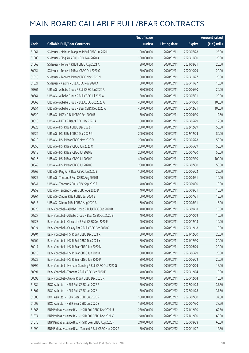|       |                                                            | No. of issue |                     |               | <b>Amount raised</b>  |
|-------|------------------------------------------------------------|--------------|---------------------|---------------|-----------------------|
| Code  | <b>Callable Bull/Bear Contracts</b>                        | (units)      | <b>Listing date</b> | <b>Expiry</b> | $(HK\frac{1}{2}mil.)$ |
| 61061 | SG Issuer - Meituan Dianping R Bull CBBC Jul 2020 L        | 100,000,000  | 2020/02/11          | 2020/07/28    | 25.00                 |
| 61008 | SG Issuer - Ping An R Bull CBBC Nov 2020 A                 | 100,000,000  | 2020/02/11          | 2020/11/30    | 25.00                 |
| 61068 | SG Issuer - Tencent R Bull CBBC Aug 2021 A                 | 80,000,000   | 2020/02/11          | 2021/08/31    | 20.00                 |
| 60954 | SG Issuer - Tencent R Bear CBBC Oct 2020 G                 | 80,000,000   | 2020/02/11          | 2020/10/29    | 20.00                 |
| 61015 | SG Issuer - Tencent R Bear CBBC Nov 2020 N                 | 80,000,000   | 2020/02/11          | 2020/11/27    | 20.00                 |
| 61021 | SG Issuer - Xiaomi R Bull CBBC Nov 2020 A                  | 60,000,000   | 2020/02/11          | 2020/11/27    | 15.00                 |
| 60361 | UBS AG - Alibaba Group R Bull CBBC Jun 2020 A              | 80,000,000   | 2020/02/11          | 2020/06/30    | 20.00                 |
| 60364 | UBS AG - Alibaba Group R Bull CBBC Jul 2020 A              | 80,000,000   | 2020/02/11          | 2020/07/31    | 20.00                 |
| 60363 | UBS AG - Alibaba Group R Bull CBBC Oct 2020 A              | 400,000,000  | 2020/02/11          | 2020/10/30    | 100.00                |
| 60354 | UBS AG - Alibaba Group R Bear CBBC Dec 2020 A              | 400,000,000  | 2020/02/11          | 2020/12/31    | 100.00                |
| 60320 | UBS AG - HKEX R Bull CBBC Sep 2020 B                       | 50,000,000   | 2020/02/11          | 2020/09/30    | 12.50                 |
| 60318 | UBS AG - HKEX R Bear CBBC May 2020 A                       | 50,000,000   | 2020/02/11          | 2020/05/29    | 12.50                 |
| 60223 | UBS AG - HSI R Bull CBBC Dec 2022 F                        | 200,000,000  | 2020/02/11          | 2022/12/29    | 50.00                 |
| 60224 | UBS AG - HSI R Bull CBBC Dec 2022 G                        | 200,000,000  | 2020/02/11          | 2022/12/29    | 50.00                 |
| 60219 | UBS AG - HSI R Bear CBBC May 2020 D                        | 200,000,000  | 2020/02/11          | 2020/05/28    | 50.00                 |
| 60350 | UBS AG - HSI R Bear CBBC Jun 2020 O                        | 200,000,000  | 2020/02/11          | 2020/06/29    | 50.00                 |
| 60215 | UBS AG - HSI R Bear CBBC Jul 2020 E                        | 200,000,000  | 2020/02/11          | 2020/07/30    | 50.00                 |
| 60216 | UBS AG - HSI R Bear CBBC Jul 2020 F                        | 400,000,000  | 2020/02/11          | 2020/07/30    | 100.00                |
| 60349 | UBS AG - HSI R Bear CBBC Jul 2020 G                        | 200,000,000  | 2020/02/11          | 2020/07/30    | 50.00                 |
| 60262 | UBS AG - Ping An R Bear CBBC Jun 2020 B                    | 100,000,000  | 2020/02/11          | 2020/06/22    | 25.00                 |
| 60327 | UBS AG - Tencent R Bull CBBC Aug 2020 B                    | 40,000,000   | 2020/02/11          | 2020/08/31    | 10.00                 |
| 60341 | UBS AG - Tencent R Bull CBBC Sep 2020 E                    | 40,000,000   | 2020/02/11          | 2020/09/30    | 10.00                 |
| 60259 | UBS AG - Tencent R Bear CBBC Aug 2020 D                    | 40,000,000   | 2020/02/11          | 2020/08/31    | 10.00                 |
| 60264 | UBS AG - Xiaomi R Bull CBBC Jul 2020 B                     | 60,000,000   | 2020/02/11          | 2020/07/31    | 15.00                 |
| 60313 | UBS AG - Xiaomi R Bull CBBC Aug 2020 B                     | 60,000,000   | 2020/02/11          | 2020/08/31    | 15.00                 |
| 60926 | Bank Vontobel - Alibaba Group R Bull CBBC Sep 2020 B       | 40,000,000   | 2020/02/11          | 2020/09/18    | 10.00                 |
| 60927 | Bank Vontobel - Alibaba Group R Bear CBBC Oct 2020 B       | 40,000,000   | 2020/02/11          | 2020/10/09    | 10.00                 |
| 60923 | Bank Vontobel - China Life R Bull CBBC Dec 2020 E          | 40,000,000   | 2020/02/11          | 2020/12/18    | 10.00                 |
| 60924 | Bank Vontobel - Galaxy Ent R Bull CBBC Dec 2020 G          | 40,000,000   | 2020/02/11          | 2020/12/18    | 10.00                 |
| 60904 | Bank Vontobel - HSI R Bull CBBC Dec 2021 X                 | 80,000,000   | 2020/02/11          | 2021/12/30    | 20.00                 |
| 60909 | Bank Vontobel - HSI R Bull CBBC Dec 2021 Y                 | 80,000,000   | 2020/02/11          | 2021/12/30    | 20.00                 |
| 60917 | Bank Vontobel - HSI R Bear CBBC Jun 2020 N                 | 80,000,000   | 2020/02/11          | 2020/06/29    | 20.00                 |
| 60918 | Bank Vontobel - HSI R Bear CBBC Jun 2020 O                 | 80,000,000   | 2020/02/11          | 2020/06/29    | 20.00                 |
| 60922 | Bank Vontobel - HSI R Bear CBBC Jun 2020 P                 | 80,000,000   | 2020/02/11          | 2020/06/29    | 20.00                 |
| 60894 | Bank Vontobel - Meituan Dianping R Bull CBBC Oct 2020 G    | 60,000,000   | 2020/02/11          | 2020/10/09    | 15.00                 |
| 60891 | Bank Vontobel - Tencent R Bull CBBC Dec 2020 F             | 40,000,000   | 2020/02/11          | 2020/12/04    | 10.00                 |
| 60893 | Bank Vontobel - Xiaomi R Bull CBBC Dec 2020 K              | 40,000,000   | 2020/02/11          | 2020/12/04    | 10.00                 |
| 61584 | BOCI Asia Ltd. - HSI R Bull CBBC Jan 2022 F                | 150,000,000  | 2020/02/12          | 2022/01/28    | 37.50                 |
| 61607 | BOCI Asia Ltd. - HSI R Bull CBBC Jan 2022 I                | 150,000,000  | 2020/02/12          | 2022/01/28    | 37.50                 |
| 61608 | BOCI Asia Ltd. - HSI R Bear CBBC Jul 2020 R                | 150,000,000  | 2020/02/12          | 2020/07/30    | 37.50                 |
| 61609 | BOCI Asia Ltd. - HSI R Bear CBBC Jul 2020 S                | 150,000,000  | 2020/02/12          | 2020/07/30    | 37.50                 |
| 61566 | BNP Paribas Issuance B.V. - HSI R Bull CBBC Dec 2021 U     | 250,000,000  | 2020/02/12          | 2021/12/30    | 62.50                 |
| 61574 | BNP Paribas Issuance B.V. - HSI R Bull CBBC Dec 2021 V     | 240,000,000  | 2020/02/12          | 2021/12/30    | 60.00                 |
| 61575 | BNP Paribas Issuance B.V. - HSI R Bear CBBC Aug 2020 F     | 240,000,000  | 2020/02/12          | 2020/08/28    | 60.00                 |
| 61290 | BNP Paribas Issuance B.V. - Tencent R Bull CBBC Nov 2020 R | 50,000,000   | 2020/02/12          | 2020/11/27    | 12.50                 |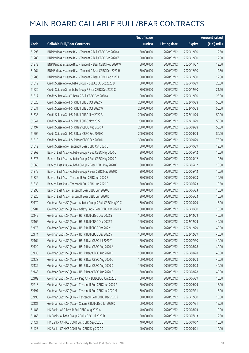|       |                                                             | No. of issue |                     |               | <b>Amount raised</b> |
|-------|-------------------------------------------------------------|--------------|---------------------|---------------|----------------------|
| Code  | <b>Callable Bull/Bear Contracts</b>                         | (units)      | <b>Listing date</b> | <b>Expiry</b> | (HK\$ mil.)          |
| 61293 | BNP Paribas Issuance B.V. - Tencent R Bull CBBC Dec 2020 A  | 50,000,000   | 2020/02/12          | 2020/12/30    | 12.50                |
| 61289 | BNP Paribas Issuance B.V. - Tencent R Bull CBBC Dec 2020 Z  | 50,000,000   | 2020/02/12          | 2020/12/30    | 12.50                |
| 61273 | BNP Paribas Issuance B.V. - Tencent R Bear CBBC Nov 2020 W  | 50,000,000   | 2020/02/12          | 2020/11/27    | 12.50                |
| 61264 | BNP Paribas Issuance B.V. - Tencent R Bear CBBC Dec 2020 H  | 50,000,000   | 2020/02/12          | 2020/12/30    | 12.50                |
| 61283 | BNP Paribas Issuance B.V. - Tencent R Bear CBBC Dec 2020 I  | 50,000,000   | 2020/02/12          | 2020/12/30    | 12.50                |
| 61519 | Credit Suisse AG - Alibaba Group R Bull CBBC Oct 2020 B     | 80,000,000   | 2020/02/12          | 2020/10/29    | 20.00                |
| 61520 | Credit Suisse AG - Alibaba Group R Bear CBBC Dec 2020 C     | 80,000,000   | 2020/02/12          | 2020/12/30    | 21.60                |
| 61517 | Credit Suisse AG - CC Bank R Bull CBBC Dec 2020 A           | 100,000,000  | 2020/02/12          | 2020/12/30    | 25.00                |
| 61525 | Credit Suisse AG - HSI R Bull CBBC Oct 2022 V               | 200,000,000  | 2020/02/12          | 2022/10/28    | 50.00                |
| 61531 | Credit Suisse AG - HSI R Bull CBBC Oct 2022 W               | 200,000,000  | 2020/02/12          | 2022/10/28    | 50.00                |
| 61538 | Credit Suisse AG - HSI R Bull CBBC Nov 2022 B               | 200,000,000  | 2020/02/12          | 2022/11/29    | 50.00                |
| 61541 | Credit Suisse AG - HSI R Bull CBBC Nov 2022 C               | 200,000,000  | 2020/02/12          | 2022/11/29    | 50.00                |
| 61497 | Credit Suisse AG - HSI R Bear CBBC Aug 2020 J               | 200,000,000  | 2020/02/12          | 2020/08/28    | 50.00                |
| 61506 | Credit Suisse AG - HSI R Bear CBBC Sep 2020 C               | 200,000,000  | 2020/02/12          | 2020/09/29    | 50.00                |
| 61510 | Credit Suisse AG - HSI R Bear CBBC Sep 2020 D               | 300,000,000  | 2020/02/12          | 2020/09/29    | 75.00                |
| 61512 | Credit Suisse AG - Tencent R Bear CBBC Oct 2020 B           | 50,000,000   | 2020/02/12          | 2020/10/29    | 12.50                |
| 61362 | Bank of East Asia - Alibaba Group R Bull CBBC May 2020 C    | 30,000,000   | 2020/02/12          | 2020/05/12    | 10.50                |
| 61373 | Bank of East Asia - Alibaba Group R Bull CBBC May 2020 D    | 30,000,000   | 2020/02/12          | 2020/05/12    | 10.50                |
| 61365 | Bank of East Asia - Alibaba Group R Bear CBBC May 2020 C    | 30,000,000   | 2020/02/12          | 2020/05/12    | 10.50                |
| 61375 | Bank of East Asia - Alibaba Group R Bear CBBC May 2020 D    | 30,000,000   | 2020/02/12          | 2020/05/12    | 10.50                |
| 61326 | Bank of East Asia - Tencent R Bull CBBC Jun 2020 E          | 30,000,000   | 2020/02/12          | 2020/06/23    | 10.50                |
| 61335 | Bank of East Asia - Tencent R Bull CBBC Jun 2020 F          | 30,000,000   | 2020/02/12          | 2020/06/23    | 10.50                |
| 61295 | Bank of East Asia - Tencent R Bear CBBC Jun 2020 C          | 30,000,000   | 2020/02/12          | 2020/06/23    | 10.50                |
| 61320 | Bank of East Asia - Tencent R Bear CBBC Jun 2020 D          | 30,000,000   | 2020/02/12          | 2020/06/23    | 10.50                |
| 62179 | Goldman Sachs SP (Asia) - Alibaba Group R Bull CBBC May20 C | 60,000,000   | 2020/02/12          | 2020/05/29    | 15.00                |
| 62201 | Goldman Sachs SP (Asia) - Galaxy Ent R Bear CBBC Oct 2020 A | 60,000,000   | 2020/02/12          | 2020/10/30    | 15.00                |
| 62145 | Goldman Sachs SP (Asia) - HSI R Bull CBBC Dec 2022 S        | 160,000,000  | 2020/02/12          | 2022/12/29    | 40.00                |
| 62166 | Goldman Sachs SP (Asia) - HSI R Bull CBBC Dec 2022 T        | 160,000,000  | 2020/02/12          | 2022/12/29    | 40.00                |
| 62173 | Goldman Sachs SP (Asia) - HSI R Bull CBBC Dec 2022 U        | 160,000,000  | 2020/02/12          | 2022/12/29    | 40.00                |
| 62174 | Goldman Sachs SP (Asia) - HSI R Bull CBBC Dec 2022 V        | 160,000,000  | 2020/02/12          | 2022/12/29    | 40.00                |
| 62164 | Goldman Sachs SP (Asia) - HSI R Bear CBBC Jul 2020 Y        | 160,000,000  | 2020/02/12          | 2020/07/30    | 40.00                |
| 62129 | Goldman Sachs SP (Asia) - HSI R Bear CBBC Aug 2020 A        | 160,000,000  | 2020/02/12          | 2020/08/28    | 40.00                |
| 62135 | Goldman Sachs SP (Asia) - HSI R Bear CBBC Aug 2020 B        | 160,000,000  | 2020/02/12          | 2020/08/28    | 40.00                |
| 62138 | Goldman Sachs SP (Asia) - HSI R Bear CBBC Aug 2020 C        | 160,000,000  | 2020/02/12          | 2020/08/28    | 40.00                |
| 62139 | Goldman Sachs SP (Asia) - HSI R Bear CBBC Aug 2020 D        | 160,000,000  | 2020/02/12          | 2020/08/28    | 40.00                |
| 62143 | Goldman Sachs SP (Asia) - HSI R Bear CBBC Aug 2020 E        | 160,000,000  | 2020/02/12          | 2020/08/28    | 40.00                |
| 62182 | Goldman Sachs SP (Asia) - Ping An R Bull CBBC Jun 2020 J    | 60,000,000   | 2020/02/12          | 2020/06/29    | 15.00                |
| 62218 | Goldman Sachs SP (Asia) - Tencent R Bull CBBC Jun 2020 P    | 60,000,000   | 2020/02/12          | 2020/06/29    | 15.00                |
| 62197 | Goldman Sachs SP (Asia) - Tencent R Bull CBBC Jul 2020 M    | 60,000,000   | 2020/02/12          | 2020/07/31    | 15.00                |
| 62196 | Goldman Sachs SP (Asia) - Tencent R Bear CBBC Dec 2020 Z    | 60,000,000   | 2020/02/12          | 2020/12/30    | 15.00                |
| 62181 | Goldman Sachs SP (Asia) - Xiaomi R Bull CBBC Jul 2020 D     | 60,000,000   | 2020/02/12          | 2020/07/31    | 15.00                |
| 61483 | HK Bank - AAC Tech R Bull CBBC Aug 2020 A                   | 40,000,000   | 2020/02/12          | 2020/08/03    | 10.00                |
| 61466 | HK Bank - Alibaba Group R Bull CBBC Jul 2020 D              | 50,000,000   | 2020/02/12          | 2020/07/13    | 12.50                |
| 61421 | HK Bank - CAM CSI300 R Bull CBBC Sep 2020 B                 | 40,000,000   | 2020/02/12          | 2020/09/07    | 10.00                |
| 61423 | HK Bank - CAM CSI300 R Bull CBBC Sep 2020 C                 | 40,000,000   | 2020/02/12          | 2020/09/21    | 10.00                |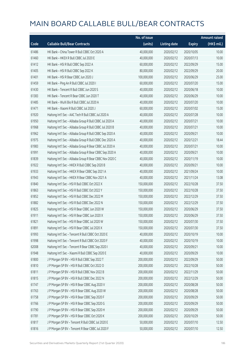|       |                                                          | No. of issue |                     |               | <b>Amount raised</b> |
|-------|----------------------------------------------------------|--------------|---------------------|---------------|----------------------|
| Code  | <b>Callable Bull/Bear Contracts</b>                      | (units)      | <b>Listing date</b> | <b>Expiry</b> | (HK\$ mil.)          |
| 61486 | HK Bank - China Tower R Bull CBBC Oct 2020 A             | 40,000,000   | 2020/02/12          | 2020/10/05    | 10.00                |
| 61460 | HK Bank - HKEX R Bull CBBC Jul 2020 E                    | 40,000,000   | 2020/02/12          | 2020/07/13    | 10.00                |
| 61412 | HK Bank - HSI R Bull CBBC Sep 2022 A                     | 60,000,000   | 2020/02/12          | 2022/09/29    | 15.00                |
| 61405 | HK Bank - HSI R Bull CBBC Sep 2022 K                     | 80,000,000   | 2020/02/12          | 2022/09/29    | 20.00                |
| 61401 | HK Bank - HSI R Bear CBBC Jun 2020 J                     | 100,000,000  | 2020/02/12          | 2020/06/29    | 25.00                |
| 61459 | HK Bank - Ping An R Bull CBBC Jul 2020 I                 | 60,000,000   | 2020/02/12          | 2020/07/20    | 15.00                |
| 61430 | HK Bank - Tencent R Bull CBBC Jun 2020 S                 | 40,000,000   | 2020/02/12          | 2020/06/18    | 10.00                |
| 61383 | HK Bank - Tencent R Bear CBBC Jun 2020 T                 | 40,000,000   | 2020/02/12          | 2020/06/29    | 10.00                |
| 61485 | HK Bank - WuXi Bio R Bull CBBC Jul 2020 A                | 40,000,000   | 2020/02/12          | 2020/07/20    | 10.00                |
| 61471 | HK Bank - Xiaomi R Bull CBBC Jul 2020 J                  | 60,000,000   | 2020/02/12          | 2020/07/02    | 15.00                |
| 61920 | Haitong Int'l Sec - AAC Tech R Bull CBBC Jul 2020 A      | 40,000,000   | 2020/02/12          | 2020/07/28    | 10.00                |
| 61950 | Haitong Int'l Sec - Alibaba Group R Bull CBBC Jul 2020 A | 40,000,000   | 2020/02/12          | 2020/07/21    | 10.00                |
| 61968 | Haitong Int'l Sec - Alibaba Group R Bull CBBC Jul 2020 B | 40,000,000   | 2020/02/12          | 2020/07/21    | 10.00                |
| 61962 | Haitong Int'l Sec - Alibaba Group R Bull CBBC Sep 2020 A | 40,000,000   | 2020/02/12          | 2020/09/21    | 10.00                |
| 61975 | Haitong Int'l Sec - Alibaba Group R Bull CBBC Dec 2020 A | 40,000,000   | 2020/02/12          | 2020/12/21    | 18.44                |
| 61983 | Haitong Int'l Sec - Alibaba Group R Bear CBBC Jul 2020 A | 40,000,000   | 2020/02/12          | 2020/07/21    | 10.00                |
| 61991 | Haitong Int'l Sec - Alibaba Group R Bear CBBC Sep 2020 A | 40,000,000   | 2020/02/12          | 2020/09/21    | 10.00                |
| 61839 | Haitong Int'l Sec - Alibaba Group R Bear CBBC Nov 2020 C | 40,000,000   | 2020/02/12          | 2020/11/19    | 10.00                |
| 61922 | Haitong Int'l Sec - HKEX R Bull CBBC Sep 2020 B          | 40,000,000   | 2020/02/12          | 2020/09/21    | 10.00                |
| 61933 | Haitong Int'l Sec - HKEX R Bear CBBC Sep 2021 A          | 40,000,000   | 2020/02/12          | 2021/09/24    | 10.00                |
| 61943 | Haitong Int'l Sec - HKEX R Bear CBBC Nov 2021 A          | 40,000,000   | 2020/02/12          | 2021/11/24    | 13.08                |
| 61840 | Haitong Int'l Sec - HSI R Bull CBBC Oct 2022 X           | 150,000,000  | 2020/02/12          | 2022/10/28    | 37.50                |
| 61863 | Haitong Int'l Sec - HSI R Bull CBBC Oct 2022 Y           | 150,000,000  | 2020/02/12          | 2022/10/28    | 37.50                |
| 61852 | Haitong Int'l Sec - HSI R Bull CBBC Dec 2022 M           | 150,000,000  | 2020/02/12          | 2022/12/29    | 37.50                |
| 61882 | Haitong Int'l Sec - HSI R Bull CBBC Dec 2022 N           | 150,000,000  | 2020/02/12          | 2022/12/29    | 37.50                |
| 61825 | Haitong Int'l Sec - HSI R Bear CBBC Jun 2020 W           | 150,000,000  | 2020/02/12          | 2020/06/29    | 37.50                |
| 61911 | Haitong Int'l Sec - HSI R Bear CBBC Jun 2020 X           | 150,000,000  | 2020/02/12          | 2020/06/29    | 37.50                |
| 61821 | Haitong Int'l Sec - HSI R Bear CBBC Jul 2020 W           | 150,000,000  | 2020/02/12          | 2020/07/30    | 37.50                |
| 61891 | Haitong Int'l Sec - HSI R Bear CBBC Jul 2020 X           | 150,000,000  | 2020/02/12          | 2020/07/30    | 37.50                |
| 61993 | Haitong Int'l Sec - Tencent R Bull CBBC Oct 2020 E       | 40,000,000   | 2020/02/12          | 2020/10/19    | 10.00                |
| 61998 | Haitong Int'l Sec - Tencent R Bull CBBC Oct 2020 F       | 40,000,000   | 2020/02/12          | 2020/10/19    | 10.00                |
| 62008 | Haitong Int'l Sec - Tencent R Bear CBBC Sep 2020 I       | 40,000,000   | 2020/02/12          | 2020/09/21    | 10.00                |
| 61948 | Haitong Int'l Sec - Xiaomi R Bull CBBC Sep 2020 E        | 40,000,000   | 2020/02/12          | 2020/09/29    | 10.00                |
| 61800 | J P Morgan SP BV - HSI R Bull CBBC Sep 2022 T            | 200,000,000  | 2020/02/12          | 2022/09/29    | 50.00                |
| 61810 | J P Morgan SP BV - HSI R Bull CBBC Oct 2022 O            | 200,000,000  | 2020/02/12          | 2022/10/28    | 50.00                |
| 61811 | J P Morgan SP BV - HSI R Bull CBBC Nov 2022 B            | 200,000,000  | 2020/02/12          | 2022/11/29    | 50.00                |
| 61815 | J P Morgan SP BV - HSI R Bull CBBC Dec 2022 N            | 200,000,000  | 2020/02/12          | 2022/12/29    | 50.00                |
| 61747 | J P Morgan SP BV - HSI R Bear CBBC Aug 2020 V            | 200,000,000  | 2020/02/12          | 2020/08/28    | 50.00                |
| 61763 | J P Morgan SP BV - HSI R Bear CBBC Aug 2020 W            | 200,000,000  | 2020/02/12          | 2020/08/28    | 50.00                |
| 61758 | J P Morgan SP BV - HSI R Bear CBBC Sep 2020 F            | 200,000,000  | 2020/02/12          | 2020/09/29    | 50.00                |
| 61766 | J P Morgan SP BV - HSI R Bear CBBC Sep 2020 G            | 200,000,000  | 2020/02/12          | 2020/09/29    | 50.00                |
| 61790 | J P Morgan SP BV - HSI R Bear CBBC Sep 2020 H            | 200,000,000  | 2020/02/12          | 2020/09/29    | 50.00                |
| 61781 | J P Morgan SP BV - HSI R Bear CBBC Oct 2020 K            | 200,000,000  | 2020/02/12          | 2020/10/29    | 50.00                |
| 61817 | J P Morgan SP BV - Tencent R Bull CBBC Jul 2020 E        | 50,000,000   | 2020/02/12          | 2020/07/10    | 12.50                |
| 61816 | J P Morgan SP BV - Tencent R Bear CBBC Jul 2020 F        | 50,000,000   | 2020/02/12          | 2020/07/10    | 12.50                |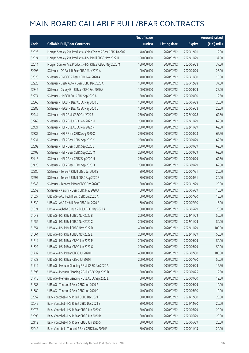|       |                                                               | No. of issue |                     |               | <b>Amount raised</b> |
|-------|---------------------------------------------------------------|--------------|---------------------|---------------|----------------------|
| Code  | <b>Callable Bull/Bear Contracts</b>                           | (units)      | <b>Listing date</b> | <b>Expiry</b> | $(HK$$ mil.)         |
| 62026 | Morgan Stanley Asia Products - China Tower R Bear CBBC Dec20A | 48,000,000   | 2020/02/12          | 2020/12/01    | 12.00                |
| 62024 | Morgan Stanley Asia Products - HSI R Bull CBBC Nov 2022 H     | 150,000,000  | 2020/02/12          | 2022/11/29    | 37.50                |
| 62014 | Morgan Stanley Asia Products - HSI R Bear CBBC May 2020 M     | 150,000,000  | 2020/02/12          | 2020/05/28    | 37.50                |
| 62298 | SG Issuer - CC Bank R Bear CBBC May 2020 A                    | 100,000,000  | 2020/02/12          | 2020/05/29    | 25.00                |
| 62326 | SG Issuer - CNOOC R Bear CBBC Nov 2020 A                      | 40,000,000   | 2020/02/12          | 2020/11/30    | 10.00                |
| 62226 | SG Issuer - Geely Auto R Bear CBBC Dec 2020 A                 | 150,000,000  | 2020/02/12          | 2020/12/28    | 37.50                |
| 62342 | SG Issuer - Galaxy Ent R Bear CBBC Sep 2020 A                 | 100,000,000  | 2020/02/12          | 2020/09/29    | 25.00                |
| 62274 | SG Issuer - HKEX R Bull CBBC Sep 2020 A                       | 50,000,000   | 2020/02/12          | 2020/09/30    | 12.50                |
| 62365 | SG Issuer - HSCEI R Bear CBBC May 2020 B                      | 100,000,000  | 2020/02/12          | 2020/05/28    | 25.00                |
| 62385 | SG Issuer - HSCEI R Bear CBBC May 2020 C                      | 100,000,000  | 2020/02/12          | 2020/05/28    | 25.00                |
| 62244 | SG Issuer - HSI R Bull CBBC Oct 2022 E                        | 250,000,000  | 2020/02/12          | 2022/10/28    | 62.50                |
| 62269 | SG Issuer - HSI R Bull CBBC Nov 2022 M                        | 250,000,000  | 2020/02/12          | 2022/11/29    | 62.50                |
| 62421 | SG Issuer - HSI R Bull CBBC Nov 2022 N                        | 250,000,000  | 2020/02/12          | 2022/11/29    | 62.50                |
| 62387 | SG Issuer - HSI R Bear CBBC Aug 2020 X                        | 250,000,000  | 2020/02/12          | 2020/08/28    | 62.50                |
| 62231 | SG Issuer - HSI R Bear CBBC Sep 2020 K                        | 250,000,000  | 2020/02/12          | 2020/09/29    | 62.50                |
| 62392 | SG Issuer - HSI R Bear CBBC Sep 2020 L                        | 250,000,000  | 2020/02/12          | 2020/09/29    | 62.50                |
| 62408 | SG Issuer - HSI R Bear CBBC Sep 2020 M                        | 250,000,000  | 2020/02/12          | 2020/09/29    | 62.50                |
| 62418 | SG Issuer - HSI R Bear CBBC Sep 2020 N                        | 250,000,000  | 2020/02/12          | 2020/09/29    | 62.50                |
| 62420 | SG Issuer - HSI R Bear CBBC Sep 2020 O                        | 250,000,000  | 2020/02/12          | 2020/09/29    | 62.50                |
| 62286 | SG Issuer - Tencent R Bull CBBC Jul 2020 S                    | 80,000,000   | 2020/02/12          | 2020/07/31    | 20.00                |
| 62297 | SG Issuer - Tencent R Bull CBBC Aug 2020 B                    | 80,000,000   | 2020/02/12          | 2020/08/31    | 20.00                |
| 62343 | SG Issuer - Tencent R Bear CBBC Dec 2020 T                    | 80,000,000   | 2020/02/12          | 2020/12/29    | 20.00                |
| 62352 | SG Issuer - Xiaomi R Bear CBBC May 2020 A                     | 60,000,000   | 2020/02/12          | 2020/05/29    | 15.00                |
| 61627 | UBS AG - AAC Tech R Bull CBBC Jul 2020 A                      | 60,000,000   | 2020/02/12          | 2020/07/30    | 15.00                |
| 61630 | UBS AG - AAC Tech R Bear CBBC Jul 2020 A                      | 60,000,000   | 2020/02/12          | 2020/07/30    | 15.00                |
| 61624 | UBS AG - Alibaba Group R Bull CBBC May 2020 A                 | 80,000,000   | 2020/02/12          | 2020/05/29    | 20.00                |
| 61643 | UBS AG - HSI R Bull CBBC Nov 2022 B                           | 200,000,000  | 2020/02/12          | 2022/11/29    | 50.00                |
| 61652 | UBS AG - HSI R Bull CBBC Nov 2022 C                           | 200,000,000  | 2020/02/12          | 2022/11/29    | 50.00                |
| 61654 | UBS AG - HSI R Bull CBBC Nov 2022 D                           | 400,000,000  | 2020/02/12          | 2022/11/29    | 100.00               |
| 61664 | UBS AG - HSI R Bull CBBC Nov 2022 E                           | 200,000,000  | 2020/02/12          | 2022/11/29    | 50.00                |
| 61614 | UBS AG - HSI R Bear CBBC Jun 2020 P                           | 200,000,000  | 2020/02/12          | 2020/06/29    | 50.00                |
| 61622 | UBS AG - HSI R Bear CBBC Jun 2020 Q                           | 200,000,000  | 2020/02/12          | 2020/06/29    | 50.00                |
| 61732 | UBS AG - HSI R Bear CBBC Jul 2020 H                           | 400,000,000  | 2020/02/12          | 2020/07/30    | 100.00               |
| 61733 | UBS AG - HSI R Bear CBBC Jul 2020 I                           | 200,000,000  | 2020/02/12          | 2020/07/30    | 50.00                |
| 61714 | UBS AG - Meituan Dianping R Bull CBBC Jun 2020 A              | 50,000,000   | 2020/02/12          | 2020/06/29    | 12.50                |
| 61696 | UBS AG - Meituan Dianping R Bull CBBC Sep 2020 D              | 50,000,000   | 2020/02/12          | 2020/09/25    | 12.50                |
| 61718 | UBS AG - Meituan Dianping R Bull CBBC Sep 2020 E              | 50,000,000   | 2020/02/12          | 2020/09/30    | 12.50                |
| 61683 | UBS AG - Tencent R Bear CBBC Jun 2020 P                       | 40,000,000   | 2020/02/12          | 2020/06/29    | 10.00                |
| 61689 | UBS AG - Tencent R Bear CBBC Jun 2020 Q                       | 40,000,000   | 2020/02/12          | 2020/06/30    | 10.00                |
| 62052 | Bank Vontobel - HSI R Bull CBBC Dec 2021 F                    | 80,000,000   | 2020/02/12          | 2021/12/30    | 20.00                |
| 62045 | Bank Vontobel - HSI R Bull CBBC Dec 2021 Z                    | 80,000,000   | 2020/02/12          | 2021/12/30    | 20.00                |
| 62073 | Bank Vontobel - HSI R Bear CBBC Jun 2020 Q                    | 80,000,000   | 2020/02/12          | 2020/06/29    | 20.00                |
| 62095 | Bank Vontobel - HSI R Bear CBBC Jun 2020 R                    | 80,000,000   | 2020/02/12          | 2020/06/29    | 20.00                |
| 62112 | Bank Vontobel - HSI R Bear CBBC Jun 2020 S                    | 80,000,000   | 2020/02/12          | 2020/06/29    | 20.00                |
| 62042 | Bank Vontobel - Tencent R Bear CBBC Nov 2020 F                | 80,000,000   | 2020/02/12          | 2020/11/13    | 20.00                |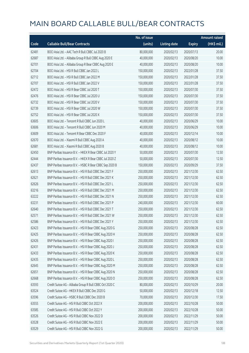|       |                                                         | No. of issue |                     |               | <b>Amount raised</b> |
|-------|---------------------------------------------------------|--------------|---------------------|---------------|----------------------|
| Code  | <b>Callable Bull/Bear Contracts</b>                     | (units)      | <b>Listing date</b> | <b>Expiry</b> | (HK\$ mil.)          |
| 62481 | BOCI Asia Ltd. - AAC Tech R Bull CBBC Jul 2020 B        | 80,000,000   | 2020/02/13          | 2020/07/13    | 20.00                |
| 62687 | BOCI Asia Ltd. - Alibaba Group R Bull CBBC Aug 2020 E   | 40,000,000   | 2020/02/13          | 2020/08/20    | 10.00                |
| 62701 | BOCI Asia Ltd. - Alibaba Group R Bear CBBC Aug 2020 E   | 40,000,000   | 2020/02/13          | 2020/08/20    | 10.00                |
| 62704 | BOCI Asia Ltd. - HSI R Bull CBBC Jan 2022 L             | 150,000,000  | 2020/02/13          | 2022/01/28    | 37.50                |
| 62712 | BOCI Asia Ltd. - HSI R Bull CBBC Jan 2022 M             | 150,000,000  | 2020/02/13          | 2022/01/28    | 37.50                |
| 62707 | BOCI Asia Ltd. - HSI R Bull CBBC Jan 2022 V             | 150,000,000  | 2020/02/13          | 2022/01/28    | 37.50                |
| 62472 | BOCI Asia Ltd. - HSI R Bear CBBC Jul 2020 T             | 150,000,000  | 2020/02/13          | 2020/07/30    | 37.50                |
| 62476 | BOCI Asia Ltd. - HSI R Bear CBBC Jul 2020 U             | 150,000,000  | 2020/02/13          | 2020/07/30    | 37.50                |
| 62732 | BOCI Asia Ltd. - HSI R Bear CBBC Jul 2020 V             | 150,000,000  | 2020/02/13          | 2020/07/30    | 37.50                |
| 62739 | BOCI Asia Ltd. - HSI R Bear CBBC Jul 2020 W             | 150,000,000  | 2020/02/13          | 2020/07/30    | 37.50                |
| 62752 | BOCI Asia Ltd. - HSI R Bear CBBC Jul 2020 X             | 150,000,000  | 2020/02/13          | 2020/07/30    | 37.50                |
| 63605 | BOCI Asia Ltd. - Tencent R Bull CBBC Jun 2020 L         | 40,000,000   | 2020/02/13          | 2020/06/29    | 10.00                |
| 63606 | BOCI Asia Ltd. - Tencent R Bull CBBC Jun 2020 M         | 40,000,000   | 2020/02/13          | 2020/06/29    | 10.00                |
| 63609 | BOCI Asia Ltd. - Tencent R Bear CBBC Dec 2020 F         | 40,000,000   | 2020/02/13          | 2020/12/14    | 10.00                |
| 62670 | BOCI Asia Ltd. - Xiaomi R Bull CBBC Aug 2020 A          | 40,000,000   | 2020/02/13          | 2020/08/12    | 10.00                |
| 62681 | BOCI Asia Ltd. - Xiaomi R Bull CBBC Aug 2020 B          | 40,000,000   | 2020/02/13          | 2020/08/12    | 10.00                |
| 62450 | BNP Paribas Issuance B.V. - HKEX R Bear CBBC Jul 2020 Y | 50,000,000   | 2020/02/13          | 2020/07/30    | 12.50                |
| 62444 | BNP Paribas Issuance B.V. - HKEX R Bear CBBC Jul 2020 Z | 50,000,000   | 2020/02/13          | 2020/07/30    | 12.50                |
| 62437 | BNP Paribas Issuance B.V. - HSBC R Bear CBBC Sep 2020 B | 150,000,000  | 2020/02/13          | 2020/09/29    | 37.50                |
| 62613 | BNP Paribas Issuance B.V. - HSI R Bull CBBC Dec 2021 F  | 250,000,000  | 2020/02/13          | 2021/12/30    | 62.50                |
| 62621 | BNP Paribas Issuance B.V. - HSI R Bull CBBC Dec 2021 K  | 250,000,000  | 2020/02/13          | 2021/12/30    | 62.50                |
| 62626 | BNP Paribas Issuance B.V. - HSI R Bull CBBC Dec 2021 L  | 250,000,000  | 2020/02/13          | 2021/12/30    | 62.50                |
| 63216 | BNP Paribas Issuance B.V. - HSI R Bull CBBC Dec 2021 M  | 250,000,000  | 2020/02/13          | 2021/12/30    | 62.50                |
| 63222 | BNP Paribas Issuance B.V. - HSI R Bull CBBC Dec 2021 N  | 250,000,000  | 2020/02/13          | 2021/12/30    | 62.50                |
| 63231 | BNP Paribas Issuance B.V. - HSI R Bull CBBC Dec 2021 P  | 240,000,000  | 2020/02/13          | 2021/12/30    | 60.00                |
| 62640 | BNP Paribas Issuance B.V. - HSI R Bull CBBC Dec 2021 T  | 250,000,000  | 2020/02/13          | 2021/12/30    | 62.50                |
| 62571 | BNP Paribas Issuance B.V. - HSI R Bull CBBC Dec 2021 W  | 250,000,000  | 2020/02/13          | 2021/12/30    | 62.50                |
| 62586 | BNP Paribas Issuance B.V. - HSI R Bull CBBC Dec 2021 Y  | 250,000,000  | 2020/02/13          | 2021/12/30    | 62.50                |
| 62423 | BNP Paribas Issuance B.V. - HSI R Bear CBBC Aug 2020 G  | 250,000,000  | 2020/02/13          | 2020/08/28    | 62.50                |
| 62425 | BNP Paribas Issuance B.V. - HSI R Bear CBBC Aug 2020 H  | 250,000,000  | 2020/02/13          | 2020/08/28    | 62.50                |
| 62426 | BNP Paribas Issuance B.V. - HSI R Bear CBBC Aug 2020 I  | 250,000,000  | 2020/02/13          | 2020/08/28    | 62.50                |
| 62431 | BNP Paribas Issuance B.V. - HSI R Bear CBBC Aug 2020 J  | 250,000,000  | 2020/02/13          | 2020/08/28    | 62.50                |
| 62433 | BNP Paribas Issuance B.V. - HSI R Bear CBBC Aug 2020 K  | 250,000,000  | 2020/02/13          | 2020/08/28    | 62.50                |
| 62435 | BNP Paribas Issuance B.V. - HSI R Bear CBBC Aug 2020 L  | 250,000,000  | 2020/02/13          | 2020/08/28    | 62.50                |
| 62645 | BNP Paribas Issuance B.V. - HSI R Bear CBBC Aug 2020 M  | 250,000,000  | 2020/02/13          | 2020/08/28    | 62.50                |
| 62651 | BNP Paribas Issuance B.V. - HSI R Bear CBBC Aug 2020 N  | 250,000,000  | 2020/02/13          | 2020/08/28    | 62.50                |
| 62668 | BNP Paribas Issuance B.V. - HSI R Bear CBBC Aug 2020 O  | 250,000,000  | 2020/02/13          | 2020/08/28    | 62.50                |
| 63593 | Credit Suisse AG - Alibaba Group R Bull CBBC Oct 2020 C | 80,000,000   | 2020/02/13          | 2020/10/29    | 20.00                |
| 63524 | Credit Suisse AG - HKEX R Bull CBBC Dec 2020 G          | 50,000,000   | 2020/02/13          | 2020/12/18    | 12.50                |
| 63596 | Credit Suisse AG - HSBC R Bull CBBC Dec 2020 B          | 70,000,000   | 2020/02/13          | 2020/12/30    | 17.50                |
| 63555 | Credit Suisse AG - HSI R Bull CBBC Oct 2022 X           | 200,000,000  | 2020/02/13          | 2022/10/28    | 50.00                |
| 63585 | Credit Suisse AG - HSI R Bull CBBC Oct 2022 Y           | 200,000,000  | 2020/02/13          | 2022/10/28    | 50.00                |
| 63526 | Credit Suisse AG - HSI R Bull CBBC Nov 2022 D           | 200,000,000  | 2020/02/13          | 2022/11/29    | 50.00                |
| 63528 | Credit Suisse AG - HSI R Bull CBBC Nov 2022 E           | 200,000,000  | 2020/02/13          | 2022/11/29    | 50.00                |
| 63529 | Credit Suisse AG - HSI R Bull CBBC Nov 2022 G           | 200,000,000  | 2020/02/13          | 2022/11/29    | 50.00                |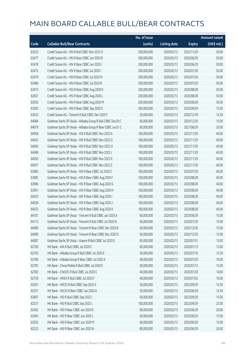|       |                                                             | No. of issue |                     |               | <b>Amount raised</b>  |
|-------|-------------------------------------------------------------|--------------|---------------------|---------------|-----------------------|
| Code  | <b>Callable Bull/Bear Contracts</b>                         | (units)      | <b>Listing date</b> | <b>Expiry</b> | $(HK\frac{1}{2}mil.)$ |
| 63533 | Credit Suisse AG - HSI R Bull CBBC Nov 2022 H               | 200,000,000  | 2020/02/13          | 2022/11/29    | 50.00                 |
| 63477 | Credit Suisse AG - HSI R Bear CBBC Jun 2020 B               | 200,000,000  | 2020/02/13          | 2020/06/29    | 50.00                 |
| 63478 | Credit Suisse AG - HSI R Bear CBBC Jun 2020 I               | 200,000,000  | 2020/02/13          | 2020/06/29    | 50.00                 |
| 63475 | Credit Suisse AG - HSI R Bear CBBC Jul 2020 I               | 200,000,000  | 2020/02/13          | 2020/07/30    | 50.00                 |
| 63479 | Credit Suisse AG - HSI R Bear CBBC Jul 2020 N               | 200,000,000  | 2020/02/13          | 2020/07/30    | 50.00                 |
| 63486 | Credit Suisse AG - HSI R Bear CBBC Jul 2020 R               | 200,000,000  | 2020/02/13          | 2020/07/30    | 50.00                 |
| 63473 | Credit Suisse AG - HSI R Bear CBBC Aug 2020 K               | 200,000,000  | 2020/02/13          | 2020/08/28    | 50.00                 |
| 63501 | Credit Suisse AG - HSI R Bear CBBC Aug 2020 L               | 200,000,000  | 2020/02/13          | 2020/08/28    | 50.00                 |
| 63502 | Credit Suisse AG - HSI R Bear CBBC Aug 2020 M               | 200,000,000  | 2020/02/13          | 2020/08/28    | 50.00                 |
| 63505 | Credit Suisse AG - HSI R Bear CBBC Sep 2020 E               | 300,000,000  | 2020/02/13          | 2020/09/29    | 75.00                 |
| 63525 | Credit Suisse AG - Tencent R Bull CBBC Dec 2020 F           | 50,000,000   | 2020/02/13          | 2020/12/18    | 12.50                 |
| 64084 | Goldman Sachs SP (Asia) - Alibaba Group R Bull CBBC Dec20 C | 60,000,000   | 2020/02/13          | 2020/12/30    | 15.00                 |
| 64079 | Goldman Sachs SP (Asia) - Alibaba Group R Bear CBBC Jun21 C | 80,000,000   | 2020/02/13          | 2021/06/29    | 20.00                 |
| 64058 | Goldman Sachs SP (Asia) - HSI R Bull CBBC Nov 2022 A        | 160,000,000  | 2020/02/13          | 2022/11/29    | 40.00                 |
| 64042 | Goldman Sachs SP (Asia) - HSI R Bull CBBC Nov 2022 G        | 160,000,000  | 2020/02/13          | 2022/11/29    | 40.00                 |
| 64045 | Goldman Sachs SP (Asia) - HSI R Bull CBBC Nov 2022 H        | 160,000,000  | 2020/02/13          | 2022/11/29    | 40.00                 |
| 64048 | Goldman Sachs SP (Asia) - HSI R Bull CBBC Nov 2022 J        | 160,000,000  | 2020/02/13          | 2022/11/29    | 40.00                 |
| 64050 | Goldman Sachs SP (Asia) - HSI R Bull CBBC Nov 2022 K        | 160,000,000  | 2020/02/13          | 2022/11/29    | 40.00                 |
| 64057 | Goldman Sachs SP (Asia) - HSI R Bull CBBC Nov 2022 Z        | 160,000,000  | 2020/02/13          | 2022/11/29    | 40.00                 |
| 63983 | Goldman Sachs SP (Asia) - HSI R Bear CBBC Jul 2020 Z        | 160,000,000  | 2020/02/13          | 2020/07/30    | 40.00                 |
| 63985 | Goldman Sachs SP (Asia) - HSI R Bear CBBC Aug 2020 F        | 160,000,000  | 2020/02/13          | 2020/08/28    | 40.00                 |
| 63986 | Goldman Sachs SP (Asia) - HSI R Bear CBBC Aug 2020 G        | 160,000,000  | 2020/02/13          | 2020/08/28    | 40.00                 |
| 63991 | Goldman Sachs SP (Asia) - HSI R Bear CBBC Aug 2020 H        | 160,000,000  | 2020/02/13          | 2020/08/28    | 40.00                 |
| 64020 | Goldman Sachs SP (Asia) - HSI R Bear CBBC Aug 2020 I        | 160,000,000  | 2020/02/13          | 2020/08/28    | 40.00                 |
| 64028 | Goldman Sachs SP (Asia) - HSI R Bear CBBC Aug 2020 J        | 160,000,000  | 2020/02/13          | 2020/08/28    | 40.00                 |
| 64033 | Goldman Sachs SP (Asia) - HSI R Bear CBBC Aug 2020 K        | 160,000,000  | 2020/02/13          | 2020/08/28    | 40.00                 |
| 64101 | Goldman Sachs SP (Asia) - Tencent R Bull CBBC Jun 2020 A    | 60,000,000   | 2020/02/13          | 2020/06/29    | 15.00                 |
| 64113 | Goldman Sachs SP (Asia) - Tencent R Bull CBBC Jul 2020 N    | 60,000,000   | 2020/02/13          | 2020/07/30    | 15.00                 |
| 64089 | Goldman Sachs SP (Asia) - Tencent R Bear CBBC Dec 2020 B    | 60,000,000   | 2020/02/13          | 2020/12/30    | 15.00                 |
| 64090 | Goldman Sachs SP (Asia) - Tencent R Bear CBBC Dec 2020 D    | 60,000,000   | 2020/02/13          | 2020/12/30    | 15.00                 |
| 64087 | Goldman Sachs SP (Asia) - Xiaomi R Bull CBBC Jul 2020 E     | 60,000,000   | 2020/02/13          | 2020/07/31    | 15.00                 |
| 62760 | HK Bank - AIA R Bull CBBC Jul 2020 C                        | 60,000,000   | 2020/02/13          | 2020/07/13    | 15.00                 |
| 62793 | HK Bank - Alibaba Group R Bull CBBC Jul 2020 E              | 50,000,000   | 2020/02/13          | 2020/07/16    | 12.50                 |
| 62780 | HK Bank - Alibaba Group R Bear CBBC Jul 2020 A              | 40,000,000   | 2020/02/13          | 2020/07/20    | 10.00                 |
| 62781 | HK Bank - China Mobile R Bull CBBC Jul 2020 E               | 60,000,000   | 2020/02/13          | 2020/07/13    | 15.00                 |
| 62783 | HK Bank - CNOOC R Bull CBBC Jul 2020 C                      | 40,000,000   | 2020/02/13          | 2020/07/20    | 10.00                 |
| 62759 | HK Bank - HKEX R Bull CBBC Jul 2020 F                       | 40,000,000   | 2020/02/13          | 2020/07/02    | 10.00                 |
| 62567 | HK Bank - HSCEI R Bull CBBC Sep 2022 A                      | 50,000,000   | 2020/02/13          | 2022/09/29    | 12.50                 |
| 62551 | HK Bank - HSCEI R Bear CBBC Jun 2020 A                      | 50,000,000   | 2020/02/13          | 2020/06/29    | 12.50                 |
| 62807 | HK Bank - HSI R Bull CBBC Sep 2022 I                        | 60,000,000   | 2020/02/13          | 2022/09/29    | 15.00                 |
| 62537 | HK Bank - HSI R Bull CBBC Sep 2022 L                        | 100,000,000  | 2020/02/13          | 2022/09/29    | 25.00                 |
| 62462 | HK Bank - HSI R Bear CBBC Jun 2020 K                        | 80,000,000   | 2020/02/13          | 2020/06/29    | 20.00                 |
| 62493 | HK Bank - HSI R Bear CBBC Jun 2020 L                        | 60,000,000   | 2020/02/13          | 2020/06/29    | 15.00                 |
| 62502 | HK Bank - HSI R Bear CBBC Jun 2020 M                        | 60,000,000   | 2020/02/13          | 2020/06/29    | 15.00                 |
| 62523 | HK Bank - HSI R Bear CBBC Jun 2020 N                        | 80,000,000   | 2020/02/13          | 2020/06/29    | 20.00                 |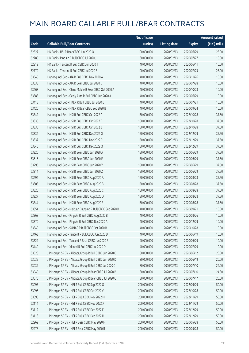|       |                                                             | No. of issue |                     |               | <b>Amount raised</b> |
|-------|-------------------------------------------------------------|--------------|---------------------|---------------|----------------------|
| Code  | <b>Callable Bull/Bear Contracts</b>                         | (units)      | <b>Listing date</b> | <b>Expiry</b> | (HK\$ mil.)          |
| 62527 | HK Bank - HSI R Bear CBBC Jun 2020 O                        | 100,000,000  | 2020/02/13          | 2020/06/29    | 25.00                |
| 62789 | HK Bank - Ping An R Bull CBBC Jul 2020 J                    | 60,000,000   | 2020/02/13          | 2020/07/27    | 15.00                |
| 62819 | HK Bank - Tencent R Bull CBBC Jun 2020 T                    | 40,000,000   | 2020/02/13          | 2020/06/11    | 10.00                |
| 62779 | HK Bank - Tencent R Bull CBBC Jul 2020 S                    | 100,000,000  | 2020/02/13          | 2020/07/23    | 25.00                |
| 63645 | Haitong Int'l Sec - AIA R Bull CBBC Nov 2020 A              | 40,000,000   | 2020/02/13          | 2020/11/26    | 10.00                |
| 63638 | Haitong Int'l Sec - AIA R Bear CBBC Jul 2020 D              | 40,000,000   | 2020/02/13          | 2020/07/28    | 10.00                |
| 63468 | Haitong Int'l Sec - China Mobile R Bear CBBC Oct 2020 A     | 40,000,000   | 2020/02/13          | 2020/10/28    | 10.00                |
| 63388 | Haitong Int'l Sec - Geely Auto R Bull CBBC Jun 2020 A       | 40,000,000   | 2020/02/13          | 2020/06/29    | 10.00                |
| 63418 | Haitong Int'l Sec - HKEX R Bull CBBC Jul 2020 B             | 40,000,000   | 2020/02/13          | 2020/07/21    | 10.00                |
| 63420 | Haitong Int'l Sec - HKEX R Bear CBBC Sep 2020 B             | 40,000,000   | 2020/02/13          | 2020/09/24    | 10.00                |
| 63342 | Haitong Int'l Sec - HSI R Bull CBBC Oct 2022 A              | 150,000,000  | 2020/02/13          | 2022/10/28    | 37.50                |
| 63335 | Haitong Int'l Sec - HSI R Bull CBBC Oct 2022 B              | 150,000,000  | 2020/02/13          | 2022/10/28    | 37.50                |
| 63330 | Haitong Int'l Sec - HSI R Bull CBBC Oct 2022 Z              | 150,000,000  | 2020/02/13          | 2022/10/28    | 37.50                |
| 63334 | Haitong Int'l Sec - HSI R Bull CBBC Dec 2022 O              | 150,000,000  | 2020/02/13          | 2022/12/29    | 37.50                |
| 63337 | Haitong Int'l Sec - HSI R Bull CBBC Dec 2022 P              | 150,000,000  | 2020/02/13          | 2022/12/29    | 37.50                |
| 63340 | Haitong Int'l Sec - HSI R Bull CBBC Dec 2022 Q              | 150,000,000  | 2020/02/13          | 2022/12/29    | 37.50                |
| 63320 | Haitong Int'l Sec - HSI R Bear CBBC Jun 2020 A              | 150,000,000  | 2020/02/13          | 2020/06/29    | 37.50                |
| 63616 | Haitong Int'l Sec - HSI R Bear CBBC Jun 2020 E              | 150,000,000  | 2020/02/13          | 2020/06/29    | 37.50                |
| 63296 | Haitong Int'l Sec - HSI R Bear CBBC Jun 2020 Y              | 150,000,000  | 2020/02/13          | 2020/06/29    | 37.50                |
| 63314 | Haitong Int'l Sec - HSI R Bear CBBC Jun 2020 Z              | 150,000,000  | 2020/02/13          | 2020/06/29    | 37.50                |
| 63294 | Haitong Int'l Sec - HSI R Bear CBBC Aug 2020 A              | 150,000,000  | 2020/02/13          | 2020/08/28    | 37.50                |
| 63305 | Haitong Int'l Sec - HSI R Bear CBBC Aug 2020 B              | 150,000,000  | 2020/02/13          | 2020/08/28    | 37.50                |
| 63326 | Haitong Int'l Sec - HSI R Bear CBBC Aug 2020 C              | 150,000,000  | 2020/02/13          | 2020/08/28    | 37.50                |
| 63327 | Haitong Int'l Sec - HSI R Bear CBBC Aug 2020 D              | 150,000,000  | 2020/02/13          | 2020/08/28    | 37.50                |
| 63344 | Haitong Int'l Sec - HSI R Bear CBBC Aug 2020 E              | 150,000,000  | 2020/02/13          | 2020/08/28    | 37.50                |
| 63354 | Haitong Int'l Sec - Meituan Dianping R Bull CBBC Sep 2020 B | 40,000,000   | 2020/02/13          | 2020/09/21    | 10.00                |
| 63368 | Haitong Int'l Sec - Ping An R Bull CBBC Aug 2020 B          | 40,000,000   | 2020/02/13          | 2020/08/26    | 10.00                |
| 63370 | Haitong Int'l Sec - Ping An R Bull CBBC Dec 2020 A          | 40,000,000   | 2020/02/13          | 2020/12/29    | 10.00                |
| 63349 | Haitong Int'l Sec - SUNAC R Bull CBBC Oct 2020 B            | 40,000,000   | 2020/02/13          | 2020/10/28    | 10.00                |
| 63463 | Haitong Int'l Sec - Tencent R Bull CBBC Jun 2020 D          | 40,000,000   | 2020/02/13          | 2020/06/19    | 10.00                |
| 63329 | Haitong Int'l Sec - Tencent R Bear CBBC Jun 2020 B          | 40,000,000   | 2020/02/13          | 2020/06/29    | 10.00                |
| 63440 | Haitong Int'l Sec - Xiaomi R Bull CBBC Jul 2020 D           | 40,000,000   | 2020/02/13          | 2020/07/29    | 10.00                |
| 63028 | J P Morgan SP BV - Alibaba Group R Bull CBBC Jun 2020 C     | 80,000,000   | 2020/02/13          | 2020/06/12    | 20.00                |
| 63035 | J P Morgan SP BV - Alibaba Group R Bull CBBC Jun 2020 D     | 80,000,000   | 2020/02/13          | 2020/06/19    | 20.00                |
| 63039 | J P Morgan SP BV - Alibaba Group R Bull CBBC Jul 2020 C     | 80,000,000   | 2020/02/13          | 2020/07/10    | 24.00                |
| 63040 | J P Morgan SP BV - Alibaba Group R Bear CBBC Jul 2020 B     | 80,000,000   | 2020/02/13          | 2020/07/10    | 24.80                |
| 63070 | J P Morgan SP BV - Alibaba Group R Bear CBBC Jul 2020 C     | 80,000,000   | 2020/02/13          | 2020/07/17    | 20.00                |
| 63093 | J P Morgan SP BV - HSI R Bull CBBC Sep 2022 O               | 200,000,000  | 2020/02/13          | 2022/09/29    | 50.00                |
| 63096 | J P Morgan SP BV - HSI R Bull CBBC Oct 2022 V               | 200,000,000  | 2020/02/13          | 2022/10/28    | 50.00                |
| 63098 | J P Morgan SP BV - HSI R Bull CBBC Nov 2022 M               | 200,000,000  | 2020/02/13          | 2022/11/29    | 50.00                |
| 63114 | J P Morgan SP BV - HSI R Bull CBBC Nov 2022 X               | 200,000,000  | 2020/02/13          | 2022/11/29    | 50.00                |
| 63112 | J P Morgan SP BV - HSI R Bull CBBC Dec 2022 F               | 200,000,000  | 2020/02/13          | 2022/12/29    | 50.00                |
| 63118 | J P Morgan SP BV - HSI R Bull CBBC Dec 2022 H               | 200,000,000  | 2020/02/13          | 2022/12/29    | 50.00                |
| 62969 | J P Morgan SP BV - HSI R Bear CBBC May 2020 F               | 200,000,000  | 2020/02/13          | 2020/05/28    | 50.00                |
| 62978 | J P Morgan SP BV - HSI R Bear CBBC May 2020 R               | 200,000,000  | 2020/02/13          | 2020/05/28    | 50.00                |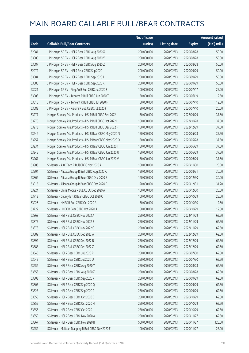|       |                                                           | No. of issue |                     |               | <b>Amount raised</b> |
|-------|-----------------------------------------------------------|--------------|---------------------|---------------|----------------------|
| Code  | <b>Callable Bull/Bear Contracts</b>                       | (units)      | <b>Listing date</b> | <b>Expiry</b> | (HK\$ mil.)          |
| 62981 | J P Morgan SP BV - HSI R Bear CBBC Aug 2020 X             | 200,000,000  | 2020/02/13          | 2020/08/28    | 50.00                |
| 63000 | J P Morgan SP BV - HSI R Bear CBBC Aug 2020 Y             | 200,000,000  | 2020/02/13          | 2020/08/28    | 50.00                |
| 63087 | J P Morgan SP BV - HSI R Bear CBBC Aug 2020 Z             | 200,000,000  | 2020/02/13          | 2020/08/28    | 50.00                |
| 62972 | J P Morgan SP BV - HSI R Bear CBBC Sep 2020 I             | 200,000,000  | 2020/02/13          | 2020/09/29    | 50.00                |
| 63084 | J P Morgan SP BV - HSI R Bear CBBC Sep 2020 J             | 200,000,000  | 2020/02/13          | 2020/09/29    | 50.00                |
| 63085 | J P Morgan SP BV - HSI R Bear CBBC Sep 2020 K             | 200,000,000  | 2020/02/13          | 2020/09/29    | 50.00                |
| 63021 | J P Morgan SP BV - Ping An R Bull CBBC Jul 2020 F         | 100,000,000  | 2020/02/13          | 2020/07/17    | 25.00                |
| 63008 | J P Morgan SP BV - Tencent R Bull CBBC Jun 2020 T         | 50,000,000   | 2020/02/13          | 2020/06/19    | 12.50                |
| 63015 | J P Morgan SP BV - Tencent R Bull CBBC Jul 2020 F         | 50,000,000   | 2020/02/13          | 2020/07/10    | 12.50                |
| 63082 | J P Morgan SP BV - Xiaomi R Bull CBBC Jul 2020 F          | 80,000,000   | 2020/02/13          | 2020/07/10    | 20.00                |
| 63277 | Morgan Stanley Asia Products - HSI R Bull CBBC Sep 2022 I | 150,000,000  | 2020/02/13          | 2022/09/29    | 37.50                |
| 63275 | Morgan Stanley Asia Products - HSI R Bull CBBC Oct 2022 I | 150,000,000  | 2020/02/13          | 2022/10/28    | 37.50                |
| 63273 | Morgan Stanley Asia Products - HSI R Bull CBBC Dec 2022 F | 150,000,000  | 2020/02/13          | 2022/12/29    | 37.50                |
| 63246 | Morgan Stanley Asia Products - HSI R Bear CBBC May 2020 N | 150,000,000  | 2020/02/13          | 2020/05/28    | 37.50                |
| 63257 | Morgan Stanley Asia Products - HSI R Bear CBBC May 2020 O | 150,000,000  | 2020/02/13          | 2020/05/28    | 37.50                |
| 63234 | Morgan Stanley Asia Products - HSI R Bear CBBC Jun 2020 T | 150,000,000  | 2020/02/13          | 2020/06/29    | 37.50                |
| 63245 | Morgan Stanley Asia Products - HSI R Bear CBBC Jun 2020 U | 150,000,000  | 2020/02/13          | 2020/06/29    | 37.50                |
| 63267 | Morgan Stanley Asia Products - HSI R Bear CBBC Jun 2020 V | 150,000,000  | 2020/02/13          | 2020/06/29    | 37.50                |
| 63903 | SG Issuer - AAC Tech R Bull CBBC Nov 2020 A               | 100,000,000  | 2020/02/13          | 2020/11/30    | 25.00                |
| 63904 | SG Issuer - Alibaba Group R Bull CBBC Aug 2020 A          | 120,000,000  | 2020/02/13          | 2020/08/31    | 30.00                |
| 63862 | SG Issuer - Alibaba Group R Bear CBBC Dec 2020 E          | 120,000,000  | 2020/02/13          | 2020/12/30    | 30.00                |
| 63915 | SG Issuer - Alibaba Group R Bear CBBC Dec 2020 F          | 120,000,000  | 2020/02/13          | 2020/12/31    | 31.20                |
| 63924 | SG Issuer - China Mobile R Bull CBBC Dec 2020 A           | 100,000,000  | 2020/02/13          | 2020/12/30    | 25.00                |
| 63712 | SG Issuer - Galaxy Ent R Bear CBBC Oct 2020 C             | 100,000,000  | 2020/02/13          | 2020/10/29    | 25.00                |
| 63926 | SG Issuer - HKEX R Bull CBBC Oct 2020 A                   | 50,000,000   | 2020/02/13          | 2020/10/30    | 12.50                |
| 63722 | SG Issuer - HKEX R Bear CBBC Oct 2020 A                   | 50,000,000   | 2020/02/13          | 2020/10/29    | 12.50                |
| 63868 | SG Issuer - HSI R Bull CBBC Nov 2022 A                    | 250,000,000  | 2020/02/13          | 2022/11/29    | 62.50                |
| 63875 | SG Issuer - HSI R Bull CBBC Nov 2022 B                    | 250,000,000  | 2020/02/13          | 2022/11/29    | 62.50                |
| 63878 | SG Issuer - HSI R Bull CBBC Nov 2022 C                    | 250,000,000  | 2020/02/13          | 2022/11/29    | 62.50                |
| 63889 | SG Issuer - HSI R Bull CBBC Dec 2022 A                    | 250,000,000  | 2020/02/13          | 2022/12/29    | 62.50                |
| 63892 | SG Issuer - HSI R Bull CBBC Dec 2022 B                    | 250,000,000  | 2020/02/13          | 2022/12/29    | 62.50                |
| 63888 | SG Issuer - HSI R Bull CBBC Dec 2022 Z                    | 250,000,000  | 2020/02/13          | 2022/12/29    | 62.50                |
| 63646 | SG Issuer - HSI R Bear CBBC Jul 2020 R                    | 250,000,000  | 2020/02/13          | 2020/07/30    | 62.50                |
| 63649 | SG Issuer - HSI R Bear CBBC Jul 2020 U                    | 250,000,000  | 2020/02/13          | 2020/07/30    | 62.50                |
| 63652 | SG Issuer - HSI R Bear CBBC Aug 2020 Y                    | 250,000,000  | 2020/02/13          | 2020/08/28    | 62.50                |
| 63653 | SG Issuer - HSI R Bear CBBC Aug 2020 Z                    | 250,000,000  | 2020/02/13          | 2020/08/28    | 62.50                |
| 63803 | SG Issuer - HSI R Bear CBBC Sep 2020 P                    | 250,000,000  | 2020/02/13          | 2020/09/29    | 62.50                |
| 63805 | SG Issuer - HSI R Bear CBBC Sep 2020 Q                    | 250,000,000  | 2020/02/13          | 2020/09/29    | 62.50                |
| 63823 | SG Issuer - HSI R Bear CBBC Sep 2020 R                    | 250,000,000  | 2020/02/13          | 2020/09/29    | 62.50                |
| 63658 | SG Issuer - HSI R Bear CBBC Oct 2020 G                    | 250,000,000  | 2020/02/13          | 2020/10/29    | 62.50                |
| 63855 | SG Issuer - HSI R Bear CBBC Oct 2020 H                    | 250,000,000  | 2020/02/13          | 2020/10/29    | 62.50                |
| 63856 | SG Issuer - HSI R Bear CBBC Oct 2020 I                    | 250,000,000  | 2020/02/13          | 2020/10/29    | 62.50                |
| 63859 | SG Issuer - HSI R Bear CBBC Nov 2020 A                    | 250,000,000  | 2020/02/13          | 2020/11/27    | 62.50                |
| 63867 | SG Issuer - HSI R Bear CBBC Nov 2020 B                    | 500,000,000  | 2020/02/13          | 2020/11/27    | 125.00               |
| 63952 | SG Issuer - Meituan Dianping R Bull CBBC Nov 2020 F       | 100,000,000  | 2020/02/13          | 2020/11/27    | 25.00                |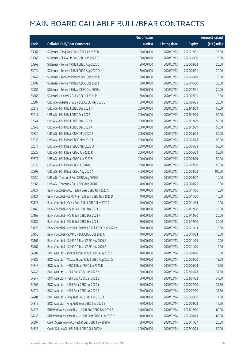|       |                                                         | No. of issue |                     |               | <b>Amount raised</b> |
|-------|---------------------------------------------------------|--------------|---------------------|---------------|----------------------|
| Code  | <b>Callable Bull/Bear Contracts</b>                     | (units)      | <b>Listing date</b> | <b>Expiry</b> | (HK\$ mil.)          |
| 63962 | SG Issuer - Ping An R Bull CBBC Dec 2020 B              | 100,000,000  | 2020/02/13          | 2020/12/31    | 25.00                |
| 63963 | SG Issuer - SUNAC R Bull CBBC Oct 2020 B                | 80,000,000   | 2020/02/13          | 2020/10/30    | 20.00                |
| 63968 | SG Issuer - Tencent R Bull CBBC Aug 2020 C              | 80,000,000   | 2020/02/13          | 2020/08/28    | 20.00                |
| 63974 | SG Issuer - Tencent R Bull CBBC Aug 2020 D              | 80,000,000   | 2020/02/13          | 2020/08/31    | 20.00                |
| 63741 | SG Issuer - Tencent R Bear CBBC Oct 2020 H              | 80,000,000   | 2020/02/13          | 2020/10/29    | 20.00                |
| 63799 | SG Issuer - Tencent R Bear CBBC Oct 2020 I              | 80,000,000   | 2020/02/13          | 2020/10/30    | 20.00                |
| 63981 | SG Issuer - Tencent R Bear CBBC Dec 2020 U              | 80,000,000   | 2020/02/13          | 2020/12/31    | 20.00                |
| 63866 | SG Issuer - Xiaomi R Bull CBBC Jul 2020 P               | 60,000,000   | 2020/02/13          | 2020/07/31    | 15.00                |
| 62887 | UBS AG - Alibaba Group R Bull CBBC May 2020 B           | 80,000,000   | 2020/02/13          | 2020/05/25    | 20.00                |
| 62912 | UBS AG - HSI R Bull CBBC Dec 2022 H                     | 200,000,000  | 2020/02/13          | 2022/12/29    | 50.00                |
| 62941 | UBS AG - HSI R Bull CBBC Dec 2022 I                     | 200,000,000  | 2020/02/13          | 2022/12/29    | 50.00                |
| 62944 | UBS AG - HSI R Bull CBBC Dec 2022 J                     | 200,000,000  | 2020/02/13          | 2022/12/29    | 50.00                |
| 62949 | UBS AG - HSI R Bull CBBC Dec 2022 K                     | 200,000,000  | 2020/02/13          | 2022/12/29    | 50.00                |
| 62820 | UBS AG - HSI R Bear CBBC May 2020 S                     | 200,000,000  | 2020/02/13          | 2020/05/28    | 50.00                |
| 62833 | UBS AG - HSI R Bear CBBC May 2020 T                     | 200,000,000  | 2020/02/13          | 2020/05/28    | 50.00                |
| 62871 | UBS AG - HSI R Bear CBBC May 2020 U                     | 200,000,000  | 2020/02/13          | 2020/05/28    | 50.00                |
| 62825 | UBS AG - HSI R Bear CBBC Jun 2020 R                     | 200,000,000  | 2020/02/13          | 2020/06/29    | 50.00                |
| 62877 | UBS AG - HSI R Bear CBBC Jun 2020 S                     | 200,000,000  | 2020/02/13          | 2020/06/29    | 50.00                |
| 62836 | UBS AG - HSI R Bear CBBC Jul 2020 J                     | 200,000,000  | 2020/02/13          | 2020/07/30    | 50.00                |
| 62898 | UBS AG - HSI R Bear CBBC Aug 2020 A                     | 400,000,000  | 2020/02/13          | 2020/08/28    | 100.00               |
| 62950 | UBS AG - Tencent R Bull CBBC Aug 2020 C                 | 40,000,000   | 2020/02/13          | 2020/08/27    | 10.00                |
| 62965 | UBS AG - Tencent R Bull CBBC Aug 2020 D                 | 40,000,000   | 2020/02/13          | 2020/08/26    | 10.00                |
| 63127 | Bank Vontobel - AAC Tech R Bear CBBC Nov 2020 C         | 40,000,000   | 2020/02/13          | 2020/11/06    | 10.00                |
| 63121 | Bank Vontobel - CSPC Pharma R Bull CBBC Nov 2020 D      | 40,000,000   | 2020/02/13          | 2020/11/20    | 10.00                |
| 63125 | Bank Vontobel - Geely Auto R Bull CBBC Nov 2020 C       | 40,000,000   | 2020/02/13          | 2020/11/06    | 10.00                |
| 63168 | Bank Vontobel - HSI R Bull CBBC Dec 2021 G              | 80,000,000   | 2020/02/13          | 2021/12/30    | 20.00                |
| 63169 | Bank Vontobel - HSI R Bull CBBC Dec 2021 K              | 80,000,000   | 2020/02/13          | 2021/12/30    | 20.00                |
| 63180 | Bank Vontobel - HSI R Bull CBBC Dec 2021 L              | 80,000,000   | 2020/02/13          | 2021/12/30    | 20.00                |
| 63128 | Bank Vontobel - Meituan Dianping R Bull CBBC Nov 2020 Y | 60,000,000   | 2020/02/13          | 2020/11/13    | 15.00                |
| 63156 | Bank Vontobel - SUNAC R Bull CBBC Oct 2020 C            | 40,000,000   | 2020/02/13          | 2020/10/23    | 10.00                |
| 63161 | Bank Vontobel - SUNAC R Bear CBBC Nov 2020 A            | 40,000,000   | 2020/02/13          | 2020/11/06    | 10.00                |
| 63167 | Bank Vontobel - SUNAC R Bear CBBC Nov 2020 B            | 40,000,000   | 2020/02/13          | 2020/11/20    | 12.00                |
| 64381 | BOCI Asia Ltd. - Alibaba Group R Bull CBBC Aug 2020 F   | 40,000,000   | 2020/02/14          | 2020/08/20    | 10.00                |
| 64385 | BOCI Asia Ltd. - Alibaba Group R Bull CBBC Aug 2020 G   | 40,000,000   | 2020/02/14          | 2020/08/20    | 13.20                |
| 64345 | BOCI Asia Ltd. - HSBC R Bear CBBC Jun 2020 B            | 70,000,000   | 2020/02/14          | 2020/06/29    | 17.50                |
| 64243 | BOCI Asia Ltd. - HSI R Bull CBBC Jan 2022 N             | 150,000,000  | 2020/02/14          | 2022/01/28    | 37.50                |
| 64247 | BOCI Asia Ltd. - HSI R Bull CBBC Jan 2022 O             | 150,000,000  | 2020/02/14          | 2022/01/28    | 37.50                |
| 64266 | BOCI Asia Ltd. - HSI R Bear CBBC Jul 2020 Y             | 150,000,000  | 2020/02/14          | 2020/07/30    | 37.50                |
| 64274 | BOCI Asia Ltd. - HSI R Bear CBBC Jul 2020 Z             | 150,000,000  | 2020/02/14          | 2020/07/30    | 37.50                |
| 64284 | BOCI Asia Ltd. - Ping An R Bull CBBC Oct 2020 A         | 70,000,000   | 2020/02/14          | 2020/10/06    | 17.50                |
| 64315 | BOCI Asia Ltd. - Ping An R Bear CBBC Sep 2020 B         | 70,000,000   | 2020/02/14          | 2020/09/29    | 17.50                |
| 64225 | BNP Paribas Issuance B.V. - HSI R Bull CBBC Dec 2021 S  | 240,000,000  | 2020/02/14          | 2021/12/30    | 60.00                |
| 64238 | BNP Paribas Issuance B.V. - HSI R Bear CBBC Aug 2020 P  | 240,000,000  | 2020/02/14          | 2020/08/28    | 60.00                |
| 64897 | Credit Suisse AG - AAC Tech R Bull CBBC Nov 2020 A      | 80,000,000   | 2020/02/14          | 2020/11/27    | 20.00                |
| 64826 | Credit Suisse AG - HSI R Bull CBBC Oct 2022 A           | 200,000,000  | 2020/02/14          | 2022/10/28    | 50.00                |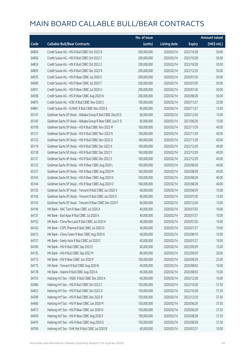|       |                                                             | No. of issue |                     |               | <b>Amount raised</b> |
|-------|-------------------------------------------------------------|--------------|---------------------|---------------|----------------------|
| Code  | <b>Callable Bull/Bear Contracts</b>                         | (units)      | <b>Listing date</b> | <b>Expiry</b> | (HK\$ mil.)          |
| 64854 | Credit Suisse AG - HSI R Bull CBBC Oct 2022 B               | 200,000,000  | 2020/02/14          | 2022/10/28    | 50.00                |
| 64856 | Credit Suisse AG - HSI R Bull CBBC Oct 2022 C               | 200,000,000  | 2020/02/14          | 2022/10/28    | 50.00                |
| 64824 | Credit Suisse AG - HSI R Bull CBBC Oct 2022 Z               | 200,000,000  | 2020/02/14          | 2022/10/28    | 50.00                |
| 64859 | Credit Suisse AG - HSI R Bull CBBC Dec 2022 R               | 200,000,000  | 2020/02/14          | 2022/12/29    | 50.00                |
| 64935 | Credit Suisse AG - HSI R Bear CBBC Jul 2020 S               | 200,000,000  | 2020/02/14          | 2020/07/30    | 50.00                |
| 64940 | Credit Suisse AG - HSI R Bear CBBC Jul 2020 T               | 200,000,000  | 2020/02/14          | 2020/07/30    | 50.00                |
| 64951 | Credit Suisse AG - HSI R Bear CBBC Jul 2020 U               | 200,000,000  | 2020/02/14          | 2020/07/30    | 50.00                |
| 64938 | Credit Suisse AG - HSI R Bear CBBC Aug 2020 N               | 200,000,000  | 2020/02/14          | 2020/08/28    | 50.00                |
| 64870 | Credit Suisse AG - ICBC R Bull CBBC Nov 2020 C              | 100,000,000  | 2020/02/14          | 2020/11/27    | 25.00                |
| 64861 | Credit Suisse AG - SUNAC R Bull CBBC Nov 2020 A             | 60,000,000   | 2020/02/14          | 2020/11/27    | 15.00                |
| 65147 | Goldman Sachs SP (Asia) - Alibaba Group R Bull CBBC Dec20 D | 60,000,000   | 2020/02/14          | 2020/12/30    | 15.00                |
| 65145 | Goldman Sachs SP (Asia) - Alibaba Group R Bear CBBC Jun21 D | 60,000,000   | 2020/02/14          | 2021/06/29    | 15.00                |
| 65109 | Goldman Sachs SP (Asia) - HSI R Bull CBBC Nov 2022 M        | 160,000,000  | 2020/02/14          | 2022/11/29    | 40.00                |
| 65121 | Goldman Sachs SP (Asia) - HSI R Bull CBBC Nov 2022 N        | 160,000,000  | 2020/02/14          | 2022/11/29    | 40.00                |
| 65122 | Goldman Sachs SP (Asia) - HSI R Bull CBBC Nov 2022 O        | 160,000,000  | 2020/02/14          | 2022/11/29    | 40.00                |
| 65114 | Goldman Sachs SP (Asia) - HSI R Bull CBBC Dec 2022 X        | 160,000,000  | 2020/02/14          | 2022/12/29    | 40.00                |
| 65128 | Goldman Sachs SP (Asia) - HSI R Bull CBBC Dec 2022 Y        | 160,000,000  | 2020/02/14          | 2022/12/29    | 40.00                |
| 65137 | Goldman Sachs SP (Asia) - HSI R Bull CBBC Dec 2022 Z        | 160,000,000  | 2020/02/14          | 2022/12/29    | 40.00                |
| 65123 | Goldman Sachs SP (Asia) - HSI R Bear CBBC Aug 2020 L        | 160,000,000  | 2020/02/14          | 2020/08/28    | 40.00                |
| 65127 | Goldman Sachs SP (Asia) - HSI R Bear CBBC Aug 2020 M        | 160,000,000  | 2020/02/14          | 2020/08/28    | 40.00                |
| 65143 | Goldman Sachs SP (Asia) - HSI R Bear CBBC Aug 2020 N        | 160,000,000  | 2020/02/14          | 2020/08/28    | 40.00                |
| 65144 | Goldman Sachs SP (Asia) - HSI R Bear CBBC Aug 2020 O        | 160,000,000  | 2020/02/14          | 2020/08/28    | 40.00                |
| 65155 | Goldman Sachs SP (Asia) - Tencent R Bull CBBC Jun 2020 V    | 60,000,000   | 2020/02/14          | 2020/06/29    | 15.00                |
| 65156 | Goldman Sachs SP (Asia) - Tencent R Bull CBBC Jul 2020 O    | 60,000,000   | 2020/02/14          | 2020/07/30    | 15.00                |
| 65153 | Goldman Sachs SP (Asia) - Tencent R Bear CBBC Dec 2020 F    | 60,000,000   | 2020/02/14          | 2020/12/30    | 15.00                |
| 64194 | HK Bank - AAC Tech R Bear CBBC Jul 2020 A                   | 40,000,000   | 2020/02/14          | 2020/07/02    | 10.00                |
| 64137 | HK Bank - Bud Apac R Bull CBBC Jul 2020 A                   | 40,000,000   | 2020/02/14          | 2020/07/27    | 10.00                |
| 64152 | HK Bank - China Res Land R Bull CBBC Jul 2020 A             | 40,000,000   | 2020/02/14          | 2020/07/20    | 10.00                |
| 64162 | HK Bank - CSPC Pharma R Bull CBBC Jul 2020 D                | 40,000,000   | 2020/02/14          | 2020/07/27    | 10.00                |
| 64215 | HK Bank - China Tower R Bear CBBC Aug 2020 A                | 40,000,000   | 2020/02/14          | 2020/08/10    | 10.00                |
| 64157 | HK Bank - Geely Auto R Bull CBBC Jul 2020 C                 | 40,000,000   | 2020/02/14          | 2020/07/27    | 10.00                |
| 64160 | HK Bank - HSI R Bull CBBC Sep 2022 E                        | 60,000,000   | 2020/02/14          | 2022/09/29    | 15.00                |
| 64135 | HK Bank - HSI R Bull CBBC Sep 2022 M                        | 80,000,000   | 2020/02/14          | 2022/09/29    | 20.00                |
| 64172 | HK Bank - HSI R Bear CBBC Jun 2020 P                        | 100,000,000  | 2020/02/14          | 2020/06/29    | 25.00                |
| 64175 | HK Bank - Tencent R Bull CBBC Aug 2020 B                    | 40,000,000   | 2020/02/14          | 2020/08/03    | 10.00                |
| 64178 | HK Bank - Xiaomi R Bull CBBC Aug 2020 A                     | 60,000,000   | 2020/02/14          | 2020/08/03    | 15.00                |
| 64753 | Haitong Int'l Sec - HSBC R Bull CBBC Dec 2020 A             | 40,000,000   | 2020/02/14          | 2020/12/28    | 10.00                |
| 64386 | Haitong Int'l Sec - HSI R Bull CBBC Oct 2022 C              | 150,000,000  | 2020/02/14          | 2022/10/28    | 37.50                |
| 64452 | Haitong Int'l Sec - HSI R Bull CBBC Oct 2022 D              | 150,000,000  | 2020/02/14          | 2022/10/28    | 37.50                |
| 64399 | Haitong Int'l Sec - HSI R Bull CBBC Dec 2022 R              | 150,000,000  | 2020/02/14          | 2022/12/29    | 37.50                |
| 64460 | Haitong Int'l Sec - HSI R Bear CBBC Jun 2020 M              | 150,000,000  | 2020/02/14          | 2020/06/29    | 37.50                |
| 64473 | Haitong Int'l Sec - HSI R Bear CBBC Jun 2020 N              | 150,000,000  | 2020/02/14          | 2020/06/29    | 37.50                |
| 64459 | Haitong Int'l Sec - HSI R Bear CBBC Aug 2020 F              | 150,000,000  | 2020/02/14          | 2020/08/28    | 37.50                |
| 64470 | Haitong Int'l Sec - HSI R Bear CBBC Aug 2020 G              | 150,000,000  | 2020/02/14          | 2020/08/28    | 37.50                |
| 64769 | Haitong Int'l Sec - SHK Ppt R Bull CBBC Jul 2020 B          | 40,000,000   | 2020/02/14          | 2020/07/21    | 10.00                |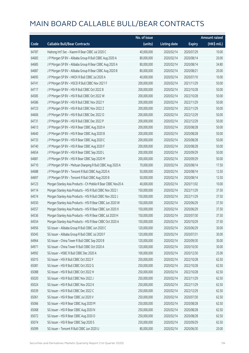|       |                                                              | No. of issue |                     |               | <b>Amount raised</b> |
|-------|--------------------------------------------------------------|--------------|---------------------|---------------|----------------------|
| Code  | <b>Callable Bull/Bear Contracts</b>                          | (units)      | <b>Listing date</b> | <b>Expiry</b> | $(HK\$ mil.)         |
| 64787 | Haitong Int'l Sec - Xiaomi R Bear CBBC Jul 2020 C            | 40,000,000   | 2020/02/14          | 2020/07/29    | 10.00                |
| 64683 | J P Morgan SP BV - Alibaba Group R Bull CBBC Aug 2020 A      | 80,000,000   | 2020/02/14          | 2020/08/14    | 20.00                |
| 64685 | J P Morgan SP BV - Alibaba Group R Bear CBBC Aug 2020 A      | 80,000,000   | 2020/02/14          | 2020/08/14    | 34.80                |
| 64687 | J P Morgan SP BV - Alibaba Group R Bear CBBC Aug 2020 B      | 80,000,000   | 2020/02/14          | 2020/08/21    | 20.00                |
| 64695 | J P Morgan SP BV - HKEX R Bull CBBC Jul 2020 A               | 40,000,000   | 2020/02/14          | 2020/07/10    | 10.00                |
| 64741 | J P Morgan SP BV - HSCEI R Bull CBBC Nov 2021 F              | 200,000,000  | 2020/02/14          | 2021/11/29    | 50.00                |
| 64717 | J P Morgan SP BV - HSI R Bull CBBC Oct 2022 B                | 200,000,000  | 2020/02/14          | 2022/10/28    | 50.00                |
| 64585 | J P Morgan SP BV - HSI R Bull CBBC Oct 2022 W                | 200,000,000  | 2020/02/14          | 2022/10/28    | 50.00                |
| 64586 | J P Morgan SP BV - HSI R Bull CBBC Nov 2022 Y                | 200,000,000  | 2020/02/14          | 2022/11/29    | 50.00                |
| 64723 | J P Morgan SP BV - HSI R Bull CBBC Nov 2022 Z                | 200,000,000  | 2020/02/14          | 2022/11/29    | 50.00                |
| 64606 | J P Morgan SP BV - HSI R Bull CBBC Dec 2022 O                | 200,000,000  | 2020/02/14          | 2022/12/29    | 50.00                |
| 64731 | J P Morgan SP BV - HSI R Bull CBBC Dec 2022 P                | 200,000,000  | 2020/02/14          | 2022/12/29    | 50.00                |
| 64613 | J P Morgan SP BV - HSI R Bear CBBC Aug 2020 A                | 200,000,000  | 2020/02/14          | 2020/08/28    | 50.00                |
| 64640 | J P Morgan SP BV - HSI R Bear CBBC Aug 2020 B                | 200,000,000  | 2020/02/14          | 2020/08/28    | 50.00                |
| 64733 | J P Morgan SP BV - HSI R Bear CBBC Aug 2020 C                | 200,000,000  | 2020/02/14          | 2020/08/28    | 50.00                |
| 64740 | J P Morgan SP BV - HSI R Bear CBBC Aug 2020 F                | 200,000,000  | 2020/02/14          | 2020/08/28    | 50.00                |
| 64654 | J P Morgan SP BV - HSI R Bear CBBC Sep 2020 L                | 200,000,000  | 2020/02/14          | 2020/09/29    | 50.00                |
| 64681 | J P Morgan SP BV - HSI R Bear CBBC Sep 2020 M                | 200,000,000  | 2020/02/14          | 2020/09/29    | 50.00                |
| 64710 | J P Morgan SP BV - Meituan Dianping R Bull CBBC Aug 2020 A   | 70,000,000   | 2020/02/14          | 2020/08/14    | 17.50                |
| 64688 | J P Morgan SP BV - Tencent R Bull CBBC Aug 2020 A            | 50,000,000   | 2020/02/14          | 2020/08/14    | 12.50                |
| 64697 | J P Morgan SP BV - Tencent R Bull CBBC Aug 2020 B            | 50,000,000   | 2020/02/14          | 2020/08/14    | 12.50                |
| 64123 | Morgan Stanley Asia Products - Ch Mobile R Bear CBBC Nov20 A | 40,000,000   | 2020/02/14          | 2020/11/02    | 10.00                |
| 64114 | Morgan Stanley Asia Products - HSI R Bull CBBC Nov 2022 I    | 150,000,000  | 2020/02/14          | 2022/11/29    | 37.50                |
| 64574 | Morgan Stanley Asia Products - HSI R Bull CBBC Nov 2022 J    | 150,000,000  | 2020/02/14          | 2022/11/29    | 37.50                |
| 64550 | Morgan Stanley Asia Products - HSI R Bear CBBC Jun 2020 W    | 150,000,000  | 2020/02/14          | 2020/06/29    | 37.50                |
| 64557 | Morgan Stanley Asia Products - HSI R Bear CBBC Jun 2020 X    | 150,000,000  | 2020/02/14          | 2020/06/29    | 37.50                |
| 64536 | Morgan Stanley Asia Products - HSI R Bear CBBC Jul 2020 H    | 150,000,000  | 2020/02/14          | 2020/07/30    | 37.50                |
| 64554 | Morgan Stanley Asia Products - HSI R Bear CBBC Oct 2020 A    | 150,000,000  | 2020/02/14          | 2020/10/29    | 37.50                |
| 64956 | SG Issuer - Alibaba Group R Bull CBBC Jun 2020 C             | 120,000,000  | 2020/02/14          | 2020/06/29    | 30.00                |
| 65045 | SG Issuer - Alibaba Group R Bull CBBC Jul 2020 F             | 120,000,000  | 2020/02/14          | 2020/07/31    | 30.00                |
| 64964 | SG Issuer - China Tower R Bull CBBC Sep 2020 B               | 120,000,000  | 2020/02/14          | 2020/09/30    | 30.00                |
| 64971 | SG Issuer - China Tower R Bull CBBC Oct 2020 A               | 120,000,000  | 2020/02/14          | 2020/10/30    | 30.00                |
| 64992 | SG Issuer - HSBC R Bull CBBC Dec 2020 A                      | 100,000,000  | 2020/02/14          | 2020/12/30    | 25.00                |
| 65015 | SG Issuer - HSI R Bull CBBC Oct 2022 F                       | 250,000,000  | 2020/02/14          | 2022/10/28    | 62.50                |
| 65081 | SG Issuer - HSI R Bull CBBC Oct 2022 G                       | 250,000,000  | 2020/02/14          | 2022/10/28    | 62.50                |
| 65088 | SG Issuer - HSI R Bull CBBC Oct 2022 H                       | 250,000,000  | 2020/02/14          | 2022/10/28    | 62.50                |
| 65020 | SG Issuer - HSI R Bull CBBC Nov 2022 J                       | 250,000,000  | 2020/02/14          | 2022/11/29    | 62.50                |
| 65024 | SG Issuer - HSI R Bull CBBC Nov 2022 K                       | 250,000,000  | 2020/02/14          | 2022/11/29    | 62.50                |
| 65039 | SG Issuer - HSI R Bull CBBC Dec 2022 C                       | 250,000,000  | 2020/02/14          | 2022/12/29    | 62.50                |
| 65061 | SG Issuer - HSI R Bear CBBC Jul 2020 V                       | 250,000,000  | 2020/02/14          | 2020/07/30    | 62.50                |
| 65066 | SG Issuer - HSI R Bear CBBC Aug 2020 M                       | 250,000,000  | 2020/02/14          | 2020/08/28    | 62.50                |
| 65068 | SG Issuer - HSI R Bear CBBC Aug 2020 N                       | 250,000,000  | 2020/02/14          | 2020/08/28    | 62.50                |
| 65072 | SG Issuer - HSI R Bear CBBC Aug 2020 O                       | 250,000,000  | 2020/02/14          | 2020/08/28    | 62.50                |
| 65074 | SG Issuer - HSI R Bear CBBC Sep 2020 S                       | 250,000,000  | 2020/02/14          | 2020/09/29    | 62.50                |
| 65099 | SG Issuer - Tencent R Bull CBBC Jun 2020 U                   | 80,000,000   | 2020/02/14          | 2020/06/30    | 20.00                |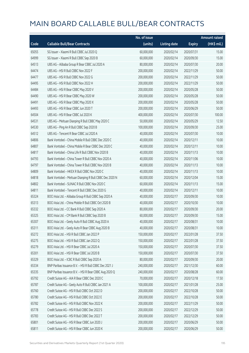|       |                                                         | No. of issue |                     |               | <b>Amount raised</b> |
|-------|---------------------------------------------------------|--------------|---------------------|---------------|----------------------|
| Code  | <b>Callable Bull/Bear Contracts</b>                     | (units)      | <b>Listing date</b> | <b>Expiry</b> | (HK\$ mil.)          |
| 65055 | SG Issuer - Xiaomi R Bull CBBC Jul 2020 Q               | 60,000,000   | 2020/02/14          | 2020/07/31    | 15.00                |
| 64999 | SG Issuer - Xiaomi R Bull CBBC Sep 2020 B               | 60,000,000   | 2020/02/14          | 2020/09/30    | 15.00                |
| 64513 | UBS AG - Alibaba Group R Bear CBBC Jul 2020 A           | 80,000,000   | 2020/02/14          | 2020/07/30    | 20.00                |
| 64474 | UBS AG - HSI R Bull CBBC Nov 2022 F                     | 200,000,000  | 2020/02/14          | 2022/11/29    | 50.00                |
| 64477 | UBS AG - HSI R Bull CBBC Nov 2022 G                     | 200,000,000  | 2020/02/14          | 2022/11/29    | 50.00                |
| 64495 | UBS AG - HSI R Bull CBBC Nov 2022 H                     | 200,000,000  | 2020/02/14          | 2022/11/29    | 50.00                |
| 64484 | UBS AG - HSI R Bear CBBC May 2020 V                     | 200,000,000  | 2020/02/14          | 2020/05/28    | 50.00                |
| 64490 | UBS AG - HSI R Bear CBBC May 2020 W                     | 200,000,000  | 2020/02/14          | 2020/05/28    | 50.00                |
| 64491 | UBS AG - HSI R Bear CBBC May 2020 X                     | 200,000,000  | 2020/02/14          | 2020/05/28    | 50.00                |
| 64493 | UBS AG - HSI R Bear CBBC Jun 2020 T                     | 200,000,000  | 2020/02/14          | 2020/06/29    | 50.00                |
| 64504 | UBS AG - HSI R Bear CBBC Jul 2020 K                     | 400,000,000  | 2020/02/14          | 2020/07/30    | 100.00               |
| 64531 | UBS AG - Meituan Dianping R Bull CBBC May 2020 C        | 50,000,000   | 2020/02/14          | 2020/05/29    | 12.50                |
| 64530 | UBS AG - Ping An R Bull CBBC Sep 2020 B                 | 100,000,000  | 2020/02/14          | 2020/09/30    | 25.00                |
| 64512 | UBS AG - Tencent R Bear CBBC Jul 2020 A                 | 40,000,000   | 2020/02/14          | 2020/07/30    | 10.00                |
| 64806 | Bank Vontobel - China Mobile R Bull CBBC Dec 2020 C     | 40,000,000   | 2020/02/14          | 2020/12/11    | 10.00                |
| 64807 | Bank Vontobel - China Mobile R Bear CBBC Dec 2020 C     | 40,000,000   | 2020/02/14          | 2020/12/11    | 10.00                |
| 64817 | Bank Vontobel - China Life R Bull CBBC Nov 2020 B       | 40,000,000   | 2020/02/14          | 2020/11/13    | 10.00                |
| 64793 | Bank Vontobel - China Tower R Bull CBBC Nov 2020 A      | 40,000,000   | 2020/02/14          | 2020/11/06    | 10.00                |
| 64797 | Bank Vontobel - China Tower R Bull CBBC Nov 2020 B      | 40,000,000   | 2020/02/14          | 2020/11/13    | 10.00                |
| 64809 | Bank Vontobel - HKEX R Bull CBBC Nov 2020 C             | 40,000,000   | 2020/02/14          | 2020/11/13    | 10.00                |
| 64818 | Bank Vontobel - Meituan Dianping R Bull CBBC Dec 2020 N | 60,000,000   | 2020/02/14          | 2020/12/04    | 15.00                |
| 64802 | Bank Vontobel - SUNAC R Bull CBBC Nov 2020 C            | 60,000,000   | 2020/02/14          | 2020/11/13    | 15.00                |
| 64811 | Bank Vontobel - Tencent R Bull CBBC Dec 2020 G          | 40,000,000   | 2020/02/14          | 2020/12/11    | 10.00                |
| 65324 | BOCI Asia Ltd. - Alibaba Group R Bull CBBC Sep 2020 A   | 40,000,000   | 2020/02/17          | 2020/09/30    | 10.00                |
| 65313 | BOCI Asia Ltd. - China Mobile R Bull CBBC Oct 2020 B    | 40,000,000   | 2020/02/17          | 2020/10/30    | 10.00                |
| 65332 | BOCI Asia Ltd. - CC Bank R Bull CBBC Sep 2020 A         | 80,000,000   | 2020/02/17          | 2020/09/30    | 20.00                |
| 65325 | BOCI Asia Ltd. - CM Bank R Bull CBBC Sep 2020 B         | 60,000,000   | 2020/02/17          | 2020/09/30    | 15.00                |
| 65307 | BOCI Asia Ltd. - Geely Auto R Bull CBBC Aug 2020 A      | 40,000,000   | 2020/02/17          | 2020/08/31    | 10.00                |
| 65311 | BOCI Asia Ltd. - Geely Auto R Bear CBBC Aug 2020 B      | 40,000,000   | 2020/02/17          | 2020/08/31    | 10.00                |
| 65272 | BOCI Asia Ltd. - HSI R Bull CBBC Jan 2022 P             | 150,000,000  | 2020/02/17          | 2022/01/28    | 37.50                |
| 65275 | BOCI Asia Ltd. - HSI R Bull CBBC Jan 2022 Q             | 150,000,000  | 2020/02/17          | 2022/01/28    | 37.50                |
| 65279 | BOCI Asia Ltd. - HSI R Bear CBBC Jul 2020 A             | 150,000,000  | 2020/02/17          | 2020/07/30    | 37.50                |
| 65301 | BOCI Asia Ltd. - HSI R Bear CBBC Jul 2020 B             | 150,000,000  | 2020/02/17          | 2020/07/30    | 37.50                |
| 65329 | BOCI Asia Ltd. - ICBC R Bull CBBC Sep 2020 A            | 80,000,000   | 2020/02/17          | 2020/09/30    | 20.00                |
| 65334 | BNP Paribas Issuance B.V. - HSI R Bull CBBC Dec 2021 J  | 240,000,000  | 2020/02/17          | 2021/12/30    | 60.00                |
| 65335 | BNP Paribas Issuance B.V. - HSI R Bear CBBC Aug 2020 Q  | 240,000,000  | 2020/02/17          | 2020/08/28    | 60.00                |
| 65792 | Credit Suisse AG - AIA R Bear CBBC Dec 2020 C           | 70,000,000   | 2020/02/17          | 2020/12/18    | 17.50                |
| 65787 | Credit Suisse AG - Geely Auto R Bull CBBC Jan 2021 A    | 100,000,000  | 2020/02/17          | 2021/01/28    | 25.00                |
| 65760 | Credit Suisse AG - HSI R Bull CBBC Oct 2022 D           | 200,000,000  | 2020/02/17          | 2022/10/28    | 50.00                |
| 65780 | Credit Suisse AG - HSI R Bull CBBC Oct 2022 E           | 200,000,000  | 2020/02/17          | 2022/10/28    | 50.00                |
| 65782 | Credit Suisse AG - HSI R Bull CBBC Nov 2022 K           | 200,000,000  | 2020/02/17          | 2022/11/29    | 50.00                |
| 65778 | Credit Suisse AG - HSI R Bull CBBC Dec 2022 S           | 200,000,000  | 2020/02/17          | 2022/12/29    | 50.00                |
| 65783 | Credit Suisse AG - HSI R Bull CBBC Dec 2022 T           | 200,000,000  | 2020/02/17          | 2022/12/29    | 50.00                |
| 65801 | Credit Suisse AG - HSI R Bear CBBC Jun 2020 J           | 200,000,000  | 2020/02/17          | 2020/06/29    | 50.00                |
| 65811 | Credit Suisse AG - HSI R Bear CBBC Jun 2020 K           | 200,000,000  | 2020/02/17          | 2020/06/29    | 50.00                |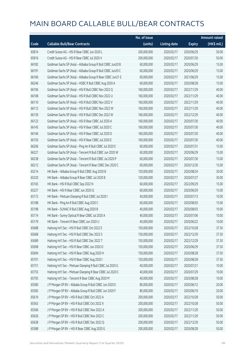|       |                                                             | No. of issue |                     |               | <b>Amount raised</b> |
|-------|-------------------------------------------------------------|--------------|---------------------|---------------|----------------------|
| Code  | <b>Callable Bull/Bear Contracts</b>                         | (units)      | <b>Listing date</b> | <b>Expiry</b> | (HK\$ mil.)          |
| 65814 | Credit Suisse AG - HSI R Bear CBBC Jun 2020 L               | 200,000,000  | 2020/02/17          | 2020/06/29    | 50.00                |
| 65816 | Credit Suisse AG - HSI R Bear CBBC Jul 2020 V               | 200,000,000  | 2020/02/17          | 2020/07/30    | 50.00                |
| 66182 | Goldman Sachs SP (Asia) - Alibaba Group R Bull CBBC Jun20 B | 60,000,000   | 2020/02/17          | 2020/06/29    | 15.00                |
| 66191 | Goldman Sachs SP (Asia) - Alibaba Group R Bull CBBC Jun20 C | 60,000,000   | 2020/02/17          | 2020/06/29    | 15.00                |
| 66166 | Goldman Sachs SP (Asia) - Alibaba Group R Bear CBBC Jun21 E | 60,000,000   | 2020/02/17          | 2021/06/29    | 15.00                |
| 66246 | Goldman Sachs SP (Asia) - HSBC R Bull CBBC Aug 2020 A       | 60,000,000   | 2020/02/17          | 2020/08/28    | 15.00                |
| 66106 | Goldman Sachs SP (Asia) - HSI R Bull CBBC Nov 2022 Q        | 160,000,000  | 2020/02/17          | 2022/11/29    | 40.00                |
| 66108 | Goldman Sachs SP (Asia) - HSI R Bull CBBC Nov 2022 U        | 160,000,000  | 2020/02/17          | 2022/11/29    | 40.00                |
| 66110 | Goldman Sachs SP (Asia) - HSI R Bull CBBC Nov 2022 V        | 160,000,000  | 2020/02/17          | 2022/11/29    | 40.00                |
| 66112 | Goldman Sachs SP (Asia) - HSI R Bull CBBC Nov 2022 W        | 160,000,000  | 2020/02/17          | 2022/11/29    | 40.00                |
| 66139 | Goldman Sachs SP (Asia) - HSI R Bull CBBC Dec 2022 W        | 160,000,000  | 2020/02/17          | 2022/12/29    | 40.00                |
| 66123 | Goldman Sachs SP (Asia) - HSI R Bear CBBC Jul 2020 A        | 160,000,000  | 2020/02/17          | 2020/07/30    | 40.00                |
| 66145 | Goldman Sachs SP (Asia) - HSI R Bear CBBC Jul 2020 C        | 160,000,000  | 2020/02/17          | 2020/07/30    | 40.00                |
| 66146 | Goldman Sachs SP (Asia) - HSI R Bear CBBC Jul 2020 D        | 160,000,000  | 2020/02/17          | 2020/07/30    | 40.00                |
| 66150 | Goldman Sachs SP (Asia) - HSI R Bear CBBC Jul 2020 E        | 160,000,000  | 2020/02/17          | 2020/07/30    | 40.00                |
| 66206 | Goldman Sachs SP (Asia) - Ping An R Bull CBBC Jul 2020 E    | 60,000,000   | 2020/02/17          | 2020/07/31    | 15.00                |
| 66227 | Goldman Sachs SP (Asia) - Tencent R Bull CBBC Jun 2020 W    | 60,000,000   | 2020/02/17          | 2020/06/29    | 15.00                |
| 66238 | Goldman Sachs SP (Asia) - Tencent R Bull CBBC Jul 2020 P    | 60,000,000   | 2020/02/17          | 2020/07/30    | 15.00                |
| 66212 | Goldman Sachs SP (Asia) - Tencent R Bear CBBC Dec 2020 C    | 60,000,000   | 2020/02/17          | 2020/12/30    | 15.00                |
| 65214 | HK Bank - Alibaba Group R Bull CBBC Aug 2020 B              | 120,000,000  | 2020/02/17          | 2020/08/24    | 30.00                |
| 65220 | HK Bank - Alibaba Group R Bear CBBC Jul 2020 B              | 120,000,000  | 2020/02/17          | 2020/07/27    | 30.00                |
| 65165 | HK Bank - HSI R Bull CBBC Sep 2022 N                        | 60,000,000   | 2020/02/17          | 2022/09/29    | 15.00                |
| 65227 | HK Bank - HSI R Bear CBBC Jun 2020 Q                        | 60,000,000   | 2020/02/17          | 2020/06/29    | 15.00                |
| 65172 | HK Bank - Meituan Dianping R Bull CBBC Jul 2020 I           | 40,000,000   | 2020/02/17          | 2020/07/13    | 10.00                |
| 65188 | HK Bank - Ping An R Bull CBBC Aug 2020 C                    | 60,000,000   | 2020/02/17          | 2020/08/03    | 15.00                |
| 65198 | HK Bank - SUNAC R Bull CBBC Aug 2020 B                      | 40,000,000   | 2020/02/17          | 2020/08/03    | 10.00                |
| 65174 | HK Bank - Sunny Optical R Bear CBBC Jul 2020 A              | 40,000,000   | 2020/02/17          | 2020/07/06    | 10.00                |
| 65179 | HK Bank - Tencent R Bear CBBC Jun 2020 U                    | 40,000,000   | 2020/02/17          | 2020/06/22    | 10.00                |
| 65688 | Haitong Int'l Sec - HSI R Bull CBBC Oct 2022 E              | 150,000,000  | 2020/02/17          | 2022/10/28    | 37.50                |
| 65668 | Haitong Int'l Sec - HSI R Bull CBBC Dec 2022 S              | 150,000,000  | 2020/02/17          | 2022/12/29    | 37.50                |
| 65689 | Haitong Int'l Sec - HSI R Bull CBBC Dec 2022 T              | 150,000,000  | 2020/02/17          | 2022/12/29    | 37.50                |
| 65698 | Haitong Int'l Sec - HSI R Bear CBBC Jun 2020 O              | 150,000,000  | 2020/02/17          | 2020/06/29    | 37.50                |
| 65694 | Haitong Int'l Sec - HSI R Bear CBBC Aug 2020 H              | 150,000,000  | 2020/02/17          | 2020/08/28    | 37.50                |
| 65701 | Haitong Int'l Sec - HSI R Bear CBBC Aug 2020 I              | 150,000,000  | 2020/02/17          | 2020/08/28    | 37.50                |
| 65751 | Haitong Int'l Sec - Meituan Dianping R Bull CBBC Jul 2020 G | 40,000,000   | 2020/02/17          | 2020/07/21    | 10.00                |
| 65755 | Haitong Int'l Sec - Meituan Dianping R Bear CBBC Jul 2020 C | 40,000,000   | 2020/02/17          | 2020/07/29    | 10.00                |
| 65705 | Haitong Int'l Sec - Tencent R Bear CBBC Aug 2020 M          | 40,000,000   | 2020/02/17          | 2020/08/28    | 10.00                |
| 65580 | J P Morgan SP BV - Alibaba Group R Bull CBBC Jun 2020 E     | 80,000,000   | 2020/02/17          | 2020/06/12    | 20.00                |
| 65582 | J P Morgan SP BV - Alibaba Group R Bull CBBC Jun 2020 F     | 80,000,000   | 2020/02/17          | 2020/06/19    | 20.00                |
| 65619 | J P Morgan SP BV - HSI R Bull CBBC Oct 2022 A               | 200,000,000  | 2020/02/17          | 2022/10/28    | 50.00                |
| 65563 | J P Morgan SP BV - HSI R Bull CBBC Oct 2022 X               | 200,000,000  | 2020/02/17          | 2022/10/28    | 50.00                |
| 65566 | J P Morgan SP BV - HSI R Bull CBBC Nov 2022 A               | 200,000,000  | 2020/02/17          | 2022/11/29    | 50.00                |
| 65626 | J P Morgan SP BV - HSI R Bull CBBC Nov 2022 C               | 200,000,000  | 2020/02/17          | 2022/11/29    | 50.00                |
| 65638 | J P Morgan SP BV - HSI R Bull CBBC Dec 2022 Q               | 200,000,000  | 2020/02/17          | 2022/12/29    | 50.00                |
| 65588 | J P Morgan SP BV - HSI R Bear CBBC Aug 2020 G               | 200,000,000  | 2020/02/17          | 2020/08/28    | 50.00                |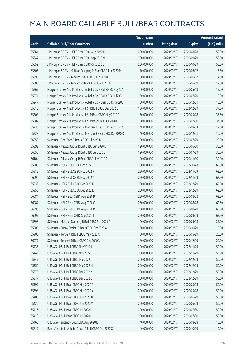|       |                                                              | No. of issue |                     |               | <b>Amount raised</b>  |
|-------|--------------------------------------------------------------|--------------|---------------------|---------------|-----------------------|
| Code  | <b>Callable Bull/Bear Contracts</b>                          | (units)      | <b>Listing date</b> | <b>Expiry</b> | $(HK\frac{1}{2}mil.)$ |
| 65664 | J P Morgan SP BV - HSI R Bear CBBC Aug 2020 H                | 200,000,000  | 2020/02/17          | 2020/08/28    | 50.00                 |
| 65647 | J P Morgan SP BV - HSI R Bear CBBC Sep 2020 N                | 200,000,000  | 2020/02/17          | 2020/09/29    | 50.00                 |
| 65659 | J P Morgan SP BV - HSI R Bear CBBC Oct 2020 L                | 200,000,000  | 2020/02/17          | 2020/10/29    | 50.00                 |
| 65606 | J P Morgan SP BV - Meituan Dianping R Bear CBBC Jun 2020 M   | 70,000,000   | 2020/02/17          | 2020/06/12    | 17.50                 |
| 65595 | J P Morgan SP BV - Tencent R Bull CBBC Jun 2020 U            | 50,000,000   | 2020/02/17          | 2020/06/12    | 14.50                 |
| 65600 | J P Morgan SP BV - Tencent R Bear CBBC Jun 2020 U            | 50,000,000   | 2020/02/17          | 2020/06/19    | 12.50                 |
| 65267 | Morgan Stanley Asia Products - Alibaba Gp R Bull CBBC May20A | 60,000,000   | 2020/02/17          | 2020/05/18    | 15.00                 |
| 65271 | Morgan Stanley Asia Products - Alibaba Gp R Bull CBBC Jul20B | 60,000,000   | 2020/02/17          | 2020/07/20    | 15.00                 |
| 65247 | Morgan Stanley Asia Products - Alibaba Gp R Bear CBBC Dec20D | 60,000,000   | 2020/02/17          | 2020/12/01    | 15.00                 |
| 65513 | Morgan Stanley Asia Products - HSI R Bull CBBC Dec 2022 G    | 150,000,000  | 2020/02/17          | 2022/12/29    | 37.50                 |
| 65503 | Morgan Stanley Asia Products - HSI R Bear CBBC May 2020 P    | 150,000,000  | 2020/02/17          | 2020/05/28    | 37.50                 |
| 65502 | Morgan Stanley Asia Products - HSI R Bear CBBC Jul 2020 I    | 150,000,000  | 2020/02/17          | 2020/07/30    | 37.50                 |
| 65230 | Morgan Stanley Asia Products - Meituan R Bull CBBC Aug2020 A | 48,000,000   | 2020/02/17          | 2020/08/03    | 12.00                 |
| 65228 | Morgan Stanley Asia Products - Meituan R Bear CBBC Dec2020 D | 40,000,000   | 2020/02/17          | 2020/12/01    | 10.00                 |
| 66050 | SG Issuer - AAC Tech R Bear CBBC Jul 2020 B                  | 100,000,000  | 2020/02/17          | 2020/07/29    | 25.00                 |
| 65892 | SG Issuer - Alibaba Group R Bull CBBC Jun 2020 D             | 120,000,000  | 2020/02/17          | 2020/06/30    | 30.00                 |
| 66058 | SG Issuer - Alibaba Group R Bull CBBC Jul 2020 G             | 120,000,000  | 2020/02/17          | 2020/07/29    | 30.00                 |
| 66104 | SG Issuer - Alibaba Group R Bear CBBC Nov 2020 C             | 120,000,000  | 2020/02/17          | 2020/11/30    | 30.00                 |
| 65908 | SG Issuer - HSI R Bull CBBC Oct 2022 I                       | 250,000,000  | 2020/02/17          | 2022/10/28    | 62.50                 |
| 65915 | SG Issuer - HSI R Bull CBBC Nov 2022 R                       | 250,000,000  | 2020/02/17          | 2022/11/29    | 62.50                 |
| 66096 | SG Issuer - HSI R Bull CBBC Nov 2022 Y                       | 250,000,000  | 2020/02/17          | 2022/11/29    | 62.50                 |
| 65938 | SG Issuer - HSI R Bull CBBC Dec 2022 D                       | 250,000,000  | 2020/02/17          | 2022/12/29    | 62.50                 |
| 65958 | SG Issuer - HSI R Bull CBBC Dec 2022 E                       | 250,000,000  | 2020/02/17          | 2022/12/29    | 62.50                 |
| 66084 | SG Issuer - HSI R Bear CBBC Aug 2020 P                       | 250,000,000  | 2020/02/17          | 2020/08/28    | 62.50                 |
| 66087 | SG Issuer - HSI R Bear CBBC Aug 2020 Q                       | 250,000,000  | 2020/02/17          | 2020/08/28    | 62.50                 |
| 66093 | SG Issuer - HSI R Bear CBBC Aug 2020 R                       | 250,000,000  | 2020/02/17          | 2020/08/28    | 62.50                 |
| 66097 | SG Issuer - HSI R Bear CBBC Sep 2020 T                       | 250,000,000  | 2020/02/17          | 2020/09/29    | 62.50                 |
| 65898 | SG Issuer - Meituan Dianping R Bull CBBC Sep 2020 A          | 100,000,000  | 2020/02/17          | 2020/09/28    | 25.00                 |
| 65905 | SG Issuer - Sunny Optical R Bear CBBC Oct 2020 A             | 60,000,000   | 2020/02/17          | 2020/10/29    | 15.00                 |
| 65906 | SG Issuer - Tencent R Bull CBBC May 2020 O                   | 80,000,000   | 2020/02/17          | 2020/05/29    | 20.00                 |
| 66077 | SG Issuer - Tencent R Bear CBBC Dec 2020 V                   | 80,000,000   | 2020/02/17          | 2020/12/29    | 20.00                 |
| 65436 | UBS AG - HSI R Bull CBBC Nov 2022 I                          | 200,000,000  | 2020/02/17          | 2022/11/29    | 50.00                 |
| 65441 | UBS AG - HSI R Bull CBBC Nov 2022 J                          | 200,000,000  | 2020/02/17          | 2022/11/29    | 50.00                 |
| 65347 | UBS AG - HSI R Bull CBBC Dec 2022 L                          | 200,000,000  | 2020/02/17          | 2022/12/29    | 50.00                 |
| 65350 | UBS AG - HSI R Bull CBBC Dec 2022 M                          | 200,000,000  | 2020/02/17          | 2022/12/29    | 50.00                 |
| 65376 | UBS AG - HSI R Bull CBBC Dec 2022 N                          | 200,000,000  | 2020/02/17          | 2022/12/29    | 50.00                 |
| 65377 | UBS AG - HSI R Bull CBBC Dec 2022 O                          | 200,000,000  | 2020/02/17          | 2022/12/29    | 50.00                 |
| 65397 | UBS AG - HSI R Bear CBBC May 2020 A                          | 200,000,000  | 2020/02/17          | 2020/05/28    | 50.00                 |
| 65398 | UBS AG - HSI R Bear CBBC May 2020 Y                          | 200,000,000  | 2020/02/17          | 2020/05/28    | 50.00                 |
| 65405 | UBS AG - HSI R Bear CBBC Jun 2020 U                          | 200,000,000  | 2020/02/17          | 2020/06/29    | 50.00                 |
| 65422 | UBS AG - HSI R Bear CBBC Jun 2020 V                          | 200,000,000  | 2020/02/17          | 2020/06/29    | 50.00                 |
| 65416 | UBS AG - HSI R Bear CBBC Jul 2020 L                          | 200,000,000  | 2020/02/17          | 2020/07/30    | 50.00                 |
| 65419 | UBS AG - HSI R Bear CBBC Jul 2020 M                          | 200,000,000  | 2020/02/17          | 2020/07/30    | 50.00                 |
| 65460 | UBS AG - Tencent R Bull CBBC Aug 2020 E                      | 40,000,000   | 2020/02/17          | 2020/08/28    | 10.00                 |
| 65817 | Bank Vontobel - Alibaba Group R Bull CBBC Oct 2020 C         | 40,000,000   | 2020/02/17          | 2020/10/09    | 10.00                 |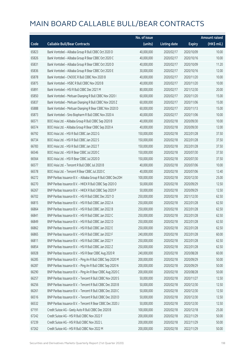|       |                                                              | No. of issue |                     |               | <b>Amount raised</b> |
|-------|--------------------------------------------------------------|--------------|---------------------|---------------|----------------------|
| Code  | <b>Callable Bull/Bear Contracts</b>                          | (units)      | <b>Listing date</b> | <b>Expiry</b> | (HK\$ mil.)          |
| 65823 | Bank Vontobel - Alibaba Group R Bull CBBC Oct 2020 D         | 40,000,000   | 2020/02/17          | 2020/10/09    | 10.00                |
| 65826 | Bank Vontobel - Alibaba Group R Bear CBBC Oct 2020 C         | 40,000,000   | 2020/02/17          | 2020/10/16    | 10.00                |
| 65831 | Bank Vontobel - Alibaba Group R Bear CBBC Oct 2020 D         | 40,000,000   | 2020/02/17          | 2020/10/09    | 11.20                |
| 65836 | Bank Vontobel - Alibaba Group R Bear CBBC Oct 2020 E         | 30,000,000   | 2020/02/17          | 2020/10/16    | 12.00                |
| 65878 | Bank Vontobel - CNOOC R Bull CBBC Nov 2020 B                 | 40,000,000   | 2020/02/17          | 2020/11/20    | 10.00                |
| 65875 | Bank Vontobel - HSBC R Bull CBBC Nov 2020 B                  | 40,000,000   | 2020/02/17          | 2020/11/20    | 10.00                |
| 65891 | Bank Vontobel - HSI R Bull CBBC Dec 2021 M                   | 80,000,000   | 2020/02/17          | 2021/12/30    | 20.00                |
| 65850 | Bank Vontobel - Meituan Dianping R Bull CBBC Nov 2020 I      | 60,000,000   | 2020/02/17          | 2020/11/20    | 15.00                |
| 65837 | Bank Vontobel - Meituan Dianping R Bull CBBC Nov 2020 Z      | 60,000,000   | 2020/02/17          | 2020/11/06    | 15.00                |
| 65888 | Bank Vontobel - Meituan Dianping R Bear CBBC Nov 2020 D      | 60,000,000   | 2020/02/17          | 2020/11/13    | 15.00                |
| 65873 | Bank Vontobel - Sino Biopharm R Bull CBBC Nov 2020 A         | 40,000,000   | 2020/02/17          | 2020/11/06    | 10.00                |
| 66571 | BOCI Asia Ltd. - Alibaba Group R Bull CBBC Sep 2020 B        | 40,000,000   | 2020/02/18          | 2020/09/30    | 10.00                |
| 66574 | BOCI Asia Ltd. - Alibaba Group R Bear CBBC Sep 2020 A        | 40,000,000   | 2020/02/18          | 2020/09/30    | 12.00                |
| 66792 | BOCI Asia Ltd. - HSI R Bull CBBC Jan 2022 G                  | 150,000,000  | 2020/02/18          | 2022/01/28    | 37.50                |
| 66734 | BOCI Asia Ltd. - HSI R Bull CBBC Jan 2022 S                  | 150,000,000  | 2020/02/18          | 2022/01/28    | 37.50                |
| 66783 | BOCI Asia Ltd. - HSI R Bull CBBC Jan 2022 T                  | 150,000,000  | 2020/02/18          | 2022/01/28    | 37.50                |
| 66546 | BOCI Asia Ltd. - HSI R Bear CBBC Jul 2020 C                  | 150,000,000  | 2020/02/18          | 2020/07/30    | 37.50                |
| 66564 | BOCI Asia Ltd. - HSI R Bear CBBC Jul 2020 D                  | 150,000,000  | 2020/02/18          | 2020/07/30    | 37.50                |
| 66577 | BOCI Asia Ltd. - Tencent R Bull CBBC Jul 2020 B              | 40,000,000   | 2020/02/18          | 2020/07/06    | 10.00                |
| 66578 | BOCI Asia Ltd. - Tencent R Bear CBBC Jul 2020 C              | 40,000,000   | 2020/02/18          | 2020/07/06    | 12.40                |
| 66272 | BNP Paribas Issuance B.V. - Alibaba Group R Bull CBBC Dec20H | 100,000,000  | 2020/02/18          | 2020/12/30    | 25.00                |
| 66270 | BNP Paribas Issuance B.V. - HKEX R Bull CBBC Sep 2020 O      | 50,000,000   | 2020/02/18          | 2020/09/29    | 12.50                |
| 66267 | BNP Paribas Issuance B.V. - HKEX R Bull CBBC Sep 2020 P      | 50,000,000   | 2020/02/18          | 2020/09/29    | 12.50                |
| 66702 | BNP Paribas Issuance B.V. - HSI R Bull CBBC Dec 2021 O       | 250,000,000  | 2020/02/18          | 2021/12/30    | 62.50                |
| 66815 | BNP Paribas Issuance B.V. - HSI R Bull CBBC Jan 2022 A       | 250,000,000  | 2020/02/18          | 2022/01/28    | 62.50                |
| 66864 | BNP Paribas Issuance B.V. - HSI R Bull CBBC Jan 2022 B       | 250,000,000  | 2020/02/18          | 2022/01/28    | 62.50                |
| 66841 | BNP Paribas Issuance B.V. - HSI R Bull CBBC Jan 2022 C       | 250,000,000  | 2020/02/18          | 2022/01/28    | 62.50                |
| 66849 | BNP Paribas Issuance B.V. - HSI R Bull CBBC Jan 2022 D       | 250,000,000  | 2020/02/18          | 2022/01/28    | 62.50                |
| 66862 | BNP Paribas Issuance B.V. - HSI R Bull CBBC Jan 2022 E       | 250,000,000  | 2020/02/18          | 2022/01/28    | 62.50                |
| 66865 | BNP Paribas Issuance B.V. - HSI R Bull CBBC Jan 2022 F       | 240,000,000  | 2020/02/18          | 2022/01/28    | 60.00                |
| 66811 | BNP Paribas Issuance B.V. - HSI R Bull CBBC Jan 2022 Y       | 250,000,000  | 2020/02/18          | 2022/01/28    | 62.50                |
| 66854 | BNP Paribas Issuance B.V. - HSI R Bull CBBC Jan 2022 Z       | 250,000,000  | 2020/02/18          | 2022/01/28    | 62.50                |
| 66928 | BNP Paribas Issuance B.V. - HSI R Bear CBBC Aug 2020 R       | 240,000,000  | 2020/02/18          | 2020/08/28    | 60.00                |
| 66285 | BNP Paribas Issuance B.V. - Ping An R Bull CBBC Sep 2020 M   | 200,000,000  | 2020/02/18          | 2020/09/29    | 50.00                |
| 66287 | BNP Paribas Issuance B.V. - Ping An R Bull CBBC Sep 2020 N   | 200,000,000  | 2020/02/18          | 2020/09/29    | 50.00                |
| 66290 | BNP Paribas Issuance B.V. - Ping An R Bear CBBC Aug 2020 C   | 200,000,000  | 2020/02/18          | 2020/08/28    | 50.00                |
| 66257 | BNP Paribas Issuance B.V. - Tencent R Bull CBBC Nov 2020 S   | 50,000,000   | 2020/02/18          | 2020/11/27    | 12.50                |
| 66256 | BNP Paribas Issuance B.V. - Tencent R Bull CBBC Dec 2020 B   | 50,000,000   | 2020/02/18          | 2020/12/30    | 12.50                |
| 66261 | BNP Paribas Issuance B.V. - Tencent R Bull CBBC Dec 2020 C   | 50,000,000   | 2020/02/18          | 2020/12/30    | 12.50                |
| 66516 | BNP Paribas Issuance B.V. - Tencent R Bull CBBC Dec 2020 D   | 50,000,000   | 2020/02/18          | 2020/12/30    | 12.50                |
| 66532 | BNP Paribas Issuance B.V. - Tencent R Bear CBBC Dec 2020 J   | 50,000,000   | 2020/02/18          | 2020/12/30    | 12.50                |
| 67191 | Credit Suisse AG - Geely Auto R Bull CBBC Dec 2020 B         | 100,000,000  | 2020/02/18          | 2020/12/18    | 25.00                |
| 67242 | Credit Suisse AG - HSI R Bull CBBC Nov 2022 F                | 200,000,000  | 2020/02/18          | 2022/11/29    | 50.00                |
| 67239 | Credit Suisse AG - HSI R Bull CBBC Nov 2022 L                | 200,000,000  | 2020/02/18          | 2022/11/29    | 50.00                |
| 67262 | Credit Suisse AG - HSI R Bull CBBC Nov 2022 M                | 200,000,000  | 2020/02/18          | 2022/11/29    | 50.00                |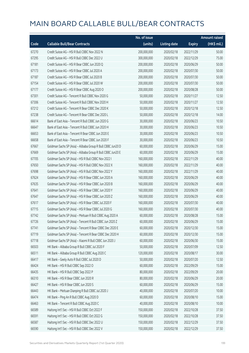|       |                                                             | No. of issue |                     |               | <b>Amount raised</b> |
|-------|-------------------------------------------------------------|--------------|---------------------|---------------|----------------------|
| Code  | <b>Callable Bull/Bear Contracts</b>                         | (units)      | <b>Listing date</b> | <b>Expiry</b> | (HK\$ mil.)          |
| 67270 | Credit Suisse AG - HSI R Bull CBBC Nov 2022 N               | 200,000,000  | 2020/02/18          | 2022/11/29    | 50.00                |
| 67295 | Credit Suisse AG - HSI R Bull CBBC Dec 2022 U               | 300,000,000  | 2020/02/18          | 2022/12/29    | 75.00                |
| 67181 | Credit Suisse AG - HSI R Bear CBBC Jun 2020 Q               | 200,000,000  | 2020/02/18          | 2020/06/29    | 50.00                |
| 67173 | Credit Suisse AG - HSI R Bear CBBC Jul 2020 A               | 200,000,000  | 2020/02/18          | 2020/07/30    | 50.00                |
| 67187 | Credit Suisse AG - HSI R Bear CBBC Jul 2020 B               | 200,000,000  | 2020/02/18          | 2020/07/30    | 50.00                |
| 67154 | Credit Suisse AG - HSI R Bear CBBC Jul 2020 W               | 200,000,000  | 2020/02/18          | 2020/07/30    | 50.00                |
| 67177 | Credit Suisse AG - HSI R Bear CBBC Aug 2020 O               | 200,000,000  | 2020/02/18          | 2020/08/28    | 50.00                |
| 67301 | Credit Suisse AG - Tencent R Bull CBBC Nov 2020 G           | 50,000,000   | 2020/02/18          | 2020/11/27    | 12.50                |
| 67306 | Credit Suisse AG - Tencent R Bull CBBC Nov 2020 H           | 50,000,000   | 2020/02/18          | 2020/11/27    | 12.50                |
| 67212 | Credit Suisse AG - Tencent R Bear CBBC Dec 2020 K           | 50,000,000   | 2020/02/18          | 2020/12/18    | 12.50                |
| 67238 | Credit Suisse AG - Tencent R Bear CBBC Dec 2020 L           | 50,000,000   | 2020/02/18          | 2020/12/18    | 14.00                |
| 66614 | Bank of East Asia - Tencent R Bull CBBC Jun 2020 G          | 30,000,000   | 2020/02/18          | 2020/06/23    | 10.50                |
| 66647 | Bank of East Asia - Tencent R Bull CBBC Jun 2020 H          | 30,000,000   | 2020/02/18          | 2020/06/23    | 10.50                |
| 66653 | Bank of East Asia - Tencent R Bear CBBC Jun 2020 E          | 30,000,000   | 2020/02/18          | 2020/06/23    | 10.50                |
| 66658 | Bank of East Asia - Tencent R Bear CBBC Jun 2020 F          | 30,000,000   | 2020/02/18          | 2020/06/23    | 10.50                |
| 67667 | Goldman Sachs SP (Asia) - Alibaba Group R Bull CBBC Jun20 D | 60,000,000   | 2020/02/18          | 2020/06/29    | 15.00                |
| 67669 | Goldman Sachs SP (Asia) - Alibaba Group R Bull CBBC Jun20 E | 60,000,000   | 2020/02/18          | 2020/06/29    | 15.00                |
| 67705 | Goldman Sachs SP (Asia) - HSI R Bull CBBC Nov 2022 I        | 160,000,000  | 2020/02/18          | 2022/11/29    | 40.00                |
| 67650 | Goldman Sachs SP (Asia) - HSI R Bull CBBC Nov 2022 X        | 160,000,000  | 2020/02/18          | 2022/11/29    | 40.00                |
| 67698 | Goldman Sachs SP (Asia) - HSI R Bull CBBC Nov 2022 Y        | 160,000,000  | 2020/02/18          | 2022/11/29    | 40.00                |
| 67624 | Goldman Sachs SP (Asia) - HSI R Bear CBBC Jun 2020 A        | 160,000,000  | 2020/02/18          | 2020/06/29    | 40.00                |
| 67635 | Goldman Sachs SP (Asia) - HSI R Bear CBBC Jun 2020 B        | 160,000,000  | 2020/02/18          | 2020/06/29    | 40.00                |
| 67641 | Goldman Sachs SP (Asia) - HSI R Bear CBBC Jun 2020 Y        | 160,000,000  | 2020/02/18          | 2020/06/29    | 40.00                |
| 67647 | Goldman Sachs SP (Asia) - HSI R Bear CBBC Jun 2020 Z        | 160,000,000  | 2020/02/18          | 2020/06/29    | 40.00                |
| 67617 | Goldman Sachs SP (Asia) - HSI R Bear CBBC Jul 2020 F        | 160,000,000  | 2020/02/18          | 2020/07/30    | 40.00                |
| 67715 | Goldman Sachs SP (Asia) - HSI R Bear CBBC Jul 2020 G        | 160,000,000  | 2020/02/18          | 2020/07/30    | 40.00                |
| 67742 | Goldman Sachs SP (Asia) - Meituan R Bull CBBC Aug 2020 A    | 60,000,000   | 2020/02/18          | 2020/08/28    | 15.00                |
| 67726 | Goldman Sachs SP (Asia) - Tencent R Bull CBBC Jun 2020 Z    | 60,000,000   | 2020/02/18          | 2020/06/29    | 15.00                |
| 67741 | Goldman Sachs SP (Asia) - Tencent R Bear CBBC Dec 2020 E    | 60,000,000   | 2020/02/18          | 2020/12/30    | 15.00                |
| 67719 | Goldman Sachs SP (Asia) - Tencent R Bear CBBC Dec 2020 H    | 60,000,000   | 2020/02/18          | 2020/12/30    | 15.00                |
| 67718 | Goldman Sachs SP (Asia) - Xiaomi R Bull CBBC Jun 2020 J     | 60,000,000   | 2020/02/18          | 2020/06/30    | 15.00                |
| 66503 | HK Bank - Alibaba Group R Bull CBBC Jul 2020 F              | 50,000,000   | 2020/02/18          | 2020/07/09    | 12.50                |
| 66511 | HK Bank - Alibaba Group R Bull CBBC Aug 2020 C              | 120,000,000  | 2020/02/18          | 2020/08/17    | 30.00                |
| 66417 | HK Bank - Geely Auto R Bull CBBC Jul 2020 D                 | 50,000,000   | 2020/02/18          | 2020/07/20    | 12.50                |
| 66424 | HK Bank - HSI R Bull CBBC Sep 2022 O                        | 60,000,000   | 2020/02/18          | 2022/09/29    | 15.00                |
| 66435 | HK Bank - HSI R Bull CBBC Sep 2022 P                        | 80,000,000   | 2020/02/18          | 2022/09/29    | 20.00                |
| 66310 | HK Bank - HSI R Bear CBBC Jun 2020 R                        | 80,000,000   | 2020/02/18          | 2020/06/29    | 20.00                |
| 66427 | HK Bank - HSI R Bear CBBC Jun 2020 S                        | 60,000,000   | 2020/02/18          | 2020/06/29    | 15.00                |
| 66443 | HK Bank - Meituan Dianping R Bull CBBC Jul 2020 J           | 40,000,000   | 2020/02/18          | 2020/07/20    | 10.00                |
| 66474 | HK Bank - Ping An R Bull CBBC Aug 2020 D                    | 60,000,000   | 2020/02/18          | 2020/08/10    | 15.00                |
| 66463 | HK Bank - Tencent R Bull CBBC Aug 2020 C                    | 40,000,000   | 2020/02/18          | 2020/08/10    | 10.00                |
| 66589 | Haitong Int'l Sec - HSI R Bull CBBC Oct 2022 F              | 150,000,000  | 2020/02/18          | 2022/10/28    | 37.50                |
| 66591 | Haitong Int'l Sec - HSI R Bull CBBC Oct 2022 G              | 150,000,000  | 2020/02/18          | 2022/10/28    | 37.50                |
| 66587 | Haitong Int'l Sec - HSI R Bull CBBC Dec 2022 U              | 150,000,000  | 2020/02/18          | 2022/12/29    | 37.50                |
| 66590 | Haitong Int'l Sec - HSI R Bull CBBC Dec 2022 V              | 150,000,000  | 2020/02/18          | 2022/12/29    | 37.50                |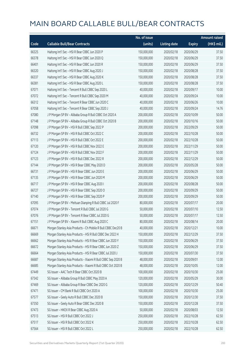|       |                                                              | No. of issue |                     |               | <b>Amount raised</b> |
|-------|--------------------------------------------------------------|--------------|---------------------|---------------|----------------------|
| Code  | <b>Callable Bull/Bear Contracts</b>                          | (units)      | <b>Listing date</b> | <b>Expiry</b> | (HK\$ mil.)          |
| 66325 | Haitong Int'l Sec - HSI R Bear CBBC Jun 2020 P               | 150,000,000  | 2020/02/18          | 2020/06/29    | 37.50                |
| 66378 | Haitong Int'l Sec - HSI R Bear CBBC Jun 2020 Q               | 150,000,000  | 2020/02/18          | 2020/06/29    | 37.50                |
| 66401 | Haitong Int'l Sec - HSI R Bear CBBC Jun 2020 R               | 150,000,000  | 2020/02/18          | 2020/06/29    | 37.50                |
| 66320 | Haitong Int'l Sec - HSI R Bear CBBC Aug 2020 J               | 150,000,000  | 2020/02/18          | 2020/08/28    | 37.50                |
| 66337 | Haitong Int'l Sec - HSI R Bear CBBC Aug 2020 K               | 150,000,000  | 2020/02/18          | 2020/08/28    | 37.50                |
| 66381 | Haitong Int'l Sec - HSI R Bear CBBC Aug 2020 L               | 150,000,000  | 2020/02/18          | 2020/08/28    | 37.50                |
| 67071 | Haitong Int'l Sec - Tencent R Bull CBBC Sep 2020 L           | 40,000,000   | 2020/02/18          | 2020/09/17    | 10.00                |
| 67072 | Haitong Int'l Sec - Tencent R Bull CBBC Sep 2020 M           | 40,000,000   | 2020/02/18          | 2020/09/24    | 10.00                |
| 66312 | Haitong Int'l Sec - Tencent R Bear CBBC Jun 2020 C           | 40,000,000   | 2020/02/18          | 2020/06/26    | 10.00                |
| 67058 | Haitong Int'l Sec - Tencent R Bear CBBC Sep 2020 J           | 40,000,000   | 2020/02/18          | 2020/09/24    | 14.76                |
| 67080 | J P Morgan SP BV - Alibaba Group R Bull CBBC Oct 2020 A      | 200,000,000  | 2020/02/18          | 2020/10/09    | 50.00                |
| 67148 | J P Morgan SP BV - Alibaba Group R Bull CBBC Oct 2020 B      | 200,000,000  | 2020/02/18          | 2020/10/16    | 50.00                |
| 67098 | J P Morgan SP BV - HSI R Bull CBBC Sep 2022 P                | 200,000,000  | 2020/02/18          | 2022/09/29    | 50.00                |
| 66732 | J P Morgan SP BV - HSI R Bull CBBC Oct 2022 C                | 200,000,000  | 2020/02/18          | 2022/10/28    | 50.00                |
| 67113 | J P Morgan SP BV - HSI R Bull CBBC Oct 2022 E                | 200,000,000  | 2020/02/18          | 2022/10/28    | 50.00                |
| 67120 | J P Morgan SP BV - HSI R Bull CBBC Nov 2022 E                | 200,000,000  | 2020/02/18          | 2022/11/29    | 50.00                |
| 67124 | J P Morgan SP BV - HSI R Bull CBBC Nov 2022 F                | 200,000,000  | 2020/02/18          | 2022/11/29    | 50.00                |
| 67123 | J P Morgan SP BV - HSI R Bull CBBC Dec 2022 R                | 200,000,000  | 2020/02/18          | 2022/12/29    | 50.00                |
| 67144 | J P Morgan SP BV - HSI R Bear CBBC May 2020 D                | 200,000,000  | 2020/02/18          | 2020/05/28    | 50.00                |
| 66731 | J P Morgan SP BV - HSI R Bear CBBC Jun 2020 E                | 200,000,000  | 2020/02/18          | 2020/06/29    | 50.00                |
| 67135 | J P Morgan SP BV - HSI R Bear CBBC Jun 2020 M                | 200,000,000  | 2020/02/18          | 2020/06/29    | 50.00                |
| 66717 | J P Morgan SP BV - HSI R Bear CBBC Aug 2020 I                | 200,000,000  | 2020/02/18          | 2020/08/28    | 50.00                |
| 66727 | J P Morgan SP BV - HSI R Bear CBBC Sep 2020 O                | 200,000,000  | 2020/02/18          | 2020/09/29    | 50.00                |
| 67140 | J P Morgan SP BV - HSI R Bear CBBC Sep 2020 P                | 200,000,000  | 2020/02/18          | 2020/09/29    | 50.00                |
| 67095 | J P Morgan SP BV - Meituan Dianping R Bull CBBC Jul 2020 F   | 80,000,000   | 2020/02/18          | 2020/07/17    | 20.00                |
| 67074 | J P Morgan SP BV - Tencent R Bull CBBC Jul 2020 G            | 50,000,000   | 2020/02/18          | 2020/07/10    | 12.50                |
| 67076 | J P Morgan SP BV - Tencent R Bear CBBC Jul 2020 G            | 50,000,000   | 2020/02/18          | 2020/07/17    | 12.50                |
| 67151 | J P Morgan SP BV - Xiaomi R Bull CBBC Aug 2020 C             | 80,000,000   | 2020/02/18          | 2020/08/14    | 20.00                |
| 66671 | Morgan Stanley Asia Products - Ch Mobile R Bull CBBC Dec20 B | 40,000,000   | 2020/02/18          | 2020/12/21    | 10.00                |
| 66669 | Morgan Stanley Asia Products - HSI R Bull CBBC Dec 2022 H    | 150,000,000  | 2020/02/18          | 2022/12/29    | 37.50                |
| 66662 | Morgan Stanley Asia Products - HSI R Bear CBBC Jun 2020 Y    | 150,000,000  | 2020/02/18          | 2020/06/29    | 37.50                |
| 66672 | Morgan Stanley Asia Products - HSI R Bear CBBC Jun 2020 Z    | 150,000,000  | 2020/02/18          | 2020/06/29    | 37.50                |
| 66664 | Morgan Stanley Asia Products - HSI R Bear CBBC Jul 2020 J    | 150,000,000  | 2020/02/18          | 2020/07/30    | 37.50                |
| 66687 | Morgan Stanley Asia Products - Xiaomi R Bull CBBC Sep 2020 B | 48,000,000   | 2020/02/18          | 2020/09/01    | 12.00                |
| 66685 | Morgan Stanley Asia Products - Xiaomi R Bull CBBC Oct 2020 B | 48,000,000   | 2020/02/18          | 2020/10/05    | 12.00                |
| 67449 | SG Issuer - AAC Tech R Bear CBBC Oct 2020 B                  | 100,000,000  | 2020/02/18          | 2020/10/30    | 25.00                |
| 67342 | SG Issuer - Alibaba Group R Bull CBBC May 2020 A             | 120,000,000  | 2020/02/18          | 2020/05/29    | 30.00                |
| 67469 | SG Issuer - Alibaba Group R Bear CBBC Dec 2020 G             | 120,000,000  | 2020/02/18          | 2020/12/29    | 50.40                |
| 67471 | SG Issuer - CM Bank R Bull CBBC Oct 2020 A                   | 100,000,000  | 2020/02/18          | 2020/10/30    | 25.00                |
| 67577 | SG Issuer - Geely Auto R Bull CBBC Dec 2020 B                | 150,000,000  | 2020/02/18          | 2020/12/30    | 37.50                |
| 67350 | SG Issuer - Geely Auto R Bear CBBC Dec 2020 B                | 150,000,000  | 2020/02/18          | 2020/12/28    | 37.50                |
| 67473 | SG Issuer - HKEX R Bear CBBC Aug 2020 A                      | 50,000,000   | 2020/02/18          | 2020/08/03    | 12.50                |
| 67513 | SG Issuer - HSI R Bull CBBC Oct 2022 J                       | 250,000,000  | 2020/02/18          | 2022/10/28    | 62.50                |
| 67517 | SG Issuer - HSI R Bull CBBC Oct 2022 K                       | 250,000,000  | 2020/02/18          | 2022/10/28    | 62.50                |
| 67564 | SG Issuer - HSI R Bull CBBC Oct 2022 L                       | 250,000,000  | 2020/02/18          | 2022/10/28    | 62.50                |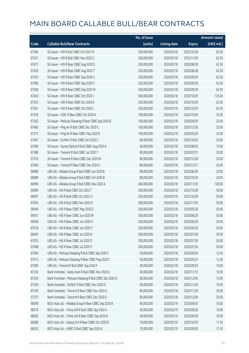|       |                                                         | No. of issue |                     |               | <b>Amount raised</b> |
|-------|---------------------------------------------------------|--------------|---------------------|---------------|----------------------|
| Code  | <b>Callable Bull/Bear Contracts</b>                     | (units)      | <b>Listing date</b> | <b>Expiry</b> | (HK\$ mil.)          |
| 67566 | SG Issuer - HSI R Bull CBBC Oct 2022 M                  | 250,000,000  | 2020/02/18          | 2022/10/28    | 62.50                |
| 67521 | SG Issuer - HSI R Bull CBBC Nov 2022 Z                  | 250,000,000  | 2020/02/18          | 2022/11/29    | 62.50                |
| 67417 | SG Issuer - HSI R Bear CBBC Aug 2020 S                  | 250,000,000  | 2020/02/18          | 2020/08/28    | 62.50                |
| 67425 | SG Issuer - HSI R Bear CBBC Aug 2020 T                  | 250,000,000  | 2020/02/18          | 2020/08/28    | 62.50                |
| 67433 | SG Issuer - HSI R Bear CBBC Sep 2020 U                  | 250,000,000  | 2020/02/18          | 2020/09/29    | 62.50                |
| 67499 | SG Issuer - HSI R Bear CBBC Sep 2020 V                  | 250,000,000  | 2020/02/18          | 2020/09/29    | 62.50                |
| 67540 | SG Issuer - HSI R Bear CBBC Sep 2020 W                  | 250,000,000  | 2020/02/18          | 2020/09/29    | 62.50                |
| 67443 | SG Issuer - HSI R Bear CBBC Oct 2020 J                  | 500,000,000  | 2020/02/18          | 2020/10/29    | 125.00               |
| 67553 | SG Issuer - HSI R Bear CBBC Oct 2020 K                  | 250,000,000  | 2020/02/18          | 2020/10/29    | 62.50                |
| 67561 | SG Issuer - HSI R Bear CBBC Oct 2020 L                  | 250,000,000  | 2020/02/18          | 2020/10/29    | 62.50                |
| 67476 | SG Issuer - ICBC R Bear CBBC Oct 2020 A                 | 100,000,000  | 2020/02/18          | 2020/10/30    | 25.00                |
| 67362 | SG Issuer - Meituan Dianping R Bear CBBC Sep 2020 B     | 100,000,000  | 2020/02/18          | 2020/09/29    | 25.00                |
| 67483 | SG Issuer - Ping An R Bull CBBC Dec 2020 C              | 100,000,000  | 2020/02/18          | 2020/12/30    | 25.00                |
| 67373 | SG Issuer - Ping An R Bear CBBC May 2020 B              | 100,000,000  | 2020/02/18          | 2020/05/29    | 25.00                |
| 67491 | SG Issuer - SUNAC R Bull CBBC Oct 2020 C                | 80,000,000   | 2020/02/18          | 2020/10/30    | 20.00                |
| 67496 | SG Issuer - Sunny Optical R Bull CBBC Aug 2020 A        | 60,000,000   | 2020/02/18          | 2020/08/03    | 15.00                |
| 67589 | SG Issuer - Tencent R Bull CBBC Jul 2020 T              | 80,000,000   | 2020/02/18          | 2020/07/31    | 20.00                |
| 67376 | SG Issuer - Tencent R Bear CBBC Dec 2020 W              | 80,000,000   | 2020/02/18          | 2020/12/28    | 20.00                |
| 67404 | SG Issuer - Tencent R Bear CBBC Dec 2020 X              | 80,000,000   | 2020/02/18          | 2020/12/31    | 20.00                |
| 66988 | UBS AG - Alibaba Group R Bull CBBC Jun 2020 B           | 80,000,000   | 2020/02/18          | 2020/06/30    | 20.00                |
| 66989 | UBS AG - Alibaba Group R Bull CBBC Oct 2020 B           | 80,000,000   | 2020/02/18          | 2020/10/30    | 20.00                |
| 66990 | UBS AG - Alibaba Group R Bull CBBC Nov 2020 A           | 400,000,000  | 2020/02/18          | 2020/11/30    | 100.00               |
| 66996 | UBS AG - HSI R Bull CBBC Oct 2022 T                     | 200,000,000  | 2020/02/18          | 2022/10/28    | 50.00                |
| 66997 | UBS AG - HSI R Bull CBBC Oct 2022 U                     | 200,000,000  | 2020/02/18          | 2022/10/28    | 50.00                |
| 67054 | UBS AG - HSI R Bull CBBC Nov 2022 K                     | 200,000,000  | 2020/02/18          | 2022/11/29    | 50.00                |
| 66949 | UBS AG - HSI R Bear CBBC May 2020 Z                     | 200,000,000  | 2020/02/18          | 2020/05/28    | 50.00                |
| 66931 | UBS AG - HSI R Bear CBBC Jun 2020 W                     | 200,000,000  | 2020/02/18          | 2020/06/29    | 50.00                |
| 66938 | UBS AG - HSI R Bear CBBC Jun 2020 X                     | 200,000,000  | 2020/02/18          | 2020/06/29    | 50.00                |
| 67018 | UBS AG - HSI R Bear CBBC Jun 2020 Y                     | 200,000,000  | 2020/02/18          | 2020/06/29    | 50.00                |
| 66945 | UBS AG - HSI R Bear CBBC Jul 2020 N                     | 200,000,000  | 2020/02/18          | 2020/07/30    | 50.00                |
| 67023 | UBS AG - HSI R Bear CBBC Jul 2020 O                     | 200,000,000  | 2020/02/18          | 2020/07/30    | 50.00                |
| 67048 | UBS AG - HSI R Bear CBBC Jul 2020 P                     | 200,000,000  | 2020/02/18          | 2020/07/30    | 50.00                |
| 67004 | UBS AG - Meituan Dianping R Bull CBBC Sep 2020 F        | 50,000,000   | 2020/02/18          | 2020/09/29    | 12.50                |
| 67013 | UBS AG - Meituan Dianping R Bear CBBC May 2020 C        | 50,000,000   | 2020/02/18          | 2020/05/25    | 12.50                |
| 67000 | UBS AG - Tencent R Bull CBBC Sep 2020 F                 | 40,000,000   | 2020/02/18          | 2020/09/29    | 10.00                |
| 67335 | Bank Vontobel - Geely Auto R Bull CBBC Nov 2020 D       | 40,000,000   | 2020/02/18          | 2020/11/13    | 10.00                |
| 67324 | Bank Vontobel - Meituan Dianping R Bull CBBC Dec 2020 O | 60,000,000   | 2020/02/18          | 2020/12/04    | 15.00                |
| 67326 | Bank Vontobel - SUNAC R Bull CBBC Nov 2020 D            | 40,000,000   | 2020/02/18          | 2020/11/20    | 10.00                |
| 67339 | Bank Vontobel - Tencent R Bear CBBC Nov 2020 G          | 80,000,000   | 2020/02/18          | 2020/11/20    | 20.00                |
| 67337 | Bank Vontobel - Tencent R Bear CBBC Dec 2020 G          | 80,000,000   | 2020/02/18          | 2020/12/04    | 20.00                |
| 68290 | BOCI Asia Ltd. - Alibaba Group R Bear CBBC Sep 2020 B   | 40,000,000   | 2020/02/19          | 2020/09/30    | 10.00                |
| 68278 | BOCI Asia Ltd. - China Life R Bull CBBC Sep 2020 A      | 40,000,000   | 2020/02/19          | 2020/09/30    | 10.00                |
| 68282 | BOCI Asia Ltd. - China Life R Bear CBBC Sep 2020 A      | 40,000,000   | 2020/02/19          | 2020/09/30    | 10.00                |
| 68288 | BOCI Asia Ltd. - Galaxy Ent R Bear CBBC Oct 2020 B      | 70,000,000   | 2020/02/19          | 2020/10/29    | 17.50                |
| 68293 | BOCI Asia Ltd. - HSBC R Bull CBBC Sep 2020 A            | 70,000,000   | 2020/02/19          | 2020/09/30    | 17.50                |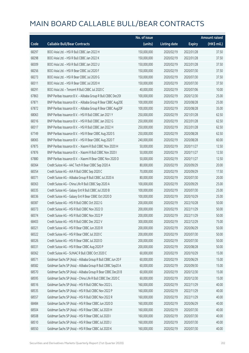|       |                                                              | No. of issue |                     |               | <b>Amount raised</b> |
|-------|--------------------------------------------------------------|--------------|---------------------|---------------|----------------------|
| Code  | <b>Callable Bull/Bear Contracts</b>                          | (units)      | <b>Listing date</b> | <b>Expiry</b> | (HK\$ mil.)          |
| 68297 | BOCI Asia Ltd. - HSI R Bull CBBC Jan 2022 H                  | 150,000,000  | 2020/02/19          | 2022/01/28    | 37.50                |
| 68298 | BOCI Asia Ltd. - HSI R Bull CBBC Jan 2022 K                  | 150,000,000  | 2020/02/19          | 2022/01/28    | 37.50                |
| 68309 | BOCI Asia Ltd. - HSI R Bull CBBC Jan 2022 U                  | 150,000,000  | 2020/02/19          | 2022/01/28    | 37.50                |
| 68256 | BOCI Asia Ltd. - HSI R Bear CBBC Jul 2020 F                  | 150,000,000  | 2020/02/19          | 2020/07/30    | 37.50                |
| 68273 | BOCI Asia Ltd. - HSI R Bear CBBC Jul 2020 G                  | 150,000,000  | 2020/02/19          | 2020/07/30    | 37.50                |
| 68311 | BOCI Asia Ltd. - HSI R Bear CBBC Jul 2020 H                  | 150,000,000  | 2020/02/19          | 2020/07/30    | 37.50                |
| 68291 | BOCI Asia Ltd. - Tencent R Bull CBBC Jul 2020 C              | 40,000,000   | 2020/02/19          | 2020/07/06    | 10.00                |
| 67863 | BNP Paribas Issuance B.V. - Alibaba Group R Bull CBBC Dec20I | 100,000,000  | 2020/02/19          | 2020/12/30    | 25.00                |
| 67871 | BNP Paribas Issuance B.V. - Alibaba Group R Bear CBBC Aug20E | 100,000,000  | 2020/02/19          | 2020/08/28    | 25.00                |
| 67872 | BNP Paribas Issuance B.V. - Alibaba Group R Bear CBBC Aug20F | 100,000,000  | 2020/02/19          | 2020/08/28    | 35.00                |
| 68063 | BNP Paribas Issuance B.V. - HSI R Bull CBBC Jan 2021 Y       | 250,000,000  | 2020/02/19          | 2021/01/28    | 62.50                |
| 68316 | BNP Paribas Issuance B.V. - HSI R Bull CBBC Jan 2022 G       | 250,000,000  | 2020/02/19          | 2022/01/28    | 62.50                |
| 68317 | BNP Paribas Issuance B.V. - HSI R Bull CBBC Jan 2022 H       | 250,000,000  | 2020/02/19          | 2022/01/28    | 62.50                |
| 67749 | BNP Paribas Issuance B.V. - HSI R Bear CBBC Aug 2020 S       | 250,000,000  | 2020/02/19          | 2020/08/28    | 62.50                |
| 68065 | BNP Paribas Issuance B.V. - HSI R Bear CBBC Aug 2020 T       | 240,000,000  | 2020/02/19          | 2020/08/28    | 60.00                |
| 67875 | BNP Paribas Issuance B.V. - Xiaomi R Bull CBBC Nov 2020 H    | 50,000,000   | 2020/02/19          | 2020/11/27    | 12.50                |
| 67876 | BNP Paribas Issuance B.V. - Xiaomi R Bull CBBC Nov 2020 I    | 50,000,000   | 2020/02/19          | 2020/11/27    | 12.50                |
| 67880 | BNP Paribas Issuance B.V. - Xiaomi R Bear CBBC Nov 2020 D    | 50,000,000   | 2020/02/19          | 2020/11/27    | 12.50                |
| 68364 | Credit Suisse AG - AAC Tech R Bear CBBC Sep 2020 A           | 80,000,000   | 2020/02/19          | 2020/09/29    | 20.00                |
| 68354 | Credit Suisse AG - AIA R Bull CBBC Sep 2020 C                | 70,000,000   | 2020/02/19          | 2020/09/29    | 17.50                |
| 68371 | Credit Suisse AG - Alibaba Group R Bull CBBC Jul 2020 A      | 80,000,000   | 2020/02/19          | 2020/07/30    | 20.00                |
| 68363 | Credit Suisse AG - China Life R Bull CBBC Sep 2020 A         | 100,000,000  | 2020/02/19          | 2020/09/29    | 25.00                |
| 68335 | Credit Suisse AG - Galaxy Ent R Bull CBBC Jul 2020 B         | 100,000,000  | 2020/02/19          | 2020/07/30    | 25.00                |
| 68336 | Credit Suisse AG - Galaxy Ent R Bear CBBC Oct 2020 D         | 100,000,000  | 2020/02/19          | 2020/10/29    | 25.00                |
| 68387 | Credit Suisse AG - HSI R Bull CBBC Oct 2022 G                | 200,000,000  | 2020/02/19          | 2022/10/28    | 50.00                |
| 68373 | Credit Suisse AG - HSI R Bull CBBC Nov 2022 O                | 200,000,000  | 2020/02/19          | 2022/11/29    | 50.00                |
| 68374 | Credit Suisse AG - HSI R Bull CBBC Nov 2022 P                | 200,000,000  | 2020/02/19          | 2022/11/29    | 50.00                |
| 68403 | Credit Suisse AG - HSI R Bull CBBC Dec 2022 V                | 300,000,000  | 2020/02/19          | 2022/12/29    | 75.00                |
| 68321 | Credit Suisse AG - HSI R Bear CBBC Jun 2020 R                | 200,000,000  | 2020/02/19          | 2020/06/29    | 50.00                |
| 68322 | Credit Suisse AG - HSI R Bear CBBC Jul 2020 C                | 200,000,000  | 2020/02/19          | 2020/07/30    | 50.00                |
| 68326 | Credit Suisse AG - HSI R Bear CBBC Jul 2020 D                | 200,000,000  | 2020/02/19          | 2020/07/30    | 50.00                |
| 68331 | Credit Suisse AG - HSI R Bear CBBC Aug 2020 P                | 200,000,000  | 2020/02/19          | 2020/08/28    | 50.00                |
| 68362 | Credit Suisse AG - SUNAC R Bull CBBC Oct 2020 C              | 60,000,000   | 2020/02/19          | 2020/10/29    | 15.00                |
| 68571 | Goldman Sachs SP (Asia) - Alibaba Group R Bull CBBC Jun 20 F | 60,000,000   | 2020/02/19          | 2020/06/29    | 15.00                |
| 68582 | Goldman Sachs SP (Asia) - Alibaba Group R Bull CBBC Sep20 A  | 60,000,000   | 2020/02/19          | 2020/09/30    | 15.00                |
| 68570 | Goldman Sachs SP (Asia) - Alibaba Group R Bear CBBC Dec20 B  | 60,000,000   | 2020/02/19          | 2020/12/30    | 15.00                |
| 68595 | Goldman Sachs SP (Asia) - China Life R Bull CBBC Dec 2020 C  | 60,000,000   | 2020/02/19          | 2020/12/30    | 15.00                |
| 68516 | Goldman Sachs SP (Asia) - HSI R Bull CBBC Nov 2022 L         | 160,000,000  | 2020/02/19          | 2022/11/29    | 40.00                |
| 68535 | Goldman Sachs SP (Asia) - HSI R Bull CBBC Nov 2022 P         | 160,000,000  | 2020/02/19          | 2022/11/29    | 40.00                |
| 68557 | Goldman Sachs SP (Asia) - HSI R Bull CBBC Nov 2022 R         | 160,000,000  | 2020/02/19          | 2022/11/29    | 40.00                |
| 68484 | Goldman Sachs SP (Asia) - HSI R Bear CBBC Jun 2020 D         | 160,000,000  | 2020/02/19          | 2020/06/29    | 40.00                |
| 68504 | Goldman Sachs SP (Asia) - HSI R Bear CBBC Jul 2020 H         | 160,000,000  | 2020/02/19          | 2020/07/30    | 40.00                |
| 68508 | Goldman Sachs SP (Asia) - HSI R Bear CBBC Jul 2020 I         | 160,000,000  | 2020/02/19          | 2020/07/30    | 40.00                |
| 68510 | Goldman Sachs SP (Asia) - HSI R Bear CBBC Jul 2020 J         | 160,000,000  | 2020/02/19          | 2020/07/30    | 40.00                |
| 68550 | Goldman Sachs SP (Asia) - HSI R Bear CBBC Jul 2020 K         | 160,000,000  | 2020/02/19          | 2020/07/30    | 40.00                |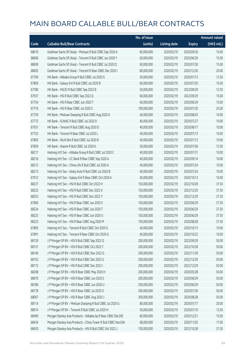|       |                                                               | No. of issue |                     |               | <b>Amount raised</b> |
|-------|---------------------------------------------------------------|--------------|---------------------|---------------|----------------------|
| Code  | <b>Callable Bull/Bear Contracts</b>                           | (units)      | <b>Listing date</b> | <b>Expiry</b> | (HK\$ mil.)          |
| 68610 | Goldman Sachs SP (Asia) - Meituan R Bull CBBC Sep 2020 A      | 60,000,000   | 2020/02/19          | 2020/09/30    | 15.00                |
| 68606 | Goldman Sachs SP (Asia) - Tencent R Bull CBBC Jun 2020 Y      | 60,000,000   | 2020/02/19          | 2020/06/29    | 15.00                |
| 68609 | Goldman Sachs SP (Asia) - Tencent R Bull CBBC Jul 2020 Q      | 60,000,000   | 2020/02/19          | 2020/07/30    | 15.00                |
| 68605 | Goldman Sachs SP (Asia) - Tencent R Bear CBBC Dec 2020 I      | 80,000,000   | 2020/02/19          | 2020/12/30    | 20.00                |
| 67769 | HK Bank - Alibaba Group R Bull CBBC Jul 2020 G                | 50,000,000   | 2020/02/19          | 2020/07/13    | 12.50                |
| 67809 | HK Bank - Galaxy Ent R Bull CBBC Jul 2020 B                   | 60,000,000   | 2020/02/19          | 2020/07/20    | 15.00                |
| 67780 | HK Bank - HSCEI R Bull CBBC Sep 2022 B                        | 50,000,000   | 2020/02/19          | 2022/09/29    | 12.50                |
| 67937 | HK Bank - HSI R Bull CBBC Sep 2022 Q                          | 60,000,000   | 2020/02/19          | 2022/09/29    | 15.00                |
| 67754 | HK Bank - HSI R Bear CBBC Jun 2020 T                          | 60,000,000   | 2020/02/19          | 2020/06/29    | 15.00                |
| 67776 | HK Bank - HSI R Bear CBBC Jul 2020 S                          | 100,000,000  | 2020/02/19          | 2020/07/30    | 25.00                |
| 67759 | HK Bank - Meituan Dianping R Bull CBBC Aug 2020 A             | 40,000,000   | 2020/02/19          | 2020/08/03    | 10.00                |
| 67772 | HK Bank - SUNAC R Bull CBBC Jul 2020 D                        | 40,000,000   | 2020/02/19          | 2020/07/27    | 10.00                |
| 67931 | HK Bank - Tencent R Bull CBBC Aug 2020 D                      | 40,000,000   | 2020/02/19          | 2020/08/17    | 10.00                |
| 67752 | HK Bank - Tencent R Bear CBBC Jul 2020 L                      | 40,000,000   | 2020/02/19          | 2020/07/13    | 10.00                |
| 67805 | HK Bank - WuXi Bio R Bull CBBC Jul 2020 B                     | 40,000,000   | 2020/02/19          | 2020/07/13    | 10.00                |
| 67859 | HK Bank - Xiaomi R Bull CBBC Jul 2020 K                       | 50,000,000   | 2020/02/19          | 2020/07/06    | 12.50                |
| 68217 | Haitong Int'l Sec - Alibaba Group R Bull CBBC Jul 2020 C      | 40,000,000   | 2020/02/19          | 2020/07/31    | 10.00                |
| 68216 | Haitong Int'l Sec - CC Bank R Bear CBBC Sep 2020 A            | 40,000,000   | 2020/02/19          | 2020/09/14    | 10.00                |
| 68212 | Haitong Int'l Sec - China Life R Bull CBBC Jul 2020 A         | 40,000,000   | 2020/02/19          | 2020/07/24    | 10.00                |
| 68213 | Haitong Int'l Sec - Geely Auto R Bull CBBC Jul 2020 B         | 40,000,000   | 2020/02/19          | 2020/07/24    | 10.00                |
| 67912 | Haitong Int'l Sec - Galaxy Ent R Bear CBBC Oct 2020 A         | 40,000,000   | 2020/02/19          | 2020/10/13    | 10.00                |
| 68237 | Haitong Int'l Sec - HSI R Bull CBBC Oct 2022 H                | 150,000,000  | 2020/02/19          | 2022/10/28    | 37.50                |
| 68222 | Haitong Int'l Sec - HSI R Bull CBBC Dec 2022 X                | 150,000,000  | 2020/02/19          | 2022/12/29    | 37.50                |
| 68253 | Haitong Int'l Sec - HSI R Bull CBBC Dec 2022 Y                | 150,000,000  | 2020/02/19          | 2022/12/29    | 37.50                |
| 67890 | Haitong Int'l Sec - HSI R Bear CBBC Jun 2020 S                | 150,000,000  | 2020/02/19          | 2020/06/29    | 37.50                |
| 68224 | Haitong Int'l Sec - HSI R Bear CBBC Jun 2020 T                | 150,000,000  | 2020/02/19          | 2020/06/29    | 37.50                |
| 68225 | Haitong Int'l Sec - HSI R Bear CBBC Jun 2020 U                | 150,000,000  | 2020/02/19          | 2020/06/29    | 37.50                |
| 68223 | Haitong Int'l Sec - HSI R Bear CBBC Aug 2020 M                | 150,000,000  | 2020/02/19          | 2020/08/28    | 37.50                |
| 67895 | Haitong Int'l Sec - Tencent R Bull CBBC Oct 2020 G            | 40,000,000   | 2020/02/19          | 2020/10/13    | 10.00                |
| 67891 | Haitong Int'l Sec - Tencent R Bear CBBC Oct 2020 G            | 40,000,000   | 2020/02/19          | 2020/10/22    | 10.00                |
| 68129 | J P Morgan SP BV - HSI R Bull CBBC Sep 2022 Q                 | 200,000,000  | 2020/02/19          | 2022/09/29    | 50.00                |
| 68131 | J P Morgan SP BV - HSI R Bull CBBC Oct 2022 Y                 | 200,000,000  | 2020/02/19          | 2022/10/28    | 50.00                |
| 68146 | J P Morgan SP BV - HSI R Bull CBBC Nov 2022 G                 | 200,000,000  | 2020/02/19          | 2022/11/29    | 50.00                |
| 68152 | J P Morgan SP BV - HSI R Bull CBBC Dec 2022 G                 | 200,000,000  | 2020/02/19          | 2022/12/29    | 50.00                |
| 68172 | J P Morgan SP BV - HSI R Bull CBBC Dec 2022 I                 | 200,000,000  | 2020/02/19          | 2022/12/29    | 50.00                |
| 68208 | J P Morgan SP BV - HSI R Bear CBBC May 2020 H                 | 200,000,000  | 2020/02/19          | 2020/05/28    | 50.00                |
| 68070 | J P Morgan SP BV - HSI R Bear CBBC Jun 2020 S                 | 200,000,000  | 2020/02/19          | 2020/06/29    | 50.00                |
| 68186 | J P Morgan SP BV - HSI R Bear CBBC Jun 2020 U                 | 200,000,000  | 2020/02/19          | 2020/06/29    | 50.00                |
| 68178 | J P Morgan SP BV - HSI R Bear CBBC Jul 2020 O                 | 200,000,000  | 2020/02/19          | 2020/07/30    | 50.00                |
| 68067 | J P Morgan SP BV - HSI R Bear CBBC Aug 2020 J                 | 200,000,000  | 2020/02/19          | 2020/08/28    | 50.00                |
| 68114 | J P Morgan SP BV - Meituan Dianping R Bull CBBC Jul 2020 G    | 80,000,000   | 2020/02/19          | 2020/07/17    | 20.00                |
| 68074 | J P Morgan SP BV - Tencent R Bull CBBC Jul 2020 H             | 50,000,000   | 2020/02/19          | 2020/07/10    | 12.50                |
| 68409 | Morgan Stanley Asia Products - Alibaba Gp R Bear CBBC Dec20E  | 60,000,000   | 2020/02/19          | 2020/12/21    | 15.00                |
| 68434 | Morgan Stanley Asia Products - China Tower R Bull CBBC Nov20A | 68,000,000   | 2020/02/19          | 2020/11/02    | 17.00                |
| 68430 | Morgan Stanley Asia Products - HSI R Bull CBBC Oct 2022 J     | 150,000,000  | 2020/02/19          | 2022/10/28    | 37.50                |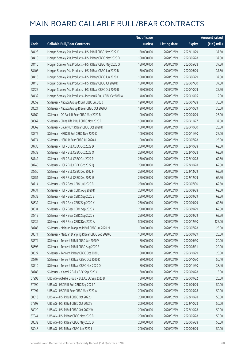|       |                                                              | No. of issue |                     |               | <b>Amount raised</b> |
|-------|--------------------------------------------------------------|--------------|---------------------|---------------|----------------------|
| Code  | <b>Callable Bull/Bear Contracts</b>                          | (units)      | <b>Listing date</b> | <b>Expiry</b> | (HK\$ mil.)          |
| 68428 | Morgan Stanley Asia Products - HSI R Bull CBBC Nov 2022 K    | 150,000,000  | 2020/02/19          | 2022/11/29    | 37.50                |
| 68415 | Morgan Stanley Asia Products - HSI R Bear CBBC May 2020 D    | 150,000,000  | 2020/02/19          | 2020/05/28    | 37.50                |
| 68410 | Morgan Stanley Asia Products - HSI R Bear CBBC May 2020 Q    | 150,000,000  | 2020/02/19          | 2020/05/28    | 37.50                |
| 68408 | Morgan Stanley Asia Products - HSI R Bear CBBC Jun 2020 B    | 150,000,000  | 2020/02/19          | 2020/06/29    | 37.50                |
| 68416 | Morgan Stanley Asia Products - HSI R Bear CBBC Jun 2020 C    | 150,000,000  | 2020/02/19          | 2020/06/29    | 37.50                |
| 68418 | Morgan Stanley Asia Products - HSI R Bear CBBC Jul 2020 K    | 150,000,000  | 2020/02/19          | 2020/07/30    | 37.50                |
| 68425 | Morgan Stanley Asia Products - HSI R Bear CBBC Oct 2020 B    | 150,000,000  | 2020/02/19          | 2020/10/29    | 37.50                |
| 68432 | Morgan Stanley Asia Products - Meituan R Bull CBBC Oct2020 A | 48,000,000   | 2020/02/19          | 2020/10/05    | 12.00                |
| 68659 | SG Issuer - Alibaba Group R Bull CBBC Jul 2020 H             | 120,000,000  | 2020/02/19          | 2020/07/28    | 30.00                |
| 68621 | SG Issuer - Alibaba Group R Bear CBBC Oct 2020 A             | 120,000,000  | 2020/02/19          | 2020/10/29    | 30.00                |
| 68769 | SG Issuer - CC Bank R Bear CBBC May 2020 B                   | 100,000,000  | 2020/02/19          | 2020/05/29    | 25.00                |
| 68667 | SG Issuer - China Life R Bull CBBC Nov 2020 B                | 150,000,000  | 2020/02/19          | 2020/11/27    | 37.50                |
| 68669 | SG Issuer - Galaxy Ent R Bear CBBC Oct 2020 D                | 100,000,000  | 2020/02/19          | 2020/10/30    | 25.00                |
| 68777 | SG Issuer - HSBC R Bull CBBC Nov 2020 C                      | 100,000,000  | 2020/02/19          | 2020/11/30    | 25.00                |
| 68774 | SG Issuer - HSBC R Bear CBBC Jul 2020 A                      | 100,000,000  | 2020/02/19          | 2020/07/28    | 25.00                |
| 68735 | SG Issuer - HSI R Bull CBBC Oct 2022 D                       | 250,000,000  | 2020/02/19          | 2022/10/28    | 62.50                |
| 68739 | SG Issuer - HSI R Bull CBBC Oct 2022 O                       | 250,000,000  | 2020/02/19          | 2022/10/28    | 62.50                |
| 68742 | SG Issuer - HSI R Bull CBBC Oct 2022 P                       | 250,000,000  | 2020/02/19          | 2022/10/28    | 62.50                |
| 68745 | SG Issuer - HSI R Bull CBBC Oct 2022 Q                       | 250,000,000  | 2020/02/19          | 2022/10/28    | 62.50                |
| 68750 | SG Issuer - HSI R Bull CBBC Dec 2022 F                       | 250,000,000  | 2020/02/19          | 2022/12/29    | 62.50                |
| 68751 | SG Issuer - HSI R Bull CBBC Dec 2022 G                       | 250,000,000  | 2020/02/19          | 2022/12/29    | 62.50                |
| 68714 | SG Issuer - HSI R Bear CBBC Jul 2020 B                       | 250,000,000  | 2020/02/19          | 2020/07/30    | 62.50                |
| 68731 | SG Issuer - HSI R Bear CBBC Aug 2020 D                       | 250,000,000  | 2020/02/19          | 2020/08/28    | 62.50                |
| 68732 | SG Issuer - HSI R Bear CBBC Sep 2020 B                       | 250,000,000  | 2020/02/19          | 2020/09/29    | 62.50                |
| 68632 | SG Issuer - HSI R Bear CBBC Sep 2020 X                       | 250,000,000  | 2020/02/19          | 2020/09/29    | 62.50                |
| 68634 | SG Issuer - HSI R Bear CBBC Sep 2020 Y                       | 250,000,000  | 2020/02/19          | 2020/09/29    | 62.50                |
| 68719 | SG Issuer - HSI R Bear CBBC Sep 2020 Z                       | 250,000,000  | 2020/02/19          | 2020/09/29    | 62.50                |
| 68639 | SG Issuer - HSI R Bear CBBC Dec 2020 A                       | 500,000,000  | 2020/02/19          | 2020/12/30    | 125.00               |
| 68783 | SG Issuer - Meituan Dianping R Bull CBBC Jul 2020 M          | 100,000,000  | 2020/02/19          | 2020/07/28    | 25.00                |
| 68671 | SG Issuer - Meituan Dianping R Bear CBBC Sep 2020 C          | 100,000,000  | 2020/02/19          | 2020/09/29    | 25.00                |
| 68674 | SG Issuer - Tencent R Bull CBBC Jun 2020 V                   | 80,000,000   | 2020/02/19          | 2020/06/30    | 20.00                |
| 68698 | SG Issuer - Tencent R Bull CBBC Aug 2020 E                   | 80,000,000   | 2020/02/19          | 2020/08/31    | 20.00                |
| 68627 | SG Issuer - Tencent R Bear CBBC Oct 2020 J                   | 80,000,000   | 2020/02/19          | 2020/10/29    | 20.00                |
| 68707 | SG Issuer - Tencent R Bear CBBC Oct 2020 K                   | 80,000,000   | 2020/02/19          | 2020/10/30    | 50.40                |
| 68710 | SG Issuer - Tencent R Bear CBBC Nov 2020 O                   | 80,000,000   | 2020/02/19          | 2020/11/30    | 38.40                |
| 68785 | SG Issuer - Xiaomi R Bull CBBC Sep 2020 C                    | 60,000,000   | 2020/02/19          | 2020/09/28    | 15.00                |
| 67993 | UBS AG - Alibaba Group R Bull CBBC Sep 2020 B                | 80,000,000   | 2020/02/19          | 2020/09/22    | 20.00                |
| 67990 | UBS AG - HSCEI R Bull CBBC Sep 2021 A                        | 200,000,000  | 2020/02/19          | 2021/09/29    | 50.00                |
| 67991 | UBS AG - HSCEI R Bear CBBC May 2020 A                        | 200,000,000  | 2020/02/19          | 2020/05/28    | 50.00                |
| 68013 | UBS AG - HSI R Bull CBBC Oct 2022 J                          | 200,000,000  | 2020/02/19          | 2022/10/28    | 50.00                |
| 67998 | UBS AG - HSI R Bull CBBC Oct 2022 V                          | 200,000,000  | 2020/02/19          | 2022/10/28    | 50.00                |
| 68020 | UBS AG - HSI R Bull CBBC Oct 2022 W                          | 200,000,000  | 2020/02/19          | 2022/10/28    | 50.00                |
| 67944 | UBS AG - HSI R Bear CBBC May 2020 B                          | 200,000,000  | 2020/02/19          | 2020/05/28    | 50.00                |
| 68032 | UBS AG - HSI R Bear CBBC May 2020 D                          | 200,000,000  | 2020/02/19          | 2020/05/28    | 50.00                |
| 68048 | UBS AG - HSI R Bear CBBC Jun 2020 I                          | 200,000,000  | 2020/02/19          | 2020/06/29    | 50.00                |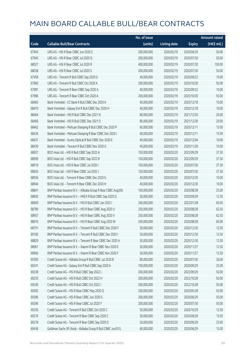|       |                                                              | No. of issue |                     |               | <b>Amount raised</b> |
|-------|--------------------------------------------------------------|--------------|---------------------|---------------|----------------------|
| Code  | <b>Callable Bull/Bear Contracts</b>                          | (units)      | <b>Listing date</b> | <b>Expiry</b> | (HK\$ mil.)          |
| 67943 | UBS AG - HSI R Bear CBBC Jun 2020 Z                          | 200,000,000  | 2020/02/19          | 2020/06/29    | 50.00                |
| 67945 | UBS AG - HSI R Bear CBBC Jul 2020 Q                          | 200,000,000  | 2020/02/19          | 2020/07/30    | 50.00                |
| 68027 | UBS AG - HSI R Bear CBBC Jul 2020 R                          | 400,000,000  | 2020/02/19          | 2020/07/30    | 100.00               |
| 68038 | UBS AG - HSI R Bear CBBC Jul 2020 S                          | 200,000,000  | 2020/02/19          | 2020/07/30    | 50.00                |
| 67958 | UBS AG - Tencent R Bull CBBC Sep 2020 G                      | 40,000,000   | 2020/02/19          | 2020/09/22    | 10.00                |
| 67960 | UBS AG - Tencent R Bull CBBC Oct 2020 A                      | 200,000,000  | 2020/02/19          | 2020/10/30    | 50.00                |
| 67981 | UBS AG - Tencent R Bear CBBC Sep 2020 A                      | 40,000,000   | 2020/02/19          | 2020/09/22    | 10.00                |
| 67986 | UBS AG - Tencent R Bear CBBC Oct 2020 A                      | 200,000,000  | 2020/02/19          | 2020/10/30    | 50.00                |
| 68483 | Bank Vontobel - CC Bank R Bull CBBC Dec 2020 A               | 40,000,000   | 2020/02/19          | 2020/12/18    | 10.00                |
| 68470 | Bank Vontobel - Galaxy Ent R Bull CBBC Dec 2020 H            | 40,000,000   | 2020/02/19          | 2020/12/18    | 10.00                |
| 68464 | Bank Vontobel - HSI R Bull CBBC Dec 2021 N                   | 80,000,000   | 2020/02/19          | 2021/12/30    | 20.00                |
| 68466 | Bank Vontobel - HSI R Bull CBBC Dec 2021 O                   | 80,000,000   | 2020/02/19          | 2021/12/30    | 20.00                |
| 68462 | Bank Vontobel - Meituan Dianping R Bull CBBC Dec 2020 P      | 60,000,000   | 2020/02/19          | 2020/12/11    | 15.00                |
| 68436 | Bank Vontobel - Meituan Dianping R Bear CBBC Dec 2020 I      | 60,000,000   | 2020/02/19          | 2020/12/11    | 15.00                |
| 68437 | Bank Vontobel - Sunny Optical R Bull CBBC Dec 2020 E         | 40,000,000   | 2020/02/19          | 2020/12/04    | 10.00                |
| 68439 | Bank Vontobel - Tencent R Bull CBBC Nov 2020 G               | 40,000,000   | 2020/02/19          | 2020/11/20    | 10.00                |
| 68907 | BOCI Asia Ltd. - HSI R Bull CBBC Sep 2022 A                  | 150,000,000  | 2020/02/20          | 2022/09/29    | 37.50                |
| 68909 | BOCI Asia Ltd. - HSI R Bull CBBC Sep 2022 B                  | 150,000,000  | 2020/02/20          | 2022/09/29    | 37.50                |
| 68919 | BOCI Asia Ltd. - HSI R Bear CBBC Jul 2020 I                  | 150,000,000  | 2020/02/20          | 2020/07/30    | 37.50                |
| 68926 | BOCI Asia Ltd. - HSI R Bear CBBC Jul 2020 J                  | 150,000,000  | 2020/02/20          | 2020/07/30    | 37.50                |
| 68936 | BOCI Asia Ltd. - Tencent R Bear CBBC Dec 2020 G              | 40,000,000   | 2020/02/20          | 2020/12/30    | 10.00                |
| 68944 | BOCI Asia Ltd. - Tencent R Bear CBBC Dec 2020 H              | 40,000,000   | 2020/02/20          | 2020/12/30    | 10.00                |
| 68841 | BNP Paribas Issuance B.V. - Alibaba Group R Bear CBBC Aug20G | 100,000,000  | 2020/02/20          | 2020/08/28    | 25.00                |
| 68830 | BNP Paribas Issuance B.V. - HKEX R Bull CBBC Sep 2020 Q      | 50,000,000   | 2020/02/20          | 2020/09/29    | 12.50                |
| 68969 | BNP Paribas Issuance B.V. - HSI R Bull CBBC Jan 2022 I       | 240,000,000  | 2020/02/20          | 2022/01/28    | 60.00                |
| 68789 | BNP Paribas Issuance B.V. - HSI R Bear CBBC Aug 2020 U       | 250,000,000  | 2020/02/20          | 2020/08/28    | 62.50                |
| 68957 | BNP Paribas Issuance B.V. - HSI R Bear CBBC Aug 2020 V       | 250,000,000  | 2020/02/20          | 2020/08/28    | 62.50                |
| 68976 | BNP Paribas Issuance B.V. - HSI R Bear CBBC Aug 2020 W       | 240,000,000  | 2020/02/20          | 2020/08/28    | 60.00                |
| 68791 | BNP Paribas Issuance B.V. - Tencent R Bull CBBC Dec 2020 F   | 50,000,000   | 2020/02/20          | 2020/12/30    | 12.50                |
| 69185 | BNP Paribas Issuance B.V. - Tencent R Bull CBBC Dec 2020 I   | 50,000,000   | 2020/02/20          | 2020/12/30    | 12.50                |
| 68829 | BNP Paribas Issuance B.V. - Tencent R Bear CBBC Dec 2020 A   | 50,000,000   | 2020/02/20          | 2020/12/30    | 12.50                |
| 68961 | BNP Paribas Issuance B.V. - Xiaomi R Bear CBBC Nov 2020 E    | 50,000,000   | 2020/02/20          | 2020/11/27    | 12.50                |
| 68966 | BNP Paribas Issuance B.V. - Xiaomi R Bear CBBC Nov 2020 F    | 50,000,000   | 2020/02/20          | 2020/11/27    | 12.50                |
| 69300 | Credit Suisse AG - Alibaba Group R Bull CBBC Jul 2020 B      | 80,000,000   | 2020/02/20          | 2020/07/30    | 20.00                |
| 69241 | Credit Suisse AG - Galaxy Ent R Bull CBBC Sep 2020 A         | 100,000,000  | 2020/02/20          | 2020/09/29    | 25.00                |
| 69238 | Credit Suisse AG - HSI R Bull CBBC Sep 2022 L                | 200,000,000  | 2020/02/20          | 2022/09/29    | 50.00                |
| 69235 | Credit Suisse AG - HSI R Bull CBBC Oct 2022 H                | 200,000,000  | 2020/02/20          | 2022/10/28    | 50.00                |
| 69240 | Credit Suisse AG - HSI R Bull CBBC Oct 2022 I                | 200,000,000  | 2020/02/20          | 2022/10/28    | 50.00                |
| 69282 | Credit Suisse AG - HSI R Bear CBBC May 2020 Q                | 200,000,000  | 2020/02/20          | 2020/05/28    | 50.00                |
| 69286 | Credit Suisse AG - HSI R Bear CBBC Jun 2020 S                | 200,000,000  | 2020/02/20          | 2020/06/29    | 50.00                |
| 69296 | Credit Suisse AG - HSI R Bear CBBC Jul 2020 Y                | 200,000,000  | 2020/02/20          | 2020/07/30    | 50.00                |
| 69250 | Credit Suisse AG - Tencent R Bull CBBC Oct 2020 C            | 50,000,000   | 2020/02/20          | 2020/10/29    | 12.50                |
| 69274 | Credit Suisse AG - Tencent R Bear CBBC Sep 2020 C            | 50,000,000   | 2020/02/20          | 2020/09/29    | 15.00                |
| 69278 | Credit Suisse AG - Tencent R Bear CBBC Sep 2020 D            | 50,000,000   | 2020/02/20          | 2020/09/29    | 23.00                |
| 69436 | Goldman Sachs SP (Asia) - Alibaba Group R Bull CBBC Jun20 G  | 60,000,000   | 2020/02/20          | 2020/06/29    | 15.00                |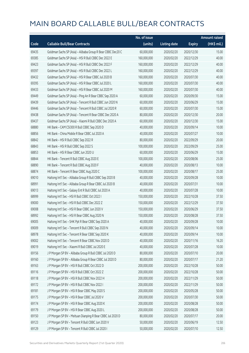|       |                                                             | No. of issue |                     |               | <b>Amount raised</b>  |
|-------|-------------------------------------------------------------|--------------|---------------------|---------------|-----------------------|
| Code  | <b>Callable Bull/Bear Contracts</b>                         | (units)      | <b>Listing date</b> | <b>Expiry</b> | $(HK\frac{1}{2}mil.)$ |
| 69435 | Goldman Sachs SP (Asia) - Alibaba Group R Bear CBBC Dec20 C | 60,000,000   | 2020/02/20          | 2020/12/30    | 15.00                 |
| 69385 | Goldman Sachs SP (Asia) - HSI R Bull CBBC Dec 2022 E        | 160,000,000  | 2020/02/20          | 2022/12/29    | 40.00                 |
| 69423 | Goldman Sachs SP (Asia) - HSI R Bull CBBC Dec 2022 F        | 160,000,000  | 2020/02/20          | 2022/12/29    | 40.00                 |
| 69397 | Goldman Sachs SP (Asia) - HSI R Bull CBBC Dec 2022 L        | 160,000,000  | 2020/02/20          | 2022/12/29    | 40.00                 |
| 69432 | Goldman Sachs SP (Asia) - HSI R Bear CBBC Jul 2020 B        | 160,000,000  | 2020/02/20          | 2020/07/30    | 40.00                 |
| 69395 | Goldman Sachs SP (Asia) - HSI R Bear CBBC Jul 2020 L        | 160,000,000  | 2020/02/20          | 2020/07/30    | 40.00                 |
| 69433 | Goldman Sachs SP (Asia) - HSI R Bear CBBC Jul 2020 M        | 160,000,000  | 2020/02/20          | 2020/07/30    | 40.00                 |
| 69449 | Goldman Sachs SP (Asia) - Ping An R Bear CBBC Sep 2020 A    | 60,000,000   | 2020/02/20          | 2020/09/30    | 15.00                 |
| 69439 | Goldman Sachs SP (Asia) - Tencent R Bull CBBC Jun 2020 N    | 60,000,000   | 2020/02/20          | 2020/06/29    | 15.00                 |
| 69446 | Goldman Sachs SP (Asia) - Tencent R Bull CBBC Jul 2020 R    | 60,000,000   | 2020/02/20          | 2020/07/30    | 15.00                 |
| 69438 | Goldman Sachs SP (Asia) - Tencent R Bear CBBC Dec 2020 A    | 80,000,000   | 2020/02/20          | 2020/12/30    | 20.00                 |
| 69437 | Goldman Sachs SP (Asia) - Xiaomi R Bull CBBC Dec 2020 A     | 60,000,000   | 2020/02/20          | 2020/12/30    | 15.00                 |
| 68880 | HK Bank - CAM CSI300 R Bull CBBC Sep 2020 D                 | 40,000,000   | 2020/02/20          | 2020/09/14    | 10.00                 |
| 68856 | HK Bank - China Mobile R Bear CBBC Jul 2020 A               | 40,000,000   | 2020/02/20          | 2020/07/27    | 10.00                 |
| 68842 | HK Bank - HSI R Bull CBBC Sep 2022 R                        | 80,000,000   | 2020/02/20          | 2022/09/29    | 20.00                 |
| 68843 | HK Bank - HSI R Bull CBBC Sep 2022 S                        | 100,000,000  | 2020/02/20          | 2022/09/29    | 25.00                 |
| 68853 | HK Bank - HSI R Bear CBBC Jun 2020 U                        | 60,000,000   | 2020/02/20          | 2020/06/29    | 15.00                 |
| 68844 | HK Bank - Tencent R Bull CBBC Aug 2020 E                    | 100,000,000  | 2020/02/20          | 2020/08/06    | 25.00                 |
| 68890 | HK Bank - Tencent R Bull CBBC Aug 2020 F                    | 40,000,000   | 2020/02/20          | 2020/08/13    | 10.00                 |
| 68874 | HK Bank - Tencent R Bear CBBC Aug 2020 C                    | 100,000,000  | 2020/02/20          | 2020/08/17    | 25.00                 |
| 69010 | Haitong Int'l Sec - Alibaba Group R Bull CBBC Sep 2020 B    | 40,000,000   | 2020/02/20          | 2020/09/28    | 10.00                 |
| 68991 | Haitong Int'l Sec - Alibaba Group R Bear CBBC Jul 2020 B    | 40,000,000   | 2020/02/20          | 2020/07/31    | 10.00                 |
| 69013 | Haitong Int'l Sec - Galaxy Ent R Bull CBBC Jul 2020 A       | 40,000,000   | 2020/02/20          | 2020/07/28    | 10.00                 |
| 68999 | Haitong Int'l Sec - HSI R Bull CBBC Oct 2022 I              | 150,000,000  | 2020/02/20          | 2022/10/28    | 37.50                 |
| 69000 | Haitong Int'l Sec - HSI R Bull CBBC Dec 2022 Z              | 150,000,000  | 2020/02/20          | 2022/12/29    | 37.50                 |
| 69008 | Haitong Int'l Sec - HSI R Bear CBBC Jun 2020 V              | 150,000,000  | 2020/02/20          | 2020/06/29    | 37.50                 |
| 68992 | Haitong Int'l Sec - HSI R Bear CBBC Aug 2020 N              | 150,000,000  | 2020/02/20          | 2020/08/28    | 37.50                 |
| 69005 | Haitong Int'l Sec - SHK Ppt R Bear CBBC Sep 2020 A          | 40,000,000   | 2020/02/20          | 2020/09/28    | 10.00                 |
| 69009 | Haitong Int'l Sec - Tencent R Bull CBBC Sep 2020 N          | 40,000,000   | 2020/02/20          | 2020/09/14    | 10.00                 |
| 68978 | Haitong Int'l Sec - Tencent R Bear CBBC Sep 2020 K          | 40,000,000   | 2020/02/20          | 2020/09/14    | 10.00                 |
| 69002 | Haitong Int'l Sec - Tencent R Bear CBBC Nov 2020 D          | 40,000,000   | 2020/02/20          | 2020/11/16    | 16.20                 |
| 69019 | Haitong Int'l Sec - Xiaomi R Bull CBBC Jul 2020 E           | 40,000,000   | 2020/02/20          | 2020/07/28    | 10.00                 |
| 69156 | J P Morgan SP BV - Alibaba Group R Bull CBBC Jul 2020 D     | 80,000,000   | 2020/02/20          | 2020/07/10    | 20.00                 |
| 69160 | J P Morgan SP BV - Alibaba Group R Bear CBBC Jul 2020 D     | 80,000,000   | 2020/02/20          | 2020/07/17    | 21.20                 |
| 69163 | J P Morgan SP BV - HSI R Bull CBBC Oct 2022 D               | 200,000,000  | 2020/02/20          | 2022/10/28    | 50.00                 |
| 69116 | J P Morgan SP BV - HSI R Bull CBBC Oct 2022 Z               | 200,000,000  | 2020/02/20          | 2022/10/28    | 50.00                 |
| 69118 | J P Morgan SP BV - HSI R Bull CBBC Nov 2022 H               | 200,000,000  | 2020/02/20          | 2022/11/29    | 50.00                 |
| 69172 | J P Morgan SP BV - HSI R Bull CBBC Nov 2022 I               | 200,000,000  | 2020/02/20          | 2022/11/29    | 50.00                 |
| 69181 | J P Morgan SP BV - HSI R Bear CBBC May 2020 S               | 200,000,000  | 2020/02/20          | 2020/05/28    | 50.00                 |
| 69175 | J P Morgan SP BV - HSI R Bear CBBC Jul 2020 V               | 200,000,000  | 2020/02/20          | 2020/07/30    | 50.00                 |
| 69174 | J P Morgan SP BV - HSI R Bear CBBC Aug 2020 K               | 200,000,000  | 2020/02/20          | 2020/08/28    | 50.00                 |
| 69179 | J P Morgan SP BV - HSI R Bear CBBC Aug 2020 L               | 200,000,000  | 2020/02/20          | 2020/08/28    | 50.00                 |
| 69150 | J P Morgan SP BV - Meituan Dianping R Bear CBBC Jul 2020 D  | 80,000,000   | 2020/02/20          | 2020/07/17    | 20.00                 |
| 69123 | J P Morgan SP BV - Tencent R Bull CBBC Jun 2020 V           | 50,000,000   | 2020/02/20          | 2020/06/19    | 12.50                 |
| 69129 | J P Morgan SP BV - Tencent R Bull CBBC Jul 2020 I           | 50,000,000   | 2020/02/20          | 2020/07/10    | 12.50                 |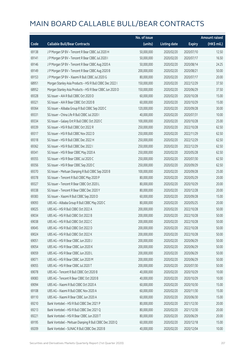|       |                                                           | No. of issue |                     |               | <b>Amount raised</b> |
|-------|-----------------------------------------------------------|--------------|---------------------|---------------|----------------------|
| Code  | <b>Callable Bull/Bear Contracts</b>                       | (units)      | <b>Listing date</b> | <b>Expiry</b> | (HK\$ mil.)          |
| 69138 | J P Morgan SP BV - Tencent R Bear CBBC Jul 2020 H         | 50,000,000   | 2020/02/20          | 2020/07/10    | 12.50                |
| 69141 | J P Morgan SP BV - Tencent R Bear CBBC Jul 2020 I         | 50,000,000   | 2020/02/20          | 2020/07/17    | 16.50                |
| 69146 | J P Morgan SP BV - Tencent R Bear CBBC Aug 2020 A         | 50,000,000   | 2020/02/20          | 2020/08/14    | 24.25                |
| 69149 | J P Morgan SP BV - Tencent R Bear CBBC Aug 2020 B         | 200,000,000  | 2020/02/20          | 2020/08/21    | 50.00                |
| 69153 | J P Morgan SP BV - Xiaomi R Bull CBBC Jul 2020 G          | 80,000,000   | 2020/02/20          | 2020/07/17    | 20.00                |
| 68951 | Morgan Stanley Asia Products - HSI R Bull CBBC Dec 2022 I | 150,000,000  | 2020/02/20          | 2022/12/29    | 37.50                |
| 68952 | Morgan Stanley Asia Products - HSI R Bear CBBC Jun 2020 D | 150,000,000  | 2020/02/20          | 2020/06/29    | 37.50                |
| 69328 | SG Issuer - AIA R Bull CBBC Oct 2020 D                    | 60,000,000   | 2020/02/20          | 2020/10/28    | 15.00                |
| 69321 | SG Issuer - AIA R Bear CBBC Oct 2020 B                    | 60,000,000   | 2020/02/20          | 2020/10/29    | 15.00                |
| 69364 | SG Issuer - Alibaba Group R Bull CBBC Sep 2020 C          | 120,000,000  | 2020/02/20          | 2020/09/28    | 30.00                |
| 69331 | SG Issuer - China Life R Bull CBBC Jul 2020 I             | 40,000,000   | 2020/02/20          | 2020/07/31    | 10.00                |
| 69334 | SG Issuer - Galaxy Ent R Bull CBBC Oct 2020 C             | 100,000,000  | 2020/02/20          | 2020/10/28    | 25.00                |
| 69339 | SG Issuer - HSI R Bull CBBC Oct 2022 R                    | 250,000,000  | 2020/02/20          | 2022/10/28    | 62.50                |
| 69317 | SG Issuer - HSI R Bull CBBC Nov 2022 D                    | 250,000,000  | 2020/02/20          | 2022/11/29    | 62.50                |
| 69318 | SG Issuer - HSI R Bull CBBC Dec 2022 H                    | 250,000,000  | 2020/02/20          | 2022/12/29    | 62.50                |
| 69362 | SG Issuer - HSI R Bull CBBC Dec 2022 I                    | 250,000,000  | 2020/02/20          | 2022/12/29    | 62.50                |
| 69341 | SG Issuer - HSI R Bear CBBC May 2020 A                    | 250,000,000  | 2020/02/20          | 2020/05/28    | 62.50                |
| 69355 | SG Issuer - HSI R Bear CBBC Jul 2020 C                    | 250,000,000  | 2020/02/20          | 2020/07/30    | 62.50                |
| 69356 | SG Issuer - HSI R Bear CBBC Sep 2020 C                    | 250,000,000  | 2020/02/20          | 2020/09/29    | 62.50                |
| 69370 | SG Issuer - Meituan Dianping R Bull CBBC Sep 2020 B       | 100,000,000  | 2020/02/20          | 2020/09/28    | 25.00                |
| 69378 | SG Issuer - Tencent R Bull CBBC May 2020 P                | 80,000,000   | 2020/02/20          | 2020/05/29    | 20.00                |
| 69327 | SG Issuer - Tencent R Bear CBBC Oct 2020 L                | 80,000,000   | 2020/02/20          | 2020/10/29    | 20.00                |
| 69338 | SG Issuer - Tencent R Bear CBBC Dec 2020 Y                | 80,000,000   | 2020/02/20          | 2020/12/28    | 20.00                |
| 69383 | SG Issuer - Xiaomi R Bull CBBC Sep 2020 D                 | 60,000,000   | 2020/02/20          | 2020/09/28    | 15.00                |
| 69093 | UBS AG - Alibaba Group R Bull CBBC May 2020 C             | 80,000,000   | 2020/02/20          | 2020/05/25    | 20.00                |
| 69025 | UBS AG - HSI R Bull CBBC Oct 2022 A                       | 200,000,000  | 2020/02/20          | 2022/10/28    | 50.00                |
| 69034 | UBS AG - HSI R Bull CBBC Oct 2022 B                       | 200,000,000  | 2020/02/20          | 2022/10/28    | 50.00                |
| 69038 | UBS AG - HSLR Bull CBBC Oct 2022 C                        | 200,000,000  | 2020/02/20          | 2022/10/28    | 50.00                |
| 69045 | UBS AG - HSI R Bull CBBC Oct 2022 D                       | 200,000,000  | 2020/02/20          | 2022/10/28    | 50.00                |
| 69024 | UBS AG - HSI R Bull CBBC Oct 2022 K                       | 200,000,000  | 2020/02/20          | 2022/10/28    | 50.00                |
| 69051 | UBS AG - HSI R Bear CBBC Jun 2020 J                       | 200,000,000  | 2020/02/20          | 2020/06/29    | 50.00                |
| 69054 | UBS AG - HSI R Bear CBBC Jun 2020 K                       | 200,000,000  | 2020/02/20          | 2020/06/29    | 50.00                |
| 69059 | UBS AG - HSI R Bear CBBC Jun 2020 L                       | 200,000,000  | 2020/02/20          | 2020/06/29    | 50.00                |
| 69071 | UBS AG - HSI R Bear CBBC Jun 2020 M                       | 200,000,000  | 2020/02/20          | 2020/06/29    | 50.00                |
| 69055 | UBS AG - HSI R Bear CBBC Jul 2020 T                       | 200,000,000  | 2020/02/20          | 2020/07/30    | 50.00                |
| 69078 | UBS AG - Tencent R Bull CBBC Oct 2020 B                   | 40,000,000   | 2020/02/20          | 2020/10/29    | 10.00                |
| 69083 | UBS AG - Tencent R Bear CBBC Oct 2020 B                   | 40,000,000   | 2020/02/20          | 2020/10/29    | 10.00                |
| 69094 | UBS AG - Xiaomi R Bull CBBC Oct 2020 A                    | 60,000,000   | 2020/02/20          | 2020/10/30    | 15.00                |
| 69108 | UBS AG - Xiaomi R Bull CBBC Nov 2020 A                    | 60,000,000   | 2020/02/20          | 2020/11/30    | 15.00                |
| 69110 | UBS AG - Xiaomi R Bear CBBC Jun 2020 A                    | 60,000,000   | 2020/02/20          | 2020/06/30    | 15.00                |
| 69210 | Bank Vontobel - HSI R Bull CBBC Dec 2021 P                | 80,000,000   | 2020/02/20          | 2021/12/30    | 20.00                |
| 69213 | Bank Vontobel - HSI R Bull CBBC Dec 2021 Q                | 80,000,000   | 2020/02/20          | 2021/12/30    | 20.00                |
| 69221 | Bank Vontobel - HSI R Bear CBBC Jun 2020 T                | 80,000,000   | 2020/02/20          | 2020/06/29    | 20.00                |
| 69195 | Bank Vontobel - Meituan Dianping R Bull CBBC Dec 2020 Q   | 60,000,000   | 2020/02/20          | 2020/12/18    | 15.00                |
| 69209 | Bank Vontobel - SUNAC R Bull CBBC Dec 2020 B              | 40,000,000   | 2020/02/20          | 2020/12/04    | 10.00                |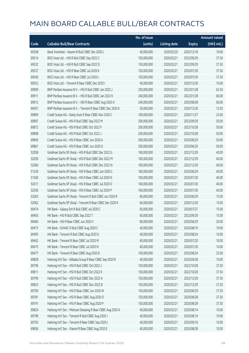|       |                                                             | No. of issue |                     |               | <b>Amount raised</b> |
|-------|-------------------------------------------------------------|--------------|---------------------|---------------|----------------------|
| Code  | <b>Callable Bull/Bear Contracts</b>                         | (units)      | <b>Listing date</b> | <b>Expiry</b> | (HK\$ mil.)          |
| 69208 | Bank Vontobel - Xiaomi R Bull CBBC Dec 2020 L               | 40,000,000   | 2020/02/20          | 2020/12/18    | 10.00                |
| 69514 | BOCI Asia Ltd. - HSI R Bull CBBC Sep 2022 C                 | 150,000,000  | 2020/02/21          | 2022/09/29    | 37.50                |
| 69532 | BOCI Asia Ltd. - HSI R Bull CBBC Sep 2022 D                 | 150,000,000  | 2020/02/21          | 2022/09/29    | 37.50                |
| 69537 | BOCI Asia Ltd. - HSI R Bear CBBC Jul 2020 K                 | 150,000,000  | 2020/02/21          | 2020/07/30    | 37.50                |
| 69540 | BOCI Asia Ltd. - HSI R Bear CBBC Jul 2020 L                 | 150,000,000  | 2020/02/21          | 2020/07/30    | 37.50                |
| 69552 | BOCI Asia Ltd. - Tencent R Bear CBBC Dec 2020 I             | 40,000,000   | 2020/02/21          | 2020/12/30    | 10.00                |
| 69909 | BNP Paribas Issuance B.V. - HSI R Bull CBBC Jan 2022 J      | 250,000,000  | 2020/02/21          | 2022/01/28    | 62.50                |
| 69911 | BNP Paribas Issuance B.V. - HSI R Bull CBBC Jan 2022 K      | 240,000,000  | 2020/02/21          | 2022/01/28    | 60.00                |
| 69912 | BNP Paribas Issuance B.V. - HSI R Bear CBBC Aug 2020 X      | 240,000,000  | 2020/02/21          | 2020/08/28    | 60.00                |
| 69457 | BNP Paribas Issuance B.V. - Tencent R Bear CBBC Dec 2020 K  | 50,000,000   | 2020/02/21          | 2020/12/30    | 12.50                |
| 69899 | Credit Suisse AG - Geely Auto R Bear CBBC Nov 2020 C        | 100,000,000  | 2020/02/21          | 2020/11/27    | 25.00                |
| 69897 | Credit Suisse AG - HSI R Bull CBBC Sep 2022 M               | 200,000,000  | 2020/02/21          | 2022/09/29    | 50.00                |
| 69872 | Credit Suisse AG - HSI R Bull CBBC Oct 2022 F               | 200,000,000  | 2020/02/21          | 2022/10/28    | 50.00                |
| 69898 | Credit Suisse AG - HSI R Bull CBBC Oct 2022 J               | 200,000,000  | 2020/02/21          | 2022/10/28    | 50.00                |
| 69849 | Credit Suisse AG - HSI R Bear CBBC Jun 2020 A               | 200,000,000  | 2020/02/21          | 2020/06/29    | 50.00                |
| 69861 | Credit Suisse AG - HSI R Bear CBBC Jun 2020 G               | 200,000,000  | 2020/02/21          | 2020/06/29    | 50.00                |
| 52058 | Goldman Sachs SP (Asia) - HSI R Bull CBBC Dec 2022 G        | 160,000,000  | 2020/02/21          | 2022/12/29    | 40.00                |
| 52059 | Goldman Sachs SP (Asia) - HSI R Bull CBBC Dec 2022 M        | 160,000,000  | 2020/02/21          | 2022/12/29    | 40.00                |
| 52060 | Goldman Sachs SP (Asia) - HSI R Bull CBBC Dec 2022 N        | 160,000,000  | 2020/02/21          | 2022/12/29    | 40.00                |
| 51539 | Goldman Sachs SP (Asia) - HSI R Bear CBBC Jun 2020 C        | 160,000,000  | 2020/02/21          | 2020/06/29    | 40.00                |
| 51569 | Goldman Sachs SP (Asia) - HSI R Bear CBBC Jul 2020 N        | 160,000,000  | 2020/02/21          | 2020/07/30    | 40.00                |
| 52011 | Goldman Sachs SP (Asia) - HSI R Bear CBBC Jul 2020 O        | 160,000,000  | 2020/02/21          | 2020/07/30    | 40.00                |
| 52036 | Goldman Sachs SP (Asia) - HSI R Bear CBBC Jul 2020 P        | 160,000,000  | 2020/02/21          | 2020/07/30    | 40.00                |
| 52063 | Goldman Sachs SP (Asia) - Tencent R Bull CBBC Jun 2020 R    | 60,000,000   | 2020/02/21          | 2020/06/29    | 15.00                |
| 52062 | Goldman Sachs SP (Asia) - Tencent R Bear CBBC Dec 2020 K    | 60,000,000   | 2020/02/21          | 2020/12/30    | 15.00                |
| 69474 | HK Bank - Galaxy Ent R Bull CBBC Jul 2020 C                 | 60,000,000   | 2020/02/21          | 2020/07/27    | 15.00                |
| 69493 | HK Bank - HSI R Bull CBBC Sep 2022 T                        | 60,000,000   | 2020/02/21          | 2022/09/29    | 15.00                |
| 69460 | HK Bank - HSI R Bear CBBC Jun 2020 V                        | 80,000,000   | 2020/02/21          | 2020/06/29    | 20.00                |
| 69473 | HK Bank - SUNAC R Bull CBBC Aug 2020 C                      | 40,000,000   | 2020/02/21          | 2020/08/10    | 10.00                |
| 69495 | HK Bank - Tencent R Bull CBBC Aug 2020 G                    | 40,000,000   | 2020/02/21          | 2020/08/24    | 10.00                |
| 69462 | HK Bank - Tencent R Bear CBBC Jul 2020 M                    | 40,000,000   | 2020/02/21          | 2020/07/20    | 10.00                |
| 69475 | HK Bank - Tencent R Bear CBBC Jul 2020 N                    | 40,000,000   | 2020/02/21          | 2020/07/20    | 10.00                |
| 69477 | HK Bank - Tencent R Bear CBBC Aug 2020 D                    | 100,000,000  | 2020/02/21          | 2020/08/24    | 25.00                |
| 69828 | Haitong Int'l Sec - Alibaba Group R Bear CBBC Sep 2020 B    | 40,000,000   | 2020/02/21          | 2020/09/28    | 10.00                |
| 69796 | Haitong Int'l Sec - HSI R Bull CBBC Oct 2022 J              | 150,000,000  | 2020/02/21          | 2022/10/28    | 37.50                |
| 69811 | Haitong Int'l Sec - HSI R Bull CBBC Oct 2022 K              | 150,000,000  | 2020/02/21          | 2022/10/28    | 37.50                |
| 69799 | Haitong Int'l Sec - HSI R Bull CBBC Dec 2022 A              | 150,000,000  | 2020/02/21          | 2022/12/29    | 37.50                |
| 69823 | Haitong Int'l Sec - HSI R Bull CBBC Dec 2022 B              | 150,000,000  | 2020/02/21          | 2022/12/29    | 37.50                |
| 69790 | Haitong Int'l Sec - HSI R Bear CBBC Jun 2020 W              | 150,000,000  | 2020/02/21          | 2020/06/29    | 37.50                |
| 69781 | Haitong Int'l Sec - HSI R Bear CBBC Aug 2020 O              | 150,000,000  | 2020/02/21          | 2020/08/28    | 37.50                |
| 69791 | Haitong Int'l Sec - HSI R Bear CBBC Aug 2020 P              | 150,000,000  | 2020/02/21          | 2020/08/28    | 37.50                |
| 69824 | Haitong Int'l Sec - Meituan Dianping R Bear CBBC Aug 2020 A | 40,000,000   | 2020/02/21          | 2020/08/14    | 10.00                |
| 69798 | Haitong Int'l Sec - Tencent R Bull CBBC Aug 2020 J          | 40,000,000   | 2020/02/21          | 2020/08/14    | 10.00                |
| 69793 | Haitong Int'l Sec - Tencent R Bear CBBC Sep 2020 L          | 40,000,000   | 2020/02/21          | 2020/09/16    | 10.00                |
| 69836 | Haitong Int'l Sec - Xiaomi R Bear CBBC Aug 2020 E           | 40,000,000   | 2020/02/21          | 2020/08/28    | 10.00                |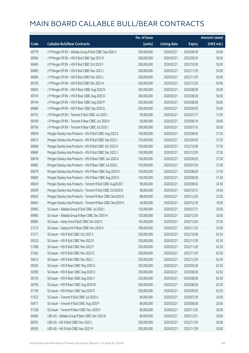|       |                                                              | No. of issue |                     |               | <b>Amount raised</b> |
|-------|--------------------------------------------------------------|--------------|---------------------|---------------|----------------------|
| Code  | <b>Callable Bull/Bear Contracts</b>                          | (units)      | <b>Listing date</b> | <b>Expiry</b> | (HK\$ mil.)          |
| 69779 | J P Morgan SP BV - Alibaba Group R Bull CBBC Sep 2020 A      | 200,000,000  | 2020/02/21          | 2020/09/18    | 50.00                |
| 69694 | J P Morgan SP BV - HSI R Bull CBBC Sep 2022 R                | 200,000,000  | 2020/02/21          | 2022/09/29    | 50.00                |
| 69695 | J P Morgan SP BV - HSI R Bull CBBC Oct 2022 F                | 200,000,000  | 2020/02/21          | 2022/10/28    | 50.00                |
| 69685 | J P Morgan SP BV - HSI R Bull CBBC Nov 2022 J                | 200,000,000  | 2020/02/21          | 2022/11/29    | 50.00                |
| 69696 | J P Morgan SP BV - HSI R Bull CBBC Nov 2022 L                | 200,000,000  | 2020/02/21          | 2022/11/29    | 50.00                |
| 69730 | J P Morgan SP BV - HSI R Bull CBBC Dec 2022 A                | 200,000,000  | 2020/02/21          | 2022/12/29    | 50.00                |
| 69693 | J P Morgan SP BV - HSI R Bear CBBC Aug 2020 N                | 200,000,000  | 2020/02/21          | 2020/08/28    | 50.00                |
| 69743 | J P Morgan SP BV - HSI R Bear CBBC Aug 2020 O                | 200,000,000  | 2020/02/21          | 2020/08/28    | 50.00                |
| 69744 | J P Morgan SP BV - HSI R Bear CBBC Aug 2020 P                | 200,000,000  | 2020/02/21          | 2020/08/28    | 50.00                |
| 69684 | J P Morgan SP BV - HSI R Bear CBBC Sep 2020 Q                | 200,000,000  | 2020/02/21          | 2020/09/29    | 50.00                |
| 69752 | J P Morgan SP BV - Tencent R Bull CBBC Jul 2020 J            | 50,000,000   | 2020/02/21          | 2020/07/17    | 12.50                |
| 69769 | J P Morgan SP BV - Tencent R Bear CBBC Jun 2020 V            | 50,000,000   | 2020/02/21          | 2020/06/19    | 30.00                |
| 69756 | J P Morgan SP BV - Tencent R Bear CBBC Jul 2020 J            | 200,000,000  | 2020/02/21          | 2020/07/10    | 50.00                |
| 69678 | Morgan Stanley Asia Products - HSI R Bull CBBC Aug 2022 E    | 150,000,000  | 2020/02/21          | 2022/08/30    | 37.50                |
| 69672 | Morgan Stanley Asia Products - HSI R Bull CBBC Sep 2022 J    | 150,000,000  | 2020/02/21          | 2022/09/29    | 37.50                |
| 69669 | Morgan Stanley Asia Products - HSI R Bull CBBC Oct 2022 K    | 150,000,000  | 2020/02/21          | 2022/10/28    | 37.50                |
| 69660 | Morgan Stanley Asia Products - HSI R Bull CBBC Dec 2022 J    | 150,000,000  | 2020/02/21          | 2022/12/29    | 37.50                |
| 69618 | Morgan Stanley Asia Products - HSI R Bear CBBC Jun 2020 A    | 150,000,000  | 2020/02/21          | 2020/06/29    | 37.50                |
| 69682 | Morgan Stanley Asia Products - HSI R Bear CBBC Jul 2020 L    | 150,000,000  | 2020/02/21          | 2020/07/30    | 37.50                |
| 69679 | Morgan Stanley Asia Products - HSI R Bear CBBC Aug 2020 D    | 150,000,000  | 2020/02/21          | 2020/08/28    | 37.50                |
| 69683 | Morgan Stanley Asia Products - HSI R Bear CBBC Aug 2020 E    | 150,000,000  | 2020/02/21          | 2020/08/28    | 37.50                |
| 69629 | Morgan Stanley Asia Products - Tencent R Bull CBBC Aug2020 F | 98,000,000   | 2020/02/21          | 2020/08/03    | 24.50                |
| 69639 | Morgan Stanley Asia Products - Tencent R Bull CBBC Oct2020 B | 98,000,000   | 2020/02/21          | 2020/10/12    | 24.50                |
| 69620 | Morgan Stanley Asia Products - Tencent R Bear CBBC Dec2020 G | 88,000,000   | 2020/02/21          | 2020/12/30    | 22.00                |
| 69645 | Morgan Stanley Asia Products - Tencent R Bear CBBC Dec2020 H | 40,000,000   | 2020/02/21          | 2020/12/18    | 10.00                |
| 69983 | SG Issuer - Alibaba Group R Bull CBBC Jul 2020 I             | 120,000,000  | 2020/02/21          | 2020/07/31    | 30.00                |
| 69985 | SG Issuer - Alibaba Group R Bear CBBC Dec 2020 H             | 120,000,000  | 2020/02/21          | 2020/12/29    | 30.00                |
| 69993 | SG Issuer - Geely Auto R Bull CBBC Dec 2020 C                | 150,000,000  | 2020/02/21          | 2020/12/29    | 37.50                |
| 51373 | SG Issuer - Galaxy Ent R Bear CBBC Nov 2020 A                | 100,000,000  | 2020/02/21          | 2020/11/30    | 25.00                |
| 51217 | SG Issuer - HSI R Bull CBBC Oct 2022 S                       | 250,000,000  | 2020/02/21          | 2022/10/28    | 62.50                |
| 50533 | SG Issuer - HSI R Bull CBBC Nov 2022 E                       | 250,000,000  | 2020/02/21          | 2022/11/29    | 62.50                |
| 51288 | SG Issuer - HSI R Bull CBBC Nov 2022 F                       | 250,000,000  | 2020/02/21          | 2022/11/29    | 62.50                |
| 51362 | SG Issuer - HSI R Bull CBBC Nov 2022 G                       | 250,000,000  | 2020/02/21          | 2022/11/29    | 62.50                |
| 50613 | SG Issuer - HSI R Bull CBBC Dec 2022 J                       | 250,000,000  | 2020/02/21          | 2022/12/29    | 62.50                |
| 50345 | SG Issuer - HSI R Bear CBBC May 2020 G                       | 250,000,000  | 2020/02/21          | 2020/05/28    | 62.50                |
| 50390 | SG Issuer - HSI R Bear CBBC Aug 2020 U                       | 250,000,000  | 2020/02/21          | 2020/08/28    | 62.50                |
| 50729 | SG Issuer - HSI R Bear CBBC Aug 2020 V                       | 250,000,000  | 2020/02/21          | 2020/08/28    | 62.50                |
| 50795 | SG Issuer - HSI R Bear CBBC Aug 2020 W                       | 250,000,000  | 2020/02/21          | 2020/08/28    | 62.50                |
| 51159 | SG Issuer - HSI R Bear CBBC Sep 2020 D                       | 250,000,000  | 2020/02/21          | 2020/09/29    | 62.50                |
| 51523 | SG Issuer - Tencent R Bull CBBC Jul 2020 U                   | 80,000,000   | 2020/02/21          | 2020/07/30    | 20.00                |
| 50471 | SG Issuer - Tencent R Bull CBBC Aug 2020 F                   | 80,000,000   | 2020/02/21          | 2020/08/28    | 20.00                |
| 51538 | SG Issuer - Tencent R Bear CBBC Nov 2020 P                   | 80,000,000   | 2020/02/21          | 2020/11/30    | 20.00                |
| 69606 | UBS AG - Alibaba Group R Bear CBBC Dec 2020 B                | 80,000,000   | 2020/02/21          | 2020/12/31    | 20.00                |
| 69593 | UBS AG - HSI R Bull CBBC Nov 2022 L                          | 200,000,000  | 2020/02/21          | 2022/11/29    | 50.00                |
| 69595 | UBS AG - HSI R Bull CBBC Nov 2022 M                          | 200,000,000  | 2020/02/21          | 2022/11/29    | 50.00                |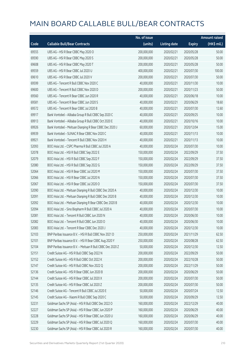|       |                                                            | No. of issue |                     |               | <b>Amount raised</b> |
|-------|------------------------------------------------------------|--------------|---------------------|---------------|----------------------|
| Code  | <b>Callable Bull/Bear Contracts</b>                        | (units)      | <b>Listing date</b> | <b>Expiry</b> | (HK\$ mil.)          |
| 69555 | UBS AG - HSI R Bear CBBC May 2020 O                        | 200,000,000  | 2020/02/21          | 2020/05/28    | 50.00                |
| 69590 | UBS AG - HSI R Bear CBBC May 2020 S                        | 200,000,000  | 2020/02/21          | 2020/05/28    | 50.00                |
| 69608 | UBS AG - HSI R Bear CBBC May 2020 T                        | 200,000,000  | 2020/02/21          | 2020/05/28    | 50.00                |
| 69559 | UBS AG - HSI R Bear CBBC Jul 2020 U                        | 400,000,000  | 2020/02/21          | 2020/07/30    | 100.00               |
| 69610 | UBS AG - HSI R Bear CBBC Jul 2020 V                        | 200,000,000  | 2020/02/21          | 2020/07/30    | 50.00                |
| 69599 | UBS AG - Tencent R Bull CBBC Nov 2020 C                    | 40,000,000   | 2020/02/21          | 2020/11/30    | 10.00                |
| 69600 | UBS AG - Tencent R Bull CBBC Nov 2020 D                    | 200,000,000  | 2020/02/21          | 2020/11/23    | 50.00                |
| 69560 | UBS AG - Tencent R Bear CBBC Jun 2020 R                    | 40,000,000   | 2020/02/21          | 2020/06/18    | 10.00                |
| 69581 | UBS AG - Tencent R Bear CBBC Jun 2020 S                    | 40,000,000   | 2020/02/21          | 2020/06/29    | 18.60                |
| 69572 | UBS AG - Tencent R Bear CBBC Jul 2020 B                    | 40,000,000   | 2020/02/21          | 2020/07/30    | 12.60                |
| 69917 | Bank Vontobel - Alibaba Group R Bull CBBC Sep 2020 C       | 40,000,000   | 2020/02/21          | 2020/09/25    | 10.00                |
| 69913 | Bank Vontobel - Alibaba Group R Bull CBBC Oct 2020 E       | 40,000,000   | 2020/02/21          | 2020/10/16    | 10.00                |
| 69926 | Bank Vontobel - Meituan Dianping R Bear CBBC Dec 2020 J    | 60,000,000   | 2020/02/21          | 2020/12/04    | 15.00                |
| 69939 | Bank Vontobel - SUNAC R Bear CBBC Nov 2020 C               | 40,000,000   | 2020/02/21          | 2020/11/13    | 10.00                |
| 69921 | Bank Vontobel - Tencent R Bull CBBC Nov 2020 H             | 40,000,000   | 2020/02/21          | 2020/11/13    | 10.00                |
| 52093 | BOCI Asia Ltd. - CSPC Pharma R Bull CBBC Jul 2020 A        | 40,000,000   | 2020/02/24          | 2020/07/30    | 10.00                |
| 52078 | BOCI Asia Ltd. - HSI R Bull CBBC Sep 2022 E                | 150,000,000  | 2020/02/24          | 2022/09/29    | 37.50                |
| 52079 | BOCI Asia Ltd. - HSI R Bull CBBC Sep 2022 F                | 150,000,000  | 2020/02/24          | 2022/09/29    | 37.50                |
| 52080 | BOCI Asia Ltd. - HSI R Bull CBBC Sep 2022 G                | 150,000,000  | 2020/02/24          | 2022/09/29    | 37.50                |
| 52064 | BOCI Asia Ltd. - HSI R Bear CBBC Jul 2020 M                | 150,000,000  | 2020/02/24          | 2020/07/30    | 37.50                |
| 52066 | BOCI Asia Ltd. - HSI R Bear CBBC Jul 2020 N                | 150,000,000  | 2020/02/24          | 2020/07/30    | 37.50                |
| 52067 | BOCI Asia Ltd. - HSI R Bear CBBC Jul 2020 O                | 150,000,000  | 2020/02/24          | 2020/07/30    | 37.50                |
| 52090 | BOCI Asia Ltd. - Meituan Dianping R Bull CBBC Dec 2020 A   | 40,000,000   | 2020/02/24          | 2020/12/30    | 10.00                |
| 52091 | BOCI Asia Ltd. - Meituan Dianping R Bull CBBC Dec 2020 B   | 40,000,000   | 2020/02/24          | 2020/12/30    | 10.00                |
| 52092 | BOCI Asia Ltd. - Meituan Dianping R Bear CBBC Dec 2020 B   | 40,000,000   | 2020/02/24          | 2020/12/30    | 10.00                |
| 52094 | BOCI Asia Ltd. - Sino Biopharm R Bull CBBC Jul 2020 A      | 40,000,000   | 2020/02/24          | 2020/07/30    | 10.00                |
| 52081 | BOCI Asia Ltd. - Tencent R Bull CBBC Jun 2020 N            | 40,000,000   | 2020/02/24          | 2020/06/30    | 10.00                |
| 52082 | BOCI Asia Ltd. - Tencent R Bull CBBC Jun 2020 O            | 40,000,000   | 2020/02/24          | 2020/06/30    | 10.00                |
| 52083 | BOCI Asia Ltd. - Tencent R Bear CBBC Dec 2020 J            | 40,000,000   | 2020/02/24          | 2020/12/30    | 10.00                |
| 52103 | BNP Paribas Issuance B.V. - HSI R Bull CBBC Nov 2021 D     | 250,000,000  | 2020/02/24          | 2021/11/29    | 62.50                |
| 52101 | BNP Paribas Issuance B.V. - HSI R Bear CBBC Aug 2020 Y     | 250,000,000  | 2020/02/24          | 2020/08/28    | 62.50                |
| 52104 | BNP Paribas Issuance B.V. - Meituan R Bull CBBC Dec 2020 Z | 50,000,000   | 2020/02/24          | 2020/12/30    | 12.50                |
| 52151 | Credit Suisse AG - HSI R Bull CBBC Sep 2022 N              | 200,000,000  | 2020/02/24          | 2022/09/29    | 50.00                |
| 52152 | Credit Suisse AG - HSI R Bull CBBC Oct 2022 K              | 200,000,000  | 2020/02/24          | 2022/10/28    | 50.00                |
| 52147 | Credit Suisse AG - HSI R Bull CBBC Nov 2022 Q              | 200,000,000  | 2020/02/24          | 2022/11/29    | 50.00                |
| 52136 | Credit Suisse AG - HSI R Bear CBBC Jun 2020 B              | 200,000,000  | 2020/02/24          | 2020/06/29    | 50.00                |
| 52144 | Credit Suisse AG - HSI R Bear CBBC Jul 2020 X              | 200,000,000  | 2020/02/24          | 2020/07/30    | 50.00                |
| 52135 | Credit Suisse AG - HSI R Bear CBBC Jul 2020 Z              | 200,000,000  | 2020/02/24          | 2020/07/30    | 50.00                |
| 52146 | Credit Suisse AG - Tencent R Bull CBBC Jul 2020 E          | 50,000,000   | 2020/02/24          | 2020/07/24    | 12.50                |
| 52145 | Credit Suisse AG - Xiaomi R Bull CBBC Sep 2020 C           | 50,000,000   | 2020/02/24          | 2020/09/29    | 12.50                |
| 52231 | Goldman Sachs SP (Asia) - HSI R Bull CBBC Dec 2022 O       | 160,000,000  | 2020/02/24          | 2022/12/29    | 40.00                |
| 52227 | Goldman Sachs SP (Asia) - HSI R Bear CBBC Jun 2020 P       | 160,000,000  | 2020/02/24          | 2020/06/29    | 40.00                |
| 52228 | Goldman Sachs SP (Asia) - HSI R Bear CBBC Jun 2020 U       | 160,000,000  | 2020/02/24          | 2020/06/29    | 40.00                |
| 52229 | Goldman Sachs SP (Asia) - HSI R Bear CBBC Jul 2020 Q       | 160,000,000  | 2020/02/24          | 2020/07/30    | 40.00                |
| 52230 | Goldman Sachs SP (Asia) - HSI R Bear CBBC Jul 2020 R       | 160,000,000  | 2020/02/24          | 2020/07/30    | 40.00                |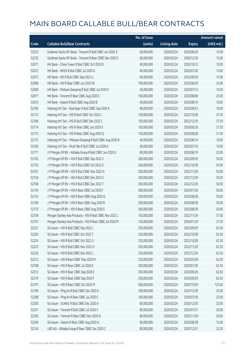|       |                                                             | No. of issue |                     |               | <b>Amount raised</b> |
|-------|-------------------------------------------------------------|--------------|---------------------|---------------|----------------------|
| Code  | <b>Callable Bull/Bear Contracts</b>                         | (units)      | <b>Listing date</b> | <b>Expiry</b> | (HK\$ mil.)          |
| 52233 | Goldman Sachs SP (Asia) - Tencent R Bull CBBC Jun 2020 X    | 60,000,000   | 2020/02/24          | 2020/06/29    | 15.00                |
| 52232 | Goldman Sachs SP (Asia) - Tencent R Bear CBBC Dec 2020 S    | 60,000,000   | 2020/02/24          | 2020/12/30    | 15.00                |
| 52071 | HK Bank - China Tower R Bull CBBC Oct 2020 B                | 40,000,000   | 2020/02/24          | 2020/10/12    | 10.00                |
| 52072 | HK Bank - HKEX R Bull CBBC Jul 2020 G                       | 40,000,000   | 2020/02/24          | 2020/07/20    | 10.00                |
| 52073 | HK Bank - HSI R Bull CBBC Sep 2022 U                        | 60,000,000   | 2020/02/24          | 2022/09/29    | 15.00                |
| 52068 | HK Bank - HSI R Bear CBBC Jun 2020 W                        | 100,000,000  | 2020/02/24          | 2020/06/29    | 25.00                |
| 52069 | HK Bank - Meituan Dianping R Bull CBBC Jul 2020 K           | 40,000,000   | 2020/02/24          | 2020/07/13    | 10.00                |
| 52077 | HK Bank - Tencent R Bear CBBC Aug 2020 E                    | 100,000,000  | 2020/02/24          | 2020/08/06    | 25.00                |
| 52070 | HK Bank - Xiaomi R Bull CBBC Aug 2020 B                     | 40,000,000   | 2020/02/24          | 2020/08/10    | 10.00                |
| 52185 | Haitong Int'l Sec - Bud Apac R Bull CBBC Sep 2020 A         | 40,000,000   | 2020/02/24          | 2020/09/23    | 10.00                |
| 52173 | Haitong Int'l Sec - HSI R Bull CBBC Oct 2022 L              | 150,000,000  | 2020/02/24          | 2022/10/28    | 37.50                |
| 52184 | Haitong Int'l Sec - HSI R Bull CBBC Dec 2022 C              | 150,000,000  | 2020/02/24          | 2022/12/29    | 37.50                |
| 52174 | Haitong Int'l Sec - HSI R Bear CBBC Jun 2020 X              | 150,000,000  | 2020/02/24          | 2020/06/29    | 37.50                |
| 52172 | Haitong Int'l Sec - HSI R Bear CBBC Aug 2020 Q              | 150,000,000  | 2020/02/24          | 2020/08/28    | 37.50                |
| 52175 | Haitong Int'l Sec - Meituan Dianping R Bull CBBC Aug 2020 B | 40,000,000   | 2020/02/24          | 2020/08/14    | 10.00                |
| 52183 | Haitong Int'l Sec - WuXi Bio R Bull CBBC Jul 2020 A         | 40,000,000   | 2020/02/24          | 2020/07/16    | 10.00                |
| 52171 | J P Morgan SP BV - Alibaba Group R Bull CBBC Jun 2020 G     | 80,000,000   | 2020/02/24          | 2020/06/19    | 20.00                |
| 52163 | J P Morgan SP BV - HSI R Bull CBBC Sep 2022 S               | 200,000,000  | 2020/02/24          | 2022/09/29    | 50.00                |
| 52155 | J P Morgan SP BV - HSI R Bull CBBC Oct 2022 G               | 200,000,000  | 2020/02/24          | 2022/10/28    | 50.00                |
| 52167 | J P Morgan SP BV - HSI R Bull CBBC Nov 2022 N               | 200,000,000  | 2020/02/24          | 2022/11/29    | 50.00                |
| 52156 | JP Morgan SP BV - HSIR Bull CBBC Dec 2022 S                 | 200,000,000  | 2020/02/24          | 2022/12/29    | 50.00                |
| 52168 | J P Morgan SP BV - HSI R Bull CBBC Dec 2022 T               | 200,000,000  | 2020/02/24          | 2022/12/29    | 50.00                |
| 52154 | J P Morgan SP BV - HSI R Bear CBBC Jul 2020 F               | 200,000,000  | 2020/02/24          | 2020/07/30    | 50.00                |
| 52153 | J P Morgan SP BV - HSI R Bear CBBC Aug 2020 Q               | 200,000,000  | 2020/02/24          | 2020/08/28    | 50.00                |
| 52169 | J P Morgan SP BV - HSI R Bear CBBC Aug 2020 R               | 200,000,000  | 2020/02/24          | 2020/08/28    | 50.00                |
| 52170 | J P Morgan SP BV - HSI R Bear CBBC Aug 2020 S               | 200,000,000  | 2020/02/24          | 2020/08/28    | 50.00                |
| 52108 | Morgan Stanley Asia Products - HSI R Bull CBBC Nov 2022 L   | 150,000,000  | 2020/02/24          | 2022/11/29    | 37.50                |
| 52107 | Morgan Stanley Asia Products - HSI R Bear CBBC Jul 2020 M   | 150,000,000  | 2020/02/24          | 2020/07/30    | 37.50                |
| 52221 | SG Issuer - HSI R Bull CBBC Sep 2022 L                      | 250,000,000  | 2020/02/24          | 2022/09/29    | 62.50                |
| 52205 | SG Issuer - HSI R Bull CBBC Oct 2022 T                      | 250,000,000  | 2020/02/24          | 2022/10/28    | 62.50                |
| 52224 | SG Issuer - HSI R Bull CBBC Oct 2022 U                      | 250,000,000  | 2020/02/24          | 2022/10/28    | 62.50                |
| 52225 | SG Issuer - HSI R Bull CBBC Nov 2022 H                      | 250,000,000  | 2020/02/24          | 2022/11/29    | 62.50                |
| 52226 | SG Issuer - HSI R Bull CBBC Dec 2022 L                      | 250,000,000  | 2020/02/24          | 2022/12/29    | 62.50                |
| 52212 | SG Issuer - HSI R Bear CBBC May 2020 M                      | 250,000,000  | 2020/02/24          | 2020/05/28    | 62.50                |
| 52198 | SG Issuer - HSI R Bear CBBC Jul 2020 E                      | 250,000,000  | 2020/02/24          | 2020/07/30    | 62.50                |
| 52213 | SG Issuer - HSI R Bear CBBC Sep 2020 E                      | 250,000,000  | 2020/02/24          | 2020/09/29    | 62.50                |
| 52219 | SG Issuer - HSI R Bear CBBC Sep 2020 F                      | 250,000,000  | 2020/02/24          | 2020/09/29    | 62.50                |
| 52197 | SG Issuer - HSI R Bear CBBC Oct 2020 M                      | 500,000,000  | 2020/02/24          | 2020/10/29    | 125.00               |
| 52199 | SG Issuer - Ping An R Bull CBBC Dec 2020 D                  | 100,000,000  | 2020/02/24          | 2020/12/30    | 25.00                |
| 52208 | SG Issuer - Ping An R Bear CBBC Jul 2020 C                  | 100,000,000  | 2020/02/24          | 2020/07/30    | 25.00                |
| 52200 | SG Issuer - SUNAC R Bull CBBC Dec 2020 A                    | 80,000,000   | 2020/02/24          | 2020/12/30    | 20.00                |
| 52201 | SG Issuer - Tencent R Bull CBBC Jul 2020 V                  | 80,000,000   | 2020/02/24          | 2020/07/31    | 20.00                |
| 52209 | SG Issuer - Tencent R Bear CBBC Nov 2020 Q                  | 80,000,000   | 2020/02/24          | 2020/11/30    | 20.00                |
| 52204 | SG Issuer - Xiaomi R Bear CBBC Aug 2020 A                   | 60,000,000   | 2020/02/24          | 2020/08/28    | 15.00                |
| 52124 | UBS AG - Alibaba Group R Bear CBBC Dec 2020 C               | 80,000,000   | 2020/02/24          | 2020/12/31    | 23.20                |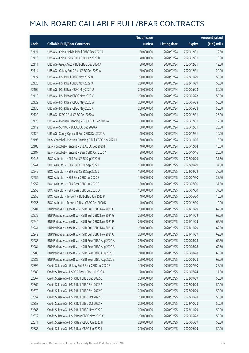|       |                                                         | No. of issue |                     |               | <b>Amount raised</b> |
|-------|---------------------------------------------------------|--------------|---------------------|---------------|----------------------|
| Code  | <b>Callable Bull/Bear Contracts</b>                     | (units)      | <b>Listing date</b> | <b>Expiry</b> | (HK\$ mil.)          |
| 52121 | UBS AG - China Mobile R Bull CBBC Dec 2020 A            | 50,000,000   | 2020/02/24          | 2020/12/31    | 12.50                |
| 52113 | UBS AG - China Life R Bull CBBC Dec 2020 B              | 40,000,000   | 2020/02/24          | 2020/12/31    | 10.00                |
| 52111 | UBS AG - Geely Auto R Bull CBBC Dec 2020 A              | 50,000,000   | 2020/02/24          | 2020/12/31    | 12.50                |
| 52114 | UBS AG - Galaxy Ent R Bull CBBC Dec 2020 A              | 80,000,000   | 2020/02/24          | 2020/12/31    | 20.00                |
| 52127 | UBS AG - HSI R Bull CBBC Nov 2022 N                     | 200,000,000  | 2020/02/24          | 2022/11/29    | 50.00                |
| 52128 | UBS AG - HSI R Bull CBBC Nov 2022 O                     | 200,000,000  | 2020/02/24          | 2022/11/29    | 50.00                |
| 52109 | UBS AG - HSI R Bear CBBC May 2020 U                     | 200,000,000  | 2020/02/24          | 2020/05/28    | 50.00                |
| 52110 | UBS AG - HSI R Bear CBBC May 2020 V                     | 200,000,000  | 2020/02/24          | 2020/05/28    | 50.00                |
| 52129 | UBS AG - HSI R Bear CBBC May 2020 W                     | 200,000,000  | 2020/02/24          | 2020/05/28    | 50.00                |
| 52130 | UBS AG - HSI R Bear CBBC May 2020 X                     | 200,000,000  | 2020/02/24          | 2020/05/28    | 50.00                |
| 52122 | UBS AG - ICBC R Bull CBBC Dec 2020 A                    | 100,000,000  | 2020/02/24          | 2020/12/31    | 25.00                |
| 52123 | UBS AG - Meituan Dianping R Bull CBBC Dec 2020 A        | 50,000,000   | 2020/02/24          | 2020/12/31    | 12.50                |
| 52112 | UBS AG - SUNAC R Bull CBBC Dec 2020 A                   | 80,000,000   | 2020/02/24          | 2020/12/31    | 20.00                |
| 52126 | UBS AG - Sunny Optical R Bull CBBC Dec 2020 A           | 40,000,000   | 2020/02/24          | 2020/12/31    | 10.00                |
| 52196 | Bank Vontobel - Meituan Dianping R Bull CBBC Nov 2020 J | 60,000,000   | 2020/02/24          | 2020/11/06    | 15.00                |
| 52186 | Bank Vontobel - Tencent R Bull CBBC Dec 2020 H          | 40,000,000   | 2020/02/24          | 2020/12/04    | 10.00                |
| 52187 | Bank Vontobel - Tencent R Bear CBBC Oct 2020 A          | 80,000,000   | 2020/02/24          | 2020/10/16    | 20.00                |
| 52243 | BOCI Asia Ltd. - HSI R Bull CBBC Sep 2022 H             | 150,000,000  | 2020/02/25          | 2022/09/29    | 37.50                |
| 52244 | BOCI Asia Ltd. - HSI R Bull CBBC Sep 2022 I             | 150,000,000  | 2020/02/25          | 2022/09/29    | 37.50                |
| 52245 | BOCI Asia Ltd. - HSI R Bull CBBC Sep 2022 J             | 150,000,000  | 2020/02/25          | 2022/09/29    | 37.50                |
| 52254 | BOCI Asia Ltd. - HSI R Bear CBBC Jul 2020 E             | 150,000,000  | 2020/02/25          | 2020/07/30    | 37.50                |
| 52252 | BOCI Asia Ltd. - HSI R Bear CBBC Jul 2020 P             | 150,000,000  | 2020/02/25          | 2020/07/30    | 37.50                |
| 52253 | BOCI Asia Ltd. - HSI R Bear CBBC Jul 2020 Q             | 150,000,000  | 2020/02/25          | 2020/07/30    | 37.50                |
| 52255 | BOCI Asia Ltd. - Tencent R Bull CBBC Jun 2020 P         | 40,000,000   | 2020/02/25          | 2020/06/30    | 10.00                |
| 52256 | BOCI Asia Ltd. - Tencent R Bear CBBC Dec 2020 K         | 40,000,000   | 2020/02/25          | 2020/12/30    | 10.00                |
| 52281 | BNP Paribas Issuance B.V. - HSI R Bull CBBC Nov 2021 C  | 250,000,000  | 2020/02/25          | 2021/11/29    | 62.50                |
| 52239 | BNP Paribas Issuance B.V. - HSI R Bull CBBC Nov 2021 G  | 250,000,000  | 2020/02/25          | 2021/11/29    | 62.50                |
| 52240 | BNP Paribas Issuance B.V. – HSI R Bull CBBC Nov 2021 P  | 250,000,000  | 2020/02/25          | 2021/11/29    | 62.50                |
| 52241 | BNP Paribas Issuance B.V. - HSI R Bull CBBC Nov 2021 Q  | 250,000,000  | 2020/02/25          | 2021/11/29    | 62.50                |
| 52242 | BNP Paribas Issuance B.V. - HSI R Bull CBBC Nov 2021 U  | 250,000,000  | 2020/02/25          | 2021/11/29    | 62.50                |
| 52283 | BNP Paribas Issuance B.V. - HSI R Bear CBBC Aug 2020 A  | 250,000,000  | 2020/02/25          | 2020/08/28    | 62.50                |
| 52284 | BNP Paribas Issuance B.V. - HSI R Bear CBBC Aug 2020 B  | 250,000,000  | 2020/02/25          | 2020/08/28    | 62.50                |
| 52285 | BNP Paribas Issuance B.V. - HSI R Bear CBBC Aug 2020 C  | 240,000,000  | 2020/02/25          | 2020/08/28    | 60.00                |
| 52282 | BNP Paribas Issuance B.V. - HSI R Bear CBBC Aug 2020 Z  | 250,000,000  | 2020/02/25          | 2020/08/28    | 62.50                |
| 52392 | Credit Suisse AG - Galaxy Ent R Bear CBBC Jul 2020 B    | 100,000,000  | 2020/02/25          | 2020/07/30    | 25.00                |
| 52389 | Credit Suisse AG - HSBC R Bear CBBC Jul 2020 A          | 70,000,000   | 2020/02/25          | 2020/07/24    | 17.50                |
| 52367 | Credit Suisse AG - HSI R Bull CBBC Sep 2022 O           | 200,000,000  | 2020/02/25          | 2022/09/29    | 50.00                |
| 52369 | Credit Suisse AG - HSI R Bull CBBC Sep 2022 P           | 200,000,000  | 2020/02/25          | 2022/09/29    | 50.00                |
| 52370 | Credit Suisse AG - HSI R Bull CBBC Sep 2022 Q           | 200,000,000  | 2020/02/25          | 2022/09/29    | 50.00                |
| 52357 | Credit Suisse AG - HSI R Bull CBBC Oct 2022 L           | 200,000,000  | 2020/02/25          | 2022/10/28    | 50.00                |
| 52358 | Credit Suisse AG - HSI R Bull CBBC Oct 2022 M           | 200,000,000  | 2020/02/25          | 2022/10/28    | 50.00                |
| 52366 | Credit Suisse AG - HSI R Bull CBBC Nov 2022 R           | 200,000,000  | 2020/02/25          | 2022/11/29    | 50.00                |
| 52372 | Credit Suisse AG - HSI R Bear CBBC May 2020 X           | 200,000,000  | 2020/02/25          | 2020/05/28    | 50.00                |
| 52371 | Credit Suisse AG - HSI R Bear CBBC Jun 2020 H           | 200,000,000  | 2020/02/25          | 2020/06/29    | 50.00                |
| 52383 | Credit Suisse AG - HSI R Bear CBBC Jun 2020 I           | 200,000,000  | 2020/02/25          | 2020/06/29    | 50.00                |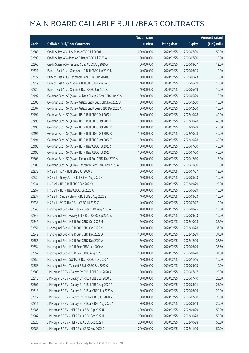|       |                                                             | No. of issue |                     |               | <b>Amount raised</b> |
|-------|-------------------------------------------------------------|--------------|---------------------|---------------|----------------------|
| Code  | <b>Callable Bull/Bear Contracts</b>                         | (units)      | <b>Listing date</b> | <b>Expiry</b> | (HK\$ mil.)          |
| 52386 | Credit Suisse AG - HSI R Bear CBBC Jul 2020 I               | 200,000,000  | 2020/02/25          | 2020/07/30    | 50.00                |
| 52390 | Credit Suisse AG - Ping An R Bear CBBC Jul 2020 A           | 60,000,000   | 2020/02/25          | 2020/07/30    | 15.00                |
| 52368 | Credit Suisse AG - Tencent R Bull CBBC Aug 2020 A           | 50,000,000   | 2020/02/25          | 2020/08/07    | 12.50                |
| 52321 | Bank of East Asia - Geely Auto R Bull CBBC Jun 2020 B       | 40,000,000   | 2020/02/25          | 2020/06/05    | 10.00                |
| 52322 | Bank of East Asia - Tencent R Bear CBBC Jun 2020 G          | 30,000,000   | 2020/02/25          | 2020/06/23    | 10.50                |
| 52319 | Bank of East Asia - Xiaomi R Bull CBBC Jun 2020 A           | 40,000,000   | 2020/02/25          | 2020/06/19    | 10.00                |
| 52320 | Bank of East Asia - Xiaomi R Bear CBBC Jun 2020 A           | 40,000,000   | 2020/02/25          | 2020/06/19    | 10.00                |
| 52497 | Goldman Sachs SP (Asia) - Alibaba Group R Bear CBBC Jun20 A | 60,000,000   | 2020/02/25          | 2020/06/29    | 15.00                |
| 52506 | Goldman Sachs SP (Asia) - Galaxy Ent R Bull CBBC Dec 2020 B | 60,000,000   | 2020/02/25          | 2020/12/30    | 15.00                |
| 52507 | Goldman Sachs SP (Asia) - Galaxy Ent R Bear CBBC Dec 2020 A | 60,000,000   | 2020/02/25          | 2020/12/30    | 15.00                |
| 52492 | Goldman Sachs SP (Asia) - HSI R Bull CBBC Oct 2022 I        | 160,000,000  | 2020/02/25          | 2022/10/28    | 40.00                |
| 52493 | Goldman Sachs SP (Asia) - HSI R Bull CBBC Oct 2022 K        | 160,000,000  | 2020/02/25          | 2022/10/28    | 40.00                |
| 52490 | Goldman Sachs SP (Asia) - HSI R Bull CBBC Oct 2022 M        | 160,000,000  | 2020/02/25          | 2022/10/28    | 40.00                |
| 52491 | Goldman Sachs SP (Asia) - HSI R Bull CBBC Oct 2022 Q        | 160,000,000  | 2020/02/25          | 2022/10/28    | 40.00                |
| 52494 | Goldman Sachs SP (Asia) - HSI R Bull CBBC Oct 2022 Z        | 160,000,000  | 2020/02/25          | 2022/10/28    | 40.00                |
| 52495 | Goldman Sachs SP (Asia) - HSI R Bear CBBC Jul 2020 S        | 160,000,000  | 2020/02/25          | 2020/07/30    | 40.00                |
| 52496 | Goldman Sachs SP (Asia) - HSI R Bear CBBC Jul 2020 T        | 160,000,000  | 2020/02/25          | 2020/07/30    | 40.00                |
| 52508 | Goldman Sachs SP (Asia) - Meituan R Bull CBBC Dec 2020 A    | 60,000,000   | 2020/02/25          | 2020/12/30    | 15.00                |
| 52509 | Goldman Sachs SP (Asia) - Tencent R Bear CBBC Nov 2020 A    | 60,000,000   | 2020/02/25          | 2020/11/30    | 15.00                |
| 52235 | HK Bank - AIA R Bull CBBC Jul 2020 D                        | 60,000,000   | 2020/02/25          | 2020/07/27    | 15.00                |
| 52236 | HK Bank - Geely Auto R Bull CBBC Aug 2020 B                 | 40,000,000   | 2020/02/25          | 2020/08/03    | 10.00                |
| 52234 | HK Bank - HSI R Bull CBBC Sep 2022 V                        | 100,000,000  | 2020/02/25          | 2022/09/29    | 25.00                |
| 52257 | HK Bank - HSI R Bear CBBC Jun 2020 X                        | 60,000,000   | 2020/02/25          | 2020/06/29    | 15.00                |
| 52237 | HK Bank - Sino Biopharm R Bull CBBC Aug 2020 B              | 40,000,000   | 2020/02/25          | 2020/08/03    | 10.00                |
| 52238 | HK Bank - WuXi Bio R Bull CBBC Jul 2020 C                   | 40,000,000   | 2020/02/25          | 2020/07/27    | 10.00                |
| 52348 | Haitong Int'l Sec - AAC Tech R Bear CBBC Aug 2020 A         | 40,000,000   | 2020/02/25          | 2020/08/25    | 10.00                |
| 52349 | Haitong Int'l Sec - Galaxy Ent R Bear CBBC Sep 2020 A       | 40,000,000   | 2020/02/25          | 2020/09/23    | 10.00                |
| 52345 | Haitong Int'l Sec - HSI R Bull CBBC Oct 2022 M              | 150,000,000  | 2020/02/25          | 2022/10/28    | 37.50                |
| 52351 | Haitong Int'l Sec - HSI R Bull CBBC Oct 2022 N              | 150,000,000  | 2020/02/25          | 2022/10/28    | 37.50                |
| 52342 | Haitong Int'l Sec - HSI R Bull CBBC Dec 2022 D              | 150,000,000  | 2020/02/25          | 2022/12/29    | 37.50                |
| 52355 | Haitong Int'l Sec - HSI R Bull CBBC Dec 2022 W              | 150,000,000  | 2020/02/25          | 2022/12/29    | 37.50                |
| 52354 | Haitong Int'l Sec - HSI R Bear CBBC Jun 2020 A              | 150,000,000  | 2020/02/25          | 2020/06/29    | 37.50                |
| 52352 | Haitong Int'l Sec - HSI R Bear CBBC Aug 2020 R              | 150,000,000  | 2020/02/25          | 2020/08/28    | 37.50                |
| 52350 | Haitong Int'l Sec - SUNAC R Bear CBBC Nov 2020 A            | 40,000,000   | 2020/02/25          | 2020/11/16    | 10.00                |
| 52353 | Haitong Int'l Sec - Tencent R Bull CBBC Sep 2020 O          | 40,000,000   | 2020/02/25          | 2020/09/23    | 10.00                |
| 52309 | J P Morgan SP BV - Galaxy Ent R Bull CBBC Jul 2020 A        | 100,000,000  | 2020/02/25          | 2020/07/17    | 25.00                |
| 52310 | J P Morgan SP BV - Galaxy Ent R Bull CBBC Jul 2020 B        | 100,000,000  | 2020/02/25          | 2020/07/10    | 25.00                |
| 52301 | J P Morgan SP BV - Galaxy Ent R Bull CBBC Aug 2020 A        | 100,000,000  | 2020/02/25          | 2020/08/21    | 25.00                |
| 52313 | J P Morgan SP BV - Galaxy Ent R Bear CBBC Jun 2020 A        | 80,000,000   | 2020/02/25          | 2020/06/19    | 20.00                |
| 52312 | J P Morgan SP BV - Galaxy Ent R Bear CBBC Jul 2020 A        | 80,000,000   | 2020/02/25          | 2020/07/10    | 20.00                |
| 52311 | J P Morgan SP BV - Galaxy Ent R Bear CBBC Aug 2020 A        | 80,000,000   | 2020/02/25          | 2020/08/14    | 20.00                |
| 52286 | J P Morgan SP BV - HSI R Bull CBBC Sep 2022 U               | 200,000,000  | 2020/02/25          | 2022/09/29    | 50.00                |
| 52287 | J P Morgan SP BV - HSI R Bull CBBC Oct 2022 H               | 200,000,000  | 2020/02/25          | 2022/10/28    | 50.00                |
| 52325 | JP Morgan SP BV - HSIR Bull CBBC Oct 2022 I                 | 200,000,000  | 2020/02/25          | 2022/10/28    | 50.00                |
| 52288 | J P Morgan SP BV - HSI R Bull CBBC Nov 2022 O               | 200,000,000  | 2020/02/25          | 2022/11/29    | 50.00                |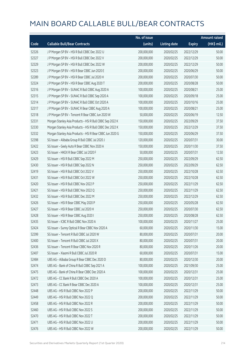|       |                                                           | No. of issue |                     |               | <b>Amount raised</b> |
|-------|-----------------------------------------------------------|--------------|---------------------|---------------|----------------------|
| Code  | <b>Callable Bull/Bear Contracts</b>                       | (units)      | <b>Listing date</b> | <b>Expiry</b> | (HK\$ mil.)          |
| 52326 | J P Morgan SP BV - HSI R Bull CBBC Dec 2022 U             | 200,000,000  | 2020/02/25          | 2022/12/29    | 50.00                |
| 52327 | J P Morgan SP BV - HSI R Bull CBBC Dec 2022 V             | 200,000,000  | 2020/02/25          | 2022/12/29    | 50.00                |
| 52329 | J P Morgan SP BV - HSI R Bull CBBC Dec 2022 W             | 200,000,000  | 2020/02/25          | 2022/12/29    | 50.00                |
| 52323 | J P Morgan SP BV - HSI R Bear CBBC Jun 2020 E             | 200,000,000  | 2020/02/25          | 2020/06/29    | 50.00                |
| 52289 | J P Morgan SP BV - HSI R Bear CBBC Jul 2020 H             | 200,000,000  | 2020/02/25          | 2020/07/30    | 50.00                |
| 52324 | J P Morgan SP BV - HSI R Bear CBBC Aug 2020 T             | 200,000,000  | 2020/02/25          | 2020/08/28    | 50.00                |
| 52316 | J P Morgan SP BV - SUNAC R Bull CBBC Aug 2020 A           | 100,000,000  | 2020/02/25          | 2020/08/21    | 25.00                |
| 52315 | J P Morgan SP BV - SUNAC R Bull CBBC Sep 2020 A           | 100,000,000  | 2020/02/25          | 2020/09/18    | 25.00                |
| 52314 | J P Morgan SP BV - SUNAC R Bull CBBC Oct 2020 A           | 100,000,000  | 2020/02/25          | 2020/10/16    | 25.00                |
| 52317 | J P Morgan SP BV - SUNAC R Bear CBBC Aug 2020 A           | 100,000,000  | 2020/02/25          | 2020/08/21    | 25.00                |
| 52318 | J P Morgan SP BV - Tencent R Bear CBBC Jun 2020 W         | 50,000,000   | 2020/02/25          | 2020/06/19    | 12.50                |
| 52331 | Morgan Stanley Asia Products - HSI R Bull CBBC Sep 2022 K | 150,000,000  | 2020/02/25          | 2022/09/29    | 37.50                |
| 52330 | Morgan Stanley Asia Products - HSI R Bull CBBC Dec 2022 K | 150,000,000  | 2020/02/25          | 2022/12/29    | 37.50                |
| 52332 | Morgan Stanley Asia Products - HSI R Bear CBBC Jun 2020 G | 150,000,000  | 2020/02/25          | 2020/06/29    | 37.50                |
| 52398 | SG Issuer - Alibaba Group R Bull CBBC Jul 2020 J          | 120,000,000  | 2020/02/25          | 2020/07/31    | 30.00                |
| 52422 | SG Issuer - Geely Auto R Bear CBBC Nov 2020 A             | 150,000,000  | 2020/02/25          | 2020/11/30    | 37.50                |
| 52423 | SG Issuer - HKEX R Bear CBBC Jul 2020 F                   | 50,000,000   | 2020/02/25          | 2020/07/31    | 12.50                |
| 52429 | SG Issuer - HSI R Bull CBBC Sep 2022 M                    | 250,000,000  | 2020/02/25          | 2022/09/29    | 62.50                |
| 52430 | SG Issuer - HSI R Bull CBBC Sep 2022 N                    | 250,000,000  | 2020/02/25          | 2022/09/29    | 62.50                |
| 52419 | SG Issuer - HSI R Bull CBBC Oct 2022 V                    | 250,000,000  | 2020/02/25          | 2022/10/28    | 62.50                |
| 52431 | SG Issuer - HSI R Bull CBBC Oct 2022 W                    | 250,000,000  | 2020/02/25          | 2022/10/28    | 62.50                |
| 52420 | SG Issuer - HSI R Bull CBBC Nov 2022 P                    | 250,000,000  | 2020/02/25          | 2022/11/29    | 62.50                |
| 52421 | SG Issuer - HSI R Bull CBBC Nov 2022 Q                    | 250,000,000  | 2020/02/25          | 2022/11/29    | 62.50                |
| 52432 | SG Issuer - HSI R Bull CBBC Dec 2022 M                    | 250,000,000  | 2020/02/25          | 2022/12/29    | 62.50                |
| 52426 | SG Issuer - HSI R Bear CBBC May 2020 P                    | 250,000,000  | 2020/02/25          | 2020/05/28    | 62.50                |
| 52427 | SG Issuer - HSI R Bear CBBC Jul 2020 H                    | 250,000,000  | 2020/02/25          | 2020/07/30    | 62.50                |
| 52428 | SG Issuer - HSI R Bear CBBC Aug 2020 I                    | 250,000,000  | 2020/02/25          | 2020/08/28    | 62.50                |
| 52435 | SG Issuer - ICBC R Bull CBBC Nov 2020 A                   | 100,000,000  | 2020/02/25          | 2020/11/27    | 25.00                |
| 52424 | SG Issuer - Sunny Optical R Bear CBBC Nov 2020 A          | 60,000,000   | 2020/02/25          | 2020/11/30    | 15.00                |
| 52399 | SG Issuer - Tencent R Bull CBBC Jul 2020 W                | 80,000,000   | 2020/02/25          | 2020/07/31    | 20.00                |
| 52400 | SG Issuer - Tencent R Bull CBBC Jul 2020 X                | 80,000,000   | 2020/02/25          | 2020/07/31    | 20.00                |
| 52436 | SG Issuer - Tencent R Bear CBBC Nov 2020 R                | 80,000,000   | 2020/02/25          | 2020/11/26    | 20.00                |
| 52407 | SG Issuer - Xiaomi R Bull CBBC Jul 2020 R                 | 60,000,000   | 2020/02/25          | 2020/07/31    | 15.00                |
| 52484 | UBS AG - Alibaba Group R Bear CBBC Dec 2020 D             | 80,000,000   | 2020/02/25          | 2020/12/30    | 20.00                |
| 52474 | UBS AG - Bank of China R Bull CBBC Sep 2021 A             | 100,000,000  | 2020/02/25          | 2021/09/30    | 25.00                |
| 52475 | UBS AG - Bank of China R Bear CBBC Dec 2020 A             | 100,000,000  | 2020/02/25          | 2020/12/31    | 25.00                |
| 52472 | UBS AG - CC Bank R Bull CBBC Dec 2020 A                   | 100,000,000  | 2020/02/25          | 2020/12/31    | 25.00                |
| 52473 | UBS AG - CC Bank R Bear CBBC Dec 2020 A                   | 100,000,000  | 2020/02/25          | 2020/12/31    | 25.00                |
| 52448 | UBS AG - HSI R Bull CBBC Nov 2022 P                       | 200,000,000  | 2020/02/25          | 2022/11/29    | 50.00                |
| 52449 | UBS AG - HSI R Bull CBBC Nov 2022 Q                       | 200,000,000  | 2020/02/25          | 2022/11/29    | 50.00                |
| 52458 | UBS AG - HSI R Bull CBBC Nov 2022 R                       | 200,000,000  | 2020/02/25          | 2022/11/29    | 50.00                |
| 52460 | UBS AG - HSI R Bull CBBC Nov 2022 S                       | 200,000,000  | 2020/02/25          | 2022/11/29    | 50.00                |
| 52470 | UBS AG - HSI R Bull CBBC Nov 2022 T                       | 200,000,000  | 2020/02/25          | 2022/11/29    | 50.00                |
| 52471 | UBS AG - HSI R Bull CBBC Nov 2022 U                       | 200,000,000  | 2020/02/25          | 2022/11/29    | 50.00                |
| 52476 | UBS AG - HSI R Bull CBBC Nov 2022 W                       | 200,000,000  | 2020/02/25          | 2022/11/29    | 50.00                |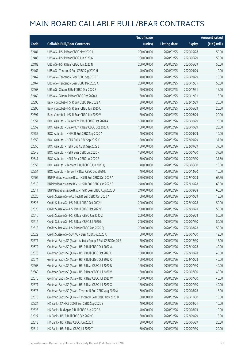|       |                                                             | No. of issue |                     |               | <b>Amount raised</b> |
|-------|-------------------------------------------------------------|--------------|---------------------|---------------|----------------------|
| Code  | <b>Callable Bull/Bear Contracts</b>                         | (units)      | <b>Listing date</b> | <b>Expiry</b> | (HK\$ mil.)          |
| 52481 | UBS AG - HSI R Bear CBBC May 2020 A                         | 200,000,000  | 2020/02/25          | 2020/05/28    | 50.00                |
| 52483 | UBS AG - HSI R Bear CBBC Jun 2020 G                         | 200,000,000  | 2020/02/25          | 2020/06/29    | 50.00                |
| 52482 | UBS AG - HSI R Bear CBBC Jun 2020 N                         | 200,000,000  | 2020/02/25          | 2020/06/29    | 50.00                |
| 52461 | UBS AG - Tencent R Bull CBBC Sep 2020 H                     | 40,000,000   | 2020/02/25          | 2020/09/29    | 10.00                |
| 52462 | UBS AG - Tencent R Bear CBBC Sep 2020 B                     | 40,000,000   | 2020/02/25          | 2020/09/29    | 10.00                |
| 52467 | UBS AG - Tencent R Bear CBBC Dec 2020 A                     | 200,000,000  | 2020/02/25          | 2020/12/31    | 50.00                |
| 52468 | UBS AG - Xiaomi R Bull CBBC Dec 2020 B                      | 60,000,000   | 2020/02/25          | 2020/12/31    | 15.00                |
| 52469 | UBS AG - Xiaomi R Bear CBBC Dec 2020 A                      | 60,000,000   | 2020/02/25          | 2020/12/31    | 15.00                |
| 52395 | Bank Vontobel - HSI R Bull CBBC Dec 2022 A                  | 80,000,000   | 2020/02/25          | 2022/12/29    | 20.00                |
| 52396 | Bank Vontobel - HSI R Bear CBBC Jun 2020 U                  | 80,000,000   | 2020/02/25          | 2020/06/29    | 20.00                |
| 52397 | Bank Vontobel - HSI R Bear CBBC Jun 2020 V                  | 80,000,000   | 2020/02/25          | 2020/06/29    | 20.00                |
| 52551 | BOCI Asia Ltd. - Galaxy Ent R Bull CBBC Oct 2020 A          | 100,000,000  | 2020/02/26          | 2020/10/29    | 25.00                |
| 52552 | BOCI Asia Ltd. - Galaxy Ent R Bear CBBC Oct 2020 C          | 100,000,000  | 2020/02/26          | 2020/10/29    | 25.00                |
| 52555 | BOCI Asia Ltd. - HKEX R Bull CBBC Sep 2020 A                | 40,000,000   | 2020/02/26          | 2020/09/29    | 10.00                |
| 52550 | BOCI Asia Ltd. - HSI R Bull CBBC Sep 2022 K                 | 150,000,000  | 2020/02/26          | 2022/09/29    | 37.50                |
| 52556 | BOCI Asia Ltd. - HSI R Bull CBBC Sep 2022 L                 | 150,000,000  | 2020/02/26          | 2022/09/29    | 37.50                |
| 52545 | BOCI Asia Ltd. - HSI R Bear CBBC Jul 2020 R                 | 150,000,000  | 2020/02/26          | 2020/07/30    | 37.50                |
| 52547 | BOCI Asia Ltd. - HSI R Bear CBBC Jul 2020 S                 | 150,000,000  | 2020/02/26          | 2020/07/30    | 37.50                |
| 52553 | BOCI Asia Ltd. - Tencent R Bull CBBC Jun 2020 Q             | 40,000,000   | 2020/02/26          | 2020/06/30    | 10.00                |
| 52554 | BOCI Asia Ltd. - Tencent R Bear CBBC Dec 2020 L             | 40,000,000   | 2020/02/26          | 2020/12/30    | 10.00                |
| 52606 | BNP Paribas Issuance B.V. - HSI R Bull CBBC Oct 2022 A      | 250,000,000  | 2020/02/26          | 2022/10/28    | 62.50                |
| 52610 | BNP Paribas Issuance B.V. - HSI R Bull CBBC Oct 2022 B      | 240,000,000  | 2020/02/26          | 2022/10/28    | 60.00                |
| 52611 | BNP Paribas Issuance B.V. - HSI R Bear CBBC Aug 2020 D      | 240,000,000  | 2020/02/26          | 2020/08/28    | 60.00                |
| 52620 | Credit Suisse AG - AAC Tech R Bull CBBC Oct 2020 A          | 60,000,000   | 2020/02/26          | 2020/10/29    | 15.00                |
| 52623 | Credit Suisse AG - HSI R Bull CBBC Oct 2022 N               | 200,000,000  | 2020/02/26          | 2022/10/28    | 50.00                |
| 52625 | Credit Suisse AG - HSI R Bull CBBC Oct 2022 O               | 200,000,000  | 2020/02/26          | 2022/10/28    | 50.00                |
| 52616 | Credit Suisse AG - HSI R Bear CBBC Jun 2020 Z               | 200,000,000  | 2020/02/26          | 2020/06/29    | 50.00                |
| 52612 | Credit Suisse AG - HSI R Bear CBBC Jul 2020 N               | 200,000,000  | 2020/02/26          | 2020/07/30    | 50.00                |
| 52618 | Credit Suisse AG - HSI R Bear CBBC Aug 2020 Q               | 200,000,000  | 2020/02/26          | 2020/08/28    | 50.00                |
| 52622 | Credit Suisse AG - SUNAC R Bear CBBC Jul 2020 A             | 50,000,000   | 2020/02/26          | 2020/07/30    | 12.50                |
| 52677 | Goldman Sachs SP (Asia) - Alibaba Group R Bull CBBC Dec20 E | 60,000,000   | 2020/02/26          | 2020/12/30    | 15.00                |
| 52672 | Goldman Sachs SP (Asia) - HSI R Bull CBBC Oct 2022 A        | 160,000,000  | 2020/02/26          | 2022/10/28    | 40.00                |
| 52673 | Goldman Sachs SP (Asia) - HSI R Bull CBBC Oct 2022 E        | 160,000,000  | 2020/02/26          | 2022/10/28    | 40.00                |
| 52674 | Goldman Sachs SP (Asia) - HSI R Bull CBBC Oct 2022 O        | 160,000,000  | 2020/02/26          | 2022/10/28    | 40.00                |
| 52668 | Goldman Sachs SP (Asia) - HSI R Bear CBBC Jul 2020 U        | 160,000,000  | 2020/02/26          | 2020/07/30    | 40.00                |
| 52669 | Goldman Sachs SP (Asia) - HSI R Bear CBBC Jul 2020 V        | 160,000,000  | 2020/02/26          | 2020/07/30    | 40.00                |
| 52670 | Goldman Sachs SP (Asia) - HSI R Bear CBBC Jul 2020 W        | 160,000,000  | 2020/02/26          | 2020/07/30    | 40.00                |
| 52671 | Goldman Sachs SP (Asia) - HSI R Bear CBBC Jul 2020 X        | 160,000,000  | 2020/02/26          | 2020/07/30    | 40.00                |
| 52675 | Goldman Sachs SP (Asia) - Tencent R Bull CBBC Aug 2020 A    | 60,000,000   | 2020/02/26          | 2020/08/28    | 15.00                |
| 52676 | Goldman Sachs SP (Asia) - Tencent R Bear CBBC Nov 2020 B    | 60,000,000   | 2020/02/26          | 2020/11/30    | 15.00                |
| 52524 | HK Bank - CAM CSI300 R Bull CBBC Sep 2020 E                 | 40,000,000   | 2020/02/26          | 2020/09/21    | 10.00                |
| 52523 | HK Bank - Bud Apac R Bull CBBC Aug 2020 A                   | 40,000,000   | 2020/02/26          | 2020/08/03    | 10.00                |
| 52527 | HK Bank - HSI R Bull CBBC Sep 2022 O                        | 60,000,000   | 2020/02/26          | 2022/09/29    | 15.00                |
| 52513 | HK Bank - HSI R Bear CBBC Jun 2020 Y                        | 80,000,000   | 2020/02/26          | 2020/06/29    | 20.00                |
| 52514 | HK Bank - HSI R Bear CBBC Jul 2020 T                        | 80,000,000   | 2020/02/26          | 2020/07/30    | 20.00                |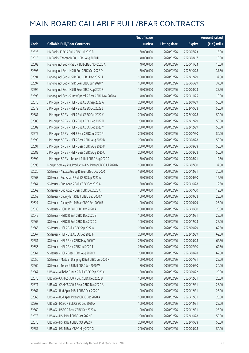|       |                                                           | No. of issue |                     |               | <b>Amount raised</b> |
|-------|-----------------------------------------------------------|--------------|---------------------|---------------|----------------------|
| Code  | <b>Callable Bull/Bear Contracts</b>                       | (units)      | <b>Listing date</b> | <b>Expiry</b> | (HK\$ mil.)          |
| 52526 | HK Bank - ICBC R Bull CBBC Jul 2020 B                     | 60,000,000   | 2020/02/26          | 2020/07/23    | 15.00                |
| 52516 | HK Bank - Tencent R Bull CBBC Aug 2020 H                  | 40,000,000   | 2020/02/26          | 2020/08/17    | 10.00                |
| 52602 | Haitong Int'l Sec - HSBC R Bull CBBC Nov 2020 A           | 40,000,000   | 2020/02/26          | 2020/11/23    | 10.00                |
| 52595 | Haitong Int'l Sec - HSI R Bull CBBC Oct 2022 O            | 150,000,000  | 2020/02/26          | 2022/10/28    | 37.50                |
| 52594 | Haitong Int'l Sec - HSI R Bull CBBC Dec 2022 U            | 150,000,000  | 2020/02/26          | 2022/12/29    | 37.50                |
| 52597 | Haitong Int'l Sec - HSI R Bear CBBC Jun 2020 Y            | 150,000,000  | 2020/02/26          | 2020/06/29    | 37.50                |
| 52596 | Haitong Int'l Sec - HSI R Bear CBBC Aug 2020 S            | 150,000,000  | 2020/02/26          | 2020/08/28    | 37.50                |
| 52598 | Haitong Int'l Sec - Sunny Optical R Bear CBBC Nov 2020 A  | 40,000,000   | 2020/02/26          | 2020/11/25    | 10.00                |
| 52578 | J P Morgan SP BV - HSI R Bull CBBC Sep 2022 A             | 200,000,000  | 2020/02/26          | 2022/09/29    | 50.00                |
| 52579 | J P Morgan SP BV - HSI R Bull CBBC Oct 2022 J             | 200,000,000  | 2020/02/26          | 2022/10/28    | 50.00                |
| 52581 | J P Morgan SP BV - HSI R Bull CBBC Oct 2022 K             | 200,000,000  | 2020/02/26          | 2022/10/28    | 50.00                |
| 52580 | J P Morgan SP BV - HSI R Bull CBBC Dec 2022 X             | 200,000,000  | 2020/02/26          | 2022/12/29    | 50.00                |
| 52582 | J P Morgan SP BV - HSI R Bull CBBC Dec 2022 Y             | 200,000,000  | 2020/02/26          | 2022/12/29    | 50.00                |
| 52577 | J P Morgan SP BV - HSI R Bear CBBC Jul 2020 P             | 200,000,000  | 2020/02/26          | 2020/07/30    | 50.00                |
| 52590 | J P Morgan SP BV - HSI R Bear CBBC Aug 2020 D             | 200,000,000  | 2020/02/26          | 2020/08/28    | 50.00                |
| 52591 | J P Morgan SP BV - HSI R Bear CBBC Aug 2020 M             | 200,000,000  | 2020/02/26          | 2020/08/28    | 50.00                |
| 52583 | J P Morgan SP BV - HSI R Bear CBBC Aug 2020 U             | 200,000,000  | 2020/02/26          | 2020/08/28    | 50.00                |
| 52592 | J P Morgan SP BV - Tencent R Bull CBBC Aug 2020 C         | 50,000,000   | 2020/02/26          | 2020/08/21    | 12.50                |
| 52593 | Morgan Stanley Asia Products - HSI R Bear CBBC Jul 2020 N | 150,000,000  | 2020/02/26          | 2020/07/30    | 37.50                |
| 52626 | SG Issuer - Alibaba Group R Bear CBBC Dec 2020 I          | 120,000,000  | 2020/02/26          | 2020/12/31    | 30.00                |
| 52663 | SG Issuer - Bud Apac R Bull CBBC Sep 2020 A               | 50,000,000   | 2020/02/26          | 2020/09/30    | 12.50                |
| 52664 | SG Issuer - Bud Apac R Bull CBBC Oct 2020 A               | 50,000,000   | 2020/02/26          | 2020/10/28    | 12.50                |
| 52662 | SG Issuer - Bud Apac R Bear CBBC Jul 2020 A               | 50,000,000   | 2020/02/26          | 2020/07/30    | 12.50                |
| 52659 | SG Issuer - Galaxy Ent R Bull CBBC Sep 2020 A             | 100,000,000  | 2020/02/26          | 2020/09/28    | 25.00                |
| 52627 | SG Issuer - Galaxy Ent R Bear CBBC Sep 2020 B             | 100,000,000  | 2020/02/26          | 2020/09/29    | 25.00                |
| 52638 | SG Issuer - HSBC R Bull CBBC Oct 2020 A                   | 100,000,000  | 2020/02/26          | 2020/10/30    | 25.00                |
| 52645 | SG Issuer - HSBC R Bull CBBC Dec 2020 B                   | 100,000,000  | 2020/02/26          | 2020/12/31    | 25.00                |
| 52665 | SG Issuer - HSBC R Bull CBBC Dec 2020 C                   | 100,000,000  | 2020/02/26          | 2020/12/28    | 25.00                |
| 52666 | SG Issuer - HSI R Bull CBBC Sep 2022 O                    | 250,000,000  | 2020/02/26          | 2022/09/29    | 62.50                |
| 52667 | SG Issuer - HSI R Bull CBBC Dec 2022 N                    | 250,000,000  | 2020/02/26          | 2022/12/29    | 62.50                |
| 52651 | SG Issuer - HSI R Bear CBBC May 2020 T                    | 250,000,000  | 2020/02/26          | 2020/05/28    | 62.50                |
| 52656 | SG Issuer - HSI R Bear CBBC Jul 2020 T                    | 250,000,000  | 2020/02/26          | 2020/07/30    | 62.50                |
| 52661 | SG Issuer - HSI R Bear CBBC Aug 2020 X                    | 250,000,000  | 2020/02/26          | 2020/08/28    | 62.50                |
| 52650 | SG Issuer - Meituan Dianping R Bull CBBC Jul 2020 N       | 100,000,000  | 2020/02/26          | 2020/07/31    | 25.00                |
| 52660 | SG Issuer - Tencent R Bull CBBC Jun 2020 W                | 80,000,000   | 2020/02/26          | 2020/06/30    | 20.00                |
| 52567 | UBS AG - Alibaba Group R Bull CBBC Sep 2020 C             | 80,000,000   | 2020/02/26          | 2020/09/22    | 20.00                |
| 52570 | UBS AG - CAM CSI300 R Bull CBBC Dec 2020 B                | 100,000,000  | 2020/02/26          | 2020/12/31    | 25.00                |
| 52571 | UBS AG - CAM CSI300 R Bear CBBC Dec 2020 A                | 100,000,000  | 2020/02/26          | 2020/12/31    | 25.00                |
| 52561 | UBS AG - Bud Apac R Bull CBBC Dec 2020 A                  | 100,000,000  | 2020/02/26          | 2020/12/31    | 25.00                |
| 52563 | UBS AG - Bud Apac R Bear CBBC Dec 2020 A                  | 100,000,000  | 2020/02/26          | 2020/12/31    | 25.00                |
| 52568 | UBS AG - HSBC R Bull CBBC Dec 2020 A                      | 100,000,000  | 2020/02/26          | 2020/12/31    | 25.00                |
| 52569 | UBS AG - HSBC R Bear CBBC Dec 2020 A                      | 100,000,000  | 2020/02/26          | 2020/12/31    | 25.00                |
| 52573 | UBS AG - HSI R Bull CBBC Oct 2022 F                       | 200,000,000  | 2020/02/26          | 2022/10/28    | 50.00                |
| 52576 | UBS AG - HSI R Bull CBBC Oct 2022 P                       | 200,000,000  | 2020/02/26          | 2022/10/28    | 50.00                |
| 52557 | UBS AG - HSI R Bear CBBC May 2020 G                       | 200,000,000  | 2020/02/26          | 2020/05/28    | 50.00                |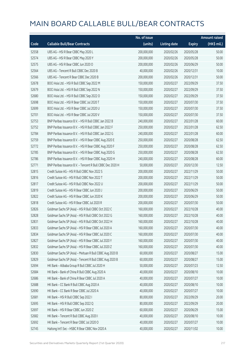|       |                                                            | No. of issue |                     |               | <b>Amount raised</b> |
|-------|------------------------------------------------------------|--------------|---------------------|---------------|----------------------|
| Code  | <b>Callable Bull/Bear Contracts</b>                        | (units)      | <b>Listing date</b> | <b>Expiry</b> | (HK\$ mil.)          |
| 52558 | UBS AG - HSI R Bear CBBC May 2020 L                        | 200,000,000  | 2020/02/26          | 2020/05/28    | 50.00                |
| 52574 | UBS AG - HSI R Bear CBBC May 2020 Y                        | 200,000,000  | 2020/02/26          | 2020/05/28    | 50.00                |
| 52575 | UBS AG - HSI R Bear CBBC Jun 2020 O                        | 200,000,000  | 2020/02/26          | 2020/06/29    | 50.00                |
| 52564 | UBS AG - Tencent R Bull CBBC Dec 2020 B                    | 40,000,000   | 2020/02/26          | 2020/12/31    | 10.00                |
| 52566 | UBS AG - Tencent R Bear CBBC Dec 2020 B                    | 200,000,000  | 2020/02/26          | 2020/12/31    | 50.00                |
| 52678 | BOCI Asia Ltd. - HSI R Bull CBBC Sep 2022 M                | 150,000,000  | 2020/02/27          | 2022/09/29    | 37.50                |
| 52679 | BOCI Asia Ltd. - HSI R Bull CBBC Sep 2022 N                | 150,000,000  | 2020/02/27          | 2022/09/29    | 37.50                |
| 52680 | BOCI Asia Ltd. - HSI R Bull CBBC Sep 2022 O                | 150,000,000  | 2020/02/27          | 2022/09/29    | 37.50                |
| 52698 | BOCI Asia Ltd. - HSI R Bear CBBC Jul 2020 T                | 150,000,000  | 2020/02/27          | 2020/07/30    | 37.50                |
| 52699 | BOCI Asia Ltd. - HSI R Bear CBBC Jul 2020 U                | 150,000,000  | 2020/02/27          | 2020/07/30    | 37.50                |
| 52701 | BOCI Asia Ltd. - HSI R Bear CBBC Jul 2020 V                | 150,000,000  | 2020/02/27          | 2020/07/30    | 37.50                |
| 52753 | BNP Paribas Issuance B.V. - HSI R Bull CBBC Jan 2022 B     | 240,000,000  | 2020/02/27          | 2022/01/28    | 60.00                |
| 52752 | BNP Paribas Issuance B.V. - HSI R Bull CBBC Jan 2022 F     | 250,000,000  | 2020/02/27          | 2022/01/28    | 62.50                |
| 52784 | BNP Paribas Issuance B.V. - HSI R Bull CBBC Jan 2022 G     | 240,000,000  | 2020/02/27          | 2022/01/28    | 60.00                |
| 52759 | BNP Paribas Issuance B.V. - HSI R Bear CBBC Aug 2020 E     | 250,000,000  | 2020/02/27          | 2020/08/28    | 62.50                |
| 52772 | BNP Paribas Issuance B.V. - HSI R Bear CBBC Aug 2020 F     | 250,000,000  | 2020/02/27          | 2020/08/28    | 62.50                |
| 52785 | BNP Paribas Issuance B.V. - HSI R Bear CBBC Aug 2020 G     | 250,000,000  | 2020/02/27          | 2020/08/28    | 62.50                |
| 52786 | BNP Paribas Issuance B.V. - HSI R Bear CBBC Aug 2020 H     | 240,000,000  | 2020/02/27          | 2020/08/28    | 60.00                |
| 52771 | BNP Paribas Issuance B.V. - Tencent R Bull CBBC Dec 2020 H | 50,000,000   | 2020/02/27          | 2020/12/30    | 12.50                |
| 52815 | Credit Suisse AG - HSI R Bull CBBC Nov 2022 S              | 200,000,000  | 2020/02/27          | 2022/11/29    | 50.00                |
| 52816 | Credit Suisse AG - HSI R Bull CBBC Nov 2022 T              | 200,000,000  | 2020/02/27          | 2022/11/29    | 50.00                |
| 52817 | Credit Suisse AG - HSI R Bull CBBC Nov 2022 U              | 200,000,000  | 2020/02/27          | 2022/11/29    | 50.00                |
| 52819 | Credit Suisse AG - HSI R Bear CBBC Jun 2020 J              | 200,000,000  | 2020/02/27          | 2020/06/29    | 50.00                |
| 52822 | Credit Suisse AG - HSI R Bear CBBC Jun 2020 K              | 200,000,000  | 2020/02/27          | 2020/06/29    | 50.00                |
| 52818 | Credit Suisse AG - HSI R Bear CBBC Jul 2020 R              | 200,000,000  | 2020/02/27          | 2020/07/30    | 50.00                |
| 52826 | Goldman Sachs SP (Asia) - HSI R Bull CBBC Oct 2022 C       | 160,000,000  | 2020/02/27          | 2022/10/28    | 40.00                |
| 52828 | Goldman Sachs SP (Asia) - HSI R Bull CBBC Oct 2022 G       | 160,000,000  | 2020/02/27          | 2022/10/28    | 40.00                |
| 52831 | Goldman Sachs SP (Asia) - HSI R Bull CBBC Oct 2022 H       | 160,000,000  | 2020/02/27          | 2022/10/28    | 40.00                |
| 52833 | Goldman Sachs SP (Asia) - HSI R Bear CBBC Jul 2020 A       | 160,000,000  | 2020/02/27          | 2020/07/30    | 40.00                |
| 52834 | Goldman Sachs SP (Asia) - HSI R Bear CBBC Jul 2020 C       | 160,000,000  | 2020/02/27          | 2020/07/30    | 40.00                |
| 52827 | Goldman Sachs SP (Asia) - HSI R Bear CBBC Jul 2020 Y       | 160,000,000  | 2020/02/27          | 2020/07/30    | 40.00                |
| 52832 | Goldman Sachs SP (Asia) - HSI R Bear CBBC Jul 2020 Z       | 160,000,000  | 2020/02/27          | 2020/07/30    | 40.00                |
| 52830 | Goldman Sachs SP (Asia) - Meituan R Bull CBBC Aug 2020 B   | 60,000,000   | 2020/02/27          | 2020/08/27    | 15.00                |
| 52829 | Goldman Sachs SP (Asia) - Tencent R Bull CBBC Aug 2020 B   | 60,000,000   | 2020/02/27          | 2020/08/27    | 15.00                |
| 52694 | HK Bank - Alibaba Group R Bull CBBC Jul 2020 H             | 50,000,000   | 2020/02/27          | 2020/07/23    | 12.50                |
| 52684 | HK Bank - Bank of China R Bull CBBC Aug 2020 A             | 40,000,000   | 2020/02/27          | 2020/08/10    | 10.00                |
| 52686 | HK Bank - Bank of China R Bear CBBC Jul 2020 A             | 40,000,000   | 2020/02/27          | 2020/07/27    | 10.00                |
| 52688 | HK Bank - CC Bank R Bull CBBC Aug 2020 A                   | 40,000,000   | 2020/02/27          | 2020/08/10    | 10.00                |
| 52690 | HK Bank - CC Bank R Bear CBBC Jul 2020 A                   | 40,000,000   | 2020/02/27          | 2020/07/27    | 10.00                |
| 52681 | HK Bank - HSI R Bull CBBC Sep 2022 I                       | 80,000,000   | 2020/02/27          | 2022/09/29    | 20.00                |
| 52695 | HK Bank - HSI R Bull CBBC Sep 2022 Q                       | 80,000,000   | 2020/02/27          | 2022/09/29    | 20.00                |
| 52697 | HK Bank - HSI R Bear CBBC Jun 2020 Z                       | 60,000,000   | 2020/02/27          | 2020/06/29    | 15.00                |
| 52682 | HK Bank - Tencent R Bull CBBC Aug 2020 I                   | 40,000,000   | 2020/02/27          | 2020/08/10    | 10.00                |
| 52692 | HK Bank - Tencent R Bear CBBC Jul 2020 O                   | 40,000,000   | 2020/02/27          | 2020/07/27    | 10.00                |
| 52745 | Haitong Int'l Sec - HSBC R Bear CBBC Nov 2020 A            | 40,000,000   | 2020/02/27          | 2020/11/02    | 10.00                |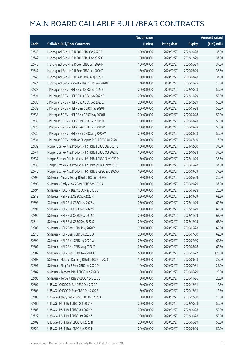|       |                                                            | No. of issue |                     |               | <b>Amount raised</b> |
|-------|------------------------------------------------------------|--------------|---------------------|---------------|----------------------|
| Code  | <b>Callable Bull/Bear Contracts</b>                        | (units)      | <b>Listing date</b> | <b>Expiry</b> | (HK\$ mil.)          |
| 52746 | Haitong Int'l Sec - HSI R Bull CBBC Oct 2022 P             | 150,000,000  | 2020/02/27          | 2022/10/28    | 37.50                |
| 52742 | Haitong Int'l Sec - HSI R Bull CBBC Dec 2022 X             | 150,000,000  | 2020/02/27          | 2022/12/29    | 37.50                |
| 52748 | Haitong Int'l Sec - HSI R Bear CBBC Jun 2020 M             | 150,000,000  | 2020/02/27          | 2020/06/29    | 37.50                |
| 52747 | Haitong Int'l Sec - HSI R Bear CBBC Jun 2020 Z             | 150,000,000  | 2020/02/27          | 2020/06/29    | 37.50                |
| 52743 | Haitong Int'l Sec - HSI R Bear CBBC Aug 2020 T             | 150,000,000  | 2020/02/27          | 2020/08/28    | 37.50                |
| 52744 | Haitong Int'l Sec - Tencent R Bear CBBC Nov 2020 E         | 40,000,000   | 2020/02/27          | 2020/11/25    | 10.00                |
| 52723 | J P Morgan SP BV - HSI R Bull CBBC Oct 2022 R              | 200,000,000  | 2020/02/27          | 2022/10/28    | 50.00                |
| 52724 | J P Morgan SP BV - HSI R Bull CBBC Nov 2022 G              | 200,000,000  | 2020/02/27          | 2022/11/29    | 50.00                |
| 52736 | J P Morgan SP BV - HSI R Bull CBBC Dec 2022 Z              | 200,000,000  | 2020/02/27          | 2022/12/29    | 50.00                |
| 52732 | J P Morgan SP BV - HSI R Bear CBBC May 2020 F              | 200,000,000  | 2020/02/27          | 2020/05/28    | 50.00                |
| 52733 | J P Morgan SP BV - HSI R Bear CBBC May 2020 R              | 200,000,000  | 2020/02/27          | 2020/05/28    | 50.00                |
| 52735 | J P Morgan SP BV - HSI R Bear CBBC Aug 2020 E              | 200,000,000  | 2020/02/27          | 2020/08/28    | 50.00                |
| 52725 | J P Morgan SP BV - HSI R Bear CBBC Aug 2020 V              | 200,000,000  | 2020/02/27          | 2020/08/28    | 50.00                |
| 52730 | J P Morgan SP BV - HSI R Bear CBBC Aug 2020 W              | 200,000,000  | 2020/02/27          | 2020/08/28    | 50.00                |
| 52734 | J P Morgan SP BV - Meituan Dianping R Bull CBBC Jul 2020 H | 70,000,000   | 2020/02/27          | 2020/07/10    | 17.50                |
| 52739 | Morgan Stanley Asia Products - HSI R Bull CBBC Dec 2021 Z  | 150,000,000  | 2020/02/27          | 2021/12/30    | 37.50                |
| 52741 | Morgan Stanley Asia Products - HSI R Bull CBBC Oct 2022 L  | 150,000,000  | 2020/02/27          | 2022/10/28    | 37.50                |
| 52737 | Morgan Stanley Asia Products - HSI R Bull CBBC Nov 2022 M  | 150,000,000  | 2020/02/27          | 2022/11/29    | 37.50                |
| 52738 | Morgan Stanley Asia Products - HSI R Bear CBBC May 2020 R  | 150,000,000  | 2020/02/27          | 2020/05/28    | 37.50                |
| 52740 | Morgan Stanley Asia Products - HSI R Bear CBBC Sep 2020 A  | 150,000,000  | 2020/02/27          | 2020/09/29    | 37.50                |
| 52795 | SG Issuer - Alibaba Group R Bull CBBC Jun 2020 E           | 80,000,000   | 2020/02/27          | 2020/06/29    | 20.00                |
| 52796 | SG Issuer - Geely Auto R Bear CBBC Sep 2020 A              | 150,000,000  | 2020/02/27          | 2020/09/29    | 37.50                |
| 52794 | SG Issuer - HSCEI R Bear CBBC May 2020 D                   | 100,000,000  | 2020/02/27          | 2020/05/28    | 25.00                |
| 52813 | SG Issuer - HSI R Bull CBBC Sep 2022 P                     | 250,000,000  | 2020/02/27          | 2022/09/29    | 62.50                |
| 52793 | SG Issuer - HSI R Bull CBBC Nov 2022 K                     | 250,000,000  | 2020/02/27          | 2022/11/29    | 62.50                |
| 52791 | SG Issuer - HSI R Bull CBBC Nov 2022 S                     | 250,000,000  | 2020/02/27          | 2022/11/29    | 62.50                |
| 52792 | SG Issuer - HSI R Bull CBBC Nov 2022 Z                     | 250,000,000  | 2020/02/27          | 2022/11/29    | 62.50                |
| 52814 | SG Issuer - HSI R Bull CBBC Dec 2022 O                     | 250,000,000  | 2020/02/27          | 2022/12/29    | 62.50                |
| 52806 | SG Issuer - HSI R Bear CBBC May 2020 Y                     | 250,000,000  | 2020/02/27          | 2020/05/28    | 62.50                |
| 52810 | SG Issuer - HSI R Bear CBBC Jul 2020 O                     | 250,000,000  | 2020/02/27          | 2020/07/30    | 62.50                |
| 52799 | SG Issuer - HSI R Bear CBBC Jul 2020 W                     | 250,000,000  | 2020/02/27          | 2020/07/30    | 62.50                |
| 52801 | SG Issuer - HSI R Bear CBBC Aug 2020 Y                     | 250,000,000  | 2020/02/27          | 2020/08/28    | 62.50                |
| 52802 | SG Issuer - HSI R Bear CBBC Nov 2020 C                     | 500,000,000  | 2020/02/27          | 2020/11/27    | 125.00               |
| 52803 | SG Issuer - Meituan Dianping R Bull CBBC Sep 2020 C        | 100,000,000  | 2020/02/27          | 2020/09/28    | 25.00                |
| 52797 | SG Issuer - Ping An R Bear CBBC Jul 2020 D                 | 100,000,000  | 2020/02/27          | 2020/07/31    | 25.00                |
| 52787 | SG Issuer - Tencent R Bull CBBC Jun 2020 X                 | 80,000,000   | 2020/02/27          | 2020/06/29    | 20.00                |
| 52798 | SG Issuer - Tencent R Bear CBBC Nov 2020 S                 | 80,000,000   | 2020/02/27          | 2020/11/26    | 20.00                |
| 52707 | UBS AG - CNOOC R Bull CBBC Dec 2020 A                      | 50,000,000   | 2020/02/27          | 2020/12/31    | 12.50                |
| 52708 | UBS AG - CNOOC R Bear CBBC Dec 2020 B                      | 50,000,000   | 2020/02/27          | 2020/12/31    | 12.50                |
| 52706 | UBS AG - Galaxy Ent R Bear CBBC Dec 2020 A                 | 60,000,000   | 2020/02/27          | 2020/12/30    | 15.00                |
| 52702 | UBS AG - HSI R Bull CBBC Oct 2022 X                        | 200,000,000  | 2020/02/27          | 2022/10/28    | 50.00                |
| 52703 | UBS AG - HSI R Bull CBBC Oct 2022 Y                        | 200,000,000  | 2020/02/27          | 2022/10/28    | 50.00                |
| 52722 | UBS AG - HSI R Bull CBBC Oct 2022 Z                        | 200,000,000  | 2020/02/27          | 2022/10/28    | 50.00                |
| 52709 | UBS AG - HSI R Bear CBBC Jun 2020 H                        | 200,000,000  | 2020/02/27          | 2020/06/29    | 50.00                |
| 52720 | UBS AG - HSI R Bear CBBC Jun 2020 P                        | 200,000,000  | 2020/02/27          | 2020/06/29    | 50.00                |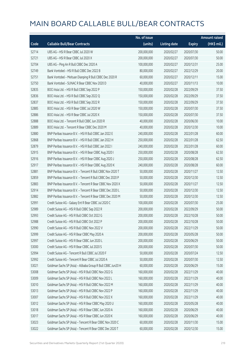|       |                                                             | No. of issue |                     |               | <b>Amount raised</b> |
|-------|-------------------------------------------------------------|--------------|---------------------|---------------|----------------------|
| Code  | <b>Callable Bull/Bear Contracts</b>                         | (units)      | <b>Listing date</b> | <b>Expiry</b> | (HK\$ mil.)          |
| 52714 | UBS AG - HSI R Bear CBBC Jul 2020 W                         | 200,000,000  | 2020/02/27          | 2020/07/30    | 50.00                |
| 52721 | UBS AG - HSI R Bear CBBC Jul 2020 X                         | 200,000,000  | 2020/02/27          | 2020/07/30    | 50.00                |
| 52704 | UBS AG - Ping An R Bull CBBC Dec 2020 A                     | 100,000,000  | 2020/02/27          | 2020/12/31    | 25.00                |
| 52749 | Bank Vontobel - HSI R Bull CBBC Dec 2022 B                  | 80,000,000   | 2020/02/27          | 2022/12/29    | 20.00                |
| 52751 | Bank Vontobel - Meituan Dianping R Bull CBBC Dec 2020 R     | 60,000,000   | 2020/02/27          | 2020/12/11    | 15.00                |
| 52750 | Bank Vontobel - SUNAC R Bear CBBC Nov 2020 D                | 40,000,000   | 2020/02/27          | 2020/11/13    | 10.00                |
| 52835 | BOCI Asia Ltd. - HSI R Bull CBBC Sep 2022 P                 | 150,000,000  | 2020/02/28          | 2022/09/29    | 37.50                |
| 52836 | BOCI Asia Ltd. - HSI R Bull CBBC Sep 2022 Q                 | 150,000,000  | 2020/02/28          | 2022/09/29    | 37.50                |
| 52837 | BOCI Asia Ltd. - HSI R Bull CBBC Sep 2022 R                 | 150,000,000  | 2020/02/28          | 2022/09/29    | 37.50                |
| 52885 | BOCI Asia Ltd. - HSI R Bear CBBC Jul 2020 W                 | 150,000,000  | 2020/02/28          | 2020/07/30    | 37.50                |
| 52886 | BOCI Asia Ltd. - HSI R Bear CBBC Jul 2020 X                 | 150,000,000  | 2020/02/28          | 2020/07/30    | 37.50                |
| 52888 | BOCI Asia Ltd. - Tencent R Bull CBBC Jun 2020 R             | 40,000,000   | 2020/02/28          | 2020/06/30    | 10.00                |
| 52889 | BOCI Asia Ltd. - Tencent R Bear CBBC Dec 2020 M             | 40,000,000   | 2020/02/28          | 2020/12/30    | 10.00                |
| 52880 | BNP Paribas Issuance B.V. - HSI R Bull CBBC Jan 2022 E      | 240,000,000  | 2020/02/28          | 2022/01/28    | 60.00                |
| 52868 | BNP Paribas Issuance B.V. - HSI R Bull CBBC Jan 2022 H      | 250,000,000  | 2020/02/28          | 2022/01/28    | 62.50                |
| 52879 | BNP Paribas Issuance B.V. - HSI R Bull CBBC Jan 2022 I      | 240,000,000  | 2020/02/28          | 2022/01/28    | 60.00                |
| 52915 | BNP Paribas Issuance B.V. - HSI R Bear CBBC Aug 2020 I      | 250,000,000  | 2020/02/28          | 2020/08/28    | 62.50                |
| 52916 | BNP Paribas Issuance B.V. - HSI R Bear CBBC Aug 2020 J      | 250,000,000  | 2020/02/28          | 2020/08/28    | 62.50                |
| 52917 | BNP Paribas Issuance B.V. - HSI R Bear CBBC Aug 2020 K      | 240,000,000  | 2020/02/28          | 2020/08/28    | 60.00                |
| 52881 | BNP Paribas Issuance B.V. - Tencent R Bull CBBC Nov 2020 T  | 50,000,000   | 2020/02/28          | 2020/11/27    | 12.50                |
| 52859 | BNP Paribas Issuance B.V. - Tencent R Bull CBBC Dec 2020 P  | 50,000,000   | 2020/02/28          | 2020/12/30    | 12.50                |
| 52883 | BNP Paribas Issuance B.V. - Tencent R Bear CBBC Nov 2020 X  | 50,000,000   | 2020/02/28          | 2020/11/27    | 12.50                |
| 52914 | BNP Paribas Issuance B.V. - Tencent R Bear CBBC Dec 2020 L  | 50,000,000   | 2020/02/28          | 2020/12/30    | 12.50                |
| 52882 | BNP Paribas Issuance B.V. - Tencent R Bear CBBC Dec 2020 M  | 50,000,000   | 2020/02/28          | 2020/12/30    | 12.50                |
| 52991 | Credit Suisse AG - Galaxy Ent R Bear CBBC Jul 2020 C        | 100,000,000  | 2020/02/28          | 2020/07/30    | 25.00                |
| 52989 | Credit Suisse AG - HSI R Bull CBBC Sep 2022 R               | 200,000,000  | 2020/02/28          | 2022/09/29    | 50.00                |
| 52993 | Credit Suisse AG - HSI R Bull CBBC Oct 2022 G               | 200,000,000  | 2020/02/28          | 2022/10/28    | 50.00                |
| 52988 | Credit Suisse AG - HSI R Bull CBBC Oct 2022 P               | 200,000,000  | 2020/02/28          | 2022/10/28    | 50.00                |
| 52990 | Credit Suisse AG - HSI R Bull CBBC Nov 2022 V               | 200,000,000  | 2020/02/28          | 2022/11/29    | 50.00                |
| 52999 | Credit Suisse AG - HSI R Bear CBBC May 2020 A               | 200,000,000  | 2020/02/28          | 2020/05/28    | 50.00                |
| 52997 | Credit Suisse AG - HSI R Bear CBBC Jun 2020 L               | 200,000,000  | 2020/02/28          | 2020/06/29    | 50.00                |
| 53000 | Credit Suisse AG - HSI R Bear CBBC Jul 2020 S               | 200,000,000  | 2020/02/28          | 2020/07/30    | 50.00                |
| 52994 | Credit Suisse AG - Tencent R Bull CBBC Jul 2020 F           | 50,000,000   | 2020/02/28          | 2020/07/24    | 12.50                |
| 52992 | Credit Suisse AG - Tencent R Bear CBBC Jul 2020 A           | 50,000,000   | 2020/02/28          | 2020/07/30    | 12.50                |
| 53021 | Goldman Sachs SP (Asia) - Alibaba Group R Bull CBBC Jun20 H | 60,000,000   | 2020/02/28          | 2020/06/29    | 15.00                |
| 53008 | Goldman Sachs SP (Asia) - HSI R Bull CBBC Nov 2022 G        | 160,000,000  | 2020/02/28          | 2022/11/29    | 40.00                |
| 53009 | Goldman Sachs SP (Asia) - HSI R Bull CBBC Nov 2022 L        | 160,000,000  | 2020/02/28          | 2022/11/29    | 40.00                |
| 53010 | Goldman Sachs SP (Asia) - HSI R Bull CBBC Nov 2022 M        | 160,000,000  | 2020/02/28          | 2022/11/29    | 40.00                |
| 53013 | Goldman Sachs SP (Asia) - HSI R Bull CBBC Nov 2022 P        | 160,000,000  | 2020/02/28          | 2022/11/29    | 40.00                |
| 53007 | Goldman Sachs SP (Asia) - HSI R Bull CBBC Nov 2022 X        | 160,000,000  | 2020/02/28          | 2022/11/29    | 40.00                |
| 53012 | Goldman Sachs SP (Asia) - HSI R Bear CBBC May 2020 U        | 160,000,000  | 2020/02/28          | 2020/05/28    | 40.00                |
| 53018 | Goldman Sachs SP (Asia) - HSI R Bear CBBC Jun 2020 A        | 160,000,000  | 2020/02/28          | 2020/06/29    | 40.00                |
| 53017 | Goldman Sachs SP (Asia) - HSI R Bear CBBC Jun 2020 K        | 160,000,000  | 2020/02/28          | 2020/06/29    | 40.00                |
| 53023 | Goldman Sachs SP (Asia) - Tencent R Bear CBBC Nov 2020 C    | 60,000,000   | 2020/02/28          | 2020/11/30    | 15.00                |
| 53022 | Goldman Sachs SP (Asia) - Tencent R Bear CBBC Dec 2020 T    | 60,000,000   | 2020/02/28          | 2020/12/30    | 15.00                |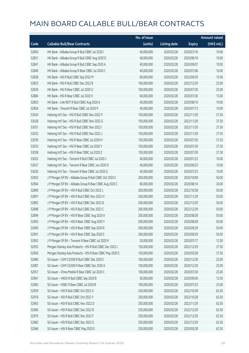|       |                                                           | No. of issue |                     |               | <b>Amount raised</b> |
|-------|-----------------------------------------------------------|--------------|---------------------|---------------|----------------------|
| Code  | <b>Callable Bull/Bear Contracts</b>                       | (units)      | <b>Listing date</b> | <b>Expiry</b> | (HK\$ mil.)          |
| 52850 | HK Bank - Alibaba Group R Bull CBBC Jul 2020 I            | 40,000,000   | 2020/02/28          | 2020/07/16    | 10.00                |
| 52851 | HK Bank - Alibaba Group R Bull CBBC Aug 2020 D            | 40,000,000   | 2020/02/28          | 2020/08/10    | 10.00                |
| 52841 | HK Bank - Alibaba Group R Bull CBBC Sep 2020 A            | 40,000,000   | 2020/02/28          | 2020/09/07    | 10.00                |
| 52840 | HK Bank - Alibaba Group R Bear CBBC Jul 2020 C            | 40,000,000   | 2020/02/28          | 2020/07/06    | 10.00                |
| 52838 | HK Bank - HSI R Bull CBBC Sep 2022 M                      | 60,000,000   | 2020/02/28          | 2022/09/29    | 15.00                |
| 52855 | HK Bank - HSI R Bull CBBC Dec 2022 B                      | 100,000,000  | 2020/02/28          | 2022/12/29    | 25.00                |
| 52839 | HK Bank - HSI R Bear CBBC Jul 2020 U                      | 100,000,000  | 2020/02/28          | 2020/07/30    | 25.00                |
| 52884 | HK Bank - HSI R Bear CBBC Jul 2020 V                      | 60,000,000   | 2020/02/28          | 2020/07/30    | 15.00                |
| 52853 | HK Bank - Link REIT R Bull CBBC Aug 2020 A                | 40,000,000   | 2020/02/28          | 2020/08/10    | 10.00                |
| 52854 | HK Bank - Tencent R Bear CBBC Jul 2020 P                  | 40,000,000   | 2020/02/28          | 2020/07/13    | 10.00                |
| 53024 | Haitong Int'l Sec - HSI R Bull CBBC Nov 2022 F            | 150,000,000  | 2020/02/28          | 2022/11/29    | 37.50                |
| 53028 | Haitong Int'l Sec - HSI R Bull CBBC Nov 2022 G            | 150,000,000  | 2020/02/28          | 2022/11/29    | 37.50                |
| 53031 | Haitong Int'l Sec - HSI R Bull CBBC Nov 2022 I            | 150,000,000  | 2020/02/28          | 2022/11/29    | 37.50                |
| 53032 | Haitong Int'l Sec - HSI R Bull CBBC Nov 2022 J            | 150,000,000  | 2020/02/28          | 2022/11/29    | 37.50                |
| 53039 | Haitong Int'l Sec - HSI R Bear CBBC Jul 2020 H            | 150,000,000  | 2020/02/28          | 2020/07/30    | 37.50                |
| 53033 | Haitong Int'l Sec - HSI R Bear CBBC Jul 2020 Y            | 150,000,000  | 2020/02/28          | 2020/07/30    | 37.50                |
| 53038 | Haitong Int'l Sec - HSI R Bear CBBC Jul 2020 Z            | 150,000,000  | 2020/02/28          | 2020/07/30    | 37.50                |
| 53025 | Haitong Int'l Sec - Tencent R Bull CBBC Jul 2020 J        | 40,000,000   | 2020/02/28          | 2020/07/23    | 10.00                |
| 53027 | Haitong Int'l Sec - Tencent R Bear CBBC Jun 2020 D        | 40,000,000   | 2020/02/28          | 2020/06/23    | 10.00                |
| 53026 | Haitong Int'l Sec - Tencent R Bear CBBC Jul 2020 G        | 40,000,000   | 2020/02/28          | 2020/07/23    | 10.00                |
| 52903 | J P Morgan SP BV - Alibaba Group R Bull CBBC Oct 2020 C   | 200,000,000  | 2020/02/28          | 2020/10/09    | 50.00                |
| 52904 | J P Morgan SP BV - Alibaba Group R Bear CBBC Aug 2020 C   | 80,000,000   | 2020/02/28          | 2020/08/14    | 20.00                |
| 52890 | J P Morgan SP BV - HSI R Bull CBBC Oct 2022 L             | 200,000,000  | 2020/02/28          | 2022/10/28    | 50.00                |
| 52891 | J P Morgan SP BV - HSI R Bull CBBC Nov 2022 H             | 200,000,000  | 2020/02/28          | 2022/11/29    | 50.00                |
| 52892 | J P Morgan SP BV - HSI R Bull CBBC Dec 2022 B             | 200,000,000  | 2020/02/28          | 2022/12/29    | 50.00                |
| 52898 | J P Morgan SP BV - HSI R Bull CBBC Dec 2022 C             | 200,000,000  | 2020/02/28          | 2022/12/29    | 50.00                |
| 52899 | J P Morgan SP BV - HSI R Bear CBBC Aug 2020 X             | 200,000,000  | 2020/02/28          | 2020/08/28    | 50.00                |
| 52905 | J P Morgan SP BV - HSI R Bear CBBC Aug 2020 Y             | 200,000,000  | 2020/02/28          | 2020/08/28    | 50.00                |
| 52900 | J P Morgan SP BV - HSI R Bear CBBC Sep 2020 R             | 200,000,000  | 2020/02/28          | 2020/09/29    | 50.00                |
| 52901 | J P Morgan SP BV - HSI R Bear CBBC Sep 2020 S             | 200,000,000  | 2020/02/28          | 2020/09/29    | 50.00                |
| 52902 | J P Morgan SP BV - Tencent R Bear CBBC Jul 2020 K         | 50,000,000   | 2020/02/28          | 2020/07/17    | 12.50                |
| 52955 | Morgan Stanley Asia Products - HSI R Bull CBBC Dec 2022 L | 150,000,000  | 2020/02/28          | 2022/12/29    | 37.50                |
| 52956 | Morgan Stanley Asia Products - HSI R Bear CBBC May 2020 S | 150,000,000  | 2020/02/28          | 2020/05/28    | 37.50                |
| 52985 | SG Issuer - CAM CSI300 R Bull CBBC Dec 2020 C             | 100,000,000  | 2020/02/28          | 2020/12/30    | 25.00                |
| 52987 | SG Issuer - CAM CSI300 R Bear CBBC Dec 2020 A             | 100,000,000  | 2020/02/28          | 2020/12/30    | 25.00                |
| 52957 | SG Issuer - China Mobile R Bear CBBC Jul 2020 C           | 100,000,000  | 2020/02/28          | 2020/07/30    | 25.00                |
| 52961 | SG Issuer - HKEX R Bull CBBC Sep 2020 B                   | 50,000,000   | 2020/02/28          | 2020/09/30    | 12.50                |
| 52983 | SG Issuer - HSBC R Bear CBBC Jul 2020 B                   | 100,000,000  | 2020/02/28          | 2020/07/23    | 25.00                |
| 52959 | SG Issuer - HSI R Bull CBBC Oct 2022 X                    | 250,000,000  | 2020/02/28          | 2022/10/28    | 62.50                |
| 52978 | SG Issuer - HSI R Bull CBBC Oct 2022 Y                    | 250,000,000  | 2020/02/28          | 2022/10/28    | 62.50                |
| 52963 | SG Issuer - HSI R Bull CBBC Nov 2022 D                    | 250,000,000  | 2020/02/28          | 2022/11/29    | 62.50                |
| 52960 | SG Issuer - HSI R Bull CBBC Dec 2022 B                    | 250,000,000  | 2020/02/28          | 2022/12/29    | 62.50                |
| 52979 | SG Issuer - HSI R Bull CBBC Dec 2022 F                    | 250,000,000  | 2020/02/28          | 2022/12/29    | 62.50                |
| 52982 | SG Issuer - HSI R Bull CBBC Dec 2022 G                    | 250,000,000  | 2020/02/28          | 2022/12/29    | 62.50                |
| 52966 | SG Issuer - HSI R Bear CBBC May 2020 E                    | 250,000,000  | 2020/02/28          | 2020/05/28    | 62.50                |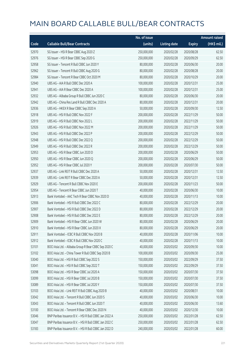|       |                                                        | No. of issue |                     |               | <b>Amount raised</b> |
|-------|--------------------------------------------------------|--------------|---------------------|---------------|----------------------|
| Code  | <b>Callable Bull/Bear Contracts</b>                    | (units)      | <b>Listing date</b> | <b>Expiry</b> | (HK\$ mil.)          |
| 52970 | SG Issuer - HSI R Bear CBBC Aug 2020 Z                 | 250,000,000  | 2020/02/28          | 2020/08/28    | 62.50                |
| 52976 | SG Issuer - HSI R Bear CBBC Sep 2020 G                 | 250,000,000  | 2020/02/28          | 2020/09/29    | 62.50                |
| 52958 | SG Issuer - Tencent R Bull CBBC Jun 2020 Y             | 80,000,000   | 2020/02/28          | 2020/06/30    | 20.00                |
| 52962 | SG Issuer - Tencent R Bull CBBC Aug 2020 G             | 80,000,000   | 2020/02/28          | 2020/08/28    | 20.00                |
| 52984 | SG Issuer - Tencent R Bear CBBC Oct 2020 M             | 80,000,000   | 2020/02/28          | 2020/10/29    | 20.00                |
| 52940 | UBS AG - AIA R Bull CBBC Dec 2020 A                    | 100,000,000  | 2020/02/28          | 2020/12/31    | 25.00                |
| 52941 | UBS AG - AIA R Bear CBBC Dec 2020 A                    | 100,000,000  | 2020/02/28          | 2020/12/31    | 25.00                |
| 52932 | UBS AG - Alibaba Group R Bull CBBC Jun 2020 C          | 80,000,000   | 2020/02/28          | 2020/06/30    | 20.00                |
| 52942 | UBS AG - China Res Land R Bull CBBC Dec 2020 A         | 80,000,000   | 2020/02/28          | 2020/12/31    | 20.00                |
| 52936 | UBS AG - HKEX R Bear CBBC Sep 2020 A                   | 50,000,000   | 2020/02/28          | 2020/09/30    | 12.50                |
| 52918 | UBS AG - HSI R Bull CBBC Nov 2022 F                    | 200,000,000  | 2020/02/28          | 2022/11/29    | 50.00                |
| 52919 | UBS AG - HSI R Bull CBBC Nov 2022 L                    | 200,000,000  | 2020/02/28          | 2022/11/29    | 50.00                |
| 52926 | UBS AG - HSI R Bull CBBC Nov 2022 M                    | 200,000,000  | 2020/02/28          | 2022/11/29    | 50.00                |
| 52943 | UBS AG - HSI R Bull CBBC Dec 2022 P                    | 200,000,000  | 2020/02/28          | 2022/12/29    | 50.00                |
| 52948 | UBS AG - HSI R Bull CBBC Dec 2022 Q                    | 200,000,000  | 2020/02/28          | 2022/12/29    | 50.00                |
| 52949 | UBS AG - HSI R Bull CBBC Dec 2022 R                    | 200,000,000  | 2020/02/28          | 2022/12/29    | 50.00                |
| 52953 | UBS AG - HSI R Bear CBBC Jun 2020 D                    | 200,000,000  | 2020/02/28          | 2020/06/29    | 50.00                |
| 52950 | UBS AG - HSI R Bear CBBC Jun 2020 Q                    | 200,000,000  | 2020/02/28          | 2020/06/29    | 50.00                |
| 52952 | UBS AG - HSI R Bear CBBC Jul 2020 Y                    | 200,000,000  | 2020/02/28          | 2020/07/30    | 50.00                |
| 52937 | UBS AG - Link REIT R Bull CBBC Dec 2020 A              | 50,000,000   | 2020/02/28          | 2020/12/31    | 12.50                |
| 52939 | UBS AG - Link REIT R Bear CBBC Dec 2020 A              | 50,000,000   | 2020/02/28          | 2020/12/31    | 12.50                |
| 52929 | UBS AG - Tencent R Bull CBBC Nov 2020 E                | 200,000,000  | 2020/02/28          | 2020/11/23    | 50.00                |
| 52954 | UBS AG - Tencent R Bear CBBC Jun 2020 T                | 40,000,000   | 2020/02/28          | 2020/06/30    | 10.00                |
| 52913 | Bank Vontobel - AAC Tech R Bear CBBC Nov 2020 D        | 40,000,000   | 2020/02/28          | 2020/11/13    | 10.00                |
| 52906 | Bank Vontobel - HSI R Bull CBBC Dec 2022 C             | 80,000,000   | 2020/02/28          | 2022/12/29    | 20.00                |
| 52907 | Bank Vontobel - HSI R Bull CBBC Dec 2022 D             | 80,000,000   | 2020/02/28          | 2022/12/29    | 20.00                |
| 52908 | Bank Vontobel - HSI R Bull CBBC Dec 2022 E             | 80,000,000   | 2020/02/28          | 2022/12/29    | 20.00                |
| 52909 | Bank Vontobel - HSI R Bear CBBC Jun 2020 W             | 80,000,000   | 2020/02/28          | 2020/06/29    | 20.00                |
| 52910 | Bank Vontobel - HSI R Bear CBBC Jun 2020 X             | 80,000,000   | 2020/02/28          | 2020/06/29    | 20.00                |
| 52911 | Bank Vontobel - ICBC R Bull CBBC Nov 2020 B            | 40,000,000   | 2020/02/28          | 2020/11/06    | 10.00                |
| 52912 | Bank Vontobel - ICBC R Bull CBBC Nov 2020 C            | 40,000,000   | 2020/02/28          | 2020/11/13    | 10.00                |
| 53101 | BOCI Asia Ltd. - Alibaba Group R Bear CBBC Sep 2020 C  | 40,000,000   | 2020/03/02          | 2020/09/30    | 10.00                |
| 53102 | BOCI Asia Ltd. - China Tower R Bull CBBC Sep 2020 B    | 100,000,000  | 2020/03/02          | 2020/09/30    | 25.00                |
| 53040 | BOCI Asia Ltd. - HSI R Bull CBBC Sep 2022 S            | 150,000,000  | 2020/03/02          | 2022/09/29    | 37.50                |
| 53041 | BOCI Asia Ltd. - HSI R Bull CBBC Sep 2022 T            | 150,000,000  | 2020/03/02          | 2022/09/29    | 37.50                |
| 53098 | BOCI Asia Ltd. - HSI R Bear CBBC Jul 2020 A            | 150,000,000  | 2020/03/02          | 2020/07/30    | 37.50                |
| 53099 | BOCI Asia Ltd. - HSI R Bear CBBC Jul 2020 B            | 150,000,000  | 2020/03/02          | 2020/07/30    | 37.50                |
| 53089 | BOCI Asia Ltd. - HSI R Bear CBBC Jul 2020 Y            | 150,000,000  | 2020/03/02          | 2020/07/30    | 37.50                |
| 53103 | BOCI Asia Ltd. - Link REIT R Bull CBBC Aug 2020 B      | 40,000,000   | 2020/03/02          | 2020/08/31    | 10.00                |
| 53042 | BOCI Asia Ltd. - Tencent R Bull CBBC Jun 2020 S        | 40,000,000   | 2020/03/02          | 2020/06/30    | 10.00                |
| 53043 | BOCI Asia Ltd. - Tencent R Bull CBBC Jun 2020 T        | 40,000,000   | 2020/03/02          | 2020/06/30    | 13.60                |
| 53100 | BOCI Asia Ltd. - Tencent R Bear CBBC Dec 2020 N        | 40,000,000   | 2020/03/02          | 2020/12/30    | 10.00                |
| 53046 | BNP Paribas Issuance B.V. - HSI R Bull CBBC Jan 2022 A | 250,000,000  | 2020/03/02          | 2022/01/28    | 62.50                |
| 53047 | BNP Paribas Issuance B.V. - HSI R Bull CBBC Jan 2022 C | 250,000,000  | 2020/03/02          | 2022/01/28    | 62.50                |
| 53183 | BNP Paribas Issuance B.V. - HSI R Bull CBBC Jan 2022 D | 240,000,000  | 2020/03/02          | 2022/01/28    | 60.00                |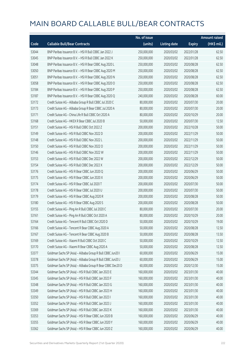|       |                                                             | No. of issue |                     |               | <b>Amount raised</b> |
|-------|-------------------------------------------------------------|--------------|---------------------|---------------|----------------------|
| Code  | <b>Callable Bull/Bear Contracts</b>                         | (units)      | <b>Listing date</b> | <b>Expiry</b> | (HK\$ mil.)          |
| 53044 | BNP Paribas Issuance B.V. - HSI R Bull CBBC Jan 2022 J      | 250,000,000  | 2020/03/02          | 2022/01/28    | 62.50                |
| 53045 | BNP Paribas Issuance B.V. - HSI R Bull CBBC Jan 2022 K      | 250,000,000  | 2020/03/02          | 2022/01/28    | 62.50                |
| 53048 | BNP Paribas Issuance B.V. - HSI R Bear CBBC Aug 2020 L      | 250,000,000  | 2020/03/02          | 2020/08/28    | 62.50                |
| 53050 | BNP Paribas Issuance B.V. - HSI R Bear CBBC Aug 2020 M      | 250,000,000  | 2020/03/02          | 2020/08/28    | 62.50                |
| 53051 | BNP Paribas Issuance B.V. - HSI R Bear CBBC Aug 2020 N      | 250,000,000  | 2020/03/02          | 2020/08/28    | 62.50                |
| 53058 | BNP Paribas Issuance B.V. - HSI R Bear CBBC Aug 2020 O      | 250,000,000  | 2020/03/02          | 2020/08/28    | 62.50                |
| 53184 | BNP Paribas Issuance B.V. - HSI R Bear CBBC Aug 2020 P      | 250,000,000  | 2020/03/02          | 2020/08/28    | 62.50                |
| 53187 | BNP Paribas Issuance B.V. - HSI R Bear CBBC Aug 2020 Q      | 240,000,000  | 2020/03/02          | 2020/08/28    | 60.00                |
| 53172 | Credit Suisse AG - Alibaba Group R Bull CBBC Jul 2020 C     | 80,000,000   | 2020/03/02          | 2020/07/30    | 20.00                |
| 53173 | Credit Suisse AG - Alibaba Group R Bear CBBC Jul 2020 A     | 80,000,000   | 2020/03/02          | 2020/07/30    | 20.00                |
| 53171 | Credit Suisse AG - China Life R Bull CBBC Oct 2020 A        | 80,000,000   | 2020/03/02          | 2020/10/29    | 20.00                |
| 53168 | Credit Suisse AG - HKEX R Bear CBBC Jul 2020 B              | 50,000,000   | 2020/03/02          | 2020/07/30    | 12.50                |
| 53151 | Credit Suisse AG - HSI R Bull CBBC Oct 2022 Z               | 200,000,000  | 2020/03/02          | 2022/10/28    | 50.00                |
| 53149 | Credit Suisse AG - HSI R Bull CBBC Nov 2022 D               | 200,000,000  | 2020/03/02          | 2022/11/29    | 50.00                |
| 53148 | Credit Suisse AG - HSI R Bull CBBC Nov 2022 L               | 200,000,000  | 2020/03/02          | 2022/11/29    | 50.00                |
| 53150 | Credit Suisse AG - HSI R Bull CBBC Nov 2022 O               | 200,000,000  | 2020/03/02          | 2022/11/29    | 50.00                |
| 53146 | Credit Suisse AG - HSI R Bull CBBC Nov 2022 W               | 200,000,000  | 2020/03/02          | 2022/11/29    | 50.00                |
| 53153 | Credit Suisse AG - HSI R Bull CBBC Dec 2022 W               | 200,000,000  | 2020/03/02          | 2022/12/29    | 50.00                |
| 53154 | Credit Suisse AG - HSI R Bull CBBC Dec 2022 X               | 200,000,000  | 2020/03/02          | 2022/12/29    | 50.00                |
| 53176 | Credit Suisse AG - HSI R Bear CBBC Jun 2020 Q               | 200,000,000  | 2020/03/02          | 2020/06/29    | 50.00                |
| 53175 | Credit Suisse AG - HSI R Bear CBBC Jun 2020 X               | 200,000,000  | 2020/03/02          | 2020/06/29    | 50.00                |
| 53174 | Credit Suisse AG - HSI R Bear CBBC Jul 2020 T               | 200,000,000  | 2020/03/02          | 2020/07/30    | 50.00                |
| 53178 | Credit Suisse AG - HSI R Bear CBBC Jul 2020 U               | 200,000,000  | 2020/03/02          | 2020/07/30    | 50.00                |
| 53179 | Credit Suisse AG - HSI R Bear CBBC Aug 2020 R               | 200,000,000  | 2020/03/02          | 2020/08/28    | 50.00                |
| 53180 | Credit Suisse AG - HSI R Bear CBBC Aug 2020 S               | 200,000,000  | 2020/03/02          | 2020/08/28    | 50.00                |
| 53155 | Credit Suisse AG - Ping An R Bull CBBC Jul 2020 C           | 80,000,000   | 2020/03/02          | 2020/07/30    | 20.00                |
| 53161 | Credit Suisse AG - Ping An R Bull CBBC Oct 2020 A           | 80,000,000   | 2020/03/02          | 2020/10/29    | 20.00                |
| 53164 | Credit Suisse AG - Tencent R Bull CBBC Oct 2020 D           | 50,000,000   | 2020/03/02          | 2020/10/29    | 19.00                |
| 53166 | Credit Suisse AG - Tencent R Bear CBBC Aug 2020 A           | 50,000,000   | 2020/03/02          | 2020/08/28    | 12.50                |
| 53167 | Credit Suisse AG - Tencent R Bear CBBC Aug 2020 B           | 50,000,000   | 2020/03/02          | 2020/08/28    | 13.50                |
| 53169 | Credit Suisse AG - Xiaomi R Bull CBBC Oct 2020 C            | 50,000,000   | 2020/03/02          | 2020/10/29    | 12.50                |
| 53170 | Credit Suisse AG - Xiaomi R Bear CBBC Aug 2020 A            | 50,000,000   | 2020/03/02          | 2020/08/28    | 12.50                |
| 53377 | Goldman Sachs SP (Asia) - Alibaba Group R Bull CBBC Jun20 I | 60,000,000   | 2020/03/02          | 2020/06/29    | 15.00                |
| 53378 | Goldman Sachs SP (Asia) - Alibaba Group R Bull CBBC Jun20 J | 60,000,000   | 2020/03/02          | 2020/06/29    | 15.00                |
| 53375 | Goldman Sachs SP (Asia) - Alibaba Group R Bear CBBC Dec20 D | 60,000,000   | 2020/03/02          | 2020/12/30    | 15.00                |
| 53344 | Goldman Sachs SP (Asia) - HSI R Bull CBBC Jan 2023 E        | 160,000,000  | 2020/03/02          | 2023/01/30    | 40.00                |
| 53345 | Goldman Sachs SP (Asia) - HSI R Bull CBBC Jan 2023 F        | 160,000,000  | 2020/03/02          | 2023/01/30    | 40.00                |
| 53348 | Goldman Sachs SP (Asia) - HSI R Bull CBBC Jan 2023 G        | 160,000,000  | 2020/03/02          | 2023/01/30    | 40.00                |
| 53349 | Goldman Sachs SP (Asia) - HSI R Bull CBBC Jan 2023 H        | 160,000,000  | 2020/03/02          | 2023/01/30    | 40.00                |
| 53350 | Goldman Sachs SP (Asia) - HSI R Bull CBBC Jan 2023 I        | 160,000,000  | 2020/03/02          | 2023/01/30    | 40.00                |
| 53352 | Goldman Sachs SP (Asia) - HSI R Bull CBBC Jan 2023 J        | 160,000,000  | 2020/03/02          | 2023/01/30    | 40.00                |
| 53369 | Goldman Sachs SP (Asia) - HSI R Bull CBBC Jan 2023 K        | 160,000,000  | 2020/03/02          | 2023/01/30    | 40.00                |
| 53353 | Goldman Sachs SP (Asia) - HSI R Bear CBBC Jun 2020 B        | 160,000,000  | 2020/03/02          | 2020/06/29    | 40.00                |
| 53355 | Goldman Sachs SP (Asia) - HSI R Bear CBBC Jun 2020 Y        | 160,000,000  | 2020/03/02          | 2020/06/29    | 40.00                |
| 53362 | Goldman Sachs SP (Asia) - HSI R Bear CBBC Jun 2020 Z        | 160,000,000  | 2020/03/02          | 2020/06/29    | 40.00                |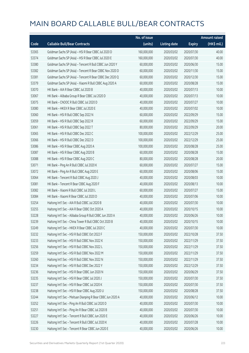|       |                                                             | No. of issue |                     |               | <b>Amount raised</b> |
|-------|-------------------------------------------------------------|--------------|---------------------|---------------|----------------------|
| Code  | <b>Callable Bull/Bear Contracts</b>                         | (units)      | <b>Listing date</b> | <b>Expiry</b> | (HK\$ mil.)          |
| 53365 | Goldman Sachs SP (Asia) - HSI R Bear CBBC Jul 2020 D        | 160,000,000  | 2020/03/02          | 2020/07/30    | 40.00                |
| 53374 | Goldman Sachs SP (Asia) - HSI R Bear CBBC Jul 2020 E        | 160,000,000  | 2020/03/02          | 2020/07/30    | 40.00                |
| 53380 | Goldman Sachs SP (Asia) - Tencent R Bull CBBC Jun 2020 Y    | 60,000,000   | 2020/03/02          | 2020/06/30    | 15.00                |
| 53382 | Goldman Sachs SP (Asia) - Tencent R Bear CBBC Nov 2020 D    | 60,000,000   | 2020/03/02          | 2020/11/30    | 15.00                |
| 53381 | Goldman Sachs SP (Asia) - Tencent R Bear CBBC Dec 2020 Q    | 60,000,000   | 2020/03/02          | 2020/12/30    | 15.00                |
| 53379 | Goldman Sachs SP (Asia) - Xiaomi R Bull CBBC Aug 2020 A     | 60,000,000   | 2020/03/02          | 2020/08/28    | 15.00                |
| 53070 | HK Bank - AIA R Bear CBBC Jul 2020 B                        | 40,000,000   | 2020/03/02          | 2020/07/13    | 10.00                |
| 53067 | HK Bank - Alibaba Group R Bear CBBC Jul 2020 D              | 40,000,000   | 2020/03/02          | 2020/07/13    | 10.00                |
| 53075 | HK Bank - CNOOC R Bull CBBC Jul 2020 D                      | 40,000,000   | 2020/03/02          | 2020/07/27    | 10.00                |
| 53080 | HK Bank - HKEX R Bear CBBC Jul 2020 E                       | 40,000,000   | 2020/03/02          | 2020/07/02    | 10.00                |
| 53060 | HK Bank - HSI R Bull CBBC Sep 2022 N                        | 60,000,000   | 2020/03/02          | 2022/09/29    | 15.00                |
| 53059 | HK Bank - HSI R Bull CBBC Sep 2022 R                        | 60,000,000   | 2020/03/02          | 2022/09/29    | 15.00                |
| 53061 | HK Bank - HSI R Bull CBBC Sep 2022 T                        | 80,000,000   | 2020/03/02          | 2022/09/29    | 20.00                |
| 53065 | HK Bank - HSI R Bull CBBC Dec 2022 C                        | 100,000,000  | 2020/03/02          | 2022/12/29    | 25.00                |
| 53066 | HK Bank - HSI R Bull CBBC Dec 2022 D                        | 100,000,000  | 2020/03/02          | 2022/12/29    | 25.00                |
| 53086 | HK Bank - HSI R Bear CBBC Aug 2020 A                        | 100,000,000  | 2020/03/02          | 2020/08/28    | 25.00                |
| 53087 | HK Bank - HSI R Bear CBBC Aug 2020 B                        | 60,000,000   | 2020/03/02          | 2020/08/28    | 15.00                |
| 53088 | HK Bank - HSI R Bear CBBC Aug 2020 C                        | 80,000,000   | 2020/03/02          | 2020/08/28    | 20.00                |
| 53071 | HK Bank - Ping An R Bull CBBC Jul 2020 K                    | 60,000,000   | 2020/03/02          | 2020/07/27    | 15.00                |
| 53072 | HK Bank - Ping An R Bull CBBC Aug 2020 E                    | 60,000,000   | 2020/03/02          | 2020/08/06    | 15.00                |
| 53064 | HK Bank - Tencent R Bull CBBC Aug 2020 J                    | 40,000,000   | 2020/03/02          | 2020/08/03    | 10.00                |
| 53081 | HK Bank - Tencent R Bear CBBC Aug 2020 F                    | 40,000,000   | 2020/03/02          | 2020/08/13    | 10.00                |
| 53082 | HK Bank - Xiaomi R Bull CBBC Jul 2020 L                     | 60,000,000   | 2020/03/02          | 2020/07/27    | 15.00                |
| 53084 | HK Bank - Xiaomi R Bear CBBC Jul 2020 D                     | 40,000,000   | 2020/03/02          | 2020/07/06    | 10.00                |
| 53254 | Haitong Int'l Sec - AIA R Bull CBBC Jul 2020 B              | 40,000,000   | 2020/03/02          | 2020/07/30    | 10.00                |
| 53255 | Haitong Int'l Sec - AIA R Bear CBBC Oct 2020 A              | 40,000,000   | 2020/03/02          | 2020/10/15    | 10.00                |
| 53228 | Haitong Int'l Sec - Alibaba Group R Bull CBBC Jun 2020 A    | 40,000,000   | 2020/03/02          | 2020/06/26    | 10.00                |
| 53239 | Haitong Int'l Sec - China Tower R Bull CBBC Oct 2020 B      | 40,000,000   | 2020/03/02          | 2020/10/15    | 10.00                |
| 53249 | Haitong Int'l Sec - HKEX R Bear CBBC Jul 2020 C             | 40,000,000   | 2020/03/02          | 2020/07/30    | 10.00                |
| 53232 | Haitong Int'l Sec - HSI R Bull CBBC Oct 2022 F              | 150,000,000  | 2020/03/02          | 2022/10/28    | 37.50                |
| 53233 | Haitong Int'l Sec - HSI R Bull CBBC Nov 2022 K              | 150,000,000  | 2020/03/02          | 2022/11/29    | 37.50                |
| 53256 | Haitong Int'l Sec - HSI R Bull CBBC Nov 2022 L              | 150,000,000  | 2020/03/02          | 2022/11/29    | 37.50                |
| 53259 | Haitong Int'l Sec - HSI R Bull CBBC Nov 2022 M              | 150,000,000  | 2020/03/02          | 2022/11/29    | 37.50                |
| 53260 | Haitong Int'l Sec - HSI R Bull CBBC Nov 2022 N              | 150,000,000  | 2020/03/02          | 2022/11/29    | 37.50                |
| 53234 | Haitong Int'l Sec - HSI R Bull CBBC Dec 2022 Y              | 150,000,000  | 2020/03/02          | 2022/12/29    | 37.50                |
| 53236 | Haitong Int'l Sec - HSI R Bear CBBC Jun 2020 N              | 150,000,000  | 2020/03/02          | 2020/06/29    | 37.50                |
| 53235 | Haitong Int'l Sec - HSI R Bear CBBC Jul 2020 J              | 150,000,000  | 2020/03/02          | 2020/07/30    | 37.50                |
| 53237 | Haitong Int'l Sec - HSI R Bear CBBC Jul 2020 K              | 150,000,000  | 2020/03/02          | 2020/07/30    | 37.50                |
| 53238 | Haitong Int'l Sec - HSI R Bear CBBC Aug 2020 U              | 150,000,000  | 2020/03/02          | 2020/08/28    | 37.50                |
| 53244 | Haitong Int'l Sec - Meituan Dianping R Bear CBBC Jun 2020 A | 40,000,000   | 2020/03/02          | 2020/06/12    | 10.00                |
| 53252 | Haitong Int'l Sec - Ping An R Bull CBBC Jul 2020 D          | 40,000,000   | 2020/03/02          | 2020/07/30    | 10.00                |
| 53251 | Haitong Int'l Sec - Ping An R Bear CBBC Jul 2020 B          | 40,000,000   | 2020/03/02          | 2020/07/30    | 10.00                |
| 53227 | Haitong Int'l Sec - Tencent R Bull CBBC Jun 2020 E          | 40,000,000   | 2020/03/02          | 2020/06/26    | 10.00                |
| 53226 | Haitong Int'l Sec - Tencent R Bull CBBC Jul 2020 K          | 40,000,000   | 2020/03/02          | 2020/07/28    | 10.00                |
| 53230 | Haitong Int'l Sec - Tencent R Bear CBBC Jun 2020 E          | 40,000,000   | 2020/03/02          | 2020/06/26    | 10.00                |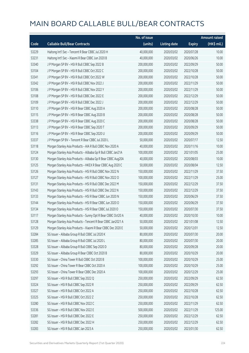|       |                                                              | No. of issue |                     |               | <b>Amount raised</b> |
|-------|--------------------------------------------------------------|--------------|---------------------|---------------|----------------------|
| Code  | <b>Callable Bull/Bear Contracts</b>                          | (units)      | <b>Listing date</b> | <b>Expiry</b> | (HK\$ mil.)          |
| 53229 | Haitong Int'l Sec - Tencent R Bear CBBC Jul 2020 H           | 40,000,000   | 2020/03/02          | 2020/07/28    | 10.00                |
| 53231 | Haitong Int'l Sec - Xiaomi R Bear CBBC Jun 2020 B            | 40,000,000   | 2020/03/02          | 2020/06/26    | 10.00                |
| 53340 | J P Morgan SP BV - HSI R Bull CBBC Sep 2022 B                | 200,000,000  | 2020/03/02          | 2022/09/29    | 50.00                |
| 53104 | J P Morgan SP BV - HSI R Bull CBBC Oct 2022 C                | 200,000,000  | 2020/03/02          | 2022/10/28    | 50.00                |
| 53341 | J P Morgan SP BV - HSI R Bull CBBC Oct 2022 W                | 200,000,000  | 2020/03/02          | 2022/10/28    | 50.00                |
| 53342 | J P Morgan SP BV - HSI R Bull CBBC Nov 2022 J                | 200,000,000  | 2020/03/02          | 2022/11/29    | 50.00                |
| 53106 | J P Morgan SP BV - HSI R Bull CBBC Nov 2022 Y                | 200,000,000  | 2020/03/02          | 2022/11/29    | 50.00                |
| 53108 | J P Morgan SP BV - HSI R Bull CBBC Dec 2022 E                | 200,000,000  | 2020/03/02          | 2022/12/29    | 50.00                |
| 53109 | J P Morgan SP BV - HSI R Bull CBBC Dec 2022 J                | 200,000,000  | 2020/03/02          | 2022/12/29    | 50.00                |
| 53110 | J P Morgan SP BV - HSI R Bear CBBC Aug 2020 A                | 200,000,000  | 2020/03/02          | 2020/08/28    | 50.00                |
| 53115 | J P Morgan SP BV - HSI R Bear CBBC Aug 2020 B                | 200,000,000  | 2020/03/02          | 2020/08/28    | 50.00                |
| 53338 | J P Morgan SP BV - HSI R Bear CBBC Aug 2020 C                | 200,000,000  | 2020/03/02          | 2020/08/28    | 50.00                |
| 53113 | J P Morgan SP BV - HSI R Bear CBBC Sep 2020 T                | 200,000,000  | 2020/03/02          | 2020/09/29    | 50.00                |
| 53116 | J P Morgan SP BV - HSI R Bear CBBC Sep 2020 U                | 200,000,000  | 2020/03/02          | 2020/09/29    | 50.00                |
| 53337 | J P Morgan SP BV - Tencent R Bear CBBC Jul 2020 L            | 50,000,000   | 2020/03/02          | 2020/07/17    | 12.50                |
| 53118 | Morgan Stanley Asia Products - AIA R Bull CBBC Nov 2020 A    | 40,000,000   | 2020/03/02          | 2020/11/16    | 10.00                |
| 53124 | Morgan Stanley Asia Products - Alibaba Gp R Bull CBBC Jan21A | 100,000,000  | 2020/03/02          | 2021/01/05    | 25.00                |
| 53130 | Morgan Stanley Asia Products - Alibaba Gp R Bear CBBC Aug20A | 40,000,000   | 2020/03/02          | 2020/08/03    | 10.00                |
| 53125 | Morgan Stanley Asia Products - HKEX R Bear CBBC Aug 2020 C   | 50,000,000   | 2020/03/02          | 2020/08/04    | 12.50                |
| 53126 | Morgan Stanley Asia Products - HSI R Bull CBBC Nov 2022 N    | 150,000,000  | 2020/03/02          | 2022/11/29    | 37.50                |
| 53127 | Morgan Stanley Asia Products - HSI R Bull CBBC Nov 2022 O    | 100,000,000  | 2020/03/02          | 2022/11/29    | 25.00                |
| 53131 | Morgan Stanley Asia Products - HSI R Bull CBBC Dec 2022 M    | 150,000,000  | 2020/03/02          | 2022/12/29    | 37.50                |
| 53143 | Morgan Stanley Asia Products - HSI R Bull CBBC Dec 2022 N    | 150,000,000  | 2020/03/02          | 2022/12/29    | 37.50                |
| 53133 | Morgan Stanley Asia Products - HSI R Bear CBBC Jun 2020 N    | 150,000,000  | 2020/03/02          | 2020/06/29    | 37.50                |
| 53144 | Morgan Stanley Asia Products - HSI R Bear CBBC Jun 2020 O    | 150,000,000  | 2020/03/02          | 2020/06/29    | 37.50                |
| 53134 | Morgan Stanley Asia Products - HSI R Bear CBBC Jul 2020 O    | 150,000,000  | 2020/03/02          | 2020/07/30    | 37.50                |
| 53117 | Morgan Stanley Asia Products - Sunny Opt R Bear CBBC Oct20 A | 40,000,000   | 2020/03/02          | 2020/10/30    | 10.00                |
| 53128 | Morgan Stanley Asia Products - Tencent R Bear CBBC Jan2021 A | 50,000,000   | 2020/03/02          | 2021/01/08    | 12.50                |
| 53129 | Morgan Stanley Asia Products - Xiaomi R Bear CBBC Dec 2020 E | 50,000,000   | 2020/03/02          | 2020/12/01    | 12.50                |
| 53284 | SG Issuer - Alibaba Group R Bull CBBC Jul 2020 K             | 80,000,000   | 2020/03/02          | 2020/07/30    | 20.00                |
| 53285 | SG Issuer - Alibaba Group R Bull CBBC Jul 2020 L             | 80,000,000   | 2020/03/02          | 2020/07/30    | 20.00                |
| 53328 | SG Issuer - Alibaba Group R Bull CBBC Sep 2020 D             | 80,000,000   | 2020/03/02          | 2020/09/28    | 20.00                |
| 53329 | SG Issuer - Alibaba Group R Bear CBBC Oct 2020 B             | 80,000,000   | 2020/03/02          | 2020/10/29    | 20.00                |
| 53330 | SG Issuer - China Tower R Bull CBBC Oct 2020 B               | 100,000,000  | 2020/03/02          | 2020/10/29    | 25.00                |
| 53292 | SG Issuer - China Tower R Bear CBBC Oct 2020 A               | 100,000,000  | 2020/03/02          | 2020/10/29    | 25.00                |
| 53293 | SG Issuer - China Tower R Bear CBBC Dec 2020 A               | 100,000,000  | 2020/03/02          | 2020/12/29    | 25.00                |
| 53297 | SG Issuer - HSI R Bull CBBC Sep 2022 Q                       | 250,000,000  | 2020/03/02          | 2022/09/29    | 62.50                |
| 53324 | SG Issuer - HSI R Bull CBBC Sep 2022 R                       | 250,000,000  | 2020/03/02          | 2022/09/29    | 62.50                |
| 53327 | SG Issuer - HSI R Bull CBBC Oct 2022 A                       | 250,000,000  | 2020/03/02          | 2022/10/28    | 62.50                |
| 53325 | SG Issuer - HSI R Bull CBBC Oct 2022 Z                       | 250,000,000  | 2020/03/02          | 2022/10/28    | 62.50                |
| 53280 | SG Issuer - HSI R Bull CBBC Nov 2022 C                       | 250,000,000  | 2020/03/02          | 2022/11/29    | 62.50                |
| 53336 | SG Issuer - HSI R Bull CBBC Nov 2022 E                       | 500,000,000  | 2020/03/02          | 2022/11/29    | 125.00               |
| 53281 | SG Issuer - HSI R Bull CBBC Dec 2022 E                       | 250,000,000  | 2020/03/02          | 2022/12/29    | 62.50                |
| 53282 | SG Issuer - HSI R Bull CBBC Dec 2022 H                       | 250,000,000  | 2020/03/02          | 2022/12/29    | 62.50                |
| 53283 | SG Issuer - HSI R Bull CBBC Jan 2023 A                       | 250,000,000  | 2020/03/02          | 2023/01/30    | 62.50                |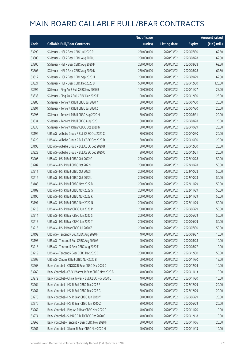|       |                                                    | No. of issue |                     |               | <b>Amount raised</b> |
|-------|----------------------------------------------------|--------------|---------------------|---------------|----------------------|
| Code  | <b>Callable Bull/Bear Contracts</b>                | (units)      | <b>Listing date</b> | <b>Expiry</b> | (HK\$ mil.)          |
| 53299 | SG Issuer - HSI R Bear CBBC Jul 2020 R             | 250,000,000  | 2020/03/02          | 2020/07/30    | 62.50                |
| 53309 | SG Issuer - HSI R Bear CBBC Aug 2020 J             | 250,000,000  | 2020/03/02          | 2020/08/28    | 62.50                |
| 53300 | SG Issuer - HSI R Bear CBBC Aug 2020 M             | 250,000,000  | 2020/03/02          | 2020/08/28    | 62.50                |
| 53303 | SG Issuer - HSI R Bear CBBC Aug 2020 N             | 250,000,000  | 2020/03/02          | 2020/08/28    | 62.50                |
| 53312 | SG Issuer - HSI R Bear CBBC Sep 2020 H             | 250,000,000  | 2020/03/02          | 2020/09/29    | 62.50                |
| 53321 | SG Issuer - HSI R Bear CBBC Dec 2020 B             | 500,000,000  | 2020/03/02          | 2020/12/30    | 125.00               |
| 53294 | SG Issuer - Ping An R Bull CBBC Nov 2020 B         | 100,000,000  | 2020/03/02          | 2020/11/27    | 25.00                |
| 53333 | SG Issuer - Ping An R Bull CBBC Dec 2020 E         | 100,000,000  | 2020/03/02          | 2020/12/30    | 25.00                |
| 53286 | SG Issuer - Tencent R Bull CBBC Jul 2020 Y         | 80,000,000   | 2020/03/02          | 2020/07/30    | 20.00                |
| 53291 | SG Issuer - Tencent R Bull CBBC Jul 2020 Z         | 80,000,000   | 2020/03/02          | 2020/07/30    | 20.00                |
| 53296 | SG Issuer - Tencent R Bull CBBC Aug 2020 H         | 80,000,000   | 2020/03/02          | 2020/08/31    | 20.00                |
| 53334 | SG Issuer - Tencent R Bull CBBC Aug 2020 I         | 80,000,000   | 2020/03/02          | 2020/08/28    | 20.00                |
| 53335 | SG Issuer - Tencent R Bear CBBC Oct 2020 N         | 80,000,000   | 2020/03/02          | 2020/10/29    | 20.00                |
| 53196 | UBS AG - Alibaba Group R Bull CBBC Oct 2020 C      | 80,000,000   | 2020/03/02          | 2020/10/30    | 20.00                |
| 53220 | UBS AG - Alibaba Group R Bull CBBC Oct 2020 D      | 80,000,000   | 2020/03/02          | 2020/10/30    | 20.00                |
| 53198 | UBS AG - Alibaba Group R Bull CBBC Dec 2020 B      | 80,000,000   | 2020/03/02          | 2020/12/30    | 20.00                |
| 53222 | UBS AG - Alibaba Group R Bull CBBC Dec 2020 C      | 80,000,000   | 2020/03/02          | 2020/12/21    | 20.00                |
| 53206 | UBS AG - HSI R Bull CBBC Oct 2022 G                | 200,000,000  | 2020/03/02          | 2022/10/28    | 50.00                |
| 53207 | UBS AG - HSI R Bull CBBC Oct 2022 H                | 200,000,000  | 2020/03/02          | 2022/10/28    | 50.00                |
| 53211 | UBS AG - HSI R Bull CBBC Oct 2022 I                | 200,000,000  | 2020/03/02          | 2022/10/28    | 50.00                |
| 53212 | UBS AG - HSI R Bull CBBC Oct 2022 L                | 200,000,000  | 2020/03/02          | 2022/10/28    | 50.00                |
| 53188 | UBS AG - HSI R Bull CBBC Nov 2022 B                | 200,000,000  | 2020/03/02          | 2022/11/29    | 50.00                |
| 53189 | UBS AG - HSI R Bull CBBC Nov 2022 G                | 200,000,000  | 2020/03/02          | 2022/11/29    | 50.00                |
| 53190 | UBS AG - HSI R Bull CBBC Nov 2022 K                | 200,000,000  | 2020/03/02          | 2022/11/29    | 50.00                |
| 53191 | UBS AG - HSI R Bull CBBC Nov 2022 N                | 200,000,000  | 2020/03/02          | 2022/11/29    | 50.00                |
| 53213 | UBS AG - HSI R Bear CBBC Jun 2020 R                | 200,000,000  | 2020/03/02          | 2020/06/29    | 50.00                |
| 53214 | UBS AG - HSI R Bear CBBC Jun 2020 S                | 200,000,000  | 2020/03/02          | 2020/06/29    | 50.00                |
| 53215 | UBS AG - HSI R Bear CBBC Jun 2020 T                | 200,000,000  | 2020/03/02          | 2020/06/29    | 50.00                |
| 53216 | UBS AG - HSI R Bear CBBC Jul 2020 Z                | 200,000,000  | 2020/03/02          | 2020/07/30    | 50.00                |
| 53192 | UBS AG - Tencent R Bull CBBC Aug 2020 F            | 40,000,000   | 2020/03/02          | 2020/08/27    | 10.00                |
| 53193 | UBS AG - Tencent R Bull CBBC Aug 2020 G            | 40,000,000   | 2020/03/02          | 2020/08/28    | 10.00                |
| 53218 | UBS AG - Tencent R Bear CBBC Aug 2020 E            | 40,000,000   | 2020/03/02          | 2020/08/27    | 10.00                |
| 53219 | UBS AG - Tencent R Bear CBBC Dec 2020 C            | 200,000,000  | 2020/03/02          | 2020/12/30    | 50.00                |
| 53205 | UBS AG - Xiaomi R Bull CBBC Nov 2020 B             | 60,000,000   | 2020/03/02          | 2020/11/30    | 15.00                |
| 53268 | Bank Vontobel - CNOOC R Bear CBBC Dec 2020 D       | 40,000,000   | 2020/03/02          | 2020/12/04    | 10.00                |
| 53269 | Bank Vontobel - CSPC Pharma R Bear CBBC Nov 2020 B | 40,000,000   | 2020/03/02          | 2020/11/13    | 10.00                |
| 53272 | Bank Vontobel - China Tower R Bull CBBC Nov 2020 C | 40,000,000   | 2020/03/02          | 2020/11/20    | 10.00                |
| 53264 | Bank Vontobel - HSI R Bull CBBC Dec 2022 F         | 80,000,000   | 2020/03/02          | 2022/12/29    | 20.00                |
| 53267 | Bank Vontobel - HSI R Bull CBBC Dec 2022 G         | 80,000,000   | 2020/03/02          | 2022/12/29    | 20.00                |
| 53275 | Bank Vontobel - HSI R Bear CBBC Jun 2020 Y         | 80,000,000   | 2020/03/02          | 2020/06/29    | 20.00                |
| 53276 | Bank Vontobel - HSI R Bear CBBC Jun 2020 Z         | 80,000,000   | 2020/03/02          | 2020/06/29    | 20.00                |
| 53262 | Bank Vontobel - Ping An R Bear CBBC Nov 2020 C     | 40,000,000   | 2020/03/02          | 2020/11/20    | 10.00                |
| 53274 | Bank Vontobel - SUNAC R Bull CBBC Dec 2020 C       | 40,000,000   | 2020/03/02          | 2020/12/18    | 10.00                |
| 53263 | Bank Vontobel - Tencent R Bear CBBC Nov 2020 H     | 80,000,000   | 2020/03/02          | 2020/11/06    | 20.00                |
| 53261 | Bank Vontobel - Xiaomi R Bear CBBC Nov 2020 H      | 40,000,000   | 2020/03/02          | 2020/11/13    | 10.00                |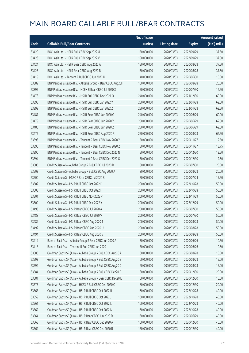|       |                                                              | No. of issue |                     |               | <b>Amount raised</b> |
|-------|--------------------------------------------------------------|--------------|---------------------|---------------|----------------------|
| Code  | <b>Callable Bull/Bear Contracts</b>                          | (units)      | <b>Listing date</b> | <b>Expiry</b> | (HK\$ mil.)          |
| 53420 | BOCI Asia Ltd. - HSI R Bull CBBC Sep 2022 U                  | 150,000,000  | 2020/03/03          | 2022/09/29    | 37.50                |
| 53423 | BOCI Asia Ltd. - HSI R Bull CBBC Sep 2022 V                  | 150,000,000  | 2020/03/03          | 2022/09/29    | 37.50                |
| 53424 | BOCI Asia Ltd. - HSI R Bear CBBC Aug 2020 A                  | 150,000,000  | 2020/03/03          | 2020/08/28    | 37.50                |
| 53425 | BOCI Asia Ltd. - HSI R Bear CBBC Aug 2020 B                  | 150,000,000  | 2020/03/03          | 2020/08/28    | 37.50                |
| 53419 | BOCI Asia Ltd. - Tencent R Bull CBBC Jun 2020 U              | 40,000,000   | 2020/03/03          | 2020/06/30    | 10.00                |
| 53389 | BNP Paribas Issuance B.V. - Alibaba Group R Bear CBBC Aug20H | 100,000,000  | 2020/03/03          | 2020/08/28    | 25.00                |
| 53397 | BNP Paribas Issuance B.V. - HKEX R Bear CBBC Jul 2020 X      | 50,000,000   | 2020/03/03          | 2020/07/30    | 12.50                |
| 53478 | BNP Paribas Issuance B.V. - HSI R Bull CBBC Dec 2021 O       | 240,000,000  | 2020/03/03          | 2021/12/30    | 60.00                |
| 53398 | BNP Paribas Issuance B.V. - HSI R Bull CBBC Jan 2022 Y       | 250,000,000  | 2020/03/03          | 2022/01/28    | 62.50                |
| 53399 | BNP Paribas Issuance B.V. - HSI R Bull CBBC Jan 2022 Z       | 250,000,000  | 2020/03/03          | 2022/01/28    | 62.50                |
| 53487 | BNP Paribas Issuance B.V. - HSI R Bear CBBC Jun 2020 G       | 240,000,000  | 2020/03/03          | 2020/06/29    | 60.00                |
| 53479 | BNP Paribas Issuance B.V. - HSI R Bear CBBC Jun 2020 Y       | 250,000,000  | 2020/03/03          | 2020/06/29    | 62.50                |
| 53486 | BNP Paribas Issuance B.V. - HSI R Bear CBBC Jun 2020 Z       | 250,000,000  | 2020/03/03          | 2020/06/29    | 62.50                |
| 53477 | BNP Paribas Issuance B.V. - HSI R Bear CBBC Aug 2020 R       | 250,000,000  | 2020/03/03          | 2020/08/28    | 62.50                |
| 53393 | BNP Paribas Issuance B.V. - Tencent R Bear CBBC Nov 2020 Y   | 50,000,000   | 2020/03/03          | 2020/11/27    | 12.50                |
| 53396 | BNP Paribas Issuance B.V. - Tencent R Bear CBBC Nov 2020 Z   | 50,000,000   | 2020/03/03          | 2020/11/27    | 13.75                |
| 53390 | BNP Paribas Issuance B.V. - Tencent R Bear CBBC Dec 2020 N   | 50,000,000   | 2020/03/03          | 2020/12/30    | 12.50                |
| 53394 | BNP Paribas Issuance B.V. - Tencent R Bear CBBC Dec 2020 O   | 50,000,000   | 2020/03/03          | 2020/12/30    | 12.50                |
| 53506 | Credit Suisse AG - Alibaba Group R Bull CBBC Jul 2020 D      | 80,000,000   | 2020/03/03          | 2020/07/30    | 20.00                |
| 53503 | Credit Suisse AG - Alibaba Group R Bull CBBC Aug 2020 A      | 80,000,000   | 2020/03/03          | 2020/08/28    | 20.00                |
| 53500 | Credit Suisse AG - HSBC R Bear CBBC Jul 2020 B               | 70,000,000   | 2020/03/03          | 2020/07/24    | 17.50                |
| 53502 | Credit Suisse AG - HSI R Bull CBBC Oct 2022 D                | 200,000,000  | 2020/03/03          | 2022/10/28    | 50.00                |
| 53508 | Credit Suisse AG - HSI R Bull CBBC Oct 2022 H                | 200,000,000  | 2020/03/03          | 2022/10/28    | 50.00                |
| 53501 | Credit Suisse AG - HSI R Bull CBBC Nov 2022 P                | 200,000,000  | 2020/03/03          | 2022/11/29    | 50.00                |
| 53509 | Credit Suisse AG - HSI R Bull CBBC Dec 2022 Y                | 200,000,000  | 2020/03/03          | 2022/12/29    | 50.00                |
| 53493 | Credit Suisse AG - HSI R Bear CBBC Jul 2020 A                | 200,000,000  | 2020/03/03          | 2020/07/30    | 50.00                |
| 53488 | Credit Suisse AG - HSI R Bear CBBC Jul 2020 V                | 200,000,000  | 2020/03/03          | 2020/07/30    | 50.00                |
| 53489 | Credit Suisse AG - HSI R Bear CBBC Aug 2020 T                | 200,000,000  | 2020/03/03          | 2020/08/28    | 50.00                |
| 53492 | Credit Suisse AG - HSI R Bear CBBC Aug 2020 U                | 200,000,000  | 2020/03/03          | 2020/08/28    | 50.00                |
| 53494 | Credit Suisse AG - HSI R Bear CBBC Aug 2020 V                | 200,000,000  | 2020/03/03          | 2020/08/28    | 50.00                |
| 53414 | Bank of East Asia - Alibaba Group R Bear CBBC Jun 2020 A     | 30,000,000   | 2020/03/03          | 2020/06/26    | 10.50                |
| 53418 | Bank of East Asia - Tencent R Bull CBBC Jun 2020 I           | 30,000,000   | 2020/03/03          | 2020/06/26    | 10.50                |
| 53586 | Goldman Sachs SP (Asia) - Alibaba Group R Bull CBBC Aug20 A  | 60,000,000   | 2020/03/03          | 2020/08/28    | 15.00                |
| 53593 | Goldman Sachs SP (Asia) - Alibaba Group R Bull CBBC Aug20 B  | 60,000,000   | 2020/03/03          | 2020/08/28    | 15.00                |
| 53594 | Goldman Sachs SP (Asia) - Alibaba Group R Bull CBBC Aug20 C  | 60,000,000   | 2020/03/03          | 2020/08/28    | 15.00                |
| 53584 | Goldman Sachs SP (Asia) - Alibaba Group R Bull CBBC Dec20 F  | 80,000,000   | 2020/03/03          | 2020/12/30    | 20.00                |
| 53581 | Goldman Sachs SP (Asia) - Alibaba Group R Bear CBBC Dec20 E  | 60,000,000   | 2020/03/03          | 2020/12/30    | 15.00                |
| 53573 | Goldman Sachs SP (Asia) - HKEX R Bull CBBC Dec 2020 C        | 80,000,000   | 2020/03/03          | 2020/12/30    | 20.00                |
| 53563 | Goldman Sachs SP (Asia) - HSI R Bull CBBC Oct 2022 B         | 160,000,000  | 2020/03/03          | 2022/10/28    | 40.00                |
| 53559 | Goldman Sachs SP (Asia) - HSI R Bull CBBC Oct 2022 J         | 160,000,000  | 2020/03/03          | 2022/10/28    | 40.00                |
| 53561 | Goldman Sachs SP (Asia) - HSI R Bull CBBC Oct 2022 L         | 160,000,000  | 2020/03/03          | 2022/10/28    | 40.00                |
| 53562 | Goldman Sachs SP (Asia) - HSI R Bull CBBC Oct 2022 N         | 160,000,000  | 2020/03/03          | 2022/10/28    | 40.00                |
| 53564 | Goldman Sachs SP (Asia) - HSI R Bear CBBC Jun 2020 D         | 160,000,000  | 2020/03/03          | 2020/06/29    | 40.00                |
| 53568 | Goldman Sachs SP (Asia) - HSI R Bear CBBC Dec 2020 A         | 160,000,000  | 2020/03/03          | 2020/12/30    | 40.00                |
| 53569 | Goldman Sachs SP (Asia) - HSI R Bear CBBC Dec 2020 B         | 160,000,000  | 2020/03/03          | 2020/12/30    | 40.00                |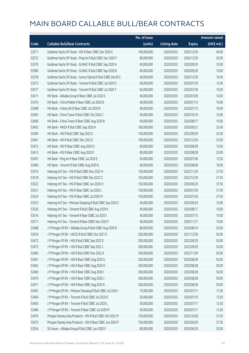|       |                                                             | No. of issue |                     |               | <b>Amount raised</b> |
|-------|-------------------------------------------------------------|--------------|---------------------|---------------|----------------------|
| Code  | <b>Callable Bull/Bear Contracts</b>                         | (units)      | <b>Listing date</b> | <b>Expiry</b> | (HK\$ mil.)          |
| 53571 | Goldman Sachs SP (Asia) - HSI R Bear CBBC Dec 2020 C        | 160,000,000  | 2020/03/03          | 2020/12/30    | 40.00                |
| 53572 | Goldman Sachs SP (Asia) - Ping An R Bull CBBC Dec 2020 F    | 80,000,000   | 2020/03/03          | 2020/12/30    | 20.00                |
| 53579 | Goldman Sachs SP (Asia) - SUNAC R Bull CBBC Sep 2020 A      | 40,000,000   | 2020/03/03          | 2020/09/30    | 10.00                |
| 53580 | Goldman Sachs SP (Asia) - SUNAC R Bull CBBC Sep 2020 B      | 40,000,000   | 2020/03/03          | 2020/09/30    | 10.00                |
| 53578 | Goldman Sachs SP (Asia) - Sunny Optical R Bull CBBC Dec20 C | 40,000,000   | 2020/03/03          | 2020/12/30    | 10.00                |
| 53575 | Goldman Sachs SP (Asia) - Tencent R Bull CBBC Jul 2020 S    | 60,000,000   | 2020/03/03          | 2020/07/30    | 15.00                |
| 53577 | Goldman Sachs SP (Asia) - Tencent R Bull CBBC Jul 2020 T    | 60,000,000   | 2020/03/03          | 2020/07/30    | 15.00                |
| 53411 | HK Bank - Alibaba Group R Bear CBBC Jul 2020 E              | 40,000,000   | 2020/03/03          | 2020/07/09    | 10.00                |
| 53410 | HK Bank - China Mobile R Bear CBBC Jul 2020 B               | 40,000,000   | 2020/03/03          | 2020/07/13    | 10.00                |
| 53408 | HK Bank - China Life R Bear CBBC Jul 2020 B                 | 40,000,000   | 2020/03/03          | 2020/07/13    | 10.00                |
| 53405 | HK Bank - China Tower R Bull CBBC Oct 2020 C                | 40,000,000   | 2020/03/03          | 2020/10/19    | 10.00                |
| 53406 | HK Bank - China Tower R Bear CBBC Aug 2020 B                | 40,000,000   | 2020/03/03          | 2020/08/17    | 10.00                |
| 53402 | HK Bank - HKEX R Bull CBBC Sep 2020 A                       | 100,000,000  | 2020/03/03          | 2020/09/21    | 25.00                |
| 53400 | HK Bank - HSI R Bull CBBC Sep 2022 E                        | 100,000,000  | 2020/03/03          | 2022/09/29    | 25.00                |
| 53401 | HK Bank - HSI R Bull CBBC Dec 2022 E                        | 100,000,000  | 2020/03/03          | 2022/12/29    | 25.00                |
| 53412 | HK Bank - HSI R Bear CBBC Aug 2020 D                        | 60,000,000   | 2020/03/03          | 2020/08/28    | 15.00                |
| 53413 | HK Bank - HSI R Bear CBBC Aug 2020 E                        | 80,000,000   | 2020/03/03          | 2020/08/28    | 20.00                |
| 53407 | HK Bank - Ping An R Bear CBBC Jul 2020 E                    | 50,000,000   | 2020/03/03          | 2020/07/06    | 12.50                |
| 53409 | HK Bank - Tencent R Bull CBBC Aug 2020 K                    | 40,000,000   | 2020/03/03          | 2020/08/06    | 10.00                |
| 53510 | Haitong Int'l Sec - HSI R Bull CBBC Nov 2022 H              | 150,000,000  | 2020/03/03          | 2022/11/29    | 37.50                |
| 53518 | Haitong Int'l Sec - HSI R Bull CBBC Dec 2022 Z              | 150,000,000  | 2020/03/03          | 2022/12/29    | 37.50                |
| 53522 | Haitong Int'l Sec - HSI R Bear CBBC Jun 2020 H              | 150,000,000  | 2020/03/03          | 2020/06/29    | 37.50                |
| 53521 | Haitong Int'l Sec - HSI R Bear CBBC Jul 2020 L              | 150,000,000  | 2020/03/03          | 2020/07/30    | 37.50                |
| 53524 | Haitong Int'l Sec - HSI R Bear CBBC Jul 2020 M              | 150,000,000  | 2020/03/03          | 2020/07/30    | 37.50                |
| 53533 | Haitong Int'l Sec - Meituan Dianping R Bull CBBC Sep 2020 C | 40,000,000   | 2020/03/03          | 2020/09/24    | 10.00                |
| 53526 | Haitong Int'l Sec - Tencent R Bull CBBC Aug 2020 K          | 40,000,000   | 2020/03/03          | 2020/08/17    | 10.00                |
| 53516 | Haitong Int'l Sec - Tencent R Bear CBBC Jul 2020 I          | 40,000,000   | 2020/03/03          | 2020/07/15    | 10.00                |
| 53511 | Haitong Int'l Sec - Tencent R Bear CBBC Nov 2020 F          | 40,000,000   | 2020/03/03          | 2020/11/17    | 10.00                |
| 53468 | J P Morgan SP BV - Alibaba Group R Bull CBBC Aug 2020 B     | 80,000,000   | 2020/03/03          | 2020/08/14    | 20.00                |
| 53474 | J P Morgan SP BV - HSCEI R Bull CBBC Dec 2021 E             | 200,000,000  | 2020/03/03          | 2021/12/30    | 50.00                |
| 53472 | J P Morgan SP BV - HSI R Bull CBBC Sep 2022 E               | 200,000,000  | 2020/03/03          | 2022/09/29    | 50.00                |
| 53473 | J P Morgan SP BV - HSI R Bull CBBC Sep 2022 J               | 200,000,000  | 2020/03/03          | 2022/09/29    | 50.00                |
| 53460 | J P Morgan SP BV - HSI R Bull CBBC Nov 2022 A               | 200,000,000  | 2020/03/03          | 2022/11/29    | 50.00                |
| 53461 | J P Morgan SP BV - HSI R Bear CBBC Aug 2020 G               | 200,000,000  | 2020/03/03          | 2020/08/28    | 50.00                |
| 53462 | J P Morgan SP BV - HSI R Bear CBBC Aug 2020 H               | 200,000,000  | 2020/03/03          | 2020/08/28    | 50.00                |
| 53469 | J P Morgan SP BV - HSI R Bear CBBC Aug 2020 I               | 200,000,000  | 2020/03/03          | 2020/08/28    | 50.00                |
| 53470 | J P Morgan SP BV - HSI R Bear CBBC Aug 2020 J               | 200,000,000  | 2020/03/03          | 2020/08/28    | 50.00                |
| 53471 | J P Morgan SP BV - HSI R Bear CBBC Aug 2020 K               | 200,000,000  | 2020/03/03          | 2020/08/28    | 50.00                |
| 53467 | J P Morgan SP BV - Meituan Dianping R Bull CBBC Jul 2020 I  | 70,000,000   | 2020/03/03          | 2020/07/17    | 17.50                |
| 53464 | J P Morgan SP BV - Tencent R Bull CBBC Jul 2020 K           | 50,000,000   | 2020/03/03          | 2020/07/10    | 12.50                |
| 53465 | J P Morgan SP BV - Tencent R Bull CBBC Jul 2020 L           | 50,000,000   | 2020/03/03          | 2020/07/17    | 12.50                |
| 53466 | J P Morgan SP BV - Tencent R Bear CBBC Jul 2020 M           | 50,000,000   | 2020/03/03          | 2020/07/17    | 12.50                |
| 53476 | Morgan Stanley Asia Products - HSI R Bull CBBC Oct 2022 M   | 150,000,000  | 2020/03/03          | 2022/10/28    | 37.50                |
| 53475 | Morgan Stanley Asia Products - HSI R Bear CBBC Jun 2020 P   | 150,000,000  | 2020/03/03          | 2020/06/29    | 37.50                |
| 53534 | SG Issuer - Alibaba Group R Bull CBBC Jun 2020 F            | 80,000,000   | 2020/03/03          | 2020/06/29    | 20.00                |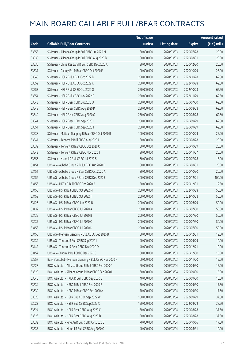|       |                                                         | No. of issue |                     |               | <b>Amount raised</b> |
|-------|---------------------------------------------------------|--------------|---------------------|---------------|----------------------|
| Code  | <b>Callable Bull/Bear Contracts</b>                     | (units)      | <b>Listing date</b> | <b>Expiry</b> | (HK\$ mil.)          |
| 53555 | SG Issuer - Alibaba Group R Bull CBBC Jul 2020 M        | 80,000,000   | 2020/03/03          | 2020/07/28    | 20.00                |
| 53535 | SG Issuer - Alibaba Group R Bull CBBC Aug 2020 B        | 80,000,000   | 2020/03/03          | 2020/08/31    | 20.00                |
| 53536 | SG Issuer - China Res Land R Bull CBBC Dec 2020 A       | 80,000,000   | 2020/03/03          | 2020/12/30    | 20.00                |
| 53537 | SG Issuer - Galaxy Ent R Bear CBBC Oct 2020 E           | 100,000,000  | 2020/03/03          | 2020/10/29    | 25.00                |
| 53540 | SG Issuer - HSI R Bull CBBC Oct 2022 B                  | 250,000,000  | 2020/03/03          | 2022/10/28    | 62.50                |
| 53552 | SG Issuer - HSI R Bull CBBC Oct 2022 K                  | 250,000,000  | 2020/03/03          | 2022/10/28    | 62.50                |
| 53553 | SG Issuer - HSI R Bull CBBC Oct 2022 Q                  | 250,000,000  | 2020/03/03          | 2022/10/28    | 62.50                |
| 53554 | SG Issuer - HSI R Bull CBBC Nov 2022 F                  | 250,000,000  | 2020/03/03          | 2022/11/29    | 62.50                |
| 53543 | SG Issuer - HSI R Bear CBBC Jul 2020 U                  | 250,000,000  | 2020/03/03          | 2020/07/30    | 62.50                |
| 53548 | SG Issuer - HSI R Bear CBBC Aug 2020 P                  | 250,000,000  | 2020/03/03          | 2020/08/28    | 62.50                |
| 53549 | SG Issuer - HSI R Bear CBBC Aug 2020 Q                  | 250,000,000  | 2020/03/03          | 2020/08/28    | 62.50                |
| 53544 | SG Issuer - HSI R Bear CBBC Sep 2020 I                  | 250,000,000  | 2020/03/03          | 2020/09/29    | 62.50                |
| 53551 | SG Issuer - HSI R Bear CBBC Sep 2020 J                  | 250,000,000  | 2020/03/03          | 2020/09/29    | 62.50                |
| 53538 | SG Issuer - Meituan Dianping R Bear CBBC Oct 2020 B     | 100,000,000  | 2020/03/03          | 2020/10/29    | 25.00                |
| 53541 | SG Issuer - Tencent R Bull CBBC Aug 2020 J              | 80,000,000   | 2020/03/03          | 2020/08/28    | 20.00                |
| 53539 | SG Issuer - Tencent R Bear CBBC Oct 2020 O              | 80,000,000   | 2020/03/03          | 2020/10/29    | 20.00                |
| 53542 | SG Issuer - Tencent R Bear CBBC Nov 2020 T              | 80,000,000   | 2020/03/03          | 2020/11/27    | 20.00                |
| 53556 | SG Issuer - Xiaomi R Bull CBBC Jul 2020 S               | 60,000,000   | 2020/03/03          | 2020/07/28    | 15.00                |
| 53454 | UBS AG - Alibaba Group R Bull CBBC Aug 2020 B           | 80,000,000   | 2020/03/03          | 2020/08/31    | 20.00                |
| 53451 | UBS AG - Alibaba Group R Bear CBBC Oct 2020 A           | 80,000,000   | 2020/03/03          | 2020/10/30    | 20.00                |
| 53452 | UBS AG - Alibaba Group R Bear CBBC Dec 2020 E           | 400,000,000  | 2020/03/03          | 2020/12/21    | 100.00               |
| 53456 | UBS AG - HKEX R Bull CBBC Dec 2020 B                    | 50,000,000   | 2020/03/03          | 2020/12/31    | 12.50                |
| 53458 | UBS AG - HSI R Bull CBBC Oct 2022 M                     | 200,000,000  | 2020/03/03          | 2022/10/28    | 50.00                |
| 53459 | UBS AG - HSI R Bull CBBC Oct 2022 T                     | 200,000,000  | 2020/03/03          | 2022/10/28    | 50.00                |
| 53426 | UBS AG - HSI R Bear CBBC Jun 2020 U                     | 200,000,000  | 2020/03/03          | 2020/06/29    | 50.00                |
| 53432 | UBS AG - HSI R Bear CBBC Jul 2020 A                     | 200,000,000  | 2020/03/03          | 2020/07/30    | 50.00                |
| 53435 | UBS AG - HSI R Bear CBBC Jul 2020 B                     | 200,000,000  | 2020/03/03          | 2020/07/30    | 50.00                |
| 53437 | UBS AG - HSI R Bear CBBC Jul 2020 C                     | 200,000,000  | 2020/03/03          | 2020/07/30    | 50.00                |
| 53453 | UBS AG - HSI R Bear CBBC Jul 2020 D                     | 200,000,000  | 2020/03/03          | 2020/07/30    | 50.00                |
| 53455 | UBS AG - Meituan Dianping R Bull CBBC Dec 2020 B        | 50,000,000   | 2020/03/03          | 2020/12/31    | 12.50                |
| 53439 | UBS AG - Tencent R Bull CBBC Sep 2020 I                 | 40,000,000   | 2020/03/03          | 2020/09/29    | 10.00                |
| 53442 | UBS AG - Tencent R Bear CBBC Dec 2020 D                 | 40,000,000   | 2020/03/03          | 2020/12/21    | 10.00                |
| 53457 | UBS AG - Xiaomi R Bull CBBC Dec 2020 C                  | 60,000,000   | 2020/03/03          | 2020/12/30    | 15.00                |
| 53557 | Bank Vontobel - Meituan Dianping R Bull CBBC Nov 2020 K | 60,000,000   | 2020/03/03          | 2020/11/20    | 15.00                |
| 53628 | BOCI Asia Ltd. - Alibaba Group R Bull CBBC Sep 2020 C   | 60,000,000   | 2020/03/04          | 2020/09/30    | 15.00                |
| 53629 | BOCI Asia Ltd. - Alibaba Group R Bear CBBC Sep 2020 D   | 60,000,000   | 2020/03/04          | 2020/09/30    | 15.00                |
| 53640 | BOCI Asia Ltd. - HKEX R Bull CBBC Sep 2020 B            | 40,000,000   | 2020/03/04          | 2020/09/30    | 10.00                |
| 53634 | BOCI Asia Ltd. - HSBC R Bull CBBC Sep 2020 B            | 70,000,000   | 2020/03/04          | 2020/09/30    | 17.50                |
| 53639 | BOCI Asia Ltd. - HSBC R Bear CBBC Sep 2020 A            | 70,000,000   | 2020/03/04          | 2020/09/30    | 17.50                |
| 53620 | BOCI Asia Ltd. - HSI R Bull CBBC Sep 2022 W             | 150,000,000  | 2020/03/04          | 2022/09/29    | 37.50                |
| 53623 | BOCI Asia Ltd. - HSI R Bull CBBC Sep 2022 X             | 150,000,000  | 2020/03/04          | 2022/09/29    | 37.50                |
| 53624 | BOCI Asia Ltd. - HSI R Bear CBBC Aug 2020 C             | 150,000,000  | 2020/03/04          | 2020/08/28    | 37.50                |
| 53626 | BOCI Asia Ltd. - HSI R Bear CBBC Aug 2020 D             | 150,000,000  | 2020/03/04          | 2020/08/28    | 37.50                |
| 53632 | BOCI Asia Ltd. - Ping An R Bull CBBC Oct 2020 B         | 70,000,000   | 2020/03/04          | 2020/10/06    | 17.50                |
| 53633 | BOCI Asia Ltd. - Xiaomi R Bull CBBC Aug 2020 C          | 40,000,000   | 2020/03/04          | 2020/08/31    | 10.00                |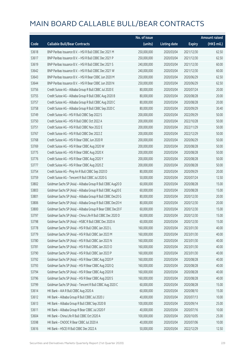|       |                                                             | No. of issue |                     |               | <b>Amount raised</b> |
|-------|-------------------------------------------------------------|--------------|---------------------|---------------|----------------------|
| Code  | <b>Callable Bull/Bear Contracts</b>                         | (units)      | <b>Listing date</b> | <b>Expiry</b> | (HK\$ mil.)          |
| 53618 | BNP Paribas Issuance B.V. - HSI R Bull CBBC Dec 2021 M      | 250,000,000  | 2020/03/04          | 2021/12/30    | 62.50                |
| 53617 | BNP Paribas Issuance B.V. - HSI R Bull CBBC Dec 2021 P      | 250,000,000  | 2020/03/04          | 2021/12/30    | 62.50                |
| 53619 | BNP Paribas Issuance B.V. - HSI R Bull CBBC Dec 2021 S      | 240,000,000  | 2020/03/04          | 2021/12/30    | 60.00                |
| 53642 | BNP Paribas Issuance B.V. - HSI R Bull CBBC Dec 2021 W      | 240,000,000  | 2020/03/04          | 2021/12/30    | 60.00                |
| 53643 | BNP Paribas Issuance B.V. - HSI R Bear CBBC Jun 2020 M      | 250,000,000  | 2020/03/04          | 2020/06/29    | 62.50                |
| 53644 | BNP Paribas Issuance B.V. - HSI R Bear CBBC Jun 2020 N      | 250,000,000  | 2020/03/04          | 2020/06/29    | 62.50                |
| 53756 | Credit Suisse AG - Alibaba Group R Bull CBBC Jul 2020 E     | 80,000,000   | 2020/03/04          | 2020/07/24    | 20.00                |
| 53755 | Credit Suisse AG - Alibaba Group R Bull CBBC Aug 2020 B     | 80,000,000   | 2020/03/04          | 2020/08/28    | 20.00                |
| 53757 | Credit Suisse AG - Alibaba Group R Bull CBBC Aug 2020 C     | 80,000,000   | 2020/03/04          | 2020/08/28    | 20.00                |
| 53758 | Credit Suisse AG - Alibaba Group R Bull CBBC Sep 2020 C     | 80,000,000   | 2020/03/04          | 2020/09/29    | 30.40                |
| 53749 | Credit Suisse AG - HSI R Bull CBBC Sep 2022 S               | 200,000,000  | 2020/03/04          | 2022/09/29    | 50.00                |
| 53750 | Credit Suisse AG - HSI R Bull CBBC Oct 2022 A               | 200,000,000  | 2020/03/04          | 2022/10/28    | 50.00                |
| 53751 | Credit Suisse AG - HSI R Bull CBBC Nov 2022 E               | 200,000,000  | 2020/03/04          | 2022/11/29    | 50.00                |
| 53767 | Credit Suisse AG - HSI R Bull CBBC Dec 2022 Z               | 200,000,000  | 2020/03/04          | 2022/12/29    | 50.00                |
| 53768 | Credit Suisse AG - HSI R Bear CBBC Jun 2020 R               | 200,000,000  | 2020/03/04          | 2020/06/29    | 50.00                |
| 53769 | Credit Suisse AG - HSI R Bear CBBC Aug 2020 W               | 200,000,000  | 2020/03/04          | 2020/08/28    | 50.00                |
| 53775 | Credit Suisse AG - HSI R Bear CBBC Aug 2020 X               | 200,000,000  | 2020/03/04          | 2020/08/28    | 50.00                |
| 53776 | Credit Suisse AG - HSI R Bear CBBC Aug 2020 Y               | 200,000,000  | 2020/03/04          | 2020/08/28    | 50.00                |
| 53777 | Credit Suisse AG - HSI R Bear CBBC Aug 2020 Z               | 200,000,000  | 2020/03/04          | 2020/08/28    | 50.00                |
| 53754 | Credit Suisse AG - Ping An R Bull CBBC Sep 2020 D           | 80,000,000   | 2020/03/04          | 2020/09/29    | 20.00                |
| 53759 | Credit Suisse AG - Tencent R Bull CBBC Jul 2020 G           | 50,000,000   | 2020/03/04          | 2020/07/24    | 12.50                |
| 53802 | Goldman Sachs SP (Asia) - Alibaba Group R Bull CBBC Aug20 D | 60,000,000   | 2020/03/04          | 2020/08/28    | 15.00                |
| 53803 | Goldman Sachs SP (Asia) - Alibaba Group R Bull CBBC Aug20 E | 60,000,000   | 2020/03/04          | 2020/08/28    | 15.00                |
| 53801 | Goldman Sachs SP (Asia) - Alibaba Group R Bull CBBC Dec20 G | 80,000,000   | 2020/03/04          | 2020/12/30    | 20.00                |
| 53806 | Goldman Sachs SP (Asia) - Alibaba Group R Bull CBBC Dec20 H | 80,000,000   | 2020/03/04          | 2020/12/30    | 20.00                |
| 53800 | Goldman Sachs SP (Asia) - Alibaba Group R Bear CBBC Dec20 F | 60,000,000   | 2020/03/04          | 2020/12/30    | 15.00                |
| 53797 | Goldman Sachs SP (Asia) - China Life R Bull CBBC Dec 2020 D | 60,000,000   | 2020/03/04          | 2020/12/30    | 15.00                |
| 53798 | Goldman Sachs SP (Asia) - HSBC R Bull CBBC Dec 2020 A       | 60,000,000   | 2020/03/04          | 2020/12/30    | 15.00                |
| 53778 | Goldman Sachs SP (Asia) - HSI R Bull CBBC Jan 2023 L        | 160,000,000  | 2020/03/04          | 2023/01/30    | 40.00                |
| 53779 | Goldman Sachs SP (Asia) - HSI R Bull CBBC Jan 2023 M        | 160,000,000  | 2020/03/04          | 2023/01/30    | 40.00                |
| 53780 | Goldman Sachs SP (Asia) - HSI R Bull CBBC Jan 2023 N        | 160,000,000  | 2020/03/04          | 2023/01/30    | 40.00                |
| 53781 | Goldman Sachs SP (Asia) - HSI R Bull CBBC Jan 2023 O        | 160,000,000  | 2020/03/04          | 2023/01/30    | 40.00                |
| 53790 | Goldman Sachs SP (Asia) - HSI R Bull CBBC Jan 2023 P        | 160,000,000  | 2020/03/04          | 2023/01/30    | 40.00                |
| 53792 | Goldman Sachs SP (Asia) - HSI R Bear CBBC Aug 2020 P        | 160,000,000  | 2020/03/04          | 2020/08/28    | 40.00                |
| 53793 | Goldman Sachs SP (Asia) - HSI R Bear CBBC Aug 2020 Q        | 160,000,000  | 2020/03/04          | 2020/08/28    | 40.00                |
| 53794 | Goldman Sachs SP (Asia) - HSI R Bear CBBC Aug 2020 R        | 160,000,000  | 2020/03/04          | 2020/08/28    | 40.00                |
| 53796 | Goldman Sachs SP (Asia) - HSI R Bear CBBC Aug 2020 S        | 160,000,000  | 2020/03/04          | 2020/08/28    | 40.00                |
| 53799 | Goldman Sachs SP (Asia) - Tencent R Bull CBBC Aug 2020 C    | 60,000,000   | 2020/03/04          | 2020/08/28    | 15.00                |
| 53614 | HK Bank - AIA R Bull CBBC Aug 2020 A                        | 60,000,000   | 2020/03/04          | 2020/08/10    | 15.00                |
| 53612 | HK Bank - Alibaba Group R Bull CBBC Jul 2020 J              | 40,000,000   | 2020/03/04          | 2020/07/13    | 10.00                |
| 53613 | HK Bank - Alibaba Group R Bull CBBC Sep 2020 B              | 100,000,000  | 2020/03/04          | 2020/09/14    | 25.00                |
| 53611 | HK Bank - Alibaba Group R Bear CBBC Jul 2020 F              | 40,000,000   | 2020/03/04          | 2020/07/16    | 10.00                |
| 53604 | HK Bank - China Life R Bull CBBC Oct 2020 A                 | 100,000,000  | 2020/03/04          | 2020/10/05    | 25.00                |
| 53598 | HK Bank - CNOOC R Bear CBBC Jul 2020 A                      | 40,000,000   | 2020/03/04          | 2020/07/06    | 10.00                |
| 53616 | HK Bank - HSCEI R Bull CBBC Dec 2022 A                      | 50,000,000   | 2020/03/04          | 2022/12/29    | 12.50                |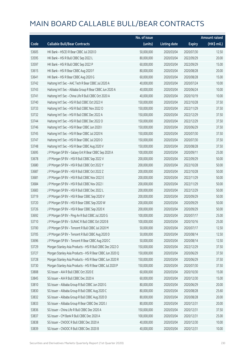|       |                                                           | No. of issue |                     |               | <b>Amount raised</b> |
|-------|-----------------------------------------------------------|--------------|---------------------|---------------|----------------------|
| Code  | <b>Callable Bull/Bear Contracts</b>                       | (units)      | <b>Listing date</b> | <b>Expiry</b> | (HK\$ mil.)          |
| 53605 | HK Bank - HSCEI R Bear CBBC Jul 2020 D                    | 50,000,000   | 2020/03/04          | 2020/07/30    | 12.50                |
| 53595 | HK Bank - HSI R Bull CBBC Sep 2022 L                      | 80,000,000   | 2020/03/04          | 2022/09/29    | 20.00                |
| 53597 | HK Bank - HSI R Bull CBBC Sep 2022 P                      | 60,000,000   | 2020/03/04          | 2022/09/29    | 15.00                |
| 53615 | HK Bank - HSI R Bear CBBC Aug 2020 F                      | 80,000,000   | 2020/03/04          | 2020/08/28    | 20.00                |
| 53641 | HK Bank - HSI R Bear CBBC Aug 2020 G                      | 60,000,000   | 2020/03/04          | 2020/08/28    | 15.00                |
| 53742 | Haitong Int'l Sec - AAC Tech R Bear CBBC Jul 2020 A       | 40,000,000   | 2020/03/04          | 2020/07/24    | 10.00                |
| 53743 | Haitong Int'l Sec - Alibaba Group R Bear CBBC Jun 2020 A  | 40,000,000   | 2020/03/04          | 2020/06/24    | 10.00                |
| 53741 | Haitong Int'l Sec - China Life R Bull CBBC Oct 2020 A     | 40,000,000   | 2020/03/04          | 2020/10/19    | 10.00                |
| 53740 | Haitong Int'l Sec - HSI R Bull CBBC Oct 2022 H            | 150,000,000  | 2020/03/04          | 2022/10/28    | 37.50                |
| 53733 | Haitong Int'l Sec - HSI R Bull CBBC Nov 2022 O            | 150,000,000  | 2020/03/04          | 2022/11/29    | 37.50                |
| 53732 | Haitong Int'l Sec - HSI R Bull CBBC Dec 2022 A            | 150,000,000  | 2020/03/04          | 2022/12/29    | 37.50                |
| 53744 | Haitong Int'l Sec - HSI R Bull CBBC Dec 2022 O            | 150,000,000  | 2020/03/04          | 2022/12/29    | 37.50                |
| 53746 | Haitong Int'l Sec - HSI R Bear CBBC Jun 2020 I            | 150,000,000  | 2020/03/04          | 2020/06/29    | 37.50                |
| 53745 | Haitong Int'l Sec - HSI R Bear CBBC Jul 2020 N            | 150,000,000  | 2020/03/04          | 2020/07/30    | 37.50                |
| 53747 | Haitong Int'l Sec - HSI R Bear CBBC Jul 2020 O            | 150,000,000  | 2020/03/04          | 2020/07/30    | 37.50                |
| 53748 | Haitong Int'l Sec - HSI R Bear CBBC Aug 2020 V            | 150,000,000  | 2020/03/04          | 2020/08/28    | 37.50                |
| 53695 | J P Morgan SP BV - Galaxy Ent R Bear CBBC Sep 2020 A      | 100,000,000  | 2020/03/04          | 2020/09/11    | 25.00                |
| 53678 | J P Morgan SP BV - HSI R Bull CBBC Sep 2022 V             | 200,000,000  | 2020/03/04          | 2022/09/29    | 50.00                |
| 53680 | J P Morgan SP BV - HSI R Bull CBBC Oct 2022 Y             | 200,000,000  | 2020/03/04          | 2022/10/28    | 50.00                |
| 53687 | J P Morgan SP BV - HSI R Bull CBBC Oct 2022 Z             | 200,000,000  | 2020/03/04          | 2022/10/28    | 50.00                |
| 53681 | J P Morgan SP BV - HSI R Bull CBBC Nov 2022 E             | 200,000,000  | 2020/03/04          | 2022/11/29    | 50.00                |
| 53684 | J P Morgan SP BV - HSI R Bull CBBC Nov 2022 I             | 200,000,000  | 2020/03/04          | 2022/11/29    | 50.00                |
| 53683 | J P Morgan SP BV - HSI R Bull CBBC Dec 2022 L             | 200,000,000  | 2020/03/04          | 2022/12/29    | 50.00                |
| 53719 | J P Morgan SP BV - HSI R Bear CBBC Sep 2020 V             | 200,000,000  | 2020/03/04          | 2020/09/29    | 50.00                |
| 53720 | J P Morgan SP BV - HSI R Bear CBBC Sep 2020 W             | 200,000,000  | 2020/03/04          | 2020/09/29    | 50.00                |
| 53726 | J P Morgan SP BV - HSI R Bear CBBC Sep 2020 X             | 200,000,000  | 2020/03/04          | 2020/09/29    | 50.00                |
| 53692 | J P Morgan SP BV - Ping An R Bull CBBC Jul 2020 G         | 100,000,000  | 2020/03/04          | 2020/07/17    | 25.00                |
| 53710 | J P Morgan SP BV - SUNAC R Bull CBBC Oct 2020 B           | 100,000,000  | 2020/03/04          | 2020/10/16    | 25.00                |
| 53700 | J P Morgan SP BV - Tencent R Bull CBBC Jul 2020 M         | 50,000,000   | 2020/03/04          | 2020/07/17    | 12.50                |
| 53705 | J P Morgan SP BV - Tencent R Bull CBBC Aug 2020 D         | 50,000,000   | 2020/03/04          | 2020/08/14    | 12.50                |
| 53696 | J P Morgan SP BV - Tencent R Bear CBBC Aug 2020 C         | 50,000,000   | 2020/03/04          | 2020/08/14    | 12.50                |
| 53729 | Morgan Stanley Asia Products - HSI R Bull CBBC Dec 2022 O | 150,000,000  | 2020/03/04          | 2022/12/29    | 37.50                |
| 53727 | Morgan Stanley Asia Products - HSI R Bear CBBC Jun 2020 Q | 150,000,000  | 2020/03/04          | 2020/06/29    | 37.50                |
| 53728 | Morgan Stanley Asia Products - HSI R Bear CBBC Jun 2020 R | 150,000,000  | 2020/03/04          | 2020/06/29    | 37.50                |
| 53730 | Morgan Stanley Asia Products - HSI R Bear CBBC Jul 2020 P | 150,000,000  | 2020/03/04          | 2020/07/30    | 37.50                |
| 53808 | SG Issuer - AIA R Bull CBBC Oct 2020 E                    | 60,000,000   | 2020/03/04          | 2020/10/30    | 15.00                |
| 53845 | SG Issuer - AIA R Bull CBBC Dec 2020 A                    | 60,000,000   | 2020/03/04          | 2020/12/30    | 15.00                |
| 53810 | SG Issuer - Alibaba Group R Bull CBBC Jun 2020 G          | 80,000,000   | 2020/03/04          | 2020/06/29    | 20.00                |
| 53830 | SG Issuer - Alibaba Group R Bull CBBC Aug 2020 C          | 80,000,000   | 2020/03/04          | 2020/08/28    | 25.60                |
| 53832 | SG Issuer - Alibaba Group R Bull CBBC Aug 2020 D          | 80,000,000   | 2020/03/04          | 2020/08/28    | 20.00                |
| 53833 | SG Issuer - Alibaba Group R Bear CBBC Dec 2020 J          | 80,000,000   | 2020/03/04          | 2020/12/31    | 20.00                |
| 53836 | SG Issuer - China Life R Bull CBBC Dec 2020 A             | 150,000,000  | 2020/03/04          | 2020/12/31    | 37.50                |
| 53837 | SG Issuer - CM Bank R Bull CBBC Dec 2020 A                | 100,000,000  | 2020/03/04          | 2020/12/31    | 25.00                |
| 53838 | SG Issuer - CNOOC R Bull CBBC Dec 2020 A                  | 40,000,000   | 2020/03/04          | 2020/12/30    | 10.00                |
| 53839 | SG Issuer - CNOOC R Bull CBBC Dec 2020 B                  | 40,000,000   | 2020/03/04          | 2020/12/31    | 10.00                |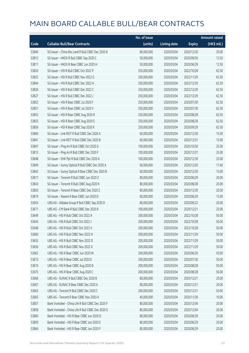|       |                                                   | No. of issue |                     |               | <b>Amount raised</b> |
|-------|---------------------------------------------------|--------------|---------------------|---------------|----------------------|
| Code  | <b>Callable Bull/Bear Contracts</b>               | (units)      | <b>Listing date</b> | <b>Expiry</b> | (HK\$ mil.)          |
| 53846 | SG Issuer - China Res Land R Bull CBBC Dec 2020 B | 80,000,000   | 2020/03/04          | 2020/12/30    | 20.00                |
| 53812 | SG Issuer - HKEX R Bull CBBC Sep 2020 C           | 50,000,000   | 2020/03/04          | 2020/09/30    | 12.50                |
| 53811 | SG Issuer - HKEX R Bear CBBC Jun 2020 H           | 50,000,000   | 2020/03/04          | 2020/06/29    | 12.50                |
| 53820 | SG Issuer - HSI R Bull CBBC Oct 2022 P            | 250,000,000  | 2020/03/04          | 2022/10/28    | 62.50                |
| 53822 | SG Issuer - HSI R Bull CBBC Nov 2022 G            | 250,000,000  | 2020/03/04          | 2022/11/29    | 62.50                |
| 53844 | SG Issuer - HSI R Bull CBBC Dec 2022 A            | 250,000,000  | 2020/03/04          | 2022/12/29    | 62.50                |
| 53826 | SG Issuer - HSI R Bull CBBC Dec 2022 C            | 250,000,000  | 2020/03/04          | 2022/12/29    | 62.50                |
| 53827 | SG Issuer - HSI R Bull CBBC Dec 2022 J            | 250,000,000  | 2020/03/04          | 2022/12/29    | 62.50                |
| 53852 | SG Issuer - HSI R Bear CBBC Jul 2020 F            | 250,000,000  | 2020/03/04          | 2020/07/30    | 62.50                |
| 53851 | SG Issuer - HSI R Bear CBBC Jul 2020 V            | 250,000,000  | 2020/03/04          | 2020/07/30    | 62.50                |
| 53853 | SG Issuer - HSI R Bear CBBC Aug 2020 R            | 250,000,000  | 2020/03/04          | 2020/08/28    | 62.50                |
| 53855 | SG Issuer - HSI R Bear CBBC Aug 2020 S            | 250,000,000  | 2020/03/04          | 2020/08/28    | 62.50                |
| 53856 | SG Issuer - HSI R Bear CBBC Sep 2020 K            | 250,000,000  | 2020/03/04          | 2020/09/29    | 62.50                |
| 53840 | SG Issuer - Link REIT R Bull CBBC Dec 2020 A      | 60,000,000   | 2020/03/04          | 2020/12/30    | 15.00                |
| 53841 | SG Issuer - Link REIT R Bull CBBC Dec 2020 B      | 60,000,000   | 2020/03/04          | 2020/12/31    | 15.00                |
| 53847 | SG Issuer - Ping An R Bull CBBC Oct 2020 G        | 100,000,000  | 2020/03/04          | 2020/10/30    | 25.00                |
| 53813 | SG Issuer - Ping An R Bull CBBC Dec 2020 F        | 100,000,000  | 2020/03/04          | 2020/12/31    | 25.00                |
| 53848 | SG Issuer - SHK Ppt R Bull CBBC Dec 2020 A        | 100,000,000  | 2020/03/04          | 2020/12/30    | 25.00                |
| 53849 | SG Issuer - Sunny Optical R Bull CBBC Dec 2020 A  | 60,000,000   | 2020/03/04          | 2020/12/30    | 17.40                |
| 53842 | SG Issuer - Sunny Optical R Bear CBBC Dec 2020 B  | 60,000,000   | 2020/03/04          | 2020/12/30    | 15.00                |
| 53817 | SG Issuer - Tencent R Bull CBBC Jun 2020 Z        | 80,000,000   | 2020/03/04          | 2020/06/29    | 20.00                |
| 53843 | SG Issuer - Tencent R Bull CBBC Aug 2020 K        | 80,000,000   | 2020/03/04          | 2020/08/28    | 20.00                |
| 53850 | SG Issuer - Tencent R Bear CBBC Dec 2020 Z        | 80,000,000   | 2020/03/04          | 2020/12/30    | 20.00                |
| 53819 | SG Issuer - Xiaomi R Bear CBBC Jun 2020 D         | 60,000,000   | 2020/03/04          | 2020/06/29    | 15.00                |
| 53654 | UBS AG - Alibaba Group R Bull CBBC Sep 2020 D     | 80,000,000   | 2020/03/04          | 2020/09/22    | 20.00                |
| 53671 | UBS AG - CM Bank R Bull CBBC Dec 2020 B           | 100,000,000  | 2020/03/04          | 2020/12/21    | 25.00                |
| 53649 | UBS AG - HSI R Bull CBBC Oct 2022 A               | 200,000,000  | 2020/03/04          | 2022/10/28    | 50.00                |
| 53645 | UBS AG - HSI R Bull CBBC Oct 2022 J               | 200,000,000  | 2020/03/04          | 2022/10/28    | 50.00                |
| 53648 | UBS AG - HSI R Bull CBBC Oct 2022 V               | 200,000,000  | 2020/03/04          | 2022/10/28    | 50.00                |
| 53660 | UBS AG - HSI R Bull CBBC Nov 2022 H               | 200,000,000  | 2020/03/04          | 2022/11/29    | 50.00                |
| 53655 | UBS AG - HSI R Bull CBBC Nov 2022 O               | 200,000,000  | 2020/03/04          | 2022/11/29    | 50.00                |
| 53656 | UBS AG - HSI R Bull CBBC Nov 2022 X               | 200,000,000  | 2020/03/04          | 2022/11/29    | 50.00                |
| 53662 | UBS AG - HSI R Bear CBBC Jun 2020 W               | 200,000,000  | 2020/03/04          | 2020/06/29    | 50.00                |
| 53673 | UBS AG - HSI R Bear CBBC Jul 2020 E               | 200,000,000  | 2020/03/04          | 2020/07/30    | 50.00                |
| 53674 | UBS AG - HSI R Bear CBBC Aug 2020 B               | 200,000,000  | 2020/03/04          | 2020/08/28    | 50.00                |
| 53675 | UBS AG - HSI R Bear CBBC Aug 2020 C               | 200,000,000  | 2020/03/04          | 2020/08/28    | 50.00                |
| 53666 | UBS AG - SUNAC R Bull CBBC Dec 2020 B             | 80,000,000   | 2020/03/04          | 2020/12/21    | 20.00                |
| 53667 | UBS AG - SUNAC R Bear CBBC Dec 2020 A             | 80,000,000   | 2020/03/04          | 2020/12/21    | 20.00                |
| 53663 | UBS AG - Tencent R Bull CBBC Dec 2020 C           | 200,000,000  | 2020/03/04          | 2020/12/31    | 50.00                |
| 53665 | UBS AG - Tencent R Bear CBBC Nov 2020 A           | 40,000,000   | 2020/03/04          | 2020/11/30    | 10.00                |
| 53857 | Bank Vontobel - China Life R Bull CBBC Dec 2020 F | 80,000,000   | 2020/03/04          | 2020/12/04    | 20.00                |
| 53858 | Bank Vontobel - China Life R Bull CBBC Dec 2020 G | 80,000,000   | 2020/03/04          | 2020/12/04    | 20.00                |
| 53860 | Bank Vontobel - HSI R Bear CBBC Jun 2020 D        | 80,000,000   | 2020/03/04          | 2020/06/29    | 20.00                |
| 53859 | Bank Vontobel - HSI R Bear CBBC Jun 2020 E        | 80,000,000   | 2020/03/04          | 2020/06/29    | 20.00                |
| 53864 | Bank Vontobel - HSI R Bear CBBC Jun 2020 F        | 80,000,000   | 2020/03/04          | 2020/06/29    | 20.00                |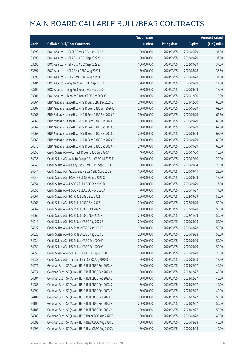|       |                                                         | No. of issue |                     |               | <b>Amount raised</b> |
|-------|---------------------------------------------------------|--------------|---------------------|---------------|----------------------|
| Code  | <b>Callable Bull/Bear Contracts</b>                     | (units)      | <b>Listing date</b> | <b>Expiry</b> | (HK\$ mil.)          |
| 53893 | BOCI Asia Ltd. - HSCEI R Bear CBBC Jun 2020 A           | 150,000,000  | 2020/03/05          | 2020/06/29    | 37.50                |
| 53895 | BOCI Asia Ltd. - HSI R Bull CBBC Sep 2022 Y             | 150,000,000  | 2020/03/05          | 2022/09/29    | 37.50                |
| 53896 | BOCI Asia Ltd. - HSI R Bull CBBC Sep 2022 Z             | 150,000,000  | 2020/03/05          | 2022/09/29    | 37.50                |
| 53897 | BOCI Asia Ltd. - HSI R Bear CBBC Aug 2020 E             | 150,000,000  | 2020/03/05          | 2020/08/28    | 37.50                |
| 53898 | BOCI Asia Ltd. - HSI R Bear CBBC Aug 2020 F             | 150,000,000  | 2020/03/05          | 2020/08/28    | 37.50                |
| 53904 | BOCI Asia Ltd. - Ping An R Bull CBBC Sep 2020 A         | 70,000,000   | 2020/03/05          | 2020/09/29    | 17.50                |
| 53905 | BOCI Asia Ltd. - Ping An R Bear CBBC Sep 2020 C         | 70,000,000   | 2020/03/05          | 2020/09/29    | 17.50                |
| 53901 | BOCI Asia Ltd. - Tencent R Bear CBBC Dec 2020 O         | 40,000,000   | 2020/03/05          | 2020/12/30    | 10.00                |
| 54064 | BNP Paribas Issuance B.V. - HSI R Bull CBBC Dec 2021 E  | 240,000,000  | 2020/03/05          | 2021/12/30    | 60.00                |
| 53887 | BNP Paribas Issuance B.V. - HSI R Bear CBBC Jun 2020 E  | 250,000,000  | 2020/03/05          | 2020/06/29    | 62.50                |
| 54065 | BNP Paribas Issuance B.V. - HSI R Bear CBBC Sep 2020 A  | 250,000,000  | 2020/03/05          | 2020/09/29    | 62.50                |
| 54066 | BNP Paribas Issuance B.V. - HSI R Bear CBBC Sep 2020 B  | 250,000,000  | 2020/03/05          | 2020/09/29    | 62.50                |
| 54067 | BNP Paribas Issuance B.V. - HSI R Bear CBBC Sep 2020 C  | 250,000,000  | 2020/03/05          | 2020/09/29    | 62.50                |
| 54068 | BNP Paribas Issuance B.V. - HSI R Bear CBBC Sep 2020 D  | 250,000,000  | 2020/03/05          | 2020/09/29    | 62.50                |
| 54069 | BNP Paribas Issuance B.V. - HSI R Bear CBBC Sep 2020 E  | 250,000,000  | 2020/03/05          | 2020/09/29    | 62.50                |
| 54070 | BNP Paribas Issuance B.V. - HSI R Bear CBBC Sep 2020 F  | 240,000,000  | 2020/03/05          | 2020/09/29    | 60.00                |
| 54058 | Credit Suisse AG - AAC Tech R Bear CBBC Jul 2020 A      | 40,000,000   | 2020/03/05          | 2020/07/30    | 10.00                |
| 54035 | Credit Suisse AG - Alibaba Group R Bull CBBC Jul 2020 F | 80,000,000   | 2020/03/05          | 2020/07/30    | 20.00                |
| 54043 | Credit Suisse AG - Galaxy Ent R Bear CBBC Sep 2020 A    | 100,000,000  | 2020/03/05          | 2020/09/04    | 25.00                |
| 54044 | Credit Suisse AG - Galaxy Ent R Bear CBBC Sep 2020 B    | 100,000,000  | 2020/03/05          | 2020/09/11    | 25.00                |
| 54045 | Credit Suisse AG - HSBC R Bull CBBC Sep 2020 C          | 70,000,000   | 2020/03/05          | 2020/09/29    | 17.50                |
| 54054 | Credit Suisse AG - HSBC R Bull CBBC Sep 2020 D          | 70,000,000   | 2020/03/05          | 2020/09/29    | 17.50                |
| 54055 | Credit Suisse AG - HSBC R Bull CBBC Nov 2020 A          | 70,000,000   | 2020/03/05          | 2020/11/27    | 17.50                |
| 54061 | Credit Suisse AG - HSI R Bull CBBC Sep 2022 T           | 200,000,000  | 2020/03/05          | 2022/09/29    | 50.00                |
| 54063 | Credit Suisse AG - HSI R Bull CBBC Sep 2022 U           | 200,000,000  | 2020/03/05          | 2022/09/29    | 50.00                |
| 54062 | Credit Suisse AG - HSI R Bull CBBC Oct 2022 F           | 200,000,000  | 2020/03/05          | 2022/10/28    | 50.00                |
| 54060 | Credit Suisse AG - HSI R Bull CBBC Nov 2022 F           | 200,000,000  | 2020/03/05          | 2022/11/29    | 50.00                |
| 54019 | Credit Suisse AG - HSI R Bear CBBC Aug 2020 B           | 200,000,000  | 2020/03/05          | 2020/08/28    | 50.00                |
| 54022 | Credit Suisse AG - HSI R Bear CBBC Aug 2020 C           | 200,000,000  | 2020/03/05          | 2020/08/28    | 50.00                |
| 54028 | Credit Suisse AG - HSI R Bear CBBC Aug 2020 D           | 200,000,000  | 2020/03/05          | 2020/08/28    | 50.00                |
| 54034 | Credit Suisse AG - HSI R Bear CBBC Sep 2020 F           | 200,000,000  | 2020/03/05          | 2020/09/29    | 50.00                |
| 54059 | Credit Suisse AG - HSI R Bear CBBC Sep 2020 G           | 200,000,000  | 2020/03/05          | 2020/09/29    | 50.00                |
| 54056 | Credit Suisse AG - SUNAC R Bull CBBC Sep 2020 B         | 80,000,000   | 2020/03/05          | 2020/09/29    | 20.00                |
| 54038 | Credit Suisse AG - Tencent R Bull CBBC Aug 2020 B       | 50,000,000   | 2020/03/05          | 2020/08/28    | 12.50                |
| 54071 | Goldman Sachs SP (Asia) - HSI R Bull CBBC Feb 2023 A    | 160,000,000  | 2020/03/05          | 2023/02/27    | 40.00                |
| 54074 | Goldman Sachs SP (Asia) - HSI R Bull CBBC Feb 2023 B    | 160,000,000  | 2020/03/05          | 2023/02/27    | 40.00                |
| 54084 | Goldman Sachs SP (Asia) - HSI R Bull CBBC Feb 2023 C    | 160,000,000  | 2020/03/05          | 2023/02/27    | 40.00                |
| 54085 | Goldman Sachs SP (Asia) - HSI R Bull CBBC Feb 2023 D    | 160,000,000  | 2020/03/05          | 2023/02/27    | 40.00                |
| 54099 | Goldman Sachs SP (Asia) - HSI R Bull CBBC Feb 2023 E    | 160,000,000  | 2020/03/05          | 2023/02/27    | 40.00                |
| 54101 | Goldman Sachs SP (Asia) - HSI R Bull CBBC Feb 2023 F    | 200,000,000  | 2020/03/05          | 2023/02/27    | 50.00                |
| 54102 | Goldman Sachs SP (Asia) - HSI R Bull CBBC Feb 2023 G    | 200,000,000  | 2020/03/05          | 2023/02/27    | 50.00                |
| 54103 | Goldman Sachs SP (Asia) - HSI R Bull CBBC Feb 2023 H    | 200,000,000  | 2020/03/05          | 2023/02/27    | 50.00                |
| 54086 | Goldman Sachs SP (Asia) - HSI R Bear CBBC Aug 2020 T    | 160,000,000  | 2020/03/05          | 2020/08/28    | 40.00                |
| 54092 | Goldman Sachs SP (Asia) - HSI R Bear CBBC Aug 2020 U    | 160,000,000  | 2020/03/05          | 2020/08/28    | 40.00                |
| 54093 | Goldman Sachs SP (Asia) - HSI R Bear CBBC Aug 2020 V    | 160,000,000  | 2020/03/05          | 2020/08/28    | 40.00                |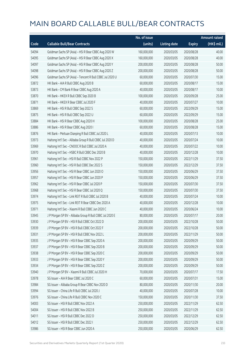|       |                                                          | No. of issue |                     |               | <b>Amount raised</b> |
|-------|----------------------------------------------------------|--------------|---------------------|---------------|----------------------|
| Code  | <b>Callable Bull/Bear Contracts</b>                      | (units)      | <b>Listing date</b> | <b>Expiry</b> | (HK\$ mil.)          |
| 54094 | Goldman Sachs SP (Asia) - HSI R Bear CBBC Aug 2020 W     | 160,000,000  | 2020/03/05          | 2020/08/28    | 40.00                |
| 54095 | Goldman Sachs SP (Asia) - HSI R Bear CBBC Aug 2020 X     | 160,000,000  | 2020/03/05          | 2020/08/28    | 40.00                |
| 54097 | Goldman Sachs SP (Asia) - HSI R Bear CBBC Aug 2020 Y     | 200,000,000  | 2020/03/05          | 2020/08/28    | 50.00                |
| 54098 | Goldman Sachs SP (Asia) - HSI R Bear CBBC Aug 2020 Z     | 200,000,000  | 2020/03/05          | 2020/08/28    | 50.00                |
| 54096 | Goldman Sachs SP (Asia) - Tencent R Bull CBBC Jul 2020 U | 60,000,000   | 2020/03/05          | 2020/07/30    | 15.00                |
| 53872 | HK Bank - AIA R Bull CBBC Aug 2020 B                     | 60,000,000   | 2020/03/05          | 2020/08/17    | 15.00                |
| 53873 | HK Bank - CM Bank R Bear CBBC Aug 2020 A                 | 40,000,000   | 2020/03/05          | 2020/08/17    | 10.00                |
| 53870 | HK Bank - HKEX R Bull CBBC Sep 2020 B                    | 100,000,000  | 2020/03/05          | 2020/09/28    | 25.00                |
| 53871 | HK Bank - HKEX R Bear CBBC Jul 2020 F                    | 40,000,000   | 2020/03/05          | 2020/07/27    | 10.00                |
| 53869 | HK Bank - HSI R Bull CBBC Sep 2022 S                     | 60,000,000   | 2020/03/05          | 2022/09/29    | 15.00                |
| 53875 | HK Bank - HSI R Bull CBBC Sep 2022 U                     | 60,000,000   | 2020/03/05          | 2022/09/29    | 15.00                |
| 53884 | HK Bank - HSI R Bear CBBC Aug 2020 H                     | 100,000,000  | 2020/03/05          | 2020/08/28    | 25.00                |
| 53886 | HK Bank - HSI R Bear CBBC Aug 2020 I                     | 60,000,000   | 2020/03/05          | 2020/08/28    | 15.00                |
| 53876 | HK Bank - Meituan Dianping R Bull CBBC Jul 2020 L        | 40,000,000   | 2020/03/05          | 2020/07/13    | 10.00                |
| 53973 | Haitong Int'l Sec - Alibaba Group R Bull CBBC Jul 2020 D | 40,000,000   | 2020/03/05          | 2020/07/24    | 10.00                |
| 53969 | Haitong Int'l Sec - CNOOC R Bull CBBC Jul 2020 A         | 40,000,000   | 2020/03/05          | 2020/07/22    | 10.00                |
| 53970 | Haitong Int'l Sec - HSBC R Bull CBBC Dec 2020 B          | 40,000,000   | 2020/03/05          | 2020/12/28    | 10.00                |
| 53961 | Haitong Int'l Sec - HSI R Bull CBBC Nov 2022 P           | 150,000,000  | 2020/03/05          | 2022/11/29    | 37.50                |
| 53960 | Haitong Int'l Sec - HSI R Bull CBBC Dec 2022 S           | 150,000,000  | 2020/03/05          | 2022/12/29    | 37.50                |
| 53956 | Haitong Int'l Sec - HSI R Bear CBBC Jun 2020 O           | 150,000,000  | 2020/03/05          | 2020/06/29    | 37.50                |
| 53957 | Haitong Int'l Sec - HSI R Bear CBBC Jun 2020 P           | 150,000,000  | 2020/03/05          | 2020/06/29    | 37.50                |
| 53962 | Haitong Int'l Sec - HSI R Bear CBBC Jul 2020 P           | 150,000,000  | 2020/03/05          | 2020/07/30    | 37.50                |
| 53968 | Haitong Int'l Sec - HSI R Bear CBBC Jul 2020 Q           | 150,000,000  | 2020/03/05          | 2020/07/30    | 37.50                |
| 53974 | Haitong Int'l Sec - Link REIT R Bull CBBC Jul 2020 B     | 40,000,000   | 2020/03/05          | 2020/07/24    | 10.00                |
| 53975 | Haitong Int'l Sec - Link REIT R Bear CBBC Dec 2020 A     | 40,000,000   | 2020/03/05          | 2020/12/28    | 10.00                |
| 53971 | Haitong Int'l Sec - Xiaomi R Bull CBBC Jun 2020 C        | 40,000,000   | 2020/03/05          | 2020/06/24    | 10.00                |
| 53945 | J P Morgan SP BV - Alibaba Group R Bull CBBC Jul 2020 E  | 80,000,000   | 2020/03/05          | 2020/07/17    | 20.00                |
| 53930 | J P Morgan SP BV - HSI R Bull CBBC Oct 2022 D            | 200,000,000  | 2020/03/05          | 2022/10/28    | 50.00                |
| 53939 | J P Morgan SP BV - HSI R Bull CBBC Oct 2022 F            | 200,000,000  | 2020/03/05          | 2022/10/28    | 50.00                |
| 53931 | J P Morgan SP BV - HSI R Bull CBBC Nov 2022 L            | 200,000,000  | 2020/03/05          | 2022/11/29    | 50.00                |
| 53935 | J P Morgan SP BV - HSI R Bear CBBC Sep 2020 A            | 200,000,000  | 2020/03/05          | 2020/09/29    | 50.00                |
| 53937 | J P Morgan SP BV - HSI R Bear CBBC Sep 2020 B            | 200,000,000  | 2020/03/05          | 2020/09/29    | 50.00                |
| 53938 | J P Morgan SP BV - HSI R Bear CBBC Sep 2020 C            | 200,000,000  | 2020/03/05          | 2020/09/29    | 50.00                |
| 53933 | J P Morgan SP BV - HSI R Bear CBBC Sep 2020 Y            | 200,000,000  | 2020/03/05          | 2020/09/29    | 50.00                |
| 53934 | J P Morgan SP BV - HSI R Bear CBBC Sep 2020 Z            | 200,000,000  | 2020/03/05          | 2020/09/29    | 50.00                |
| 53940 | J P Morgan SP BV - Xiaomi R Bull CBBC Jul 2020 H         | 70,000,000   | 2020/03/05          | 2020/07/17    | 17.50                |
| 53978 | SG Issuer - AIA R Bear CBBC Jul 2020 C                   | 60,000,000   | 2020/03/05          | 2020/07/31    | 15.00                |
| 53984 | SG Issuer - Alibaba Group R Bear CBBC Nov 2020 D         | 80,000,000   | 2020/03/05          | 2020/11/30    | 20.00                |
| 53994 | SG Issuer - China Life R Bull CBBC Jul 2020 J            | 40,000,000   | 2020/03/05          | 2020/07/28    | 10.00                |
| 53976 | SG Issuer - China Life R Bull CBBC Nov 2020 C            | 150,000,000  | 2020/03/05          | 2020/11/30    | 37.50                |
| 54003 | SG Issuer - HSI R Bull CBBC Nov 2022 A                   | 250,000,000  | 2020/03/05          | 2022/11/29    | 62.50                |
| 54004 | SG Issuer - HSI R Bull CBBC Nov 2022 B                   | 250,000,000  | 2020/03/05          | 2022/11/29    | 62.50                |
| 54011 | SG Issuer - HSI R Bull CBBC Dec 2022 D                   | 250,000,000  | 2020/03/05          | 2022/12/29    | 62.50                |
| 54012 | SG Issuer - HSI R Bull CBBC Dec 2022 I                   | 250,000,000  | 2020/03/05          | 2022/12/29    | 62.50                |
| 53986 | SG Issuer - HSI R Bear CBBC Jun 2020 A                   | 250,000,000  | 2020/03/05          | 2020/06/29    | 62.50                |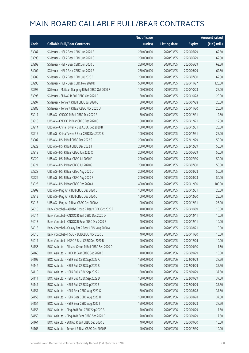|       |                                                       | No. of issue |                     |               | <b>Amount raised</b> |
|-------|-------------------------------------------------------|--------------|---------------------|---------------|----------------------|
| Code  | <b>Callable Bull/Bear Contracts</b>                   | (units)      | <b>Listing date</b> | <b>Expiry</b> | (HK\$ mil.)          |
| 53987 | SG Issuer - HSI R Bear CBBC Jun 2020 B                | 250,000,000  | 2020/03/05          | 2020/06/29    | 62.50                |
| 53998 | SG Issuer - HSI R Bear CBBC Jun 2020 C                | 250,000,000  | 2020/03/05          | 2020/06/29    | 62.50                |
| 53999 | SG Issuer - HSI R Bear CBBC Jun 2020 D                | 250,000,000  | 2020/03/05          | 2020/06/29    | 62.50                |
| 54002 | SG Issuer - HSI R Bear CBBC Jun 2020 E                | 250,000,000  | 2020/03/05          | 2020/06/29    | 62.50                |
| 53989 | SG Issuer - HSI R Bear CBBC Jul 2020 C                | 250,000,000  | 2020/03/05          | 2020/07/30    | 62.50                |
| 53990 | SG Issuer - HSI R Bear CBBC Nov 2020 D                | 500,000,000  | 2020/03/05          | 2020/11/27    | 125.00               |
| 53995 | SG Issuer - Meituan Dianping R Bull CBBC Oct 2020 F   | 100,000,000  | 2020/03/05          | 2020/10/28    | 25.00                |
| 53996 | SG Issuer - SUNAC R Bull CBBC Oct 2020 D              | 80,000,000   | 2020/03/05          | 2020/10/28    | 20.00                |
| 53997 | SG Issuer - Tencent R Bull CBBC Jul 2020 C            | 80,000,000   | 2020/03/05          | 2020/07/28    | 20.00                |
| 53985 | SG Issuer - Tencent R Bear CBBC Nov 2020 U            | 80,000,000   | 2020/03/05          | 2020/11/30    | 20.00                |
| 53917 | UBS AG - CNOOC R Bull CBBC Dec 2020 B                 | 50,000,000   | 2020/03/05          | 2020/12/31    | 12.50                |
| 53918 | UBS AG - CNOOC R Bear CBBC Dec 2020 C                 | 50,000,000   | 2020/03/05          | 2020/12/21    | 12.50                |
| 53914 | UBS AG - China Tower R Bull CBBC Dec 2020 B           | 100,000,000  | 2020/03/05          | 2020/12/31    | 25.00                |
| 53915 | UBS AG - China Tower R Bear CBBC Dec 2020 B           | 100,000,000  | 2020/03/05          | 2020/12/31    | 25.00                |
| 53907 | UBS AG - HSI R Bull CBBC Dec 2022 S                   | 200,000,000  | 2020/03/05          | 2022/12/29    | 50.00                |
| 53922 | UBS AG - HSI R Bull CBBC Dec 2022 T                   | 200,000,000  | 2020/03/05          | 2022/12/29    | 50.00                |
| 53919 | UBS AG - HSI R Bear CBBC Jun 2020 X                   | 200,000,000  | 2020/03/05          | 2020/06/29    | 50.00                |
| 53920 | UBS AG - HSI R Bear CBBC Jul 2020 F                   | 200,000,000  | 2020/03/05          | 2020/07/30    | 50.00                |
| 53921 | UBS AG - HSI R Bear CBBC Jul 2020 G                   | 200,000,000  | 2020/03/05          | 2020/07/30    | 50.00                |
| 53928 | UBS AG - HSI R Bear CBBC Aug 2020 D                   | 200,000,000  | 2020/03/05          | 2020/08/28    | 50.00                |
| 53929 | UBS AG - HSI R Bear CBBC Aug 2020 E                   | 200,000,000  | 2020/03/05          | 2020/08/28    | 50.00                |
| 53926 | UBS AG - HSI R Bear CBBC Dec 2020 A                   | 400,000,000  | 2020/03/05          | 2020/12/30    | 100.00               |
| 53909 | UBS AG - Ping An R Bull CBBC Dec 2020 B               | 100,000,000  | 2020/03/05          | 2020/12/31    | 25.00                |
| 53912 | UBS AG - Ping An R Bull CBBC Dec 2020 C               | 100,000,000  | 2020/03/05          | 2020/12/30    | 25.00                |
| 53913 | UBS AG - Ping An R Bear CBBC Dec 2020 A               | 100,000,000  | 2020/03/05          | 2020/12/31    | 25.00                |
| 54015 | Bank Vontobel - Alibaba Group R Bear CBBC Oct 2020 F  | 40,000,000   | 2020/03/05          | 2020/10/09    | 10.00                |
| 54014 | Bank Vontobel - CNOOC R Bull CBBC Dec 2020 D          | 40,000,000   | 2020/03/05          | 2020/12/11    | 10.00                |
| 54013 | Bank Vontobel - CNOOC R Bear CBBC Dec 2020 F          | 40,000,000   | 2020/03/05          | 2020/12/11    | 10.00                |
| 54018 | Bank Vontobel - Galaxy Ent R Bear CBBC Aug 2020 A     | 40,000,000   | 2020/03/05          | 2020/08/21    | 10.00                |
| 54016 | Bank Vontobel - HSBC R Bull CBBC Nov 2020 C           | 40,000,000   | 2020/03/05          | 2020/11/20    | 10.00                |
| 54017 | Bank Vontobel - HSBC R Bear CBBC Dec 2020 B           | 40,000,000   | 2020/03/05          | 2020/12/04    | 10.00                |
| 54156 | BOCI Asia Ltd. - Alibaba Group R Bull CBBC Sep 2020 D | 40,000,000   | 2020/03/06          | 2020/09/30    | 11.60                |
| 54160 | BOCI Asia Ltd. - HKEX R Bear CBBC Sep 2020 B          | 40,000,000   | 2020/03/06          | 2020/09/29    | 10.00                |
| 54109 | BOCI Asia Ltd. - HSI R Bull CBBC Sep 2022 A           | 150,000,000  | 2020/03/06          | 2022/09/29    | 37.50                |
| 54142 | BOCI Asia Ltd. - HSI R Bull CBBC Sep 2022 B           | 150,000,000  | 2020/03/06          | 2022/09/29    | 37.50                |
| 54110 | BOCI Asia Ltd. - HSI R Bull CBBC Sep 2022 C           | 150,000,000  | 2020/03/06          | 2022/09/29    | 37.50                |
| 54111 | BOCI Asia Ltd. - HSI R Bull CBBC Sep 2022 D           | 150,000,000  | 2020/03/06          | 2022/09/29    | 37.50                |
| 54147 | BOCI Asia Ltd. - HSI R Bull CBBC Sep 2022 E           | 150,000,000  | 2020/03/06          | 2022/09/29    | 37.50                |
| 54151 | BOCI Asia Ltd. - HSI R Bear CBBC Aug 2020 G           | 150,000,000  | 2020/03/06          | 2020/08/28    | 37.50                |
| 54153 | BOCI Asia Ltd. - HSI R Bear CBBC Aug 2020 H           | 150,000,000  | 2020/03/06          | 2020/08/28    | 37.50                |
| 54154 | BOCI Asia Ltd. - HSI R Bear CBBC Aug 2020 I           | 150,000,000  | 2020/03/06          | 2020/08/28    | 37.50                |
| 54158 | BOCI Asia Ltd. - Ping An R Bull CBBC Sep 2020 B       | 70,000,000   | 2020/03/06          | 2020/09/29    | 17.50                |
| 54159 | BOCI Asia Ltd. - Ping An R Bear CBBC Sep 2020 D       | 70,000,000   | 2020/03/06          | 2020/09/29    | 17.50                |
| 54164 | BOCI Asia Ltd. - SUNAC R Bull CBBC Sep 2020 B         | 40,000,000   | 2020/03/06          | 2020/09/30    | 10.00                |
| 54165 | BOCI Asia Ltd. - Tencent R Bear CBBC Dec 2020 P       | 40,000,000   | 2020/03/06          | 2020/12/30    | 10.00                |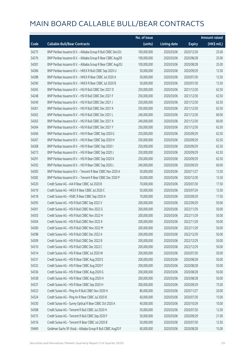|       |                                                              | No. of issue |                     |               | <b>Amount raised</b> |
|-------|--------------------------------------------------------------|--------------|---------------------|---------------|----------------------|
| Code  | <b>Callable Bull/Bear Contracts</b>                          | (units)      | <b>Listing date</b> | <b>Expiry</b> | $(HK$$ mil.)         |
| 54275 | BNP Paribas Issuance B.V. - Alibaba Group R Bull CBBC Dec20J | 100,000,000  | 2020/03/06          | 2020/12/30    | 25.00                |
| 54276 | BNP Paribas Issuance B.V. - Alibaba Group R Bear CBBC Aug20I | 100,000,000  | 2020/03/06          | 2020/08/28    | 25.00                |
| 54281 | BNP Paribas Issuance B.V. - Alibaba Group R Bear CBBC Aug20J | 100,000,000  | 2020/03/06          | 2020/08/28    | 25.00                |
| 54284 | BNP Paribas Issuance B.V. - HKEX R Bull CBBC Sep 2020 U      | 50,000,000   | 2020/03/06          | 2020/09/29    | 12.50                |
| 54288 | BNP Paribas Issuance B.V. - HKEX R Bear CBBC Jul 2020 A      | 50,000,000   | 2020/03/06          | 2020/07/30    | 12.50                |
| 54290 | BNP Paribas Issuance B.V. - HKEX R Bear CBBC Jul 2020 B      | 50,000,000   | 2020/03/06          | 2020/07/30    | 12.50                |
| 54265 | BNP Paribas Issuance B.V. - HSI R Bull CBBC Dec 2021 D       | 250,000,000  | 2020/03/06          | 2021/12/30    | 62.50                |
| 54248 | BNP Paribas Issuance B.V. - HSI R Bull CBBC Dec 2021 F       | 250,000,000  | 2020/03/06          | 2021/12/30    | 62.50                |
| 54249 | BNP Paribas Issuance B.V. - HSI R Bull CBBC Dec 2021 J       | 250,000,000  | 2020/03/06          | 2021/12/30    | 62.50                |
| 54261 | BNP Paribas Issuance B.V. - HSI R Bull CBBC Dec 2021 K       | 250,000,000  | 2020/03/06          | 2021/12/30    | 62.50                |
| 54262 | BNP Paribas Issuance B.V. - HSI R Bull CBBC Dec 2021 L       | 240,000,000  | 2020/03/06          | 2021/12/30    | 60.00                |
| 54263 | BNP Paribas Issuance B.V. - HSI R Bull CBBC Dec 2021 X       | 240,000,000  | 2020/03/06          | 2021/12/30    | 60.00                |
| 54264 | BNP Paribas Issuance B.V. - HSI R Bull CBBC Dec 2021 Y       | 250,000,000  | 2020/03/06          | 2021/12/30    | 62.50                |
| 54266 | BNP Paribas Issuance B.V. - HSI R Bear CBBC Sep 2020 G       | 250,000,000  | 2020/03/06          | 2020/09/29    | 62.50                |
| 54267 | BNP Paribas Issuance B.V. - HSI R Bear CBBC Sep 2020 H       | 250,000,000  | 2020/03/06          | 2020/09/29    | 62.50                |
| 54268 | BNP Paribas Issuance B.V. - HSI R Bear CBBC Sep 2020 I       | 250,000,000  | 2020/03/06          | 2020/09/29    | 62.50                |
| 54273 | BNP Paribas Issuance B.V. - HSI R Bear CBBC Sep 2020 J       | 250,000,000  | 2020/03/06          | 2020/09/29    | 62.50                |
| 54291 | BNP Paribas Issuance B.V. - HSI R Bear CBBC Sep 2020 K       | 250,000,000  | 2020/03/06          | 2020/09/29    | 62.50                |
| 54292 | BNP Paribas Issuance B.V. - HSI R Bear CBBC Sep 2020 L       | 240,000,000  | 2020/03/06          | 2020/09/29    | 60.00                |
| 54283 | BNP Paribas Issuance B.V. - Tencent R Bear CBBC Nov 2020 A   | 50,000,000   | 2020/03/06          | 2020/11/27    | 12.50                |
| 54282 | BNP Paribas Issuance B.V. - Tencent R Bear CBBC Dec 2020 P   | 50,000,000   | 2020/03/06          | 2020/12/30    | 12.50                |
| 54320 | Credit Suisse AG - AIA R Bear CBBC Jul 2020 B                | 70,000,000   | 2020/03/06          | 2020/07/30    | 17.50                |
| 54319 | Credit Suisse AG - HKEX R Bear CBBC Jul 2020 C               | 50,000,000   | 2020/03/06          | 2020/07/24    | 12.50                |
| 54318 | Credit Suisse AG - HSBC R Bear CBBC Sep 2020 A               | 70,000,000   | 2020/03/06          | 2020/09/29    | 17.50                |
| 54295 | Credit Suisse AG - HSI R Bull CBBC Sep 2022 V                | 200,000,000  | 2020/03/06          | 2022/09/29    | 50.00                |
| 54301 | Credit Suisse AG - HSI R Bull CBBC Nov 2022 G                | 200,000,000  | 2020/03/06          | 2022/11/29    | 50.00                |
| 54303 | Credit Suisse AG - HSI R Bull CBBC Nov 2022 H                | 200,000,000  | 2020/03/06          | 2022/11/29    | 50.00                |
| 54304 | Credit Suisse AG - HSI R Bull CBBC Nov 2022 K                | 200,000,000  | 2020/03/06          | 2022/11/29    | 50.00                |
| 54300 | Credit Suisse AG - HSI R Bull CBBC Nov 2022 M                | 200,000,000  | 2020/03/06          | 2022/11/29    | 50.00                |
| 54298 | Credit Suisse AG - HSI R Bull CBBC Dec 2022 A                | 200,000,000  | 2020/03/06          | 2022/12/29    | 50.00                |
| 54309 | Credit Suisse AG - HSI R Bull CBBC Dec 2022 B                | 200,000,000  | 2020/03/06          | 2022/12/29    | 50.00                |
| 54310 | Credit Suisse AG - HSI R Bull CBBC Dec 2022 C                | 200,000,000  | 2020/03/06          | 2022/12/29    | 50.00                |
| 54314 | Credit Suisse AG - HSI R Bear CBBC Jul 2020 W                | 200,000,000  | 2020/03/06          | 2020/07/30    | 50.00                |
| 54331 | Credit Suisse AG - HSI R Bear CBBC Aug 2020 E                | 200,000,000  | 2020/03/06          | 2020/08/28    | 50.00                |
| 54332 | Credit Suisse AG - HSI R Bear CBBC Aug 2020 F                | 200,000,000  | 2020/03/06          | 2020/08/28    | 50.00                |
| 54336 | Credit Suisse AG - HSI R Bear CBBC Aug 2020 G                | 200,000,000  | 2020/03/06          | 2020/08/28    | 50.00                |
| 54338 | Credit Suisse AG - HSI R Bear CBBC Aug 2020 H                | 200,000,000  | 2020/03/06          | 2020/08/28    | 50.00                |
| 54337 | Credit Suisse AG - HSI R Bear CBBC Sep 2020 H                | 300,000,000  | 2020/03/06          | 2020/09/29    | 75.00                |
| 54323 | Credit Suisse AG - Ping An R Bull CBBC Nov 2020 H            | 80,000,000   | 2020/03/06          | 2020/11/27    | 20.00                |
| 54324 | Credit Suisse AG - Ping An R Bear CBBC Jul 2020 B            | 60,000,000   | 2020/03/06          | 2020/07/30    | 15.00                |
| 54330 | Credit Suisse AG - Sunny Optical R Bear CBBC Oct 2020 A      | 40,000,000   | 2020/03/06          | 2020/10/29    | 10.00                |
| 54308 | Credit Suisse AG - Tencent R Bull CBBC Jul 2020 H            | 50,000,000   | 2020/03/06          | 2020/07/30    | 12.50                |
| 54315 | Credit Suisse AG - Tencent R Bull CBBC Sep 2020 F            | 50,000,000   | 2020/03/06          | 2020/09/29    | 21.00                |
| 54316 | Credit Suisse AG - Tencent R Bear CBBC Jul 2020 B            | 50,000,000   | 2020/03/06          | 2020/07/30    | 12.50                |
| 59469 | Goldman Sachs SP (Asia) - Alibaba Group R Bull CBBC Aug20 F  | 60,000,000   | 2020/03/06          | 2020/08/28    | 15.00                |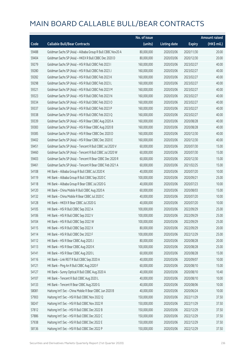|       |                                                             | No. of issue |                     |               | <b>Amount raised</b> |
|-------|-------------------------------------------------------------|--------------|---------------------|---------------|----------------------|
| Code  | <b>Callable Bull/Bear Contracts</b>                         | (units)      | <b>Listing date</b> | <b>Expiry</b> | (HK\$ mil.)          |
| 59488 | Goldman Sachs SP (Asia) - Alibaba Group R Bull CBBC Nov20 A | 80,000,000   | 2020/03/06          | 2020/11/30    | 20.00                |
| 59404 | Goldman Sachs SP (Asia) - HKEX R Bull CBBC Dec 2020 D       | 80,000,000   | 2020/03/06          | 2020/12/30    | 20.00                |
| 59279 | Goldman Sachs SP (Asia) - HSI R Bull CBBC Feb 2023 I        | 160,000,000  | 2020/03/06          | 2023/02/27    | 40.00                |
| 59280 | Goldman Sachs SP (Asia) - HSI R Bull CBBC Feb 2023 J        | 160,000,000  | 2020/03/06          | 2023/02/27    | 40.00                |
| 59282 | Goldman Sachs SP (Asia) - HSI R Bull CBBC Feb 2023 K        | 160,000,000  | 2020/03/06          | 2023/02/27    | 40.00                |
| 59298 | Goldman Sachs SP (Asia) - HSI R Bull CBBC Feb 2023 L        | 160,000,000  | 2020/03/06          | 2023/02/27    | 40.00                |
| 59321 | Goldman Sachs SP (Asia) - HSI R Bull CBBC Feb 2023 M        | 160,000,000  | 2020/03/06          | 2023/02/27    | 40.00                |
| 59323 | Goldman Sachs SP (Asia) - HSI R Bull CBBC Feb 2023 N        | 160,000,000  | 2020/03/06          | 2023/02/27    | 40.00                |
| 59334 | Goldman Sachs SP (Asia) - HSI R Bull CBBC Feb 2023 O        | 160,000,000  | 2020/03/06          | 2023/02/27    | 40.00                |
| 59337 | Goldman Sachs SP (Asia) - HSI R Bull CBBC Feb 2023 P        | 160,000,000  | 2020/03/06          | 2023/02/27    | 40.00                |
| 59338 | Goldman Sachs SP (Asia) - HSI R Bull CBBC Feb 2023 Q        | 160,000,000  | 2020/03/06          | 2023/02/27    | 40.00                |
| 59339 | Goldman Sachs SP (Asia) - HSI R Bear CBBC Aug 2020 A        | 160,000,000  | 2020/03/06          | 2020/08/28    | 40.00                |
| 59383 | Goldman Sachs SP (Asia) - HSI R Bear CBBC Aug 2020 B        | 160,000,000  | 2020/03/06          | 2020/08/28    | 40.00                |
| 59385 | Goldman Sachs SP (Asia) - HSI R Bear CBBC Dec 2020 D        | 160,000,000  | 2020/03/06          | 2020/12/30    | 40.00                |
| 59402 | Goldman Sachs SP (Asia) - HSI R Bear CBBC Dec 2020 E        | 160,000,000  | 2020/03/06          | 2020/12/30    | 40.00                |
| 59451 | Goldman Sachs SP (Asia) - Tencent R Bull CBBC Jul 2020 V    | 60,000,000   | 2020/03/06          | 2020/07/30    | 15.00                |
| 59460 | Goldman Sachs SP (Asia) - Tencent R Bull CBBC Jul 2020 W    | 60,000,000   | 2020/03/06          | 2020/07/30    | 15.00                |
| 59403 | Goldman Sachs SP (Asia) - Tencent R Bear CBBC Dec 2020 R    | 60,000,000   | 2020/03/06          | 2020/12/30    | 15.00                |
| 59461 | Goldman Sachs SP (Asia) - Tencent R Bear CBBC Feb 2021 A    | 60,000,000   | 2020/03/06          | 2021/02/25    | 15.00                |
| 54108 | HK Bank - Alibaba Group R Bull CBBC Jul 2020 K              | 40,000,000   | 2020/03/06          | 2020/07/20    | 10.00                |
| 54119 | HK Bank - Alibaba Group R Bull CBBC Sep 2020 C              | 100,000,000  | 2020/03/06          | 2020/09/21    | 25.00                |
| 54118 | HK Bank - Alibaba Group R Bear CBBC Jul 2020 G              | 40,000,000   | 2020/03/06          | 2020/07/23    | 10.00                |
| 54120 | HK Bank - China Mobile R Bull CBBC Aug 2020 A               | 60,000,000   | 2020/03/06          | 2020/08/03    | 15.00                |
| 54132 | HK Bank - China Mobile R Bear CBBC Jul 2020 C               | 40,000,000   | 2020/03/06          | 2020/07/20    | 10.00                |
| 54128 | HK Bank - HKEX R Bear CBBC Jul 2020 G                       | 40,000,000   | 2020/03/06          | 2020/07/20    | 10.00                |
| 54105 | HK Bank - HSI R Bull CBBC Sep 2022 A                        | 100,000,000  | 2020/03/06          | 2022/09/29    | 25.00                |
| 54106 | HK Bank - HSI R Bull CBBC Sep 2022 V                        | 100,000,000  | 2020/03/06          | 2022/09/29    | 25.00                |
| 54104 | HK Bank - HSI R Bull CBBC Sep 2022 W                        | 100,000,000  | 2020/03/06          | 2022/09/29    | 25.00                |
| 54115 | HK Bank - HSI R Bull CBBC Sep 2022 X                        | 80,000,000   | 2020/03/06          | 2022/09/29    | 20.00                |
| 54114 | HK Bank - HSI R Bull CBBC Dec 2022 F                        | 100,000,000  | 2020/03/06          | 2022/12/29    | 25.00                |
| 54112 | HK Bank - HSI R Bear CBBC Aug 2020 J                        | 80,000,000   | 2020/03/06          | 2020/08/28    | 20.00                |
| 54113 | HK Bank - HSI R Bear CBBC Aug 2020 K                        | 100,000,000  | 2020/03/06          | 2020/08/28    | 25.00                |
| 54141 | HK Bank - HSI R Bear CBBC Aug 2020 L                        | 60,000,000   | 2020/03/06          | 2020/08/28    | 15.00                |
| 54116 | HK Bank - Link REIT R Bull CBBC Sep 2020 A                  | 40,000,000   | 2020/03/06          | 2020/09/07    | 10.00                |
| 54121 | HK Bank - Ping An R Bull CBBC Aug 2020 F                    | 60,000,000   | 2020/03/06          | 2020/08/10    | 15.00                |
| 54127 | HK Bank - Sunny Optical R Bull CBBC Aug 2020 A              | 40,000,000   | 2020/03/06          | 2020/08/10    | 10.40                |
| 54107 | HK Bank - Tencent R Bull CBBC Aug 2020 L                    | 40,000,000   | 2020/03/06          | 2020/08/10    | 10.00                |
| 54133 | HK Bank - Tencent R Bear CBBC Aug 2020 G                    | 40,000,000   | 2020/03/06          | 2020/08/06    | 10.00                |
| 58081 | Haitong Int'l Sec - China Mobile R Bear CBBC Jun 2020 B     | 40,000,000   | 2020/03/06          | 2020/06/24    | 10.00                |
| 57903 | Haitong Int'l Sec - HSI R Bull CBBC Nov 2022 Q              | 150,000,000  | 2020/03/06          | 2022/11/29    | 37.50                |
| 58247 | Haitong Int'l Sec - HSI R Bull CBBC Nov 2022 R              | 150,000,000  | 2020/03/06          | 2022/11/29    | 37.50                |
| 57812 | Haitong Int'l Sec - HSI R Bull CBBC Dec 2022 B              | 150,000,000  | 2020/03/06          | 2022/12/29    | 37.50                |
| 57886 | Haitong Int'l Sec - HSI R Bull CBBC Dec 2022 C              | 150,000,000  | 2020/03/06          | 2022/12/29    | 37.50                |
| 57938 | Haitong Int'l Sec - HSI R Bull CBBC Dec 2022 E              | 150,000,000  | 2020/03/06          | 2022/12/29    | 37.50                |
| 58136 | Haitong Int'l Sec - HSI R Bull CBBC Dec 2022 P              | 150,000,000  | 2020/03/06          | 2022/12/29    | 37.50                |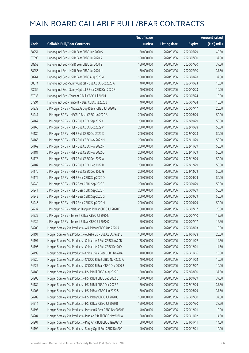|       |                                                              | No. of issue |                     |               | <b>Amount raised</b> |
|-------|--------------------------------------------------------------|--------------|---------------------|---------------|----------------------|
| Code  | <b>Callable Bull/Bear Contracts</b>                          | (units)      | <b>Listing date</b> | <b>Expiry</b> | (HK\$ mil.)          |
| 58251 | Haitong Int'l Sec - HSI R Bear CBBC Jun 2020 S               | 150,000,000  | 2020/03/06          | 2020/06/29    | 40.80                |
| 57999 | Haitong Int'l Sec - HSI R Bear CBBC Jul 2020 R               | 150,000,000  | 2020/03/06          | 2020/07/30    | 37.50                |
| 58252 | Haitong Int'l Sec - HSI R Bear CBBC Jul 2020 S               | 150,000,000  | 2020/03/06          | 2020/07/30    | 37.50                |
| 58256 | Haitong Int'l Sec - HSI R Bear CBBC Jul 2020 U               | 150,000,000  | 2020/03/06          | 2020/07/30    | 37.50                |
| 58264 | Haitong Int'l Sec - HSI R Bear CBBC Aug 2020 W               | 150,000,000  | 2020/03/06          | 2020/08/28    | 37.50                |
| 58074 | Haitong Int'l Sec - Sunny Optical R Bull CBBC Oct 2020 A     | 40,000,000   | 2020/03/06          | 2020/10/23    | 10.00                |
| 58056 | Haitong Int'l Sec - Sunny Optical R Bear CBBC Oct 2020 B     | 40,000,000   | 2020/03/06          | 2020/10/23    | 10.00                |
| 57933 | Haitong Int'l Sec - Tencent R Bull CBBC Jul 2020 L           | 40,000,000   | 2020/03/06          | 2020/07/24    | 10.00                |
| 57994 | Haitong Int'l Sec - Tencent R Bear CBBC Jul 2020 J           | 40,000,000   | 2020/03/06          | 2020/07/24    | 10.00                |
| 54239 | J P Morgan SP BV - Alibaba Group R Bear CBBC Jul 2020 E      | 80,000,000   | 2020/03/06          | 2020/07/17    | 20.00                |
| 54247 | J P Morgan SP BV - HSCEI R Bear CBBC Jun 2020 A              | 200,000,000  | 2020/03/06          | 2020/06/29    | 50.00                |
| 54167 | J P Morgan SP BV - HSI R Bull CBBC Sep 2022 C                | 200,000,000  | 2020/03/06          | 2022/09/29    | 50.00                |
| 54168 | J P Morgan SP BV - HSI R Bull CBBC Oct 2022 V                | 200,000,000  | 2020/03/06          | 2022/10/28    | 50.00                |
| 54180 | J P Morgan SP BV - HSI R Bull CBBC Oct 2022 X                | 200,000,000  | 2020/03/06          | 2022/10/28    | 50.00                |
| 54166 | J P Morgan SP BV - HSI R Bull CBBC Nov 2022 M                | 200,000,000  | 2020/03/06          | 2022/11/29    | 50.00                |
| 54169 | J P Morgan SP BV - HSI R Bull CBBC Nov 2022 N                | 200,000,000  | 2020/03/06          | 2022/11/29    | 50.00                |
| 54181 | J P Morgan SP BV - HSI R Bull CBBC Nov 2022 Q                | 200,000,000  | 2020/03/06          | 2022/11/29    | 50.00                |
| 54178 | J P Morgan SP BV - HSI R Bull CBBC Dec 2022 A                | 200,000,000  | 2020/03/06          | 2022/12/29    | 50.00                |
| 54187 | J P Morgan SP BV - HSI R Bull CBBC Dec 2022 D                | 200,000,000  | 2020/03/06          | 2022/12/29    | 50.00                |
| 54170 | J P Morgan SP BV - HSI R Bull CBBC Dec 2022 G                | 200,000,000  | 2020/03/06          | 2022/12/29    | 50.00                |
| 54179 | J P Morgan SP BV - HSI R Bear CBBC Sep 2020 D                | 200,000,000  | 2020/03/06          | 2020/09/29    | 50.00                |
| 54240 | J P Morgan SP BV - HSI R Bear CBBC Sep 2020 E                | 200,000,000  | 2020/03/06          | 2020/09/29    | 50.00                |
| 54241 | J P Morgan SP BV - HSI R Bear CBBC Sep 2020 F                | 200,000,000  | 2020/03/06          | 2020/09/29    | 50.00                |
| 54242 | J P Morgan SP BV - HSI R Bear CBBC Sep 2020 G                | 200,000,000  | 2020/03/06          | 2020/09/29    | 50.00                |
| 54246 | J P Morgan SP BV - HSI R Bear CBBC Sep 2020 H                | 200,000,000  | 2020/03/06          | 2020/09/29    | 50.00                |
| 54237 | J P Morgan SP BV - Meituan Dianping R Bear CBBC Jul 2020 E   | 80,000,000   | 2020/03/06          | 2020/07/17    | 20.00                |
| 54232 | J P Morgan SP BV - Tencent R Bear CBBC Jul 2020 N            | 50,000,000   | 2020/03/06          | 2020/07/10    | 12.50                |
| 54234 | J P Morgan SP BV - Tencent R Bear CBBC Jul 2020 O            | 50,000,000   | 2020/03/06          | 2020/07/17    | 12.50                |
| 54200 | Morgan Stanley Asia Products - AIA R Bear CBBC Aug 2020 A    | 40,000,000   | 2020/03/06          | 2020/08/03    | 10.00                |
| 54191 | Morgan Stanley Asia Products - Alibaba Gp R Bull CBBC Jan21B | 100,000,000  | 2020/03/06          | 2021/01/28    | 25.00                |
| 54197 | Morgan Stanley Asia Products - China Life R Bull CBBC Nov20B | 58,000,000   | 2020/03/06          | 2020/11/02    | 14.50                |
| 54196 | Morgan Stanley Asia Products - China Life R Bull CBBC Dec20D | 58,000,000   | 2020/03/06          | 2020/12/01    | 14.50                |
| 54199 | Morgan Stanley Asia Products - China Life R Bear CBBC Nov20A | 40,000,000   | 2020/03/06          | 2020/11/16    | 10.00                |
| 54226 | Morgan Stanley Asia Products - CNOOC R Bull CBBC Nov 2020 A  | 40,000,000   | 2020/03/06          | 2020/11/02    | 10.00                |
| 54227 | Morgan Stanley Asia Products - CNOOC R Bear CBBC Dec 2020 B  | 40,000,000   | 2020/03/06          | 2020/12/07    | 10.00                |
| 54188 | Morgan Stanley Asia Products - HSI R Bull CBBC Aug 2022 F    | 150,000,000  | 2020/03/06          | 2022/08/30    | 37.50                |
| 54208 | Morgan Stanley Asia Products - HSI R Bull CBBC Sep 2022 L    | 150,000,000  | 2020/03/06          | 2022/09/29    | 37.50                |
| 54189 | Morgan Stanley Asia Products - HSI R Bull CBBC Dec 2022 P    | 150,000,000  | 2020/03/06          | 2022/12/29    | 37.50                |
| 54205 | Morgan Stanley Asia Products - HSI R Bear CBBC Jun 2020 S    | 150,000,000  | 2020/03/06          | 2020/06/29    | 37.50                |
| 54209 | Morgan Stanley Asia Products - HSI R Bear CBBC Jul 2020 Q    | 150,000,000  | 2020/03/06          | 2020/07/30    | 37.50                |
| 54214 | Morgan Stanley Asia Products - HSI R Bear CBBC Jul 2020 R    | 150,000,000  | 2020/03/06          | 2020/07/30    | 37.50                |
| 54195 | Morgan Stanley Asia Products - Meituan R Bear CBBC Dec2020 E | 40,000,000   | 2020/03/06          | 2020/12/01    | 10.00                |
| 54204 | Morgan Stanley Asia Products - Ping An R Bull CBBC Nov2020 A | 58,000,000   | 2020/03/06          | 2020/11/02    | 14.50                |
| 54201 | Morgan Stanley Asia Products - Ping An R Bull CBBC Jan2021 A | 58,000,000   | 2020/03/06          | 2021/01/11    | 14.50                |
| 54192 | Morgan Stanley Asia Products - Sunny Opt R Bull CBBC Dec20A  | 40,000,000   | 2020/03/06          | 2020/12/21    | 10.00                |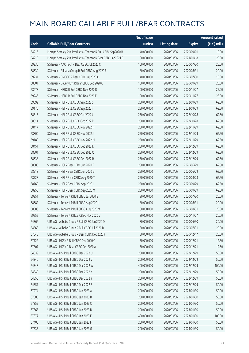|       |                                                              | No. of issue |                     |               | <b>Amount raised</b> |
|-------|--------------------------------------------------------------|--------------|---------------------|---------------|----------------------|
| Code  | <b>Callable Bull/Bear Contracts</b>                          | (units)      | <b>Listing date</b> | <b>Expiry</b> | (HK\$ mil.)          |
| 54216 | Morgan Stanley Asia Products - Tencent R Bull CBBC Sep2020 B | 40,000,000   | 2020/03/06          | 2020/09/01    | 10.00                |
| 54219 | Morgan Stanley Asia Products - Tencent R Bear CBBC Jan2021 B | 80,000,000   | 2020/03/06          | 2021/01/18    | 20.00                |
| 59230 | SG Issuer - AAC Tech R Bear CBBC Jul 2020 C                  | 100,000,000  | 2020/03/06          | 2020/07/30    | 25.00                |
| 58639 | SG Issuer - Alibaba Group R Bull CBBC Aug 2020 E             | 80,000,000   | 2020/03/06          | 2020/08/31    | 20.00                |
| 59231 | SG Issuer - CNOOC R Bear CBBC Jul 2020 A                     | 40,000,000   | 2020/03/06          | 2020/07/30    | 10.00                |
| 58801 | SG Issuer - Galaxy Ent R Bear CBBC Sep 2020 C                | 100,000,000  | 2020/03/06          | 2020/09/29    | 25.00                |
| 58678 | SG Issuer - HSBC R Bull CBBC Nov 2020 D                      | 100,000,000  | 2020/03/06          | 2020/11/27    | 25.00                |
| 59246 | SG Issuer - HSBC R Bull CBBC Nov 2020 E                      | 100,000,000  | 2020/03/06          | 2020/11/27    | 25.00                |
| 59092 | SG Issuer - HSI R Bull CBBC Sep 2022 S                       | 250,000,000  | 2020/03/06          | 2022/09/29    | 62.50                |
| 59176 | SG Issuer - HSI R Bull CBBC Sep 2022 T                       | 250,000,000  | 2020/03/06          | 2022/09/29    | 62.50                |
| 58315 | SG Issuer - HSI R Bull CBBC Oct 2022 J                       | 250,000,000  | 2020/03/06          | 2022/10/28    | 62.50                |
| 58314 | SG Issuer - HSI R Bull CBBC Oct 2022 R                       | 250,000,000  | 2020/03/06          | 2022/10/28    | 62.50                |
| 58417 | SG Issuer - HSI R Bull CBBC Nov 2022 H                       | 250,000,000  | 2020/03/06          | 2022/11/29    | 62.50                |
| 58800 | SG Issuer - HSI R Bull CBBC Nov 2022 J                       | 250,000,000  | 2020/03/06          | 2022/11/29    | 62.50                |
| 59180 | SG Issuer - HSI R Bull CBBC Nov 2022 M                       | 250,000,000  | 2020/03/06          | 2022/11/29    | 62.50                |
| 58451 | SG Issuer - HSI R Bull CBBC Dec 2022 L                       | 250,000,000  | 2020/03/06          | 2022/12/29    | 62.50                |
| 58501 | SG Issuer - HSI R Bull CBBC Dec 2022 Q                       | 250,000,000  | 2020/03/06          | 2022/12/29    | 62.50                |
| 58638 | SG Issuer - HSI R Bull CBBC Dec 2022 R                       | 250,000,000  | 2020/03/06          | 2022/12/29    | 62.50                |
| 58686 | SG Issuer - HSI R Bear CBBC Jun 2020 F                       | 250,000,000  | 2020/03/06          | 2020/06/29    | 62.50                |
| 58918 | SG Issuer - HSI R Bear CBBC Jun 2020 G                       | 250,000,000  | 2020/03/06          | 2020/06/29    | 62.50                |
| 58728 | SG Issuer - HSI R Bear CBBC Aug 2020 T                       | 250,000,000  | 2020/03/06          | 2020/08/28    | 62.50                |
| 58760 | SG Issuer - HSI R Bear CBBC Sep 2020 L                       | 250,000,000  | 2020/03/06          | 2020/09/29    | 62.50                |
| 58950 | SG Issuer - HSI R Bear CBBC Sep 2020 M                       | 250,000,000  | 2020/03/06          | 2020/09/29    | 62.50                |
| 59251 | SG Issuer - Tencent R Bull CBBC Jul 2020 B                   | 80,000,000   | 2020/03/06          | 2020/07/30    | 20.00                |
| 58682 | SG Issuer - Tencent R Bull CBBC Aug 2020 L                   | 80,000,000   | 2020/03/06          | 2020/08/31    | 20.00                |
| 58683 | SG Issuer - Tencent R Bull CBBC Aug 2020 M                   | 80,000,000   | 2020/03/06          | 2020/08/31    | 20.00                |
| 59252 | SG Issuer - Tencent R Bear CBBC Nov 2020 V                   | 80,000,000   | 2020/03/06          | 2020/11/27    | 20.00                |
| 54366 | UBS AG - Alibaba Group R Bull CBBC Jun 2020 D                | 80,000,000   | 2020/03/06          | 2020/06/30    | 20.00                |
| 54368 | UBS AG - Alibaba Group R Bull CBBC Jul 2020 B                | 80,000,000   | 2020/03/06          | 2020/07/31    | 20.00                |
| 57648 | UBS AG - Alibaba Group R Bear CBBC Dec 2020 F                | 80,000,000   | 2020/03/06          | 2020/12/17    | 20.00                |
| 57722 | UBS AG - HKEX R Bull CBBC Dec 2020 C                         | 50,000,000   | 2020/03/06          | 2020/12/21    | 12.50                |
| 57807 | UBS AG - HKEX R Bear CBBC Dec 2020 A                         | 50,000,000   | 2020/03/06          | 2020/12/21    | 12.50                |
| 54339 | UBS AG - HSI R Bull CBBC Dec 2022 U                          | 200,000,000  | 2020/03/06          | 2022/12/29    | 50.00                |
| 54340 | UBS AG - HSI R Bull CBBC Dec 2022 V                          | 200,000,000  | 2020/03/06          | 2022/12/29    | 50.00                |
| 54348 | UBS AG - HSI R Bull CBBC Dec 2022 W                          | 400,000,000  | 2020/03/06          | 2022/12/29    | 100.00               |
| 54349 | UBS AG - HSI R Bull CBBC Dec 2022 X                          | 200,000,000  | 2020/03/06          | 2022/12/29    | 50.00                |
| 54356 | UBS AG - HSI R Bull CBBC Dec 2022 Y                          | 200,000,000  | 2020/03/06          | 2022/12/29    | 50.00                |
| 54357 | UBS AG - HSI R Bull CBBC Dec 2022 Z                          | 200,000,000  | 2020/03/06          | 2022/12/29    | 50.00                |
| 57274 | UBS AG - HSI R Bull CBBC Jan 2023 A                          | 200,000,000  | 2020/03/06          | 2023/01/30    | 50.00                |
| 57300 | UBS AG - HSI R Bull CBBC Jan 2023 B                          | 200,000,000  | 2020/03/06          | 2023/01/30    | 50.00                |
| 57359 | UBS AG - HSI R Bull CBBC Jan 2023 C                          | 200,000,000  | 2020/03/06          | 2023/01/30    | 50.00                |
| 57363 | UBS AG - HSI R Bull CBBC Jan 2023 D                          | 200,000,000  | 2020/03/06          | 2023/01/30    | 50.00                |
| 57377 | UBS AG - HSI R Bull CBBC Jan 2023 E                          | 400,000,000  | 2020/03/06          | 2023/01/30    | 100.00               |
| 57400 | UBS AG - HSI R Bull CBBC Jan 2023 F                          | 200,000,000  | 2020/03/06          | 2023/01/30    | 50.00                |
| 57535 | UBS AG - HSI R Bull CBBC Jan 2023 G                          | 200,000,000  | 2020/03/06          | 2023/01/30    | 50.00                |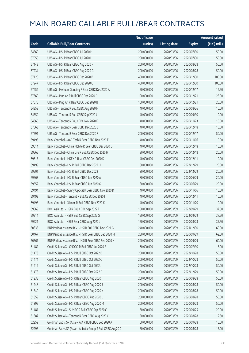|       |                                                             | No. of issue |                     |               | <b>Amount raised</b> |
|-------|-------------------------------------------------------------|--------------|---------------------|---------------|----------------------|
| Code  | <b>Callable Bull/Bear Contracts</b>                         | (units)      | <b>Listing date</b> | <b>Expiry</b> | (HK\$ mil.)          |
| 54369 | UBS AG - HSI R Bear CBBC Jul 2020 H                         | 200,000,000  | 2020/03/06          | 2020/07/30    | 50.00                |
| 57055 | UBS AG - HSI R Bear CBBC Jul 2020 I                         | 200,000,000  | 2020/03/06          | 2020/07/30    | 50.00                |
| 57143 | UBS AG - HSI R Bear CBBC Aug 2020 F                         | 200,000,000  | 2020/03/06          | 2020/08/28    | 50.00                |
| 57234 | UBS AG - HSI R Bear CBBC Aug 2020 G                         | 200,000,000  | 2020/03/06          | 2020/08/28    | 50.00                |
| 57120 | UBS AG - HSI R Bear CBBC Dec 2020 B                         | 400,000,000  | 2020/03/06          | 2020/12/30    | 100.00               |
| 57247 | UBS AG - HSI R Bear CBBC Dec 2020 C                         | 400,000,000  | 2020/03/06          | 2020/12/30    | 100.00               |
| 57654 | UBS AG - Meituan Dianping R Bear CBBC Dec 2020 A            | 50,000,000   | 2020/03/06          | 2020/12/17    | 12.50                |
| 57660 | UBS AG - Ping An R Bull CBBC Dec 2020 D                     | 100,000,000  | 2020/03/06          | 2020/12/21    | 25.00                |
| 57675 | UBS AG - Ping An R Bear CBBC Dec 2020 B                     | 100,000,000  | 2020/03/06          | 2020/12/21    | 25.00                |
| 54358 | UBS AG - Tencent R Bull CBBC Aug 2020 H                     | 40,000,000   | 2020/03/06          | 2020/08/26    | 10.00                |
| 54359 | UBS AG - Tencent R Bull CBBC Sep 2020 J                     | 40,000,000   | 2020/03/06          | 2020/09/30    | 10.00                |
| 54360 | UBS AG - Tencent R Bull CBBC Nov 2020 F                     | 40,000,000   | 2020/03/06          | 2020/11/23    | 10.00                |
| 57563 | UBS AG - Tencent R Bear CBBC Dec 2020 E                     | 40,000,000   | 2020/03/06          | 2020/12/18    | 10.00                |
| 57591 | UBS AG - Tencent R Bear CBBC Dec 2020 F                     | 200,000,000  | 2020/03/06          | 2020/12/17    | 50.00                |
| 59495 | Bank Vontobel - AAC Tech R Bear CBBC Nov 2020 E             | 40,000,000   | 2020/03/06          | 2020/11/06    | 10.00                |
| 59514 | Bank Vontobel - China Mobile R Bear CBBC Dec 2020 D         | 40,000,000   | 2020/03/06          | 2020/12/18    | 10.00                |
| 59565 | Bank Vontobel - China Life R Bull CBBC Dec 2020 H           | 80,000,000   | 2020/03/06          | 2020/12/18    | 20.00                |
| 59513 | Bank Vontobel - HKEX R Bear CBBC Dec 2020 D                 | 40,000,000   | 2020/03/06          | 2020/12/11    | 10.00                |
| 59499 | Bank Vontobel - HSI R Bull CBBC Dec 2022 H                  | 80,000,000   | 2020/03/06          | 2022/12/29    | 20.00                |
| 59501 | Bank Vontobel - HSI R Bull CBBC Dec 2022 I                  | 80,000,000   | 2020/03/06          | 2022/12/29    | 20.00                |
| 59563 | Bank Vontobel - HSI R Bear CBBC Jun 2020 A                  | 80,000,000   | 2020/03/06          | 2020/06/29    | 20.00                |
| 59552 | Bank Vontobel - HSI R Bear CBBC Jun 2020 G                  | 80,000,000   | 2020/03/06          | 2020/06/29    | 20.00                |
| 59494 | Bank Vontobel - Sunny Optical R Bear CBBC Nov 2020 D        | 40,000,000   | 2020/03/06          | 2020/11/06    | 10.00                |
| 59493 | Bank Vontobel - Tencent R Bull CBBC Dec 2020 I              | 40,000,000   | 2020/03/06          | 2020/12/11    | 10.00                |
| 59498 | Bank Vontobel - Xiaomi R Bull CBBC Nov 2020 K               | 40,000,000   | 2020/03/06          | 2020/11/20    | 10.00                |
| 59869 | BOCI Asia Ltd. - HSI R Bull CBBC Sep 2022 F                 | 150,000,000  | 2020/03/09          | 2022/09/29    | 37.50                |
| 59914 | BOCI Asia Ltd. - HSI R Bull CBBC Sep 2022 G                 | 150,000,000  | 2020/03/09          | 2022/09/29    | 37.50                |
| 59921 | BOCI Asia Ltd. - HSI R Bear CBBC Aug 2020 J                 | 150,000,000  | 2020/03/09          | 2020/08/28    | 37.50                |
| 60335 | BNP Paribas Issuance B.V. - HSI R Bull CBBC Dec 2021 G      | 240,000,000  | 2020/03/09          | 2021/12/30    | 60.00                |
| 60467 | BNP Paribas Issuance B.V. - HSI R Bear CBBC Sep 2020 M      | 250,000,000  | 2020/03/09          | 2020/09/29    | 62.50                |
| 60567 | BNP Paribas Issuance B.V. - HSI R Bear CBBC Sep 2020 N      | 240,000,000  | 2020/03/09          | 2020/09/29    | 60.00                |
| 61482 | Credit Suisse AG - CNOOC R Bull CBBC Jul 2020 B             | 60,000,000   | 2020/03/09          | 2020/07/30    | 15.00                |
| 61473 | Credit Suisse AG - HSI R Bull CBBC Oct 2022 B               | 200,000,000  | 2020/03/09          | 2022/10/28    | 50.00                |
| 61474 | Credit Suisse AG - HSI R Bull CBBC Oct 2022 C               | 200,000,000  | 2020/03/09          | 2022/10/28    | 50.00                |
| 61419 | Credit Suisse AG - HSI R Bull CBBC Oct 2022 J               | 200,000,000  | 2020/03/09          | 2022/10/28    | 50.00                |
| 61478 | Credit Suisse AG - HSI R Bull CBBC Dec 2022 D               | 200,000,000  | 2020/03/09          | 2022/12/29    | 50.00                |
| 61238 | Credit Suisse AG - HSI R Bear CBBC Aug 2020 I               | 200,000,000  | 2020/03/09          | 2020/08/28    | 50.00                |
| 61248 | Credit Suisse AG - HSI R Bear CBBC Aug 2020 J               | 200,000,000  | 2020/03/09          | 2020/08/28    | 50.00                |
| 61340 | Credit Suisse AG - HSI R Bear CBBC Aug 2020 K               | 200,000,000  | 2020/03/09          | 2020/08/28    | 50.00                |
| 61359 | Credit Suisse AG - HSI R Bear CBBC Aug 2020 L               | 200,000,000  | 2020/03/09          | 2020/08/28    | 50.00                |
| 61395 | Credit Suisse AG - HSI R Bear CBBC Aug 2020 M               | 200,000,000  | 2020/03/09          | 2020/08/28    | 50.00                |
| 61481 | Credit Suisse AG - SUNAC R Bull CBBC Sep 2020 C             | 80,000,000   | 2020/03/09          | 2020/09/25    | 20.00                |
| 61387 | Credit Suisse AG - Tencent R Bear CBBC Aug 2020 C           | 50,000,000   | 2020/03/09          | 2020/08/28    | 12.50                |
| 62259 | Goldman Sachs SP (Asia) - AIA R Bull CBBC Sep 2020 A        | 60,000,000   | 2020/03/09          | 2020/09/28    | 15.00                |
| 62296 | Goldman Sachs SP (Asia) - Alibaba Group R Bull CBBC Aug20 G | 60,000,000   | 2020/03/09          | 2020/08/28    | 15.00                |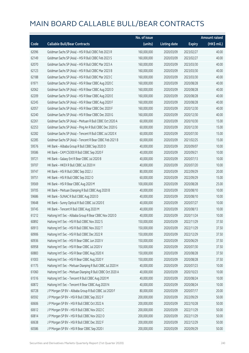|       |                                                             | No. of issue |                     |               | <b>Amount raised</b> |
|-------|-------------------------------------------------------------|--------------|---------------------|---------------|----------------------|
| Code  | <b>Callable Bull/Bear Contracts</b>                         | (units)      | <b>Listing date</b> | <b>Expiry</b> | (HK\$ mil.)          |
| 62096 | Goldman Sachs SP (Asia) - HSI R Bull CBBC Feb 2023 R        | 160,000,000  | 2020/03/09          | 2023/02/27    | 40.00                |
| 62149 | Goldman Sachs SP (Asia) - HSI R Bull CBBC Feb 2023 S        | 160,000,000  | 2020/03/09          | 2023/02/27    | 40.00                |
| 62070 | Goldman Sachs SP (Asia) - HSI R Bull CBBC Mar 2023 A        | 160,000,000  | 2020/03/09          | 2023/03/30    | 40.00                |
| 62123 | Goldman Sachs SP (Asia) - HSI R Bull CBBC Mar 2023 B        | 160,000,000  | 2020/03/09          | 2023/03/30    | 40.00                |
| 62188 | Goldman Sachs SP (Asia) - HSI R Bull CBBC Mar 2023 C        | 160,000,000  | 2020/03/09          | 2023/03/30    | 40.00                |
| 61971 | Goldman Sachs SP (Asia) - HSI R Bear CBBC Aug 2020 C        | 160,000,000  | 2020/03/09          | 2020/08/28    | 40.00                |
| 62062 | Goldman Sachs SP (Asia) - HSI R Bear CBBC Aug 2020 D        | 160,000,000  | 2020/03/09          | 2020/08/28    | 40.00                |
| 62209 | Goldman Sachs SP (Asia) - HSI R Bear CBBC Aug 2020 E        | 160,000,000  | 2020/03/09          | 2020/08/28    | 40.00                |
| 62245 | Goldman Sachs SP (Asia) - HSI R Bear CBBC Aug 2020 F        | 160,000,000  | 2020/03/09          | 2020/08/28    | 40.00                |
| 62057 | Goldman Sachs SP (Asia) - HSI R Bear CBBC Dec 2020 F        | 160,000,000  | 2020/03/09          | 2020/12/30    | 40.00                |
| 62240 | Goldman Sachs SP (Asia) - HSI R Bear CBBC Dec 2020 G        | 160,000,000  | 2020/03/09          | 2020/12/30    | 40.00                |
| 62261 | Goldman Sachs SP (Asia) - Meituan R Bull CBBC Oct 2020 A    | 60,000,000   | 2020/03/09          | 2020/10/30    | 15.00                |
| 62253 | Goldman Sachs SP (Asia) - Ping An R Bull CBBC Dec 2020 G    | 60,000,000   | 2020/03/09          | 2020/12/30    | 15.00                |
| 62282 | Goldman Sachs SP (Asia) - Tencent R Bull CBBC Jul 2020 X    | 60,000,000   | 2020/03/09          | 2020/07/30    | 15.00                |
| 62285 | Goldman Sachs SP (Asia) - Tencent R Bear CBBC Feb 2021 B    | 60,000,000   | 2020/03/09          | 2021/02/25    | 15.00                |
| 59576 | HK Bank - Alibaba Group R Bull CBBC Sep 2020 D              | 40,000,000   | 2020/03/09          | 2020/09/07    | 10.00                |
| 59586 | HK Bank - CAM CSI300 R Bull CBBC Sep 2020 F                 | 40,000,000   | 2020/03/09          | 2020/09/21    | 10.00                |
| 59721 | HK Bank - Galaxy Ent R Bear CBBC Jul 2020 B                 | 40,000,000   | 2020/03/09          | 2020/07/13    | 10.00                |
| 59707 | HK Bank - HKEX R Bull CBBC Jul 2020 H                       | 40,000,000   | 2020/03/09          | 2020/07/20    | 10.00                |
| 59747 | HK Bank - HSI R Bull CBBC Sep 2022 J                        | 80,000,000   | 2020/03/09          | 2022/09/29    | 20.00                |
| 59751 | HK Bank - HSI R Bull CBBC Sep 2022 O                        | 60,000,000   | 2020/03/09          | 2022/09/29    | 15.00                |
| 59569 | HK Bank - HSI R Bear CBBC Aug 2020 M                        | 100,000,000  | 2020/03/09          | 2020/08/28    | 25.00                |
| 59705 | HK Bank - Meituan Dianping R Bull CBBC Aug 2020 B           | 40,000,000   | 2020/03/09          | 2020/08/10    | 10.00                |
| 59686 | HK Bank - SUNAC R Bull CBBC Aug 2020 D                      | 40,000,000   | 2020/03/09          | 2020/08/10    | 10.00                |
| 59648 | HK Bank - Sunny Optical R Bull CBBC Jul 2020 E              | 40,000,000   | 2020/03/09          | 2020/07/27    | 10.00                |
| 59745 | HK Bank - Tencent R Bull CBBC Aug 2020 M                    | 40,000,000   | 2020/03/09          | 2020/08/13    | 10.00                |
| 61212 | Haitong Int'l Sec - Alibaba Group R Bear CBBC Nov 2020 D    | 40,000,000   | 2020/03/09          | 2020/11/24    | 10.00                |
| 60892 | Haitong Int'l Sec - HSI R Bull CBBC Nov 2022 S              | 150,000,000  | 2020/03/09          | 2022/11/29    | 37.50                |
| 60913 | Haitong Int'l Sec - HSI R Bull CBBC Nov 2022 T              | 150,000,000  | 2020/03/09          | 2022/11/29    | 37.50                |
| 60906 | Haitong Int'l Sec - HSI R Bull CBBC Dec 2022 R              | 150,000,000  | 2020/03/09          | 2022/12/29    | 37.50                |
| 60936 | Haitong Int'l Sec - HSI R Bear CBBC Jun 2020 V              | 150,000,000  | 2020/03/09          | 2020/06/29    | 37.50                |
| 60958 | Haitong Int'l Sec - HSI R Bear CBBC Jul 2020 V              | 150,000,000  | 2020/03/09          | 2020/07/30    | 37.50                |
| 60883 | Haitong Int'l Sec - HSI R Bear CBBC Aug 2020 X              | 150,000,000  | 2020/03/09          | 2020/08/28    | 37.50                |
| 61003 | Haitong Int'l Sec - HSI R Bear CBBC Aug 2020 Y              | 150,000,000  | 2020/03/09          | 2020/08/28    | 37.50                |
| 61175 | Haitong Int'l Sec - Meituan Dianping R Bull CBBC Jul 2020 H | 40,000,000   | 2020/03/09          | 2020/07/23    | 10.00                |
| 61060 | Haitong Int'l Sec - Meituan Dianping R Bull CBBC Oct 2020 A | 40,000,000   | 2020/03/09          | 2020/10/23    | 10.00                |
| 61516 | Haitong Int'l Sec - Tencent R Bull CBBC Aug 2020 M          | 40,000,000   | 2020/03/09          | 2020/08/24    | 10.00                |
| 60872 | Haitong Int'l Sec - Tencent R Bear CBBC Aug 2020 N          | 40,000,000   | 2020/03/09          | 2020/08/24    | 10.00                |
| 60728 | J P Morgan SP BV - Alibaba Group R Bull CBBC Jul 2020 F     | 80,000,000   | 2020/03/09          | 2020/07/17    | 20.00                |
| 60592 | J P Morgan SP BV - HSI R Bull CBBC Sep 2022 F               | 200,000,000  | 2020/03/09          | 2022/09/29    | 50.00                |
| 60606 | J P Morgan SP BV - HSI R Bull CBBC Oct 2022 A               | 200,000,000  | 2020/03/09          | 2022/10/28    | 50.00                |
| 60612 | J P Morgan SP BV - HSI R Bull CBBC Nov 2022 C               | 200,000,000  | 2020/03/09          | 2022/11/29    | 50.00                |
| 60814 | J P Morgan SP BV - HSI R Bull CBBC Nov 2022 O               | 200,000,000  | 2020/03/09          | 2022/11/29    | 50.00                |
| 60638 | J P Morgan SP BV - HSI R Bull CBBC Dec 2022 F               | 200,000,000  | 2020/03/09          | 2022/12/29    | 50.00                |
| 60586 | J P Morgan SP BV - HSI R Bear CBBC Sep 2020 I               | 200,000,000  | 2020/03/09          | 2020/09/29    | 50.00                |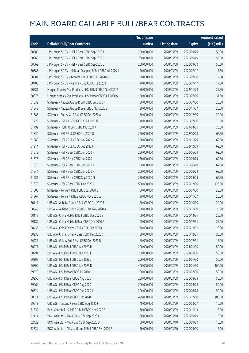| <b>Callable Bull/Bear Contracts</b><br>(units)<br>Code<br><b>Listing date</b>                   | <b>Expiry</b> | (HK\$ mil.) |
|-------------------------------------------------------------------------------------------------|---------------|-------------|
|                                                                                                 |               |             |
| 200,000,000<br>60589<br>J P Morgan SP BV - HSI R Bear CBBC Sep 2020 J<br>2020/03/09             | 2020/09/29    | 50.00       |
| 60665<br>J P Morgan SP BV - HSI R Bear CBBC Sep 2020 K<br>200,000,000<br>2020/03/09             | 2020/09/29    | 50.00       |
| 60669<br>J P Morgan SP BV - HSI R Bear CBBC Sep 2020 L<br>200,000,000<br>2020/03/09             | 2020/09/29    | 50.00       |
| 60683<br>J P Morgan SP BV - Meituan Dianping R Bull CBBC Jul 2020 J<br>70,000,000<br>2020/03/09 | 2020/07/17    | 17.50       |
| 60681<br>J P Morgan SP BV - Tencent R Bull CBBC Jul 2020 N<br>50,000,000<br>2020/03/09          | 2020/07/10    | 12.50       |
| 60700<br>J P Morgan SP BV - Xiaomi R Bull CBBC Jul 2020 I<br>70,000,000<br>2020/03/09           | 2020/07/17    | 17.50       |
| 60581<br>Morgan Stanley Asia Products - HSI R Bull CBBC Nov 2022 P<br>150,000,000<br>2020/03/09 | 2022/11/29    | 37.50       |
| 60576<br>Morgan Stanley Asia Products - HSI R Bear CBBC Jul 2020 S<br>150,000,000<br>2020/03/09 | 2020/07/30    | 37.50       |
| SG Issuer - Alibaba Group R Bull CBBC Jul 2020 N<br>61632<br>80,000,000<br>2020/03/09           | 2020/07/30    | 20.00       |
| 61549<br>SG Issuer - Alibaba Group R Bear CBBC Nov 2020 E<br>80,000,000<br>2020/03/09           | 2020/11/27    | 20.00       |
| 61688<br>SG Issuer - Bud Apac R Bull CBBC Dec 2020 A<br>80,000,000<br>2020/03/09                | 2020/12/30    | 20.00       |
| 61723<br>SG Issuer - CNOOC R Bull CBBC Jul 2020 D<br>40,000,000<br>2020/03/09                   | 2020/07/30    | 10.00       |
| SG Issuer - HSBC R Bull CBBC Mar 2021 A<br>61792<br>100,000,000<br>2020/03/09                   | 2021/03/31    | 25.00       |
| 61834<br>SG Issuer - HSI R Bull CBBC Oct 2022 O<br>250,000,000<br>2020/03/09                    | 2022/10/28    | 62.50       |
| SG Issuer - HSI R Bull CBBC Nov 2022 R<br>61860<br>250,000,000<br>2020/03/09                    | 2022/11/29    | 62.50       |
| 61914<br>SG Issuer - HSI R Bull CBBC Dec 2022 M<br>250,000,000<br>2020/03/09                    | 2022/12/29    | 62.50       |
| SG Issuer - HSI R Bear CBBC Jun 2020 H<br>61573<br>250,000,000<br>2020/03/09                    | 2020/06/29    | 62.50       |
| 61578<br>SG Issuer - HSI R Bear CBBC Jun 2020 I<br>250,000,000<br>2020/03/09                    | 2020/06/29    | 62.50       |
| 61918<br>SG Issuer - HSI R Bear CBBC Jun 2020 J<br>250,000,000<br>2020/03/09                    | 2020/06/29    | 62.50       |
| SG Issuer - HSI R Bear CBBC Jun 2020 K<br>61944<br>250,000,000<br>2020/03/09                    | 2020/06/29    | 62.50       |
| SG Issuer - HSI R Bear CBBC Sep 2020 N<br>61951<br>250,000,000<br>2020/03/09                    | 2020/09/29    | 62.50       |
| 61579<br>SG Issuer - HSI R Bear CBBC Dec 2020 C<br>500,000,000<br>2020/03/09                    | 2020/12/30    | 125.00      |
| SG Issuer - Tencent R Bull CBBC Jul 2020 D<br>61805<br>80,000,000<br>2020/03/09                 | 2020/07/30    | 20.00       |
| SG Issuer - Tencent R Bear CBBC Nov 2020 W<br>61567<br>80,000,000<br>2020/03/09                 | 2020/11/27    | 20.00       |
| UBS AG - Alibaba Group R Bull CBBC Oct 2020 E<br>60111<br>80,000,000<br>2020/03/09              | 2020/10/30    | 20.00       |
| 60043<br>UBS AG - Alibaba Group R Bear CBBC Nov 2020 A<br>80,000,000<br>2020/03/09              | 2020/11/30    | 20.00       |
| 60112<br>UBS AG - China Mobile R Bull CBBC Dec 2020 B<br>100,000,000<br>2020/03/09              | 2020/12/31    | 25.00       |
| 2020/03/09<br>60180<br>UBS AG – China Mobile R Bear CBBC Dec 2020 A<br>100,000,000              | 2020/12/31    | 25.00       |
| 60233<br>UBS AG - China Tower R Bull CBBC Dec 2020 C<br>80,000,000<br>2020/03/09                | 2020/12/31    | 20.00       |
| 60238<br>UBS AG - China Tower R Bear CBBC Dec 2020 C<br>80,000,000<br>2020/03/09                | 2020/12/31    | 20.00       |
| 60227<br>UBS AG - Galaxy Ent R Bull CBBC Dec 2020 B<br>60,000,000<br>2020/03/09                 | 2020/12/31    | 15.00       |
| 60277<br>UBS AG - HSI R Bull CBBC Jan 2023 H<br>200,000,000<br>2020/03/09                       | 2023/01/30    | 50.00       |
| 60294<br>UBS AG - HSI R Bull CBBC Jan 2023 I<br>200,000,000<br>2020/03/09                       | 2023/01/30    | 50.00       |
| 60302<br>UBS AG - HSI R Bull CBBC Jan 2023 J<br>200,000,000<br>2020/03/09                       | 2023/01/30    | 50.00       |
| 60304<br>UBS AG - HSI R Bull CBBC Jan 2023 K<br>400,000,000<br>2020/03/09                       | 2023/01/30    | 100.00      |
| 59970<br>UBS AG - HSI R Bear CBBC Jul 2020 J<br>200,000,000<br>2020/03/09                       | 2020/07/30    | 50.00       |
| 59956<br>UBS AG - HSI R Bear CBBC Aug 2020 H<br>200,000,000<br>2020/03/09                       | 2020/08/28    | 50.00       |
| 59964<br>UBS AG - HSI R Bear CBBC Aug 2020 I<br>200,000,000<br>2020/03/09                       | 2020/08/28    | 50.00       |
| UBS AG - HSI R Bear CBBC Aug 2020 J<br>60324<br>200,000,000<br>2020/03/09                       | 2020/08/28    | 50.00       |
| 60314<br>UBS AG - HSI R Bear CBBC Dec 2020 D<br>400,000,000<br>2020/03/09                       | 2020/12/30    | 100.00      |
| 59973<br>UBS AG - Tencent R Bear CBBC Aug 2020 F<br>40,000,000<br>2020/03/09                    | 2020/08/27    | 10.00       |
| 61532<br>Bank Vontobel - SUNAC R Bull CBBC Nov 2020 E<br>60,000,000<br>2020/03/09               | 2020/11/13    | 15.00       |
| BOCI Asia Ltd. - AIA R Bull CBBC Sep 2020 A<br>60,000,000<br>2020/03/10<br>62417                | 2020/09/29    | 15.00       |
| 62429<br>BOCI Asia Ltd. - AIA R Bull CBBC Sep 2020 B<br>60,000,000<br>2020/03/10                | 2020/09/29    | 15.00       |
| BOCI Asia Ltd. - Alibaba Group R Bull CBBC Sep 2020 E<br>60,000,000<br>62634<br>2020/03/10      | 2020/09/30    | 15.00       |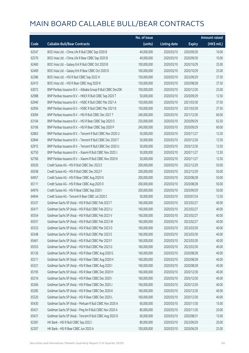|       |                                                              | No. of issue |                     |               | Amount raised |
|-------|--------------------------------------------------------------|--------------|---------------------|---------------|---------------|
| Code  | <b>Callable Bull/Bear Contracts</b>                          | (units)      | <b>Listing date</b> | <b>Expiry</b> | (HK\$ mil.)   |
| 62547 | BOCI Asia Ltd. - China Life R Bull CBBC Sep 2020 B           | 40,000,000   | 2020/03/10          | 2020/09/30    | 10.00         |
| 62570 | BOCI Asia Ltd. - China Life R Bear CBBC Sep 2020 B           | 40,000,000   | 2020/03/10          | 2020/09/30    | 10.00         |
| 62460 | BOCI Asia Ltd. - Galaxy Ent R Bull CBBC Oct 2020 B           | 100,000,000  | 2020/03/10          | 2020/10/29    | 25.00         |
| 62469 | BOCI Asia Ltd. - Galaxy Ent R Bear CBBC Oct 2020 D           | 100,000,000  | 2020/03/10          | 2020/10/29    | 25.00         |
| 62386 | BOCI Asia Ltd. - HSI R Bull CBBC Sep 2022 H                  | 150,000,000  | 2020/03/10          | 2022/09/29    | 37.50         |
| 62415 | BOCI Asia Ltd. - HSI R Bear CBBC Aug 2020 K                  | 150,000,000  | 2020/03/10          | 2020/08/28    | 37.50         |
| 63072 | BNP Paribas Issuance B.V. - Alibaba Group R Bull CBBC Dec20K | 100,000,000  | 2020/03/10          | 2020/12/30    | 25.00         |
| 62988 | BNP Paribas Issuance B.V. - HKEX R Bull CBBC Sep 2020 T      | 50,000,000   | 2020/03/10          | 2020/09/29    | 12.50         |
| 62940 | BNP Paribas Issuance B.V. - HSBC R Bull CBBC Mar 2021 A      | 150,000,000  | 2020/03/10          | 2021/03/30    | 37.50         |
| 62956 | BNP Paribas Issuance B.V. - HSBC R Bull CBBC Mar 2021 B      | 150,000,000  | 2020/03/10          | 2021/03/30    | 37.50         |
| 63094 | BNP Paribas Issuance B.V. - HSI R Bull CBBC Dec 2021 T       | 240,000,000  | 2020/03/10          | 2021/12/30    | 60.00         |
| 63104 | BNP Paribas Issuance B.V. - HSI R Bear CBBC Sep 2020 O       | 250,000,000  | 2020/03/10          | 2020/09/29    | 62.50         |
| 63106 | BNP Paribas Issuance B.V. - HSI R Bear CBBC Sep 2020 P       | 240,000,000  | 2020/03/10          | 2020/09/29    | 60.00         |
| 62863 | BNP Paribas Issuance B.V. - Tencent R Bull CBBC Nov 2020 U   | 50,000,000   | 2020/03/10          | 2020/11/27    | 12.50         |
| 62844 | BNP Paribas Issuance B.V. - Tencent R Bull CBBC Dec 2020 T   | 50,000,000   | 2020/03/10          | 2020/12/30    | 12.50         |
| 62915 | BNP Paribas Issuance B.V. - Tencent R Bull CBBC Dec 2020 U   | 50,000,000   | 2020/03/10          | 2020/12/30    | 12.50         |
| 62750 | BNP Paribas Issuance B.V. - Xiaomi R Bull CBBC Nov 2020 J    | 50,000,000   | 2020/03/10          | 2020/11/27    | 12.50         |
| 62766 | BNP Paribas Issuance B.V. - Xiaomi R Bull CBBC Nov 2020 K    | 50,000,000   | 2020/03/10          | 2020/11/27    | 12.50         |
| 65026 | Credit Suisse AG - HSI R Bull CBBC Dec 2022 E                | 200,000,000  | 2020/03/10          | 2022/12/29    | 50.00         |
| 65038 | Credit Suisse AG - HSI R Bull CBBC Dec 2022 F                | 200,000,000  | 2020/03/10          | 2022/12/29    | 50.00         |
| 64957 | Credit Suisse AG - HSI R Bear CBBC Aug 2020 N                | 200,000,000  | 2020/03/10          | 2020/08/28    | 50.00         |
| 65111 | Credit Suisse AG - HSI R Bear CBBC Aug 2020 O                | 200,000,000  | 2020/03/10          | 2020/08/28    | 50.00         |
| 64976 | Credit Suisse AG - HSI R Bear CBBC Sep 2020 I                | 200,000,000  | 2020/03/10          | 2020/09/29    | 50.00         |
| 64944 | Credit Suisse AG - Tencent R Bear CBBC Jul 2020 C            | 50,000,000   | 2020/03/10          | 2020/07/24    | 12.50         |
| 65337 | Goldman Sachs SP (Asia) - HSI R Bull CBBC Feb 2023 T         | 160,000,000  | 2020/03/10          | 2023/02/27    | 40.00         |
| 65417 | Goldman Sachs SP (Asia) - HSI R Bull CBBC Feb 2023 U         | 160,000,000  | 2020/03/10          | 2023/02/27    | 40.00         |
| 65554 | Goldman Sachs SP (Asia) - HSI R Bull CBBC Feb 2023 V         | 160,000,000  | 2020/03/10          | 2023/02/27    | 40.00         |
| 65557 | Goldman Sachs SP (Asia) - HSI R Bull CBBC Feb 2023 W         | 160,000,000  | 2020/03/10          | 2023/02/27    | 40.00         |
| 65333 | Goldman Sachs SP (Asia) - HSI R Bull CBBC Mar 2023 D         | 160,000,000  | 2020/03/10          | 2023/03/30    | 40.00         |
| 65348 | Goldman Sachs SP (Asia) - HSI R Bull CBBC Mar 2023 E         | 160,000,000  | 2020/03/10          | 2023/03/30    | 40.00         |
| 65461 | Goldman Sachs SP (Asia) - HSI R Bull CBBC Mar 2023 F         | 160,000,000  | 2020/03/10          | 2023/03/30    | 40.00         |
| 65555 | Goldman Sachs SP (Asia) - HSI R Bull CBBC Mar 2023 G         | 160,000,000  | 2020/03/10          | 2023/03/30    | 40.00         |
| 65126 | Goldman Sachs SP (Asia) - HSI R Bear CBBC Aug 2020 G         | 160,000,000  | 2020/03/10          | 2020/08/28    | 40.00         |
| 65211 | Goldman Sachs SP (Asia) - HSI R Bear CBBC Aug 2020 H         | 160,000,000  | 2020/03/10          | 2020/08/28    | 40.00         |
| 65321 | Goldman Sachs SP (Asia) - HSI R Bear CBBC Aug 2020 I         | 160,000,000  | 2020/03/10          | 2020/08/28    | 40.00         |
| 65195 | Goldman Sachs SP (Asia) - HSI R Bear CBBC Dec 2020 H         | 160,000,000  | 2020/03/10          | 2020/12/30    | 40.00         |
| 65216 | Goldman Sachs SP (Asia) - HSI R Bear CBBC Dec 2020 I         | 160,000,000  | 2020/03/10          | 2020/12/30    | 40.00         |
| 65266 | Goldman Sachs SP (Asia) - HSI R Bear CBBC Dec 2020 J         | 160,000,000  | 2020/03/10          | 2020/12/30    | 40.00         |
| 65285 | Goldman Sachs SP (Asia) - HSI R Bear CBBC Dec 2020 K         | 160,000,000  | 2020/03/10          | 2020/12/30    | 40.00         |
| 65320 | Goldman Sachs SP (Asia) - HSI R Bear CBBC Dec 2020 L         | 160,000,000  | 2020/03/10          | 2020/12/30    | 40.00         |
| 65430 | Goldman Sachs SP (Asia) - Meituan R Bull CBBC Nov 2020 A     | 60,000,000   | 2020/03/10          | 2020/11/30    | 15.00         |
| 65421 | Goldman Sachs SP (Asia) - Ping An R Bull CBBC Nov 2020 A     | 80,000,000   | 2020/03/10          | 2020/11/30    | 20.00         |
| 65431 | Goldman Sachs SP (Asia) - Tencent R Bull CBBC Aug 2020 D     | 60,000,000   | 2020/03/10          | 2020/08/31    | 15.00         |
| 62381 | HK Bank - HSI R Bull CBBC Sep 2022 I                         | 80,000,000   | 2020/03/10          | 2022/09/29    | 20.00         |
| 62307 | HK Bank - HSI R Bear CBBC Jun 2020 A                         | 100,000,000  | 2020/03/10          | 2020/06/29    | 25.00         |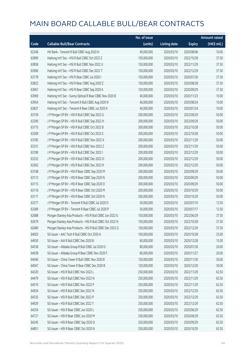|       |                                                           | No. of issue |                     |               | <b>Amount raised</b> |
|-------|-----------------------------------------------------------|--------------|---------------------|---------------|----------------------|
| Code  | <b>Callable Bull/Bear Contracts</b>                       | (units)      | <b>Listing date</b> | <b>Expiry</b> | (HK\$ mil.)          |
| 62346 | HK Bank - Tencent R Bull CBBC Aug 2020 N                  | 40,000,000   | 2020/03/10          | 2020/08/06    | 10.00                |
| 63899 | Haitong Int'l Sec - HSI R Bull CBBC Oct 2022 Z            | 150,000,000  | 2020/03/10          | 2022/10/28    | 37.50                |
| 63858 | Haitong Int'l Sec - HSI R Bull CBBC Nov 2022 U            | 150,000,000  | 2020/03/10          | 2022/11/29    | 37.50                |
| 63906 | Haitong Int'l Sec - HSI R Bull CBBC Dec 2022 T            | 150,000,000  | 2020/03/10          | 2022/12/29    | 37.50                |
| 63778 | Haitong Int'l Sec - HSI R Bear CBBC Jul 2020 I            | 150,000,000  | 2020/03/10          | 2020/07/30    | 37.50                |
| 63822 | Haitong Int'l Sec - HSI R Bear CBBC Aug 2020 Z            | 150,000,000  | 2020/03/10          | 2020/08/28    | 37.50                |
| 63967 | Haitong Int'l Sec - HSI R Bear CBBC Sep 2020 A            | 150,000,000  | 2020/03/10          | 2020/09/29    | 37.50                |
| 63969 | Haitong Int'l Sec - Sunny Optical R Bear CBBC Nov 2020 B  | 40,000,000   | 2020/03/10          | 2020/11/23    | 10.00                |
| 63954 | Haitong Int'l Sec - Tencent R Bull CBBC Aug 2020 N        | 40,000,000   | 2020/03/10          | 2020/08/24    | 10.00                |
| 63837 | Haitong Int'l Sec - Tencent R Bear CBBC Jul 2020 K        | 40,000,000   | 2020/03/10          | 2020/07/24    | 10.00                |
| 63159 | J P Morgan SP BV - HSI R Bull CBBC Sep 2022 G             | 200,000,000  | 2020/03/10          | 2022/09/29    | 50.00                |
| 63290 | J P Morgan SP BV - HSI R Bull CBBC Sep 2022 H             | 200,000,000  | 2020/03/10          | 2022/09/29    | 50.00                |
| 63175 | J P Morgan SP BV - HSI R Bull CBBC Oct 2022 B             | 200,000,000  | 2020/03/10          | 2022/10/28    | 50.00                |
| 63309 | J P Morgan SP BV - HSI R Bull CBBC Oct 2022 E             | 200,000,000  | 2020/03/10          | 2022/10/28    | 50.00                |
| 63185 | J P Morgan SP BV - HSI R Bull CBBC Nov 2022 X             | 200,000,000  | 2020/03/10          | 2022/11/29    | 50.00                |
| 63331 | J P Morgan SP BV - HSI R Bull CBBC Nov 2022 Z             | 200,000,000  | 2020/03/10          | 2022/11/29    | 50.00                |
| 63189 | J P Morgan SP BV - HSI R Bull CBBC Dec 2022 I             | 200,000,000  | 2020/03/10          | 2022/12/29    | 50.00                |
| 63332 | J P Morgan SP BV - HSI R Bull CBBC Dec 2022 O             | 200,000,000  | 2020/03/10          | 2022/12/29    | 50.00                |
| 63362 | J P Morgan SP BV - HSI R Bull CBBC Dec 2022 R             | 200,000,000  | 2020/03/10          | 2022/12/29    | 50.00                |
| 63108 | J P Morgan SP BV - HSI R Bear CBBC Sep 2020 M             | 200,000,000  | 2020/03/10          | 2020/09/29    | 50.00                |
| 63113 | J P Morgan SP BV - HSI R Bear CBBC Sep 2020 N             | 200,000,000  | 2020/03/10          | 2020/09/29    | 50.00                |
| 63115 | J P Morgan SP BV - HSI R Bear CBBC Sep 2020 O             | 200,000,000  | 2020/03/10          | 2020/09/29    | 50.00                |
| 63116 | J P Morgan SP BV - HSI R Bear CBBC Oct 2020 M             | 200,000,000  | 2020/03/10          | 2020/10/29    | 50.00                |
| 63117 | J P Morgan SP BV - HSI R Bear CBBC Oct 2020 N             | 200,000,000  | 2020/03/10          | 2020/10/29    | 50.00                |
| 63377 | J P Morgan SP BV - Tencent R Bull CBBC Jul 2020 O         | 50,000,000   | 2020/03/10          | 2020/07/10    | 12.50                |
| 63389 | J P Morgan SP BV - Tencent R Bear CBBC Jul 2020 P         | 50,000,000   | 2020/03/10          | 2020/07/17    | 12.50                |
| 62688 | Morgan Stanley Asia Products - HSI R Bull CBBC Jun 2022 G | 150,000,000  | 2020/03/10          | 2022/06/29    | 37.50                |
| 62679 | Morgan Stanley Asia Products - HSI R Bull CBBC Oct 2022 N | 150,000,000  | 2020/03/10          | 2022/10/28    | 37.50                |
| 62689 | Morgan Stanley Asia Products - HSI R Bull CBBC Dec 2022 Q | 150,000,000  | 2020/03/10          | 2022/12/29    | 37.50                |
| 64003 | SG Issuer - AAC Tech R Bull CBBC Oct 2020 A               | 100,000,000  | 2020/03/10          | 2020/10/28    | 25.00                |
| 64930 | SG Issuer - AIA R Bull CBBC Dec 2020 B                    | 60,000,000   | 2020/03/10          | 2020/12/28    | 15.00                |
| 64538 | SG Issuer - Alibaba Group R Bull CBBC Jul 2020 O          | 80,000,000   | 2020/03/10          | 2020/07/30    | 20.00                |
| 64038 | SG Issuer - Alibaba Group R Bear CBBC Nov 2020 F          | 80,000,000   | 2020/03/10          | 2020/11/27    | 20.00                |
| 64046 | SG Issuer - China Tower R Bull CBBC Nov 2020 B            | 120,000,000  | 2020/03/10          | 2020/11/30    | 30.00                |
| 64047 | SG Issuer - China Tower R Bear CBBC Dec 2020 B            | 120,000,000  | 2020/03/10          | 2020/12/30    | 30.00                |
| 64320 | SG Issuer - HSI R Bull CBBC Nov 2022 L                    | 250,000,000  | 2020/03/10          | 2022/11/29    | 62.50                |
| 64479 | SG Issuer - HSI R Bull CBBC Nov 2022 N                    | 250,000,000  | 2020/03/10          | 2022/11/29    | 62.50                |
| 64519 | SG Issuer - HSI R Bull CBBC Nov 2022 P                    | 250,000,000  | 2020/03/10          | 2022/11/29    | 62.50                |
| 64924 | SG Issuer - HSI R Bull CBBC Dec 2022 N                    | 250,000,000  | 2020/03/10          | 2022/12/29    | 62.50                |
| 64535 | SG Issuer - HSI R Bull CBBC Dec 2022 P                    | 250,000,000  | 2020/03/10          | 2022/12/29    | 62.50                |
| 64929 | SG Issuer - HSI R Bull CBBC Dec 2022 T                    | 250,000,000  | 2020/03/10          | 2022/12/29    | 62.50                |
| 64254 | SG Issuer - HSI R Bear CBBC Jun 2020 L                    | 250,000,000  | 2020/03/10          | 2020/06/29    | 62.50                |
| 64721 | SG Issuer - HSI R Bear CBBC Jun 2020 M                    | 250,000,000  | 2020/03/10          | 2020/06/29    | 62.50                |
| 64245 | SG Issuer - HSI R Bear CBBC Sep 2020 O                    | 250,000,000  | 2020/03/10          | 2020/09/29    | 62.50                |
| 64851 | SG Issuer - HSI R Bear CBBC Oct 2020 N                    | 250,000,000  | 2020/03/10          | 2020/10/29    | 62.50                |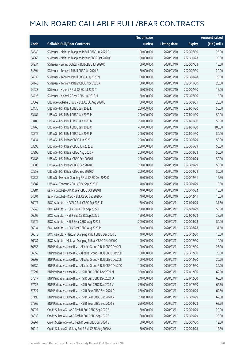|       |                                                              | No. of issue |                     |               | <b>Amount raised</b> |
|-------|--------------------------------------------------------------|--------------|---------------------|---------------|----------------------|
| Code  | <b>Callable Bull/Bear Contracts</b>                          | (units)      | <b>Listing date</b> | <b>Expiry</b> | (HK\$ mil.)          |
| 64549 | SG Issuer - Meituan Dianping R Bull CBBC Jul 2020 O          | 100,000,000  | 2020/03/10          | 2020/07/30    | 25.00                |
| 64060 | SG Issuer - Meituan Dianping R Bear CBBC Oct 2020 C          | 100,000,000  | 2020/03/10          | 2020/10/28    | 25.00                |
| 64934 | SG Issuer - Sunny Optical R Bull CBBC Jul 2020 D             | 60,000,000   | 2020/03/10          | 2020/07/28    | 15.00                |
| 64594 | SG Issuer - Tencent R Bull CBBC Jul 2020 E                   | 80,000,000   | 2020/03/10          | 2020/07/30    | 20.00                |
| 64939 | SG Issuer - Tencent R Bull CBBC Aug 2020 N                   | 80,000,000   | 2020/03/10          | 2020/08/28    | 20.00                |
| 64143 | SG Issuer - Tencent R Bear CBBC Nov 2020 X                   | 80,000,000   | 2020/03/10          | 2020/11/30    | 20.00                |
| 64633 | SG Issuer - Xiaomi R Bull CBBC Jul 2020 T                    | 60,000,000   | 2020/03/10          | 2020/07/30    | 15.00                |
| 64226 | SG Issuer - Xiaomi R Bear CBBC Jul 2020 H                    | 60,000,000   | 2020/03/10          | 2020/07/30    | 15.00                |
| 63669 | UBS AG - Alibaba Group R Bull CBBC Aug 2020 C                | 80,000,000   | 2020/03/10          | 2020/08/31    | 20.00                |
| 63436 | UBS AG - HSI R Bull CBBC Jan 2023 L                          | 200,000,000  | 2020/03/10          | 2023/01/30    | 50.00                |
| 63481 | UBS AG - HSI R Bull CBBC Jan 2023 M                          | 200,000,000  | 2020/03/10          | 2023/01/30    | 50.00                |
| 63485 | UBS AG - HSI R Bull CBBC Jan 2023 N                          | 200,000,000  | 2020/03/10          | 2023/01/30    | 50.00                |
| 63765 | UBS AG - HSI R Bull CBBC Jan 2023 O                          | 400,000,000  | 2020/03/10          | 2023/01/30    | 100.00               |
| 63777 | UBS AG - HSI R Bull CBBC Jan 2023 P                          | 200,000,000  | 2020/03/10          | 2023/01/30    | 50.00                |
| 63434 | UBS AG - HSI R Bear CBBC Jun 2020 J                          | 200,000,000  | 2020/03/10          | 2020/06/29    | 50.00                |
| 63393 | UBS AG - HSI R Bear CBBC Jun 2020 Z                          | 200,000,000  | 2020/03/10          | 2020/06/29    | 50.00                |
| 63395 | UBS AG - HSI R Bear CBBC Aug 2020 K                          | 200,000,000  | 2020/03/10          | 2020/08/28    | 50.00                |
| 63488 | UBS AG - HSI R Bear CBBC Sep 2020 B                          | 200,000,000  | 2020/03/10          | 2020/09/29    | 50.00                |
| 63503 | UBS AG - HSI R Bear CBBC Sep 2020 C                          | 200,000,000  | 2020/03/10          | 2020/09/29    | 50.00                |
| 63558 | UBS AG - HSI R Bear CBBC Sep 2020 D                          | 200,000,000  | 2020/03/10          | 2020/09/29    | 50.00                |
| 63737 | UBS AG - Meituan Dianping R Bull CBBC Dec 2020 C             | 50,000,000   | 2020/03/10          | 2020/12/31    | 12.50                |
| 63587 | UBS AG - Tencent R Bull CBBC Sep 2020 K                      | 40,000,000   | 2020/03/10          | 2020/09/29    | 10.00                |
| 63984 | Bank Vontobel - AIA R Bear CBBC Oct 2020 B                   | 40,000,000   | 2020/03/10          | 2020/10/23    | 10.00                |
| 64001 | Bank Vontobel - ICBC R Bull CBBC Dec 2020 A                  | 40,000,000   | 2020/03/10          | 2020/12/11    | 10.00                |
| 66071 | BOCI Asia Ltd. - HSCEI R Bull CBBC Sep 2021 F                | 150,000,000  | 2020/03/11          | 2021/09/29    | 37.50                |
| 65940 | BOCI Asia Ltd. - HSI R Bull CBBC Sep 2022 I                  | 200,000,000  | 2020/03/11          | 2022/09/29    | 50.00                |
| 66002 | BOCI Asia Ltd. - HSI R Bull CBBC Sep 2022 J                  | 150,000,000  | 2020/03/11          | 2022/09/29    | 37.50                |
| 65976 | BOCI Asia Ltd. - HSI R Bear CBBC Aug 2020 L                  | 200,000,000  | 2020/03/11          | 2020/08/28    | 50.00                |
| 66034 | BOCI Asia Ltd. - HSI R Bear CBBC Aug 2020 M                  | 150,000,000  | 2020/03/11          | 2020/08/28    | 37.50                |
| 66078 | BOCI Asia Ltd. - Meituan Dianping R Bull CBBC Dec 2020 C     | 40,000,000   | 2020/03/11          | 2020/12/30    | 10.00                |
| 66081 | BOCI Asia Ltd. - Meituan Dianping R Bear CBBC Dec 2020 C     | 40,000,000   | 2020/03/11          | 2020/12/30    | 10.00                |
| 66558 | BNP Paribas Issuance B.V. - Alibaba Group R Bull CBBC Dec20L | 100,000,000  | 2020/03/11          | 2020/12/30    | 25.00                |
| 66559 | BNP Paribas Issuance B.V. - Alibaba Group R Bull CBBC Dec20M | 100,000,000  | 2020/03/11          | 2020/12/30    | 26.00                |
| 66568 | BNP Paribas Issuance B.V. - Alibaba Group R Bull CBBC Dec20N | 100,000,000  | 2020/03/11          | 2020/12/30    | 30.00                |
| 66580 | BNP Paribas Issuance B.V. - Alibaba Group R Bull CBBC Dec200 | 100,000,000  | 2020/03/11          | 2020/12/30    | 34.00                |
| 67291 | BNP Paribas Issuance B.V. - HSI R Bull CBBC Dec 2021 N       | 250,000,000  | 2020/03/11          | 2021/12/30    | 62.50                |
| 67317 | BNP Paribas Issuance B.V. - HSI R Bull CBBC Dec 2021 U       | 240,000,000  | 2020/03/11          | 2021/12/30    | 60.00                |
| 67225 | BNP Paribas Issuance B.V. - HSI R Bull CBBC Dec 2021 V       | 250,000,000  | 2020/03/11          | 2021/12/30    | 62.50                |
| 67327 | BNP Paribas Issuance B.V. - HSI R Bear CBBC Sep 2020 Q       | 250,000,000  | 2020/03/11          | 2020/09/29    | 62.50                |
| 67498 | BNP Paribas Issuance B.V. - HSI R Bear CBBC Sep 2020 R       | 250,000,000  | 2020/03/11          | 2020/09/29    | 62.50                |
| 67565 | BNP Paribas Issuance B.V. - HSI R Bear CBBC Sep 2020 S       | 250,000,000  | 2020/03/11          | 2020/09/29    | 62.50                |
| 66921 | Credit Suisse AG - AAC Tech R Bull CBBC Sep 2020 B           | 80,000,000   | 2020/03/11          | 2020/09/29    | 20.00                |
| 66930 | Credit Suisse AG - AAC Tech R Bull CBBC Sep 2020 C           | 80,000,000   | 2020/03/11          | 2020/09/29    | 20.00                |
| 66961 | Credit Suisse AG - AAC Tech R Bear CBBC Jul 2020 B           | 50,000,000   | 2020/03/11          | 2020/07/30    | 12.50                |
| 66919 | Credit Suisse AG - Galaxy Ent R Bull CBBC Aug 2020 A         | 50,000,000   | 2020/03/11          | 2020/08/28    | 12.50                |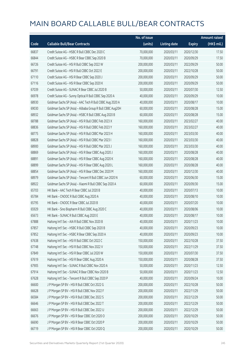|       |                                                            | No. of issue |                     |               | <b>Amount raised</b> |
|-------|------------------------------------------------------------|--------------|---------------------|---------------|----------------------|
| Code  | <b>Callable Bull/Bear Contracts</b>                        | (units)      | <b>Listing date</b> | <b>Expiry</b> | (HK\$ mil.)          |
| 66837 | Credit Suisse AG - HSBC R Bull CBBC Dec 2020 C             | 70,000,000   | 2020/03/11          | 2020/12/30    | 17.50                |
| 66844 | Credit Suisse AG - HSBC R Bear CBBC Sep 2020 B             | 70,000,000   | 2020/03/11          | 2020/09/29    | 17.50                |
| 66726 | Credit Suisse AG - HSI R Bull CBBC Sep 2022 W              | 200,000,000  | 2020/03/11          | 2022/09/29    | 50.00                |
| 66791 | Credit Suisse AG - HSI R Bull CBBC Oct 2022 E              | 200,000,000  | 2020/03/11          | 2022/10/28    | 50.00                |
| 67110 | Credit Suisse AG - HSI R Bear CBBC Sep 2020 J              | 200,000,000  | 2020/03/11          | 2020/09/29    | 50.00                |
| 67116 | Credit Suisse AG - HSI R Bear CBBC Sep 2020 K              | 200,000,000  | 2020/03/11          | 2020/09/29    | 50.00                |
| 67039 | Credit Suisse AG - SUNAC R Bear CBBC Jul 2020 B            | 50,000,000   | 2020/03/11          | 2020/07/30    | 12.50                |
| 66978 | Credit Suisse AG - Sunny Optical R Bull CBBC Sep 2020 A    | 40,000,000   | 2020/03/11          | 2020/09/29    | 10.00                |
| 68930 | Goldman Sachs SP (Asia) - AAC Tech R Bull CBBC Aug 2020 A  | 40,000,000   | 2020/03/11          | 2020/08/17    | 10.00                |
| 69030 | Goldman Sachs SP (Asia) - Alibaba Group R Bull CBBC Aug20H | 60,000,000   | 2020/03/11          | 2020/08/28    | 15.00                |
| 68932 | Goldman Sachs SP (Asia) - HSBC R Bull CBBC Aug 2020 B      | 60,000,000   | 2020/03/11          | 2020/08/28    | 15.00                |
| 68788 | Goldman Sachs SP (Asia) - HSI R Bull CBBC Feb 2023 X       | 160,000,000  | 2020/03/11          | 2023/02/27    | 40.00                |
| 68836 | Goldman Sachs SP (Asia) - HSI R Bull CBBC Feb 2023 Y       | 160,000,000  | 2020/03/11          | 2023/02/27    | 40.00                |
| 68775 | Goldman Sachs SP (Asia) - HSI R Bull CBBC Mar 2023 H       | 160,000,000  | 2020/03/11          | 2023/03/30    | 40.00                |
| 68828 | Goldman Sachs SP (Asia) - HSI R Bull CBBC Mar 2023 I       | 160,000,000  | 2020/03/11          | 2023/03/30    | 40.00                |
| 68900 | Goldman Sachs SP (Asia) - HSI R Bull CBBC Mar 2023 J       | 160,000,000  | 2020/03/11          | 2023/03/30    | 40.00                |
| 68869 | Goldman Sachs SP (Asia) - HSI R Bear CBBC Aug 2020 J       | 160,000,000  | 2020/03/11          | 2020/08/28    | 40.00                |
| 68891 | Goldman Sachs SP (Asia) - HSI R Bear CBBC Aug 2020 K       | 160,000,000  | 2020/03/11          | 2020/08/28    | 40.00                |
| 68899 | Goldman Sachs SP (Asia) - HSI R Bear CBBC Aug 2020 L       | 160,000,000  | 2020/03/11          | 2020/08/28    | 40.00                |
| 68854 | Goldman Sachs SP (Asia) - HSI R Bear CBBC Dec 2020 M       | 160,000,000  | 2020/03/11          | 2020/12/30    | 40.00                |
| 68979 | Goldman Sachs SP (Asia) - Tencent R Bull CBBC Jun 2020 N   | 60,000,000   | 2020/03/11          | 2020/06/30    | 15.00                |
| 68922 | Goldman Sachs SP (Asia) - Xiaomi R Bull CBBC Sep 2020 A    | 60,000,000   | 2020/03/11          | 2020/09/30    | 15.00                |
| 65703 | HK Bank - AAC Tech R Bear CBBC Jul 2020 B                  | 40,000,000   | 2020/03/11          | 2020/07/13    | 10.00                |
| 65784 | HK Bank - CNOOC R Bull CBBC Aug 2020 A                     | 40,000,000   | 2020/03/11          | 2020/08/10    | 10.00                |
| 65795 | HK Bank - CNOOC R Bear CBBC Jul 2020 B                     | 40,000,000   | 2020/03/11          | 2020/07/20    | 10.00                |
| 65929 | HK Bank - Sino Biopharm R Bull CBBC Aug 2020 C             | 40,000,000   | 2020/03/11          | 2020/08/06    | 10.00                |
| 65673 | HK Bank - SUNAC R Bull CBBC Aug 2020 E                     | 40,000,000   | 2020/03/11          | 2020/08/17    | 10.00                |
| 67888 | Haitong Int'l Sec - AIA R Bull CBBC Nov 2020 B             | 40,000,000   | 2020/03/11          | 2020/11/23    | 10.00                |
| 67857 | Haitong Int'l Sec - HSBC R Bull CBBC Sep 2020 B            | 40,000,000   | 2020/03/11          | 2020/09/23    | 10.00                |
| 67852 | Haitong Int'l Sec - HSBC R Bear CBBC Sep 2020 A            | 40,000,000   | 2020/03/11          | 2020/09/23    | 10.00                |
| 67638 | Haitong Int'l Sec - HSI R Bull CBBC Oct 2022 C             | 150,000,000  | 2020/03/11          | 2022/10/28    | 37.50                |
| 67748 | Haitong Int'l Sec - HSI R Bull CBBC Nov 2022 V             | 150,000,000  | 2020/03/11          | 2022/11/29    | 37.50                |
| 67849 | Haitong Int'l Sec - HSI R Bear CBBC Jul 2020 W             | 150,000,000  | 2020/03/11          | 2020/07/30    | 37.50                |
| 67619 | Haitong Int'l Sec - HSI R Bear CBBC Aug 2020 A             | 150,000,000  | 2020/03/11          | 2020/08/28    | 37.50                |
| 67905 | Haitong Int'l Sec - SUNAC R Bull CBBC Nov 2020 A           | 50,000,000   | 2020/03/11          | 2020/11/23    | 12.50                |
| 67914 | Haitong Int'l Sec - SUNAC R Bear CBBC Nov 2020 B           | 50,000,000   | 2020/03/11          | 2020/11/23    | 12.50                |
| 67628 | Haitong Int'l Sec - Tencent R Bull CBBC Sep 2020 P         | 40,000,000   | 2020/03/11          | 2020/09/24    | 10.00                |
| 66600 | J P Morgan SP BV - HSI R Bull CBBC Oct 2022 G              | 200,000,000  | 2020/03/11          | 2022/10/28    | 50.00                |
| 66628 | J P Morgan SP BV - HSI R Bull CBBC Nov 2022 F              | 200,000,000  | 2020/03/11          | 2022/11/29    | 50.00                |
| 66584 | J P Morgan SP BV - HSI R Bull CBBC Dec 2022 S              | 200,000,000  | 2020/03/11          | 2022/12/29    | 50.00                |
| 66646 | J P Morgan SP BV - HSI R Bull CBBC Dec 2022 T              | 200,000,000  | 2020/03/11          | 2022/12/29    | 50.00                |
| 66663 | J P Morgan SP BV - HSI R Bull CBBC Dec 2022 U              | 200,000,000  | 2020/03/11          | 2022/12/29    | 50.00                |
| 66676 | J P Morgan SP BV - HSI R Bear CBBC Oct 2020 O              | 200,000,000  | 2020/03/11          | 2020/10/29    | 50.00                |
| 66690 | J P Morgan SP BV - HSI R Bear CBBC Oct 2020 P              | 200,000,000  | 2020/03/11          | 2020/10/29    | 50.00                |
| 66719 | J P Morgan SP BV - HSI R Bear CBBC Oct 2020 Q              | 200,000,000  | 2020/03/11          | 2020/10/29    | 50.00                |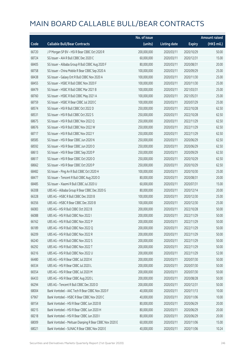|       |                                                         | No. of issue |                     |               | <b>Amount raised</b> |
|-------|---------------------------------------------------------|--------------|---------------------|---------------|----------------------|
| Code  | <b>Callable Bull/Bear Contracts</b>                     | (units)      | <b>Listing date</b> | <b>Expiry</b> | (HK\$ mil.)          |
| 66720 | J P Morgan SP BV - HSI R Bear CBBC Oct 2020 R           | 200,000,000  | 2020/03/11          | 2020/10/29    | 50.00                |
| 68724 | SG Issuer - AIA R Bull CBBC Dec 2020 C                  | 60,000,000   | 2020/03/11          | 2020/12/31    | 15.00                |
| 68405 | SG Issuer - Alibaba Group R Bull CBBC Aug 2020 F        | 80,000,000   | 2020/03/11          | 2020/08/31    | 20.00                |
| 68758 | SG Issuer - China Mobile R Bear CBBC Sep 2020 A         | 100,000,000  | 2020/03/11          | 2020/09/29    | 25.00                |
| 68438 | SG Issuer - Galaxy Ent R Bull CBBC Nov 2020 A           | 100,000,000  | 2020/03/11          | 2020/11/30    | 25.00                |
| 68455 | SG Issuer - HSBC R Bull CBBC Nov 2020 F                 | 100,000,000  | 2020/03/11          | 2020/11/30    | 25.00                |
| 68479 | SG Issuer - HSBC R Bull CBBC Mar 2021 B                 | 100,000,000  | 2020/03/11          | 2021/03/31    | 25.00                |
| 68760 | SG Issuer - HSBC R Bull CBBC May 2021 A                 | 100,000,000  | 2020/03/11          | 2021/05/31    | 25.00                |
| 68759 | SG Issuer - HSBC R Bear CBBC Jul 2020 C                 | 100,000,000  | 2020/03/11          | 2020/07/29    | 25.00                |
| 68574 | SG Issuer - HSI R Bull CBBC Oct 2022 D                  | 250,000,000  | 2020/03/11          | 2022/10/28    | 62.50                |
| 68531 | SG Issuer - HSI R Bull CBBC Oct 2022 S                  | 250,000,000  | 2020/03/11          | 2022/10/28    | 62.50                |
| 68675 | SG Issuer - HSI R Bull CBBC Nov 2022 Q                  | 250,000,000  | 2020/03/11          | 2022/11/29    | 62.50                |
| 68676 | SG Issuer - HSI R Bull CBBC Nov 2022 W                  | 250,000,000  | 2020/03/11          | 2022/11/29    | 62.50                |
| 68717 | SG Issuer - HSI R Bull CBBC Nov 2022 Y                  | 250,000,000  | 2020/03/11          | 2022/11/29    | 62.50                |
| 68585 | SG Issuer - HSI R Bear CBBC Jun 2020 N                  | 250,000,000  | 2020/03/11          | 2020/06/29    | 62.50                |
| 68592 | SG Issuer - HSI R Bear CBBC Jun 2020 O                  | 250,000,000  | 2020/03/11          | 2020/06/29    | 62.50                |
| 68613 | SG Issuer - HSI R Bear CBBC Sep 2020 P                  | 250,000,000  | 2020/03/11          | 2020/09/29    | 62.50                |
| 68617 | SG Issuer - HSI R Bear CBBC Oct 2020 O                  | 250,000,000  | 2020/03/11          | 2020/10/29    | 62.50                |
| 68662 | SG Issuer - HSI R Bear CBBC Oct 2020 P                  | 250,000,000  | 2020/03/11          | 2020/10/29    | 62.50                |
| 68482 | SG Issuer - Ping An R Bull CBBC Oct 2020 H              | 100,000,000  | 2020/03/11          | 2020/10/30    | 25.00                |
| 68477 | SG Issuer - Tencent R Bull CBBC Aug 2020 O              | 80,000,000   | 2020/03/11          | 2020/08/31    | 20.00                |
| 68485 | SG Issuer - Xiaomi R Bull CBBC Jul 2020 U               | 60,000,000   | 2020/03/11          | 2020/07/31    | 15.00                |
| 66308 | UBS AG - Alibaba Group R Bear CBBC Dec 2020 G           | 80,000,000   | 2020/03/11          | 2020/12/14    | 20.00                |
| 66328 | UBS AG - HSBC R Bull CBBC Dec 2020 B                    | 100,000,000  | 2020/03/11          | 2020/12/30    | 25.00                |
| 66356 | UBS AG - HSBC R Bear CBBC Dec 2020 B                    | 100,000,000  | 2020/03/11          | 2020/12/30    | 25.00                |
| 66083 | UBS AG - HSI R Bull CBBC Oct 2022 B                     | 200,000,000  | 2020/03/11          | 2022/10/28    | 50.00                |
| 66088 | UBS AG - HSI R Bull CBBC Nov 2022 I                     | 200,000,000  | 2020/03/11          | 2022/11/29    | 50.00                |
| 66162 | UBS AG - HSI R Bull CBBC Nov 2022 P                     | 200,000,000  | 2020/03/11          | 2022/11/29    | 50.00                |
| 66189 | UBS AG - HSI R Bull CBBC Nov 2022 Q                     | 200,000,000  | 2020/03/11          | 2022/11/29    | 50.00                |
| 66209 | UBS AG - HSI R Bull CBBC Nov 2022 R                     | 200,000,000  | 2020/03/11          | 2022/11/29    | 50.00                |
| 66240 | UBS AG - HSI R Bull CBBC Nov 2022 S                     | 200,000,000  | 2020/03/11          | 2022/11/29    | 50.00                |
| 66292 | UBS AG - HSI R Bull CBBC Nov 2022 T                     | 200,000,000  | 2020/03/11          | 2022/11/29    | 50.00                |
| 66316 | UBS AG - HSI R Bull CBBC Nov 2022 U                     | 200,000,000  | 2020/03/11          | 2022/11/29    | 52.00                |
| 66480 | UBS AG - HSI R Bear CBBC Jul 2020 K                     | 200,000,000  | 2020/03/11          | 2020/07/30    | 50.00                |
| 66534 | UBS AG - HSI R Bear CBBC Jul 2020 L                     | 200,000,000  | 2020/03/11          | 2020/07/30    | 50.00                |
| 66554 | UBS AG - HSI R Bear CBBC Jul 2020 M                     | 200,000,000  | 2020/03/11          | 2020/07/30    | 50.00                |
| 66433 | UBS AG - HSI R Bear CBBC Aug 2020 L                     | 200,000,000  | 2020/03/11          | 2020/08/28    | 50.00                |
| 66294 | UBS AG - Tencent R Bull CBBC Dec 2020 D                 | 200,000,000  | 2020/03/11          | 2020/12/31    | 50.00                |
| 68004 | Bank Vontobel - AAC Tech R Bear CBBC Nov 2020 F         | 40,000,000   | 2020/03/11          | 2020/11/13    | 10.00                |
| 67967 | Bank Vontobel - HSBC R Bear CBBC Nov 2020 C             | 40,000,000   | 2020/03/11          | 2020/11/06    | 10.00                |
| 68154 | Bank Vontobel - HSI R Bear CBBC Jun 2020 B              | 80,000,000   | 2020/03/11          | 2020/06/29    | 20.00                |
| 68215 | Bank Vontobel - HSI R Bear CBBC Jun 2020 H              | 80,000,000   | 2020/03/11          | 2020/06/29    | 20.00                |
| 68218 | Bank Vontobel - HSI R Bear CBBC Jun 2020 I              | 80,000,000   | 2020/03/11          | 2020/06/29    | 20.00                |
| 68009 | Bank Vontobel - Meituan Dianping R Bear CBBC Nov 2020 E | 60,000,000   | 2020/03/11          | 2020/11/06    | 15.00                |
| 68021 | Bank Vontobel - SUNAC R Bear CBBC Nov 2020 E            | 40,000,000   | 2020/03/11          | 2020/11/06    | 10.24                |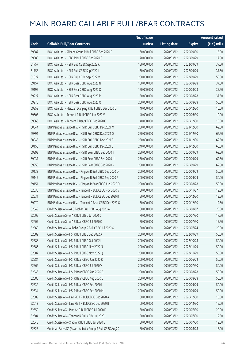|       |                                                             | No. of issue |                     |               | <b>Amount raised</b> |
|-------|-------------------------------------------------------------|--------------|---------------------|---------------|----------------------|
| Code  | <b>Callable Bull/Bear Contracts</b>                         | (units)      | <b>Listing date</b> | <b>Expiry</b> | (HK\$ mil.)          |
| 69887 | BOCI Asia Ltd. - Alibaba Group R Bull CBBC Sep 2020 F       | 60,000,000   | 2020/03/12          | 2020/09/30    | 15.00                |
| 69680 | BOCI Asia Ltd. - HSBC R Bull CBBC Sep 2020 C                | 70,000,000   | 2020/03/12          | 2020/09/29    | 17.50                |
| 51757 | BOCI Asia Ltd. - HSI R Bull CBBC Sep 2022 K                 | 150,000,000  | 2020/03/12          | 2022/09/29    | 37.50                |
| 51758 | BOCI Asia Ltd. - HSI R Bull CBBC Sep 2022 L                 | 150,000,000  | 2020/03/12          | 2022/09/29    | 37.50                |
| 51827 | BOCI Asia Ltd. - HSI R Bull CBBC Sep 2022 M                 | 200,000,000  | 2020/03/12          | 2022/09/29    | 50.00                |
| 69157 | BOCI Asia Ltd. - HSI R Bear CBBC Aug 2020 N                 | 150,000,000  | 2020/03/12          | 2020/08/28    | 37.50                |
| 69197 | BOCI Asia Ltd. - HSI R Bear CBBC Aug 2020 O                 | 150,000,000  | 2020/03/12          | 2020/08/28    | 37.50                |
| 69227 | BOCI Asia Ltd. - HSI R Bear CBBC Aug 2020 P                 | 150,000,000  | 2020/03/12          | 2020/08/28    | 37.50                |
| 69275 | BOCI Asia Ltd. - HSI R Bear CBBC Aug 2020 Q                 | 200,000,000  | 2020/03/12          | 2020/08/28    | 50.00                |
| 69859 | BOCI Asia Ltd. - Meituan Dianping R Bull CBBC Dec 2020 D    | 40,000,000   | 2020/03/12          | 2020/12/30    | 10.00                |
| 69605 | BOCI Asia Ltd. - Tencent R Bull CBBC Jun 2020 V             | 40,000,000   | 2020/03/12          | 2020/06/30    | 10.00                |
| 69663 | BOCI Asia Ltd. - Tencent R Bear CBBC Dec 2020 Q             | 40,000,000   | 2020/03/12          | 2020/12/30    | 10.00                |
| 50044 | BNP Paribas Issuance B.V. - HSI R Bull CBBC Dec 2021 M      | 250,000,000  | 2020/03/12          | 2021/12/30    | 62.50                |
| 69891 | BNP Paribas Issuance B.V. - HSI R Bull CBBC Dec 2021 O      | 250,000,000  | 2020/03/12          | 2021/12/30    | 62.50                |
| 50045 | BNP Paribas Issuance B.V. - HSI R Bull CBBC Dec 2021 P      | 250,000,000  | 2020/03/12          | 2021/12/30    | 62.50                |
| 50156 | BNP Paribas Issuance B.V. - HSI R Bull CBBC Dec 2021 S      | 240,000,000  | 2020/03/12          | 2021/12/30    | 60.00                |
| 69892 | BNP Paribas Issuance B.V. - HSI R Bear CBBC Sep 2020 T      | 250,000,000  | 2020/03/12          | 2020/09/29    | 62.50                |
| 69931 | BNP Paribas Issuance B.V. - HSI R Bear CBBC Sep 2020 U      | 250,000,000  | 2020/03/12          | 2020/09/29    | 62.50                |
| 69950 | BNP Paribas Issuance B.V. - HSI R Bear CBBC Sep 2020 V      | 250,000,000  | 2020/03/12          | 2020/09/29    | 62.50                |
| 69133 | BNP Paribas Issuance B.V. - Ping An R Bull CBBC Sep 2020 O  | 200,000,000  | 2020/03/12          | 2020/09/29    | 50.00                |
| 69147 | BNP Paribas Issuance B.V. - Ping An R Bull CBBC Sep 2020 P  | 200,000,000  | 2020/03/12          | 2020/09/29    | 50.00                |
| 69151 | BNP Paribas Issuance B.V. - Ping An R Bear CBBC Aug 2020 D  | 200,000,000  | 2020/03/12          | 2020/08/28    | 50.00                |
| 52530 | BNP Paribas Issuance B.V. - Tencent R Bull CBBC Nov 2020 V  | 50,000,000   | 2020/03/12          | 2020/11/27    | 12.50                |
| 52531 | BNP Paribas Issuance B.V. - Tencent R Bull CBBC Dec 2020 R  | 50,000,000   | 2020/03/12          | 2020/12/30    | 12.50                |
| 69279 | BNP Paribas Issuance B.V. - Tencent R Bear CBBC Dec 2020 Q  | 50,000,000   | 2020/03/12          | 2020/12/30    | 12.50                |
| 52549 | Credit Suisse AG - AAC Tech R Bull CBBC Aug 2020 A          | 80,000,000   | 2020/03/12          | 2020/08/07    | 20.00                |
| 52605 | Credit Suisse AG - AIA R Bull CBBC Jul 2020 D               | 70,000,000   | 2020/03/12          | 2020/07/30    | 17.50                |
| 52607 | Credit Suisse AG - AIA R Bear CBBC Jul 2020 C               | 70,000,000   | 2020/03/12          | 2020/07/30    | 17.50                |
| 52560 | Credit Suisse AG - Alibaba Group R Bull CBBC Jul 2020 G     | 80,000,000   | 2020/03/12          | 2020/07/24    | 20.00                |
| 52589 | Credit Suisse AG - HSI R Bull CBBC Sep 2022 X               | 200,000,000  | 2020/03/12          | 2022/09/29    | 50.00                |
| 52588 | Credit Suisse AG - HSI R Bull CBBC Oct 2022 I               | 200,000,000  | 2020/03/12          | 2022/10/28    | 50.00                |
| 52586 | Credit Suisse AG - HSI R Bull CBBC Nov 2022 N               | 200,000,000  | 2020/03/12          | 2022/11/29    | 50.00                |
| 52587 | Credit Suisse AG - HSI R Bull CBBC Nov 2022 Q               | 200,000,000  | 2020/03/12          | 2022/11/29    | 50.00                |
| 52584 | Credit Suisse AG - HSI R Bear CBBC Jun 2020 R               | 200,000,000  | 2020/03/12          | 2020/06/29    | 50.00                |
| 52562 | Credit Suisse AG - HSI R Bear CBBC Jul 2020 V               | 200,000,000  | 2020/03/12          | 2020/07/30    | 50.00                |
| 52546 | Credit Suisse AG - HSI R Bear CBBC Aug 2020 B               | 200,000,000  | 2020/03/12          | 2020/08/28    | 50.00                |
| 52585 | Credit Suisse AG - HSI R Bear CBBC Aug 2020 C               | 200,000,000  | 2020/03/12          | 2020/08/28    | 50.00                |
| 52532 | Credit Suisse AG - HSI R Bear CBBC Sep 2020 L               | 200,000,000  | 2020/03/12          | 2020/09/29    | 50.00                |
| 52534 | Credit Suisse AG - HSI R Bear CBBC Sep 2020 M               | 200,000,000  | 2020/03/12          | 2020/09/29    | 50.00                |
| 52609 | Credit Suisse AG - Link REIT R Bull CBBC Dec 2020 A         | 60,000,000   | 2020/03/12          | 2020/12/30    | 15.00                |
| 52613 | Credit Suisse AG - Link REIT R Bull CBBC Dec 2020 B         | 60,000,000   | 2020/03/12          | 2020/12/30    | 15.00                |
| 52559 | Credit Suisse AG - Ping An R Bull CBBC Jul 2020 D           | 80,000,000   | 2020/03/12          | 2020/07/30    | 20.00                |
| 52604 | Credit Suisse AG - Tencent R Bull CBBC Jul 2020 I           | 50,000,000   | 2020/03/12          | 2020/07/30    | 12.50                |
| 52548 | Credit Suisse AG - Xiaomi R Bull CBBC Jul 2020 B            | 50,000,000   | 2020/03/12          | 2020/07/30    | 12.50                |
| 52825 | Goldman Sachs SP (Asia) - Alibaba Group R Bull CBBC Aug20 I | 60,000,000   | 2020/03/12          | 2020/08/28    | 15.00                |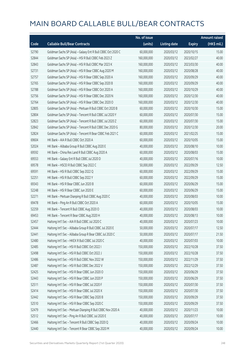|       |                                                             | No. of issue |                     |               | <b>Amount raised</b> |
|-------|-------------------------------------------------------------|--------------|---------------------|---------------|----------------------|
| Code  | <b>Callable Bull/Bear Contracts</b>                         | (units)      | <b>Listing date</b> | <b>Expiry</b> | (HK\$ mil.)          |
| 52790 | Goldman Sachs SP (Asia) - Galaxy Ent R Bull CBBC Oct 2020 C | 60,000,000   | 2020/03/12          | 2020/10/15    | 15.00                |
| 52844 | Goldman Sachs SP (Asia) - HSI R Bull CBBC Feb 2023 Z        | 160,000,000  | 2020/03/12          | 2023/02/27    | 40.00                |
| 52843 | Goldman Sachs SP (Asia) - HSI R Bull CBBC Mar 2023 K        | 160,000,000  | 2020/03/12          | 2023/03/30    | 40.00                |
| 52731 | Goldman Sachs SP (Asia) - HSI R Bear CBBC Aug 2020 M        | 160,000,000  | 2020/03/12          | 2020/08/28    | 40.00                |
| 52757 | Goldman Sachs SP (Asia) - HSI R Bear CBBC Sep 2020 A        | 160,000,000  | 2020/03/12          | 2020/09/29    | 40.00                |
| 52765 | Goldman Sachs SP (Asia) - HSI R Bear CBBC Sep 2020 B        | 160,000,000  | 2020/03/12          | 2020/09/29    | 40.00                |
| 52788 | Goldman Sachs SP (Asia) - HSI R Bear CBBC Oct 2020 A        | 160,000,000  | 2020/03/12          | 2020/10/29    | 40.00                |
| 52756 | Goldman Sachs SP (Asia) - HSI R Bear CBBC Dec 2020 N        | 160,000,000  | 2020/03/12          | 2020/12/30    | 40.00                |
| 52764 | Goldman Sachs SP (Asia) - HSI R Bear CBBC Dec 2020 O        | 160,000,000  | 2020/03/12          | 2020/12/30    | 40.00                |
| 52805 | Goldman Sachs SP (Asia) - Meituan R Bull CBBC Oct 2020 B    | 60,000,000   | 2020/03/12          | 2020/10/30    | 15.00                |
| 52804 | Goldman Sachs SP (Asia) - Tencent R Bull CBBC Jul 2020 Y    | 60,000,000   | 2020/03/12          | 2020/07/30    | 15.00                |
| 52823 | Goldman Sachs SP (Asia) - Tencent R Bull CBBC Jul 2020 Z    | 60,000,000   | 2020/03/12          | 2020/07/30    | 15.00                |
| 52842 | Goldman Sachs SP (Asia) - Tencent R Bull CBBC Dec 2020 G    | 80,000,000   | 2020/03/12          | 2020/12/30    | 20.00                |
| 52824 | Goldman Sachs SP (Asia) - Tencent R Bear CBBC Feb 2021 C    | 60,000,000   | 2020/03/12          | 2021/02/25    | 15.00                |
| 69604 | HK Bank - AIA R Bull CBBC Oct 2020 A                        | 60,000,000   | 2020/03/12          | 2020/10/05    | 15.00                |
| 52024 | HK Bank - Alibaba Group R Bull CBBC Aug 2020 E              | 40,000,000   | 2020/03/12          | 2020/08/10    | 10.00                |
| 69592 | HK Bank - China Res Land R Bull CBBC Aug 2020 A             | 60,000,000   | 2020/03/12          | 2020/08/03    | 15.00                |
| 69553 | HK Bank - Galaxy Ent R Bull CBBC Jul 2020 D                 | 40,000,000   | 2020/03/12          | 2020/07/16    | 10.00                |
| 69578 | HK Bank - HSCEI R Bull CBBC Sep 2022 C                      | 50,000,000   | 2020/03/12          | 2022/09/29    | 12.50                |
| 69591 | HK Bank - HSI R Bull CBBC Sep 2022 Q                        | 60,000,000   | 2020/03/12          | 2022/09/29    | 15.00                |
| 52251 | HK Bank - HSI R Bull CBBC Sep 2022 Y                        | 60,000,000   | 2020/03/12          | 2022/09/29    | 15.00                |
| 69343 | HK Bank - HSI R Bear CBBC Jun 2020 B                        | 60,000,000   | 2020/03/12          | 2020/06/29    | 15.00                |
| 52248 | HK Bank - HSI R Bear CBBC Jun 2020 E                        | 60,000,000   | 2020/03/12          | 2020/06/29    | 15.00                |
| 52271 | HK Bank - Meituan Dianping R Bull CBBC Aug 2020 C           | 40,000,000   | 2020/03/12          | 2020/08/03    | 10.00                |
| 69478 | HK Bank - Ping An R Bull CBBC Oct 2020 A                    | 60,000,000   | 2020/03/12          | 2020/10/05    | 15.00                |
| 52259 | HK Bank - Tencent R Bull CBBC Aug 2020 O                    | 40,000,000   | 2020/03/12          | 2020/08/03    | 10.00                |
| 69453 | HK Bank - Tencent R Bear CBBC Aug 2020 H                    | 40,000,000   | 2020/03/12          | 2020/08/13    | 10.00                |
| 52457 | Haitong Int'l Sec - AIA R Bull CBBC Jul 2020 C              | 40,000,000   | 2020/03/12          | 2020/07/23    | 10.00                |
| 52444 | Haitong Int'l Sec - Alibaba Group R Bull CBBC Jul 2020 E    | 50,000,000   | 2020/03/12          | 2020/07/17    | 12.50                |
| 52441 | Haitong Int'l Sec - Alibaba Group R Bear CBBC Jul 2020 C    | 50,000,000   | 2020/03/12          | 2020/07/17    | 21.50                |
| 52480 | Haitong Int'l Sec - HKEX R Bull CBBC Jul 2020 C             | 40,000,000   | 2020/03/12          | 2020/07/03    | 10.00                |
| 52485 | Haitong Int'l Sec - HSI R Bull CBBC Oct 2022 I              | 150,000,000  | 2020/03/12          | 2022/10/28    | 37.50                |
| 52498 | Haitong Int'l Sec - HSI R Bull CBBC Oct 2022 J              | 150,000,000  | 2020/03/12          | 2022/10/28    | 37.50                |
| 52486 | Haitong Int'l Sec - HSI R Bull CBBC Nov 2022 W              | 150,000,000  | 2020/03/12          | 2022/11/29    | 37.50                |
| 52487 | Haitong Int'l Sec - HSI R Bull CBBC Dec 2022 V              | 150,000,000  | 2020/03/12          | 2022/12/29    | 37.50                |
| 52425 | Haitong Int'l Sec - HSI R Bear CBBC Jun 2020 O              | 150,000,000  | 2020/03/12          | 2020/06/29    | 37.50                |
| 52443 | Haitong Int'l Sec - HSI R Bear CBBC Jun 2020 P              | 150,000,000  | 2020/03/12          | 2020/06/29    | 37.50                |
| 52511 | Haitong Int'l Sec - HSI R Bear CBBC Jul 2020 F              | 150,000,000  | 2020/03/12          | 2020/07/30    | 37.50                |
| 52414 | Haitong Int'l Sec - HSI R Bear CBBC Jul 2020 X              | 150,000,000  | 2020/03/12          | 2020/07/30    | 37.50                |
| 52442 | Haitong Int'l Sec - HSI R Bear CBBC Sep 2020 B              | 150,000,000  | 2020/03/12          | 2020/09/29    | 37.50                |
| 52510 | Haitong Int'l Sec - HSI R Bear CBBC Sep 2020 C              | 150,000,000  | 2020/03/12          | 2020/09/29    | 37.50                |
| 52479 | Haitong Int'l Sec - Meituan Dianping R Bull CBBC Nov 2020 A | 40,000,000   | 2020/03/12          | 2020/11/23    | 10.00                |
| 52512 | Haitong Int'l Sec - Ping An R Bull CBBC Jul 2020 E          | 40,000,000   | 2020/03/12          | 2020/07/17    | 10.00                |
| 52466 | Haitong Int'l Sec - Tencent R Bull CBBC Sep 2020 Q          | 40,000,000   | 2020/03/12          | 2020/09/24    | 10.00                |
| 52440 | Haitong Int'l Sec - Tencent R Bear CBBC Sep 2020 M          | 40,000,000   | 2020/03/12          | 2020/09/24    | 10.00                |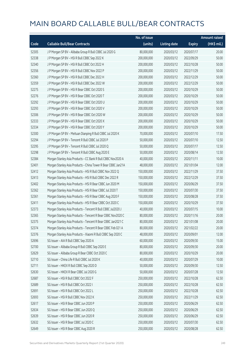|       |                                                               | No. of issue |                     |               | <b>Amount raised</b> |
|-------|---------------------------------------------------------------|--------------|---------------------|---------------|----------------------|
| Code  | <b>Callable Bull/Bear Contracts</b>                           | (units)      | <b>Listing date</b> | <b>Expiry</b> | (HK\$ mil.)          |
| 52305 | J P Morgan SP BV - Alibaba Group R Bull CBBC Jul 2020 G       | 80,000,000   | 2020/03/12          | 2020/07/17    | 20.00                |
| 52338 | J P Morgan SP BV - HSI R Bull CBBC Sep 2022 K                 | 200,000,000  | 2020/03/12          | 2022/09/29    | 50.00                |
| 52340 | J P Morgan SP BV - HSI R Bull CBBC Oct 2022 H                 | 200,000,000  | 2020/03/12          | 2022/10/28    | 50.00                |
| 52356 | J P Morgan SP BV - HSI R Bull CBBC Nov 2022 P                 | 200,000,000  | 2020/03/12          | 2022/11/29    | 50.00                |
| 52360 | J P Morgan SP BV - HSI R Bull CBBC Dec 2022 H                 | 200,000,000  | 2020/03/12          | 2022/12/29    | 50.00                |
| 52359 | J P Morgan SP BV - HSI R Bull CBBC Dec 2022 W                 | 200,000,000  | 2020/03/12          | 2022/12/29    | 50.00                |
| 52275 | J P Morgan SP BV - HSI R Bear CBBC Oct 2020 S                 | 200,000,000  | 2020/03/12          | 2020/10/29    | 50.00                |
| 52276 | J P Morgan SP BV - HSI R Bear CBBC Oct 2020 T                 | 200,000,000  | 2020/03/12          | 2020/10/29    | 50.00                |
| 52292 | J P Morgan SP BV - HSI R Bear CBBC Oct 2020 U                 | 200,000,000  | 2020/03/12          | 2020/10/29    | 50.00                |
| 52293 | J P Morgan SP BV - HSI R Bear CBBC Oct 2020 V                 | 200,000,000  | 2020/03/12          | 2020/10/29    | 50.00                |
| 52306 | J P Morgan SP BV - HSI R Bear CBBC Oct 2020 W                 | 200,000,000  | 2020/03/12          | 2020/10/29    | 50.00                |
| 52333 | J P Morgan SP BV - HSI R Bear CBBC Oct 2020 X                 | 200,000,000  | 2020/03/12          | 2020/10/29    | 50.00                |
| 52334 | J P Morgan SP BV - HSI R Bear CBBC Oct 2020 Y                 | 200,000,000  | 2020/03/12          | 2020/10/29    | 50.00                |
| 52300 | J P Morgan SP BV - Meituan Dianping R Bull CBBC Jul 2020 K    | 70,000,000   | 2020/03/12          | 2020/07/10    | 17.50                |
| 52294 | J P Morgan SP BV - Tencent R Bull CBBC Jul 2020 P             | 50,000,000   | 2020/03/12          | 2020/07/10    | 12.50                |
| 52295 | J P Morgan SP BV - Tencent R Bull CBBC Jul 2020 Q             | 50,000,000   | 2020/03/12          | 2020/07/17    | 12.50                |
| 52298 | J P Morgan SP BV - Tencent R Bull CBBC Aug 2020 E             | 50,000,000   | 2020/03/12          | 2020/08/14    | 12.50                |
| 52384 | Morgan Stanley Asia Products - CC Bank R Bull CBBC Nov2020 A  | 40,000,000   | 2020/03/12          | 2020/11/11    | 10.00                |
| 52401 | Morgan Stanley Asia Products - China Tower R Bear CBBC Jan21A | 48,000,000   | 2020/03/12          | 2021/01/04    | 12.00                |
| 52412 | Morgan Stanley Asia Products - HSI R Bull CBBC Nov 2022 Q     | 150,000,000  | 2020/03/12          | 2022/11/29    | 37.50                |
| 52413 | Morgan Stanley Asia Products - HSI R Bull CBBC Dec 2022 R     | 150,000,000  | 2020/03/12          | 2022/12/29    | 37.50                |
| 52402 | Morgan Stanley Asia Products - HSI R Bear CBBC Jun 2020 M     | 150,000,000  | 2020/03/12          | 2020/06/29    | 37.50                |
| 52362 | Morgan Stanley Asia Products - HSI R Bear CBBC Jul 2020 T     | 150,000,000  | 2020/03/12          | 2020/07/30    | 37.50                |
| 52361 | Morgan Stanley Asia Products - HSI R Bear CBBC Aug 2020 F     | 150,000,000  | 2020/03/12          | 2020/08/28    | 37.50                |
| 52411 | Morgan Stanley Asia Products - HSI R Bear CBBC Oct 2020 C     | 150,000,000  | 2020/03/12          | 2020/10/29    | 37.50                |
| 52373 | Morgan Stanley Asia Products - Tencent R Bull CBBC Jul2020 J  | 40,000,000   | 2020/03/12          | 2020/07/15    | 10.00                |
| 52365 | Morgan Stanley Asia Products - Tencent R Bear CBBC Nov2020 C  | 80,000,000   | 2020/03/12          | 2020/11/16    | 20.00                |
| 52375 | Morgan Stanley Asia Products - Tencent R Bear CBBC Jan2021 C  | 80,000,000   | 2020/03/12          | 2021/01/08    | 20.00                |
| 52374 | Morgan Stanley Asia Products - Tencent R Bear CBBC Feb 021 A  | 80,000,000   | 2020/03/12          | 2021/02/22    | 20.00                |
| 52376 | Morgan Stanley Asia Products - Xiaomi R Bull CBBC Sep 2020 C  | 48,000,000   | 2020/03/12          | 2020/09/01    | 12.00                |
| 52696 | SG Issuer - AIA R Bull CBBC Sep 2020 A                        | 60,000,000   | 2020/03/12          | 2020/09/30    | 15.00                |
| 52700 | SG Issuer - Alibaba Group R Bull CBBC Sep 2020 E              | 80,000,000   | 2020/03/12          | 2020/09/30    | 20.00                |
| 52629 | SG Issuer - Alibaba Group R Bear CBBC Oct 2020 C              | 80,000,000   | 2020/03/12          | 2020/10/29    | 20.00                |
| 52710 | SG Issuer - China Life R Bull CBBC Jul 2020 K                 | 40,000,000   | 2020/03/12          | 2020/07/29    | 10.00                |
| 52711 | SG Issuer - HKEX R Bull CBBC Sep 2020 D                       | 50,000,000   | 2020/03/12          | 2020/09/30    | 12.50                |
| 52630 | SG Issuer - HKEX R Bear CBBC Jul 2020 G                       | 50,000,000   | 2020/03/12          | 2020/07/28    | 12.50                |
| 52687 | SG Issuer - HSI R Bull CBBC Oct 2022 F                        | 250,000,000  | 2020/03/12          | 2022/10/28    | 62.50                |
| 52689 | SG Issuer - HSI R Bull CBBC Oct 2022 I                        | 250,000,000  | 2020/03/12          | 2022/10/28    | 62.50                |
| 52691 | SG Issuer - HSI R Bull CBBC Oct 2022 L                        | 250,000,000  | 2020/03/12          | 2022/10/28    | 62.50                |
| 52693 | SG Issuer - HSI R Bull CBBC Nov 2022 K                        | 250,000,000  | 2020/03/12          | 2022/11/29    | 62.50                |
| 52617 | SG Issuer - HSI R Bear CBBC Jun 2020 P                        | 250,000,000  | 2020/03/12          | 2020/06/29    | 62.50                |
| 52634 | SG Issuer - HSI R Bear CBBC Jun 2020 Q                        | 250,000,000  | 2020/03/12          | 2020/06/29    | 62.50                |
| 52639 | SG Issuer - HSI R Bear CBBC Jun 2020 R                        | 250,000,000  | 2020/03/12          | 2020/06/29    | 62.50                |
| 52632 | SG Issuer - HSI R Bear CBBC Jul 2020 C                        | 250,000,000  | 2020/03/12          | 2020/07/30    | 62.50                |
| 52649 | SG Issuer - HSI R Bear CBBC Aug 2020 R                        | 250,000,000  | 2020/03/12          | 2020/08/28    | 62.50                |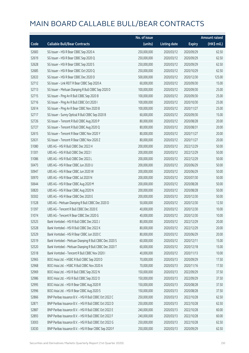|       |                                                         | No. of issue |                     |               | <b>Amount raised</b> |
|-------|---------------------------------------------------------|--------------|---------------------|---------------|----------------------|
| Code  | <b>Callable Bull/Bear Contracts</b>                     | (units)      | <b>Listing date</b> | <b>Expiry</b> | (HK\$ mil.)          |
| 52683 | SG Issuer - HSI R Bear CBBC Sep 2020 A                  | 250,000,000  | 2020/03/12          | 2020/09/29    | 62.50                |
| 52619 | SG Issuer - HSI R Bear CBBC Sep 2020 Q                  | 250,000,000  | 2020/03/12          | 2020/09/29    | 62.50                |
| 52628 | SG Issuer - HSI R Bear CBBC Sep 2020 S                  | 250,000,000  | 2020/03/12          | 2020/09/29    | 62.50                |
| 52685 | SG Issuer - HSI R Bear CBBC Oct 2020 Q                  | 250,000,000  | 2020/03/12          | 2020/10/29    | 62.50                |
| 52633 | SG Issuer - HSI R Bear CBBC Dec 2020 D                  | 500,000,000  | 2020/03/12          | 2020/12/30    | 125.00               |
| 52712 | SG Issuer - Link REIT R Bear CBBC Sep 2020 A            | 60,000,000   | 2020/03/12          | 2020/09/30    | 15.00                |
| 52713 | SG Issuer - Meituan Dianping R Bull CBBC Sep 2020 D     | 100,000,000  | 2020/03/12          | 2020/09/30    | 25.00                |
| 52715 | SG Issuer - Ping An R Bull CBBC Sep 2020 B              | 100,000,000  | 2020/03/12          | 2020/09/30    | 25.00                |
| 52716 | SG Issuer - Ping An R Bull CBBC Oct 2020 I              | 100,000,000  | 2020/03/12          | 2020/10/30    | 25.00                |
| 52614 | SG Issuer - Ping An R Bear CBBC Nov 2020 B              | 100,000,000  | 2020/03/12          | 2020/11/27    | 25.00                |
| 52717 | SG Issuer - Sunny Optical R Bull CBBC Sep 2020 B        | 60,000,000   | 2020/03/12          | 2020/09/30    | 15.00                |
| 52726 | SG Issuer - Tencent R Bull CBBC Aug 2020 P              | 80,000,000   | 2020/03/12          | 2020/08/28    | 20.00                |
| 52727 | SG Issuer - Tencent R Bull CBBC Aug 2020 Q              | 80,000,000   | 2020/03/12          | 2020/08/31    | 20.00                |
| 52615 | SG Issuer - Tencent R Bear CBBC Nov 2020 Y              | 80,000,000   | 2020/03/12          | 2020/11/27    | 20.00                |
| 52631 | SG Issuer - Tencent R Bear CBBC Nov 2020 Z              | 80,000,000   | 2020/03/12          | 2020/11/27    | 20.00                |
| 51080 | UBS AG - HSI R Bull CBBC Dec 2022 H                     | 200,000,000  | 2020/03/12          | 2022/12/29    | 50.00                |
| 51301 | UBS AG - HSI R Bull CBBC Dec 2022 I                     | 200,000,000  | 2020/03/12          | 2022/12/29    | 50.00                |
| 51086 | UBS AG - HSI R Bull CBBC Dec 2022 L                     | 200,000,000  | 2020/03/12          | 2022/12/29    | 50.00                |
| 50475 | UBS AG - HSI R Bear CBBC Jun 2020 U                     | 200,000,000  | 2020/03/12          | 2020/06/29    | 50.00                |
| 50947 | UBS AG - HSI R Bear CBBC Jun 2020 W                     | 200,000,000  | 2020/03/12          | 2020/06/29    | 50.00                |
| 50970 | UBS AG - HSI R Bear CBBC Jul 2020 N                     | 200,000,000  | 2020/03/12          | 2020/07/30    | 50.00                |
| 50644 | UBS AG - HSI R Bear CBBC Aug 2020 M                     | 200,000,000  | 2020/03/12          | 2020/08/28    | 50.00                |
| 50820 | UBS AG - HSI R Bear CBBC Aug 2020 N                     | 200,000,000  | 2020/03/12          | 2020/08/28    | 50.00                |
| 50302 | UBS AG - HSI R Bear CBBC Dec 2020 E                     | 200,000,000  | 2020/03/12          | 2020/12/30    | 50.00                |
| 51528 | UBS AG - Meituan Dianping R Bull CBBC Dec 2020 D        | 50,000,000   | 2020/03/12          | 2020/12/30    | 12.50                |
| 51397 | UBS AG - Tencent R Bull CBBC Dec 2020 E                 | 40,000,000   | 2020/03/12          | 2020/12/30    | 10.00                |
| 51074 | UBS AG - Tencent R Bear CBBC Dec 2020 G                 | 40,000,000   | 2020/03/12          | 2020/12/30    | 10.00                |
| 52525 | Bank Vontobel - HSI R Bull CBBC Dec 2022 J              | 80,000,000   | 2020/03/12          | 2022/12/29    | 20.00                |
| 52528 | Bank Vontobel - HSI R Bull CBBC Dec 2022 K              | 80,000,000   | 2020/03/12          | 2022/12/29    | 20.00                |
| 52529 | Bank Vontobel - HSI R Bear CBBC Jun 2020 C              | 80,000,000   | 2020/03/12          | 2020/06/29    | 20.00                |
| 52519 | Bank Vontobel - Meituan Dianping R Bull CBBC Dec 2020 S | 60,000,000   | 2020/03/12          | 2020/12/11    | 15.00                |
| 52520 | Bank Vontobel - Meituan Dianping R Bull CBBC Dec 2020 T | 60,000,000   | 2020/03/12          | 2020/12/18    | 15.00                |
| 52518 | Bank Vontobel - Tencent R Bull CBBC Nov 2020 I          | 40,000,000   | 2020/03/12          | 2020/11/13    | 10.00                |
| 52965 | BOCI Asia Ltd. - HSBC R Bull CBBC Sep 2020 D            | 70,000,000   | 2020/03/13          | 2020/09/29    | 17.50                |
| 52968 | BOCI Asia Ltd. - HSBC R Bull CBBC Nov 2020 A            | 70,000,000   | 2020/03/13          | 2020/11/16    | 17.50                |
| 52969 | BOCI Asia Ltd. - HSI R Bull CBBC Sep 2022 N             | 150,000,000  | 2020/03/13          | 2022/09/29    | 37.50                |
| 52986 | BOCI Asia Ltd. - HSI R Bull CBBC Sep 2022 O             | 150,000,000  | 2020/03/13          | 2022/09/29    | 37.50                |
| 52995 | BOCI Asia Ltd. - HSI R Bear CBBC Aug 2020 R             | 150,000,000  | 2020/03/13          | 2020/08/28    | 37.50                |
| 52996 | BOCI Asia Ltd. - HSI R Bear CBBC Aug 2020 S             | 150,000,000  | 2020/03/13          | 2020/08/28    | 37.50                |
| 52866 | BNP Paribas Issuance B.V. - HSI R Bull CBBC Oct 2022 C  | 250,000,000  | 2020/03/13          | 2022/10/28    | 62.50                |
| 52871 | BNP Paribas Issuance B.V. - HSI R Bull CBBC Oct 2022 D  | 250,000,000  | 2020/03/13          | 2022/10/28    | 62.50                |
| 52887 | BNP Paribas Issuance B.V. - HSI R Bull CBBC Oct 2022 E  | 240,000,000  | 2020/03/13          | 2022/10/28    | 60.00                |
| 52893 | BNP Paribas Issuance B.V. - HSI R Bull CBBC Oct 2022 F  | 240,000,000  | 2020/03/13          | 2022/10/28    | 60.00                |
| 53003 | BNP Paribas Issuance B.V. - HSI R Bull CBBC Oct 2022 G  | 250,000,000  | 2020/03/13          | 2022/10/28    | 62.50                |
| 53030 | BNP Paribas Issuance B.V. - HSI R Bear CBBC Sep 2020 F  | 250,000,000  | 2020/03/13          | 2020/09/29    | 62.50                |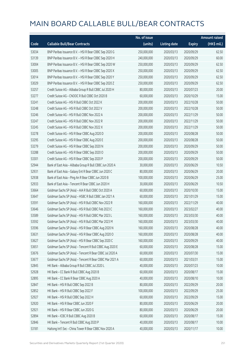|       |                                                          | No. of issue |                     |               | <b>Amount raised</b> |
|-------|----------------------------------------------------------|--------------|---------------------|---------------|----------------------|
| Code  | <b>Callable Bull/Bear Contracts</b>                      | (units)      | <b>Listing date</b> | <b>Expiry</b> | (HK\$ mil.)          |
| 53034 | BNP Paribas Issuance B.V. - HSI R Bear CBBC Sep 2020 G   | 250,000,000  | 2020/03/13          | 2020/09/29    | 62.50                |
| 53139 | BNP Paribas Issuance B.V. - HSI R Bear CBBC Sep 2020 H   | 240,000,000  | 2020/03/13          | 2020/09/29    | 60.00                |
| 53004 | BNP Paribas Issuance B.V. - HSI R Bear CBBC Sep 2020 W   | 250,000,000  | 2020/03/13          | 2020/09/29    | 62.50                |
| 53005 | BNP Paribas Issuance B.V. - HSI R Bear CBBC Sep 2020 X   | 250,000,000  | 2020/03/13          | 2020/09/29    | 62.50                |
| 53014 | BNP Paribas Issuance B.V. - HSI R Bear CBBC Sep 2020 Y   | 250,000,000  | 2020/03/13          | 2020/09/29    | 62.50                |
| 53029 | BNP Paribas Issuance B.V. - HSI R Bear CBBC Sep 2020 Z   | 250,000,000  | 2020/03/13          | 2020/09/29    | 62.50                |
| 53257 | Credit Suisse AG - Alibaba Group R Bull CBBC Jul 2020 H  | 80,000,000   | 2020/03/13          | 2020/07/23    | 20.00                |
| 53277 | Credit Suisse AG - CNOOC R Bull CBBC Oct 2020 B          | 60,000,000   | 2020/03/13          | 2020/10/29    | 15.00                |
| 53241 | Credit Suisse AG - HSI R Bull CBBC Oct 2022 K            | 200,000,000  | 2020/03/13          | 2022/10/28    | 50.00                |
| 53248 | Credit Suisse AG - HSI R Bull CBBC Oct 2022 V            | 200,000,000  | 2020/03/13          | 2022/10/28    | 50.00                |
| 53246 | Credit Suisse AG - HSI R Bull CBBC Nov 2022 A            | 200,000,000  | 2020/03/13          | 2022/11/29    | 50.00                |
| 53247 | Credit Suisse AG - HSI R Bull CBBC Nov 2022 R            | 200,000,000  | 2020/03/13          | 2022/11/29    | 50.00                |
| 53245 | Credit Suisse AG - HSI R Bull CBBC Nov 2022 X            | 200,000,000  | 2020/03/13          | 2022/11/29    | 50.00                |
| 53278 | Credit Suisse AG - HSI R Bear CBBC Aug 2020 D            | 200,000,000  | 2020/03/13          | 2020/08/28    | 50.00                |
| 53295 | Credit Suisse AG - HSI R Bear CBBC Aug 2020 E            | 200,000,000  | 2020/03/13          | 2020/08/28    | 50.00                |
| 53279 | Credit Suisse AG - HSI R Bear CBBC Sep 2020 N            | 200,000,000  | 2020/03/13          | 2020/09/29    | 50.00                |
| 53288 | Credit Suisse AG - HSI R Bear CBBC Sep 2020 O            | 200,000,000  | 2020/03/13          | 2020/09/29    | 50.00                |
| 53301 | Credit Suisse AG - HSI R Bear CBBC Sep 2020 P            | 200,000,000  | 2020/03/13          | 2020/09/29    | 50.00                |
| 52944 | Bank of East Asia - Alibaba Group R Bull CBBC Jun 2020 A | 30,000,000   | 2020/03/13          | 2020/06/29    | 10.50                |
| 52931 | Bank of East Asia - Galaxy Ent R Bear CBBC Jun 2020 C    | 80,000,000   | 2020/03/13          | 2020/06/29    | 20.00                |
| 52938 | Bank of East Asia - Ping An R Bear CBBC Jun 2020 B       | 100,000,000  | 2020/03/13          | 2020/06/29    | 25.00                |
| 52933 | Bank of East Asia - Tencent R Bear CBBC Jun 2020 H       | 30,000,000   | 2020/03/13          | 2020/06/29    | 10.50                |
| 53664 | Goldman Sachs SP (Asia) - AIA R Bull CBBC Oct 2020 A     | 60,000,000   | 2020/03/13          | 2020/10/30    | 15.00                |
| 53647 | Goldman Sachs SP (Asia) - HSBC R Bull CBBC Jan 2021 A    | 60,000,000   | 2020/03/13          | 2021/01/29    | 15.00                |
| 53591 | Goldman Sachs SP (Asia) - HSI R Bull CBBC Nov 2022 R     | 160,000,000  | 2020/03/13          | 2022/11/29    | 40.00                |
| 53646 | Goldman Sachs SP (Asia) - HSI R Bull CBBC Feb 2023 C     | 160,000,000  | 2020/03/13          | 2023/02/27    | 40.00                |
| 53589 | Goldman Sachs SP (Asia) - HSI R Bull CBBC Mar 2023 L     | 160,000,000  | 2020/03/13          | 2023/03/30    | 40.00                |
| 53592 | Goldman Sachs SP (Asia) - HSI R Bull CBBC Mar 2023 M     | 160,000,000  | 2020/03/13          | 2023/03/30    | 40.00                |
| 53596 | Goldman Sachs SP (Asia) - HSI R Bear CBBC Aug 2020 N     | 160,000,000  | 2020/03/13          | 2020/08/28    | 40.00                |
| 53631 | Goldman Sachs SP (Asia) - HSI R Bear CBBC Aug 2020 O     | 160,000,000  | 2020/03/13          | 2020/08/28    | 40.00                |
| 53627 | Goldman Sachs SP (Asia) - HSI R Bear CBBC Sep 2020 C     | 160,000,000  | 2020/03/13          | 2020/09/29    | 40.00                |
| 53651 | Goldman Sachs SP (Asia) - Tencent R Bull CBBC Aug 2020 E | 60,000,000   | 2020/03/13          | 2020/08/28    | 15.00                |
| 53676 | Goldman Sachs SP (Asia) - Tencent R Bear CBBC Jul 2020 A | 60,000,000   | 2020/03/13          | 2020/07/30    | 15.00                |
| 53677 | Goldman Sachs SP (Asia) - Tencent R Bear CBBC Mar 2021 A | 60,000,000   | 2020/03/13          | 2021/03/31    | 15.00                |
| 52845 | HK Bank - Alibaba Group R Bull CBBC Jul 2020 L           | 40,000,000   | 2020/03/13          | 2020/07/23    | 10.00                |
| 52928 | HK Bank - CC Bank R Bull CBBC Aug 2020 B                 | 60,000,000   | 2020/03/13          | 2020/08/17    | 15.00                |
| 52895 | HK Bank - CC Bank R Bear CBBC Aug 2020 A                 | 40,000,000   | 2020/03/13          | 2020/08/10    | 10.00                |
| 52847 | HK Bank - HSI R Bull CBBC Sep 2022 B                     | 80,000,000   | 2020/03/13          | 2022/09/29    | 20.00                |
| 52852 | HK Bank - HSI R Bull CBBC Sep 2022 F                     | 100,000,000  | 2020/03/13          | 2022/09/29    | 25.00                |
| 52927 | HK Bank - HSI R Bull CBBC Sep 2022 H                     | 60,000,000   | 2020/03/13          | 2022/09/29    | 15.00                |
| 52920 | HK Bank - HSI R Bear CBBC Jun 2020 F                     | 80,000,000   | 2020/03/13          | 2020/06/29    | 20.00                |
| 52921 | HK Bank - HSI R Bear CBBC Jun 2020 G                     | 80,000,000   | 2020/03/13          | 2020/06/29    | 20.00                |
| 52894 | HK Bank - ICBC R Bull CBBC Aug 2020 B                    | 60,000,000   | 2020/03/13          | 2020/08/17    | 15.00                |
| 52846 | HK Bank - Tencent R Bull CBBC Aug 2020 P                 | 40,000,000   | 2020/03/13          | 2020/08/17    | 10.00                |
| 53181 | Haitong Int'l Sec - China Tower R Bear CBBC Nov 2020 A   | 40,000,000   | 2020/03/13          | 2020/11/17    | 10.00                |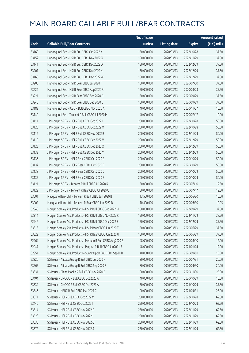|       |                                                              | No. of issue |                     |               | <b>Amount raised</b> |
|-------|--------------------------------------------------------------|--------------|---------------------|---------------|----------------------|
| Code  | <b>Callable Bull/Bear Contracts</b>                          | (units)      | <b>Listing date</b> | <b>Expiry</b> | (HK\$ mil.)          |
| 53160 | Haitong Int'l Sec - HSI R Bull CBBC Oct 2022 K               | 150,000,000  | 2020/03/13          | 2022/10/28    | 37.50                |
| 53152 | Haitong Int'l Sec - HSI R Bull CBBC Nov 2022 X               | 150,000,000  | 2020/03/13          | 2022/11/29    | 37.50                |
| 53141 | Haitong Int'l Sec - HSI R Bull CBBC Dec 2022 D               | 150,000,000  | 2020/03/13          | 2022/12/29    | 37.50                |
| 53201 | Haitong Int'l Sec - HSI R Bull CBBC Dec 2022 K               | 150,000,000  | 2020/03/13          | 2022/12/29    | 37.50                |
| 53165 | Haitong Int'l Sec - HSI R Bull CBBC Dec 2022 W               | 150,000,000  | 2020/03/13          | 2022/12/29    | 37.50                |
| 53208 | Haitong Int'l Sec - HSI R Bear CBBC Jul 2020 T               | 150,000,000  | 2020/03/13          | 2020/07/30    | 37.50                |
| 53224 | Haitong Int'l Sec - HSI R Bear CBBC Aug 2020 B               | 150,000,000  | 2020/03/13          | 2020/08/28    | 37.50                |
| 53221 | Haitong Int'l Sec - HSI R Bear CBBC Sep 2020 D               | 150,000,000  | 2020/03/13          | 2020/09/29    | 37.50                |
| 53240 | Haitong Int'l Sec - HSI R Bear CBBC Sep 2020 E               | 150,000,000  | 2020/03/13          | 2020/09/29    | 37.50                |
| 53182 | Haitong Int'l Sec - ICBC R Bull CBBC Nov 2020 A              | 40,000,000   | 2020/03/13          | 2020/11/27    | 10.00                |
| 53140 | Haitong Int'l Sec - Tencent R Bull CBBC Jul 2020 M           | 40,000,000   | 2020/03/13          | 2020/07/17    | 10.00                |
| 53111 | J P Morgan SP BV - HSI R Bull CBBC Oct 2022 I                | 200,000,000  | 2020/03/13          | 2022/10/28    | 50.00                |
| 53120 | J P Morgan SP BV - HSI R Bull CBBC Oct 2022 M                | 200,000,000  | 2020/03/13          | 2022/10/28    | 50.00                |
| 53112 | J P Morgan SP BV - HSI R Bull CBBC Nov 2022 R                | 200,000,000  | 2020/03/13          | 2022/11/29    | 50.00                |
| 53119 | J P Morgan SP BV - HSI R Bull CBBC Dec 2022 V                | 200,000,000  | 2020/03/13          | 2022/12/29    | 50.00                |
| 53123 | J P Morgan SP BV - HSI R Bull CBBC Dec 2022 X                | 200,000,000  | 2020/03/13          | 2022/12/29    | 50.00                |
| 53132 | J P Morgan SP BV - HSI R Bull CBBC Dec 2022 Y                | 200,000,000  | 2020/03/13          | 2022/12/29    | 50.00                |
| 53136 | J P Morgan SP BV - HSI R Bear CBBC Oct 2020 A                | 200,000,000  | 2020/03/13          | 2020/10/29    | 50.00                |
| 53137 | J P Morgan SP BV - HSI R Bear CBBC Oct 2020 B                | 200,000,000  | 2020/03/13          | 2020/10/29    | 50.00                |
| 53138 | J P Morgan SP BV - HSI R Bear CBBC Oct 2020 C                | 200,000,000  | 2020/03/13          | 2020/10/29    | 50.00                |
| 53135 | J P Morgan SP BV - HSI R Bear CBBC Oct 2020 Z                | 200,000,000  | 2020/03/13          | 2020/10/29    | 50.00                |
| 53121 | J P Morgan SP BV - Tencent R Bull CBBC Jul 2020 R            | 50,000,000   | 2020/03/13          | 2020/07/10    | 12.50                |
| 53122 | J P Morgan SP BV - Tencent R Bear CBBC Jul 2020 Q            | 50,000,000   | 2020/03/13          | 2020/07/17    | 12.50                |
| 53001 | Macquarie Bank Ltd. - Tencent R Bull CBBC Jun 2020 B         | 13,500,000   | 2020/03/13          | 2020/06/30    | 10.00                |
| 53002 | Macquarie Bank Ltd. - Tencent R Bear CBBC Jun 2020 D         | 10,400,000   | 2020/03/13          | 2020/06/30    | 10.05                |
| 52945 | Morgan Stanley Asia Products - HSI R Bull CBBC Sep 2022 M    | 150,000,000  | 2020/03/13          | 2022/09/29    | 37.50                |
| 53314 | Morgan Stanley Asia Products - HSI R Bull CBBC Nov 2022 R    | 150,000,000  | 2020/03/13          | 2022/11/29    | 37.50                |
| 52946 | Morgan Stanley Asia Products - HSI R Bull CBBC Dec 2022 S    | 150,000,000  | 2020/03/13          | 2022/12/29    | 37.50                |
| 53313 | Morgan Stanley Asia Products - HSI R Bear CBBC Jun 2020 T    | 150,000,000  | 2020/03/13          | 2020/06/29    | 37.50                |
| 53322 | Morgan Stanley Asia Products - HSI R Bear CBBC Jun 2020 U    | 150,000,000  | 2020/03/13          | 2020/06/29    | 37.50                |
| 52964 | Morgan Stanley Asia Products - Meituan R Bull CBBC Aug2020 B | 48,000,000   | 2020/03/13          | 2020/08/10    | 12.00                |
| 52947 | Morgan Stanley Asia Products - Ping An R Bull CBBC Jan2021 B | 48,000,000   | 2020/03/13          | 2021/01/04    | 12.00                |
| 52951 | Morgan Stanley Asia Products - Sunny Opt R Bull CBBC Sep20 B | 40,000,000   | 2020/03/13          | 2020/09/01    | 10.00                |
| 53326 | SG Issuer - Alibaba Group R Bull CBBC Jul 2020 P             | 80,000,000   | 2020/03/13          | 2020/07/31    | 20.00                |
| 53565 | SG Issuer - Alibaba Group R Bull CBBC Sep 2020 F             | 80,000,000   | 2020/03/13          | 2020/09/30    | 20.00                |
| 53331 | SG Issuer - China Mobile R Bull CBBC Nov 2020 B              | 100,000,000  | 2020/03/13          | 2020/11/30    | 25.00                |
| 53404 | SG Issuer - CNOOC R Bull CBBC Oct 2020 A                     | 40,000,000   | 2020/03/13          | 2020/10/29    | 10.00                |
| 53339 | SG Issuer - CNOOC R Bull CBBC Oct 2021 A                     | 150,000,000  | 2020/03/13          | 2021/10/29    | 37.50                |
| 53346 | SG Issuer - HSBC R Bull CBBC Mar 2021 C                      | 100,000,000  | 2020/03/13          | 2021/03/31    | 25.00                |
| 53371 | SG Issuer - HSI R Bull CBBC Oct 2022 M                       | 250,000,000  | 2020/03/13          | 2022/10/28    | 62.50                |
| 53440 | SG Issuer - HSI R Bull CBBC Oct 2022 T                       | 250,000,000  | 2020/03/13          | 2022/10/28    | 62.50                |
| 53514 | SG Issuer - HSI R Bull CBBC Nov 2022 D                       | 250,000,000  | 2020/03/13          | 2022/11/29    | 62.50                |
| 53528 | SG Issuer - HSI R Bull CBBC Nov 2022 I                       | 250,000,000  | 2020/03/13          | 2022/11/29    | 62.50                |
| 53530 | SG Issuer - HSI R Bull CBBC Nov 2022 O                       | 250,000,000  | 2020/03/13          | 2022/11/29    | 62.50                |
| 53372 | SG Issuer - HSI R Bull CBBC Nov 2022 S                       | 250,000,000  | 2020/03/13          | 2022/11/29    | 62.50                |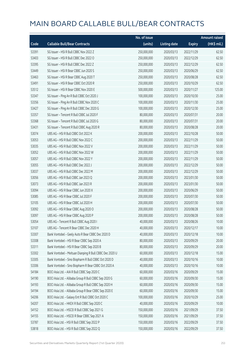|       |                                                         | No. of issue |                     |               | <b>Amount raised</b> |
|-------|---------------------------------------------------------|--------------|---------------------|---------------|----------------------|
| Code  | <b>Callable Bull/Bear Contracts</b>                     | (units)      | <b>Listing date</b> | <b>Expiry</b> | (HK\$ mil.)          |
| 53391 | SG Issuer - HSI R Bull CBBC Nov 2022 Z                  | 250,000,000  | 2020/03/13          | 2022/11/29    | 62.50                |
| 53403 | SG Issuer - HSI R Bull CBBC Dec 2022 O                  | 250,000,000  | 2020/03/13          | 2022/12/29    | 62.50                |
| 53395 | SG Issuer - HSI R Bull CBBC Dec 2022 Z                  | 250,000,000  | 2020/03/13          | 2022/12/29    | 62.50                |
| 53449 | SG Issuer - HSI R Bear CBBC Jun 2020 S                  | 250,000,000  | 2020/03/13          | 2020/06/29    | 62.50                |
| 53463 | SG Issuer - HSI R Bear CBBC Aug 2020 T                  | 250,000,000  | 2020/03/13          | 2020/08/28    | 62.50                |
| 53491 | SG Issuer - HSI R Bear CBBC Oct 2020 R                  | 250,000,000  | 2020/03/13          | 2020/10/29    | 62.50                |
| 53512 | SG Issuer - HSI R Bear CBBC Nov 2020 E                  | 500,000,000  | 2020/03/13          | 2020/11/27    | 125.00               |
| 53347 | SG Issuer - Ping An R Bull CBBC Oct 2020 J              | 100,000,000  | 2020/03/13          | 2020/10/30    | 25.00                |
| 53356 | SG Issuer - Ping An R Bull CBBC Nov 2020 C              | 100,000,000  | 2020/03/13          | 2020/11/30    | 25.00                |
| 53427 | SG Issuer - Ping An R Bull CBBC Dec 2020 G              | 100,000,000  | 2020/03/13          | 2020/12/30    | 25.00                |
| 53357 | SG Issuer - Tencent R Bull CBBC Jul 2020 F              | 80,000,000   | 2020/03/13          | 2020/07/31    | 20.00                |
| 53368 | SG Issuer - Tencent R Bull CBBC Jul 2020 G              | 80,000,000   | 2020/03/13          | 2020/07/31    | 20.00                |
| 53431 | SG Issuer - Tencent R Bull CBBC Aug 2020 R              | 80,000,000   | 2020/03/13          | 2020/08/28    | 20.00                |
| 53074 | UBS AG - HSI R Bull CBBC Oct 2022 K                     | 200,000,000  | 2020/03/13          | 2022/10/28    | 50.00                |
| 53053 | UBS AG - HSI R Bull CBBC Nov 2022 C                     | 200,000,000  | 2020/03/13          | 2022/11/29    | 50.00                |
| 53035 | UBS AG - HSI R Bull CBBC Nov 2022 V                     | 200,000,000  | 2020/03/13          | 2022/11/29    | 50.00                |
| 53052 | UBS AG - HSI R Bull CBBC Nov 2022 W                     | 200,000,000  | 2020/03/13          | 2022/11/29    | 50.00                |
| 53057 | UBS AG - HSI R Bull CBBC Nov 2022 Y                     | 200,000,000  | 2020/03/13          | 2022/11/29    | 50.00                |
| 53055 | UBS AG - HSI R Bull CBBC Dec 2022 J                     | 200,000,000  | 2020/03/13          | 2022/12/29    | 50.00                |
| 53037 | UBS AG - HSI R Bull CBBC Dec 2022 M                     | 200,000,000  | 2020/03/13          | 2022/12/29    | 50.00                |
| 53056 | UBS AG - HSI R Bull CBBC Jan 2023 Q                     | 200,000,000  | 2020/03/13          | 2023/01/30    | 50.00                |
| 53073 | UBS AG - HSI R Bull CBBC Jan 2023 R                     | 200,000,000  | 2020/03/13          | 2023/01/30    | 50.00                |
| 53094 | UBS AG - HSI R Bear CBBC Jun 2020 X                     | 200,000,000  | 2020/03/13          | 2020/06/29    | 50.00                |
| 53085 | UBS AG - HSI R Bear CBBC Jul 2020 F                     | 200,000,000  | 2020/03/13          | 2020/07/30    | 50.00                |
| 53105 | UBS AG - HSI R Bear CBBC Jul 2020 H                     | 200,000,000  | 2020/03/13          | 2020/07/30    | 50.00                |
| 53092 | UBS AG - HSI R Bear CBBC Aug 2020 O                     | 200,000,000  | 2020/03/13          | 2020/08/28    | 50.00                |
| 53097 | UBS AG - HSI R Bear CBBC Aug 2020 P                     | 200,000,000  | 2020/03/13          | 2020/08/28    | 50.00                |
| 53054 | UBS AG - Tencent R Bull CBBC Aug 2020 I                 | 40,000,000   | 2020/03/13          | 2020/08/26    | 10.00                |
| 53107 | UBS AG - Tencent R Bear CBBC Dec 2020 H                 | 40,000,000   | 2020/03/13          | 2020/12/17    | 10.00                |
| 53307 | Bank Vontobel - Geely Auto R Bear CBBC Dec 2020 D       | 40,000,000   | 2020/03/13          | 2020/12/18    | 10.00                |
| 53308 | Bank Vontobel - HSI R Bear CBBC Sep 2020 A              | 80,000,000   | 2020/03/13          | 2020/09/29    | 20.00                |
| 53311 | Bank Vontobel - HSI R Bear CBBC Sep 2020 B              | 80,000,000   | 2020/03/13          | 2020/09/29    | 20.00                |
| 53302 | Bank Vontobel - Meituan Dianping R Bull CBBC Dec 2020 U | 60,000,000   | 2020/03/13          | 2020/12/18    | 15.00                |
| 53305 | Bank Vontobel - Sino Biopharm R Bull CBBC Oct 2020 D    | 40,000,000   | 2020/03/13          | 2020/10/16    | 10.00                |
| 53306 | Bank Vontobel - Sino Biopharm R Bear CBBC Oct 2020 A    | 40,000,000   | 2020/03/13          | 2020/10/16    | 10.00                |
| 54184 | BOCI Asia Ltd. - AIA R Bull CBBC Sep 2020 C             | 60,000,000   | 2020/03/16          | 2020/09/29    | 15.00                |
| 54190 | BOCI Asia Ltd. - Alibaba Group R Bull CBBC Sep 2020 G   | 60,000,000   | 2020/03/16          | 2020/09/30    | 15.00                |
| 54193 | BOCI Asia Ltd. - Alibaba Group R Bull CBBC Sep 2020 H   | 60,000,000   | 2020/03/16          | 2020/09/30    | 15.00                |
| 54194 | BOCI Asia Ltd. - Alibaba Group R Bear CBBC Sep 2020 E   | 60,000,000   | 2020/03/16          | 2020/09/30    | 15.00                |
| 54206 | BOCI Asia Ltd. - Galaxy Ent R Bull CBBC Oct 2020 C      | 100,000,000  | 2020/03/16          | 2020/10/29    | 25.00                |
| 54207 | BOCI Asia Ltd. - HKEX R Bull CBBC Sep 2020 C            | 40,000,000   | 2020/03/16          | 2020/09/29    | 10.00                |
| 54152 | BOCI Asia Ltd. - HSCEI R Bull CBBC Sep 2021 G           | 150,000,000  | 2020/03/16          | 2021/09/29    | 37.50                |
| 54155 | BOCI Asia Ltd. - HSCEI R Bear CBBC Sep 2021 A           | 150,000,000  | 2020/03/16          | 2021/09/29    | 37.50                |
| 53787 | BOCI Asia Ltd. - HSI R Bull CBBC Sep 2022 P             | 150,000,000  | 2020/03/16          | 2022/09/29    | 37.50                |
| 53818 | BOCI Asia Ltd. - HSI R Bull CBBC Sep 2022 Q             | 150,000,000  | 2020/03/16          | 2022/09/29    | 37.50                |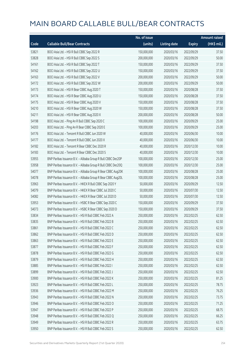|       |                                                              | No. of issue |                     |               | <b>Amount raised</b> |
|-------|--------------------------------------------------------------|--------------|---------------------|---------------|----------------------|
| Code  | <b>Callable Bull/Bear Contracts</b>                          | (units)      | <b>Listing date</b> | <b>Expiry</b> | (HK\$ mil.)          |
| 53821 | BOCI Asia Ltd. - HSI R Bull CBBC Sep 2022 R                  | 150,000,000  | 2020/03/16          | 2022/09/29    | 37.50                |
| 53828 | BOCI Asia Ltd. - HSI R Bull CBBC Sep 2022 S                  | 200,000,000  | 2020/03/16          | 2022/09/29    | 50.00                |
| 54161 | BOCI Asia Ltd. - HSI R Bull CBBC Sep 2022 T                  | 150,000,000  | 2020/03/16          | 2022/09/29    | 37.50                |
| 54162 | BOCI Asia Ltd. - HSI R Bull CBBC Sep 2022 U                  | 150,000,000  | 2020/03/16          | 2022/09/29    | 37.50                |
| 54163 | BOCI Asia Ltd. - HSI R Bull CBBC Sep 2022 V                  | 200,000,000  | 2020/03/16          | 2022/09/29    | 50.00                |
| 54172 | BOCI Asia Ltd. - HSI R Bull CBBC Sep 2022 W                  | 200,000,000  | 2020/03/16          | 2022/09/29    | 50.00                |
| 54173 | BOCI Asia Ltd. - HSI R Bear CBBC Aug 2020 T                  | 150,000,000  | 2020/03/16          | 2020/08/28    | 37.50                |
| 54174 | BOCI Asia Ltd. - HSI R Bear CBBC Aug 2020 U                  | 150,000,000  | 2020/03/16          | 2020/08/28    | 37.50                |
| 54175 | BOCI Asia Ltd. - HSI R Bear CBBC Aug 2020 V                  | 150,000,000  | 2020/03/16          | 2020/08/28    | 37.50                |
| 54210 | BOCI Asia Ltd. - HSI R Bear CBBC Aug 2020 W                  | 150,000,000  | 2020/03/16          | 2020/08/28    | 37.50                |
| 54211 | BOCI Asia Ltd. - HSI R Bear CBBC Aug 2020 X                  | 200,000,000  | 2020/03/16          | 2020/08/28    | 50.00                |
| 54198 | BOCI Asia Ltd. - Ping An R Bull CBBC Sep 2020 C              | 100,000,000  | 2020/03/16          | 2020/09/29    | 25.00                |
| 54203 | BOCI Asia Ltd. - Ping An R Bear CBBC Sep 2020 E              | 100,000,000  | 2020/03/16          | 2020/09/29    | 25.00                |
| 54176 | BOCI Asia Ltd. - Tencent R Bull CBBC Jun 2020 W              | 40,000,000   | 2020/03/16          | 2020/06/30    | 10.00                |
| 54177 | BOCI Asia Ltd. - Tencent R Bull CBBC Jun 2020 X              | 40,000,000   | 2020/03/16          | 2020/06/30    | 10.00                |
| 54182 | BOCI Asia Ltd. - Tencent R Bear CBBC Dec 2020 R              | 40,000,000   | 2020/03/16          | 2020/12/30    | 10.00                |
| 54183 | BOCI Asia Ltd. - Tencent R Bear CBBC Dec 2020 S              | 40,000,000   | 2020/03/16          | 2020/12/30    | 10.00                |
| 53955 | BNP Paribas Issuance B.V. - Alibaba Group R Bull CBBC Dec20P | 100,000,000  | 2020/03/16          | 2020/12/30    | 25.00                |
| 53958 | BNP Paribas Issuance B.V. - Alibaba Group R Bull CBBC Dec20Q | 100,000,000  | 2020/03/16          | 2020/12/30    | 25.00                |
| 54077 | BNP Paribas Issuance B.V. - Alibaba Group R Bear CBBC Aug20K | 100,000,000  | 2020/03/16          | 2020/08/28    | 25.00                |
| 54078 | BNP Paribas Issuance B.V. - Alibaba Group R Bear CBBC Aug20L | 100,000,000  | 2020/03/16          | 2020/08/28    | 25.00                |
| 53963 | BNP Paribas Issuance B.V. - HKEX R Bull CBBC Sep 2020 Y      | 50,000,000   | 2020/03/16          | 2020/09/29    | 12.50                |
| 54079 | BNP Paribas Issuance B.V. - HKEX R Bear CBBC Jul 2020 C      | 50,000,000   | 2020/03/16          | 2020/07/30    | 12.50                |
| 54082 | BNP Paribas Issuance B.V. - HKEX R Bear CBBC Jul 2020 D      | 50,000,000   | 2020/03/16          | 2020/07/30    | 12.50                |
| 53953 | BNP Paribas Issuance B.V. - HSBC R Bear CBBC Sep 2020 C      | 150,000,000  | 2020/03/16          | 2020/09/29    | 37.50                |
| 54073 | BNP Paribas Issuance B.V. - HSBC R Bear CBBC Sep 2020 D      | 150,000,000  | 2020/03/16          | 2020/09/29    | 37.50                |
| 53834 | BNP Paribas Issuance B.V. - HSI R Bull CBBC Feb 2022 A       | 250,000,000  | 2020/03/16          | 2022/02/25    | 62.50                |
| 53835 | BNP Paribas Issuance B.V. - HSI R Bull CBBC Feb 2022 B       | 250,000,000  | 2020/03/16          | 2022/02/25    | 62.50                |
| 53861 | BNP Paribas Issuance B.V. - HSI R Bull CBBC Feb 2022 C       | 250,000,000  | 2020/03/16          | 2022/02/25    | 62.50                |
| 53862 | BNP Paribas Issuance B.V. - HSI R Bull CBBC Feb 2022 D       | 250,000,000  | 2020/03/16          | 2022/02/25    | 62.50                |
| 53863 | BNP Paribas Issuance B.V. - HSI R Bull CBBC Feb 2022 E       | 250,000,000  | 2020/03/16          | 2022/02/25    | 62.50                |
| 53877 | BNP Paribas Issuance B.V. - HSI R Bull CBBC Feb 2022 F       | 250,000,000  | 2020/03/16          | 2022/02/25    | 62.50                |
| 53878 | BNP Paribas Issuance B.V. - HSI R Bull CBBC Feb 2022 G       | 250,000,000  | 2020/03/16          | 2022/02/25    | 62.50                |
| 53879 | BNP Paribas Issuance B.V. - HSI R Bull CBBC Feb 2022 H       | 250,000,000  | 2020/03/16          | 2022/02/25    | 62.50                |
| 53885 | BNP Paribas Issuance B.V. - HSI R Bull CBBC Feb 2022 I       | 250,000,000  | 2020/03/16          | 2022/02/25    | 62.50                |
| 53899 | BNP Paribas Issuance B.V. - HSI R Bull CBBC Feb 2022 J       | 250,000,000  | 2020/03/16          | 2022/02/25    | 62.50                |
| 53900 | BNP Paribas Issuance B.V. - HSI R Bull CBBC Feb 2022 K       | 250,000,000  | 2020/03/16          | 2022/02/25    | 81.25                |
| 53923 | BNP Paribas Issuance B.V. - HSI R Bull CBBC Feb 2022 L       | 250,000,000  | 2020/03/16          | 2022/02/25    | 78.75                |
| 53936 | BNP Paribas Issuance B.V. - HSI R Bull CBBC Feb 2022 M       | 250,000,000  | 2020/03/16          | 2022/02/25    | 76.25                |
| 53943 | BNP Paribas Issuance B.V. - HSI R Bull CBBC Feb 2022 N       | 250,000,000  | 2020/03/16          | 2022/02/25    | 73.75                |
| 53946 | BNP Paribas Issuance B.V. - HSI R Bull CBBC Feb 2022 O       | 250,000,000  | 2020/03/16          | 2022/02/25    | 71.25                |
| 53947 | BNP Paribas Issuance B.V. - HSI R Bull CBBC Feb 2022 P       | 250,000,000  | 2020/03/16          | 2022/02/25    | 68.75                |
| 53948 | BNP Paribas Issuance B.V. - HSI R Bull CBBC Feb 2022 Q       | 250,000,000  | 2020/03/16          | 2022/02/25    | 66.25                |
| 53949 | BNP Paribas Issuance B.V. - HSI R Bull CBBC Feb 2022 R       | 250,000,000  | 2020/03/16          | 2022/02/25    | 63.75                |
| 53950 | BNP Paribas Issuance B.V. - HSI R Bull CBBC Feb 2022 S       | 250,000,000  | 2020/03/16          | 2022/02/25    | 62.50                |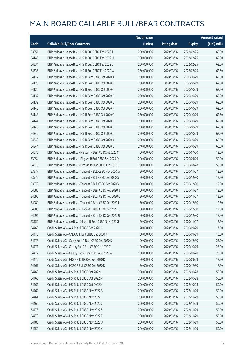|       |                                                            | No. of issue |                     |               | <b>Amount raised</b> |
|-------|------------------------------------------------------------|--------------|---------------------|---------------|----------------------|
| Code  | <b>Callable Bull/Bear Contracts</b>                        | (units)      | <b>Listing date</b> | <b>Expiry</b> | (HK\$ mil.)          |
| 53951 | BNP Paribas Issuance B.V. - HSI R Bull CBBC Feb 2022 T     | 250,000,000  | 2020/03/16          | 2022/02/25    | 62.50                |
| 54146 | BNP Paribas Issuance B.V. - HSI R Bull CBBC Feb 2022 U     | 250,000,000  | 2020/03/16          | 2022/02/25    | 62.50                |
| 54334 | BNP Paribas Issuance B.V. - HSI R Bull CBBC Feb 2022 V     | 250,000,000  | 2020/03/16          | 2022/02/25    | 62.50                |
| 54335 | BNP Paribas Issuance B.V. - HSI R Bull CBBC Feb 2022 W     | 250,000,000  | 2020/03/16          | 2022/02/25    | 62.50                |
| 54117 | BNP Paribas Issuance B.V. - HSI R Bear CBBC Oct 2020 A     | 250,000,000  | 2020/03/16          | 2020/10/29    | 62.50                |
| 54123 | BNP Paribas Issuance B.V. - HSI R Bear CBBC Oct 2020 B     | 250,000,000  | 2020/03/16          | 2020/10/29    | 62.50                |
| 54126 | BNP Paribas Issuance B.V. - HSI R Bear CBBC Oct 2020 C     | 250,000,000  | 2020/03/16          | 2020/10/29    | 62.50                |
| 54137 | BNP Paribas Issuance B.V. - HSI R Bear CBBC Oct 2020 D     | 250,000,000  | 2020/03/16          | 2020/10/29    | 62.50                |
| 54139 | BNP Paribas Issuance B.V. - HSI R Bear CBBC Oct 2020 E     | 250,000,000  | 2020/03/16          | 2020/10/29    | 62.50                |
| 54140 | BNP Paribas Issuance B.V. - HSI R Bear CBBC Oct 2020 F     | 250,000,000  | 2020/03/16          | 2020/10/29    | 62.50                |
| 54143 | BNP Paribas Issuance B.V. - HSI R Bear CBBC Oct 2020 G     | 250,000,000  | 2020/03/16          | 2020/10/29    | 62.50                |
| 54144 | BNP Paribas Issuance B.V. - HSI R Bear CBBC Oct 2020 H     | 250,000,000  | 2020/03/16          | 2020/10/29    | 62.50                |
| 54145 | BNP Paribas Issuance B.V. - HSI R Bear CBBC Oct 2020 I     | 250,000,000  | 2020/03/16          | 2020/10/29    | 62.50                |
| 54342 | BNP Paribas Issuance B.V. - HSI R Bear CBBC Oct 2020 J     | 250,000,000  | 2020/03/16          | 2020/10/29    | 62.50                |
| 54343 | BNP Paribas Issuance B.V. - HSI R Bear CBBC Oct 2020 K     | 250,000,000  | 2020/03/16          | 2020/10/29    | 62.50                |
| 54344 | BNP Paribas Issuance B.V. - HSI R Bear CBBC Oct 2020 L     | 240,000,000  | 2020/03/16          | 2020/10/29    | 60.00                |
| 54076 | BNP Paribas Issuance B.V. - Meituan R Bear CBBC Jul 2020 M | 50,000,000   | 2020/03/16          | 2020/07/30    | 12.50                |
| 53954 | BNP Paribas Issuance B.V. - Ping An R Bull CBBC Sep 2020 Q | 200,000,000  | 2020/03/16          | 2020/09/29    | 50.00                |
| 54075 | BNP Paribas Issuance B.V. - Ping An R Bear CBBC Aug 2020 E | 200,000,000  | 2020/03/16          | 2020/08/28    | 50.00                |
| 53977 | BNP Paribas Issuance B.V. - Tencent R Bull CBBC Nov 2020 W | 50,000,000   | 2020/03/16          | 2020/11/27    | 12.50                |
| 53972 | BNP Paribas Issuance B.V. - Tencent R Bull CBBC Dec 2020 S | 50,000,000   | 2020/03/16          | 2020/12/30    | 12.50                |
| 53979 | BNP Paribas Issuance B.V. - Tencent R Bull CBBC Dec 2020 V | 50,000,000   | 2020/03/16          | 2020/12/30    | 12.50                |
| 54088 | BNP Paribas Issuance B.V. - Tencent R Bear CBBC Nov 2020 B | 50,000,000   | 2020/03/16          | 2020/11/27    | 12.50                |
| 54090 | BNP Paribas Issuance B.V. - Tencent R Bear CBBC Nov 2020 C | 50,000,000   | 2020/03/16          | 2020/11/27    | 12.50                |
| 54089 | BNP Paribas Issuance B.V. - Tencent R Bear CBBC Dec 2020 R | 50,000,000   | 2020/03/16          | 2020/12/30    | 12.50                |
| 54083 | BNP Paribas Issuance B.V. - Tencent R Bear CBBC Dec 2020 T | 50,000,000   | 2020/03/16          | 2020/12/30    | 12.50                |
| 54091 | BNP Paribas Issuance B.V. - Tencent R Bear CBBC Dec 2020 U | 50,000,000   | 2020/03/16          | 2020/12/30    | 12.50                |
| 53952 | BNP Paribas Issuance B.V. - Xiaomi R Bear CBBC Nov 2020 G  | 50,000,000   | 2020/03/16          | 2020/11/27    | 12.50                |
| 54468 | Credit Suisse AG - AIA R Bull CBBC Sep 2020 D              | 70,000,000   | 2020/03/16          | 2020/09/29    | 17.50                |
| 54470 | Credit Suisse AG - CNOOC R Bull CBBC Sep 2020 A            | 60,000,000   | 2020/03/16          | 2020/09/29    | 15.00                |
| 54473 | Credit Suisse AG - Geely Auto R Bear CBBC Dec 2020 D       | 100,000,000  | 2020/03/16          | 2020/12/30    | 25.00                |
| 54471 | Credit Suisse AG - Galaxy Ent R Bull CBBC Oct 2020 C       | 100,000,000  | 2020/03/16          | 2020/10/29    | 25.00                |
| 54472 | Credit Suisse AG - Galaxy Ent R Bear CBBC Aug 2020 A       | 100,000,000  | 2020/03/16          | 2020/08/28    | 25.00                |
| 54476 | Credit Suisse AG - HKEX R Bull CBBC Sep 2020 D             | 50,000,000   | 2020/03/16          | 2020/09/29    | 12.50                |
| 54467 | Credit Suisse AG - HSBC R Bull CBBC Dec 2020 D             | 70,000,000   | 2020/03/16          | 2020/12/30    | 17.50                |
| 54463 | Credit Suisse AG - HSI R Bull CBBC Oct 2022 L              | 200,000,000  | 2020/03/16          | 2022/10/28    | 50.00                |
| 54465 | Credit Suisse AG - HSI R Bull CBBC Oct 2022 M              | 200,000,000  | 2020/03/16          | 2022/10/28    | 50.00                |
| 54461 | Credit Suisse AG - HSI R Bull CBBC Oct 2022 X              | 200,000,000  | 2020/03/16          | 2022/10/28    | 50.00                |
| 54462 | Credit Suisse AG - HSI R Bull CBBC Nov 2022 B              | 200,000,000  | 2020/03/16          | 2022/11/29    | 50.00                |
| 54464 | Credit Suisse AG - HSI R Bull CBBC Nov 2022 I              | 200,000,000  | 2020/03/16          | 2022/11/29    | 50.00                |
| 54466 | Credit Suisse AG - HSI R Bull CBBC Nov 2022 J              | 200,000,000  | 2020/03/16          | 2022/11/29    | 50.00                |
| 54478 | Credit Suisse AG - HSI R Bull CBBC Nov 2022 S              | 200,000,000  | 2020/03/16          | 2022/11/29    | 50.00                |
| 54479 | Credit Suisse AG - HSI R Bull CBBC Nov 2022 T              | 200,000,000  | 2020/03/16          | 2022/11/29    | 50.00                |
| 54483 | Credit Suisse AG - HSI R Bull CBBC Nov 2022 U              | 200,000,000  | 2020/03/16          | 2022/11/29    | 50.00                |
| 54459 | Credit Suisse AG - HSI R Bull CBBC Nov 2022 Y              | 200,000,000  | 2020/03/16          | 2022/11/29    | 50.00                |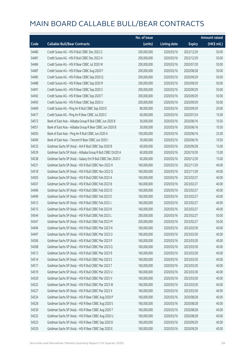|       |                                                             | No. of issue |                     |               | <b>Amount raised</b> |
|-------|-------------------------------------------------------------|--------------|---------------------|---------------|----------------------|
| Code  | <b>Callable Bull/Bear Contracts</b>                         | (units)      | <b>Listing date</b> | <b>Expiry</b> | (HK\$ mil.)          |
| 54480 | Credit Suisse AG - HSI R Bull CBBC Dec 2022 G               | 200,000,000  | 2020/03/16          | 2022/12/29    | 50.00                |
| 54481 | Credit Suisse AG - HSI R Bull CBBC Dec 2022 H               | 200,000,000  | 2020/03/16          | 2022/12/29    | 50.00                |
| 54484 | Credit Suisse AG - HSI R Bear CBBC Jul 2020 W               | 200,000,000  | 2020/03/16          | 2020/07/30    | 50.00                |
| 54487 | Credit Suisse AG - HSI R Bear CBBC Aug 2020 F               | 200,000,000  | 2020/03/16          | 2020/08/28    | 50.00                |
| 54485 | Credit Suisse AG - HSI R Bear CBBC Sep 2020 Q               | 200,000,000  | 2020/03/16          | 2020/09/29    | 50.00                |
| 54488 | Credit Suisse AG - HSI R Bear CBBC Sep 2020 R               | 200,000,000  | 2020/03/16          | 2020/09/29    | 50.00                |
| 54491 | Credit Suisse AG - HSI R Bear CBBC Sep 2020 S               | 200,000,000  | 2020/03/16          | 2020/09/29    | 50.00                |
| 54492 | Credit Suisse AG - HSI R Bear CBBC Sep 2020 T               | 200,000,000  | 2020/03/16          | 2020/09/29    | 50.00                |
| 54493 | Credit Suisse AG - HSI R Bear CBBC Sep 2020 U               | 200,000,000  | 2020/03/16          | 2020/09/29    | 50.00                |
| 54469 | Credit Suisse AG - Ping An R Bull CBBC Sep 2020 E           | 80,000,000   | 2020/03/16          | 2020/09/29    | 20.00                |
| 54477 | Credit Suisse AG - Ping An R Bear CBBC Jul 2020 C           | 60,000,000   | 2020/03/16          | 2020/07/24    | 15.00                |
| 54072 | Bank of East Asia - Alibaba Group R Bull CBBC Jun 2020 B    | 30,000,000   | 2020/03/16          | 2020/06/16    | 10.50                |
| 54051 | Bank of East Asia - Alibaba Group R Bear CBBC Jun 2020 B    | 30,000,000   | 2020/03/16          | 2020/06/16    | 10.50                |
| 54050 | Bank of East Asia - Ping An R Bull CBBC Jun 2020 A          | 100,000,000  | 2020/03/16          | 2020/06/16    | 25.00                |
| 54049 | Bank of East Asia - Tencent R Bear CBBC Jun 2020 I          | 30,000,000   | 2020/03/16          | 2020/06/16    | 10.50                |
| 54533 | Goldman Sachs SP (Asia) - AIA R Bull CBBC Sep 2020 B        | 60,000,000   | 2020/03/16          | 2020/09/28    | 15.00                |
| 54539 | Goldman Sachs SP (Asia) - Alibaba Group R Bull CBBC Oct20 A | 60,000,000   | 2020/03/16          | 2020/10/30    | 15.00                |
| 54538 | Goldman Sachs SP (Asia) - Galaxy Ent R Bull CBBC Dec 2020 C | 60,000,000   | 2020/03/16          | 2020/12/30    | 15.00                |
| 54521 | Goldman Sachs SP (Asia) - HSI R Bull CBBC Nov 2022 H        | 160,000,000  | 2020/03/16          | 2022/11/29    | 40.00                |
| 54518 | Goldman Sachs SP (Asia) - HSI R Bull CBBC Nov 2022 Q        | 160,000,000  | 2020/03/16          | 2022/11/29    | 40.00                |
| 54505 | Goldman Sachs SP (Asia) - HSI R Bull CBBC Feb 2023 A        | 160,000,000  | 2020/03/16          | 2023/02/27    | 40.00                |
| 54507 | Goldman Sachs SP (Asia) - HSI R Bull CBBC Feb 2023 B        | 160,000,000  | 2020/03/16          | 2023/02/27    | 40.00                |
| 54496 | Goldman Sachs SP (Asia) - HSI R Bull CBBC Feb 2023 D        | 160,000,000  | 2020/03/16          | 2023/02/27    | 40.00                |
| 54499 | Goldman Sachs SP (Asia) - HSI R Bull CBBC Feb 2023 E        | 160,000,000  | 2020/03/16          | 2023/02/27    | 40.00                |
| 54512 | Goldman Sachs SP (Asia) - HSI R Bull CBBC Feb 2023 J        | 160,000,000  | 2020/03/16          | 2023/02/27    | 40.00                |
| 54515 | Goldman Sachs SP (Asia) - HSI R Bull CBBC Feb 2023 K        | 160,000,000  | 2020/03/16          | 2023/02/27    | 40.00                |
| 54544 | Goldman Sachs SP (Asia) - HSI R Bull CBBC Feb 2023 L        | 200,000,000  | 2020/03/16          | 2023/02/27    | 50.00                |
| 54547 | Goldman Sachs SP (Asia) - HSI R Bull CBBC Feb 2023 M        | 200,000,000  | 2020/03/16          | 2023/02/27    | 50.00                |
| 54494 | Goldman Sachs SP (Asia) - HSI R Bull CBBC Mar 2023 N        | 160,000,000  | 2020/03/16          | 2023/03/30    | 40.00                |
| 54497 | Goldman Sachs SP (Asia) - HSI R Bull CBBC Mar 2023 O        | 160,000,000  | 2020/03/16          | 2023/03/30    | 40.00                |
| 54506 | Goldman Sachs SP (Asia) - HSI R Bull CBBC Mar 2023 P        | 160,000,000  | 2020/03/16          | 2023/03/30    | 40.00                |
| 54508 | Goldman Sachs SP (Asia) - HSI R Bull CBBC Mar 2023 Q        | 160,000,000  | 2020/03/16          | 2023/03/30    | 40.00                |
| 54513 | Goldman Sachs SP (Asia) - HSI R Bull CBBC Mar 2023 R        | 160,000,000  | 2020/03/16          | 2023/03/30    | 40.00                |
| 54514 | Goldman Sachs SP (Asia) - HSI R Bull CBBC Mar 2023 S        | 160,000,000  | 2020/03/16          | 2023/03/30    | 40.00                |
| 54517 | Goldman Sachs SP (Asia) - HSI R Bull CBBC Mar 2023 T        | 160,000,000  | 2020/03/16          | 2023/03/30    | 40.00                |
| 54519 | Goldman Sachs SP (Asia) - HSI R Bull CBBC Mar 2023 U        | 160,000,000  | 2020/03/16          | 2023/03/30    | 40.00                |
| 54520 | Goldman Sachs SP (Asia) - HSI R Bull CBBC Mar 2023 V        | 160,000,000  | 2020/03/16          | 2023/03/30    | 40.00                |
| 54522 | Goldman Sachs SP (Asia) - HSI R Bull CBBC Mar 2023 W        | 160,000,000  | 2020/03/16          | 2023/03/30    | 40.00                |
| 54527 | Goldman Sachs SP (Asia) - HSI R Bull CBBC Mar 2023 X        | 160,000,000  | 2020/03/16          | 2023/03/30    | 40.00                |
| 54524 | Goldman Sachs SP (Asia) - HSI R Bear CBBC Aug 2020 P        | 160,000,000  | 2020/03/16          | 2020/08/28    | 40.00                |
| 54528 | Goldman Sachs SP (Asia) - HSI R Bear CBBC Aug 2020 S        | 160,000,000  | 2020/03/16          | 2020/08/28    | 40.00                |
| 54530 | Goldman Sachs SP (Asia) - HSI R Bear CBBC Aug 2020 T        | 160,000,000  | 2020/03/16          | 2020/08/28    | 40.00                |
| 54532 | Goldman Sachs SP (Asia) - HSI R Bear CBBC Aug 2020 U        | 160,000,000  | 2020/03/16          | 2020/08/28    | 40.00                |
| 54523 | Goldman Sachs SP (Asia) - HSI R Bear CBBC Sep 2020 D        | 160,000,000  | 2020/03/16          | 2020/09/29    | 40.00                |
| 54529 | Goldman Sachs SP (Asia) - HSI R Bear CBBC Sep 2020 E        | 160,000,000  | 2020/03/16          | 2020/09/29    | 40.00                |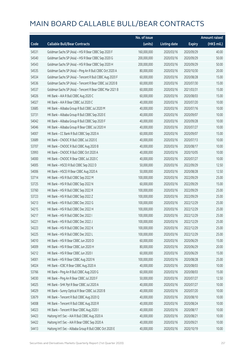|       |                                                          | No. of issue |                     |               | <b>Amount raised</b> |
|-------|----------------------------------------------------------|--------------|---------------------|---------------|----------------------|
| Code  | <b>Callable Bull/Bear Contracts</b>                      | (units)      | <b>Listing date</b> | <b>Expiry</b> | (HK\$ mil.)          |
| 54531 | Goldman Sachs SP (Asia) - HSI R Bear CBBC Sep 2020 F     | 160,000,000  | 2020/03/16          | 2020/09/29    | 40.00                |
| 54540 | Goldman Sachs SP (Asia) - HSI R Bear CBBC Sep 2020 G     | 200,000,000  | 2020/03/16          | 2020/09/29    | 50.00                |
| 54543 | Goldman Sachs SP (Asia) - HSI R Bear CBBC Sep 2020 H     | 200,000,000  | 2020/03/16          | 2020/09/29    | 50.00                |
| 54535 | Goldman Sachs SP (Asia) - Ping An R Bull CBBC Oct 2020 A | 80,000,000   | 2020/03/16          | 2020/10/30    | 20.00                |
| 54534 | Goldman Sachs SP (Asia) - Tencent R Bull CBBC Aug 2020 F | 60,000,000   | 2020/03/16          | 2020/08/28    | 15.00                |
| 54536 | Goldman Sachs SP (Asia) - Tencent R Bear CBBC Jul 2020 B | 60,000,000   | 2020/03/16          | 2020/07/30    | 15.00                |
| 54537 | Goldman Sachs SP (Asia) - Tencent R Bear CBBC Mar 2021 B | 60,000,000   | 2020/03/16          | 2021/03/31    | 15.00                |
| 54026 | HK Bank - AIA R Bull CBBC Aug 2020 C                     | 60,000,000   | 2020/03/16          | 2020/08/03    | 15.00                |
| 54027 | HK Bank - AIA R Bear CBBC Jul 2020 C                     | 40,000,000   | 2020/03/16          | 2020/07/20    | 10.00                |
| 53685 | HK Bank - Alibaba Group R Bull CBBC Jul 2020 M           | 40,000,000   | 2020/03/16          | 2020/07/16    | 10.00                |
| 53731 | HK Bank - Alibaba Group R Bull CBBC Sep 2020 E           | 40,000,000   | 2020/03/16          | 2020/09/07    | 10.00                |
| 54042 | HK Bank - Alibaba Group R Bull CBBC Sep 2020 F           | 40,000,000   | 2020/03/16          | 2020/09/28    | 10.00                |
| 54046 | HK Bank - Alibaba Group R Bear CBBC Jul 2020 H           | 40,000,000   | 2020/03/16          | 2020/07/27    | 10.00                |
| 54007 | HK Bank - CC Bank R Bull CBBC Sep 2020 A                 | 60,000,000   | 2020/03/16          | 2020/09/07    | 15.00                |
| 53689 | HK Bank - CNOOC R Bull CBBC Jul 2020 E                   | 40,000,000   | 2020/03/16          | 2020/07/13    | 10.00                |
| 53707 | HK Bank - CNOOC R Bull CBBC Aug 2020 B                   | 40,000,000   | 2020/03/16          | 2020/08/17    | 10.00                |
| 53993 | HK Bank - CNOOC R Bull CBBC Oct 2020 A                   | 40,000,000   | 2020/03/16          | 2020/10/05    | 10.00                |
| 54000 | HK Bank - CNOOC R Bear CBBC Jul 2020 C                   | 40,000,000   | 2020/03/16          | 2020/07/27    | 10.00                |
| 54005 | HK Bank - HSCEI R Bull CBBC Sep 2022 D                   | 50,000,000   | 2020/03/16          | 2022/09/29    | 12.50                |
| 54006 | HK Bank - HSCEI R Bear CBBC Aug 2020 A                   | 50,000,000   | 2020/03/16          | 2020/08/28    | 12.50                |
| 53714 | HK Bank - HSI R Bull CBBC Sep 2022 M                     | 100,000,000  | 2020/03/16          | 2022/09/29    | 25.00                |
| 53725 | HK Bank - HSI R Bull CBBC Sep 2022 N                     | 60,000,000   | 2020/03/16          | 2022/09/29    | 15.00                |
| 53760 | HK Bank - HSI R Bull CBBC Sep 2022 R                     | 100,000,000  | 2020/03/16          | 2022/09/29    | 25.00                |
| 53723 | HK Bank - HSI R Bull CBBC Sep 2022 Z                     | 100,000,000  | 2020/03/16          | 2022/09/29    | 25.00                |
| 54213 | HK Bank - HSI R Bull CBBC Dec 2022 G                     | 100,000,000  | 2020/03/16          | 2022/12/29    | 25.00                |
| 54215 | HK Bank - HSI R Bull CBBC Dec 2022 H                     | 100,000,000  | 2020/03/16          | 2022/12/29    | 25.00                |
| 54217 | HK Bank - HSI R Bull CBBC Dec 2022 I                     | 100,000,000  | 2020/03/16          | 2022/12/29    | 25.00                |
| 54221 | HK Bank - HSI R Bull CBBC Dec 2022 J                     | 100,000,000  | 2020/03/16          | 2022/12/29    | 25.00                |
| 54223 | HK Bank - HSI R Bull CBBC Dec 2022 K                     | 100,000,000  | 2020/03/16          | 2022/12/29    | 25.00                |
| 54225 | HK Bank - HSI R Bull CBBC Dec 2022 L                     | 100,000,000  | 2020/03/16          | 2022/12/29    | 25.00                |
| 54010 | HK Bank - HSI R Bear CBBC Jun 2020 D                     | 60,000,000   | 2020/03/16          | 2020/06/29    | 15.00                |
| 54009 | HK Bank - HSI R Bear CBBC Jun 2020 H                     | 80,000,000   | 2020/03/16          | 2020/06/29    | 20.00                |
| 54212 | HK Bank - HSI R Bear CBBC Jun 2020 I                     | 60,000,000   | 2020/03/16          | 2020/06/29    | 15.00                |
| 54001 | HK Bank - HSI R Bear CBBC Aug 2020 N                     | 100,000,000  | 2020/03/16          | 2020/08/28    | 25.00                |
| 54024 | HK Bank - ICBC R Bear CBBC Aug 2020 A                    | 40,000,000   | 2020/03/16          | 2020/08/03    | 10.00                |
| 53766 | HK Bank - Ping An R Bull CBBC Aug 2020 G                 | 60,000,000   | 2020/03/16          | 2020/08/03    | 15.00                |
| 54030 | HK Bank - Ping An R Bear CBBC Jul 2020 F                 | 50,000,000   | 2020/03/16          | 2020/07/27    | 12.50                |
| 54025 | HK Bank - SHK Ppt R Bear CBBC Jul 2020 A                 | 40,000,000   | 2020/03/16          | 2020/07/27    | 10.00                |
| 54029 | HK Bank - Sunny Optical R Bear CBBC Jul 2020 B           | 40,000,000   | 2020/03/16          | 2020/07/20    | 10.00                |
| 53679 | HK Bank - Tencent R Bull CBBC Aug 2020 Q                 | 40,000,000   | 2020/03/16          | 2020/08/10    | 10.00                |
| 54008 | HK Bank - Tencent R Bull CBBC Aug 2020 R                 | 40,000,000   | 2020/03/16          | 2020/08/24    | 10.00                |
| 54023 | HK Bank - Tencent R Bear CBBC Aug 2020 I                 | 40,000,000   | 2020/03/16          | 2020/08/17    | 10.00                |
| 54423 | Haitong Int'l Sec - AIA R Bull CBBC Aug 2020 A           | 40,000,000   | 2020/03/16          | 2020/08/21    | 10.00                |
| 54422 | Haitong Int'l Sec - AIA R Bear CBBC Sep 2020 A           | 40,000,000   | 2020/03/16          | 2020/09/21    | 10.00                |
| 54413 | Haitong Int'l Sec - Alibaba Group R Bull CBBC Oct 2020 E | 40,000,000   | 2020/03/16          | 2020/10/19    | 10.00                |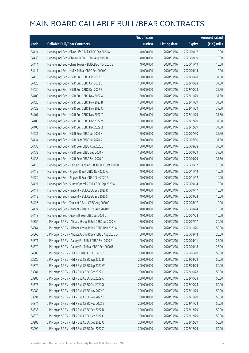|       |                                                             | No. of issue |                     |               | <b>Amount raised</b> |
|-------|-------------------------------------------------------------|--------------|---------------------|---------------|----------------------|
| Code  | <b>Callable Bull/Bear Contracts</b>                         | (units)      | <b>Listing date</b> | <b>Expiry</b> | (HK\$ mil.)          |
| 54424 | Haitong Int'l Sec - China Life R Bull CBBC Sep 2020 A       | 40,000,000   | 2020/03/16          | 2020/09/17    | 10.00                |
| 54438 | Haitong Int'l Sec - CNOOC R Bull CBBC Aug 2020 B            | 40,000,000   | 2020/03/16          | 2020/08/19    | 10.00                |
| 54414 | Haitong Int'l Sec - China Tower R Bull CBBC Nov 2020 B      | 40,000,000   | 2020/03/16          | 2020/11/19    | 10.00                |
| 54417 | Haitong Int'l Sec - HKEX R Bear CBBC Sep 2020 C             | 40,000,000   | 2020/03/16          | 2020/09/14    | 10.00                |
| 54410 | Haitong Int'l Sec - HSI R Bull CBBC Oct 2022 B              | 150,000,000  | 2020/03/16          | 2022/10/28    | 37.50                |
| 54425 | Haitong Int'l Sec - HSI R Bull CBBC Oct 2022 D              | 150,000,000  | 2020/03/16          | 2022/10/28    | 37.50                |
| 54430 | Haitong Int'l Sec - HSI R Bull CBBC Oct 2022 E              | 150,000,000  | 2020/03/16          | 2022/10/28    | 37.50                |
| 54409 | Haitong Int'l Sec - HSI R Bull CBBC Nov 2022 A              | 150,000,000  | 2020/03/16          | 2022/11/29    | 37.50                |
| 54428 | Haitong Int'l Sec - HSI R Bull CBBC Nov 2022 B              | 150,000,000  | 2020/03/16          | 2022/11/29    | 37.50                |
| 54429 | Haitong Int'l Sec - HSI R Bull CBBC Nov 2022 C              | 150,000,000  | 2020/03/16          | 2022/11/29    | 37.50                |
| 54407 | Haitong Int'l Sec - HSI R Bull CBBC Nov 2022 Y              | 150,000,000  | 2020/03/16          | 2022/11/29    | 37.50                |
| 54406 | Haitong Int'l Sec - HSI R Bull CBBC Dec 2022 M              | 150,000,000  | 2020/03/16          | 2022/12/29    | 37.50                |
| 54408 | Haitong Int'l Sec - HSI R Bull CBBC Dec 2022 Q              | 150,000,000  | 2020/03/16          | 2022/12/29    | 37.50                |
| 54431 | Haitong Int'l Sec - HSI R Bear CBBC Jul 2020 N              | 150,000,000  | 2020/03/16          | 2020/07/30    | 37.50                |
| 54434 | Haitong Int'l Sec - HSI R Bear CBBC Jul 2020 R              | 150,000,000  | 2020/03/16          | 2020/07/30    | 37.50                |
| 54433 | Haitong Int'l Sec - HSI R Bear CBBC Aug 2020 E              | 150,000,000  | 2020/03/16          | 2020/08/28    | 37.50                |
| 54432 | Haitong Int'l Sec - HSI R Bear CBBC Sep 2020 F              | 150,000,000  | 2020/03/16          | 2020/09/29    | 37.50                |
| 54435 | Haitong Int'l Sec - HSI R Bear CBBC Sep 2020 G              | 150,000,000  | 2020/03/16          | 2020/09/29    | 37.50                |
| 54416 | Haitong Int'l Sec - Meituan Dianping R Bull CBBC Oct 2020 B | 40,000,000   | 2020/03/16          | 2020/10/12    | 10.00                |
| 54419 | Haitong Int'l Sec - Ping An R Bull CBBC Nov 2020 A          | 40,000,000   | 2020/03/16          | 2020/11/19    | 10.00                |
| 54420 | Haitong Int'l Sec - Ping An R Bear CBBC Nov 2020 A          | 40,000,000   | 2020/03/16          | 2020/11/12    | 10.00                |
| 54421 | Haitong Int'l Sec - Sunny Optical R Bull CBBC Sep 2020 A    | 40,000,000   | 2020/03/16          | 2020/09/14    | 10.00                |
| 54411 | Haitong Int'l Sec - Tencent R Bull CBBC Sep 2020 R          | 40,000,000   | 2020/03/16          | 2020/09/17    | 10.00                |
| 54412 | Haitong Int'l Sec - Tencent R Bull CBBC Sep 2020 S          | 40,000,000   | 2020/03/16          | 2020/09/24    | 10.00                |
| 54426 | Haitong Int'l Sec - Tencent R Bear CBBC Aug 2020 O          | 40,000,000   | 2020/03/16          | 2020/08/17    | 10.00                |
| 54427 | Haitong Int'l Sec - Tencent R Bear CBBC Aug 2020 P          | 40,000,000   | 2020/03/16          | 2020/08/24    | 10.00                |
| 54418 | Haitong Int'l Sec - Xiaomi R Bear CBBC Jul 2020 D           | 40,000,000   | 2020/03/16          | 2020/07/24    | 10.00                |
| 54352 | J P Morgan SP BV - Alibaba Group R Bull CBBC Jul 2020 H     | 80,000,000   | 2020/03/16          | 2020/07/17    | 20.00                |
| 54364 | J P Morgan SP BV - Alibaba Group R Bull CBBC Nov 2020 A     | 200,000,000  | 2020/03/16          | 2020/11/20    | 50.00                |
| 54365 | J P Morgan SP BV - Alibaba Group R Bear CBBC Aug 2020 D     | 80,000,000   | 2020/03/16          | 2020/08/14    | 20.00                |
| 54371 | J P Morgan SP BV - Galaxy Ent R Bull CBBC Sep 2020 A        | 100,000,000  | 2020/03/16          | 2020/09/11    | 25.00                |
| 54370 | J P Morgan SP BV - Galaxy Ent R Bear CBBC Sep 2020 B        | 100,000,000  | 2020/03/16          | 2020/09/18    | 25.00                |
| 54385 | J P Morgan SP BV - HSCEI R Bear CBBC Jun 2020 B             | 200,000,000  | 2020/03/16          | 2020/06/29    | 50.00                |
| 53980 | J P Morgan SP BV - HSI R Bull CBBC Sep 2022 D               | 200,000,000  | 2020/03/16          | 2022/09/29    | 50.00                |
| 54372 | J P Morgan SP BV - HSI R Bull CBBC Sep 2022 W               | 200,000,000  | 2020/03/16          | 2022/09/29    | 50.00                |
| 53981 | J P Morgan SP BV - HSI R Bull CBBC Oct 2022 J               | 200,000,000  | 2020/03/16          | 2022/10/28    | 50.00                |
| 53988 | J P Morgan SP BV - HSI R Bull CBBC Oct 2022 K               | 200,000,000  | 2020/03/16          | 2022/10/28    | 50.00                |
| 54373 | J P Morgan SP BV - HSI R Bull CBBC Oct 2022 O               | 200,000,000  | 2020/03/16          | 2022/10/28    | 50.00                |
| 53982 | J P Morgan SP BV - HSI R Bull CBBC Nov 2022 G               | 200,000,000  | 2020/03/16          | 2022/11/29    | 50.00                |
| 53991 | J P Morgan SP BV - HSI R Bull CBBC Nov 2022 T               | 200,000,000  | 2020/03/16          | 2022/11/29    | 50.00                |
| 54374 | J P Morgan SP BV - HSI R Bull CBBC Nov 2022 V               | 200,000,000  | 2020/03/16          | 2022/11/29    | 50.00                |
| 54333 | J P Morgan SP BV - HSI R Bull CBBC Dec 2022 B               | 200,000,000  | 2020/03/16          | 2022/12/29    | 50.00                |
| 54375 | J P Morgan SP BV - HSI R Bull CBBC Dec 2022 C               | 200,000,000  | 2020/03/16          | 2022/12/29    | 50.00                |
| 53983 | J P Morgan SP BV - HSI R Bull CBBC Dec 2022 Q               | 200,000,000  | 2020/03/16          | 2022/12/29    | 50.00                |
| 53992 | J P Morgan SP BV - HSI R Bull CBBC Dec 2022 Z               | 200,000,000  | 2020/03/16          | 2022/12/29    | 50.00                |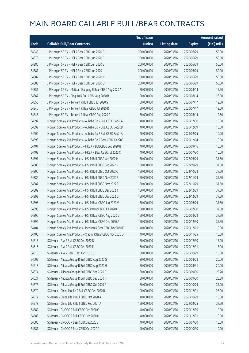|       |                                                              | No. of issue |                     |               | <b>Amount raised</b> |
|-------|--------------------------------------------------------------|--------------|---------------------|---------------|----------------------|
| Code  | <b>Callable Bull/Bear Contracts</b>                          | (units)      | <b>Listing date</b> | <b>Expiry</b> | (HK\$ mil.)          |
| 54048 | J P Morgan SP BV - HSI R Bear CBBC Jun 2020 D                | 200,000,000  | 2020/03/16          | 2020/06/29    | 50.00                |
| 54376 | J P Morgan SP BV - HSI R Bear CBBC Jun 2020 F                | 200,000,000  | 2020/03/16          | 2020/06/29    | 50.00                |
| 54380 | J P Morgan SP BV - HSI R Bear CBBC Jun 2020 G                | 200,000,000  | 2020/03/16          | 2020/06/29    | 50.00                |
| 54381 | J P Morgan SP BV - HSI R Bear CBBC Jun 2020 I                | 200,000,000  | 2020/03/16          | 2020/06/29    | 50.00                |
| 54382 | J P Morgan SP BV - HSI R Bear CBBC Jun 2020 N                | 200,000,000  | 2020/03/16          | 2020/06/29    | 50.00                |
| 54383 | J P Morgan SP BV - HSI R Bear CBBC Jun 2020 O                | 200,000,000  | 2020/03/16          | 2020/06/29    | 50.00                |
| 54351 | J P Morgan SP BV - Meituan Dianping R Bear CBBC Aug 2020 A   | 70,000,000   | 2020/03/16          | 2020/08/14    | 17.50                |
| 54367 | J P Morgan SP BV - Ping An R Bull CBBC Aug 2020 B            | 100,000,000  | 2020/03/16          | 2020/08/14    | 25.00                |
| 54350 | J P Morgan SP BV - Tencent R Bull CBBC Jul 2020 S            | 50,000,000   | 2020/03/16          | 2020/07/17    | 12.50                |
| 54346 | J P Morgan SP BV - Tencent R Bear CBBC Jul 2020 R            | 50,000,000   | 2020/03/16          | 2020/07/17    | 12.50                |
| 54345 | J P Morgan SP BV - Tencent R Bear CBBC Aug 2020 D            | 50,000,000   | 2020/03/16          | 2020/08/14    | 12.50                |
| 54397 | Morgan Stanley Asia Products - Alibaba Gp R Bull CBBC Dec20A | 40,000,000   | 2020/03/16          | 2020/12/30    | 10.00                |
| 54399 | Morgan Stanley Asia Products - Alibaba Gp R Bull CBBC Dec20B | 40,000,000   | 2020/03/16          | 2020/12/09    | 10.00                |
| 54400 | Morgan Stanley Asia Products - Alibaba Gp R Bull CBBC Feb21A | 40,000,000   | 2020/03/16          | 2021/02/05    | 10.00                |
| 54398 | Morgan Stanley Asia Products - Alibaba Gp R Bear CBBC Dec20F | 40,000,000   | 2020/03/16          | 2020/12/04    | 10.00                |
| 54401 | Morgan Stanley Asia Products - HKEX R Bull CBBC Sep 2020 B   | 40,000,000   | 2020/03/16          | 2020/09/16    | 10.00                |
| 54402 | Morgan Stanley Asia Products - HKEX R Bear CBBC Jul 2020 C   | 40,000,000   | 2020/03/16          | 2020/07/30    | 10.00                |
| 54391 | Morgan Stanley Asia Products - HSI R Bull CBBC Jun 2022 H    | 150,000,000  | 2020/03/16          | 2022/06/29    | 37.50                |
| 54388 | Morgan Stanley Asia Products - HSI R Bull CBBC Sep 2022 N    | 150,000,000  | 2020/03/16          | 2022/09/29    | 37.50                |
| 54390 | Morgan Stanley Asia Products - HSI R Bull CBBC Oct 2022 O    | 150,000,000  | 2020/03/16          | 2022/10/28    | 37.50                |
| 54386 | Morgan Stanley Asia Products - HSI R Bull CBBC Nov 2022 S    | 150,000,000  | 2020/03/16          | 2022/11/29    | 37.50                |
| 54387 | Morgan Stanley Asia Products - HSI R Bull CBBC Nov 2022 T    | 150,000,000  | 2020/03/16          | 2022/11/29    | 37.50                |
| 54389 | Morgan Stanley Asia Products - HSI R Bull CBBC Dec 2022 T    | 150,000,000  | 2020/03/16          | 2022/12/29    | 37.50                |
| 54392 | Morgan Stanley Asia Products - HSI R Bull CBBC Dec 2022 U    | 150,000,000  | 2020/03/16          | 2022/12/29    | 37.50                |
| 54395 | Morgan Stanley Asia Products - HSI R Bear CBBC Jun 2020 V    | 150,000,000  | 2020/03/16          | 2020/06/29    | 37.50                |
| 54393 | Morgan Stanley Asia Products - HSI R Bear CBBC Jul 2020 U    | 150,000,000  | 2020/03/16          | 2020/07/30    | 37.50                |
| 54396 | Morgan Stanley Asia Products - HSI R Bear CBBC Aug 2020 G    | 150,000,000  | 2020/03/16          | 2020/08/28    | 37.50                |
| 54394 | Morgan Stanley Asia Products - HSI R Bear CBBC Dec 2020 A    | 150,000,000  | 2020/03/16          | 2020/12/30    | 37.50                |
| 54404 | Morgan Stanley Asia Products - Meituan R Bear CBBC Dec2020 F | 40,000,000   | 2020/03/16          | 2020/12/01    | 10.00                |
| 54405 | Morgan Stanley Asia Products - Xiaomi R Bear CBBC Nov 2020 D | 40,000,000   | 2020/03/16          | 2020/11/25    | 10.00                |
| 54615 | SG Issuer - AIA R Bull CBBC Dec 2020 D                       | 60,000,000   | 2020/03/16          | 2020/12/30    | 15.00                |
| 54616 | SG Issuer - AIA R Bull CBBC Dec 2020 E                       | 60,000,000   | 2020/03/16          | 2020/12/31    | 15.00                |
| 54610 | SG Issuer - AIA R Bear CBBC Oct 2020 C                       | 60,000,000   | 2020/03/16          | 2020/10/29    | 15.00                |
| 54609 | SG Issuer - Alibaba Group R Bull CBBC Aug 2020 G             | 80,000,000   | 2020/03/16          | 2020/08/28    | 20.00                |
| 54618 | SG Issuer - Alibaba Group R Bull CBBC Aug 2020 H             | 80,000,000   | 2020/03/16          | 2020/08/31    | 20.00                |
| 54574 | SG Issuer - Alibaba Group R Bull CBBC Sep 2020 G             | 80,000,000   | 2020/03/16          | 2020/09/30    | 25.20                |
| 54621 | SG Issuer - Alibaba Group R Bull CBBC Sep 2020 H             | 80,000,000   | 2020/03/16          | 2020/09/30    | 28.80                |
| 54576 | SG Issuer - Alibaba Group R Bull CBBC Oct 2020 A             | 80,000,000   | 2020/03/16          | 2020/10/29    | 37.20                |
| 54579 | SG Issuer - China Mobile R Bull CBBC Dec 2020 B              | 100,000,000  | 2020/03/16          | 2020/12/31    | 25.00                |
| 54577 | SG Issuer - China Life R Bull CBBC Oct 2020 A                | 40,000,000   | 2020/03/16          | 2020/10/29    | 10.00                |
| 54578 | SG Issuer - China Life R Bull CBBC Feb 2021 A                | 150,000,000  | 2020/03/16          | 2021/02/25    | 37.50                |
| 54582 | SG Issuer - CNOOC R Bull CBBC Dec 2020 C                     | 40,000,000   | 2020/03/16          | 2020/12/30    | 10.00                |
| 54583 | SG Issuer - CNOOC R Bull CBBC Dec 2020 D                     | 40,000,000   | 2020/03/16          | 2020/12/31    | 10.00                |
| 54580 | SG Issuer - CNOOC R Bear CBBC Jul 2020 B                     | 40,000,000   | 2020/03/16          | 2020/07/30    | 10.00                |
| 54581 | SG Issuer - CNOOC R Bear CBBC Oct 2020 A                     | 40,000,000   | 2020/03/16          | 2020/10/30    | 10.00                |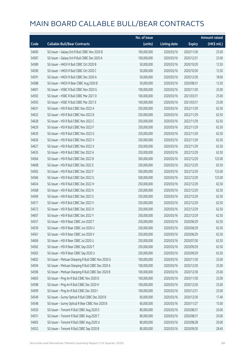|       |                                                     | No. of issue |                     |               | <b>Amount raised</b> |
|-------|-----------------------------------------------------|--------------|---------------------|---------------|----------------------|
| Code  | <b>Callable Bull/Bear Contracts</b>                 | (units)      | <b>Listing date</b> | <b>Expiry</b> | (HK\$ mil.)          |
| 54600 | SG Issuer - Galaxy Ent R Bull CBBC Nov 2020 B       | 100,000,000  | 2020/03/16          | 2020/11/30    | 25.00                |
| 54587 | SG Issuer - Galaxy Ent R Bull CBBC Dec 2020 A       | 100,000,000  | 2020/03/16          | 2020/12/31    | 25.00                |
| 54589 | SG Issuer - HKEX R Bull CBBC Oct 2020 B             | 50,000,000   | 2020/03/16          | 2020/10/29    | 12.50                |
| 54590 | SG Issuer - HKEX R Bull CBBC Oct 2020 C             | 50,000,000   | 2020/03/16          | 2020/10/30    | 12.50                |
| 54591 | SG Issuer - HKEX R Bull CBBC Dec 2020 A             | 50,000,000   | 2020/03/16          | 2020/12/30    | 18.00                |
| 54588 | SG Issuer - HKEX R Bear CBBC Aug 2020 B             | 50,000,000   | 2020/03/16          | 2020/08/31    | 12.50                |
| 54601 | SG Issuer - HSBC R Bull CBBC Nov 2020 G             | 100,000,000  | 2020/03/16          | 2020/11/30    | 25.00                |
| 54592 | SG Issuer - HSBC R Bull CBBC Mar 2021 D             | 100,000,000  | 2020/03/16          | 2021/03/31    | 25.00                |
| 54593 | SG Issuer - HSBC R Bull CBBC Mar 2021 E             | 100,000,000  | 2020/03/16          | 2021/03/31    | 25.00                |
| 54631 | SG Issuer - HSI R Bull CBBC Nov 2022 A              | 250,000,000  | 2020/03/16          | 2022/11/29    | 62.50                |
| 54632 | SG Issuer - HSI R Bull CBBC Nov 2022 B              | 250,000,000  | 2020/03/16          | 2022/11/29    | 62.50                |
| 54628 | SG Issuer - HSI R Bull CBBC Nov 2022 C              | 250,000,000  | 2020/03/16          | 2022/11/29    | 62.50                |
| 54629 | SG Issuer - HSI R Bull CBBC Nov 2022 F              | 250,000,000  | 2020/03/16          | 2022/11/29    | 62.50                |
| 54630 | SG Issuer - HSI R Bull CBBC Nov 2022 G              | 250,000,000  | 2020/03/16          | 2022/11/29    | 62.50                |
| 54626 | SG Issuer - HSI R Bull CBBC Nov 2022 V              | 250,000,000  | 2020/03/16          | 2022/11/29    | 62.50                |
| 54627 | SG Issuer - HSI R Bull CBBC Nov 2022 X              | 250,000,000  | 2020/03/16          | 2022/11/29    | 62.50                |
| 54635 | SG Issuer - HSI R Bull CBBC Dec 2022 A              | 250,000,000  | 2020/03/16          | 2022/12/29    | 62.50                |
| 54564 | SG Issuer - HSI R Bull CBBC Dec 2022 B              | 500,000,000  | 2020/03/16          | 2022/12/29    | 125.00               |
| 54608 | SG Issuer - HSI R Bull CBBC Dec 2022 E              | 250,000,000  | 2020/03/16          | 2022/12/29    | 62.50                |
| 54565 | SG Issuer - HSI R Bull CBBC Dec 2022 F              | 500,000,000  | 2020/03/16          | 2022/12/29    | 125.00               |
| 54566 | SG Issuer - HSI R Bull CBBC Dec 2022 G              | 500,000,000  | 2020/03/16          | 2022/12/29    | 125.00               |
| 54634 | SG Issuer - HSI R Bull CBBC Dec 2022 H              | 250,000,000  | 2020/03/16          | 2022/12/29    | 62.50                |
| 54568 | SG Issuer - HSI R Bull CBBC Dec 2022 K              | 250,000,000  | 2020/03/16          | 2022/12/29    | 62.50                |
| 54569 | SG Issuer - HSI R Bull CBBC Dec 2022 S              | 250,000,000  | 2020/03/16          | 2022/12/29    | 62.50                |
| 54571 | SG Issuer - HSI R Bull CBBC Dec 2022 V              | 250,000,000  | 2020/03/16          | 2022/12/29    | 62.50                |
| 54572 | SG Issuer - HSI R Bull CBBC Dec 2022 X              | 250,000,000  | 2020/03/16          | 2022/12/29    | 62.50                |
| 54607 | SG Issuer - HSI R Bull CBBC Dec 2022 Y              | 250,000,000  | 2020/03/16          | 2022/12/29    | 62.50                |
| 54557 | SG Issuer - HSI R Bear CBBC Jun 2020 T              | 250,000,000  | 2020/03/16          | 2020/06/29    | 62.50                |
| 54559 | SG Issuer - HSI R Bear CBBC Jun 2020 U              | 250,000,000  | 2020/03/16          | 2020/06/29    | 62.50                |
| 54561 | SG Issuer - HSI R Bear CBBC Jun 2020 V              | 250,000,000  | 2020/03/16          | 2020/06/29    | 62.50                |
| 54606 | SG Issuer - HSI R Bear CBBC Jul 2020 U              | 250,000,000  | 2020/03/16          | 2020/07/30    | 62.50                |
| 54562 | SG Issuer - HSI R Bear CBBC Sep 2020 T              | 250,000,000  | 2020/03/16          | 2020/09/29    | 62.50                |
| 54563 | SG Issuer - HSI R Bear CBBC Sep 2020 U              | 250,000,000  | 2020/03/16          | 2020/09/29    | 62.50                |
| 54602 | SG Issuer - Meituan Dianping R Bull CBBC Nov 2020 G | 100,000,000  | 2020/03/16          | 2020/11/30    | 25.00                |
| 54594 | SG Issuer - Meituan Dianping R Bull CBBC Dec 2020 A | 100,000,000  | 2020/03/16          | 2020/12/30    | 25.00                |
| 54596 | SG Issuer - Meituan Dianping R Bull CBBC Dec 2020 B | 100,000,000  | 2020/03/16          | 2020/12/30    | 25.00                |
| 54603 | SG Issuer - Ping An R Bull CBBC Nov 2020 D          | 100,000,000  | 2020/03/16          | 2020/11/30    | 25.00                |
| 54598 | SG Issuer - Ping An R Bull CBBC Dec 2020 H          | 100,000,000  | 2020/03/16          | 2020/12/30    | 25.00                |
| 54599 | SG Issuer - Ping An R Bull CBBC Dec 2020 I          | 100,000,000  | 2020/03/16          | 2020/12/31    | 25.00                |
| 54549 | SG Issuer - Sunny Optical R Bull CBBC Dec 2020 B    | 60,000,000   | 2020/03/16          | 2020/12/30    | 17.40                |
| 54548 | SG Issuer - Sunny Optical R Bear CBBC Nov 2020 B    | 60,000,000   | 2020/03/16          | 2020/11/27    | 15.00                |
| 54550 | SG Issuer - Tencent R Bull CBBC Aug 2020 S          | 80,000,000   | 2020/03/16          | 2020/08/31    | 20.00                |
| 54551 | SG Issuer - Tencent R Bull CBBC Aug 2020 T          | 80,000,000   | 2020/03/16          | 2020/08/31    | 20.00                |
| 54605 | SG Issuer - Tencent R Bull CBBC Aug 2020 U          | 80,000,000   | 2020/03/16          | 2020/08/28    | 20.00                |
| 54552 | SG Issuer - Tencent R Bull CBBC Sep 2020 B          | 80,000,000   | 2020/03/16          | 2020/09/30    | 28.40                |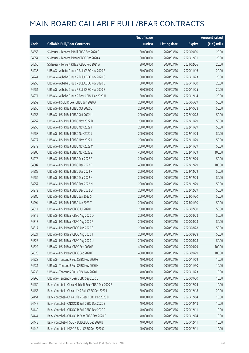|       |                                                     | No. of issue |                     |               | <b>Amount raised</b> |
|-------|-----------------------------------------------------|--------------|---------------------|---------------|----------------------|
| Code  | <b>Callable Bull/Bear Contracts</b>                 | (units)      | <b>Listing date</b> | <b>Expiry</b> | (HK\$ mil.)          |
| 54553 | SG Issuer - Tencent R Bull CBBC Sep 2020 C          | 80,000,000   | 2020/03/16          | 2020/09/30    | 20.00                |
| 54554 | SG Issuer - Tencent R Bear CBBC Dec 2020 A          | 80,000,000   | 2020/03/16          | 2020/12/31    | 20.00                |
| 54556 | SG Issuer - Tencent R Bear CBBC Feb 2021 A          | 80,000,000   | 2020/03/16          | 2021/02/26    | 20.00                |
| 54236 | UBS AG - Alibaba Group R Bull CBBC Nov 2020 B       | 80,000,000   | 2020/03/16          | 2020/11/16    | 20.00                |
| 54244 | UBS AG - Alibaba Group R Bull CBBC Nov 2020 C       | 80,000,000   | 2020/03/16          | 2020/11/23    | 20.00                |
| 54250 | UBS AG - Alibaba Group R Bull CBBC Nov 2020 D       | 80,000,000   | 2020/03/16          | 2020/11/30    | 20.00                |
| 54251 | UBS AG - Alibaba Group R Bull CBBC Nov 2020 E       | 80,000,000   | 2020/03/16          | 2020/11/25    | 20.00                |
| 54271 | UBS AG - Alibaba Group R Bear CBBC Dec 2020 H       | 80,000,000   | 2020/03/16          | 2020/12/14    | 20.00                |
| 54259 | UBS AG - HSCEI R Bear CBBC Jun 2020 A               | 200,000,000  | 2020/03/16          | 2020/06/29    | 50.00                |
| 54256 | UBS AG - HSI R Bull CBBC Oct 2022 C                 | 200,000,000  | 2020/03/16          | 2022/10/28    | 50.00                |
| 54253 | UBS AG - HSI R Bull CBBC Oct 2022 U                 | 200,000,000  | 2020/03/16          | 2022/10/28    | 50.00                |
| 54252 | UBS AG - HSI R Bull CBBC Nov 2022 D                 | 200,000,000  | 2020/03/16          | 2022/11/29    | 50.00                |
| 54255 | UBS AG - HSI R Bull CBBC Nov 2022 F                 | 200,000,000  | 2020/03/16          | 2022/11/29    | 50.00                |
| 54258 | UBS AG - HSI R Bull CBBC Nov 2022 J                 | 200,000,000  | 2020/03/16          | 2022/11/29    | 50.00                |
| 54277 | UBS AG - HSI R Bull CBBC Nov 2022 L                 | 200,000,000  | 2020/03/16          | 2022/11/29    | 50.00                |
| 54279 | UBS AG - HSI R Bull CBBC Nov 2022 M                 | 200,000,000  | 2020/03/16          | 2022/11/29    | 50.00                |
| 54306 | UBS AG - HSI R Bull CBBC Nov 2022 Z                 | 400,000,000  | 2020/03/16          | 2022/11/29    | 100.00               |
| 54278 | UBS AG - HSI R Bull CBBC Dec 2022 A                 | 200,000,000  | 2020/03/16          | 2022/12/29    | 50.00                |
| 54307 | UBS AG - HSI R Bull CBBC Dec 2022 B                 | 400,000,000  | 2020/03/16          | 2022/12/29    | 100.00               |
| 54289 | UBS AG - HSI R Bull CBBC Dec 2022 F                 | 200,000,000  | 2020/03/16          | 2022/12/29    | 50.00                |
| 54254 | UBS AG - HSI R Bull CBBC Dec 2022 K                 | 200,000,000  | 2020/03/16          | 2022/12/29    | 50.00                |
| 54257 | UBS AG - HSI R Bull CBBC Dec 2022 N                 | 200,000,000  | 2020/03/16          | 2022/12/29    | 50.00                |
| 54272 | UBS AG - HSI R Bull CBBC Dec 2022 O                 | 200,000,000  | 2020/03/16          | 2022/12/29    | 50.00                |
| 54280 | UBS AG - HSI R Bull CBBC Jan 2023 S                 | 200,000,000  | 2020/03/16          | 2023/01/30    | 50.00                |
| 54294 | UBS AG - HSI R Bull CBBC Jan 2023 T                 | 200,000,000  | 2020/03/16          | 2023/01/30    | 50.00                |
| 54311 | UBS AG - HSI R Bear CBBC Jul 2020 I                 | 200,000,000  | 2020/03/16          | 2020/07/30    | 50.00                |
| 54312 | UBS AG - HSI R Bear CBBC Aug 2020 Q                 | 200,000,000  | 2020/03/16          | 2020/08/28    | 50.00                |
| 54313 | UBS AG - HSI R Bear CBBC Aug 2020 R                 | 200,000,000  | 2020/03/16          | 2020/08/28    | 50.00                |
| 54317 | UBS AG - HSI R Bear CBBC Aug 2020 S                 | 200,000,000  | 2020/03/16          | 2020/08/28    | 50.00                |
| 54321 | UBS AG - HSI R Bear CBBC Aug 2020 T                 | 200,000,000  | 2020/03/16          | 2020/08/28    | 50.00                |
| 54325 | UBS AG - HSI R Bear CBBC Aug 2020 U                 | 200,000,000  | 2020/03/16          | 2020/08/28    | 50.00                |
| 54322 | UBS AG - HSI R Bear CBBC Sep 2020 E                 | 400,000,000  | 2020/03/16          | 2020/09/29    | 100.00               |
| 54326 | UBS AG - HSI R Bear CBBC Sep 2020 F                 | 400,000,000  | 2020/03/16          | 2020/09/29    | 100.00               |
| 54228 | UBS AG - Tencent R Bull CBBC Nov 2020 G             | 40,000,000   | 2020/03/16          | 2020/11/09    | 10.00                |
| 54231 | UBS AG - Tencent R Bull CBBC Nov 2020 H             | 40,000,000   | 2020/03/16          | 2020/11/30    | 10.00                |
| 54235 | UBS AG - Tencent R Bull CBBC Nov 2020 I             | 40,000,000   | 2020/03/16          | 2020/11/23    | 10.00                |
| 54260 | UBS AG - Tencent R Bear CBBC Sep 2020 C             | 40,000,000   | 2020/03/16          | 2020/09/30    | 10.00                |
| 54450 | Bank Vontobel - China Mobile R Bear CBBC Dec 2020 E | 40,000,000   | 2020/03/16          | 2020/12/04    | 10.00                |
| 54453 | Bank Vontobel - China Life R Bull CBBC Dec 2020 I   | 80,000,000   | 2020/03/16          | 2020/12/18    | 20.00                |
| 54454 | Bank Vontobel - China Life R Bear CBBC Dec 2020 B   | 40,000,000   | 2020/03/16          | 2020/12/04    | 10.00                |
| 54447 | Bank Vontobel - CNOOC R Bull CBBC Dec 2020 E        | 40,000,000   | 2020/03/16          | 2020/12/18    | 10.00                |
| 54449 | Bank Vontobel - CNOOC R Bull CBBC Dec 2020 F        | 40,000,000   | 2020/03/16          | 2020/12/11    | 10.00                |
| 54444 | Bank Vontobel - CNOOC R Bear CBBC Dec 2020 F        | 40,000,000   | 2020/03/16          | 2020/12/04    | 10.00                |
| 54443 | Bank Vontobel - HSBC R Bull CBBC Dec 2020 B         | 40,000,000   | 2020/03/16          | 2020/12/11    | 10.00                |
| 54442 | Bank Vontobel - HSBC R Bear CBBC Dec 2020 C         | 40,000,000   | 2020/03/16          | 2020/12/11    | 10.00                |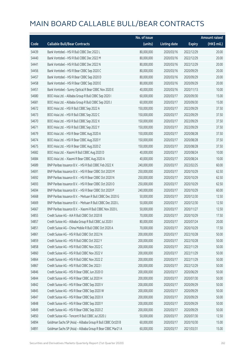|       |                                                             | No. of issue |                     |               | <b>Amount raised</b> |
|-------|-------------------------------------------------------------|--------------|---------------------|---------------|----------------------|
| Code  | <b>Callable Bull/Bear Contracts</b>                         | (units)      | <b>Listing date</b> | <b>Expiry</b> | (HK\$ mil.)          |
| 54439 | Bank Vontobel - HSI R Bull CBBC Dec 2022 L                  | 80,000,000   | 2020/03/16          | 2022/12/29    | 20.00                |
| 54440 | Bank Vontobel - HSI R Bull CBBC Dec 2022 M                  | 80,000,000   | 2020/03/16          | 2022/12/29    | 20.00                |
| 54441 | Bank Vontobel - HSI R Bull CBBC Dec 2022 N                  | 80,000,000   | 2020/03/16          | 2022/12/29    | 20.00                |
| 54456 | Bank Vontobel - HSI R Bear CBBC Sep 2020 C                  | 80,000,000   | 2020/03/16          | 2020/09/29    | 20.00                |
| 54457 | Bank Vontobel - HSI R Bear CBBC Sep 2020 D                  | 80,000,000   | 2020/03/16          | 2020/09/29    | 20.00                |
| 54458 | Bank Vontobel - HSI R Bear CBBC Sep 2020 E                  | 80,000,000   | 2020/03/16          | 2020/09/29    | 20.00                |
| 54451 | Bank Vontobel - Sunny Optical R Bear CBBC Nov 2020 E        | 40,000,000   | 2020/03/16          | 2020/11/13    | 10.00                |
| 54680 | BOCI Asia Ltd. - Alibaba Group R Bull CBBC Sep 2020 I       | 60,000,000   | 2020/03/17          | 2020/09/30    | 15.00                |
| 54681 | BOCI Asia Ltd. - Alibaba Group R Bull CBBC Sep 2020 J       | 60,000,000   | 2020/03/17          | 2020/09/30    | 15.00                |
| 54672 | BOCI Asia Ltd. - HSI R Bull CBBC Sep 2022 A                 | 150,000,000  | 2020/03/17          | 2022/09/29    | 37.50                |
| 54673 | BOCI Asia Ltd. - HSI R Bull CBBC Sep 2022 C                 | 150,000,000  | 2020/03/17          | 2022/09/29    | 37.50                |
| 54670 | BOCI Asia Ltd. - HSI R Bull CBBC Sep 2022 X                 | 150,000,000  | 2020/03/17          | 2022/09/29    | 37.50                |
| 54671 | BOCI Asia Ltd. - HSI R Bull CBBC Sep 2022 Y                 | 150,000,000  | 2020/03/17          | 2022/09/29    | 37.50                |
| 54679 | BOCI Asia Ltd. - HSI R Bear CBBC Aug 2020 A                 | 150,000,000  | 2020/03/17          | 2020/08/28    | 37.50                |
| 54674 | BOCI Asia Ltd. - HSI R Bear CBBC Aug 2020 Y                 | 150,000,000  | 2020/03/17          | 2020/08/28    | 37.50                |
| 54675 | BOCI Asia Ltd. - HSI R Bear CBBC Aug 2020 Z                 | 150,000,000  | 2020/03/17          | 2020/08/28    | 37.50                |
| 54682 | BOCI Asia Ltd. - Xiaomi R Bull CBBC Aug 2020 D              | 40,000,000   | 2020/03/17          | 2020/08/24    | 10.00                |
| 54684 | BOCI Asia Ltd. - Xiaomi R Bear CBBC Aug 2020 A              | 40,000,000   | 2020/03/17          | 2020/08/24    | 10.00                |
| 54689 | BNP Paribas Issuance B.V. - HSI R Bull CBBC Feb 2022 X      | 240,000,000  | 2020/03/17          | 2022/02/25    | 60.00                |
| 54691 | BNP Paribas Issuance B.V. - HSI R Bear CBBC Oct 2020 M      | 250,000,000  | 2020/03/17          | 2020/10/29    | 62.50                |
| 54692 | BNP Paribas Issuance B.V. - HSI R Bear CBBC Oct 2020 N      | 250,000,000  | 2020/03/17          | 2020/10/29    | 62.50                |
| 54693 | BNP Paribas Issuance B.V. - HSI R Bear CBBC Oct 2020 O      | 250,000,000  | 2020/03/17          | 2020/10/29    | 62.50                |
| 54694 | BNP Paribas Issuance B.V. - HSI R Bear CBBC Oct 2020 P      | 240,000,000  | 2020/03/17          | 2020/10/29    | 60.00                |
| 54668 | BNP Paribas Issuance B.V. - Meituan R Bull CBBC Dec 2020 G  | 50,000,000   | 2020/03/17          | 2020/12/30    | 12.50                |
| 54669 | BNP Paribas Issuance B.V. - Meituan R Bull CBBC Dec 2020 L  | 50,000,000   | 2020/03/17          | 2020/12/30    | 12.50                |
| 54667 | BNP Paribas Issuance B.V. - Xiaomi R Bull CBBC Nov 2020 L   | 50,000,000   | 2020/03/17          | 2020/11/27    | 12.50                |
| 54855 | Credit Suisse AG - AIA R Bull CBBC Oct 2020 B               | 70,000,000   | 2020/03/17          | 2020/10/29    | 17.50                |
| 54857 | Credit Suisse AG - Alibaba Group R Bull CBBC Jul 2020 I     | 80,000,000   | 2020/03/17          | 2020/07/24    | 20.00                |
| 54851 | Credit Suisse AG - China Mobile R Bull CBBC Oct 2020 A      | 70,000,000   | 2020/03/17          | 2020/10/29    | 17.50                |
| 54861 | Credit Suisse AG - HSI R Bull CBBC Oct 2022 N               | 200,000,000  | 2020/03/17          | 2022/10/28    | 50.00                |
| 54859 | Credit Suisse AG - HSI R Bull CBBC Oct 2022 Y               | 200,000,000  | 2020/03/17          | 2022/10/28    | 50.00                |
| 54858 | Credit Suisse AG - HSI R Bull CBBC Nov 2022 C               | 200,000,000  | 2020/03/17          | 2022/11/29    | 50.00                |
| 54860 | Credit Suisse AG - HSI R Bull CBBC Nov 2022 V               | 200,000,000  | 2020/03/17          | 2022/11/29    | 50.00                |
| 54864 | Credit Suisse AG - HSI R Bull CBBC Nov 2022 Z               | 200,000,000  | 2020/03/17          | 2022/11/29    | 50.00                |
| 54867 | Credit Suisse AG - HSI R Bull CBBC Dec 2022 I               | 200,000,000  | 2020/03/17          | 2022/12/29    | 50.00                |
| 54846 | Credit Suisse AG - HSI R Bear CBBC Jun 2020 O               | 200,000,000  | 2020/03/17          | 2020/06/29    | 50.00                |
| 54844 | Credit Suisse AG - HSI R Bear CBBC Jul 2020 H               | 200,000,000  | 2020/03/17          | 2020/07/30    | 50.00                |
| 54842 | Credit Suisse AG - HSI R Bear CBBC Sep 2020 V               | 200,000,000  | 2020/03/17          | 2020/09/29    | 50.00                |
| 54845 | Credit Suisse AG - HSI R Bear CBBC Sep 2020 W               | 200,000,000  | 2020/03/17          | 2020/09/29    | 50.00                |
| 54847 | Credit Suisse AG - HSI R Bear CBBC Sep 2020 X               | 200,000,000  | 2020/03/17          | 2020/09/29    | 50.00                |
| 54848 | Credit Suisse AG - HSI R Bear CBBC Sep 2020 Y               | 200,000,000  | 2020/03/17          | 2020/09/29    | 50.00                |
| 54849 | Credit Suisse AG - HSI R Bear CBBC Sep 2020 Z               | 200,000,000  | 2020/03/17          | 2020/09/29    | 50.00                |
| 54850 | Credit Suisse AG - Tencent R Bull CBBC Jul 2020 J           | 50,000,000   | 2020/03/17          | 2020/07/30    | 12.50                |
| 54894 | Goldman Sachs SP (Asia) - Alibaba Group R Bull CBBC Oct20 B | 60,000,000   | 2020/03/17          | 2020/10/30    | 15.00                |
| 54891 | Goldman Sachs SP (Asia) - Alibaba Group R Bear CBBC Mar21 A | 60,000,000   | 2020/03/17          | 2021/03/31    | 15.00                |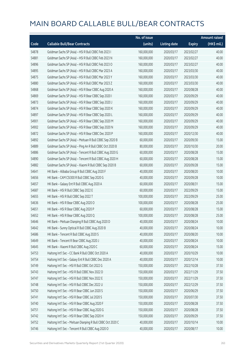|       |                                                             | No. of issue |                     |               | <b>Amount raised</b> |
|-------|-------------------------------------------------------------|--------------|---------------------|---------------|----------------------|
| Code  | <b>Callable Bull/Bear Contracts</b>                         | (units)      | <b>Listing date</b> | <b>Expiry</b> | (HK\$ mil.)          |
| 54878 | Goldman Sachs SP (Asia) - HSI R Bull CBBC Feb 2023 I        | 160,000,000  | 2020/03/17          | 2023/02/27    | 40.00                |
| 54881 | Goldman Sachs SP (Asia) - HSI R Bull CBBC Feb 2023 N        | 160,000,000  | 2020/03/17          | 2023/02/27    | 40.00                |
| 54896 | Goldman Sachs SP (Asia) - HSI R Bull CBBC Feb 2023 O        | 160,000,000  | 2020/03/17          | 2023/02/27    | 40.00                |
| 54895 | Goldman Sachs SP (Asia) - HSI R Bull CBBC Mar 2023 A        | 160,000,000  | 2020/03/17          | 2023/03/30    | 40.00                |
| 54875 | Goldman Sachs SP (Asia) - HSI R Bull CBBC Mar 2023 Y        | 160,000,000  | 2020/03/17          | 2023/03/30    | 40.00                |
| 54880 | Goldman Sachs SP (Asia) - HSI R Bull CBBC Mar 2023 Z        | 160,000,000  | 2020/03/17          | 2023/03/30    | 40.00                |
| 54868 | Goldman Sachs SP (Asia) - HSI R Bear CBBC Aug 2020 A        | 160,000,000  | 2020/03/17          | 2020/08/28    | 40.00                |
| 54869 | Goldman Sachs SP (Asia) - HSI R Bear CBBC Sep 2020 I        | 160,000,000  | 2020/03/17          | 2020/09/29    | 40.00                |
| 54873 | Goldman Sachs SP (Asia) - HSI R Bear CBBC Sep 2020 J        | 160,000,000  | 2020/03/17          | 2020/09/29    | 40.00                |
| 54874 | Goldman Sachs SP (Asia) - HSI R Bear CBBC Sep 2020 K        | 160,000,000  | 2020/03/17          | 2020/09/29    | 40.00                |
| 54897 | Goldman Sachs SP (Asia) - HSI R Bear CBBC Sep 2020 L        | 160,000,000  | 2020/03/17          | 2020/09/29    | 40.00                |
| 54901 | Goldman Sachs SP (Asia) - HSI R Bear CBBC Sep 2020 M        | 160,000,000  | 2020/03/17          | 2020/09/29    | 40.00                |
| 54902 | Goldman Sachs SP (Asia) - HSI R Bear CBBC Sep 2020 N        | 160,000,000  | 2020/03/17          | 2020/09/29    | 40.00                |
| 54872 | Goldman Sachs SP (Asia) - HSI R Bear CBBC Dec 2020 P        | 160,000,000  | 2020/03/17          | 2020/12/30    | 40.00                |
| 54892 | Goldman Sachs SP (Asia) - Meituan R Bull CBBC Sep 2020 B    | 60,000,000   | 2020/03/17          | 2020/09/30    | 15.00                |
| 54889 | Goldman Sachs SP (Asia) - Ping An R Bull CBBC Oct 2020 B    | 80,000,000   | 2020/03/17          | 2020/10/30    | 20.00                |
| 54886 | Goldman Sachs SP (Asia) - Tencent R Bull CBBC Aug 2020 G    | 60,000,000   | 2020/03/17          | 2020/08/28    | 15.00                |
| 54890 | Goldman Sachs SP (Asia) - Tencent R Bull CBBC Aug 2020 H    | 60,000,000   | 2020/03/17          | 2020/08/28    | 15.00                |
| 54882 | Goldman Sachs SP (Asia) - Xiaomi R Bull CBBC Sep 2020 B     | 60,000,000   | 2020/03/17          | 2020/09/28    | 15.00                |
| 54641 | HK Bank - Alibaba Group R Bull CBBC Aug 2020 F              | 40,000,000   | 2020/03/17          | 2020/08/20    | 10.00                |
| 54656 | HK Bank - CAM CSI300 R Bull CBBC Sep 2020 G                 | 40,000,000   | 2020/03/17          | 2020/09/28    | 10.00                |
| 54657 | HK Bank - Galaxy Ent R Bull CBBC Aug 2020 A                 | 60,000,000   | 2020/03/17          | 2020/08/31    | 15.00                |
| 54687 | HK Bank - HSI R Bull CBBC Sep 2022 E                        | 60,000,000   | 2020/03/17          | 2022/09/29    | 15.00                |
| 54655 | HK Bank - HSI R Bull CBBC Sep 2022 T                        | 100,000,000  | 2020/03/17          | 2022/09/29    | 25.00                |
| 54636 | HK Bank - HSI R Bear CBBC Aug 2020 O                        | 100,000,000  | 2020/03/17          | 2020/08/28    | 25.00                |
| 54651 | HK Bank - HSI R Bear CBBC Aug 2020 P                        | 60,000,000   | 2020/03/17          | 2020/08/28    | 15.00                |
| 54652 | HK Bank - HSI R Bear CBBC Aug 2020 Q                        | 100,000,000  | 2020/03/17          | 2020/08/28    | 25.00                |
| 54646 | HK Bank - Meituan Dianping R Bull CBBC Aug 2020 D           | 40,000,000   | 2020/03/17          | 2020/08/24    | 10.00                |
| 54642 | HK Bank - Sunny Optical R Bull CBBC Aug 2020 B              | 40,000,000   | 2020/03/17          | 2020/08/24    | 10.00                |
| 54686 | HK Bank - Tencent R Bull CBBC Aug 2020 S                    | 40,000,000   | 2020/03/17          | 2020/08/20    | 10.00                |
| 54649 | HK Bank - Tencent R Bear CBBC Aug 2020 J                    | 40,000,000   | 2020/03/17          | 2020/08/24    | 10.00                |
| 54645 | HK Bank - Xiaomi R Bull CBBC Aug 2020 C                     | 60,000,000   | 2020/03/17          | 2020/08/24    | 15.00                |
| 54753 | Haitong Int'l Sec - CC Bank R Bull CBBC Oct 2020 A          | 40,000,000   | 2020/03/17          | 2020/10/29    | 10.00                |
| 54754 | Haitong Int'l Sec - Galaxy Ent R Bull CBBC Dec 2020 A       | 40,000,000   | 2020/03/17          | 2020/12/14    | 10.00                |
| 54749 | Haitong Int'l Sec - HSI R Bull CBBC Oct 2022 G              | 150,000,000  | 2020/03/17          | 2022/10/28    | 37.50                |
| 54743 | Haitong Int'l Sec - HSI R Bull CBBC Nov 2022 D              | 150,000,000  | 2020/03/17          | 2022/11/29    | 37.50                |
| 54747 | Haitong Int'l Sec - HSI R Bull CBBC Nov 2022 E              | 150,000,000  | 2020/03/17          | 2022/11/29    | 37.50                |
| 54748 | Haitong Int'l Sec - HSI R Bull CBBC Dec 2022 U              | 150,000,000  | 2020/03/17          | 2022/12/29    | 37.50                |
| 54750 | Haitong Int'l Sec - HSI R Bear CBBC Jun 2020 S              | 150,000,000  | 2020/03/17          | 2020/06/29    | 37.50                |
| 54741 | Haitong Int'l Sec - HSI R Bear CBBC Jul 2020 S              | 150,000,000  | 2020/03/17          | 2020/07/30    | 37.50                |
| 54740 | Haitong Int'l Sec - HSI R Bear CBBC Aug 2020 F              | 150,000,000  | 2020/03/17          | 2020/08/28    | 37.50                |
| 54751 | Haitong Int'l Sec - HSI R Bear CBBC Aug 2020 G              | 150,000,000  | 2020/03/17          | 2020/08/28    | 37.50                |
| 54742 | Haitong Int'l Sec - HSI R Bear CBBC Sep 2020 H              | 150,000,000  | 2020/03/17          | 2020/09/29    | 37.50                |
| 54752 | Haitong Int'l Sec - Meituan Dianping R Bull CBBC Oct 2020 C | 40,000,000   | 2020/03/17          | 2020/10/14    | 10.00                |
| 54746 | Haitong Int'l Sec - Tencent R Bull CBBC Aug 2020 O          | 40,000,000   | 2020/03/17          | 2020/08/17    | 10.00                |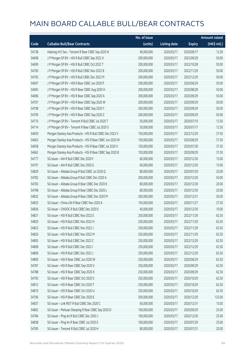|       |                                                           | No. of issue |                     |               | <b>Amount raised</b> |
|-------|-----------------------------------------------------------|--------------|---------------------|---------------|----------------------|
| Code  | <b>Callable Bull/Bear Contracts</b>                       | (units)      | <b>Listing date</b> | <b>Expiry</b> | (HK\$ mil.)          |
| 54738 | Haitong Int'l Sec - Tencent R Bear CBBC Sep 2020 N        | 40,000,000   | 2020/03/17          | 2020/09/17    | 13.28                |
| 54698 | J P Morgan SP BV - HSI R Bull CBBC Sep 2022 X             | 200,000,000  | 2020/03/17          | 2022/09/29    | 50.00                |
| 54699 | J P Morgan SP BV - HSI R Bull CBBC Oct 2022 T             | 200,000,000  | 2020/03/17          | 2022/10/28    | 50.00                |
| 54700 | J P Morgan SP BV - HSI R Bull CBBC Nov 2022 B             | 200,000,000  | 2020/03/17          | 2022/11/29    | 50.00                |
| 54705 | J P Morgan SP BV - HSI R Bull CBBC Dec 2022 M             | 200,000,000  | 2020/03/17          | 2022/12/29    | 50.00                |
| 54697 | J P Morgan SP BV - HSI R Bear CBBC Jun 2020 P             | 200,000,000  | 2020/03/17          | 2020/06/29    | 50.00                |
| 54695 | J P Morgan SP BV - HSI R Bear CBBC Aug 2020 H             | 200,000,000  | 2020/03/17          | 2020/08/28    | 50.00                |
| 54696 | J P Morgan SP BV - HSI R Bear CBBC Sep 2020 A             | 200,000,000  | 2020/03/17          | 2020/09/29    | 50.00                |
| 54707 | J P Morgan SP BV - HSI R Bear CBBC Sep 2020 W             | 200,000,000  | 2020/03/17          | 2020/09/29    | 50.00                |
| 54708 | J P Morgan SP BV - HSI R Bear CBBC Sep 2020 Y             | 200,000,000  | 2020/03/17          | 2020/09/29    | 50.00                |
| 54709 | J P Morgan SP BV - HSI R Bear CBBC Sep 2020 Z             | 200,000,000  | 2020/03/17          | 2020/09/29    | 50.00                |
| 54710 | J P Morgan SP BV - Tencent R Bull CBBC Jul 2020 T         | 50,000,000   | 2020/03/17          | 2020/07/10    | 12.50                |
| 54714 | J P Morgan SP BV - Tencent R Bear CBBC Jul 2020 S         | 50,000,000   | 2020/03/17          | 2020/07/17    | 12.50                |
| 54659 | Morgan Stanley Asia Products - HSI R Bull CBBC Dec 2022 V | 150,000,000  | 2020/03/17          | 2022/12/29    | 37.50                |
| 54663 | Morgan Stanley Asia Products - HSI R Bear CBBC Jun 2020 W | 150,000,000  | 2020/03/17          | 2020/06/29    | 37.50                |
| 54658 | Morgan Stanley Asia Products - HSI R Bear CBBC Jul 2020 V | 150,000,000  | 2020/03/17          | 2020/07/30    | 37.50                |
| 54662 | Morgan Stanley Asia Products - HSI R Bear CBBC Sep 2020 B | 150,000,000  | 2020/03/17          | 2020/09/29    | 37.50                |
| 54777 | SG Issuer - AIA R Bull CBBC Dec 2020 F                    | 60,000,000   | 2020/03/17          | 2020/12/30    | 15.00                |
| 54797 | SG Issuer - AIA R Bull CBBC Dec 2020 G                    | 60,000,000   | 2020/03/17          | 2020/12/30    | 15.00                |
| 54829 | SG Issuer - Alibaba Group R Bull CBBC Jul 2020 Q          | 80,000,000   | 2020/03/17          | 2020/07/29    | 20.00                |
| 54782 | SG Issuer - Alibaba Group R Bull CBBC Dec 2020 A          | 200,000,000  | 2020/03/17          | 2020/12/30    | 50.00                |
| 54783 | SG Issuer - Alibaba Group R Bear CBBC Dec 2020 K          | 80,000,000   | 2020/03/17          | 2020/12/30    | 20.00                |
| 54798 | SG Issuer - Alibaba Group R Bear CBBC Dec 2020 L          | 80,000,000   | 2020/03/17          | 2020/12/30    | 20.00                |
| 54832 | SG Issuer - Alibaba Group R Bear CBBC Dec 2020 M          | 200,000,000  | 2020/03/17          | 2020/12/31    | 50.00                |
| 54833 | SG Issuer - China Life R Bear CBBC Nov 2020 A             | 150,000,000  | 2020/03/17          | 2020/11/27    | 37.50                |
| 54836 | SG Issuer - CNOOC R Bull CBBC Dec 2020 E                  | 40,000,000   | 2020/03/17          | 2020/12/30    | 10.00                |
| 54821 | SG Issuer - HSI R Bull CBBC Nov 2022 E                    | 250,000,000  | 2020/03/17          | 2022/11/29    | 62.50                |
| 54820 | SG Issuer - HSI R Bull CBBC Nov 2022 H                    | 250,000,000  | 2020/03/17          | 2022/11/29    | 62.50                |
| 54823 | SG Issuer - HSI R Bull CBBC Nov 2022 J                    | 250,000,000  | 2020/03/17          | 2022/11/29    | 62.50                |
| 54826 | SG Issuer - HSI R Bull CBBC Nov 2022 M                    | 250,000,000  | 2020/03/17          | 2022/11/29    | 62.50                |
| 54805 | SG Issuer - HSI R Bull CBBC Dec 2022 C                    | 250,000,000  | 2020/03/17          | 2022/12/29    | 62.50                |
| 54808 | SG Issuer - HSI R Bull CBBC Dec 2022 I                    | 250,000,000  | 2020/03/17          | 2022/12/29    | 62.50                |
| 54806 | SG Issuer - HSI R Bull CBBC Dec 2022 J                    | 250,000,000  | 2020/03/17          | 2022/12/29    | 62.50                |
| 54809 | SG Issuer - HSI R Bear CBBC Jun 2020 W                    | 250,000,000  | 2020/03/17          | 2020/06/29    | 62.50                |
| 54787 | SG Issuer - HSI R Bear CBBC Sep 2020 V                    | 250,000,000  | 2020/03/17          | 2020/09/29    | 62.50                |
| 54788 | SG Issuer - HSI R Bear CBBC Sep 2020 X                    | 250,000,000  | 2020/03/17          | 2020/09/29    | 62.50                |
| 54795 | SG Issuer - HSI R Bear CBBC Oct 2020 S                    | 250,000,000  | 2020/03/17          | 2020/10/29    | 62.50                |
| 54812 | SG Issuer - HSI R Bear CBBC Oct 2020 T                    | 250,000,000  | 2020/03/17          | 2020/10/29    | 62.50                |
| 54819 | SG Issuer - HSI R Bear CBBC Oct 2020 U                    | 250,000,000  | 2020/03/17          | 2020/10/29    | 62.50                |
| 54796 | SG Issuer - HSI R Bear CBBC Dec 2020 E                    | 500,000,000  | 2020/03/17          | 2020/12/30    | 125.00               |
| 54837 | SG Issuer - Link REIT R Bull CBBC Dec 2020 C              | 60,000,000   | 2020/03/17          | 2020/12/31    | 15.00                |
| 54802 | SG Issuer - Meituan Dianping R Bear CBBC Sep 2020 D       | 100,000,000  | 2020/03/17          | 2020/09/29    | 25.00                |
| 54784 | SG Issuer - Ping An R Bull CBBC Dec 2020 J                | 100,000,000  | 2020/03/17          | 2020/12/30    | 25.00                |
| 54838 | SG Issuer - Ping An R Bear CBBC Jul 2020 E                | 100,000,000  | 2020/03/17          | 2020/07/29    | 25.00                |
| 54785 | SG Issuer - Tencent R Bull CBBC Jul 2020 H                | 80,000,000   | 2020/03/17          | 2020/07/31    | 20.00                |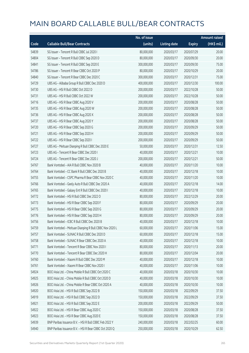|       |                                                         | No. of issue |                     |               | <b>Amount raised</b> |
|-------|---------------------------------------------------------|--------------|---------------------|---------------|----------------------|
| Code  | <b>Callable Bull/Bear Contracts</b>                     | (units)      | <b>Listing date</b> | <b>Expiry</b> | (HK\$ mil.)          |
| 54839 | SG Issuer - Tencent R Bull CBBC Jul 2020 I              | 80,000,000   | 2020/03/17          | 2020/07/29    | 20.00                |
| 54804 | SG Issuer - Tencent R Bull CBBC Sep 2020 D              | 80,000,000   | 2020/03/17          | 2020/09/30    | 20.00                |
| 54841 | SG Issuer - Tencent R Bull CBBC Sep 2020 E              | 300,000,000  | 2020/03/17          | 2020/09/30    | 75.00                |
| 54786 | SG Issuer - Tencent R Bear CBBC Oct 2020 P              | 80,000,000   | 2020/03/17          | 2020/10/29    | 20.00                |
| 54840 | SG Issuer - Tencent R Bear CBBC Dec 2020 C              | 300,000,000  | 2020/03/17          | 2020/12/31    | 75.00                |
| 54729 | UBS AG - Alibaba Group R Bull CBBC Dec 2020 D           | 400,000,000  | 2020/03/17          | 2020/12/30    | 100.00               |
| 54730 | UBS AG - HSI R Bull CBBC Oct 2022 D                     | 200,000,000  | 2020/03/17          | 2022/10/28    | 50.00                |
| 54731 | UBS AG - HSI R Bull CBBC Oct 2022 W                     | 200,000,000  | 2020/03/17          | 2022/10/28    | 50.00                |
| 54716 | UBS AG - HSI R Bear CBBC Aug 2020 V                     | 200,000,000  | 2020/03/17          | 2020/08/28    | 50.00                |
| 54735 | UBS AG - HSI R Bear CBBC Aug 2020 W                     | 200,000,000  | 2020/03/17          | 2020/08/28    | 50.00                |
| 54736 | UBS AG - HSI R Bear CBBC Aug 2020 X                     | 200,000,000  | 2020/03/17          | 2020/08/28    | 50.00                |
| 54737 | UBS AG - HSI R Bear CBBC Aug 2020 Y                     | 200,000,000  | 2020/03/17          | 2020/08/28    | 50.00                |
| 54720 | UBS AG - HSI R Bear CBBC Sep 2020 G                     | 200,000,000  | 2020/03/17          | 2020/09/29    | 50.00                |
| 54721 | UBS AG - HSI R Bear CBBC Sep 2020 H                     | 200,000,000  | 2020/03/17          | 2020/09/29    | 50.00                |
| 54722 | UBS AG - HSI R Bear CBBC Sep 2020 I                     | 200,000,000  | 2020/03/17          | 2020/09/29    | 50.00                |
| 54727 | UBS AG - Meituan Dianping R Bull CBBC Dec 2020 E        | 50,000,000   | 2020/03/17          | 2020/12/31    | 12.50                |
| 54723 | UBS AG - Tencent R Bear CBBC Dec 2020 I                 | 40,000,000   | 2020/03/17          | 2020/12/21    | 10.00                |
| 54724 | UBS AG - Tencent R Bear CBBC Dec 2020 J                 | 200,000,000  | 2020/03/17          | 2020/12/21    | 50.00                |
| 54767 | Bank Vontobel - AIA R Bull CBBC Nov 2020 B              | 40,000,000   | 2020/03/17          | 2020/11/20    | 10.00                |
| 54764 | Bank Vontobel - CC Bank R Bull CBBC Dec 2020 B          | 40,000,000   | 2020/03/17          | 2020/12/18    | 10.00                |
| 54755 | Bank Vontobel - CSPC Pharma R Bear CBBC Nov 2020 C      | 40,000,000   | 2020/03/17          | 2020/11/20    | 10.00                |
| 54766 | Bank Vontobel - Geely Auto R Bull CBBC Dec 2020 A       | 40,000,000   | 2020/03/17          | 2020/12/18    | 14.00                |
| 54765 | Bank Vontobel - Galaxy Ent R Bull CBBC Dec 2020 I       | 40,000,000   | 2020/03/17          | 2020/12/18    | 10.00                |
| 54772 | Bank Vontobel - HSI R Bull CBBC Dec 2022 O              | 80,000,000   | 2020/03/17          | 2022/12/29    | 20.00                |
| 54773 | Bank Vontobel - HSI R Bear CBBC Sep 2020 F              | 80,000,000   | 2020/03/17          | 2020/09/29    | 20.00                |
| 54775 | Bank Vontobel - HSI R Bear CBBC Sep 2020 G              | 80,000,000   | 2020/03/17          | 2020/09/29    | 20.00                |
| 54776 | Bank Vontobel - HSI R Bear CBBC Sep 2020 H              | 80,000,000   | 2020/03/17          | 2020/09/29    | 20.00                |
| 54756 | Bank Vontobel - ICBC R Bull CBBC Dec 2020 B             | 40,000,000   | 2020/03/17          | 2020/12/18    | 10.00                |
| 54759 | Bank Vontobel - Meituan Dianping R Bull CBBC Nov 2020 L | 60,000,000   | 2020/03/17          | 2020/11/06    | 15.00                |
| 54757 | Bank Vontobel - SUNAC R Bull CBBC Dec 2020 D            | 60,000,000   | 2020/03/17          | 2020/12/18    | 15.00                |
| 54758 | Bank Vontobel - SUNAC R Bear CBBC Dec 2020 A            | 40,000,000   | 2020/03/17          | 2020/12/18    | 10.00                |
| 54771 | Bank Vontobel - Tencent R Bear CBBC Nov 2020 I          | 80,000,000   | 2020/03/17          | 2020/11/13    | 20.00                |
| 54770 | Bank Vontobel - Tencent R Bear CBBC Dec 2020 H          | 80,000,000   | 2020/03/17          | 2020/12/04    | 20.00                |
| 54760 | Bank Vontobel - Xiaomi R Bull CBBC Dec 2020 M           | 40,000,000   | 2020/03/17          | 2020/12/18    | 10.00                |
| 54761 | Bank Vontobel - Xiaomi R Bear CBBC Nov 2020 I           | 40,000,000   | 2020/03/17          | 2020/11/06    | 10.00                |
| 54924 | BOCI Asia Ltd. - China Mobile R Bull CBBC Oct 2020 C    | 40,000,000   | 2020/03/18          | 2020/10/30    | 10.00                |
| 54925 | BOCI Asia Ltd. - China Mobile R Bull CBBC Oct 2020 D    | 40,000,000   | 2020/03/18          | 2020/10/30    | 10.00                |
| 54926 | BOCI Asia Ltd. - China Mobile R Bear CBBC Oct 2020 A    | 40,000,000   | 2020/03/18          | 2020/10/30    | 10.00                |
| 54920 | BOCI Asia Ltd. - HSI R Bull CBBC Sep 2022 B             | 150,000,000  | 2020/03/18          | 2022/09/29    | 37.50                |
| 54919 | BOCI Asia Ltd. - HSI R Bull CBBC Sep 2022 D             | 150,000,000  | 2020/03/18          | 2022/09/29    | 37.50                |
| 54921 | BOCI Asia Ltd. - HSI R Bull CBBC Sep 2022 E             | 200,000,000  | 2020/03/18          | 2022/09/29    | 50.00                |
| 54922 | BOCI Asia Ltd. - HSI R Bear CBBC Aug 2020 C             | 150,000,000  | 2020/03/18          | 2020/08/28    | 37.50                |
| 54923 | BOCI Asia Ltd. - HSI R Bear CBBC Aug 2020 E             | 150,000,000  | 2020/03/18          | 2020/08/28    | 37.50                |
| 54939 | BNP Paribas Issuance B.V. - HSI R Bull CBBC Feb 2022 Y  | 240,000,000  | 2020/03/18          | 2022/02/25    | 60.00                |
| 54940 | BNP Paribas Issuance B.V. - HSI R Bear CBBC Oct 2020 Q  | 250,000,000  | 2020/03/18          | 2020/10/29    | 62.50                |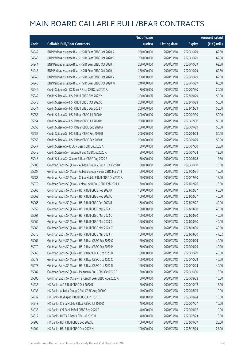|       |                                                              | No. of issue |                     |               | <b>Amount raised</b> |
|-------|--------------------------------------------------------------|--------------|---------------------|---------------|----------------------|
| Code  | <b>Callable Bull/Bear Contracts</b>                          | (units)      | <b>Listing date</b> | <b>Expiry</b> | (HK\$ mil.)          |
| 54942 | BNP Paribas Issuance B.V. - HSI R Bear CBBC Oct 2020 R       | 250,000,000  | 2020/03/18          | 2020/10/29    | 62.50                |
| 54943 | BNP Paribas Issuance B.V. - HSI R Bear CBBC Oct 2020 S       | 250,000,000  | 2020/03/18          | 2020/10/29    | 62.50                |
| 54944 | BNP Paribas Issuance B.V. - HSI R Bear CBBC Oct 2020 T       | 250,000,000  | 2020/03/18          | 2020/10/29    | 62.50                |
| 54945 | BNP Paribas Issuance B.V. - HSI R Bear CBBC Oct 2020 U       | 250,000,000  | 2020/03/18          | 2020/10/29    | 62.50                |
| 54946 | BNP Paribas Issuance B.V. - HSI R Bear CBBC Oct 2020 V       | 250,000,000  | 2020/03/18          | 2020/10/29    | 62.50                |
| 54948 | BNP Paribas Issuance B.V. - HSI R Bear CBBC Oct 2020 W       | 240,000,000  | 2020/03/18          | 2020/10/29    | 60.00                |
| 55046 | Credit Suisse AG - CC Bank R Bear CBBC Jul 2020 A            | 80,000,000   | 2020/03/18          | 2020/07/30    | 20.00                |
| 55042 | Credit Suisse AG - HSI R Bull CBBC Sep 2022 Y                | 200,000,000  | 2020/03/18          | 2022/09/29    | 50.00                |
| 55043 | Credit Suisse AG - HSI R Bull CBBC Oct 2022 O                | 200,000,000  | 2020/03/18          | 2022/10/28    | 50.00                |
| 55044 | Credit Suisse AG - HSI R Bull CBBC Dec 2022 J                | 200,000,000  | 2020/03/18          | 2022/12/29    | 50.00                |
| 55053 | Credit Suisse AG - HSI R Bear CBBC Jul 2020 M                | 200,000,000  | 2020/03/18          | 2020/07/30    | 50.00                |
| 55054 | Credit Suisse AG - HSI R Bear CBBC Jul 2020 P                | 200,000,000  | 2020/03/18          | 2020/07/30    | 50.00                |
| 55055 | Credit Suisse AG - HSI R Bear CBBC Sep 2020 A                | 200,000,000  | 2020/03/18          | 2020/09/29    | 50.00                |
| 55057 | Credit Suisse AG - HSI R Bear CBBC Sep 2020 B                | 200,000,000  | 2020/03/18          | 2020/09/29    | 50.00                |
| 55058 | Credit Suisse AG - HSI R Bear CBBC Sep 2020 C                | 200,000,000  | 2020/03/18          | 2020/09/29    | 50.00                |
| 55047 | Credit Suisse AG - ICBC R Bear CBBC Jul 2020 A               | 80,000,000   | 2020/03/18          | 2020/07/30    | 20.00                |
| 55045 | Credit Suisse AG - Tencent R Bull CBBC Jul 2020 K            | 50,000,000   | 2020/03/18          | 2020/07/24    | 12.50                |
| 55048 | Credit Suisse AG - Xiaomi R Bear CBBC Aug 2020 B             | 50,000,000   | 2020/03/18          | 2020/08/28    | 12.50                |
| 55088 | Goldman Sachs SP (Asia) - Alibaba Group R Bull CBBC Oct20 C  | 60,000,000   | 2020/03/18          | 2020/10/30    | 15.00                |
| 55087 | Goldman Sachs SP (Asia) - Alibaba Group R Bear CBBC Mar21 B  | 60,000,000   | 2020/03/18          | 2021/03/31    | 15.00                |
| 55083 | Goldman Sachs SP (Asia) - China Mobile R Bull CBBC Dec2020 A | 60,000,000   | 2020/03/18          | 2020/12/30    | 15.00                |
| 55079 | Goldman Sachs SP (Asia) - China Life R Bull CBBC Feb 2021 A  | 60,000,000   | 2020/03/18          | 2021/02/26    | 15.00                |
| 55060 | Goldman Sachs SP (Asia) - HSI R Bull CBBC Feb 2023 P         | 160,000,000  | 2020/03/18          | 2023/02/27    | 40.00                |
| 55062 | Goldman Sachs SP (Asia) - HSI R Bull CBBC Feb 2023 Q         | 160,000,000  | 2020/03/18          | 2023/02/27    | 40.00                |
| 55066 | Goldman Sachs SP (Asia) - HSI R Bull CBBC Feb 2023 R         | 160,000,000  | 2020/03/18          | 2023/02/27    | 40.00                |
| 55059 | Goldman Sachs SP (Asia) - HSI R Bull CBBC Mar 2023 B         | 160,000,000  | 2020/03/18          | 2023/03/30    | 40.00                |
| 55061 | Goldman Sachs SP (Asia) - HSI R Bull CBBC Mar 2023 C         | 160,000,000  | 2020/03/18          | 2023/03/30    | 40.00                |
| 55064 | Goldman Sachs SP (Asia) - HSI R Bull CBBC Mar 2023 D         | 160,000,000  | 2020/03/18          | 2023/03/30    | 40.00                |
| 55065 | Goldman Sachs SP (Asia) - HSI R Bull CBBC Mar 2023 E         | 160,000,000  | 2020/03/18          | 2023/03/30    | 40.00                |
| 55075 | Goldman Sachs SP (Asia) - HSI R Bull CBBC Mar 2023 F         | 160,000,000  | 2020/03/18          | 2023/03/30    | 47.52                |
| 55067 | Goldman Sachs SP (Asia) - HSI R Bear CBBC Sep 2020 O         | 160,000,000  | 2020/03/18          | 2020/09/29    | 40.00                |
| 55070 | Goldman Sachs SP (Asia) - HSI R Bear CBBC Sep 2020 P         | 160,000,000  | 2020/03/18          | 2020/09/29    | 40.00                |
| 55068 | Goldman Sachs SP (Asia) - HSI R Bear CBBC Oct 2020 B         | 160,000,000  | 2020/03/18          | 2020/10/29    | 40.00                |
| 55073 | Goldman Sachs SP (Asia) - HSI R Bear CBBC Oct 2020 C         | 160,000,000  | 2020/03/18          | 2020/10/29    | 40.00                |
| 55078 | Goldman Sachs SP (Asia) - HSI R Bear CBBC Oct 2020 D         | 160,000,000  | 2020/03/18          | 2020/10/29    | 40.00                |
| 55082 | Goldman Sachs SP (Asia) - Meituan R Bull CBBC Oct 2020 C     | 60,000,000   | 2020/03/18          | 2020/10/30    | 15.00                |
| 55080 | Goldman Sachs SP (Asia) - Tencent R Bear CBBC Aug 2020 A     | 60,000,000   | 2020/03/18          | 2020/08/28    | 15.00                |
| 54936 | HK Bank - AIA R Bull CBBC Oct 2020 B                         | 60,000,000   | 2020/03/18          | 2020/10/12    | 15.00                |
| 54938 | HK Bank - Alibaba Group R Bull CBBC Aug 2020 G               | 40,000,000   | 2020/03/18          | 2020/08/03    | 10.00                |
| 54932 | HK Bank - Bud Apac R Bull CBBC Aug 2020 B                    | 40,000,000   | 2020/03/18          | 2020/08/24    | 10.00                |
| 54918 | HK Bank - China Mobile R Bear CBBC Jul 2020 D                | 40,000,000   | 2020/03/18          | 2020/07/27    | 10.00                |
| 54933 | HK Bank - CM Bank R Bull CBBC Sep 2020 A                     | 40,000,000   | 2020/03/18          | 2020/09/07    | 10.00                |
| 54912 | HK Bank - HKEX R Bear CBBC Jul 2020 H                        | 40,000,000   | 2020/03/18          | 2020/07/23    | 10.00                |
| 54908 | HK Bank - HSI R Bull CBBC Sep 2022 L                         | 100,000,000  | 2020/03/18          | 2022/09/29    | 25.00                |
| 54909 | HK Bank - HSI R Bull CBBC Dec 2022 M                         | 100,000,000  | 2020/03/18          | 2022/12/29    | 25.00                |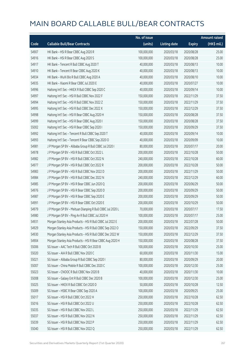|       |                                                            | No. of issue |                     |               | <b>Amount raised</b> |
|-------|------------------------------------------------------------|--------------|---------------------|---------------|----------------------|
| Code  | <b>Callable Bull/Bear Contracts</b>                        | (units)      | <b>Listing date</b> | <b>Expiry</b> | (HK\$ mil.)          |
| 54907 | HK Bank - HSI R Bear CBBC Aug 2020 R                       | 100,000,000  | 2020/03/18          | 2020/08/28    | 25.00                |
| 54916 | HK Bank - HSI R Bear CBBC Aug 2020 S                       | 100,000,000  | 2020/03/18          | 2020/08/28    | 25.00                |
| 54917 | HK Bank - Tencent R Bull CBBC Aug 2020 T                   | 40,000,000   | 2020/03/18          | 2020/08/13    | 10.00                |
| 54910 | HK Bank - Tencent R Bear CBBC Aug 2020 K                   | 40,000,000   | 2020/03/18          | 2020/08/13    | 10.00                |
| 54934 | HK Bank - WuXi Bio R Bull CBBC Aug 2020 A                  | 40,000,000   | 2020/03/18          | 2020/08/10    | 10.00                |
| 54935 | HK Bank - Xiaomi R Bear CBBC Jul 2020 E                    | 40,000,000   | 2020/03/18          | 2020/07/27    | 10.00                |
| 54996 | Haitong Int'l Sec - HKEX R Bull CBBC Sep 2020 C            | 40,000,000   | 2020/03/18          | 2020/09/14    | 10.00                |
| 54997 | Haitong Int'l Sec - HSI R Bull CBBC Nov 2022 F             | 150,000,000  | 2020/03/18          | 2022/11/29    | 37.50                |
| 54994 | Haitong Int'l Sec - HSI R Bull CBBC Nov 2022 Z             | 150,000,000  | 2020/03/18          | 2022/11/29    | 37.50                |
| 54995 | Haitong Int'l Sec - HSI R Bull CBBC Dec 2022 X             | 150,000,000  | 2020/03/18          | 2022/12/29    | 37.50                |
| 54998 | Haitong Int'l Sec - HSI R Bear CBBC Aug 2020 H             | 150,000,000  | 2020/03/18          | 2020/08/28    | 37.50                |
| 54999 | Haitong Int'l Sec - HSI R Bear CBBC Aug 2020 I             | 150,000,000  | 2020/03/18          | 2020/08/28    | 37.50                |
| 55002 | Haitong Int'l Sec - HSI R Bear CBBC Sep 2020 I             | 150,000,000  | 2020/03/18          | 2020/09/29    | 37.50                |
| 54992 | Haitong Int'l Sec - Tencent R Bull CBBC Sep 2020 T         | 40,000,000   | 2020/03/18          | 2020/09/14    | 10.00                |
| 54993 | Haitong Int'l Sec - Tencent R Bear CBBC Sep 2020 O         | 40,000,000   | 2020/03/18          | 2020/09/09    | 10.00                |
| 54981 | J P Morgan SP BV - Alibaba Group R Bull CBBC Jul 2020 I    | 80,000,000   | 2020/03/18          | 2020/07/17    | 20.00                |
| 54978 | J P Morgan SP BV - HSI R Bull CBBC Oct 2022 L              | 200,000,000  | 2020/03/18          | 2022/10/28    | 50.00                |
| 54982 | J P Morgan SP BV - HSI R Bull CBBC Oct 2022 N              | 240,000,000  | 2020/03/18          | 2022/10/28    | 60.00                |
| 54977 | J P Morgan SP BV - HSI R Bull CBBC Oct 2022 R              | 200,000,000  | 2020/03/18          | 2022/10/28    | 50.00                |
| 54983 | J P Morgan SP BV - HSI R Bull CBBC Nov 2022 D              | 200,000,000  | 2020/03/18          | 2022/11/29    | 50.00                |
| 54984 | J P Morgan SP BV - HSI R Bull CBBC Dec 2022 N              | 240,000,000  | 2020/03/18          | 2022/12/29    | 60.00                |
| 54985 | J P Morgan SP BV - HSI R Bear CBBC Jun 2020 Q              | 200,000,000  | 2020/03/18          | 2020/06/29    | 50.00                |
| 54976 | J P Morgan SP BV - HSI R Bear CBBC Sep 2020 D              | 200,000,000  | 2020/03/18          | 2020/09/29    | 50.00                |
| 54987 | J P Morgan SP BV - HSI R Bear CBBC Sep 2020 E              | 200,000,000  | 2020/03/18          | 2020/09/29    | 50.00                |
| 54991 | J P Morgan SP BV - HSI R Bear CBBC Oct 2020 E              | 200,000,000  | 2020/03/18          | 2020/10/29    | 50.00                |
| 54979 | J P Morgan SP BV - Meituan Dianping R Bull CBBC Jul 2020 L | 70,000,000   | 2020/03/18          | 2020/07/17    | 17.50                |
| 54980 | J P Morgan SP BV - Ping An R Bull CBBC Jul 2020 H          | 100,000,000  | 2020/03/18          | 2020/07/17    | 25.00                |
| 54931 | Morgan Stanley Asia Products - HSI R Bull CBBC Jul 2022 E  | 200,000,000  | 2020/03/18          | 2022/07/28    | 50.00                |
| 54929 | Morgan Stanley Asia Products - HSI R Bull CBBC Sep 2022 O  | 150,000,000  | 2020/03/18          | 2022/09/29    | 37.50                |
| 54930 | Morgan Stanley Asia Products - HSI R Bull CBBC Dec 2022 W  | 150,000,000  | 2020/03/18          | 2022/12/29    | 37.50                |
| 54904 | Morgan Stanley Asia Products - HSI R Bear CBBC Aug 2020 H  | 150,000,000  | 2020/03/18          | 2020/08/28    | 37.50                |
| 55006 | SG Issuer - AAC Tech R Bull CBBC Oct 2020 B                | 100,000,000  | 2020/03/18          | 2020/10/30    | 25.00                |
| 55020 | SG Issuer - AIA R Bull CBBC Nov 2020 C                     | 60,000,000   | 2020/03/18          | 2020/11/30    | 15.00                |
| 55021 | SG Issuer - Alibaba Group R Bull CBBC Sep 2020 I           | 80,000,000   | 2020/03/18          | 2020/09/29    | 20.00                |
| 55007 | SG Issuer - China Mobile R Bull CBBC Dec 2020 C            | 100,000,000  | 2020/03/18          | 2020/12/30    | 25.00                |
| 55023 | SG Issuer - CNOOC R Bull CBBC Nov 2020 B                   | 40,000,000   | 2020/03/18          | 2020/11/30    | 10.00                |
| 55008 | SG Issuer - Galaxy Ent R Bull CBBC Dec 2020 B              | 100,000,000  | 2020/03/18          | 2020/12/30    | 25.00                |
| 55025 | SG Issuer - HKEX R Bull CBBC Oct 2020 D                    | 50,000,000   | 2020/03/18          | 2020/10/28    | 12.50                |
| 55009 | SG Issuer - HSBC R Bear CBBC Sep 2020 A                    | 100,000,000  | 2020/03/18          | 2020/09/25    | 25.00                |
| 55017 | SG Issuer - HSI R Bull CBBC Oct 2022 H                     | 250,000,000  | 2020/03/18          | 2022/10/28    | 62.50                |
| 55016 | SG Issuer - HSI R Bull CBBC Oct 2022 U                     | 250,000,000  | 2020/03/18          | 2022/10/28    | 62.50                |
| 55035 | SG Issuer - HSI R Bull CBBC Nov 2022 L                     | 250,000,000  | 2020/03/18          | 2022/11/29    | 62.50                |
| 55037 | SG Issuer - HSI R Bull CBBC Nov 2022 N                     | 250,000,000  | 2020/03/18          | 2022/11/29    | 62.50                |
| 55039 | SG Issuer - HSI R Bull CBBC Nov 2022 P                     | 250,000,000  | 2020/03/18          | 2022/11/29    | 62.50                |
| 55040 | SG Issuer - HSI R Bull CBBC Nov 2022 Q                     | 250,000,000  | 2020/03/18          | 2022/11/29    | 62.50                |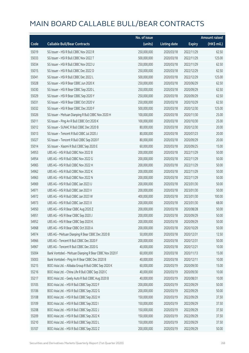|       |                                                         | No. of issue |                     |               | <b>Amount raised</b> |
|-------|---------------------------------------------------------|--------------|---------------------|---------------|----------------------|
| Code  | <b>Callable Bull/Bear Contracts</b>                     | (units)      | <b>Listing date</b> | <b>Expiry</b> | (HK\$ mil.)          |
| 55019 | SG Issuer - HSI R Bull CBBC Nov 2022 R                  | 250,000,000  | 2020/03/18          | 2022/11/29    | 62.50                |
| 55033 | SG Issuer - HSI R Bull CBBC Nov 2022 T                  | 500,000,000  | 2020/03/18          | 2022/11/29    | 125.00               |
| 55034 | SG Issuer - HSI R Bull CBBC Nov 2022 U                  | 250,000,000  | 2020/03/18          | 2022/11/29    | 62.50                |
| 55015 | SG Issuer - HSI R Bull CBBC Dec 2022 D                  | 250,000,000  | 2020/03/18          | 2022/12/29    | 62.50                |
| 55041 | SG Issuer - HSI R Bull CBBC Dec 2022 L                  | 500,000,000  | 2020/03/18          | 2022/12/29    | 125.00               |
| 55028 | SG Issuer - HSI R Bear CBBC Jun 2020 X                  | 250,000,000  | 2020/03/18          | 2020/06/29    | 62.50                |
| 55030 | SG Issuer - HSI R Bear CBBC Sep 2020 L                  | 250,000,000  | 2020/03/18          | 2020/09/29    | 62.50                |
| 55029 | SG Issuer - HSI R Bear CBBC Sep 2020 Y                  | 250,000,000  | 2020/03/18          | 2020/09/29    | 62.50                |
| 55031 | SG Issuer - HSI R Bear CBBC Oct 2020 V                  | 250,000,000  | 2020/03/18          | 2020/10/29    | 62.50                |
| 55032 | SG Issuer - HSI R Bear CBBC Dec 2020 F                  | 500,000,000  | 2020/03/18          | 2020/12/30    | 125.00               |
| 55026 | SG Issuer - Meituan Dianping R Bull CBBC Nov 2020 H     | 100,000,000  | 2020/03/18          | 2020/11/30    | 25.00                |
| 55011 | SG Issuer - Ping An R Bull CBBC Oct 2020 K              | 100,000,000  | 2020/03/18          | 2020/10/30    | 25.00                |
| 55012 | SG Issuer - SUNAC R Bull CBBC Dec 2020 B                | 80,000,000   | 2020/03/18          | 2020/12/30    | 20.00                |
| 55013 | SG Issuer - Tencent R Bull CBBC Jul 2020 J              | 80,000,000   | 2020/03/18          | 2020/07/23    | 20.00                |
| 55027 | SG Issuer - Tencent R Bull CBBC Sep 2020 F              | 80,000,000   | 2020/03/18          | 2020/09/29    | 20.00                |
| 55014 | SG Issuer - Xiaomi R Bull CBBC Sep 2020 E               | 60,000,000   | 2020/03/18          | 2020/09/25    | 15.00                |
| 54953 | UBS AG - HSI R Bull CBBC Nov 2022 B                     | 200,000,000  | 2020/03/18          | 2022/11/29    | 50.00                |
| 54954 | UBS AG - HSI R Bull CBBC Nov 2022 G                     | 200,000,000  | 2020/03/18          | 2022/11/29    | 50.00                |
| 54965 | UBS AG - HSI R Bull CBBC Nov 2022 H                     | 200,000,000  | 2020/03/18          | 2022/11/29    | 50.00                |
| 54962 | UBS AG - HSI R Bull CBBC Nov 2022 K                     | 200,000,000  | 2020/03/18          | 2022/11/29    | 50.00                |
| 54963 | UBS AG - HSI R Bull CBBC Nov 2022 N                     | 200,000,000  | 2020/03/18          | 2022/11/29    | 50.00                |
| 54969 | UBS AG - HSI R Bull CBBC Jan 2023 U                     | 200,000,000  | 2020/03/18          | 2023/01/30    | 50.00                |
| 54971 | UBS AG - HSI R Bull CBBC Jan 2023 V                     | 200,000,000  | 2020/03/18          | 2023/01/30    | 50.00                |
| 54972 | UBS AG - HSI R Bull CBBC Jan 2023 W                     | 400,000,000  | 2020/03/18          | 2023/01/30    | 100.00               |
| 54973 | UBS AG - HSI R Bull CBBC Jan 2023 X                     | 200,000,000  | 2020/03/18          | 2023/01/30    | 68.00                |
| 54950 | UBS AG - HSI R Bear CBBC Aug 2020 Z                     | 200,000,000  | 2020/03/18          | 2020/08/28    | 50.00                |
| 54951 | UBS AG - HSI R Bear CBBC Sep 2020 J                     | 200,000,000  | 2020/03/18          | 2020/09/29    | 50.00                |
| 54952 | UBS AG - HSI R Bear CBBC Sep 2020 K                     | 200,000,000  | 2020/03/18          | 2020/09/29    | 50.00                |
| 54968 | UBS AG - HSI R Bear CBBC Oct 2020 A                     | 200,000,000  | 2020/03/18          | 2020/10/29    | 50.00                |
| 54974 | UBS AG - Meituan Dianping R Bear CBBC Dec 2020 B        | 50,000,000   | 2020/03/18          | 2020/12/31    | 12.50                |
| 54966 | UBS AG - Tencent R Bull CBBC Dec 2020 F                 | 200,000,000  | 2020/03/18          | 2020/12/31    | 50.00                |
| 54967 | UBS AG - Tencent R Bull CBBC Dec 2020 G                 | 40,000,000   | 2020/03/18          | 2020/12/21    | 10.00                |
| 55004 | Bank Vontobel - Meituan Dianping R Bear CBBC Nov 2020 F | 60,000,000   | 2020/03/18          | 2020/11/13    | 15.00                |
| 55003 | Bank Vontobel - Ping An R Bear CBBC Dec 2020 B          | 40,000,000   | 2020/03/18          | 2020/12/11    | 10.00                |
| 55215 | BOCI Asia Ltd. - Alibaba Group R Bull CBBC Sep 2020 K   | 60,000,000   | 2020/03/19          | 2020/09/30    | 15.00                |
| 55216 | BOCI Asia Ltd. - China Life R Bull CBBC Sep 2020 C      | 40,000,000   | 2020/03/19          | 2020/09/30    | 10.00                |
| 55217 | BOCI Asia Ltd. - Geely Auto R Bull CBBC Aug 2020 B      | 40,000,000   | 2020/03/19          | 2020/08/31    | 10.00                |
| 55105 | BOCI Asia Ltd. - HSI R Bull CBBC Sep 2022 F             | 200,000,000  | 2020/03/19          | 2022/09/29    | 50.00                |
| 55106 | BOCI Asia Ltd. - HSI R Bull CBBC Sep 2022 G             | 200,000,000  | 2020/03/19          | 2022/09/29    | 50.00                |
| 55108 | BOCI Asia Ltd. - HSI R Bull CBBC Sep 2022 H             | 150,000,000  | 2020/03/19          | 2022/09/29    | 37.50                |
| 55109 | BOCI Asia Ltd. - HSI R Bull CBBC Sep 2022 I             | 150,000,000  | 2020/03/19          | 2022/09/29    | 37.50                |
| 55208 | BOCI Asia Ltd. - HSI R Bull CBBC Sep 2022 J             | 150,000,000  | 2020/03/19          | 2022/09/29    | 37.50                |
| 55209 | BOCI Asia Ltd. - HSI R Bull CBBC Sep 2022 K             | 150,000,000  | 2020/03/19          | 2022/09/29    | 37.50                |
| 55210 | BOCI Asia Ltd. - HSI R Bull CBBC Sep 2022 L             | 150,000,000  | 2020/03/19          | 2022/09/29    | 37.50                |
| 55107 | BOCI Asia Ltd. - HSI R Bull CBBC Sep 2022 Z             | 200,000,000  | 2020/03/19          | 2022/09/29    | 50.00                |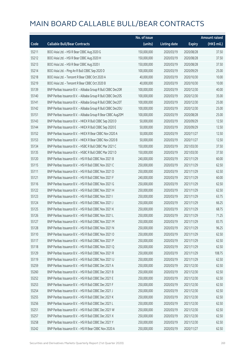|       |                                                              | No. of issue |                     |               | <b>Amount raised</b> |
|-------|--------------------------------------------------------------|--------------|---------------------|---------------|----------------------|
| Code  | <b>Callable Bull/Bear Contracts</b>                          | (units)      | <b>Listing date</b> | <b>Expiry</b> | (HK\$ mil.)          |
| 55211 | BOCI Asia Ltd. - HSI R Bear CBBC Aug 2020 G                  | 150,000,000  | 2020/03/19          | 2020/08/28    | 37.50                |
| 55212 | BOCI Asia Ltd. - HSI R Bear CBBC Aug 2020 H                  | 150,000,000  | 2020/03/19          | 2020/08/28    | 37.50                |
| 55213 | BOCI Asia Ltd. - HSI R Bear CBBC Aug 2020 I                  | 150,000,000  | 2020/03/19          | 2020/08/28    | 37.50                |
| 55214 | BOCI Asia Ltd. - Ping An R Bull CBBC Sep 2020 D              | 100,000,000  | 2020/03/19          | 2020/09/29    | 25.00                |
| 55218 | BOCI Asia Ltd. - Tencent R Bear CBBC Oct 2020 A              | 40,000,000   | 2020/03/19          | 2020/10/30    | 10.00                |
| 55219 | BOCI Asia Ltd. - Tencent R Bear CBBC Oct 2020 B              | 40,000,000   | 2020/03/19          | 2020/10/30    | 10.00                |
| 55139 | BNP Paribas Issuance B.V. - Alibaba Group R Bull CBBC Dec20R | 100,000,000  | 2020/03/19          | 2020/12/30    | 40.00                |
| 55140 | BNP Paribas Issuance B.V. - Alibaba Group R Bull CBBC Dec20S | 100,000,000  | 2020/03/19          | 2020/12/30    | 35.00                |
| 55141 | BNP Paribas Issuance B.V. - Alibaba Group R Bull CBBC Dec20T | 100,000,000  | 2020/03/19          | 2020/12/30    | 25.00                |
| 55142 | BNP Paribas Issuance B.V. - Alibaba Group R Bull CBBC Dec20U | 100,000,000  | 2020/03/19          | 2020/12/30    | 25.00                |
| 55151 | BNP Paribas Issuance B.V. - Alibaba Group R Bear CBBC Aug20M | 100,000,000  | 2020/03/19          | 2020/08/28    | 25.00                |
| 55143 | BNP Paribas Issuance B.V. - HKEX R Bull CBBC Sep 2020 D      | 50,000,000   | 2020/03/19          | 2020/09/29    | 12.50                |
| 55144 | BNP Paribas Issuance B.V. - HKEX R Bull CBBC Sep 2020 E      | 50,000,000   | 2020/03/19          | 2020/09/29    | 12.50                |
| 55152 | BNP Paribas Issuance B.V. - HKEX R Bear CBBC Nov 2020 A      | 50,000,000   | 2020/03/19          | 2020/11/27    | 12.50                |
| 55153 | BNP Paribas Issuance B.V. - HKEX R Bear CBBC Nov 2020 B      | 50,000,000   | 2020/03/19          | 2020/11/27    | 12.50                |
| 55134 | BNP Paribas Issuance B.V. - HSBC R Bull CBBC Mar 2021 C      | 150,000,000  | 2020/03/19          | 2021/03/30    | 37.50                |
| 55135 | BNP Paribas Issuance B.V. - HSBC R Bull CBBC Mar 2021 D      | 150,000,000  | 2020/03/19          | 2021/03/30    | 37.50                |
| 55120 | BNP Paribas Issuance B.V. - HSI R Bull CBBC Nov 2021 B       | 240,000,000  | 2020/03/19          | 2021/11/29    | 60.00                |
| 55115 | BNP Paribas Issuance B.V. - HSI R Bull CBBC Nov 2021 C       | 250,000,000  | 2020/03/19          | 2021/11/29    | 62.50                |
| 55111 | BNP Paribas Issuance B.V. - HSI R Bull CBBC Nov 2021 D       | 250,000,000  | 2020/03/19          | 2021/11/29    | 62.50                |
| 55121 | BNP Paribas Issuance B.V. - HSI R Bull CBBC Nov 2021 F       | 240,000,000  | 2020/03/19          | 2021/11/29    | 60.00                |
| 55116 | BNP Paribas Issuance B.V. - HSI R Bull CBBC Nov 2021 G       | 250,000,000  | 2020/03/19          | 2021/11/29    | 62.50                |
| 55122 | BNP Paribas Issuance B.V. - HSI R Bull CBBC Nov 2021 H       | 250,000,000  | 2020/03/19          | 2021/11/29    | 62.50                |
| 55123 | BNP Paribas Issuance B.V. - HSI R Bull CBBC Nov 2021 I       | 250,000,000  | 2020/03/19          | 2021/11/29    | 63.75                |
| 55124 | BNP Paribas Issuance B.V. - HSI R Bull CBBC Nov 2021 J       | 250,000,000  | 2020/03/19          | 2021/11/29    | 66.25                |
| 55125 | BNP Paribas Issuance B.V. - HSI R Bull CBBC Nov 2021 K       | 250,000,000  | 2020/03/19          | 2021/11/29    | 68.75                |
| 55126 | BNP Paribas Issuance B.V. - HSI R Bull CBBC Nov 2021 L       | 250,000,000  | 2020/03/19          | 2021/11/29    | 71.25                |
| 55127 | BNP Paribas Issuance B.V. - HSI R Bull CBBC Nov 2021 M       | 250,000,000  | 2020/03/19          | 2021/11/29    | 83.75                |
| 55128 | BNP Paribas Issuance B.V. - HSI R Bull CBBC Nov 2021 N       | 250,000,000  | 2020/03/19          | 2021/11/29    | 96.25                |
| 55110 | BNP Paribas Issuance B.V. - HSI R Bull CBBC Nov 2021 O       | 250,000,000  | 2020/03/19          | 2021/11/29    | 62.50                |
| 55117 | BNP Paribas Issuance B.V. - HSI R Bull CBBC Nov 2021 P       | 250,000,000  | 2020/03/19          | 2021/11/29    | 62.50                |
| 55118 | BNP Paribas Issuance B.V. - HSI R Bull CBBC Nov 2021 Q       | 250,000,000  | 2020/03/19          | 2021/11/29    | 62.50                |
| 55129 | BNP Paribas Issuance B.V. - HSI R Bull CBBC Nov 2021 R       | 250,000,000  | 2020/03/19          | 2021/11/29    | 108.75               |
| 55119 | BNP Paribas Issuance B.V. - HSI R Bull CBBC Nov 2021 U       | 250,000,000  | 2020/03/19          | 2021/11/29    | 62.50                |
| 55259 | BNP Paribas Issuance B.V. - HSI R Bull CBBC Dec 2021 A       | 250,000,000  | 2020/03/19          | 2021/12/30    | 62.50                |
| 55260 | BNP Paribas Issuance B.V. - HSI R Bull CBBC Dec 2021 B       | 250,000,000  | 2020/03/19          | 2021/12/30    | 62.50                |
| 55252 | BNP Paribas Issuance B.V. - HSI R Bull CBBC Dec 2021 E       | 250,000,000  | 2020/03/19          | 2021/12/30    | 62.50                |
| 55253 | BNP Paribas Issuance B.V. - HSI R Bull CBBC Dec 2021 F       | 250,000,000  | 2020/03/19          | 2021/12/30    | 62.50                |
| 55254 | BNP Paribas Issuance B.V. - HSI R Bull CBBC Dec 2021 J       | 250,000,000  | 2020/03/19          | 2021/12/30    | 62.50                |
| 55255 | BNP Paribas Issuance B.V. - HSI R Bull CBBC Dec 2021 K       | 250,000,000  | 2020/03/19          | 2021/12/30    | 62.50                |
| 55256 | BNP Paribas Issuance B.V. - HSI R Bull CBBC Dec 2021 L       | 250,000,000  | 2020/03/19          | 2021/12/30    | 62.50                |
| 55251 | BNP Paribas Issuance B.V. - HSI R Bull CBBC Dec 2021 W       | 250,000,000  | 2020/03/19          | 2021/12/30    | 62.50                |
| 55257 | BNP Paribas Issuance B.V. - HSI R Bull CBBC Dec 2021 X       | 250,000,000  | 2020/03/19          | 2021/12/30    | 62.50                |
| 55258 | BNP Paribas Issuance B.V. - HSI R Bull CBBC Dec 2021 Y       | 250,000,000  | 2020/03/19          | 2021/12/30    | 62.50                |
| 55242 | BNP Paribas Issuance B.V. - HSI R Bear CBBC Nov 2020 A       | 250,000,000  | 2020/03/19          | 2020/11/27    | 62.50                |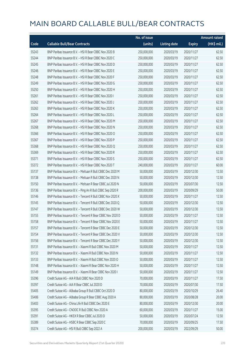|       |                                                            | No. of issue |                     |               | <b>Amount raised</b> |
|-------|------------------------------------------------------------|--------------|---------------------|---------------|----------------------|
| Code  | <b>Callable Bull/Bear Contracts</b>                        | (units)      | <b>Listing date</b> | <b>Expiry</b> | (HK\$ mil.)          |
| 55243 | BNP Paribas Issuance B.V. - HSI R Bear CBBC Nov 2020 B     | 250,000,000  | 2020/03/19          | 2020/11/27    | 62.50                |
| 55244 | BNP Paribas Issuance B.V. - HSI R Bear CBBC Nov 2020 C     | 250,000,000  | 2020/03/19          | 2020/11/27    | 62.50                |
| 55245 | BNP Paribas Issuance B.V. - HSI R Bear CBBC Nov 2020 D     | 250,000,000  | 2020/03/19          | 2020/11/27    | 62.50                |
| 55246 | BNP Paribas Issuance B.V. - HSI R Bear CBBC Nov 2020 E     | 250,000,000  | 2020/03/19          | 2020/11/27    | 62.50                |
| 55248 | BNP Paribas Issuance B.V. - HSI R Bear CBBC Nov 2020 F     | 250,000,000  | 2020/03/19          | 2020/11/27    | 62.50                |
| 55249 | BNP Paribas Issuance B.V. - HSI R Bear CBBC Nov 2020 G     | 250,000,000  | 2020/03/19          | 2020/11/27    | 62.50                |
| 55250 | BNP Paribas Issuance B.V. - HSI R Bear CBBC Nov 2020 H     | 250,000,000  | 2020/03/19          | 2020/11/27    | 62.50                |
| 55261 | BNP Paribas Issuance B.V. - HSI R Bear CBBC Nov 2020 I     | 250,000,000  | 2020/03/19          | 2020/11/27    | 62.50                |
| 55262 | BNP Paribas Issuance B.V. - HSI R Bear CBBC Nov 2020 J     | 250,000,000  | 2020/03/19          | 2020/11/27    | 62.50                |
| 55263 | BNP Paribas Issuance B.V. - HSI R Bear CBBC Nov 2020 K     | 250,000,000  | 2020/03/19          | 2020/11/27    | 62.50                |
| 55264 | BNP Paribas Issuance B.V. - HSI R Bear CBBC Nov 2020 L     | 250,000,000  | 2020/03/19          | 2020/11/27    | 62.50                |
| 55267 | BNP Paribas Issuance B.V. - HSI R Bear CBBC Nov 2020 M     | 250,000,000  | 2020/03/19          | 2020/11/27    | 62.50                |
| 55268 | BNP Paribas Issuance B.V. - HSI R Bear CBBC Nov 2020 N     | 250,000,000  | 2020/03/19          | 2020/11/27    | 62.50                |
| 55366 | BNP Paribas Issuance B.V. - HSI R Bear CBBC Nov 2020 O     | 250,000,000  | 2020/03/19          | 2020/11/27    | 62.50                |
| 55367 | BNP Paribas Issuance B.V. - HSI R Bear CBBC Nov 2020 P     | 250,000,000  | 2020/03/19          | 2020/11/27    | 62.50                |
| 55368 | BNP Paribas Issuance B.V. - HSI R Bear CBBC Nov 2020 Q     | 250,000,000  | 2020/03/19          | 2020/11/27    | 62.50                |
| 55369 | BNP Paribas Issuance B.V. - HSI R Bear CBBC Nov 2020 R     | 250,000,000  | 2020/03/19          | 2020/11/27    | 62.50                |
| 55371 | BNP Paribas Issuance B.V. - HSI R Bear CBBC Nov 2020 S     | 250,000,000  | 2020/03/19          | 2020/11/27    | 62.50                |
| 55372 | BNP Paribas Issuance B.V. - HSI R Bear CBBC Nov 2020 T     | 240,000,000  | 2020/03/19          | 2020/11/27    | 60.00                |
| 55137 | BNP Paribas Issuance B.V. - Meituan R Bull CBBC Dec 2020 M | 50,000,000   | 2020/03/19          | 2020/12/30    | 12.50                |
| 55138 | BNP Paribas Issuance B.V. - Meituan R Bull CBBC Dec 2020 N | 50,000,000   | 2020/03/19          | 2020/12/30    | 12.50                |
| 55150 | BNP Paribas Issuance B.V. - Meituan R Bear CBBC Jul 2020 N | 50,000,000   | 2020/03/19          | 2020/07/30    | 12.50                |
| 55136 | BNP Paribas Issuance B.V. - Ping An R Bull CBBC Sep 2020 R | 200,000,000  | 2020/03/19          | 2020/09/29    | 50.00                |
| 55146 | BNP Paribas Issuance B.V. - Tencent R Bull CBBC Nov 2020 X | 50,000,000   | 2020/03/19          | 2020/11/27    | 12.50                |
| 55145 | BNP Paribas Issuance B.V. - Tencent R Bull CBBC Dec 2020 Q | 50,000,000   | 2020/03/19          | 2020/12/30    | 12.50                |
| 55147 | BNP Paribas Issuance B.V. - Tencent R Bull CBBC Dec 2020 W | 50,000,000   | 2020/03/19          | 2020/12/30    | 12.50                |
| 55155 | BNP Paribas Issuance B.V. - Tencent R Bear CBBC Nov 2020 D | 50,000,000   | 2020/03/19          | 2020/11/27    | 12.50                |
| 55158 | BNP Paribas Issuance B.V. - Tencent R Bear CBBC Nov 2020 E | 50,000,000   | 2020/03/19          | 2020/11/27    | 12.50                |
| 55157 | BNP Paribas Issuance B.V. - Tencent R Bear CBBC Dec 2020 E | 50,000,000   | 2020/03/19          | 2020/12/30    | 12.50                |
| 55154 | BNP Paribas Issuance B.V. - Tencent R Bear CBBC Dec 2020 V | 50,000,000   | 2020/03/19          | 2020/12/30    | 12.50                |
| 55156 | BNP Paribas Issuance B.V. - Tencent R Bear CBBC Dec 2020 Y | 50,000,000   | 2020/03/19          | 2020/12/30    | 12.50                |
| 55131 | BNP Paribas Issuance B.V. - Xiaomi R Bull CBBC Nov 2020 M  | 50,000,000   | 2020/03/19          | 2020/11/27    | 12.50                |
| 55132 | BNP Paribas Issuance B.V. - Xiaomi R Bull CBBC Nov 2020 N  | 50,000,000   | 2020/03/19          | 2020/11/27    | 12.50                |
| 55133 | BNP Paribas Issuance B.V. - Xiaomi R Bull CBBC Nov 2020 O  | 50,000,000   | 2020/03/19          | 2020/11/27    | 12.50                |
| 55148 | BNP Paribas Issuance B.V. - Xiaomi R Bear CBBC Nov 2020 H  | 50,000,000   | 2020/03/19          | 2020/11/27    | 12.50                |
| 55149 | BNP Paribas Issuance B.V. - Xiaomi R Bear CBBC Nov 2020 I  | 50,000,000   | 2020/03/19          | 2020/11/27    | 12.50                |
| 55396 | Credit Suisse AG - AIA R Bull CBBC Nov 2020 D              | 70,000,000   | 2020/03/19          | 2020/11/27    | 17.50                |
| 55397 | Credit Suisse AG - AIA R Bear CBBC Jul 2020 D              | 70,000,000   | 2020/03/19          | 2020/07/30    | 17.50                |
| 55405 | Credit Suisse AG - Alibaba Group R Bull CBBC Oct 2020 D    | 80,000,000   | 2020/03/19          | 2020/10/29    | 26.40                |
| 55406 | Credit Suisse AG - Alibaba Group R Bear CBBC Aug 2020 A    | 80,000,000   | 2020/03/19          | 2020/08/28    | 20.00                |
| 55403 | Credit Suisse AG - China Life R Bull CBBC Dec 2020 E       | 80,000,000   | 2020/03/19          | 2020/12/30    | 20.00                |
| 55395 | Credit Suisse AG - CNOOC R Bull CBBC Nov 2020 A            | 60,000,000   | 2020/03/19          | 2020/11/27    | 15.00                |
| 55391 | Credit Suisse AG - HKEX R Bear CBBC Jul 2020 D             | 50,000,000   | 2020/03/19          | 2020/07/24    | 12.50                |
| 55389 | Credit Suisse AG - HSBC R Bear CBBC Sep 2020 C             | 70,000,000   | 2020/03/19          | 2020/09/25    | 17.50                |
| 55374 | Credit Suisse AG - HSI R Bull CBBC Sep 2022 A              | 200,000,000  | 2020/03/19          | 2022/09/29    | 50.00                |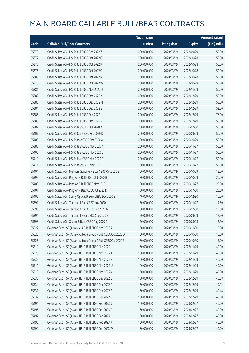|       |                                                                | No. of issue |                     |               | <b>Amount raised</b> |
|-------|----------------------------------------------------------------|--------------|---------------------|---------------|----------------------|
| Code  | <b>Callable Bull/Bear Contracts</b>                            | (units)      | <b>Listing date</b> | <b>Expiry</b> | (HK\$ mil.)          |
| 55373 | Credit Suisse AG - HSI R Bull CBBC Sep 2022 Z                  | 200,000,000  | 2020/03/19          | 2022/09/29    | 50.00                |
| 55377 | Credit Suisse AG - HSI R Bull CBBC Oct 2022 G                  | 200,000,000  | 2020/03/19          | 2022/10/28    | 50.00                |
| 55378 | Credit Suisse AG - HSI R Bull CBBC Oct 2022 P                  | 200,000,000  | 2020/03/19          | 2022/10/28    | 50.00                |
| 55376 | Credit Suisse AG - HSI R Bull CBBC Oct 2022 Q                  | 200,000,000  | 2020/03/19          | 2022/10/28    | 50.00                |
| 55380 | Credit Suisse AG - HSI R Bull CBBC Oct 2022 R                  | 200,000,000  | 2020/03/19          | 2022/10/28    | 50.00                |
| 55375 | Credit Suisse AG - HSI R Bull CBBC Oct 2022 W                  | 200,000,000  | 2020/03/19          | 2022/10/28    | 50.00                |
| 55381 | Credit Suisse AG - HSI R Bull CBBC Nov 2022 D                  | 200,000,000  | 2020/03/19          | 2022/11/29    | 50.00                |
| 55382 | Credit Suisse AG - HSI R Bull CBBC Dec 2022 K                  | 200,000,000  | 2020/03/19          | 2022/12/29    | 50.00                |
| 55385 | Credit Suisse AG - HSI R Bull CBBC Dec 2022 M                  | 200,000,000  | 2020/03/19          | 2022/12/29    | 58.00                |
| 55384 | Credit Suisse AG - HSI R Bull CBBC Dec 2022 S                  | 200,000,000  | 2020/03/19          | 2022/12/29    | 52.00                |
| 55386 | Credit Suisse AG - HSI R Bull CBBC Dec 2022 U                  | 200,000,000  | 2020/03/19          | 2022/12/29    | 76.00                |
| 55383 | Credit Suisse AG - HSI R Bull CBBC Dec 2022 V                  | 200,000,000  | 2020/03/19          | 2022/12/29    | 50.00                |
| 55387 | Credit Suisse AG - HSI R Bear CBBC Jul 2020 X                  | 200,000,000  | 2020/03/19          | 2020/07/30    | 50.00                |
| 55407 | Credit Suisse AG - HSI R Bear CBBC Sep 2020 D                  | 200,000,000  | 2020/03/19          | 2020/09/29    | 50.00                |
| 55409 | Credit Suisse AG - HSI R Bear CBBC Oct 2020 A                  | 200,000,000  | 2020/03/19          | 2020/10/29    | 50.00                |
| 55388 | Credit Suisse AG - HSI R Bear CBBC Nov 2020 A                  | 200,000,000  | 2020/03/19          | 2020/11/27    | 50.00                |
| 55408 | Credit Suisse AG - HSI R Bear CBBC Nov 2020 B                  | 200,000,000  | 2020/03/19          | 2020/11/27    | 50.00                |
| 55410 | Credit Suisse AG - HSI R Bear CBBC Nov 2020 C                  | 200,000,000  | 2020/03/19          | 2020/11/27    | 50.00                |
| 55411 | Credit Suisse AG - HSI R Bear CBBC Nov 2020 D                  | 200,000,000  | 2020/03/19          | 2020/11/27    | 50.00                |
| 55404 | Credit Suisse AG - Meituan Dianping R Bear CBBC Oct 2020 B     | 60,000,000   | 2020/03/19          | 2020/10/29    | 15.00                |
| 55399 | Credit Suisse AG - Ping An R Bull CBBC Oct 2020 B              | 80,000,000   | 2020/03/19          | 2020/10/29    | 20.00                |
| 55400 | Credit Suisse AG - Ping An R Bull CBBC Nov 2020 I              | 80,000,000   | 2020/03/19          | 2020/11/27    | 20.00                |
| 55401 | Credit Suisse AG - Ping An R Bear CBBC Jul 2020 D              | 80,000,000   | 2020/03/19          | 2020/07/30    | 20.00                |
| 55402 | Credit Suisse AG - Sunny Optical R Bear CBBC Dec 2020 E        | 40,000,000   | 2020/03/19          | 2020/12/30    | 10.00                |
| 55392 | Credit Suisse AG - Tencent R Bull CBBC Nov 2020 I              | 50,000,000   | 2020/03/19          | 2020/11/27    | 14.50                |
| 55393 | Credit Suisse AG - Tencent R Bull CBBC Dec 2020 G              | 50,000,000   | 2020/03/19          | 2020/12/30    | 19.50                |
| 55394 | Credit Suisse AG - Tencent R Bear CBBC Sep 2020 E              | 50,000,000   | 2020/03/19          | 2020/09/29    | 12.50                |
| 55398 | Credit Suisse AG - Xiaomi R Bear CBBC Aug 2020 C               | 50,000,000   | 2020/03/19          | 2020/08/28    | 12.50                |
| 55522 | Goldman Sachs SP (Asia) - AIA R Bull CBBC Nov 2020 A           | 60,000,000   | 2020/03/19          | 2020/11/30    | 15.00                |
| 55525 | Goldman Sachs SP (Asia) - Alibaba Group R Bull CBBC Oct 2020 D | 60,000,000   | 2020/03/19          | 2020/10/30    | 15.00                |
| 55526 | Goldman Sachs SP (Asia) - Alibaba Group R Bull CBBC Oct 2020 E | 60,000,000   | 2020/03/19          | 2020/10/30    | 15.00                |
| 55519 | Goldman Sachs SP (Asia) - HSI R Bull CBBC Nov 2022 I           | 160,000,000  | 2020/03/19          | 2022/11/29    | 40.00                |
| 55520 | Goldman Sachs SP (Asia) - HSI R Bull CBBC Nov 2022 J           | 160,000,000  | 2020/03/19          | 2022/11/29    | 40.00                |
| 55535 | Goldman Sachs SP (Asia) - HSI R Bull CBBC Nov 2022 K           | 160,000,000  | 2020/03/19          | 2022/11/29    | 40.00                |
| 55516 | Goldman Sachs SP (Asia) - HSI R Bull CBBC Nov 2022 U           | 160,000,000  | 2020/03/19          | 2022/11/29    | 40.00                |
| 55518 | Goldman Sachs SP (Asia) - HSI R Bull CBBC Nov 2022 Y           | 160,000,000  | 2020/03/19          | 2022/11/29    | 40.00                |
| 55533 | Goldman Sachs SP (Asia) - HSI R Bull CBBC Dec 2022 E           | 160,000,000  | 2020/03/19          | 2022/12/29    | 46.88                |
| 55534 | Goldman Sachs SP (Asia) - HSI R Bull CBBC Dec 2022 F           | 160,000,000  | 2020/03/19          | 2022/12/29    | 49.92                |
| 55531 | Goldman Sachs SP (Asia) - HSI R Bull CBBC Dec 2022 P           | 160,000,000  | 2020/03/19          | 2022/12/29    | 40.48                |
| 55532 | Goldman Sachs SP (Asia) - HSI R Bull CBBC Dec 2022 Q           | 160,000,000  | 2020/03/19          | 2022/12/29    | 43.68                |
| 55494 | Goldman Sachs SP (Asia) - HSI R Bull CBBC Feb 2023 S           | 160,000,000  | 2020/03/19          | 2023/02/27    | 40.00                |
| 55495 | Goldman Sachs SP (Asia) - HSI R Bull CBBC Feb 2023 T           | 160,000,000  | 2020/03/19          | 2023/02/27    | 40.00                |
| 55497 | Goldman Sachs SP (Asia) - HSI R Bull CBBC Feb 2023 U           | 160,000,000  | 2020/03/19          | 2023/02/27    | 40.00                |
| 55498 | Goldman Sachs SP (Asia) - HSI R Bull CBBC Feb 2023 V           | 160,000,000  | 2020/03/19          | 2023/02/27    | 40.00                |
| 55499 | Goldman Sachs SP (Asia) - HSI R Bull CBBC Feb 2023 W           | 160,000,000  | 2020/03/19          | 2023/02/27    | 40.00                |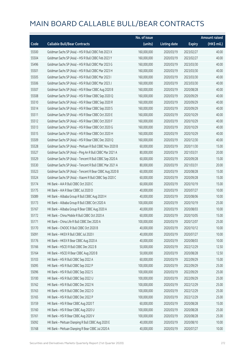|       |                                                          | No. of issue |                     |               | <b>Amount raised</b> |
|-------|----------------------------------------------------------|--------------|---------------------|---------------|----------------------|
| Code  | <b>Callable Bull/Bear Contracts</b>                      | (units)      | <b>Listing date</b> | <b>Expiry</b> | (HK\$ mil.)          |
| 55500 | Goldman Sachs SP (Asia) - HSI R Bull CBBC Feb 2023 X     | 160,000,000  | 2020/03/19          | 2023/02/27    | 40.00                |
| 55504 | Goldman Sachs SP (Asia) - HSI R Bull CBBC Feb 2023 Y     | 160,000,000  | 2020/03/19          | 2023/02/27    | 40.00                |
| 55496 | Goldman Sachs SP (Asia) - HSI R Bull CBBC Mar 2023 G     | 160,000,000  | 2020/03/19          | 2023/03/30    | 40.00                |
| 55501 | Goldman Sachs SP (Asia) - HSI R Bull CBBC Mar 2023 H     | 160,000,000  | 2020/03/19          | 2023/03/30    | 40.00                |
| 55505 | Goldman Sachs SP (Asia) - HSI R Bull CBBC Mar 2023 I     | 160,000,000  | 2020/03/19          | 2023/03/30    | 40.00                |
| 55506 | Goldman Sachs SP (Asia) - HSI R Bull CBBC Mar 2023 J     | 160,000,000  | 2020/03/19          | 2023/03/30    | 40.00                |
| 55507 | Goldman Sachs SP (Asia) - HSI R Bear CBBC Aug 2020 B     | 160,000,000  | 2020/03/19          | 2020/08/28    | 40.00                |
| 55508 | Goldman Sachs SP (Asia) - HSI R Bear CBBC Sep 2020 Q     | 160,000,000  | 2020/03/19          | 2020/09/29    | 40.00                |
| 55510 | Goldman Sachs SP (Asia) - HSI R Bear CBBC Sep 2020 R     | 160,000,000  | 2020/03/19          | 2020/09/29    | 40.00                |
| 55514 | Goldman Sachs SP (Asia) - HSI R Bear CBBC Sep 2020 S     | 160,000,000  | 2020/03/19          | 2020/09/29    | 40.00                |
| 55511 | Goldman Sachs SP (Asia) - HSI R Bear CBBC Oct 2020 E     | 160,000,000  | 2020/03/19          | 2020/10/29    | 40.00                |
| 55512 | Goldman Sachs SP (Asia) - HSI R Bear CBBC Oct 2020 F     | 160,000,000  | 2020/03/19          | 2020/10/29    | 40.00                |
| 55513 | Goldman Sachs SP (Asia) - HSI R Bear CBBC Oct 2020 G     | 160,000,000  | 2020/03/19          | 2020/10/29    | 40.00                |
| 55515 | Goldman Sachs SP (Asia) - HSI R Bear CBBC Oct 2020 H     | 160,000,000  | 2020/03/19          | 2020/10/29    | 40.00                |
| 55509 | Goldman Sachs SP (Asia) - HSI R Bear CBBC Dec 2020 Q     | 160,000,000  | 2020/03/19          | 2020/12/30    | 40.00                |
| 55528 | Goldman Sachs SP (Asia) - Meituan R Bull CBBC Nov 2020 B | 60,000,000   | 2020/03/19          | 2020/11/30    | 15.00                |
| 55527 | Goldman Sachs SP (Asia) - Ping An R Bull CBBC Mar 2021 A | 80,000,000   | 2020/03/19          | 2021/03/31    | 20.00                |
| 55529 | Goldman Sachs SP (Asia) - Tencent R Bull CBBC Sep 2020 A | 60,000,000   | 2020/03/19          | 2020/09/28    | 15.00                |
| 55530 | Goldman Sachs SP (Asia) - Tencent R Bull CBBC Mar 2021 A | 80,000,000   | 2020/03/19          | 2021/03/31    | 20.00                |
| 55523 | Goldman Sachs SP (Asia) - Tencent R Bear CBBC Aug 2020 B | 60,000,000   | 2020/03/19          | 2020/08/28    | 15.00                |
| 55524 | Goldman Sachs SP (Asia) - Xiaomi R Bull CBBC Sep 2020 C  | 60,000,000   | 2020/03/19          | 2020/09/28    | 15.00                |
| 55174 | HK Bank - AIA R Bull CBBC Oct 2020 C                     | 60,000,000   | 2020/03/19          | 2020/10/19    | 15.00                |
| 55175 | HK Bank - AIA R Bear CBBC Jul 2020 D                     | 40,000,000   | 2020/03/19          | 2020/07/27    | 10.00                |
| 55089 | HK Bank - Alibaba Group R Bull CBBC Aug 2020 H           | 40,000,000   | 2020/03/19          | 2020/08/06    | 10.00                |
| 55173 | HK Bank - Alibaba Group R Bull CBBC Oct 2020 A           | 100,000,000  | 2020/03/19          | 2020/10/19    | 25.00                |
| 55167 | HK Bank - Alibaba Group R Bear CBBC Aug 2020 A           | 40,000,000   | 2020/03/19          | 2020/08/03    | 10.00                |
| 55172 | HK Bank - China Mobile R Bull CBBC Oct 2020 A            | 60,000,000   | 2020/03/19          | 2020/10/05    | 15.00                |
| 55171 | HK Bank - China Life R Bull CBBC Dec 2020 A              | 100,000,000  | 2020/03/19          | 2020/12/07    | 25.00                |
| 55170 | HK Bank - CNOOC R Bull CBBC Oct 2020 B                   | 40,000,000   | 2020/03/19          | 2020/10/12    | 10.00                |
| 55091 | HK Bank - HKEX R Bull CBBC Jul 2020 I                    | 40,000,000   | 2020/03/19          | 2020/07/27    | 10.00                |
| 55176 | HK Bank - HKEX R Bear CBBC Aug 2020 A                    | 40,000,000   | 2020/03/19          | 2020/08/03    | 10.00                |
| 55166 | HK Bank - HSCEI R Bull CBBC Dec 2022 B                   | 50,000,000   | 2020/03/19          | 2022/12/29    | 12.50                |
| 55164 | HK Bank - HSCEI R Bear CBBC Aug 2020 B                   | 50,000,000   | 2020/03/19          | 2020/08/28    | 12.50                |
| 55103 | HK Bank - HSI R Bull CBBC Sep 2022 A                     | 60,000,000   | 2020/03/19          | 2022/09/29    | 15.00                |
| 55095 | HK Bank - HSI R Bull CBBC Sep 2022 P                     | 100,000,000  | 2020/03/19          | 2022/09/29    | 25.00                |
| 55096 | HK Bank - HSI R Bull CBBC Sep 2022 S                     | 100,000,000  | 2020/03/19          | 2022/09/29    | 25.00                |
| 55100 | HK Bank - HSI R Bull CBBC Sep 2022 U                     | 100,000,000  | 2020/03/19          | 2022/09/29    | 25.00                |
| 55162 | HK Bank - HSI R Bull CBBC Dec 2022 N                     | 100,000,000  | 2020/03/19          | 2022/12/29    | 25.00                |
| 55163 | HK Bank - HSI R Bull CBBC Dec 2022 O                     | 100,000,000  | 2020/03/19          | 2022/12/29    | 25.00                |
| 55165 | HK Bank - HSI R Bull CBBC Dec 2022 P                     | 100,000,000  | 2020/03/19          | 2022/12/29    | 25.00                |
| 55159 | HK Bank - HSI R Bear CBBC Aug 2020 T                     | 60,000,000   | 2020/03/19          | 2020/08/28    | 15.00                |
| 55160 | HK Bank - HSI R Bear CBBC Aug 2020 U                     | 100,000,000  | 2020/03/19          | 2020/08/28    | 25.00                |
| 55161 | HK Bank - HSI R Bear CBBC Aug 2020 V                     | 100,000,000  | 2020/03/19          | 2020/08/28    | 25.00                |
| 55092 | HK Bank - Meituan Dianping R Bull CBBC Aug 2020 E        | 40,000,000   | 2020/03/19          | 2020/08/10    | 10.00                |
| 55168 | HK Bank - Meituan Dianping R Bear CBBC Jul 2020 A        | 40,000,000   | 2020/03/19          | 2020/07/27    | 10.00                |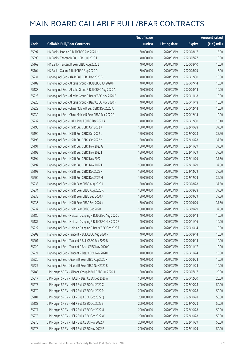|       |                                                             | No. of issue |                     |               | <b>Amount raised</b> |
|-------|-------------------------------------------------------------|--------------|---------------------|---------------|----------------------|
| Code  | <b>Callable Bull/Bear Contracts</b>                         | (units)      | <b>Listing date</b> | <b>Expiry</b> | (HK\$ mil.)          |
| 55097 | HK Bank - Ping An R Bull CBBC Aug 2020 H                    | 60,000,000   | 2020/03/19          | 2020/08/17    | 15.00                |
| 55098 | HK Bank - Tencent R Bull CBBC Jul 2020 T                    | 40,000,000   | 2020/03/19          | 2020/07/27    | 10.00                |
| 55169 | HK Bank - Tencent R Bear CBBC Aug 2020 L                    | 40,000,000   | 2020/03/19          | 2020/08/10    | 10.00                |
| 55104 | HK Bank - Xiaomi R Bull CBBC Aug 2020 D                     | 60,000,000   | 2020/03/19          | 2020/08/03    | 15.00                |
| 55231 | Haitong Int'l Sec - AIA R Bull CBBC Dec 2020 B              | 40,000,000   | 2020/03/19          | 2020/12/30    | 10.00                |
| 55189 | Haitong Int'l Sec - Alibaba Group R Bull CBBC Jul 2020 F    | 40,000,000   | 2020/03/19          | 2020/07/14    | 10.00                |
| 55188 | Haitong Int'l Sec - Alibaba Group R Bull CBBC Aug 2020 A    | 40,000,000   | 2020/03/19          | 2020/08/14    | 10.00                |
| 55223 | Haitong Int'l Sec - Alibaba Group R Bear CBBC Nov 2020 E    | 40,000,000   | 2020/03/19          | 2020/11/18    | 10.00                |
| 55225 | Haitong Int'l Sec - Alibaba Group R Bear CBBC Nov 2020 F    | 40,000,000   | 2020/03/19          | 2020/11/18    | 10.00                |
| 55229 | Haitong Int'l Sec - China Mobile R Bull CBBC Dec 2020 A     | 40,000,000   | 2020/03/19          | 2020/12/14    | 10.00                |
| 55230 | Haitong Int'l Sec - China Mobile R Bear CBBC Dec 2020 A     | 40,000,000   | 2020/03/19          | 2020/12/14    | 10.00                |
| 55232 | Haitong Int'l Sec - HKEX R Bull CBBC Dec 2020 A             | 40,000,000   | 2020/03/19          | 2020/12/30    | 10.48                |
| 55196 | Haitong Int'l Sec - HSI R Bull CBBC Oct 2022 A              | 150,000,000  | 2020/03/19          | 2022/10/28    | 37.50                |
| 55190 | Haitong Int'l Sec - HSI R Bull CBBC Oct 2022 L              | 150,000,000  | 2020/03/19          | 2022/10/28    | 37.50                |
| 55195 | Haitong Int'l Sec - HSI R Bull CBBC Oct 2022 X              | 150,000,000  | 2020/03/19          | 2022/10/28    | 37.50                |
| 55191 | Haitong Int'l Sec - HSI R Bull CBBC Nov 2022 G              | 150,000,000  | 2020/03/19          | 2022/11/29    | 37.50                |
| 55192 | Haitong Int'l Sec - HSI R Bull CBBC Nov 2022 I              | 150,000,000  | 2020/03/19          | 2022/11/29    | 37.50                |
| 55194 | Haitong Int'l Sec - HSI R Bull CBBC Nov 2022 J              | 150,000,000  | 2020/03/19          | 2022/11/29    | 37.50                |
| 55197 | Haitong Int'l Sec - HSI R Bull CBBC Nov 2022 K              | 150,000,000  | 2020/03/19          | 2022/11/29    | 37.50                |
| 55193 | Haitong Int'l Sec - HSI R Bull CBBC Dec 2022 F              | 150,000,000  | 2020/03/19          | 2022/12/29    | 37.50                |
| 55200 | Haitong Int'l Sec - HSI R Bull CBBC Dec 2022 H              | 150,000,000  | 2020/03/19          | 2022/12/29    | 39.00                |
| 55233 | Haitong Int'l Sec - HSI R Bear CBBC Aug 2020 J              | 150,000,000  | 2020/03/19          | 2020/08/28    | 37.50                |
| 55234 | Haitong Int'l Sec - HSI R Bear CBBC Aug 2020 K              | 150,000,000  | 2020/03/19          | 2020/08/28    | 37.50                |
| 55235 | Haitong Int'l Sec - HSI R Bear CBBC Sep 2020 J              | 150,000,000  | 2020/03/19          | 2020/09/29    | 37.50                |
| 55236 | Haitong Int'l Sec - HSI R Bear CBBC Sep 2020 K              | 150,000,000  | 2020/03/19          | 2020/09/29    | 37.50                |
| 55237 | Haitong Int'l Sec - HSI R Bear CBBC Sep 2020 L              | 150,000,000  | 2020/03/19          | 2020/09/29    | 37.50                |
| 55186 | Haitong Int'l Sec - Meituan Dianping R Bull CBBC Aug 2020 C | 40,000,000   | 2020/03/19          | 2020/08/14    | 10.00                |
| 55187 | Haitong Int'l Sec - Meituan Dianping R Bull CBBC Nov 2020 B | 40,000,000   | 2020/03/19          | 2020/11/16    | 10.00                |
| 55222 | Haitong Int'l Sec - Meituan Dianping R Bear CBBC Oct 2020 E | 40,000,000   | 2020/03/19          | 2020/10/14    | 10.00                |
| 55202 | Haitong Int'l Sec - Tencent R Bull CBBC Aug 2020 P          | 40,000,000   | 2020/03/19          | 2020/08/14    | 10.00                |
| 55201 | Haitong Int'l Sec - Tencent R Bull CBBC Sep 2020 U          | 40,000,000   | 2020/03/19          | 2020/09/14    | 10.00                |
| 55220 | Haitong Int'l Sec - Tencent R Bear CBBC Nov 2020 G          | 40,000,000   | 2020/03/19          | 2020/11/17    | 10.00                |
| 55221 | Haitong Int'l Sec - Tencent R Bear CBBC Nov 2020 H          | 40,000,000   | 2020/03/19          | 2020/11/24    | 10.00                |
| 55226 | Haitong Int'l Sec - Xiaomi R Bear CBBC Aug 2020 F           | 40,000,000   | 2020/03/19          | 2020/08/24    | 10.00                |
| 55227 | Haitong Int'l Sec - Xiaomi R Bear CBBC Nov 2020 B           | 40,000,000   | 2020/03/19          | 2020/11/24    | 10.00                |
| 55185 | J P Morgan SP BV - Alibaba Group R Bull CBBC Jul 2020 J     | 80,000,000   | 2020/03/19          | 2020/07/17    | 20.00                |
| 55317 | J P Morgan SP BV - HSCEI R Bear CBBC Dec 2020 A             | 100,000,000  | 2020/03/19          | 2020/12/30    | 25.00                |
| 55273 | J P Morgan SP BV - HSI R Bull CBBC Oct 2022 C               | 200,000,000  | 2020/03/19          | 2022/10/28    | 50.00                |
| 55179 | J P Morgan SP BV - HSI R Bull CBBC Oct 2022 P               | 200,000,000  | 2020/03/19          | 2022/10/28    | 50.00                |
| 55181 | J P Morgan SP BV - HSI R Bull CBBC Oct 2022 Q               | 200,000,000  | 2020/03/19          | 2022/10/28    | 50.00                |
| 55183 | J P Morgan SP BV - HSI R Bull CBBC Oct 2022 S               | 200,000,000  | 2020/03/19          | 2022/10/28    | 50.00                |
| 55271 | J P Morgan SP BV - HSI R Bull CBBC Oct 2022 U               | 200,000,000  | 2020/03/19          | 2022/10/28    | 50.00                |
| 55275 | J P Morgan SP BV - HSI R Bull CBBC Oct 2022 W               | 200,000,000  | 2020/03/19          | 2022/10/28    | 50.00                |
| 55276 | J P Morgan SP BV - HSI R Bull CBBC Nov 2022 A               | 200,000,000  | 2020/03/19          | 2022/11/29    | 50.00                |
| 55278 | J P Morgan SP BV - HSI R Bull CBBC Nov 2022 E               | 200,000,000  | 2020/03/19          | 2022/11/29    | 50.00                |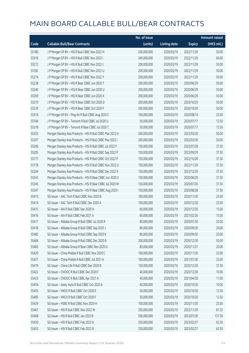|       |                                                           | No. of issue |                     |               | <b>Amount raised</b> |
|-------|-----------------------------------------------------------|--------------|---------------------|---------------|----------------------|
| Code  | <b>Callable Bull/Bear Contracts</b>                       | (units)      | <b>Listing date</b> | <b>Expiry</b> | (HK\$ mil.)          |
| 55180 | J P Morgan SP BV - HSI R Bull CBBC Nov 2022 H             | 200,000,000  | 2020/03/19          | 2022/11/29    | 50.00                |
| 55316 | JP Morgan SP BV - HSIR Bull CBBC Nov 2022 I               | 240,000,000  | 2020/03/19          | 2022/11/29    | 60.00                |
| 55272 | J P Morgan SP BV - HSI R Bull CBBC Nov 2022 J             | 200,000,000  | 2020/03/19          | 2022/11/29    | 50.00                |
| 55182 | J P Morgan SP BV - HSI R Bull CBBC Nov 2022 U             | 200,000,000  | 2020/03/19          | 2022/11/29    | 50.00                |
| 55274 | J P Morgan SP BV - HSI R Bull CBBC Nov 2022 Y             | 200,000,000  | 2020/03/19          | 2022/11/29    | 50.00                |
| 55238 | J P Morgan SP BV - HSI R Bear CBBC Jun 2020 T             | 200,000,000  | 2020/03/19          | 2020/06/29    | 50.00                |
| 55240 | J P Morgan SP BV - HSI R Bear CBBC Jun 2020 U             | 200,000,000  | 2020/03/19          | 2020/06/29    | 50.00                |
| 55269 | J P Morgan SP BV - HSI R Bear CBBC Jun 2020 X             | 200,000,000  | 2020/03/19          | 2020/06/29    | 50.00                |
| 55270 | J P Morgan SP BV - HSI R Bear CBBC Oct 2020 D             | 200,000,000  | 2020/03/19          | 2020/10/29    | 50.00                |
| 55239 | J P Morgan SP BV - HSI R Bear CBBC Oct 2020 F             | 200,000,000  | 2020/03/19          | 2020/10/29    | 50.00                |
| 55319 | J P Morgan SP BV - Ping An R Bull CBBC Aug 2020 C         | 100,000,000  | 2020/03/19          | 2020/08/14    | 25.00                |
| 55184 | J P Morgan SP BV - Tencent R Bull CBBC Jul 2020 U         | 50,000,000   | 2020/03/19          | 2020/07/17    | 12.50                |
| 55318 | J P Morgan SP BV - Tencent R Bear CBBC Jul 2020 T         | 50,000,000   | 2020/03/19          | 2020/07/17    | 12.50                |
| 55203 | Morgan Stanley Asia Products - HSI R Bull CBBC Mar 2022 H | 200,000,000  | 2020/03/19          | 2022/03/30    | 50.00                |
| 55207 | Morgan Stanley Asia Products - HSI R Bull CBBC Mar 2022 I | 200,000,000  | 2020/03/19          | 2022/03/30    | 50.00                |
| 55206 | Morgan Stanley Asia Products - HSI R Bull CBBC Jul 2022 F | 150,000,000  | 2020/03/19          | 2022/07/28    | 37.50                |
| 55205 | Morgan Stanley Asia Products - HSI R Bull CBBC Sep 2022 P | 150,000,000  | 2020/03/19          | 2022/09/29    | 37.50                |
| 55177 | Morgan Stanley Asia Products - HSI R Bull CBBC Oct 2022 P | 150,000,000  | 2020/03/19          | 2022/10/28    | 37.50                |
| 55178 | Morgan Stanley Asia Products - HSI R Bull CBBC Nov 2022 U | 150,000,000  | 2020/03/19          | 2022/11/29    | 37.50                |
| 55204 | Morgan Stanley Asia Products - HSI R Bull CBBC Dec 2022 X | 150,000,000  | 2020/03/19          | 2022/12/29    | 37.50                |
| 55343 | Morgan Stanley Asia Products - HSI R Bear CBBC Jun 2020 X | 150,000,000  | 2020/03/19          | 2020/06/29    | 37.50                |
| 55345 | Morgan Stanley Asia Products - HSI R Bear CBBC Jul 2020 W | 150,000,000  | 2020/03/19          | 2020/07/30    | 37.50                |
| 55347 | Morgan Stanley Asia Products - HSI R Bear CBBC Aug 2020 I | 150,000,000  | 2020/03/19          | 2020/08/28    | 37.50                |
| 55413 | SG Issuer - AAC Tech R Bull CBBC Nov 2020 B               | 100,000,000  | 2020/03/19          | 2020/11/30    | 25.00                |
| 55414 | SG Issuer - AAC Tech R Bull CBBC Dec 2020 A               | 100,000,000  | 2020/03/19          | 2020/12/30    | 25.00                |
| 55415 | SG Issuer - AIA R Bull CBBC Dec 2020 H                    | 60,000,000   | 2020/03/19          | 2020/12/30    | 15.00                |
| 55416 | SG Issuer - AIA R Bull CBBC Feb 2021 A                    | 60,000,000   | 2020/03/19          | 2021/02/26    | 15.00                |
| 55417 | SG Issuer - Alibaba Group R Bull CBBC Jul 2020 R          | 80,000,000   | 2020/03/19          | 2020/07/30    | 20.00                |
| 55418 | SG Issuer - Alibaba Group R Bull CBBC Sep 2020 J          | 80,000,000   | 2020/03/19          | 2020/09/30    | 20.00                |
| 55482 | SG Issuer - Alibaba Group R Bull CBBC Sep 2020 K          | 80,000,000   | 2020/03/19          | 2020/09/30    | 20.00                |
| 55484 | SG Issuer - Alibaba Group R Bull CBBC Dec 2020 B          | 200,000,000  | 2020/03/19          | 2020/12/30    | 50.00                |
| 55483 | SG Issuer - Alibaba Group R Bear CBBC Nov 2020 G          | 80,000,000   | 2020/03/19          | 2020/11/27    | 20.00                |
| 55420 | SG Issuer - China Mobile R Bull CBBC Nov 2020 C           | 100,000,000  | 2020/03/19          | 2020/11/30    | 25.00                |
| 55421 | SG Issuer - China Mobile R Bull CBBC Jul 2021 A           | 100,000,000  | 2020/03/19          | 2021/07/30    | 25.00                |
| 55419 | SG Issuer - China Life R Bull CBBC Dec 2020 B             | 150,000,000  | 2020/03/19          | 2020/12/30    | 37.50                |
| 55422 | SG Issuer - CNOOC R Bull CBBC Dec 2020 F                  | 40,000,000   | 2020/03/19          | 2020/12/30    | 10.00                |
| 55423 | SG Issuer - CNOOC R Bull CBBC Apr 2021 A                  | 40,000,000   | 2020/03/19          | 2021/04/30    | 11.00                |
| 55454 | SG Issuer - Geely Auto R Bull CBBC Oct 2020 A             | 40,000,000   | 2020/03/19          | 2020/10/30    | 10.00                |
| 55455 | SG Issuer - HKEX R Bull CBBC Oct 2020 E                   | 50,000,000   | 2020/03/19          | 2020/10/30    | 12.50                |
| 55485 | SG Issuer - HKEX R Bull CBBC Oct 2020 F                   | 50,000,000   | 2020/03/19          | 2020/10/30    | 12.50                |
| 55424 | SG Issuer - HSBC R Bull CBBC Nov 2020 H                   | 100,000,000  | 2020/03/19          | 2020/11/30    | 25.00                |
| 55467 | SG Issuer - HSI R Bull CBBC Nov 2022 W                    | 250,000,000  | 2020/03/19          | 2022/11/29    | 81.25                |
| 55468 | SG Issuer - HSI R Bull CBBC Jan 2023 B                    | 500,000,000  | 2020/03/19          | 2023/01/30    | 137.50               |
| 55450 | SG Issuer - HSI R Bull CBBC Feb 2023 A                    | 250,000,000  | 2020/03/19          | 2023/02/27    | 62.50                |
| 55453 | SG Issuer - HSI R Bull CBBC Feb 2023 B                    | 250,000,000  | 2020/03/19          | 2023/02/27    | 62.50                |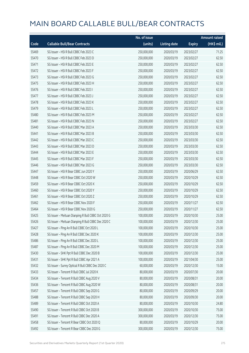|       |                                                     | No. of issue |                     |               | <b>Amount raised</b> |
|-------|-----------------------------------------------------|--------------|---------------------|---------------|----------------------|
| Code  | <b>Callable Bull/Bear Contracts</b>                 | (units)      | <b>Listing date</b> | <b>Expiry</b> | (HK\$ mil.)          |
| 55469 | SG Issuer - HSI R Bull CBBC Feb 2023 C              | 250,000,000  | 2020/03/19          | 2023/02/27    | 71.25                |
| 55470 | SG Issuer - HSI R Bull CBBC Feb 2023 D              | 250,000,000  | 2020/03/19          | 2023/02/27    | 62.50                |
| 55471 | SG Issuer - HSI R Bull CBBC Feb 2023 E              | 250,000,000  | 2020/03/19          | 2023/02/27    | 62.50                |
| 55472 | SG Issuer - HSI R Bull CBBC Feb 2023 F              | 250,000,000  | 2020/03/19          | 2023/02/27    | 62.50                |
| 55473 | SG Issuer - HSI R Bull CBBC Feb 2023 G              | 250,000,000  | 2020/03/19          | 2023/02/27    | 62.50                |
| 55475 | SG Issuer - HSI R Bull CBBC Feb 2023 H              | 250,000,000  | 2020/03/19          | 2023/02/27    | 62.50                |
| 55476 | SG Issuer - HSI R Bull CBBC Feb 2023 I              | 250,000,000  | 2020/03/19          | 2023/02/27    | 62.50                |
| 55477 | SG Issuer - HSI R Bull CBBC Feb 2023 J              | 250,000,000  | 2020/03/19          | 2023/02/27    | 62.50                |
| 55478 | SG Issuer - HSI R Bull CBBC Feb 2023 K              | 250,000,000  | 2020/03/19          | 2023/02/27    | 62.50                |
| 55479 | SG Issuer - HSI R Bull CBBC Feb 2023 L              | 250,000,000  | 2020/03/19          | 2023/02/27    | 62.50                |
| 55480 | SG Issuer - HSI R Bull CBBC Feb 2023 M              | 250,000,000  | 2020/03/19          | 2023/02/27    | 62.50                |
| 55481 | SG Issuer - HSI R Bull CBBC Feb 2023 N              | 250,000,000  | 2020/03/19          | 2023/02/27    | 62.50                |
| 55440 | SG Issuer - HSI R Bull CBBC Mar 2023 A              | 250,000,000  | 2020/03/19          | 2023/03/30    | 62.50                |
| 55441 | SG Issuer - HSI R Bull CBBC Mar 2023 B              | 250,000,000  | 2020/03/19          | 2023/03/30    | 62.50                |
| 55442 | SG Issuer - HSI R Bull CBBC Mar 2023 C              | 250,000,000  | 2020/03/19          | 2023/03/30    | 62.50                |
| 55443 | SG Issuer - HSI R Bull CBBC Mar 2023 D              | 250,000,000  | 2020/03/19          | 2023/03/30    | 62.50                |
| 55444 | SG Issuer - HSI R Bull CBBC Mar 2023 E              | 250,000,000  | 2020/03/19          | 2023/03/30    | 62.50                |
| 55445 | SG Issuer - HSI R Bull CBBC Mar 2023 F              | 250,000,000  | 2020/03/19          | 2023/03/30    | 62.50                |
| 55446 | SG Issuer - HSI R Bull CBBC Mar 2023 G              | 250,000,000  | 2020/03/19          | 2023/03/30    | 62.50                |
| 55447 | SG Issuer - HSI R Bear CBBC Jun 2020 Y              | 250,000,000  | 2020/03/19          | 2020/06/29    | 62.50                |
| 55448 | SG Issuer - HSI R Bear CBBC Oct 2020 W              | 250,000,000  | 2020/03/19          | 2020/10/29    | 62.50                |
| 55459 | SG Issuer - HSI R Bear CBBC Oct 2020 X              | 250,000,000  | 2020/03/19          | 2020/10/29    | 62.50                |
| 55460 | SG Issuer - HSI R Bear CBBC Oct 2020 Y              | 250,000,000  | 2020/03/19          | 2020/10/29    | 62.50                |
| 55461 | SG Issuer - HSI R Bear CBBC Oct 2020 Z              | 250,000,000  | 2020/03/19          | 2020/10/29    | 62.50                |
| 55462 | SG Issuer - HSI R Bear CBBC Nov 2020 F              | 250,000,000  | 2020/03/19          | 2020/11/27    | 62.50                |
| 55464 | SG Issuer - HSI R Bear CBBC Nov 2020 G              | 250,000,000  | 2020/03/19          | 2020/11/27    | 62.50                |
| 55425 | SG Issuer - Meituan Dianping R Bull CBBC Oct 2020 G | 100,000,000  | 2020/03/19          | 2020/10/30    | 25.00                |
| 55426 | SG Issuer - Meituan Dianping R Bull CBBC Dec 2020 C | 100,000,000  | 2020/03/19          | 2020/12/30    | 25.00                |
| 55427 | SG Issuer - Ping An R Bull CBBC Oct 2020 L          | 100,000,000  | 2020/03/19          | 2020/10/30    | 25.00                |
| 55428 | SG Issuer - Ping An R Bull CBBC Dec 2020 K          | 100,000,000  | 2020/03/19          | 2020/12/30    | 25.00                |
| 55486 | SG Issuer - Ping An R Bull CBBC Dec 2020 L          | 100,000,000  | 2020/03/19          | 2020/12/30    | 25.00                |
| 55487 | SG Issuer - Ping An R Bull CBBC Dec 2020 M          | 100,000,000  | 2020/03/19          | 2020/12/30    | 25.00                |
| 55430 | SG Issuer - SHK Ppt R Bull CBBC Dec 2020 B          | 100,000,000  | 2020/03/19          | 2020/12/30    | 25.00                |
| 55431 | SG Issuer - SHK Ppt R Bull CBBC Apr 2021 A          | 100,000,000  | 2020/03/19          | 2021/04/30    | 25.00                |
| 55432 | SG Issuer - Sunny Optical R Bull CBBC Dec 2020 C    | 60,000,000   | 2020/03/19          | 2020/12/30    | 15.00                |
| 55433 | SG Issuer - Tencent R Bull CBBC Jul 2020 K          | 80,000,000   | 2020/03/19          | 2020/07/30    | 20.00                |
| 55434 | SG Issuer - Tencent R Bull CBBC Aug 2020 V          | 80,000,000   | 2020/03/19          | 2020/08/31    | 20.00                |
| 55436 | SG Issuer - Tencent R Bull CBBC Aug 2020 W          | 80,000,000   | 2020/03/19          | 2020/08/31    | 20.00                |
| 55457 | SG Issuer - Tencent R Bull CBBC Sep 2020 G          | 80,000,000   | 2020/03/19          | 2020/09/29    | 20.00                |
| 55488 | SG Issuer - Tencent R Bull CBBC Sep 2020 H          | 80,000,000   | 2020/03/19          | 2020/09/30    | 20.00                |
| 55489 | SG Issuer - Tencent R Bull CBBC Oct 2020 A          | 80,000,000   | 2020/03/19          | 2020/10/30    | 24.80                |
| 55490 | SG Issuer - Tencent R Bull CBBC Oct 2020 B          | 300,000,000  | 2020/03/19          | 2020/10/30    | 75.00                |
| 55491 | SG Issuer - Tencent R Bull CBBC Dec 2020 A          | 300,000,000  | 2020/03/19          | 2020/12/30    | 75.00                |
| 55458 | SG Issuer - Tencent R Bear CBBC Oct 2020 Q          | 80,000,000   | 2020/03/19          | 2020/10/29    | 20.00                |
| 55492 | SG Issuer - Tencent R Bear CBBC Dec 2020 G          | 300,000,000  | 2020/03/19          | 2020/12/30    | 75.00                |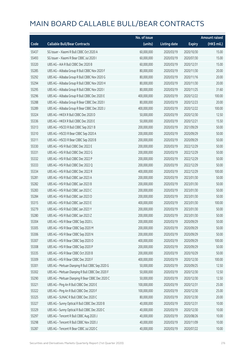|       |                                                  | No. of issue |                     |               | <b>Amount raised</b> |
|-------|--------------------------------------------------|--------------|---------------------|---------------|----------------------|
| Code  | <b>Callable Bull/Bear Contracts</b>              | (units)      | <b>Listing date</b> | <b>Expiry</b> | (HK\$ mil.)          |
| 55437 | SG Issuer - Xiaomi R Bull CBBC Oct 2020 A        | 60,000,000   | 2020/03/19          | 2020/10/30    | 15.00                |
| 55493 | SG Issuer - Xiaomi R Bear CBBC Jul 2020 I        | 60,000,000   | 2020/03/19          | 2020/07/30    | 15.00                |
| 55320 | UBS AG - AIA R Bull CBBC Dec 2020 B              | 60,000,000   | 2020/03/19          | 2020/12/31    | 15.00                |
| 55285 | UBS AG - Alibaba Group R Bull CBBC Nov 2020 F    | 80,000,000   | 2020/03/19          | 2020/11/30    | 20.00                |
| 55292 | UBS AG - Alibaba Group R Bull CBBC Nov 2020 G    | 80,000,000   | 2020/03/19          | 2020/11/16    | 20.00                |
| 55294 | UBS AG - Alibaba Group R Bull CBBC Nov 2020 H    | 80,000,000   | 2020/03/19          | 2020/11/30    | 20.00                |
| 55295 | UBS AG - Alibaba Group R Bull CBBC Nov 2020 I    | 80,000,000   | 2020/03/19          | 2020/11/25    | 31.60                |
| 55296 | UBS AG - Alibaba Group R Bull CBBC Dec 2020 E    | 400,000,000  | 2020/03/19          | 2020/12/22    | 100.00               |
| 55288 | UBS AG - Alibaba Group R Bear CBBC Dec 2020 I    | 80,000,000   | 2020/03/19          | 2020/12/23    | 20.00                |
| 55289 | UBS AG - Alibaba Group R Bear CBBC Dec 2020 J    | 400,000,000  | 2020/03/19          | 2020/12/22    | 100.00               |
| 55324 | UBS AG - HKEX R Bull CBBC Dec 2020 D             | 50,000,000   | 2020/03/19          | 2020/12/30    | 12.50                |
| 55336 | UBS AG - HKEX R Bull CBBC Dec 2020 E             | 50,000,000   | 2020/03/19          | 2020/12/21    | 15.50                |
| 55313 | UBS AG - HSCEI R Bull CBBC Sep 2021 B            | 200,000,000  | 2020/03/19          | 2021/09/29    | 50.00                |
| 55310 | UBS AG - HSCEI R Bear CBBC Sep 2020 A            | 200,000,000  | 2020/03/19          | 2020/09/29    | 50.00                |
| 55311 | UBS AG - HSCEI R Bear CBBC Sep 2020 B            | 200,000,000  | 2020/03/19          | 2020/09/29    | 50.00                |
| 55330 | UBS AG - HSI R Bull CBBC Dec 2022 E              | 200,000,000  | 2020/03/19          | 2022/12/29    | 50.00                |
| 55331 | UBS AG - HSI R Bull CBBC Dec 2022 G              | 200,000,000  | 2020/03/19          | 2022/12/29    | 50.00                |
| 55332 | UBS AG - HSI R Bull CBBC Dec 2022 P              | 200,000,000  | 2020/03/19          | 2022/12/29    | 50.00                |
| 55333 | UBS AG - HSI R Bull CBBC Dec 2022 Q              | 200,000,000  | 2020/03/19          | 2022/12/29    | 50.00                |
| 55334 | UBS AG - HSI R Bull CBBC Dec 2022 R              | 400,000,000  | 2020/03/19          | 2022/12/29    | 100.00               |
| 55281 | UBS AG - HSI R Bull CBBC Jan 2023 A              | 200,000,000  | 2020/03/19          | 2023/01/30    | 50.00                |
| 55282 | UBS AG - HSI R Bull CBBC Jan 2023 B              | 200,000,000  | 2020/03/19          | 2023/01/30    | 50.00                |
| 55283 | UBS AG - HSI R Bull CBBC Jan 2023 C              | 200,000,000  | 2020/03/19          | 2023/01/30    | 50.00                |
| 55284 | UBS AG - HSI R Bull CBBC Jan 2023 D              | 200,000,000  | 2020/03/19          | 2023/01/30    | 50.00                |
| 55315 | UBS AG - HSI R Bull CBBC Jan 2023 E              | 400,000,000  | 2020/03/19          | 2023/01/30    | 100.00               |
| 55279 | UBS AG - HSI R Bull CBBC Jan 2023 Y              | 200,000,000  | 2020/03/19          | 2023/01/30    | 50.00                |
| 55280 | UBS AG - HSI R Bull CBBC Jan 2023 Z              | 200,000,000  | 2020/03/19          | 2023/01/30    | 50.00                |
| 55304 | UBS AG - HSI R Bear CBBC Sep 2020 L              | 200,000,000  | 2020/03/19          | 2020/09/29    | 50.00                |
| 55305 | UBS AG - HSI R Bear CBBC Sep 2020 M              | 200,000,000  | 2020/03/19          | 2020/09/29    | 50.00                |
| 55306 | UBS AG - HSI R Bear CBBC Sep 2020 N              | 200,000,000  | 2020/03/19          | 2020/09/29    | 50.00                |
| 55307 | UBS AG - HSI R Bear CBBC Sep 2020 O              | 400,000,000  | 2020/03/19          | 2020/09/29    | 100.00               |
| 55308 | UBS AG - HSI R Bear CBBC Sep 2020 P              | 200,000,000  | 2020/03/19          | 2020/09/29    | 50.00                |
| 55335 | UBS AG - HSI R Bear CBBC Oct 2020 B              | 200,000,000  | 2020/03/19          | 2020/10/29    | 50.00                |
| 55309 | UBS AG - HSI R Bear CBBC Dec 2020 F              | 400,000,000  | 2020/03/19          | 2020/12/30    | 100.00               |
| 55301 | UBS AG - Meituan Dianping R Bull CBBC Sep 2020 G | 50,000,000   | 2020/03/19          | 2020/09/25    | 12.50                |
| 55302 | UBS AG - Meituan Dianping R Bull CBBC Dec 2020 F | 50,000,000   | 2020/03/19          | 2020/12/30    | 12.50                |
| 55290 | UBS AG - Meituan Dianping R Bear CBBC Dec 2020 C | 50,000,000   | 2020/03/19          | 2020/12/30    | 12.50                |
| 55321 | UBS AG - Ping An R Bull CBBC Dec 2020 E          | 100,000,000  | 2020/03/19          | 2020/12/31    | 25.00                |
| 55322 | UBS AG - Ping An R Bull CBBC Dec 2020 F          | 100,000,000  | 2020/03/19          | 2020/12/30    | 25.00                |
| 55325 | UBS AG - SUNAC R Bull CBBC Dec 2020 C            | 80,000,000   | 2020/03/19          | 2020/12/30    | 20.00                |
| 55327 | UBS AG - Sunny Optical R Bull CBBC Dec 2020 B    | 40,000,000   | 2020/03/19          | 2020/12/31    | 10.00                |
| 55329 | UBS AG - Sunny Optical R Bull CBBC Dec 2020 C    | 40,000,000   | 2020/03/19          | 2020/12/30    | 10.00                |
| 55297 | UBS AG - Tencent R Bull CBBC Aug 2020 J          | 40,000,000   | 2020/03/19          | 2020/08/26    | 10.00                |
| 55298 | UBS AG - Tencent R Bull CBBC Nov 2020 J          | 40,000,000   | 2020/03/19          | 2020/11/09    | 10.00                |
| 55287 | UBS AG - Tencent R Bear CBBC Jul 2020 C          | 40,000,000   | 2020/03/19          | 2020/07/22    | 10.00                |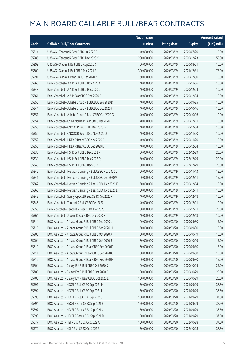|       |                                                         | No. of issue |                     |               | <b>Amount raised</b> |
|-------|---------------------------------------------------------|--------------|---------------------|---------------|----------------------|
| Code  | <b>Callable Bull/Bear Contracts</b>                     | (units)      | <b>Listing date</b> | <b>Expiry</b> | (HK\$ mil.)          |
| 55314 | UBS AG - Tencent R Bear CBBC Jul 2020 D                 | 40,000,000   | 2020/03/19          | 2020/07/20    | 10.00                |
| 55286 | UBS AG - Tencent R Bear CBBC Dec 2020 K                 | 200,000,000  | 2020/03/19          | 2020/12/23    | 50.00                |
| 55299 | UBS AG - Xiaomi R Bull CBBC Aug 2020 C                  | 60,000,000   | 2020/03/19          | 2020/08/31    | 15.00                |
| 55300 | UBS AG - Xiaomi R Bull CBBC Dec 2021 A                  | 300,000,000  | 2020/03/19          | 2021/12/31    | 75.00                |
| 55291 | UBS AG - Xiaomi R Bear CBBC Dec 2020 B                  | 60,000,000   | 2020/03/19          | 2020/12/30    | 15.00                |
| 55360 | Bank Vontobel - AIA R Bull CBBC Nov 2020 C              | 40,000,000   | 2020/03/19          | 2020/11/06    | 10.00                |
| 55348 | Bank Vontobel - AIA R Bull CBBC Dec 2020 D              | 40,000,000   | 2020/03/19          | 2020/12/04    | 10.00                |
| 55361 | Bank Vontobel - AIA R Bear CBBC Dec 2020 B              | 40,000,000   | 2020/03/19          | 2020/12/04    | 10.00                |
| 55350 | Bank Vontobel - Alibaba Group R Bull CBBC Sep 2020 D    | 40,000,000   | 2020/03/19          | 2020/09/25    | 10.00                |
| 55344 | Bank Vontobel - Alibaba Group R Bull CBBC Oct 2020 F    | 40,000,000   | 2020/03/19          | 2020/10/16    | 10.00                |
| 55351 | Bank Vontobel - Alibaba Group R Bear CBBC Oct 2020 G    | 40,000,000   | 2020/03/19          | 2020/10/16    | 10.00                |
| 55354 | Bank Vontobel - China Mobile R Bear CBBC Dec 2020 F     | 40,000,000   | 2020/03/19          | 2020/12/11    | 10.00                |
| 55355 | Bank Vontobel - CNOOC R Bull CBBC Dec 2020 G            | 40,000,000   | 2020/03/19          | 2020/12/04    | 10.00                |
| 55356 | Bank Vontobel - CNOOC R Bear CBBC Nov 2020 D            | 40,000,000   | 2020/03/19          | 2020/11/20    | 10.00                |
| 55352 | Bank Vontobel - HKEX R Bear CBBC Nov 2020 D             | 40,000,000   | 2020/03/19          | 2020/11/20    | 10.00                |
| 55353 | Bank Vontobel - HKEX R Bear CBBC Dec 2020 E             | 40,000,000   | 2020/03/19          | 2020/12/04    | 10.00                |
| 55338 | Bank Vontobel - HSI R Bull CBBC Dec 2022 P              | 80,000,000   | 2020/03/19          | 2022/12/29    | 20.00                |
| 55339 | Bank Vontobel - HSI R Bull CBBC Dec 2022 Q              | 80,000,000   | 2020/03/19          | 2022/12/29    | 20.00                |
| 55340 | Bank Vontobel - HSI R Bull CBBC Dec 2022 R              | 80,000,000   | 2020/03/19          | 2022/12/29    | 20.00                |
| 55342 | Bank Vontobel - Meituan Dianping R Bull CBBC Nov 2020 C | 60,000,000   | 2020/03/19          | 2020/11/13    | 15.00                |
| 55341 | Bank Vontobel - Meituan Dianping R Bull CBBC Dec 2020 V | 60,000,000   | 2020/03/19          | 2020/12/11    | 15.00                |
| 55362 | Bank Vontobel - Meituan Dianping R Bear CBBC Dec 2020 K | 60,000,000   | 2020/03/19          | 2020/12/04    | 15.00                |
| 55363 | Bank Vontobel - Meituan Dianping R Bear CBBC Dec 2020 L | 60,000,000   | 2020/03/19          | 2020/12/11    | 15.00                |
| 55349 | Bank Vontobel - Sunny Optical R Bull CBBC Dec 2020 F    | 40,000,000   | 2020/03/19          | 2020/12/18    | 10.00                |
| 55346 | Bank Vontobel - Tencent R Bull CBBC Dec 2020 J          | 40,000,000   | 2020/03/19          | 2020/12/11    | 10.00                |
| 55359 | Bank Vontobel - Tencent R Bear CBBC Dec 2020 I          | 80,000,000   | 2020/03/19          | 2020/12/11    | 20.00                |
| 55364 | Bank Vontobel - Xiaomi R Bear CBBC Dec 2020 F           | 40,000,000   | 2020/03/19          | 2020/12/18    | 10.00                |
| 55714 | BOCI Asia Ltd. - Alibaba Group R Bull CBBC Sep 2020 L   | 60,000,000   | 2020/03/20          | 2020/09/30    | 15.60                |
| 55715 | BOCI Asia Ltd. - Alibaba Group R Bull CBBC Sep 2020 M   | 60,000,000   | 2020/03/20          | 2020/09/30    | 15.00                |
| 55903 | BOCI Asia Ltd. - Alibaba Group R Bull CBBC Oct 2020 A   | 60,000,000   | 2020/03/20          | 2020/10/19    | 15.00                |
| 55904 | BOCI Asia Ltd. - Alibaba Group R Bull CBBC Oct 2020 B   | 60,000,000   | 2020/03/20          | 2020/10/19    | 15.00                |
| 55710 | BOCI Asia Ltd. - Alibaba Group R Bear CBBC Sep 2020 F   | 60,000,000   | 2020/03/20          | 2020/09/30    | 15.00                |
| 55711 | BOCI Asia Ltd. - Alibaba Group R Bear CBBC Sep 2020 G   | 60,000,000   | 2020/03/20          | 2020/09/30    | 15.00                |
| 55712 | BOCI Asia Ltd. - Alibaba Group R Bear CBBC Sep 2020 H   | 60,000,000   | 2020/03/20          | 2020/09/30    | 15.00                |
| 55704 | BOCI Asia Ltd. - Galaxy Ent R Bull CBBC Oct 2020 D      | 100,000,000  | 2020/03/20          | 2020/10/29    | 25.00                |
| 55705 | BOCI Asia Ltd. - Galaxy Ent R Bull CBBC Oct 2020 E      | 100,000,000  | 2020/03/20          | 2020/10/29    | 25.00                |
| 55706 | BOCI Asia Ltd. - Galaxy Ent R Bear CBBC Oct 2020 E      | 100,000,000  | 2020/03/20          | 2020/10/29    | 25.00                |
| 55591 | BOCI Asia Ltd. - HSCEI R Bull CBBC Sep 2021 H           | 150,000,000  | 2020/03/20          | 2021/09/29    | 37.50                |
| 55592 | BOCI Asia Ltd. - HSCEI R Bull CBBC Sep 2021 I           | 150,000,000  | 2020/03/20          | 2021/09/29    | 37.50                |
| 55593 | BOCI Asia Ltd. - HSCEI R Bull CBBC Sep 2021 J           | 150,000,000  | 2020/03/20          | 2021/09/29    | 37.50                |
| 55894 | BOCI Asia Ltd. - HSCEI R Bear CBBC Sep 2021 B           | 150,000,000  | 2020/03/20          | 2021/09/29    | 37.50                |
| 55897 | BOCI Asia Ltd. - HSCEI R Bear CBBC Sep 2021 C           | 150,000,000  | 2020/03/20          | 2021/09/29    | 37.50                |
| 55899 | BOCI Asia Ltd. - HSCEI R Bear CBBC Sep 2021 D           | 150,000,000  | 2020/03/20          | 2021/09/29    | 37.50                |
| 55577 | BOCI Asia Ltd. - HSI R Bull CBBC Oct 2022 A             | 150,000,000  | 2020/03/20          | 2022/10/28    | 37.50                |
| 55579 | BOCI Asia Ltd. - HSI R Bull CBBC Oct 2022 B             | 150,000,000  | 2020/03/20          | 2022/10/28    | 37.50                |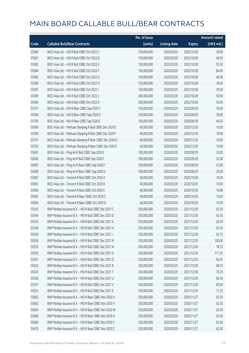|       |                                                          | No. of issue |                     |               | <b>Amount raised</b> |
|-------|----------------------------------------------------------|--------------|---------------------|---------------|----------------------|
| Code  | <b>Callable Bull/Bear Contracts</b>                      | (units)      | <b>Listing date</b> | <b>Expiry</b> | (HK\$ mil.)          |
| 55580 | BOCI Asia Ltd. - HSI R Bull CBBC Oct 2022 C              | 150,000,000  | 2020/03/20          | 2022/10/28    | 39.00                |
| 55581 | BOCI Asia Ltd. - HSI R Bull CBBC Oct 2022 D              | 150,000,000  | 2020/03/20          | 2022/10/28    | 46.50                |
| 55582 | BOCI Asia Ltd. - HSI R Bull CBBC Oct 2022 E              | 150,000,000  | 2020/03/20          | 2022/10/28    | 55.50                |
| 55584 | BOCI Asia Ltd. - HSI R Bull CBBC Oct 2022 F              | 150,000,000  | 2020/03/20          | 2022/10/28    | 84.00                |
| 55585 | BOCI Asia Ltd. - HSI R Bull CBBC Oct 2022 G              | 150,000,000  | 2020/03/20          | 2022/10/28    | 46.50                |
| 55586 | BOCI Asia Ltd. - HSI R Bull CBBC Oct 2022 H              | 150,000,000  | 2020/03/20          | 2022/10/28    | 39.00                |
| 55587 | BOCI Asia Ltd. - HSI R Bull CBBC Oct 2022 I              | 150,000,000  | 2020/03/20          | 2022/10/28    | 39.00                |
| 55589 | BOCI Asia Ltd. - HSI R Bull CBBC Oct 2022 J              | 200,000,000  | 2020/03/20          | 2022/10/28    | 50.00                |
| 55590 | BOCI Asia Ltd. - HSI R Bull CBBC Oct 2022 K              | 200,000,000  | 2020/03/20          | 2022/10/28    | 50.00                |
| 55707 | BOCI Asia Ltd. - HSI R Bear CBBC Sep 2020 C              | 150,000,000  | 2020/03/20          | 2020/09/29    | 39.00                |
| 55708 | BOCI Asia Ltd. - HSI R Bear CBBC Sep 2020 D              | 150,000,000  | 2020/03/20          | 2020/09/29    | 39.00                |
| 55709 | BOCI Asia Ltd. - HSI R Bear CBBC Sep 2020 E              | 150,000,000  | 2020/03/20          | 2020/09/29    | 40.50                |
| 55699 | BOCI Asia Ltd. - Meituan Dianping R Bull CBBC Dec 2020 E | 40,000,000   | 2020/03/20          | 2020/12/30    | 10.00                |
| 55700 | BOCI Asia Ltd. - Meituan Dianping R Bull CBBC Dec 2020 F | 40,000,000   | 2020/03/20          | 2020/12/30    | 10.00                |
| 55701 | BOCI Asia Ltd. - Meituan Dianping R Bear CBBC Dec 2020 D | 40,000,000   | 2020/03/20          | 2020/12/30    | 10.00                |
| 55703 | BOCI Asia Ltd. - Meituan Dianping R Bear CBBC Dec 2020 E | 40,000,000   | 2020/03/20          | 2020/12/30    | 10.00                |
| 55695 | BOCI Asia Ltd. - Ping An R Bull CBBC Sep 2020 E          | 100,000,000  | 2020/03/20          | 2020/09/29    | 25.00                |
| 55696 | BOCI Asia Ltd. - Ping An R Bull CBBC Sep 2020 F          | 100,000,000  | 2020/03/20          | 2020/09/29    | 25.00                |
| 55697 | BOCI Asia Ltd. - Ping An R Bear CBBC Sep 2020 F          | 100,000,000  | 2020/03/20          | 2020/09/29    | 25.00                |
| 55698 | BOCI Asia Ltd. - Ping An R Bear CBBC Sep 2020 G          | 100,000,000  | 2020/03/20          | 2020/09/29    | 25.00                |
| 55692 | BOCI Asia Ltd. - Tencent R Bull CBBC Oct 2020 A          | 40,000,000   | 2020/03/20          | 2020/10/30    | 10.00                |
| 55905 | BOCI Asia Ltd. - Tencent R Bull CBBC Oct 2020 B          | 40,000,000   | 2020/03/20          | 2020/10/30    | 10.00                |
| 55906 | BOCI Asia Ltd. - Tencent R Bull CBBC Oct 2020 C          | 40,000,000   | 2020/03/20          | 2020/10/30    | 10.00                |
| 55693 | BOCI Asia Ltd. - Tencent R Bear CBBC Oct 2020 C          | 40,000,000   | 2020/03/20          | 2020/10/30    | 10.00                |
| 55694 | BOCI Asia Ltd. - Tencent R Bear CBBC Oct 2020 D          | 40,000,000   | 2020/03/20          | 2020/10/30    | 10.00                |
| 55543 | BNP Paribas Issuance B.V. - HSI R Bull CBBC Dec 2021 C   | 250,000,000  | 2020/03/20          | 2021/12/30    | 62.50                |
| 55544 | BNP Paribas Issuance B.V. - HSI R Bull CBBC Dec 2021 D   | 250,000,000  | 2020/03/20          | 2021/12/30    | 62.50                |
| 55545 | BNP Paribas Issuance B.V. - HSI R Bull CBBC Dec 2021 G   | 250,000,000  | 2020/03/20          | 2021/12/30    | 62.50                |
| 55548 | BNP Paribas Issuance B.V. - HSI R Bull CBBC Dec 2021 H   | 250,000,000  | 2020/03/20          | 2021/12/30    | 62.50                |
| 55549 | BNP Paribas Issuance B.V. - HSI R Bull CBBC Dec 2021 I   | 250,000,000  | 2020/03/20          | 2021/12/30    | 63.75                |
| 55558 | BNP Paribas Issuance B.V. - HSI R Bull CBBC Dec 2021 M   | 250,000,000  | 2020/03/20          | 2021/12/30    | 100.00               |
| 55555 | BNP Paribas Issuance B.V. - HSI R Bull CBBC Dec 2021 N   | 250,000,000  | 2020/03/20          | 2021/12/30    | 78.75                |
| 55559 | BNP Paribas Issuance B.V. - HSI R Bull CBBC Dec 2021 O   | 250,000,000  | 2020/03/20          | 2021/12/30    | 111.25               |
| 55551 | BNP Paribas Issuance B.V. - HSI R Bull CBBC Dec 2021 Q   | 250,000,000  | 2020/03/20          | 2021/12/30    | 66.25                |
| 55552 | BNP Paribas Issuance B.V. - HSI R Bull CBBC Dec 2021 R   | 250,000,000  | 2020/03/20          | 2021/12/30    | 68.75                |
| 55554 | BNP Paribas Issuance B.V. - HSI R Bull CBBC Dec 2021 T   | 250,000,000  | 2020/03/20          | 2021/12/30    | 76.25                |
| 55556 | BNP Paribas Issuance B.V. - HSI R Bull CBBC Dec 2021 U   | 250,000,000  | 2020/03/20          | 2021/12/30    | 82.50                |
| 55557 | BNP Paribas Issuance B.V. - HSI R Bull CBBC Dec 2021 V   | 250,000,000  | 2020/03/20          | 2021/12/30    | 85.00                |
| 55553 | BNP Paribas Issuance B.V. - HSI R Bull CBBC Dec 2021 Z   | 250,000,000  | 2020/03/20          | 2021/12/30    | 71.25                |
| 55662 | BNP Paribas Issuance B.V. - HSI R Bear CBBC Nov 2020 U   | 250,000,000  | 2020/03/20          | 2020/11/27    | 62.50                |
| 55663 | BNP Paribas Issuance B.V. - HSI R Bear CBBC Nov 2020 V   | 250,000,000  | 2020/03/20          | 2020/11/27    | 62.50                |
| 55664 | BNP Paribas Issuance B.V. - HSI R Bear CBBC Nov 2020 W   | 250,000,000  | 2020/03/20          | 2020/11/27    | 62.50                |
| 55668 | BNP Paribas Issuance B.V. - HSI R Bear CBBC Nov 2020 X   | 250,000,000  | 2020/03/20          | 2020/11/27    | 62.50                |
| 55669 | BNP Paribas Issuance B.V. - HSI R Bear CBBC Nov 2020 Y   | 250,000,000  | 2020/03/20          | 2020/11/27    | 62.50                |
| 55670 | BNP Paribas Issuance B.V. - HSI R Bear CBBC Nov 2020 Z   | 250,000,000  | 2020/03/20          | 2020/11/27    | 62.50                |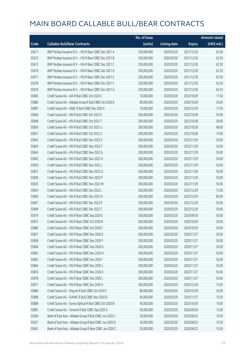|       |                                                          | No. of issue |                     |               | <b>Amount raised</b> |
|-------|----------------------------------------------------------|--------------|---------------------|---------------|----------------------|
| Code  | <b>Callable Bull/Bear Contracts</b>                      | (units)      | <b>Listing date</b> | <b>Expiry</b> | $(HK$$ mil.)         |
| 55671 | BNP Paribas Issuance B.V. - HSI R Bear CBBC Dec 2021 A   | 250,000,000  | 2020/03/20          | 2021/12/30    | 62.50                |
| 55672 | BNP Paribas Issuance B.V. - HSI R Bear CBBC Dec 2021 B   | 250,000,000  | 2020/03/20          | 2021/12/30    | 62.50                |
| 55673 | BNP Paribas Issuance B.V. - HSI R Bear CBBC Dec 2021 C   | 250,000,000  | 2020/03/20          | 2021/12/30    | 62.50                |
| 55676 | BNP Paribas Issuance B.V. - HSI R Bear CBBC Dec 2021 D   | 250,000,000  | 2020/03/20          | 2021/12/30    | 62.50                |
| 55677 | BNP Paribas Issuance B.V. - HSI R Bear CBBC Dec 2021 E   | 250,000,000  | 2020/03/20          | 2021/12/30    | 62.50                |
| 55678 | BNP Paribas Issuance B.V. - HSI R Bear CBBC Dec 2021 F   | 250,000,000  | 2020/03/20          | 2021/12/30    | 62.50                |
| 55679 | BNP Paribas Issuance B.V. - HSI R Bear CBBC Dec 2021 G   | 250,000,000  | 2020/03/20          | 2021/12/30    | 62.50                |
| 55883 | Credit Suisse AG - AIA R Bull CBBC Oct 2020 C            | 70,000,000   | 2020/03/20          | 2020/10/29    | 17.50                |
| 55886 | Credit Suisse AG - Alibaba Group R Bull CBBC Oct 2020 E  | 80,000,000   | 2020/03/20          | 2020/10/29    | 20.00                |
| 55887 | Credit Suisse AG - HSBC R Bull CBBC Dec 2020 E           | 70,000,000   | 2020/03/20          | 2020/12/30    | 17.50                |
| 55846 | Credit Suisse AG - HSI R Bull CBBC Oct 2022 S            | 200,000,000  | 2020/03/20          | 2022/10/28    | 50.00                |
| 55848 | Credit Suisse AG - HSI R Bull CBBC Oct 2022 T            | 200,000,000  | 2020/03/20          | 2022/10/28    | 50.00                |
| 55850 | Credit Suisse AG - HSI R Bull CBBC Oct 2022 U            | 200,000,000  | 2020/03/20          | 2022/10/28    | 68.00                |
| 55851 | Credit Suisse AG - HSI R Bull CBBC Oct 2022 Z            | 200,000,000  | 2020/03/20          | 2022/10/28    | 74.00                |
| 55842 | Credit Suisse AG - HSI R Bull CBBC Nov 2022 E            | 200,000,000  | 2020/03/20          | 2022/11/29    | 50.00                |
| 55843 | Credit Suisse AG - HSI R Bull CBBC Nov 2022 F            | 200,000,000  | 2020/03/20          | 2022/11/29    | 50.00                |
| 55844 | Credit Suisse AG - HSI R Bull CBBC Nov 2022 G            | 200,000,000  | 2020/03/20          | 2022/11/29    | 50.00                |
| 55845 | Credit Suisse AG - HSI R Bull CBBC Nov 2022 H            | 200,000,000  | 2020/03/20          | 2022/11/29    | 50.00                |
| 55830 | Credit Suisse AG - HSI R Bull CBBC Nov 2022 L            | 200,000,000  | 2020/03/20          | 2022/11/29    | 50.00                |
| 55831 | Credit Suisse AG - HSI R Bull CBBC Nov 2022 O            | 200,000,000  | 2020/03/20          | 2022/11/29    | 50.00                |
| 55836 | Credit Suisse AG - HSI R Bull CBBC Nov 2022 P            | 200,000,000  | 2020/03/20          | 2022/11/29    | 50.00                |
| 55835 | Credit Suisse AG - HSI R Bull CBBC Nov 2022 W            | 200,000,000  | 2020/03/20          | 2022/11/29    | 50.00                |
| 55854 | Credit Suisse AG - HSI R Bull CBBC Dec 2022 L            | 200,000,000  | 2020/03/20          | 2022/12/29    | 72.00                |
| 55856 | Credit Suisse AG - HSI R Bull CBBC Dec 2022 N            | 200,000,000  | 2020/03/20          | 2022/12/29    | 80.00                |
| 55847 | Credit Suisse AG - HSI R Bull CBBC Dec 2022 R            | 200,000,000  | 2020/03/20          | 2022/12/29    | 50.00                |
| 55849 | Credit Suisse AG - HSI R Bull CBBC Dec 2022 T            | 200,000,000  | 2020/03/20          | 2022/12/29    | 50.00                |
| 55879 | Credit Suisse AG - HSI R Bear CBBC Sep 2020 E            | 200,000,000  | 2020/03/20          | 2020/09/29    | 50.00                |
| 55875 | Credit Suisse AG - HSI R Bear CBBC Oct 2020 B            | 200,000,000  | 2020/03/20          | 2020/10/29    | 50.00                |
| 55880 | Credit Suisse AG - HSI R Bear CBBC Oct 2020 C            | 200,000,000  | 2020/03/20          | 2020/10/29    | 50.00                |
| 55857 | Credit Suisse AG - HSI R Bear CBBC Nov 2020 E            | 200,000,000  | 2020/03/20          | 2020/11/27    | 50.00                |
| 55858 | Credit Suisse AG - HSI R Bear CBBC Nov 2020 F            | 200,000,000  | 2020/03/20          | 2020/11/27    | 50.00                |
| 55860 | Credit Suisse AG - HSI R Bear CBBC Nov 2020 G            | 200,000,000  | 2020/03/20          | 2020/11/27    | 50.00                |
| 55862 | Credit Suisse AG - HSI R Bear CBBC Nov 2020 H            | 200,000,000  | 2020/03/20          | 2020/11/27    | 50.00                |
| 55863 | Credit Suisse AG - HSI R Bear CBBC Nov 2020 I            | 200,000,000  | 2020/03/20          | 2020/11/27    | 50.00                |
| 55864 | Credit Suisse AG - HSI R Bear CBBC Nov 2020 J            | 200,000,000  | 2020/03/20          | 2020/11/27    | 50.00                |
| 55876 | Credit Suisse AG - HSI R Bear CBBC Nov 2020 K            | 200,000,000  | 2020/03/20          | 2020/11/27    | 50.00                |
| 55878 | Credit Suisse AG - HSI R Bear CBBC Nov 2020 L            | 200,000,000  | 2020/03/20          | 2020/11/27    | 50.00                |
| 55877 | Credit Suisse AG - HSI R Bear CBBC Dec 2020 A            | 300,000,000  | 2020/03/20          | 2020/12/30    | 75.00                |
| 55884 | Credit Suisse AG - Ping An R Bull CBBC Oct 2020 C        | 80,000,000   | 2020/03/20          | 2020/10/29    | 20.00                |
| 55888 | Credit Suisse AG - SUNAC R Bull CBBC Nov 2020 B          | 60,000,000   | 2020/03/20          | 2020/11/27    | 15.00                |
| 55889 | Credit Suisse AG - Sunny Optical R Bull CBBC Oct 2020 B  | 40,000,000   | 2020/03/20          | 2020/10/29    | 10.00                |
| 55881 | Credit Suisse AG - Tencent R Bull CBBC Sep 2020 G        | 50,000,000   | 2020/03/20          | 2020/09/29    | 15.00                |
| 55656 | Bank of East Asia - Alibaba Group R Bull CBBC Jun 2020 C | 30,000,000   | 2020/03/20          | 2020/06/22    | 10.50                |
| 55657 | Bank of East Asia - Alibaba Group R Bull CBBC Jun 2020 D | 30,000,000   | 2020/03/20          | 2020/06/22    | 10.50                |
| 55661 | Bank of East Asia - Alibaba Group R Bear CBBC Jun 2020 C | 30,000,000   | 2020/03/20          | 2020/06/22    | 10.50                |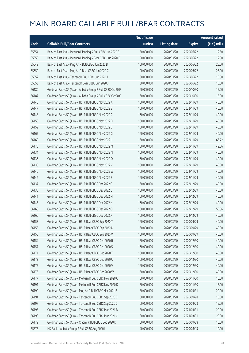|       |                                                             | No. of issue |                     |               | <b>Amount raised</b> |
|-------|-------------------------------------------------------------|--------------|---------------------|---------------|----------------------|
| Code  | <b>Callable Bull/Bear Contracts</b>                         | (units)      | <b>Listing date</b> | <b>Expiry</b> | (HK\$ mil.)          |
| 55654 | Bank of East Asia - Meituan Dianping R Bull CBBC Jun 2020 B | 50,000,000   | 2020/03/20          | 2020/06/22    | 12.50                |
| 55655 | Bank of East Asia - Meituan Dianping R Bear CBBC Jun 2020 B | 50,000,000   | 2020/03/20          | 2020/06/22    | 12.50                |
| 55649 | Bank of East Asia - Ping An R Bull CBBC Jun 2020 B          | 100,000,000  | 2020/03/20          | 2020/06/22    | 25.00                |
| 55650 | Bank of East Asia - Ping An R Bear CBBC Jun 2020 C          | 100,000,000  | 2020/03/20          | 2020/06/22    | 25.00                |
| 55652 | Bank of East Asia - Tencent R Bull CBBC Jun 2020 J          | 30,000,000   | 2020/03/20          | 2020/06/22    | 10.50                |
| 55653 | Bank of East Asia - Tencent R Bear CBBC Jun 2020 J          | 30,000,000   | 2020/03/20          | 2020/06/22    | 10.50                |
| 56180 | Goldman Sachs SP (Asia) - Alibaba Group R Bull CBBC Oct20 F | 60,000,000   | 2020/03/20          | 2020/10/30    | 15.00                |
| 56187 | Goldman Sachs SP (Asia) - Alibaba Group R Bull CBBC Oct20 G | 60,000,000   | 2020/03/20          | 2020/10/30    | 15.00                |
| 56146 | Goldman Sachs SP (Asia) - HSI R Bull CBBC Nov 2022 A        | 160,000,000  | 2020/03/20          | 2022/11/29    | 40.00                |
| 56147 | Goldman Sachs SP (Asia) - HSI R Bull CBBC Nov 2022 B        | 160,000,000  | 2020/03/20          | 2022/11/29    | 40.00                |
| 56148 | Goldman Sachs SP (Asia) - HSI R Bull CBBC Nov 2022 C        | 160,000,000  | 2020/03/20          | 2022/11/29    | 40.00                |
| 56150 | Goldman Sachs SP (Asia) - HSI R Bull CBBC Nov 2022 D        | 160,000,000  | 2020/03/20          | 2022/11/29    | 40.00                |
| 56159 | Goldman Sachs SP (Asia) - HSI R Bull CBBC Nov 2022 E        | 160,000,000  | 2020/03/20          | 2022/11/29    | 40.00                |
| 56167 | Goldman Sachs SP (Asia) - HSI R Bull CBBC Nov 2022 G        | 160,000,000  | 2020/03/20          | 2022/11/29    | 40.00                |
| 56169 | Goldman Sachs SP (Asia) - HSI R Bull CBBC Nov 2022 L        | 160,000,000  | 2020/03/20          | 2022/11/29    | 66.72                |
| 56170 | Goldman Sachs SP (Asia) - HSI R Bull CBBC Nov 2022 M        | 160,000,000  | 2020/03/20          | 2022/11/29    | 42.56                |
| 56134 | Goldman Sachs SP (Asia) - HSI R Bull CBBC Nov 2022 N        | 160,000,000  | 2020/03/20          | 2022/11/29    | 40.00                |
| 56136 | Goldman Sachs SP (Asia) - HSI R Bull CBBC Nov 2022 O        | 160,000,000  | 2020/03/20          | 2022/11/29    | 40.00                |
| 56138 | Goldman Sachs SP (Asia) - HSI R Bull CBBC Nov 2022 V        | 160,000,000  | 2020/03/20          | 2022/11/29    | 40.00                |
| 56140 | Goldman Sachs SP (Asia) - HSI R Bull CBBC Nov 2022 W        | 160,000,000  | 2020/03/20          | 2022/11/29    | 40.00                |
| 56142 | Goldman Sachs SP (Asia) - HSI R Bull CBBC Nov 2022 Z        | 160,000,000  | 2020/03/20          | 2022/11/29    | 40.00                |
| 56137 | Goldman Sachs SP (Asia) - HSI R Bull CBBC Dec 2022 G        | 160,000,000  | 2020/03/20          | 2022/12/29    | 40.00                |
| 56135 | Goldman Sachs SP (Asia) - HSI R Bull CBBC Dec 2022 L        | 160,000,000  | 2020/03/20          | 2022/12/29    | 40.00                |
| 56141 | Goldman Sachs SP (Asia) - HSI R Bull CBBC Dec 2022 M        | 160,000,000  | 2020/03/20          | 2022/12/29    | 40.00                |
| 56145 | Goldman Sachs SP (Asia) - HSI R Bull CBBC Dec 2022 N        | 160,000,000  | 2020/03/20          | 2022/12/29    | 40.00                |
| 56168 | Goldman Sachs SP (Asia) - HSI R Bull CBBC Dec 2022 O        | 160,000,000  | 2020/03/20          | 2022/12/29    | 50.56                |
| 56166 | Goldman Sachs SP (Asia) - HSI R Bull CBBC Dec 2022 X        | 160,000,000  | 2020/03/20          | 2022/12/29    | 40.00                |
| 56153 | Goldman Sachs SP (Asia) - HSI R Bear CBBC Sep 2020 T        | 160,000,000  | 2020/03/20          | 2020/09/29    | 40.00                |
| 56155 | Goldman Sachs SP (Asia) - HSI R Bear CBBC Sep 2020 U        | 160,000,000  | 2020/03/20          | 2020/09/29    | 40.00                |
| 56158 | Goldman Sachs SP (Asia) - HSI R Bear CBBC Sep 2020 V        | 160,000,000  | 2020/03/20          | 2020/09/29    | 40.00                |
| 56154 | Goldman Sachs SP (Asia) - HSI R Bear CBBC Dec 2020 R        | 160,000,000  | 2020/03/20          | 2020/12/30    | 40.00                |
| 56157 | Goldman Sachs SP (Asia) - HSI R Bear CBBC Dec 2020 S        | 160,000,000  | 2020/03/20          | 2020/12/30    | 40.00                |
| 56171 | Goldman Sachs SP (Asia) - HSI R Bear CBBC Dec 2020 T        | 160,000,000  | 2020/03/20          | 2020/12/30    | 40.00                |
| 56173 | Goldman Sachs SP (Asia) - HSI R Bear CBBC Dec 2020 U        | 160,000,000  | 2020/03/20          | 2020/12/30    | 40.00                |
| 56175 | Goldman Sachs SP (Asia) - HSI R Bear CBBC Dec 2020 V        | 160,000,000  | 2020/03/20          | 2020/12/30    | 40.00                |
| 56176 | Goldman Sachs SP (Asia) - HSI R Bear CBBC Dec 2020 W        | 160,000,000  | 2020/03/20          | 2020/12/30    | 40.00                |
| 56177 | Goldman Sachs SP (Asia) - Meituan R Bull CBBC Nov 2020 C    | 60,000,000   | 2020/03/20          | 2020/11/30    | 15.00                |
| 56191 | Goldman Sachs SP (Asia) - Meituan R Bull CBBC Nov 2020 D    | 60,000,000   | 2020/03/20          | 2020/11/30    | 15.00                |
| 56190 | Goldman Sachs SP (Asia) - Ping An R Bull CBBC Mar 2021 B    | 80,000,000   | 2020/03/20          | 2021/03/31    | 20.00                |
| 56194 | Goldman Sachs SP (Asia) - Tencent R Bull CBBC Sep 2020 B    | 60,000,000   | 2020/03/20          | 2020/09/28    | 15.00                |
| 56197 | Goldman Sachs SP (Asia) - Tencent R Bull CBBC Sep 2020 C    | 60,000,000   | 2020/03/20          | 2020/09/28    | 15.00                |
| 56195 | Goldman Sachs SP (Asia) - Tencent R Bull CBBC Mar 2021 B    | 80,000,000   | 2020/03/20          | 2021/03/31    | 20.00                |
| 56198 | Goldman Sachs SP (Asia) - Tencent R Bull CBBC Mar 2021 C    | 80,000,000   | 2020/03/20          | 2021/03/31    | 20.00                |
| 56179 | Goldman Sachs SP (Asia) - Xiaomi R Bull CBBC Sep 2020 D     | 60,000,000   | 2020/03/20          | 2020/09/28    | 15.00                |
| 55576 | HK Bank - Alibaba Group R Bull CBBC Aug 2020 I              | 40,000,000   | 2020/03/20          | 2020/08/13    | 10.00                |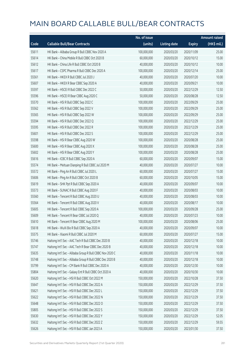|       |                                                          | No. of issue |                     |               | <b>Amount raised</b> |
|-------|----------------------------------------------------------|--------------|---------------------|---------------|----------------------|
| Code  | <b>Callable Bull/Bear Contracts</b>                      | (units)      | <b>Listing date</b> | <b>Expiry</b> | (HK\$ mil.)          |
| 55611 | HK Bank - Alibaba Group R Bull CBBC Nov 2020 A           | 100,000,000  | 2020/03/20          | 2020/11/09    | 25.00                |
| 55614 | HK Bank - China Mobile R Bull CBBC Oct 2020 B            | 60,000,000   | 2020/03/20          | 2020/10/12    | 15.00                |
| 55612 | HK Bank - China Life R Bull CBBC Oct 2020 B              | 40,000,000   | 2020/03/20          | 2020/10/12    | 10.00                |
| 55617 | HK Bank - CSPC Pharma R Bull CBBC Dec 2020 A             | 100,000,000  | 2020/03/20          | 2020/12/14    | 25.00                |
| 55561 | HK Bank - HKEX R Bull CBBC Jul 2020 J                    | 40,000,000   | 2020/03/20          | 2020/07/20    | 10.00                |
| 55607 | HK Bank - HKEX R Bear CBBC Sep 2020 A                    | 40,000,000   | 2020/03/20          | 2020/09/21    | 10.00                |
| 55597 | HK Bank - HSCEI R Bull CBBC Dec 2022 C                   | 50,000,000   | 2020/03/20          | 2022/12/29    | 12.50                |
| 55596 | HK Bank - HSCEI R Bear CBBC Aug 2020 C                   | 50,000,000   | 2020/03/20          | 2020/08/28    | 12.50                |
| 55570 | HK Bank - HSI R Bull CBBC Sep 2022 C                     | 100,000,000  | 2020/03/20          | 2022/09/29    | 25.00                |
| 55562 | HK Bank - HSI R Bull CBBC Sep 2022 V                     | 100,000,000  | 2020/03/20          | 2022/09/29    | 25.00                |
| 55565 | HK Bank - HSI R Bull CBBC Sep 2022 W                     | 100,000,000  | 2020/03/20          | 2022/09/29    | 25.00                |
| 55594 | HK Bank - HSI R Bull CBBC Dec 2022 Q                     | 100,000,000  | 2020/03/20          | 2022/12/29    | 25.00                |
| 55595 | HK Bank - HSI R Bull CBBC Dec 2022 R                     | 100,000,000  | 2020/03/20          | 2022/12/29    | 25.00                |
| 55601 | HK Bank - HSI R Bull CBBC Dec 2022 S                     | 100,000,000  | 2020/03/20          | 2022/12/29    | 25.00                |
| 55598 | HK Bank - HSI R Bear CBBC Aug 2020 W                     | 100,000,000  | 2020/03/20          | 2020/08/28    | 25.00                |
| 55600 | HK Bank - HSI R Bear CBBC Aug 2020 X                     | 100,000,000  | 2020/03/20          | 2020/08/28    | 25.00                |
| 55602 | HK Bank - HSI R Bear CBBC Aug 2020 Y                     | 100,000,000  | 2020/03/20          | 2020/08/28    | 25.00                |
| 55616 | HK Bank - ICBC R Bull CBBC Sep 2020 A                    | 60,000,000   | 2020/03/20          | 2020/09/07    | 15.00                |
| 55574 | HK Bank - Meituan Dianping R Bull CBBC Jul 2020 M        | 40,000,000   | 2020/03/20          | 2020/07/27    | 10.00                |
| 55572 | HK Bank - Ping An R Bull CBBC Jul 2020 L                 | 60,000,000   | 2020/03/20          | 2020/07/27    | 15.00                |
| 55606 | HK Bank - Ping An R Bull CBBC Oct 2020 B                 | 60,000,000   | 2020/03/20          | 2020/10/05    | 15.00                |
| 55619 | HK Bank - SHK Ppt R Bull CBBC Sep 2020 A                 | 40,000,000   | 2020/03/20          | 2020/09/07    | 10.00                |
| 55573 | HK Bank - SUNAC R Bull CBBC Aug 2020 F                   | 40,000,000   | 2020/03/20          | 2020/08/03    | 10.00                |
| 55560 | HK Bank - Tencent R Bull CBBC Aug 2020 U                 | 40,000,000   | 2020/03/20          | 2020/08/03    | 10.00                |
| 55564 | HK Bank - Tencent R Bull CBBC Aug 2020 V                 | 40,000,000   | 2020/03/20          | 2020/08/17    | 10.00                |
| 55605 | HK Bank - Tencent R Bull CBBC Sep 2020 A                 | 100,000,000  | 2020/03/20          | 2020/09/28    | 25.00                |
| 55609 | HK Bank - Tencent R Bear CBBC Jul 2020 Q                 | 40,000,000   | 2020/03/20          | 2020/07/23    | 10.00                |
| 55610 | HK Bank - Tencent R Bear CBBC Aug 2020 M                 | 100,000,000  | 2020/03/20          | 2020/08/06    | 25.00                |
| 55618 | HK Bank - WuXi Bio R Bull CBBC Sep 2020 A                | 40,000,000   | 2020/03/20          | 2020/09/07    | 10.00                |
| 55575 | HK Bank - Xiaomi R Bull CBBC Jul 2020 M                  | 60,000,000   | 2020/03/20          | 2020/07/27    | 15.00                |
| 55746 | Haitong Int'l Sec - AAC Tech R Bull CBBC Dec 2020 B      | 40,000,000   | 2020/03/20          | 2020/12/18    | 10.00                |
| 55747 | Haitong Int'l Sec - AAC Tech R Bear CBBC Dec 2020 B      | 40,000,000   | 2020/03/20          | 2020/12/18    | 10.00                |
| 55635 | Haitong Int'l Sec - Alibaba Group R Bull CBBC Nov 2020 C | 40,000,000   | 2020/03/20          | 2020/11/18    | 10.00                |
| 55748 | Haitong Int'l Sec - Alibaba Group R Bull CBBC Dec 2020 B | 40,000,000   | 2020/03/20          | 2020/12/18    | 10.00                |
| 55799 | Haitong Int'l Sec - CM Bank R Bull CBBC Dec 2020 A       | 40,000,000   | 2020/03/20          | 2020/12/30    | 10.00                |
| 55804 | Haitong Int'l Sec - Galaxy Ent R Bull CBBC Oct 2020 A    | 40,000,000   | 2020/03/20          | 2020/10/30    | 10.00                |
| 55620 | Haitong Int'l Sec - HSI R Bull CBBC Oct 2022 M           | 150,000,000  | 2020/03/20          | 2022/10/28    | 37.50                |
| 55647 | Haitong Int'l Sec - HSI R Bull CBBC Dec 2022 A           | 150,000,000  | 2020/03/20          | 2022/12/29    | 37.50                |
| 55621 | Haitong Int'l Sec - HSI R Bull CBBC Dec 2022 L           | 150,000,000  | 2020/03/20          | 2022/12/29    | 37.50                |
| 55622 | Haitong Int'l Sec - HSI R Bull CBBC Dec 2022 N           | 150,000,000  | 2020/03/20          | 2022/12/29    | 37.50                |
| 55648 | Haitong Int'l Sec - HSI R Bull CBBC Dec 2022 O           | 150,000,000  | 2020/03/20          | 2022/12/29    | 37.50                |
| 55805 | Haitong Int'l Sec - HSI R Bull CBBC Dec 2022 S           | 150,000,000  | 2020/03/20          | 2022/12/29    | 37.50                |
| 55630 | Haitong Int'l Sec - HSI R Bull CBBC Dec 2022 Y           | 150,000,000  | 2020/03/20          | 2022/12/29    | 52.05                |
| 55632 | Haitong Int'l Sec - HSI R Bull CBBC Dec 2022 Z           | 150,000,000  | 2020/03/20          | 2022/12/29    | 59.55                |
| 55626 | Haitong Int'l Sec - HSI R Bull CBBC Jan 2023 A           | 150,000,000  | 2020/03/20          | 2023/01/30    | 37.50                |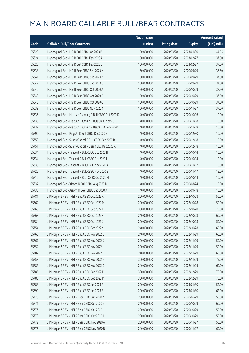|       |                                                             | No. of issue |                     |               | <b>Amount raised</b> |
|-------|-------------------------------------------------------------|--------------|---------------------|---------------|----------------------|
| Code  | <b>Callable Bull/Bear Contracts</b>                         | (units)      | <b>Listing date</b> | <b>Expiry</b> | $(HK\$ mil.)         |
| 55629 | Haitong Int'l Sec - HSI R Bull CBBC Jan 2023 B              | 150,000,000  | 2020/03/20          | 2023/01/30    | 44.55                |
| 55624 | Haitong Int'l Sec - HSI R Bull CBBC Feb 2023 A              | 150,000,000  | 2020/03/20          | 2023/02/27    | 37.50                |
| 55625 | Haitong Int'l Sec - HSI R Bull CBBC Feb 2023 B              | 150,000,000  | 2020/03/20          | 2023/02/27    | 37.50                |
| 55638 | Haitong Int'l Sec - HSI R Bear CBBC Sep 2020 M              | 150,000,000  | 2020/03/20          | 2020/09/29    | 37.50                |
| 55641 | Haitong Int'l Sec - HSI R Bear CBBC Sep 2020 N              | 150,000,000  | 2020/03/20          | 2020/09/29    | 37.50                |
| 55642 | Haitong Int'l Sec - HSI R Bear CBBC Sep 2020 O              | 150,000,000  | 2020/03/20          | 2020/09/29    | 37.50                |
| 55640 | Haitong Int'l Sec - HSI R Bear CBBC Oct 2020 A              | 150,000,000  | 2020/03/20          | 2020/10/29    | 37.50                |
| 55643 | Haitong Int'l Sec - HSI R Bear CBBC Oct 2020 B              | 150,000,000  | 2020/03/20          | 2020/10/29    | 37.50                |
| 55645 | Haitong Int'l Sec - HSI R Bear CBBC Oct 2020 C              | 150,000,000  | 2020/03/20          | 2020/10/29    | 37.50                |
| 55639 | Haitong Int'l Sec - HSI R Bear CBBC Nov 2020 C              | 150,000,000  | 2020/03/20          | 2020/11/27    | 37.50                |
| 55736 | Haitong Int'l Sec - Meituan Dianping R Bull CBBC Oct 2020 D | 40,000,000   | 2020/03/20          | 2020/10/16    | 10.00                |
| 55735 | Haitong Int'l Sec - Meituan Dianping R Bull CBBC Nov 2020 C | 40,000,000   | 2020/03/20          | 2020/11/18    | 10.00                |
| 55737 | Haitong Int'l Sec - Meituan Dianping R Bear CBBC Nov 2020 B | 40,000,000   | 2020/03/20          | 2020/11/18    | 10.00                |
| 55796 | Haitong Int'l Sec - Ping An R Bull CBBC Dec 2020 B          | 40,000,000   | 2020/03/20          | 2020/12/30    | 10.00                |
| 55750 | Haitong Int'l Sec - Sunny Optical R Bull CBBC Dec 2020 B    | 40,000,000   | 2020/03/20          | 2020/12/18    | 10.00                |
| 55751 | Haitong Int'l Sec - Sunny Optical R Bear CBBC Dec 2020 A    | 40,000,000   | 2020/03/20          | 2020/12/18    | 10.00                |
| 55634 | Haitong Int'l Sec - Tencent R Bull CBBC Oct 2020 H          | 40,000,000   | 2020/03/20          | 2020/10/14    | 10.00                |
| 55734 | Haitong Int'l Sec - Tencent R Bull CBBC Oct 2020 I          | 40,000,000   | 2020/03/20          | 2020/10/14    | 10.00                |
| 55633 | Haitong Int'l Sec - Tencent R Bull CBBC Nov 2020 A          | 40,000,000   | 2020/03/20          | 2020/11/17    | 10.00                |
| 55722 | Haitong Int'l Sec - Tencent R Bull CBBC Nov 2020 B          | 40,000,000   | 2020/03/20          | 2020/11/17    | 15.20                |
| 55716 | Haitong Int'l Sec - Tencent R Bear CBBC Oct 2020 H          | 40,000,000   | 2020/03/20          | 2020/10/14    | 10.00                |
| 55637 | Haitong Int'l Sec - Xiaomi R Bull CBBC Aug 2020 D           | 40,000,000   | 2020/03/20          | 2020/08/24    | 10.00                |
| 55738 | Haitong Int'l Sec - Xiaomi R Bear CBBC Sep 2020 A           | 40,000,000   | 2020/03/20          | 2020/09/18    | 10.00                |
| 55781 | J P Morgan SP BV - HSI R Bull CBBC Oct 2022 A               | 200,000,000  | 2020/03/20          | 2022/10/28    | 50.00                |
| 55762 | J P Morgan SP BV - HSI R Bull CBBC Oct 2022 D               | 200,000,000  | 2020/03/20          | 2022/10/28    | 50.00                |
| 55766 | J P Morgan SP BV - HSI R Bull CBBC Oct 2022 F               | 300,000,000  | 2020/03/20          | 2022/10/28    | 75.00                |
| 55768 | J P Morgan SP BV - HSI R Bull CBBC Oct 2022 V               | 240,000,000  | 2020/03/20          | 2022/10/28    | 60.00                |
| 55784 | J P Morgan SP BV - HSI R Bull CBBC Oct 2022 X               | 200,000,000  | 2020/03/20          | 2022/10/28    | 50.00                |
| 55754 | J P Morgan SP BV - HSI R Bull CBBC Oct 2022 Y               | 240,000,000  | 2020/03/20          | 2022/10/28    | 60.00                |
| 55763 | J P Morgan SP BV - HSI R Bull CBBC Nov 2022 C               | 240,000,000  | 2020/03/20          | 2022/11/29    | 60.00                |
| 55767 | J P Morgan SP BV - HSI R Bull CBBC Nov 2022 K               | 200,000,000  | 2020/03/20          | 2022/11/29    | 50.00                |
| 55752 | J P Morgan SP BV - HSI R Bull CBBC Nov 2022 L               | 200,000,000  | 2020/03/20          | 2022/11/29    | 50.00                |
| 55782 | J P Morgan SP BV - HSI R Bull CBBC Nov 2022 M               | 240,000,000  | 2020/03/20          | 2022/11/29    | 60.00                |
| 55758 | J P Morgan SP BV - HSI R Bull CBBC Nov 2022 N               | 300,000,000  | 2020/03/20          | 2022/11/29    | 75.00                |
| 55785 | J P Morgan SP BV - HSI R Bull CBBC Nov 2022 O               | 240,000,000  | 2020/03/20          | 2022/11/29    | 60.00                |
| 55786 | J P Morgan SP BV - HSI R Bull CBBC Dec 2022 E               | 300,000,000  | 2020/03/20          | 2022/12/29    | 75.00                |
| 55783 | J P Morgan SP BV - HSI R Bull CBBC Dec 2022 P               | 300,000,000  | 2020/03/20          | 2022/12/29    | 75.00                |
| 55788 | J P Morgan SP BV - HSI R Bull CBBC Jan 2023 A               | 200,000,000  | 2020/03/20          | 2023/01/30    | 52.00                |
| 55790 | J P Morgan SP BV - HSI R Bull CBBC Jan 2023 B               | 200,000,000  | 2020/03/20          | 2023/01/30    | 62.00                |
| 55770 | J P Morgan SP BV - HSI R Bear CBBC Jun 2020 Z               | 200,000,000  | 2020/03/20          | 2020/06/29    | 50.00                |
| 55771 | J P Morgan SP BV - HSI R Bear CBBC Oct 2020 G               | 240,000,000  | 2020/03/20          | 2020/10/29    | 60.00                |
| 55775 | J P Morgan SP BV - HSI R Bear CBBC Oct 2020 I               | 200,000,000  | 2020/03/20          | 2020/10/29    | 50.00                |
| 55778 | J P Morgan SP BV - HSI R Bear CBBC Oct 2020 J               | 200,000,000  | 2020/03/20          | 2020/10/29    | 50.00                |
| 55772 | J P Morgan SP BV - HSI R Bear CBBC Nov 2020 A               | 200,000,000  | 2020/03/20          | 2020/11/27    | 50.00                |
| 55776 | J P Morgan SP BV - HSI R Bear CBBC Nov 2020 B               | 240,000,000  | 2020/03/20          | 2020/11/27    | 60.00                |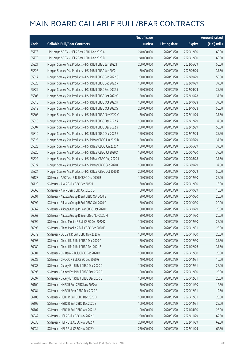|       |                                                           | No. of issue |                     |               | <b>Amount raised</b> |
|-------|-----------------------------------------------------------|--------------|---------------------|---------------|----------------------|
| Code  | <b>Callable Bull/Bear Contracts</b>                       | (units)      | <b>Listing date</b> | <b>Expiry</b> | $(HK\$ mil.)         |
| 55773 | J P Morgan SP BV - HSI R Bear CBBC Dec 2020 A             | 240,000,000  | 2020/03/20          | 2020/12/30    | 60.00                |
| 55779 | J P Morgan SP BV - HSI R Bear CBBC Dec 2020 B             | 240,000,000  | 2020/03/20          | 2020/12/30    | 60.00                |
| 55821 | Morgan Stanley Asia Products - HSI R Bull CBBC Jun 2022 I | 200,000,000  | 2020/03/20          | 2022/06/29    | 50.00                |
| 55828 | Morgan Stanley Asia Products - HSI R Bull CBBC Jun 2022 J | 150,000,000  | 2020/03/20          | 2022/06/29    | 37.50                |
| 55817 | Morgan Stanley Asia Products - HSI R Bull CBBC Sep 2022 Q | 200,000,000  | 2020/03/20          | 2022/09/29    | 50.00                |
| 55820 | Morgan Stanley Asia Products - HSI R Bull CBBC Sep 2022 R | 150,000,000  | 2020/03/20          | 2022/09/29    | 37.50                |
| 55829 | Morgan Stanley Asia Products - HSI R Bull CBBC Sep 2022 S | 150,000,000  | 2020/03/20          | 2022/09/29    | 37.50                |
| 55806 | Morgan Stanley Asia Products - HSI R Bull CBBC Oct 2022 Q | 150,000,000  | 2020/03/20          | 2022/10/28    | 37.50                |
| 55815 | Morgan Stanley Asia Products - HSI R Bull CBBC Oct 2022 R | 150,000,000  | 2020/03/20          | 2022/10/28    | 37.50                |
| 55819 | Morgan Stanley Asia Products - HSI R Bull CBBC Oct 2022 S | 200,000,000  | 2020/03/20          | 2022/10/28    | 50.00                |
| 55808 | Morgan Stanley Asia Products - HSI R Bull CBBC Nov 2022 V | 150,000,000  | 2020/03/20          | 2022/11/29    | 37.50                |
| 55816 | Morgan Stanley Asia Products - HSI R Bull CBBC Dec 2022 A | 150,000,000  | 2020/03/20          | 2022/12/29    | 37.50                |
| 55807 | Morgan Stanley Asia Products - HSI R Bull CBBC Dec 2022 Y | 200,000,000  | 2020/03/20          | 2022/12/29    | 50.00                |
| 55810 | Morgan Stanley Asia Products - HSI R Bull CBBC Dec 2022 Z | 150,000,000  | 2020/03/20          | 2022/12/29    | 37.50                |
| 55825 | Morgan Stanley Asia Products - HSI R Bear CBBC Jun 2020 B | 150,000,000  | 2020/03/20          | 2020/06/29    | 37.50                |
| 55823 | Morgan Stanley Asia Products - HSI R Bear CBBC Jun 2020 Y | 150,000,000  | 2020/03/20          | 2020/06/29    | 37.50                |
| 55826 | Morgan Stanley Asia Products - HSI R Bear CBBC Jul 2020 X | 150,000,000  | 2020/03/20          | 2020/07/30    | 37.50                |
| 55822 | Morgan Stanley Asia Products - HSI R Bear CBBC Aug 2020 J | 150,000,000  | 2020/03/20          | 2020/08/28    | 37.50                |
| 55827 | Morgan Stanley Asia Products - HSI R Bear CBBC Sep 2020 C | 150,000,000  | 2020/03/20          | 2020/09/29    | 37.50                |
| 55824 | Morgan Stanley Asia Products - HSI R Bear CBBC Oct 2020 D | 200,000,000  | 2020/03/20          | 2020/10/29    | 50.00                |
| 56128 | SG Issuer - AAC Tech R Bull CBBC Dec 2020 B               | 100,000,000  | 2020/03/20          | 2020/12/30    | 25.00                |
| 56129 | SG Issuer - AIA R Bull CBBC Dec 2020 I                    | 60,000,000   | 2020/03/20          | 2020/12/30    | 15.00                |
| 56060 | SG Issuer - AIA R Bear CBBC Oct 2020 D                    | 60,000,000   | 2020/03/20          | 2020/10/29    | 15.00                |
| 56091 | SG Issuer - Alibaba Group R Bull CBBC Oct 2020 B          | 80,000,000   | 2020/03/20          | 2020/10/30    | 20.00                |
| 56092 | SG Issuer - Alibaba Group R Bull CBBC Oct 2020 C          | 80,000,000   | 2020/03/20          | 2020/10/30    | 20.00                |
| 56062 | SG Issuer - Alibaba Group R Bear CBBC Oct 2020 D          | 80,000,000   | 2020/03/20          | 2020/10/29    | 20.00                |
| 56063 | SG Issuer - Alibaba Group R Bear CBBC Nov 2020 H          | 80,000,000   | 2020/03/20          | 2020/11/30    | 20.00                |
| 56094 | SG Issuer - China Mobile R Bull CBBC Dec 2020 D           | 100,000,000  | 2020/03/20          | 2020/12/30    | 25.00                |
| 56095 | SG Issuer - China Mobile R Bull CBBC Dec 2020 E           | 100,000,000  | 2020/03/20          | 2020/12/31    | 25.00                |
| 56079 | SG Issuer - CC Bank R Bull CBBC Nov 2020 A                | 100,000,000  | 2020/03/20          | 2020/11/30    | 25.00                |
| 56093 | SG Issuer - China Life R Bull CBBC Dec 2020 C             | 150,000,000  | 2020/03/20          | 2020/12/30    | 37.50                |
| 56080 | SG Issuer - China Life R Bull CBBC Feb 2021 B             | 150,000,000  | 2020/03/20          | 2021/02/26    | 37.50                |
| 56081 | SG Issuer - CM Bank R Bull CBBC Dec 2020 B                | 100,000,000  | 2020/03/20          | 2020/12/30    | 25.00                |
| 56082 | SG Issuer - CNOOC R Bull CBBC Dec 2020 G                  | 40,000,000   | 2020/03/20          | 2020/12/31    | 10.00                |
| 56083 | SG Issuer - Galaxy Ent R Bull CBBC Dec 2020 C             | 100,000,000  | 2020/03/20          | 2020/12/31    | 25.00                |
| 56096 | SG Issuer - Galaxy Ent R Bull CBBC Dec 2020 D             | 100,000,000  | 2020/03/20          | 2020/12/30    | 25.00                |
| 56097 | SG Issuer - Galaxy Ent R Bull CBBC Dec 2020 E             | 100,000,000  | 2020/03/20          | 2020/12/31    | 25.00                |
| 56100 | SG Issuer - HKEX R Bull CBBC Nov 2020 A                   | 50,000,000   | 2020/03/20          | 2020/11/30    | 12.50                |
| 56084 | SG Issuer - HKEX R Bear CBBC Dec 2020 A                   | 50,000,000   | 2020/03/20          | 2020/12/31    | 12.50                |
| 56103 | SG Issuer - HSBC R Bull CBBC Dec 2020 D                   | 100,000,000  | 2020/03/20          | 2020/12/31    | 25.00                |
| 56105 | SG Issuer - HSBC R Bull CBBC Dec 2020 E                   | 100,000,000  | 2020/03/20          | 2020/12/31    | 25.00                |
| 56107 | SG Issuer - HSBC R Bull CBBC Apr 2021 A                   | 100,000,000  | 2020/03/20          | 2021/04/30    | 25.00                |
| 56042 | SG Issuer - HSI R Bull CBBC Nov 2022 D                    | 250,000,000  | 2020/03/20          | 2022/11/29    | 62.50                |
| 56035 | SG Issuer - HSI R Bull CBBC Nov 2022 K                    | 250,000,000  | 2020/03/20          | 2022/11/29    | 62.50                |
| 56034 | SG Issuer - HSI R Bull CBBC Nov 2022 Y                    | 250,000,000  | 2020/03/20          | 2022/11/29    | 62.50                |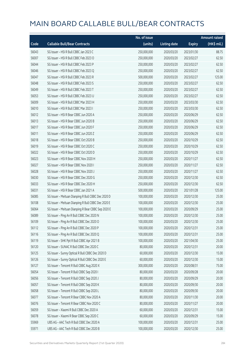|       |                                                     | No. of issue |                     |               | <b>Amount raised</b> |
|-------|-----------------------------------------------------|--------------|---------------------|---------------|----------------------|
| Code  | <b>Callable Bull/Bear Contracts</b>                 | (units)      | <b>Listing date</b> | <b>Expiry</b> | (HK\$ mil.)          |
| 56043 | SG Issuer - HSI R Bull CBBC Jan 2023 C              | 250,000,000  | 2020/03/20          | 2023/01/30    | 88.75                |
| 56007 | SG Issuer - HSI R Bull CBBC Feb 2023 O              | 250,000,000  | 2020/03/20          | 2023/02/27    | 62.50                |
| 56044 | SG Issuer - HSI R Bull CBBC Feb 2023 P              | 250,000,000  | 2020/03/20          | 2023/02/27    | 62.50                |
| 56046 | SG Issuer - HSI R Bull CBBC Feb 2023 Q              | 250,000,000  | 2020/03/20          | 2023/02/27    | 62.50                |
| 56047 | SG Issuer - HSI R Bull CBBC Feb 2023 R              | 500,000,000  | 2020/03/20          | 2023/02/27    | 125.00               |
| 56048 | SG Issuer - HSI R Bull CBBC Feb 2023 S              | 250,000,000  | 2020/03/20          | 2023/02/27    | 62.50                |
| 56049 | SG Issuer - HSI R Bull CBBC Feb 2023 T              | 250,000,000  | 2020/03/20          | 2023/02/27    | 62.50                |
| 56053 | SG Issuer - HSI R Bull CBBC Feb 2023 U              | 250,000,000  | 2020/03/20          | 2023/02/27    | 62.50                |
| 56009 | SG Issuer - HSI R Bull CBBC Mar 2023 H              | 250,000,000  | 2020/03/20          | 2023/03/30    | 62.50                |
| 56010 | SG Issuer - HSI R Bull CBBC Mar 2023 I              | 250,000,000  | 2020/03/20          | 2023/03/30    | 62.50                |
| 56012 | SG Issuer - HSI R Bear CBBC Jun 2020 A              | 250,000,000  | 2020/03/20          | 2020/06/29    | 62.50                |
| 56013 | SG Issuer - HSI R Bear CBBC Jun 2020 B              | 250,000,000  | 2020/03/20          | 2020/06/29    | 62.50                |
| 56017 | SG Issuer - HSI R Bear CBBC Jun 2020 F              | 250,000,000  | 2020/03/20          | 2020/06/29    | 62.50                |
| 56011 | SG Issuer - HSI R Bear CBBC Jun 2020 Z              | 250,000,000  | 2020/03/20          | 2020/06/29    | 62.50                |
| 56018 | SG Issuer - HSI R Bear CBBC Oct 2020 B              | 250,000,000  | 2020/03/20          | 2020/10/29    | 62.50                |
| 56019 | SG Issuer - HSI R Bear CBBC Oct 2020 C              | 250,000,000  | 2020/03/20          | 2020/10/29    | 62.50                |
| 56022 | SG Issuer - HSI R Bear CBBC Oct 2020 D              | 250,000,000  | 2020/03/20          | 2020/10/29    | 62.50                |
| 56023 | SG Issuer - HSI R Bear CBBC Nov 2020 H              | 250,000,000  | 2020/03/20          | 2020/11/27    | 62.50                |
| 56027 | SG Issuer - HSI R Bear CBBC Nov 2020 I              | 250,000,000  | 2020/03/20          | 2020/11/27    | 62.50                |
| 56028 | SG Issuer - HSI R Bear CBBC Nov 2020 J              | 250,000,000  | 2020/03/20          | 2020/11/27    | 62.50                |
| 56030 | SG Issuer - HSI R Bear CBBC Dec 2020 G              | 250,000,000  | 2020/03/20          | 2020/12/30    | 62.50                |
| 56033 | SG Issuer - HSI R Bear CBBC Dec 2020 H              | 250,000,000  | 2020/03/20          | 2020/12/30    | 62.50                |
| 56031 | SG Issuer - HSI R Bear CBBC Jan 2021 A              | 500,000,000  | 2020/03/20          | 2021/01/28    | 125.00               |
| 56085 | SG Issuer - Meituan Dianping R Bull CBBC Dec 2020 D | 100,000,000  | 2020/03/20          | 2020/12/30    | 25.00                |
| 56108 | SG Issuer - Meituan Dianping R Bull CBBC Dec 2020 E | 100,000,000  | 2020/03/20          | 2020/12/30    | 25.00                |
| 56064 | SG Issuer - Meituan Dianping R Bear CBBC Sep 2020 E | 100,000,000  | 2020/03/20          | 2020/09/29    | 25.00                |
| 56089 | SG Issuer - Ping An R Bull CBBC Dec 2020 N          | 100,000,000  | 2020/03/20          | 2020/12/30    | 25.00                |
| 56109 | SG Issuer - Ping An R Bull CBBC Dec 2020 O          | 100,000,000  | 2020/03/20          | 2020/12/30    | 25.00                |
| 56112 | SG Issuer - Ping An R Bull CBBC Dec 2020 P          | 100,000,000  | 2020/03/20          | 2020/12/31    | 25.00                |
| 56116 | SG Issuer - Ping An R Bull CBBC Dec 2020 Q          | 100,000,000  | 2020/03/20          | 2020/12/31    | 25.00                |
| 56119 | SG Issuer - SHK Ppt R Bull CBBC Apr 2021 B          | 100,000,000  | 2020/03/20          | 2021/04/30    | 25.00                |
| 56120 | SG Issuer - SUNAC R Bull CBBC Dec 2020 C            | 80,000,000   | 2020/03/20          | 2020/12/31    | 20.00                |
| 56125 | SG Issuer - Sunny Optical R Bull CBBC Dec 2020 D    | 60,000,000   | 2020/03/20          | 2020/12/30    | 15.00                |
| 56126 | SG Issuer - Sunny Optical R Bull CBBC Dec 2020 E    | 60,000,000   | 2020/03/20          | 2020/12/30    | 15.00                |
| 56127 | SG Issuer - Tencent R Bull CBBC Aug 2020 X          | 300,000,000  | 2020/03/20          | 2020/08/31    | 75.00                |
| 56054 | SG Issuer - Tencent R Bull CBBC Sep 2020 I          | 80,000,000   | 2020/03/20          | 2020/09/28    | 20.00                |
| 56056 | SG Issuer - Tencent R Bull CBBC Sep 2020 J          | 80,000,000   | 2020/03/20          | 2020/09/29    | 20.00                |
| 56057 | SG Issuer - Tencent R Bull CBBC Sep 2020 K          | 80,000,000   | 2020/03/20          | 2020/09/30    | 20.00                |
| 56058 | SG Issuer - Tencent R Bull CBBC Sep 2020 L          | 80,000,000   | 2020/03/20          | 2020/09/30    | 20.00                |
| 56077 | SG Issuer - Tencent R Bear CBBC Nov 2020 A          | 80,000,000   | 2020/03/20          | 2020/11/30    | 20.00                |
| 56076 | SG Issuer - Tencent R Bear CBBC Nov 2020 C          | 80,000,000   | 2020/03/20          | 2020/11/27    | 20.00                |
| 56059 | SG Issuer - Xiaomi R Bull CBBC Dec 2020 A           | 60,000,000   | 2020/03/20          | 2020/12/31    | 15.00                |
| 56078 | SG Issuer - Xiaomi R Bear CBBC Sep 2020 C           | 60,000,000   | 2020/03/20          | 2020/09/29    | 15.00                |
| 55969 | UBS AG - AAC Tech R Bull CBBC Dec 2020 A            | 100,000,000  | 2020/03/20          | 2020/12/31    | 25.00                |
| 55971 | UBS AG - AAC Tech R Bull CBBC Dec 2020 B            | 100,000,000  | 2020/03/20          | 2020/12/30    | 25.00                |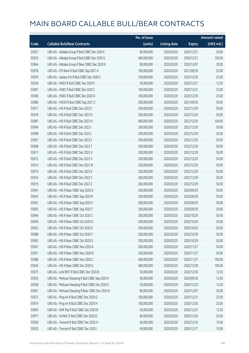|       |                                                  | No. of issue |                     |               | <b>Amount raised</b> |
|-------|--------------------------------------------------|--------------|---------------------|---------------|----------------------|
| Code  | <b>Callable Bull/Bear Contracts</b>              | (units)      | <b>Listing date</b> | <b>Expiry</b> | $(HK$$ mil.)         |
| 55931 | UBS AG - Alibaba Group R Bull CBBC Dec 2020 F    | 80,000,000   | 2020/03/20          | 2020/12/21    | 20.00                |
| 55932 | UBS AG - Alibaba Group R Bull CBBC Dec 2020 G    | 400,000,000  | 2020/03/20          | 2020/12/31    | 100.00               |
| 55964 | UBS AG - Alibaba Group R Bear CBBC Dec 2020 K    | 80,000,000   | 2020/03/20          | 2020/12/07    | 20.00                |
| 55978 | UBS AG - CM Bank R Bull CBBC Sep 2021 A          | 100,000,000  | 2020/03/20          | 2021/09/29    | 25.00                |
| 55976 | UBS AG - Galaxy Ent R Bull CBBC Dec 2020 C       | 100,000,000  | 2020/03/20          | 2020/12/30    | 25.00                |
| 55939 | UBS AG - HKEX R Bull CBBC Dec 2020 F             | 50,000,000   | 2020/03/20          | 2020/12/31    | 12.50                |
| 55967 | UBS AG - HSBC R Bull CBBC Dec 2020 C             | 100,000,000  | 2020/03/20          | 2020/12/31    | 25.00                |
| 55968 | UBS AG - HSBC R Bull CBBC Dec 2020 D             | 100,000,000  | 2020/03/20          | 2020/12/30    | 25.00                |
| 55986 | UBS AG - HSCEI R Bull CBBC Sep 2021 C            | 200,000,000  | 2020/03/20          | 2021/09/29    | 50.00                |
| 55917 | UBS AG - HSI R Bull CBBC Dec 2022 C              | 200,000,000  | 2020/03/20          | 2022/12/29    | 50.00                |
| 55918 | UBS AG - HSI R Bull CBBC Dec 2022 D              | 200,000,000  | 2020/03/20          | 2022/12/29    | 50.00                |
| 55987 | UBS AG - HSI R Bull CBBC Dec 2022 H              | 400,000,000  | 2020/03/20          | 2022/12/29    | 104.00               |
| 55994 | UBS AG - HSI R Bull CBBC Dec 2022 I              | 200,000,000  | 2020/03/20          | 2022/12/29    | 50.00                |
| 55998 | UBS AG - HSI R Bull CBBC Dec 2022 L              | 200,000,000  | 2020/03/20          | 2022/12/29    | 50.00                |
| 55907 | UBS AG - HSI R Bull CBBC Dec 2022 S              | 200,000,000  | 2020/03/20          | 2022/12/29    | 50.00                |
| 55908 | UBS AG - HSI R Bull CBBC Dec 2022 T              | 200,000,000  | 2020/03/20          | 2022/12/29    | 50.00                |
| 55911 | UBS AG - HSI R Bull CBBC Dec 2022 U              | 200,000,000  | 2020/03/20          | 2022/12/29    | 50.00                |
| 55912 | UBS AG - HSI R Bull CBBC Dec 2022 V              | 200,000,000  | 2020/03/20          | 2022/12/29    | 50.00                |
| 55914 | UBS AG - HSI R Bull CBBC Dec 2022 W              | 200,000,000  | 2020/03/20          | 2022/12/29    | 50.00                |
| 55915 | UBS AG - HSI R Bull CBBC Dec 2022 X              | 200,000,000  | 2020/03/20          | 2022/12/29    | 50.00                |
| 55916 | UBS AG - HSI R Bull CBBC Dec 2022 Y              | 200,000,000  | 2020/03/20          | 2022/12/29    | 50.00                |
| 55919 | UBS AG - HSI R Bull CBBC Dec 2022 Z              | 200,000,000  | 2020/03/20          | 2022/12/29    | 50.00                |
| 55941 | UBS AG - HSI R Bear CBBC Sep 2020 Q              | 200,000,000  | 2020/03/20          | 2020/09/29    | 50.00                |
| 55943 | UBS AG - HSI R Bear CBBC Sep 2020 R              | 200,000,000  | 2020/03/20          | 2020/09/29    | 50.00                |
| 55955 | UBS AG - HSI R Bear CBBC Sep 2020 S              | 200,000,000  | 2020/03/20          | 2020/09/29    | 50.00                |
| 55992 | UBS AG - HSI R Bear CBBC Sep 2020 T              | 200,000,000  | 2020/03/20          | 2020/09/29    | 50.00                |
| 55944 | UBS AG - HSI R Bear CBBC Oct 2020 C              | 200,000,000  | 2020/03/20          | 2020/10/29    | 50.00                |
| 55949 | UBS AG - HSI R Bear CBBC Oct 2020 D              | 200,000,000  | 2020/03/20          | 2020/10/29    | 50.00                |
| 55952 | UBS AG - HSI R Bear CBBC Oct 2020 E              | 200,000,000  | 2020/03/20          | 2020/10/29    | 50.00                |
| 55989 | UBS AG - HSI R Bear CBBC Oct 2020 F              | 200,000,000  | 2020/03/20          | 2020/10/29    | 50.00                |
| 55993 | UBS AG - HSI R Bear CBBC Oct 2020 G              | 200,000,000  | 2020/03/20          | 2020/10/29    | 50.00                |
| 55947 | UBS AG - HSI R Bear CBBC Nov 2020 A              | 200,000,000  | 2020/03/20          | 2020/11/27    | 50.00                |
| 55951 | UBS AG - HSI R Bear CBBC Nov 2020 B              | 200,000,000  | 2020/03/20          | 2020/11/27    | 50.00                |
| 55988 | UBS AG - HSI R Bear CBBC Nov 2020 C              | 400,000,000  | 2020/03/20          | 2020/11/27    | 100.00               |
| 55945 | UBS AG - HSI R Bear CBBC Dec 2020 G              | 400,000,000  | 2020/03/20          | 2020/12/30    | 100.00               |
| 55975 | UBS AG - Link REIT R Bull CBBC Dec 2020 B        | 50,000,000   | 2020/03/20          | 2020/12/30    | 12.50                |
| 55933 | UBS AG - Meituan Dianping R Bull CBBC Sep 2020 H | 50,000,000   | 2020/03/20          | 2020/09/30    | 12.50                |
| 55938 | UBS AG - Meituan Dianping R Bull CBBC Dec 2020 G | 50,000,000   | 2020/03/20          | 2020/12/23    | 12.50                |
| 55961 | UBS AG - Meituan Dianping R Bear CBBC Dec 2020 D | 80,000,000   | 2020/03/20          | 2020/12/07    | 20.00                |
| 55972 | UBS AG - Ping An R Bull CBBC Dec 2020 G          | 100,000,000  | 2020/03/20          | 2020/12/31    | 25.00                |
| 55974 | UBS AG - Ping An R Bull CBBC Dec 2020 H          | 100,000,000  | 2020/03/20          | 2020/12/30    | 25.00                |
| 55965 | UBS AG - SHK Ppt R Bull CBBC Dec 2020 B          | 50,000,000   | 2020/03/20          | 2020/12/31    | 12.50                |
| 55977 | UBS AG - SUNAC R Bull CBBC Dec 2020 D            | 80,000,000   | 2020/03/20          | 2020/12/30    | 20.00                |
| 55920 | UBS AG - Tencent R Bull CBBC Dec 2020 H          | 40,000,000   | 2020/03/20          | 2020/12/16    | 10.00                |
| 55925 | UBS AG - Tencent R Bull CBBC Dec 2020 I          | 40,000,000   | 2020/03/20          | 2020/12/17    | 10.00                |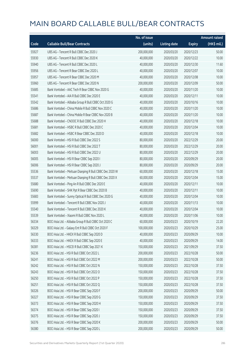|       |                                                         | No. of issue |                     |               | <b>Amount raised</b> |
|-------|---------------------------------------------------------|--------------|---------------------|---------------|----------------------|
| Code  | <b>Callable Bull/Bear Contracts</b>                     | (units)      | <b>Listing date</b> | <b>Expiry</b> | (HK\$ mil.)          |
| 55927 | UBS AG - Tencent R Bull CBBC Dec 2020 J                 | 200,000,000  | 2020/03/20          | 2020/12/23    | 50.00                |
| 55930 | UBS AG - Tencent R Bull CBBC Dec 2020 K                 | 40,000,000   | 2020/03/20          | 2020/12/22    | 10.00                |
| 55940 | UBS AG - Tencent R Bull CBBC Dec 2020 L                 | 40,000,000   | 2020/03/20          | 2020/12/30    | 11.60                |
| 55956 | UBS AG - Tencent R Bear CBBC Dec 2020 L                 | 40,000,000   | 2020/03/20          | 2020/12/07    | 10.00                |
| 55957 | UBS AG - Tencent R Bear CBBC Dec 2020 M                 | 40,000,000   | 2020/03/20          | 2020/12/08    | 10.00                |
| 55960 | UBS AG - Tencent R Bear CBBC Dec 2020 N                 | 200,000,000  | 2020/03/20          | 2020/12/09    | 50.00                |
| 55685 | Bank Vontobel - AAC Tech R Bear CBBC Nov 2020 G         | 40,000,000   | 2020/03/20          | 2020/11/20    | 10.00                |
| 55541 | Bank Vontobel - AIA R Bull CBBC Dec 2020 E              | 40,000,000   | 2020/03/20          | 2020/12/11    | 10.00                |
| 55542 | Bank Vontobel - Alibaba Group R Bull CBBC Oct 2020 G    | 40,000,000   | 2020/03/20          | 2020/10/16    | 10.00                |
| 55686 | Bank Vontobel - China Mobile R Bull CBBC Nov 2020 C     | 40,000,000   | 2020/03/20          | 2020/11/20    | 10.00                |
| 55687 | Bank Vontobel - China Mobile R Bear CBBC Nov 2020 B     | 40,000,000   | 2020/03/20          | 2020/11/20    | 10.00                |
| 55688 | Bank Vontobel - CNOOC R Bull CBBC Dec 2020 H            | 40,000,000   | 2020/03/20          | 2020/12/18    | 10.00                |
| 55681 | Bank Vontobel - HSBC R Bull CBBC Dec 2020 C             | 40,000,000   | 2020/03/20          | 2020/12/04    | 10.00                |
| 55682 | Bank Vontobel - HSBC R Bear CBBC Dec 2020 D             | 40,000,000   | 2020/03/20          | 2020/12/18    | 10.00                |
| 56000 | Bank Vontobel - HSI R Bull CBBC Dec 2022 S              | 80,000,000   | 2020/03/20          | 2022/12/29    | 20.00                |
| 56001 | Bank Vontobel - HSI R Bull CBBC Dec 2022 T              | 80,000,000   | 2020/03/20          | 2022/12/29    | 20.00                |
| 56003 | Bank Vontobel - HSI R Bull CBBC Dec 2022 U              | 80,000,000   | 2020/03/20          | 2022/12/29    | 20.00                |
| 56005 | Bank Vontobel - HSI R Bear CBBC Sep 2020 I              | 80,000,000   | 2020/03/20          | 2020/09/29    | 20.00                |
| 56006 | Bank Vontobel - HSI R Bear CBBC Sep 2020 J              | 80,000,000   | 2020/03/20          | 2020/09/29    | 20.00                |
| 55536 | Bank Vontobel - Meituan Dianping R Bull CBBC Dec 2020 W | 60,000,000   | 2020/03/20          | 2020/12/18    | 15.00                |
| 55537 | Bank Vontobel - Meituan Dianping R Bull CBBC Dec 2020 X | 60,000,000   | 2020/03/20          | 2020/12/04    | 15.00                |
| 55680 | Bank Vontobel - Ping An R Bull CBBC Dec 2020 E          | 40,000,000   | 2020/03/20          | 2020/12/11    | 10.00                |
| 55690 | Bank Vontobel - SHK Ppt R Bear CBBC Dec 2020 B          | 40,000,000   | 2020/03/20          | 2020/12/11    | 10.00                |
| 55683 | Bank Vontobel - Sunny Optical R Bull CBBC Dec 2020 G    | 40,000,000   | 2020/03/20          | 2020/12/04    | 10.00                |
| 55999 | Bank Vontobel - Tencent R Bull CBBC Nov 2020 J          | 40,000,000   | 2020/03/20          | 2020/11/13    | 10.00                |
| 55540 | Bank Vontobel - Tencent R Bull CBBC Dec 2020 K          | 40,000,000   | 2020/03/20          | 2020/12/04    | 10.00                |
| 55539 | Bank Vontobel - Xiaomi R Bull CBBC Nov 2020 L           | 40,000,000   | 2020/03/20          | 2020/11/06    | 10.00                |
| 56334 | BOCI Asia Ltd. - Alibaba Group R Bull CBBC Oct 2020 C   | 60,000,000   | 2020/03/23          | 2020/10/19    | 22.20                |
| 56329 | BOCI Asia Ltd. - Galaxy Ent R Bull CBBC Oct 2020 F      | 100,000,000  | 2020/03/23          | 2020/10/29    | 25.00                |
| 56330 | BOCI Asia Ltd. - HKEX R Bull CBBC Sep 2020 D            | 40,000,000   | 2020/03/23          | 2020/09/29    | 10.00                |
| 56333 | BOCI Asia Ltd. - HKEX R Bull CBBC Sep 2020 E            | 40,000,000   | 2020/03/23          | 2020/09/29    | 14.00                |
| 56381 | BOCI Asia Ltd. - HSCEI R Bull CBBC Sep 2021 K           | 150,000,000  | 2020/03/23          | 2021/09/29    | 37.50                |
| 56236 | BOCI Asia Ltd. - HSI R Bull CBBC Oct 2022 L             | 200,000,000  | 2020/03/23          | 2022/10/28    | 50.00                |
| 56241 | BOCI Asia Ltd. - HSI R Bull CBBC Oct 2022 M             | 200,000,000  | 2020/03/23          | 2022/10/28    | 50.00                |
| 56242 | BOCI Asia Ltd. - HSI R Bull CBBC Oct 2022 N             | 150,000,000  | 2020/03/23          | 2022/10/28    | 37.50                |
| 56243 | BOCI Asia Ltd. - HSI R Bull CBBC Oct 2022 O             | 150,000,000  | 2020/03/23          | 2022/10/28    | 37.50                |
| 56250 | BOCI Asia Ltd. - HSI R Bull CBBC Oct 2022 P             | 150,000,000  | 2020/03/23          | 2022/10/28    | 37.50                |
| 56251 | BOCI Asia Ltd. - HSI R Bull CBBC Oct 2022 Q             | 150,000,000  | 2020/03/23          | 2022/10/28    | 37.50                |
| 56326 | BOCI Asia Ltd. - HSI R Bear CBBC Sep 2020 F             | 200,000,000  | 2020/03/23          | 2020/09/29    | 50.00                |
| 56327 | BOCI Asia Ltd. - HSI R Bear CBBC Sep 2020 G             | 150,000,000  | 2020/03/23          | 2020/09/29    | 37.50                |
| 56373 | BOCI Asia Ltd. - HSI R Bear CBBC Sep 2020 H             | 150,000,000  | 2020/03/23          | 2020/09/29    | 37.50                |
| 56374 | BOCI Asia Ltd. - HSI R Bear CBBC Sep 2020 I             | 150,000,000  | 2020/03/23          | 2020/09/29    | 37.50                |
| 56375 | BOCI Asia Ltd. - HSI R Bear CBBC Sep 2020 J             | 150,000,000  | 2020/03/23          | 2020/09/29    | 37.50                |
| 56376 | BOCI Asia Ltd. - HSI R Bear CBBC Sep 2020 K             | 200,000,000  | 2020/03/23          | 2020/09/29    | 50.00                |
| 56380 | BOCI Asia Ltd. - HSI R Bear CBBC Sep 2020 L             | 200,000,000  | 2020/03/23          | 2020/09/29    | 50.00                |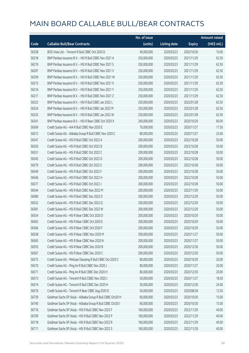|       |                                                             | No. of issue |                     |               | <b>Amount raised</b> |
|-------|-------------------------------------------------------------|--------------|---------------------|---------------|----------------------|
| Code  | <b>Callable Bull/Bear Contracts</b>                         | (units)      | <b>Listing date</b> | <b>Expiry</b> | (HK\$ mil.)          |
| 56328 | BOCI Asia Ltd. - Tencent R Bull CBBC Oct 2020 D             | 40,000,000   | 2020/03/23          | 2020/10/30    | 10.00                |
| 56218 | BNP Paribas Issuance B.V. - HSI R Bull CBBC Nov 2021 A      | 250,000,000  | 2020/03/23          | 2021/11/29    | 62.50                |
| 56219 | BNP Paribas Issuance B.V. - HSI R Bull CBBC Nov 2021 S      | 250,000,000  | 2020/03/23          | 2021/11/29    | 62.50                |
| 56207 | BNP Paribas Issuance B.V. - HSI R Bull CBBC Nov 2021 V      | 250,000,000  | 2020/03/23          | 2021/11/29    | 62.50                |
| 56209 | BNP Paribas Issuance B.V. - HSI R Bull CBBC Nov 2021 W      | 250,000,000  | 2020/03/23          | 2021/11/29    | 62.50                |
| 56215 | BNP Paribas Issuance B.V. - HSI R Bull CBBC Nov 2021 X      | 250,000,000  | 2020/03/23          | 2021/11/29    | 62.50                |
| 56216 | BNP Paribas Issuance B.V. - HSI R Bull CBBC Nov 2021 Y      | 250,000,000  | 2020/03/23          | 2021/11/29    | 62.50                |
| 56217 | BNP Paribas Issuance B.V. - HSI R Bull CBBC Nov 2021 Z      | 250,000,000  | 2020/03/23          | 2021/11/29    | 62.50                |
| 56323 | BNP Paribas Issuance B.V. - HSI R Bull CBBC Jan 2022 L      | 250,000,000  | 2020/03/23          | 2022/01/28    | 62.50                |
| 56324 | BNP Paribas Issuance B.V. - HSI R Bull CBBC Jan 2022 M      | 250,000,000  | 2020/03/23          | 2022/01/28    | 62.50                |
| 56325 | BNP Paribas Issuance B.V. - HSI R Bull CBBC Jan 2022 W      | 250,000,000  | 2020/03/23          | 2022/01/28    | 62.50                |
| 56341 | BNP Paribas Issuance B.V. - HSI R Bear CBBC Oct 2020 X      | 240,000,000  | 2020/03/23          | 2020/10/29    | 60.00                |
| 56569 | Credit Suisse AG - AIA R Bull CBBC Nov 2020 E               | 70,000,000   | 2020/03/23          | 2020/11/27    | 17.50                |
| 56572 | Credit Suisse AG - Alibaba Group R Bull CBBC Nov 2020 C     | 80,000,000   | 2020/03/23          | 2020/11/27    | 25.60                |
| 56547 | Credit Suisse AG - HSI R Bull CBBC Oct 2022 A               | 200,000,000  | 2020/03/23          | 2022/10/28    | 50.00                |
| 56550 | Credit Suisse AG - HSI R Bull CBBC Oct 2022 B               | 200,000,000  | 2020/03/23          | 2022/10/28    | 50.00                |
| 56551 | Credit Suisse AG - HSI R Bull CBBC Oct 2022 C               | 200,000,000  | 2020/03/23          | 2022/10/28    | 50.00                |
| 56545 | Credit Suisse AG - HSI R Bull CBBC Oct 2022 D               | 200,000,000  | 2020/03/23          | 2022/10/28    | 50.00                |
| 56579 | Credit Suisse AG - HSI R Bull CBBC Oct 2022 E               | 200,000,000  | 2020/03/23          | 2022/10/28    | 50.00                |
| 56549 | Credit Suisse AG - HSI R Bull CBBC Oct 2022 F               | 200,000,000  | 2020/03/23          | 2022/10/28    | 50.00                |
| 56546 | Credit Suisse AG - HSI R Bull CBBC Oct 2022 H               | 200,000,000  | 2020/03/23          | 2022/10/28    | 50.00                |
| 56577 | Credit Suisse AG - HSI R Bull CBBC Oct 2022 J               | 200,000,000  | 2020/03/23          | 2022/10/28    | 50.00                |
| 56544 | Credit Suisse AG - HSI R Bull CBBC Nov 2022 M               | 200,000,000  | 2020/03/23          | 2022/11/29    | 50.00                |
| 56580 | Credit Suisse AG - HSI R Bull CBBC Dec 2022 O               | 200,000,000  | 2020/03/23          | 2022/12/29    | 50.00                |
| 56552 | Credit Suisse AG - HSI R Bull CBBC Dec 2022 Q               | 200,000,000  | 2020/03/23          | 2022/12/29    | 50.00                |
| 56581 | Credit Suisse AG - HSI R Bull CBBC Dec 2022 W               | 200,000,000  | 2020/03/23          | 2022/12/29    | 50.00                |
| 56554 | Credit Suisse AG - HSI R Bear CBBC Oct 2020 D               | 200,000,000  | 2020/03/23          | 2020/10/29    | 50.00                |
| 56562 | Credit Suisse AG - HSI R Bear CBBC Oct 2020 E               | 200,000,000  | 2020/03/23          | 2020/10/29    | 50.00                |
| 56566 | Credit Suisse AG - HSI R Bear CBBC Oct 2020 F               | 200,000,000  | 2020/03/23          | 2020/10/29    | 50.00                |
| 56558 | Credit Suisse AG - HSI R Bear CBBC Nov 2020 M               | 200,000,000  | 2020/03/23          | 2020/11/27    | 50.00                |
| 56565 | Credit Suisse AG - HSI R Bear CBBC Nov 2020 N               | 200,000,000  | 2020/03/23          | 2020/11/27    | 50.00                |
| 56555 | Credit Suisse AG - HSI R Bear CBBC Dec 2020 B               | 200,000,000  | 2020/03/23          | 2020/12/30    | 50.00                |
| 56567 | Credit Suisse AG - HSI R Bear CBBC Dec 2020 C               | 200,000,000  | 2020/03/23          | 2020/12/30    | 50.00                |
| 56575 | Credit Suisse AG - Meituan Dianping R Bull CBBC Oct 2020 C  | 80,000,000   | 2020/03/23          | 2020/10/29    | 20.00                |
| 56570 | Credit Suisse AG - Ping An R Bull CBBC Nov 2020 J           | 80,000,000   | 2020/03/23          | 2020/11/27    | 20.00                |
| 56571 | Credit Suisse AG - Ping An R Bull CBBC Dec 2020 H           | 80,000,000   | 2020/03/23          | 2020/12/30    | 20.00                |
| 56573 | Credit Suisse AG - Tencent R Bull CBBC Nov 2020 J           | 50,000,000   | 2020/03/23          | 2020/11/27    | 18.50                |
| 56574 | Credit Suisse AG - Tencent R Bull CBBC Dec 2020 H           | 50,000,000   | 2020/03/23          | 2020/12/30    | 24.00                |
| 56576 | Credit Suisse AG - Tencent R Bear CBBC Aug 2020 D           | 50,000,000   | 2020/03/23          | 2020/08/28    | 12.50                |
| 56739 | Goldman Sachs SP (Asia) - Alibaba Group R Bull CBBC Oct20 H | 60,000,000   | 2020/03/23          | 2020/10/30    | 15.00                |
| 56740 | Goldman Sachs SP (Asia) - Alibaba Group R Bull CBBC Oct20 I | 60,000,000   | 2020/03/23          | 2020/10/30    | 15.00                |
| 56716 | Goldman Sachs SP (Asia) - HSI R Bull CBBC Nov 2022 F        | 160,000,000  | 2020/03/23          | 2022/11/29    | 40.00                |
| 56709 | Goldman Sachs SP (Asia) - HSI R Bull CBBC Nov 2022 P        | 160,000,000  | 2020/03/23          | 2022/11/29    | 40.00                |
| 56718 | Goldman Sachs SP (Asia) - HSI R Bull CBBC Nov 2022 R        | 160,000,000  | 2020/03/23          | 2022/11/29    | 40.00                |
| 56711 | Goldman Sachs SP (Asia) - HSI R Bull CBBC Nov 2022 S        | 160,000,000  | 2020/03/23          | 2022/11/29    | 40.00                |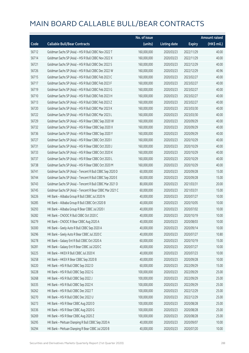|       |                                                          | No. of issue |                     |               | <b>Amount raised</b> |
|-------|----------------------------------------------------------|--------------|---------------------|---------------|----------------------|
| Code  | <b>Callable Bull/Bear Contracts</b>                      | (units)      | <b>Listing date</b> | <b>Expiry</b> | $(HK$$ mil.)         |
| 56712 | Goldman Sachs SP (Asia) - HSI R Bull CBBC Nov 2022 T     | 160,000,000  | 2020/03/23          | 2022/11/29    | 40.00                |
| 56714 | Goldman Sachs SP (Asia) - HSI R Bull CBBC Nov 2022 X     | 160,000,000  | 2020/03/23          | 2022/11/29    | 40.00                |
| 56721 | Goldman Sachs SP (Asia) - HSI R Bull CBBC Dec 2022 S     | 160,000,000  | 2020/03/23          | 2022/12/29    | 40.00                |
| 56726 | Goldman Sachs SP (Asia) - HSI R Bull CBBC Dec 2022 W     | 160,000,000  | 2020/03/23          | 2022/12/29    | 40.96                |
| 56715 | Goldman Sachs SP (Asia) - HSI R Bull CBBC Feb 2023 C     | 160,000,000  | 2020/03/23          | 2023/02/27    | 40.00                |
| 56717 | Goldman Sachs SP (Asia) - HSI R Bull CBBC Feb 2023 F     | 160,000,000  | 2020/03/23          | 2023/02/27    | 40.00                |
| 56719 | Goldman Sachs SP (Asia) - HSI R Bull CBBC Feb 2023 G     | 160,000,000  | 2020/03/23          | 2023/02/27    | 40.00                |
| 56710 | Goldman Sachs SP (Asia) - HSI R Bull CBBC Feb 2023 H     | 160,000,000  | 2020/03/23          | 2023/02/27    | 40.00                |
| 56713 | Goldman Sachs SP (Asia) - HSI R Bull CBBC Feb 2023 Z     | 160,000,000  | 2020/03/23          | 2023/02/27    | 40.00                |
| 56720 | Goldman Sachs SP (Asia) - HSI R Bull CBBC Mar 2023 K     | 160,000,000  | 2020/03/23          | 2023/03/30    | 40.00                |
| 56722 | Goldman Sachs SP (Asia) - HSI R Bull CBBC Mar 2023 L     | 160,000,000  | 2020/03/23          | 2023/03/30    | 40.00                |
| 56729 | Goldman Sachs SP (Asia) - HSI R Bear CBBC Sep 2020 W     | 160,000,000  | 2020/03/23          | 2020/09/29    | 40.00                |
| 56732 | Goldman Sachs SP (Asia) - HSI R Bear CBBC Sep 2020 X     | 160,000,000  | 2020/03/23          | 2020/09/29    | 40.00                |
| 56736 | Goldman Sachs SP (Asia) - HSI R Bear CBBC Sep 2020 Y     | 160,000,000  | 2020/03/23          | 2020/09/29    | 40.00                |
| 56727 | Goldman Sachs SP (Asia) - HSI R Bear CBBC Oct 2020 I     | 160,000,000  | 2020/03/23          | 2020/10/29    | 40.00                |
| 56731 | Goldman Sachs SP (Asia) - HSI R Bear CBBC Oct 2020 J     | 160,000,000  | 2020/03/23          | 2020/10/29    | 40.00                |
| 56733 | Goldman Sachs SP (Asia) - HSI R Bear CBBC Oct 2020 K     | 160,000,000  | 2020/03/23          | 2020/10/29    | 40.00                |
| 56737 | Goldman Sachs SP (Asia) - HSI R Bear CBBC Oct 2020 L     | 160,000,000  | 2020/03/23          | 2020/10/29    | 40.00                |
| 56738 | Goldman Sachs SP (Asia) - HSI R Bear CBBC Oct 2020 M     | 160,000,000  | 2020/03/23          | 2020/10/29    | 40.00                |
| 56741 | Goldman Sachs SP (Asia) - Tencent R Bull CBBC Sep 2020 D | 60,000,000   | 2020/03/23          | 2020/09/28    | 15.00                |
| 56744 | Goldman Sachs SP (Asia) - Tencent R Bull CBBC Sep 2020 E | 60,000,000   | 2020/03/23          | 2020/09/28    | 15.00                |
| 56743 | Goldman Sachs SP (Asia) - Tencent R Bull CBBC Mar 2021 D | 80,000,000   | 2020/03/23          | 2021/03/31    | 20.00                |
| 56745 | Goldman Sachs SP (Asia) - Tencent R Bear CBBC Mar 2021 C | 60,000,000   | 2020/03/23          | 2021/03/31    | 15.00                |
| 56226 | HK Bank - Alibaba Group R Bull CBBC Jul 2020 N           | 40,000,000   | 2020/03/23          | 2020/07/27    | 10.00                |
| 56285 | HK Bank - Alibaba Group R Bull CBBC Oct 2020 B           | 40,000,000   | 2020/03/23          | 2020/10/05    | 10.00                |
| 56293 | HK Bank - Alibaba Group R Bear CBBC Jul 2020 I           | 40,000,000   | 2020/03/23          | 2020/07/02    | 10.00                |
| 56282 | HK Bank - CNOOC R Bull CBBC Oct 2020 C                   | 40,000,000   | 2020/03/23          | 2020/10/19    | 10.00                |
| 56279 | HK Bank - CNOOC R Bear CBBC Aug 2020 A                   | 40,000,000   | 2020/03/23          | 2020/08/03    | 10.00                |
| 56300 | HK Bank - Geely Auto R Bull CBBC Sep 2020 A              | 40,000,000   | 2020/03/23          | 2020/09/14    | 10.00                |
| 56296 | HK Bank - Geely Auto R Bear CBBC Jul 2020 C              | 40,000,000   | 2020/03/23          | 2020/07/27    | 10.80                |
| 56278 | HK Bank - Galaxy Ent R Bull CBBC Oct 2020 A              | 60,000,000   | 2020/03/23          | 2020/10/19    | 15.00                |
| 56281 | HK Bank - Galaxy Ent R Bear CBBC Jul 2020 C              | 40,000,000   | 2020/03/23          | 2020/07/27    | 10.00                |
| 56225 | HK Bank - HKEX R Bull CBBC Jul 2020 K                    | 40,000,000   | 2020/03/23          | 2020/07/23    | 10.00                |
| 56258 | HK Bank - HKEX R Bear CBBC Sep 2020 B                    | 40,000,000   | 2020/03/23          | 2020/09/28    | 10.00                |
| 56220 | HK Bank - HSI R Bull CBBC Sep 2022 D                     | 60,000,000   | 2020/03/23          | 2022/09/29    | 15.00                |
| 56228 | HK Bank - HSI R Bull CBBC Sep 2022 G                     | 100,000,000  | 2020/03/23          | 2022/09/29    | 25.00                |
| 56268 | HK Bank - HSI R Bull CBBC Sep 2022 J                     | 100,000,000  | 2020/03/23          | 2022/09/29    | 25.00                |
| 56335 | HK Bank - HSI R Bull CBBC Sep 2022 K                     | 100,000,000  | 2020/03/23          | 2022/09/29    | 25.00                |
| 56262 | HK Bank - HSI R Bull CBBC Dec 2022 T                     | 100,000,000  | 2020/03/23          | 2022/12/29    | 25.00                |
| 56270 | HK Bank - HSI R Bull CBBC Dec 2022 U                     | 100,000,000  | 2020/03/23          | 2022/12/29    | 25.00                |
| 56273 | HK Bank - HSI R Bear CBBC Aug 2020 D                     | 100,000,000  | 2020/03/23          | 2020/08/28    | 25.00                |
| 56336 | HK Bank - HSI R Bear CBBC Aug 2020 G                     | 100,000,000  | 2020/03/23          | 2020/08/28    | 25.00                |
| 56269 | HK Bank - HSI R Bear CBBC Aug 2020 Z                     | 100,000,000  | 2020/03/23          | 2020/08/28    | 25.00                |
| 56295 | HK Bank - Meituan Dianping R Bull CBBC Sep 2020 A        | 40,000,000   | 2020/03/23          | 2020/09/07    | 10.00                |
| 56294 | HK Bank - Meituan Dianping R Bear CBBC Jul 2020 B        | 40,000,000   | 2020/03/23          | 2020/07/20    | 10.00                |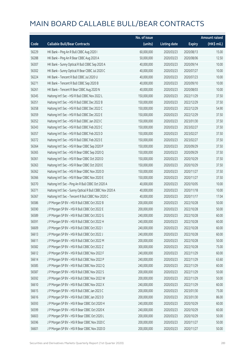|       |                                                          | No. of issue |                     |               | <b>Amount raised</b> |
|-------|----------------------------------------------------------|--------------|---------------------|---------------|----------------------|
| Code  | <b>Callable Bull/Bear Contracts</b>                      | (units)      | <b>Listing date</b> | <b>Expiry</b> | (HK\$ mil.)          |
| 56229 | HK Bank - Ping An R Bull CBBC Aug 2020 I                 | 60,000,000   | 2020/03/23          | 2020/08/13    | 15.00                |
| 56288 | HK Bank - Ping An R Bear CBBC Aug 2020 A                 | 50,000,000   | 2020/03/23          | 2020/08/06    | 12.50                |
| 56307 | HK Bank - Sunny Optical R Bull CBBC Sep 2020 A           | 40,000,000   | 2020/03/23          | 2020/09/14    | 10.00                |
| 56302 | HK Bank - Sunny Optical R Bear CBBC Jul 2020 C           | 40,000,000   | 2020/03/23          | 2020/07/27    | 10.00                |
| 56224 | HK Bank - Tencent R Bull CBBC Jul 2020 U                 | 40,000,000   | 2020/03/23          | 2020/07/23    | 10.00                |
| 56271 | HK Bank - Tencent R Bull CBBC Sep 2020 B                 | 40,000,000   | 2020/03/23          | 2020/09/10    | 10.00                |
| 56261 | HK Bank - Tencent R Bear CBBC Aug 2020 N                 | 40,000,000   | 2020/03/23          | 2020/08/03    | 10.00                |
| 56345 | Haitong Int'l Sec - HSI R Bull CBBC Nov 2022 L           | 150,000,000  | 2020/03/23          | 2022/11/29    | 37.50                |
| 56351 | Haitong Int'l Sec - HSI R Bull CBBC Dec 2022 B           | 150,000,000  | 2020/03/23          | 2022/12/29    | 37.50                |
| 56358 | Haitong Int'l Sec - HSI R Bull CBBC Dec 2022 C           | 150,000,000  | 2020/03/23          | 2022/12/29    | 54.90                |
| 56359 | Haitong Int'l Sec - HSI R Bull CBBC Dec 2022 E           | 150,000,000  | 2020/03/23          | 2022/12/29    | 37.50                |
| 56352 | Haitong Int'l Sec - HSI R Bull CBBC Jan 2023 C           | 150,000,000  | 2020/03/23          | 2023/01/30    | 37.50                |
| 56343 | Haitong Int'l Sec - HSI R Bull CBBC Feb 2023 C           | 150,000,000  | 2020/03/23          | 2023/02/27    | 37.50                |
| 56357 | Haitong Int'l Sec - HSI R Bull CBBC Feb 2023 D           | 150,000,000  | 2020/03/23          | 2023/02/27    | 37.50                |
| 56372 | Haitong Int'l Sec - HSI R Bull CBBC Feb 2023 E           | 150,000,000  | 2020/03/23          | 2023/02/27    | 37.50                |
| 56364 | Haitong Int'l Sec - HSI R Bear CBBC Sep 2020 P           | 150,000,000  | 2020/03/23          | 2020/09/29    | 37.50                |
| 56365 | Haitong Int'l Sec - HSI R Bear CBBC Sep 2020 Q           | 150,000,000  | 2020/03/23          | 2020/09/29    | 37.50                |
| 56361 | Haitong Int'l Sec - HSI R Bear CBBC Oct 2020 D           | 150,000,000  | 2020/03/23          | 2020/10/29    | 37.50                |
| 56363 | Haitong Int'l Sec - HSI R Bear CBBC Oct 2020 E           | 150,000,000  | 2020/03/23          | 2020/10/29    | 37.50                |
| 56362 | Haitong Int'l Sec - HSI R Bear CBBC Nov 2020 D           | 150,000,000  | 2020/03/23          | 2020/11/27    | 37.50                |
| 56366 | Haitong Int'l Sec - HSI R Bear CBBC Nov 2020 E           | 150,000,000  | 2020/03/23          | 2020/11/27    | 37.50                |
| 56370 | Haitong Int'l Sec - Ping An R Bull CBBC Oct 2020 A       | 40,000,000   | 2020/03/23          | 2020/10/05    | 10.00                |
| 56371 | Haitong Int'l Sec - Sunny Optical R Bull CBBC Nov 2020 A | 40,000,000   | 2020/03/23          | 2020/11/18    | 10.00                |
| 56367 | Haitong Int'l Sec - Tencent R Bull CBBC Nov 2020 C       | 40,000,000   | 2020/03/23          | 2020/11/17    | 17.04                |
| 56586 | J P Morgan SP BV - HSI R Bull CBBC Oct 2022 B            | 200,000,000  | 2020/03/23          | 2022/10/28    | 50.00                |
| 56590 | J P Morgan SP BV - HSI R Bull CBBC Oct 2022 E            | 200,000,000  | 2020/03/23          | 2022/10/28    | 50.00                |
| 56589 | J P Morgan SP BV - HSI R Bull CBBC Oct 2022 G            | 240,000,000  | 2020/03/23          | 2022/10/28    | 60.00                |
| 56591 | J P Morgan SP BV - HSI R Bull CBBC Oct 2022 H            | 240,000,000  | 2020/03/23          | 2022/10/28    | 60.00                |
| 56609 | J P Morgan SP BV - HSI R Bull CBBC Oct 2022 I            | 240,000,000  | 2020/03/23          | 2022/10/28    | 60.00                |
| 56613 | J P Morgan SP BV - HSI R Bull CBBC Oct 2022 J            | 240,000,000  | 2020/03/23          | 2022/10/28    | 60.00                |
| 56611 | J P Morgan SP BV - HSI R Bull CBBC Oct 2022 M            | 200,000,000  | 2020/03/23          | 2022/10/28    | 50.00                |
| 56582 | J P Morgan SP BV - HSI R Bull CBBC Oct 2022 Z            | 300,000,000  | 2020/03/23          | 2022/10/28    | 75.00                |
| 56612 | J P Morgan SP BV - HSI R Bull CBBC Nov 2022 F            | 240,000,000  | 2020/03/23          | 2022/11/29    | 60.00                |
| 56614 | J P Morgan SP BV - HSI R Bull CBBC Nov 2022 P            | 240,000,000  | 2020/03/23          | 2022/11/29    | 63.60                |
| 56585 | J P Morgan SP BV - HSI R Bull CBBC Nov 2022 Q            | 240,000,000  | 2020/03/23          | 2022/11/29    | 60.00                |
| 56587 | J P Morgan SP BV - HSI R Bull CBBC Nov 2022 S            | 200,000,000  | 2020/03/23          | 2022/11/29    | 50.00                |
| 56592 | J P Morgan SP BV - HSI R Bull CBBC Nov 2022 W            | 200,000,000  | 2020/03/23          | 2022/11/29    | 50.00                |
| 56610 | J P Morgan SP BV - HSI R Bull CBBC Nov 2022 X            | 240,000,000  | 2020/03/23          | 2022/11/29    | 60.00                |
| 56615 | J P Morgan SP BV - HSI R Bull CBBC Jan 2023 C            | 200,000,000  | 2020/03/23          | 2023/01/30    | 75.00                |
| 56616 | J P Morgan SP BV - HSI R Bull CBBC Jan 2023 D            | 200,000,000  | 2020/03/23          | 2023/01/30    | 86.00                |
| 56593 | J P Morgan SP BV - HSI R Bear CBBC Oct 2020 H            | 240,000,000  | 2020/03/23          | 2020/10/29    | 60.00                |
| 56599 | J P Morgan SP BV - HSI R Bear CBBC Oct 2020 K            | 240,000,000  | 2020/03/23          | 2020/10/29    | 60.00                |
| 56603 | J P Morgan SP BV - HSI R Bear CBBC Oct 2020 L            | 200,000,000  | 2020/03/23          | 2020/10/29    | 50.00                |
| 56596 | J P Morgan SP BV - HSI R Bear CBBC Nov 2020 C            | 200,000,000  | 2020/03/23          | 2020/11/27    | 50.00                |
| 56601 | J P Morgan SP BV - HSI R Bear CBBC Nov 2020 D            | 200,000,000  | 2020/03/23          | 2020/11/27    | 50.00                |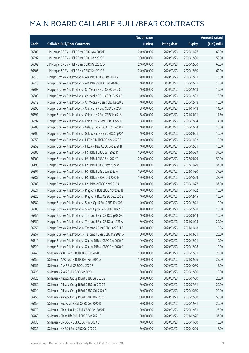|       |                                                              | No. of issue |                     |               | <b>Amount raised</b> |
|-------|--------------------------------------------------------------|--------------|---------------------|---------------|----------------------|
| Code  | <b>Callable Bull/Bear Contracts</b>                          | (units)      | <b>Listing date</b> | <b>Expiry</b> | (HK\$ mil.)          |
| 56605 | J P Morgan SP BV - HSI R Bear CBBC Nov 2020 E                | 240,000,000  | 2020/03/23          | 2020/11/27    | 60.00                |
| 56597 | J P Morgan SP BV - HSI R Bear CBBC Dec 2020 C                | 200,000,000  | 2020/03/23          | 2020/12/30    | 50.00                |
| 56602 | J P Morgan SP BV - HSI R Bear CBBC Dec 2020 D                | 240,000,000  | 2020/03/23          | 2020/12/30    | 60.00                |
| 56606 | J P Morgan SP BV - HSI R Bear CBBC Dec 2020 E                | 240,000,000  | 2020/03/23          | 2020/12/30    | 60.00                |
| 56318 | Morgan Stanley Asia Products - AIA R Bull CBBC Dec 2020 A    | 40,000,000   | 2020/03/23          | 2020/12/11    | 10.00                |
| 56313 | Morgan Stanley Asia Products - AIA R Bear CBBC Dec 2020 C    | 40,000,000   | 2020/03/23          | 2020/12/11    | 10.00                |
| 56308 | Morgan Stanley Asia Products - Ch Mobile R Bull CBBC Dec20 C | 40,000,000   | 2020/03/23          | 2020/12/18    | 10.00                |
| 56309 | Morgan Stanley Asia Products - Ch Mobile R Bull CBBC Dec20 D | 40,000,000   | 2020/03/23          | 2020/12/01    | 10.00                |
| 56312 | Morgan Stanley Asia Products - Ch Mobile R Bear CBBC Dec20 B | 40,000,000   | 2020/03/23          | 2020/12/18    | 10.00                |
| 56390 | Morgan Stanley Asia Products - China Life R Bull CBBC Jan21A | 58,000,000   | 2020/03/23          | 2021/01/18    | 14.50                |
| 56391 | Morgan Stanley Asia Products - China Life R Bull CBBC Mar21A | 58,000,000   | 2020/03/23          | 2021/03/01    | 14.50                |
| 56392 | Morgan Stanley Asia Products - China Life R Bear CBBC Dec20C | 58,000,000   | 2020/03/23          | 2020/12/04    | 14.50                |
| 56203 | Morgan Stanley Asia Products - Galaxy Ent R Bull CBBC Dec20B | 40,000,000   | 2020/03/23          | 2020/12/14    | 10.00                |
| 56202 | Morgan Stanley Asia Products - Galaxy Ent R Bear CBBC Sep20A | 40,000,000   | 2020/03/23          | 2020/09/01    | 10.00                |
| 56253 | Morgan Stanley Asia Products - HKEX R Bull CBBC Nov 2020 A   | 40,000,000   | 2020/03/23          | 2020/11/02    | 10.00                |
| 56252 | Morgan Stanley Asia Products - HKEX R Bear CBBC Dec 2020 B   | 40,000,000   | 2020/03/23          | 2020/12/01    | 10.00                |
| 56388 | Morgan Stanley Asia Products - HSI R Bull CBBC Jun 2022 K    | 150,000,000  | 2020/03/23          | 2022/06/29    | 37.50                |
| 56200 | Morgan Stanley Asia Products - HSI R Bull CBBC Sep 2022 T    | 200,000,000  | 2020/03/23          | 2022/09/29    | 50.00                |
| 56199 | Morgan Stanley Asia Products - HSI R Bull CBBC Nov 2022 W    | 150,000,000  | 2020/03/23          | 2022/11/29    | 37.50                |
| 56201 | Morgan Stanley Asia Products - HSI R Bull CBBC Jan 2023 A    | 150,000,000  | 2020/03/23          | 2023/01/30    | 37.50                |
| 56387 | Morgan Stanley Asia Products - HSI R Bear CBBC Oct 2020 E    | 150,000,000  | 2020/03/23          | 2020/10/29    | 37.50                |
| 56389 | Morgan Stanley Asia Products - HSI R Bear CBBC Nov 2020 A    | 150,000,000  | 2020/03/23          | 2020/11/27    | 37.50                |
| 56321 | Morgan Stanley Asia Products - Ping An R Bull CBBC Nov2020 B | 40,000,000   | 2020/03/23          | 2020/11/02    | 10.00                |
| 56322 | Morgan Stanley Asia Products - Ping An R Bear CBBC Dec2020 B | 40,000,000   | 2020/03/23          | 2020/12/15    | 10.00                |
| 56382 | Morgan Stanley Asia Products - Sunny Opt R Bull CBBC Dec20B  | 40,000,000   | 2020/03/23          | 2020/12/21    | 10.00                |
| 56383 | Morgan Stanley Asia Products - Sunny Opt R Bear CBBC Dec20D  | 40,000,000   | 2020/03/23          | 2020/12/18    | 10.00                |
| 56254 | Morgan Stanley Asia Products - Tencent R Bull CBBC Sep2020 C | 40,000,000   | 2020/03/23          | 2020/09/14    | 10.00                |
| 56256 | Morgan Stanley Asia Products - Tencent R Bull CBBC Jan2021 A | 80,000,000   | 2020/03/23          | 2021/01/18    | 20.00                |
| 56255 | Morgan Stanley Asia Products - Tencent R Bear CBBC Jan2021 D | 40,000,000   | 2020/03/23          | 2021/01/18    | 19.56                |
| 56257 | Morgan Stanley Asia Products - Tencent R Bear CBBC Mar2021 A | 80,000,000   | 2020/03/23          | 2021/03/01    | 20.00                |
| 56319 | Morgan Stanley Asia Products - Xiaomi R Bear CBBC Dec 2020 F | 40,000,000   | 2020/03/23          | 2020/12/01    | 10.00                |
| 56320 | Morgan Stanley Asia Products - Xiaomi R Bear CBBC Dec 2020 G | 40,000,000   | 2020/03/23          | 2020/12/08    | 10.00                |
| 56449 | SG Issuer - AAC Tech R Bull CBBC Dec 2020 C                  | 100,000,000  | 2020/03/23          | 2020/12/31    | 25.00                |
| 56450 | SG Issuer - AAC Tech R Bull CBBC Feb 2021 A                  | 100,000,000  | 2020/03/23          | 2021/02/26    | 25.00                |
| 56451 | SG Issuer - AIA R Bull CBBC Oct 2020 F                       | 60,000,000   | 2020/03/23          | 2020/10/30    | 15.00                |
| 56426 | SG Issuer - AIA R Bull CBBC Dec 2020 J                       | 60,000,000   | 2020/03/23          | 2020/12/30    | 15.00                |
| 56428 | SG Issuer - Alibaba Group R Bull CBBC Jul 2020 S             | 80,000,000   | 2020/03/23          | 2020/07/30    | 20.00                |
| 56452 | SG Issuer - Alibaba Group R Bull CBBC Jul 2020 T             | 80,000,000   | 2020/03/23          | 2020/07/31    | 20.00                |
| 56429 | SG Issuer - Alibaba Group R Bull CBBC Oct 2020 D             | 80,000,000   | 2020/03/23          | 2020/10/30    | 20.00                |
| 56453 | SG Issuer - Alibaba Group R Bull CBBC Dec 2020 C             | 200,000,000  | 2020/03/23          | 2020/12/30    | 50.00                |
| 56455 | SG Issuer - Bud Apac R Bull CBBC Dec 2020 B                  | 80,000,000   | 2020/03/23          | 2020/12/31    | 20.00                |
| 56470 | SG Issuer - China Mobile R Bull CBBC Dec 2020 F              | 100,000,000  | 2020/03/23          | 2020/12/31    | 25.00                |
| 56468 | SG Issuer - China Life R Bull CBBC Feb 2021 C                | 150,000,000  | 2020/03/23          | 2021/02/26    | 37.50                |
| 56430 | SG Issuer - CNOOC R Bull CBBC Nov 2020 C                     | 40,000,000   | 2020/03/23          | 2020/11/30    | 10.00                |
| 56431 | SG Issuer - HKEX R Bull CBBC Oct 2020 G                      | 50,000,000   | 2020/03/23          | 2020/10/29    | 18.00                |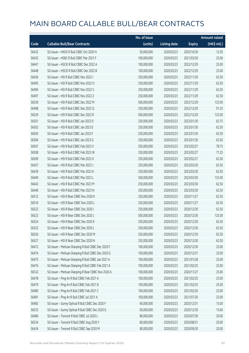|       |                                                     | No. of issue |                     |               | <b>Amount raised</b> |
|-------|-----------------------------------------------------|--------------|---------------------|---------------|----------------------|
| Code  | <b>Callable Bull/Bear Contracts</b>                 | (units)      | <b>Listing date</b> | <b>Expiry</b> | (HK\$ mil.)          |
| 56432 | SG Issuer - HKEX R Bull CBBC Oct 2020 H             | 50,000,000   | 2020/03/23          | 2020/10/30    | 12.50                |
| 56433 | SG Issuer - HSBC R Bull CBBC Mar 2021 F             | 100,000,000  | 2020/03/23          | 2021/03/30    | 25.00                |
| 56447 | SG Issuer - HSCEI R Bull CBBC Dec 2022 A            | 100,000,000  | 2020/03/23          | 2022/12/29    | 25.00                |
| 56448 | SG Issuer - HSCEI R Bull CBBC Dec 2022 B            | 100,000,000  | 2020/03/23          | 2022/12/29    | 25.00                |
| 56436 | SG Issuer - HSI R Bull CBBC Nov 2022 I              | 250,000,000  | 2020/03/23          | 2022/11/29    | 62.50                |
| 56495 | SG Issuer - HSI R Bull CBBC Nov 2022 O              | 250,000,000  | 2020/03/23          | 2022/11/29    | 62.50                |
| 56496 | SG Issuer - HSI R Bull CBBC Nov 2022 S              | 250,000,000  | 2020/03/23          | 2022/11/29    | 62.50                |
| 56497 | SG Issuer - HSI R Bull CBBC Nov 2022 Z              | 250,000,000  | 2020/03/23          | 2022/11/29    | 62.50                |
| 56530 | SG Issuer - HSI R Bull CBBC Dec 2022 M              | 500,000,000  | 2020/03/23          | 2022/12/29    | 125.00               |
| 56498 | SG Issuer - HSI R Bull CBBC Dec 2022 Q              | 250,000,000  | 2020/03/23          | 2022/12/29    | 91.25                |
| 56529 | SG Issuer - HSI R Bull CBBC Dec 2022 R              | 500,000,000  | 2020/03/23          | 2022/12/29    | 125.00               |
| 56501 | SG Issuer - HSI R Bull CBBC Jan 2023 D              | 250,000,000  | 2020/03/23          | 2023/01/30    | 63.75                |
| 56502 | SG Issuer - HSI R Bull CBBC Jan 2023 E              | 250,000,000  | 2020/03/23          | 2023/01/30    | 62.50                |
| 56505 | SG Issuer - HSI R Bull CBBC Jan 2023 F              | 250,000,000  | 2020/03/23          | 2023/01/30    | 62.50                |
| 56506 | SG Issuer - HSI R Bull CBBC Jan 2023 G              | 250,000,000  | 2020/03/23          | 2023/01/30    | 62.50                |
| 56507 | SG Issuer - HSI R Bull CBBC Feb 2023 V              | 250,000,000  | 2020/03/23          | 2023/02/27    | 78.75                |
| 56508 | SG Issuer - HSI R Bull CBBC Feb 2023 W              | 250,000,000  | 2020/03/23          | 2023/02/27    | 71.25                |
| 56509 | SG Issuer - HSI R Bull CBBC Feb 2023 X              | 250,000,000  | 2020/03/23          | 2023/02/27    | 62.50                |
| 56437 | SG Issuer - HSI R Bull CBBC Mar 2023 J              | 250,000,000  | 2020/03/23          | 2023/03/30    | 62.50                |
| 56439 | SG Issuer - HSI R Bull CBBC Mar 2023 K              | 250,000,000  | 2020/03/23          | 2023/03/30    | 62.50                |
| 56440 | SG Issuer - HSI R Bull CBBC Mar 2023 L              | 500,000,000  | 2020/03/23          | 2023/03/30    | 125.00               |
| 56442 | SG Issuer - HSI R Bull CBBC Mar 2023 M              | 250,000,000  | 2020/03/23          | 2023/03/30    | 62.50                |
| 56446 | SG Issuer - HSI R Bull CBBC Mar 2023 N              | 250,000,000  | 2020/03/23          | 2023/03/30    | 62.50                |
| 56512 | SG Issuer - HSI R Bear CBBC Nov 2020 K              | 250,000,000  | 2020/03/23          | 2020/11/27    | 62.50                |
| 56516 | SG Issuer - HSI R Bear CBBC Nov 2020 L              | 250,000,000  | 2020/03/23          | 2020/11/27    | 62.50                |
| 56522 | SG Issuer - HSI R Bear CBBC Dec 2020 I              | 250,000,000  | 2020/03/23          | 2020/12/30    | 62.50                |
| 56523 | SG Issuer - HSI R Bear CBBC Dec 2020 J              | 500,000,000  | 2020/03/23          | 2020/12/30    | 125.00               |
| 56524 | SG Issuer - HSI R Bear CBBC Dec 2020 K              | 250,000,000  | 2020/03/23          | 2020/12/30    | 62.50                |
| 56525 | SG Issuer - HSI R Bear CBBC Dec 2020 L              | 250,000,000  | 2020/03/23          | 2020/12/30    | 62.50                |
| 56526 | SG Issuer - HSI R Bear CBBC Dec 2020 M              | 250,000,000  | 2020/03/23          | 2020/12/30    | 62.50                |
| 56527 | SG Issuer - HSI R Bear CBBC Dec 2020 N              | 250,000,000  | 2020/03/23          | 2020/12/30    | 62.50                |
| 56472 | SG Issuer - Meituan Dianping R Bull CBBC Dec 2020 F | 100,000,000  | 2020/03/23          | 2020/12/30    | 25.00                |
| 56474 | SG Issuer - Meituan Dianping R Bull CBBC Dec 2020 G | 100,000,000  | 2020/03/23          | 2020/12/31    | 25.00                |
| 56475 | SG Issuer - Meituan Dianping R Bull CBBC Jan 2021 A | 100,000,000  | 2020/03/23          | 2021/01/28    | 25.00                |
| 56476 | SG Issuer - Meituan Dianping R Bull CBBC Feb 2021 A | 100,000,000  | 2020/03/23          | 2021/02/25    | 25.00                |
| 56532 | SG Issuer - Meituan Dianping R Bear CBBC Nov 2020 A | 100,000,000  | 2020/03/23          | 2020/11/27    | 25.00                |
| 56478 | SG Issuer - Ping An R Bull CBBC Feb 2021 A          | 100,000,000  | 2020/03/23          | 2021/02/25    | 25.00                |
| 56479 | SG Issuer - Ping An R Bull CBBC Feb 2021 B          | 100,000,000  | 2020/03/23          | 2021/02/25    | 25.00                |
| 56480 | SG Issuer - Ping An R Bull CBBC Feb 2021 C          | 100,000,000  | 2020/03/23          | 2021/02/26    | 25.00                |
| 56481 | SG Issuer - Ping An R Bull CBBC Jul 2021 A          | 100,000,000  | 2020/03/23          | 2021/07/30    | 25.00                |
| 56483 | SG Issuer - Sunny Optical R Bull CBBC Dec 2020 F    | 60,000,000   | 2020/03/23          | 2020/12/31    | 15.00                |
| 56533 | SG Issuer - Sunny Optical R Bull CBBC Dec 2020 G    | 60,000,000   | 2020/03/23          | 2020/12/30    | 15.60                |
| 56486 | SG Issuer - Tencent R Bull CBBC Jul 2020 L          | 80,000,000   | 2020/03/23          | 2020/07/30    | 20.00                |
| 56534 | SG Issuer - Tencent R Bull CBBC Aug 2020 Y          | 80,000,000   | 2020/03/23          | 2020/08/31    | 20.00                |
| 56434 | SG Issuer - Tencent R Bull CBBC Sep 2020 M          | 80,000,000   | 2020/03/23          | 2020/09/30    | 20.00                |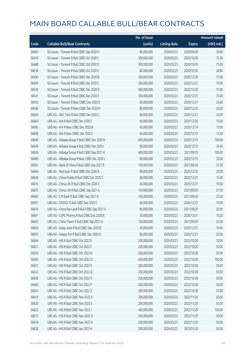|       |                                                | No. of issue |                     |               | <b>Amount raised</b> |
|-------|------------------------------------------------|--------------|---------------------|---------------|----------------------|
| Code  | <b>Callable Bull/Bear Contracts</b>            | (units)      | <b>Listing date</b> | <b>Expiry</b> | (HK\$ mil.)          |
| 56487 | SG Issuer - Tencent R Bull CBBC Sep 2020 N     | 80,000,000   | 2020/03/23          | 2020/09/28    | 30.80                |
| 56435 | SG Issuer - Tencent R Bull CBBC Oct 2020 C     | 300,000,000  | 2020/03/23          | 2020/10/30    | 75.00                |
| 56488 | SG Issuer - Tencent R Bull CBBC Oct 2020 D     | 300,000,000  | 2020/03/23          | 2020/10/30    | 75.00                |
| 56536 | SG Issuer - Tencent R Bull CBBC Oct 2020 E     | 80,000,000   | 2020/03/23          | 2020/10/30    | 28.80                |
| 56490 | SG Issuer - Tencent R Bull CBBC Dec 2020 B     | 300,000,000  | 2020/03/23          | 2020/12/30    | 75.00                |
| 56494 | SG Issuer - Tencent R Bull CBBC Dec 2020 C     | 300,000,000  | 2020/03/23          | 2020/12/31    | 75.00                |
| 56539 | SG Issuer - Tencent R Bull CBBC Dec 2020 D     | 300,000,000  | 2020/03/23          | 2020/12/30    | 75.00                |
| 56541 | SG Issuer - Tencent R Bull CBBC Dec 2020 E     | 300,000,000  | 2020/03/23          | 2020/12/31    | 75.00                |
| 56542 | SG Issuer - Tencent R Bear CBBC Dec 2020 D     | 80,000,000   | 2020/03/23          | 2020/12/31    | 20.00                |
| 56540 | SG Issuer - Tencent R Bear CBBC Dec 2020 H     | 80,000,000   | 2020/03/23          | 2020/12/30    | 20.00                |
| 56669 | UBS AG - AAC Tech R Bull CBBC Dec 2020 C       | 80,000,000   | 2020/03/23          | 2020/12/21    | 20.00                |
| 56663 | UBS AG - AIA R Bull CBBC Dec 2020 C            | 60,000,000   | 2020/03/23          | 2020/12/30    | 15.00                |
| 56695 | UBS AG - AIA R Bear CBBC Dec 2020 B            | 60,000,000   | 2020/03/23          | 2020/12/14    | 15.00                |
| 56698 | UBS AG - AIA R Bear CBBC Dec 2020 C            | 60,000,000   | 2020/03/23          | 2020/12/15    | 15.00                |
| 56648 | UBS AG - Alibaba Group R Bull CBBC Dec 2020 H  | 400,000,000  | 2020/03/23          | 2020/12/14    | 100.00               |
| 56649 | UBS AG - Alibaba Group R Bull CBBC Dec 2020 I  | 80,000,000   | 2020/03/23          | 2020/12/15    | 34.40                |
| 56626 | UBS AG - Alibaba Group R Bull CBBC Sep 2021 A  | 400,000,000  | 2020/03/23          | 2021/09/29    | 100.00               |
| 56689 | UBS AG - Alibaba Group R Bear CBBC Dec 2020 L  | 80,000,000   | 2020/03/23          | 2020/12/15    | 20.00                |
| 56681 | UBS AG - Bank of China R Bull CBBC Sep 2021 B  | 150,000,000  | 2020/03/23          | 2021/09/29    | 37.50                |
| 56666 | UBS AG - Bud Apac R Bull CBBC Dec 2020 B       | 80,000,000   | 2020/03/23          | 2020/12/30    | 20.00                |
| 56658 | UBS AG - China Mobile R Bull CBBC Dec 2020 C   | 60,000,000   | 2020/03/23          | 2020/12/31    | 15.00                |
| 56674 | UBS AG - China Life R Bull CBBC Dec 2020 C     | 40,000,000   | 2020/03/23          | 2020/12/31    | 10.00                |
| 56675 | UBS AG - China Life R Bull CBBC Sep 2021 A     | 150,000,000  | 2020/03/23          | 2021/09/29    | 37.50                |
| 56682 | UBS AG - CM Bank R Bull CBBC Sep 2021 B        | 100,000,000  | 2020/03/23          | 2021/09/29    | 25.00                |
| 56657 | UBS AG - CNOOC R Bull CBBC Dec 2020 C          | 40,000,000   | 2020/03/23          | 2020/12/31    | 10.00                |
| 56676 | UBS AG - China Res Land R Bull CBBC Sep 2021 A | 80,000,000   | 2020/03/23          | 2021/09/29    | 20.00                |
| 56661 | UBS AG - CSPC Pharma R Bull CBBC Dec 2020 B    | 30,000,000   | 2020/03/23          | 2020/12/31    | 10.20                |
| 56655 | UBS AG - China Tower R Bull CBBC Sep 2021 A    | 100,000,000  | 2020/03/23          | 2021/09/29    | 25.00                |
| 56654 | UBS AG - Geely Auto R Bull CBBC Dec 2020 B     | 40,000,000   | 2020/03/23          | 2020/12/31    | 10.40                |
| 56653 | UBS AG - Galaxy Ent R Bull CBBC Dec 2020 D     | 80,000,000   | 2020/03/23          | 2020/12/31    | 20.00                |
| 56644 | UBS AG - HSI R Bull CBBC Oct 2022 E            | 200,000,000  | 2020/03/23          | 2022/10/28    | 70.00                |
| 56627 | UBS AG - HSI R Bull CBBC Oct 2022 F            | 200,000,000  | 2020/03/23          | 2022/10/28    | 50.00                |
| 56629 | UBS AG - HSI R Bull CBBC Oct 2022 N            | 200,000,000  | 2020/03/23          | 2022/10/28    | 50.00                |
| 56650 | UBS AG - HSI R Bull CBBC Oct 2022 O            | 400,000,000  | 2020/03/23          | 2022/10/28    | 100.00               |
| 56631 | UBS AG - HSI R Bull CBBC Oct 2022 P            | 200,000,000  | 2020/03/23          | 2022/10/28    | 50.00                |
| 56633 | UBS AG - HSI R Bull CBBC Oct 2022 Q            | 200,000,000  | 2020/03/23          | 2022/10/28    | 50.00                |
| 56636 | UBS AG - HSI R Bull CBBC Oct 2022 X            | 200,000,000  | 2020/03/23          | 2022/10/28    | 50.00                |
| 56640 | UBS AG - HSI R Bull CBBC Oct 2022 Y            | 200,000,000  | 2020/03/23          | 2022/10/28    | 50.00                |
| 56642 | UBS AG - HSI R Bull CBBC Oct 2022 Z            | 200,000,000  | 2020/03/23          | 2022/10/28    | 52.00                |
| 56619 | UBS AG - HSI R Bull CBBC Nov 2022 A            | 200,000,000  | 2020/03/23          | 2022/11/29    | 50.00                |
| 56620 | UBS AG - HSI R Bull CBBC Nov 2022 E            | 200,000,000  | 2020/03/23          | 2022/11/29    | 50.00                |
| 56622 | UBS AG - HSI R Bull CBBC Nov 2022 I            | 400,000,000  | 2020/03/23          | 2022/11/29    | 100.00               |
| 56617 | UBS AG - HSI R Bull CBBC Nov 2022 O            | 200,000,000  | 2020/03/23          | 2022/11/29    | 50.00                |
| 56618 | UBS AG - HSI R Bull CBBC Nov 2022 X            | 200,000,000  | 2020/03/23          | 2022/11/29    | 50.00                |
| 56628 | UBS AG - HSI R Bull CBBC Jan 2023 H            | 200,000,000  | 2020/03/23          | 2023/01/30    | 50.00                |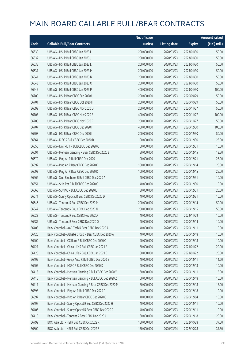|       |                                                         | No. of issue |                     |               | <b>Amount raised</b> |
|-------|---------------------------------------------------------|--------------|---------------------|---------------|----------------------|
| Code  | <b>Callable Bull/Bear Contracts</b>                     | (units)      | <b>Listing date</b> | <b>Expiry</b> | (HK\$ mil.)          |
| 56630 | UBS AG - HSI R Bull CBBC Jan 2023 I                     | 200,000,000  | 2020/03/23          | 2023/01/30    | 50.00                |
| 56632 | UBS AG - HSI R Bull CBBC Jan 2023 J                     | 200,000,000  | 2020/03/23          | 2023/01/30    | 50.00                |
| 56635 | UBS AG - HSI R Bull CBBC Jan 2023 L                     | 200,000,000  | 2020/03/23          | 2023/01/30    | 50.00                |
| 56637 | UBS AG - HSI R Bull CBBC Jan 2023 M                     | 200,000,000  | 2020/03/23          | 2023/01/30    | 50.00                |
| 56641 | UBS AG - HSI R Bull CBBC Jan 2023 N                     | 200,000,000  | 2020/03/23          | 2023/01/30    | 50.00                |
| 56643 | UBS AG - HSI R Bull CBBC Jan 2023 O                     | 200,000,000  | 2020/03/23          | 2023/01/30    | 58.00                |
| 56645 | UBS AG - HSI R Bull CBBC Jan 2023 P                     | 400,000,000  | 2020/03/23          | 2023/01/30    | 100.00               |
| 56700 | UBS AG - HSI R Bear CBBC Sep 2020 U                     | 200,000,000  | 2020/03/23          | 2020/09/29    | 50.00                |
| 56701 | UBS AG - HSI R Bear CBBC Oct 2020 H                     | 200,000,000  | 2020/03/23          | 2020/10/29    | 50.00                |
| 56699 | UBS AG - HSI R Bear CBBC Nov 2020 D                     | 200,000,000  | 2020/03/23          | 2020/11/27    | 50.00                |
| 56703 | UBS AG - HSI R Bear CBBC Nov 2020 E                     | 400,000,000  | 2020/03/23          | 2020/11/27    | 100.00               |
| 56705 | UBS AG - HSI R Bear CBBC Nov 2020 F                     | 200,000,000  | 2020/03/23          | 2020/11/27    | 50.00                |
| 56707 | UBS AG - HSI R Bear CBBC Dec 2020 H                     | 400,000,000  | 2020/03/23          | 2020/12/30    | 100.00               |
| 56708 | UBS AG - HSI R Bear CBBC Dec 2020 I                     | 200,000,000  | 2020/03/23          | 2020/12/30    | 50.00                |
| 56664 | UBS AG - ICBC R Bull CBBC Dec 2020 B                    | 100,000,000  | 2020/03/23          | 2020/12/30    | 25.00                |
| 56656 | UBS AG - Link REIT R Bull CBBC Dec 2020 C               | 60,000,000   | 2020/03/23          | 2020/12/31    | 15.00                |
| 56691 | UBS AG - Meituan Dianping R Bear CBBC Dec 2020 E        | 50,000,000   | 2020/03/23          | 2020/12/15    | 12.50                |
| 56670 | UBS AG - Ping An R Bull CBBC Dec 2020 I                 | 100,000,000  | 2020/03/23          | 2020/12/21    | 25.00                |
| 56692 | UBS AG - Ping An R Bear CBBC Dec 2020 C                 | 100,000,000  | 2020/03/23          | 2020/12/14    | 25.00                |
| 56693 | UBS AG - Ping An R Bear CBBC Dec 2020 D                 | 100,000,000  | 2020/03/23          | 2020/12/15    | 25.00                |
| 56662 | UBS AG - Sino Biopharm R Bull CBBC Dec 2020 A           | 40,000,000   | 2020/03/23          | 2020/12/31    | 10.00                |
| 56651 | UBS AG - SHK Ppt R Bull CBBC Dec 2020 C                 | 40,000,000   | 2020/03/23          | 2020/12/30    | 10.00                |
| 56668 | UBS AG - SUNAC R Bull CBBC Dec 2020 E                   | 80,000,000   | 2020/03/23          | 2020/12/31    | 20.00                |
| 56671 | UBS AG - Sunny Optical R Bull CBBC Dec 2020 D           | 40,000,000   | 2020/03/23          | 2020/12/31    | 10.00                |
| 56646 | UBS AG - Tencent R Bull CBBC Dec 2020 M                 | 200,000,000  | 2020/03/23          | 2020/12/14    | 50.00                |
| 56647 | UBS AG - Tencent R Bull CBBC Dec 2020 N                 | 200,000,000  | 2020/03/23          | 2020/12/15    | 50.00                |
| 56623 | UBS AG - Tencent R Bull CBBC Nov 2022 A                 | 40,000,000   | 2020/03/23          | 2022/11/29    | 10.00                |
| 56687 | UBS AG – Tencent R Bear CBBC Dec 2020 O                 | 40,000,000   | 2020/03/23          | 2020/12/14    | 10.00                |
| 56408 | Bank Vontobel - AAC Tech R Bear CBBC Dec 2020 A         | 40,000,000   | 2020/03/23          | 2020/12/11    | 10.00                |
| 56420 | Bank Vontobel - Alibaba Group R Bear CBBC Dec 2020 A    | 40,000,000   | 2020/03/23          | 2020/12/18    | 10.00                |
| 56400 | Bank Vontobel - CC Bank R Bull CBBC Dec 2020 C          | 40,000,000   | 2020/03/23          | 2020/12/18    | 10.00                |
| 56421 | Bank Vontobel - China Life R Bull CBBC Jan 2021 A       | 80,000,000   | 2020/03/23          | 2021/01/22    | 20.00                |
| 56425 | Bank Vontobel - China Life R Bull CBBC Jan 2021 B       | 80,000,000   | 2020/03/23          | 2021/01/22    | 20.00                |
| 56409 | Bank Vontobel - Geely Auto R Bull CBBC Dec 2020 B       | 40,000,000   | 2020/03/23          | 2020/12/11    | 11.60                |
| 56405 | Bank Vontobel - HSBC R Bull CBBC Dec 2020 D             | 40,000,000   | 2020/03/23          | 2020/12/18    | 10.00                |
| 56413 | Bank Vontobel - Meituan Dianping R Bull CBBC Dec 2020 Y | 60,000,000   | 2020/03/23          | 2020/12/11    | 15.00                |
| 56415 | Bank Vontobel - Meituan Dianping R Bull CBBC Dec 2020 Z | 60,000,000   | 2020/03/23          | 2020/12/18    | 15.00                |
| 56417 | Bank Vontobel - Meituan Dianping R Bear CBBC Dec 2020 M | 60,000,000   | 2020/03/23          | 2020/12/18    | 15.00                |
| 56398 | Bank Vontobel - Ping An R Bull CBBC Dec 2020 F          | 40,000,000   | 2020/03/23          | 2020/12/18    | 10.00                |
| 56397 | Bank Vontobel - Ping An R Bear CBBC Dec 2020 C          | 40,000,000   | 2020/03/23          | 2020/12/04    | 10.00                |
| 56407 | Bank Vontobel - Sunny Optical R Bull CBBC Dec 2020 H    | 40,000,000   | 2020/03/23          | 2020/12/11    | 10.00                |
| 56406 | Bank Vontobel - Sunny Optical R Bear CBBC Dec 2020 C    | 40,000,000   | 2020/03/23          | 2020/12/11    | 10.00                |
| 56410 | Bank Vontobel - Tencent R Bear CBBC Dec 2020 J          | 80,000,000   | 2020/03/23          | 2020/12/18    | 20.00                |
| 56799 | BOCI Asia Ltd. - HSI R Bull CBBC Oct 2022 R             | 150,000,000  | 2020/03/24          | 2022/10/28    | 37.50                |
| 56800 | BOCI Asia Ltd. - HSI R Bull CBBC Oct 2022 S             | 150,000,000  | 2020/03/24          | 2022/10/28    | 37.50                |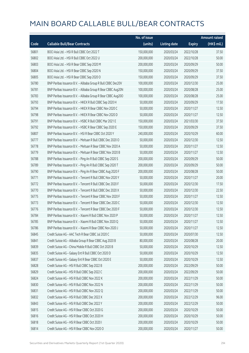|       |                                                              | No. of issue |                     |               | <b>Amount raised</b> |
|-------|--------------------------------------------------------------|--------------|---------------------|---------------|----------------------|
| Code  | <b>Callable Bull/Bear Contracts</b>                          | (units)      | <b>Listing date</b> | <b>Expiry</b> | (HK\$ mil.)          |
| 56801 | BOCI Asia Ltd. - HSI R Bull CBBC Oct 2022 T                  | 150,000,000  | 2020/03/24          | 2022/10/28    | 37.50                |
| 56802 | BOCI Asia Ltd. - HSI R Bull CBBC Oct 2022 U                  | 200,000,000  | 2020/03/24          | 2022/10/28    | 50.00                |
| 56803 | BOCI Asia Ltd. - HSI R Bear CBBC Sep 2020 M                  | 200,000,000  | 2020/03/24          | 2020/09/29    | 50.00                |
| 56804 | BOCI Asia Ltd. - HSI R Bear CBBC Sep 2020 N                  | 150,000,000  | 2020/03/24          | 2020/09/29    | 37.50                |
| 56805 | BOCI Asia Ltd. - HSI R Bear CBBC Sep 2020 O                  | 150,000,000  | 2020/03/24          | 2020/09/29    | 37.50                |
| 56780 | BNP Paribas Issuance B.V. - Alibaba Group R Bull CBBC Dec20V | 100,000,000  | 2020/03/24          | 2020/12/30    | 25.00                |
| 56781 | BNP Paribas Issuance B.V. - Alibaba Group R Bear CBBC Aug20N | 100,000,000  | 2020/03/24          | 2020/08/28    | 25.00                |
| 56783 | BNP Paribas Issuance B.V. - Alibaba Group R Bear CBBC Aug200 | 100,000,000  | 2020/03/24          | 2020/08/28    | 25.00                |
| 56793 | BNP Paribas Issuance B.V. - HKEX R Bull CBBC Sep 2020 H      | 50,000,000   | 2020/03/24          | 2020/09/29    | 17.50                |
| 56794 | BNP Paribas Issuance B.V. - HKEX R Bear CBBC Nov 2020 C      | 50,000,000   | 2020/03/24          | 2020/11/27    | 12.50                |
| 56798 | BNP Paribas Issuance B.V. - HKEX R Bear CBBC Nov 2020 D      | 50,000,000   | 2020/03/24          | 2020/11/27    | 12.50                |
| 56791 | BNP Paribas Issuance B.V. - HSBC R Bull CBBC Mar 2021 E      | 150,000,000  | 2020/03/24          | 2021/03/30    | 37.50                |
| 56792 | BNP Paribas Issuance B.V. - HSBC R Bear CBBC Sep 2020 E      | 150,000,000  | 2020/03/24          | 2020/09/29    | 37.50                |
| 56807 | BNP Paribas Issuance B.V. - HSI R Bear CBBC Oct 2020 Y       | 240,000,000  | 2020/03/24          | 2020/10/29    | 60.00                |
| 56777 | BNP Paribas Issuance B.V. - Meituan R Bull CBBC Dec 2020 O   | 50,000,000   | 2020/03/24          | 2020/12/30    | 12.50                |
| 56778 | BNP Paribas Issuance B.V. - Meituan R Bear CBBC Nov 2020 A   | 50,000,000   | 2020/03/24          | 2020/11/27    | 12.50                |
| 56779 | BNP Paribas Issuance B.V. - Meituan R Bear CBBC Nov 2020 B   | 50,000,000   | 2020/03/24          | 2020/11/27    | 12.50                |
| 56788 | BNP Paribas Issuance B.V. - Ping An R Bull CBBC Sep 2020 S   | 200,000,000  | 2020/03/24          | 2020/09/29    | 50.00                |
| 56789 | BNP Paribas Issuance B.V. - Ping An R Bull CBBC Sep 2020 T   | 200,000,000  | 2020/03/24          | 2020/09/29    | 50.00                |
| 56790 | BNP Paribas Issuance B.V. - Ping An R Bear CBBC Aug 2020 F   | 200,000,000  | 2020/03/24          | 2020/08/28    | 50.00                |
| 56771 | BNP Paribas Issuance B.V. - Tencent R Bull CBBC Nov 2020 Y   | 50,000,000   | 2020/03/24          | 2020/11/27    | 20.00                |
| 56772 | BNP Paribas Issuance B.V. - Tencent R Bull CBBC Dec 2020 F   | 50,000,000   | 2020/03/24          | 2020/12/30    | 17.50                |
| 56770 | BNP Paribas Issuance B.V. - Tencent R Bull CBBC Dec 2020 X   | 50,000,000   | 2020/03/24          | 2020/12/30    | 22.50                |
| 56775 | BNP Paribas Issuance B.V. - Tencent R Bear CBBC Nov 2020 F   | 50,000,000   | 2020/03/24          | 2020/11/27    | 12.50                |
| 56773 | BNP Paribas Issuance B.V. - Tencent R Bear CBBC Dec 2020 C   | 50,000,000   | 2020/03/24          | 2020/12/30    | 12.50                |
| 56776 | BNP Paribas Issuance B.V. - Tencent R Bear CBBC Dec 2020 F   | 50,000,000   | 2020/03/24          | 2020/12/30    | 12.50                |
| 56784 | BNP Paribas Issuance B.V. - Xiaomi R Bull CBBC Nov 2020 P    | 50,000,000   | 2020/03/24          | 2020/11/27    | 12.50                |
| 56785 | BNP Paribas Issuance B.V. - Xiaomi R Bull CBBC Nov 2020 Q    | 50,000,000   | 2020/03/24          | 2020/11/27    | 12.50                |
| 56786 | BNP Paribas Issuance B.V. - Xiaomi R Bear CBBC Nov 2020 J    | 50,000,000   | 2020/03/24          | 2020/11/27    | 12.50                |
| 56845 | Credit Suisse AG - AAC Tech R Bear CBBC Jul 2020 C           | 50,000,000   | 2020/03/24          | 2020/07/30    | 12.50                |
| 56841 | Credit Suisse AG - Alibaba Group R Bear CBBC Aug 2020 B      | 80,000,000   | 2020/03/24          | 2020/08/28    | 20.00                |
| 56839 | Credit Suisse AG - China Mobile R Bull CBBC Oct 2020 B       | 50,000,000   | 2020/03/24          | 2020/10/29    | 12.50                |
| 56835 | Credit Suisse AG - Galaxy Ent R Bull CBBC Oct 2020 D         | 50,000,000   | 2020/03/24          | 2020/10/29    | 12.50                |
| 56837 | Credit Suisse AG - Galaxy Ent R Bear CBBC Oct 2020 E         | 50,000,000   | 2020/03/24          | 2020/10/29    | 12.50                |
| 56828 | Credit Suisse AG - HSI R Bull CBBC Sep 2022 B                | 200,000,000  | 2020/03/24          | 2022/09/29    | 50.00                |
| 56829 | Credit Suisse AG - HSI R Bull CBBC Sep 2022 C                | 200,000,000  | 2020/03/24          | 2022/09/29    | 50.00                |
| 56824 | Credit Suisse AG - HSI R Bull CBBC Nov 2022 K                | 200,000,000  | 2020/03/24          | 2022/11/29    | 50.00                |
| 56830 | Credit Suisse AG - HSI R Bull CBBC Nov 2022 N                | 200,000,000  | 2020/03/24          | 2022/11/29    | 50.00                |
| 56831 | Credit Suisse AG - HSI R Bull CBBC Nov 2022 Q                | 200,000,000  | 2020/03/24          | 2022/11/29    | 50.00                |
| 56832 | Credit Suisse AG - HSI R Bull CBBC Dec 2022 X                | 200,000,000  | 2020/03/24          | 2022/12/29    | 96.00                |
| 56843 | Credit Suisse AG - HSI R Bull CBBC Dec 2022 Y                | 200,000,000  | 2020/03/24          | 2022/12/29    | 50.00                |
| 56815 | Credit Suisse AG - HSI R Bear CBBC Oct 2020 G                | 200,000,000  | 2020/03/24          | 2020/10/29    | 50.00                |
| 56816 | Credit Suisse AG - HSI R Bear CBBC Oct 2020 H                | 200,000,000  | 2020/03/24          | 2020/10/29    | 50.00                |
| 56818 | Credit Suisse AG - HSI R Bear CBBC Oct 2020 I                | 200,000,000  | 2020/03/24          | 2020/10/29    | 50.00                |
| 56814 | Credit Suisse AG - HSI R Bear CBBC Nov 2020 O                | 200,000,000  | 2020/03/24          | 2020/11/27    | 50.00                |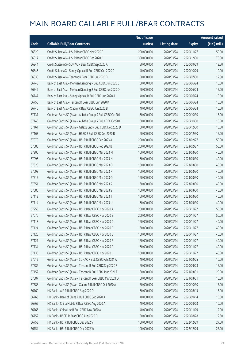|       |                                                             | No. of issue |                     |               | <b>Amount raised</b> |
|-------|-------------------------------------------------------------|--------------|---------------------|---------------|----------------------|
| Code  | <b>Callable Bull/Bear Contracts</b>                         | (units)      | <b>Listing date</b> | <b>Expiry</b> | (HK\$ mil.)          |
| 56820 | Credit Suisse AG - HSI R Bear CBBC Nov 2020 P               | 200,000,000  | 2020/03/24          | 2020/11/27    | 50.00                |
| 56817 | Credit Suisse AG - HSI R Bear CBBC Dec 2020 D               | 300,000,000  | 2020/03/24          | 2020/12/30    | 75.00                |
| 56844 | Credit Suisse AG - SUNAC R Bear CBBC Sep 2020 A             | 50,000,000   | 2020/03/24          | 2020/09/29    | 12.50                |
| 56846 | Credit Suisse AG - Sunny Optical R Bull CBBC Oct 2020 C     | 40,000,000   | 2020/03/24          | 2020/10/29    | 10.00                |
| 56838 | Credit Suisse AG - Tencent R Bear CBBC Jul 2020 D           | 50,000,000   | 2020/03/24          | 2020/07/30    | 12.50                |
| 56748 | Bank of East Asia - Meituan Dianping R Bull CBBC Jun 2020 C | 60,000,000   | 2020/03/24          | 2020/06/24    | 15.00                |
| 56749 | Bank of East Asia - Meituan Dianping R Bull CBBC Jun 2020 D | 60,000,000   | 2020/03/24          | 2020/06/24    | 15.00                |
| 56747 | Bank of East Asia - Sunny Optical R Bull CBBC Jun 2020 A    | 40,000,000   | 2020/03/24          | 2020/06/24    | 10.00                |
| 56750 | Bank of East Asia - Tencent R Bear CBBC Jun 2020 K          | 30,000,000   | 2020/03/24          | 2020/06/24    | 10.50                |
| 56746 | Bank of East Asia - Xiaomi R Bear CBBC Jun 2020 B           | 40,000,000   | 2020/03/24          | 2020/06/24    | 10.00                |
| 57137 | Goldman Sachs SP (Asia) - Alibaba Group R Bull CBBC Oct20J  | 60,000,000   | 2020/03/24          | 2020/10/30    | 15.00                |
| 57146 | Goldman Sachs SP (Asia) - Alibaba Group R Bull CBBC Oct20K  | 60,000,000   | 2020/03/24          | 2020/10/30    | 15.00                |
| 57161 | Goldman Sachs SP (Asia) - Galaxy Ent R Bull CBBC Dec 2020 D | 60,000,000   | 2020/03/24          | 2020/12/30    | 15.00                |
| 57163 | Goldman Sachs SP (Asia) - HSBC R Bull CBBC Dec 2020 B       | 60,000,000   | 2020/03/24          | 2020/12/30    | 15.00                |
| 57079 | Goldman Sachs SP (Asia) - HSI R Bull CBBC Feb 2023 A        | 200,000,000  | 2020/03/24          | 2023/02/27    | 50.00                |
| 57080 | Goldman Sachs SP (Asia) - HSI R Bull CBBC Feb 2023 B        | 200,000,000  | 2020/03/24          | 2023/02/27    | 50.00                |
| 57306 | Goldman Sachs SP (Asia) - HSI R Bull CBBC Mar 2023 M        | 160,000,000  | 2020/03/24          | 2023/03/30    | 40.00                |
| 57096 | Goldman Sachs SP (Asia) - HSI R Bull CBBC Mar 2023 N        | 160,000,000  | 2020/03/24          | 2023/03/30    | 40.00                |
| 57328 | Goldman Sachs SP (Asia) - HSI R Bull CBBC Mar 2023 O        | 160,000,000  | 2020/03/24          | 2023/03/30    | 40.00                |
| 57098 | Goldman Sachs SP (Asia) - HSI R Bull CBBC Mar 2023 P        | 160,000,000  | 2020/03/24          | 2023/03/30    | 40.00                |
| 57515 | Goldman Sachs SP (Asia) - HSI R Bull CBBC Mar 2023 Q        | 160,000,000  | 2020/03/24          | 2023/03/30    | 40.00                |
| 57551 | Goldman Sachs SP (Asia) - HSI R Bull CBBC Mar 2023 R        | 160,000,000  | 2020/03/24          | 2023/03/30    | 40.00                |
| 57580 | Goldman Sachs SP (Asia) - HSI R Bull CBBC Mar 2023 S        | 160,000,000  | 2020/03/24          | 2023/03/30    | 40.00                |
| 57112 | Goldman Sachs SP (Asia) - HSI R Bull CBBC Mar 2023 T        | 160,000,000  | 2020/03/24          | 2023/03/30    | 40.00                |
| 57114 | Goldman Sachs SP (Asia) - HSI R Bull CBBC Mar 2023 U        | 160,000,000  | 2020/03/24          | 2023/03/30    | 40.00                |
| 57256 | Goldman Sachs SP (Asia) - HSI R Bear CBBC Nov 2020 A        | 200,000,000  | 2020/03/24          | 2020/11/27    | 50.00                |
| 57076 | Goldman Sachs SP (Asia) - HSI R Bear CBBC Nov 2020 B        | 200,000,000  | 2020/03/24          | 2020/11/27    | 50.00                |
| 57118 | Goldman Sachs SP (Asia) - HSI R Bear CBBC Nov 2020 C        | 160,000,000  | 2020/03/24          | 2020/11/27    | 40.00                |
| 57124 | Goldman Sachs SP (Asia) - HSI R Bear CBBC Nov 2020 D        | 160,000,000  | 2020/03/24          | 2020/11/27    | 40.00                |
| 57126 | Goldman Sachs SP (Asia) - HSI R Bear CBBC Nov 2020 E        | 160,000,000  | 2020/03/24          | 2020/11/27    | 40.00                |
| 57127 | Goldman Sachs SP (Asia) - HSI R Bear CBBC Nov 2020 F        | 160,000,000  | 2020/03/24          | 2020/11/27    | 40.00                |
| 57134 | Goldman Sachs SP (Asia) - HSI R Bear CBBC Nov 2020 G        | 160,000,000  | 2020/03/24          | 2020/11/27    | 40.00                |
| 57136 | Goldman Sachs SP (Asia) - HSI R Bear CBBC Nov 2020 H        | 160,000,000  | 2020/03/24          | 2020/11/27    | 40.00                |
| 57612 | Goldman Sachs SP (Asia) - SUNAC R Bull CBBC Feb 2021 A      | 40,000,000   | 2020/03/24          | 2021/02/25    | 10.00                |
| 57586 | Goldman Sachs SP (Asia) - Tencent R Bull CBBC Sep 2020 F    | 60,000,000   | 2020/03/24          | 2020/09/28    | 15.00                |
| 57152 | Goldman Sachs SP (Asia) - Tencent R Bull CBBC Mar 2021 E    | 80,000,000   | 2020/03/24          | 2021/03/31    | 20.00                |
| 57587 | Goldman Sachs SP (Asia) - Tencent R Bear CBBC Mar 2021 D    | 60,000,000   | 2020/03/24          | 2021/03/31    | 15.00                |
| 57588 | Goldman Sachs SP (Asia) - Xiaomi R Bull CBBC Oct 2020 A     | 60,000,000   | 2020/03/24          | 2020/10/30    | 15.00                |
| 56760 | HK Bank - AIA R Bull CBBC Aug 2020 D                        | 60,000,000   | 2020/03/24          | 2020/08/13    | 15.00                |
| 56763 | HK Bank - Bank of China R Bull CBBC Sep 2020 A              | 40,000,000   | 2020/03/24          | 2020/09/14    | 10.00                |
| 56762 | HK Bank - China Mobile R Bear CBBC Aug 2020 A               | 40,000,000   | 2020/03/24          | 2020/08/03    | 10.00                |
| 56766 | HK Bank - China Life R Bull CBBC Nov 2020 A                 | 40,000,000   | 2020/03/24          | 2020/11/09    | 12.00                |
| 56752 | HK Bank - HSCEI R Bear CBBC Aug 2020 D                      | 50,000,000   | 2020/03/24          | 2020/08/28    | 12.50                |
| 56753 | HK Bank - HSI R Bull CBBC Dec 2022 V                        | 100,000,000  | 2020/03/24          | 2022/12/29    | 27.00                |
| 56754 | HK Bank - HSI R Bull CBBC Dec 2022 W                        | 100,000,000  | 2020/03/24          | 2022/12/29    | 25.00                |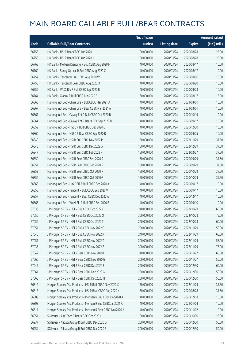|       |                                                              | No. of issue |                     |               | <b>Amount raised</b>  |
|-------|--------------------------------------------------------------|--------------|---------------------|---------------|-----------------------|
| Code  | <b>Callable Bull/Bear Contracts</b>                          | (units)      | <b>Listing date</b> | <b>Expiry</b> | $(HK\frac{1}{2}mil.)$ |
| 56755 | HK Bank - HSI R Bear CBBC Aug 2020 I                         | 100,000,000  | 2020/03/24          | 2020/08/28    | 25.00                 |
| 56758 | HK Bank - HSI R Bear CBBC Aug 2020 J                         | 100,000,000  | 2020/03/24          | 2020/08/28    | 25.00                 |
| 56765 | HK Bank - Meituan Dianping R Bull CBBC Aug 2020 F            | 40,000,000   | 2020/03/24          | 2020/08/17    | 10.00                 |
| 56769 | HK Bank - Sunny Optical R Bull CBBC Aug 2020 C               | 40,000,000   | 2020/03/24          | 2020/08/17    | 10.00                 |
| 56757 | HK Bank - Tencent R Bull CBBC Aug 2020 W                     | 40,000,000   | 2020/03/24          | 2020/08/06    | 10.00                 |
| 56756 | HK Bank - Tencent R Bear CBBC Aug 2020 O                     | 40,000,000   | 2020/03/24          | 2020/08/20    | 10.00                 |
| 56759 | HK Bank - WuXi Bio R Bull CBBC Sep 2020 B                    | 40,000,000   | 2020/03/24          | 2020/09/28    | 10.00                 |
| 56764 | HK Bank - Xiaomi R Bull CBBC Aug 2020 E                      | 60,000,000   | 2020/03/24          | 2020/08/17    | 15.00                 |
| 56866 | Haitong Int'l Sec - China Life R Bull CBBC Mar 2021 A        | 40,000,000   | 2020/03/24          | 2021/03/01    | 10.00                 |
| 56867 | Haitong Int'l Sec - China Life R Bear CBBC Mar 2021 A        | 40,000,000   | 2020/03/24          | 2021/03/01    | 10.00                 |
| 56861 | Haitong Int'l Sec - Galaxy Ent R Bull CBBC Oct 2020 B        | 40,000,000   | 2020/03/24          | 2020/10/19    | 10.00                 |
| 56864 | Haitong Int'l Sec - Galaxy Ent R Bear CBBC Sep 2020 B        | 40,000,000   | 2020/03/24          | 2020/09/17    | 10.00                 |
| 56859 | Haitong Int'l Sec - HSBC R Bull CBBC Dec 2020 C              | 40,000,000   | 2020/03/24          | 2020/12/30    | 10.00                 |
| 56860 | Haitong Int'l Sec - HSBC R Bear CBBC Sep 2020 B              | 40,000,000   | 2020/03/24          | 2020/09/25    | 10.00                 |
| 56849 | Haitong Int'l Sec - HSI R Bull CBBC Nov 2022 M               | 150,000,000  | 2020/03/24          | 2022/11/29    | 37.50                 |
| 56848 | Haitong Int'l Sec - HSI R Bull CBBC Dec 2022 G               | 150,000,000  | 2020/03/24          | 2022/12/29    | 37.50                 |
| 56847 | Haitong Int'l Sec - HSI R Bull CBBC Feb 2023 F               | 150,000,000  | 2020/03/24          | 2023/02/27    | 37.50                 |
| 56850 | Haitong Int'l Sec - HSI R Bear CBBC Sep 2020 R               | 150,000,000  | 2020/03/24          | 2020/09/29    | 37.50                 |
| 56851 | Haitong Int'l Sec - HSI R Bear CBBC Sep 2020 S               | 150,000,000  | 2020/03/24          | 2020/09/29    | 37.50                 |
| 56853 | Haitong Int'l Sec - HSI R Bear CBBC Oct 2020 F               | 150,000,000  | 2020/03/24          | 2020/10/29    | 37.50                 |
| 56854 | Haitong Int'l Sec - HSI R Bear CBBC Oct 2020 G               | 150,000,000  | 2020/03/24          | 2020/10/29    | 37.50                 |
| 56868 | Haitong Int'l Sec - Link REIT R Bull CBBC Sep 2020 A         | 40,000,000   | 2020/03/24          | 2020/09/17    | 10.00                 |
| 56858 | Haitong Int'l Sec - Tencent R Bull CBBC Sep 2020 V           | 40,000,000   | 2020/03/24          | 2020/09/17    | 10.00                 |
| 56857 | Haitong Int'l Sec - Tencent R Bear CBBC Dec 2020 A           | 40,000,000   | 2020/03/24          | 2020/12/17    | 10.00                 |
| 56865 | Haitong Int'l Sec - WuXi Bio R Bull CBBC Sep 2020 B          | 40,000,000   | 2020/03/24          | 2020/09/10    | 10.00                 |
| 57033 | J P Morgan SP BV - HSI R Bull CBBC Oct 2022 K                | 240,000,000  | 2020/03/24          | 2022/10/28    | 60.00                 |
| 57050 | J P Morgan SP BV - HSI R Bull CBBC Oct 2022 O                | 300,000,000  | 2020/03/24          | 2022/10/28    | 75.00                 |
| 57054 | J P Morgan SP BV - HSI R Bull CBBC Oct 2022 T                | 240,000,000  | 2020/03/24          | 2022/10/28    | 60.00                 |
| 57051 | J P Morgan SP BV - HSI R Bull CBBC Nov 2022 G                | 200,000,000  | 2020/03/24          | 2022/11/29    | 50.00                 |
| 57040 | J P Morgan SP BV - HSI R Bull CBBC Nov 2022 R                | 240,000,000  | 2020/03/24          | 2022/11/29    | 60.00                 |
| 57057 | J P Morgan SP BV - HSI R Bull CBBC Nov 2022 T                | 200,000,000  | 2020/03/24          | 2022/11/29    | 58.00                 |
| 57035 | J P Morgan SP BV - HSI R Bull CBBC Nov 2022 Z                | 300,000,000  | 2020/03/24          | 2022/11/29    | 75.00                 |
| 57042 | J P Morgan SP BV - HSI R Bear CBBC Nov 2020 F                | 240,000,000  | 2020/03/24          | 2020/11/27    | 60.00                 |
| 57060 | J P Morgan SP BV - HSI R Bear CBBC Nov 2020 G                | 200,000,000  | 2020/03/24          | 2020/11/27    | 50.00                 |
| 57047 | J P Morgan SP BV - HSI R Bear CBBC Dec 2020 F                | 240,000,000  | 2020/03/24          | 2020/12/30    | 60.00                 |
| 57061 | J P Morgan SP BV - HSI R Bear CBBC Dec 2020 G                | 200,000,000  | 2020/03/24          | 2020/12/30    | 50.00                 |
| 57065 | J P Morgan SP BV - HSI R Bear CBBC Dec 2020 H                | 200,000,000  | 2020/03/24          | 2020/12/30    | 50.00                 |
| 56812 | Morgan Stanley Asia Products - HSI R Bull CBBC Nov 2022 X    | 150,000,000  | 2020/03/24          | 2022/11/29    | 37.50                 |
| 56813 | Morgan Stanley Asia Products - HSI R Bear CBBC Aug 2020 K    | 150,000,000  | 2020/03/24          | 2020/08/28    | 37.50                 |
| 56809 | Morgan Stanley Asia Products - Meituan R Bull CBBC Dec2020 A | 40,000,000   | 2020/03/24          | 2020/12/18    | 10.00                 |
| 56808 | Morgan Stanley Asia Products - Meituan R Bull CBBC Jan2021 A | 40,000,000   | 2020/03/24          | 2021/01/04    | 10.00                 |
| 56811 | Morgan Stanley Asia Products - Meituan R Bear CBBC Nov2020 A | 40,000,000   | 2020/03/24          | 2020/11/02    | 10.00                 |
| 56951 | SG Issuer - AAC Tech R Bear CBBC Oct 2020 C                  | 100,000,000  | 2020/03/24          | 2020/10/30    | 25.00                 |
| 56937 | SG Issuer - Alibaba Group R Bull CBBC Dec 2020 D             | 200,000,000  | 2020/03/24          | 2020/12/30    | 50.00                 |
| 56954 | SG Issuer - Alibaba Group R Bull CBBC Dec 2020 E             | 200,000,000  | 2020/03/24          | 2020/12/30    | 50.00                 |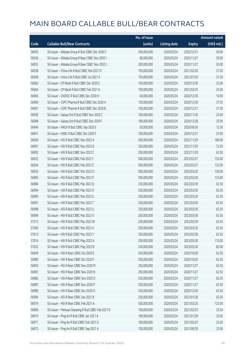|       |                                                     | No. of issue |                     |               | <b>Amount raised</b> |
|-------|-----------------------------------------------------|--------------|---------------------|---------------|----------------------|
| Code  | <b>Callable Bull/Bear Contracts</b>                 | (units)      | <b>Listing date</b> | <b>Expiry</b> | (HK\$ mil.)          |
| 56955 | SG Issuer - Alibaba Group R Bull CBBC Dec 2020 F    | 200,000,000  | 2020/03/24          | 2020/12/31    | 50.00                |
| 56936 | SG Issuer - Alibaba Group R Bear CBBC Nov 2020 I    | 80,000,000   | 2020/03/24          | 2020/11/27    | 20.00                |
| 56953 | SG Issuer - Alibaba Group R Bear CBBC Nov 2020 J    | 200,000,000  | 2020/03/24          | 2020/11/27    | 50.00                |
| 56938 | SG Issuer - China Life R Bull CBBC Feb 2021 D       | 150,000,000  | 2020/03/24          | 2021/02/26    | 37.50                |
| 56958 | SG Issuer - China Life R Bull CBBC Jul 2021 A       | 150,000,000  | 2020/03/24          | 2021/07/30    | 37.50                |
| 56963 | SG Issuer - CM Bank R Bull CBBC Dec 2020 C          | 100,000,000  | 2020/03/24          | 2020/12/30    | 25.00                |
| 56964 | SG Issuer - CM Bank R Bull CBBC Feb 2021 A          | 100,000,000  | 2020/03/24          | 2021/02/25    | 25.00                |
| 56965 | SG Issuer - CNOOC R Bull CBBC Dec 2020 H            | 40,000,000   | 2020/03/24          | 2020/12/30    | 10.00                |
| 56966 | SG Issuer - CSPC Pharma R Bull CBBC Dec 2020 A      | 150,000,000  | 2020/03/24          | 2020/12/30    | 37.50                |
| 56967 | SG Issuer - CSPC Pharma R Bull CBBC Dec 2020 B      | 150,000,000  | 2020/03/24          | 2020/12/31    | 37.50                |
| 56939 | SG Issuer - Galaxy Ent R Bull CBBC Nov 2020 C       | 100,000,000  | 2020/03/24          | 2020/11/30    | 25.00                |
| 56968 | SG Issuer - Galaxy Ent R Bull CBBC Dec 2020 F       | 100,000,000  | 2020/03/24          | 2020/12/28    | 25.00                |
| 56940 | SG Issuer - HKEX R Bull CBBC Sep 2020 E             | 50,000,000   | 2020/03/24          | 2020/09/30    | 12.50                |
| 56941 | SG Issuer - HSBC R Bull CBBC Dec 2020 F             | 100,000,000  | 2020/03/24          | 2020/12/31    | 25.00                |
| 56930 | SG Issuer - HSI R Bull CBBC Nov 2022 A              | 500,000,000  | 2020/03/24          | 2022/11/29    | 180.00               |
| 56991 | SG Issuer - HSI R Bull CBBC Nov 2022 B              | 250,000,000  | 2020/03/24          | 2022/11/29    | 72.50                |
| 56992 | SG Issuer - HSI R Bull CBBC Nov 2022 C              | 250,000,000  | 2020/03/24          | 2022/11/29    | 62.50                |
| 56932 | SG Issuer - HSI R Bull CBBC Feb 2023 Y              | 500,000,000  | 2020/03/24          | 2023/02/27    | 155.00               |
| 56934 | SG Issuer - HSI R Bull CBBC Feb 2023 Z              | 500,000,000  | 2020/03/24          | 2023/02/27    | 125.00               |
| 56935 | SG Issuer - HSI R Bull CBBC Mar 2023 O              | 500,000,000  | 2020/03/24          | 2023/03/30    | 130.00               |
| 56983 | SG Issuer - HSI R Bull CBBC Mar 2023 P              | 500,000,000  | 2020/03/24          | 2023/03/30    | 125.00               |
| 56984 | SG Issuer - HSI R Bull CBBC Mar 2023 Q              | 250,000,000  | 2020/03/24          | 2023/03/30    | 62.50                |
| 56994 | SG Issuer - HSI R Bull CBBC Mar 2023 R              | 250,000,000  | 2020/03/24          | 2023/03/30    | 62.50                |
| 56995 | SG Issuer - HSI R Bull CBBC Mar 2023 S              | 250,000,000  | 2020/03/24          | 2023/03/30    | 62.50                |
| 56997 | SG Issuer - HSI R Bull CBBC Mar 2023 T              | 250,000,000  | 2020/03/24          | 2023/03/30    | 62.50                |
| 56998 | SG Issuer - HSI R Bull CBBC Mar 2023 U              | 250,000,000  | 2020/03/24          | 2023/03/30    | 62.50                |
| 56999 | SG Issuer - HSI R Bull CBBC Mar 2023 V              | 250,000,000  | 2020/03/24          | 2023/03/30    | 62.50                |
| 57213 | SG Issuer – HSI R Bull CBBC Mar 2023 W              | 250,000,000  | 2020/03/24          | 2023/03/30    | 62.50                |
| 57006 | SG Issuer - HSI R Bull CBBC Mar 2023 X              | 250,000,000  | 2020/03/24          | 2023/03/30    | 62.50                |
| 57013 | SG Issuer - HSI R Bull CBBC Mar 2023 Y              | 250,000,000  | 2020/03/24          | 2023/03/30    | 62.50                |
| 57014 | SG Issuer - HSI R Bull CBBC May 2023 A              | 250,000,000  | 2020/03/24          | 2023/05/30    | 110.00               |
| 57032 | SG Issuer - HSI R Bull CBBC May 2023 B              | 250,000,000  | 2020/03/24          | 2023/05/30    | 85.00                |
| 56949 | SG Issuer - HSI R Bear CBBC Oct 2020 E              | 250,000,000  | 2020/03/24          | 2020/10/29    | 62.50                |
| 56980 | SG Issuer - HSI R Bear CBBC Oct 2020 F              | 250,000,000  | 2020/03/24          | 2020/10/29    | 62.50                |
| 56950 | SG Issuer - HSI R Bear CBBC Nov 2020 M              | 250,000,000  | 2020/03/24          | 2020/11/27    | 62.50                |
| 56981 | SG Issuer - HSI R Bear CBBC Nov 2020 N              | 250,000,000  | 2020/03/24          | 2020/11/27    | 62.50                |
| 56985 | SG Issuer - HSI R Bear CBBC Nov 2020 O              | 250,000,000  | 2020/03/24          | 2020/11/27    | 62.50                |
| 56987 | SG Issuer - HSI R Bear CBBC Nov 2020 P              | 250,000,000  | 2020/03/24          | 2020/11/27    | 62.50                |
| 56989 | SG Issuer - HSI R Bear CBBC Dec 2020 O              | 250,000,000  | 2020/03/24          | 2020/12/30    | 62.50                |
| 56990 | SG Issuer - HSI R Bear CBBC Jan 2021 B              | 250,000,000  | 2020/03/24          | 2021/01/28    | 62.50                |
| 56979 | SG Issuer - HSI R Bear CBBC Feb 2021 A              | 500,000,000  | 2020/03/24          | 2021/02/25    | 125.00               |
| 56969 | SG Issuer - Meituan Dianping R Bull CBBC Feb 2021 B | 100,000,000  | 2020/03/24          | 2021/02/25    | 25.50                |
| 56970 | SG Issuer - Ping An R Bull CBBC Jan 2021 A          | 100,000,000  | 2020/03/24          | 2021/01/28    | 25.00                |
| 56971 | SG Issuer - Ping An R Bull CBBC Feb 2021 D          | 100,000,000  | 2020/03/24          | 2021/02/25    | 25.00                |
| 56972 | SG Issuer - Ping An R Bull CBBC Sep 2021 A          | 100,000,000  | 2020/03/24          | 2021/09/30    | 25.00                |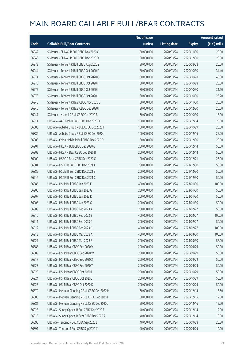|       |                                                  | No. of issue |                     |               | <b>Amount raised</b> |
|-------|--------------------------------------------------|--------------|---------------------|---------------|----------------------|
| Code  | <b>Callable Bull/Bear Contracts</b>              | (units)      | <b>Listing date</b> | <b>Expiry</b> | (HK\$ mil.)          |
| 56942 | SG Issuer - SUNAC R Bull CBBC Nov 2020 C         | 80,000,000   | 2020/03/24          | 2020/11/30    | 20.00                |
| 56943 | SG Issuer - SUNAC R Bull CBBC Dec 2020 D         | 80,000,000   | 2020/03/24          | 2020/12/30    | 20.00                |
| 56973 | SG Issuer - Tencent R Bull CBBC Aug 2020 Z       | 80,000,000   | 2020/03/24          | 2020/08/28    | 20.00                |
| 56944 | SG Issuer - Tencent R Bull CBBC Oct 2020 F       | 80,000,000   | 2020/03/24          | 2020/10/30    | 34.40                |
| 56974 | SG Issuer - Tencent R Bull CBBC Oct 2020 G       | 80,000,000   | 2020/03/24          | 2020/10/28    | 48.80                |
| 56976 | SG Issuer - Tencent R Bull CBBC Oct 2020 H       | 80,000,000   | 2020/03/24          | 2020/10/28    | 20.00                |
| 56977 | SG Issuer - Tencent R Bull CBBC Oct 2020 I       | 80,000,000   | 2020/03/24          | 2020/10/30    | 31.60                |
| 56978 | SG Issuer - Tencent R Bull CBBC Oct 2020 J       | 80,000,000   | 2020/03/24          | 2020/10/30    | 25.20                |
| 56945 | SG Issuer - Tencent R Bear CBBC Nov 2020 E       | 80,000,000   | 2020/03/24          | 2020/11/30    | 26.00                |
| 56946 | SG Issuer - Tencent R Bear CBBC Dec 2020 I       | 80,000,000   | 2020/03/24          | 2020/12/30    | 20.00                |
| 56947 | SG Issuer - Xiaomi R Bull CBBC Oct 2020 B        | 60,000,000   | 2020/03/24          | 2020/10/30    | 15.00                |
| 56914 | UBS AG - AAC Tech R Bull CBBC Dec 2020 D         | 100,000,000  | 2020/03/24          | 2020/12/14    | 25.00                |
| 56883 | UBS AG - Alibaba Group R Bull CBBC Oct 2020 F    | 100,000,000  | 2020/03/24          | 2020/10/29    | 26.50                |
| 56882 | UBS AG - Alibaba Group R Bull CBBC Dec 2020 J    | 100,000,000  | 2020/03/24          | 2020/12/16    | 25.00                |
| 56905 | UBS AG - China Mobile R Bull CBBC Dec 2020 D     | 80,000,000   | 2020/03/24          | 2020/12/30    | 20.00                |
| 56901 | UBS AG - HKEX R Bull CBBC Dec 2020 G             | 200,000,000  | 2020/03/24          | 2020/12/14    | 50.00                |
| 56902 | UBS AG - HKEX R Bear CBBC Dec 2020 B             | 200,000,000  | 2020/03/24          | 2020/12/14    | 50.00                |
| 56900 | UBS AG - HSBC R Bear CBBC Dec 2020 C             | 100,000,000  | 2020/03/24          | 2020/12/21    | 25.00                |
| 56884 | UBS AG - HSCEI R Bull CBBC Dec 2021 A            | 200,000,000  | 2020/03/24          | 2021/12/30    | 50.00                |
| 56885 | UBS AG - HSCEI R Bull CBBC Dec 2021 B            | 200,000,000  | 2020/03/24          | 2021/12/30    | 50.00                |
| 56916 | UBS AG - HSCEI R Bull CBBC Dec 2021 C            | 200,000,000  | 2020/03/24          | 2021/12/30    | 50.00                |
| 56886 | UBS AG - HSI R Bull CBBC Jan 2023 F              | 400,000,000  | 2020/03/24          | 2023/01/30    | 100.00               |
| 56906 | UBS AG - HSI R Bull CBBC Jan 2023 G              | 200,000,000  | 2020/03/24          | 2023/01/30    | 50.00                |
| 56907 | UBS AG - HSI R Bull CBBC Jan 2023 K              | 200,000,000  | 2020/03/24          | 2023/01/30    | 50.00                |
| 56908 | UBS AG - HSI R Bull CBBC Jan 2023 O              | 200,000,000  | 2020/03/24          | 2023/01/30    | 50.00                |
| 56909 | UBS AG - HSI R Bull CBBC Feb 2023 A              | 200,000,000  | 2020/03/24          | 2023/02/27    | 50.00                |
| 56910 | UBS AG - HSI R Bull CBBC Feb 2023 B              | 400,000,000  | 2020/03/24          | 2023/02/27    | 100.00               |
| 56911 | UBS AG - HSI R Bull CBBC Feb 2023 C              | 200,000,000  | 2020/03/24          | 2023/02/27    | 50.00                |
| 56912 | UBS AG - HSI R Bull CBBC Feb 2023 D              | 400,000,000  | 2020/03/24          | 2023/02/27    | 100.00               |
| 56913 | UBS AG - HSI R Bull CBBC Mar 2023 A              | 400,000,000  | 2020/03/24          | 2023/03/30    | 100.00               |
| 56927 | UBS AG - HSI R Bull CBBC Mar 2023 B              | 200,000,000  | 2020/03/24          | 2023/03/30    | 56.00                |
| 56888 | UBS AG - HSI R Bear CBBC Sep 2020 V              | 200,000,000  | 2020/03/24          | 2020/09/29    | 50.00                |
| 56889 | UBS AG - HSI R Bear CBBC Sep 2020 W              | 200,000,000  | 2020/03/24          | 2020/09/29    | 50.00                |
| 56917 | UBS AG - HSI R Bear CBBC Sep 2020 X              | 200,000,000  | 2020/03/24          | 2020/09/29    | 50.00                |
| 56923 | UBS AG - HSI R Bear CBBC Sep 2020 Y              | 200,000,000  | 2020/03/24          | 2020/09/29    | 50.00                |
| 56920 | UBS AG - HSI R Bear CBBC Oct 2020 I              | 200,000,000  | 2020/03/24          | 2020/10/29    | 50.00                |
| 56924 | UBS AG - HSI R Bear CBBC Oct 2020 J              | 200,000,000  | 2020/03/24          | 2020/10/29    | 50.00                |
| 56925 | UBS AG - HSI R Bear CBBC Oct 2020 K              | 200,000,000  | 2020/03/24          | 2020/10/29    | 50.00                |
| 56879 | UBS AG - Meituan Dianping R Bull CBBC Dec 2020 H | 60,000,000   | 2020/03/24          | 2020/12/14    | 15.60                |
| 56880 | UBS AG - Meituan Dianping R Bull CBBC Dec 2020 I | 50,000,000   | 2020/03/24          | 2020/12/15    | 12.50                |
| 56881 | UBS AG - Meituan Dianping R Bull CBBC Dec 2020 J | 50,000,000   | 2020/03/24          | 2020/12/16    | 12.50                |
| 56928 | UBS AG - Sunny Optical R Bull CBBC Dec 2020 E    | 40,000,000   | 2020/03/24          | 2020/12/14    | 12.00                |
| 56915 | UBS AG - Sunny Optical R Bear CBBC Dec 2020 A    | 40,000,000   | 2020/03/24          | 2020/12/14    | 10.00                |
| 56890 | UBS AG - Tencent R Bull CBBC Sep 2020 L          | 40,000,000   | 2020/03/24          | 2020/09/28    | 20.80                |
| 56891 | UBS AG - Tencent R Bull CBBC Sep 2020 M          | 40,000,000   | 2020/03/24          | 2020/09/29    | 10.00                |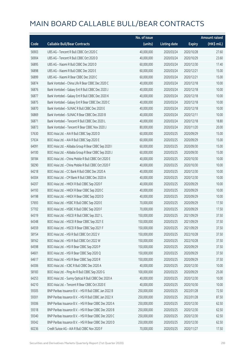|       |                                                        | No. of issue |                     |               | <b>Amount raised</b> |
|-------|--------------------------------------------------------|--------------|---------------------|---------------|----------------------|
| Code  | <b>Callable Bull/Bear Contracts</b>                    | (units)      | <b>Listing date</b> | <b>Expiry</b> | (HK\$ mil.)          |
| 56903 | UBS AG - Tencent R Bull CBBC Oct 2020 C                | 40,000,000   | 2020/03/24          | 2020/10/28    | 27.60                |
| 56904 | UBS AG - Tencent R Bull CBBC Oct 2020 D                | 40,000,000   | 2020/03/24          | 2020/10/29    | 23.60                |
| 56895 | UBS AG - Xiaomi R Bull CBBC Dec 2020 D                 | 60,000,000   | 2020/03/24          | 2020/12/30    | 17.40                |
| 56898 | UBS AG - Xiaomi R Bull CBBC Dec 2020 E                 | 60,000,000   | 2020/03/24          | 2020/12/21    | 15.00                |
| 56899 | UBS AG - Xiaomi R Bear CBBC Dec 2020 C                 | 60,000,000   | 2020/03/24          | 2020/12/21    | 15.00                |
| 56874 | Bank Vontobel - China Life R Bear CBBC Dec 2020 C      | 40,000,000   | 2020/03/24          | 2020/12/18    | 10.00                |
| 56876 | Bank Vontobel - Galaxy Ent R Bull CBBC Dec 2020 J      | 40,000,000   | 2020/03/24          | 2020/12/18    | 10.00                |
| 56877 | Bank Vontobel - Galaxy Ent R Bull CBBC Dec 2020 K      | 40,000,000   | 2020/03/24          | 2020/12/18    | 10.00                |
| 56875 | Bank Vontobel - Galaxy Ent R Bear CBBC Dec 2020 C      | 40,000,000   | 2020/03/24          | 2020/12/18    | 10.00                |
| 56870 | Bank Vontobel - SUNAC R Bull CBBC Dec 2020 E           | 40,000,000   | 2020/03/24          | 2020/12/18    | 10.00                |
| 56869 | Bank Vontobel - SUNAC R Bear CBBC Dec 2020 B           | 40,000,000   | 2020/03/24          | 2020/12/11    | 10.00                |
| 56871 | Bank Vontobel - Tencent R Bull CBBC Dec 2020 L         | 40,000,000   | 2020/03/24          | 2020/12/18    | 18.80                |
| 56873 | Bank Vontobel - Tencent R Bear CBBC Nov 2020 J         | 80,000,000   | 2020/03/24          | 2020/11/20    | 20.00                |
| 57630 | BOCI Asia Ltd. - AIA R Bull CBBC Sep 2020 D            | 60,000,000   | 2020/03/25          | 2020/09/29    | 15.00                |
| 57634 | BOCI Asia Ltd. - AIA R Bull CBBC Sep 2020 E            | 60,000,000   | 2020/03/25          | 2020/09/29    | 15.00                |
| 64091 | BOCI Asia Ltd. - Alibaba Group R Bear CBBC Sep 2020 I  | 60,000,000   | 2020/03/25          | 2020/09/30    | 15.00                |
| 64100 | BOCI Asia Ltd. - Alibaba Group R Bear CBBC Sep 2020 J  | 60,000,000   | 2020/03/25          | 2020/09/30    | 15.00                |
| 58184 | BOCI Asia Ltd. - China Mobile R Bull CBBC Oct 2020 E   | 40,000,000   | 2020/03/25          | 2020/10/30    | 10.00                |
| 58290 | BOCI Asia Ltd. - China Mobile R Bull CBBC Oct 2020 F   | 40,000,000   | 2020/03/25          | 2020/10/30    | 10.00                |
| 64218 | BOCI Asia Ltd. - CC Bank R Bull CBBC Dec 2020 A        | 40,000,000   | 2020/03/25          | 2020/12/30    | 10.00                |
| 64304 | BOCI Asia Ltd. - CM Bank R Bull CBBC Dec 2020 A        | 40,000,000   | 2020/03/25          | 2020/12/30    | 10.00                |
| 64207 | BOCI Asia Ltd. - HKEX R Bull CBBC Sep 2020 F           | 40,000,000   | 2020/03/25          | 2020/09/29    | 10.00                |
| 64193 | BOCI Asia Ltd. - HKEX R Bear CBBC Sep 2020 C           | 40,000,000   | 2020/03/25          | 2020/09/29    | 10.00                |
| 64198 | BOCI Asia Ltd. - HKEX R Bear CBBC Sep 2020 D           | 40,000,000   | 2020/03/25          | 2020/09/29    | 10.00                |
| 57693 | BOCI Asia Ltd. - HSBC R Bull CBBC Sep 2020 E           | 70,000,000   | 2020/03/25          | 2020/09/29    | 17.50                |
| 57702 | BOCI Asia Ltd. - HSBC R Bull CBBC Sep 2020 F           | 70,000,000   | 2020/03/25          | 2020/09/29    | 17.50                |
| 64319 | BOCI Asia Ltd. - HSCEI R Bull CBBC Sep 2021 L          | 150,000,000  | 2020/03/25          | 2021/09/29    | 37.50                |
| 64348 | BOCI Asia Ltd. - HSCEI R Bear CBBC Sep 2021 E          | 150,000,000  | 2020/03/25          | 2021/09/29    | 37.50                |
| 64559 | BOCI Asia Ltd. - HSCEI R Bear CBBC Sep 2021 F          | 150,000,000  | 2020/03/25          | 2021/09/29    | 37.50                |
| 58154 | BOCI Asia Ltd. - HSI R Bull CBBC Oct 2022 V            | 150,000,000  | 2020/03/25          | 2022/10/28    | 37.50                |
| 58162 | BOCI Asia Ltd. - HSI R Bull CBBC Oct 2022 W            | 150,000,000  | 2020/03/25          | 2022/10/28    | 37.50                |
| 64598 | BOCI Asia Ltd. - HSI R Bear CBBC Sep 2020 P            | 150,000,000  | 2020/03/25          | 2020/09/29    | 37.50                |
| 64601 | BOCI Asia Ltd. - HSI R Bear CBBC Sep 2020 Q            | 150,000,000  | 2020/03/25          | 2020/09/29    | 37.50                |
| 64617 | BOCI Asia Ltd. - HSI R Bear CBBC Sep 2020 R            | 150,000,000  | 2020/03/25          | 2020/09/29    | 37.50                |
| 64306 | BOCI Asia Ltd. - ICBC R Bull CBBC Dec 2020 A           | 40,000,000   | 2020/03/25          | 2020/12/30    | 10.00                |
| 58183 | BOCI Asia Ltd. - Ping An R Bull CBBC Sep 2020 G        | 100,000,000  | 2020/03/25          | 2020/09/29    | 25.00                |
| 64253 | BOCI Asia Ltd. - Sunny Optical R Bull CBBC Dec 2020 A  | 40,000,000   | 2020/03/25          | 2020/12/30    | 10.00                |
| 64210 | BOCI Asia Ltd. - Tencent R Bear CBBC Oct 2020 E        | 40,000,000   | 2020/03/25          | 2020/10/30    | 10.00                |
| 59305 | BNP Paribas Issuance B.V. - HSI R Bull CBBC Jan 2022 B | 250,000,000  | 2020/03/25          | 2022/01/28    | 72.50                |
| 59301 | BNP Paribas Issuance B.V. - HSI R Bull CBBC Jan 2022 X | 250,000,000  | 2020/03/25          | 2022/01/28    | 87.50                |
| 59306 | BNP Paribas Issuance B.V. - HSI R Bear CBBC Dec 2020 A | 250,000,000  | 2020/03/25          | 2020/12/30    | 62.50                |
| 59318 | BNP Paribas Issuance B.V. - HSI R Bear CBBC Dec 2020 B | 250,000,000  | 2020/03/25          | 2020/12/30    | 62.50                |
| 59340 | BNP Paribas Issuance B.V. - HSI R Bear CBBC Dec 2020 C | 250,000,000  | 2020/03/25          | 2020/12/30    | 62.50                |
| 59342 | BNP Paribas Issuance B.V. - HSI R Bear CBBC Dec 2020 D | 250,000,000  | 2020/03/25          | 2020/12/30    | 62.50                |
| 60236 | Credit Suisse AG - AIA R Bull CBBC Nov 2020 F          | 70,000,000   | 2020/03/25          | 2020/11/27    | 17.50                |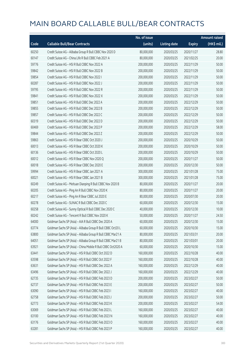|       |                                                              | No. of issue |                     |               | <b>Amount raised</b> |
|-------|--------------------------------------------------------------|--------------|---------------------|---------------|----------------------|
| Code  | <b>Callable Bull/Bear Contracts</b>                          | (units)      | <b>Listing date</b> | <b>Expiry</b> | (HK\$ mil.)          |
| 60250 | Credit Suisse AG - Alibaba Group R Bull CBBC Nov 2020 D      | 80,000,000   | 2020/03/25          | 2020/11/27    | 28.80                |
| 60147 | Credit Suisse AG - China Life R Bull CBBC Feb 2021 A         | 80,000,000   | 2020/03/25          | 2021/02/25    | 20.00                |
| 59776 | Credit Suisse AG - HSI R Bull CBBC Nov 2022 A                | 200,000,000  | 2020/03/25          | 2022/11/29    | 50.00                |
| 59842 | Credit Suisse AG - HSI R Bull CBBC Nov 2022 B                | 200,000,000  | 2020/03/25          | 2022/11/29    | 50.00                |
| 59854 | Credit Suisse AG - HSI R Bull CBBC Nov 2022 I                | 200,000,000  | 2020/03/25          | 2022/11/29    | 50.00                |
| 60287 | Credit Suisse AG - HSI R Bull CBBC Nov 2022 J                | 200,000,000  | 2020/03/25          | 2022/11/29    | 50.00                |
| 59795 | Credit Suisse AG - HSI R Bull CBBC Nov 2022 R                | 200,000,000  | 2020/03/25          | 2022/11/29    | 50.00                |
| 59841 | Credit Suisse AG - HSI R Bull CBBC Nov 2022 X                | 200,000,000  | 2020/03/25          | 2022/11/29    | 50.00                |
| 59851 | Credit Suisse AG - HSI R Bull CBBC Dec 2022 A                | 200,000,000  | 2020/03/25          | 2022/12/29    | 50.00                |
| 59855 | Credit Suisse AG - HSI R Bull CBBC Dec 2022 B                | 200,000,000  | 2020/03/25          | 2022/12/29    | 50.00                |
| 59857 | Credit Suisse AG - HSI R Bull CBBC Dec 2022 C                | 200,000,000  | 2020/03/25          | 2022/12/29    | 50.00                |
| 60319 | Credit Suisse AG - HSI R Bull CBBC Dec 2022 D                | 200,000,000  | 2020/03/25          | 2022/12/29    | 50.00                |
| 60469 | Credit Suisse AG - HSI R Bull CBBC Dec 2022 P                | 200,000,000  | 2020/03/25          | 2022/12/29    | 58.00                |
| 59844 | Credit Suisse AG - HSI R Bull CBBC Dec 2022 Z                | 200,000,000  | 2020/03/25          | 2022/12/29    | 50.00                |
| 59863 | Credit Suisse AG - HSI R Bear CBBC Oct 2020 J                | 200,000,000  | 2020/03/25          | 2020/10/29    | 50.00                |
| 60013 | Credit Suisse AG - HSI R Bear CBBC Oct 2020 K                | 200,000,000  | 2020/03/25          | 2020/10/29    | 50.00                |
| 60136 | Credit Suisse AG - HSI R Bear CBBC Oct 2020 L                | 200,000,000  | 2020/03/25          | 2020/10/29    | 50.00                |
| 60012 | Credit Suisse AG - HSI R Bear CBBC Nov 2020 Q                | 200,000,000  | 2020/03/25          | 2020/11/27    | 50.00                |
| 60018 | Credit Suisse AG - HSI R Bear CBBC Dec 2020 E                | 200,000,000  | 2020/03/25          | 2020/12/30    | 50.00                |
| 59994 | Credit Suisse AG - HSI R Bear CBBC Jan 2021 A                | 300,000,000  | 2020/03/25          | 2021/01/28    | 75.00                |
| 60021 | Credit Suisse AG - HSI R Bear CBBC Jan 2021 B                | 300,000,000  | 2020/03/25          | 2021/01/28    | 75.00                |
| 60249 | Credit Suisse AG - Meituan Dianping R Bull CBBC Nov 2020 B   | 80,000,000   | 2020/03/25          | 2020/11/27    | 20.00                |
| 60205 | Credit Suisse AG - Ping An R Bull CBBC Nov 2020 K            | 80,000,000   | 2020/03/25          | 2020/11/27    | 20.00                |
| 60217 | Credit Suisse AG - Ping An R Bear CBBC Jul 2020 E            | 80,000,000   | 2020/03/25          | 2020/07/30    | 20.00                |
| 60278 | Credit Suisse AG - SUNAC R Bull CBBC Dec 2020 C              | 60,000,000   | 2020/03/25          | 2020/12/30    | 15.00                |
| 60258 | Credit Suisse AG - Sunny Optical R Bull CBBC Dec 2020 C      | 40,000,000   | 2020/03/25          | 2020/12/30    | 10.00                |
| 60242 | Credit Suisse AG - Tencent R Bull CBBC Nov 2020 K            | 50,000,000   | 2020/03/25          | 2020/11/27    | 24.50                |
| 64000 | Goldman Sachs SP (Asia) - AIA R Bull CBBC Dec 2020 A         | 60,000,000   | 2020/03/25          | 2020/12/30    | 15.00                |
| 63774 | Goldman Sachs SP (Asia) - Alibaba Group R Bull CBBC Oct20 L  | 60,000,000   | 2020/03/25          | 2020/10/30    | 15.00                |
| 63800 | Goldman Sachs SP (Asia) - Alibaba Group R Bull CBBC Mar21 A  | 80,000,000   | 2020/03/25          | 2021/03/31    | 20.00                |
| 64051 | Goldman Sachs SP (Asia) - Alibaba Group R Bull CBBC Mar21 B  | 80,000,000   | 2020/03/25          | 2021/03/01    | 20.00                |
| 63921 | Goldman Sachs SP (Asia) - China Mobile R Bull CBBC Oct2020 A | 60,000,000   | 2020/03/25          | 2020/10/30    | 15.00                |
| 63441 | Goldman Sachs SP (Asia) - HSI R Bull CBBC Oct 2022 D         | 160,000,000  | 2020/03/25          | 2022/10/28    | 40.00                |
| 63598 | Goldman Sachs SP (Asia) - HSI R Bull CBBC Oct 2022 F         | 160,000,000  | 2020/03/25          | 2022/10/28    | 40.00                |
| 63631 | Goldman Sachs SP (Asia) - HSI R Bull CBBC Dec 2022 A         | 160,000,000  | 2020/03/25          | 2022/12/29    | 40.00                |
| 63496 | Goldman Sachs SP (Asia) - HSI R Bull CBBC Dec 2022 J         | 160,000,000  | 2020/03/25          | 2022/12/29    | 40.00                |
| 62735 | Goldman Sachs SP (Asia) - HSI R Bull CBBC Feb 2023 D         | 200,000,000  | 2020/03/25          | 2023/02/27    | 50.00                |
| 62737 | Goldman Sachs SP (Asia) - HSI R Bull CBBC Feb 2023 E         | 200,000,000  | 2020/03/25          | 2023/02/27    | 50.00                |
| 63090 | Goldman Sachs SP (Asia) - HSI R Bull CBBC Feb 2023 I         | 160,000,000  | 2020/03/25          | 2023/02/27    | 40.00                |
| 62758 | Goldman Sachs SP (Asia) - HSI R Bull CBBC Feb 2023 J         | 200,000,000  | 2020/03/25          | 2023/02/27    | 50.00                |
| 62773 | Goldman Sachs SP (Asia) - HSI R Bull CBBC Feb 2023 K         | 200,000,000  | 2020/03/25          | 2023/02/27    | 54.00                |
| 63069 | Goldman Sachs SP (Asia) - HSI R Bull CBBC Feb 2023 L         | 160,000,000  | 2020/03/25          | 2023/02/27    | 40.00                |
| 63100 | Goldman Sachs SP (Asia) - HSI R Bull CBBC Feb 2023 N         | 160,000,000  | 2020/03/25          | 2023/02/27    | 40.00                |
| 63176 | Goldman Sachs SP (Asia) - HSI R Bull CBBC Feb 2023 O         | 160,000,000  | 2020/03/25          | 2023/02/27    | 40.00                |
| 63281 | Goldman Sachs SP (Asia) - HSI R Bull CBBC Feb 2023 P         | 160,000,000  | 2020/03/25          | 2023/02/27    | 40.00                |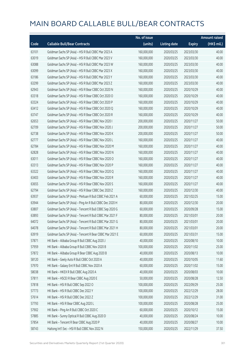|       |                                                          | No. of issue |                     |               | <b>Amount raised</b> |
|-------|----------------------------------------------------------|--------------|---------------------|---------------|----------------------|
| Code  | <b>Callable Bull/Bear Contracts</b>                      | (units)      | <b>Listing date</b> | <b>Expiry</b> | $(HK\$ mil.)         |
| 63101 | Goldman Sachs SP (Asia) - HSI R Bull CBBC Mar 2023 A     | 160,000,000  | 2020/03/25          | 2023/03/30    | 40.00                |
| 63019 | Goldman Sachs SP (Asia) - HSI R Bull CBBC Mar 2023 V     | 160,000,000  | 2020/03/25          | 2023/03/30    | 40.00                |
| 63088 | Goldman Sachs SP (Asia) - HSI R Bull CBBC Mar 2023 W     | 160,000,000  | 2020/03/25          | 2023/03/30    | 40.00                |
| 63099 | Goldman Sachs SP (Asia) - HSI R Bull CBBC Mar 2023 X     | 160,000,000  | 2020/03/25          | 2023/03/30    | 40.00                |
| 63186 | Goldman Sachs SP (Asia) - HSI R Bull CBBC Mar 2023 Y     | 160,000,000  | 2020/03/25          | 2023/03/30    | 40.00                |
| 63299 | Goldman Sachs SP (Asia) - HSI R Bull CBBC Mar 2023 Z     | 160,000,000  | 2020/03/25          | 2023/03/30    | 40.00                |
| 62943 | Goldman Sachs SP (Asia) - HSI R Bear CBBC Oct 2020 N     | 160,000,000  | 2020/03/25          | 2020/10/29    | 40.00                |
| 63318 | Goldman Sachs SP (Asia) - HSI R Bear CBBC Oct 2020 O     | 160,000,000  | 2020/03/25          | 2020/10/29    | 40.00                |
| 63324 | Goldman Sachs SP (Asia) - HSI R Bear CBBC Oct 2020 P     | 160,000,000  | 2020/03/25          | 2020/10/29    | 40.00                |
| 63412 | Goldman Sachs SP (Asia) - HSI R Bear CBBC Oct 2020 Q     | 160,000,000  | 2020/03/25          | 2020/10/29    | 40.00                |
| 63747 | Goldman Sachs SP (Asia) - HSI R Bear CBBC Oct 2020 R     | 160,000,000  | 2020/03/25          | 2020/10/29    | 40.00                |
| 62653 | Goldman Sachs SP (Asia) - HSI R Bear CBBC Nov 2020 I     | 200,000,000  | 2020/03/25          | 2020/11/27    | 50.00                |
| 62709 | Goldman Sachs SP (Asia) - HSI R Bear CBBC Nov 2020 J     | 200,000,000  | 2020/03/25          | 2020/11/27    | 50.00                |
| 62738 | Goldman Sachs SP (Asia) - HSI R Bear CBBC Nov 2020 K     | 200,000,000  | 2020/03/25          | 2020/11/27    | 50.00                |
| 62777 | Goldman Sachs SP (Asia) - HSI R Bear CBBC Nov 2020 L     | 160,000,000  | 2020/03/25          | 2020/11/27    | 40.00                |
| 62784 | Goldman Sachs SP (Asia) - HSI R Bear CBBC Nov 2020 M     | 160,000,000  | 2020/03/25          | 2020/11/27    | 40.00                |
| 62828 | Goldman Sachs SP (Asia) - HSI R Bear CBBC Nov 2020 N     | 160,000,000  | 2020/03/25          | 2020/11/27    | 40.00                |
| 63011 | Goldman Sachs SP (Asia) - HSI R Bear CBBC Nov 2020 O     | 160,000,000  | 2020/03/25          | 2020/11/27    | 40.00                |
| 63313 | Goldman Sachs SP (Asia) - HSI R Bear CBBC Nov 2020 P     | 160,000,000  | 2020/03/25          | 2020/11/27    | 40.00                |
| 63322 | Goldman Sachs SP (Asia) - HSI R Bear CBBC Nov 2020 Q     | 160,000,000  | 2020/03/25          | 2020/11/27    | 40.00                |
| 63403 | Goldman Sachs SP (Asia) - HSI R Bear CBBC Nov 2020 R     | 160,000,000  | 2020/03/25          | 2020/11/27    | 40.00                |
| 63655 | Goldman Sachs SP (Asia) - HSI R Bear CBBC Nov 2020 S     | 160,000,000  | 2020/03/25          | 2020/11/27    | 40.00                |
| 62794 | Goldman Sachs SP (Asia) - HSI R Bear CBBC Dec 2020 Z     | 160,000,000  | 2020/03/25          | 2020/12/30    | 40.00                |
| 63937 | Goldman Sachs SP (Asia) - Meituan R Bull CBBC Feb 2021 A | 60,000,000   | 2020/03/25          | 2021/02/25    | 15.00                |
| 63944 | Goldman Sachs SP (Asia) - Ping An R Bull CBBC Dec 2020 H | 80,000,000   | 2020/03/25          | 2020/12/30    | 20.00                |
| 63807 | Goldman Sachs SP (Asia) - Tencent R Bull CBBC Sep 2020 G | 60,000,000   | 2020/03/25          | 2020/09/28    | 15.00                |
| 63893 | Goldman Sachs SP (Asia) - Tencent R Bull CBBC Mar 2021 F | 80,000,000   | 2020/03/25          | 2021/03/01    | 20.00                |
| 64072 | Goldman Sachs SP (Asia) - Tencent R Bull CBBC Mar 2021 G | 80,000,000   | 2020/03/25          | 2021/03/01    | 20.00                |
| 64078 | Goldman Sachs SP (Asia) - Tencent R Bull CBBC Mar 2021 H | 80,000,000   | 2020/03/25          | 2021/03/01    | 20.00                |
| 63919 | Goldman Sachs SP (Asia) - Tencent R Bear CBBC Mar 2021 E | 60,000,000   | 2020/03/25          | 2021/03/31    | 15.00                |
| 57871 | HK Bank - Alibaba Group R Bull CBBC Aug 2020 J           | 40,000,000   | 2020/03/25          | 2020/08/10    | 10.00                |
| 57959 | HK Bank - Alibaba Group R Bull CBBC Nov 2020 B           | 100,000,000  | 2020/03/25          | 2020/11/02    | 25.00                |
| 57872 | HK Bank - Alibaba Group R Bear CBBC Aug 2020 B           | 40,000,000   | 2020/03/25          | 2020/08/13    | 10.00                |
| 58120 | HK Bank - Geely Auto R Bull CBBC Oct 2020 A              | 40,000,000   | 2020/03/25          | 2020/10/05    | 11.60                |
| 57970 | HK Bank - Galaxy Ent R Bull CBBC Nov 2020 A              | 60,000,000   | 2020/03/25          | 2020/11/02    | 15.00                |
| 58038 | HK Bank - HKEX R Bull CBBC Aug 2020 A                    | 40,000,000   | 2020/03/25          | 2020/08/03    | 10.00                |
| 57811 | HK Bank - HSCEI R Bear CBBC Aug 2020 E                   | 50,000,000   | 2020/03/25          | 2020/08/28    | 12.50                |
| 57818 | HK Bank - HSI R Bull CBBC Sep 2022 O                     | 100,000,000  | 2020/03/25          | 2022/09/29    | 25.00                |
| 57773 | HK Bank - HSI R Bull CBBC Dec 2022 Y                     | 100,000,000  | 2020/03/25          | 2022/12/29    | 28.00                |
| 57614 | HK Bank - HSI R Bull CBBC Dec 2022 Z                     | 100,000,000  | 2020/03/25          | 2022/12/29    | 31.00                |
| 57793 | HK Bank - HSI R Bear CBBC Aug 2020 L                     | 100,000,000  | 2020/03/25          | 2020/08/28    | 25.00                |
| 57902 | HK Bank - Ping An R Bull CBBC Oct 2020 C                 | 60,000,000   | 2020/03/25          | 2020/10/12    | 15.00                |
| 57885 | HK Bank - Sunny Optical R Bull CBBC Aug 2020 D           | 40,000,000   | 2020/03/25          | 2020/08/24    | 10.00                |
| 57854 | HK Bank - Tencent R Bear CBBC Aug 2020 P                 | 40,000,000   | 2020/03/25          | 2020/08/27    | 10.00                |
| 58743 | Haitong Int'l Sec - HSI R Bull CBBC Nov 2022 N           | 150,000,000  | 2020/03/25          | 2022/11/29    | 37.50                |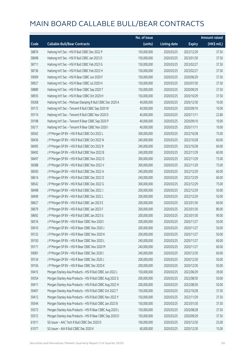|       |                                                             | No. of issue |                     |               | <b>Amount raised</b> |
|-------|-------------------------------------------------------------|--------------|---------------------|---------------|----------------------|
| Code  | <b>Callable Bull/Bear Contracts</b>                         | (units)      | <b>Listing date</b> | <b>Expiry</b> | (HK\$ mil.)          |
| 58876 | Haitong Int'l Sec - HSI R Bull CBBC Dec 2022 P              | 150,000,000  | 2020/03/25          | 2022/12/29    | 37.50                |
| 58698 | Haitong Int'l Sec - HSI R Bull CBBC Jan 2023 D              | 150,000,000  | 2020/03/25          | 2023/01/30    | 37.50                |
| 58711 | Haitong Int'l Sec - HSI R Bull CBBC Feb 2023 G              | 150,000,000  | 2020/03/25          | 2023/02/27    | 37.50                |
| 58736 | Haitong Int'l Sec - HSI R Bull CBBC Feb 2023 H              | 150,000,000  | 2020/03/25          | 2023/02/27    | 37.50                |
| 59009 | Haitong Int'l Sec - HSI R Bear CBBC Jun 2020 F              | 150,000,000  | 2020/03/25          | 2020/06/29    | 37.50                |
| 58927 | Haitong Int'l Sec - HSI R Bear CBBC Jul 2020 H              | 150,000,000  | 2020/03/25          | 2020/07/30    | 37.50                |
| 58889 | Haitong Int'l Sec - HSI R Bear CBBC Sep 2020 T              | 150,000,000  | 2020/03/25          | 2020/09/29    | 37.50                |
| 58935 | Haitong Int'l Sec - HSI R Bear CBBC Oct 2020 H              | 150,000,000  | 2020/03/25          | 2020/10/29    | 37.50                |
| 59268 | Haitong Int'l Sec - Meituan Dianping R Bull CBBC Dec 2020 A | 40,000,000   | 2020/03/25          | 2020/12/30    | 10.00                |
| 59172 | Haitong Int'l Sec - Tencent R Bull CBBC Sep 2020 W          | 40,000,000   | 2020/03/25          | 2020/09/10    | 10.00                |
| 59174 | Haitong Int'l Sec - Tencent R Bull CBBC Nov 2020 D          | 40,000,000   | 2020/03/25          | 2020/11/11    | 22.80                |
| 59198 | Haitong Int'l Sec - Tencent R Bear CBBC Sep 2020 P          | 40,000,000   | 2020/03/25          | 2020/09/10    | 10.00                |
| 59217 | Haitong Int'l Sec - Tencent R Bear CBBC Nov 2020 I          | 40,000,000   | 2020/03/25          | 2020/11/11    | 10.00                |
| 58362 | J P Morgan SP BV - HSI R Bull CBBC Oct 2022 L               | 300,000,000  | 2020/03/25          | 2022/10/28    | 75.00                |
| 58436 | J P Morgan SP BV - HSI R Bull CBBC Oct 2022 N               | 240,000,000  | 2020/03/25          | 2022/10/28    | 60.00                |
| 58495 | J P Morgan SP BV - HSI R Bull CBBC Oct 2022 R               | 240,000,000  | 2020/03/25          | 2022/10/28    | 60.00                |
| 58492 | J P Morgan SP BV - HSI R Bull CBBC Nov 2022 B               | 240,000,000  | 2020/03/25          | 2022/11/29    | 60.00                |
| 58497 | J P Morgan SP BV - HSI R Bull CBBC Nov 2022 D               | 300,000,000  | 2020/03/25          | 2022/11/29    | 75.00                |
| 58388 | J P Morgan SP BV - HSI R Bull CBBC Nov 2022 V               | 300,000,000  | 2020/03/25          | 2022/11/29    | 75.00                |
| 58500 | J P Morgan SP BV - HSI R Bull CBBC Dec 2022 A               | 240,000,000  | 2020/03/25          | 2022/12/29    | 60.00                |
| 58614 | J P Morgan SP BV - HSI R Bull CBBC Dec 2022 D               | 240,000,000  | 2020/03/25          | 2022/12/29    | 60.00                |
| 58542 | J P Morgan SP BV - HSI R Bull CBBC Dec 2022 G               | 300,000,000  | 2020/03/25          | 2022/12/29    | 75.00                |
| 58498 | J P Morgan SP BV - HSI R Bull CBBC Dec 2022 J               | 200,000,000  | 2020/03/25          | 2022/12/29    | 50.00                |
| 58499 | J P Morgan SP BV - HSI R Bull CBBC Dec 2022 L               | 200,000,000  | 2020/03/25          | 2022/12/29    | 50.00                |
| 58627 | J P Morgan SP BV - HSI R Bull CBBC Jan 2023 E               | 200,000,000  | 2020/03/25          | 2023/01/30    | 60.00                |
| 58679 | J P Morgan SP BV - HSI R Bull CBBC Jan 2023 F               | 200,000,000  | 2020/03/25          | 2023/01/30    | 80.00                |
| 58692 | J P Morgan SP BV - HSI R Bull CBBC Jan 2023 G               | 200,000,000  | 2020/03/25          | 2023/01/30    | 90.00                |
| 58316 | J P Morgan SP BV - HSI R Bear CBBC Nov 2020 I               | 200,000,000  | 2020/03/25          | 2020/11/27    | 50.00                |
| 59010 | J P Morgan SP BV - HSI R Bear CBBC Nov 2020 J               | 200,000,000  | 2020/03/25          | 2020/11/27    | 50.00                |
| 59132 | J P Morgan SP BV - HSI R Bear CBBC Nov 2020 K               | 200,000,000  | 2020/03/25          | 2020/11/27    | 50.00                |
| 59150 | J P Morgan SP BV - HSI R Bear CBBC Nov 2020 L               | 240,000,000  | 2020/03/25          | 2020/11/27    | 60.00                |
| 59171 | J P Morgan SP BV - HSI R Bear CBBC Nov 2020 M               | 240,000,000  | 2020/03/25          | 2020/11/27    | 60.00                |
| 59081 | J P Morgan SP BV - HSI R Bear CBBC Dec 2020 I               | 240,000,000  | 2020/03/25          | 2020/12/30    | 60.00                |
| 59134 | J P Morgan SP BV - HSI R Bear CBBC Dec 2020 J               | 200,000,000  | 2020/03/25          | 2020/12/30    | 50.00                |
| 59156 | J P Morgan SP BV - HSI R Bear CBBC Dec 2020 K               | 200,000,000  | 2020/03/25          | 2020/12/30    | 50.00                |
| 59415 | Morgan Stanley Asia Products - HSI R Bull CBBC Jun 2022 L   | 150,000,000  | 2020/03/25          | 2022/06/29    | 39.00                |
| 59354 | Morgan Stanley Asia Products - HSI R Bull CBBC Aug 2022 G   | 200,000,000  | 2020/03/25          | 2022/08/30    | 50.00                |
| 59411 | Morgan Stanley Asia Products - HSI R Bull CBBC Aug 2022 H   | 200,000,000  | 2020/03/25          | 2022/08/30    | 50.00                |
| 59407 | Morgan Stanley Asia Products - HSI R Bull CBBC Oct 2022 T   | 150,000,000  | 2020/03/25          | 2022/10/28    | 37.50                |
| 59412 | Morgan Stanley Asia Products - HSI R Bull CBBC Nov 2022 Y   | 150,000,000  | 2020/03/25          | 2022/11/29    | 37.50                |
| 59344 | Morgan Stanley Asia Products - HSI R Bull CBBC Jan 2023 B   | 150,000,000  | 2020/03/25          | 2023/01/30    | 37.50                |
| 59373 | Morgan Stanley Asia Products - HSI R Bear CBBC Aug 2020 L   | 150,000,000  | 2020/03/25          | 2020/08/28    | 37.50                |
| 59372 | Morgan Stanley Asia Products - HSI R Bear CBBC Sep 2020 D   | 150,000,000  | 2020/03/25          | 2020/09/29    | 37.50                |
| 61011 | SG Issuer - AAC Tech R Bull CBBC Dec 2020 D                 | 100,000,000  | 2020/03/25          | 2020/12/30    | 25.00                |
| 61077 | SG Issuer - AIA R Bull CBBC Dec 2020 K                      | 60,000,000   | 2020/03/25          | 2020/12/30    | 15.00                |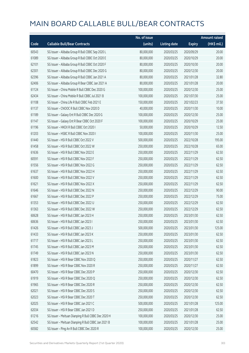|       |                                                     | No. of issue |                     |               | <b>Amount raised</b> |
|-------|-----------------------------------------------------|--------------|---------------------|---------------|----------------------|
| Code  | <b>Callable Bull/Bear Contracts</b>                 | (units)      | <b>Listing date</b> | <b>Expiry</b> | (HK\$ mil.)          |
| 60543 | SG Issuer - Alibaba Group R Bull CBBC Sep 2020 L    | 80,000,000   | 2020/03/25          | 2020/09/29    | 20.00                |
| 61089 | SG Issuer - Alibaba Group R Bull CBBC Oct 2020 E    | 80,000,000   | 2020/03/25          | 2020/10/29    | 20.00                |
| 62101 | SG Issuer - Alibaba Group R Bull CBBC Oct 2020 F    | 80,000,000   | 2020/03/25          | 2020/10/30    | 20.00                |
| 62301 | SG Issuer - Alibaba Group R Bull CBBC Dec 2020 G    | 80,000,000   | 2020/03/25          | 2020/12/30    | 20.00                |
| 62396 | SG Issuer - Alibaba Group R Bull CBBC Jan 2021 A    | 80,000,000   | 2020/03/25          | 2021/01/28    | 32.80                |
| 62406 | SG Issuer - Alibaba Group R Bear CBBC Jan 2021 A    | 80,000,000   | 2020/03/25          | 2021/01/28    | 20.00                |
| 61124 | SG Issuer - China Mobile R Bull CBBC Dec 2020 G     | 100,000,000  | 2020/03/25          | 2020/12/30    | 25.00                |
| 62434 | SG Issuer - China Mobile R Bull CBBC Jul 2021 B     | 100,000,000  | 2020/03/25          | 2021/07/30    | 25.00                |
| 61108 | SG Issuer - China Life R Bull CBBC Feb 2021 E       | 150,000,000  | 2020/03/25          | 2021/02/23    | 37.50                |
| 61137 | SG Issuer - CNOOC R Bull CBBC Nov 2020 D            | 40,000,000   | 2020/03/25          | 2020/11/30    | 10.00                |
| 61189 | SG Issuer - Galaxy Ent R Bull CBBC Dec 2020 G       | 100,000,000  | 2020/03/25          | 2020/12/30    | 25.00                |
| 61147 | SG Issuer - Galaxy Ent R Bear CBBC Oct 2020 F       | 100,000,000  | 2020/03/25          | 2020/10/29    | 25.00                |
| 61196 | SG Issuer - HKEX R Bull CBBC Oct 2020 I             | 50,000,000   | 2020/03/25          | 2020/10/29    | 12.50                |
| 61203 | SG Issuer - HSBC R Bull CBBC Nov 2020 I             | 100,000,000  | 2020/03/25          | 2020/11/30    | 25.00                |
| 61440 | SG Issuer - HSI R Bull CBBC Oct 2022 V              | 500,000,000  | 2020/03/25          | 2022/10/28    | 195.00               |
| 61458 | SG Issuer - HSI R Bull CBBC Oct 2022 W              | 250,000,000  | 2020/03/25          | 2022/10/28    | 65.00                |
| 61636 | SG Issuer - HSI R Bull CBBC Nov 2022 E              | 250,000,000  | 2020/03/25          | 2022/11/29    | 62.50                |
| 60591 | SG Issuer - HSI R Bull CBBC Nov 2022 F              | 250,000,000  | 2020/03/25          | 2022/11/29    | 62.50                |
| 61556 | SG Issuer - HSI R Bull CBBC Nov 2022 G              | 250,000,000  | 2020/03/25          | 2022/11/29    | 62.50                |
| 61637 | SG Issuer - HSI R Bull CBBC Nov 2022 H              | 250,000,000  | 2020/03/25          | 2022/11/29    | 62.50                |
| 61600 | SG Issuer - HSI R Bull CBBC Nov 2022 V              | 250,000,000  | 2020/03/25          | 2022/11/29    | 62.50                |
| 61621 | SG Issuer - HSI R Bull CBBC Nov 2022 X              | 250,000,000  | 2020/03/25          | 2022/11/29    | 62.50                |
| 61646 | SG Issuer - HSI R Bull CBBC Dec 2022 N              | 250,000,000  | 2020/03/25          | 2022/12/29    | 90.00                |
| 61667 | SG Issuer - HSI R Bull CBBC Dec 2022 P              | 250,000,000  | 2020/03/25          | 2022/12/29    | 75.00                |
| 61353 | SG Issuer - HSI R Bull CBBC Dec 2022 U              | 250,000,000  | 2020/03/25          | 2022/12/29    | 62.50                |
| 61363 | SG Issuer - HSI R Bull CBBC Dec 2022 W              | 250,000,000  | 2020/03/25          | 2022/12/29    | 62.50                |
| 60628 | SG Issuer - HSI R Bull CBBC Jan 2023 H              | 250,000,000  | 2020/03/25          | 2023/01/30    | 62.50                |
| 60636 | SG Issuer - HSI R Bull CBBC Jan 2023 I              | 250,000,000  | 2020/03/25          | 2023/01/30    | 62.50                |
| 61426 | SG Issuer - HSI R Bull CBBC Jan 2023 J              | 500,000,000  | 2020/03/25          | 2023/01/30    | 125.00               |
| 61433 | SG Issuer - HSI R Bull CBBC Jan 2023 K              | 250,000,000  | 2020/03/25          | 2023/01/30    | 62.50                |
| 61717 | SG Issuer - HSI R Bull CBBC Jan 2023 L              | 250,000,000  | 2020/03/25          | 2023/01/30    | 62.50                |
| 61745 | SG Issuer - HSI R Bull CBBC Jan 2023 M              | 250,000,000  | 2020/03/25          | 2023/01/30    | 62.50                |
| 61749 | SG Issuer - HSI R Bull CBBC Jan 2023 N              | 250,000,000  | 2020/03/25          | 2023/01/30    | 62.50                |
| 61823 | SG Issuer - HSI R Bear CBBC Nov 2020 Q              | 250,000,000  | 2020/03/25          | 2020/11/27    | 62.50                |
| 61899 | SG Issuer - HSI R Bear CBBC Nov 2020 R              | 250,000,000  | 2020/03/25          | 2020/11/27    | 62.50                |
| 60470 | SG Issuer - HSI R Bear CBBC Dec 2020 P              | 250,000,000  | 2020/03/25          | 2020/12/30    | 62.50                |
| 61919 | SG Issuer - HSI R Bear CBBC Dec 2020 Q              | 250,000,000  | 2020/03/25          | 2020/12/30    | 62.50                |
| 61965 | SG Issuer - HSI R Bear CBBC Dec 2020 R              | 250,000,000  | 2020/03/25          | 2020/12/30    | 62.50                |
| 62021 | SG Issuer - HSI R Bear CBBC Dec 2020 S              | 250,000,000  | 2020/03/25          | 2020/12/30    | 62.50                |
| 62023 | SG Issuer - HSI R Bear CBBC Dec 2020 T              | 250,000,000  | 2020/03/25          | 2020/12/30    | 62.50                |
| 62025 | SG Issuer - HSI R Bear CBBC Jan 2021 C              | 500,000,000  | 2020/03/25          | 2021/01/28    | 125.00               |
| 62034 | SG Issuer - HSI R Bear CBBC Jan 2021 D              | 250,000,000  | 2020/03/25          | 2021/01/28    | 62.50                |
| 61216 | SG Issuer - Meituan Dianping R Bull CBBC Dec 2020 H | 100,000,000  | 2020/03/25          | 2020/12/30    | 25.00                |
| 62542 | SG Issuer - Meituan Dianping R Bull CBBC Jan 2021 B | 100,000,000  | 2020/03/25          | 2021/01/28    | 25.00                |
| 60582 | SG Issuer - Ping An R Bull CBBC Dec 2020 R          | 100,000,000  | 2020/03/25          | 2020/12/30    | 25.00                |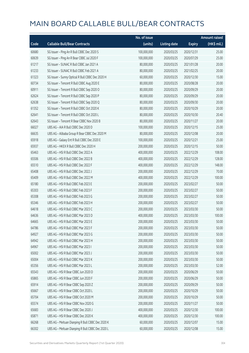|       |                                                  | No. of issue |                     |               | <b>Amount raised</b> |
|-------|--------------------------------------------------|--------------|---------------------|---------------|----------------------|
| Code  | <b>Callable Bull/Bear Contracts</b>              | (units)      | <b>Listing date</b> | <b>Expiry</b> | (HK\$ mil.)          |
| 60680 | SG Issuer - Ping An R Bull CBBC Dec 2020 S       | 100,000,000  | 2020/03/25          | 2020/12/31    | 25.00                |
| 60639 | SG Issuer - Ping An R Bear CBBC Jul 2020 F       | 100,000,000  | 2020/03/25          | 2020/07/29    | 25.00                |
| 61217 | SG Issuer - SUNAC R Bull CBBC Jan 2021 A         | 80,000,000   | 2020/03/25          | 2021/01/28    | 20.00                |
| 61233 | SG Issuer - SUNAC R Bull CBBC Feb 2021 A         | 80,000,000   | 2020/03/25          | 2021/02/25    | 20.00                |
| 61323 | SG Issuer - Sunny Optical R Bull CBBC Dec 2020 H | 60,000,000   | 2020/03/25          | 2020/12/30    | 15.00                |
| 60734 | SG Issuer - Tencent R Bull CBBC Aug 2020 E       | 80,000,000   | 2020/03/25          | 2020/08/28    | 20.00                |
| 60911 | SG Issuer - Tencent R Bull CBBC Sep 2020 O       | 80,000,000   | 2020/03/25          | 2020/09/29    | 20.00                |
| 62624 | SG Issuer - Tencent R Bull CBBC Sep 2020 P       | 80,000,000   | 2020/03/25          | 2020/09/29    | 20.00                |
| 62638 | SG Issuer - Tencent R Bull CBBC Sep 2020 Q       | 80,000,000   | 2020/03/25          | 2020/09/30    | 20.00                |
| 61352 | SG Issuer - Tencent R Bull CBBC Oct 2020 K       | 80,000,000   | 2020/03/25          | 2020/10/29    | 20.00                |
| 62641 | SG Issuer - Tencent R Bull CBBC Oct 2020 L       | 80,000,000   | 2020/03/25          | 2020/10/30    | 20.40                |
| 62643 | SG Issuer - Tencent R Bear CBBC Nov 2020 B       | 80,000,000   | 2020/03/25          | 2020/11/27    | 20.00                |
| 66027 | UBS AG - AIA R Bull CBBC Dec 2020 D              | 100,000,000  | 2020/03/25          | 2020/12/15    | 25.00                |
| 66635 | UBS AG - Alibaba Group R Bear CBBC Dec 2020 M    | 80,000,000   | 2020/03/25          | 2020/12/08    | 20.00                |
| 65918 | UBS AG - Galaxy Ent R Bull CBBC Dec 2020 E       | 100,000,000  | 2020/03/25          | 2020/12/21    | 25.00                |
| 65937 | UBS AG - HKEX R Bull CBBC Dec 2020 H             | 200,000,000  | 2020/03/25          | 2020/12/15    | 50.00                |
| 65463 | UBS AG - HSI R Bull CBBC Dec 2022 A              | 400,000,000  | 2020/03/25          | 2022/12/29    | 108.00               |
| 65506 | UBS AG - HSI R Bull CBBC Dec 2022 B              | 400,000,000  | 2020/03/25          | 2022/12/29    | 128.00               |
| 65510 | UBS AG - HSI R Bull CBBC Dec 2022 F              | 400,000,000  | 2020/03/25          | 2022/12/29    | 148.00               |
| 65408 | UBS AG - HSI R Bull CBBC Dec 2022 J              | 200,000,000  | 2020/03/25          | 2022/12/29    | 70.00                |
| 65409 | UBS AG - HSI R Bull CBBC Dec 2022 M              | 400,000,000  | 2020/03/25          | 2022/12/29    | 100.00               |
| 65180 | UBS AG - HSI R Bull CBBC Feb 2023 E              | 200,000,000  | 2020/03/25          | 2023/02/27    | 50.00                |
| 65303 | UBS AG - HSI R Bull CBBC Feb 2023 F              | 200,000,000  | 2020/03/25          | 2023/02/27    | 50.00                |
| 65308 | UBS AG - HSI R Bull CBBC Feb 2023 G              | 200,000,000  | 2020/03/25          | 2023/02/27    | 50.00                |
| 65346 | UBS AG - HSI R Bull CBBC Feb 2023 H              | 200,000,000  | 2020/03/25          | 2023/02/27    | 50.00                |
| 64618 | UBS AG - HSI R Bull CBBC Mar 2023 C              | 200,000,000  | 2020/03/25          | 2023/03/30    | 50.00                |
| 64636 | UBS AG - HSI R Bull CBBC Mar 2023 D              | 400,000,000  | 2020/03/25          | 2023/03/30    | 100.00               |
| 64665 | UBS AG - HSI R Bull CBBC Mar 2023 E              | 200,000,000  | 2020/03/25          | 2023/03/30    | 50.00                |
| 64786 | UBS AG - HSI R Bull CBBC Mar 2023 F              | 200,000,000  | 2020/03/25          | 2023/03/30    | 50.00                |
| 64927 | UBS AG - HSI R Bull CBBC Mar 2023 G              | 200,000,000  | 2020/03/25          | 2023/03/30    | 50.00                |
| 64942 | UBS AG - HSI R Bull CBBC Mar 2023 H              | 200,000,000  | 2020/03/25          | 2023/03/30    | 50.00                |
| 64967 | UBS AG - HSI R Bull CBBC Mar 2023 I              | 200,000,000  | 2020/03/25          | 2023/03/30    | 50.00                |
| 65002 | UBS AG - HSI R Bull CBBC Mar 2023 J              | 200,000,000  | 2020/03/25          | 2023/03/30    | 50.00                |
| 65004 | UBS AG - HSI R Bull CBBC Mar 2023 K              | 200,000,000  | 2020/03/25          | 2023/03/30    | 50.00                |
| 65356 | UBS AG - HSI R Bull CBBC Mar 2023 L              | 200,000,000  | 2020/03/25          | 2023/03/30    | 52.00                |
| 65543 | UBS AG - HSI R Bear CBBC Jun 2020 D              | 200,000,000  | 2020/03/25          | 2020/06/29    | 50.00                |
| 65865 | UBS AG - HSI R Bear CBBC Jun 2020 F              | 200,000,000  | 2020/03/25          | 2020/06/29    | 50.00                |
| 65914 | UBS AG - HSI R Bear CBBC Sep 2020 Z              | 200,000,000  | 2020/03/25          | 2020/09/29    | 50.00                |
| 65667 | UBS AG - HSI R Bear CBBC Oct 2020 L              | 200,000,000  | 2020/03/25          | 2020/10/29    | 50.00                |
| 65704 | UBS AG - HSI R Bear CBBC Oct 2020 M              | 200,000,000  | 2020/03/25          | 2020/10/29    | 50.00                |
| 65574 | UBS AG - HSI R Bear CBBC Nov 2020 G              | 200,000,000  | 2020/03/25          | 2020/11/27    | 50.00                |
| 65683 | UBS AG - HSI R Bear CBBC Dec 2020 J              | 400,000,000  | 2020/03/25          | 2020/12/30    | 100.00               |
| 65871 | UBS AG - HSI R Bear CBBC Dec 2020 K              | 400,000,000  | 2020/03/25          | 2020/12/30    | 100.00               |
| 66268 | UBS AG - Meituan Dianping R Bull CBBC Dec 2020 K | 60,000,000   | 2020/03/25          | 2020/12/07    | 15.00                |
| 66302 | UBS AG - Meituan Dianping R Bull CBBC Dec 2020 L | 60,000,000   | 2020/03/25          | 2020/12/08    | 15.00                |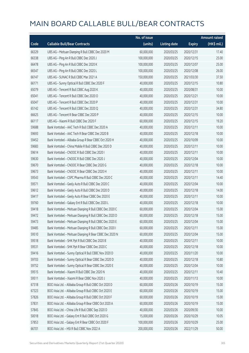|       |                                                         | No. of issue |                     |               | <b>Amount raised</b> |
|-------|---------------------------------------------------------|--------------|---------------------|---------------|----------------------|
| Code  | <b>Callable Bull/Bear Contracts</b>                     | (units)      | <b>Listing date</b> | <b>Expiry</b> | (HK\$ mil.)          |
| 66329 | UBS AG - Meituan Dianping R Bull CBBC Dec 2020 M        | 60,000,000   | 2020/03/25          | 2020/12/31    | 17.40                |
| 66338 | UBS AG - Ping An R Bull CBBC Dec 2020 J                 | 100,000,000  | 2020/03/25          | 2020/12/15    | 25.00                |
| 66478 | UBS AG - Ping An R Bull CBBC Dec 2020 K                 | 100,000,000  | 2020/03/25          | 2020/12/07    | 25.00                |
| 66547 | UBS AG - Ping An R Bull CBBC Dec 2020 L                 | 100,000,000  | 2020/03/25          | 2020/12/08    | 26.00                |
| 66147 | UBS AG - SUNAC R Bull CBBC Mar 2021 A                   | 150,000,000  | 2020/03/25          | 2021/03/30    | 37.50                |
| 66171 | UBS AG - Sunny Optical R Bull CBBC Dec 2020 F           | 40,000,000   | 2020/03/25          | 2020/12/15    | 10.80                |
| 65079 | UBS AG - Tencent R Bull CBBC Aug 2020 K                 | 40,000,000   | 2020/03/25          | 2020/08/31    | 10.00                |
| 65041 | UBS AG - Tencent R Bull CBBC Dec 2020 O                 | 40,000,000   | 2020/03/25          | 2020/12/21    | 10.00                |
| 65047 | UBS AG - Tencent R Bull CBBC Dec 2020 P                 | 40,000,000   | 2020/03/25          | 2020/12/31    | 10.00                |
| 65142 | UBS AG - Tencent R Bull CBBC Dec 2020 Q                 | 40,000,000   | 2020/03/25          | 2020/12/31    | 34.80                |
| 66625 | UBS AG - Tencent R Bear CBBC Dec 2020 P                 | 40,000,000   | 2020/03/25          | 2020/12/15    | 10.00                |
| 66117 | UBS AG - Xiaomi R Bull CBBC Dec 2020 F                  | 60,000,000   | 2020/03/25          | 2020/12/15    | 19.20                |
| 59688 | Bank Vontobel - AAC Tech R Bull CBBC Dec 2020 A         | 40,000,000   | 2020/03/25          | 2020/12/11    | 10.00                |
| 59693 | Bank Vontobel - AAC Tech R Bear CBBC Dec 2020 B         | 40,000,000   | 2020/03/25          | 2020/12/18    | 10.00                |
| 59452 | Bank Vontobel - Alibaba Group R Bear CBBC Oct 2020 H    | 40,000,000   | 2020/03/25          | 2020/10/09    | 10.00                |
| 59683 | Bank Vontobel - China Mobile R Bull CBBC Dec 2020 D     | 40,000,000   | 2020/03/25          | 2020/12/11    | 10.00                |
| 59614 | Bank Vontobel - CNOOC R Bull CBBC Dec 2020 I            | 40,000,000   | 2020/03/25          | 2020/12/11    | 10.00                |
| 59630 | Bank Vontobel - CNOOC R Bull CBBC Dec 2020 J            | 40,000,000   | 2020/03/25          | 2020/12/04    | 10.00                |
| 59670 | Bank Vontobel - CNOOC R Bear CBBC Dec 2020 G            | 40,000,000   | 2020/03/25          | 2020/12/18    | 10.00                |
| 59673 | Bank Vontobel - CNOOC R Bear CBBC Dec 2020 H            | 40,000,000   | 2020/03/25          | 2020/12/11    | 10.00                |
| 59543 | Bank Vontobel - CSPC Pharma R Bull CBBC Dec 2020 C      | 40,000,000   | 2020/03/25          | 2020/12/11    | 14.40                |
| 59571 | Bank Vontobel - Geely Auto R Bull CBBC Dec 2020 C       | 40,000,000   | 2020/03/25          | 2020/12/04    | 10.00                |
| 59612 | Bank Vontobel - Geely Auto R Bull CBBC Dec 2020 D       | 40,000,000   | 2020/03/25          | 2020/12/18    | 14.00                |
| 59417 | Bank Vontobel - Geely Auto R Bear CBBC Dec 2020 E       | 40,000,000   | 2020/03/25          | 2020/12/11    | 10.00                |
| 59760 | Bank Vontobel - Galaxy Ent R Bull CBBC Dec 2020 L       | 40,000,000   | 2020/03/25          | 2020/12/18    | 10.00                |
| 59418 | Bank Vontobel - Meituan Dianping R Bull CBBC Dec 2020 C | 60,000,000   | 2020/03/25          | 2020/12/04    | 15.00                |
| 59472 | Bank Vontobel - Meituan Dianping R Bull CBBC Dec 2020 D | 60,000,000   | 2020/03/25          | 2020/12/18    | 15.00                |
| 59473 | Bank Vontobel - Meituan Dianping R Bull CBBC Dec 2020 E | 60,000,000   | 2020/03/25          | 2020/12/04    | 15.00                |
| 59485 | Bank Vontobel - Meituan Dianping R Bull CBBC Dec 2020 I | 60,000,000   | 2020/03/25          | 2020/12/11    | 15.00                |
| 59510 | Bank Vontobel - Meituan Dianping R Bear CBBC Dec 2020 N | 60,000,000   | 2020/03/25          | 2020/12/04    | 15.00                |
| 59518 | Bank Vontobel - SHK Ppt R Bull CBBC Dec 2020 B          | 40,000,000   | 2020/03/25          | 2020/12/11    | 10.00                |
| 59531 | Bank Vontobel - SHK Ppt R Bear CBBC Dec 2020 C          | 40,000,000   | 2020/03/25          | 2020/12/18    | 10.00                |
| 59416 | Bank Vontobel - Sunny Optical R Bull CBBC Nov 2020 D    | 40,000,000   | 2020/03/25          | 2020/11/20    | 10.00                |
| 59703 | Bank Vontobel - Sunny Optical R Bear CBBC Dec 2020 D    | 40,000,000   | 2020/03/25          | 2020/12/18    | 10.80                |
| 59752 | Bank Vontobel - Sunny Optical R Bear CBBC Dec 2020 E    | 40,000,000   | 2020/03/25          | 2020/12/04    | 10.00                |
| 59515 | Bank Vontobel - Xiaomi R Bull CBBC Dec 2020 N           | 40,000,000   | 2020/03/25          | 2020/12/11    | 10.40                |
| 59511 | Bank Vontobel - Xiaomi R Bear CBBC Nov 2020 J           | 40,000,000   | 2020/03/25          | 2020/11/13    | 10.00                |
| 67318 | BOCI Asia Ltd. - Alibaba Group R Bull CBBC Oct 2020 D   | 60,000,000   | 2020/03/26          | 2020/10/19    | 15.00                |
| 67323 | BOCI Asia Ltd. - Alibaba Group R Bull CBBC Oct 2020 E   | 60,000,000   | 2020/03/26          | 2020/10/19    | 15.00                |
| 57826 | BOCI Asia Ltd. - Alibaba Group R Bull CBBC Oct 2020 F   | 60,000,000   | 2020/03/26          | 2020/10/19    | 15.00                |
| 57831 | BOCI Asia Ltd. - Alibaba Group R Bear CBBC Oct 2020 A   | 60,000,000   | 2020/03/26          | 2020/10/19    | 15.00                |
| 57845 | BOCI Asia Ltd. - China Life R Bull CBBC Sep 2020 D      | 40,000,000   | 2020/03/26          | 2020/09/30    | 10.00                |
| 50018 | BOCI Asia Ltd. - Galaxy Ent R Bull CBBC Oct 2020 G      | 15,000,000   | 2020/03/26          | 2020/10/29    | 10.05                |
| 57853 | BOCI Asia Ltd. - Galaxy Ent R Bear CBBC Oct 2020 F      | 100,000,000  | 2020/03/26          | 2020/10/29    | 25.00                |
| 66701 | BOCI Asia Ltd. - HSI R Bull CBBC Nov 2022 A             | 200,000,000  | 2020/03/26          | 2022/11/29    | 50.00                |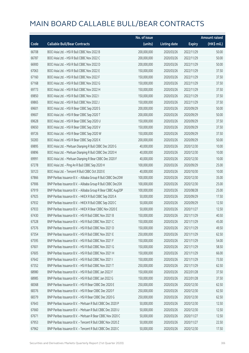|       |                                                              | No. of issue |                     |               | <b>Amount raised</b> |
|-------|--------------------------------------------------------------|--------------|---------------------|---------------|----------------------|
| Code  | <b>Callable Bull/Bear Contracts</b>                          | (units)      | <b>Listing date</b> | <b>Expiry</b> | (HK\$ mil.)          |
| 66708 | BOCI Asia Ltd. - HSI R Bull CBBC Nov 2022 B                  | 200,000,000  | 2020/03/26          | 2022/11/29    | 50.00                |
| 66787 | BOCI Asia Ltd. - HSI R Bull CBBC Nov 2022 C                  | 200,000,000  | 2020/03/26          | 2022/11/29    | 50.00                |
| 66900 | BOCI Asia Ltd. - HSI R Bull CBBC Nov 2022 D                  | 200,000,000  | 2020/03/26          | 2022/11/29    | 50.00                |
| 67063 | BOCI Asia Ltd. - HSI R Bull CBBC Nov 2022 E                  | 150,000,000  | 2020/03/26          | 2022/11/29    | 37.50                |
| 67160 | BOCI Asia Ltd. - HSI R Bull CBBC Nov 2022 F                  | 150,000,000  | 2020/03/26          | 2022/11/29    | 37.50                |
| 67168 | BOCI Asia Ltd. - HSI R Bull CBBC Nov 2022 G                  | 150,000,000  | 2020/03/26          | 2022/11/29    | 37.50                |
| 69773 | BOCI Asia Ltd. - HSI R Bull CBBC Nov 2022 H                  | 150,000,000  | 2020/03/26          | 2022/11/29    | 37.50                |
| 69850 | BOCI Asia Ltd. - HSI R Bull CBBC Nov 2022 I                  | 150,000,000  | 2020/03/26          | 2022/11/29    | 37.50                |
| 69865 | BOCI Asia Ltd. - HSI R Bull CBBC Nov 2022 J                  | 150,000,000  | 2020/03/26          | 2022/11/29    | 37.50                |
| 69601 | BOCI Asia Ltd. - HSI R Bear CBBC Sep 2020 S                  | 200,000,000  | 2020/03/26          | 2020/09/29    | 50.00                |
| 69607 | BOCI Asia Ltd. - HSI R Bear CBBC Sep 2020 T                  | 200,000,000  | 2020/03/26          | 2020/09/29    | 50.00                |
| 69628 | BOCI Asia Ltd. - HSI R Bear CBBC Sep 2020 U                  | 150,000,000  | 2020/03/26          | 2020/09/29    | 37.50                |
| 69650 | BOCI Asia Ltd. - HSI R Bear CBBC Sep 2020 V                  | 150,000,000  | 2020/03/26          | 2020/09/29    | 37.50                |
| 69726 | BOCI Asia Ltd. - HSI R Bear CBBC Sep 2020 W                  | 150,000,000  | 2020/03/26          | 2020/09/29    | 37.50                |
| 50283 | BOCI Asia Ltd. - HSI R Bear CBBC Sep 2020 X                  | 200,000,000  | 2020/03/26          | 2020/09/29    | 50.00                |
| 69895 | BOCI Asia Ltd. - Meituan Dianping R Bull CBBC Dec 2020 G     | 40,000,000   | 2020/03/26          | 2020/12/30    | 10.00                |
| 69896 | BOCI Asia Ltd. - Meituan Dianping R Bull CBBC Dec 2020 H     | 40,000,000   | 2020/03/26          | 2020/12/30    | 10.00                |
| 69991 | BOCI Asia Ltd. - Meituan Dianping R Bear CBBC Dec 2020 F     | 40,000,000   | 2020/03/26          | 2020/12/30    | 10.00                |
| 67278 | BOCI Asia Ltd. - Ping An R Bull CBBC Sep 2020 H              | 100,000,000  | 2020/03/26          | 2020/09/29    | 25.00                |
| 50123 | BOCI Asia Ltd. - Tencent R Bull CBBC Oct 2020 E              | 40,000,000   | 2020/03/26          | 2020/10/30    | 10.00                |
| 67866 | BNP Paribas Issuance B.V. - Alibaba Group R Bull CBBC Dec20W | 100,000,000  | 2020/03/26          | 2020/12/30    | 35.00                |
| 67906 | BNP Paribas Issuance B.V. - Alibaba Group R Bull CBBC Dec20X | 100,000,000  | 2020/03/26          | 2020/12/30    | 25.00                |
| 67919 | BNP Paribas Issuance B.V. - Alibaba Group R Bear CBBC Aug20P | 100,000,000  | 2020/03/26          | 2020/08/28    | 25.00                |
| 67925 | BNP Paribas Issuance B.V. - HKEX R Bull CBBC Sep 2020 A      | 50,000,000   | 2020/03/26          | 2020/09/29    | 17.50                |
| 67932 | BNP Paribas Issuance B.V. - HKEX R Bull CBBC Sep 2020 C      | 50,000,000   | 2020/03/26          | 2020/09/29    | 12.50                |
| 67933 | BNP Paribas Issuance B.V. - HKEX R Bear CBBC Nov 2020 E      | 50,000,000   | 2020/03/26          | 2020/11/27    | 12.50                |
| 67430 | BNP Paribas Issuance B.V. - HSI R Bull CBBC Nov 2021 B       | 150,000,000  | 2020/03/26          | 2021/11/29    | 40.50                |
| 67528 | BNP Paribas Issuance B.V. - HSI R Bull CBBC Nov 2021 C       | 150,000,000  | 2020/03/26          | 2021/11/29    | 45.00                |
| 67576 | BNP Paribas Issuance B.V. - HSI R Bull CBBC Nov 2021 D       | 150,000,000  | 2020/03/26          | 2021/11/29    | 49.50                |
| 67354 | BNP Paribas Issuance B.V. - HSI R Bull CBBC Nov 2021 E       | 250,000,000  | 2020/03/26          | 2021/11/29    | 62.50                |
| 67595 | BNP Paribas Issuance B.V. - HSI R Bull CBBC Nov 2021 F       | 150,000,000  | 2020/03/26          | 2021/11/29    | 54.00                |
| 67601 | BNP Paribas Issuance B.V. - HSI R Bull CBBC Nov 2021 G       | 150,000,000  | 2020/03/26          | 2021/11/29    | 58.50                |
| 67605 | BNP Paribas Issuance B.V. - HSI R Bull CBBC Nov 2021 H       | 150,000,000  | 2020/03/26          | 2021/11/29    | 66.00                |
| 67642 | BNP Paribas Issuance B.V. - HSI R Bull CBBC Nov 2021 I       | 150,000,000  | 2020/03/26          | 2021/11/29    | 73.50                |
| 67352 | BNP Paribas Issuance B.V. - HSI R Bull CBBC Nov 2021 T       | 250,000,000  | 2020/03/26          | 2021/11/29    | 62.50                |
| 68980 | BNP Paribas Issuance B.V. - HSI R Bull CBBC Jan 2022 F       | 150,000,000  | 2020/03/26          | 2022/01/28    | 37.50                |
| 68985 | BNP Paribas Issuance B.V. - HSI R Bull CBBC Jan 2022 G       | 150,000,000  | 2020/03/26          | 2022/01/28    | 37.50                |
| 68368 | BNP Paribas Issuance B.V. - HSI R Bear CBBC Dec 2020 E       | 250,000,000  | 2020/03/26          | 2020/12/30    | 62.50                |
| 68376 | BNP Paribas Issuance B.V. - HSI R Bear CBBC Dec 2020 F       | 250,000,000  | 2020/03/26          | 2020/12/30    | 62.50                |
| 68379 | BNP Paribas Issuance B.V. - HSI R Bear CBBC Dec 2020 G       | 250,000,000  | 2020/03/26          | 2020/12/30    | 62.50                |
| 67643 | BNP Paribas Issuance B.V. - Meituan R Bull CBBC Dec 2020 P   | 50,000,000   | 2020/03/26          | 2020/12/30    | 12.50                |
| 67660 | BNP Paribas Issuance B.V. - Meituan R Bull CBBC Dec 2020 U   | 50,000,000   | 2020/03/26          | 2020/12/30    | 12.50                |
| 67671 | BNP Paribas Issuance B.V. - Meituan R Bear CBBC Nov 2020 C   | 50,000,000   | 2020/03/26          | 2020/11/27    | 12.50                |
| 67953 | BNP Paribas Issuance B.V. - Tencent R Bull CBBC Nov 2020 Z   | 50,000,000   | 2020/03/26          | 2020/11/27    | 22.50                |
| 67962 | BNP Paribas Issuance B.V. - Tencent R Bull CBBC Dec 2020 C   | 50,000,000   | 2020/03/26          | 2020/12/30    | 17.50                |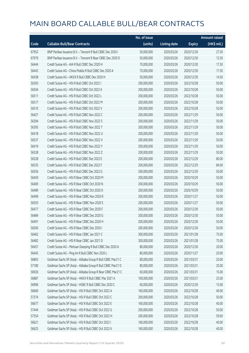|       |                                                             | No. of issue |                     |               | <b>Amount raised</b> |
|-------|-------------------------------------------------------------|--------------|---------------------|---------------|----------------------|
| Code  | <b>Callable Bull/Bear Contracts</b>                         | (units)      | <b>Listing date</b> | <b>Expiry</b> | (HK\$ mil.)          |
| 67952 | BNP Paribas Issuance B.V. - Tencent R Bull CBBC Dec 2020 I  | 50,000,000   | 2020/03/26          | 2020/12/30    | 27.50                |
| 67979 | BNP Paribas Issuance B.V. - Tencent R Bear CBBC Dec 2020 D  | 50,000,000   | 2020/03/26          | 2020/12/30    | 12.50                |
| 56444 | Credit Suisse AG - AIA R Bull CBBC Dec 2020 H               | 70,000,000   | 2020/03/26          | 2020/12/30    | 17.50                |
| 56443 | Credit Suisse AG - China Mobile R Bull CBBC Dec 2020 A      | 70,000,000   | 2020/03/26          | 2020/12/30    | 17.50                |
| 56438 | Credit Suisse AG - HKEX R Bull CBBC Dec 2020 H              | 50,000,000   | 2020/03/26          | 2020/12/30    | 14.50                |
| 56393 | Credit Suisse AG - HSI R Bull CBBC Oct 2022 I               | 200,000,000  | 2020/03/26          | 2022/10/28    | 50.00                |
| 56504 | Credit Suisse AG - HSI R Bull CBBC Oct 2022 K               | 200,000,000  | 2020/03/26          | 2022/10/28    | 50.00                |
| 56511 | Credit Suisse AG - HSI R Bull CBBC Oct 2022 L               | 200,000,000  | 2020/03/26          | 2022/10/28    | 50.00                |
| 56517 | Credit Suisse AG - HSI R Bull CBBC Oct 2022 M               | 200,000,000  | 2020/03/26          | 2022/10/28    | 50.00                |
| 56510 | Credit Suisse AG - HSI R Bull CBBC Oct 2022 V               | 200,000,000  | 2020/03/26          | 2022/10/28    | 50.00                |
| 56427 | Credit Suisse AG - HSI R Bull CBBC Nov 2022 C               | 200,000,000  | 2020/03/26          | 2022/11/29    | 50.00                |
| 56394 | Credit Suisse AG - HSI R Bull CBBC Nov 2022 S               | 200,000,000  | 2020/03/26          | 2022/11/29    | 50.00                |
| 56395 | Credit Suisse AG - HSI R Bull CBBC Nov 2022 T               | 200,000,000  | 2020/03/26          | 2022/11/29    | 50.00                |
| 56418 | Credit Suisse AG - HSI R Bull CBBC Nov 2022 U               | 200,000,000  | 2020/03/26          | 2022/11/29    | 50.00                |
| 56537 | Credit Suisse AG - HSI R Bull CBBC Nov 2022 V               | 200,000,000  | 2020/03/26          | 2022/11/29    | 50.00                |
| 56419 | Credit Suisse AG - HSI R Bull CBBC Nov 2022 Y               | 200,000,000  | 2020/03/26          | 2022/11/29    | 50.00                |
| 56538 | Credit Suisse AG - HSI R Bull CBBC Nov 2022 Z               | 200,000,000  | 2020/03/26          | 2022/11/29    | 50.00                |
| 56528 | Credit Suisse AG - HSI R Bull CBBC Dec 2022 E               | 200,000,000  | 2020/03/26          | 2022/12/29    | 80.00                |
| 56535 | Credit Suisse AG - HSI R Bull CBBC Dec 2022 F               | 200,000,000  | 2020/03/26          | 2022/12/29    | 84.00                |
| 56556 | Credit Suisse AG - HSI R Bull CBBC Dec 2022 G               | 200,000,000  | 2020/03/26          | 2022/12/29    | 50.00                |
| 56459 | Credit Suisse AG - HSI R Bear CBBC Oct 2020 M               | 200,000,000  | 2020/03/26          | 2020/10/29    | 50.00                |
| 56469 | Credit Suisse AG - HSI R Bear CBBC Oct 2020 N               | 200,000,000  | 2020/03/26          | 2020/10/29    | 50.00                |
| 56489 | Credit Suisse AG - HSI R Bear CBBC Oct 2020 O               | 200,000,000  | 2020/03/26          | 2020/10/29    | 50.00                |
| 56499 | Credit Suisse AG - HSI R Bear CBBC Nov 2020 R               | 200,000,000  | 2020/03/26          | 2020/11/27    | 50.00                |
| 56503 | Credit Suisse AG - HSI R Bear CBBC Nov 2020 S               | 200,000,000  | 2020/03/26          | 2020/11/27    | 50.00                |
| 56477 | Credit Suisse AG - HSI R Bear CBBC Dec 2020 F               | 200,000,000  | 2020/03/26          | 2020/12/30    | 50.00                |
| 56484 | Credit Suisse AG - HSI R Bear CBBC Dec 2020 G               | 200,000,000  | 2020/03/26          | 2020/12/30    | 50.00                |
| 56491 | Credit Suisse AG - HSI R Bear CBBC Dec 2020 H               | 200,000,000  | 2020/03/26          | 2020/12/30    | 50.00                |
| 56500 | Credit Suisse AG - HSI R Bear CBBC Dec 2020 I               | 200,000,000  | 2020/03/26          | 2020/12/30    | 50.00                |
| 56462 | Credit Suisse AG - HSI R Bear CBBC Jan 2021 C               | 300,000,000  | 2020/03/26          | 2021/01/28    | 75.00                |
| 56482 | Credit Suisse AG - HSI R Bear CBBC Jan 2021 D               | 300,000,000  | 2020/03/26          | 2021/01/28    | 75.00                |
| 56457 | Credit Suisse AG - Meituan Dianping R Bull CBBC Dec 2020 A  | 80,000,000   | 2020/03/26          | 2020/12/30    | 20.00                |
| 56445 | Credit Suisse AG - Ping An R Bull CBBC Nov 2020 L           | 80,000,000   | 2020/03/26          | 2020/11/27    | 20.00                |
| 56893 | Goldman Sachs SP (Asia) - Alibaba Group R Bull CBBC Mar21 C | 80,000,000   | 2020/03/26          | 2021/03/31    | 20.00                |
| 57180 | Goldman Sachs SP (Asia) - Alibaba Group R Bull CBBC Mar21 D | 80,000,000   | 2020/03/26          | 2021/03/31    | 20.00                |
| 56926 | Goldman Sachs SP (Asia) - Alibaba Group R Bear CBBC Mar21 C | 60,000,000   | 2020/03/26          | 2021/03/31    | 15.00                |
| 56887 | Goldman Sachs SP (Asia) - HKEX R Bull CBBC Mar 2021 A       | 100,000,000  | 2020/03/26          | 2021/03/31    | 25.00                |
| 56996 | Goldman Sachs SP (Asia) - HSBC R Bull CBBC Dec 2020 C       | 60,000,000   | 2020/03/26          | 2020/12/30    | 15.00                |
| 56660 | Goldman Sachs SP (Asia) - HSI R Bull CBBC Oct 2022 A        | 160,000,000  | 2020/03/26          | 2022/10/28    | 40.00                |
| 57374 | Goldman Sachs SP (Asia) - HSI R Bull CBBC Oct 2022 C        | 200,000,000  | 2020/03/26          | 2022/10/28    | 50.00                |
| 56677 | Goldman Sachs SP (Asia) - HSI R Bull CBBC Oct 2022 E        | 160,000,000  | 2020/03/26          | 2022/10/28    | 40.00                |
| 57444 | Goldman Sachs SP (Asia) - HSI R Bull CBBC Oct 2022 G        | 200,000,000  | 2020/03/26          | 2022/10/28    | 50.00                |
| 57554 | Goldman Sachs SP (Asia) - HSI R Bull CBBC Oct 2022 H        | 200,000,000  | 2020/03/26          | 2022/10/28    | 59.60                |
| 56621 | Goldman Sachs SP (Asia) - HSI R Bull CBBC Oct 2022 I        | 160,000,000  | 2020/03/26          | 2022/10/28    | 40.00                |
| 56625 | Goldman Sachs SP (Asia) - HSI R Bull CBBC Oct 2022 K        | 160,000,000  | 2020/03/26          | 2022/10/28    | 40.00                |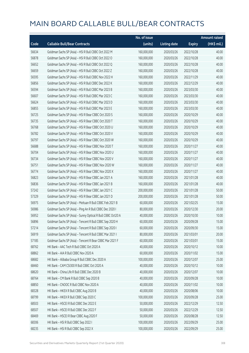|       |                                                             | No. of issue |                     |               | <b>Amount raised</b> |
|-------|-------------------------------------------------------------|--------------|---------------------|---------------|----------------------|
| Code  | <b>Callable Bull/Bear Contracts</b>                         | (units)      | <b>Listing date</b> | <b>Expiry</b> | (HK\$ mil.)          |
| 56634 | Goldman Sachs SP (Asia) - HSI R Bull CBBC Oct 2022 M        | 160,000,000  | 2020/03/26          | 2022/10/28    | 40.00                |
| 56878 | Goldman Sachs SP (Asia) - HSI R Bull CBBC Oct 2022 O        | 160,000,000  | 2020/03/26          | 2022/10/28    | 40.00                |
| 56652 | Goldman Sachs SP (Asia) - HSI R Bull CBBC Oct 2022 Q        | 160,000,000  | 2020/03/26          | 2022/10/28    | 40.00                |
| 56659 | Goldman Sachs SP (Asia) - HSI R Bull CBBC Oct 2022 Z        | 160,000,000  | 2020/03/26          | 2022/10/28    | 40.00                |
| 56595 | Goldman Sachs SP (Asia) - HSI R Bull CBBC Nov 2022 H        | 160,000,000  | 2020/03/26          | 2022/11/29    | 40.00                |
| 56856 | Goldman Sachs SP (Asia) - HSI R Bull CBBC Dec 2022 K        | 160,000,000  | 2020/03/26          | 2022/12/29    | 40.00                |
| 56594 | Goldman Sachs SP (Asia) - HSI R Bull CBBC Mar 2023 B        | 160,000,000  | 2020/03/26          | 2023/03/30    | 40.00                |
| 56607 | Goldman Sachs SP (Asia) - HSI R Bull CBBC Mar 2023 C        | 160,000,000  | 2020/03/26          | 2023/03/30    | 40.00                |
| 56624 | Goldman Sachs SP (Asia) - HSI R Bull CBBC Mar 2023 D        | 160,000,000  | 2020/03/26          | 2023/03/30    | 40.00                |
| 56855 | Goldman Sachs SP (Asia) - HSI R Bull CBBC Mar 2023 E        | 160,000,000  | 2020/03/26          | 2023/03/30    | 40.00                |
| 56725 | Goldman Sachs SP (Asia) - HSI R Bear CBBC Oct 2020 S        | 160,000,000  | 2020/03/26          | 2020/10/29    | 40.00                |
| 56735 | Goldman Sachs SP (Asia) - HSI R Bear CBBC Oct 2020 T        | 160,000,000  | 2020/03/26          | 2020/10/29    | 40.00                |
| 56768 | Goldman Sachs SP (Asia) - HSI R Bear CBBC Oct 2020 U        | 160,000,000  | 2020/03/26          | 2020/10/29    | 40.00                |
| 56782 | Goldman Sachs SP (Asia) - HSI R Bear CBBC Oct 2020 V        | 160,000,000  | 2020/03/26          | 2020/10/29    | 40.00                |
| 56797 | Goldman Sachs SP (Asia) - HSI R Bear CBBC Oct 2020 W        | 160,000,000  | 2020/03/26          | 2020/10/29    | 40.00                |
| 56688 | Goldman Sachs SP (Asia) - HSI R Bear CBBC Nov 2020 T        | 160,000,000  | 2020/03/26          | 2020/11/27    | 40.00                |
| 56704 | Goldman Sachs SP (Asia) - HSI R Bear CBBC Nov 2020 U        | 160,000,000  | 2020/03/26          | 2020/11/27    | 40.00                |
| 56734 | Goldman Sachs SP (Asia) - HSI R Bear CBBC Nov 2020 V        | 160,000,000  | 2020/03/26          | 2020/11/27    | 40.00                |
| 56751 | Goldman Sachs SP (Asia) - HSI R Bear CBBC Nov 2020 W        | 160,000,000  | 2020/03/26          | 2020/11/27    | 40.00                |
| 56774 | Goldman Sachs SP (Asia) - HSI R Bear CBBC Nov 2020 X        | 160,000,000  | 2020/03/26          | 2020/11/27    | 40.00                |
| 56823 | Goldman Sachs SP (Asia) - HSI R Bear CBBC Jan 2021 A        | 160,000,000  | 2020/03/26          | 2021/01/28    | 40.00                |
| 56836 | Goldman Sachs SP (Asia) - HSI R Bear CBBC Jan 2021 B        | 160,000,000  | 2020/03/26          | 2021/01/28    | 40.00                |
| 57242 | Goldman Sachs SP (Asia) - HSI R Bear CBBC Jan 2021 C        | 200,000,000  | 2020/03/26          | 2021/01/28    | 50.00                |
| 57329 | Goldman Sachs SP (Asia) - HSI R Bear CBBC Jan 2021 D        | 200,000,000  | 2020/03/26          | 2021/01/28    | 50.00                |
| 56975 | Goldman Sachs SP (Asia) - Meituan R Bull CBBC Feb 2021 B    | 60,000,000   | 2020/03/26          | 2021/02/25    | 15.00                |
| 56986 | Goldman Sachs SP (Asia) - Ping An R Bull CBBC Dec 2020 I    | 80,000,000   | 2020/03/26          | 2020/12/30    | 20.00                |
| 56952 | Goldman Sachs SP (Asia) - Sunny Optical R Bull CBBC Oct20 A | 40,000,000   | 2020/03/26          | 2020/10/30    | 10.00                |
| 56896 | Goldman Sachs SP (Asia) - Tencent R Bull CBBC Sep 2020 H    | 60,000,000   | 2020/03/26          | 2020/09/28    | 15.00                |
| 57214 | Goldman Sachs SP (Asia) - Tencent R Bull CBBC Sep 2020 I    | 60,000,000   | 2020/03/26          | 2020/09/30    | 15.00                |
| 56919 | Goldman Sachs SP (Asia) - Tencent R Bull CBBC Mar 2021 I    | 80,000,000   | 2020/03/26          | 2021/03/01    | 20.00                |
| 57185 | Goldman Sachs SP (Asia) - Tencent R Bear CBBC Mar 2021 F    | 60,000,000   | 2020/03/26          | 2021/03/01    | 15.00                |
| 68762 | HK Bank - AAC Tech R Bull CBBC Oct 2020 A                   | 40,000,000   | 2020/03/26          | 2020/10/12    | 10.00                |
| 68862 | HK Bank - AIA R Bull CBBC Nov 2020 A                        | 60,000,000   | 2020/03/26          | 2020/11/02    | 15.00                |
| 68682 | HK Bank - Alibaba Group R Bull CBBC Dec 2020 A              | 100,000,000  | 2020/03/26          | 2020/12/07    | 25.00                |
| 68460 | HK Bank - CAM CSI300 R Bull CBBC Oct 2020 A                 | 40,000,000   | 2020/03/26          | 2020/10/12    | 10.00                |
| 68620 | HK Bank - China Life R Bull CBBC Dec 2020 B                 | 40,000,000   | 2020/03/26          | 2020/12/07    | 10.00                |
| 68764 | HK Bank - CM Bank R Bull CBBC Sep 2020 B                    | 40,000,000   | 2020/03/26          | 2020/09/28    | 10.00                |
| 68850 | HK Bank - CNOOC R Bull CBBC Nov 2020 A                      | 40,000,000   | 2020/03/26          | 2020/11/02    | 10.00                |
| 68328 | HK Bank - HKEX R Bull CBBC Aug 2020 B                       | 40,000,000   | 2020/03/26          | 2020/08/06    | 10.00                |
| 68799 | HK Bank - HKEX R Bull CBBC Sep 2020 C                       | 100,000,000  | 2020/03/26          | 2020/09/28    | 25.00                |
| 68503 | HK Bank - HSCEI R Bull CBBC Dec 2022 E                      | 50,000,000   | 2020/03/26          | 2022/12/29    | 12.50                |
| 68507 | HK Bank - HSCEI R Bull CBBC Dec 2022 F                      | 50,000,000   | 2020/03/26          | 2022/12/29    | 12.50                |
| 68469 | HK Bank - HSCEI R Bear CBBC Aug 2020 F                      | 50,000,000   | 2020/03/26          | 2020/08/28    | 12.50                |
| 68306 | HK Bank - HSI R Bull CBBC Sep 2022 I                        | 100,000,000  | 2020/03/26          | 2022/09/29    | 25.00                |
| 68235 | HK Bank - HSI R Bull CBBC Sep 2022 X                        | 100,000,000  | 2020/03/26          | 2022/09/29    | 25.00                |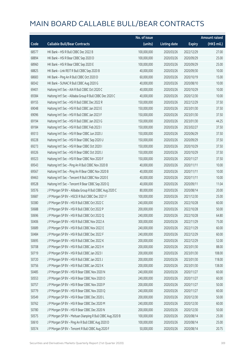|       |                                                            | No. of issue |                     |               | <b>Amount raised</b> |
|-------|------------------------------------------------------------|--------------|---------------------|---------------|----------------------|
| Code  | <b>Callable Bull/Bear Contracts</b>                        | (units)      | <b>Listing date</b> | <b>Expiry</b> | (HK\$ mil.)          |
| 68577 | HK Bank - HSI R Bull CBBC Dec 2022 B                       | 100,000,000  | 2020/03/26          | 2022/12/29    | 27.00                |
| 68894 | HK Bank - HSI R Bear CBBC Sep 2020 D                       | 100,000,000  | 2020/03/26          | 2020/09/29    | 25.00                |
| 68960 | HK Bank - HSI R Bear CBBC Sep 2020 E                       | 100,000,000  | 2020/03/26          | 2020/09/29    | 25.00                |
| 68825 | HK Bank - Link REIT R Bull CBBC Sep 2020 B                 | 40,000,000   | 2020/03/26          | 2020/09/30    | 10.00                |
| 68683 | HK Bank - Ping An R Bull CBBC Oct 2020 D                   | 60,000,000   | 2020/03/26          | 2020/10/19    | 15.00                |
| 68342 | HK Bank - SUNAC R Bull CBBC Aug 2020 G                     | 40,000,000   | 2020/03/26          | 2020/08/10    | 10.00                |
| 69401 | Haitong Int'l Sec - AIA R Bull CBBC Oct 2020 C             | 40,000,000   | 2020/03/26          | 2020/10/29    | 10.00                |
| 69384 | Haitong Int'l Sec - Alibaba Group R Bull CBBC Dec 2020 C   | 40,000,000   | 2020/03/26          | 2020/12/30    | 10.00                |
| 69155 | Haitong Int'l Sec - HSI R Bull CBBC Dec 2022 R             | 150,000,000  | 2020/03/26          | 2022/12/29    | 37.50                |
| 69048 | Haitong Int'l Sec - HSI R Bull CBBC Jan 2023 E             | 150,000,000  | 2020/03/26          | 2023/01/30    | 37.50                |
| 69096 | Haitong Int'l Sec - HSI R Bull CBBC Jan 2023 F             | 150,000,000  | 2020/03/26          | 2023/01/30    | 37.50                |
| 69194 | Haitong Int'l Sec - HSI R Bull CBBC Jan 2023 G             | 150,000,000  | 2020/03/26          | 2023/01/30    | 44.25                |
| 69184 | Haitong Int'l Sec - HSI R Bull CBBC Feb 2023 I             | 150,000,000  | 2020/03/26          | 2023/02/27    | 37.50                |
| 69313 | Haitong Int'l Sec - HSI R Bear CBBC Jun 2020 J             | 150,000,000  | 2020/03/26          | 2020/06/29    | 37.50                |
| 69228 | Haitong Int'l Sec - HSI R Bear CBBC Sep 2020 U             | 150,000,000  | 2020/03/26          | 2020/09/29    | 37.50                |
| 69273 | Haitong Int'l Sec - HSI R Bear CBBC Oct 2020 I             | 150,000,000  | 2020/03/26          | 2020/10/29    | 37.50                |
| 69326 | Haitong Int'l Sec - HSI R Bear CBBC Oct 2020 J             | 150,000,000  | 2020/03/26          | 2020/10/29    | 37.50                |
| 69323 | Haitong Int'l Sec - HSI R Bear CBBC Nov 2020 F             | 150,000,000  | 2020/03/26          | 2020/11/27    | 37.50                |
| 69543 | Haitong Int'l Sec - Ping An R Bull CBBC Nov 2020 B         | 40,000,000   | 2020/03/26          | 2020/11/11    | 10.00                |
| 69567 | Haitong Int'l Sec - Ping An R Bear CBBC Nov 2020 B         | 40,000,000   | 2020/03/26          | 2020/11/11    | 10.00                |
| 69463 | Haitong Int'l Sec - Tencent R Bull CBBC Nov 2020 E         | 40,000,000   | 2020/03/26          | 2020/11/11    | 10.00                |
| 69528 | Haitong Int'l Sec - Tencent R Bear CBBC Sep 2020 Q         | 40,000,000   | 2020/03/26          | 2020/09/11    | 11.04                |
| 50576 | J P Morgan SP BV - Alibaba Group R Bull CBBC Aug 2020 C    | 80,000,000   | 2020/03/26          | 2020/08/14    | 20.00                |
| 50687 | J P Morgan SP BV - HSCEI R Bull CBBC Dec 2021 F            | 100,000,000  | 2020/03/26          | 2021/12/30    | 25.00                |
| 50380 | J P Morgan SP BV - HSI R Bull CBBC Oct 2022 C              | 240,000,000  | 2020/03/26          | 2022/10/28    | 60.00                |
| 50688 | J P Morgan SP BV - HSI R Bull CBBC Oct 2022 P              | 200,000,000  | 2020/03/26          | 2022/10/28    | 50.00                |
| 50696 | J P Morgan SP BV - HSI R Bull CBBC Oct 2022 Q              | 240,000,000  | 2020/03/26          | 2022/10/28    | 64.80                |
| 50406 | J P Morgan SP BV - HSI R Bull CBBC Nov 2022 A              | 300,000,000  | 2020/03/26          | 2022/11/29    | 75.00                |
| 50689 | J P Morgan SP BV - HSI R Bull CBBC Nov 2022 E              | 240,000,000  | 2020/03/26          | 2022/11/29    | 60.00                |
| 50484 | J P Morgan SP BV - HSI R Bull CBBC Dec 2022 F              | 240,000,000  | 2020/03/26          | 2022/12/29    | 60.00                |
| 50695 | J P Morgan SP BV - HSI R Bull CBBC Dec 2022 K              | 200,000,000  | 2020/03/26          | 2022/12/29    | 52.00                |
| 50708 | J P Morgan SP BV - HSI R Bull CBBC Jan 2023 H              | 200,000,000  | 2020/03/26          | 2023/01/30    | 88.00                |
| 50719 | J P Morgan SP BV - HSI R Bull CBBC Jan 2023 I              | 200,000,000  | 2020/03/26          | 2023/01/30    | 108.00               |
| 50720 | J P Morgan SP BV - HSI R Bull CBBC Jan 2023 J              | 200,000,000  | 2020/03/26          | 2023/01/30    | 118.00               |
| 50756 | J P Morgan SP BV - HSI R Bull CBBC Jan 2023 K              | 200,000,000  | 2020/03/26          | 2023/01/30    | 138.00               |
| 50485 | J P Morgan SP BV - HSI R Bear CBBC Nov 2020 N              | 240,000,000  | 2020/03/26          | 2020/11/27    | 60.00                |
| 50553 | J P Morgan SP BV - HSI R Bear CBBC Nov 2020 O              | 240,000,000  | 2020/03/26          | 2020/11/27    | 60.00                |
| 50757 | J P Morgan SP BV - HSI R Bear CBBC Nov 2020 P              | 200,000,000  | 2020/03/26          | 2020/11/27    | 50.00                |
| 50779 | J P Morgan SP BV - HSI R Bear CBBC Nov 2020 Q              | 240,000,000  | 2020/03/26          | 2020/11/27    | 60.00                |
| 50549 | J P Morgan SP BV - HSI R Bear CBBC Dec 2020 L              | 200,000,000  | 2020/03/26          | 2020/12/30    | 50.00                |
| 50762 | J P Morgan SP BV - HSI R Bear CBBC Dec 2020 M              | 240,000,000  | 2020/03/26          | 2020/12/30    | 60.00                |
| 50780 | J P Morgan SP BV - HSI R Bear CBBC Dec 2020 N              | 200,000,000  | 2020/03/26          | 2020/12/30    | 50.00                |
| 50575 | J P Morgan SP BV - Meituan Dianping R Bull CBBC Aug 2020 B | 100,000,000  | 2020/03/26          | 2020/08/14    | 25.00                |
| 50610 | J P Morgan SP BV - Ping An R Bull CBBC Aug 2020 D          | 100,000,000  | 2020/03/26          | 2020/08/14    | 25.00                |
| 50574 | J P Morgan SP BV - Tencent R Bull CBBC Aug 2020 F          | 50,000,000   | 2020/03/26          | 2020/08/14    | 20.75                |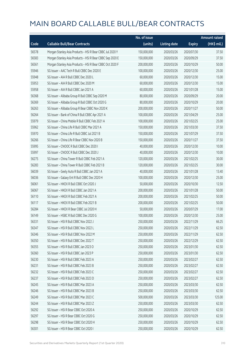|       |                                                           | No. of issue |                     |               | <b>Amount raised</b> |
|-------|-----------------------------------------------------------|--------------|---------------------|---------------|----------------------|
| Code  | <b>Callable Bull/Bear Contracts</b>                       | (units)      | <b>Listing date</b> | <b>Expiry</b> | (HK\$ mil.)          |
| 56578 | Morgan Stanley Asia Products - HSI R Bear CBBC Jul 2020 Y | 150,000,000  | 2020/03/26          | 2020/07/30    | 37.50                |
| 56583 | Morgan Stanley Asia Products - HSI R Bear CBBC Sep 2020 E | 150,000,000  | 2020/03/26          | 2020/09/29    | 37.50                |
| 56561 | Morgan Stanley Asia Products - HSI R Bear CBBC Oct 2020 F | 200,000,000  | 2020/03/26          | 2020/10/29    | 50.00                |
| 55946 | SG Issuer - AAC Tech R Bull CBBC Dec 2020 E               | 100,000,000  | 2020/03/26          | 2020/12/30    | 25.00                |
| 55948 | SG Issuer - AIA R Bull CBBC Dec 2020 L                    | 60,000,000   | 2020/03/26          | 2020/12/30    | 15.00                |
| 55953 | SG Issuer - AIA R Bull CBBC Dec 2020 M                    | 60,000,000   | 2020/03/26          | 2020/12/30    | 15.00                |
| 55958 | SG Issuer - AIA R Bull CBBC Jan 2021 A                    | 60,000,000   | 2020/03/26          | 2021/01/28    | 15.00                |
| 56368 | SG Issuer - Alibaba Group R Bull CBBC Sep 2020 M          | 80,000,000   | 2020/03/26          | 2020/09/29    | 20.00                |
| 56369 | SG Issuer - Alibaba Group R Bull CBBC Oct 2020 G          | 80,000,000   | 2020/03/26          | 2020/10/29    | 20.00                |
| 56263 | SG Issuer - Alibaba Group R Bear CBBC Nov 2020 K          | 200,000,000  | 2020/03/26          | 2020/11/27    | 50.00                |
| 56264 | SG Issuer - Bank of China R Bull CBBC Apr 2021 A          | 100,000,000  | 2020/03/26          | 2021/04/29    | 25.00                |
| 55979 | SG Issuer - China Mobile R Bull CBBC Feb 2021 A           | 100,000,000  | 2020/03/26          | 2021/02/25    | 25.00                |
| 55962 | SG Issuer - China Life R Bull CBBC Mar 2021 A             | 150,000,000  | 2020/03/26          | 2021/03/30    | 37.50                |
| 55970 | SG Issuer - China Life R Bull CBBC Jul 2021 B             | 150,000,000  | 2020/03/26          | 2021/07/29    | 37.50                |
| 56266 | SG Issuer - China Life R Bear CBBC Nov 2020 B             | 150,000,000  | 2020/03/26          | 2020/11/27    | 37.50                |
| 55995 | SG Issuer - CNOOC R Bull CBBC Dec 2020 I                  | 40,000,000   | 2020/03/26          | 2020/12/30    | 10.00                |
| 55997 | SG Issuer - CNOOC R Bull CBBC Dec 2020 J                  | 40,000,000   | 2020/03/26          | 2020/12/30    | 10.00                |
| 56275 | SG Issuer - China Tower R Bull CBBC Feb 2021 A            | 120,000,000  | 2020/03/26          | 2021/02/25    | 30.00                |
| 56283 | SG Issuer - China Tower R Bull CBBC Feb 2021 B            | 120,000,000  | 2020/03/26          | 2021/02/25    | 30.00                |
| 56039 | SG Issuer - Geely Auto R Bull CBBC Jan 2021 A             | 40,000,000   | 2020/03/26          | 2021/01/28    | 13.40                |
| 56036 | SG Issuer - Galaxy Ent R Bull CBBC Dec 2020 H             | 100,000,000  | 2020/03/26          | 2020/12/30    | 25.00                |
| 56061 | SG Issuer - HKEX R Bull CBBC Oct 2020 J                   | 50,000,000   | 2020/03/26          | 2020/10/30    | 12.50                |
| 56067 | SG Issuer - HKEX R Bull CBBC Jan 2021 A                   | 200,000,000  | 2020/03/26          | 2021/01/28    | 50.00                |
| 56110 | SG Issuer - HKEX R Bull CBBC Feb 2021 A                   | 200,000,000  | 2020/03/26          | 2021/02/25    | 50.00                |
| 56117 | SG Issuer - HKEX R Bull CBBC Feb 2021 B                   | 200,000,000  | 2020/03/26          | 2021/02/25    | 50.00                |
| 56284 | SG Issuer - HKEX R Bear CBBC Jul 2020 H                   | 50,000,000   | 2020/03/26          | 2020/07/29    | 17.00                |
| 56149 | SG Issuer - HSBC R Bull CBBC Dec 2020 G                   | 100,000,000  | 2020/03/26          | 2020/12/30    | 25.00                |
| 56331 | SG Issuer – HSI R Bull CBBC Nov 2022 J                    | 250,000,000  | 2020/03/26          | 2022/11/29    | 66.25                |
| 56347 | SG Issuer - HSI R Bull CBBC Nov 2022 L                    | 250,000,000  | 2020/03/26          | 2022/11/29    | 62.50                |
| 56346 | SG Issuer - HSI R Bull CBBC Nov 2022 M                    | 250,000,000  | 2020/03/26          | 2022/11/29    | 62.50                |
| 56350 | SG Issuer - HSI R Bull CBBC Dec 2022 T                    | 250,000,000  | 2020/03/26          | 2022/12/29    | 62.50                |
| 56355 | SG Issuer - HSI R Bull CBBC Jan 2023 O                    | 250,000,000  | 2020/03/26          | 2023/01/30    | 62.50                |
| 56360 | SG Issuer - HSI R Bull CBBC Jan 2023 P                    | 250,000,000  | 2020/03/26          | 2023/01/30    | 62.50                |
| 56230 | SG Issuer - HSI R Bull CBBC Feb 2023 A                    | 250,000,000  | 2020/03/26          | 2023/02/27    | 62.50                |
| 56231 | SG Issuer - HSI R Bull CBBC Feb 2023 B                    | 250,000,000  | 2020/03/26          | 2023/02/27    | 62.50                |
| 56232 | SG Issuer - HSI R Bull CBBC Feb 2023 C                    | 250,000,000  | 2020/03/26          | 2023/02/27    | 62.50                |
| 56237 | SG Issuer - HSI R Bull CBBC Feb 2023 D                    | 250,000,000  | 2020/03/26          | 2023/02/27    | 62.50                |
| 56245 | SG Issuer - HSI R Bull CBBC Mar 2023 A                    | 250,000,000  | 2020/03/26          | 2023/03/30    | 62.50                |
| 56246 | SG Issuer - HSI R Bull CBBC Mar 2023 B                    | 250,000,000  | 2020/03/26          | 2023/03/30    | 62.50                |
| 56249 | SG Issuer - HSI R Bull CBBC Mar 2023 C                    | 500,000,000  | 2020/03/26          | 2023/03/30    | 125.00               |
| 56244 | SG Issuer - HSI R Bull CBBC Mar 2023 Z                    | 250,000,000  | 2020/03/26          | 2023/03/30    | 62.50                |
| 56292 | SG Issuer - HSI R Bear CBBC Oct 2020 A                    | 250,000,000  | 2020/03/26          | 2020/10/29    | 62.50                |
| 56297 | SG Issuer - HSI R Bear CBBC Oct 2020 G                    | 250,000,000  | 2020/03/26          | 2020/10/29    | 62.50                |
| 56298 | SG Issuer - HSI R Bear CBBC Oct 2020 H                    | 250,000,000  | 2020/03/26          | 2020/10/29    | 62.50                |
| 56301 | SG Issuer - HSI R Bear CBBC Oct 2020 I                    | 250,000,000  | 2020/03/26          | 2020/10/29    | 62.50                |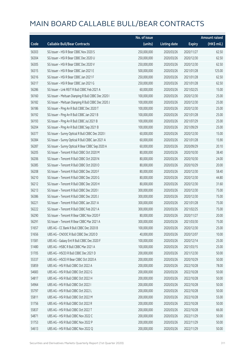|       |                                                     | No. of issue |                     |               | <b>Amount raised</b> |
|-------|-----------------------------------------------------|--------------|---------------------|---------------|----------------------|
| Code  | <b>Callable Bull/Bear Contracts</b>                 | (units)      | <b>Listing date</b> | <b>Expiry</b> | (HK\$ mil.)          |
| 56303 | SG Issuer - HSI R Bear CBBC Nov 2020 S              | 250,000,000  | 2020/03/26          | 2020/11/27    | 62.50                |
| 56304 | SG Issuer - HSI R Bear CBBC Dec 2020 U              | 250,000,000  | 2020/03/26          | 2020/12/30    | 62.50                |
| 56305 | SG Issuer - HSI R Bear CBBC Dec 2020 V              | 250,000,000  | 2020/03/26          | 2020/12/30    | 62.50                |
| 56315 | SG Issuer - HSI R Bear CBBC Jan 2021 E              | 500,000,000  | 2020/03/26          | 2021/01/28    | 125.00               |
| 56316 | SG Issuer - HSI R Bear CBBC Jan 2021 F              | 250,000,000  | 2020/03/26          | 2021/01/28    | 62.50                |
| 56317 | SG Issuer - HSI R Bear CBBC Jan 2021 G              | 250,000,000  | 2020/03/26          | 2021/01/28    | 62.50                |
| 56286 | SG Issuer - Link REIT R Bull CBBC Feb 2021 A        | 60,000,000   | 2020/03/26          | 2021/02/25    | 15.00                |
| 56160 | SG Issuer - Meituan Dianping R Bull CBBC Dec 2020 I | 100,000,000  | 2020/03/26          | 2020/12/30    | 25.00                |
| 56182 | SG Issuer - Meituan Dianping R Bull CBBC Dec 2020 J | 100,000,000  | 2020/03/26          | 2020/12/30    | 25.00                |
| 56186 | SG Issuer - Ping An R Bull CBBC Dec 2020 T          | 100,000,000  | 2020/03/26          | 2020/12/30    | 25.00                |
| 56192 | SG Issuer - Ping An R Bull CBBC Jan 2021 B          | 100,000,000  | 2020/03/26          | 2021/01/28    | 25.00                |
| 56193 | SG Issuer - Ping An R Bull CBBC Jul 2021 B          | 100,000,000  | 2020/03/26          | 2021/07/29    | 25.00                |
| 56204 | SG Issuer - Ping An R Bull CBBC Sep 2021 B          | 100,000,000  | 2020/03/26          | 2021/09/29    | 25.00                |
| 56377 | SG Issuer - Sunny Optical R Bull CBBC Dec 2020 I    | 60,000,000   | 2020/03/26          | 2020/12/30    | 15.00                |
| 56384 | SG Issuer - Sunny Optical R Bull CBBC Jan 2021 A    | 60,000,000   | 2020/03/26          | 2021/01/28    | 15.90                |
| 56287 | SG Issuer - Sunny Optical R Bear CBBC Sep 2020 A    | 60,000,000   | 2020/03/26          | 2020/09/29    | 20.10                |
| 56205 | SG Issuer - Tencent R Bull CBBC Oct 2020 M          | 80,000,000   | 2020/03/26          | 2020/10/30    | 38.40                |
| 56206 | SG Issuer - Tencent R Bull CBBC Oct 2020 N          | 80,000,000   | 2020/03/26          | 2020/10/30    | 24.00                |
| 56385 | SG Issuer - Tencent R Bull CBBC Oct 2020 O          | 80,000,000   | 2020/03/26          | 2020/10/29    | 20.00                |
| 56208 | SG Issuer - Tencent R Bull CBBC Dec 2020 F          | 80,000,000   | 2020/03/26          | 2020/12/30    | 58.40                |
| 56210 | SG Issuer - Tencent R Bull CBBC Dec 2020 G          | 80,000,000   | 2020/03/26          | 2020/12/30    | 44.80                |
| 56212 | SG Issuer - Tencent R Bull CBBC Dec 2020 H          | 80,000,000   | 2020/03/26          | 2020/12/30    | 31.60                |
| 56213 | SG Issuer - Tencent R Bull CBBC Dec 2020 I          | 300,000,000  | 2020/03/26          | 2020/12/30    | 75.00                |
| 56386 | SG Issuer - Tencent R Bull CBBC Dec 2020 J          | 300,000,000  | 2020/03/26          | 2020/12/30    | 75.00                |
| 56221 | SG Issuer - Tencent R Bull CBBC Jan 2021 A          | 300,000,000  | 2020/03/26          | 2021/01/28    | 75.00                |
| 56222 | SG Issuer - Tencent R Bull CBBC Feb 2021 A          | 300,000,000  | 2020/03/26          | 2021/02/25    | 75.00                |
| 56290 | SG Issuer - Tencent R Bear CBBC Nov 2020 F          | 80,000,000   | 2020/03/26          | 2020/11/27    | 20.00                |
| 56291 | SG Issuer – Tencent R Bear CBBC Mar 2021 A          | 300,000,000  | 2020/03/26          | 2021/03/30    | 75.00                |
| 51657 | UBS AG - CC Bank R Bull CBBC Dec 2020 B             | 100,000,000  | 2020/03/26          | 2020/12/30    | 25.00                |
| 51656 | UBS AG - CNOOC R Bull CBBC Dec 2020 D               | 40,000,000   | 2020/03/26          | 2020/12/07    | 10.00                |
| 51581 | UBS AG - Galaxy Ent R Bull CBBC Dec 2020 F          | 100,000,000  | 2020/03/26          | 2020/12/14    | 25.00                |
| 51480 | UBS AG - HSBC R Bull CBBC Mar 2021 A                | 100,000,000  | 2020/03/26          | 2021/03/15    | 25.00                |
| 51705 | UBS AG - HSCEI R Bull CBBC Dec 2021 D               | 200,000,000  | 2020/03/26          | 2021/12/30    | 50.00                |
| 55337 | UBS AG - HSCEI R Bear CBBC Oct 2020 A               | 200,000,000  | 2020/03/26          | 2020/10/29    | 50.00                |
| 55859 | UBS AG - HSI R Bull CBBC Oct 2022 A                 | 200,000,000  | 2020/03/26          | 2022/10/28    | 78.00                |
| 54683 | UBS AG - HSI R Bull CBBC Oct 2022 G                 | 200,000,000  | 2020/03/26          | 2022/10/28    | 50.00                |
| 54817 | UBS AG - HSI R Bull CBBC Oct 2022 H                 | 200,000,000  | 2020/03/26          | 2022/10/28    | 50.00                |
| 54964 | UBS AG - HSI R Bull CBBC Oct 2022 I                 | 200,000,000  | 2020/03/26          | 2022/10/28    | 50.00                |
| 55797 | UBS AG - HSI R Bull CBBC Oct 2022 L                 | 200,000,000  | 2020/03/26          | 2022/10/28    | 50.00                |
| 55811 | UBS AG - HSI R Bull CBBC Oct 2022 M                 | 200,000,000  | 2020/03/26          | 2022/10/28    | 55.00                |
| 51756 | UBS AG - HSI R Bull CBBC Oct 2022 R                 | 200,000,000  | 2020/03/26          | 2022/10/28    | 50.00                |
| 55837 | UBS AG - HSI R Bull CBBC Oct 2022 T                 | 200,000,000  | 2020/03/26          | 2022/10/28    | 66.00                |
| 54871 | UBS AG - HSI R Bull CBBC Nov 2022 C                 | 200,000,000  | 2020/03/26          | 2022/11/29    | 50.00                |
| 51753 | UBS AG - HSI R Bull CBBC Nov 2022 P                 | 200,000,000  | 2020/03/26          | 2022/11/29    | 50.00                |
| 54613 | UBS AG - HSI R Bull CBBC Nov 2022 Q                 | 200,000,000  | 2020/03/26          | 2022/11/29    | 50.00                |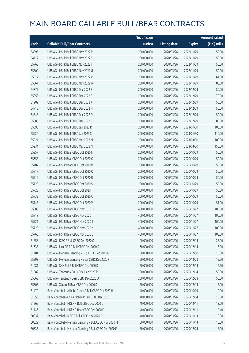|       |                                                         | No. of issue |                     |               | <b>Amount raised</b> |
|-------|---------------------------------------------------------|--------------|---------------------|---------------|----------------------|
| Code  | <b>Callable Bull/Bear Contracts</b>                     | (units)      | <b>Listing date</b> | <b>Expiry</b> | (HK\$ mil.)          |
| 54893 | UBS AG - HSI R Bull CBBC Nov 2022 R                     | 200,000,000  | 2020/03/26          | 2022/11/29    | 50.00                |
| 54712 | UBS AG - HSI R Bull CBBC Nov 2022 S                     | 200,000,000  | 2020/03/26          | 2022/11/29    | 50.00                |
| 55765 | UBS AG - HSI R Bull CBBC Nov 2022 T                     | 200,000,000  | 2020/03/26          | 2022/11/29    | 50.00                |
| 55809 | UBS AG - HSI R Bull CBBC Nov 2022 U                     | 200,000,000  | 2020/03/26          | 2022/11/29    | 50.00                |
| 55812 | UBS AG - HSI R Bull CBBC Nov 2022 V                     | 200,000,000  | 2020/03/26          | 2022/11/29    | 61.00                |
| 55861 | UBS AG - HSI R Bull CBBC Nov 2022 W                     | 200,000,000  | 2020/03/26          | 2022/11/29    | 83.00                |
| 54877 | UBS AG - HSI R Bull CBBC Dec 2022 E                     | 200,000,000  | 2020/03/26          | 2022/12/29    | 50.00                |
| 55853 | UBS AG - HSI R Bull CBBC Dec 2022 G                     | 200,000,000  | 2020/03/26          | 2022/12/29    | 70.00                |
| 51909 | UBS AG - HSI R Bull CBBC Dec 2022 K                     | 200,000,000  | 2020/03/26          | 2022/12/29    | 50.00                |
| 54715 | UBS AG - HSI R Bull CBBC Dec 2022 N                     | 200,000,000  | 2020/03/26          | 2022/12/29    | 50.00                |
| 54843 | UBS AG - HSI R Bull CBBC Dec 2022 O                     | 200,000,000  | 2020/03/26          | 2022/12/29    | 50.00                |
| 55885 | UBS AG - HSI R Bull CBBC Dec 2022 P                     | 200,000,000  | 2020/03/26          | 2022/12/29    | 86.00                |
| 55896 | UBS AG - HSI R Bull CBBC Jan 2023 R                     | 200,000,000  | 2020/03/26          | 2023/01/30    | 100.00               |
| 55926 | UBS AG - HSI R Bull CBBC Jan 2023 S                     | 200,000,000  | 2020/03/26          | 2023/01/30    | 116.00               |
| 55921 | UBS AG - HSI R Bull CBBC Mar 2023 M                     | 200,000,000  | 2020/03/26          | 2023/03/30    | 108.00               |
| 55934 | UBS AG - HSI R Bull CBBC Mar 2023 N                     | 400,000,000  | 2020/03/26          | 2023/03/30    | 150.00               |
| 55357 | UBS AG - HSI R Bear CBBC Oct 2020 N                     | 200,000,000  | 2020/03/26          | 2020/10/29    | 50.00                |
| 55658 | UBS AG - HSI R Bear CBBC Oct 2020 O                     | 200,000,000  | 2020/03/26          | 2020/10/29    | 50.00                |
| 55702 | UBS AG - HSI R Bear CBBC Oct 2020 P                     | 200,000,000  | 2020/03/26          | 2020/10/29    | 50.00                |
| 55717 | UBS AG - HSI R Bear CBBC Oct 2020 Q                     | 200,000,000  | 2020/03/26          | 2020/10/29    | 50.00                |
| 55719 | UBS AG - HSI R Bear CBBC Oct 2020 R                     | 200,000,000  | 2020/03/26          | 2020/10/29    | 50.00                |
| 55720 | UBS AG - HSI R Bear CBBC Oct 2020 S                     | 200,000,000  | 2020/03/26          | 2020/10/29    | 50.00                |
| 55723 | UBS AG - HSI R Bear CBBC Oct 2020 T                     | 200,000,000  | 2020/03/26          | 2020/10/29    | 50.00                |
| 55732 | UBS AG - HSI R Bear CBBC Oct 2020 U                     | 200,000,000  | 2020/03/26          | 2020/10/29    | 50.00                |
| 55743 | UBS AG - HSI R Bear CBBC Oct 2020 V                     | 200,000,000  | 2020/03/26          | 2020/10/29    | 51.00                |
| 55689 | UBS AG - HSI R Bear CBBC Nov 2020 H                     | 400,000,000  | 2020/03/26          | 2020/11/27    | 100.00               |
| 55718 | UBS AG - HSI R Bear CBBC Nov 2020 I                     | 400,000,000  | 2020/03/26          | 2020/11/27    | 100.00               |
| 55721 | UBS AG - HSI R Bear CBBC Nov 2020 J                     | 400,000,000  | 2020/03/26          | 2020/11/27    | 100.00               |
| 55725 | UBS AG - HSI R Bear CBBC Nov 2020 K                     | 400,000,000  | 2020/03/26          | 2020/11/27    | 100.00               |
| 55760 | UBS AG - HSI R Bear CBBC Nov 2020 L                     | 400,000,000  | 2020/03/26          | 2020/11/27    | 100.00               |
| 51658 | UBS AG - ICBC R Bull CBBC Dec 2020 C                    | 100,000,000  | 2020/03/26          | 2020/12/14    | 25.00                |
| 51633 | UBS AG - Link REIT R Bull CBBC Dec 2020 D               | 60,000,000   | 2020/03/26          | 2020/12/14    | 15.00                |
| 51704 | UBS AG - Meituan Dianping R Bull CBBC Dec 2020 N        | 60,000,000   | 2020/03/26          | 2020/12/30    | 15.00                |
| 55293 | UBS AG - Meituan Dianping R Bear CBBC Dec 2020 F        | 50,000,000   | 2020/03/26          | 2020/12/28    | 12.50                |
| 51481 | UBS AG - SHK Ppt R Bull CBBC Dec 2020 D                 | 50,000,000   | 2020/03/26          | 2020/12/14    | 12.50                |
| 51582 | UBS AG - Tencent R Bull CBBC Dec 2020 R                 | 200,000,000  | 2020/03/26          | 2020/12/14    | 50.00                |
| 55063 | UBS AG - Tencent R Bear CBBC Dec 2020 Q                 | 200,000,000  | 2020/03/26          | 2020/12/28    | 50.00                |
| 55303 | UBS AG - Xiaomi R Bear CBBC Dec 2020 D                  | 60,000,000   | 2020/03/26          | 2020/12/14    | 15.00                |
| 51479 | Bank Vontobel - Alibaba Group R Bull CBBC Oct 2020 H    | 40,000,000   | 2020/03/26          | 2020/10/09    | 10.00                |
| 51353 | Bank Vontobel - China Mobile R Bull CBBC Dec 2020 E     | 40,000,000   | 2020/03/26          | 2020/12/04    | 10.00                |
| 51265 | Bank Vontobel - HKEX R Bull CBBC Dec 2020 C             | 40,000,000   | 2020/03/26          | 2020/12/11    | 13.60                |
| 51146 | Bank Vontobel - HKEX R Bear CBBC Dec 2020 F             | 40,000,000   | 2020/03/26          | 2020/12/11    | 10.40                |
| 50837 | Bank Vontobel - ICBC R Bull CBBC Nov 2020 D             | 40,000,000   | 2020/03/26          | 2020/11/13    | 10.00                |
| 50829 | Bank Vontobel - Meituan Dianping R Bull CBBC Nov 2020 M | 60,000,000   | 2020/03/26          | 2020/11/13    | 15.00                |
| 50836 | Bank Vontobel - Meituan Dianping R Bull CBBC Dec 2020 F | 60,000,000   | 2020/03/26          | 2020/12/04    | 15.00                |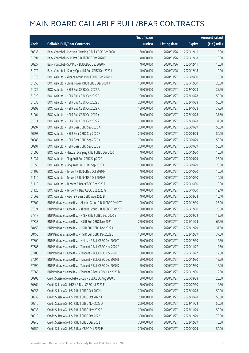|       |                                                              | No. of issue |                     |               | <b>Amount raised</b> |
|-------|--------------------------------------------------------------|--------------|---------------------|---------------|----------------------|
| Code  | <b>Callable Bull/Bear Contracts</b>                          | (units)      | <b>Listing date</b> | <b>Expiry</b> | (HK\$ mil.)          |
| 50833 | Bank Vontobel - Meituan Dianping R Bull CBBC Dec 2020 J      | 60,000,000   | 2020/03/26          | 2020/12/11    | 15.00                |
| 51391 | Bank Vontobel - SHK Ppt R Bull CBBC Dec 2020 C               | 40,000,000   | 2020/03/26          | 2020/12/18    | 10.00                |
| 50927 | Bank Vontobel - SUNAC R Bull CBBC Dec 2020 F                 | 40,000,000   | 2020/03/26          | 2020/12/11    | 10.00                |
| 51272 | Bank Vontobel - Sunny Optical R Bull CBBC Dec 2020 I         | 40,000,000   | 2020/03/26          | 2020/12/18    | 10.00                |
| 61073 | BOCI Asia Ltd. - Alibaba Group R Bull CBBC Sep 2020 N        | 60,000,000   | 2020/03/27          | 2020/09/30    | 15.00                |
| 61058 | BOCI Asia Ltd. - China Tower R Bull CBBC Dec 2020 A          | 100,000,000  | 2020/03/27          | 2020/12/30    | 25.00                |
| 61022 | BOCI Asia Ltd. - HSI R Bull CBBC Oct 2022 A                  | 150,000,000  | 2020/03/27          | 2022/10/28    | 37.50                |
| 61029 | BOCI Asia Ltd. - HSI R Bull CBBC Oct 2022 B                  | 200,000,000  | 2020/03/27          | 2022/10/28    | 50.00                |
| 61033 | BOCI Asia Ltd. - HSI R Bull CBBC Oct 2022 C                  | 200,000,000  | 2020/03/27          | 2022/10/28    | 50.00                |
| 60998 | BOCI Asia Ltd. - HSI R Bull CBBC Oct 2022 X                  | 150,000,000  | 2020/03/27          | 2022/10/28    | 37.50                |
| 61004 | BOCI Asia Ltd. - HSI R Bull CBBC Oct 2022 Y                  | 150,000,000  | 2020/03/27          | 2022/10/28    | 37.50                |
| 61014 | BOCI Asia Ltd. - HSI R Bull CBBC Oct 2022 Z                  | 150,000,000  | 2020/03/27          | 2022/10/28    | 37.50                |
| 60997 | BOCI Asia Ltd. - HSI R Bear CBBC Sep 2020 A                  | 200,000,000  | 2020/03/27          | 2020/09/29    | 50.00                |
| 60993 | BOCI Asia Ltd. - HSI R Bear CBBC Sep 2020 B                  | 200,000,000  | 2020/03/27          | 2020/09/29    | 50.00                |
| 60985 | BOCI Asia Ltd. - HSI R Bear CBBC Sep 2020 Y                  | 200,000,000  | 2020/03/27          | 2020/09/29    | 50.00                |
| 60991 | BOCI Asia Ltd. - HSI R Bear CBBC Sep 2020 Z                  | 200,000,000  | 2020/03/27          | 2020/09/29    | 50.00                |
| 61095 | BOCI Asia Ltd. - Meituan Dianping R Bull CBBC Dec 2020 I     | 40,000,000   | 2020/03/27          | 2020/12/30    | 10.00                |
| 61037 | BOCI Asia Ltd. - Ping An R Bull CBBC Sep 2020 I              | 100,000,000  | 2020/03/27          | 2020/09/29    | 25.00                |
| 61056 | BOCI Asia Ltd. - Ping An R Bull CBBC Sep 2020 J              | 100,000,000  | 2020/03/27          | 2020/09/29    | 25.00                |
| 61105 | BOCI Asia Ltd. - Tencent R Bull CBBC Oct 2020 F              | 40,000,000   | 2020/03/27          | 2020/10/30    | 10.00                |
| 61110 | BOCI Asia Ltd. - Tencent R Bull CBBC Oct 2020 G              | 40,000,000   | 2020/03/27          | 2020/10/30    | 10.00                |
| 61119 | BOCI Asia Ltd. - Tencent R Bear CBBC Oct 2020 F              | 40,000,000   | 2020/03/27          | 2020/10/30    | 10.00                |
| 61125 | BOCI Asia Ltd. - Tencent R Bear CBBC Oct 2020 G              | 40,000,000   | 2020/03/27          | 2020/10/30    | 12.40                |
| 61062 | BOCI Asia Ltd. - Xiaomi R Bear CBBC Aug 2020 B               | 40,000,000   | 2020/03/27          | 2020/08/24    | 10.40                |
| 57802 | BNP Paribas Issuance B.V. - Alibaba Group R Bull CBBC Dec20Y | 100,000,000  | 2020/03/27          | 2020/12/30    | 25.00                |
| 57824 | BNP Paribas Issuance B.V. - Alibaba Group R Bull CBBC Dec20Z | 100,000,000  | 2020/03/27          | 2020/12/30    | 25.00                |
| 57717 | BNP Paribas Issuance B.V. - HKEX R Bull CBBC Sep 2020 B      | 50,000,000   | 2020/03/27          | 2020/09/29    | 12.50                |
| 57833 | BNP Paribas Issuance B.V. - HSI R Bull CBBC Nov 2021 J       | 250,000,000  | 2020/03/27          | 2021/11/29    | 62.50                |
| 58455 | BNP Paribas Issuance B.V. - HSI R Bull CBBC Dec 2022 A       | 150,000,000  | 2020/03/27          | 2022/12/29    | 37.50                |
| 58458 | BNP Paribas Issuance B.V. - HSI R Bull CBBC Dec 2022 B       | 150,000,000  | 2020/03/27          | 2022/12/29    | 37.50                |
| 57800 | BNP Paribas Issuance B.V. - Meituan R Bull CBBC Dec 2020 T   | 50,000,000   | 2020/03/27          | 2020/12/30    | 12.50                |
| 57686 | BNP Paribas Issuance B.V. - Tencent R Bull CBBC Nov 2020 A   | 50,000,000   | 2020/03/27          | 2020/11/27    | 12.50                |
| 57706 | BNP Paribas Issuance B.V. - Tencent R Bull CBBC Nov 2020 B   | 50,000,000   | 2020/03/27          | 2020/11/27    | 12.50                |
| 57694 | BNP Paribas Issuance B.V. - Tencent R Bull CBBC Dec 2020 B   | 50,000,000   | 2020/03/27          | 2020/12/30    | 12.50                |
| 57590 | BNP Paribas Issuance B.V. - Tencent R Bull CBBC Dec 2020 D   | 50,000,000   | 2020/03/27          | 2020/12/30    | 15.00                |
| 57565 | BNP Paribas Issuance B.V. - Tencent R Bear CBBC Dec 2020 B   | 50,000,000   | 2020/03/27          | 2020/12/30    | 12.50                |
| 60903 | Credit Suisse AG - Alibaba Group R Bull CBBC Aug 2020 D      | 80,000,000   | 2020/03/27          | 2020/08/28    | 20.00                |
| 60864 | Credit Suisse AG - HKEX R Bear CBBC Jul 2020 E               | 50,000,000   | 2020/03/27          | 2020/07/30    | 12.50                |
| 60953 | Credit Suisse AG - HSI R Bull CBBC Oct 2022 N                | 200,000,000  | 2020/03/27          | 2022/10/28    | 50.00                |
| 60939 | Credit Suisse AG - HSI R Bull CBBC Oct 2022 X                | 200,000,000  | 2020/03/27          | 2022/10/28    | 50.00                |
| 60916 | Credit Suisse AG - HSI R Bull CBBC Nov 2022 D                | 200,000,000  | 2020/03/27          | 2022/11/29    | 50.00                |
| 60938 | Credit Suisse AG - HSI R Bull CBBC Nov 2022 E                | 200,000,000  | 2020/03/27          | 2022/11/29    | 50.00                |
| 60919 | Credit Suisse AG - HSI R Bull CBBC Dec 2022 H                | 300,000,000  | 2020/03/27          | 2022/12/29    | 75.00                |
| 60940 | Credit Suisse AG - HSI R Bull CBBC Dec 2022 I                | 300,000,000  | 2020/03/27          | 2022/12/29    | 75.00                |
| 60752 | Credit Suisse AG - HSI R Bear CBBC Oct 2020 P                | 200,000,000  | 2020/03/27          | 2020/10/29    | 50.00                |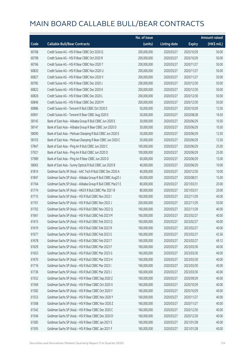|       |                                                             | No. of issue |                     |               | <b>Amount raised</b> |
|-------|-------------------------------------------------------------|--------------|---------------------|---------------|----------------------|
| Code  | <b>Callable Bull/Bear Contracts</b>                         | (units)      | <b>Listing date</b> | <b>Expiry</b> | (HK\$ mil.)          |
| 60768 | Credit Suisse AG - HSI R Bear CBBC Oct 2020 Q               | 200,000,000  | 2020/03/27          | 2020/10/29    | 50.00                |
| 60798 | Credit Suisse AG - HSI R Bear CBBC Oct 2020 R               | 200,000,000  | 2020/03/27          | 2020/10/29    | 50.00                |
| 60766 | Credit Suisse AG - HSI R Bear CBBC Nov 2020 T               | 200,000,000  | 2020/03/27          | 2020/11/27    | 50.00                |
| 60820 | Credit Suisse AG - HSI R Bear CBBC Nov 2020 U               | 200,000,000  | 2020/03/27          | 2020/11/27    | 50.00                |
| 60827 | Credit Suisse AG - HSI R Bear CBBC Nov 2020 V               | 200,000,000  | 2020/03/27          | 2020/11/27    | 50.00                |
| 60785 | Credit Suisse AG - HSI R Bear CBBC Dec 2020 J               | 200,000,000  | 2020/03/27          | 2020/12/30    | 50.00                |
| 60822 | Credit Suisse AG - HSI R Bear CBBC Dec 2020 K               | 200,000,000  | 2020/03/27          | 2020/12/30    | 50.00                |
| 60826 | Credit Suisse AG - HSI R Bear CBBC Dec 2020 L               | 200,000,000  | 2020/03/27          | 2020/12/30    | 50.00                |
| 60846 | Credit Suisse AG - HSI R Bear CBBC Dec 2020 M               | 200,000,000  | 2020/03/27          | 2020/12/30    | 50.00                |
| 60886 | Credit Suisse AG - Tencent R Bull CBBC Oct 2020 E           | 50,000,000   | 2020/03/27          | 2020/10/29    | 12.50                |
| 60901 | Credit Suisse AG - Tencent R Bear CBBC Aug 2020 E           | 50,000,000   | 2020/03/27          | 2020/08/28    | 16.50                |
| 58145 | Bank of East Asia - Alibaba Group R Bull CBBC Jun 2020 E    | 30,000,000   | 2020/03/27          | 2020/06/29    | 10.50                |
| 58147 | Bank of East Asia - Alibaba Group R Bear CBBC Jun 2020 D    | 30,000,000   | 2020/03/27          | 2020/06/29    | 10.50                |
| 58090 | Bank of East Asia - Meituan Dianping R Bull CBBC Jun 2020 E | 50,000,000   | 2020/03/27          | 2020/06/29    | 12.50                |
| 58103 | Bank of East Asia - Meituan Dianping R Bear CBBC Jun 2020 C | 50,000,000   | 2020/03/27          | 2020/06/29    | 12.50                |
| 57847 | Bank of East Asia - Ping An R Bull CBBC Jun 2020 C          | 100,000,000  | 2020/03/27          | 2020/06/29    | 25.00                |
| 57921 | Bank of East Asia - Ping An R Bull CBBC Jun 2020 D          | 100,000,000  | 2020/03/27          | 2020/06/29    | 25.00                |
| 57989 | Bank of East Asia - Ping An R Bear CBBC Jun 2020 D          | 60,000,000   | 2020/03/27          | 2020/06/29    | 15.00                |
| 58063 | Bank of East Asia - Sunny Optical R Bull CBBC Jun 2020 B    | 40,000,000   | 2020/03/27          | 2020/06/29    | 10.00                |
| 61814 | Goldman Sachs SP (Asia) - AAC Tech R Bull CBBC Dec 2020 A   | 40,000,000   | 2020/03/27          | 2020/12/30    | 10.00                |
| 61847 | Goldman Sachs SP (Asia) - Alibaba Group R Bull CBBC Aug20 J | 60,000,000   | 2020/03/27          | 2020/08/31    | 15.00                |
| 61764 | Goldman Sachs SP (Asia) - Alibaba Group R Bull CBBC Mar21 E | 80,000,000   | 2020/03/27          | 2021/03/31    | 20.00                |
| 61774 | Goldman Sachs SP (Asia) - HKEX R Bull CBBC Mar 2021 B       | 80,000,000   | 2020/03/27          | 2021/03/31    | 20.00                |
| 61715 | Goldman Sachs SP (Asia) - HSI R Bull CBBC Nov 2022 I        | 160,000,000  | 2020/03/27          | 2022/11/29    | 40.00                |
| 61761 | Goldman Sachs SP (Asia) - HSI R Bull CBBC Nov 2022 J        | 200,000,000  | 2020/03/27          | 2022/11/29    | 50.00                |
| 61702 | Goldman Sachs SP (Asia) - HSI R Bull CBBC Nov 2022 Q        | 160,000,000  | 2020/03/27          | 2022/11/29    | 40.00                |
| 61661 | Goldman Sachs SP (Asia) - HSI R Bull CBBC Feb 2023 M        | 160,000,000  | 2020/03/27          | 2023/02/27    | 40.00                |
| 61615 | Goldman Sachs SP (Asia) - HSI R Bull CBBC Feb 2023 Q        | 160,000,000  | 2020/03/27          | 2023/02/27    | 40.00                |
| 61619 | Goldman Sachs SP (Asia) - HSI R Bull CBBC Feb 2023 R        | 160,000,000  | 2020/03/27          | 2023/02/27    | 40.00                |
| 61677 | Goldman Sachs SP (Asia) - HSI R Bull CBBC Feb 2023 S        | 160,000,000  | 2020/03/27          | 2023/02/27    | 42.56                |
| 61678 | Goldman Sachs SP (Asia) - HSI R Bull CBBC Feb 2023 T        | 160,000,000  | 2020/03/27          | 2023/02/27    | 49.12                |
| 61629 | Goldman Sachs SP (Asia) - HSI R Bull CBBC Mar 2023 F        | 160,000,000  | 2020/03/27          | 2023/03/30    | 40.00                |
| 61653 | Goldman Sachs SP (Asia) - HSI R Bull CBBC Mar 2023 G        | 160,000,000  | 2020/03/27          | 2023/03/30    | 40.00                |
| 61670 | Goldman Sachs SP (Asia) - HSI R Bull CBBC Mar 2023 H        | 160,000,000  | 2020/03/27          | 2023/03/30    | 40.00                |
| 61716 | Goldman Sachs SP (Asia) - HSI R Bull CBBC Mar 2023 I        | 160,000,000  | 2020/03/27          | 2023/03/30    | 40.00                |
| 61736 | Goldman Sachs SP (Asia) - HSI R Bull CBBC Mar 2023 J        | 160,000,000  | 2020/03/27          | 2023/03/30    | 40.00                |
| 61552 | Goldman Sachs SP (Asia) - HSI R Bear CBBC Sep 2020 Z        | 160,000,000  | 2020/03/27          | 2020/09/29    | 40.00                |
| 61569 | Goldman Sachs SP (Asia) - HSI R Bear CBBC Oct 2020 X        | 160,000,000  | 2020/03/27          | 2020/10/29    | 40.00                |
| 61582 | Goldman Sachs SP (Asia) - HSI R Bear CBBC Oct 2020 Y        | 160,000,000  | 2020/03/27          | 2020/10/29    | 40.00                |
| 61553 | Goldman Sachs SP (Asia) - HSI R Bear CBBC Nov 2020 Y        | 160,000,000  | 2020/03/27          | 2020/11/27    | 40.00                |
| 61568 | Goldman Sachs SP (Asia) - HSI R Bear CBBC Nov 2020 Z        | 160,000,000  | 2020/03/27          | 2020/11/27    | 40.00                |
| 61542 | Goldman Sachs SP (Asia) - HSI R Bear CBBC Dec 2020 C        | 160,000,000  | 2020/03/27          | 2020/12/30    | 40.00                |
| 61546 | Goldman Sachs SP (Asia) - HSI R Bear CBBC Dec 2020 D        | 160,000,000  | 2020/03/27          | 2020/12/30    | 40.00                |
| 61585 | Goldman Sachs SP (Asia) - HSI R Bear CBBC Jan 2021 E        | 160,000,000  | 2020/03/27          | 2021/01/28    | 40.00                |
| 61595 | Goldman Sachs SP (Asia) - HSI R Bear CBBC Jan 2021 F        | 160,000,000  | 2020/03/27          | 2021/01/28    | 40.00                |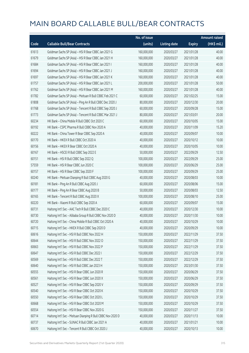|       |                                                             | No. of issue |                     |               | <b>Amount raised</b> |
|-------|-------------------------------------------------------------|--------------|---------------------|---------------|----------------------|
| Code  | <b>Callable Bull/Bear Contracts</b>                         | (units)      | <b>Listing date</b> | <b>Expiry</b> | (HK\$ mil.)          |
| 61613 | Goldman Sachs SP (Asia) - HSI R Bear CBBC Jan 2021 G        | 160,000,000  | 2020/03/27          | 2021/01/28    | 40.00                |
| 61679 | Goldman Sachs SP (Asia) - HSI R Bear CBBC Jan 2021 H        | 160,000,000  | 2020/03/27          | 2021/01/28    | 40.00                |
| 61684 | Goldman Sachs SP (Asia) - HSI R Bear CBBC Jan 2021 I        | 160,000,000  | 2020/03/27          | 2021/01/28    | 40.00                |
| 61694 | Goldman Sachs SP (Asia) - HSI R Bear CBBC Jan 2021 J        | 160,000,000  | 2020/03/27          | 2021/01/28    | 40.00                |
| 61697 | Goldman Sachs SP (Asia) - HSI R Bear CBBC Jan 2021 K        | 160,000,000  | 2020/03/27          | 2021/01/28    | 40.00                |
| 61757 | Goldman Sachs SP (Asia) - HSI R Bear CBBC Jan 2021 L        | 200,000,000  | 2020/03/27          | 2021/01/28    | 50.00                |
| 61762 | Goldman Sachs SP (Asia) - HSI R Bear CBBC Jan 2021 M        | 160,000,000  | 2020/03/27          | 2021/01/28    | 40.00                |
| 61782 | Goldman Sachs SP (Asia) - Meituan R Bull CBBC Feb 2021 C    | 60,000,000   | 2020/03/27          | 2021/02/25    | 15.00                |
| 61808 | Goldman Sachs SP (Asia) - Ping An R Bull CBBC Dec 2020 J    | 80,000,000   | 2020/03/27          | 2020/12/30    | 20.00                |
| 61768 | Goldman Sachs SP (Asia) - Tencent R Bull CBBC Sep 2020 J    | 60,000,000   | 2020/03/27          | 2020/09/28    | 15.00                |
| 61773 | Goldman Sachs SP (Asia) - Tencent R Bull CBBC Mar 2021 J    | 80,000,000   | 2020/03/27          | 2021/03/01    | 20.00                |
| 60234 | HK Bank - China Mobile R Bull CBBC Oct 2020 C               | 60,000,000   | 2020/03/27          | 2020/10/05    | 15.00                |
| 60192 | HK Bank - CSPC Pharma R Bull CBBC Nov 2020 A                | 40,000,000   | 2020/03/27          | 2020/11/09    | 15.20                |
| 60222 | HK Bank - China Tower R Bear CBBC Sep 2020 A                | 40,000,000   | 2020/03/27          | 2020/09/07    | 10.00                |
| 60170 | HK Bank - HKEX R Bull CBBC Oct 2020 A                       | 40,000,000   | 2020/03/27          | 2020/10/12    | 10.00                |
| 60156 | HK Bank - HKEX R Bear CBBC Oct 2020 A                       | 40,000,000   | 2020/03/27          | 2020/10/05    | 10.00                |
| 60167 | HK Bank - HSCEI R Bull CBBC Sep 2022 E                      | 50,000,000   | 2020/03/27          | 2022/09/29    | 12.50                |
| 60151 | HK Bank - HSI R Bull CBBC Sep 2022 Q                        | 100,000,000  | 2020/03/27          | 2022/09/29    | 25.00                |
| 57559 | HK Bank - HSI R Bear CBBC Jun 2020 C                        | 100,000,000  | 2020/03/27          | 2020/06/29    | 25.00                |
| 60157 | HK Bank - HSI R Bear CBBC Sep 2020 F                        | 100,000,000  | 2020/03/27          | 2020/09/29    | 25.00                |
| 60240 | HK Bank - Meituan Dianping R Bull CBBC Aug 2020 G           | 40,000,000   | 2020/03/27          | 2020/08/03    | 10.00                |
| 60181 | HK Bank - Ping An R Bull CBBC Aug 2020 J                    | 60,000,000   | 2020/03/27          | 2020/08/06    | 15.00                |
| 60177 | HK Bank - Ping An R Bear CBBC Aug 2020 B                    | 50,000,000   | 2020/03/27          | 2020/08/03    | 12.50                |
| 60165 | HK Bank - Tencent R Bull CBBC Aug 2020 X                    | 100,000,000  | 2020/03/27          | 2020/08/10    | 25.00                |
| 60220 | HK Bank - Xiaomi R Bull CBBC Sep 2020 A                     | 60,000,000   | 2020/03/27          | 2020/09/07    | 15.00                |
| 60731 | Haitong Int'l Sec - AAC Tech R Bull CBBC Dec 2020 C         | 40,000,000   | 2020/03/27          | 2020/12/30    | 10.00                |
| 60730 | Haitong Int'l Sec - Alibaba Group R Bull CBBC Nov 2020 D    | 40,000,000   | 2020/03/27          | 2020/11/30    | 10.00                |
| 60720 | Haitong Int'l Sec - China Mobile R Bull CBBC Oct 2020 A     | 40,000,000   | 2020/03/27          | 2020/10/29    | 10.00                |
| 60715 | Haitong Int'l Sec - HKEX R Bull CBBC Sep 2020 D             | 40,000,000   | 2020/03/27          | 2020/09/29    | 10.00                |
| 60616 | Haitong Int'l Sec - HSI R Bull CBBC Nov 2022 H              | 150,000,000  | 2020/03/27          | 2022/11/29    | 37.50                |
| 60644 | Haitong Int'l Sec - HSI R Bull CBBC Nov 2022 O              | 150,000,000  | 2020/03/27          | 2022/11/29    | 37.50                |
| 60663 | Haitong Int'l Sec - HSI R Bull CBBC Nov 2022 P              | 150,000,000  | 2020/03/27          | 2022/11/29    | 37.50                |
| 60647 | Haitong Int'l Sec - HSI R Bull CBBC Dec 2022 I              | 150,000,000  | 2020/03/27          | 2022/12/29    | 37.50                |
| 60569 | Haitong Int'l Sec - HSI R Bull CBBC Dec 2022 T              | 150,000,000  | 2020/03/27          | 2022/12/29    | 37.50                |
| 60640 | Haitong Int'l Sec - HSI R Bull CBBC Jan 2023 H              | 150,000,000  | 2020/03/27          | 2023/01/30    | 37.50                |
| 60555 | Haitong Int'l Sec - HSI R Bear CBBC Jun 2020 R              | 150,000,000  | 2020/03/27          | 2020/06/29    | 37.50                |
| 60561 | Haitong Int'l Sec - HSI R Bear CBBC Jun 2020 X              | 150,000,000  | 2020/03/27          | 2020/06/29    | 37.50                |
| 60527 | Haitong Int'l Sec - HSI R Bear CBBC Sep 2020 V              | 150,000,000  | 2020/03/27          | 2020/09/29    | 37.50                |
| 60540 | Haitong Int'l Sec - HSI R Bear CBBC Oct 2020 K              | 150,000,000  | 2020/03/27          | 2020/10/29    | 37.50                |
| 60550 | Haitong Int'l Sec - HSI R Bear CBBC Oct 2020 L              | 150,000,000  | 2020/03/27          | 2020/10/29    | 37.50                |
| 60668 | Haitong Int'l Sec - HSI R Bear CBBC Oct 2020 M              | 150,000,000  | 2020/03/27          | 2020/10/29    | 37.50                |
| 60554 | Haitong Int'l Sec - HSI R Bear CBBC Nov 2020 G              | 150,000,000  | 2020/03/27          | 2020/11/27    | 37.50                |
| 60714 | Haitong Int'l Sec - Meituan Dianping R Bull CBBC Nov 2020 D | 40,000,000   | 2020/03/27          | 2020/11/13    | 10.00                |
| 60737 | Haitong Int'l Sec - SUNAC R Bull CBBC Jan 2021 A            | 40,000,000   | 2020/03/27          | 2021/01/21    | 10.00                |
| 60670 | Haitong Int'l Sec - Tencent R Bull CBBC Oct 2020 J          | 40,000,000   | 2020/03/27          | 2020/10/13    | 10.00                |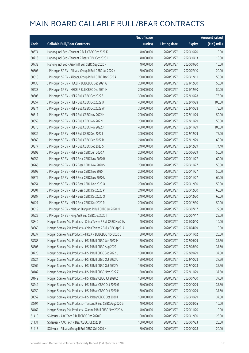|       |                                                               | No. of issue |                     |               | Amount raised |
|-------|---------------------------------------------------------------|--------------|---------------------|---------------|---------------|
| Code  | <b>Callable Bull/Bear Contracts</b>                           | (units)      | <b>Listing date</b> | <b>Expiry</b> | (HK\$ mil.)   |
| 60674 | Haitong Int'l Sec - Tencent R Bull CBBC Oct 2020 K            | 40,000,000   | 2020/03/27          | 2020/10/20    | 10.00         |
| 60713 | Haitong Int'l Sec - Tencent R Bear CBBC Oct 2020 I            | 40,000,000   | 2020/03/27          | 2020/10/13    | 10.00         |
| 60732 | Haitong Int'l Sec - Xiaomi R Bull CBBC Sep 2020 F             | 40,000,000   | 2020/03/27          | 2020/09/30    | 10.00         |
| 60503 | J P Morgan SP BV - Alibaba Group R Bull CBBC Jul 2020 K       | 80,000,000   | 2020/03/27          | 2020/07/10    | 20.00         |
| 60518 | J P Morgan SP BV - Alibaba Group R Bull CBBC Dec 2020 A       | 200,000,000  | 2020/03/27          | 2020/12/11    | 50.00         |
| 60430 | J P Morgan SP BV - HSCEI R Bull CBBC Dec 2021 G               | 200,000,000  | 2020/03/27          | 2021/12/30    | 50.00         |
| 60433 | J P Morgan SP BV - HSCEI R Bull CBBC Dec 2021 H               | 200,000,000  | 2020/03/27          | 2021/12/30    | 50.00         |
| 60306 | J P Morgan SP BV - HSI R Bull CBBC Oct 2022 S                 | 300,000,000  | 2020/03/27          | 2022/10/28    | 75.00         |
| 60357 | J P Morgan SP BV - HSI R Bull CBBC Oct 2022 U                 | 400,000,000  | 2020/03/27          | 2022/10/28    | 100.00        |
| 60374 | J P Morgan SP BV - HSI R Bull CBBC Oct 2022 W                 | 300,000,000  | 2020/03/27          | 2022/10/28    | 75.00         |
| 60311 | J P Morgan SP BV - HSI R Bull CBBC Nov 2022 H                 | 200,000,000  | 2020/03/27          | 2022/11/29    | 50.00         |
| 60359 | J P Morgan SP BV - HSI R Bull CBBC Nov 2022 I                 | 200,000,000  | 2020/03/27          | 2022/11/29    | 50.00         |
| 60376 | J P Morgan SP BV - HSI R Bull CBBC Nov 2022 J                 | 400,000,000  | 2020/03/27          | 2022/11/29    | 100.00        |
| 60332 | J P Morgan SP BV - HSI R Bull CBBC Dec 2022 I                 | 300,000,000  | 2020/03/27          | 2022/12/29    | 75.00         |
| 60369 | J P Morgan SP BV - HSI R Bull CBBC Dec 2022 R                 | 240,000,000  | 2020/03/27          | 2022/12/29    | 60.00         |
| 60377 | J P Morgan SP BV - HSI R Bull CBBC Dec 2022 S                 | 240,000,000  | 2020/03/27          | 2022/12/29    | 74.40         |
| 60392 | J P Morgan SP BV - HSI R Bear CBBC Jun 2020 A                 | 200,000,000  | 2020/03/27          | 2020/06/29    | 50.00         |
| 60252 | J P Morgan SP BV - HSI R Bear CBBC Nov 2020 R                 | 240,000,000  | 2020/03/27          | 2020/11/27    | 60.00         |
| 60263 | J P Morgan SP BV - HSI R Bear CBBC Nov 2020 S                 | 200,000,000  | 2020/03/27          | 2020/11/27    | 50.00         |
| 60299 | J P Morgan SP BV - HSI R Bear CBBC Nov 2020 T                 | 200,000,000  | 2020/03/27          | 2020/11/27    | 50.00         |
| 60379 | J P Morgan SP BV - HSI R Bear CBBC Nov 2020 U                 | 240,000,000  | 2020/03/27          | 2020/11/27    | 60.00         |
| 60254 | J P Morgan SP BV - HSI R Bear CBBC Dec 2020 O                 | 200,000,000  | 2020/03/27          | 2020/12/30    | 50.00         |
| 60301 | J P Morgan SP BV - HSI R Bear CBBC Dec 2020 P                 | 240,000,000  | 2020/03/27          | 2020/12/30    | 60.00         |
| 60387 | J P Morgan SP BV - HSI R Bear CBBC Dec 2020 Q                 | 240,000,000  | 2020/03/27          | 2020/12/30    | 60.00         |
| 60427 | J P Morgan SP BV - HSI R Bear CBBC Dec 2020 R                 | 200,000,000  | 2020/03/27          | 2020/12/30    | 50.00         |
| 60519 | J P Morgan SP BV - Meituan Dianping R Bull CBBC Jul 2020 M    | 90,000,000   | 2020/03/27          | 2020/07/17    | 22.50         |
| 60522 | J P Morgan SP BV - Ping An R Bull CBBC Jul 2020 I             | 100,000,000  | 2020/03/27          | 2020/07/17    | 25.00         |
| 58840 | Morgan Stanley Asia Products - China Tower R Bull CBBC Mar21A | 40,000,000   | 2020/03/27          | 2021/03/10    | 10.00         |
| 58860 | Morgan Stanley Asia Products - China Tower R Bull CBBC Apr21A | 40,000,000   | 2020/03/27          | 2021/04/09    | 10.00         |
| 58837 | Morgan Stanley Asia Products - HKEX R Bull CBBC Nov 2020 B    | 80,000,000   | 2020/03/27          | 2020/11/02    | 20.00         |
| 58288 | Morgan Stanley Asia Products - HSI R Bull CBBC Jun 2022 M     | 150,000,000  | 2020/03/27          | 2022/06/29    | 37.50         |
| 58305 | Morgan Stanley Asia Products - HSI R Bull CBBC Aug 2022 I     | 150,000,000  | 2020/03/27          | 2022/08/30    | 37.50         |
| 58725 | Morgan Stanley Asia Products - HSI R Bull CBBC Sep 2022 U     | 150,000,000  | 2020/03/27          | 2022/09/29    | 37.50         |
| 58224 | Morgan Stanley Asia Products - HSI R Bull CBBC Oct 2022 U     | 150,000,000  | 2020/03/27          | 2022/10/28    | 37.50         |
| 58464 | Morgan Stanley Asia Products - HSI R Bull CBBC Oct 2022 V     | 150,000,000  | 2020/03/27          | 2022/10/28    | 37.50         |
| 58182 | Morgan Stanley Asia Products - HSI R Bull CBBC Nov 2022 Z     | 150,000,000  | 2020/03/27          | 2022/11/29    | 37.50         |
| 58149 | Morgan Stanley Asia Products - HSI R Bear CBBC Jul 2020 Z     | 150,000,000  | 2020/03/27          | 2020/07/30    | 37.50         |
| 58249 | Morgan Stanley Asia Products - HSI R Bear CBBC Oct 2020 G     | 150,000,000  | 2020/03/27          | 2020/10/29    | 37.50         |
| 58250 | Morgan Stanley Asia Products - HSI R Bear CBBC Oct 2020 H     | 150,000,000  | 2020/03/27          | 2020/10/29    | 37.50         |
| 58652 | Morgan Stanley Asia Products - HSI R Bear CBBC Oct 2020 I     | 150,000,000  | 2020/03/27          | 2020/10/29    | 37.50         |
| 58794 | Morgan Stanley Asia Products - Tencent R Bull CBBC Aug2020 G  | 40,000,000   | 2020/03/27          | 2020/08/05    | 10.00         |
| 58462 | Morgan Stanley Asia Products - Xiaomi R Bull CBBC Nov 2020 A  | 40,000,000   | 2020/03/27          | 2020/11/20    | 10.00         |
| 61410 | SG Issuer - AAC Tech R Bull CBBC Dec 2020 F                   | 100,000,000  | 2020/03/27          | 2020/12/30    | 25.00         |
| 61131 | SG Issuer - AAC Tech R Bear CBBC Jul 2020 D                   | 100,000,000  | 2020/03/27          | 2020/07/23    | 25.00         |
| 61413 | SG Issuer - Alibaba Group R Bull CBBC Oct 2020 H              | 80,000,000   | 2020/03/27          | 2020/10/28    | 20.00         |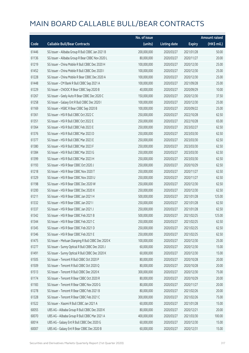|       |                                                     | No. of issue |                     |               | <b>Amount raised</b> |
|-------|-----------------------------------------------------|--------------|---------------------|---------------|----------------------|
| Code  | <b>Callable Bull/Bear Contracts</b>                 | (units)      | <b>Listing date</b> | <b>Expiry</b> | (HK\$ mil.)          |
| 61446 | SG Issuer - Alibaba Group R Bull CBBC Jan 2021 B    | 200,000,000  | 2020/03/27          | 2021/01/28    | 50.00                |
| 61136 | SG Issuer - Alibaba Group R Bear CBBC Nov 2020 L    | 80,000,000   | 2020/03/27          | 2020/11/27    | 20.00                |
| 61219 | SG Issuer - China Mobile R Bull CBBC Dec 2020 H     | 100,000,000  | 2020/03/27          | 2020/12/30    | 25.00                |
| 61452 | SG Issuer - China Mobile R Bull CBBC Dec 2020 I     | 100,000,000  | 2020/03/27          | 2020/12/30    | 25.00                |
| 61228 | SG Issuer - China Mobile R Bear CBBC Dec 2020 A     | 100,000,000  | 2020/03/27          | 2020/12/30    | 25.00                |
| 61448 | SG Issuer - CM Bank R Bull CBBC Sep 2021 A          | 100,000,000  | 2020/03/27          | 2021/09/28    | 25.00                |
| 61229 | SG Issuer - CNOOC R Bear CBBC Sep 2020 B            | 40,000,000   | 2020/03/27          | 2020/09/29    | 10.00                |
| 61267 | SG Issuer - Geely Auto R Bear CBBC Dec 2020 C       | 150,000,000  | 2020/03/27          | 2020/12/30    | 37.50                |
| 61258 | SG Issuer - Galaxy Ent R Bull CBBC Dec 2020 I       | 100,000,000  | 2020/03/27          | 2020/12/30    | 25.00                |
| 61169 | SG Issuer - HSBC R Bear CBBC Sep 2020 B             | 100,000,000  | 2020/03/27          | 2020/09/22    | 25.00                |
| 61361 | SG Issuer - HSI R Bull CBBC Oct 2022 C              | 250,000,000  | 2020/03/27          | 2022/10/28    | 62.50                |
| 61351 | SG Issuer - HSI R Bull CBBC Oct 2022 E              | 250,000,000  | 2020/03/27          | 2022/10/28    | 65.00                |
| 61364 | SG Issuer - HSI R Bull CBBC Feb 2023 E              | 250,000,000  | 2020/03/27          | 2023/02/27    | 62.50                |
| 61376 | SG Issuer - HSI R Bull CBBC Mar 2023 D              | 250,000,000  | 2020/03/27          | 2023/03/30    | 62.50                |
| 61377 | SG Issuer - HSI R Bull CBBC Mar 2023 E              | 250,000,000  | 2020/03/27          | 2023/03/30    | 62.50                |
| 61380 | SG Issuer - HSI R Bull CBBC Mar 2023 F              | 250,000,000  | 2020/03/27          | 2023/03/30    | 62.50                |
| 61384 | SG Issuer - HSI R Bull CBBC Mar 2023 G              | 250,000,000  | 2020/03/27          | 2023/03/30    | 62.50                |
| 61399 | SG Issuer - HSI R Bull CBBC Mar 2023 H              | 250,000,000  | 2020/03/27          | 2023/03/30    | 62.50                |
| 61193 | SG Issuer - HSI R Bear CBBC Oct 2020 J              | 250,000,000  | 2020/03/27          | 2020/10/29    | 62.50                |
| 61218 | SG Issuer - HSI R Bear CBBC Nov 2020 T              | 250,000,000  | 2020/03/27          | 2020/11/27    | 62.50                |
| 61329 | SG Issuer - HSI R Bear CBBC Nov 2020 U              | 250,000,000  | 2020/03/27          | 2020/11/27    | 62.50                |
| 61198 | SG Issuer - HSI R Bear CBBC Dec 2020 W              | 250,000,000  | 2020/03/27          | 2020/12/30    | 62.50                |
| 61200 | SG Issuer - HSI R Bear CBBC Dec 2020 X              | 250,000,000  | 2020/03/27          | 2020/12/30    | 62.50                |
| 61211 | SG Issuer - HSI R Bear CBBC Jan 2021 H              | 500,000,000  | 2020/03/27          | 2021/01/28    | 125.00               |
| 61332 | SG Issuer - HSI R Bear CBBC Jan 2021 I              | 250,000,000  | 2020/03/27          | 2021/01/28    | 62.50                |
| 61337 | SG Issuer - HSI R Bear CBBC Jan 2021 J              | 250,000,000  | 2020/03/27          | 2021/01/28    | 62.50                |
| 61342 | SG Issuer - HSI R Bear CBBC Feb 2021 B              | 500,000,000  | 2020/03/27          | 2021/02/25    | 125.00               |
| 61344 | SG Issuer - HSI R Bear CBBC Feb 2021 C              | 250,000,000  | 2020/03/27          | 2021/02/25    | 62.50                |
| 61345 | SG Issuer - HSI R Bear CBBC Feb 2021 D              | 250,000,000  | 2020/03/27          | 2021/02/25    | 62.50                |
| 61346 | SG Issuer - HSI R Bear CBBC Feb 2021 E              | 250,000,000  | 2020/03/27          | 2021/02/25    | 62.50                |
| 61475 | SG Issuer - Meituan Dianping R Bull CBBC Dec 2020 K | 100,000,000  | 2020/03/27          | 2020/12/30    | 25.00                |
| 61277 | SG Issuer - Sunny Optical R Bull CBBC Dec 2020 J    | 60,000,000   | 2020/03/27          | 2020/12/30    | 15.00                |
| 61491 | SG Issuer - Sunny Optical R Bull CBBC Dec 2020 K    | 60,000,000   | 2020/03/27          | 2020/12/30    | 15.00                |
| 61505 | SG Issuer - Tencent R Bull CBBC Oct 2020 P          | 80,000,000   | 2020/03/27          | 2020/10/28    | 20.00                |
| 61509 | SG Issuer - Tencent R Bull CBBC Oct 2020 Q          | 80,000,000   | 2020/03/27          | 2020/10/28    | 20.00                |
| 61513 | SG Issuer - Tencent R Bull CBBC Dec 2020 K          | 300,000,000  | 2020/03/27          | 2020/12/30    | 75.00                |
| 61174 | SG Issuer - Tencent R Bear CBBC Oct 2020 R          | 80,000,000   | 2020/03/27          | 2020/10/29    | 20.00                |
| 61183 | SG Issuer - Tencent R Bear CBBC Nov 2020 G          | 80,000,000   | 2020/03/27          | 2020/11/27    | 20.00                |
| 61278 | SG Issuer - Tencent R Bear CBBC Feb 2021 B          | 80,000,000   | 2020/03/27          | 2021/02/26    | 20.00                |
| 61328 | SG Issuer - Tencent R Bear CBBC Feb 2021 C          | 300,000,000  | 2020/03/27          | 2021/02/26    | 75.00                |
| 61522 | SG Issuer - Xiaomi R Bull CBBC Jan 2021 A           | 60,000,000   | 2020/03/27          | 2021/01/28    | 15.00                |
| 60055 | UBS AG - Alibaba Group R Bull CBBC Dec 2020 K       | 80,000,000   | 2020/03/27          | 2020/12/21    | 20.00                |
| 60070 | UBS AG - Alibaba Group R Bull CBBC Mar 2021 A       | 400,000,000  | 2020/03/27          | 2021/03/30    | 100.00               |
| 60014 | UBS AG - Galaxy Ent R Bull CBBC Dec 2020 G          | 60,000,000   | 2020/03/27          | 2020/12/30    | 15.00                |
| 60007 | UBS AG - Galaxy Ent R Bear CBBC Dec 2020 B          | 60,000,000   | 2020/03/27          | 2020/12/31    | 15.00                |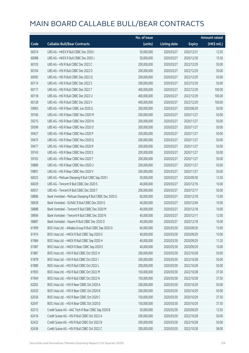|       |                                                         | No. of issue |                     |               | <b>Amount raised</b>  |
|-------|---------------------------------------------------------|--------------|---------------------|---------------|-----------------------|
| Code  | <b>Callable Bull/Bear Contracts</b>                     | (units)      | <b>Listing date</b> | <b>Expiry</b> | $(HK\frac{1}{2}mil.)$ |
| 60074 | UBS AG - HKEX R Bull CBBC Dec 2020 I                    | 50,000,000   | 2020/03/27          | 2020/12/31    | 12.50                 |
| 60088 | UBS AG - HKEX R Bull CBBC Dec 2020 J                    | 50,000,000   | 2020/03/27          | 2020/12/30    | 15.50                 |
| 60103 | UBS AG - HSI R Bull CBBC Dec 2022 C                     | 200,000,000  | 2020/03/27          | 2022/12/29    | 50.00                 |
| 60104 | UBS AG - HSI R Bull CBBC Dec 2022 D                     | 200,000,000  | 2020/03/27          | 2022/12/29    | 50.00                 |
| 60092 | UBS AG - HSI R Bull CBBC Dec 2022 Q                     | 200,000,000  | 2020/03/27          | 2022/12/29    | 50.00                 |
| 60114 | UBS AG - HSI R Bull CBBC Dec 2022 S                     | 200,000,000  | 2020/03/27          | 2022/12/29    | 50.00                 |
| 60117 | UBS AG - HSI R Bull CBBC Dec 2022 T                     | 400,000,000  | 2020/03/27          | 2022/12/29    | 100.00                |
| 60118 | UBS AG - HSI R Bull CBBC Dec 2022 U                     | 400,000,000  | 2020/03/27          | 2022/12/29    | 100.00                |
| 60128 | UBS AG - HSI R Bull CBBC Dec 2022 V                     | 400,000,000  | 2020/03/27          | 2022/12/29    | 100.00                |
| 59963 | UBS AG - HSI R Bear CBBC Jun 2020 G                     | 200,000,000  | 2020/03/27          | 2020/06/29    | 50.00                 |
| 59160 | UBS AG - HSI R Bear CBBC Nov 2020 M                     | 200,000,000  | 2020/03/27          | 2020/11/27    | 50.00                 |
| 59215 | UBS AG - HSI R Bear CBBC Nov 2020 N                     | 200,000,000  | 2020/03/27          | 2020/11/27    | 50.00                 |
| 59399 | UBS AG - HSI R Bear CBBC Nov 2020 O                     | 200,000,000  | 2020/03/27          | 2020/11/27    | 50.00                 |
| 59427 | UBS AG - HSI R Bear CBBC Nov 2020 P                     | 200,000,000  | 2020/03/27          | 2020/11/27    | 50.00                 |
| 59475 | UBS AG - HSI R Bear CBBC Nov 2020 O                     | 200,000,000  | 2020/03/27          | 2020/11/27    | 50.00                 |
| 59477 | UBS AG - HSI R Bear CBBC Nov 2020 R                     | 200,000,000  | 2020/03/27          | 2020/11/27    | 50.00                 |
| 59743 | UBS AG - HSI R Bear CBBC Nov 2020 S                     | 200,000,000  | 2020/03/27          | 2020/11/27    | 50.00                 |
| 59763 | UBS AG - HSI R Bear CBBC Nov 2020 T                     | 200,000,000  | 2020/03/27          | 2020/11/27    | 50.00                 |
| 59889 | UBS AG - HSI R Bear CBBC Nov 2020 U                     | 200,000,000  | 2020/03/27          | 2020/11/27    | 50.00                 |
| 59891 | UBS AG - HSI R Bear CBBC Nov 2020 V                     | 200,000,000  | 2020/03/27          | 2020/11/27    | 50.00                 |
| 60023 | UBS AG - Meituan Dianping R Bull CBBC Sep 2020 I        | 50,000,000   | 2020/03/27          | 2020/09/30    | 12.50                 |
| 60029 | UBS AG - Tencent R Bull CBBC Dec 2020 S                 | 40,000,000   | 2020/03/27          | 2020/12/16    | 10.00                 |
| 60031 | UBS AG - Tencent R Bull CBBC Dec 2020 T                 | 200,000,000  | 2020/03/27          | 2020/12/17    | 50.00                 |
| 58886 | Bank Vontobel - Meituan Dianping R Bull CBBC Dec 2020 G | 60,000,000   | 2020/03/27          | 2020/12/18    | 15.00                 |
| 58928 | Bank Vontobel - SUNAC R Bull CBBC Dec 2020 G            | 40,000,000   | 2020/03/27          | 2020/12/04    | 10.00                 |
| 58888 | Bank Vontobel - Tencent R Bull CBBC Dec 2020 M          | 40,000,000   | 2020/03/27          | 2020/12/18    | 10.00                 |
| 58906 | Bank Vontobel - Tencent R Bull CBBC Dec 2020 N          | 40,000,000   | 2020/03/27          | 2020/12/11    | 12.00                 |
| 58887 | Bank Vontobel - Xiaomi R Bull CBBC Dec 2020 O           | 40,000,000   | 2020/03/27          | 2020/12/18    | 10.00                 |
| 61999 | BOCI Asia Ltd. - Alibaba Group R Bull CBBC Sep 2020 O   | 60,000,000   | 2020/03/30          | 2020/09/30    | 15.00                 |
| 61974 | BOCI Asia Ltd. - HKEX R Bull CBBC Sep 2020 G            | 40,000,000   | 2020/03/30          | 2020/09/29    | 10.00                 |
| 61984 | BOCI Asia Ltd. - HKEX R Bull CBBC Sep 2020 H            | 40,000,000   | 2020/03/30          | 2020/09/29    | 11.20                 |
| 61987 | BOCI Asia Ltd. - HKEX R Bear CBBC Sep 2020 E            | 40,000,000   | 2020/03/30          | 2020/09/29    | 10.00                 |
| 61887 | BOCI Asia Ltd. - HSI R Bull CBBC Oct 2022 H             | 200,000,000  | 2020/03/30          | 2022/10/28    | 50.00                 |
| 61878 | BOCI Asia Ltd. - HSI R Bull CBBC Oct 2022 I             | 200,000,000  | 2020/03/30          | 2022/10/28    | 50.00                 |
| 61889 | BOCI Asia Ltd. - HSI R Bull CBBC Oct 2022 L             | 200,000,000  | 2020/03/30          | 2022/10/28    | 50.00                 |
| 61903 | BOCI Asia Ltd. - HSI R Bull CBBC Oct 2022 M             | 150,000,000  | 2020/03/30          | 2022/10/28    | 37.50                 |
| 61904 | BOCI Asia Ltd. - HSI R Bull CBBC Oct 2022 N             | 150,000,000  | 2020/03/30          | 2022/10/28    | 37.50                 |
| 62002 | BOCI Asia Ltd. - HSI R Bear CBBC Oct 2020 A             | 200,000,000  | 2020/03/30          | 2020/10/29    | 50.00                 |
| 62020 | BOCI Asia Ltd. - HSI R Bear CBBC Oct 2020 B             | 200,000,000  | 2020/03/30          | 2020/10/29    | 50.00                 |
| 62036 | BOCI Asia Ltd. - HSI R Bear CBBC Oct 2020 C             | 150,000,000  | 2020/03/30          | 2020/10/29    | 37.50                 |
| 62047 | BOCI Asia Ltd. - HSI R Bear CBBC Oct 2020 D             | 150,000,000  | 2020/03/30          | 2020/10/29    | 37.50                 |
| 62515 | Credit Suisse AG - AAC Tech R Bear CBBC Sep 2020 B      | 50,000,000   | 2020/03/30          | 2020/09/29    | 12.50                 |
| 62416 | Credit Suisse AG - HSI R Bull CBBC Oct 2022 A           | 200,000,000  | 2020/03/30          | 2022/10/28    | 50.00                 |
| 62432 | Credit Suisse AG - HSI R Bull CBBC Oct 2022 B           | 200,000,000  | 2020/03/30          | 2022/10/28    | 50.00                 |
| 62436 | Credit Suisse AG - HSI R Bull CBBC Oct 2022 C           | 200,000,000  | 2020/03/30          | 2022/10/28    | 58.00                 |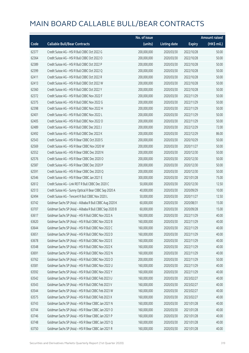|       |                                                          | No. of issue |                     |               | <b>Amount raised</b> |
|-------|----------------------------------------------------------|--------------|---------------------|---------------|----------------------|
| Code  | <b>Callable Bull/Bear Contracts</b>                      | (units)      | <b>Listing date</b> | <b>Expiry</b> | (HK\$ mil.)          |
| 62377 | Credit Suisse AG - HSI R Bull CBBC Oct 2022 G            | 200,000,000  | 2020/03/30          | 2022/10/28    | 50.00                |
| 62364 | Credit Suisse AG - HSI R Bull CBBC Oct 2022 O            | 200,000,000  | 2020/03/30          | 2022/10/28    | 50.00                |
| 62389 | Credit Suisse AG - HSI R Bull CBBC Oct 2022 P            | 200,000,000  | 2020/03/30          | 2022/10/28    | 50.00                |
| 62399 | Credit Suisse AG - HSI R Bull CBBC Oct 2022 Q            | 200,000,000  | 2020/03/30          | 2022/10/28    | 50.00                |
| 62411 | Credit Suisse AG - HSI R Bull CBBC Oct 2022 R            | 200,000,000  | 2020/03/30          | 2022/10/28    | 50.00                |
| 62413 | Credit Suisse AG - HSI R Bull CBBC Oct 2022 W            | 200,000,000  | 2020/03/30          | 2022/10/28    | 50.00                |
| 62360 | Credit Suisse AG - HSI R Bull CBBC Oct 2022 Y            | 200,000,000  | 2020/03/30          | 2022/10/28    | 50.00                |
| 62372 | Credit Suisse AG - HSI R Bull CBBC Nov 2022 F            | 200,000,000  | 2020/03/30          | 2022/11/29    | 50.00                |
| 62375 | Credit Suisse AG - HSI R Bull CBBC Nov 2022 G            | 200,000,000  | 2020/03/30          | 2022/11/29    | 50.00                |
| 62398 | Credit Suisse AG - HSI R Bull CBBC Nov 2022 H            | 200,000,000  | 2020/03/30          | 2022/11/29    | 50.00                |
| 62401 | Credit Suisse AG - HSI R Bull CBBC Nov 2022 L            | 200,000,000  | 2020/03/30          | 2022/11/29    | 50.00                |
| 62405 | Credit Suisse AG - HSI R Bull CBBC Nov 2022 O            | 200,000,000  | 2020/03/30          | 2022/11/29    | 50.00                |
| 62489 | Credit Suisse AG - HSI R Bull CBBC Dec 2022 J            | 200,000,000  | 2020/03/30          | 2022/12/29    | 72.00                |
| 62492 | Credit Suisse AG - HSI R Bull CBBC Dec 2022 K            | 200,000,000  | 2020/03/30          | 2022/12/29    | 86.00                |
| 62543 | Credit Suisse AG - HSI R Bear CBBC Oct 2020 S            | 200,000,000  | 2020/03/30          | 2020/10/29    | 50.00                |
| 62569 | Credit Suisse AG - HSI R Bear CBBC Nov 2020 W            | 200,000,000  | 2020/03/30          | 2020/11/27    | 50.00                |
| 62552 | Credit Suisse AG - HSI R Bear CBBC Dec 2020 N            | 200,000,000  | 2020/03/30          | 2020/12/30    | 50.00                |
| 62576 | Credit Suisse AG - HSI R Bear CBBC Dec 2020 O            | 200,000,000  | 2020/03/30          | 2020/12/30    | 50.00                |
| 62587 | Credit Suisse AG - HSI R Bear CBBC Dec 2020 P            | 200,000,000  | 2020/03/30          | 2020/12/30    | 50.00                |
| 62591 | Credit Suisse AG - HSI R Bear CBBC Dec 2020 Q            | 200,000,000  | 2020/03/30          | 2020/12/30    | 50.00                |
| 62546 | Credit Suisse AG - HSI R Bear CBBC Jan 2021 E            | 300,000,000  | 2020/03/30          | 2021/01/28    | 75.00                |
| 62612 | Credit Suisse AG - Link REIT R Bull CBBC Dec 2020 C      | 50,000,000   | 2020/03/30          | 2020/12/30    | 12.50                |
| 62513 | Credit Suisse AG - Sunny Optical R Bear CBBC Sep 2020 A  | 40,000,000   | 2020/03/30          | 2020/09/29    | 10.00                |
| 62494 | Credit Suisse AG - Tencent R Bull CBBC Nov 2020 L        | 50,000,000   | 2020/03/30          | 2020/11/27    | 12.50                |
| 63742 | Goldman Sachs SP (Asia) - Alibaba R Bull CBBC Aug 2020 K | 60,000,000   | 2020/03/30          | 2020/08/31    | 15.00                |
| 63707 | Goldman Sachs SP (Asia) - Alibaba R Bull CBBC Sep 2020 B | 60,000,000   | 2020/03/30          | 2020/09/28    | 15.00                |
| 63617 | Goldman Sachs SP (Asia) - HSI R Bull CBBC Nov 2022 A     | 160,000,000  | 2020/03/30          | 2022/11/29    | 40.00                |
| 63620 | Goldman Sachs SP (Asia) - HSI R Bull CBBC Nov 2022 B     | 160,000,000  | 2020/03/30          | 2022/11/29    | 40.00                |
| 63644 | Goldman Sachs SP (Asia) - HSI R Bull CBBC Nov 2022 C     | 160,000,000  | 2020/03/30          | 2022/11/29    | 40.00                |
| 63651 | Goldman Sachs SP (Asia) - HSI R Bull CBBC Nov 2022 D     | 160,000,000  | 2020/03/30          | 2022/11/29    | 40.00                |
| 63678 | Goldman Sachs SP (Asia) - HSI R Bull CBBC Nov 2022 E     | 160,000,000  | 2020/03/30          | 2022/11/29    | 40.00                |
| 63548 | Goldman Sachs SP (Asia) - HSI R Bull CBBC Nov 2022 K     | 160,000,000  | 2020/03/30          | 2022/11/29    | 40.00                |
| 63691 | Goldman Sachs SP (Asia) - HSI R Bull CBBC Nov 2022 N     | 160,000,000  | 2020/03/30          | 2022/11/29    | 40.00                |
| 63762 | Goldman Sachs SP (Asia) - HSI R Bull CBBC Nov 2022 O     | 200,000,000  | 2020/03/30          | 2022/11/29    | 50.00                |
| 63581 | Goldman Sachs SP (Asia) - HSI R Bull CBBC Nov 2022 U     | 160,000,000  | 2020/03/30          | 2022/11/29    | 40.00                |
| 63592 | Goldman Sachs SP (Asia) - HSI R Bull CBBC Nov 2022 Y     | 160,000,000  | 2020/03/30          | 2022/11/29    | 40.00                |
| 63542 | Goldman Sachs SP (Asia) - HSI R Bull CBBC Feb 2023 U     | 160,000,000  | 2020/03/30          | 2023/02/27    | 40.00                |
| 63543 | Goldman Sachs SP (Asia) - HSI R Bull CBBC Feb 2023 V     | 160,000,000  | 2020/03/30          | 2023/02/27    | 40.00                |
| 63544 | Goldman Sachs SP (Asia) - HSI R Bull CBBC Feb 2023 W     | 160,000,000  | 2020/03/30          | 2023/02/27    | 40.00                |
| 63575 | Goldman Sachs SP (Asia) - HSI R Bull CBBC Feb 2023 X     | 160,000,000  | 2020/03/30          | 2023/02/27    | 40.00                |
| 63743 | Goldman Sachs SP (Asia) - HSI R Bear CBBC Jan 2021 N     | 160,000,000  | 2020/03/30          | 2021/01/28    | 40.00                |
| 63744 | Goldman Sachs SP (Asia) - HSI R Bear CBBC Jan 2021 O     | 160,000,000  | 2020/03/30          | 2021/01/28    | 40.00                |
| 63746 | Goldman Sachs SP (Asia) - HSI R Bear CBBC Jan 2021 P     | 160,000,000  | 2020/03/30          | 2021/01/28    | 40.00                |
| 63748 | Goldman Sachs SP (Asia) - HSI R Bear CBBC Jan 2021 Q     | 160,000,000  | 2020/03/30          | 2021/01/28    | 40.00                |
| 63750 | Goldman Sachs SP (Asia) - HSI R Bear CBBC Jan 2021 R     | 160,000,000  | 2020/03/30          | 2021/01/28    | 40.00                |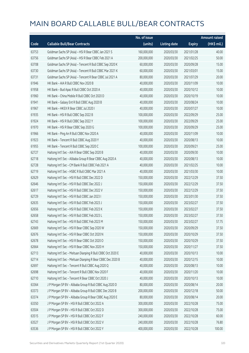|       |                                                             | No. of issue |                     |               | <b>Amount raised</b>  |
|-------|-------------------------------------------------------------|--------------|---------------------|---------------|-----------------------|
| Code  | <b>Callable Bull/Bear Contracts</b>                         | (units)      | <b>Listing date</b> | <b>Expiry</b> | $(HK\frac{1}{2}mil.)$ |
| 63753 | Goldman Sachs SP (Asia) - HSI R Bear CBBC Jan 2021 S        | 160,000,000  | 2020/03/30          | 2021/01/28    | 40.00                 |
| 63756 | Goldman Sachs SP (Asia) - HSI R Bear CBBC Feb 2021 A        | 200,000,000  | 2020/03/30          | 2021/02/25    | 50.00                 |
| 63708 | Goldman Sachs SP (Asia) - Tencent R Bull CBBC Sep 2020 K    | 60,000,000   | 2020/03/30          | 2020/09/28    | 15.00                 |
| 63730 | Goldman Sachs SP (Asia) - Tencent R Bull CBBC Mar 2021 K    | 60,000,000   | 2020/03/30          | 2021/03/01    | 15.00                 |
| 63731 | Goldman Sachs SP (Asia) - Tencent R Bear CBBC Jul 2021 A    | 80,000,000   | 2020/03/30          | 2021/07/29    | 20.00                 |
| 61946 | HK Bank - AIA R Bull CBBC Nov 2020 B                        | 40,000,000   | 2020/03/30          | 2020/11/09    | 10.00                 |
| 61958 | HK Bank - Bud Apac R Bull CBBC Oct 2020 A                   | 40,000,000   | 2020/03/30          | 2020/10/12    | 10.00                 |
| 61960 | HK Bank - China Mobile R Bull CBBC Oct 2020 D               | 40,000,000   | 2020/03/30          | 2020/10/19    | 10.00                 |
| 61941 | HK Bank - Galaxy Ent R Bull CBBC Aug 2020 B                 | 40,000,000   | 2020/03/30          | 2020/08/24    | 10.00                 |
| 61967 | HK Bank - HKEX R Bear CBBC Jul 2020 I                       | 40,000,000   | 2020/03/30          | 2020/07/27    | 10.00                 |
| 61935 | HK Bank - HSI R Bull CBBC Sep 2022 B                        | 100,000,000  | 2020/03/30          | 2022/09/29    | 25.00                 |
| 61924 | HK Bank - HSI R Bull CBBC Sep 2022 Y                        | 100,000,000  | 2020/03/30          | 2022/09/29    | 25.00                 |
| 61970 | HK Bank - HSI R Bear CBBC Sep 2020 G                        | 100,000,000  | 2020/03/30          | 2020/09/29    | 25.00                 |
| 61966 | HK Bank - Ping An R Bull CBBC Nov 2020 A                    | 40,000,000   | 2020/03/30          | 2020/11/09    | 10.00                 |
| 61923 | HK Bank - Tencent R Bull CBBC Aug 2020 Y                    | 40,000,000   | 2020/03/30          | 2020/08/13    | 10.00                 |
| 61955 | HK Bank - Tencent R Bull CBBC Sep 2020 C                    | 100,000,000  | 2020/03/30          | 2020/09/21    | 25.00                 |
| 62727 | Haitong Int'l Sec - AIA R Bear CBBC Sep 2020 B              | 40,000,000   | 2020/03/30          | 2020/09/30    | 10.00                 |
| 62718 | Haitong Int'l Sec - Alibaba Group R Bear CBBC Aug 2020 A    | 40,000,000   | 2020/03/30          | 2020/08/13    | 10.00                 |
| 62728 | Haitong Int'l Sec - CM Bank R Bull CBBC Feb 2021 A          | 40,000,000   | 2020/03/30          | 2021/02/25    | 10.00                 |
| 62719 | Haitong Int'l Sec - HSBC R Bull CBBC Mar 2021 A             | 40,000,000   | 2020/03/30          | 2021/03/30    | 10.00                 |
| 62629 | Haitong Int'l Sec - HSI R Bull CBBC Dec 2022 D              | 150,000,000  | 2020/03/30          | 2022/12/29    | 37.50                 |
| 62646 | Haitong Int'l Sec - HSI R Bull CBBC Dec 2022 J              | 150,000,000  | 2020/03/30          | 2022/12/29    | 37.50                 |
| 62617 | Haitong Int'l Sec - HSI R Bull CBBC Dec 2022 V              | 150,000,000  | 2020/03/30          | 2022/12/29    | 37.50                 |
| 62729 | Haitong Int'l Sec - HSI R Bull CBBC Jan 2023 I              | 150,000,000  | 2020/03/30          | 2023/01/30    | 37.50                 |
| 62635 | Haitong Int'l Sec - HSI R Bull CBBC Feb 2023 J              | 150,000,000  | 2020/03/30          | 2023/02/27    | 37.50                 |
| 62656 | Haitong Int'l Sec - HSI R Bull CBBC Feb 2023 K              | 150,000,000  | 2020/03/30          | 2023/02/27    | 37.50                 |
| 62658 | Haitong Int'l Sec - HSI R Bull CBBC Feb 2023 L              | 150,000,000  | 2020/03/30          | 2023/02/27    | 37.50                 |
| 62743 | Haitong Int'l Sec - HSI R Bull CBBC Feb 2023 M              | 150,000,000  | 2020/03/30          | 2023/02/27    | 57.75                 |
| 62669 | Haitong Int'l Sec - HSI R Bear CBBC Sep 2020 W              | 150,000,000  | 2020/03/30          | 2020/09/29    | 37.50                 |
| 62676 | Haitong Int'l Sec - HSI R Bear CBBC Oct 2020 N              | 150,000,000  | 2020/03/30          | 2020/10/29    | 37.50                 |
| 62678 | Haitong Int'l Sec - HSI R Bear CBBC Oct 2020 O              | 150,000,000  | 2020/03/30          | 2020/10/29    | 37.50                 |
| 62664 | Haitong Int'l Sec - HSI R Bear CBBC Nov 2020 H              | 150,000,000  | 2020/03/30          | 2020/11/27    | 37.50                 |
| 62713 | Haitong Int'l Sec - Meituan Dianping R Bull CBBC Oct 2020 E | 40,000,000   | 2020/03/30          | 2020/10/13    | 10.00                 |
| 62714 | Haitong Int'l Sec - Meituan Dianping R Bear CBBC Dec 2020 B | 40,000,000   | 2020/03/30          | 2020/12/15    | 10.00                 |
| 62697 | Haitong Int'l Sec - Tencent R Bull CBBC Aug 2020 Q          | 40,000,000   | 2020/03/30          | 2020/08/13    | 10.00                 |
| 62698 | Haitong Int'l Sec - Tencent R Bull CBBC Nov 2020 F          | 40,000,000   | 2020/03/30          | 2020/11/20    | 10.00                 |
| 62710 | Haitong Int'l Sec - Tencent R Bear CBBC Oct 2020 J          | 40,000,000   | 2020/03/30          | 2020/10/13    | 10.00                 |
| 63364 | J P Morgan SP BV - Alibaba Group R Bull CBBC Aug 2020 D     | 80,000,000   | 2020/03/30          | 2020/08/14    | 20.00                 |
| 63373 | J P Morgan SP BV - Alibaba Group R Bull CBBC Dec 2020 B     | 200,000,000  | 2020/03/30          | 2020/12/18    | 50.00                 |
| 63374 | J P Morgan SP BV - Alibaba Group R Bear CBBC Aug 2020 E     | 80,000,000   | 2020/03/30          | 2020/08/14    | 20.00                 |
| 63350 | J P Morgan SP BV - HSI R Bull CBBC Oct 2022 A               | 300,000,000  | 2020/03/30          | 2022/10/28    | 75.00                 |
| 63504 | J P Morgan SP BV - HSI R Bull CBBC Oct 2022 D               | 300,000,000  | 2020/03/30          | 2022/10/28    | 75.00                 |
| 63515 | J P Morgan SP BV - HSI R Bull CBBC Oct 2022 F               | 240,000,000  | 2020/03/30          | 2022/10/28    | 60.00                 |
| 63527 | J P Morgan SP BV - HSI R Bull CBBC Oct 2022 V               | 240,000,000  | 2020/03/30          | 2022/10/28    | 76.80                 |
| 63536 | J P Morgan SP BV - HSI R Bull CBBC Oct 2022 Y               | 400,000,000  | 2020/03/30          | 2022/10/28    | 100.00                |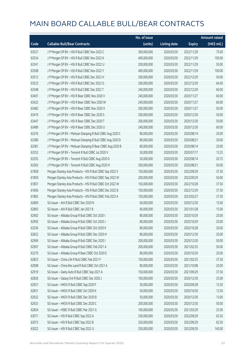|       |                                                            | No. of issue |                     |               | <b>Amount raised</b> |
|-------|------------------------------------------------------------|--------------|---------------------|---------------|----------------------|
| Code  | <b>Callable Bull/Bear Contracts</b>                        | (units)      | <b>Listing date</b> | <b>Expiry</b> | (HK\$ mil.)          |
| 63521 | J P Morgan SP BV - HSI R Bull CBBC Nov 2022 C              | 300,000,000  | 2020/03/30          | 2022/11/29    | 75.00                |
| 63534 | J P Morgan SP BV - HSI R Bull CBBC Nov 2022 K              | 400,000,000  | 2020/03/30          | 2022/11/29    | 100.00               |
| 63341 | J P Morgan SP BV - HSI R Bull CBBC Nov 2022 U              | 200,000,000  | 2020/03/30          | 2022/11/29    | 50.00                |
| 63508 | J P Morgan SP BV - HSI R Bull CBBC Nov 2022 Y              | 400,000,000  | 2020/03/30          | 2022/11/29    | 100.00               |
| 63512 | J P Morgan SP BV - HSI R Bull CBBC Dec 2022 H              | 200,000,000  | 2020/03/30          | 2022/12/29    | 50.00                |
| 63523 | J P Morgan SP BV - HSI R Bull CBBC Dec 2022 O              | 200,000,000  | 2020/03/30          | 2022/12/29    | 64.00                |
| 63348 | J P Morgan SP BV - HSI R Bull CBBC Dec 2022 T              | 240,000,000  | 2020/03/30          | 2022/12/29    | 60.00                |
| 63401 | J P Morgan SP BV - HSI R Bear CBBC Nov 2020 V              | 240,000,000  | 2020/03/30          | 2020/11/27    | 60.00                |
| 63422 | J P Morgan SP BV - HSI R Bear CBBC Nov 2020 W              | 240,000,000  | 2020/03/30          | 2020/11/27    | 60.00                |
| 63482 | J P Morgan SP BV - HSI R Bear CBBC Nov 2020 X              | 200,000,000  | 2020/03/30          | 2020/11/27    | 50.00                |
| 63419 | J P Morgan SP BV - HSI R Bear CBBC Dec 2020 S              | 200,000,000  | 2020/03/30          | 2020/12/30    | 50.00                |
| 63447 | J P Morgan SP BV - HSI R Bear CBBC Dec 2020 T              | 200,000,000  | 2020/03/30          | 2020/12/30    | 50.00                |
| 63489 | J P Morgan SP BV - HSI R Bear CBBC Dec 2020 U              | 240,000,000  | 2020/03/30          | 2020/12/30    | 60.00                |
| 63376 | J P Morgan SP BV - Meituan Dianping R Bull CBBC Aug 2020 C | 80,000,000   | 2020/03/30          | 2020/08/14    | 20.00                |
| 63380 | J P Morgan SP BV - Meituan Dianping R Bull CBBC Aug 2020 D | 80,000,000   | 2020/03/30          | 2020/08/21    | 20.00                |
| 63381 | J P Morgan SP BV - Meituan Dianping R Bear CBBC Aug 2020 B | 80,000,000   | 2020/03/30          | 2020/08/14    | 20.00                |
| 63352 | J P Morgan SP BV - Tencent R Bull CBBC Jul 2020 V          | 50,000,000   | 2020/03/30          | 2020/07/17    | 13.25                |
| 63355 | J P Morgan SP BV - Tencent R Bull CBBC Aug 2020 G          | 50,000,000   | 2020/03/30          | 2020/08/14    | 20.75                |
| 63363 | J P Morgan SP BV - Tencent R Bull CBBC Aug 2020 H          | 200,000,000  | 2020/03/30          | 2020/08/21    | 50.00                |
| 61858 | Morgan Stanley Asia Products - HSI R Bull CBBC Sep 2022 V  | 150,000,000  | 2020/03/30          | 2022/09/29    | 37.50                |
| 61859 | Morgan Stanley Asia Products - HSI R Bull CBBC Sep 2022 W  | 200,000,000  | 2020/03/30          | 2022/09/29    | 50.00                |
| 61857 | Morgan Stanley Asia Products - HSI R Bull CBBC Oct 2022 W  | 150,000,000  | 2020/03/30          | 2022/10/28    | 37.50                |
| 61856 | Morgan Stanley Asia Products - HSI R Bull CBBC Dec 2022 B  | 150,000,000  | 2020/03/30          | 2022/12/29    | 37.50                |
| 61862 | Morgan Stanley Asia Products - HSI R Bull CBBC Feb 2023 A  | 150,000,000  | 2020/03/30          | 2023/02/27    | 37.50                |
| 62800 | SG Issuer - AIA R Bull CBBC Dec 2020 N                     | 60,000,000   | 2020/03/30          | 2020/12/30    | 15.00                |
| 62893 | SG Issuer - AIA R Bull CBBC Jan 2021 B                     | 60,000,000   | 2020/03/30          | 2021/01/28    | 15.00                |
| 62902 | SG Issuer - Alibaba Group R Bull CBBC Oct 2020 I           | 80,000,000   | 2020/03/30          | 2020/10/29    | 20.00                |
| 62905 | SG Issuer - Alibaba Group R Bull CBBC Oct 2020 J           | 80,000,000   | 2020/03/30          | 2020/10/29    | 20.00                |
| 63256 | SG Issuer - Alibaba Group R Bull CBBC Oct 2020 K           | 80,000,000   | 2020/03/30          | 2020/10/28    | 20.00                |
| 62822 | SG Issuer - Alibaba Group R Bull CBBC Dec 2020 H           | 80,000,000   | 2020/03/30          | 2020/12/30    | 20.00                |
| 62906 | SG Issuer - Alibaba Group R Bull CBBC Dec 2020 I           | 200,000,000  | 2020/03/30          | 2020/12/30    | 50.00                |
| 62907 | SG Issuer - Alibaba Group R Bull CBBC Feb 2021 A           | 200,000,000  | 2020/03/30          | 2021/02/25    | 50.00                |
| 63270 | SG Issuer - Alibaba Group R Bear CBBC Oct 2020 E           | 80,000,000   | 2020/03/30          | 2020/10/29    | 20.00                |
| 62823 | SG Issuer - China Life R Bull CBBC Feb 2021 F              | 150,000,000  | 2020/03/30          | 2021/02/25    | 37.50                |
| 62908 | SG Issuer - China Res Land R Bull CBBC Oct 2021 A          | 80,000,000   | 2020/03/30          | 2021/10/08    | 20.00                |
| 62919 | SG Issuer - Geely Auto R Bull CBBC Sep 2021 A              | 150,000,000  | 2020/03/30          | 2021/09/29    | 37.50                |
| 62826 | SG Issuer - Galaxy Ent R Bull CBBC Dec 2020 J              | 100,000,000  | 2020/03/30          | 2020/12/30    | 25.00                |
| 62921 | SG Issuer - HKEX R Bull CBBC Sep 2020 F                    | 50,000,000   | 2020/03/30          | 2020/09/28    | 12.50                |
| 62831 | SG Issuer - HKEX R Bull CBBC Oct 2020 K                    | 50,000,000   | 2020/03/30          | 2020/10/30    | 12.50                |
| 62922 | SG Issuer - HKEX R Bull CBBC Dec 2020 B                    | 50,000,000   | 2020/03/30          | 2020/12/30    | 13.00                |
| 62923 | SG Issuer - HKEX R Bull CBBC Dec 2020 C                    | 200,000,000  | 2020/03/30          | 2020/12/30    | 50.00                |
| 62834 | SG Issuer - HSBC R Bull CBBC Mar 2021 G                    | 100,000,000  | 2020/03/30          | 2021/03/29    | 25.00                |
| 63071 | SG Issuer - HSI R Bull CBBC Sep 2022 A                     | 250,000,000  | 2020/03/30          | 2022/09/29    | 62.50                |
| 63073 | SG Issuer - HSI R Bull CBBC Sep 2022 B                     | 250,000,000  | 2020/03/30          | 2022/09/29    | 62.50                |
| 63022 | SG Issuer - HSI R Bull CBBC Sep 2022 U                     | 250,000,000  | 2020/03/30          | 2022/09/29    | 140.00               |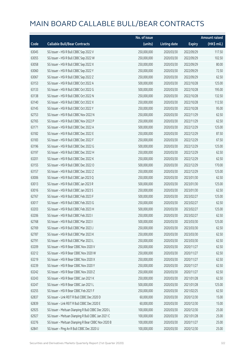|       |                                                     | No. of issue |                     |               | <b>Amount raised</b> |
|-------|-----------------------------------------------------|--------------|---------------------|---------------|----------------------|
| Code  | <b>Callable Bull/Bear Contracts</b>                 | (units)      | <b>Listing date</b> | <b>Expiry</b> | (HK\$ mil.)          |
| 63045 | SG Issuer - HSI R Bull CBBC Sep 2022 V              | 250,000,000  | 2020/03/30          | 2022/09/29    | 117.50               |
| 63055 | SG Issuer - HSI R Bull CBBC Sep 2022 W              | 250,000,000  | 2020/03/30          | 2022/09/29    | 102.50               |
| 63058 | SG Issuer - HSI R Bull CBBC Sep 2022 X              | 250,000,000  | 2020/03/30          | 2022/09/29    | 80.00                |
| 63060 | SG Issuer - HSI R Bull CBBC Sep 2022 Y              | 250,000,000  | 2020/03/30          | 2022/09/29    | 72.50                |
| 63067 | SG Issuer - HSI R Bull CBBC Sep 2022 Z              | 250,000,000  | 2020/03/30          | 2022/09/29    | 62.50                |
| 63153 | SG Issuer - HSI R Bull CBBC Oct 2022 A              | 500,000,000  | 2020/03/30          | 2022/10/28    | 125.00               |
| 63133 | SG Issuer - HSI R Bull CBBC Oct 2022 G              | 500,000,000  | 2020/03/30          | 2022/10/28    | 195.00               |
| 63138 | SG Issuer - HSI R Bull CBBC Oct 2022 N              | 250,000,000  | 2020/03/30          | 2022/10/28    | 132.50               |
| 63140 | SG Issuer - HSI R Bull CBBC Oct 2022 X              | 250,000,000  | 2020/03/30          | 2022/10/28    | 112.50               |
| 63145 | SG Issuer - HSI R Bull CBBC Oct 2022 Y              | 250,000,000  | 2020/03/30          | 2022/10/28    | 95.00                |
| 62753 | SG Issuer - HSI R Bull CBBC Nov 2022 N              | 250,000,000  | 2020/03/30          | 2022/11/29    | 62.50                |
| 62765 | SG Issuer - HSI R Bull CBBC Nov 2022 P              | 250,000,000  | 2020/03/30          | 2022/11/29    | 62.50                |
| 63171 | SG Issuer - HSI R Bull CBBC Dec 2022 A              | 500,000,000  | 2020/03/30          | 2022/12/29    | 125.00               |
| 63182 | SG Issuer - HSI R Bull CBBC Dec 2022 E              | 250,000,000  | 2020/03/30          | 2022/12/29    | 87.50                |
| 63183 | SG Issuer - HSI R Bull CBBC Dec 2022 F              | 250,000,000  | 2020/03/30          | 2022/12/29    | 67.50                |
| 63196 | SG Issuer - HSI R Bull CBBC Dec 2022 G              | 500,000,000  | 2020/03/30          | 2022/12/29    | 125.00               |
| 63197 | SG Issuer - HSI R Bull CBBC Dec 2022 H              | 250,000,000  | 2020/03/30          | 2022/12/29    | 62.50                |
| 63201 | SG Issuer - HSI R Bull CBBC Dec 2022 K              | 250,000,000  | 2020/03/30          | 2022/12/29    | 62.50                |
| 63155 | SG Issuer - HSI R Bull CBBC Dec 2022 O              | 500,000,000  | 2020/03/30          | 2022/12/29    | 170.00               |
| 63157 | SG Issuer - HSI R Bull CBBC Dec 2022 Z              | 250,000,000  | 2020/03/30          | 2022/12/29    | 125.00               |
| 63006 | SG Issuer - HSI R Bull CBBC Jan 2023 Q              | 250,000,000  | 2020/03/30          | 2023/01/30    | 62.50                |
| 63013 | SG Issuer - HSI R Bull CBBC Jan 2023 R              | 500,000,000  | 2020/03/30          | 2023/01/30    | 125.00               |
| 63016 | SG Issuer - HSI R Bull CBBC Jan 2023 S              | 250,000,000  | 2020/03/30          | 2023/01/30    | 62.50                |
| 62767 | SG Issuer - HSI R Bull CBBC Feb 2023 F              | 500,000,000  | 2020/03/30          | 2023/02/27    | 125.00               |
| 63017 | SG Issuer - HSI R Bull CBBC Feb 2023 G              | 250,000,000  | 2020/03/30          | 2023/02/27    | 62.50                |
| 63203 | SG Issuer - HSI R Bull CBBC Feb 2023 H              | 500,000,000  | 2020/03/30          | 2023/02/27    | 125.00               |
| 63206 | SG Issuer - HSI R Bull CBBC Feb 2023 I              | 250,000,000  | 2020/03/30          | 2023/02/27    | 62.50                |
| 62768 | SG Issuer - HSI R Bull CBBC Mar 2023 I              | 500,000,000  | 2020/03/30          | 2023/03/30    | 125.00               |
| 62769 | SG Issuer - HSI R Bull CBBC Mar 2023 J              | 250,000,000  | 2020/03/30          | 2023/03/30    | 62.50                |
| 62787 | SG Issuer - HSI R Bull CBBC Mar 2023 K              | 250,000,000  | 2020/03/30          | 2023/03/30    | 62.50                |
| 62791 | SG Issuer - HSI R Bull CBBC Mar 2023 L              | 250,000,000  | 2020/03/30          | 2023/03/30    | 62.50                |
| 63209 | SG Issuer - HSI R Bear CBBC Nov 2020 V              | 250,000,000  | 2020/03/30          | 2020/11/27    | 62.50                |
| 63212 | SG Issuer - HSI R Bear CBBC Nov 2020 W              | 250,000,000  | 2020/03/30          | 2020/11/27    | 62.50                |
| 63219 | SG Issuer - HSI R Bear CBBC Nov 2020 X              | 250,000,000  | 2020/03/30          | 2020/11/27    | 62.50                |
| 63239 | SG Issuer - HSI R Bear CBBC Nov 2020 Y              | 250,000,000  | 2020/03/30          | 2020/11/27    | 62.50                |
| 63242 | SG Issuer - HSI R Bear CBBC Nov 2020 Z              | 250,000,000  | 2020/03/30          | 2020/11/27    | 62.50                |
| 63243 | SG Issuer - HSI R Bear CBBC Jan 2021 K              | 250,000,000  | 2020/03/30          | 2021/01/28    | 62.50                |
| 63247 | SG Issuer - HSI R Bear CBBC Jan 2021 L              | 500,000,000  | 2020/03/30          | 2021/01/28    | 125.00               |
| 63255 | SG Issuer - HSI R Bear CBBC Feb 2021 F              | 250,000,000  | 2020/03/30          | 2021/02/25    | 62.50                |
| 62837 | SG Issuer - Link REIT R Bull CBBC Dec 2020 D        | 60,000,000   | 2020/03/30          | 2020/12/30    | 15.00                |
| 62839 | SG Issuer - Link REIT R Bull CBBC Dec 2020 E        | 60,000,000   | 2020/03/30          | 2020/12/30    | 15.00                |
| 62925 | SG Issuer - Meituan Dianping R Bull CBBC Dec 2020 L | 100,000,000  | 2020/03/30          | 2020/12/30    | 25.00                |
| 62927 | SG Issuer - Meituan Dianping R Bull CBBC Jan 2021 C | 100,000,000  | 2020/03/30          | 2021/01/28    | 25.00                |
| 63276 | SG Issuer - Meituan Dianping R Bear CBBC Nov 2020 B | 100,000,000  | 2020/03/30          | 2020/11/27    | 25.00                |
| 62841 | SG Issuer - Ping An R Bull CBBC Dec 2020 U          | 100,000,000  | 2020/03/30          | 2020/12/30    | 25.00                |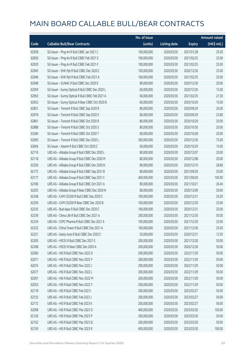|       |                                                  | No. of issue |                     |               | <b>Amount raised</b> |
|-------|--------------------------------------------------|--------------|---------------------|---------------|----------------------|
| Code  | <b>Callable Bull/Bear Contracts</b>              | (units)      | <b>Listing date</b> | <b>Expiry</b> | (HK\$ mil.)          |
| 62928 | SG Issuer - Ping An R Bull CBBC Jan 2021 C       | 100,000,000  | 2020/03/30          | 2021/01/28    | 25.00                |
| 62850 | SG Issuer - Ping An R Bull CBBC Feb 2021 E       | 100,000,000  | 2020/03/30          | 2021/02/25    | 25.00                |
| 62929 | SG Issuer - Ping An R Bull CBBC Feb 2021 F       | 100,000,000  | 2020/03/30          | 2021/02/25    | 25.00                |
| 62945 | SG Issuer - SHK Ppt R Bull CBBC Dec 2020 C       | 100,000,000  | 2020/03/30          | 2020/12/30    | 25.00                |
| 62946 | SG Issuer - SHK Ppt R Bull CBBC Feb 2021 A       | 100,000,000  | 2020/03/30          | 2021/02/25    | 25.00                |
| 62948 | SG Issuer - SUNAC R Bull CBBC Dec 2020 E         | 80,000,000   | 2020/03/30          | 2020/12/30    | 20.00                |
| 62959 | SG Issuer - Sunny Optical R Bull CBBC Dec 2020 L | 60,000,000   | 2020/03/30          | 2020/12/30    | 15.00                |
| 62963 | SG Issuer - Sunny Optical R Bull CBBC Feb 2021 A | 60,000,000   | 2020/03/30          | 2021/02/25    | 21.30                |
| 62952 | SG Issuer - Sunny Optical R Bear CBBC Oct 2020 B | 60,000,000   | 2020/03/30          | 2020/10/29    | 15.00                |
| 62851 | SG Issuer - Tencent R Bull CBBC Sep 2020 R       | 80,000,000   | 2020/03/30          | 2020/09/29    | 20.00                |
| 62976 | SG Issuer - Tencent R Bull CBBC Sep 2020 S       | 80,000,000   | 2020/03/30          | 2020/09/29    | 22.80                |
| 62861 | SG Issuer - Tencent R Bull CBBC Oct 2020 R       | 80,000,000   | 2020/03/30          | 2020/10/29    | 20.00                |
| 62888 | SG Issuer - Tencent R Bull CBBC Oct 2020 S       | 80,000,000   | 2020/03/30          | 2020/10/30    | 20.00                |
| 63284 | SG Issuer - Tencent R Bull CBBC Oct 2020 T       | 80,000,000   | 2020/03/30          | 2020/10/28    | 20.00                |
| 62995 | SG Issuer - Tencent R Bull CBBC Dec 2020 L       | 300,000,000  | 2020/03/30          | 2020/12/30    | 75.00                |
| 63004 | SG Issuer - Xiaomi R Bull CBBC Oct 2020 C        | 60,000,000   | 2020/03/30          | 2020/10/29    | 15.00                |
| 62110 | UBS AG - Alibaba Group R Bull CBBC Dec 2020 L    | 80,000,000   | 2020/03/30          | 2020/12/07    | 20.00                |
| 62118 | UBS AG - Alibaba Group R Bull CBBC Dec 2020 M    | 80,000,000   | 2020/03/30          | 2020/12/08    | 20.00                |
| 62350 | UBS AG - Alibaba Group R Bull CBBC Dec 2020 N    | 80,000,000   | 2020/03/30          | 2020/12/10    | 28.80                |
| 62175 | UBS AG - Alibaba Group R Bull CBBC Sep 2021 B    | 80,000,000   | 2020/03/30          | 2021/09/29    | 20.00                |
| 62177 | UBS AG - Alibaba Group R Bull CBBC Sep 2021 C    | 400,000,000  | 2020/03/30          | 2021/09/29    | 100.00               |
| 62180 | UBS AG - Alibaba Group R Bull CBBC Oct 2021 A    | 80,000,000   | 2020/03/30          | 2021/10/21    | 26.40                |
| 62293 | UBS AG - Alibaba Group R Bear CBBC Dec 2020 N    | 80,000,000   | 2020/03/30          | 2020/12/09    | 20.00                |
| 62348 | UBS AG - CAM CSI300 R Bull CBBC Dec 2020 C       | 100,000,000  | 2020/03/30          | 2020/12/31    | 25.00                |
| 62356 | UBS AG - CAM CSI300 R Bear CBBC Dec 2020 B       | 100,000,000  | 2020/03/30          | 2020/12/30    | 25.00                |
| 62335 | UBS AG - Bud Apac R Bull CBBC Dec 2020 C         | 100,000,000  | 2020/03/30          | 2020/12/31    | 25.00                |
| 62339 | UBS AG - China Life R Bull CBBC Dec 2021 A       | 200,000,000  | 2020/03/30          | 2021/12/30    | 50.00                |
| 62334 | UBS AG – CSPC Pharma R Bull CBBC Dec 2021 A      | 100,000,000  | 2020/03/30          | 2021/12/30    | 25.00                |
| 62323 | UBS AG - China Tower R Bull CBBC Dec 2021 A      | 100,000,000  | 2020/03/30          | 2021/12/30    | 25.00                |
| 62321 | UBS AG - Geely Auto R Bull CBBC Dec 2020 C       | 50,000,000   | 2020/03/30          | 2020/12/31    | 12.50                |
| 62305 | UBS AG - HSCEI R Bull CBBC Dec 2021 E            | 200,000,000  | 2020/03/30          | 2021/12/30    | 50.00                |
| 62308 | UBS AG - HSCEI R Bear CBBC Dec 2020 A            | 200,000,000  | 2020/03/30          | 2020/12/30    | 50.00                |
| 62060 | UBS AG - HSI R Bull CBBC Nov 2022 D              | 200,000,000  | 2020/03/30          | 2022/11/29    | 50.00                |
| 62071 | UBS AG - HSI R Bull CBBC Nov 2022 F              | 200,000,000  | 2020/03/30          | 2022/11/29    | 50.00                |
| 62074 | UBS AG - HSI R Bull CBBC Nov 2022 J              | 200,000,000  | 2020/03/30          | 2022/11/29    | 50.00                |
| 62077 | UBS AG - HSI R Bull CBBC Nov 2022 L              | 200,000,000  | 2020/03/30          | 2022/11/29    | 50.00                |
| 62097 | UBS AG - HSI R Bull CBBC Nov 2022 M              | 200,000,000  | 2020/03/30          | 2022/11/29    | 50.00                |
| 62053 | UBS AG - HSI R Bull CBBC Nov 2022 Y              | 200,000,000  | 2020/03/30          | 2022/11/29    | 50.00                |
| 62119 | UBS AG - HSI R Bull CBBC Feb 2023 I              | 200,000,000  | 2020/03/30          | 2023/02/27    | 50.00                |
| 62125 | UBS AG - HSI R Bull CBBC Feb 2023 J              | 200,000,000  | 2020/03/30          | 2023/02/27    | 50.00                |
| 62172 | UBS AG - HSI R Bull CBBC Feb 2023 K              | 200,000,000  | 2020/03/30          | 2023/02/27    | 56.00                |
| 62098 | UBS AG - HSI R Bull CBBC Mar 2023 O              | 400,000,000  | 2020/03/30          | 2023/03/30    | 100.00               |
| 62126 | UBS AG - HSI R Bull CBBC Mar 2023 P              | 200,000,000  | 2020/03/30          | 2023/03/30    | 50.00                |
| 62152 | UBS AG - HSI R Bull CBBC Mar 2023 Q              | 200,000,000  | 2020/03/30          | 2023/03/30    | 50.00                |
| 62159 | UBS AG - HSI R Bull CBBC Mar 2023 R              | 400,000,000  | 2020/03/30          | 2023/03/30    | 100.00               |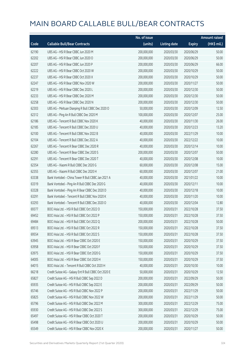|       |                                                      | No. of issue |                     |               | <b>Amount raised</b> |
|-------|------------------------------------------------------|--------------|---------------------|---------------|----------------------|
| Code  | <b>Callable Bull/Bear Contracts</b>                  | (units)      | <b>Listing date</b> | <b>Expiry</b> | (HK\$ mil.)          |
| 62190 | UBS AG - HSI R Bear CBBC Jun 2020 M                  | 200,000,000  | 2020/03/30          | 2020/06/29    | 50.00                |
| 62202 | UBS AG - HSI R Bear CBBC Jun 2020 O                  | 200,000,000  | 2020/03/30          | 2020/06/29    | 50.00                |
| 62207 | UBS AG - HSI R Bear CBBC Jun 2020 P                  | 200,000,000  | 2020/03/30          | 2020/06/29    | 66.00                |
| 62222 | UBS AG - HSI R Bear CBBC Oct 2020 W                  | 200,000,000  | 2020/03/30          | 2020/10/29    | 50.00                |
| 62237 | UBS AG - HSI R Bear CBBC Oct 2020 X                  | 200,000,000  | 2020/03/30          | 2020/10/29    | 50.00                |
| 62247 | UBS AG - HSI R Bear CBBC Nov 2020 W                  | 200,000,000  | 2020/03/30          | 2020/11/27    | 50.00                |
| 62219 | UBS AG - HSI R Bear CBBC Dec 2020 L                  | 200,000,000  | 2020/03/30          | 2020/12/30    | 50.00                |
| 62233 | UBS AG - HSI R Bear CBBC Dec 2020 M                  | 200,000,000  | 2020/03/30          | 2020/12/30    | 50.00                |
| 62258 | UBS AG - HSI R Bear CBBC Dec 2020 N                  | 200,000,000  | 2020/03/30          | 2020/12/30    | 50.00                |
| 62303 | UBS AG - Meituan Dianping R Bull CBBC Dec 2020 O     | 50,000,000   | 2020/03/30          | 2020/12/09    | 12.50                |
| 62312 | UBS AG - Ping An R Bull CBBC Dec 2020 M              | 100,000,000  | 2020/03/30          | 2020/12/07    | 25.00                |
| 62186 | UBS AG - Tencent R Bull CBBC Nov 2020 K              | 40,000,000   | 2020/03/30          | 2020/11/30    | 26.00                |
| 62185 | UBS AG - Tencent R Bull CBBC Dec 2020 U              | 40,000,000   | 2020/03/30          | 2020/12/23    | 13.20                |
| 62100 | UBS AG - Tencent R Bull CBBC Nov 2022 B              | 40,000,000   | 2020/03/30          | 2022/11/29    | 10.00                |
| 62104 | UBS AG - Tencent R Bull CBBC Dec 2022 A              | 40,000,000   | 2020/03/30          | 2022/12/22    | 10.00                |
| 62267 | UBS AG - Tencent R Bear CBBC Dec 2020 R              | 40,000,000   | 2020/03/30          | 2020/12/14    | 10.00                |
| 62280 | UBS AG - Tencent R Bear CBBC Dec 2020 S              | 200,000,000  | 2020/03/30          | 2020/12/07    | 50.00                |
| 62291 | UBS AG - Tencent R Bear CBBC Dec 2020 T              | 40,000,000   | 2020/03/30          | 2020/12/08    | 10.00                |
| 62354 | UBS AG - Xiaomi R Bull CBBC Dec 2020 G               | 60,000,000   | 2020/03/30          | 2020/12/08    | 15.00                |
| 62355 | UBS AG - Xiaomi R Bull CBBC Dec 2020 H               | 60,000,000   | 2020/03/30          | 2020/12/07    | 21.00                |
| 63338 | Bank Vontobel - China Tower R Bull CBBC Jan 2021 A   | 40,000,000   | 2020/03/30          | 2021/01/22    | 10.00                |
| 63319 | Bank Vontobel - Ping An R Bull CBBC Dec 2020 G       | 40,000,000   | 2020/03/30          | 2020/12/11    | 10.00                |
| 63328 | Bank Vontobel - Ping An R Bear CBBC Dec 2020 D       | 40,000,000   | 2020/03/30          | 2020/12/18    | 10.00                |
| 63291 | Bank Vontobel - Tencent R Bull CBBC Nov 2020 K       | 40,000,000   | 2020/03/30          | 2020/11/20    | 10.00                |
| 63293 | Bank Vontobel - Tencent R Bull CBBC Dec 2020 O       | 40,000,000   | 2020/03/30          | 2020/12/04    | 12.80                |
| 69377 | BOCI Asia Ltd. - HSI R Bull CBBC Oct 2022 O          | 150,000,000  | 2020/03/31          | 2022/10/28    | 37.50                |
| 69452 | BOCI Asia Ltd. - HSI R Bull CBBC Oct 2022 P          | 150,000,000  | 2020/03/31          | 2022/10/28    | 37.50                |
| 69484 | BOCI Asia Ltd. - HSI R Bull CBBC Oct 2022 Q          | 200,000,000  | 2020/03/31          | 2022/10/28    | 50.00                |
| 69513 | BOCI Asia Ltd. - HSI R Bull CBBC Oct 2022 R          | 150,000,000  | 2020/03/31          | 2022/10/28    | 37.50                |
| 69554 | BOCI Asia Ltd. - HSI R Bull CBBC Oct 2022 S          | 150,000,000  | 2020/03/31          | 2022/10/28    | 37.50                |
| 63945 | BOCI Asia Ltd. - HSI R Bear CBBC Oct 2020 E          | 150,000,000  | 2020/03/31          | 2020/10/29    | 37.50                |
| 63958 | BOCI Asia Ltd. - HSI R Bear CBBC Oct 2020 F          | 150,000,000  | 2020/03/31          | 2020/10/29    | 37.50                |
| 63975 | BOCI Asia Ltd. - HSI R Bear CBBC Oct 2020 G          | 150,000,000  | 2020/03/31          | 2020/10/29    | 37.50                |
| 64005 | BOCI Asia Ltd. - HSI R Bear CBBC Oct 2020 H          | 150,000,000  | 2020/03/31          | 2020/10/29    | 37.50                |
| 64015 | BOCI Asia Ltd. - Tencent R Bull CBBC Oct 2020 H      | 40,000,000   | 2020/03/31          | 2020/10/30    | 10.00                |
| 66218 | Credit Suisse AG - Galaxy Ent R Bull CBBC Oct 2020 E | 50,000,000   | 2020/03/31          | 2020/10/29    | 12.50                |
| 65827 | Credit Suisse AG - HSI R Bull CBBC Sep 2022 D        | 200,000,000  | 2020/03/31          | 2022/09/29    | 50.00                |
| 65935 | Credit Suisse AG - HSI R Bull CBBC Sep 2022 E        | 200,000,000  | 2020/03/31          | 2022/09/29    | 50.00                |
| 65746 | Credit Suisse AG - HSI R Bull CBBC Nov 2022 P        | 200,000,000  | 2020/03/31          | 2022/11/29    | 50.00                |
| 65825 | Credit Suisse AG - HSI R Bull CBBC Nov 2022 W        | 200,000,000  | 2020/03/31          | 2022/11/29    | 50.00                |
| 65796 | Credit Suisse AG - HSI R Bull CBBC Dec 2022 M        | 300,000,000  | 2020/03/31          | 2022/12/29    | 75.00                |
| 65930 | Credit Suisse AG - HSI R Bull CBBC Dec 2022 S        | 300,000,000  | 2020/03/31          | 2022/12/29    | 75.00                |
| 65497 | Credit Suisse AG - HSI R Bear CBBC Oct 2020 T        | 200,000,000  | 2020/03/31          | 2020/10/29    | 50.00                |
| 65498 | Credit Suisse AG - HSI R Bear CBBC Oct 2020 U        | 200,000,000  | 2020/03/31          | 2020/10/29    | 50.00                |
| 65549 | Credit Suisse AG - HSI R Bear CBBC Nov 2020 X        | 200,000,000  | 2020/03/31          | 2020/11/27    | 50.00                |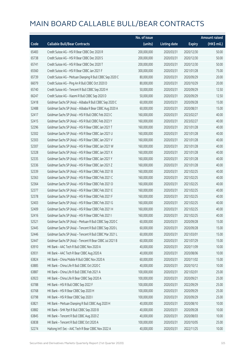|       |                                                            | No. of issue |                     |               | <b>Amount raised</b> |
|-------|------------------------------------------------------------|--------------|---------------------|---------------|----------------------|
| Code  | <b>Callable Bull/Bear Contracts</b>                        | (units)      | <b>Listing date</b> | <b>Expiry</b> | (HK\$ mil.)          |
| 65483 | Credit Suisse AG - HSI R Bear CBBC Dec 2020 R              | 200,000,000  | 2020/03/31          | 2020/12/30    | 50.00                |
| 65738 | Credit Suisse AG - HSI R Bear CBBC Dec 2020 S              | 200,000,000  | 2020/03/31          | 2020/12/30    | 50.00                |
| 65741 | Credit Suisse AG - HSI R Bear CBBC Dec 2020 T              | 200,000,000  | 2020/03/31          | 2020/12/30    | 50.00                |
| 65560 | Credit Suisse AG - HSI R Bear CBBC Jan 2021 F              | 300,000,000  | 2020/03/31          | 2021/01/28    | 75.00                |
| 65739 | Credit Suisse AG - Meituan Dianping R Bull CBBC Sep 2020 C | 80,000,000   | 2020/03/31          | 2020/09/29    | 20.00                |
| 66079 | Credit Suisse AG - Ping An R Bull CBBC Oct 2020 D          | 80,000,000   | 2020/03/31          | 2020/10/29    | 20.00                |
| 65740 | Credit Suisse AG - Tencent R Bull CBBC Sep 2020 H          | 50,000,000   | 2020/03/31          | 2020/09/29    | 12.50                |
| 66247 | Credit Suisse AG - Xiaomi R Bull CBBC Sep 2020 D           | 50,000,000   | 2020/03/31          | 2020/09/29    | 12.50                |
| 52418 | Goldman Sachs SP (Asia) - Alibaba R Bull CBBC Sep 2020 C   | 60,000,000   | 2020/03/31          | 2020/09/28    | 15.00                |
| 52488 | Goldman Sachs SP (Asia) - Alibaba R Bear CBBC Aug 2020 A   | 60,000,000   | 2020/03/31          | 2020/08/31    | 15.00                |
| 52417 | Goldman Sachs SP (Asia) - HSI R Bull CBBC Feb 2023 C       | 160,000,000  | 2020/03/31          | 2023/02/27    | 40.00                |
| 52415 | Goldman Sachs SP (Asia) - HSI R Bull CBBC Feb 2023 Y       | 160,000,000  | 2020/03/31          | 2023/02/27    | 40.00                |
| 52296 | Goldman Sachs SP (Asia) - HSI R Bear CBBC Jan 2021 T       | 160,000,000  | 2020/03/31          | 2021/01/28    | 40.00                |
| 52302 | Goldman Sachs SP (Asia) - HSI R Bear CBBC Jan 2021 U       | 160,000,000  | 2020/03/31          | 2021/01/28    | 40.00                |
| 52303 | Goldman Sachs SP (Asia) - HSI R Bear CBBC Jan 2021 V       | 160,000,000  | 2020/03/31          | 2021/01/28    | 40.00                |
| 52307 | Goldman Sachs SP (Asia) - HSI R Bear CBBC Jan 2021 W       | 160,000,000  | 2020/03/31          | 2021/01/28    | 40.00                |
| 52328 | Goldman Sachs SP (Asia) - HSI R Bear CBBC Jan 2021 X       | 160,000,000  | 2020/03/31          | 2021/01/28    | 40.00                |
| 52335 | Goldman Sachs SP (Asia) - HSI R Bear CBBC Jan 2021 Y       | 160,000,000  | 2020/03/31          | 2021/01/28    | 40.00                |
| 52336 | Goldman Sachs SP (Asia) - HSI R Bear CBBC Jan 2021 Z       | 160,000,000  | 2020/03/31          | 2021/01/28    | 40.00                |
| 52339 | Goldman Sachs SP (Asia) - HSI R Bear CBBC Feb 2021 B       | 160,000,000  | 2020/03/31          | 2021/02/25    | 40.00                |
| 52363 | Goldman Sachs SP (Asia) - HSI R Bear CBBC Feb 2021 C       | 160,000,000  | 2020/03/31          | 2021/02/25    | 40.00                |
| 52364 | Goldman Sachs SP (Asia) - HSI R Bear CBBC Feb 2021 D       | 160,000,000  | 2020/03/31          | 2021/02/25    | 40.00                |
| 52377 | Goldman Sachs SP (Asia) - HSI R Bear CBBC Feb 2021 E       | 160,000,000  | 2020/03/31          | 2021/02/25    | 40.00                |
| 52378 | Goldman Sachs SP (Asia) - HSI R Bear CBBC Feb 2021 F       | 160,000,000  | 2020/03/31          | 2021/02/25    | 40.00                |
| 52403 | Goldman Sachs SP (Asia) - HSI R Bear CBBC Feb 2021 G       | 160,000,000  | 2020/03/31          | 2021/02/25    | 40.00                |
| 52409 | Goldman Sachs SP (Asia) - HSI R Bear CBBC Feb 2021 H       | 160,000,000  | 2020/03/31          | 2021/02/25    | 40.00                |
| 52416 | Goldman Sachs SP (Asia) - HSI R Bear CBBC Feb 2021 I       | 160,000,000  | 2020/03/31          | 2021/02/25    | 40.00                |
| 52521 | Goldman Sachs SP (Asia) - Meituan R Bull CBBC Sep 2020 C   | 60,000,000   | 2020/03/31          | 2020/09/28    | 15.00                |
| 52445 | Goldman Sachs SP (Asia) - Tencent R Bull CBBC Sep 2020 L   | 60,000,000   | 2020/03/31          | 2020/09/28    | 15.00                |
| 52446 | Goldman Sachs SP (Asia) - Tencent R Bull CBBC Mar 2021 L   | 60,000,000   | 2020/03/31          | 2021/03/01    | 15.00                |
| 52447 | Goldman Sachs SP (Asia) - Tencent R Bear CBBC Jul 2021 B   | 60,000,000   | 2020/03/31          | 2021/07/29    | 15.00                |
| 63910 | HK Bank - AAC Tech R Bull CBBC Nov 2020 A                  | 40,000,000   | 2020/03/31          | 2020/11/09    | 10.00                |
| 63931 | HK Bank - AAC Tech R Bear CBBC Aug 2020 A                  | 40,000,000   | 2020/03/31          | 2020/08/06    | 10.00                |
| 63824 | HK Bank - China Mobile R Bull CBBC Nov 2020 A              | 60,000,000   | 2020/03/31          | 2020/11/02    | 15.00                |
| 63885 | HK Bank - China Life R Bull CBBC Oct 2020 C                | 40,000,000   | 2020/03/31          | 2020/10/12    | 10.00                |
| 63887 | HK Bank - China Life R Bull CBBC Feb 2021 A                | 100,000,000  | 2020/03/31          | 2021/02/01    | 25.00                |
| 63923 | HK Bank - China Life R Bear CBBC Sep 2020 A                | 100,000,000  | 2020/03/31          | 2020/09/21    | 25.00                |
| 63788 | HK Bank - HSI R Bull CBBC Sep 2022 F                       | 100,000,000  | 2020/03/31          | 2022/09/29    | 25.00                |
| 63768 | HK Bank - HSI R Bear CBBC Sep 2020 H                       | 100,000,000  | 2020/03/31          | 2020/09/29    | 25.00                |
| 63798 | HK Bank - HSI R Bear CBBC Sep 2020 I                       | 100,000,000  | 2020/03/31          | 2020/09/29    | 25.00                |
| 63821 | HK Bank - Meituan Dianping R Bull CBBC Aug 2020 H          | 40,000,000   | 2020/03/31          | 2020/08/10    | 10.00                |
| 63882 | HK Bank - SHK Ppt R Bull CBBC Sep 2020 B                   | 40,000,000   | 2020/03/31          | 2020/09/28    | 10.00                |
| 63845 | HK Bank - Tencent R Bull CBBC Aug 2020 Z                   | 40,000,000   | 2020/03/31          | 2020/08/03    | 10.00                |
| 63838 | HK Bank - Tencent R Bull CBBC Oct 2020 A                   | 100,000,000  | 2020/03/31          | 2020/10/05    | 25.00                |
| 52274 | Haitong Int'l Sec - AAC Tech R Bear CBBC Nov 2022 A        | 40,000,000   | 2020/03/31          | 2022/11/25    | 10.00                |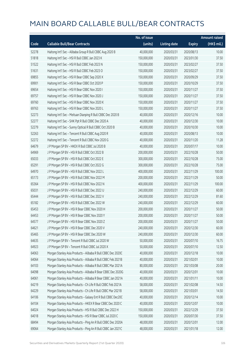|       |                                                              | No. of issue |                     |               | <b>Amount raised</b> |
|-------|--------------------------------------------------------------|--------------|---------------------|---------------|----------------------|
| Code  | <b>Callable Bull/Bear Contracts</b>                          | (units)      | <b>Listing date</b> | <b>Expiry</b> | (HK\$ mil.)          |
| 52278 | Haitong Int'l Sec - Alibaba Group R Bull CBBC Aug 2020 B     | 40,000,000   | 2020/03/31          | 2020/08/13    | 10.00                |
| 51818 | Haitong Int'l Sec - HSI R Bull CBBC Jan 2023 K               | 150,000,000  | 2020/03/31          | 2023/01/30    | 37.50                |
| 51522 | Haitong Int'l Sec - HSI R Bull CBBC Feb 2023 N               | 150,000,000  | 2020/03/31          | 2023/02/27    | 37.50                |
| 51631 | Haitong Int'l Sec - HSI R Bull CBBC Feb 2023 O               | 150,000,000  | 2020/03/31          | 2023/02/27    | 37.50                |
| 69855 | Haitong Int'l Sec - HSI R Bear CBBC Sep 2020 X               | 150,000,000  | 2020/03/31          | 2020/09/29    | 37.50                |
| 69901 | Haitong Int'l Sec - HSI R Bear CBBC Oct 2020 P               | 150,000,000  | 2020/03/31          | 2020/10/29    | 37.50                |
| 69654 | Haitong Int'l Sec - HSI R Bear CBBC Nov 2020 I               | 150,000,000  | 2020/03/31          | 2020/11/27    | 37.50                |
| 69757 | Haitong Int'l Sec - HSI R Bear CBBC Nov 2020 J               | 150,000,000  | 2020/03/31          | 2020/11/27    | 37.50                |
| 69760 | Haitong Int'l Sec - HSI R Bear CBBC Nov 2020 K               | 150,000,000  | 2020/03/31          | 2020/11/27    | 37.50                |
| 69763 | Haitong Int'l Sec - HSI R Bear CBBC Nov 2020 L               | 150,000,000  | 2020/03/31          | 2020/11/27    | 37.50                |
| 52273 | Haitong Int'l Sec - Meituan Dianping R Bull CBBC Dec 2020 B  | 40,000,000   | 2020/03/31          | 2020/12/16    | 10.00                |
| 52277 | Haitong Int'l Sec - SHK Ppt R Bull CBBC Dec 2020 A           | 40,000,000   | 2020/03/31          | 2020/12/30    | 10.00                |
| 52279 | Haitong Int'l Sec - Sunny Optical R Bull CBBC Oct 2020 B     | 40,000,000   | 2020/03/31          | 2020/10/30    | 10.00                |
| 52263 | Haitong Int'l Sec - Tencent R Bull CBBC Aug 2020 R           | 40,000,000   | 2020/03/31          | 2020/08/13    | 10.00                |
| 52272 | Haitong Int'l Sec - Tencent R Bull CBBC Nov 2020 G           | 40,000,000   | 2020/03/31          | 2020/11/20    | 11.28                |
| 64679 | J P Morgan SP BV - HKEX R Bull CBBC Jul 2020 B               | 40,000,000   | 2020/03/31          | 2020/07/17    | 10.00                |
| 64969 | J P Morgan SP BV - HSI R Bull CBBC Oct 2022 B                | 200,000,000  | 2020/03/31          | 2022/10/28    | 50.00                |
| 65033 | J P Morgan SP BV - HSI R Bull CBBC Oct 2022 E                | 300,000,000  | 2020/03/31          | 2022/10/28    | 75.00                |
| 65291 | J P Morgan SP BV - HSI R Bull CBBC Oct 2022 G                | 300,000,000  | 2020/03/31          | 2022/10/28    | 75.00                |
| 64970 | J P Morgan SP BV - HSI R Bull CBBC Nov 2022 L                | 400,000,000  | 2020/03/31          | 2022/11/29    | 100.00               |
| 65173 | J P Morgan SP BV - HSI R Bull CBBC Nov 2022 M                | 200,000,000  | 2020/03/31          | 2022/11/29    | 50.00                |
| 65364 | J P Morgan SP BV - HSI R Bull CBBC Nov 2022 N                | 400,000,000  | 2020/03/31          | 2022/11/29    | 100.00               |
| 65031 | J P Morgan SP BV - HSI R Bull CBBC Dec 2022 U                | 240,000,000  | 2020/03/31          | 2022/12/29    | 60.00                |
| 65444 | J P Morgan SP BV - HSI R Bull CBBC Dec 2022 V                | 240,000,000  | 2020/03/31          | 2022/12/29    | 81.60                |
| 65182 | J P Morgan SP BV - HSI R Bull CBBC Dec 2022 W                | 240,000,000  | 2020/03/31          | 2022/12/29    | 60.00                |
| 65453 | J P Morgan SP BV - HSI R Bear CBBC Nov 2020 H                | 200,000,000  | 2020/03/31          | 2020/11/27    | 50.00                |
| 64453 | J P Morgan SP BV - HSI R Bear CBBC Nov 2020 Y                | 200,000,000  | 2020/03/31          | 2020/11/27    | 50.00                |
| 64577 | J P Morgan SP BV - HSI R Bear CBBC Nov 2020 Z                | 200,000,000  | 2020/03/31          | 2020/11/27    | 50.00                |
| 64621 | J P Morgan SP BV - HSI R Bear CBBC Dec 2020 V                | 240,000,000  | 2020/03/31          | 2020/12/30    | 60.00                |
| 65465 | J P Morgan SP BV - HSI R Bear CBBC Dec 2020 W                | 240,000,000  | 2020/03/31          | 2020/12/30    | 60.00                |
| 64635 | J P Morgan SP BV - Tencent R Bull CBBC Jul 2020 W            | 50,000,000   | 2020/03/31          | 2020/07/10    | 16.75                |
| 64923 | J P Morgan SP BV - Tencent R Bull CBBC Jul 2020 X            | 50,000,000   | 2020/03/31          | 2020/07/10    | 12.50                |
| 64063 | Morgan Stanley Asia Products - Alibaba R Bull CBBC Dec 2020C | 40,000,000   | 2020/03/31          | 2020/12/18    | 10.00                |
| 64064 | Morgan Stanley Asia Products - Alibaba R Bull CBBC Feb 2021B | 40,000,000   | 2020/03/31          | 2021/02/01    | 10.00                |
| 64103 | Morgan Stanley Asia Products - Alibaba R Bull CBBC Mar 2021A | 80,000,000   | 2020/03/31          | 2021/03/08    | 20.00                |
| 64098 | Morgan Stanley Asia Products - Alibaba R Bear CBBC Dec 2020G | 40,000,000   | 2020/03/31          | 2020/12/01    | 10.00                |
| 64061 | Morgan Stanley Asia Products - Alibaba R Bear CBBC Jan 2021A | 40,000,000   | 2020/03/31          | 2021/01/11    | 10.00                |
| 64219 | Morgan Stanley Asia Products - Ch Life R Bull CBBC Feb 2021A | 58,000,000   | 2020/03/31          | 2021/02/08    | 14.50                |
| 64229 | Morgan Stanley Asia Products - Ch Life R Bull CBBC Mar 2021B | 58,000,000   | 2020/03/31          | 2021/03/01    | 14.50                |
| 64106 | Morgan Stanley Asia Products - Galaxy Ent R Bull CBBC Dec20C | 40,000,000   | 2020/03/31          | 2020/12/14    | 10.00                |
| 64104 | Morgan Stanley Asia Products - HKEX R Bear CBBC Dec 2020 C   | 40,000,000   | 2020/03/31          | 2020/12/07    | 10.00                |
| 64024 | Morgan Stanley Asia Products - HSI R Bull CBBC Dec 2022 H    | 150,000,000  | 2020/03/31          | 2022/12/29    | 37.50                |
| 64018 | Morgan Stanley Asia Products - HSI R Bear CBBC Jul 2020 C    | 150,000,000  | 2020/03/31          | 2020/07/30    | 37.50                |
| 68494 | Morgan Stanley Asia Products - Ping An R Bull CBBC Dec 2020A | 48,000,000   | 2020/03/31          | 2020/12/01    | 12.00                |
| 69064 | Morgan Stanley Asia Products - Ping An R Bull CBBC Jan 2021C | 48,000,000   | 2020/03/31          | 2021/01/18    | 12.00                |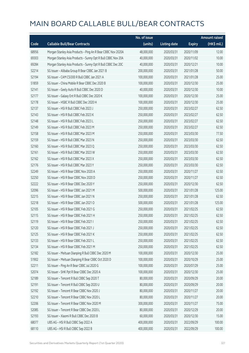|       |                                                              | No. of issue |                     |               | <b>Amount raised</b>  |
|-------|--------------------------------------------------------------|--------------|---------------------|---------------|-----------------------|
| Code  | <b>Callable Bull/Bear Contracts</b>                          | (units)      | <b>Listing date</b> | <b>Expiry</b> | $(HK\frac{1}{2}mil.)$ |
| 68956 | Morgan Stanley Asia Products - Ping An R Bear CBBC Nov 2020A | 48,000,000   | 2020/03/31          | 2020/11/09    | 12.00                 |
| 69303 | Morgan Stanley Asia Products - Sunny Opt R Bull CBBC Nov 20A | 40,000,000   | 2020/03/31          | 2020/11/02    | 10.00                 |
| 69284 | Morgan Stanley Asia Products - Sunny Opt R Bull CBBC Dec 20C | 40,000,000   | 2020/03/31          | 2020/12/21    | 10.00                 |
| 52214 | SG Issuer - Alibaba Group R Bear CBBC Jan 2021 B             | 200,000,000  | 2020/03/31          | 2021/01/28    | 50.00                 |
| 52194 | SG Issuer - CAM CSI300 R Bull CBBC Jan 2021 A                | 100,000,000  | 2020/03/31          | 2021/01/28    | 25.00                 |
| 51859 | SG Issuer - China Mobile R Bear CBBC Dec 2020 B              | 100,000,000  | 2020/03/31          | 2020/12/30    | 25.00                 |
| 52141 | SG Issuer - Geely Auto R Bull CBBC Dec 2020 D                | 40,000,000   | 2020/03/31          | 2020/12/30    | 10.00                 |
| 52177 | SG Issuer - Galaxy Ent R Bull CBBC Dec 2020 K                | 100,000,000  | 2020/03/31          | 2020/12/30    | 25.00                 |
| 52178 | SG Issuer - HSBC R Bull CBBC Dec 2020 H                      | 100,000,000  | 2020/03/31          | 2020/12/30    | 25.00                 |
| 52137 | SG Issuer - HSI R Bull CBBC Feb 2023 J                       | 250,000,000  | 2020/03/31          | 2023/02/27    | 62.50                 |
| 52143 | SG Issuer - HSI R Bull CBBC Feb 2023 K                       | 250,000,000  | 2020/03/31          | 2023/02/27    | 62.50                 |
| 52148 | SG Issuer - HSI R Bull CBBC Feb 2023 L                       | 250,000,000  | 2020/03/31          | 2023/02/27    | 62.50                 |
| 52149 | SG Issuer - HSI R Bull CBBC Feb 2023 M                       | 250,000,000  | 2020/03/31          | 2023/02/27    | 62.50                 |
| 52158 | SG Issuer - HSI R Bull CBBC Mar 2023 M                       | 250,000,000  | 2020/03/31          | 2023/03/30    | 77.50                 |
| 52159 | SG Issuer - HSI R Bull CBBC Mar 2023 N                       | 250,000,000  | 2020/03/31          | 2023/03/30    | 62.50                 |
| 52160 | SG Issuer - HSI R Bull CBBC Mar 2023 Q                       | 250,000,000  | 2020/03/31          | 2023/03/30    | 62.50                 |
| 52161 | SG Issuer - HSI R Bull CBBC Mar 2023 W                       | 250,000,000  | 2020/03/31          | 2023/03/30    | 62.50                 |
| 52162 | SG Issuer - HSI R Bull CBBC Mar 2023 X                       | 250,000,000  | 2020/03/31          | 2023/03/30    | 62.50                 |
| 52176 | SG Issuer - HSI R Bull CBBC Mar 2023 Y                       | 250,000,000  | 2020/03/31          | 2023/03/30    | 62.50                 |
| 52249 | SG Issuer - HSI R Bear CBBC Nov 2020 A                       | 250,000,000  | 2020/03/31          | 2020/11/27    | 62.50                 |
| 52250 | SG Issuer - HSI R Bear CBBC Nov 2020 D                       | 250,000,000  | 2020/03/31          | 2020/11/27    | 62.50                 |
| 52222 | SG Issuer - HSI R Bear CBBC Dec 2020 Y                       | 250,000,000  | 2020/03/31          | 2020/12/30    | 62.50                 |
| 52096 | SG Issuer - HSI R Bear CBBC Jan 2021 M                       | 500,000,000  | 2020/03/31          | 2021/01/28    | 125.00                |
| 52215 | SG Issuer - HSI R Bear CBBC Jan 2021 N                       | 250,000,000  | 2020/03/31          | 2021/01/28    | 62.50                 |
| 52218 | SG Issuer - HSI R Bear CBBC Jan 2021 O                       | 500,000,000  | 2020/03/31          | 2021/01/28    | 125.00                |
| 52105 | SG Issuer - HSI R Bear CBBC Feb 2021 G                       | 250,000,000  | 2020/03/31          | 2021/02/25    | 62.50                 |
| 52115 | SG Issuer - HSI R Bear CBBC Feb 2021 H                       | 250,000,000  | 2020/03/31          | 2021/02/25    | 62.50                 |
| 52119 | SG Issuer - HSI R Bear CBBC Feb 2021 I                       | 250,000,000  | 2020/03/31          | 2021/02/25    | 62.50                 |
| 52120 | SG Issuer - HSI R Bear CBBC Feb 2021 J                       | 250,000,000  | 2020/03/31          | 2021/02/25    | 62.50                 |
| 52125 | SG Issuer - HSI R Bear CBBC Feb 2021 K                       | 250,000,000  | 2020/03/31          | 2021/02/25    | 62.50                 |
| 52133 | SG Issuer - HSI R Bear CBBC Feb 2021 L                       | 250,000,000  | 2020/03/31          | 2021/02/25    | 62.50                 |
| 52134 | SG Issuer - HSI R Bear CBBC Feb 2021 M                       | 250,000,000  | 2020/03/31          | 2021/02/25    | 62.50                 |
| 52182 | SG Issuer - Meituan Dianping R Bull CBBC Dec 2020 M          | 100,000,000  | 2020/03/31          | 2020/12/30    | 25.00                 |
| 51902 | SG Issuer - Meituan Dianping R Bear CBBC Oct 2020 D          | 100,000,000  | 2020/03/31          | 2020/10/29    | 25.00                 |
| 52211 | SG Issuer - Ping An R Bear CBBC Jul 2020 G                   | 100,000,000  | 2020/03/31          | 2020/07/29    | 25.00                 |
| 52074 | SG Issuer - SHK Ppt R Bear CBBC Dec 2020 A                   | 100,000,000  | 2020/03/31          | 2020/12/30    | 25.00                 |
| 52189 | SG Issuer - Tencent R Bull CBBC Sep 2020 T                   | 80,000,000   | 2020/03/31          | 2020/09/29    | 20.00                 |
| 52191 | SG Issuer - Tencent R Bull CBBC Sep 2020 U                   | 80,000,000   | 2020/03/31          | 2020/09/29    | 20.00                 |
| 52192 | SG Issuer - Tencent R Bear CBBC Nov 2020 J                   | 80,000,000   | 2020/03/31          | 2020/11/27    | 20.00                 |
| 52210 | SG Issuer - Tencent R Bear CBBC Nov 2020 L                   | 80,000,000   | 2020/03/31          | 2020/11/27    | 20.00                 |
| 52206 | SG Issuer - Tencent R Bear CBBC Nov 2020 M                   | 300,000,000  | 2020/03/31          | 2020/11/27    | 75.00                 |
| 52085 | SG Issuer - Tencent R Bear CBBC Dec 2020 L                   | 80,000,000   | 2020/03/31          | 2020/12/29    | 20.00                 |
| 52193 | SG Issuer - Xiaomi R Bull CBBC Dec 2020 B                    | 60,000,000   | 2020/03/31          | 2020/12/30    | 15.00                 |
| 68077 | UBS AG - HSI R Bull CBBC Sep 2022 A                          | 400,000,000  | 2020/03/31          | 2022/09/29    | 100.00                |
| 68110 | UBS AG - HSI R Bull CBBC Sep 2022 B                          | 400,000,000  | 2020/03/31          | 2022/09/29    | 100.00                |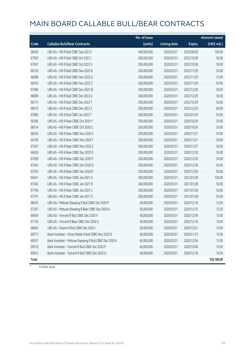|       |                                                         | No. of issue |                     |               | <b>Amount raised</b> |
|-------|---------------------------------------------------------|--------------|---------------------|---------------|----------------------|
| Code  | <b>Callable Bull/Bear Contracts</b>                     | (units)      | <b>Listing date</b> | <b>Expiry</b> | (HK\$ mil.)          |
| 68249 | UBS AG - HSI R Bull CBBC Sep 2022 C                     | 400,000,000  | 2020/03/31          | 2022/09/29    | 100.00               |
| 67929 | UBS AG - HSI R Bull CBBC Oct 2022 J                     | 200,000,000  | 2020/03/31          | 2022/10/28    | 50.00                |
| 67947 | UBS AG - HSI R Bull CBBC Oct 2022 V                     | 200,000,000  | 2020/03/31          | 2022/10/28    | 50.00                |
| 68126 | UBS AG - HSI R Bull CBBC Nov 2022 B                     | 200,000,000  | 2020/03/31          | 2022/11/29    | 50.00                |
| 68386 | UBS AG - HSI R Bull CBBC Nov 2022 G                     | 200,000,000  | 2020/03/31          | 2022/11/29    | 73.00                |
| 68103 | UBS AG - HSI R Bull CBBC Nov 2022 Z                     | 200,000,000  | 2020/03/31          | 2022/11/29    | 50.00                |
| 67966 | UBS AG - HSI R Bull CBBC Dec 2022 W                     | 200,000,000  | 2020/03/31          | 2022/12/29    | 50.00                |
| 68089 | UBS AG - HSI R Bull CBBC Dec 2022 X                     | 200,000,000  | 2020/03/31          | 2022/12/29    | 50.00                |
| 68117 | UBS AG - HSI R Bull CBBC Dec 2022 Y                     | 200,000,000  | 2020/03/31          | 2022/12/29    | 50.00                |
| 68310 | UBS AG - HSI R Bull CBBC Dec 2022 Z                     | 200,000,000  | 2020/03/31          | 2022/12/29    | 60.00                |
| 67985 | UBS AG - HSI R Bull CBBC Jan 2023 T                     | 200,000,000  | 2020/03/31          | 2023/01/30    | 50.00                |
| 66385 | UBS AG - HSI R Bear CBBC Oct 2020 Y                     | 200,000,000  | 2020/03/31          | 2020/10/29    | 50.00                |
| 66514 | UBS AG - HSI R Bear CBBC Oct 2020 Z                     | 200,000,000  | 2020/03/31          | 2020/10/29    | 50.00                |
| 66535 | UBS AG - HSI R Bear CBBC Nov 2020 X                     | 200,000,000  | 2020/03/31          | 2020/11/27    | 50.00                |
| 66700 | UBS AG - HSI R Bear CBBC Nov 2020 Y                     | 200,000,000  | 2020/03/31          | 2020/11/27    | 50.00                |
| 67347 | UBS AG - HSI R Bear CBBC Nov 2020 Z                     | 200,000,000  | 2020/03/31          | 2020/11/27    | 50.00                |
| 66626 | UBS AG - HSI R Bear CBBC Dec 2020 O                     | 200,000,000  | 2020/03/31          | 2020/12/30    | 50.00                |
| 67009 | UBS AG - HSI R Bear CBBC Dec 2020 P                     | 200,000,000  | 2020/03/31          | 2020/12/30    | 50.00                |
| 67542 | UBS AG - HSI R Bear CBBC Dec 2020 Q                     | 200,000,000  | 2020/03/31          | 2020/12/30    | 50.00                |
| 67554 | UBS AG - HSI R Bear CBBC Dec 2020 R                     | 200,000,000  | 2020/03/31          | 2020/12/30    | 50.00                |
| 66441 | UBS AG - HSI R Bear CBBC Jan 2021 A                     | 400,000,000  | 2020/03/31          | 2021/01/28    | 100.00               |
| 67545 | UBS AG - HSI R Bear CBBC Jan 2021 B                     | 200,000,000  | 2020/03/31          | 2021/01/28    | 50.00                |
| 67766 | UBS AG - HSI R Bear CBBC Jan 2021 C                     | 200,000,000  | 2020/03/31          | 2021/01/28    | 50.00                |
| 67791 | UBS AG - HSI R Bear CBBC Jan 2021 D                     | 200,000,000  | 2020/03/31          | 2021/01/28    | 50.00                |
| 68435 | UBS AG - Meituan Dianping R Bull CBBC Dec 2020 P        | 50,000,000   | 2020/03/31          | 2020/12/18    | 12.50                |
| 67207 | UBS AG - Meituan Dianping R Bear CBBC Dec 2020 G        | 50,000,000   | 2020/03/31          | 2020/12/15    | 12.50                |
| 68429 | UBS AG - Tencent R Bull CBBC Dec 2020 V                 | 40,000,000   | 2020/03/31          | 2020/12/09    | 10.00                |
| 67134 | UBS AG - Tencent R Bear CBBC Dec 2020 U                 | 40,000,000   | 2020/03/31          | 2020/12/16    | 10.00                |
| 68493 | UBS AG - Xiaomi R Bull CBBC Dec 2020 I                  | 60,000,000   | 2020/03/31          | 2020/12/21    | 15.00                |
| 69573 | Bank Vontobel - China Mobile R Bull CBBC Nov 2020 D     | 40,000,000   | 2020/03/31          | 2020/11/13    | 10.00                |
| 69557 | Bank Vontobel - Meituan Dianping R Bull CBBC Dec 2020 K | 60,000,000   | 2020/03/31          | 2020/12/04    | 15.00                |
| 69575 | Bank Vontobel - Tencent R Bull CBBC Dec 2020 P          | 40,000,000   | 2020/03/31          | 2020/12/04    | 10.00                |
| 69633 | Bank Vontobel - Tencent R Bull CBBC Dec 2020 Q          | 40,000,000   | 2020/03/31          | 2020/12/18    | 10.00                |
| Total |                                                         |              |                     |               | 358,188.08           |

# Further issue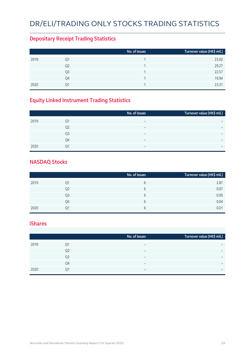# DR/ELI/TRADING ONLY STOCKS TRADING STATISTICS

### **Depositary Receipt Trading Statistics**

|      |                | No. of issues | Turnover value (HK\$ mil.) |
|------|----------------|---------------|----------------------------|
| 2019 | Q1             |               | 23.02                      |
|      | Q <sub>2</sub> |               | 29.27                      |
|      | Q3             |               | 22.57                      |
|      | Q4             |               | 19.94                      |
| 2020 | 01             |               | 23.21                      |

### **Equity Linked Instrument Trading Statistics**

|      |                | No. of issues            | Turnover value (HK\$ mil.) |
|------|----------------|--------------------------|----------------------------|
| 2019 | Q1             |                          |                            |
|      | Q <sub>2</sub> | $\overline{\phantom{0}}$ | $\overline{\phantom{0}}$   |
|      | Q <sub>3</sub> | $\overline{\phantom{0}}$ | $\overline{\phantom{0}}$   |
|      | Q4             | $\overline{\phantom{0}}$ |                            |
| 2020 | 01             |                          | $\overline{\phantom{0}}$   |

#### **NASDAQ Stocks**

|      |                | No. of issues | Turnover value (HK\$ mil.) |
|------|----------------|---------------|----------------------------|
| 2019 | Q1             | b             | 2.87                       |
|      | Q <sub>2</sub> | b             | 0.07                       |
|      | Q3             | b             | 0.00                       |
|      | Q4             | b             | 0.04                       |
| 2020 | Q1             | h             | 0.01                       |

#### **iShares**

|      |    | No. of issues            | Turnover value (HK\$ mil.) |
|------|----|--------------------------|----------------------------|
| 2019 | 01 |                          | $\overline{\phantom{0}}$   |
|      | Q2 |                          | $\overline{\phantom{0}}$   |
|      | Q3 | -                        | $\overline{\phantom{0}}$   |
|      | O4 | $\overline{\phantom{0}}$ | $\overline{\phantom{0}}$   |
| 2020 | Q1 | -                        | $\overline{\phantom{0}}$   |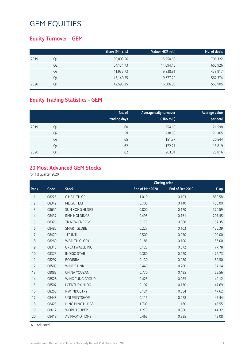### **Equity Turnover – GEM**

|      |    | Share (Mil. shs) | Value (HK\$ mil.) | No. of deals |
|------|----|------------------|-------------------|--------------|
| 2019 | Q1 | 50,803.56        | 15,250.68         | 706,122      |
|      | Q2 | 54,134.73        | 14,094.16         | 665,926      |
|      | Q3 | 41,935.73        | 9,838.81          | 478,917      |
|      | Q4 | 43,140.55        | 10,677.20         | 567,374      |
| 2020 | 01 | 42,596.35        | 16,306.86         | 565,905      |

### **Equity Trading Statistics – GEM**

|      |                | No. of<br>trading days | Average daily turnover<br>(HK\$ mil.) | Average value<br>per deal |
|------|----------------|------------------------|---------------------------------------|---------------------------|
| 2019 | Q1             | 60                     | 254.18                                | 21,598                    |
|      | Q <sub>2</sub> | 59                     | 238.88                                | 21,165                    |
|      | Q <sub>3</sub> | 65                     | 151.37                                | 20,544                    |
|      | Q4             | 62                     | 172.21                                | 18,819                    |
| 2020 | Q1             | 62                     | 263.01                                | 28,816                    |

#### **20 Most Advanced GEM Stocks**

for 1st quarter 2020

|                |       |                        |                 | <b>Closing price</b> |        |
|----------------|-------|------------------------|-----------------|----------------------|--------|
| Rank           | Code  | <b>Stock</b>           | End of Mar 2020 | End of Dec 2019      | $%$ up |
| 1              | 08225 | C HEALTH GP            | 1.010           | 0.103                | 880.58 |
| $\overline{2}$ | 08349 | MEIGU TECH             | 0.700           | 0.140                | 400.00 |
| 3              | 08631 | <b>SUN KONG HLDGS</b>  | 0.800           | 0.170                | 370.59 |
| 4              | 08437 | RMH HOLDINGS           | 0.495           | 0.161                | 207.45 |
| 5              | 08326 | TK NEW ENERGY          | 0.175           | 0.068                | 157.35 |
| 6              | 08485 | <b>SMART GLOBE</b>     | 0.227           | 0.103                | 120.39 |
| 7              | 08479 | <b>JTF INTL</b>        | 0.500           | 0.250                | 100.00 |
| 8              | 08269 | <b>WEALTH GLORY</b>    | 0.186           | 0.100                | 86.00  |
| 9              | 08315 | <b>GREATWALLE INC</b>  | 0.128           | 0.072                | 77.78  |
| 10             | 08373 | <b>INDIGO STAR</b>     | 0.380           | 0.220                | 72.73  |
| 11             | 08297 | <b>BODIBRA</b>         | 0.130           | 0.080                | 62.50  |
| 12             | 08509 | <b>WINE'S LINK</b>     | 0.440           | 0.280                | 57.14  |
| 13             | 08083 | <b>CHINA YOUZAN</b>    | 0.770           | 0.495                | 55.56  |
| 14             | 08526 | WING FUNG GROUP        | 0.425           | 0.285                | 49.12  |
| 15             | 08507 | <b>I.CENTURY HLDG</b>  | 0.192           | 0.130                | 47.69  |
| 16             | 08258 | <b>NW INDUSTRY</b>     | 0.124           | 0.084                | 47.62  |
| 17             | 08448 | <b>UNI PRINTSHOP</b>   | 0.115           | 0.078                | 47.44  |
| 18             | 08425 | <b>HING MING HLDGS</b> | 1.700           | 1.160                | 46.55  |
| 19             | 08612 | <b>WORLD SUPER</b>     | 1.270           | 0.880                | 44.32  |
| 20             | 08419 | AV PROMOTIONS          | 0.465           | 0.325                | 43.08  |

A Adjusted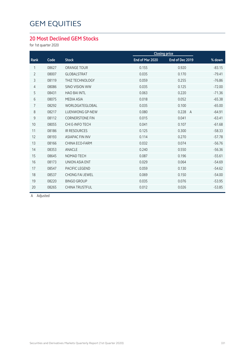### **20 Most Declined GEM Stocks**

for 1st quarter 2020

|                |       |                        |                 | <b>Closing price</b>    |          |
|----------------|-------|------------------------|-----------------|-------------------------|----------|
| Rank           | Code  | <b>Stock</b>           | End of Mar 2020 | End of Dec 2019         | % down   |
| 1              | 08627 | ORANGE TOUR            | 0.155           | 0.920                   | $-83.15$ |
| $\overline{2}$ | 08007 | <b>GLOBALSTRAT</b>     | 0.035           | 0.170                   | $-79.41$ |
| 3              | 08119 | <b>THIZ TECHNOLOGY</b> | 0.059           | 0.255                   | $-76.86$ |
| $\overline{4}$ | 08086 | <b>SINO VISION WW</b>  | 0.035           | 0.125                   | $-72.00$ |
| 5              | 08431 | <b>HAO BAI INTL</b>    | 0.063           | 0.220                   | $-71.36$ |
| 6              | 08075 | <b>MEDIA ASIA</b>      | 0.018           | 0.052                   | $-65.38$ |
| $\overline{7}$ | 08292 | WORLDGATEGLOBAL        | 0.035           | 0.100                   | $-65.00$ |
| 8              | 08217 | <b>LUENWONG GP-NEW</b> | 0.080           | 0.228<br>$\overline{A}$ | $-64.91$ |
| 9              | 08112 | <b>CORNERSTONE FIN</b> | 0.015           | 0.041                   | $-63.41$ |
| 10             | 08055 | CHI E-INFO TECH        | 0.041           | 0.107                   | $-61.68$ |
| 11             | 08186 | <b>IR RESOURCES</b>    | 0.125           | 0.300                   | $-58.33$ |
| 12             | 08193 | <b>ASIAPAC FIN INV</b> | 0.114           | 0.270                   | $-57.78$ |
| 13             | 08166 | CHINA ECO-FARM         | 0.032           | 0.074                   | $-56.76$ |
| 14             | 08353 | ANACLE                 | 0.240           | 0.550                   | $-56.36$ |
| 15             | 08645 | NOMAD TECH             | 0.087           | 0.196                   | $-55.61$ |
| 16             | 08173 | <b>UNION ASIA ENT</b>  | 0.029           | 0.064                   | $-54.69$ |
| 17             | 08547 | PACIFIC LEGEND         | 0.059           | 0.130                   | $-54.62$ |
| 18             | 08537 | <b>CHONG FAI JEWEL</b> | 0.069           | 0.150                   | $-54.00$ |
| 19             | 08220 | <b>BINGO GROUP</b>     | 0.035           | 0.076                   | $-53.95$ |
| 20             | 08265 | <b>CHINA TRUSTFUL</b>  | 0.012           | 0.026                   | $-53.85$ |
|                |       |                        |                 |                         |          |

A Adjusted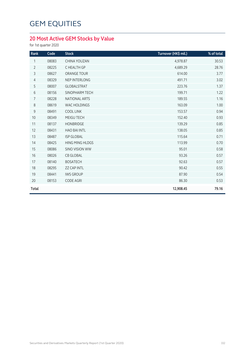### **20 Most Active GEM Stocks by Value**

for 1st quarter 2020

| Rank           | Code  | <b>Stock</b>           | Turnover (HK\$ mil.) | % of total |
|----------------|-------|------------------------|----------------------|------------|
| 1              | 08083 | CHINA YOUZAN           | 4,978.87             | 30.53      |
| $\overline{2}$ | 08225 | C HEALTH GP            | 4,689.29             | 28.76      |
| 3              | 08627 | ORANGE TOUR            | 614.00               | 3.77       |
| $\overline{4}$ | 08329 | NEP INTERLONG          | 491.71               | 3.02       |
| 5              | 08007 | <b>GLOBALSTRAT</b>     | 223.76               | 1.37       |
| 6              | 08156 | SINOPHARM TECH         | 199.71               | 1.22       |
| 7              | 08228 | NATIONAL ARTS          | 189.55               | 1.16       |
| 8              | 08619 | <b>WAC HOLDINGS</b>    | 163.09               | 1.00       |
| 9              | 08491 | <b>COOL LINK</b>       | 153.57               | 0.94       |
| 10             | 08349 | MEIGU TECH             | 152.40               | 0.93       |
| 11             | 08137 | <b>HONBRIDGE</b>       | 139.29               | 0.85       |
| 12             | 08431 | <b>HAO BAI INTL</b>    | 138.05               | 0.85       |
| 13             | 08487 | <b>ISP GLOBAL</b>      | 115.64               | 0.71       |
| 14             | 08425 | <b>HING MING HLDGS</b> | 113.99               | 0.70       |
| 15             | 08086 | <b>SINO VISION WW</b>  | 95.01                | 0.58       |
| 16             | 08026 | <b>CB GLOBAL</b>       | 93.26                | 0.57       |
| 17             | 08140 | <b>BOSATECH</b>        | 92.63                | 0.57       |
| 18             | 08295 | <b>ZZ CAP INTL</b>     | 90.42                | 0.55       |
| 19             | 08441 | <b>IWS GROUP</b>       | 87.90                | 0.54       |
| 20             | 08153 | <b>CODE AGRI</b>       | 86.30                | 0.53       |
| <b>Total</b>   |       |                        | 12,908.45            | 79.16      |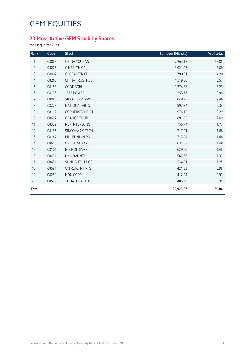### **20 Most Active GEM Stock by Shares**

for 1st quarter 2020

| Rank           | Code  | <b>Stock</b>           | Turnover (Mil. shs) | % of total |
|----------------|-------|------------------------|---------------------|------------|
| 1              | 08083 | CHINA YOUZAN           | 7,263.18            | 17.05      |
| $\overline{2}$ | 08225 | C HEALTH GP            | 3,021.27            | 7.09       |
| 3              | 08007 | <b>GLOBALSTRAT</b>     | 1,790.91            | 4.20       |
| $\overline{4}$ | 08265 | <b>CHINA TRUSTFUL</b>  | 1,519.50            | 3.57       |
| 5              | 08153 | <b>CODE AGRI</b>       | 1,374.88            | 3.23       |
| 6              | 08133 | <b>JETE POWER</b>      | 1,253.78            | 2.94       |
| 7              | 08086 | <b>SINO VISION WW</b>  | 1,048.93            | 2.46       |
| 8              | 08228 | <b>NATIONAL ARTS</b>   | 997.34              | 2.34       |
| 9              | 08112 | <b>CORNERSTONE FIN</b> | 974.15              | 2.29       |
| 10             | 08627 | <b>ORANGE TOUR</b>     | 891.55              | 2.09       |
| 11             | 08329 | NEP INTERLONG          | 755.74              | 1.77       |
| 12             | 08156 | SINOPHARM TECH         | 717.01              | 1.68       |
| 13             | 08147 | MILLENNIUM PG          | 713.94              | 1.68       |
| 14             | 08613 | <b>ORIENTAL PAY</b>    | 631.83              | 1.48       |
| 15             | 08101 | <b>EJE HOLDINGS</b>    | 629.00              | 1.48       |
| 16             | 08431 | <b>HAO BAI INTL</b>    | 567.66              | 1.33       |
| 17             | 08451 | SUNLIGHT HLDGS         | 534.51              | 1.25       |
| 18             | 08591 | ON REAL INT RTS        | 421.33              | 0.99       |
| 19             | 08259 | <b>HON CORP</b>        | 412.04              | 0.97       |
| 20             | 08536 | TL NATURAL GAS         | 405.29              | 0.95       |
| <b>Total</b>   |       |                        | 25,923.87           | 60.86      |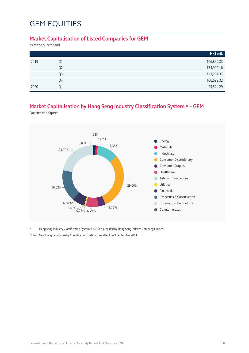#### **Market Capitalisation of Listed Companies for GEM**

as at the quarter end

|      |                | HK\$ mil.  |
|------|----------------|------------|
| 2019 | Q1             | 166,890.33 |
|      | Q <sub>2</sub> | 134,992.16 |
|      | Q <sub>3</sub> | 121,267.37 |
|      | Q4             | 106,699.32 |
| 2020 | Q1             | 95,524.29  |

### **Market Capitalisation by Hang Seng Industry Classification System \* – GEM**

Quarter-end figures



\* Hang Seng Industry Classification System (HSICS) is provided by Hang Seng Indexes Company Limited.

Note: New Hang Seng Industry Classification System took effect on 9 September 2013.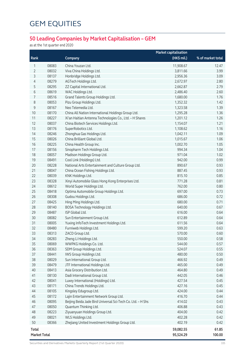### **50 Leading Companies by Market Capitalisation – GEM**

as at the 1st quarter end 2020

|                     |                |                                                             | <b>Market capitalisation</b> |                   |
|---------------------|----------------|-------------------------------------------------------------|------------------------------|-------------------|
| Rank                |                | Company                                                     | (HK\$ mil.)                  | % of market total |
| 1                   | 08083          | China Youzan Ltd.                                           | 11,908.67                    | 12.47             |
| 2                   | 08032          | Viva China Holdings Ltd.                                    | 3,811.66                     | 3.99              |
| 3                   | 08137          | Honbridge Holdings Ltd.                                     | 2,956.36                     | 3.09              |
| 4                   | 08279          | AGTech Holdings Ltd.                                        | 2,672.97                     | 2.80              |
| 5                   | 08295          | ZZ Capital International Ltd.                               | 2,662.87                     | 2.79              |
| 6                   | 08619          | WAC Holdings Ltd.                                           | 2,486.40                     | 2.60              |
| 7                   | 08516          | Grand Talents Group Holdings Ltd.                           | 1,680.00                     | 1.76              |
| 8                   | 08053          | Pizu Group Holdings Ltd.                                    | 1,352.32                     | 1.42              |
| 9                   | 08167          | Neo Telemedia Ltd.                                          | 1,323.58                     | 1.39              |
| 10                  | 08170          | China All Nation International Holdings Group Ltd.          | 1,295.28                     | 1.36              |
| 11                  | 08227          | Xi'an Haitian Antenna Technologies Co., Ltd. - H Shares     | 1,201.12                     | 1.26              |
| 12                  | 08037          | China Biotech Services Holdings Ltd.                        | 1,154.07                     | 1.21              |
| 13                  | 08176          | SuperRobotics Ltd.                                          | 1,108.62                     | 1.16              |
| 14                  | 08246          | Zhonghua Gas Holdings Ltd.                                  | 1,042.11                     | 1.09              |
| 15                  | 08026          | China Brilliant Global Ltd.                                 | 1,015.67                     | 1.06              |
| 16                  | 08225          | China Health Group Inc.                                     | 1,002.70                     | 1.05              |
| 17                  | 08156          | Sinopharm Tech Holdings Ltd.                                | 994.34                       | 1.04              |
| 18                  | 08057          | Madison Holdings Group Ltd.                                 | 971.04                       | 1.02              |
| 19                  | 08491          | Cool Link (Holdings) Ltd.                                   | 942.00                       | 0.99              |
| 20                  | 08228          |                                                             | 890.67                       | 0.93              |
|                     |                | National Arts Entertainment and Culture Group Ltd.          |                              | 0.93              |
| 21                  | 08047          | China Ocean Fishing Holdings Ltd.                           | 887.45                       | 0.85              |
| 22                  | 08039          | KNK Holdings Ltd.                                           | 815.10                       |                   |
| 23                  | 08328<br>08612 | Xinyi Automobile Glass Hong Kong Enterprises Ltd.           | 771.28                       | 0.81              |
| 24                  | 08418          | World Super Holdings Ltd.                                   | 762.00<br>697.00             | 0.80              |
| 25                  |                | Optima Automobile Group Holdings Ltd.                       |                              | 0.73              |
| 26                  | 08308          | Gudou Holdings Ltd.                                         | 686.00                       | 0.72              |
| 27                  | 08425          | Hing Ming Holdings Ltd.                                     | 680.00                       | 0.71              |
| 28                  | 08140          | BOSA Technology Holdings Ltd.                               | 640.00                       | 0.67              |
| 29                  | 08487          | ISP Global Ltd.                                             | 616.00                       | 0.64              |
| 30                  | 08082          | Sun Entertainment Group Ltd.                                | 612.89                       | 0.64              |
| 31                  | 08005          | Yuxing InfoTech Investment Holdings Ltd.                    | 611.56                       | 0.64              |
| 32                  | 08480          | Furniweb Holdings Ltd.                                      | 599.20                       | 0.63              |
| 33                  | 08313          | ZACD Group Ltd.                                             | 570.00                       | 0.60              |
| 34                  | 08283          | Zheng Li Holdings Ltd.                                      | 550.00                       | 0.58              |
| 35                  | 08069          | WWPKG Holdings Co. Ltd.                                     | 544.00                       | 0.57              |
| 36                  | 08363          | SDM Group Holdings Ltd.                                     | 524.07                       | 0.55              |
| 37                  | 08441          | IWS Group Holdings Ltd.                                     | 480.00                       | 0.50              |
| 38                  | 08029          | Sun International Group Ltd.                                | 466.92                       | 0.49              |
| 39                  | 08479          | JTF International Holdings Ltd.                             | 465.00                       | 0.49              |
| $40\,$              | 08413          | Asia Grocery Distribution Ltd.                              | 464.80                       | 0.49              |
| 41                  | 08130          | Dadi International Group Ltd.                               | 442.05                       | 0.46              |
| 42                  | 08041          | Luxey International (Holdings) Ltd.                         | 427.54                       | 0.45              |
| 43                  | 08171          | China Trends Holdings Ltd.                                  | 427.16                       | 0.45              |
| $44$                | 08105          | Kingsley Edugroup Ltd.                                      | 424.00                       | 0.44              |
| 45                  | 08172          | Lajin Entertainment Network Group Ltd.                      | 416.70                       | 0.44              |
| 46                  | 08095          | Beijing Beida Jade Bird Universal Sci-Tech Co. Ltd. - H Shs | 414.02                       | 0.43              |
| 47                  | 08050          | Quantum Thinking Ltd.                                       | 406.88                       | 0.43              |
| 48                  | 08223          | Ziyuanyuan Holdings Group Ltd.                              | 404.00                       | 0.42              |
| 49                  | 08021          | WLS Holdings Ltd.                                           | 402.28                       | 0.42              |
| 50                  | 08366          | Zhejiang United Investment Holdings Group Ltd.              | 402.19                       | 0.42              |
| Total               |                |                                                             | 59,082.55                    | 61.85             |
| <b>Market Total</b> |                |                                                             | 95,524.29                    | 100.00            |

Securities and Derivatives Markets Quarterly Report (1st Quarter 2020) 335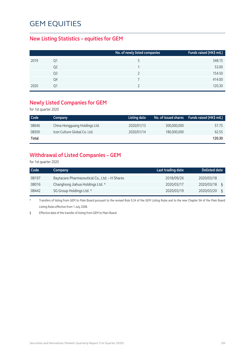#### **New Listing Statistics – equities for GEM**

|      |    | No. of newly listed companies | Funds raised (HK\$ mil.) |
|------|----|-------------------------------|--------------------------|
| 2019 | Q1 |                               | 348.15                   |
|      | Q2 |                               | 53.00                    |
|      | Q3 |                               | 154.50                   |
|      | Q4 |                               | 414.00                   |
| 2020 | Ο1 |                               | 120.30                   |

#### **Newly Listed Companies for GEM**

for 1st quarter 2020

| Code  | Company                       | Listing date |             | No. of issued shares Funds raised (HK\$ mil.) |
|-------|-------------------------------|--------------|-------------|-----------------------------------------------|
| 08646 | China Hongguang Holdings Ltd. | 2020/01/13   | 300.000.000 | 57.75                                         |
| 08500 | Icon Culture Global Co. Ltd.  | 2020/01/14   | 180,000,000 | 62.55                                         |
| Total |                               |              |             | 120.30                                        |

### **Withdrawal of Listed Companies – GEM**

for 1st quarter 2020

| Code  | Company                                       | Last trading date | <b>Delisted date</b> |
|-------|-----------------------------------------------|-------------------|----------------------|
| 08197 | Baytacare Pharmaceutical Co., Ltd. - H Shares | 2018/09/26        | 2020/03/18           |
| 08016 | Changhong Jiahua Holdings Ltd. *              | 2020/03/17        | 2020/03/18           |
| 08442 | SG Group Holdings Ltd. *                      | 2020/03/19        | 2020/03/20           |

\* Transfers of listing from GEM to Main Board pursuant to the revised Rule 9.24 of the GEM Listing Rules and to the new Chapter 9A of the Main Board Listing Rules effective from 1 July 2008.

§ Effective date of the transfer of listing from GEM to Main Board.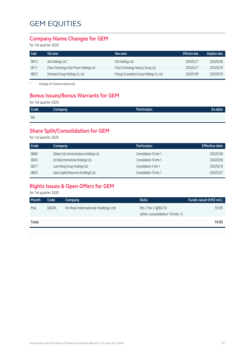#### **Company Name Changes for GEM**

for 1st quarter 2020

| Code  | Old name                                   | New name                                    | <b>Effective date</b> | <b>Adoption date</b> |
|-------|--------------------------------------------|---------------------------------------------|-----------------------|----------------------|
| 08513 | IAG Holdings Ltd. #                        | IAG Holdings Ltd.                           | 2020/02/17            | 2020/03/06           |
| 08111 | China Technology Solar Power Holdings Ltd. | China Technology Industry Group Ltd.        | 2020/02/17            | 2020/03/18           |
| 08537 | Dominate Group Holdings Co. Ltd.           | Chong Fai Jewellery Group Holdings Co. Ltd. | 2020/01/09            | 2020/03/18           |

# Change of Chinese name only

### **Bonus Issues/Bonus Warrants for GEM**

for 1st quarter 2020

| Code | <b>Company</b> | <b>Particulars</b> | Ex-date |
|------|----------------|--------------------|---------|
| Nil  |                |                    |         |

### **Share Split/Consolidation for GEM**

for 1st quarter 2020

| Code  | Company                                  | <b>Particulars</b>      | <b>Effective date</b> |
|-------|------------------------------------------|-------------------------|-----------------------|
| 08060 | Global Link Communications Holdings Ltd. | Consolidation 10 into 1 | 2020/01/08            |
| 08245 | On Real International Holdings Ltd.      | Consolidation 10 into 1 | 2020/02/06            |
| 08217 | Luen Wong Group Holdings Ltd.            | Consolidation 4 into 1  | 2020/03/18            |
| 08025 | Asian Capital Resources (Holdings) Ltd.  | Consolidation 10 into 1 | 2020/03/27            |

### **Rights Issues & Open Offers for GEM**

for 1st quarter 2020

| Month | Code  | Company                             | Ratio                           | Funds raised (HK\$ mil.) |
|-------|-------|-------------------------------------|---------------------------------|--------------------------|
| Mar   | 08245 | On Real International Holdings Ltd. | Rts 1 for 2 @\$0.10             | 19.95                    |
|       |       |                                     | (after consolidation 10 into 1) |                          |
| Total |       |                                     |                                 | 19.95                    |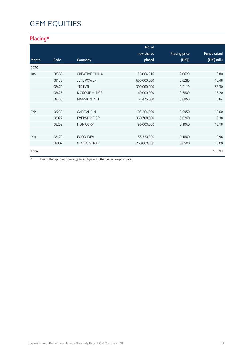### **Placing\***

|              |       |                       | No. of      |                      |                     |
|--------------|-------|-----------------------|-------------|----------------------|---------------------|
|              |       |                       | new shares  | <b>Placing price</b> | <b>Funds raised</b> |
| Month        | Code  | Company               | placed      | (HK\$)               | (HK\$ mil.)         |
| 2020         |       |                       |             |                      |                     |
| Jan          | 08368 | <b>CREATIVE CHINA</b> | 158,064,516 | 0.0620               | 9.80                |
|              | 08133 | <b>JETE POWER</b>     | 660,000,000 | 0.0280               | 18.48               |
|              | 08479 | <b>JTF INTL</b>       | 300,000,000 | 0.2110               | 63.30               |
|              | 08475 | <b>K GROUP HLDGS</b>  | 40,000,000  | 0.3800               | 15.20               |
|              | 08456 | <b>MANSION INTL</b>   | 61,476,000  | 0.0950               | 5.84                |
|              |       |                       |             |                      |                     |
| Feb          | 08239 | <b>CAPITAL FIN</b>    | 105,264,000 | 0.0950               | 10.00               |
|              | 08022 | <b>EVERSHINE GP</b>   | 360,708,000 | 0.0260               | 9.38                |
|              | 08259 | <b>HON CORP</b>       | 96,000,000  | 0.1060               | 10.18               |
|              |       |                       |             |                      |                     |
| Mar          | 08179 | <b>FOOD IDEA</b>      | 55,320,000  | 0.1800               | 9.96                |
|              | 08007 | <b>GLOBALSTRAT</b>    | 260,000,000 | 0.0500               | 13.00               |
| <b>Total</b> |       |                       |             |                      | 165.13              |

\* Due to the reporting time-lag, placing figures for the quarter are provisional.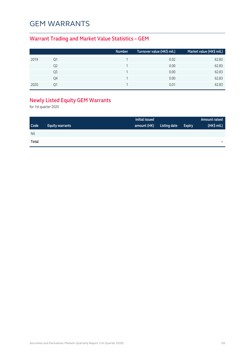## GEM WARRANTS

### **Warrant Trading and Market Value Statistics – GEM**

|    | Number | Turnover value (HK\$ mil.) | Market value (HK\$ mil.) |
|----|--------|----------------------------|--------------------------|
| Ο1 |        | 0.02                       | 62.83                    |
| Q2 |        | 0.00                       | 62.83                    |
| Q3 |        | 0.00                       | 62.83                    |
| Q4 |        | 0.00                       | 62.83                    |
| า1 |        | 0.01                       | 62.83                    |
|    |        |                            |                          |

### **Newly Listed Equity GEM Warrants**

for 1st quarter 2020

|       |                        | Initial issued |              |               | Amount raised |
|-------|------------------------|----------------|--------------|---------------|---------------|
| Code  | <b>Equity warrants</b> | amount (HK)    | Listing date | <b>Expiry</b> | (HK\$ mil.)   |
| Nil   |                        |                |              |               |               |
| Total |                        |                |              |               | -             |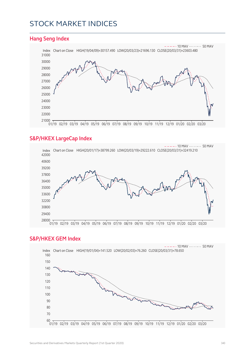### STOCK MARKET INDICES

#### **Hang Seng Index** Index Chart on Close HIGH(19/04/09)=30157.490 LOW(20/03/23)=21696.130 CLOSE(20/03/31)=23603.480  $- - - 10$  MAV  $- - - - - 50$  MAV 01/19 02/19 03/19 04/19 05/19 06/19 07/19 08/19 09/19 10/19 11/19 12/19 01/20 02/20 03/20

#### **S&P/HKEX LargeCap Index**



#### **S&P/HKEX GEM Index**

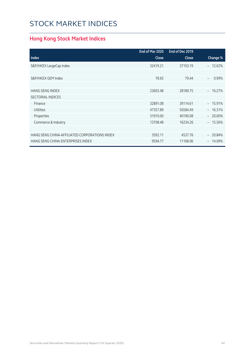# STOCK MARKET INDICES

### **Hong Kong Stock Market Indices**

|                                               | End of Mar 2020 | End of Dec 2019 |                 |
|-----------------------------------------------|-----------------|-----------------|-----------------|
| <b>Index</b>                                  | <b>Close</b>    | Close           | Change %        |
| S&P/HKEX LargeCap Index                       | 32419.21        | 37103.19        | $-12.62%$       |
|                                               |                 |                 |                 |
| S&P/HKEX GEM Index                            | 78.65           | 79.44           | 0.99%           |
|                                               |                 |                 |                 |
| <b>HANG SENG INDEX</b>                        | 23603.48        | 28189.75        | 16.27%<br>$ \,$ |
| <b>SECTORIAL INDICES</b>                      |                 |                 |                 |
| Finance                                       | 32891.08        | 39114.61        | $-15.91%$       |
| <b>Utilities</b>                              | 47357.89        | 56584.49        | $-16.31%$       |
| Properties                                    | 31910.00        | 40190.08        | $-20.60%$       |
| Commerce & Industry                           | 13708.48        | 16234.26        | $-15.56%$       |
|                                               |                 |                 |                 |
| HANG SENG CHINA-AFFILIATED CORPORATIONS INDEX | 3592.11         | 4537.76         | 20.84%          |
| HANG SENG CHINA ENTERPRISES INDEX             | 9594.77         | 11168.06        | 14.09%          |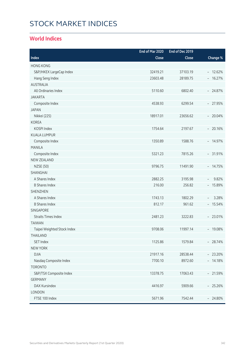# STOCK MARKET INDICES

### **World Indices**

|                             | End of Mar 2020 | End of Dec 2019 |                                   |
|-----------------------------|-----------------|-----------------|-----------------------------------|
| Index                       | Close           | Close           | Change %                          |
| <b>HONG KONG</b>            |                 |                 |                                   |
| S&P/HKEX LargeCap Index     | 32419.21        | 37103.19        | $-12.62%$                         |
| Hang Seng Index             | 23603.48        | 28189.75        | $-16.27%$                         |
| <b>AUSTRALIA</b>            |                 |                 |                                   |
| All Ordinaries Index        | 5110.60         | 6802.40         | $-24.87%$                         |
| <b>JAKARTA</b>              |                 |                 |                                   |
| Composite Index             | 4538.93         | 6299.54         | $-27.95%$                         |
| <b>JAPAN</b>                |                 |                 |                                   |
| Nikkei (225)                | 18917.01        | 23656.62        | $-20.04%$                         |
| <b>KOREA</b>                |                 |                 |                                   |
| KOSPI Index                 | 1754.64         | 2197.67         | $-20.16%$                         |
| <b>KUALA LUMPUR</b>         |                 |                 |                                   |
| Composite Index             | 1350.89         | 1588.76         | $-14.97%$                         |
| <b>MANILA</b>               |                 |                 |                                   |
| Composite Index             | 5321.23         | 7815.26         | $-31.91%$                         |
| <b>NEW ZEALAND</b>          |                 |                 |                                   |
| <b>NZSE (50)</b>            | 9796.75         | 11491.90        | $-14.75%$                         |
| SHANGHAI                    |                 |                 |                                   |
| A Shares Index              | 2882.25         | 3195.98         | 9.82%                             |
| <b>B Shares Index</b>       | 216.00          | 256.82          | $-15.89%$                         |
| <b>SHENZHEN</b>             |                 |                 |                                   |
| A Shares Index              | 1743.13         | 1802.29         | 3.28%<br>$\overline{\phantom{a}}$ |
| <b>B Shares Index</b>       | 812.17          | 961.62          | $-15.54%$                         |
| <b>SINGAPORE</b>            |                 |                 |                                   |
| <b>Straits Times Index</b>  | 2481.23         | 3222.83         | $-23.01%$                         |
| <b>TAIWAN</b>               |                 |                 |                                   |
| Taipei Weighted Stock Index | 9708.06         | 11997.14        | $-19.08%$                         |
| THAII AND                   |                 |                 |                                   |
| <b>SET Index</b>            | 1125.86         | 1579.84         | $-28.74%$                         |
| <b>NEW YORK</b>             |                 |                 |                                   |
| <b>DJIA</b>                 | 21917.16        | 28538.44        | $-23.20%$                         |
| Nasdaq Composite Index      | 7700.10         | 8972.60         | $-14.18%$                         |
| <b>TORONTO</b>              |                 |                 |                                   |
| S&P/TSX Composite Index     | 13378.75        | 17063.43        | $-21.59%$                         |
| <b>GERMANY</b>              |                 |                 |                                   |
| DAX Kursindex               | 4416.97         | 5909.66         | $-25.26%$                         |
| LONDON                      |                 |                 |                                   |
| FTSE 100 Index              | 5671.96         | 7542.44         | $-24.80\%$                        |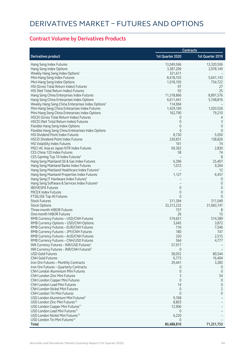### **Contract Volume by Derivatives Products**

|                                                                                                 |                  | <b>Contracts</b>              |
|-------------------------------------------------------------------------------------------------|------------------|-------------------------------|
| <b>Derivatives product</b>                                                                      | 1st Quarter 2020 | 1st Quarter 2019              |
| Hang Seng Index Futures                                                                         | 13,049,566       | 13,320,506                    |
| Hang Seng Index Options                                                                         | 3,387,206        | 2,978,149                     |
| Weekly Hang Seng Index Options <sup>1</sup>                                                     | 321,611          |                               |
| Mini-Hang Seng Index Futures                                                                    | 8,418,103        | 5,641,143                     |
| Mini-Hang Seng Index Options                                                                    | 1,018,105        | 754,722                       |
| HSI (Gross Total Return Index) Futures                                                          | 97               | 27                            |
| HSI (Net Total Return Index) Futures                                                            | 93               | 25                            |
| Hang Seng China Enterprises Index Futures                                                       | 11,318,866       | 8,891,576                     |
| Hang Seng China Enterprises Index Options                                                       | 6,611,441        | 5,748,816                     |
| Weekly Hang Seng China Enterprises Index Options <sup>2</sup>                                   | 114,904          |                               |
| Mini-Hang Seng China Enterprises Index Futures                                                  | 1,429,169        | 1,020,526                     |
| Mini-Hang Seng China Enterprises Index Options                                                  | 162,790          | 79,210                        |
| HSCEI (Gross Total Return Index) Futures                                                        | 0                | 4                             |
| HSCEI (Net Total Return Index) Futures                                                          | $\mathbf 0$      | $\mathsf 3$                   |
| Flexible Hang Seng Index Options                                                                | $\mathbf 0$      | $\mathbf{0}$                  |
| Flexible Hang Seng China Enterprises Index Options                                              | $\Omega$         | $\overline{0}$                |
| HSI Dividend Point Index Futures                                                                | 8,730            | 5,050                         |
| <b>HSCEI Dividend Point Index Futures</b>                                                       | 230,831          | 138,826                       |
| HSI Volatility Index Futures                                                                    | 161              | 74                            |
| MSCI AC Asia ex Japan NTR Index Futures                                                         | 69,362           | 2,830                         |
| CES China 120 Index Futures                                                                     | 58               | 74                            |
| CES Gaming Top 10 Index Futures <sup>3</sup>                                                    |                  | 8                             |
| Hang Seng Mainland Oil & Gas Index Futures                                                      | 6,396            | 25,407                        |
| Hang Seng Mainland Banks Index Futures                                                          | 1,012            | 9,264                         |
| Hang Seng Mainland Healthcare Index Futures <sup>4</sup>                                        |                  | 12                            |
|                                                                                                 | 1,127            | 6,457                         |
| Hang Seng Mainland Properties Index Futures<br>Hang Seng IT Hardware Index Futures <sup>5</sup> |                  |                               |
| Hang Seng Software & Services Index Futures <sup>6</sup>                                        |                  | $\overline{0}$<br>$\mathbf 0$ |
| <b>IBOVESPA Futures</b>                                                                         | 0                |                               |
| <b>MICEX Index Futures</b>                                                                      | $\mathbf 0$      | $\mathbf 0$<br>$\overline{0}$ |
|                                                                                                 | $\Omega$         | $\Omega$                      |
| FTSE/JSE Top 40 Futures<br><b>Stock Futures</b>                                                 | 311,394          | 311,049                       |
| <b>Stock Options</b>                                                                            | 33, 313, 232     | 31,683,747                    |
| Three-month HIBOR Futures                                                                       | 157              |                               |
| One-month HIBOR Futures                                                                         | 26               | 8<br>15                       |
|                                                                                                 |                  |                               |
| RMB Currency Futures - USD/CNH Futures                                                          | 519,651          | 514,389                       |
| RMB Currency Options - USD/CNH Options                                                          | 3,645            | 3,872                         |
| RMB Currency Futures - EUR/CNH Futures                                                          | 116              | 7,546                         |
| RMB Currency Futures - JPY/CNH Futures                                                          | 180              | 747                           |
| RMB Currency Futures – AUD/CNH Futures                                                          | 320              | 2,515                         |
| RMB Currency Futures - CNH/USD Futures                                                          | 564              | 4,777                         |
| INR Currency Futures - INR/USD Futures7                                                         | 57,917           |                               |
| INR Currency Futures - INR/CNH Futures <sup>8</sup>                                             | 0                |                               |
| <b>USD Gold Futures</b>                                                                         | 58,052           | 80,544                        |
| <b>CNH Gold Futures</b>                                                                         | 6,773            | 16,494                        |
| Iron Ore Futures - Monthly Contracts                                                            | 29,441           | 3,285                         |
| Iron Ore Futures - Quarterly Contracts                                                          | 0                | 0                             |
| <b>CNH London Aluminium Mini Futures</b>                                                        | $\mathbf 0$      | 0                             |
| <b>CNH London Zinc Mini Futures</b>                                                             | 3                | 54                            |
| CNH London Copper Mini Futures                                                                  | $\mathbf 0$      | $\theta$                      |
| <b>CNH London Lead Mini Futures</b>                                                             | 14               | $\mathbf 0$                   |
| <b>CNH London Nickel Mini Futures</b>                                                           | $\mathbf 0$      | 2                             |
| <b>CNH London Tin Mini Futures</b>                                                              | $\mathbf 0$      | 0                             |
| USD London Aluminium Mini Futures <sup>9</sup>                                                  | 9,768            |                               |
| USD London Zinc Mini Futures <sup>10</sup>                                                      | 8,803            |                               |
| USD London Copper Mini Futures <sup>11</sup>                                                    | 12,906           |                               |
| USD London Lead Mini Futures <sup>12</sup>                                                      | 0                |                               |
| USD London Nickel Mini Futures <sup>13</sup>                                                    | 6,220            |                               |
| USD London Tin Mini Futures <sup>14</sup>                                                       | $\Omega$         |                               |
| Total                                                                                           | 80,488,810       | 71,251,753                    |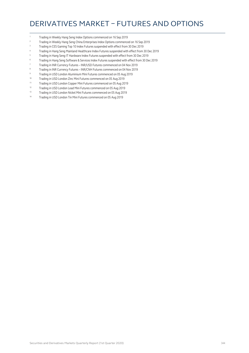### DERIVATIVES MARKET – FUTURES AND OPTIONS

- Trading in Weekly Hang Seng Index Options commenced on 16 Sep 2019
- Trading in Weekly Hang Seng China Enterprises Index Options commenced on 16 Sep 2019
- <sup>3</sup> Trading in CES Gaming Top 10 Index Futures suspended with effect from 30 Dec 2019
- Trading in Hang Seng Mainland Healthcare Index Futures suspended with effect from 30 Dec 2019
- Trading in Hang Seng IT Hardware Index Futures suspended with effect from 30 Dec 2019
- Trading in Hang Seng Software & Services Index Futures suspended with effect from 30 Dec 2019
- Trading in INR Currency Futures INR/USD Futures commenced on 04 Nov 2019
- Trading in INR Currency Futures INR/CNH Futures commenced on 04 Nov 2019
- Trading in USD London Aluminium Mini Futures commenced on 05 Aug 2019
- 10 Trading in USD London Zinc Mini Futures commenced on 05 Aug 2019
- 11 Trading in USD London Copper Mini Futures commenced on 05 Aug 2019<br>Trading in USD London Load Mini Futures commenced on 05 Aug 2019
- Trading in USD London Lead Mini Futures commenced on 05 Aug 2019
- Trading in USD London Nickel Mini Futures commenced on 05 Aug 2019
- 14 Trading in USD London Tin Mini Futures commenced on 05 Aug 2019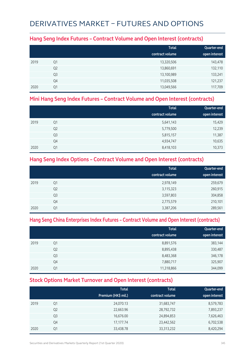## DERIVATIVES MARKET – FUTURES AND OPTIONS

#### **Hang Seng Index Futures – Contract Volume and Open Interest (contracts)**

|      |                | <b>Total</b><br>contract volume | Quarter-end<br>open interest |
|------|----------------|---------------------------------|------------------------------|
| 2019 | Q1             | 13,320,506                      | 143,478                      |
|      | Q <sub>2</sub> | 13,860,691                      | 132,110                      |
|      | Q <sub>3</sub> | 13,100,989                      | 133,241                      |
|      | Q4             | 11,035,508                      | 121,237                      |
| 2020 | Q1             | 13,049,566                      | 117,709                      |

#### **Mini Hang Seng Index Futures – Contract Volume and Open Interest (contracts)**

|      |                | <b>Total</b><br>contract volume | Quarter-end<br>open interest |
|------|----------------|---------------------------------|------------------------------|
|      |                |                                 |                              |
| 2019 | Q1             | 5,641,143                       | 15,429                       |
|      | Q <sub>2</sub> | 5,779,500                       | 12,239                       |
|      | Q <sub>3</sub> | 5,815,157                       | 11,387                       |
|      | Q4             | 4,934,747                       | 10,635                       |
| 2020 | Q1             | 8,418,103                       | 10,373                       |

### **Hang Seng Index Options – Contract Volume and Open Interest (contracts)**

|      |                | <b>Total</b><br>contract volume | Quarter-end<br>open interest |
|------|----------------|---------------------------------|------------------------------|
| 2019 | Q1             | 2,978,149                       | 259,679                      |
|      | Q <sub>2</sub> | 3,115,323                       | 260,915                      |
|      | Q <sub>3</sub> | 3,597,803                       | 304,858                      |
|      | Q4             | 2,775,579                       | 210,101                      |
| 2020 | Q1             | 3,387,206                       | 289,561                      |

#### **Hang Seng China Enterprises Index Futures – Contract Volume and Open Interest (contracts)**

|      |                | <b>Total</b><br>contract volume | Quarter-end<br>open interest |
|------|----------------|---------------------------------|------------------------------|
| 2019 | Q1             | 8,891,576                       | 383,144                      |
|      | Q <sub>2</sub> | 8,895,438                       | 330,487                      |
|      | Q <sub>3</sub> | 8,483,368                       | 346,178                      |
|      | Q4             | 7,880,717                       | 325,907                      |
| 2020 | Q1             | 11,318,866                      | 344,099                      |

### **Stock Options Market Turnover and Open Interest (contracts)**

|      |                | <b>Total</b><br>Premium (HK\$ mil.) | <b>Total</b><br>contract volume | Quarter-end<br>open interest |
|------|----------------|-------------------------------------|---------------------------------|------------------------------|
| 2019 | Q1             | 24,070.13                           | 31,683,747                      | 8,579,783                    |
|      | Q <sub>2</sub> | 22,663.96                           | 28,792,732                      | 7,893,237                    |
|      | Q3             | 16,676.00                           | 24,894,853                      | 7,626,463                    |
|      | Q4             | 17,177.74                           | 23,442,562                      | 6,702,538                    |
| 2020 | Q1             | 33,438.78                           | 33, 313, 232                    | 8,420,294                    |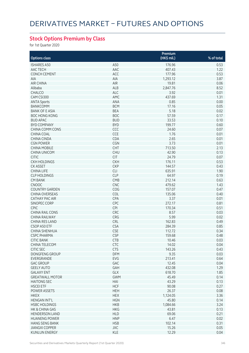### **Stock Options Premium by Class**

for 1st Quarter 2020

|                                        |                          | Premium          |              |
|----------------------------------------|--------------------------|------------------|--------------|
| <b>Options class</b>                   |                          | (HK\$ mil.)      | % of total   |
| <b>ISHARES A50</b>                     | A50                      | 176.96           | 0.53         |
| AAC TECH                               | AAC                      | 407.43           | 1.22         |
| <b>CONCH CEMENT</b>                    | ACC                      | 177.96           | 0.53         |
| <b>AIA</b>                             | AIA                      | 1,293.12         | 3.87         |
| <b>AIR CHINA</b>                       | AIR                      | 19.81            | 0.06         |
| Alibaba                                | ALB                      | 2,847.76         | 8.52         |
| <b>CHALCO</b>                          | ALC                      | 3.92             | 0.01         |
| CAM CSI300                             | AMC                      | 437.69           | 1.31         |
| <b>ANTA Sports</b>                     | ANA                      | 0.85             | 0.00         |
| <b>BANKCOMM</b>                        | <b>BCM</b>               | 17.16            | 0.05         |
| <b>BANK OF E ASIA</b>                  | <b>BEA</b>               | 5.18             | 0.02         |
| <b>BOC HONG KONG</b>                   | <b>BOC</b>               | 57.59            | 0.17         |
| <b>BUD APAC</b>                        | <b>BUD</b>               | 33.53            | 0.10         |
| <b>BYD COMPANY</b>                     | <b>BYD</b>               | 199.77           | 0.60         |
| CHINA COMM CONS                        | CCC                      | 24.60            | 0.07         |
| <b>CHINA COAL</b>                      | CCE                      | 1.76             | 0.01         |
| CHINA CINDA                            | CDA                      | 2.65             | 0.01         |
| <b>CGN POWER</b>                       | CGN                      | 3.73             | 0.01         |
| <b>CHINA MOBILE</b>                    | <b>CHT</b>               | 713.50           | 2.13         |
| <b>CHINA UNICOM</b>                    | <b>CHU</b>               | 42.90            | 0.13         |
| <b>CITIC</b>                           | <b>CIT</b>               | 24.79            | 0.07         |
| <b>CKH HOLDINGS</b>                    | <b>CKH</b>               | 176.11           | 0.53         |
| <b>CK ASSET</b>                        | <b>CKP</b>               | 144.57           | 0.43         |
| <b>CHINA LIFE</b>                      | <b>CLI</b>               | 635.91           | 1.90         |
| <b>CLP HOLDINGS</b>                    | <b>CLP</b>               | 64.97            | 0.19         |
| <b>CM BANK</b>                         | CMB                      | 212.14           | 0.63         |
| <b>CNOOC</b>                           | <b>CNC</b>               | 479.62           | 1.43         |
| <b>COUNTRY GARDEN</b>                  | COG                      | 157.07           | 0.47         |
| <b>CHINA OVERSEAS</b>                  | COL                      | 135.06           | 0.40         |
| <b>CATHAY PAC AIR</b>                  | CPA                      | 3.37             | 0.01         |
| SINOPEC CORP                           | CPC                      | 272.17           | 0.81         |
| <b>CPIC</b>                            | <b>CPI</b>               | 170.34           | 0.51         |
| <b>CHINA RAIL CONS</b>                 | CRC                      | 8.57             |              |
| <b>CHINA RAILWAY</b>                   | CRG                      | 5.99             | 0.03<br>0.02 |
| CHINA RES LAND                         | CRL                      | 162.83           | 0.49         |
| CSOP A50 ETF                           | <b>CSA</b>               | 284.39           | 0.85         |
| <b>CHINA SHENHUA</b>                   | <b>CSE</b>               | 112.72           | 0.34         |
| <b>CSPC PHARMA</b>                     | <b>CSP</b>               | 159.68           | 0.48         |
|                                        |                          |                  |              |
| CHIC BANK<br>CHINA TELECOM             | <b>CIR</b><br><b>CTC</b> | 10.46<br>14.02   | 0.03<br>0.04 |
| <b>CITIC SEC</b>                       | <b>CTS</b>               | 143.26           | 0.43         |
| DONGFENG GROUP                         | <b>DFM</b>               | 9.35             | 0.03         |
|                                        | EVG                      |                  | 0.64         |
| EVERGRANDE<br><b>GAC GROUP</b>         | GAC                      | 213.41<br>12.45  | 0.04         |
|                                        |                          |                  |              |
| <b>GEELY AUTO</b><br><b>GALAXY ENT</b> | GAH<br>GLX               | 432.08<br>618.70 | 1.29<br>1.85 |
| <b>GREATWALL MOTOR</b>                 | <b>GWM</b>               | 45.49            | 0.14         |
| <b>HAITONG SEC</b>                     |                          | 43.29            | 0.13         |
| <b>HSCEI ETF</b>                       | HAI<br><b>HCF</b>        | 90.08            | 0.27         |
|                                        |                          |                  |              |
| POWER ASSETS                           | <b>HEH</b>               | 26.37            | 0.08         |
| <b>HKEX</b>                            | <b>HEX</b>               | 1,124.05         | 3.36         |
| <b>HENGAN INT'L</b>                    | <b>HGN</b>               | 45.80            | 0.14         |
| <b>HSBC HOLDINGS</b>                   | <b>HKB</b>               | 1,084.66         | 3.24         |
| HK & CHINA GAS                         | <b>HKG</b>               | 43.81            | 0.13         |
| <b>HENDERSON LAND</b>                  | <b>HLD</b>               | 69.06            | 0.21         |
| <b>HUANENG POWER</b>                   | <b>HNP</b>               | 6.47             | 0.02         |
| <b>HANG SENG BANK</b>                  | <b>HSB</b>               | 102.14           | 0.31         |
| <b>JIANGXI COPPER</b>                  | JXC                      | 15.26            | 0.05         |
| <b>KUNLUN ENERGY</b>                   | KLE                      | 12.29            | 0.04         |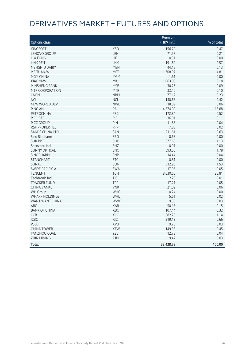# DERIVATIVES MARKET – FUTURES AND OPTIONS

|                           |            | Premium               |            |
|---------------------------|------------|-----------------------|------------|
| <b>Options class</b>      |            | $(HK\frac{1}{2}mil.)$ | % of total |
| <b>KINGSOFT</b>           | <b>KSO</b> | 156.70                | 0.47       |
| <b>LENOVO GROUP</b>       | LEN        | 71.57                 | 0.21       |
| LI & FUNG                 | LIF        | 0.31                  | 0.00       |
| <b>LINK REIT</b>          | <b>LNK</b> | 191.69                | 0.57       |
| <b>MENGNIU DAIRY</b>      | <b>MEN</b> | 44.15                 | 0.13       |
| <b>MEITUAN-W</b>          | MET        | 1,608.97              | 4.81       |
| MGM CHINA                 | <b>MGM</b> | 1.61                  | 0.00       |
| XIAOMI-W                  | <b>MIU</b> | 1,063.08              | 3.18       |
| <b>MINSHENG BANK</b>      | <b>MSB</b> | 30.26                 | 0.09       |
| MTR CORPORATION           | <b>MTR</b> | 33.40                 | 0.10       |
| <b>CNBM</b>               | <b>NBM</b> | 77.12                 | 0.23       |
| <b>NCI</b>                | <b>NCL</b> | 140.68                | 0.42       |
| NEW WORLD DEV             | <b>NWD</b> | 18.89                 | 0.06       |
| <b>PING AN</b>            | PAI        | 4,574.00              | 13.68      |
| <b>PETROCHINA</b>         | PEC        | 172.84                | 0.52       |
| PICC P&C                  | PIC        | 36.01                 | 0.11       |
| PICC GROUP                | PIN        | 11.83                 | 0.04       |
| <b>R&amp;F PROPERTIES</b> | <b>RFP</b> | 7.85                  | 0.02       |
| <b>SANDS CHINA LTD</b>    | SAN        | 211.61                | 0.63       |
| Sino Biopharm             | <b>SBO</b> | 0.68                  | 0.00       |
| <b>SHK PPT</b>            | <b>SHK</b> | 377.60                | 1.13       |
| Shenzhou Intl             | SHZ        | 0.91                  | 0.00       |
| <b>SUNNY OPTICAL</b>      | SNO        | 593.58                | 1.78       |
| <b>SINOPHARM</b>          | SNP        | 14.44                 | 0.04       |
| <b>STANCHART</b>          | <b>STC</b> | 0.81                  | 0.00       |
| <b>SUNAC</b>              | SUN        | 512.93                | 1.53       |
| <b>SWIRE PACIFIC A</b>    | SWA        | 17.95                 | 0.05       |
| <b>TENCENT</b>            | <b>TCH</b> | 8,630.66              | 25.81      |
| Techtronic Ind            | <b>TIC</b> | 2.23                  | 0.01       |
| <b>TRACKER FUND</b>       | <b>TRF</b> | 17.21                 | 0.05       |
| <b>CHINA VANKE</b>        | <b>VNK</b> | 21.09                 | 0.06       |
| <b>WH</b> Group           | <b>WHG</b> | 0.24                  | 0.00       |
| <b>WHARF HOLDINGS</b>     | WHL        | 5.61                  | 0.02       |
| WANT WANT CHINA           | <b>WWC</b> | 9.35                  | 0.03       |
| <b>ABC</b>                | <b>XAB</b> | 50.15                 | 0.15       |
| <b>BANK OF CHINA</b>      | XBC        | 107.44                | 0.32       |
| CCB                       | XCC        | 382.25                | 1.14       |
| <b>ICBC</b>               | XIC        | 219.13                | 0.66       |
| PSBC                      | <b>XPB</b> | 9.73                  | 0.03       |
| <b>CHINA TOWER</b>        | <b>XTW</b> | 149.33                | 0.45       |
| YANZHOU COAL              | YZC        | 12.78                 | 0.04       |
| <b>ZIJIN MINING</b>       | ZJM        | 9.42                  | 0.03       |
| Total                     |            | 33,438.78             | 100.00     |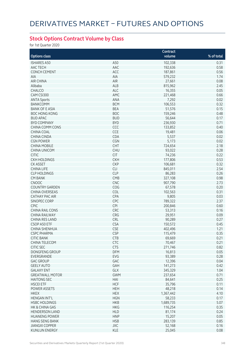### **Stock Options Contract Volume by Class**

for 1st Quarter 2020

|                        |            | Contract  |            |
|------------------------|------------|-----------|------------|
| <b>Options class</b>   |            | volume    | % of total |
| <b>ISHARES A50</b>     | A50        | 102,338   | 0.31       |
| AAC TECH               | AAC        | 192,636   | 0.58       |
| <b>CONCH CEMENT</b>    | ACC        | 187,861   | 0.56       |
| AIA                    | AIA        | 579,232   | 1.74       |
| <b>AIR CHINA</b>       | AIR        | 27,661    | 0.08       |
|                        | ALB        |           | 2.45       |
| Alibaba                |            | 815,962   |            |
| CHALCO                 | ALC        | 16,355    | 0.05       |
| CAM CSI300             | AMC        | 221,468   | 0.66       |
| <b>ANTA Sports</b>     | ANA        | 7,292     | 0.02       |
| <b>BANKCOMM</b>        | <b>BCM</b> | 106,553   | 0.32       |
| <b>BANK OF E ASIA</b>  | <b>BEA</b> | 51,576    | 0.15       |
| <b>BOC HONG KONG</b>   | <b>BOC</b> | 159,246   | 0.48       |
| <b>BUD APAC</b>        | <b>BUD</b> | 56,644    | 0.17       |
| <b>BYD COMPANY</b>     | <b>BYD</b> | 236,930   | 0.71       |
| CHINA COMM CONS        | CCC        | 133,852   | 0.40       |
| <b>CHINA COAL</b>      | <b>CCE</b> | 19,481    | 0.06       |
| <b>CHINA CINDA</b>     | CDA        | 5,537     | 0.02       |
| <b>CGN POWER</b>       | CGN        | 5,173     | 0.02       |
| <b>CHINA MOBILE</b>    | <b>CHT</b> | 724,654   | 2.18       |
| <b>CHINA UNICOM</b>    | <b>CHU</b> | 93,022    | 0.28       |
| <b>CITIC</b>           | <b>CIT</b> | 74,236    | 0.22       |
| <b>CKH HOLDINGS</b>    | <b>CKH</b> | 177,806   | 0.53       |
| <b>CK ASSET</b>        | <b>CKP</b> | 106,681   | 0.32       |
| <b>CHINA LIFE</b>      | <b>CLI</b> | 845,011   | 2.54       |
| <b>CLP HOLDINGS</b>    | <b>CLP</b> | 86,283    | 0.26       |
| <b>CM BANK</b>         | CMB        | 327,108   | 0.98       |
| <b>CNOOC</b>           | <b>CNC</b> | 907,790   | 2.73       |
| <b>COUNTRY GARDEN</b>  | COG        | 67,578    | 0.20       |
| <b>CHINA OVERSEAS</b>  | COL        | 102,563   | 0.31       |
| <b>CATHAY PAC AIR</b>  | CPA        | 9,805     | 0.03       |
| SINOPEC CORP           | CPC        | 789,322   | 2.37       |
| <b>CPIC</b>            | <b>CPI</b> | 200,846   | 0.60       |
| <b>CHINA RAIL CONS</b> | CRC        | 53,313    | 0.16       |
| <b>CHINA RAILWAY</b>   | CRG        | 29,951    | 0.09       |
| CHINA RES LAND         | CRL        | 90,289    | 0.27       |
|                        |            |           |            |
| CSOP A50 ETF           | <b>CSA</b> | 150,572   | 0.45       |
| <b>CHINA SHENHUA</b>   | <b>CSE</b> | 402,496   | 1.21       |
| <b>CSPC PHARMA</b>     | <b>CSP</b> | 115,479   | 0.35       |
| <b>CITIC BANK</b>      | <b>CTB</b> | 69,669    | 0.21       |
| CHINA TELECOM          | <b>CTC</b> | 70,467    | 0.21       |
| <b>CITIC SEC</b>       | <b>CTS</b> | 271,746   | 0.82       |
| DONGFENG GROUP         | <b>DFM</b> | 16,813    | 0.05       |
| EVERGRANDE             | EVG        | 93,389    | 0.28       |
| <b>GAC GROUP</b>       | GAC        | 12,396    | 0.04       |
| <b>GEELY AUTO</b>      | GAH        | 141,273   | 0.42       |
| <b>GALAXY ENT</b>      | GLX        | 345,329   | 1.04       |
| <b>GREATWALL MOTOR</b> | <b>GWM</b> | 237,654   | 0.71       |
| <b>HAITONG SEC</b>     | HAI        | 84,641    | 0.25       |
| <b>HSCEI ETF</b>       | <b>HCF</b> | 35,796    | 0.11       |
| POWER ASSETS           | <b>HEH</b> | 48,218    | 0.14       |
| <b>HKEX</b>            | <b>HEX</b> | 1,367,442 | 4.10       |
| <b>HENGAN INT'L</b>    | <b>HGN</b> | 58,233    | 0.17       |
| <b>HSBC HOLDINGS</b>   | <b>HKB</b> | 1,689,735 | 5.07       |
| HK & CHINA GAS         | <b>HKG</b> | 116,254   | 0.35       |
| <b>HENDERSON LAND</b>  | <b>HLD</b> | 81,174    | 0.24       |
| <b>HUANENG POWER</b>   | <b>HNP</b> | 15,207    | 0.05       |
| <b>HANG SENG BANK</b>  | <b>HSB</b> | 283,139   | 0.85       |
| <b>JIANGXI COPPER</b>  | <b>JXC</b> | 52,168    | 0.16       |
| <b>KUNLUN ENERGY</b>   | KLE        | 25,045    | 0.08       |
|                        |            |           |            |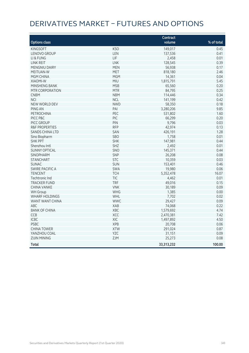# DERIVATIVES MARKET – FUTURES AND OPTIONS

|                           |            | Contract   |            |
|---------------------------|------------|------------|------------|
| <b>Options class</b>      |            | volume     | % of total |
| <b>KINGSOFT</b>           | <b>KSO</b> | 149,017    | 0.45       |
| LENOVO GROUP              | LEN        | 137,536    | 0.41       |
| LI & FUNG                 | LIF        | 2,458      | 0.01       |
| <b>LINK REIT</b>          | <b>LNK</b> | 128,545    | 0.39       |
| MENGNIU DAIRY             | <b>MEN</b> | 56,938     | 0.17       |
| <b>MEITUAN-W</b>          | <b>MET</b> | 818,180    | 2.46       |
| MGM CHINA                 | <b>MGM</b> | 14,361     | 0.04       |
| <b>XIAOMI-W</b>           | <b>MIU</b> | 1,815,791  | 5.45       |
| MINSHENG BANK             | <b>MSB</b> | 65,560     | 0.20       |
| MTR CORPORATION           | <b>MTR</b> | 84,795     | 0.25       |
| <b>CNBM</b>               | <b>NBM</b> | 114,446    | 0.34       |
| <b>NCI</b>                | <b>NCL</b> | 141,199    | 0.42       |
| <b>NEW WORLD DEV</b>      | <b>NWD</b> | 58,350     | 0.18       |
| <b>PING AN</b>            | PAI        | 3,280,206  | 9.85       |
| <b>PETROCHINA</b>         | PEC        | 531,802    | 1.60       |
| PICC P&C                  | PIC        | 66,299     | 0.20       |
| PICC GROUP                | PIN        | 9,796      | 0.03       |
| <b>R&amp;F PROPERTIES</b> | <b>RFP</b> | 42,974     | 0.13       |
| <b>SANDS CHINA LTD</b>    | SAN        | 426,191    | 1.28       |
| Sino Biopharm             | SBO        | 1,758      | 0.01       |
| <b>SHK PPT</b>            | <b>SHK</b> | 147,981    | 0.44       |
| Shenzhou Intl             | SHZ        | 2,492      | 0.01       |
| <b>SUNNY OPTICAL</b>      | SNO        | 145,371    | 0.44       |
| SINOPHARM                 | SNP        | 26,208     | 0.08       |
| <b>STANCHART</b>          | <b>STC</b> | 10,359     | 0.03       |
| <b>SUNAC</b>              | <b>SUN</b> | 153,401    | 0.46       |
| <b>SWIRE PACIFIC A</b>    | SWA        | 19,980     | 0.06       |
| <b>TENCENT</b>            | <b>TCH</b> | 5,352,478  | 16.07      |
| Techtronic Ind            | <b>TIC</b> | 4,462      | 0.01       |
| <b>TRACKER FUND</b>       | <b>TRF</b> | 49,016     | 0.15       |
| <b>CHINA VANKE</b>        | <b>VNK</b> | 30,189     | 0.09       |
| <b>WH</b> Group           | <b>WHG</b> | 1,385      | 0.00       |
| <b>WHARF HOLDINGS</b>     | WHL        | 7,702      | 0.02       |
| <b>WANT WANT CHINA</b>    | <b>WWC</b> | 29,427     | 0.09       |
| <b>ABC</b>                | <b>XAB</b> | 74,068     | 0.22       |
| <b>BANK OF CHINA</b>      | XBC        | 1,579,692  | 4.74       |
| CCB                       | XCC        | 2,470,381  | 7.42       |
| <b>ICBC</b>               | XIC        | 1,497,892  | 4.50       |
| <b>PSBC</b>               | <b>XPB</b> | 20,708     | 0.06       |
| <b>CHINA TOWER</b>        | <b>XTW</b> | 291,024    | 0.87       |
| YANZHOU COAL              | <b>YZC</b> | 31,151     | 0.09       |
| <b>ZIJIN MINING</b>       | ZJM        | 25,273     | 0.08       |
| <b>Total</b>              |            | 33,313,232 | 100.00     |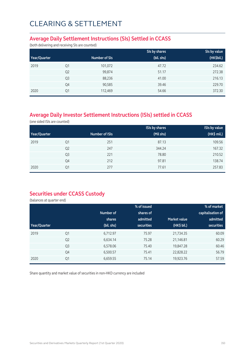#### **Average Daily Settlement Instructions (SIs) Settled in CCASS**

(both delivering and receiving SIs are counted)

|              |                |               | SIs by shares | Sis by value |
|--------------|----------------|---------------|---------------|--------------|
| Year/Quarter |                | Number of SIs | (bil. shs)    | (HK\$bil.)   |
| 2019         | Q1             | 101,072       | 47.72         | 234.62       |
|              | Q <sub>2</sub> | 99,874        | 51.17         | 272.38       |
|              | Q <sub>3</sub> | 88,236        | 41.00         | 216.13       |
|              | Q4             | 90,585        | 39.46         | 229.70       |
| 2020         | Q1             | 112,469       | 54.66         | 372.30       |

### **Average Daily Investor Settlement Instructions (ISIs) settled in CCASS**

(one sided ISIs are counted)

|              |                |                | <b>ISIs by shares</b> | <b>ISIs by value</b> |
|--------------|----------------|----------------|-----------------------|----------------------|
| Year/Quarter |                | Number of ISIs | (Mil shs)             | (HK\$ mil.)          |
| 2019         | Q1             | 251            | 87.13                 | 109.56               |
|              | Q <sub>2</sub> | 247            | 344.24                | 167.32               |
|              | Q <sub>3</sub> | 221            | 78.80                 | 210.52               |
|              | Q4             | 212            | 97.81                 | 138.74               |
| 2020         | Q1             | 277            | 77.61                 | 257.83               |

### **Securities under CCASS Custody**

(balances at quarter end)

|              |                |            | % of issued       |                     | % of market       |
|--------------|----------------|------------|-------------------|---------------------|-------------------|
|              |                | Number of  | shares of         |                     | capitalisation of |
|              |                | shares     | admitted          | <b>Market value</b> | admitted          |
| Year/Quarter |                | (bil. shs) | <b>securities</b> | (HK\$ bil.)         | <b>securities</b> |
| 2019         | Q1             | 6,712.97   | 75.97             | 21,734.35           | 60.09             |
|              | Q <sub>2</sub> | 6,634.14   | 75.28             | 21,146.81           | 60.29             |
|              | Q <sub>3</sub> | 6,578.06   | 75.40             | 19,847.28           | 60.46             |
|              | Q4             | 6,500.57   | 75.41             | 22,828.22           | 56.79             |
| 2020         | Q1             | 6,659.55   | 75.14             | 19,923.76           | 57.59             |

Share quantity and market value of securities in non-HKD currency are included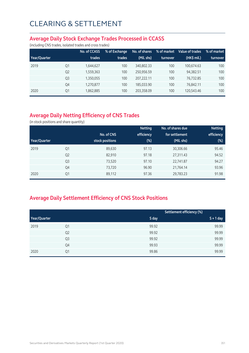#### **Average Daily Stock Exchange Trades Processed in CCASS**

(including CNS trades, isolated trades and cross trades)

|              |                | No. of CCASS | % of Exchange | No. of shares | % of market | Value of trades | % of market |
|--------------|----------------|--------------|---------------|---------------|-------------|-----------------|-------------|
| Year/Quarter |                | trades       | trades        | (Mil. shs)    | turnover    | (HK\$ mil.)     | turnover    |
| 2019         | Q1             | 1,644,627    | 100           | 340.802.33    | 100         | 100.674.63      | 100         |
|              | Q <sub>2</sub> | 1,559,363    | 100           | 250.956.59    | 100         | 94,382.51       | 100         |
|              | Q <sub>3</sub> | 1,350,055    | 100           | 207.222.11    | 100         | 76.732.85       | 100         |
|              | Q4             | 1,270,877    | 100           | 185.033.90    | 100         | 76,842.11       | 100         |
| 2020         | Q1             | 1,862,885    | 100           | 203,358.09    | 100         | 120,543.46      | 100         |

### **Average Daily Netting Efficiency of CNS Trades**

(in stock positions and share quantity)

|              |                |                 | <b>Netting</b> | No. of shares due | <b>Netting</b> |
|--------------|----------------|-----------------|----------------|-------------------|----------------|
|              |                | No. of CNS      | efficiency     | for settlement    | efficiency     |
| Year/Quarter |                | stock positions | $(\%)$         | (Mil. shs)        | (%)            |
| 2019         | Q1             | 89,630          | 97.13          | 30,306.66         | 95.46          |
|              | Q <sub>2</sub> | 82,910          | 97.18          | 27,311.43         | 94.52          |
|              | Q <sub>3</sub> | 73,520          | 97.10          | 22,741.87         | 94.27          |
|              | Q4             | 73,720          | 96.90          | 21,764.14         | 93.96          |
| 2020         | Q1             | 89,112          | 97.36          | 29,783.23         | 91.98          |

### **Average Daily Settlement Efficiency of CNS Stock Positions**

|              |                |       | Settlement efficiency (%) |
|--------------|----------------|-------|---------------------------|
| Year/Quarter |                | S day | $S + 1$ day               |
| 2019         | Q1             | 99.92 | 99.99                     |
|              | Q <sub>2</sub> | 99.92 | 99.99                     |
|              | Q3             | 99.92 | 99.99                     |
|              | Q4             | 99.93 | 99.99                     |
| 2020         | Q1             | 99.86 | 99.99                     |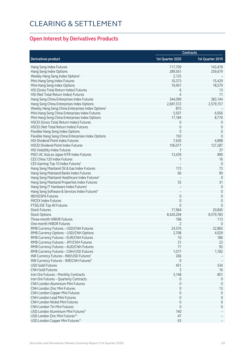### **Open Interest by Derivatives Products**

|                                                               | <b>Contracts</b> |                  |
|---------------------------------------------------------------|------------------|------------------|
| <b>Derivatives product</b>                                    | 1st Quarter 2020 | 1st Quarter 2019 |
| Hang Seng Index Futures                                       | 117,709          | 143,478          |
| Hang Seng Index Options                                       | 289,561          | 259,679          |
| Weekly Hang Seng Index Options <sup>1</sup>                   | 2,125            |                  |
| Mini-Hang Seng Index Futures                                  | 10,373           | 15,429           |
| Mini-Hang Seng Index Options                                  | 19,401           | 18,579           |
| HSI (Gross Total Return Index) Futures                        | 6                | 13               |
| HSI (Net Total Return Index) Futures                          | 4                | 11               |
| Hang Seng China Enterprises Index Futures                     | 344,099          | 383,144          |
| Hang Seng China Enterprises Index Options                     | 2,697,572        | 2,579,157        |
| Weekly Hang Seng China Enterprises Index Options <sup>2</sup> | 875              |                  |
| Mini-Hang Seng China Enterprises Index Futures                | 5,937            | 6,056            |
| Mini-Hang Seng China Enterprises Index Options                | 17,184           | 8,776            |
| HSCEI (Gross Total Return Index) Futures                      | 0                | 0                |
| HSCEI (Net Total Return Index) Futures                        | 0                | 0                |
| Flexible Hang Seng Index Options                              | $\mathbf 0$      | 0                |
| Flexible Hang Seng China Enterprises Index Options            | 150              | $\mathbf 0$      |
| <b>HSI Dividend Point Index Futures</b>                       | 7,630            | 4,898            |
| <b>HSCEI Dividend Point Index Futures</b>                     | 106,017          | 127,287          |
| HSI Volatility Index Futures                                  |                  | 37               |
| MSCI AC Asia ex Japan NTR Index Futures                       | 13,439           | 890              |
| CES China 120 Index Futures                                   |                  | 16               |
| CES Gaming Top 10 Index Futures <sup>3</sup>                  |                  | $\overline{0}$   |
| Hang Seng Mainland Oil & Gas Index Futures                    | 173              | 73               |
| Hang Seng Mainland Banks Index Futures                        | 66               | 90               |
| Hang Seng Mainland Healthcare Index Futures <sup>4</sup>      |                  | $\theta$         |
| Hang Seng Mainland Properties Index Futures                   | 35               | 31               |
| Hang Seng IT Hardware Index Futures <sup>5</sup>              |                  | $\mathbf 0$      |
| Hang Seng Software & Services Index Futures <sup>6</sup>      |                  | 0                |
| <b>IBOVESPA Futures</b>                                       | $\mathbf 0$      | 0                |
| MICEX Index Futures                                           | 0                | 0                |
| FTSE/JSE Top 40 Futures                                       | $\Omega$         | $\mathbf 0$      |
| <b>Stock Futures</b>                                          | 17,964           | 20,845           |
| <b>Stock Options</b>                                          | 8,420,294        | 8,579,783        |
| Three-month HIBOR Futures                                     | 168              | 113              |
| One-month HIBOR Futures                                       |                  | 0                |
| RMB Currency Futures - USD/CNH Futures                        | 24,576           | 32,865           |
| RMB Currency Options - USD/CNH Options                        | 2,708            | 4,029            |
| RMB Currency Futures - EUR/CNH Futures                        | 10               | 186              |
| RMB Currency Futures - JPY/CNH Futures                        | 31               | 23               |
| RMB Currency Futures - AUD/CNH Futures                        | 71               | 92               |
| RMB Currency Futures - CNH/USD Futures                        | 1,017            | 1,182            |
| INR Currency Futures - INR/USD Futures <sup>7</sup>           | 266              |                  |
| INR Currency Futures - INR/CNH Futures <sup>8</sup>           | 0                |                  |
| <b>USD Gold Futures</b>                                       | 451              | 534              |
| <b>CNH Gold Futures</b>                                       | 3                | 16               |
| Iron Ore Futures - Monthly Contracts                          | 3,148            | 851              |
| Iron Ore Futures - Quarterly Contracts                        | 0                | 0                |
| <b>CNH London Aluminium Mini Futures</b>                      | 0                | $\mathbf 0$      |
| <b>CNH London Zinc Mini Futures</b>                           | $\mathbf 0$      | 13               |
| CNH London Copper Mini Futures                                | 0                | $\theta$         |
| <b>CNH London Lead Mini Futures</b>                           | 0                | 0                |
| CNH London Nickel Mini Futures                                | $\mathbf{0}$     | 0                |
| <b>CNH London Tin Mini Futures</b>                            | 0                | 0                |
| USD London Aluminium Mini Futures <sup>9</sup>                | 140              |                  |
| USD London Zinc Mini Futures <sup>10</sup>                    | 47               |                  |
| USD London Copper Mini Futures <sup>11</sup>                  | 63               |                  |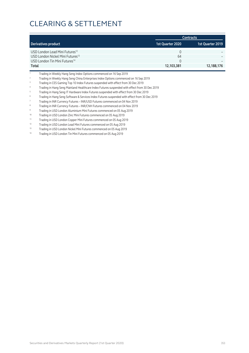|                                              |                  | <b>Contracts</b> |
|----------------------------------------------|------------------|------------------|
| Derivatives product                          | 1st Quarter 2020 | 1st Quarter 2019 |
| USD London Lead Mini Futures <sup>12</sup>   | $\Omega$         |                  |
| USD London Nickel Mini Futures <sup>13</sup> | 64               |                  |
| USD London Tin Mini Futures <sup>14</sup>    | $\Omega$         |                  |
| Total                                        | 12,103,381       | 12,188,176       |

<sup>1</sup> Trading in Weekly Hang Seng Index Options commenced on 16 Sep 2019

<sup>2</sup> Trading in Weekly Hang Seng China Enterprises Index Options commenced on 16 Sep 2019

<sup>3</sup> Trading in CES Gaming Top 10 Index Futures suspended with effect from 30 Dec 2019

<sup>4</sup> Trading in Hang Seng Mainland Healthcare Index Futures suspended with effect from 30 Dec 2019

<sup>5</sup> Trading in Hang Seng IT Hardware Index Futures suspended with effect from 30 Dec 2019

<sup>6</sup> Trading in Hang Seng Software & Services Index Futures suspended with effect from 30 Dec 2019

<sup>7</sup> Trading in INR Currency Futures – INR/USD Futures commenced on 04 Nov 2019

<sup>8</sup> Trading in INR Currency Futures – INR/CNH Futures commenced on 04 Nov 2019

<sup>9</sup> Trading in USD London Aluminium Mini Futures commenced on 05 Aug 2019

10 Trading in USD London Zinc Mini Futures commenced on 05 Aug 2019

11 Trading in USD London Copper Mini Futures commenced on 05 Aug 2019<br>12 Trading in USD London Load Mini Futures commenced on 05 Aug 2019

<sup>12</sup> Trading in USD London Lead Mini Futures commenced on 05 Aug 2019

<sup>13</sup> Trading in USD London Nickel Mini Futures commenced on 05 Aug 2019

<sup>14</sup> Trading in USD London Tin Mini Futures commenced on 05 Aug 2019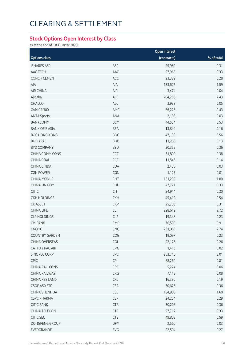#### **Stock Options Open Interest by Class**

as at the end of 1st Quarter 2020

|                       |            | Open interest |            |
|-----------------------|------------|---------------|------------|
| <b>Options class</b>  |            | (contracts)   | % of total |
| <b>ISHARES A50</b>    | A50        | 25,969        | 0.31       |
| AAC TECH              | AAC        | 27,963        | 0.33       |
| CONCH CEMENT          | ACC        | 23,389        | 0.28       |
| AIA                   | AIA        | 133,625       | 1.59       |
| AIR CHINA             | AIR        | 3,474         | 0.04       |
| Alibaba               | ALB        | 204,256       | 2.43       |
| CHALCO                | ALC        | 3,938         | 0.05       |
| CAM CSI300            | AMC        | 36,225        | 0.43       |
| <b>ANTA Sports</b>    | ANA        | 2,198         | 0.03       |
| <b>BANKCOMM</b>       | <b>BCM</b> | 44,534        | 0.53       |
| <b>BANK OF E ASIA</b> | <b>BEA</b> | 13,844        | 0.16       |
| <b>BOC HONG KONG</b>  | <b>BOC</b> | 47,138        | 0.56       |
| <b>BUD APAC</b>       | <b>BUD</b> | 11,268        | 0.13       |
| <b>BYD COMPANY</b>    | <b>BYD</b> | 30,352        | 0.36       |
| CHINA COMM CONS       | CCC        | 31,800        | 0.38       |
| CHINA COAL            | CCE        | 11,546        | 0.14       |
| <b>CHINA CINDA</b>    | CDA        | 2,435         | 0.03       |
| <b>CGN POWER</b>      | CGN        | 1,127         | 0.01       |
| <b>CHINA MOBILE</b>   | CHT        | 151,298       | 1.80       |
| CHINA UNICOM          | <b>CHU</b> | 27,771        | 0.33       |
| <b>CITIC</b>          | <b>CIT</b> | 24,944        | 0.30       |
| <b>CKH HOLDINGS</b>   | <b>CKH</b> | 45,412        | 0.54       |
| <b>CK ASSET</b>       | <b>CKP</b> | 25,703        | 0.31       |
| <b>CHINA LIFE</b>     | CLI        | 228,619       | 2.72       |
| <b>CLP HOLDINGS</b>   | <b>CLP</b> | 19,348        | 0.23       |
| <b>CM BANK</b>        | CMB        | 76,595        | 0.91       |
| CNOOC                 | CNC        | 231,060       | 2.74       |
| <b>COUNTRY GARDEN</b> | COG        | 19,097        | 0.23       |
| CHINA OVERSEAS        | COL        | 22,176        | 0.26       |
| CATHAY PAC AIR        | CPA        | 1,418         | 0.02       |
| SINOPEC CORP          | CPC        | 253,745       | 3.01       |
| CPIC                  | CPI        | 68,260        | 0.81       |
| CHINA RAIL CONS       | CRC        | 5,274         | 0.06       |
| CHINA RAILWAY         | CRG        | 7,113         | 0.08       |
| <b>CHINA RES LAND</b> | CRL        | 16,390        | 0.19       |
| CSOP A50 ETF          | <b>CSA</b> | 30,676        | 0.36       |
| <b>CHINA SHENHUA</b>  | <b>CSE</b> | 134,906       | 1.60       |
| <b>CSPC PHARMA</b>    | <b>CSP</b> | 24,254        | 0.29       |
| <b>CITIC BANK</b>     | <b>CTB</b> | 30,206        | 0.36       |
| CHINA TELECOM         | CTC        | 27,712        | 0.33       |
| CITIC SEC             | <b>CTS</b> | 49,808        | 0.59       |
| DONGFENG GROUP        | <b>DFM</b> | 2,560         | 0.03       |
| EVERGRANDE            | EVG        | 22,594        | 0.27       |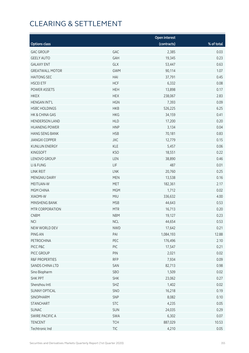|                           |                          | Open interest |            |
|---------------------------|--------------------------|---------------|------------|
| <b>Options class</b>      |                          | (contracts)   | % of total |
| <b>GAC GROUP</b>          | GAC                      | 2,385         | 0.03       |
| <b>GEELY AUTO</b>         | GAH                      | 19,345        | 0.23       |
| <b>GALAXY ENT</b>         | GLX                      | 53,447        | 0.63       |
| <b>GREATWALL MOTOR</b>    | <b>GWM</b>               | 90,114        | 1.07       |
| <b>HAITONG SEC</b>        | HAI                      | 37,791        | 0.45       |
| <b>HSCEI ETF</b>          | <b>HCF</b>               | 6,332         | 0.08       |
| POWER ASSETS              | <b>HEH</b>               | 13,898        | 0.17       |
| <b>HKEX</b>               | <b>HEX</b>               | 238,067       | 2.83       |
| <b>HENGAN INT'L</b>       | <b>HGN</b>               | 7,393         | 0.09       |
| <b>HSBC HOLDINGS</b>      | <b>HKB</b>               | 526,225       | 6.25       |
| HK & CHINA GAS            | <b>HKG</b>               | 34,159        | 0.41       |
| <b>HENDERSON LAND</b>     | <b>HLD</b>               | 17,200        | 0.20       |
| <b>HUANENG POWER</b>      | <b>HNP</b>               | 3,134         | 0.04       |
| <b>HANG SENG BANK</b>     | <b>HSB</b>               | 70,181        | 0.83       |
| <b>JIANGXI COPPER</b>     | JXC                      | 12,779        | 0.15       |
| <b>KUNLUN ENERGY</b>      | KLE                      | 5,457         | 0.06       |
| <b>KINGSOFT</b>           | <b>KSO</b>               | 18,551        | 0.22       |
| LENOVO GROUP              | LEN                      | 38,890        | 0.46       |
| LI & FUNG                 | LIF                      | 487           | 0.01       |
| LINK REIT                 | LNK                      | 20,760        | 0.25       |
| MENGNIU DAIRY             | <b>MEN</b>               | 13,538        | 0.16       |
| MEITUAN-W                 | <b>MET</b>               | 182,361       | 2.17       |
| MGM CHINA                 | <b>MGM</b>               | 1,712         | 0.02       |
| XIAOMI-W                  | <b>MIU</b>               | 336,632       | 4.00       |
| MINSHENG BANK             | <b>MSB</b>               | 44,643        | 0.53       |
| MTR CORPORATION           | <b>MTR</b>               | 16,713        | 0.20       |
| <b>CNBM</b>               | <b>NBM</b>               | 19,127        | 0.23       |
| <b>NCI</b>                | <b>NCL</b>               | 44,654        | 0.53       |
| NEW WORLD DEV             | <b>NWD</b>               | 17,642        | 0.21       |
| PING AN                   | PAI                      | 1,084,193     | 12.88      |
| PETROCHINA                | PEC                      | 176,496       | 2.10       |
| PICC P&C                  | PIC                      | 17,547        | 0.21       |
| PICC GROUP                | PIN                      | 2,021         | 0.02       |
| <b>R&amp;F PROPERTIES</b> | <b>RFP</b>               | 7,934         | 0.09       |
| SANDS CHINA LTD           | SAN                      | 82,713        | 0.98       |
| Sino Biopharm             | SBO                      | 1,509         | 0.02       |
| <b>SHK PPT</b>            | <b>SHK</b>               | 23,062        | 0.27       |
| Shenzhou Intl             | SHZ                      | 1,402         | 0.02       |
| <b>SUNNY OPTICAL</b>      | SNO                      | 16,218        | 0.19       |
| SINOPHARM                 | SNP                      | 8,082         | 0.10       |
| <b>STANCHART</b>          | <b>STC</b>               | 4,235         | 0.05       |
| SUNAC                     | SUN                      | 24,035        | 0.29       |
| SWIRE PACIFIC A           | SWA                      | 6,302         | 0.07       |
| TENCENT                   | <b>TCH</b>               | 887,029       | 10.53      |
| Techtronic Ind            | $\ensuremath{{\sf TIC}}$ | 4,210         | 0.05       |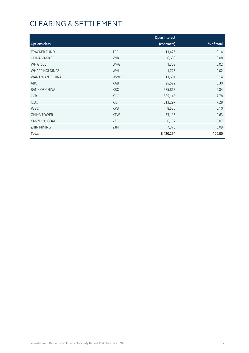|                       |            | Open interest |            |
|-----------------------|------------|---------------|------------|
| <b>Options class</b>  |            | (contracts)   | % of total |
| <b>TRACKER FUND</b>   | <b>TRF</b> | 11,426        | 0.14       |
| <b>CHINA VANKE</b>    | <b>VNK</b> | 6,600         | 0.08       |
| <b>WH Group</b>       | <b>WHG</b> | 1,308         | 0.02       |
| <b>WHARF HOLDINGS</b> | <b>WHL</b> | 1,725         | 0.02       |
| WANT WANT CHINA       | <b>WWC</b> | 11,601        | 0.14       |
| ABC                   | XAB        | 25,522        | 0.30       |
| <b>BANK OF CHINA</b>  | <b>XBC</b> | 575,867       | 6.84       |
| <b>CCB</b>            | <b>XCC</b> | 655,145       | 7.78       |
| <b>ICBC</b>           | XIC        | 613,297       | 7.28       |
| <b>PSBC</b>           | <b>XPB</b> | 8,556         | 0.10       |
| <b>CHINA TOWER</b>    | <b>XTW</b> | 53,115        | 0.63       |
| YANZHOU COAL          | <b>YZC</b> | 6,137         | 0.07       |
| <b>ZIJIN MINING</b>   | <b>ZJM</b> | 7,370         | 0.09       |
| Total                 |            | 8,420,294     | 100.00     |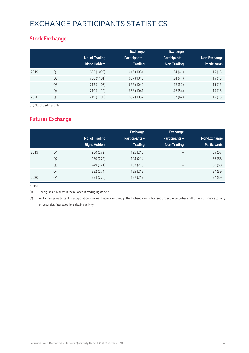## EXCHANGE PARTICIPANTS STATISTICS

### **Stock Exchange**

|      |                | No. of Trading<br><b>Right Holders</b> | Exchange<br><b>Participants -</b><br><b>Trading</b> | <b>Exchange</b><br>Participants -<br>Non-Trading | Non-Exchange<br><b>Participants</b> |
|------|----------------|----------------------------------------|-----------------------------------------------------|--------------------------------------------------|-------------------------------------|
| 2019 | Q1             | 695 (1090)                             | 646 (1034)                                          | 34(41)                                           | 15(15)                              |
|      | Q <sub>2</sub> | 706 (1101)                             | 657 (1045)                                          | 34(41)                                           | 15(15)                              |
|      | Q <sub>3</sub> | 712 (1107)                             | 655 (1040)                                          | 42 (52)                                          | 15(15)                              |
|      | Q4             | 719 (1110)                             | 658 (1041)                                          | 46 (54)                                          | 15(15)                              |
| 2020 | Q1             | 719 (1109)                             | 652 (1032)                                          | 52 (62)                                          | 15(15)                              |

( ) No. of trading rights

### **Futures Exchange**

|      |                | No. of Trading<br><b>Right Holders</b> | Exchange<br><b>Participants -</b><br><b>Trading</b> | Exchange<br>Participants -<br>Non-Trading | Non-Exchange<br><b>Participants</b> |
|------|----------------|----------------------------------------|-----------------------------------------------------|-------------------------------------------|-------------------------------------|
| 2019 | Q <sub>1</sub> | 250 (272)                              | 195 (215)                                           | $\overline{\phantom{m}}$                  | 55 (57)                             |
|      | Q <sub>2</sub> | 250 (272)                              | 194 (214)                                           | $\overline{\phantom{a}}$                  | 56 (58)                             |
|      | Q <sub>3</sub> | 249 (271)                              | 193 (213)                                           | $\overline{\phantom{a}}$                  | 56 (58)                             |
|      | Q4             | 252 (274)                              | 195 (215)                                           | $\overline{\phantom{a}}$                  | 57 (59)                             |
| 2020 | Q1             | 254 (276)                              | 197 (217)                                           |                                           | 57 (59)                             |

Notes:

(1) The figures in blanket is the number of trading rights held.

(2) An Exchange Participant is a corporation who may trade on or through the Exchange and is licensed under the Securities and Futures Ordinance to carry on securities/futures/options dealing activity.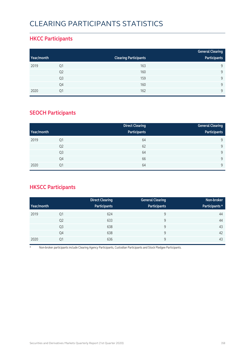## CLEARING PARTICIPANTS STATISTICS

### **HKCC Participants**

|            |                |                              | <b>General Clearing</b> |
|------------|----------------|------------------------------|-------------------------|
| Year/month |                | <b>Clearing Participants</b> | Participants            |
| 2019       | Q1             | 163                          | 9                       |
|            | Q <sub>2</sub> | 160                          | 9                       |
|            | Q <sub>3</sub> | 159                          | $\mathsf{Q}$            |
|            | Q4             | 160                          | $\mathsf{Q}$            |
| 2020       | Q1             | 162                          | $\mathsf{Q}$            |

### **SEOCH Participants**

|            |                | <b>Direct Clearing</b> | <b>General Clearing</b> |
|------------|----------------|------------------------|-------------------------|
| Year/month |                | Participants           | Participants            |
| 2019       | Q1             | 64                     | 9                       |
|            | Q <sub>2</sub> | 62                     | 9                       |
|            | Q <sub>3</sub> | 64                     | 9                       |
|            | Q4             | 66                     | 9                       |
| 2020       | Q <sub>1</sub> | 64                     | 9                       |

### **HKSCC Participants**

|            |                | <b>Direct Clearing</b> | <b>General Clearing</b> | Non-broker     |
|------------|----------------|------------------------|-------------------------|----------------|
| Year/month |                | Participants           | Participants            | Participants * |
| 2019       | Q1             | 624                    | 9                       | 44             |
|            | Q <sub>2</sub> | 633                    | 9                       | 44             |
|            | Q <sub>3</sub> | 638                    | 9                       | 43             |
|            | Q4             | 638                    | 9                       | 42             |
| 2020       | Q1             | 636                    | 9                       | 43             |

\* Non-broker participants include Clearing Agency Participants, Custodian Participants and Stock Pledgee Participants.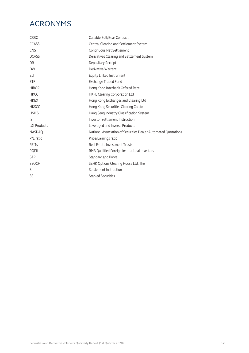## ACRONYMS

| <b>CBBC</b>             | Callable Bull/Bear Contract                                    |
|-------------------------|----------------------------------------------------------------|
| <b>CCASS</b>            | Central Clearing and Settlement System                         |
| <b>CNS</b>              | Continuous Net Settlement                                      |
| <b>DCASS</b>            | Derivatives Clearing and Settlement System                     |
| DR.                     | Depositary Receipt                                             |
| <b>DW</b>               | Derivative Warrant                                             |
| ELI                     | Equity Linked Instrument                                       |
| ETF                     | <b>Exchange Traded Fund</b>                                    |
| <b>HIBOR</b>            | Hong Kong Interbank Offered Rate                               |
| <b>HKCC</b>             | <b>HKFE Clearing Corporation Ltd</b>                           |
| <b>HKEX</b>             | Hong Kong Exchanges and Clearing Ltd                           |
| <b>HKSCC</b>            | Hong Kong Securities Clearing Co Ltd                           |
| <b>HSICS</b>            | Hang Seng Industry Classification System                       |
| <b>ISI</b>              | <b>Investor Settlement Instruction</b>                         |
| <b>L&amp;I Products</b> | Leveraged and Inverse Products                                 |
| <b>NASDAO</b>           | National Association of Securities Dealer Automated Ouotations |
| P/E ratio               | Price/Earnings ratio                                           |
| <b>REITS</b>            | Real Estate Investment Trusts                                  |
| <b>RQFII</b>            | RMB Qualified Foreign Institutional Investors                  |
| S&P                     | <b>Standard and Poors</b>                                      |
| <b>SEOCH</b>            | SEHK Options Clearing House Ltd, The                           |
| SI                      | Settlement Instruction                                         |
| SS                      | <b>Stapled Securities</b>                                      |